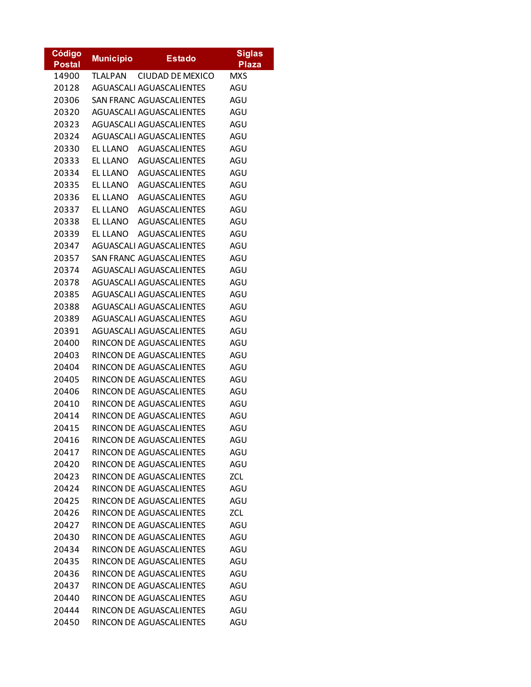| <b>Código</b> | <b>Municipio</b> | <b>Estado</b>                   | <b>Siglas</b> |
|---------------|------------------|---------------------------------|---------------|
| <b>Postal</b> |                  |                                 | <b>Plaza</b>  |
| 14900         | <b>TLALPAN</b>   | <b>CIUDAD DE MEXICO</b>         | <b>MXS</b>    |
| 20128         |                  | AGUASCALI AGUASCALIENTES        | AGU           |
| 20306         |                  | <b>SAN FRANC AGUASCALIENTES</b> | AGU           |
| 20320         |                  | AGUASCALI AGUASCALIENTES        | AGU           |
| 20323         |                  | AGUASCALI AGUASCALIENTES        | AGU           |
| 20324         |                  | AGUASCALI AGUASCALIENTES        | AGU           |
| 20330         |                  | EL LLANO AGUASCALIENTES         | AGU           |
| 20333         |                  | EL LLANO AGUASCALIENTES         | AGU           |
| 20334         |                  | EL LLANO AGUASCALIENTES         | AGU           |
| 20335         | el llano         | AGUASCALIENTES                  | AGU           |
| 20336         | el llano         | <b>AGUASCALIENTES</b>           | AGU           |
| 20337         | el llano         | AGUASCALIENTES                  | AGU           |
| 20338         | el llano         | AGUASCALIENTES                  | AGU           |
| 20339         | el llano         | <b>AGUASCALIENTES</b>           | AGU           |
| 20347         |                  | AGUASCALI AGUASCALIENTES        | AGU           |
| 20357         |                  | SAN FRANC AGUASCALIENTES        | AGU           |
| 20374         |                  | AGUASCALI AGUASCALIENTES        | AGU           |
| 20378         |                  | AGUASCALI AGUASCALIENTES        | AGU           |
| 20385         |                  | AGUASCALI AGUASCALIENTES        | AGU           |
| 20388         |                  | AGUASCALI AGUASCALIENTES        | AGU           |
| 20389         |                  | AGUASCALI AGUASCALIENTES        | AGU           |
| 20391         |                  | AGUASCALI AGUASCALIENTES        | AGU           |
| 20400         |                  | RINCON DE AGUASCALIENTES        | AGU           |
| 20403         |                  | RINCON DE AGUASCALIENTES        | AGU           |
| 20404         |                  | RINCON DE AGUASCALIENTES        | AGU           |
| 20405         |                  | RINCON DE AGUASCALIENTES        | AGU           |
| 20406         |                  | RINCON DE AGUASCALIENTES        | AGU           |
| 20410         |                  | RINCON DE AGUASCALIENTES        | AGU           |
| 20414         |                  | RINCON DE AGUASCALIENTES        | AGU           |
| 20415         |                  | RINCON DE AGUASCALIENTES        | AGU           |
| 20416         |                  | RINCON DE AGUASCALIENTES        | AGU           |
| 20417         |                  | RINCON DE AGUASCALIENTES        | AGU           |
| 20420         |                  | RINCON DE AGUASCALIENTES        | AGU           |
| 20423         |                  | RINCON DE AGUASCALIENTES        | ZCL           |
| 20424         |                  | RINCON DE AGUASCALIENTES        | AGU           |
| 20425         |                  | RINCON DE AGUASCALIENTES        | AGU           |
| 20426         |                  | RINCON DE AGUASCALIENTES        | ZCL           |
| 20427         |                  | RINCON DE AGUASCALIENTES        | AGU           |
| 20430         |                  | RINCON DE AGUASCALIENTES        | AGU           |
| 20434         |                  | RINCON DE AGUASCALIENTES        | AGU           |
|               |                  | RINCON DE AGUASCALIENTES        |               |
| 20435         |                  | RINCON DE AGUASCALIENTES        | AGU<br>AGU    |
| 20436         |                  |                                 |               |
| 20437         |                  | RINCON DE AGUASCALIENTES        | AGU           |
| 20440         |                  | RINCON DE AGUASCALIENTES        | AGU           |
| 20444         |                  | RINCON DE AGUASCALIENTES        | AGU           |
| 20450         |                  | RINCON DE AGUASCALIENTES        | AGU           |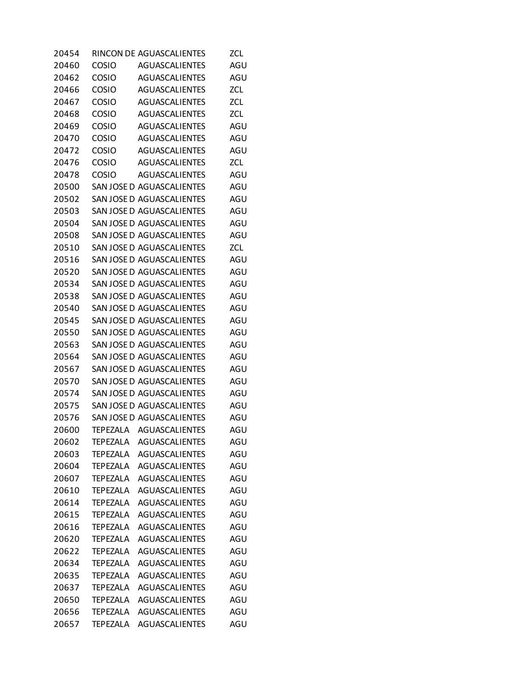| 20454 |                 | RINCON DE AGUASCALIENTES  | ZCL.       |
|-------|-----------------|---------------------------|------------|
| 20460 | COSIO           | <b>AGUASCALIENTES</b>     | AGU        |
| 20462 | <b>COSIO</b>    | <b>AGUASCALIENTES</b>     | AGU        |
| 20466 | <b>COSIO</b>    | <b>AGUASCALIENTES</b>     | ZCL        |
| 20467 | <b>COSIO</b>    | <b>AGUASCALIENTES</b>     | <b>ZCL</b> |
| 20468 | <b>COSIO</b>    | <b>AGUASCALIENTES</b>     | ZCL        |
| 20469 | COSIO           | <b>AGUASCALIENTES</b>     | AGU        |
| 20470 | <b>COSIO</b>    | <b>AGUASCALIENTES</b>     | AGU        |
| 20472 | <b>COSIO</b>    | <b>AGUASCALIENTES</b>     | AGU        |
| 20476 | <b>COSIO</b>    | AGUASCALIENTES            | ZCL        |
| 20478 | COSIO           | <b>AGUASCALIENTES</b>     | AGU        |
| 20500 |                 | SAN JOSE D AGUASCALIENTES | AGU        |
| 20502 |                 | SAN JOSE D AGUASCALIENTES | AGU        |
| 20503 |                 | SAN JOSE D AGUASCALIENTES | AGU        |
| 20504 |                 | SAN JOSE D AGUASCALIENTES | AGU        |
| 20508 |                 | SAN JOSE D AGUASCALIENTES | AGU        |
| 20510 |                 | SAN JOSE D AGUASCALIENTES | ZCL        |
| 20516 |                 | SAN JOSE D AGUASCALIENTES | AGU        |
| 20520 |                 | SAN JOSE D AGUASCALIENTES | AGU        |
| 20534 |                 | SAN JOSE D AGUASCALIENTES | AGU        |
| 20538 |                 | SAN JOSE D AGUASCALIENTES | AGU        |
| 20540 |                 | SAN JOSE D AGUASCALIENTES | AGU        |
| 20545 |                 | SAN JOSE D AGUASCALIENTES | AGU        |
| 20550 |                 | SAN JOSE D AGUASCALIENTES | AGU        |
| 20563 |                 | SAN JOSE D AGUASCALIENTES | AGU        |
| 20564 |                 | SAN JOSE D AGUASCALIENTES | AGU        |
| 20567 |                 | SAN JOSE D AGUASCALIENTES | AGU        |
| 20570 |                 | SAN JOSE D AGUASCALIENTES | AGU        |
| 20574 |                 | SAN JOSE D AGUASCALIENTES | AGU        |
| 20575 |                 | SAN JOSE D AGUASCALIENTES | AGU        |
| 20576 |                 | SAN JOSE D AGUASCALIENTES | AGU        |
| 20600 |                 | TEPEZALA AGUASCALIENTES   | AGU        |
| 20602 | <b>TEPEZALA</b> | <b>AGUASCALIENTES</b>     | AGU        |
| 20603 | <b>TEPEZALA</b> | <b>AGUASCALIENTES</b>     | AGU        |
| 20604 | <b>TEPEZALA</b> | <b>AGUASCALIENTES</b>     | AGU        |
| 20607 | <b>TEPEZALA</b> | <b>AGUASCALIENTES</b>     | AGU        |
| 20610 | <b>TEPEZALA</b> | <b>AGUASCALIENTES</b>     | AGU        |
| 20614 | <b>TEPEZALA</b> | <b>AGUASCALIENTES</b>     | AGU        |
| 20615 | <b>TEPEZALA</b> | <b>AGUASCALIENTES</b>     | AGU        |
| 20616 | <b>TEPEZALA</b> | <b>AGUASCALIENTES</b>     | AGU        |
| 20620 | <b>TEPEZALA</b> | <b>AGUASCALIENTES</b>     | AGU        |
| 20622 | <b>TEPEZALA</b> | <b>AGUASCALIENTES</b>     | AGU        |
| 20634 | <b>TEPEZALA</b> | <b>AGUASCALIENTES</b>     | AGU        |
| 20635 | <b>TEPEZALA</b> | <b>AGUASCALIENTES</b>     | AGU        |
| 20637 | <b>TEPEZALA</b> | <b>AGUASCALIENTES</b>     | AGU        |
| 20650 | <b>TEPEZALA</b> | <b>AGUASCALIENTES</b>     | AGU        |
| 20656 | <b>TEPEZALA</b> | <b>AGUASCALIENTES</b>     | AGU        |
| 20657 | <b>TEPEZALA</b> | <b>AGUASCALIENTES</b>     | AGU        |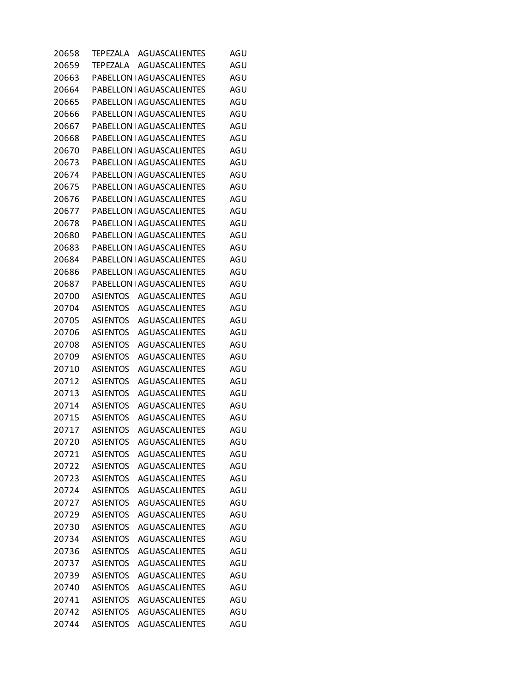| 20658 | TEPEZALA        | <b>AGUASCALIENTES</b>            | AGU |
|-------|-----------------|----------------------------------|-----|
| 20659 | TEPEZALA        | <b>AGUASCALIENTES</b>            | AGU |
| 20663 |                 | PABELLON   AGUASCALIENTES        | AGU |
| 20664 |                 | PABELLON   AGUASCALIENTES        | AGU |
| 20665 |                 | PABELLON   AGUASCALIENTES        | AGU |
| 20666 |                 | PABELLON   AGUASCALIENTES        | AGU |
| 20667 |                 | PABELLON   AGUASCALIENTES        | AGU |
| 20668 |                 | PABELLON   AGUASCALIENTES        | AGU |
| 20670 |                 | PABELLON   AGUASCALIENTES        | AGU |
| 20673 |                 | PABELLON   AGUASCALIENTES        | AGU |
| 20674 |                 | PABELLON   AGUASCALIENTES        | AGU |
| 20675 |                 | PABELLON   AGUASCALIENTES        | AGU |
| 20676 |                 | PABELLON   AGUASCALIENTES        | AGU |
| 20677 |                 | PABELLON   AGUASCALIENTES        | AGU |
| 20678 |                 | PABELLON   AGUASCALIENTES        | AGU |
| 20680 |                 | PABELLON   AGUASCALIENTES        | AGU |
| 20683 |                 | PABELLON   AGUASCALIENTES        | AGU |
| 20684 |                 | PABELLON   AGUASCALIENTES        | AGU |
| 20686 |                 | PABELLON   AGUASCALIENTES        | AGU |
| 20687 |                 | <b>PABELLON   AGUASCALIENTES</b> | AGU |
| 20700 | <b>ASIENTOS</b> | <b>AGUASCALIENTES</b>            | AGU |
| 20704 | <b>ASIENTOS</b> | <b>AGUASCALIENTES</b>            | AGU |
| 20705 | <b>ASIENTOS</b> | <b>AGUASCALIENTES</b>            | AGU |
| 20706 | <b>ASIENTOS</b> | <b>AGUASCALIENTES</b>            | AGU |
| 20708 | ASIENTOS        | <b>AGUASCALIENTES</b>            | AGU |
| 20709 | ASIENTOS        | <b>AGUASCALIENTES</b>            | AGU |
| 20710 | <b>ASIENTOS</b> | <b>AGUASCALIENTES</b>            | AGU |
| 20712 | <b>ASIENTOS</b> | <b>AGUASCALIENTES</b>            | AGU |
| 20713 | <b>ASIENTOS</b> | <b>AGUASCALIENTES</b>            | AGU |
| 20714 | <b>ASIENTOS</b> | <b>AGUASCALIENTES</b>            | AGU |
| 20715 | ASIENTOS        | <b>AGUASCALIENTES</b>            | AGU |
| 20717 | ASIENTOS        | AGUASCALIENTES                   | AGU |
| 20720 | <b>ASIENTOS</b> | <b>AGUASCALIENTES</b>            | AGU |
| 20721 | <b>ASIENTOS</b> | <b>AGUASCALIENTES</b>            | AGU |
| 20722 | <b>ASIENTOS</b> | <b>AGUASCALIENTES</b>            | AGU |
| 20723 | <b>ASIENTOS</b> | <b>AGUASCALIENTES</b>            | AGU |
| 20724 | <b>ASIENTOS</b> | <b>AGUASCALIENTES</b>            | AGU |
| 20727 | <b>ASIENTOS</b> | <b>AGUASCALIENTES</b>            | AGU |
| 20729 | <b>ASIENTOS</b> | <b>AGUASCALIENTES</b>            | AGU |
| 20730 | <b>ASIENTOS</b> | <b>AGUASCALIENTES</b>            | AGU |
| 20734 | <b>ASIENTOS</b> | <b>AGUASCALIENTES</b>            | AGU |
| 20736 | <b>ASIENTOS</b> | <b>AGUASCALIENTES</b>            | AGU |
| 20737 | <b>ASIENTOS</b> | <b>AGUASCALIENTES</b>            | AGU |
| 20739 | <b>ASIENTOS</b> | <b>AGUASCALIENTES</b>            | AGU |
| 20740 | <b>ASIENTOS</b> | <b>AGUASCALIENTES</b>            | AGU |
| 20741 | <b>ASIENTOS</b> | <b>AGUASCALIENTES</b>            | AGU |
| 20742 | <b>ASIENTOS</b> | <b>AGUASCALIENTES</b>            | AGU |
| 20744 | <b>ASIENTOS</b> | <b>AGUASCALIENTES</b>            | AGU |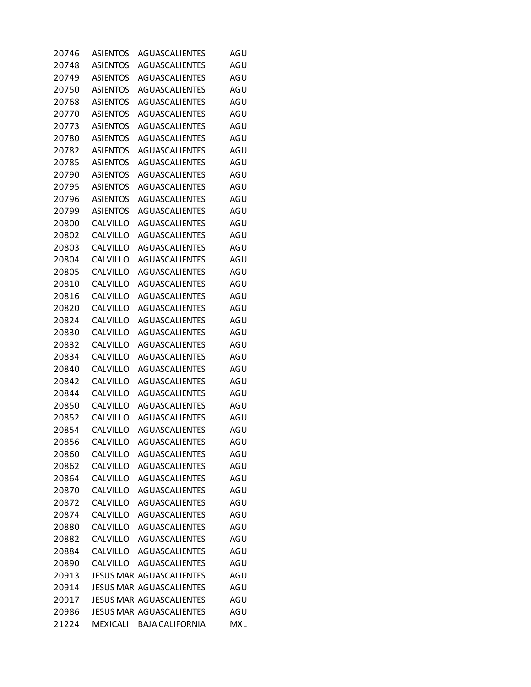| 20746 | <b>ASIENTOS</b> | AGUASCALIENTES                   | AGU        |
|-------|-----------------|----------------------------------|------------|
| 20748 | <b>ASIENTOS</b> | <b>AGUASCALIENTES</b>            | AGU        |
| 20749 | <b>ASIENTOS</b> | <b>AGUASCALIENTES</b>            | AGU        |
| 20750 | <b>ASIENTOS</b> | AGUASCALIENTES                   | AGU        |
| 20768 | <b>ASIENTOS</b> | <b>AGUASCALIENTES</b>            | AGU        |
| 20770 | <b>ASIENTOS</b> | <b>AGUASCALIENTES</b>            | AGU        |
| 20773 | <b>ASIENTOS</b> | <b>AGUASCALIENTES</b>            | AGU        |
| 20780 | <b>ASIENTOS</b> | AGUASCALIENTES                   | AGU        |
| 20782 | <b>ASIENTOS</b> | <b>AGUASCALIENTES</b>            | AGU        |
| 20785 | <b>ASIENTOS</b> | <b>AGUASCALIENTES</b>            | AGU        |
| 20790 | <b>ASIENTOS</b> | <b>AGUASCALIENTES</b>            | AGU        |
| 20795 | <b>ASIENTOS</b> | AGUASCALIENTES                   | AGU        |
| 20796 | ASIENTOS        | <b>AGUASCALIENTES</b>            | AGU        |
| 20799 | <b>ASIENTOS</b> | AGUASCALIENTES                   | AGU        |
| 20800 | CALVILLO        | AGUASCALIENTES                   | AGU        |
| 20802 | CALVILLO        | AGUASCALIENTES                   | AGU        |
| 20803 | CALVILLO        | <b>AGUASCALIENTES</b>            | AGU        |
| 20804 | CALVILLO        | AGUASCALIENTES                   | AGU        |
| 20805 | CALVILLO        | <b>AGUASCALIENTES</b>            | AGU        |
| 20810 | CALVILLO        | AGUASCALIENTES                   | AGU        |
| 20816 | CALVILLO        | <b>AGUASCALIENTES</b>            | AGU        |
| 20820 | CALVILLO        | AGUASCALIENTES                   | AGU        |
| 20824 | CALVILLO        | <b>AGUASCALIENTES</b>            | AGU        |
| 20830 | CALVILLO        | AGUASCALIENTES                   | AGU        |
| 20832 | CALVILLO        | AGUASCALIENTES                   | AGU        |
| 20834 | CALVILLO        | AGUASCALIENTES                   | AGU        |
| 20840 | CALVILLO        | AGUASCALIENTES                   | AGU        |
| 20842 | CALVILLO        | AGUASCALIENTES                   | AGU        |
| 20844 | CALVILLO        | <b>AGUASCALIENTES</b>            | AGU        |
| 20850 | CALVILLO        | <b>AGUASCALIENTES</b>            | AGU        |
| 20852 | CALVILLO        | <b>AGUASCALIENTES</b>            | AGU        |
| 20854 | CALVILLO        | AGUASCALIENTES                   | AGU        |
| 20856 | CALVILLO        | <b>AGUASCALIENTES</b>            | AGU        |
| 20860 | CALVILLO        | <b>AGUASCALIENTES</b>            | AGU        |
| 20862 | CALVILLO        | <b>AGUASCALIENTES</b>            | AGU        |
| 20864 | CALVILLO        | <b>AGUASCALIENTES</b>            | AGU        |
| 20870 | CALVILLO        | AGUASCALIENTES                   | AGU        |
| 20872 | CALVILLO        | <b>AGUASCALIENTES</b>            | AGU        |
| 20874 | CALVILLO        | <b>AGUASCALIENTES</b>            | AGU        |
| 20880 | CALVILLO        | <b>AGUASCALIENTES</b>            | AGU        |
| 20882 | CALVILLO        | <b>AGUASCALIENTES</b>            | AGU        |
| 20884 | CALVILLO        | <b>AGUASCALIENTES</b>            | AGU        |
| 20890 | CALVILLO        | AGUASCALIENTES                   | AGU        |
| 20913 |                 | <b>JESUS MARI AGUASCALIENTES</b> | AGU        |
| 20914 |                 | JESUS MARI AGUASCALIENTES        | AGU        |
| 20917 |                 | JESUS MARI AGUASCALIENTES        | AGU        |
| 20986 |                 | <b>JESUS MARI AGUASCALIENTES</b> | AGU        |
| 21224 | <b>MEXICALI</b> | <b>BAJA CALIFORNIA</b>           | <b>MXL</b> |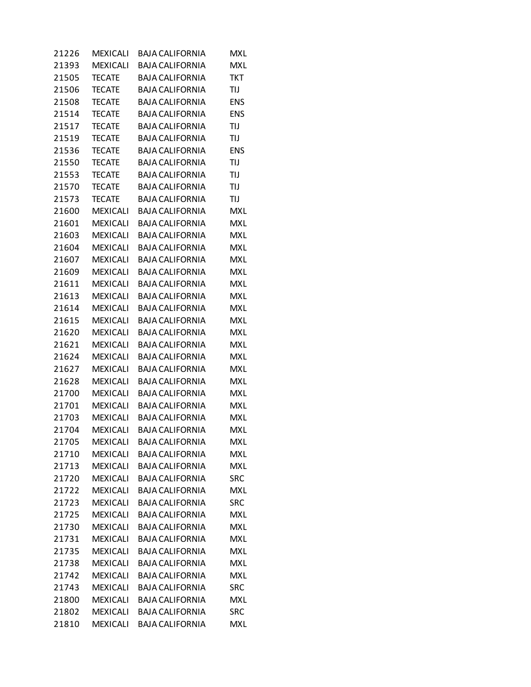| 21226 | <b>MEXICALI</b> | <b>BAJA CALIFORNIA</b> | MXL        |
|-------|-----------------|------------------------|------------|
| 21393 | <b>MEXICALI</b> | <b>BAJA CALIFORNIA</b> | <b>MXL</b> |
| 21505 | <b>TECATE</b>   | <b>BAJA CALIFORNIA</b> | <b>TKT</b> |
| 21506 | <b>TECATE</b>   | <b>BAJA CALIFORNIA</b> | TIJ        |
| 21508 | <b>TECATE</b>   | <b>BAJA CALIFORNIA</b> | <b>ENS</b> |
| 21514 | <b>TECATE</b>   | <b>BAJA CALIFORNIA</b> | <b>ENS</b> |
| 21517 | <b>TECATE</b>   | <b>BAJA CALIFORNIA</b> | TIJ        |
| 21519 | <b>TECATE</b>   | <b>BAJA CALIFORNIA</b> | TIJ        |
| 21536 | <b>TECATE</b>   | <b>BAJA CALIFORNIA</b> | <b>ENS</b> |
| 21550 | <b>TECATE</b>   | <b>BAJA CALIFORNIA</b> | TIJ        |
| 21553 | <b>TECATE</b>   | <b>BAJA CALIFORNIA</b> | TIJ        |
| 21570 | <b>TECATE</b>   | <b>BAJA CALIFORNIA</b> | TIJ        |
| 21573 | <b>TECATE</b>   | <b>BAJA CALIFORNIA</b> | TIJ        |
| 21600 | <b>MEXICALI</b> | <b>BAJA CALIFORNIA</b> | MXL        |
| 21601 | <b>MEXICALI</b> | <b>BAJA CALIFORNIA</b> | <b>MXL</b> |
| 21603 | <b>MEXICALI</b> | <b>BAJA CALIFORNIA</b> | <b>MXL</b> |
| 21604 | <b>MEXICALI</b> | <b>BAJA CALIFORNIA</b> | <b>MXL</b> |
| 21607 | <b>MEXICALI</b> | <b>BAJA CALIFORNIA</b> | <b>MXL</b> |
| 21609 | <b>MEXICALI</b> | <b>BAJA CALIFORNIA</b> | <b>MXL</b> |
| 21611 | <b>MEXICALI</b> | <b>BAJA CALIFORNIA</b> | <b>MXL</b> |
| 21613 | <b>MEXICALI</b> | <b>BAJA CALIFORNIA</b> | <b>MXL</b> |
| 21614 | <b>MEXICALI</b> | <b>BAJA CALIFORNIA</b> | <b>MXL</b> |
| 21615 | <b>MEXICALI</b> | <b>BAJA CALIFORNIA</b> | <b>MXL</b> |
| 21620 | <b>MEXICALI</b> | <b>BAJA CALIFORNIA</b> | <b>MXL</b> |
| 21621 | <b>MEXICALI</b> | <b>BAJA CALIFORNIA</b> | <b>MXL</b> |
| 21624 | <b>MEXICALI</b> | <b>BAJA CALIFORNIA</b> | <b>MXL</b> |
| 21627 | <b>MEXICALI</b> | <b>BAJA CALIFORNIA</b> | <b>MXL</b> |
| 21628 | <b>MEXICALI</b> | <b>BAJA CALIFORNIA</b> | <b>MXL</b> |
| 21700 | <b>MEXICALI</b> | <b>BAJA CALIFORNIA</b> | <b>MXL</b> |
| 21701 | <b>MEXICALI</b> | <b>BAJA CALIFORNIA</b> | <b>MXL</b> |
| 21703 | <b>MEXICALI</b> | <b>BAJA CALIFORNIA</b> | <b>MXL</b> |
| 21704 | <b>MEXICALI</b> | <b>BAJA CALIFORNIA</b> | <b>MXL</b> |
| 21705 | <b>MEXICALI</b> | <b>BAJA CALIFORNIA</b> | <b>MXL</b> |
| 21710 | <b>MEXICALI</b> | <b>BAJA CALIFORNIA</b> | <b>MXL</b> |
| 21713 | <b>MEXICALI</b> | <b>BAJA CALIFORNIA</b> | <b>MXL</b> |
| 21720 | <b>MEXICALI</b> | <b>BAJA CALIFORNIA</b> | <b>SRC</b> |
| 21722 | <b>MEXICALI</b> | <b>BAJA CALIFORNIA</b> | MXL        |
| 21723 | <b>MEXICALI</b> | <b>BAJA CALIFORNIA</b> | <b>SRC</b> |
| 21725 | <b>MEXICALI</b> | <b>BAJA CALIFORNIA</b> | <b>MXL</b> |
| 21730 | <b>MEXICALI</b> | <b>BAJA CALIFORNIA</b> | <b>MXL</b> |
| 21731 | <b>MEXICALI</b> | <b>BAJA CALIFORNIA</b> | <b>MXL</b> |
| 21735 | <b>MEXICALI</b> | <b>BAJA CALIFORNIA</b> | <b>MXL</b> |
| 21738 | <b>MEXICALI</b> | <b>BAJA CALIFORNIA</b> | <b>MXL</b> |
| 21742 | <b>MEXICALI</b> | <b>BAJA CALIFORNIA</b> | <b>MXL</b> |
| 21743 | <b>MEXICALI</b> | <b>BAJA CALIFORNIA</b> | <b>SRC</b> |
| 21800 | <b>MEXICALI</b> | <b>BAJA CALIFORNIA</b> | <b>MXL</b> |
| 21802 | <b>MEXICALI</b> | <b>BAJA CALIFORNIA</b> | SRC        |
| 21810 | <b>MEXICALI</b> | <b>BAJA CALIFORNIA</b> | <b>MXL</b> |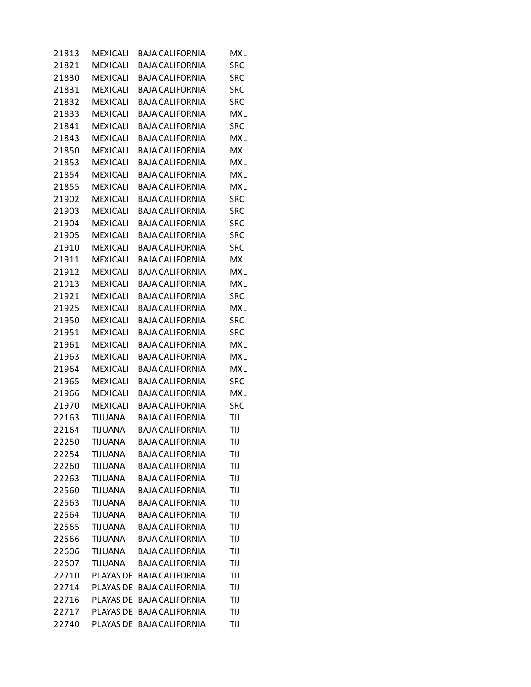| 21813 | MEXICALI        | <b>BAJA CALIFORNIA</b>      | MXL        |
|-------|-----------------|-----------------------------|------------|
| 21821 | <b>MEXICALI</b> | <b>BAJA CALIFORNIA</b>      | <b>SRC</b> |
| 21830 | <b>MEXICALI</b> | <b>BAJA CALIFORNIA</b>      | <b>SRC</b> |
| 21831 | <b>MEXICALI</b> | <b>BAJA CALIFORNIA</b>      | SRC        |
| 21832 | <b>MEXICALI</b> | <b>BAJA CALIFORNIA</b>      | <b>SRC</b> |
| 21833 | <b>MEXICALI</b> | <b>BAJA CALIFORNIA</b>      | <b>MXL</b> |
| 21841 | <b>MEXICALI</b> | <b>BAJA CALIFORNIA</b>      | <b>SRC</b> |
| 21843 | <b>MEXICALI</b> | <b>BAJA CALIFORNIA</b>      | <b>MXL</b> |
| 21850 | <b>MEXICALI</b> | <b>BAJA CALIFORNIA</b>      | <b>MXL</b> |
| 21853 | <b>MEXICALI</b> | <b>BAJA CALIFORNIA</b>      | <b>MXL</b> |
| 21854 | <b>MEXICALI</b> | <b>BAJA CALIFORNIA</b>      | <b>MXL</b> |
| 21855 | MEXICALI        | <b>BAJA CALIFORNIA</b>      | <b>MXL</b> |
| 21902 | <b>MEXICALI</b> | <b>BAJA CALIFORNIA</b>      | <b>SRC</b> |
| 21903 | <b>MEXICALI</b> | <b>BAJA CALIFORNIA</b>      | <b>SRC</b> |
| 21904 | <b>MEXICALI</b> | <b>BAJA CALIFORNIA</b>      | <b>SRC</b> |
| 21905 | <b>MEXICALI</b> | <b>BAJA CALIFORNIA</b>      | SRC        |
| 21910 | <b>MEXICALI</b> | <b>BAJA CALIFORNIA</b>      | <b>SRC</b> |
| 21911 | MEXICALI        | <b>BAJA CALIFORNIA</b>      | <b>MXL</b> |
| 21912 | <b>MEXICALI</b> | <b>BAJA CALIFORNIA</b>      | <b>MXL</b> |
| 21913 | <b>MEXICALI</b> | <b>BAJA CALIFORNIA</b>      | <b>MXL</b> |
| 21921 | <b>MEXICALI</b> | <b>BAJA CALIFORNIA</b>      | <b>SRC</b> |
| 21925 | <b>MEXICALI</b> | <b>BAJA CALIFORNIA</b>      | <b>MXL</b> |
| 21950 | <b>MEXICALI</b> | <b>BAJA CALIFORNIA</b>      | <b>SRC</b> |
| 21951 | MEXICALI        | <b>BAJA CALIFORNIA</b>      | <b>SRC</b> |
| 21961 | <b>MEXICALI</b> | <b>BAJA CALIFORNIA</b>      | <b>MXL</b> |
| 21963 | <b>MEXICALI</b> | <b>BAJA CALIFORNIA</b>      | <b>MXL</b> |
| 21964 | <b>MEXICALI</b> | <b>BAJA CALIFORNIA</b>      | <b>MXL</b> |
| 21965 | MEXICALI        | <b>BAJA CALIFORNIA</b>      | <b>SRC</b> |
| 21966 | <b>MEXICALI</b> | <b>BAJA CALIFORNIA</b>      | <b>MXL</b> |
| 21970 | MEXICALI        | <b>BAJA CALIFORNIA</b>      | <b>SRC</b> |
| 22163 | TIJUANA         | <b>BAJA CALIFORNIA</b>      | TIJ        |
| 22164 | <b>TIJUANA</b>  | <b>BAJA CALIFORNIA</b>      | TIJ        |
| 22250 | TIJUANA         | <b>BAJA CALIFORNIA</b>      | TIJ        |
| 22254 | <b>TIJUANA</b>  | <b>BAJA CALIFORNIA</b>      | TIJ        |
| 22260 | <b>TIJUANA</b>  | <b>BAJA CALIFORNIA</b>      | TIJ        |
| 22263 | <b>TIJUANA</b>  | <b>BAJA CALIFORNIA</b>      | TIJ        |
| 22560 | <b>TIJUANA</b>  | <b>BAJA CALIFORNIA</b>      | TIJ        |
| 22563 | <b>TIJUANA</b>  | <b>BAJA CALIFORNIA</b>      | TIJ        |
| 22564 | <b>TIJUANA</b>  | <b>BAJA CALIFORNIA</b>      | TIJ        |
| 22565 | <b>TIJUANA</b>  | <b>BAJA CALIFORNIA</b>      | TIJ        |
| 22566 | <b>TIJUANA</b>  | <b>BAJA CALIFORNIA</b>      | TIJ        |
| 22606 | TIJUANA         | <b>BAJA CALIFORNIA</b>      | TIJ        |
| 22607 | TIJUANA         | <b>BAJA CALIFORNIA</b>      | TIJ        |
| 22710 |                 | PLAYAS DE   BAJA CALIFORNIA | TIJ        |
| 22714 |                 | PLAYAS DE   BAJA CALIFORNIA | TIJ        |
| 22716 |                 | PLAYAS DE   BAJA CALIFORNIA | TIJ        |
| 22717 |                 | PLAYAS DE   BAJA CALIFORNIA | TIJ        |
| 22740 |                 | PLAYAS DE   BAJA CALIFORNIA | TIJ        |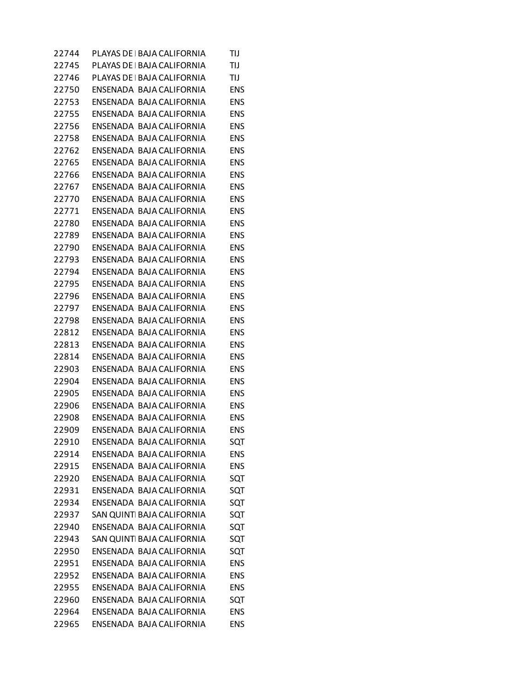| 22744 | PLAYAS DE   BAJA CALIFORNIA | TIJ        |
|-------|-----------------------------|------------|
| 22745 | PLAYAS DE   BAJA CALIFORNIA | TIJ        |
| 22746 | PLAYAS DE   BAJA CALIFORNIA | TIJ        |
| 22750 | ENSENADA BAJA CALIFORNIA    | ENS        |
| 22753 | ENSENADA BAJA CALIFORNIA    | ENS        |
| 22755 | ENSENADA BAJA CALIFORNIA    | ENS        |
| 22756 | ENSENADA BAJA CALIFORNIA    | ENS        |
| 22758 | ENSENADA BAJA CALIFORNIA    | ENS        |
| 22762 | ENSENADA BAJA CALIFORNIA    | ENS        |
| 22765 | ENSENADA BAJA CALIFORNIA    | ENS        |
| 22766 | ENSENADA BAJA CALIFORNIA    | <b>ENS</b> |
| 22767 | ENSENADA BAJA CALIFORNIA    | ENS        |
| 22770 | ENSENADA BAJA CALIFORNIA    | <b>ENS</b> |
| 22771 | ENSENADA BAJA CALIFORNIA    | ENS        |
| 22780 | ENSENADA BAJA CALIFORNIA    | ENS        |
| 22789 | ENSENADA BAJA CALIFORNIA    | ENS        |
| 22790 | ENSENADA BAJA CALIFORNIA    | <b>ENS</b> |
| 22793 | ENSENADA BAJA CALIFORNIA    | ENS        |
| 22794 | ENSENADA BAJA CALIFORNIA    | <b>ENS</b> |
| 22795 | ENSENADA BAJA CALIFORNIA    | ENS        |
| 22796 | ENSENADA BAJA CALIFORNIA    | <b>ENS</b> |
| 22797 | ENSENADA BAJA CALIFORNIA    | ENS        |
| 22798 | ENSENADA BAJA CALIFORNIA    | <b>ENS</b> |
| 22812 | ENSENADA BAJA CALIFORNIA    | ENS        |
| 22813 | ENSENADA BAJA CALIFORNIA    | <b>ENS</b> |
| 22814 | ENSENADA BAJA CALIFORNIA    | ENS        |
| 22903 | ENSENADA BAJA CALIFORNIA    | <b>ENS</b> |
| 22904 | ENSENADA BAJA CALIFORNIA    | ENS        |
| 22905 | ENSENADA BAJA CALIFORNIA    | <b>ENS</b> |
| 22906 | ENSENADA BAJA CALIFORNIA    | ENS        |
| 22908 | ENSENADA BAJA CALIFORNIA    | <b>ENS</b> |
| 22909 | ENSENADA BAJA CALIFORNIA    | <b>ENS</b> |
| 22910 | ENSENADA BAJA CALIFORNIA    | SQT        |
| 22914 | ENSENADA BAJA CALIFORNIA    | <b>ENS</b> |
| 22915 | ENSENADA BAJA CALIFORNIA    | ENS        |
| 22920 | ENSENADA BAJA CALIFORNIA    | SQT        |
| 22931 | ENSENADA BAJA CALIFORNIA    | SQT        |
| 22934 | ENSENADA BAJA CALIFORNIA    | SQT        |
| 22937 | SAN QUINTI BAJA CALIFORNIA  | SQT        |
| 22940 | ENSENADA BAJA CALIFORNIA    | SQT        |
| 22943 | SAN QUINTI BAJA CALIFORNIA  | SQT        |
| 22950 | ENSENADA BAJA CALIFORNIA    | SQT        |
| 22951 | ENSENADA BAJA CALIFORNIA    | <b>ENS</b> |
| 22952 | ENSENADA BAJA CALIFORNIA    | <b>ENS</b> |
| 22955 | ENSENADA BAJA CALIFORNIA    | <b>ENS</b> |
| 22960 | ENSENADA BAJA CALIFORNIA    | SQT        |
| 22964 | ENSENADA BAJA CALIFORNIA    | <b>ENS</b> |
| 22965 | ENSENADA BAJA CALIFORNIA    | <b>ENS</b> |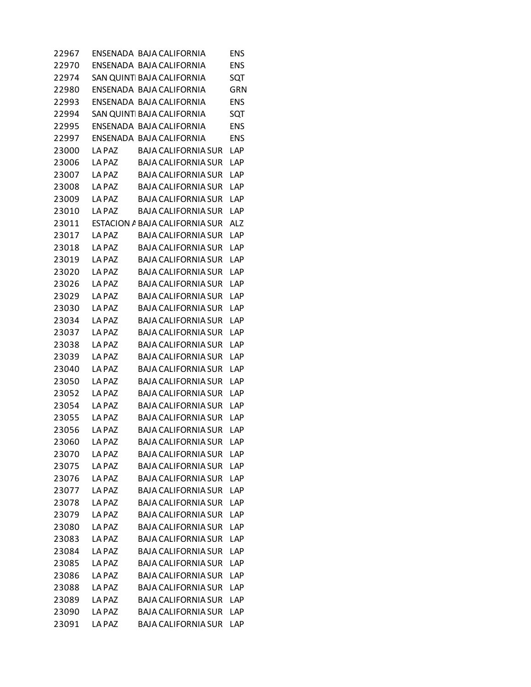| 22967 |              | ENSENADA BAJA CALIFORNIA       | <b>ENS</b> |
|-------|--------------|--------------------------------|------------|
| 22970 |              | ENSENADA BAJA CALIFORNIA       | <b>ENS</b> |
| 22974 |              | SAN QUINTI BAJA CALIFORNIA     | SQT        |
| 22980 |              | ENSENADA BAJA CALIFORNIA       | GRN        |
| 22993 |              | ENSENADA BAJA CALIFORNIA       | <b>ENS</b> |
| 22994 |              | SAN QUINTI BAJA CALIFORNIA     | SQT        |
| 22995 |              | ENSENADA BAJA CALIFORNIA       | <b>ENS</b> |
| 22997 |              | ENSENADA BAJA CALIFORNIA       | <b>ENS</b> |
| 23000 | LA PAZ       | <b>BAJA CALIFORNIA SUR</b>     | LAP        |
| 23006 | LA PAZ       | <b>BAJA CALIFORNIA SUR</b>     | LAP        |
| 23007 | LA PAZ       | <b>BAJA CALIFORNIA SUR</b>     | LAP        |
| 23008 | LA PAZ       | <b>BAJA CALIFORNIA SUR</b>     | LAP        |
| 23009 | LA PAZ       | <b>BAJA CALIFORNIA SUR</b>     | LAP        |
| 23010 | LA PAZ       | <b>BAJA CALIFORNIA SUR</b>     | LAP        |
| 23011 |              | ESTACION A BAJA CALIFORNIA SUR | <b>ALZ</b> |
| 23017 | LA PAZ       | <b>BAJA CALIFORNIA SUR</b>     | LAP        |
| 23018 | LA PAZ       | <b>BAJA CALIFORNIA SUR</b>     | LAP        |
| 23019 | LA PAZ       | <b>BAJA CALIFORNIA SUR</b>     | LAP        |
| 23020 | LA PAZ       | <b>BAJA CALIFORNIA SUR</b>     | LAP        |
| 23026 | LA PAZ       | <b>BAJA CALIFORNIA SUR</b>     | LAP        |
| 23029 | LA PAZ       | <b>BAJA CALIFORNIA SUR</b>     | LAP        |
| 23030 | LA PAZ       | <b>BAJA CALIFORNIA SUR</b>     | LAP        |
| 23034 | LA PAZ       | <b>BAJA CALIFORNIA SUR</b>     | LAP        |
| 23037 | LA PAZ       | <b>BAJA CALIFORNIA SUR</b>     | LAP        |
| 23038 | LA PAZ       | <b>BAJA CALIFORNIA SUR</b>     | LAP        |
| 23039 | LA PAZ       | <b>BAJA CALIFORNIA SUR</b>     | LAP        |
| 23040 | <b>LAPAZ</b> | <b>BAJA CALIFORNIA SUR</b>     | <b>LAP</b> |
| 23050 | LA PAZ       | <b>BAJA CALIFORNIA SUR</b>     | LAP        |
| 23052 | LA PAZ       | <b>BAJA CALIFORNIA SUR</b>     | LAP        |
| 23054 | LA PAZ       | <b>BAJA CALIFORNIA SUR</b>     | LAP        |
| 23055 | LA PAZ       | <b>BAJA CALIFORNIA SUR</b>     | LAP        |
| 23056 | LA PAZ       | <b>BAJA CALIFORNIA SUR</b>     | LAP        |
| 23060 | LA PAZ       | <b>BAJA CALIFORNIA SUR</b>     | LAP        |
| 23070 | LA PAZ       | <b>BAJA CALIFORNIA SUR</b>     | LAP        |
| 23075 | LA PAZ       | <b>BAJA CALIFORNIA SUR</b>     | LAP        |
| 23076 | LA PAZ       | <b>BAJA CALIFORNIA SUR</b>     | LAP        |
| 23077 | LA PAZ       | <b>BAJA CALIFORNIA SUR</b>     | <b>LAP</b> |
| 23078 | LA PAZ       | <b>BAJA CALIFORNIA SUR</b>     | LAP        |
| 23079 | LA PAZ       | <b>BAJA CALIFORNIA SUR</b>     | LAP        |
| 23080 | LA PAZ       | <b>BAJA CALIFORNIA SUR</b>     | LAP        |
| 23083 | LA PAZ       | <b>BAJA CALIFORNIA SUR</b>     | LAP        |
| 23084 | LA PAZ       | <b>BAJA CALIFORNIA SUR</b>     | LAP        |
| 23085 | LA PAZ       | <b>BAJA CALIFORNIA SUR</b>     | <b>LAP</b> |
| 23086 | LA PAZ       | <b>BAJA CALIFORNIA SUR</b>     | LAP        |
| 23088 | LA PAZ       | <b>BAJA CALIFORNIA SUR</b>     | LAP        |
| 23089 | LA PAZ       | <b>BAJA CALIFORNIA SUR</b>     | <b>LAP</b> |
| 23090 | LA PAZ       | <b>BAJA CALIFORNIA SUR</b>     | LAP        |
| 23091 | LA PAZ       | <b>BAJA CALIFORNIA SUR</b>     | LAP        |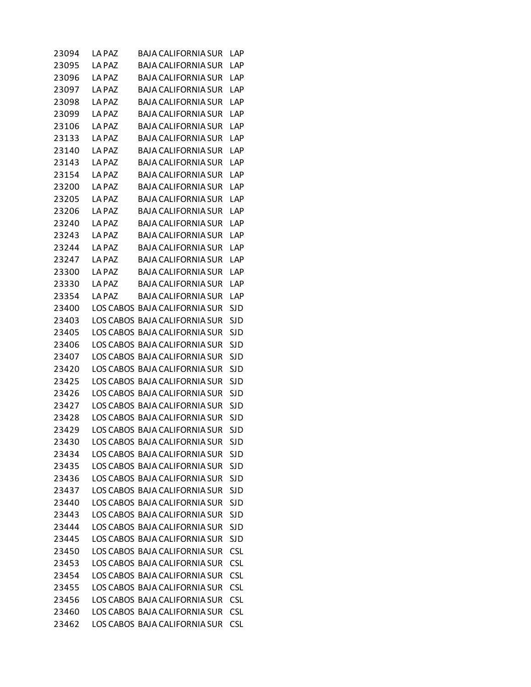| 23094 | LA PAZ | BAJA CALIFORNIA SUR           | LAP        |
|-------|--------|-------------------------------|------------|
| 23095 | LA PAZ | <b>BAJA CALIFORNIA SUR</b>    | LAP        |
| 23096 | LA PAZ | <b>BAJA CALIFORNIA SUR</b>    | LAP        |
| 23097 | LA PAZ | <b>BAJA CALIFORNIA SUR</b>    | <b>LAP</b> |
| 23098 | LA PAZ | <b>BAJA CALIFORNIA SUR</b>    | LAP        |
| 23099 | LA PAZ | <b>BAJA CALIFORNIA SUR</b>    | LAP        |
| 23106 | LA PAZ | <b>BAJA CALIFORNIA SUR</b>    | LAP        |
| 23133 | LA PAZ | <b>BAJA CALIFORNIA SUR</b>    | LAP        |
| 23140 | LA PAZ | <b>BAJA CALIFORNIA SUR</b>    | LAP        |
| 23143 | LA PAZ | <b>BAJA CALIFORNIA SUR</b>    | <b>LAP</b> |
| 23154 | LA PAZ | <b>BAJA CALIFORNIA SUR</b>    | LAP        |
| 23200 | LA PAZ | <b>BAJA CALIFORNIA SUR</b>    | LAP        |
| 23205 | LA PAZ | <b>BAJA CALIFORNIA SUR</b>    | LAP        |
| 23206 | LA PAZ | <b>BAJA CALIFORNIA SUR</b>    | LAP        |
| 23240 | LA PAZ | <b>BAJA CALIFORNIA SUR</b>    | LAP        |
| 23243 | LA PAZ | <b>BAJA CALIFORNIA SUR</b>    | LAP        |
| 23244 | LA PAZ | <b>BAJA CALIFORNIA SUR</b>    | LAP        |
| 23247 | LA PAZ | <b>BAJA CALIFORNIA SUR</b>    | LAP        |
| 23300 | LA PAZ | <b>BAJA CALIFORNIA SUR</b>    | LAP        |
| 23330 | LA PAZ | <b>BAJA CALIFORNIA SUR</b>    | LAP        |
| 23354 | LA PAZ | <b>BAJA CALIFORNIA SUR</b>    | LAP        |
| 23400 |        | LOS CABOS BAJA CALIFORNIA SUR | SJD        |
| 23403 |        | LOS CABOS BAJA CALIFORNIA SUR | <b>SJD</b> |
| 23405 |        | LOS CABOS BAJA CALIFORNIA SUR | <b>SJD</b> |
| 23406 |        | LOS CABOS BAJA CALIFORNIA SUR | SJD        |
| 23407 |        | LOS CABOS BAJA CALIFORNIA SUR | <b>SJD</b> |
| 23420 |        | LOS CABOS BAJA CALIFORNIA SUR | <b>SJD</b> |
| 23425 |        | LOS CABOS BAJA CALIFORNIA SUR | SJD        |
| 23426 |        | LOS CABOS BAJA CALIFORNIA SUR | <b>SJD</b> |
| 23427 |        | LOS CABOS BAJA CALIFORNIA SUR | SJD        |
| 23428 |        | LOS CABOS BAJA CALIFORNIA SUR | SJD        |
| 23429 |        | LOS CABOS BAJA CALIFORNIA SUR | <b>SJD</b> |
| 23430 |        | LOS CABOS BAJA CALIFORNIA SUR | <b>SJD</b> |
| 23434 |        | LOS CABOS BAJA CALIFORNIA SUR | <b>SJD</b> |
| 23435 |        | LOS CABOS BAJA CALIFORNIA SUR | <b>SJD</b> |
| 23436 |        | LOS CABOS BAJA CALIFORNIA SUR | <b>SJD</b> |
| 23437 |        | LOS CABOS BAJA CALIFORNIA SUR | <b>SJD</b> |
| 23440 |        | LOS CABOS BAJA CALIFORNIA SUR | <b>SJD</b> |
| 23443 |        | LOS CABOS BAJA CALIFORNIA SUR | <b>SJD</b> |
| 23444 |        | LOS CABOS BAJA CALIFORNIA SUR | <b>SJD</b> |
| 23445 |        | LOS CABOS BAJA CALIFORNIA SUR | <b>SJD</b> |
| 23450 |        | LOS CABOS BAJA CALIFORNIA SUR | <b>CSL</b> |
| 23453 |        | LOS CABOS BAJA CALIFORNIA SUR | <b>CSL</b> |
| 23454 |        | LOS CABOS BAJA CALIFORNIA SUR | <b>CSL</b> |
| 23455 |        | LOS CABOS BAJA CALIFORNIA SUR | <b>CSL</b> |
| 23456 |        | LOS CABOS BAJA CALIFORNIA SUR | <b>CSL</b> |
| 23460 |        | LOS CABOS BAJA CALIFORNIA SUR | <b>CSL</b> |
| 23462 |        | LOS CABOS BAJA CALIFORNIA SUR | <b>CSL</b> |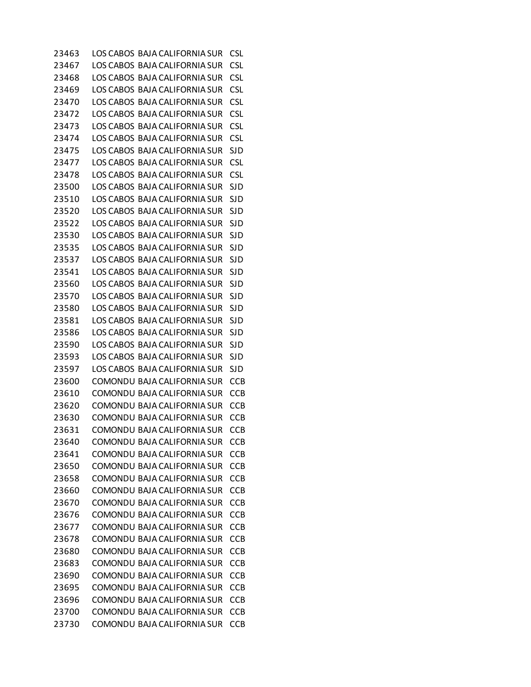LOS CABOS BAJA CALIFORNIA SUR CSL LOS CABOS BAJA CALIFORNIA SUR CSL LOS CABOS BAJA CALIFORNIA SUR CSL LOS CABOS BAJA CALIFORNIA SUR CSL LOS CABOS BAJA CALIFORNIA SUR CSL LOS CABOS BAJA CALIFORNIA SUR CSL LOS CABOS BAJA CALIFORNIA SUR CSL LOS CABOS BAJA CALIFORNIA SUR CSL LOS CABOS BAJA CALIFORNIA SUR SJD LOS CABOS BAJA CALIFORNIA SUR CSL LOS CABOS BAJA CALIFORNIA SUR CSL LOS CABOS BAJA CALIFORNIA SUR SJD LOS CABOS BAJA CALIFORNIA SUR SJD LOS CABOS BAJA CALIFORNIA SUR SJD LOS CABOS BAJA CALIFORNIA SUR SJD LOS CABOS BAJA CALIFORNIA SUR SJD LOS CABOS BAJA CALIFORNIA SUR SJD LOS CABOS BAJA CALIFORNIA SUR SJD LOS CABOS BAJA CALIFORNIA SUR SJD LOS CABOS BAJA CALIFORNIA SUR SJD LOS CABOS BAJA CALIFORNIA SUR SJD LOS CABOS BAJA CALIFORNIA SUR SJD LOS CABOS BAJA CALIFORNIA SUR SJD LOS CABOS BAJA CALIFORNIA SUR SJD LOS CABOS BAJA CALIFORNIA SUR SJD LOS CABOS BAJA CALIFORNIA SUR SJD LOS CABOS BAJA CALIFORNIA SUR SJD COMONDU BAJA CALIFORNIA SUR CCB COMONDU BAJA CALIFORNIA SUR CCB COMONDU BAJA CALIFORNIA SUR CCB COMONDU BAJA CALIFORNIA SUR CCB COMONDU BAJA CALIFORNIA SUR CCB COMONDU BAJA CALIFORNIA SUR CCB COMONDU BAJA CALIFORNIA SUR CCB COMONDU BAJA CALIFORNIA SUR CCB COMONDU BAJA CALIFORNIA SUR CCB COMONDU BAJA CALIFORNIA SUR CCB COMONDU BAJA CALIFORNIA SUR CCB COMONDU BAJA CALIFORNIA SUR CCB COMONDU BAJA CALIFORNIA SUR CCB COMONDU BAJA CALIFORNIA SUR CCB COMONDU BAJA CALIFORNIA SUR CCB COMONDU BAJA CALIFORNIA SUR CCB COMONDU BAJA CALIFORNIA SUR CCB COMONDU BAJA CALIFORNIA SUR CCB COMONDU BAJA CALIFORNIA SUR CCB COMONDU BAJA CALIFORNIA SUR CCB COMONDU BAJA CALIFORNIA SUR CCB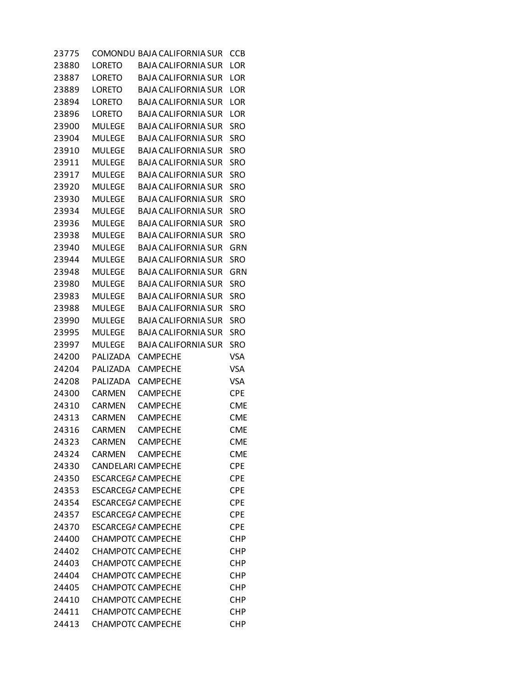| 23775 |                           | COMONDU BAJA CALIFORNIA SUR | <b>CCB</b> |
|-------|---------------------------|-----------------------------|------------|
| 23880 | <b>LORETO</b>             | <b>BAJA CALIFORNIA SUR</b>  | <b>LOR</b> |
| 23887 | LORETO                    | <b>BAJA CALIFORNIA SUR</b>  | LOR        |
| 23889 | LORETO                    | <b>BAJA CALIFORNIA SUR</b>  | LOR        |
| 23894 | LORETO                    | <b>BAJA CALIFORNIA SUR</b>  | LOR        |
| 23896 | LORETO                    | <b>BAJA CALIFORNIA SUR</b>  | LOR        |
| 23900 | <b>MULEGE</b>             | <b>BAJA CALIFORNIA SUR</b>  | SRO        |
| 23904 | <b>MULEGE</b>             | <b>BAJA CALIFORNIA SUR</b>  | <b>SRO</b> |
| 23910 | <b>MULEGE</b>             | <b>BAJA CALIFORNIA SUR</b>  | <b>SRO</b> |
| 23911 | <b>MULEGE</b>             | <b>BAJA CALIFORNIA SUR</b>  | SRO        |
| 23917 | <b>MULEGE</b>             | <b>BAJA CALIFORNIA SUR</b>  | <b>SRO</b> |
| 23920 | <b>MULEGE</b>             | <b>BAJA CALIFORNIA SUR</b>  | <b>SRO</b> |
| 23930 | MULEGE                    | <b>BAJA CALIFORNIA SUR</b>  | SRO        |
| 23934 | <b>MULEGE</b>             | <b>BAJA CALIFORNIA SUR</b>  | <b>SRO</b> |
| 23936 | MULEGE                    | <b>BAJA CALIFORNIA SUR</b>  | <b>SRO</b> |
| 23938 | <b>MULEGE</b>             | <b>BAJA CALIFORNIA SUR</b>  | SRO        |
| 23940 | <b>MULEGE</b>             | <b>BAJA CALIFORNIA SUR</b>  | <b>GRN</b> |
| 23944 | MULEGE                    | <b>BAJA CALIFORNIA SUR</b>  | SRO        |
| 23948 | MULEGE                    | <b>BAJA CALIFORNIA SUR</b>  | GRN        |
| 23980 | <b>MULEGE</b>             | <b>BAJA CALIFORNIA SUR</b>  | SRO        |
| 23983 | MULEGE                    | <b>BAJA CALIFORNIA SUR</b>  | <b>SRO</b> |
| 23988 | <b>MULEGE</b>             | <b>BAJA CALIFORNIA SUR</b>  | SRO        |
| 23990 | <b>MULEGE</b>             | <b>BAJA CALIFORNIA SUR</b>  | <b>SRO</b> |
| 23995 | MULEGE                    | <b>BAJA CALIFORNIA SUR</b>  | SRO        |
| 23997 | MULEGE                    | <b>BAJA CALIFORNIA SUR</b>  | SRO        |
| 24200 | PALIZADA                  | <b>CAMPECHE</b>             | <b>VSA</b> |
| 24204 | PALIZADA                  | CAMPECHE                    | <b>VSA</b> |
| 24208 | PALIZADA                  | <b>CAMPECHE</b>             | <b>VSA</b> |
| 24300 | <b>CARMEN</b>             | <b>CAMPECHE</b>             | <b>CPE</b> |
| 24310 | CARMEN                    | <b>CAMPECHE</b>             | <b>CME</b> |
| 24313 | <b>CARMEN</b>             | <b>CAMPECHE</b>             | <b>CME</b> |
| 24316 | <b>CARMEN</b>             | <b>CAMPECHE</b>             | <b>CME</b> |
| 24323 | <b>CARMEN</b>             | <b>CAMPECHE</b>             | <b>CME</b> |
| 24324 | <b>CARMEN</b>             | <b>CAMPECHE</b>             | <b>CME</b> |
| 24330 | <b>CANDELARI CAMPECHE</b> |                             | <b>CPE</b> |
| 24350 | <b>ESCARCEG/ CAMPECHE</b> |                             | <b>CPE</b> |
| 24353 | <b>ESCARCEGA CAMPECHE</b> |                             | <b>CPE</b> |
| 24354 | <b>ESCARCEGA CAMPECHE</b> |                             | <b>CPE</b> |
| 24357 | <b>ESCARCEGA CAMPECHE</b> |                             | <b>CPE</b> |
| 24370 | <b>ESCARCEGA CAMPECHE</b> |                             | <b>CPE</b> |
| 24400 | <b>CHAMPOTC CAMPECHE</b>  |                             | <b>CHP</b> |
| 24402 | <b>CHAMPOTC CAMPECHE</b>  |                             | <b>CHP</b> |
| 24403 | <b>CHAMPOTC CAMPECHE</b>  |                             | CHP        |
| 24404 | <b>CHAMPOTC CAMPECHE</b>  |                             | <b>CHP</b> |
| 24405 | <b>CHAMPOTC CAMPECHE</b>  |                             | <b>CHP</b> |
| 24410 | <b>CHAMPOTC CAMPECHE</b>  |                             | <b>CHP</b> |
| 24411 | <b>CHAMPOTC CAMPECHE</b>  |                             | <b>CHP</b> |
| 24413 | <b>CHAMPOTC CAMPECHE</b>  |                             | <b>CHP</b> |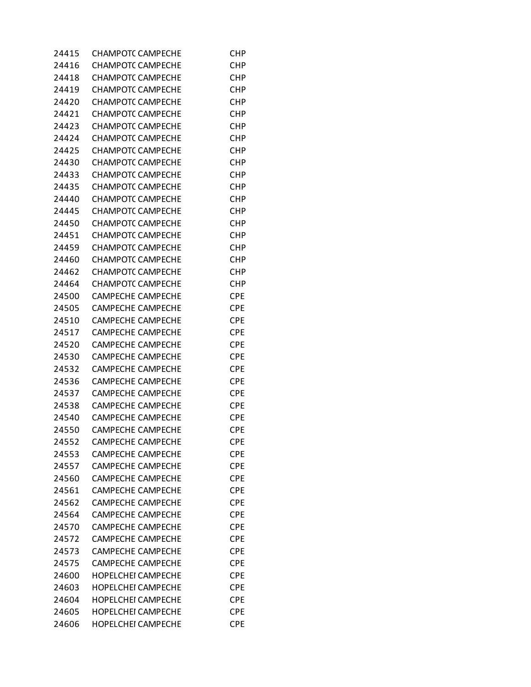| 24415 | CHAMPOTC CAMPECHE         | CHP        |
|-------|---------------------------|------------|
| 24416 | <b>CHAMPOTC CAMPECHE</b>  | CHP        |
| 24418 | <b>CHAMPOTC CAMPECHE</b>  | CHP        |
| 24419 | <b>CHAMPOTC CAMPECHE</b>  | CHP        |
| 24420 | <b>CHAMPOTC CAMPECHE</b>  | <b>CHP</b> |
| 24421 | <b>CHAMPOTC CAMPECHE</b>  | <b>CHP</b> |
| 24423 | <b>CHAMPOTC CAMPECHE</b>  | CHP        |
| 24424 | <b>CHAMPOTC CAMPECHE</b>  | CHP        |
| 24425 | <b>CHAMPOTC CAMPECHE</b>  | <b>CHP</b> |
| 24430 | <b>CHAMPOTC CAMPECHE</b>  | <b>CHP</b> |
| 24433 | <b>CHAMPOTC CAMPECHE</b>  | <b>CHP</b> |
| 24435 | <b>CHAMPOTC CAMPECHE</b>  | <b>CHP</b> |
| 24440 | <b>CHAMPOTC CAMPECHE</b>  | CHP        |
| 24445 | <b>CHAMPOTC CAMPECHE</b>  | CHP        |
| 24450 | <b>CHAMPOTC CAMPECHE</b>  | <b>CHP</b> |
| 24451 | <b>CHAMPOTC CAMPECHE</b>  | <b>CHP</b> |
| 24459 | <b>CHAMPOTC CAMPECHE</b>  | <b>CHP</b> |
|       |                           |            |
| 24460 | <b>CHAMPOTC CAMPECHE</b>  | <b>CHP</b> |
| 24462 | <b>CHAMPOTC CAMPECHE</b>  | CHP        |
| 24464 | <b>CHAMPOTC CAMPECHE</b>  | CHP        |
| 24500 | <b>CAMPECHE CAMPECHE</b>  | <b>CPE</b> |
| 24505 | <b>CAMPECHE CAMPECHE</b>  | <b>CPE</b> |
| 24510 | <b>CAMPECHE CAMPECHE</b>  | <b>CPE</b> |
| 24517 | <b>CAMPECHE CAMPECHE</b>  | <b>CPE</b> |
| 24520 | <b>CAMPECHE CAMPECHE</b>  | <b>CPE</b> |
| 24530 | <b>CAMPECHE CAMPECHE</b>  | <b>CPE</b> |
| 24532 | <b>CAMPECHE CAMPECHE</b>  | <b>CPE</b> |
| 24536 | <b>CAMPECHE CAMPECHE</b>  | CPE        |
| 24537 | <b>CAMPECHE CAMPECHE</b>  | <b>CPE</b> |
| 24538 | <b>CAMPECHE CAMPECHE</b>  | <b>CPE</b> |
| 24540 | <b>CAMPECHE CAMPECHE</b>  | <b>CPE</b> |
| 24550 | <b>CAMPECHE CAMPECHE</b>  | <b>CPE</b> |
| 24552 | <b>CAMPECHE CAMPECHE</b>  | <b>CPE</b> |
| 24553 | <b>CAMPECHE CAMPECHE</b>  | CPE        |
| 24557 | <b>CAMPECHE CAMPECHE</b>  | CPE        |
| 24560 | <b>CAMPECHE CAMPECHE</b>  | <b>CPE</b> |
| 24561 | <b>CAMPECHE CAMPECHE</b>  | <b>CPE</b> |
| 24562 | <b>CAMPECHE CAMPECHE</b>  | <b>CPE</b> |
| 24564 | <b>CAMPECHE CAMPECHE</b>  | <b>CPE</b> |
| 24570 | <b>CAMPECHE CAMPECHE</b>  | CPE        |
| 24572 | <b>CAMPECHE CAMPECHE</b>  | <b>CPE</b> |
| 24573 | <b>CAMPECHE CAMPECHE</b>  | <b>CPE</b> |
| 24575 | <b>CAMPECHE CAMPECHE</b>  | <b>CPE</b> |
| 24600 | <b>HOPELCHEI CAMPECHE</b> | <b>CPE</b> |
| 24603 | <b>HOPELCHEI CAMPECHE</b> | <b>CPE</b> |
| 24604 | <b>HOPELCHEI CAMPECHE</b> | CPE        |
| 24605 | <b>HOPELCHEI CAMPECHE</b> | <b>CPE</b> |
| 24606 | <b>HOPELCHEI CAMPECHE</b> | <b>CPE</b> |
|       |                           |            |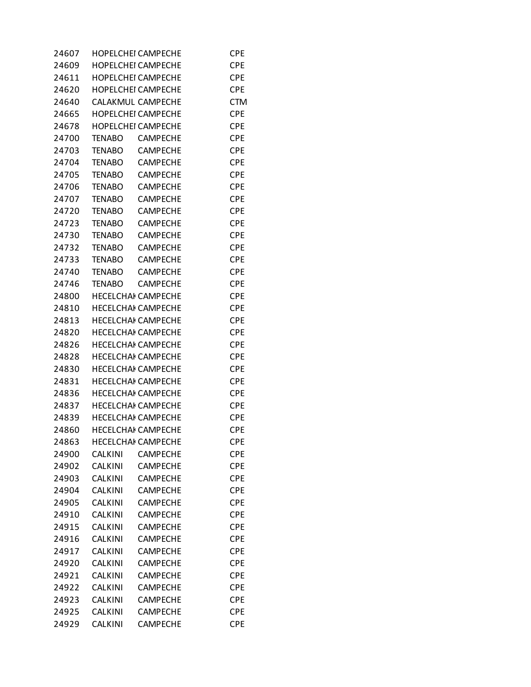| 24607 |                | <b>HOPELCHEI CAMPECHE</b> | CPE        |
|-------|----------------|---------------------------|------------|
| 24609 |                | <b>HOPELCHEI CAMPECHE</b> | <b>CPE</b> |
| 24611 |                | <b>HOPELCHEI CAMPECHE</b> | <b>CPE</b> |
| 24620 |                | <b>HOPELCHEI CAMPECHE</b> | <b>CPE</b> |
| 24640 |                | <b>CALAKMUL CAMPECHE</b>  | <b>CTM</b> |
| 24665 |                | <b>HOPELCHEI CAMPECHE</b> | <b>CPE</b> |
| 24678 |                | HOPELCHEI CAMPECHE        | <b>CPE</b> |
| 24700 | <b>TENABO</b>  | <b>CAMPECHE</b>           | <b>CPE</b> |
| 24703 | <b>TENABO</b>  | <b>CAMPECHE</b>           | <b>CPE</b> |
| 24704 | <b>TENABO</b>  | <b>CAMPECHE</b>           | <b>CPE</b> |
| 24705 | <b>TENABO</b>  | <b>CAMPECHE</b>           | <b>CPE</b> |
| 24706 | <b>TENABO</b>  | <b>CAMPECHE</b>           | <b>CPE</b> |
| 24707 | <b>TENABO</b>  | <b>CAMPECHE</b>           | <b>CPE</b> |
| 24720 | <b>TENABO</b>  | <b>CAMPECHE</b>           | <b>CPE</b> |
| 24723 | <b>TENABO</b>  | <b>CAMPECHE</b>           | <b>CPE</b> |
| 24730 | <b>TENABO</b>  | <b>CAMPECHE</b>           | <b>CPE</b> |
| 24732 | <b>TENABO</b>  | <b>CAMPECHE</b>           | <b>CPE</b> |
| 24733 | <b>TENABO</b>  | <b>CAMPECHE</b>           | <b>CPE</b> |
| 24740 | <b>TENABO</b>  | <b>CAMPECHE</b>           | <b>CPE</b> |
|       |                | <b>CAMPECHE</b>           |            |
| 24746 | <b>TENABO</b>  |                           | <b>CPE</b> |
| 24800 |                | <b>HECELCHAI CAMPECHE</b> | <b>CPE</b> |
| 24810 |                | <b>HECELCHAI CAMPECHE</b> | <b>CPE</b> |
| 24813 |                | <b>HECELCHAI CAMPECHE</b> | <b>CPE</b> |
| 24820 |                | <b>HECELCHAI CAMPECHE</b> | <b>CPE</b> |
| 24826 |                | <b>HECELCHAI CAMPECHE</b> | <b>CPE</b> |
| 24828 |                | <b>HECELCHAI CAMPECHE</b> | <b>CPE</b> |
| 24830 |                | <b>HECELCHAI CAMPECHE</b> | <b>CPE</b> |
| 24831 |                | <b>HECELCHAI CAMPECHE</b> | <b>CPE</b> |
| 24836 |                | <b>HECELCHAI CAMPECHE</b> | <b>CPE</b> |
| 24837 |                | <b>HECELCHAI CAMPECHE</b> | <b>CPE</b> |
| 24839 |                | <b>HECELCHAI CAMPECHE</b> | <b>CPE</b> |
| 24860 |                | <b>HECELCHAI CAMPECHE</b> | <b>CPE</b> |
| 24863 |                | <b>HECELCHAI CAMPECHE</b> | <b>CPE</b> |
| 24900 | <b>CALKINI</b> | <b>CAMPECHE</b>           | <b>CPE</b> |
| 24902 | <b>CALKINI</b> | <b>CAMPECHE</b>           | <b>CPE</b> |
| 24903 | <b>CALKINI</b> | <b>CAMPECHE</b>           | <b>CPE</b> |
| 24904 | <b>CALKINI</b> | <b>CAMPECHE</b>           | <b>CPE</b> |
| 24905 | <b>CALKINI</b> | <b>CAMPECHE</b>           | <b>CPE</b> |
| 24910 | <b>CALKINI</b> | CAMPECHE                  | <b>CPE</b> |
| 24915 | <b>CALKINI</b> | <b>CAMPECHE</b>           | <b>CPE</b> |
| 24916 | <b>CALKINI</b> | <b>CAMPECHE</b>           | <b>CPE</b> |
| 24917 | <b>CALKINI</b> | <b>CAMPECHE</b>           | <b>CPE</b> |
| 24920 | <b>CALKINI</b> | <b>CAMPECHE</b>           | <b>CPE</b> |
| 24921 | CALKINI        | <b>CAMPECHE</b>           | <b>CPE</b> |
| 24922 | <b>CALKINI</b> | CAMPECHE                  | <b>CPE</b> |
| 24923 | <b>CALKINI</b> | <b>CAMPECHE</b>           | <b>CPE</b> |
| 24925 | <b>CALKINI</b> | <b>CAMPECHE</b>           | <b>CPE</b> |
| 24929 | <b>CALKINI</b> | <b>CAMPECHE</b>           | <b>CPE</b> |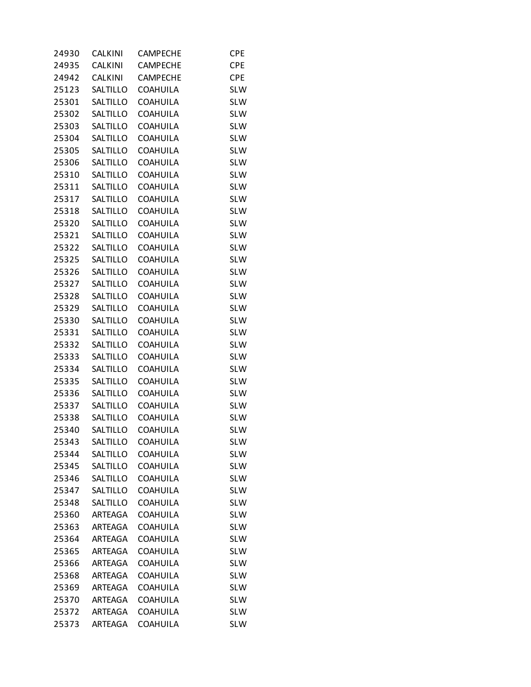| <b>CALKINI</b> | <b>CAMPECHE</b>                                                                                                                                                                                                                                                                                          | <b>CPE</b>                                                                                                                                                                                                                                                                                                                                                                                                                                                                                          |
|----------------|----------------------------------------------------------------------------------------------------------------------------------------------------------------------------------------------------------------------------------------------------------------------------------------------------------|-----------------------------------------------------------------------------------------------------------------------------------------------------------------------------------------------------------------------------------------------------------------------------------------------------------------------------------------------------------------------------------------------------------------------------------------------------------------------------------------------------|
| CALKINI        | <b>CAMPECHE</b>                                                                                                                                                                                                                                                                                          | <b>CPE</b>                                                                                                                                                                                                                                                                                                                                                                                                                                                                                          |
| <b>CALKINI</b> | <b>CAMPECHE</b>                                                                                                                                                                                                                                                                                          | <b>CPE</b>                                                                                                                                                                                                                                                                                                                                                                                                                                                                                          |
| SALTILLO       | <b>COAHUILA</b>                                                                                                                                                                                                                                                                                          | <b>SLW</b>                                                                                                                                                                                                                                                                                                                                                                                                                                                                                          |
| SALTILLO       | <b>COAHUILA</b>                                                                                                                                                                                                                                                                                          | <b>SLW</b>                                                                                                                                                                                                                                                                                                                                                                                                                                                                                          |
| SALTILLO       |                                                                                                                                                                                                                                                                                                          | <b>SLW</b>                                                                                                                                                                                                                                                                                                                                                                                                                                                                                          |
|                |                                                                                                                                                                                                                                                                                                          | <b>SLW</b>                                                                                                                                                                                                                                                                                                                                                                                                                                                                                          |
|                |                                                                                                                                                                                                                                                                                                          | <b>SLW</b>                                                                                                                                                                                                                                                                                                                                                                                                                                                                                          |
|                |                                                                                                                                                                                                                                                                                                          | <b>SLW</b>                                                                                                                                                                                                                                                                                                                                                                                                                                                                                          |
|                |                                                                                                                                                                                                                                                                                                          | <b>SLW</b>                                                                                                                                                                                                                                                                                                                                                                                                                                                                                          |
|                |                                                                                                                                                                                                                                                                                                          | <b>SLW</b>                                                                                                                                                                                                                                                                                                                                                                                                                                                                                          |
|                |                                                                                                                                                                                                                                                                                                          | <b>SLW</b>                                                                                                                                                                                                                                                                                                                                                                                                                                                                                          |
|                |                                                                                                                                                                                                                                                                                                          | <b>SLW</b>                                                                                                                                                                                                                                                                                                                                                                                                                                                                                          |
|                |                                                                                                                                                                                                                                                                                                          | <b>SLW</b>                                                                                                                                                                                                                                                                                                                                                                                                                                                                                          |
|                |                                                                                                                                                                                                                                                                                                          | <b>SLW</b>                                                                                                                                                                                                                                                                                                                                                                                                                                                                                          |
|                |                                                                                                                                                                                                                                                                                                          | <b>SLW</b>                                                                                                                                                                                                                                                                                                                                                                                                                                                                                          |
|                |                                                                                                                                                                                                                                                                                                          | <b>SLW</b>                                                                                                                                                                                                                                                                                                                                                                                                                                                                                          |
|                |                                                                                                                                                                                                                                                                                                          | <b>SLW</b>                                                                                                                                                                                                                                                                                                                                                                                                                                                                                          |
|                |                                                                                                                                                                                                                                                                                                          | <b>SLW</b>                                                                                                                                                                                                                                                                                                                                                                                                                                                                                          |
|                |                                                                                                                                                                                                                                                                                                          | <b>SLW</b>                                                                                                                                                                                                                                                                                                                                                                                                                                                                                          |
|                |                                                                                                                                                                                                                                                                                                          | <b>SLW</b>                                                                                                                                                                                                                                                                                                                                                                                                                                                                                          |
|                |                                                                                                                                                                                                                                                                                                          | <b>SLW</b>                                                                                                                                                                                                                                                                                                                                                                                                                                                                                          |
|                |                                                                                                                                                                                                                                                                                                          | <b>SLW</b>                                                                                                                                                                                                                                                                                                                                                                                                                                                                                          |
|                |                                                                                                                                                                                                                                                                                                          | <b>SLW</b>                                                                                                                                                                                                                                                                                                                                                                                                                                                                                          |
|                |                                                                                                                                                                                                                                                                                                          | <b>SLW</b>                                                                                                                                                                                                                                                                                                                                                                                                                                                                                          |
|                |                                                                                                                                                                                                                                                                                                          | <b>SLW</b>                                                                                                                                                                                                                                                                                                                                                                                                                                                                                          |
|                |                                                                                                                                                                                                                                                                                                          | <b>SLW</b>                                                                                                                                                                                                                                                                                                                                                                                                                                                                                          |
|                |                                                                                                                                                                                                                                                                                                          | <b>SLW</b>                                                                                                                                                                                                                                                                                                                                                                                                                                                                                          |
|                |                                                                                                                                                                                                                                                                                                          | <b>SLW</b>                                                                                                                                                                                                                                                                                                                                                                                                                                                                                          |
|                | <b>COAHUILA</b>                                                                                                                                                                                                                                                                                          | <b>SLW</b>                                                                                                                                                                                                                                                                                                                                                                                                                                                                                          |
| SALTILLO       | <b>COAHUILA</b>                                                                                                                                                                                                                                                                                          | <b>SLW</b>                                                                                                                                                                                                                                                                                                                                                                                                                                                                                          |
|                |                                                                                                                                                                                                                                                                                                          | <b>SLW</b>                                                                                                                                                                                                                                                                                                                                                                                                                                                                                          |
| SALTILLO       | COAHUILA                                                                                                                                                                                                                                                                                                 | <b>SLW</b>                                                                                                                                                                                                                                                                                                                                                                                                                                                                                          |
| SALTILLO       |                                                                                                                                                                                                                                                                                                          | <b>SLW</b>                                                                                                                                                                                                                                                                                                                                                                                                                                                                                          |
| SALTILLO       | <b>COAHUILA</b>                                                                                                                                                                                                                                                                                          | <b>SLW</b>                                                                                                                                                                                                                                                                                                                                                                                                                                                                                          |
| SALTILLO       | <b>COAHUILA</b>                                                                                                                                                                                                                                                                                          | <b>SLW</b>                                                                                                                                                                                                                                                                                                                                                                                                                                                                                          |
| SALTILLO       | <b>COAHUILA</b>                                                                                                                                                                                                                                                                                          | <b>SLW</b>                                                                                                                                                                                                                                                                                                                                                                                                                                                                                          |
| SALTILLO       | <b>COAHUILA</b>                                                                                                                                                                                                                                                                                          | <b>SLW</b>                                                                                                                                                                                                                                                                                                                                                                                                                                                                                          |
| <b>ARTEAGA</b> | <b>COAHUILA</b>                                                                                                                                                                                                                                                                                          | <b>SLW</b>                                                                                                                                                                                                                                                                                                                                                                                                                                                                                          |
| <b>ARTEAGA</b> | <b>COAHUILA</b>                                                                                                                                                                                                                                                                                          | <b>SLW</b>                                                                                                                                                                                                                                                                                                                                                                                                                                                                                          |
| <b>ARTEAGA</b> | <b>COAHUILA</b>                                                                                                                                                                                                                                                                                          | <b>SLW</b>                                                                                                                                                                                                                                                                                                                                                                                                                                                                                          |
| <b>ARTEAGA</b> | <b>COAHUILA</b>                                                                                                                                                                                                                                                                                          | <b>SLW</b>                                                                                                                                                                                                                                                                                                                                                                                                                                                                                          |
| ARTEAGA        | <b>COAHUILA</b>                                                                                                                                                                                                                                                                                          | <b>SLW</b>                                                                                                                                                                                                                                                                                                                                                                                                                                                                                          |
| <b>ARTEAGA</b> | <b>COAHUILA</b>                                                                                                                                                                                                                                                                                          | <b>SLW</b>                                                                                                                                                                                                                                                                                                                                                                                                                                                                                          |
| <b>ARTEAGA</b> | <b>COAHUILA</b>                                                                                                                                                                                                                                                                                          | <b>SLW</b>                                                                                                                                                                                                                                                                                                                                                                                                                                                                                          |
| ARTEAGA        | <b>COAHUILA</b>                                                                                                                                                                                                                                                                                          | <b>SLW</b>                                                                                                                                                                                                                                                                                                                                                                                                                                                                                          |
| <b>ARTEAGA</b> | <b>COAHUILA</b>                                                                                                                                                                                                                                                                                          | <b>SLW</b>                                                                                                                                                                                                                                                                                                                                                                                                                                                                                          |
| ARTEAGA        | <b>COAHUILA</b>                                                                                                                                                                                                                                                                                          | <b>SLW</b>                                                                                                                                                                                                                                                                                                                                                                                                                                                                                          |
|                | SALTILLO<br>SALTILLO<br>SALTILLO<br>SALTILLO<br>SALTILLO<br>SALTILLO<br>SALTILLO<br>SALTILLO<br>SALTILLO<br>SALTILLO<br>SALTILLO<br>SALTILLO<br>SALTILLO<br>SALTILLO<br>SALTILLO<br>SALTILLO<br>SALTILLO<br>SALTILLO<br>SALTILLO<br>SALTILLO<br>SALTILLO<br>SALTILLO<br>SALTILLO<br>SALTILLO<br>SALTILLO | <b>COAHUILA</b><br><b>COAHUILA</b><br><b>COAHUILA</b><br><b>COAHUILA</b><br><b>COAHUILA</b><br><b>COAHUILA</b><br><b>COAHUILA</b><br><b>COAHUILA</b><br><b>COAHUILA</b><br><b>COAHUILA</b><br><b>COAHUILA</b><br><b>COAHUILA</b><br><b>COAHUILA</b><br><b>COAHUILA</b><br><b>COAHUILA</b><br><b>COAHUILA</b><br><b>COAHUILA</b><br><b>COAHUILA</b><br><b>COAHUILA</b><br><b>COAHUILA</b><br><b>COAHUILA</b><br><b>COAHUILA</b><br><b>COAHUILA</b><br><b>COAHUILA</b><br><b>COAHUILA</b><br>COAHUILA |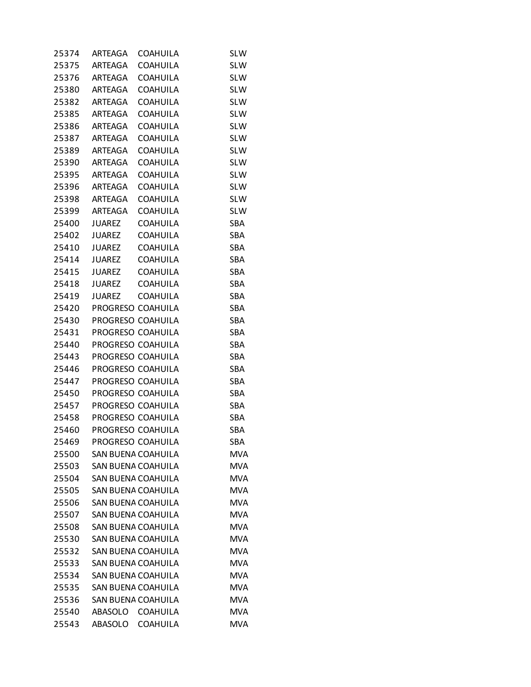| 25374 | ARTEAGA                 | <b>COAHUILA</b>           | <b>SLW</b> |
|-------|-------------------------|---------------------------|------------|
| 25375 | ARTEAGA                 | <b>COAHUILA</b>           | <b>SLW</b> |
|       | 25376 ARTEAGA           | <b>COAHUILA</b>           | <b>SLW</b> |
|       | 25380 ARTEAGA           | <b>COAHUILA</b>           | <b>SLW</b> |
| 25382 | ARTEAGA                 | <b>COAHUILA</b>           | <b>SLW</b> |
| 25385 | ARTEAGA                 | <b>COAHUILA</b>           | <b>SLW</b> |
| 25386 | ARTEAGA                 | <b>COAHUILA</b>           | <b>SLW</b> |
| 25387 | ARTEAGA                 | <b>COAHUILA</b>           | <b>SLW</b> |
|       | 25389 ARTEAGA           | <b>COAHUILA</b>           | <b>SLW</b> |
| 25390 | ARTEAGA                 | <b>COAHUILA</b>           | <b>SLW</b> |
| 25395 | ARTEAGA                 | <b>COAHUILA</b>           | <b>SLW</b> |
| 25396 | ARTEAGA                 | <b>COAHUILA</b>           | <b>SLW</b> |
| 25398 | ARTEAGA                 | <b>COAHUILA</b>           | <b>SLW</b> |
| 25399 | ARTEAGA                 | COAHUILA                  | <b>SLW</b> |
| 25400 | <b>JUAREZ</b>           | <b>COAHUILA</b>           | SBA        |
| 25402 | JUAREZ                  | <b>COAHUILA</b>           | SBA        |
| 25410 | JUAREZ                  | <b>COAHUILA</b>           | SBA        |
| 25414 | JUAREZ                  | <b>COAHUILA</b>           | SBA        |
| 25415 | JUAREZ                  | <b>COAHUILA</b>           | SBA        |
| 25418 | JUAREZ                  | COAHUILA                  | SBA        |
| 25419 | <b>JUAREZ</b>           | <b>COAHUILA</b>           | SBA        |
|       | 25420 PROGRESO COAHUILA |                           | SBA        |
| 25430 |                         | PROGRESO COAHUILA         | SBA        |
| 25431 |                         | PROGRESO COAHUILA         | SBA        |
| 25440 |                         | PROGRESO COAHUILA         | SBA        |
| 25443 |                         | PROGRESO COAHUILA         | SBA        |
| 25446 |                         | PROGRESO COAHUILA         | SBA        |
| 25447 |                         | PROGRESO COAHUILA         | SBA        |
| 25450 |                         | PROGRESO COAHUILA         | SBA        |
| 25457 |                         | PROGRESO COAHUILA         | SBA        |
| 25458 |                         | PROGRESO COAHUILA         | SBA        |
| 25460 |                         | PROGRESO COAHUILA         | SBA        |
| 25469 |                         | PROGRESO COAHUILA         | <b>SBA</b> |
| 25500 |                         | SAN BUENA COAHUILA        | <b>MVA</b> |
| 25503 |                         | SAN BUENA COAHUILA        | <b>MVA</b> |
| 25504 |                         | <b>SAN BUENA COAHUILA</b> | <b>MVA</b> |
| 25505 |                         | SAN BUENA COAHUILA        | <b>MVA</b> |
| 25506 |                         | SAN BUENA COAHUILA        | <b>MVA</b> |
| 25507 |                         | <b>SAN BUENA COAHUILA</b> | <b>MVA</b> |
| 25508 |                         | SAN BUENA COAHUILA        | <b>MVA</b> |
| 25530 |                         | SAN BUENA COAHUILA        | <b>MVA</b> |
| 25532 |                         | SAN BUENA COAHUILA        | <b>MVA</b> |
| 25533 |                         | SAN BUENA COAHUILA        | <b>MVA</b> |
| 25534 |                         | SAN BUENA COAHUILA        | <b>MVA</b> |
| 25535 |                         | SAN BUENA COAHUILA        | <b>MVA</b> |
| 25536 |                         | SAN BUENA COAHUILA        | <b>MVA</b> |
| 25540 |                         | ABASOLO COAHUILA          | <b>MVA</b> |
| 25543 |                         | ABASOLO COAHUILA          | <b>MVA</b> |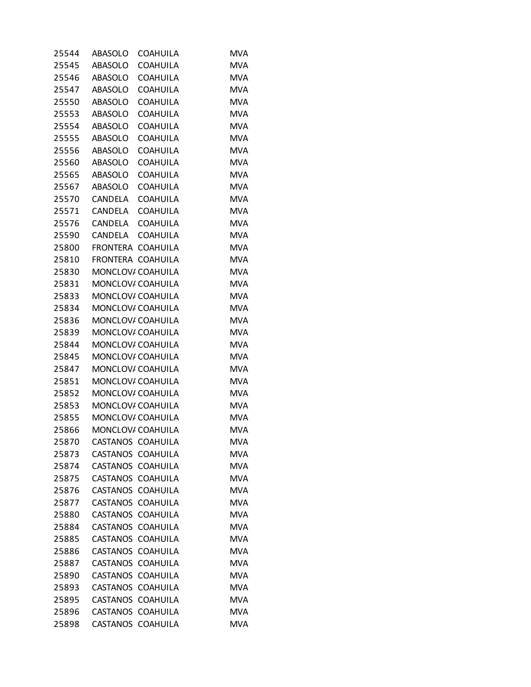| 25544 | ABASOLO           | <b>COAHUILA</b>   | <b>MVA</b> |
|-------|-------------------|-------------------|------------|
| 25545 | ABASOLO           | <b>COAHUILA</b>   | <b>MVA</b> |
| 25546 | ABASOLO           | <b>COAHUILA</b>   | <b>MVA</b> |
| 25547 | ABASOLO           | <b>COAHUILA</b>   | <b>MVA</b> |
| 25550 | ABASOLO           | <b>COAHUILA</b>   | <b>MVA</b> |
| 25553 | ABASOLO           | <b>COAHUILA</b>   | <b>MVA</b> |
| 25554 | ABASOLO           | <b>COAHUILA</b>   | <b>MVA</b> |
| 25555 | ABASOLO           | <b>COAHUILA</b>   | <b>MVA</b> |
| 25556 | ABASOLO           | <b>COAHUILA</b>   | <b>MVA</b> |
| 25560 | ABASOLO           | <b>COAHUILA</b>   | <b>MVA</b> |
| 25565 | ABASOLO           | <b>COAHUILA</b>   | <b>MVA</b> |
| 25567 | ABASOLO           | <b>COAHUILA</b>   | <b>MVA</b> |
| 25570 | CANDELA           | <b>COAHUILA</b>   | <b>MVA</b> |
| 25571 | CANDELA           | <b>COAHUILA</b>   | <b>MVA</b> |
| 25576 | CANDELA           | <b>COAHUILA</b>   | <b>MVA</b> |
| 25590 | CANDELA COAHUILA  |                   | <b>MVA</b> |
| 25800 | FRONTERA          | <b>COAHUILA</b>   | <b>MVA</b> |
| 25810 | FRONTERA COAHUILA |                   | <b>MVA</b> |
| 25830 | MONCLOV/ COAHUILA |                   | <b>MVA</b> |
| 25831 | MONCLOV/ COAHUILA |                   | <b>MVA</b> |
| 25833 | MONCLOV/ COAHUILA |                   | <b>MVA</b> |
| 25834 | MONCLOV/ COAHUILA |                   | <b>MVA</b> |
| 25836 | MONCLOV/ COAHUILA |                   | <b>MVA</b> |
| 25839 | MONCLOV/ COAHUILA |                   | <b>MVA</b> |
| 25844 | MONCLOV/ COAHUILA |                   | <b>MVA</b> |
| 25845 | MONCLOV/ COAHUILA |                   | <b>MVA</b> |
| 25847 | MONCLOV/ COAHUILA |                   | <b>MVA</b> |
| 25851 | MONCLOV/ COAHUILA |                   | <b>MVA</b> |
| 25852 | MONCLOV/ COAHUILA |                   | <b>MVA</b> |
| 25853 | MONCLOV/ COAHUILA |                   | <b>MVA</b> |
| 25855 |                   | MONCLOV/ COAHUILA | <b>MVA</b> |
| 25866 | MONCLOV/ COAHUILA |                   | <b>MVA</b> |
| 25870 | CASTANOS COAHUILA |                   | <b>MVA</b> |
| 25873 | CASTANOS COAHUILA |                   | <b>MVA</b> |
| 25874 | CASTANOS          | <b>COAHUILA</b>   | <b>MVA</b> |
| 25875 | CASTANOS          | <b>COAHUILA</b>   | <b>MVA</b> |
| 25876 | CASTANOS COAHUILA |                   | <b>MVA</b> |
| 25877 | <b>CASTANOS</b>   | <b>COAHUILA</b>   | <b>MVA</b> |
| 25880 | <b>CASTANOS</b>   | <b>COAHUILA</b>   | <b>MVA</b> |
| 25884 | <b>CASTANOS</b>   | <b>COAHUILA</b>   | <b>MVA</b> |
| 25885 | <b>CASTANOS</b>   | <b>COAHUILA</b>   | <b>MVA</b> |
| 25886 | <b>CASTANOS</b>   | <b>COAHUILA</b>   | <b>MVA</b> |
| 25887 | CASTANOS COAHUILA |                   | <b>MVA</b> |
| 25890 | <b>CASTANOS</b>   | <b>COAHUILA</b>   | <b>MVA</b> |
| 25893 | <b>CASTANOS</b>   | <b>COAHUILA</b>   | <b>MVA</b> |
| 25895 | <b>CASTANOS</b>   | <b>COAHUILA</b>   | <b>MVA</b> |
| 25896 | <b>CASTANOS</b>   | <b>COAHUILA</b>   | <b>MVA</b> |
| 25898 | CASTANOS COAHUILA |                   | <b>MVA</b> |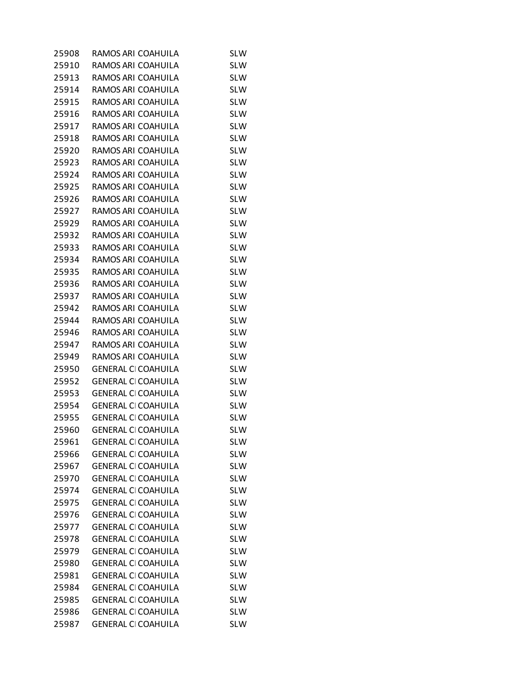| 25908 | RAMOS ARI COAHUILA         | <b>SLW</b> |
|-------|----------------------------|------------|
| 25910 | RAMOS ARI COAHUILA         | <b>SLW</b> |
| 25913 | RAMOS ARI COAHUILA         | <b>SLW</b> |
| 25914 | RAMOS ARI COAHUILA         | <b>SLW</b> |
| 25915 | RAMOS ARI COAHUILA         | <b>SLW</b> |
| 25916 | RAMOS ARI COAHUILA         | <b>SLW</b> |
| 25917 | RAMOS ARI COAHUILA         | <b>SLW</b> |
| 25918 | RAMOS ARI COAHUILA         | <b>SLW</b> |
| 25920 | RAMOS ARI COAHUILA         | <b>SLW</b> |
| 25923 | RAMOS ARI COAHUILA         | <b>SLW</b> |
| 25924 | RAMOS ARI COAHUILA         | <b>SLW</b> |
| 25925 | RAMOS ARI COAHUILA         | <b>SLW</b> |
| 25926 | RAMOS ARI COAHUILA         | <b>SLW</b> |
| 25927 | RAMOS ARI COAHUILA         | <b>SLW</b> |
| 25929 | RAMOS ARI COAHUILA         | <b>SLW</b> |
| 25932 | RAMOS ARI COAHUILA         | <b>SLW</b> |
| 25933 | RAMOS ARI COAHUILA         | <b>SLW</b> |
| 25934 | RAMOS ARI COAHUILA         | <b>SLW</b> |
| 25935 | RAMOS ARI COAHUILA         | <b>SLW</b> |
| 25936 | RAMOS ARI COAHUILA         | <b>SLW</b> |
| 25937 | RAMOS ARI COAHUILA         | <b>SLW</b> |
| 25942 | RAMOS ARI COAHUILA         | <b>SLW</b> |
| 25944 | RAMOS ARI COAHUILA         | <b>SLW</b> |
| 25946 | RAMOS ARI COAHUILA         | <b>SLW</b> |
| 25947 | RAMOS ARI COAHUILA         | <b>SLW</b> |
| 25949 | RAMOS ARI COAHUILA         | <b>SLW</b> |
| 25950 | <b>GENERAL CI COAHUILA</b> | <b>SLW</b> |
| 25952 | <b>GENERAL CI COAHUILA</b> | <b>SLW</b> |
| 25953 | <b>GENERAL CI COAHUILA</b> | <b>SLW</b> |
| 25954 | <b>GENERAL CI COAHUILA</b> | <b>SLW</b> |
| 25955 | <b>GENERAL CI COAHUILA</b> | <b>SLW</b> |
| 25960 | <b>GENERAL CI COAHUILA</b> | <b>SLW</b> |
| 25961 | <b>GENERAL CI COAHUILA</b> | <b>SLW</b> |
| 25966 | <b>GENERAL CI COAHUILA</b> | <b>SLW</b> |
| 25967 | <b>GENERAL CI COAHUILA</b> | <b>SLW</b> |
| 25970 | <b>GENERAL CI COAHUILA</b> | <b>SLW</b> |
| 25974 | <b>GENERAL CI COAHUILA</b> | <b>SLW</b> |
| 25975 | <b>GENERAL CI COAHUILA</b> | <b>SLW</b> |
| 25976 | <b>GENERAL CI COAHUILA</b> | <b>SLW</b> |
| 25977 | <b>GENERAL CI COAHUILA</b> | <b>SLW</b> |
| 25978 | <b>GENERAL CI COAHUILA</b> | <b>SLW</b> |
| 25979 | <b>GENERAL CI COAHUILA</b> | <b>SLW</b> |
| 25980 | <b>GENERAL CI COAHUILA</b> | <b>SLW</b> |
| 25981 | <b>GENERAL CI COAHUILA</b> | <b>SLW</b> |
| 25984 | <b>GENERAL CI COAHUILA</b> | <b>SLW</b> |
| 25985 | <b>GENERAL CI COAHUILA</b> | <b>SLW</b> |
| 25986 | <b>GENERAL CI COAHUILA</b> | <b>SLW</b> |
| 25987 | <b>GENERAL CI COAHUILA</b> | <b>SLW</b> |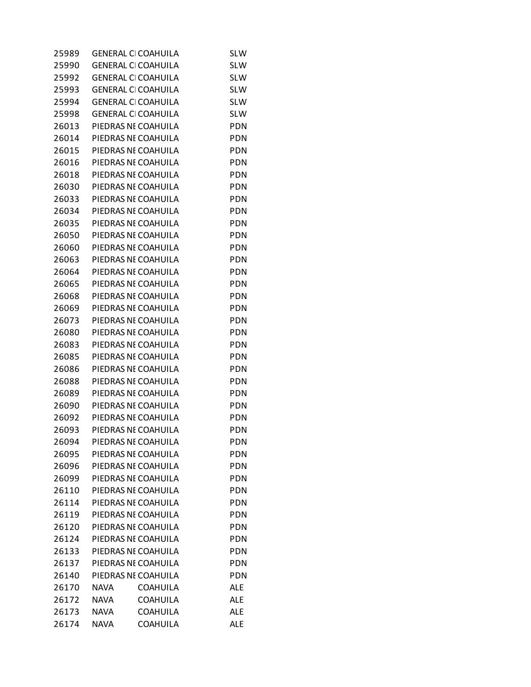| 25989 | <b>GENERAL CI COAHUILA</b> |                 | <b>SLW</b> |
|-------|----------------------------|-----------------|------------|
| 25990 | <b>GENERAL CI COAHUILA</b> |                 | <b>SLW</b> |
| 25992 | <b>GENERAL CI COAHUILA</b> |                 | <b>SLW</b> |
| 25993 | <b>GENERAL CI COAHUILA</b> |                 | <b>SLW</b> |
| 25994 | <b>GENERAL CI COAHUILA</b> |                 | <b>SLW</b> |
| 25998 | <b>GENERAL CI COAHUILA</b> |                 | <b>SLW</b> |
| 26013 | PIEDRAS NE COAHUILA        |                 | <b>PDN</b> |
| 26014 | PIEDRAS NE COAHUILA        |                 | <b>PDN</b> |
| 26015 | PIEDRAS NE COAHUILA        |                 | <b>PDN</b> |
| 26016 | PIEDRAS NE COAHUILA        |                 | <b>PDN</b> |
| 26018 | PIEDRAS NE COAHUILA        |                 | <b>PDN</b> |
| 26030 | PIEDRAS NE COAHUILA        |                 | PDN        |
| 26033 | PIEDRAS NE COAHUILA        |                 | <b>PDN</b> |
| 26034 | PIEDRAS NE COAHUILA        |                 | <b>PDN</b> |
| 26035 | PIEDRAS NE COAHUILA        |                 | <b>PDN</b> |
| 26050 | PIEDRAS NE COAHUILA        |                 | <b>PDN</b> |
| 26060 | PIEDRAS NE COAHUILA        |                 | <b>PDN</b> |
| 26063 | PIEDRAS NE COAHUILA        |                 | PDN        |
| 26064 | PIEDRAS NE COAHUILA        |                 | <b>PDN</b> |
| 26065 | PIEDRAS NE COAHUILA        |                 | <b>PDN</b> |
| 26068 | PIEDRAS NE COAHUILA        |                 | <b>PDN</b> |
| 26069 | PIEDRAS NE COAHUILA        |                 | <b>PDN</b> |
| 26073 | PIEDRAS NE COAHUILA        |                 | <b>PDN</b> |
| 26080 | PIEDRAS NE COAHUILA        |                 | PDN        |
| 26083 | PIEDRAS NE COAHUILA        |                 | <b>PDN</b> |
| 26085 | PIEDRAS NE COAHUILA        |                 | <b>PDN</b> |
| 26086 | PIEDRAS NE COAHUILA        |                 | <b>PDN</b> |
| 26088 | PIEDRAS NE COAHUILA        |                 | <b>PDN</b> |
| 26089 | PIEDRAS NE COAHUILA        |                 | <b>PDN</b> |
| 26090 | PIEDRAS NE COAHUILA        |                 | PDN        |
| 26092 | PIEDRAS NE COAHUILA        |                 | PDN        |
| 26093 | PIEDRAS NE COAHUILA        |                 | PDN        |
| 26094 | PIEDRAS NE COAHUILA        |                 | PDN        |
| 26095 | PIEDRAS NE COAHUILA        |                 | PDN        |
| 26096 | PIEDRAS NE COAHUILA        |                 | <b>PDN</b> |
| 26099 | PIEDRAS NE COAHUILA        |                 | PDN        |
| 26110 | PIEDRAS NE COAHUILA        |                 | <b>PDN</b> |
| 26114 | PIEDRAS NE COAHUILA        |                 | <b>PDN</b> |
| 26119 | PIEDRAS NE COAHUILA        |                 | PDN        |
| 26120 | PIEDRAS NE COAHUILA        |                 | <b>PDN</b> |
| 26124 | PIEDRAS NE COAHUILA        |                 | <b>PDN</b> |
| 26133 | PIEDRAS NE COAHUILA        |                 | PDN        |
| 26137 | PIEDRAS NE COAHUILA        |                 | <b>PDN</b> |
| 26140 | PIEDRAS NE COAHUILA        |                 | <b>PDN</b> |
| 26170 | <b>NAVA</b>                | <b>COAHUILA</b> | <b>ALE</b> |
| 26172 | <b>NAVA</b>                | COAHUILA        | ALE        |
| 26173 | <b>NAVA</b>                | <b>COAHUILA</b> | <b>ALE</b> |
| 26174 | <b>NAVA</b>                | <b>COAHUILA</b> | <b>ALE</b> |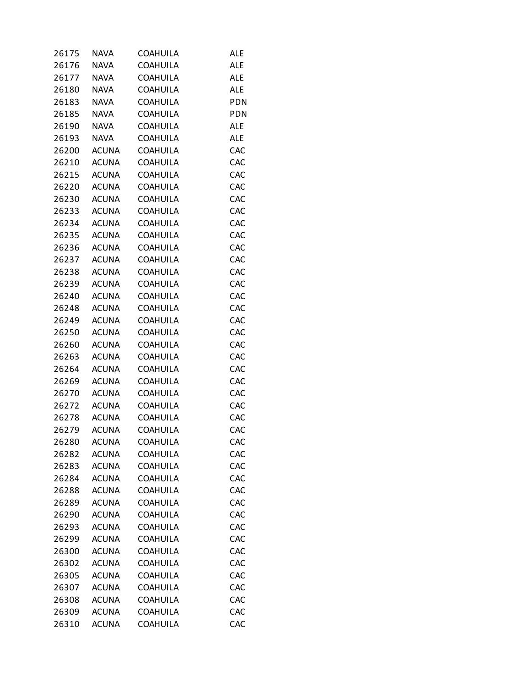| 26175 | <b>NAVA</b>  | COAHUILA        | <b>ALE</b> |
|-------|--------------|-----------------|------------|
| 26176 | <b>NAVA</b>  | COAHUILA        | <b>ALE</b> |
| 26177 | <b>NAVA</b>  | <b>COAHUILA</b> | <b>ALE</b> |
| 26180 | <b>NAVA</b>  | COAHUILA        | ALE        |
| 26183 | <b>NAVA</b>  | <b>COAHUILA</b> | <b>PDN</b> |
| 26185 | <b>NAVA</b>  | <b>COAHUILA</b> | PDN        |
| 26190 | <b>NAVA</b>  | COAHUILA        | <b>ALE</b> |
| 26193 | <b>NAVA</b>  | COAHUILA        | <b>ALE</b> |
| 26200 | <b>ACUNA</b> | <b>COAHUILA</b> | CAC        |
| 26210 | <b>ACUNA</b> | COAHUILA        | CAC        |
| 26215 | <b>ACUNA</b> | <b>COAHUILA</b> | CAC        |
| 26220 | <b>ACUNA</b> | <b>COAHUILA</b> | CAC        |
| 26230 | <b>ACUNA</b> | COAHUILA        | CAC        |
| 26233 | <b>ACUNA</b> | COAHUILA        | CAC        |
| 26234 | <b>ACUNA</b> | <b>COAHUILA</b> | CAC        |
| 26235 | <b>ACUNA</b> | COAHUILA        | CAC        |
| 26236 | <b>ACUNA</b> | <b>COAHUILA</b> | CAC        |
| 26237 | <b>ACUNA</b> | <b>COAHUILA</b> | CAC        |
| 26238 | <b>ACUNA</b> | COAHUILA        | CAC        |
| 26239 | <b>ACUNA</b> | COAHUILA        | CAC        |
| 26240 | <b>ACUNA</b> | <b>COAHUILA</b> | CAC        |
| 26248 | <b>ACUNA</b> | COAHUILA        | CAC        |
| 26249 | <b>ACUNA</b> | <b>COAHUILA</b> | CAC        |
| 26250 | <b>ACUNA</b> | COAHUILA        | CAC        |
| 26260 | <b>ACUNA</b> | COAHUILA        | CAC        |
| 26263 | <b>ACUNA</b> | COAHUILA        | CAC        |
| 26264 | <b>ACUNA</b> | <b>COAHUILA</b> | CAC        |
| 26269 | <b>ACUNA</b> | COAHUILA        | CAC        |
| 26270 | <b>ACUNA</b> | <b>COAHUILA</b> | CAC        |
| 26272 | <b>ACUNA</b> | COAHUILA        | CAC        |
| 26278 | <b>ACUNA</b> | <b>COAHUILA</b> | CAC        |
| 26279 | <b>ACUNA</b> | <b>COAHUILA</b> | CAC        |
| 26280 | <b>ACUNA</b> | <b>COAHUILA</b> | CAC        |
| 26282 | <b>ACUNA</b> | <b>COAHUILA</b> | CAC        |
| 26283 | <b>ACUNA</b> | <b>COAHUILA</b> | CAC        |
| 26284 | <b>ACUNA</b> | <b>COAHUILA</b> | CAC        |
| 26288 | <b>ACUNA</b> | COAHUILA        | CAC        |
| 26289 | <b>ACUNA</b> | <b>COAHUILA</b> | CAC        |
| 26290 | <b>ACUNA</b> | <b>COAHUILA</b> | CAC        |
| 26293 | <b>ACUNA</b> | <b>COAHUILA</b> | CAC        |
| 26299 | <b>ACUNA</b> | <b>COAHUILA</b> | CAC        |
| 26300 | <b>ACUNA</b> | <b>COAHUILA</b> | CAC        |
| 26302 | <b>ACUNA</b> | COAHUILA        | CAC        |
| 26305 | <b>ACUNA</b> | <b>COAHUILA</b> | CAC        |
| 26307 | <b>ACUNA</b> | <b>COAHUILA</b> | CAC        |
| 26308 | <b>ACUNA</b> | <b>COAHUILA</b> | CAC        |
| 26309 | <b>ACUNA</b> | <b>COAHUILA</b> | CAC        |
| 26310 | <b>ACUNA</b> | <b>COAHUILA</b> | CAC        |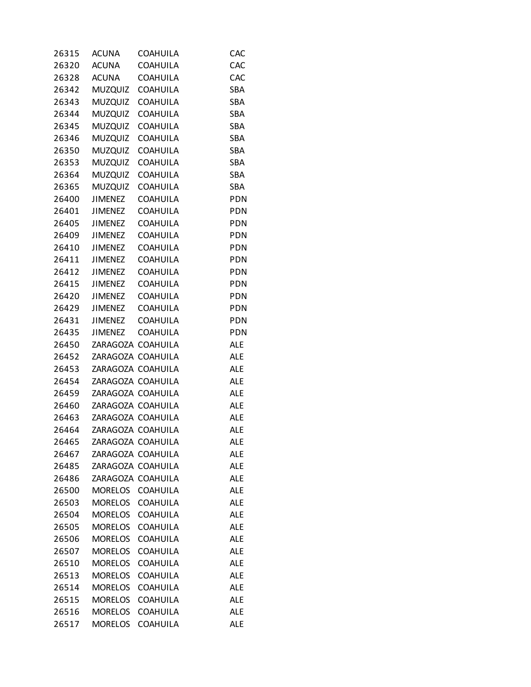| 26315 | <b>ACUNA</b>      | COAHUILA         | CAC        |
|-------|-------------------|------------------|------------|
| 26320 | <b>ACUNA</b>      | <b>COAHUILA</b>  | CAC        |
| 26328 | ACUNA             | <b>COAHUILA</b>  | CAC        |
| 26342 | MUZQUIZ COAHUILA  |                  | SBA        |
| 26343 | <b>MUZQUIZ</b>    | <b>COAHUILA</b>  | SBA        |
| 26344 | <b>MUZQUIZ</b>    | <b>COAHUILA</b>  | SBA        |
| 26345 |                   | MUZQUIZ COAHUILA | SBA        |
| 26346 |                   | MUZQUIZ COAHUILA | SBA        |
| 26350 |                   | MUZQUIZ COAHUILA | SBA        |
| 26353 |                   | MUZQUIZ COAHUILA | SBA        |
| 26364 | <b>MUZQUIZ</b>    | <b>COAHUILA</b>  | SBA        |
| 26365 | <b>MUZQUIZ</b>    | <b>COAHUILA</b>  | SBA        |
| 26400 | JIMENEZ           | <b>COAHUILA</b>  | PDN        |
| 26401 | JIMENEZ           | <b>COAHUILA</b>  | <b>PDN</b> |
| 26405 | <b>JIMENEZ</b>    | <b>COAHUILA</b>  | <b>PDN</b> |
| 26409 | JIMENEZ COAHUILA  |                  | <b>PDN</b> |
| 26410 | JIMENEZ           | <b>COAHUILA</b>  | PDN        |
| 26411 | JIMENEZ           | <b>COAHUILA</b>  | <b>PDN</b> |
| 26412 | JIMENEZ           | <b>COAHUILA</b>  | <b>PDN</b> |
| 26415 | JIMENEZ           | <b>COAHUILA</b>  | <b>PDN</b> |
|       | 26420 JIMENEZ     | <b>COAHUILA</b>  | <b>PDN</b> |
| 26429 | JIMENEZ COAHUILA  |                  | <b>PDN</b> |
| 26431 | JIMENEZ           | <b>COAHUILA</b>  | <b>PDN</b> |
| 26435 | <b>JIMENEZ</b>    | <b>COAHUILA</b>  | <b>PDN</b> |
| 26450 | ZARAGOZA COAHUILA |                  | <b>ALE</b> |
| 26452 | ZARAGOZA COAHUILA |                  | <b>ALE</b> |
| 26453 | ZARAGOZA COAHUILA |                  | <b>ALE</b> |
| 26454 | ZARAGOZA COAHUILA |                  | <b>ALE</b> |
| 26459 | ZARAGOZA COAHUILA |                  | <b>ALE</b> |
| 26460 | ZARAGOZA COAHUILA |                  | <b>ALE</b> |
| 26463 | ZARAGOZA COAHUILA |                  | <b>ALE</b> |
| 26464 | ZARAGOZA COAHUILA |                  | <b>ALE</b> |
| 26465 | ZARAGOZA COAHUILA |                  | <b>ALE</b> |
| 26467 | ZARAGOZA COAHUILA |                  | ALE        |
| 26485 | ZARAGOZA COAHUILA |                  | <b>ALE</b> |
| 26486 | ZARAGOZA COAHUILA |                  | <b>ALE</b> |
| 26500 | MORELOS COAHUILA  |                  | <b>ALE</b> |
| 26503 | MORELOS           | <b>COAHUILA</b>  | <b>ALE</b> |
| 26504 | MORELOS           | <b>COAHUILA</b>  | <b>ALE</b> |
| 26505 | <b>MORELOS</b>    | <b>COAHUILA</b>  | ALE        |
| 26506 | <b>MORELOS</b>    | <b>COAHUILA</b>  | ALE        |
| 26507 | MORELOS           | <b>COAHUILA</b>  | <b>ALE</b> |
| 26510 | <b>MORELOS</b>    | <b>COAHUILA</b>  | ALE        |
| 26513 | <b>MORELOS</b>    | <b>COAHUILA</b>  | <b>ALE</b> |
| 26514 | <b>MORELOS</b>    | <b>COAHUILA</b>  | <b>ALE</b> |
| 26515 | <b>MORELOS</b>    | COAHUILA         | ALE        |
| 26516 | <b>MORELOS</b>    | <b>COAHUILA</b>  | <b>ALE</b> |
| 26517 | <b>MORELOS</b>    | <b>COAHUILA</b>  | <b>ALE</b> |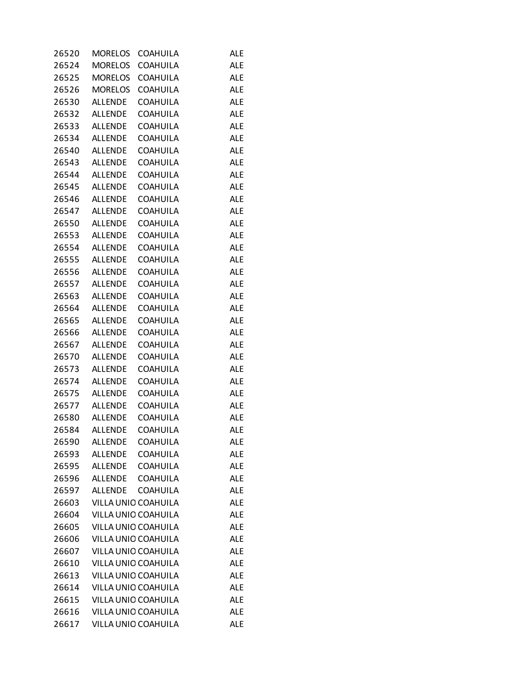| 26520 | <b>MORELOS</b> | <b>COAHUILA</b>     | <b>ALE</b> |
|-------|----------------|---------------------|------------|
| 26524 | MORELOS        | <b>COAHUILA</b>     | <b>ALE</b> |
| 26525 | <b>MORELOS</b> | <b>COAHUILA</b>     | <b>ALE</b> |
| 26526 | MORELOS        | <b>COAHUILA</b>     | <b>ALE</b> |
| 26530 | <b>ALLENDE</b> | <b>COAHUILA</b>     | <b>ALE</b> |
| 26532 | ALLENDE        | <b>COAHUILA</b>     | <b>ALE</b> |
| 26533 | ALLENDE        | <b>COAHUILA</b>     | <b>ALE</b> |
| 26534 | ALLENDE        | <b>COAHUILA</b>     | <b>ALE</b> |
| 26540 | ALLENDE        | <b>COAHUILA</b>     | <b>ALE</b> |
|       | 26543 ALLENDE  | <b>COAHUILA</b>     | <b>ALE</b> |
| 26544 | ALLENDE        | <b>COAHUILA</b>     | <b>ALE</b> |
| 26545 | ALLENDE        | <b>COAHUILA</b>     | <b>ALE</b> |
| 26546 | <b>ALLENDE</b> | <b>COAHUILA</b>     | <b>ALE</b> |
|       | 26547 ALLENDE  | <b>COAHUILA</b>     | <b>ALE</b> |
| 26550 | ALLENDE        | <b>COAHUILA</b>     | <b>ALE</b> |
|       | 26553 ALLENDE  | <b>COAHUILA</b>     | <b>ALE</b> |
| 26554 | ALLENDE        | <b>COAHUILA</b>     | <b>ALE</b> |
|       | 26555 ALLENDE  | <b>COAHUILA</b>     | <b>ALE</b> |
| 26556 | <b>ALLENDE</b> | <b>COAHUILA</b>     | <b>ALE</b> |
|       | 26557 ALLENDE  | <b>COAHUILA</b>     | <b>ALE</b> |
| 26563 | ALLENDE        | <b>COAHUILA</b>     | <b>ALE</b> |
|       | 26564 ALLENDE  | <b>COAHUILA</b>     | <b>ALE</b> |
| 26565 | ALLENDE        | <b>COAHUILA</b>     | <b>ALE</b> |
| 26566 | ALLENDE        | <b>COAHUILA</b>     | <b>ALE</b> |
| 26567 | <b>ALLENDE</b> | <b>COAHUILA</b>     | <b>ALE</b> |
| 26570 | <b>ALLENDE</b> | <b>COAHUILA</b>     | <b>ALE</b> |
| 26573 | ALLENDE        | <b>COAHUILA</b>     | <b>ALE</b> |
| 26574 | ALLENDE        | <b>COAHUILA</b>     | <b>ALE</b> |
| 26575 | ALLENDE        | <b>COAHUILA</b>     | <b>ALE</b> |
| 26577 | ALLENDE        | <b>COAHUILA</b>     | <b>ALE</b> |
| 26580 | ALLENDE        | <b>COAHUILA</b>     | <b>ALE</b> |
| 26584 | <b>ALLENDE</b> | <b>COAHUILA</b>     | <b>ALE</b> |
| 26590 | <b>ALLENDE</b> | COAHUILA            | <b>ALE</b> |
| 26593 | <b>ALLENDE</b> | <b>COAHUILA</b>     | <b>ALE</b> |
| 26595 | <b>ALLENDE</b> | <b>COAHUILA</b>     | <b>ALE</b> |
| 26596 | ALLENDE        | <b>COAHUILA</b>     | <b>ALE</b> |
| 26597 | ALLENDE        | COAHUILA            | <b>ALE</b> |
| 26603 |                | VILLA UNIO COAHUILA | <b>ALE</b> |
| 26604 |                | VILLA UNIO COAHUILA | <b>ALE</b> |
| 26605 |                | VILLA UNIO COAHUILA | <b>ALE</b> |
| 26606 |                | VILLA UNIO COAHUILA | <b>ALE</b> |
| 26607 |                | VILLA UNIO COAHUILA | <b>ALE</b> |
| 26610 |                | VILLA UNIO COAHUILA | <b>ALE</b> |
| 26613 |                | VILLA UNIO COAHUILA | <b>ALE</b> |
| 26614 |                | VILLA UNIO COAHUILA | <b>ALE</b> |
| 26615 |                | VILLA UNIO COAHUILA | <b>ALE</b> |
| 26616 |                | VILLA UNIO COAHUILA | <b>ALE</b> |
| 26617 |                | VILLA UNIO COAHUILA | <b>ALE</b> |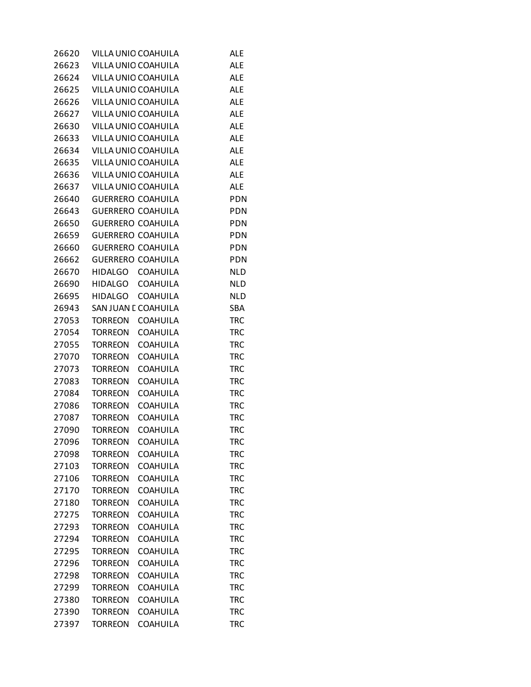| 26620 |                | VILLA UNIO COAHUILA      | <b>ALE</b> |
|-------|----------------|--------------------------|------------|
| 26623 |                | VILLA UNIO COAHUILA      | <b>ALE</b> |
| 26624 |                | VILLA UNIO COAHUILA      | <b>ALE</b> |
| 26625 |                | VILLA UNIO COAHUILA      | ALE        |
| 26626 |                | VILLA UNIO COAHUILA      | <b>ALE</b> |
| 26627 |                | VILLA UNIO COAHUILA      | <b>ALE</b> |
| 26630 |                | VILLA UNIO COAHUILA      | <b>ALE</b> |
| 26633 |                | VILLA UNIO COAHUILA      | <b>ALE</b> |
| 26634 |                | VILLA UNIO COAHUILA      | <b>ALE</b> |
| 26635 |                | VILLA UNIO COAHUILA      | <b>ALE</b> |
| 26636 |                | VILLA UNIO COAHUILA      | <b>ALE</b> |
| 26637 |                | VILLA UNIO COAHUILA      | <b>ALE</b> |
| 26640 |                | <b>GUERRERO COAHUILA</b> | <b>PDN</b> |
| 26643 |                | <b>GUERRERO COAHUILA</b> | <b>PDN</b> |
| 26650 |                | <b>GUERRERO COAHUILA</b> | PDN        |
| 26659 |                | <b>GUERRERO COAHUILA</b> | <b>PDN</b> |
| 26660 |                | <b>GUERRERO COAHUILA</b> | <b>PDN</b> |
| 26662 |                | <b>GUERRERO COAHUILA</b> | PDN        |
| 26670 | HIDALGO        | <b>COAHUILA</b>          | <b>NLD</b> |
| 26690 | <b>HIDALGO</b> | <b>COAHUILA</b>          | <b>NLD</b> |
| 26695 | <b>HIDALGO</b> | <b>COAHUILA</b>          | <b>NLD</b> |
| 26943 |                | SAN JUAN E COAHUILA      | SBA        |
| 27053 | <b>TORREON</b> | <b>COAHUILA</b>          | <b>TRC</b> |
| 27054 | <b>TORREON</b> | <b>COAHUILA</b>          | <b>TRC</b> |
| 27055 | <b>TORREON</b> | COAHUILA                 | <b>TRC</b> |
| 27070 | <b>TORREON</b> | <b>COAHUILA</b>          | <b>TRC</b> |
| 27073 | <b>TORREON</b> | <b>COAHUILA</b>          | <b>TRC</b> |
| 27083 | <b>TORREON</b> | COAHUILA                 | <b>TRC</b> |
| 27084 | <b>TORREON</b> | <b>COAHUILA</b>          | <b>TRC</b> |
| 27086 | <b>TORREON</b> | <b>COAHUILA</b>          | <b>TRC</b> |
| 27087 | <b>TORREON</b> | COAHUILA                 | <b>TRC</b> |
| 27090 | <b>TORREON</b> | <b>COAHUILA</b>          | <b>TRC</b> |
| 27096 | TORREON        | <b>COAHUILA</b>          | TRC        |
| 27098 | <b>TORREON</b> | <b>COAHUILA</b>          | <b>TRC</b> |
| 27103 | <b>TORREON</b> | <b>COAHUILA</b>          | <b>TRC</b> |
| 27106 | <b>TORREON</b> | COAHUILA                 | <b>TRC</b> |
| 27170 | <b>TORREON</b> | <b>COAHUILA</b>          | <b>TRC</b> |
| 27180 | <b>TORREON</b> | <b>COAHUILA</b>          | <b>TRC</b> |
| 27275 | <b>TORREON</b> | <b>COAHUILA</b>          | <b>TRC</b> |
| 27293 | <b>TORREON</b> | <b>COAHUILA</b>          | <b>TRC</b> |
| 27294 | <b>TORREON</b> | <b>COAHUILA</b>          | <b>TRC</b> |
| 27295 | <b>TORREON</b> | <b>COAHUILA</b>          | <b>TRC</b> |
| 27296 | <b>TORREON</b> | <b>COAHUILA</b>          | TRC        |
| 27298 | <b>TORREON</b> | <b>COAHUILA</b>          | <b>TRC</b> |
| 27299 | <b>TORREON</b> | <b>COAHUILA</b>          | <b>TRC</b> |
| 27380 | <b>TORREON</b> | <b>COAHUILA</b>          | <b>TRC</b> |
| 27390 | <b>TORREON</b> | <b>COAHUILA</b>          | <b>TRC</b> |
| 27397 | <b>TORREON</b> | <b>COAHUILA</b>          | <b>TRC</b> |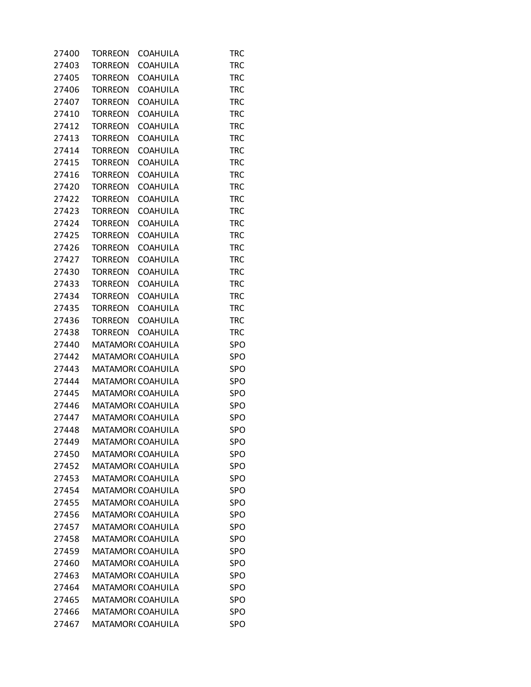| 27400 | TORREON                          | <b>COAHUILA</b> | <b>TRC</b> |
|-------|----------------------------------|-----------------|------------|
| 27403 | <b>TORREON</b>                   | COAHUILA        | <b>TRC</b> |
| 27405 | <b>TORREON</b>                   | <b>COAHUILA</b> | <b>TRC</b> |
| 27406 | <b>TORREON</b>                   | <b>COAHUILA</b> | <b>TRC</b> |
| 27407 | <b>TORREON</b>                   | <b>COAHUILA</b> | <b>TRC</b> |
| 27410 | <b>TORREON</b>                   | <b>COAHUILA</b> | <b>TRC</b> |
| 27412 | <b>TORREON</b>                   | COAHUILA        | <b>TRC</b> |
| 27413 | <b>TORREON</b>                   | <b>COAHUILA</b> | <b>TRC</b> |
| 27414 | <b>TORREON</b>                   | <b>COAHUILA</b> | <b>TRC</b> |
| 27415 | <b>TORREON</b>                   | <b>COAHUILA</b> | <b>TRC</b> |
| 27416 | <b>TORREON</b>                   | <b>COAHUILA</b> | <b>TRC</b> |
| 27420 | <b>TORREON</b>                   | <b>COAHUILA</b> | <b>TRC</b> |
| 27422 | <b>TORREON</b>                   | COAHUILA        | <b>TRC</b> |
| 27423 | <b>TORREON</b>                   | <b>COAHUILA</b> | <b>TRC</b> |
| 27424 | <b>TORREON</b>                   | <b>COAHUILA</b> | <b>TRC</b> |
| 27425 | <b>TORREON</b>                   | <b>COAHUILA</b> | <b>TRC</b> |
| 27426 | <b>TORREON</b>                   | <b>COAHUILA</b> | <b>TRC</b> |
|       |                                  |                 | <b>TRC</b> |
| 27427 | <b>TORREON</b><br><b>TORREON</b> | <b>COAHUILA</b> |            |
| 27430 |                                  | COAHUILA        | <b>TRC</b> |
| 27433 | <b>TORREON</b>                   | <b>COAHUILA</b> | <b>TRC</b> |
| 27434 | <b>TORREON</b>                   | <b>COAHUILA</b> | <b>TRC</b> |
| 27435 | <b>TORREON</b>                   | <b>COAHUILA</b> | <b>TRC</b> |
| 27436 | <b>TORREON</b>                   | <b>COAHUILA</b> | <b>TRC</b> |
| 27438 | <b>TORREON</b>                   | <b>COAHUILA</b> | <b>TRC</b> |
| 27440 | MATAMOR(COAHUILA                 |                 | <b>SPO</b> |
| 27442 | MATAMOR(COAHUILA                 |                 | <b>SPO</b> |
| 27443 | MATAMOR(COAHUILA                 |                 | <b>SPO</b> |
| 27444 | MATAMOR(COAHUILA                 |                 | <b>SPO</b> |
| 27445 | MATAMOR(COAHUILA                 |                 | <b>SPO</b> |
| 27446 | MATAMOR(COAHUILA                 |                 | <b>SPO</b> |
| 27447 | MATAMOR(COAHUILA                 |                 | <b>SPO</b> |
| 27448 | MATAMOR(COAHUILA                 |                 | <b>SPO</b> |
| 27449 | MATAMOR(COAHUILA                 |                 | <b>SPO</b> |
| 27450 | <b>MATAMORI COAHUILA</b>         |                 | <b>SPO</b> |
| 27452 | MATAMOR(COAHUILA                 |                 | SPO        |
| 27453 | <b>MATAMORI COAHUILA</b>         |                 | <b>SPO</b> |
| 27454 | <b>MATAMORI COAHUILA</b>         |                 | <b>SPO</b> |
| 27455 | <b>MATAMORI COAHUILA</b>         |                 | <b>SPO</b> |
| 27456 | <b>MATAMORI COAHUILA</b>         |                 | <b>SPO</b> |
| 27457 | <b>MATAMORI COAHUILA</b>         |                 | SPO        |
| 27458 | <b>MATAMORI COAHUILA</b>         |                 | <b>SPO</b> |
| 27459 | <b>MATAMORI COAHUILA</b>         |                 | <b>SPO</b> |
| 27460 | <b>MATAMORI COAHUILA</b>         |                 | SPO        |
| 27463 | <b>MATAMORI COAHUILA</b>         |                 | <b>SPO</b> |
| 27464 | <b>MATAMORI COAHUILA</b>         |                 | <b>SPO</b> |
| 27465 | <b>MATAMORI COAHUILA</b>         |                 | SPO        |
| 27466 | <b>MATAMORI COAHUILA</b>         |                 | <b>SPO</b> |
| 27467 | MATAMOR(COAHUILA                 |                 | <b>SPO</b> |
|       |                                  |                 |            |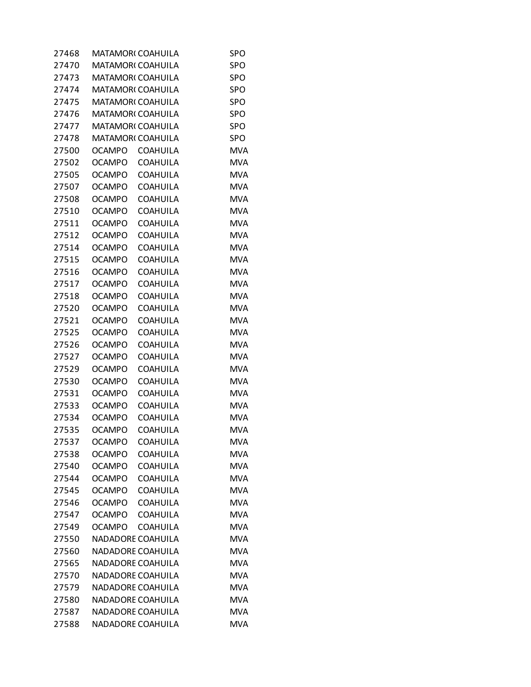| 27468 | MATAMOR( COAHUILA        |                 | SPO        |
|-------|--------------------------|-----------------|------------|
| 27470 | <b>MATAMORI COAHUILA</b> |                 | SPO        |
| 27473 | <b>MATAMORI COAHUILA</b> |                 | <b>SPO</b> |
| 27474 | MATAMOR(COAHUILA         |                 | SPO        |
| 27475 | <b>MATAMORI COAHUILA</b> |                 | <b>SPO</b> |
| 27476 | <b>MATAMORI COAHUILA</b> |                 | <b>SPO</b> |
| 27477 | MATAMOR(COAHUILA         |                 | SPO        |
| 27478 | <b>MATAMORI COAHUILA</b> |                 | SPO        |
| 27500 | <b>OCAMPO</b>            | <b>COAHUILA</b> | <b>MVA</b> |
| 27502 | OCAMPO                   | <b>COAHUILA</b> | <b>MVA</b> |
| 27505 | <b>OCAMPO</b>            | <b>COAHUILA</b> | <b>MVA</b> |
| 27507 | <b>OCAMPO</b>            | <b>COAHUILA</b> | <b>MVA</b> |
| 27508 | OCAMPO                   | <b>COAHUILA</b> | <b>MVA</b> |
| 27510 | <b>OCAMPO</b>            | <b>COAHUILA</b> | <b>MVA</b> |
| 27511 | <b>OCAMPO</b>            | <b>COAHUILA</b> | <b>MVA</b> |
| 27512 | <b>OCAMPO</b>            | COAHUILA        | <b>MVA</b> |
| 27514 | <b>OCAMPO</b>            | <b>COAHUILA</b> | <b>MVA</b> |
| 27515 | <b>OCAMPO</b>            | <b>COAHUILA</b> | <b>MVA</b> |
| 27516 | OCAMPO                   | <b>COAHUILA</b> | <b>MVA</b> |
| 27517 | <b>OCAMPO</b>            | <b>COAHUILA</b> | <b>MVA</b> |
| 27518 | <b>OCAMPO</b>            | <b>COAHUILA</b> | <b>MVA</b> |
| 27520 | <b>OCAMPO</b>            | COAHUILA        | <b>MVA</b> |
| 27521 | <b>OCAMPO</b>            | <b>COAHUILA</b> | <b>MVA</b> |
| 27525 | <b>OCAMPO</b>            | <b>COAHUILA</b> | <b>MVA</b> |
| 27526 | OCAMPO                   | COAHUILA        | <b>MVA</b> |
| 27527 | <b>OCAMPO</b>            | <b>COAHUILA</b> | <b>MVA</b> |
| 27529 | <b>OCAMPO</b>            | <b>COAHUILA</b> | <b>MVA</b> |
| 27530 | OCAMPO                   | COAHUILA        | <b>MVA</b> |
| 27531 | <b>OCAMPO</b>            | <b>COAHUILA</b> | <b>MVA</b> |
| 27533 | <b>OCAMPO</b>            | <b>COAHUILA</b> | <b>MVA</b> |
| 27534 | OCAMPO                   | COAHUILA        | <b>MVA</b> |
| 27535 | <b>OCAMPO</b>            | <b>COAHUILA</b> | <b>MVA</b> |
| 27537 | <b>OCAMPO</b>            | <b>COAHUILA</b> | <b>MVA</b> |
| 27538 | <b>OCAMPO</b>            | <b>COAHUILA</b> | <b>MVA</b> |
| 27540 | <b>OCAMPO</b>            | <b>COAHUILA</b> | <b>MVA</b> |
| 27544 | <b>OCAMPO</b>            | <b>COAHUILA</b> | <b>MVA</b> |
| 27545 | <b>OCAMPO</b>            | <b>COAHUILA</b> | <b>MVA</b> |
| 27546 | <b>OCAMPO</b>            | <b>COAHUILA</b> | <b>MVA</b> |
| 27547 | <b>OCAMPO</b>            | <b>COAHUILA</b> | <b>MVA</b> |
| 27549 | <b>OCAMPO</b>            | <b>COAHUILA</b> | <b>MVA</b> |
| 27550 | NADADORE COAHUILA        |                 | <b>MVA</b> |
| 27560 | NADADORE COAHUILA        |                 | <b>MVA</b> |
| 27565 | NADADORE COAHUILA        |                 | <b>MVA</b> |
| 27570 | NADADORE COAHUILA        |                 | <b>MVA</b> |
| 27579 | NADADORE COAHUILA        |                 | <b>MVA</b> |
| 27580 | NADADORE COAHUILA        |                 | <b>MVA</b> |
| 27587 | NADADORE COAHUILA        |                 | <b>MVA</b> |
| 27588 | NADADORE COAHUILA        |                 | <b>MVA</b> |
|       |                          |                 |            |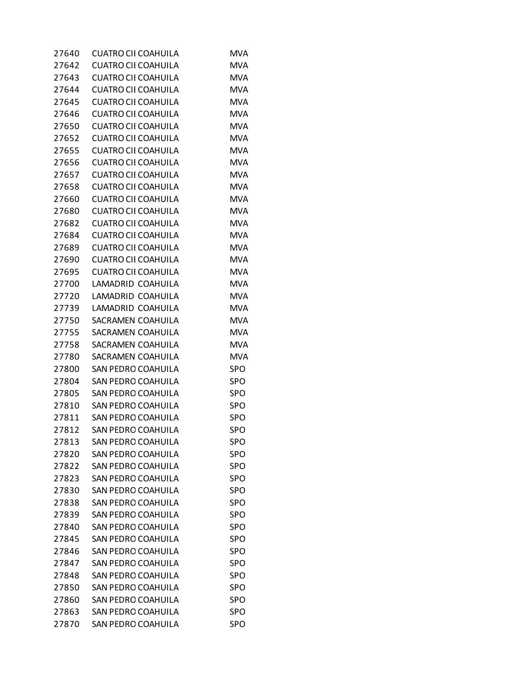| 27640 | <b>CUATRO CII COAHUILA</b> | MVA        |
|-------|----------------------------|------------|
| 27642 | <b>CUATRO CII COAHUILA</b> | MVA        |
| 27643 | CUATRO CII COAHUILA        | <b>MVA</b> |
| 27644 | <b>CUATRO CII COAHUILA</b> | <b>MVA</b> |
| 27645 | <b>CUATRO CII COAHUILA</b> | <b>MVA</b> |
| 27646 | <b>CUATRO CII COAHUILA</b> | <b>MVA</b> |
| 27650 | <b>CUATRO CII COAHUILA</b> | <b>MVA</b> |
| 27652 | <b>CUATRO CII COAHUILA</b> | <b>MVA</b> |
| 27655 | <b>CUATRO CII COAHUILA</b> | <b>MVA</b> |
| 27656 | <b>CUATRO CII COAHUILA</b> | <b>MVA</b> |
| 27657 | <b>CUATRO CII COAHUILA</b> | <b>MVA</b> |
| 27658 | <b>CUATRO CII COAHUILA</b> | <b>MVA</b> |
| 27660 | <b>CUATRO CII COAHUILA</b> | <b>MVA</b> |
| 27680 | <b>CUATRO CII COAHUILA</b> | <b>MVA</b> |
| 27682 | CUATRO CII COAHUILA        | <b>MVA</b> |
| 27684 | <b>CUATRO CII COAHUILA</b> | <b>MVA</b> |
| 27689 | <b>CUATRO CII COAHUILA</b> | <b>MVA</b> |
| 27690 | <b>CUATRO CII COAHUILA</b> | <b>MVA</b> |
| 27695 | <b>CUATRO CII COAHUILA</b> | <b>MVA</b> |
| 27700 | LAMADRID COAHUILA          | <b>MVA</b> |
| 27720 | LAMADRID COAHUILA          | <b>MVA</b> |
| 27739 | LAMADRID COAHUILA          | <b>MVA</b> |
| 27750 | SACRAMEN COAHUILA          | <b>MVA</b> |
| 27755 | SACRAMEN COAHUILA          | <b>MVA</b> |
| 27758 | SACRAMEN COAHUILA          | <b>MVA</b> |
| 27780 | SACRAMEN COAHUILA          | <b>MVA</b> |
| 27800 | SAN PEDRO COAHUILA         | <b>SPO</b> |
| 27804 | SAN PEDRO COAHUILA         | <b>SPO</b> |
| 27805 | <b>SAN PEDRO COAHUILA</b>  | <b>SPO</b> |
| 27810 | SAN PEDRO COAHUILA         | SPO        |
| 27811 | SAN PEDRO COAHUILA         | SPO        |
| 27812 | <b>SAN PEDRO COAHUILA</b>  | <b>SPO</b> |
| 27813 | <b>SAN PEDRO COAHUILA</b>  | <b>SPO</b> |
| 27820 | <b>SAN PEDRO COAHUILA</b>  | SPO        |
| 27822 | <b>SAN PEDRO COAHUILA</b>  | <b>SPO</b> |
| 27823 | <b>SAN PEDRO COAHUILA</b>  | <b>SPO</b> |
| 27830 | <b>SAN PEDRO COAHUILA</b>  | SPO        |
| 27838 | <b>SAN PEDRO COAHUILA</b>  | <b>SPO</b> |
| 27839 | <b>SAN PEDRO COAHUILA</b>  | SPO        |
| 27840 | <b>SAN PEDRO COAHUILA</b>  | <b>SPO</b> |
| 27845 | <b>SAN PEDRO COAHUILA</b>  | SPO        |
| 27846 | <b>SAN PEDRO COAHUILA</b>  | <b>SPO</b> |
| 27847 | <b>SAN PEDRO COAHUILA</b>  | <b>SPO</b> |
| 27848 | <b>SAN PEDRO COAHUILA</b>  | <b>SPO</b> |
| 27850 | <b>SAN PEDRO COAHUILA</b>  | SPO        |
| 27860 | SAN PEDRO COAHUILA         | SPO        |
| 27863 | <b>SAN PEDRO COAHUILA</b>  | <b>SPO</b> |
| 27870 | SAN PEDRO COAHUILA         | <b>SPO</b> |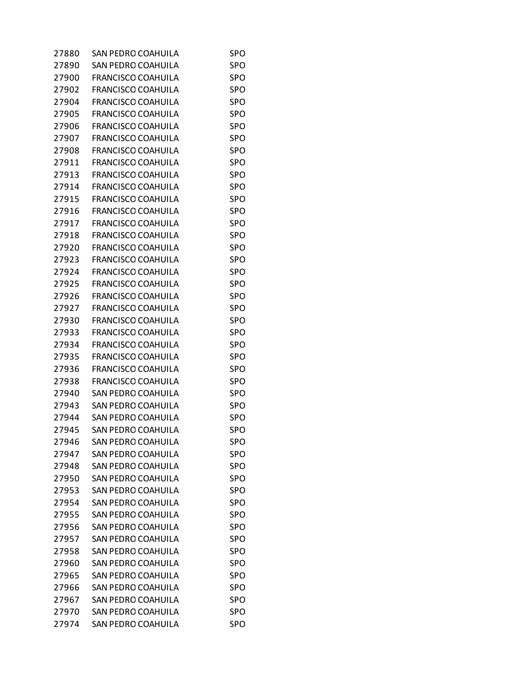| 27880 | SAN PEDRO COAHUILA        | SPO        |
|-------|---------------------------|------------|
| 27890 | <b>SAN PEDRO COAHUILA</b> | <b>SPO</b> |
| 27900 | <b>FRANCISCO COAHUILA</b> | <b>SPO</b> |
| 27902 | <b>FRANCISCO COAHUILA</b> | <b>SPO</b> |
| 27904 | <b>FRANCISCO COAHUILA</b> | <b>SPO</b> |
| 27905 | <b>FRANCISCO COAHUILA</b> | <b>SPO</b> |
| 27906 | <b>FRANCISCO COAHUILA</b> | <b>SPO</b> |
| 27907 | <b>FRANCISCO COAHUILA</b> | <b>SPO</b> |
| 27908 | <b>FRANCISCO COAHUILA</b> | <b>SPO</b> |
| 27911 | <b>FRANCISCO COAHUILA</b> | <b>SPO</b> |
| 27913 | <b>FRANCISCO COAHUILA</b> | <b>SPO</b> |
| 27914 | <b>FRANCISCO COAHUILA</b> | <b>SPO</b> |
| 27915 | <b>FRANCISCO COAHUILA</b> | <b>SPO</b> |
| 27916 | <b>FRANCISCO COAHUILA</b> | <b>SPO</b> |
| 27917 | <b>FRANCISCO COAHUILA</b> | <b>SPO</b> |
| 27918 | <b>FRANCISCO COAHUILA</b> | <b>SPO</b> |
| 27920 | <b>FRANCISCO COAHUILA</b> | <b>SPO</b> |
| 27923 | <b>FRANCISCO COAHUILA</b> | <b>SPO</b> |
| 27924 | <b>FRANCISCO COAHUILA</b> | <b>SPO</b> |
| 27925 | <b>FRANCISCO COAHUILA</b> | <b>SPO</b> |
| 27926 | <b>FRANCISCO COAHUILA</b> | <b>SPO</b> |
| 27927 | <b>FRANCISCO COAHUILA</b> | <b>SPO</b> |
| 27930 | <b>FRANCISCO COAHUILA</b> | <b>SPO</b> |
| 27933 | <b>FRANCISCO COAHUILA</b> | <b>SPO</b> |
| 27934 | <b>FRANCISCO COAHUILA</b> | SPO        |
| 27935 | <b>FRANCISCO COAHUILA</b> | <b>SPO</b> |
| 27936 | <b>FRANCISCO COAHUILA</b> | <b>SPO</b> |
| 27938 | <b>FRANCISCO COAHUILA</b> | <b>SPO</b> |
| 27940 | SAN PEDRO COAHUILA        | <b>SPO</b> |
| 27943 | SAN PEDRO COAHUILA        | <b>SPO</b> |
| 27944 | SAN PEDRO COAHUILA        | SPO        |
| 27945 | SAN PEDRO COAHUILA        | <b>SPO</b> |
| 27946 | SAN PEDRO COAHUILA        | <b>SPO</b> |
| 27947 | <b>SAN PEDRO COAHUILA</b> | <b>SPO</b> |
| 27948 | <b>SAN PEDRO COAHUILA</b> | <b>SPO</b> |
| 27950 | <b>SAN PEDRO COAHUILA</b> | <b>SPO</b> |
| 27953 | <b>SAN PEDRO COAHUILA</b> | SPO        |
| 27954 | <b>SAN PEDRO COAHUILA</b> | <b>SPO</b> |
| 27955 | <b>SAN PEDRO COAHUILA</b> | <b>SPO</b> |
| 27956 | SAN PEDRO COAHUILA        | SPO        |
| 27957 | <b>SAN PEDRO COAHUILA</b> | <b>SPO</b> |
| 27958 | <b>SAN PEDRO COAHUILA</b> | <b>SPO</b> |
| 27960 | <b>SAN PEDRO COAHUILA</b> | SPO        |
| 27965 | <b>SAN PEDRO COAHUILA</b> | <b>SPO</b> |
| 27966 | <b>SAN PEDRO COAHUILA</b> | <b>SPO</b> |
| 27967 | SAN PEDRO COAHUILA        | SPO        |
| 27970 | <b>SAN PEDRO COAHUILA</b> | <b>SPO</b> |
| 27974 | SAN PEDRO COAHUILA        | <b>SPO</b> |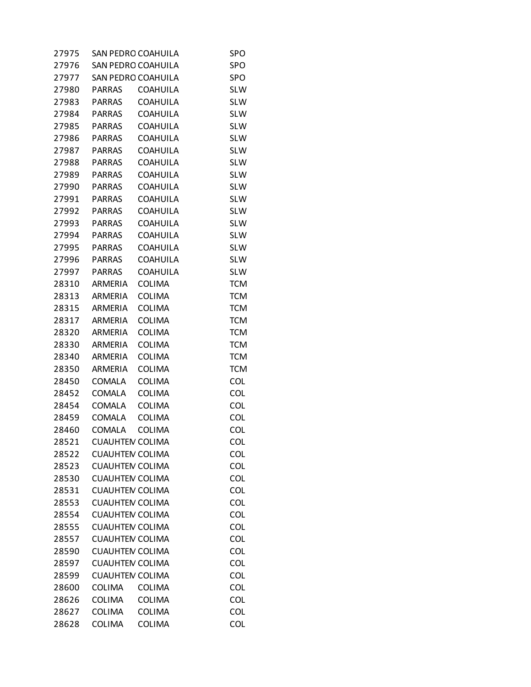| 27975 | SAN PEDRO COAHUILA        |                 | SPO        |
|-------|---------------------------|-----------------|------------|
| 27976 | <b>SAN PEDRO COAHUILA</b> |                 | <b>SPO</b> |
| 27977 | SAN PEDRO COAHUILA        |                 | <b>SPO</b> |
| 27980 | <b>PARRAS</b>             | COAHUILA        | <b>SLW</b> |
| 27983 | <b>PARRAS</b>             | <b>COAHUILA</b> | <b>SLW</b> |
| 27984 | <b>PARRAS</b>             | <b>COAHUILA</b> | <b>SLW</b> |
| 27985 | <b>PARRAS</b>             | COAHUILA        | <b>SLW</b> |
| 27986 | <b>PARRAS</b>             | <b>COAHUILA</b> | <b>SLW</b> |
| 27987 | PARRAS                    | <b>COAHUILA</b> | <b>SLW</b> |
| 27988 | <b>PARRAS</b>             | COAHUILA        | <b>SLW</b> |
| 27989 | <b>PARRAS</b>             | <b>COAHUILA</b> | <b>SLW</b> |
| 27990 | <b>PARRAS</b>             | <b>COAHUILA</b> | <b>SLW</b> |
| 27991 | <b>PARRAS</b>             | COAHUILA        | <b>SLW</b> |
| 27992 | <b>PARRAS</b>             | <b>COAHUILA</b> | <b>SLW</b> |
| 27993 | PARRAS                    | <b>COAHUILA</b> | <b>SLW</b> |
| 27994 | <b>PARRAS</b>             | COAHUILA        | <b>SLW</b> |
| 27995 | <b>PARRAS</b>             | <b>COAHUILA</b> | <b>SLW</b> |
| 27996 | <b>PARRAS</b>             | <b>COAHUILA</b> | <b>SLW</b> |
| 27997 | <b>PARRAS</b>             | <b>COAHUILA</b> | <b>SLW</b> |
| 28310 | ARMERIA                   | <b>COLIMA</b>   | <b>TCM</b> |
| 28313 | ARMERIA                   | <b>COLIMA</b>   | <b>TCM</b> |
| 28315 | ARMERIA                   | COLIMA          | <b>TCM</b> |
| 28317 | ARMERIA                   | <b>COLIMA</b>   | <b>TCM</b> |
| 28320 | ARMERIA                   | <b>COLIMA</b>   | <b>TCM</b> |
| 28330 | ARMERIA                   | <b>COLIMA</b>   | <b>TCM</b> |
| 28340 | ARMERIA                   | <b>COLIMA</b>   | <b>TCM</b> |
| 28350 | ARMERIA                   | <b>COLIMA</b>   | <b>TCM</b> |
| 28450 | <b>COMALA</b>             | <b>COLIMA</b>   | <b>COL</b> |
| 28452 | <b>COMALA</b>             | <b>COLIMA</b>   | <b>COL</b> |
| 28454 | COMALA                    | <b>COLIMA</b>   | <b>COL</b> |
| 28459 | COMALA                    | <b>COLIMA</b>   | <b>COL</b> |
| 28460 | COMALA                    | <b>COLIMA</b>   | <b>COL</b> |
| 28521 | <b>CUAUHTEN COLIMA</b>    |                 | COL        |
| 28522 | <b>CUAUHTEN COLIMA</b>    |                 | <b>COL</b> |
| 28523 | <b>CUAUHTEN COLIMA</b>    |                 | <b>COL</b> |
| 28530 | <b>CUAUHTEN COLIMA</b>    |                 | <b>COL</b> |
| 28531 | <b>CUAUHTEN COLIMA</b>    |                 | <b>COL</b> |
| 28553 | <b>CUAUHTEN COLIMA</b>    |                 | <b>COL</b> |
| 28554 | <b>CUAUHTEN COLIMA</b>    |                 | <b>COL</b> |
| 28555 | <b>CUAUHTEN COLIMA</b>    |                 | <b>COL</b> |
| 28557 | <b>CUAUHTEN COLIMA</b>    |                 | <b>COL</b> |
| 28590 | <b>CUAUHTEN COLIMA</b>    |                 | <b>COL</b> |
| 28597 | <b>CUAUHTEN COLIMA</b>    |                 | <b>COL</b> |
| 28599 | <b>CUAUHTEN COLIMA</b>    |                 | <b>COL</b> |
| 28600 | <b>COLIMA</b>             | <b>COLIMA</b>   | <b>COL</b> |
| 28626 | COLIMA                    | <b>COLIMA</b>   | <b>COL</b> |
| 28627 | COLIMA                    | <b>COLIMA</b>   | <b>COL</b> |
| 28628 | COLIMA                    | <b>COLIMA</b>   | <b>COL</b> |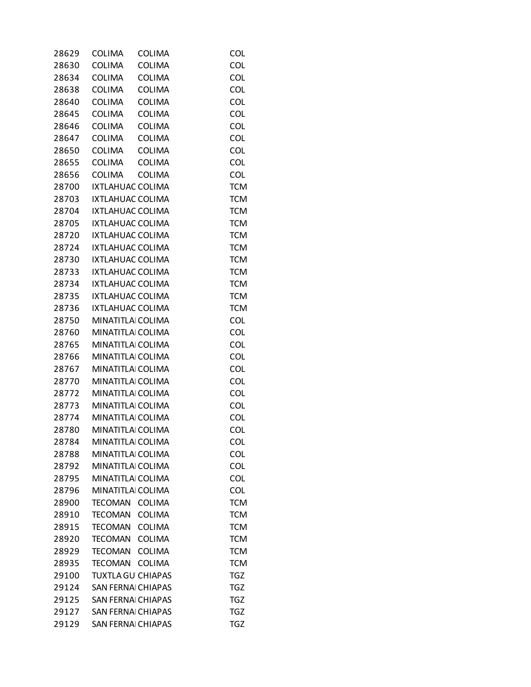| 28629 | <b>COLIMA</b>           | <b>COLIMA</b>             | <b>COL</b> |
|-------|-------------------------|---------------------------|------------|
| 28630 | <b>COLIMA</b>           | <b>COLIMA</b>             | <b>COL</b> |
| 28634 | COLIMA                  | <b>COLIMA</b>             | COL        |
| 28638 | <b>COLIMA</b>           | <b>COLIMA</b>             | <b>COL</b> |
| 28640 | <b>COLIMA</b>           | <b>COLIMA</b>             | <b>COL</b> |
| 28645 | <b>COLIMA</b>           | <b>COLIMA</b>             | <b>COL</b> |
| 28646 | <b>COLIMA</b>           | <b>COLIMA</b>             | <b>COL</b> |
| 28647 | <b>COLIMA</b>           | <b>COLIMA</b>             | <b>COL</b> |
| 28650 | <b>COLIMA</b>           | <b>COLIMA</b>             | <b>COL</b> |
| 28655 | <b>COLIMA</b>           | <b>COLIMA</b>             | <b>COL</b> |
| 28656 | <b>COLIMA</b>           | <b>COLIMA</b>             | <b>COL</b> |
| 28700 | IXTLAHUAC COLIMA        |                           | <b>TCM</b> |
| 28703 | IXTLAHUAC COLIMA        |                           | <b>TCM</b> |
| 28704 | IXTLAHUAC COLIMA        |                           | <b>TCM</b> |
| 28705 | <b>IXTLAHUAC COLIMA</b> |                           | <b>TCM</b> |
| 28720 | IXTLAHUAC COLIMA        |                           | <b>TCM</b> |
| 28724 | IXTLAHUAC COLIMA        |                           | <b>TCM</b> |
| 28730 | IXTLAHUAC COLIMA        |                           | <b>TCM</b> |
| 28733 | IXTLAHUAC COLIMA        |                           | <b>TCM</b> |
| 28734 | <b>IXTLAHUAC COLIMA</b> |                           | <b>TCM</b> |
| 28735 | IXTLAHUAC COLIMA        |                           | <b>TCM</b> |
| 28736 | IXTLAHUAC COLIMA        |                           | <b>TCM</b> |
| 28750 | MINATITLAI COLIMA       |                           | <b>COL</b> |
| 28760 | MINATITLAI COLIMA       |                           | <b>COL</b> |
| 28765 | <b>MINATITLA COLIMA</b> |                           | <b>COL</b> |
| 28766 | MINATITLAI COLIMA       |                           | <b>COL</b> |
| 28767 | MINATITLAI COLIMA       |                           | <b>COL</b> |
| 28770 | MINATITLAI COLIMA       |                           | <b>COL</b> |
| 28772 | <b>MINATITLA COLIMA</b> |                           | COL        |
| 28773 | MINATITLAI COLIMA       |                           | COL        |
| 28774 | MINATITLAI COLIMA       |                           | <b>COL</b> |
| 28780 | MINATITLAI COLIMA       |                           | <b>COL</b> |
| 28784 | MINATITLAI COLIMA       |                           | <b>COL</b> |
| 28788 | MINATITLAI COLIMA       |                           | <b>COL</b> |
| 28792 | MINATITLAI COLIMA       |                           | <b>COL</b> |
| 28795 | MINATITLAI COLIMA       |                           | <b>COL</b> |
|       | MINATITLAI COLIMA       |                           | COL        |
| 28796 |                         |                           |            |
| 28900 | TECOMAN                 | <b>COLIMA</b>             | <b>TCM</b> |
| 28910 | TECOMAN                 | <b>COLIMA</b>             | <b>TCM</b> |
| 28915 | TECOMAN COLIMA          |                           | <b>TCM</b> |
| 28920 | <b>TECOMAN</b>          | <b>COLIMA</b>             | <b>TCM</b> |
| 28929 | TECOMAN                 | <b>COLIMA</b>             | <b>TCM</b> |
| 28935 | TECOMAN COLIMA          |                           | <b>TCM</b> |
| 29100 |                         | <b>TUXTLA GU CHIAPAS</b>  | <b>TGZ</b> |
| 29124 |                         | <b>SAN FERNAI CHIAPAS</b> | <b>TGZ</b> |
| 29125 |                         | <b>SAN FERNAI CHIAPAS</b> | <b>TGZ</b> |
| 29127 |                         | <b>SAN FERNAI CHIAPAS</b> | <b>TGZ</b> |
| 29129 |                         | <b>SAN FERNAI CHIAPAS</b> | <b>TGZ</b> |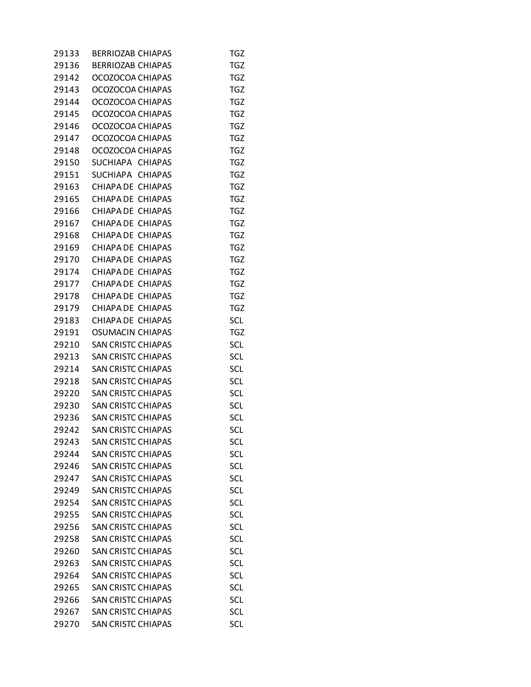| 29133 | <b>BERRIOZAB CHIAPAS</b>  | TGZ        |
|-------|---------------------------|------------|
| 29136 | <b>BERRIOZAB CHIAPAS</b>  | <b>TGZ</b> |
| 29142 | OCOZOCOA CHIAPAS          | <b>TGZ</b> |
| 29143 | OCOZOCOA CHIAPAS          | TGZ        |
| 29144 | OCOZOCOA CHIAPAS          | <b>TGZ</b> |
| 29145 | OCOZOCOA CHIAPAS          | TGZ        |
| 29146 | OCOZOCOA CHIAPAS          | TGZ        |
| 29147 | OCOZOCOA CHIAPAS          | <b>TGZ</b> |
| 29148 | OCOZOCOA CHIAPAS          | <b>TGZ</b> |
| 29150 | SUCHIAPA CHIAPAS          | <b>TGZ</b> |
| 29151 | SUCHIAPA CHIAPAS          | <b>TGZ</b> |
| 29163 | CHIAPA DE CHIAPAS         | TGZ        |
| 29165 | CHIAPA DE CHIAPAS         | TGZ        |
| 29166 | CHIAPA DE CHIAPAS         | <b>TGZ</b> |
| 29167 | CHIAPA DE CHIAPAS         | <b>TGZ</b> |
| 29168 | CHIAPA DE CHIAPAS         | TGZ        |
| 29169 | CHIAPA DE CHIAPAS         | <b>TGZ</b> |
| 29170 | CHIAPA DE CHIAPAS         | TGZ        |
| 29174 | CHIAPA DE CHIAPAS         | TGZ        |
| 29177 | CHIAPA DE CHIAPAS         | <b>TGZ</b> |
| 29178 | CHIAPA DE CHIAPAS         | <b>TGZ</b> |
| 29179 | CHIAPA DE CHIAPAS         | TGZ        |
| 29183 | CHIAPA DE CHIAPAS         | <b>SCL</b> |
| 29191 | <b>OSUMACIN CHIAPAS</b>   | TGZ        |
| 29210 | <b>SAN CRISTC CHIAPAS</b> | <b>SCL</b> |
| 29213 | <b>SAN CRISTC CHIAPAS</b> | <b>SCL</b> |
| 29214 | <b>SAN CRISTC CHIAPAS</b> | <b>SCL</b> |
| 29218 | <b>SAN CRISTC CHIAPAS</b> | <b>SCL</b> |
| 29220 | <b>SAN CRISTC CHIAPAS</b> | <b>SCL</b> |
| 29230 | <b>SAN CRISTC CHIAPAS</b> | SCL        |
| 29236 | <b>SAN CRISTC CHIAPAS</b> | <b>SCL</b> |
| 29242 | <b>SAN CRISTC CHIAPAS</b> | <b>SCL</b> |
| 29243 | <b>SAN CRISTC CHIAPAS</b> | SCL        |
| 29244 | <b>SAN CRISTC CHIAPAS</b> | <b>SCL</b> |
| 29246 | <b>SAN CRISTC CHIAPAS</b> | <b>SCL</b> |
| 29247 | <b>SAN CRISTC CHIAPAS</b> | SCL        |
| 29249 | <b>SAN CRISTC CHIAPAS</b> | <b>SCL</b> |
| 29254 | <b>SAN CRISTC CHIAPAS</b> | <b>SCL</b> |
| 29255 | <b>SAN CRISTC CHIAPAS</b> | <b>SCL</b> |
| 29256 | <b>SAN CRISTC CHIAPAS</b> | <b>SCL</b> |
| 29258 | <b>SAN CRISTC CHIAPAS</b> | <b>SCL</b> |
| 29260 | <b>SAN CRISTC CHIAPAS</b> | <b>SCL</b> |
| 29263 | <b>SAN CRISTC CHIAPAS</b> | <b>SCL</b> |
| 29264 | <b>SAN CRISTC CHIAPAS</b> | <b>SCL</b> |
| 29265 | <b>SAN CRISTC CHIAPAS</b> | <b>SCL</b> |
| 29266 | <b>SAN CRISTC CHIAPAS</b> | <b>SCL</b> |
| 29267 | <b>SAN CRISTC CHIAPAS</b> | <b>SCL</b> |
| 29270 | <b>SAN CRISTC CHIAPAS</b> | <b>SCL</b> |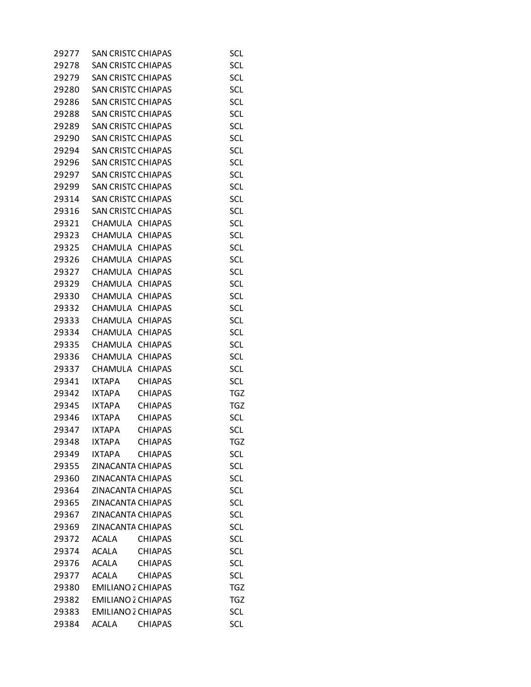| 29277 | <b>SAN CRISTC CHIAPAS</b> |                | <b>SCL</b>               |
|-------|---------------------------|----------------|--------------------------|
| 29278 | <b>SAN CRISTC CHIAPAS</b> |                | <b>SCL</b>               |
| 29279 | <b>SAN CRISTC CHIAPAS</b> |                | <b>SCL</b>               |
| 29280 | <b>SAN CRISTC CHIAPAS</b> |                | <b>SCL</b>               |
| 29286 | <b>SAN CRISTC CHIAPAS</b> |                | <b>SCL</b>               |
| 29288 | <b>SAN CRISTC CHIAPAS</b> |                | SCL                      |
| 29289 | <b>SAN CRISTC CHIAPAS</b> |                | <b>SCL</b>               |
| 29290 | <b>SAN CRISTC CHIAPAS</b> |                | <b>SCL</b>               |
| 29294 | <b>SAN CRISTC CHIAPAS</b> |                | SCL                      |
| 29296 | <b>SAN CRISTC CHIAPAS</b> |                | <b>SCL</b>               |
| 29297 | <b>SAN CRISTC CHIAPAS</b> |                | <b>SCL</b>               |
| 29299 | <b>SAN CRISTC CHIAPAS</b> |                | <b>SCL</b>               |
| 29314 | <b>SAN CRISTC CHIAPAS</b> |                | <b>SCL</b>               |
| 29316 | <b>SAN CRISTC CHIAPAS</b> |                | <b>SCL</b>               |
| 29321 | CHAMULA CHIAPAS           |                | <b>SCL</b>               |
| 29323 | CHAMULA CHIAPAS           |                | <b>SCL</b>               |
| 29325 | CHAMULA CHIAPAS           |                | <b>SCL</b>               |
| 29326 | CHAMULA CHIAPAS           |                | <b>SCL</b>               |
| 29327 | CHAMULA CHIAPAS           |                | <b>SCL</b>               |
|       | CHAMULA CHIAPAS           |                |                          |
| 29329 | CHAMULA CHIAPAS           |                | <b>SCL</b><br><b>SCL</b> |
| 29330 |                           |                |                          |
| 29332 | CHAMULA CHIAPAS           |                | <b>SCL</b>               |
| 29333 | CHAMULA                   | <b>CHIAPAS</b> | <b>SCL</b>               |
| 29334 | CHAMULA                   | <b>CHIAPAS</b> | <b>SCL</b>               |
| 29335 | CHAMULA CHIAPAS           |                | <b>SCL</b>               |
| 29336 | CHAMULA                   | <b>CHIAPAS</b> | <b>SCL</b>               |
| 29337 | CHAMULA CHIAPAS           |                | <b>SCL</b>               |
| 29341 | <b>IXTAPA</b>             | <b>CHIAPAS</b> | <b>SCL</b>               |
| 29342 | <b>IXTAPA</b>             | <b>CHIAPAS</b> | <b>TGZ</b>               |
| 29345 | <b>IXTAPA</b>             | <b>CHIAPAS</b> | TGZ                      |
| 29346 | <b>IXTAPA</b>             | <b>CHIAPAS</b> | <b>SCL</b>               |
| 29347 | <b>IXTAPA</b>             | <b>CHIAPAS</b> | <b>SCL</b>               |
| 29348 | <b>IXTAPA</b>             | <b>CHIAPAS</b> | TGZ                      |
| 29349 | <b>IXTAPA</b>             | <b>CHIAPAS</b> | <b>SCL</b>               |
| 29355 | <b>ZINACANTA CHIAPAS</b>  |                | <b>SCL</b>               |
| 29360 | ZINACANTA CHIAPAS         |                | <b>SCL</b>               |
| 29364 | <b>ZINACANTA CHIAPAS</b>  |                | SCL                      |
| 29365 | <b>ZINACANTA CHIAPAS</b>  |                | SCL                      |
| 29367 | ZINACANTA CHIAPAS         |                | <b>SCL</b>               |
| 29369 | ZINACANTA CHIAPAS         |                | <b>SCL</b>               |
| 29372 | <b>ACALA</b>              | <b>CHIAPAS</b> | <b>SCL</b>               |
| 29374 | <b>ACALA</b>              | <b>CHIAPAS</b> | <b>SCL</b>               |
| 29376 | ACALA                     | <b>CHIAPAS</b> | SCL                      |
| 29377 | <b>ACALA</b>              | <b>CHIAPAS</b> | <b>SCL</b>               |
| 29380 | <b>EMILIANO 2 CHIAPAS</b> |                | <b>TGZ</b>               |
| 29382 | <b>EMILIANO 2 CHIAPAS</b> |                | <b>TGZ</b>               |
| 29383 | <b>EMILIANO 2 CHIAPAS</b> |                | SCL                      |
| 29384 | ACALA                     | <b>CHIAPAS</b> | <b>SCL</b>               |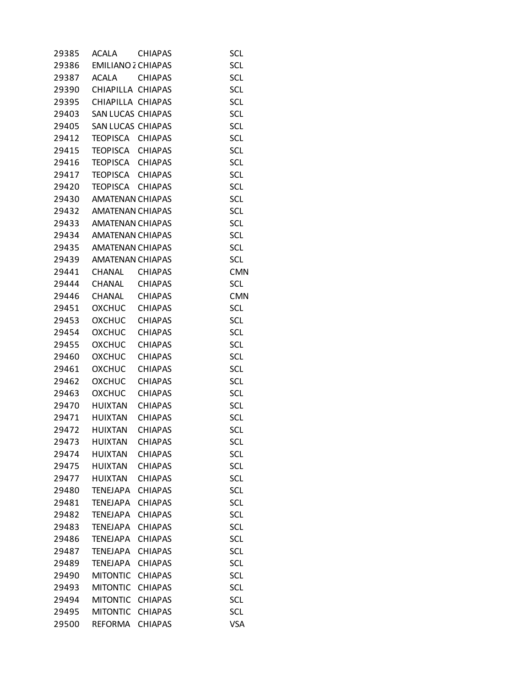| 29385 | ACALA                     | <b>CHIAPAS</b> | <b>SCL</b> |
|-------|---------------------------|----------------|------------|
| 29386 | <b>EMILIANO 2 CHIAPAS</b> |                | <b>SCL</b> |
| 29387 | <b>ACALA</b>              | <b>CHIAPAS</b> | <b>SCL</b> |
| 29390 | CHIAPILLA CHIAPAS         |                | <b>SCL</b> |
| 29395 | CHIAPILLA CHIAPAS         |                | <b>SCL</b> |
| 29403 | SAN LUCAS CHIAPAS         |                | SCL        |
| 29405 | SAN LUCAS CHIAPAS         |                | <b>SCL</b> |
| 29412 | TEOPISCA                  | <b>CHIAPAS</b> | <b>SCL</b> |
| 29415 | TEOPISCA                  | <b>CHIAPAS</b> | SCL        |
| 29416 | TEOPISCA CHIAPAS          |                | <b>SCL</b> |
| 29417 | TEOPISCA CHIAPAS          |                | <b>SCL</b> |
| 29420 | TEOPISCA                  | <b>CHIAPAS</b> | <b>SCL</b> |
| 29430 | <b>AMATENAN CHIAPAS</b>   |                | <b>SCL</b> |
| 29432 | <b>AMATENAN CHIAPAS</b>   |                | <b>SCL</b> |
| 29433 | AMATENAN CHIAPAS          |                | SCL        |
| 29434 | <b>AMATENAN CHIAPAS</b>   |                | <b>SCL</b> |
| 29435 | <b>AMATENAN CHIAPAS</b>   |                | <b>SCL</b> |
| 29439 | <b>AMATENAN CHIAPAS</b>   |                | SCL        |
| 29441 | CHANAL                    |                |            |
|       |                           | <b>CHIAPAS</b> | <b>CMN</b> |
| 29444 | CHANAL                    | <b>CHIAPAS</b> | <b>SCL</b> |
| 29446 | CHANAL                    | <b>CHIAPAS</b> | <b>CMN</b> |
| 29451 | OXCHUC                    | <b>CHIAPAS</b> | SCL        |
| 29453 | <b>OXCHUC</b>             | <b>CHIAPAS</b> | SCL        |
| 29454 | <b>OXCHUC</b>             | <b>CHIAPAS</b> | <b>SCL</b> |
| 29455 | OXCHUC                    | <b>CHIAPAS</b> | <b>SCL</b> |
| 29460 | <b>OXCHUC</b>             | <b>CHIAPAS</b> | <b>SCL</b> |
| 29461 | <b>OXCHUC</b>             | <b>CHIAPAS</b> | SCL        |
| 29462 | <b>OXCHUC</b>             | <b>CHIAPAS</b> | <b>SCL</b> |
| 29463 | <b>OXCHUC</b>             | <b>CHIAPAS</b> | <b>SCL</b> |
| 29470 | HUIXTAN                   | <b>CHIAPAS</b> | <b>SCL</b> |
| 29471 | <b>HUIXTAN</b>            | <b>CHIAPAS</b> | <b>SCL</b> |
| 29472 | <b>HUIXTAN</b>            | <b>CHIAPAS</b> | <b>SCL</b> |
| 29473 | <b>HUIXTAN</b>            | <b>CHIAPAS</b> | <b>SCL</b> |
| 29474 | <b>HUIXTAN</b>            | <b>CHIAPAS</b> | <b>SCL</b> |
| 29475 | <b>HUIXTAN</b>            | <b>CHIAPAS</b> | <b>SCL</b> |
| 29477 | <b>HUIXTAN</b>            | <b>CHIAPAS</b> | <b>SCL</b> |
| 29480 | <b>TENEJAPA</b>           | <b>CHIAPAS</b> | <b>SCL</b> |
| 29481 | <b>TENEJAPA</b>           | <b>CHIAPAS</b> | <b>SCL</b> |
| 29482 | <b>TENEJAPA</b>           | <b>CHIAPAS</b> | <b>SCL</b> |
| 29483 | <b>TENEJAPA</b>           | <b>CHIAPAS</b> | <b>SCL</b> |
| 29486 | <b>TENEJAPA</b>           | <b>CHIAPAS</b> | <b>SCL</b> |
| 29487 | <b>TENEJAPA</b>           | <b>CHIAPAS</b> | SCL        |
| 29489 | <b>TENEJAPA</b>           | <b>CHIAPAS</b> | <b>SCL</b> |
| 29490 | <b>MITONTIC</b>           | <b>CHIAPAS</b> | <b>SCL</b> |
| 29493 | <b>MITONTIC</b>           | <b>CHIAPAS</b> | <b>SCL</b> |
| 29494 | <b>MITONTIC</b>           | <b>CHIAPAS</b> | <b>SCL</b> |
| 29495 | <b>MITONTIC</b>           | <b>CHIAPAS</b> | <b>SCL</b> |
| 29500 | REFORMA                   | <b>CHIAPAS</b> | <b>VSA</b> |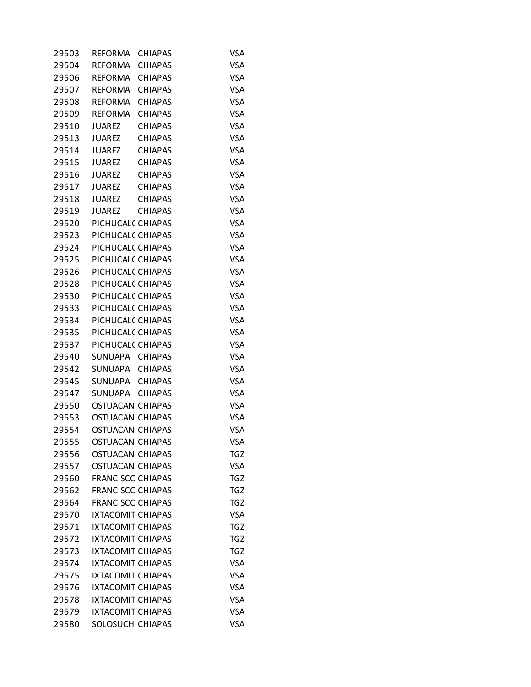| 29503 | REFORMA                  | <b>CHIAPAS</b> | VSA        |
|-------|--------------------------|----------------|------------|
| 29504 | <b>REFORMA</b>           | <b>CHIAPAS</b> | <b>VSA</b> |
| 29506 | REFORMA                  | <b>CHIAPAS</b> | <b>VSA</b> |
| 29507 | REFORMA                  | <b>CHIAPAS</b> | <b>VSA</b> |
| 29508 | <b>REFORMA</b>           | <b>CHIAPAS</b> | <b>VSA</b> |
| 29509 | REFORMA                  | <b>CHIAPAS</b> | <b>VSA</b> |
| 29510 | <b>JUAREZ</b>            | <b>CHIAPAS</b> | <b>VSA</b> |
| 29513 | JUAREZ                   | <b>CHIAPAS</b> | <b>VSA</b> |
| 29514 | <b>JUAREZ</b>            | <b>CHIAPAS</b> | <b>VSA</b> |
| 29515 | JUAREZ                   | <b>CHIAPAS</b> | <b>VSA</b> |
| 29516 | JUAREZ                   | <b>CHIAPAS</b> | <b>VSA</b> |
| 29517 | JUAREZ                   | <b>CHIAPAS</b> | <b>VSA</b> |
| 29518 | JUAREZ                   | <b>CHIAPAS</b> | <b>VSA</b> |
| 29519 | <b>JUAREZ</b>            | <b>CHIAPAS</b> | <b>VSA</b> |
| 29520 | PICHUCALC CHIAPAS        |                | <b>VSA</b> |
| 29523 | PICHUCALC CHIAPAS        |                | <b>VSA</b> |
| 29524 | PICHUCALC CHIAPAS        |                | <b>VSA</b> |
| 29525 | PICHUCALC CHIAPAS        |                | <b>VSA</b> |
| 29526 | PICHUCALC CHIAPAS        |                | <b>VSA</b> |
| 29528 | PICHUCALC CHIAPAS        |                | <b>VSA</b> |
| 29530 | PICHUCALC CHIAPAS        |                | <b>VSA</b> |
| 29533 | PICHUCALC CHIAPAS        |                | <b>VSA</b> |
| 29534 | PICHUCALC CHIAPAS        |                | <b>VSA</b> |
| 29535 | PICHUCALC CHIAPAS        |                | <b>VSA</b> |
| 29537 | PICHUCALC CHIAPAS        |                | <b>VSA</b> |
| 29540 | SUNUAPA CHIAPAS          |                | <b>VSA</b> |
| 29542 | SUNUAPA CHIAPAS          |                | <b>VSA</b> |
| 29545 | SUNUAPA CHIAPAS          |                | <b>VSA</b> |
| 29547 | SUNUAPA                  | <b>CHIAPAS</b> | <b>VSA</b> |
| 29550 | <b>OSTUACAN CHIAPAS</b>  |                | <b>VSA</b> |
| 29553 | <b>OSTUACAN CHIAPAS</b>  |                | <b>VSA</b> |
| 29554 | <b>OSTUACAN CHIAPAS</b>  |                | <b>VSA</b> |
| 29555 | <b>OSTUACAN CHIAPAS</b>  |                | <b>VSA</b> |
| 29556 | <b>OSTUACAN CHIAPAS</b>  |                | <b>TGZ</b> |
| 29557 | <b>OSTUACAN CHIAPAS</b>  |                | <b>VSA</b> |
| 29560 | <b>FRANCISCO CHIAPAS</b> |                | <b>TGZ</b> |
| 29562 | <b>FRANCISCO CHIAPAS</b> |                | <b>TGZ</b> |
| 29564 | <b>FRANCISCO CHIAPAS</b> |                | <b>TGZ</b> |
| 29570 | <b>IXTACOMIT CHIAPAS</b> |                | <b>VSA</b> |
| 29571 | <b>IXTACOMIT CHIAPAS</b> |                | <b>TGZ</b> |
| 29572 | <b>IXTACOMIT CHIAPAS</b> |                | <b>TGZ</b> |
| 29573 | <b>IXTACOMIT CHIAPAS</b> |                | <b>TGZ</b> |
| 29574 | <b>IXTACOMIT CHIAPAS</b> |                | <b>VSA</b> |
| 29575 | <b>IXTACOMIT CHIAPAS</b> |                | <b>VSA</b> |
| 29576 | <b>IXTACOMIT CHIAPAS</b> |                | <b>VSA</b> |
| 29578 | <b>IXTACOMIT CHIAPAS</b> |                | <b>VSA</b> |
| 29579 | <b>IXTACOMIT CHIAPAS</b> |                | <b>VSA</b> |
| 29580 | SOLOSUCHI CHIAPAS        |                | <b>VSA</b> |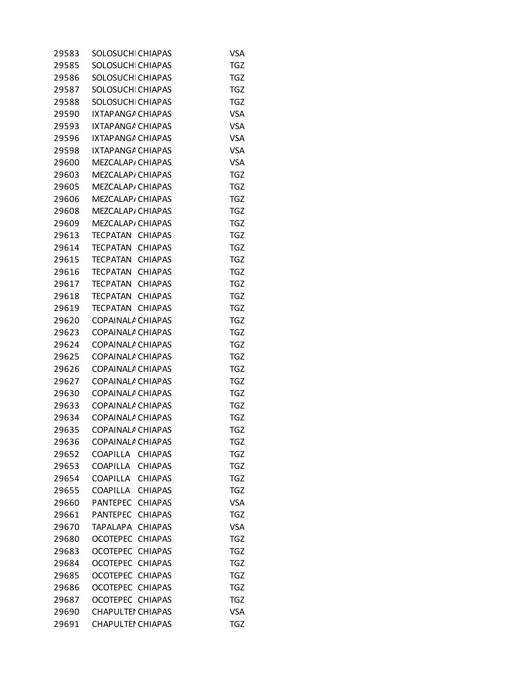| 29583 | SOLOSUCHI CHIAPAS                 | VSA        |
|-------|-----------------------------------|------------|
| 29585 | SOLOSUCHI CHIAPAS                 | <b>TGZ</b> |
| 29586 | SOLOSUCH CHIAPAS                  | <b>TGZ</b> |
| 29587 | SOLOSUCH CHIAPAS                  | <b>TGZ</b> |
| 29588 | SOLOSUCHI CHIAPAS                 | <b>TGZ</b> |
| 29590 | IXTAPANGA CHIAPAS                 | <b>VSA</b> |
| 29593 | IXTAPANGA CHIAPAS                 | <b>VSA</b> |
| 29596 | IXTAPANGA CHIAPAS                 | <b>VSA</b> |
| 29598 | IXTAPANGA CHIAPAS                 | <b>VSA</b> |
| 29600 | MEZCALAP, CHIAPAS                 | <b>VSA</b> |
| 29603 | MEZCALAP/ CHIAPAS                 | <b>TGZ</b> |
| 29605 | MEZCALAP/ CHIAPAS                 | <b>TGZ</b> |
| 29606 | MEZCALAP, CHIAPAS                 | <b>TGZ</b> |
| 29608 | MEZCALAP/ CHIAPAS                 | <b>TGZ</b> |
| 29609 | MEZCALAP/ CHIAPAS                 | <b>TGZ</b> |
| 29613 |                                   | <b>TGZ</b> |
|       | TECPATAN CHIAPAS                  |            |
| 29614 | TECPATAN<br><b>CHIAPAS</b>        | <b>TGZ</b> |
| 29615 | TECPATAN<br><b>CHIAPAS</b>        | <b>TGZ</b> |
| 29616 | TECPATAN CHIAPAS                  | <b>TGZ</b> |
| 29617 | TECPATAN<br><b>CHIAPAS</b>        | <b>TGZ</b> |
| 29618 | TECPATAN<br><b>CHIAPAS</b>        | <b>TGZ</b> |
| 29619 | TECPATAN CHIAPAS                  | <b>TGZ</b> |
| 29620 | COPAINALA CHIAPAS                 | <b>TGZ</b> |
| 29623 | COPAINALA CHIAPAS                 | <b>TGZ</b> |
| 29624 | COPAINALA CHIAPAS                 | <b>TGZ</b> |
| 29625 | COPAINALA CHIAPAS                 | <b>TGZ</b> |
| 29626 | COPAINALA CHIAPAS                 | <b>TGZ</b> |
| 29627 | COPAINALA CHIAPAS                 | TGZ        |
| 29630 | COPAINALA CHIAPAS                 | <b>TGZ</b> |
| 29633 | COPAINALA CHIAPAS                 | TGZ        |
| 29634 | COPAINALA CHIAPAS                 | <b>TGZ</b> |
| 29635 | COPAINALA CHIAPAS                 | <b>TGZ</b> |
| 29636 | COPAINALA CHIAPAS                 | TGZ        |
| 29652 | COAPILLA CHIAPAS                  | <b>TGZ</b> |
| 29653 | COAPILLA<br><b>CHIAPAS</b>        | <b>TGZ</b> |
| 29654 | <b>CHIAPAS</b><br>COAPILLA        | <b>TGZ</b> |
| 29655 | COAPILLA CHIAPAS                  | <b>TGZ</b> |
| 29660 | <b>PANTEPEC</b><br><b>CHIAPAS</b> | <b>VSA</b> |
| 29661 | <b>CHIAPAS</b><br>PANTEPEC        | <b>TGZ</b> |
| 29670 | <b>CHIAPAS</b><br>TAPALAPA        | <b>VSA</b> |
| 29680 | <b>OCOTEPEC</b><br><b>CHIAPAS</b> | <b>TGZ</b> |
| 29683 | <b>CHIAPAS</b><br>OCOTEPEC        | <b>TGZ</b> |
| 29684 | OCOTEPEC CHIAPAS                  | <b>TGZ</b> |
| 29685 | OCOTEPEC<br><b>CHIAPAS</b>        | <b>TGZ</b> |
| 29686 | OCOTEPEC CHIAPAS                  | <b>TGZ</b> |
| 29687 | OCOTEPEC CHIAPAS                  | <b>TGZ</b> |
| 29690 | <b>CHAPULTEI CHIAPAS</b>          | <b>VSA</b> |
| 29691 | <b>CHAPULTEI CHIAPAS</b>          | <b>TGZ</b> |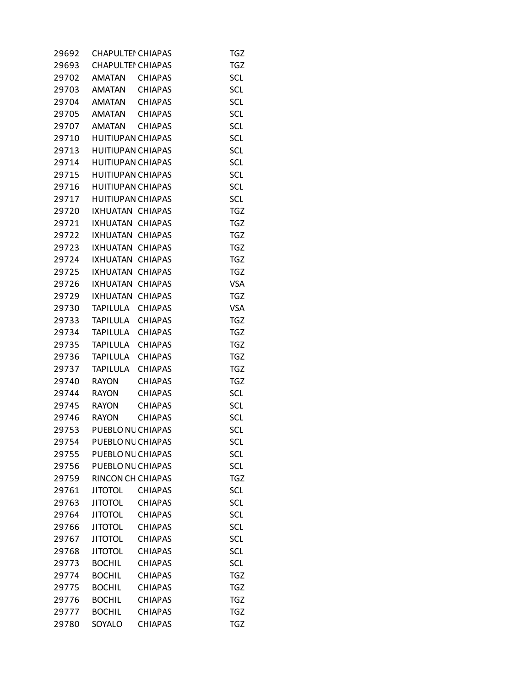| 29692 | <b>CHAPULTEI CHIAPAS</b> |                | TGZ        |
|-------|--------------------------|----------------|------------|
| 29693 | <b>CHAPULTEI CHIAPAS</b> |                | <b>TGZ</b> |
| 29702 | <b>AMATAN</b>            | <b>CHIAPAS</b> | <b>SCL</b> |
| 29703 | AMATAN CHIAPAS           |                | SCL        |
| 29704 | AMATAN                   | <b>CHIAPAS</b> | SCL        |
| 29705 | AMATAN                   | <b>CHIAPAS</b> | <b>SCL</b> |
| 29707 | <b>AMATAN</b>            | CHIAPAS        | <b>SCL</b> |
| 29710 | <b>HUITIUPAN CHIAPAS</b> |                | <b>SCL</b> |
| 29713 | <b>HUITIUPAN CHIAPAS</b> |                | <b>SCL</b> |
| 29714 | <b>HUITIUPAN CHIAPAS</b> |                | <b>SCL</b> |
| 29715 | <b>HUITIUPAN CHIAPAS</b> |                | SCL        |
| 29716 | HUITIUPAN CHIAPAS        |                | <b>SCL</b> |
| 29717 | <b>HUITIUPAN CHIAPAS</b> |                | <b>SCL</b> |
| 29720 | IXHUATAN CHIAPAS         |                | <b>TGZ</b> |
| 29721 | IXHUATAN CHIAPAS         |                | <b>TGZ</b> |
| 29722 | IXHUATAN CHIAPAS         |                | <b>TGZ</b> |
| 29723 | IXHUATAN                 | <b>CHIAPAS</b> | <b>TGZ</b> |
| 29724 | IXHUATAN                 | <b>CHIAPAS</b> | TGZ        |
| 29725 | IXHUATAN CHIAPAS         |                | TGZ        |
| 29726 | IXHUATAN                 | <b>CHIAPAS</b> | <b>VSA</b> |
| 29729 | IXHUATAN                 | <b>CHIAPAS</b> | <b>TGZ</b> |
| 29730 | TAPILULA                 | <b>CHIAPAS</b> | <b>VSA</b> |
| 29733 | <b>TAPILULA</b>          | <b>CHIAPAS</b> | <b>TGZ</b> |
| 29734 | TAPILULA                 | <b>CHIAPAS</b> | TGZ        |
| 29735 | TAPILULA                 | <b>CHIAPAS</b> | TGZ        |
| 29736 | <b>TAPILULA</b>          | <b>CHIAPAS</b> | <b>TGZ</b> |
| 29737 | TAPILULA                 | <b>CHIAPAS</b> | <b>TGZ</b> |
| 29740 | <b>RAYON</b>             | <b>CHIAPAS</b> | <b>TGZ</b> |
| 29744 | <b>RAYON</b>             | <b>CHIAPAS</b> | <b>SCL</b> |
| 29745 | <b>RAYON</b>             | <b>CHIAPAS</b> | SCL        |
| 29746 | <b>RAYON</b>             | <b>CHIAPAS</b> | <b>SCL</b> |
|       | 29753 PUEBLONL CHIAPAS   |                | <b>SCL</b> |
| 29754 | PUEBLO NL CHIAPAS        |                | <b>SCL</b> |
| 29755 | PUEBLO NL CHIAPAS        |                | <b>SCL</b> |
| 29756 | PUEBLO NU CHIAPAS        |                | <b>SCL</b> |
| 29759 | RINCON CH CHIAPAS        |                | <b>TGZ</b> |
| 29761 | <b>JITOTOL</b>           | <b>CHIAPAS</b> | <b>SCL</b> |
| 29763 | <b>JITOTOL</b>           | <b>CHIAPAS</b> | <b>SCL</b> |
| 29764 | <b>JITOTOL</b>           | <b>CHIAPAS</b> | <b>SCL</b> |
| 29766 | <b>JITOTOL</b>           | <b>CHIAPAS</b> | <b>SCL</b> |
| 29767 | <b>JITOTOL</b>           | <b>CHIAPAS</b> | <b>SCL</b> |
| 29768 | <b>JITOTOL</b>           | <b>CHIAPAS</b> | SCL        |
| 29773 | <b>BOCHIL</b>            | <b>CHIAPAS</b> | <b>SCL</b> |
| 29774 | <b>BOCHIL</b>            | <b>CHIAPAS</b> | <b>TGZ</b> |
| 29775 | <b>BOCHIL</b>            | <b>CHIAPAS</b> | <b>TGZ</b> |
| 29776 | <b>BOCHIL</b>            | <b>CHIAPAS</b> | <b>TGZ</b> |
| 29777 | <b>BOCHIL</b>            | <b>CHIAPAS</b> | <b>TGZ</b> |
| 29780 | SOYALO                   | <b>CHIAPAS</b> | <b>TGZ</b> |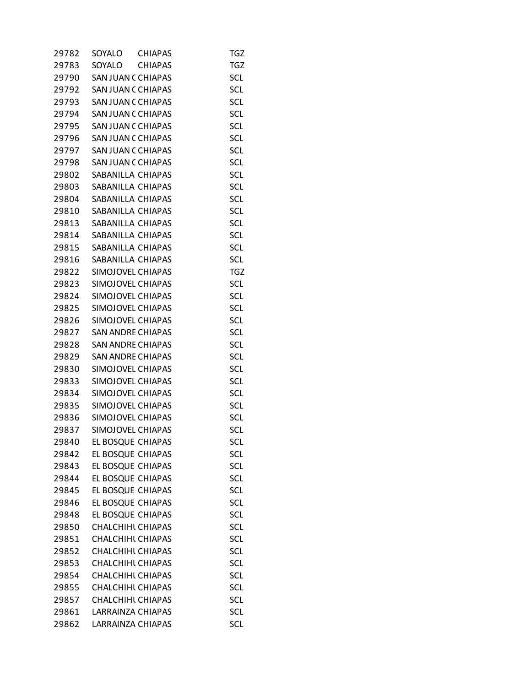| 29782 | SOYALO                    | <b>CHIAPAS</b> | TGZ        |
|-------|---------------------------|----------------|------------|
| 29783 | SOYALO                    | <b>CHIAPAS</b> | <b>TGZ</b> |
| 29790 | SAN JUAN C CHIAPAS        |                | <b>SCL</b> |
| 29792 | SAN JUAN C CHIAPAS        |                | <b>SCL</b> |
| 29793 | SAN JUAN C CHIAPAS        |                | <b>SCL</b> |
| 29794 | <b>SAN JUAN C CHIAPAS</b> |                | SCL        |
| 29795 | SAN JUAN C CHIAPAS        |                | <b>SCL</b> |
| 29796 | SAN JUAN C CHIAPAS        |                | <b>SCL</b> |
| 29797 | SAN JUAN C CHIAPAS        |                | <b>SCL</b> |
| 29798 | SAN JUAN C CHIAPAS        |                | <b>SCL</b> |
| 29802 | SABANILLA CHIAPAS         |                | <b>SCL</b> |
| 29803 | SABANILLA CHIAPAS         |                | SCL        |
| 29804 | SABANILLA CHIAPAS         |                | <b>SCL</b> |
| 29810 | SABANILLA CHIAPAS         |                | <b>SCL</b> |
| 29813 | SABANILLA CHIAPAS         |                | <b>SCL</b> |
| 29814 | SABANILLA CHIAPAS         |                | <b>SCL</b> |
| 29815 | SABANILLA CHIAPAS         |                | <b>SCL</b> |
| 29816 | SABANILLA CHIAPAS         |                | SCL        |
| 29822 | SIMOJOVEL CHIAPAS         |                | <b>TGZ</b> |
| 29823 | SIMOJOVEL CHIAPAS         |                | <b>SCL</b> |
| 29824 | SIMOJOVEL CHIAPAS         |                | <b>SCL</b> |
| 29825 | SIMOJOVEL CHIAPAS         |                | <b>SCL</b> |
| 29826 | SIMOJOVEL CHIAPAS         |                | <b>SCL</b> |
| 29827 | <b>SAN ANDRE CHIAPAS</b>  |                | SCL        |
| 29828 | SAN ANDRE CHIAPAS         |                | <b>SCL</b> |
| 29829 | <b>SAN ANDRE CHIAPAS</b>  |                | <b>SCL</b> |
| 29830 | SIMOJOVEL CHIAPAS         |                | <b>SCL</b> |
| 29833 | SIMOJOVEL CHIAPAS         |                | <b>SCL</b> |
| 29834 | SIMOJOVEL CHIAPAS         |                | <b>SCL</b> |
| 29835 | SIMOJOVEL CHIAPAS         |                | <b>SCL</b> |
| 29836 | SIMOJOVEL CHIAPAS         |                | <b>SCL</b> |
| 29837 | SIMOJOVEL CHIAPAS         |                | <b>SCL</b> |
| 29840 | EL BOSQUE CHIAPAS         |                | <b>SCL</b> |
| 29842 | EL BOSQUE CHIAPAS         |                | <b>SCL</b> |
| 29843 | EL BOSQUE CHIAPAS         |                | SCL        |
| 29844 | EL BOSQUE CHIAPAS         |                | <b>SCL</b> |
| 29845 | EL BOSQUE CHIAPAS         |                | SCL        |
| 29846 | EL BOSQUE CHIAPAS         |                | <b>SCL</b> |
| 29848 | EL BOSQUE CHIAPAS         |                | <b>SCL</b> |
| 29850 | <b>CHALCHIHL CHIAPAS</b>  |                | <b>SCL</b> |
| 29851 | CHALCHIHL CHIAPAS         |                | <b>SCL</b> |
| 29852 | CHALCHIHL CHIAPAS         |                | <b>SCL</b> |
| 29853 | CHALCHIHL CHIAPAS         |                | <b>SCL</b> |
| 29854 | <b>CHALCHIHL CHIAPAS</b>  |                | <b>SCL</b> |
| 29855 | CHALCHIHL CHIAPAS         |                | <b>SCL</b> |
| 29857 | CHALCHIHL CHIAPAS         |                | <b>SCL</b> |
| 29861 | LARRAINZA CHIAPAS         |                | <b>SCL</b> |
| 29862 | LARRAINZA CHIAPAS         |                | <b>SCL</b> |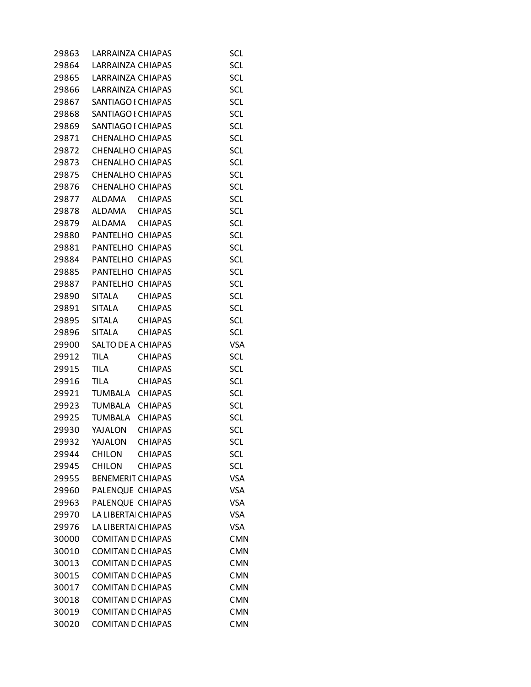| 29863 | LARRAINZA CHIAPAS        |                | <b>SCL</b> |
|-------|--------------------------|----------------|------------|
| 29864 | LARRAINZA CHIAPAS        |                | <b>SCL</b> |
| 29865 | LARRAINZA CHIAPAS        |                | SCL        |
| 29866 | LARRAINZA CHIAPAS        |                | <b>SCL</b> |
| 29867 | SANTIAGO I CHIAPAS       |                | SCL        |
| 29868 | SANTIAGO I CHIAPAS       |                | SCL        |
| 29869 | SANTIAGO I CHIAPAS       |                | <b>SCL</b> |
| 29871 | <b>CHENALHO CHIAPAS</b>  |                | <b>SCL</b> |
| 29872 | <b>CHENALHO CHIAPAS</b>  |                | SCL        |
| 29873 | CHENALHO CHIAPAS         |                | <b>SCL</b> |
| 29875 | <b>CHENALHO CHIAPAS</b>  |                | <b>SCL</b> |
| 29876 | <b>CHENALHO CHIAPAS</b>  |                | SCL        |
| 29877 | ALDAMA CHIAPAS           |                | <b>SCL</b> |
| 29878 | ALDAMA                   | CHIAPAS        | <b>SCL</b> |
|       | 29879 ALDAMA CHIAPAS     |                | <b>SCL</b> |
|       | 29880 PANTELHO CHIAPAS   |                | <b>SCL</b> |
|       | 29881 PANTELHO CHIAPAS   |                | <b>SCL</b> |
|       | 29884 PANTELHO CHIAPAS   |                | SCL        |
|       |                          |                |            |
| 29885 | PANTELHO CHIAPAS         |                | <b>SCL</b> |
|       | 29887 PANTELHO CHIAPAS   |                | <b>SCL</b> |
| 29890 | <b>SITALA</b>            | <b>CHIAPAS</b> | SCL        |
| 29891 | SITALA                   | CHIAPAS        | <b>SCL</b> |
| 29895 | <b>SITALA</b>            | CHIAPAS        | <b>SCL</b> |
| 29896 | <b>SITALA</b>            | <b>CHIAPAS</b> | <b>SCL</b> |
| 29900 | SALTO DE A CHIAPAS       |                | <b>VSA</b> |
| 29912 | <b>TILA</b>              | <b>CHIAPAS</b> | <b>SCL</b> |
| 29915 | <b>TILA</b>              | <b>CHIAPAS</b> | SCL        |
| 29916 | <b>TILA</b>              | <b>CHIAPAS</b> | <b>SCL</b> |
| 29921 | TUMBALA CHIAPAS          |                | <b>SCL</b> |
| 29923 | TUMBALA                  | <b>CHIAPAS</b> | <b>SCL</b> |
| 29925 | TUMBALA                  | <b>CHIAPAS</b> | <b>SCL</b> |
| 29930 | YAJALON                  | <b>CHIAPAS</b> | <b>SCL</b> |
| 29932 | YAJALON                  | <b>CHIAPAS</b> | SCL        |
| 29944 | <b>CHILON</b>            | <b>CHIAPAS</b> | SCL        |
| 29945 | <b>CHILON</b>            | <b>CHIAPAS</b> | <b>SCL</b> |
| 29955 | <b>BENEMERIT CHIAPAS</b> |                | <b>VSA</b> |
| 29960 | PALENQUE CHIAPAS         |                | <b>VSA</b> |
| 29963 | PALENQUE CHIAPAS         |                | <b>VSA</b> |
| 29970 | LA LIBERTAI CHIAPAS      |                | <b>VSA</b> |
| 29976 | LA LIBERTAI CHIAPAS      |                | <b>VSA</b> |
| 30000 | <b>COMITAN E CHIAPAS</b> |                | <b>CMN</b> |
| 30010 | <b>COMITAN E CHIAPAS</b> |                | <b>CMN</b> |
| 30013 | <b>COMITAN E CHIAPAS</b> |                | <b>CMN</b> |
| 30015 | <b>COMITAN E CHIAPAS</b> |                | <b>CMN</b> |
| 30017 | <b>COMITAN E CHIAPAS</b> |                | <b>CMN</b> |
| 30018 | <b>COMITAN E CHIAPAS</b> |                | <b>CMN</b> |
| 30019 | <b>COMITAN E CHIAPAS</b> |                | <b>CMN</b> |
| 30020 | <b>COMITAN E CHIAPAS</b> |                | <b>CMN</b> |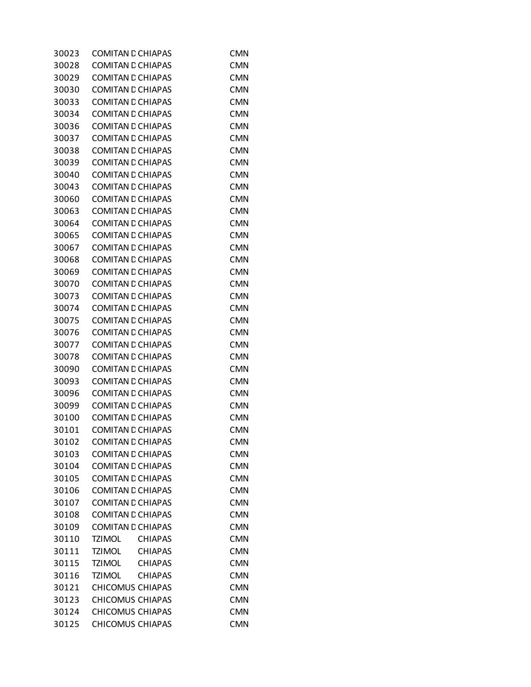| 30023 | <b>COMITAN E CHIAPAS</b>        | <b>CMN</b> |
|-------|---------------------------------|------------|
| 30028 | <b>COMITAN E CHIAPAS</b>        | <b>CMN</b> |
| 30029 | <b>COMITAN E CHIAPAS</b>        | <b>CMN</b> |
| 30030 | <b>COMITAN E CHIAPAS</b>        | <b>CMN</b> |
| 30033 | <b>COMITAN E CHIAPAS</b>        | <b>CMN</b> |
| 30034 | <b>COMITAN E CHIAPAS</b>        | <b>CMN</b> |
| 30036 | <b>COMITAN E CHIAPAS</b>        | <b>CMN</b> |
| 30037 | <b>COMITAN E CHIAPAS</b>        | <b>CMN</b> |
| 30038 | <b>COMITAN E CHIAPAS</b>        | <b>CMN</b> |
| 30039 | <b>COMITAN E CHIAPAS</b>        | <b>CMN</b> |
| 30040 | <b>COMITAN E CHIAPAS</b>        | <b>CMN</b> |
| 30043 | <b>COMITAN E CHIAPAS</b>        | <b>CMN</b> |
| 30060 | <b>COMITAN E CHIAPAS</b>        | <b>CMN</b> |
| 30063 | <b>COMITAN E CHIAPAS</b>        | <b>CMN</b> |
| 30064 | <b>COMITAN E CHIAPAS</b>        | <b>CMN</b> |
| 30065 | <b>COMITAN E CHIAPAS</b>        | <b>CMN</b> |
| 30067 | <b>COMITAN E CHIAPAS</b>        | <b>CMN</b> |
| 30068 | <b>COMITAN E CHIAPAS</b>        | <b>CMN</b> |
| 30069 | <b>COMITAN E CHIAPAS</b>        | <b>CMN</b> |
| 30070 | <b>COMITAN E CHIAPAS</b>        | <b>CMN</b> |
| 30073 | <b>COMITAN E CHIAPAS</b>        | <b>CMN</b> |
| 30074 | <b>COMITAN E CHIAPAS</b>        | <b>CMN</b> |
| 30075 | <b>COMITAN E CHIAPAS</b>        | <b>CMN</b> |
| 30076 | <b>COMITAN E CHIAPAS</b>        | <b>CMN</b> |
| 30077 | <b>COMITAN E CHIAPAS</b>        | <b>CMN</b> |
| 30078 | <b>COMITAN E CHIAPAS</b>        | <b>CMN</b> |
| 30090 | <b>COMITAN E CHIAPAS</b>        | <b>CMN</b> |
| 30093 | <b>COMITAN E CHIAPAS</b>        | <b>CMN</b> |
| 30096 | <b>COMITAN E CHIAPAS</b>        | <b>CMN</b> |
| 30099 | <b>COMITAN E CHIAPAS</b>        | <b>CMN</b> |
| 30100 | <b>COMITAN E CHIAPAS</b>        | <b>CMN</b> |
| 30101 | <b>COMITAN E CHIAPAS</b>        | <b>CMN</b> |
| 30102 | <b>COMITAN E CHIAPAS</b>        | <b>CMN</b> |
| 30103 | <b>COMITAN E CHIAPAS</b>        | <b>CMN</b> |
| 30104 | <b>COMITAN E CHIAPAS</b>        | <b>CMN</b> |
| 30105 | <b>COMITAN E CHIAPAS</b>        | <b>CMN</b> |
| 30106 | <b>COMITAN E CHIAPAS</b>        | <b>CMN</b> |
| 30107 | <b>COMITAN E CHIAPAS</b>        | <b>CMN</b> |
| 30108 | <b>COMITAN E CHIAPAS</b>        | <b>CMN</b> |
| 30109 | <b>COMITAN E CHIAPAS</b>        | <b>CMN</b> |
| 30110 | <b>TZIMOL</b><br><b>CHIAPAS</b> | <b>CMN</b> |
| 30111 | TZIMOL<br>CHIAPAS               | <b>CMN</b> |
| 30115 | TZIMOL<br><b>CHIAPAS</b>        | <b>CMN</b> |
| 30116 | TZIMOL<br><b>CHIAPAS</b>        | <b>CMN</b> |
| 30121 | <b>CHICOMUS CHIAPAS</b>         | <b>CMN</b> |
| 30123 | <b>CHICOMUS CHIAPAS</b>         | <b>CMN</b> |
| 30124 | <b>CHICOMUS CHIAPAS</b>         | <b>CMN</b> |
| 30125 | <b>CHICOMUS CHIAPAS</b>         | <b>CMN</b> |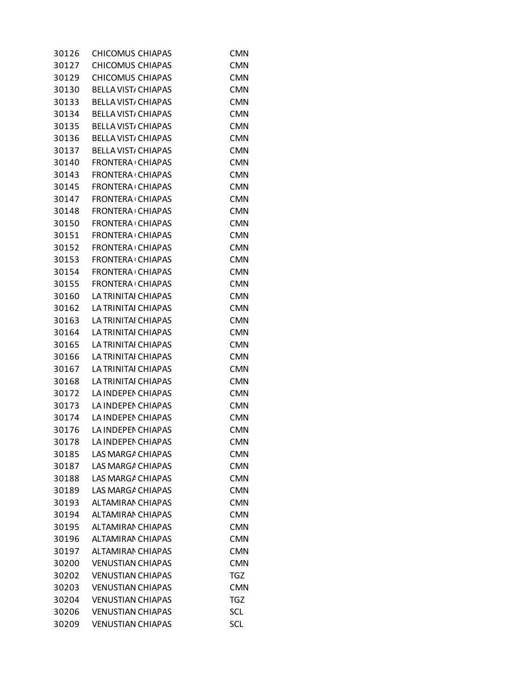| 30126 | <b>CHICOMUS CHIAPAS</b>    | <b>CMN</b> |
|-------|----------------------------|------------|
| 30127 | <b>CHICOMUS CHIAPAS</b>    | <b>CMN</b> |
| 30129 | <b>CHICOMUS CHIAPAS</b>    | <b>CMN</b> |
| 30130 | <b>BELLA VIST, CHIAPAS</b> | <b>CMN</b> |
| 30133 | <b>BELLA VIST/ CHIAPAS</b> | <b>CMN</b> |
| 30134 | <b>BELLA VIST, CHIAPAS</b> | <b>CMN</b> |
| 30135 | <b>BELLA VIST, CHIAPAS</b> | <b>CMN</b> |
| 30136 | <b>BELLA VIST/ CHIAPAS</b> | <b>CMN</b> |
| 30137 | <b>BELLA VIST, CHIAPAS</b> | <b>CMN</b> |
| 30140 | <b>FRONTERA CHIAPAS</b>    | <b>CMN</b> |
| 30143 | <b>FRONTERA CHIAPAS</b>    | <b>CMN</b> |
| 30145 | <b>FRONTERA CHIAPAS</b>    | <b>CMN</b> |
| 30147 | <b>FRONTERA CHIAPAS</b>    | <b>CMN</b> |
| 30148 | <b>FRONTERA CHIAPAS</b>    | <b>CMN</b> |
| 30150 | <b>FRONTERA CHIAPAS</b>    | <b>CMN</b> |
| 30151 | <b>FRONTERA CHIAPAS</b>    | <b>CMN</b> |
| 30152 | <b>FRONTERA CHIAPAS</b>    | <b>CMN</b> |
| 30153 | <b>FRONTERA CHIAPAS</b>    | <b>CMN</b> |
| 30154 | <b>FRONTERA CHIAPAS</b>    | <b>CMN</b> |
| 30155 | <b>FRONTERA CHIAPAS</b>    | <b>CMN</b> |
| 30160 | LA TRINITAI CHIAPAS        | <b>CMN</b> |
| 30162 | LA TRINITAI CHIAPAS        | <b>CMN</b> |
| 30163 | LA TRINITAI CHIAPAS        | <b>CMN</b> |
| 30164 | LA TRINITAI CHIAPAS        | <b>CMN</b> |
| 30165 | LA TRINITAI CHIAPAS        | <b>CMN</b> |
| 30166 | LA TRINITAI CHIAPAS        | <b>CMN</b> |
| 30167 | LA TRINITAI CHIAPAS        | <b>CMN</b> |
| 30168 | LA TRINITAI CHIAPAS        | <b>CMN</b> |
| 30172 | <b>LA INDEPEN CHIAPAS</b>  | <b>CMN</b> |
| 30173 | LA INDEPEN CHIAPAS         | <b>CMN</b> |
| 30174 | LA INDEPEN CHIAPAS         | <b>CMN</b> |
| 30176 | LA INDEPEN CHIAPAS         | <b>CMN</b> |
| 30178 | LA INDEPEN CHIAPAS         | <b>CMN</b> |
| 30185 | LAS MARGA CHIAPAS          | <b>CMN</b> |
| 30187 | LAS MARGA CHIAPAS          | <b>CMN</b> |
| 30188 | LAS MARGA CHIAPAS          | <b>CMN</b> |
| 30189 | LAS MARGA CHIAPAS          | <b>CMN</b> |
| 30193 | <b>ALTAMIRAN CHIAPAS</b>   | <b>CMN</b> |
| 30194 | <b>ALTAMIRAN CHIAPAS</b>   | <b>CMN</b> |
| 30195 | ALTAMIRAN CHIAPAS          | <b>CMN</b> |
| 30196 | <b>ALTAMIRAN CHIAPAS</b>   | <b>CMN</b> |
| 30197 | <b>ALTAMIRAN CHIAPAS</b>   | <b>CMN</b> |
| 30200 | <b>VENUSTIAN CHIAPAS</b>   | <b>CMN</b> |
| 30202 | <b>VENUSTIAN CHIAPAS</b>   | <b>TGZ</b> |
| 30203 | <b>VENUSTIAN CHIAPAS</b>   | <b>CMN</b> |
| 30204 | <b>VENUSTIAN CHIAPAS</b>   | <b>TGZ</b> |
| 30206 | <b>VENUSTIAN CHIAPAS</b>   | <b>SCL</b> |
| 30209 | <b>VENUSTIAN CHIAPAS</b>   | SCL        |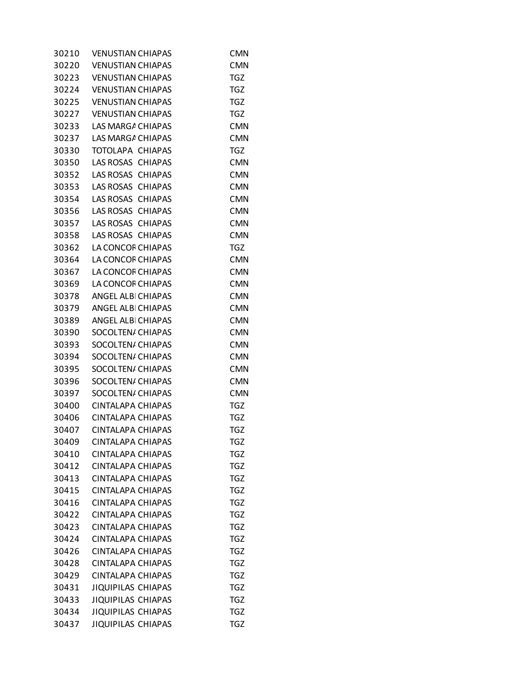| 30210 | <b>VENUSTIAN CHIAPAS</b>  | CMN        |
|-------|---------------------------|------------|
| 30220 | <b>VENUSTIAN CHIAPAS</b>  | <b>CMN</b> |
| 30223 | <b>VENUSTIAN CHIAPAS</b>  | TGZ        |
| 30224 | <b>VENUSTIAN CHIAPAS</b>  | TGZ        |
| 30225 | <b>VENUSTIAN CHIAPAS</b>  | <b>TGZ</b> |
| 30227 | <b>VENUSTIAN CHIAPAS</b>  | <b>TGZ</b> |
| 30233 | LAS MARGA CHIAPAS         | <b>CMN</b> |
| 30237 | LAS MARGA CHIAPAS         | <b>CMN</b> |
| 30330 | TOTOLAPA CHIAPAS          | <b>TGZ</b> |
| 30350 | LAS ROSAS CHIAPAS         | <b>CMN</b> |
| 30352 | <b>LAS ROSAS CHIAPAS</b>  | <b>CMN</b> |
| 30353 | LAS ROSAS CHIAPAS         | <b>CMN</b> |
| 30354 | LAS ROSAS CHIAPAS         | <b>CMN</b> |
| 30356 | LAS ROSAS CHIAPAS         | <b>CMN</b> |
| 30357 | LAS ROSAS CHIAPAS         | <b>CMN</b> |
| 30358 | LAS ROSAS CHIAPAS         | <b>CMN</b> |
| 30362 | LA CONCOF CHIAPAS         | <b>TGZ</b> |
| 30364 | LA CONCOF CHIAPAS         | <b>CMN</b> |
| 30367 | LA CONCOF CHIAPAS         | <b>CMN</b> |
| 30369 | LA CONCOF CHIAPAS         | <b>CMN</b> |
| 30378 | ANGEL ALBI CHIAPAS        | <b>CMN</b> |
| 30379 | ANGEL ALBI CHIAPAS        | <b>CMN</b> |
| 30389 | ANGEL ALBI CHIAPAS        | <b>CMN</b> |
| 30390 | SOCOLTEN/ CHIAPAS         | <b>CMN</b> |
| 30393 | SOCOLTEN/ CHIAPAS         | <b>CMN</b> |
| 30394 | SOCOLTEN/ CHIAPAS         | <b>CMN</b> |
| 30395 | SOCOLTEN/ CHIAPAS         | <b>CMN</b> |
| 30396 | SOCOLTEN/ CHIAPAS         | <b>CMN</b> |
| 30397 | SOCOLTEN/ CHIAPAS         | <b>CMN</b> |
| 30400 | CINTALAPA CHIAPAS         | TGZ        |
| 30406 | CINTALAPA CHIAPAS         | TGZ        |
| 30407 | CINTALAPA CHIAPAS         | <b>TGZ</b> |
| 30409 | <b>CINTALAPA CHIAPAS</b>  | <b>TGZ</b> |
| 30410 | <b>CINTALAPA CHIAPAS</b>  | <b>TGZ</b> |
| 30412 | <b>CINTALAPA CHIAPAS</b>  | <b>TGZ</b> |
| 30413 | CINTALAPA CHIAPAS         | <b>TGZ</b> |
| 30415 | <b>CINTALAPA CHIAPAS</b>  | <b>TGZ</b> |
| 30416 | <b>CINTALAPA CHIAPAS</b>  | <b>TGZ</b> |
| 30422 | CINTALAPA CHIAPAS         | <b>TGZ</b> |
| 30423 | <b>CINTALAPA CHIAPAS</b>  | <b>TGZ</b> |
| 30424 | <b>CINTALAPA CHIAPAS</b>  | <b>TGZ</b> |
| 30426 | CINTALAPA CHIAPAS         | <b>TGZ</b> |
| 30428 | CINTALAPA CHIAPAS         | <b>TGZ</b> |
| 30429 | CINTALAPA CHIAPAS         | <b>TGZ</b> |
| 30431 | <b>JIQUIPILAS CHIAPAS</b> | <b>TGZ</b> |
| 30433 | <b>JIQUIPILAS CHIAPAS</b> | <b>TGZ</b> |
| 30434 | <b>JIQUIPILAS CHIAPAS</b> | <b>TGZ</b> |
| 30437 | <b>JIQUIPILAS CHIAPAS</b> | <b>TGZ</b> |
|       |                           |            |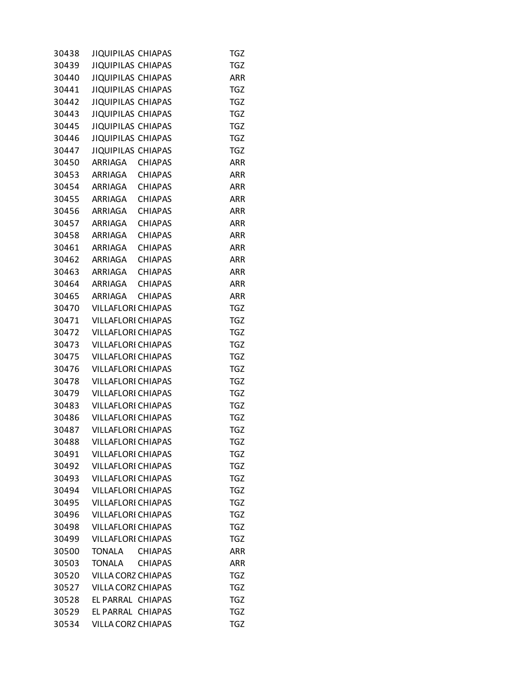| 30438 | <b>JIQUIPILAS CHIAPAS</b>       | TGZ        |
|-------|---------------------------------|------------|
| 30439 | <b>JIQUIPILAS CHIAPAS</b>       | <b>TGZ</b> |
| 30440 | JIQUIPILAS CHIAPAS              | ARR        |
| 30441 | <b>JIQUIPILAS CHIAPAS</b>       | <b>TGZ</b> |
| 30442 | <b>JIQUIPILAS CHIAPAS</b>       | <b>TGZ</b> |
| 30443 | JIQUIPILAS CHIAPAS              | <b>TGZ</b> |
| 30445 | <b>JIQUIPILAS CHIAPAS</b>       | <b>TGZ</b> |
| 30446 | <b>JIQUIPILAS CHIAPAS</b>       | <b>TGZ</b> |
| 30447 | JIQUIPILAS CHIAPAS              | <b>TGZ</b> |
| 30450 | ARRIAGA CHIAPAS                 | <b>ARR</b> |
|       | 30453 ARRIAGA CHIAPAS           | <b>ARR</b> |
|       | 30454 ARRIAGA CHIAPAS           | ARR        |
|       | 30455 ARRIAGA CHIAPAS           | ARR        |
|       | 30456 ARRIAGA CHIAPAS           | <b>ARR</b> |
|       | 30457 ARRIAGA CHIAPAS           | <b>ARR</b> |
|       | 30458 ARRIAGA CHIAPAS           | <b>ARR</b> |
|       | 30461 ARRIAGA CHIAPAS           | <b>ARR</b> |
|       | <b>CHIAPAS</b><br>30462 ARRIAGA | ARR        |
| 30463 | ARRIAGA CHIAPAS                 | ARR        |
|       |                                 |            |
|       | 30464 ARRIAGA CHIAPAS           | <b>ARR</b> |
|       | 30465 ARRIAGA CHIAPAS           | <b>ARR</b> |
|       | 30470 VILLAFLORI CHIAPAS        | <b>TGZ</b> |
| 30471 | <b>VILLAFLORI CHIAPAS</b>       | <b>TGZ</b> |
| 30472 | <b>VILLAFLORI CHIAPAS</b>       | <b>TGZ</b> |
| 30473 | <b>VILLAFLORI CHIAPAS</b>       | <b>TGZ</b> |
| 30475 | <b>VILLAFLORI CHIAPAS</b>       | <b>TGZ</b> |
| 30476 | <b>VILLAFLORI CHIAPAS</b>       | <b>TGZ</b> |
| 30478 | <b>VILLAFLORI CHIAPAS</b>       | <b>TGZ</b> |
|       | 30479 VILLAFLORI CHIAPAS        | <b>TGZ</b> |
| 30483 | <b>VILLAFLORI CHIAPAS</b>       | TGZ        |
| 30486 | <b>VILLAFLORI CHIAPAS</b>       | <b>TGZ</b> |
| 30487 | VILLAFLORI CHIAPAS              | <b>TGZ</b> |
| 30488 | <b>VILLAFLORI CHIAPAS</b>       | <b>TGZ</b> |
| 30491 | <b>VILLAFLORI CHIAPAS</b>       | <b>TGZ</b> |
| 30492 | <b>VILLAFLORI CHIAPAS</b>       | <b>TGZ</b> |
| 30493 | <b>VILLAFLORI CHIAPAS</b>       | <b>TGZ</b> |
| 30494 | <b>VILLAFLORI CHIAPAS</b>       | <b>TGZ</b> |
| 30495 | <b>VILLAFLORI CHIAPAS</b>       | <b>TGZ</b> |
| 30496 | <b>VILLAFLORI CHIAPAS</b>       | <b>TGZ</b> |
| 30498 | <b>VILLAFLORI CHIAPAS</b>       | <b>TGZ</b> |
| 30499 | <b>VILLAFLORI CHIAPAS</b>       | <b>TGZ</b> |
| 30500 | <b>TONALA</b><br><b>CHIAPAS</b> | ARR        |
| 30503 | <b>TONALA</b><br><b>CHIAPAS</b> | <b>ARR</b> |
| 30520 | VILLA CORZ CHIAPAS              | <b>TGZ</b> |
| 30527 | VILLA CORZ CHIAPAS              | <b>TGZ</b> |
| 30528 | EL PARRAL CHIAPAS               | <b>TGZ</b> |
| 30529 | EL PARRAL CHIAPAS               | <b>TGZ</b> |
| 30534 | VILLA CORZ CHIAPAS              | <b>TGZ</b> |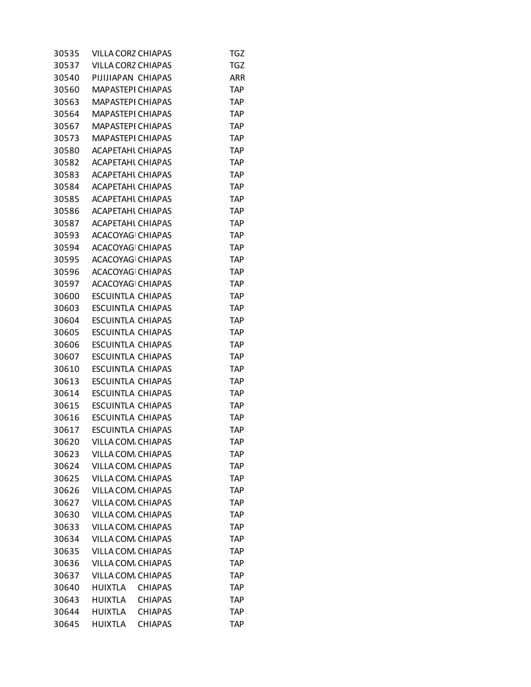| 30535 | VILLA CORZ CHIAPAS       |                | <b>TGZ</b> |
|-------|--------------------------|----------------|------------|
| 30537 | VILLA CORZ CHIAPAS       |                | TGZ        |
| 30540 | PIJIJIAPAN CHIAPAS       |                | ARR        |
| 30560 | <b>MAPASTEPI CHIAPAS</b> |                | <b>TAP</b> |
| 30563 | <b>MAPASTEPI CHIAPAS</b> |                | <b>TAP</b> |
| 30564 | <b>MAPASTEPI CHIAPAS</b> |                | <b>TAP</b> |
| 30567 | MAPASTEPI CHIAPAS        |                | TAP        |
| 30573 | <b>MAPASTEPI CHIAPAS</b> |                | TAP        |
| 30580 | <b>ACAPETAHL CHIAPAS</b> |                | TAP        |
| 30582 | <b>ACAPETAHL CHIAPAS</b> |                | <b>TAP</b> |
| 30583 | <b>ACAPETAHL CHIAPAS</b> |                | <b>TAP</b> |
| 30584 | <b>ACAPETAHL CHIAPAS</b> |                | <b>TAP</b> |
| 30585 | <b>ACAPETAHL CHIAPAS</b> |                | TAP        |
| 30586 | <b>ACAPETAHL CHIAPAS</b> |                | TAP        |
| 30587 | <b>ACAPETAHL CHIAPAS</b> |                | TAP        |
| 30593 | ACACOYAG CHIAPAS         |                | <b>TAP</b> |
| 30594 | <b>ACACOYAG CHIAPAS</b>  |                | <b>TAP</b> |
| 30595 | <b>ACACOYAG CHIAPAS</b>  |                | <b>TAP</b> |
| 30596 | ACACOYAG CHIAPAS         |                | <b>TAP</b> |
| 30597 | <b>ACACOYAG CHIAPAS</b>  |                | TAP        |
| 30600 | <b>ESCUINTLA CHIAPAS</b> |                | TAP        |
| 30603 | <b>ESCUINTLA CHIAPAS</b> |                | <b>TAP</b> |
| 30604 | <b>ESCUINTLA CHIAPAS</b> |                | <b>TAP</b> |
| 30605 | <b>ESCUINTLA CHIAPAS</b> |                | <b>TAP</b> |
| 30606 | ESCUINTLA CHIAPAS        |                | TAP        |
| 30607 | <b>ESCUINTLA CHIAPAS</b> |                | TAP        |
| 30610 | <b>ESCUINTLA CHIAPAS</b> |                | TAP        |
| 30613 | <b>ESCUINTLA CHIAPAS</b> |                | TAP        |
| 30614 | <b>ESCUINTLA CHIAPAS</b> |                | TAP        |
| 30615 | <b>ESCUINTLA CHIAPAS</b> |                | <b>TAP</b> |
| 30616 | ESCUINTLA CHIAPAS        |                | TAP        |
| 30617 | <b>ESCUINTLA CHIAPAS</b> |                | TAP        |
| 30620 | VILLA COM. CHIAPAS       |                | <b>TAP</b> |
| 30623 | VILLA COM, CHIAPAS       |                | TAP        |
| 30624 | VILLA COM. CHIAPAS       |                | <b>TAP</b> |
| 30625 | VILLA COM, CHIAPAS       |                | <b>TAP</b> |
| 30626 | VILLA COM, CHIAPAS       |                | <b>TAP</b> |
| 30627 | VILLA COM, CHIAPAS       |                | <b>TAP</b> |
| 30630 | VILLA COM, CHIAPAS       |                | <b>TAP</b> |
| 30633 | VILLA COM, CHIAPAS       |                | TAP        |
| 30634 | VILLA COM. CHIAPAS       |                | TAP        |
| 30635 | VILLA COM, CHIAPAS       |                | <b>TAP</b> |
| 30636 | VILLA COM. CHIAPAS       |                | <b>TAP</b> |
| 30637 | VILLA COM, CHIAPAS       |                | <b>TAP</b> |
| 30640 | <b>HUIXTLA</b>           | <b>CHIAPAS</b> | <b>TAP</b> |
| 30643 | HUIXTLA                  | <b>CHIAPAS</b> | TAP        |
| 30644 | <b>HUIXTLA</b>           | <b>CHIAPAS</b> | TAP        |
| 30645 | <b>HUIXTLA</b>           | <b>CHIAPAS</b> | <b>TAP</b> |
|       |                          |                |            |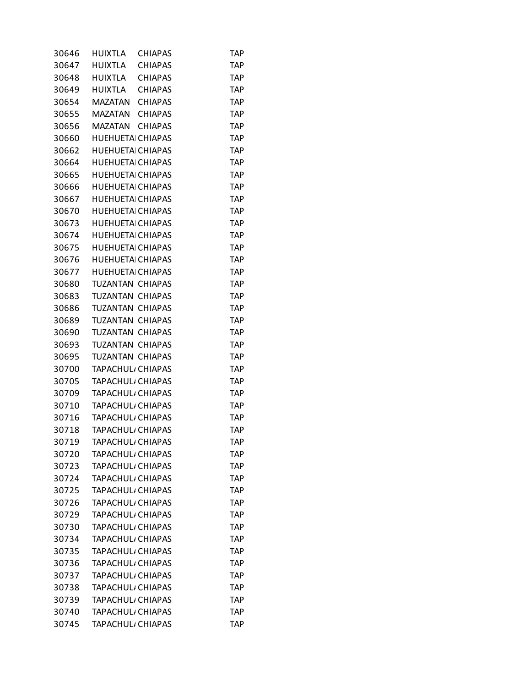| 30646 | HUIXTLA                       | <b>CHIAPAS</b> | TAP        |
|-------|-------------------------------|----------------|------------|
| 30647 | <b>HUIXTLA</b>                | <b>CHIAPAS</b> | <b>TAP</b> |
| 30648 | <b>HUIXTLA</b>                | <b>CHIAPAS</b> | <b>TAP</b> |
| 30649 | <b>HUIXTLA</b>                | <b>CHIAPAS</b> | TAP        |
| 30654 | MAZATAN                       | <b>CHIAPAS</b> | <b>TAP</b> |
| 30655 | MAZATAN                       | <b>CHIAPAS</b> | <b>TAP</b> |
| 30656 | <b>MAZATAN</b>                | <b>CHIAPAS</b> | <b>TAP</b> |
| 30660 | <b>HUEHUETA CHIAPAS</b>       |                | <b>TAP</b> |
| 30662 | <b>HUEHUETA CHIAPAS</b>       |                | <b>TAP</b> |
| 30664 | <b>HUEHUETA CHIAPAS</b>       |                | <b>TAP</b> |
| 30665 | <b>HUEHUETA CHIAPAS</b>       |                | <b>TAP</b> |
| 30666 | <b>HUEHUETA CHIAPAS</b>       |                | <b>TAP</b> |
| 30667 | <b>HUEHUETA CHIAPAS</b>       |                | <b>TAP</b> |
| 30670 | <b>HUEHUETA CHIAPAS</b>       |                | <b>TAP</b> |
| 30673 | <b>HUEHUETA CHIAPAS</b>       |                | <b>TAP</b> |
| 30674 | <b>HUEHUETA CHIAPAS</b>       |                | <b>TAP</b> |
| 30675 | <b>HUEHUETA CHIAPAS</b>       |                | <b>TAP</b> |
| 30676 | <b>HUEHUETA CHIAPAS</b>       |                | <b>TAP</b> |
| 30677 | <b>HUEHUETA CHIAPAS</b>       |                | <b>TAP</b> |
| 30680 | TUZANTAN CHIAPAS              |                | <b>TAP</b> |
| 30683 | TUZANTAN CHIAPAS              |                | <b>TAP</b> |
| 30686 | TUZANTAN CHIAPAS              |                | <b>TAP</b> |
| 30689 | TUZANTAN CHIAPAS              |                | <b>TAP</b> |
| 30690 | TUZANTAN CHIAPAS              |                | <b>TAP</b> |
| 30693 | TUZANTAN CHIAPAS              |                | <b>TAP</b> |
| 30695 | TUZANTAN CHIAPAS              |                | <b>TAP</b> |
| 30700 | TAPACHUL, CHIAPAS             |                | <b>TAP</b> |
| 30705 | TAPACHUL <sub>I</sub> CHIAPAS |                | <b>TAP</b> |
| 30709 | <b>TAPACHUL, CHIAPAS</b>      |                | <b>TAP</b> |
| 30710 | TAPACHUL <sub>I</sub> CHIAPAS |                | <b>TAP</b> |
| 30716 | TAPACHUL, CHIAPAS             |                | <b>TAP</b> |
| 30718 | TAPACHUL, CHIAPAS             |                | <b>TAP</b> |
| 30719 | TAPACHUL, CHIAPAS             |                | TAP        |
| 30720 | TAPACHUL, CHIAPAS             |                | <b>TAP</b> |
| 30723 | TAPACHUL, CHIAPAS             |                | <b>TAP</b> |
| 30724 | TAPACHUL, CHIAPAS             |                | <b>TAP</b> |
| 30725 | <b>TAPACHUL</b> , CHIAPAS     |                | <b>TAP</b> |
| 30726 | TAPACHUL, CHIAPAS             |                | <b>TAP</b> |
| 30729 | <b>TAPACHUL</b> , CHIAPAS     |                | <b>TAP</b> |
| 30730 | TAPACHUL, CHIAPAS             |                | <b>TAP</b> |
| 30734 | TAPACHUL, CHIAPAS             |                | <b>TAP</b> |
| 30735 | TAPACHUL, CHIAPAS             |                | <b>TAP</b> |
| 30736 | <b>TAPACHUL, CHIAPAS</b>      |                | TAP        |
| 30737 | TAPACHUL, CHIAPAS             |                | <b>TAP</b> |
| 30738 | TAPACHUL, CHIAPAS             |                | <b>TAP</b> |
| 30739 | TAPACHUL, CHIAPAS             |                | <b>TAP</b> |
| 30740 | TAPACHUL, CHIAPAS             |                | <b>TAP</b> |
| 30745 | TAPACHUL <sub>I</sub> CHIAPAS |                | <b>TAP</b> |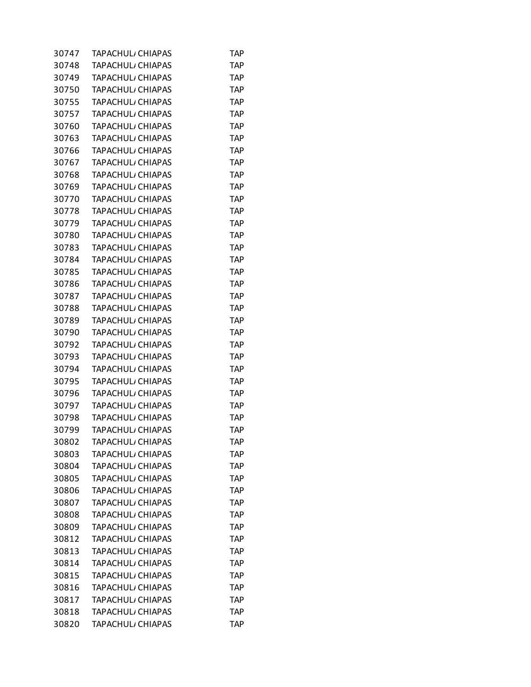| 30747 | TAPACHUL, CHIAPAS             | TAP        |
|-------|-------------------------------|------------|
| 30748 | <b>TAPACHUL</b> , CHIAPAS     | <b>TAP</b> |
| 30749 | <b>TAPACHUL, CHIAPAS</b>      | <b>TAP</b> |
| 30750 | TAPACHUL, CHIAPAS             | TAP        |
| 30755 | <b>TAPACHUL, CHIAPAS</b>      | <b>TAP</b> |
| 30757 | TAPACHUL <sub>I</sub> CHIAPAS | <b>TAP</b> |
| 30760 | TAPACHUL, CHIAPAS             | TAP        |
| 30763 | <b>TAPACHUL, CHIAPAS</b>      | TAP        |
| 30766 | TAPACHUL <sub>I</sub> CHIAPAS | <b>TAP</b> |
| 30767 | <b>TAPACHUL CHIAPAS</b>       | TAP        |
| 30768 | <b>TAPACHUL, CHIAPAS</b>      | <b>TAP</b> |
| 30769 | TAPACHUL <sub>I</sub> CHIAPAS | <b>TAP</b> |
| 30770 | TAPACHUL, CHIAPAS             | TAP        |
| 30778 | <b>TAPACHUL, CHIAPAS</b>      | TAP        |
| 30779 | TAPACHUL <sub>I</sub> CHIAPAS | <b>TAP</b> |
| 30780 | TAPACHUL, CHIAPAS             | TAP        |
| 30783 | <b>TAPACHUL, CHIAPAS</b>      | <b>TAP</b> |
| 30784 | TAPACHUL <sub>I</sub> CHIAPAS | <b>TAP</b> |
| 30785 | TAPACHUL, CHIAPAS             | TAP        |
| 30786 | <b>TAPACHUL, CHIAPAS</b>      | TAP        |
| 30787 | TAPACHUL CHIAPAS              | <b>TAP</b> |
| 30788 | TAPACHUL, CHIAPAS             | TAP        |
| 30789 | <b>TAPACHUL, CHIAPAS</b>      | <b>TAP</b> |
| 30790 | TAPACHUL <sub>I</sub> CHIAPAS | <b>TAP</b> |
| 30792 | TAPACHUL, CHIAPAS             | TAP        |
| 30793 | <b>TAPACHUL, CHIAPAS</b>      | TAP        |
| 30794 | TAPACHUL <sub>I</sub> CHIAPAS | <b>TAP</b> |
| 30795 | TAPACHUL <sub>I</sub> CHIAPAS | TAP        |
| 30796 | <b>TAPACHUL</b> , CHIAPAS     | <b>TAP</b> |
| 30797 | TAPACHUL <sub>I</sub> CHIAPAS | <b>TAP</b> |
| 30798 | TAPACHUL, CHIAPAS             | TAP        |
| 30799 | TAPACHUL <sub>/</sub> CHIAPAS | TAP        |
| 30802 | TAPACHUL, CHIAPAS             | <b>TAP</b> |
| 30803 | TAPACHUL, CHIAPAS             | TAP        |
| 30804 | <b>TAPACHUL</b> , CHIAPAS     | TAP        |
| 30805 | TAPACHUL, CHIAPAS             | TAP        |
| 30806 | <b>TAPACHUL</b> , CHIAPAS     | TAP        |
| 30807 | TAPACHUL <sub>/</sub> CHIAPAS | TAP        |
| 30808 | TAPACHUL, CHIAPAS             | <b>TAP</b> |
| 30809 | <b>TAPACHUL CHIAPAS</b>       | TAP        |
| 30812 | TAPACHUL <sub>/</sub> CHIAPAS | <b>TAP</b> |
| 30813 | TAPACHUL, CHIAPAS             | <b>TAP</b> |
| 30814 | <b>TAPACHUL, CHIAPAS</b>      | TAP        |
| 30815 | TAPACHUL <sub>/</sub> CHIAPAS | TAP        |
| 30816 | TAPACHUL, CHIAPAS             | <b>TAP</b> |
| 30817 | TAPACHUL, CHIAPAS             | TAP        |
| 30818 | <b>TAPACHUL, CHIAPAS</b>      | TAP        |
| 30820 | TAPACHUL <sub>I</sub> CHIAPAS | <b>TAP</b> |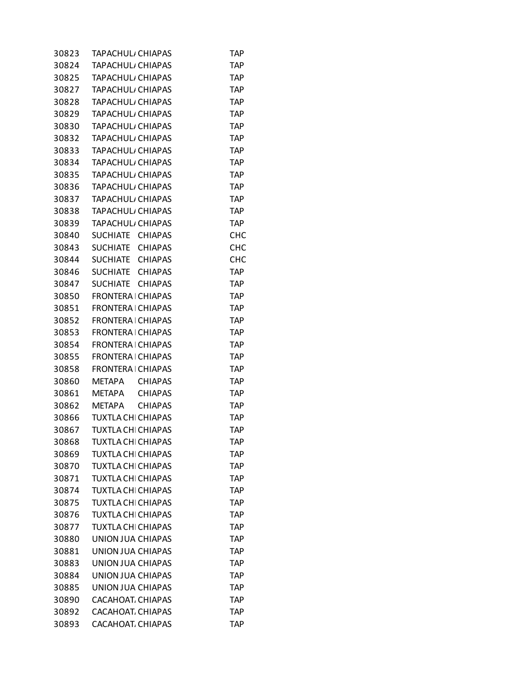| 30823 | TAPACHUL, CHIAPAS                 | TAP        |
|-------|-----------------------------------|------------|
| 30824 | TAPACHUL, CHIAPAS                 | <b>TAP</b> |
| 30825 | TAPACHUL, CHIAPAS                 | <b>TAP</b> |
| 30827 | TAPACHUL <sub>I</sub> CHIAPAS     | TAP        |
| 30828 | TAPACHUL, CHIAPAS                 | <b>TAP</b> |
| 30829 | <b>TAPACHUL, CHIAPAS</b>          | <b>TAP</b> |
| 30830 | TAPACHUL, CHIAPAS                 | TAP        |
| 30832 | TAPACHUL, CHIAPAS                 | TAP        |
| 30833 | TAPACHUL <sub>I</sub> CHIAPAS     | <b>TAP</b> |
| 30834 | TAPACHUL <sub>I</sub> CHIAPAS     | <b>TAP</b> |
| 30835 | <b>TAPACHUL</b> , CHIAPAS         | <b>TAP</b> |
| 30836 | TAPACHUL <sub>I</sub> CHIAPAS     | <b>TAP</b> |
| 30837 | TAPACHUL, CHIAPAS                 | TAP        |
| 30838 | TAPACHUL, CHIAPAS                 | TAP        |
| 30839 | TAPACHUL <sub>I</sub> CHIAPAS     | <b>TAP</b> |
| 30840 | SUCHIATE CHIAPAS                  | <b>CHC</b> |
| 30843 | SUCHIATE<br><b>CHIAPAS</b>        | <b>CHC</b> |
| 30844 | <b>CHIAPAS</b><br>SUCHIATE        | <b>CHC</b> |
| 30846 | SUCHIATE CHIAPAS                  | TAP        |
| 30847 | <b>SUCHIATE</b><br><b>CHIAPAS</b> | <b>TAP</b> |
| 30850 | <b>FRONTERA   CHIAPAS</b>         | <b>TAP</b> |
| 30851 | <b>FRONTERA   CHIAPAS</b>         | <b>TAP</b> |
| 30852 | <b>FRONTERA   CHIAPAS</b>         | <b>TAP</b> |
| 30853 | <b>FRONTERAI CHIAPAS</b>          | <b>TAP</b> |
| 30854 | <b>FRONTERA   CHIAPAS</b>         | TAP        |
| 30855 | <b>FRONTERA   CHIAPAS</b>         | TAP        |
| 30858 | FRONTERA   CHIAPAS                | TAP        |
| 30860 | METAPA<br><b>CHIAPAS</b>          | TAP        |
| 30861 | <b>METAPA</b><br><b>CHIAPAS</b>   | <b>TAP</b> |
| 30862 | <b>CHIAPAS</b><br><b>METAPA</b>   | <b>TAP</b> |
| 30866 | <b>TUXTLA CHI CHIAPAS</b>         | TAP        |
| 30867 | <b>TUXTLA CHI CHIAPAS</b>         | TAP        |
| 30868 | TUXTLA CHI CHIAPAS                | <b>TAP</b> |
| 30869 | <b>TUXTLA CHI CHIAPAS</b>         | TAP        |
| 30870 | <b>TUXTLA CHI CHIAPAS</b>         | <b>TAP</b> |
| 30871 | <b>TUXTLA CHI CHIAPAS</b>         | TAP        |
| 30874 | <b>TUXTLA CHI CHIAPAS</b>         | TAP        |
| 30875 | <b>TUXTLA CHI CHIAPAS</b>         | TAP        |
| 30876 | <b>TUXTLA CHI CHIAPAS</b>         | <b>TAP</b> |
| 30877 | <b>TUXTLA CHI CHIAPAS</b>         | TAP        |
| 30880 | UNION JUA CHIAPAS                 | <b>TAP</b> |
| 30881 | UNION JUA CHIAPAS                 | TAP        |
| 30883 | UNION JUA CHIAPAS                 | TAP        |
| 30884 | UNION JUA CHIAPAS                 | TAP        |
| 30885 | UNION JUA CHIAPAS                 | <b>TAP</b> |
| 30890 | CACAHOAT. CHIAPAS                 | TAP        |
| 30892 | CACAHOAT CHIAPAS                  | TAP        |
| 30893 | CACAHOAT CHIAPAS                  | <b>TAP</b> |
|       |                                   |            |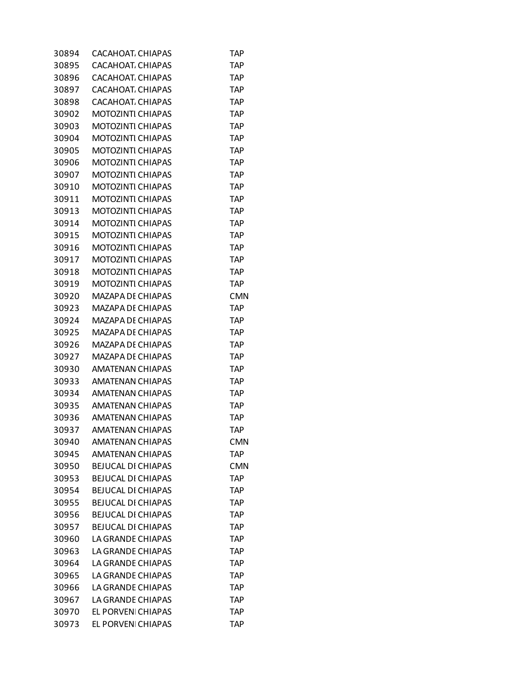| 30894 | CACAHOAT CHIAPAS          | TAP        |
|-------|---------------------------|------------|
| 30895 | CACAHOAT CHIAPAS          | TAP        |
| 30896 | CACAHOAT CHIAPAS          | TAP        |
| 30897 | CACAHOAT, CHIAPAS         | TAP        |
| 30898 | CACAHOAT, CHIAPAS         | <b>TAP</b> |
| 30902 | MOTOZINTI CHIAPAS         | TAP        |
| 30903 | <b>MOTOZINTI CHIAPAS</b>  | TAP        |
| 30904 | MOTOZINTI CHIAPAS         | TAP        |
| 30905 | <b>MOTOZINTI CHIAPAS</b>  | TAP        |
| 30906 | MOTOZINTI CHIAPAS         | TAP        |
| 30907 | <b>MOTOZINTI CHIAPAS</b>  | TAP        |
| 30910 | MOTOZINTI CHIAPAS         | TAP        |
| 30911 | <b>MOTOZINTI CHIAPAS</b>  | TAP        |
| 30913 | <b>MOTOZINTI CHIAPAS</b>  | TAP        |
| 30914 | MOTOZINTI CHIAPAS         | <b>TAP</b> |
| 30915 | MOTOZINTI CHIAPAS         | TAP        |
| 30916 | <b>MOTOZINTI CHIAPAS</b>  | TAP        |
| 30917 | MOTOZINTI CHIAPAS         | TAP        |
| 30918 | <b>MOTOZINTI CHIAPAS</b>  | TAP        |
| 30919 | <b>MOTOZINTI CHIAPAS</b>  | TAP        |
| 30920 | MAZAPA DE CHIAPAS         | <b>CMN</b> |
| 30923 | MAZAPA DE CHIAPAS         | TAP        |
| 30924 | MAZAPA DE CHIAPAS         | TAP        |
| 30925 | MAZAPA DE CHIAPAS         | <b>TAP</b> |
| 30926 | MAZAPA DE CHIAPAS         | TAP        |
| 30927 | MAZAPA DE CHIAPAS         | TAP        |
| 30930 | <b>AMATENAN CHIAPAS</b>   | TAP        |
| 30933 | AMATENAN CHIAPAS          | <b>TAP</b> |
| 30934 | <b>AMATENAN CHIAPAS</b>   | TAP        |
| 30935 | <b>AMATENAN CHIAPAS</b>   | <b>TAP</b> |
| 30936 | <b>AMATENAN CHIAPAS</b>   | TAP        |
| 30937 | <b>AMATENAN CHIAPAS</b>   | TAP        |
| 30940 | <b>AMATENAN CHIAPAS</b>   | <b>CMN</b> |
| 30945 | <b>AMATENAN CHIAPAS</b>   | TAP        |
| 30950 | <b>BEJUCAL DI CHIAPAS</b> | <b>CMN</b> |
| 30953 | <b>BEJUCAL DI CHIAPAS</b> | TAP        |
| 30954 | <b>BEJUCAL DI CHIAPAS</b> | TAP        |
| 30955 | <b>BEJUCAL DI CHIAPAS</b> | <b>TAP</b> |
| 30956 | <b>BEJUCAL DI CHIAPAS</b> | <b>TAP</b> |
| 30957 | <b>BEJUCAL DI CHIAPAS</b> | <b>TAP</b> |
| 30960 | LA GRANDE CHIAPAS         | <b>TAP</b> |
| 30963 | LA GRANDE CHIAPAS         | <b>TAP</b> |
| 30964 | LA GRANDE CHIAPAS         | TAP        |
| 30965 | LA GRANDE CHIAPAS         | <b>TAP</b> |
| 30966 | LA GRANDE CHIAPAS         | <b>TAP</b> |
| 30967 | LA GRANDE CHIAPAS         | TAP        |
| 30970 | EL PORVENI CHIAPAS        | <b>TAP</b> |
| 30973 | EL PORVENI CHIAPAS        | <b>TAP</b> |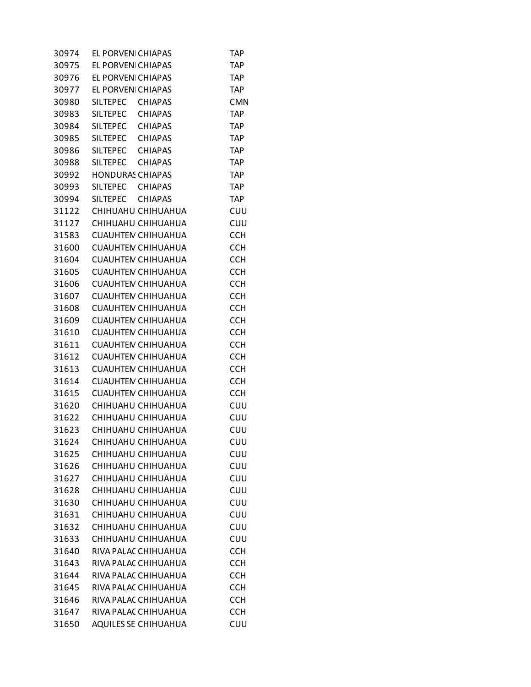| 30974          | EL PORVENI CHIAPAS      |                           | TAP        |
|----------------|-------------------------|---------------------------|------------|
| 30975          | EL PORVENI CHIAPAS      |                           | <b>TAP</b> |
| 30976          | EL PORVENI CHIAPAS      |                           | <b>TAP</b> |
| 30977          | EL PORVENI CHIAPAS      |                           | <b>TAP</b> |
| 30980          | SILTEPEC CHIAPAS        |                           | <b>CMN</b> |
| 30983          | SILTEPEC                | <b>CHIAPAS</b>            | <b>TAP</b> |
| 30984          | SILTEPEC CHIAPAS        |                           | <b>TAP</b> |
| 30985          | <b>SILTEPEC</b>         | CHIAPAS                   | <b>TAP</b> |
| 30986          | SILTEPEC CHIAPAS        |                           | <b>TAP</b> |
| 30988          | SILTEPEC CHIAPAS        |                           | <b>TAP</b> |
| 30992          | <b>HONDURAS CHIAPAS</b> |                           | <b>TAP</b> |
| 30993          | <b>SILTEPEC</b>         | <b>CHIAPAS</b>            | <b>TAP</b> |
| 30994          | <b>SILTEPEC</b>         | CHIAPAS                   | <b>TAP</b> |
| 31122          |                         | CHIHUAHU CHIHUAHUA        | CUU        |
| 31127          |                         | CHIHUAHU CHIHUAHUA        | CUU        |
| 31583          |                         | <b>CUAUHTEN CHIHUAHUA</b> | <b>CCH</b> |
| 31600          |                         | <b>CUAUHTEN CHIHUAHUA</b> | <b>CCH</b> |
| 31604          |                         | <b>CUAUHTEN CHIHUAHUA</b> | <b>CCH</b> |
|                |                         | <b>CUAUHTEN CHIHUAHUA</b> | <b>CCH</b> |
| 31605          |                         | <b>CUAUHTEN CHIHUAHUA</b> |            |
| 31606<br>31607 |                         |                           | <b>CCH</b> |
|                |                         | <b>CUAUHTEN CHIHUAHUA</b> | <b>CCH</b> |
| 31608          |                         | <b>CUAUHTEN CHIHUAHUA</b> | <b>CCH</b> |
| 31609          |                         | <b>CUAUHTEN CHIHUAHUA</b> | <b>CCH</b> |
| 31610          |                         | <b>CUAUHTEN CHIHUAHUA</b> | <b>CCH</b> |
| 31611          |                         | CUAUHTEN CHIHUAHUA        | <b>CCH</b> |
| 31612          |                         | <b>CUAUHTEN CHIHUAHUA</b> | <b>CCH</b> |
| 31613          |                         | <b>CUAUHTEN CHIHUAHUA</b> | <b>CCH</b> |
| 31614          |                         | <b>CUAUHTEN CHIHUAHUA</b> | <b>CCH</b> |
| 31615          |                         | <b>CUAUHTEN CHIHUAHUA</b> | <b>CCH</b> |
| 31620          |                         | CHIHUAHU CHIHUAHUA        | CUU        |
| 31622          |                         | CHIHUAHU CHIHUAHUA        | CUU        |
| 31623          |                         | CHIHUAHU CHIHUAHUA        | CUU        |
| 31624          |                         | CHIHUAHU CHIHUAHUA        | CUU        |
| 31625          |                         | CHIHUAHU CHIHUAHUA        | CUU        |
| 31626          |                         | CHIHUAHU CHIHUAHUA        | CUU        |
| 31627          |                         | CHIHUAHU CHIHUAHUA        | CUU        |
| 31628          |                         | CHIHUAHU CHIHUAHUA        | CUU        |
| 31630          |                         | CHIHUAHU CHIHUAHUA        | CUU        |
| 31631          |                         | CHIHUAHU CHIHUAHUA        | CUU        |
| 31632          |                         | CHIHUAHU CHIHUAHUA        | CUU        |
| 31633          |                         | CHIHUAHU CHIHUAHUA        | CUU        |
| 31640          |                         | RIVA PALAC CHIHUAHUA      | <b>CCH</b> |
| 31643          |                         | RIVA PALAC CHIHUAHUA      | <b>CCH</b> |
| 31644          |                         | RIVA PALAC CHIHUAHUA      | <b>CCH</b> |
| 31645          |                         | RIVA PALAC CHIHUAHUA      | <b>CCH</b> |
| 31646          |                         | RIVA PALAC CHIHUAHUA      | <b>CCH</b> |
| 31647          |                         | RIVA PALAC CHIHUAHUA      | <b>CCH</b> |
| 31650          |                         | AQUILES SE CHIHUAHUA      | CUU        |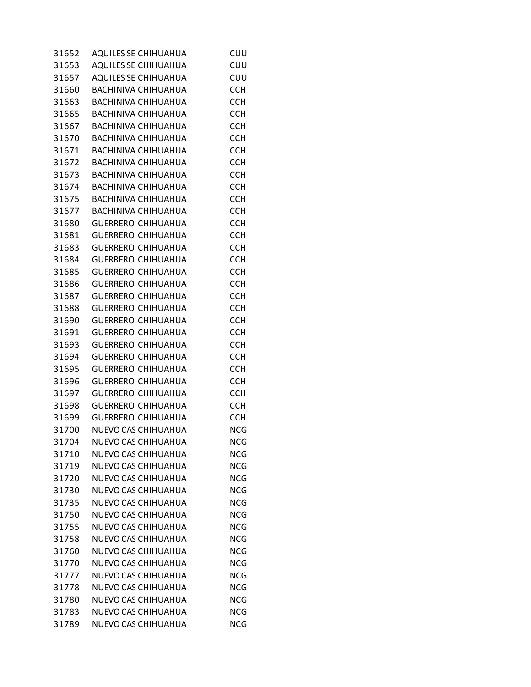| 31652 | AQUILES SE CHIHUAHUA       | CUU        |
|-------|----------------------------|------------|
| 31653 | AQUILES SE CHIHUAHUA       | CUU        |
| 31657 | AQUILES SE CHIHUAHUA       | CUU        |
| 31660 | BACHINIVA CHIHUAHUA        | <b>CCH</b> |
| 31663 | <b>BACHINIVA CHIHUAHUA</b> | <b>CCH</b> |
| 31665 | BACHINIVA CHIHUAHUA        | <b>CCH</b> |
| 31667 | BACHINIVA CHIHUAHUA        | <b>CCH</b> |
| 31670 | BACHINIVA CHIHUAHUA        | <b>CCH</b> |
| 31671 | BACHINIVA CHIHUAHUA        | <b>CCH</b> |
| 31672 | BACHINIVA CHIHUAHUA        | <b>CCH</b> |
| 31673 | <b>BACHINIVA CHIHUAHUA</b> | <b>CCH</b> |
| 31674 | BACHINIVA CHIHUAHUA        | <b>CCH</b> |
| 31675 | BACHINIVA CHIHUAHUA        | <b>CCH</b> |
| 31677 | BACHINIVA CHIHUAHUA        | <b>CCH</b> |
| 31680 | <b>GUERRERO CHIHUAHUA</b>  | <b>CCH</b> |
| 31681 | <b>GUERRERO CHIHUAHUA</b>  | <b>CCH</b> |
| 31683 | <b>GUERRERO CHIHUAHUA</b>  | <b>CCH</b> |
| 31684 | <b>GUERRERO CHIHUAHUA</b>  | <b>CCH</b> |
|       |                            | <b>CCH</b> |
| 31685 | <b>GUERRERO CHIHUAHUA</b>  |            |
| 31686 | <b>GUERRERO CHIHUAHUA</b>  | <b>CCH</b> |
| 31687 | <b>GUERRERO CHIHUAHUA</b>  | <b>CCH</b> |
| 31688 | <b>GUERRERO CHIHUAHUA</b>  | <b>CCH</b> |
| 31690 | <b>GUERRERO CHIHUAHUA</b>  | <b>CCH</b> |
| 31691 | <b>GUERRERO CHIHUAHUA</b>  | <b>CCH</b> |
| 31693 | <b>GUERRERO CHIHUAHUA</b>  | <b>CCH</b> |
| 31694 | <b>GUERRERO CHIHUAHUA</b>  | <b>CCH</b> |
| 31695 | <b>GUERRERO CHIHUAHUA</b>  | <b>CCH</b> |
| 31696 | <b>GUERRERO CHIHUAHUA</b>  | <b>CCH</b> |
| 31697 | <b>GUERRERO CHIHUAHUA</b>  | <b>CCH</b> |
| 31698 | <b>GUERRERO CHIHUAHUA</b>  | <b>CCH</b> |
| 31699 | <b>GUERRERO CHIHUAHUA</b>  | <b>CCH</b> |
| 31700 | NUEVO CAS CHIHUAHUA        | <b>NCG</b> |
| 31704 | NUEVO CAS CHIHUAHUA        | <b>NCG</b> |
| 31710 | NUEVO CAS CHIHUAHUA        | <b>NCG</b> |
| 31719 | NUEVO CAS CHIHUAHUA        | <b>NCG</b> |
| 31720 | NUEVO CAS CHIHUAHUA        | <b>NCG</b> |
| 31730 | NUEVO CAS CHIHUAHUA        | <b>NCG</b> |
| 31735 | NUEVO CAS CHIHUAHUA        | <b>NCG</b> |
| 31750 | NUEVO CAS CHIHUAHUA        | <b>NCG</b> |
| 31755 | NUEVO CAS CHIHUAHUA        | <b>NCG</b> |
| 31758 | NUEVO CAS CHIHUAHUA        | <b>NCG</b> |
| 31760 | NUEVO CAS CHIHUAHUA        | <b>NCG</b> |
| 31770 | NUEVO CAS CHIHUAHUA        | <b>NCG</b> |
| 31777 | NUEVO CAS CHIHUAHUA        | <b>NCG</b> |
| 31778 | NUEVO CAS CHIHUAHUA        | <b>NCG</b> |
| 31780 | NUEVO CAS CHIHUAHUA        | <b>NCG</b> |
| 31783 | NUEVO CAS CHIHUAHUA        | <b>NCG</b> |
| 31789 | NUEVO CAS CHIHUAHUA        | <b>NCG</b> |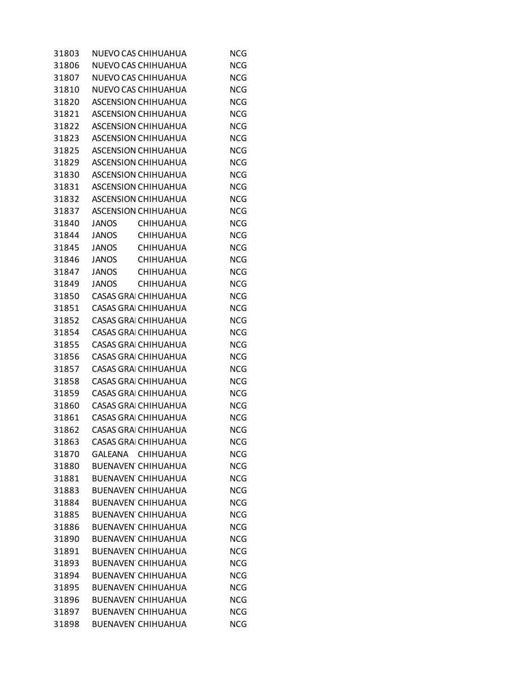| 31803 |       | NUEVO CAS CHIHUAHUA         | <b>NCG</b> |
|-------|-------|-----------------------------|------------|
| 31806 |       | NUEVO CAS CHIHUAHUA         | <b>NCG</b> |
| 31807 |       | NUEVO CAS CHIHUAHUA         | <b>NCG</b> |
| 31810 |       | NUEVO CAS CHIHUAHUA         | <b>NCG</b> |
| 31820 |       | <b>ASCENSION CHIHUAHUA</b>  | <b>NCG</b> |
| 31821 |       | <b>ASCENSION CHIHUAHUA</b>  | <b>NCG</b> |
| 31822 |       | ASCENSION CHIHUAHUA         | <b>NCG</b> |
| 31823 |       | <b>ASCENSION CHIHUAHUA</b>  | <b>NCG</b> |
| 31825 |       | <b>ASCENSION CHIHUAHUA</b>  | <b>NCG</b> |
| 31829 |       | ASCENSION CHIHUAHUA         | <b>NCG</b> |
| 31830 |       | <b>ASCENSION CHIHUAHUA</b>  | <b>NCG</b> |
| 31831 |       | <b>ASCENSION CHIHUAHUA</b>  | <b>NCG</b> |
| 31832 |       | ASCENSION CHIHUAHUA         | <b>NCG</b> |
| 31837 |       | <b>ASCENSION CHIHUAHUA</b>  | <b>NCG</b> |
| 31840 | JANOS | <b>CHIHUAHUA</b>            | <b>NCG</b> |
| 31844 | JANOS | <b>CHIHUAHUA</b>            | <b>NCG</b> |
| 31845 | JANOS | CHIHUAHUA                   | <b>NCG</b> |
| 31846 | JANOS | <b>CHIHUAHUA</b>            | <b>NCG</b> |
| 31847 | JANOS | <b>CHIHUAHUA</b>            | <b>NCG</b> |
| 31849 | JANOS | CHIHUAHUA                   | <b>NCG</b> |
| 31850 |       | <b>CASAS GRAI CHIHUAHUA</b> | <b>NCG</b> |
| 31851 |       | CASAS GRAI CHIHUAHUA        | <b>NCG</b> |
| 31852 |       | <b>CASAS GRAI CHIHUAHUA</b> | <b>NCG</b> |
| 31854 |       | CASAS GRAI CHIHUAHUA        | <b>NCG</b> |
| 31855 |       | CASAS GRAI CHIHUAHUA        | <b>NCG</b> |
| 31856 |       | CASAS GRAI CHIHUAHUA        | <b>NCG</b> |
| 31857 |       | <b>CASAS GRAI CHIHUAHUA</b> | <b>NCG</b> |
| 31858 |       | CASAS GRAI CHIHUAHUA        | <b>NCG</b> |
| 31859 |       | <b>CASAS GRAI CHIHUAHUA</b> | <b>NCG</b> |
| 31860 |       | CASAS GRAI CHIHUAHUA        | <b>NCG</b> |
| 31861 |       | <b>CASAS GRAI CHIHUAHUA</b> | <b>NCG</b> |
| 31862 |       | <b>CASAS GRAI CHIHUAHUA</b> | <b>NCG</b> |
| 31863 |       | <b>CASAS GRAI CHIHUAHUA</b> | <b>NCG</b> |
| 31870 |       | GALEANA CHIHUAHUA           | <b>NCG</b> |
| 31880 |       | <b>BUENAVEN CHIHUAHUA</b>   | <b>NCG</b> |
| 31881 |       | <b>BUENAVEN CHIHUAHUA</b>   | <b>NCG</b> |
| 31883 |       | <b>BUENAVEN CHIHUAHUA</b>   | <b>NCG</b> |
| 31884 |       | <b>BUENAVEN CHIHUAHUA</b>   | <b>NCG</b> |
| 31885 |       | <b>BUENAVEN CHIHUAHUA</b>   | <b>NCG</b> |
| 31886 |       | <b>BUENAVEN CHIHUAHUA</b>   | <b>NCG</b> |
| 31890 |       | <b>BUENAVEN CHIHUAHUA</b>   | <b>NCG</b> |
| 31891 |       | <b>BUENAVEN CHIHUAHUA</b>   | <b>NCG</b> |
| 31893 |       | <b>BUENAVEN CHIHUAHUA</b>   | <b>NCG</b> |
| 31894 |       | <b>BUENAVEN CHIHUAHUA</b>   | <b>NCG</b> |
| 31895 |       | <b>BUENAVEN CHIHUAHUA</b>   | <b>NCG</b> |
| 31896 |       | <b>BUENAVEN CHIHUAHUA</b>   | <b>NCG</b> |
| 31897 |       | <b>BUENAVEN CHIHUAHUA</b>   | <b>NCG</b> |
| 31898 |       | <b>BUENAVEN CHIHUAHUA</b>   | <b>NCG</b> |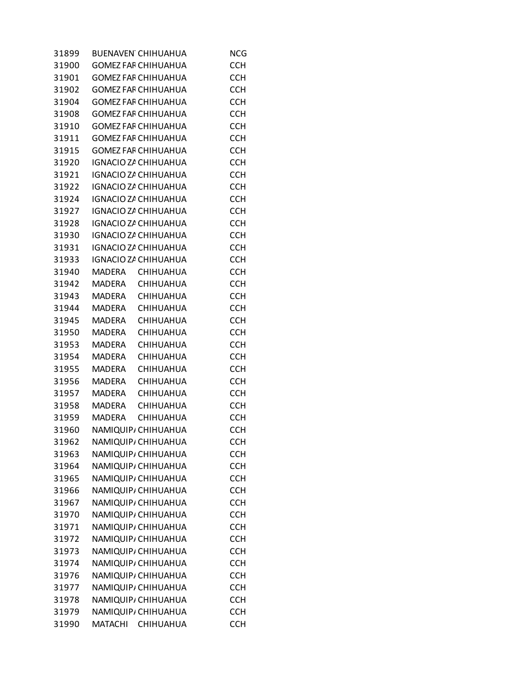| 31899 | <b>BUENAVEN CHIHUAHUA</b>         | <b>NCG</b> |
|-------|-----------------------------------|------------|
| 31900 | <b>GOMEZ FAF CHIHUAHUA</b>        | <b>CCH</b> |
| 31901 | <b>GOMEZ FAF CHIHUAHUA</b>        | <b>CCH</b> |
| 31902 | <b>GOMEZ FAF CHIHUAHUA</b>        | <b>CCH</b> |
| 31904 | <b>GOMEZ FAF CHIHUAHUA</b>        | <b>CCH</b> |
| 31908 | <b>GOMEZ FAF CHIHUAHUA</b>        | <b>CCH</b> |
| 31910 | <b>GOMEZ FAF CHIHUAHUA</b>        | <b>CCH</b> |
| 31911 | <b>GOMEZ FAF CHIHUAHUA</b>        | <b>CCH</b> |
| 31915 | <b>GOMEZ FAF CHIHUAHUA</b>        | <b>CCH</b> |
| 31920 | IGNACIO ZA CHIHUAHUA              | <b>CCH</b> |
| 31921 | IGNACIO ZA CHIHUAHUA              | <b>CCH</b> |
| 31922 | IGNACIO ZA CHIHUAHUA              | <b>CCH</b> |
| 31924 | IGNACIO ZA CHIHUAHUA              | <b>CCH</b> |
| 31927 | IGNACIO ZA CHIHUAHUA              | <b>CCH</b> |
| 31928 | IGNACIO ZA CHIHUAHUA              | <b>CCH</b> |
| 31930 | IGNACIO ZA CHIHUAHUA              | <b>CCH</b> |
| 31931 | IGNACIO ZA CHIHUAHUA              | <b>CCH</b> |
| 31933 | IGNACIO ZA CHIHUAHUA              | <b>CCH</b> |
| 31940 | MADERA CHIHUAHUA                  | <b>CCH</b> |
| 31942 | MADERA<br><b>CHIHUAHUA</b>        | <b>CCH</b> |
| 31943 | MADERA<br>CHIHUAHUA               | <b>CCH</b> |
| 31944 | MADERA<br>CHIHUAHUA               | <b>CCH</b> |
| 31945 | MADERA<br><b>CHIHUAHUA</b>        | <b>CCH</b> |
| 31950 | MADERA<br>CHIHUAHUA               | <b>CCH</b> |
| 31953 | MADERA<br><b>CHIHUAHUA</b>        | <b>CCH</b> |
| 31954 | <b>MADERA</b><br><b>CHIHUAHUA</b> | <b>CCH</b> |
| 31955 | MADERA<br><b>CHIHUAHUA</b>        | <b>CCH</b> |
| 31956 | MADERA<br><b>CHIHUAHUA</b>        | <b>CCH</b> |
| 31957 | MADERA<br><b>CHIHUAHUA</b>        | <b>CCH</b> |
| 31958 | MADERA<br>CHIHUAHUA               | <b>CCH</b> |
| 31959 | MADERA<br><b>CHIHUAHUA</b>        | <b>CCH</b> |
| 31960 | NAMIQUIP, CHIHUAHUA               | <b>CCH</b> |
| 31962 | NAMIQUIP, CHIHUAHUA               | <b>CCH</b> |
| 31963 | NAMIQUIP, CHIHUAHUA               | <b>CCH</b> |
| 31964 | NAMIQUIP, CHIHUAHUA               | <b>CCH</b> |
| 31965 | NAMIQUIP, CHIHUAHUA               | <b>CCH</b> |
| 31966 | NAMIQUIP, CHIHUAHUA               | <b>CCH</b> |
| 31967 | NAMIQUIP, CHIHUAHUA               | <b>CCH</b> |
| 31970 | NAMIQUIP, CHIHUAHUA               | <b>CCH</b> |
| 31971 | NAMIQUIP, CHIHUAHUA               | <b>CCH</b> |
| 31972 | NAMIQUIP, CHIHUAHUA               | <b>CCH</b> |
| 31973 | NAMIQUIP, CHIHUAHUA               | <b>CCH</b> |
| 31974 | NAMIQUIP, CHIHUAHUA               | <b>CCH</b> |
| 31976 | NAMIQUIP, CHIHUAHUA               | <b>CCH</b> |
| 31977 | NAMIQUIP, CHIHUAHUA               | <b>CCH</b> |
| 31978 | NAMIQUIP, CHIHUAHUA               | <b>CCH</b> |
| 31979 | NAMIQUIP, CHIHUAHUA               | <b>CCH</b> |
| 31990 | MATACHI CHIHUAHUA                 | <b>CCH</b> |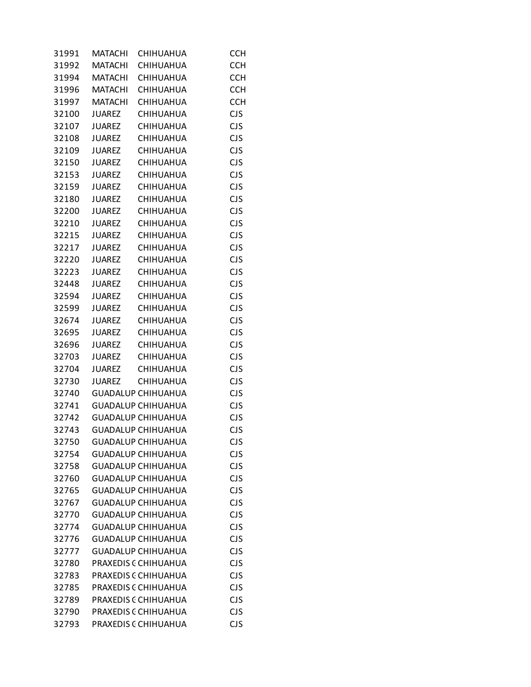| 31991 | MATACHI        | CHIHUAHUA                 | <b>CCH</b> |
|-------|----------------|---------------------------|------------|
| 31992 | <b>MATACHI</b> | CHIHUAHUA                 | <b>CCH</b> |
| 31994 | <b>MATACHI</b> | CHIHUAHUA                 | <b>CCH</b> |
| 31996 | <b>MATACHI</b> | <b>CHIHUAHUA</b>          | <b>CCH</b> |
| 31997 | <b>MATACHI</b> | CHIHUAHUA                 | <b>CCH</b> |
| 32100 | <b>JUAREZ</b>  | CHIHUAHUA                 | <b>CJS</b> |
| 32107 | JUAREZ         | CHIHUAHUA                 | <b>CJS</b> |
| 32108 | JUAREZ         | CHIHUAHUA                 | <b>CJS</b> |
| 32109 | <b>JUAREZ</b>  | CHIHUAHUA                 | <b>CJS</b> |
| 32150 | <b>JUAREZ</b>  | CHIHUAHUA                 | <b>CJS</b> |
| 32153 | JUAREZ         | CHIHUAHUA                 | <b>CJS</b> |
| 32159 | <b>JUAREZ</b>  | CHIHUAHUA                 | <b>CJS</b> |
| 32180 | JUAREZ         | CHIHUAHUA                 | <b>CJS</b> |
| 32200 | JUAREZ         | CHIHUAHUA                 | <b>CJS</b> |
| 32210 | <b>JUAREZ</b>  | CHIHUAHUA                 | <b>CJS</b> |
| 32215 | <b>JUAREZ</b>  | CHIHUAHUA                 | <b>CJS</b> |
| 32217 | JUAREZ         | CHIHUAHUA                 | <b>CJS</b> |
| 32220 | <b>JUAREZ</b>  | CHIHUAHUA                 | <b>CJS</b> |
| 32223 | JUAREZ         | CHIHUAHUA                 | <b>CJS</b> |
| 32448 | JUAREZ         | <b>CHIHUAHUA</b>          | <b>CJS</b> |
| 32594 | <b>JUAREZ</b>  | CHIHUAHUA                 | <b>CJS</b> |
| 32599 | <b>JUAREZ</b>  | CHIHUAHUA                 | <b>CJS</b> |
| 32674 | JUAREZ         | <b>CHIHUAHUA</b>          | <b>CJS</b> |
| 32695 | <b>JUAREZ</b>  | CHIHUAHUA                 | <b>CJS</b> |
| 32696 | JUAREZ         | CHIHUAHUA                 | <b>CJS</b> |
| 32703 |                | JUAREZ CHIHUAHUA          | <b>CJS</b> |
| 32704 |                | JUAREZ CHIHUAHUA          | <b>CJS</b> |
| 32730 |                | JUAREZ CHIHUAHUA          | <b>CJS</b> |
| 32740 |                | <b>GUADALUP CHIHUAHUA</b> | <b>CJS</b> |
| 32741 |                | <b>GUADALUP CHIHUAHUA</b> | <b>CJS</b> |
| 32742 |                | <b>GUADALUP CHIHUAHUA</b> | <b>CJS</b> |
| 32743 |                | <b>GUADALUP CHIHUAHUA</b> | <b>CJS</b> |
| 32750 |                | <b>GUADALUP CHIHUAHUA</b> | <b>CJS</b> |
| 32754 |                | <b>GUADALUP CHIHUAHUA</b> | <b>CJS</b> |
| 32758 |                | <b>GUADALUP CHIHUAHUA</b> | <b>CJS</b> |
| 32760 |                | <b>GUADALUP CHIHUAHUA</b> | <b>CJS</b> |
| 32765 |                | <b>GUADALUP CHIHUAHUA</b> | <b>CJS</b> |
| 32767 |                | <b>GUADALUP CHIHUAHUA</b> | <b>CJS</b> |
| 32770 |                | <b>GUADALUP CHIHUAHUA</b> | <b>CJS</b> |
| 32774 |                | <b>GUADALUP CHIHUAHUA</b> | <b>CJS</b> |
| 32776 |                | <b>GUADALUP CHIHUAHUA</b> | <b>CJS</b> |
| 32777 |                | <b>GUADALUP CHIHUAHUA</b> | <b>CJS</b> |
| 32780 |                | PRAXEDIS C CHIHUAHUA      | <b>CJS</b> |
| 32783 |                | PRAXEDIS C CHIHUAHUA      | <b>CJS</b> |
| 32785 |                | PRAXEDIS C CHIHUAHUA      | <b>CJS</b> |
| 32789 |                | PRAXEDIS C CHIHUAHUA      | <b>CJS</b> |
| 32790 |                | PRAXEDIS C CHIHUAHUA      | <b>CJS</b> |
| 32793 |                | PRAXEDIS C CHIHUAHUA      | <b>CJS</b> |
|       |                |                           |            |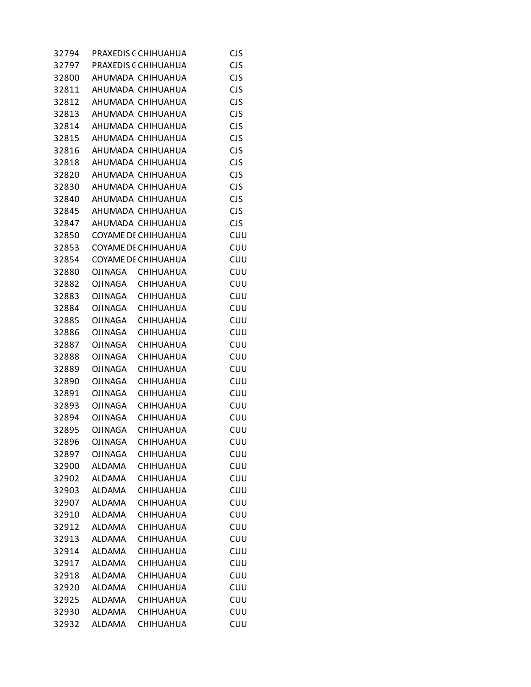| 32794 |                | PRAXEDIS (CHIHUAHUA  | <b>CJS</b> |
|-------|----------------|----------------------|------------|
| 32797 |                | PRAXEDIS C CHIHUAHUA | <b>CJS</b> |
| 32800 |                | AHUMADA CHIHUAHUA    | <b>CJS</b> |
| 32811 |                | AHUMADA CHIHUAHUA    | <b>CJS</b> |
| 32812 |                | AHUMADA CHIHUAHUA    | <b>CJS</b> |
| 32813 |                | AHUMADA CHIHUAHUA    | <b>CJS</b> |
| 32814 |                | AHUMADA CHIHUAHUA    | <b>CJS</b> |
| 32815 |                | AHUMADA CHIHUAHUA    | <b>CJS</b> |
| 32816 |                | AHUMADA CHIHUAHUA    | <b>CJS</b> |
| 32818 |                | AHUMADA CHIHUAHUA    | <b>CJS</b> |
| 32820 |                | AHUMADA CHIHUAHUA    | <b>CJS</b> |
| 32830 |                | AHUMADA CHIHUAHUA    | <b>CJS</b> |
| 32840 |                | AHUMADA CHIHUAHUA    | <b>CJS</b> |
| 32845 |                | AHUMADA CHIHUAHUA    | <b>CJS</b> |
| 32847 |                | AHUMADA CHIHUAHUA    | <b>CJS</b> |
| 32850 |                | COYAME DE CHIHUAHUA  | CUU        |
| 32853 |                | COYAME DI CHIHUAHUA  | CUU        |
| 32854 |                | COYAME DE CHIHUAHUA  | CUU        |
| 32880 |                | OJINAGA CHIHUAHUA    | CUU        |
| 32882 | OJINAGA        | <b>CHIHUAHUA</b>     | CUU        |
| 32883 | OJINAGA        | <b>CHIHUAHUA</b>     | CUU        |
| 32884 |                | OJINAGA CHIHUAHUA    | CUU        |
| 32885 | OJINAGA        | <b>CHIHUAHUA</b>     | CUU        |
| 32886 | OJINAGA        | CHIHUAHUA            | CUU        |
| 32887 | OJINAGA        | <b>CHIHUAHUA</b>     | CUU        |
| 32888 | <b>OJINAGA</b> | <b>CHIHUAHUA</b>     | CUU        |
| 32889 | OJINAGA        | <b>CHIHUAHUA</b>     | CUU        |
| 32890 | OJINAGA        | CHIHUAHUA            | CUU        |
| 32891 | OJINAGA        | <b>CHIHUAHUA</b>     | CUU        |
| 32893 | OJINAGA        | CHIHUAHUA            | CUU        |
| 32894 | OJINAGA        | <b>CHIHUAHUA</b>     | CUU        |
| 32895 | <b>OJINAGA</b> | CHIHUAHUA            | CUU        |
| 32896 | <b>OJINAGA</b> | CHIHUAHUA            | CUU        |
| 32897 | <b>OJINAGA</b> | CHIHUAHUA            | CUU        |
| 32900 | <b>ALDAMA</b>  | CHIHUAHUA            | CUU        |
| 32902 | <b>ALDAMA</b>  | CHIHUAHUA            | CUU        |
| 32903 | <b>ALDAMA</b>  | CHIHUAHUA            | CUU        |
| 32907 | <b>ALDAMA</b>  | <b>CHIHUAHUA</b>     | CUU        |
| 32910 | <b>ALDAMA</b>  | CHIHUAHUA            | CUU        |
| 32912 | ALDAMA         | CHIHUAHUA            | CUU        |
| 32913 | <b>ALDAMA</b>  | CHIHUAHUA            | CUU        |
| 32914 | <b>ALDAMA</b>  | CHIHUAHUA            | CUU        |
| 32917 | ALDAMA         | CHIHUAHUA            | CUU        |
| 32918 | <b>ALDAMA</b>  | <b>CHIHUAHUA</b>     | CUU        |
| 32920 | <b>ALDAMA</b>  | CHIHUAHUA            | CUU        |
| 32925 | ALDAMA         | CHIHUAHUA            | CUU        |
| 32930 | <b>ALDAMA</b>  | CHIHUAHUA            | CUU        |
| 32932 | <b>ALDAMA</b>  | CHIHUAHUA            | CUU        |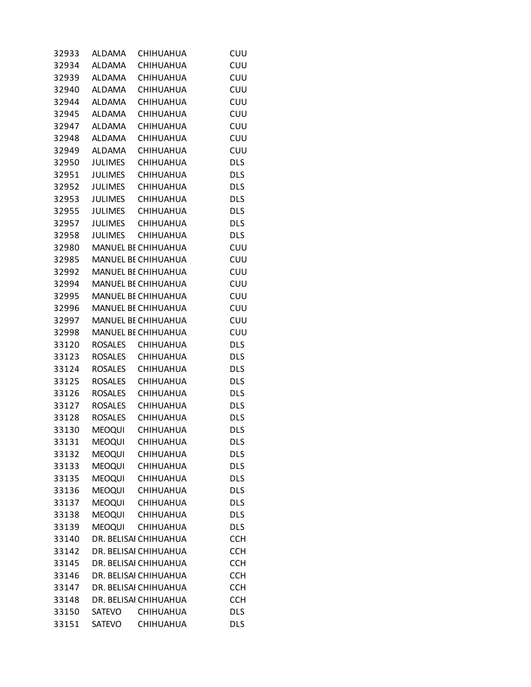| 32933 | ALDAMA         | <b>CHIHUAHUA</b>           | CUU        |
|-------|----------------|----------------------------|------------|
| 32934 | <b>ALDAMA</b>  | <b>CHIHUAHUA</b>           | CUU        |
| 32939 | ALDAMA         | CHIHUAHUA                  | CUU        |
| 32940 | ALDAMA         | <b>CHIHUAHUA</b>           | CUU        |
| 32944 | ALDAMA         | CHIHUAHUA                  | CUU        |
| 32945 | ALDAMA         | <b>CHIHUAHUA</b>           | CUU        |
| 32947 | <b>ALDAMA</b>  | <b>CHIHUAHUA</b>           | CUU        |
| 32948 | ALDAMA         | <b>CHIHUAHUA</b>           | CUU        |
|       | 32949 ALDAMA   | CHIHUAHUA                  | CUU        |
| 32950 | JULIMES        | <b>CHIHUAHUA</b>           | <b>DLS</b> |
| 32951 | JULIMES        | <b>CHIHUAHUA</b>           | <b>DLS</b> |
| 32952 | <b>JULIMES</b> | <b>CHIHUAHUA</b>           | <b>DLS</b> |
| 32953 |                | JULIMES CHIHUAHUA          | <b>DLS</b> |
|       |                | 32955 JULIMES CHIHUAHUA    | <b>DLS</b> |
| 32957 |                | JULIMES CHIHUAHUA          | <b>DLS</b> |
| 32958 |                | JULIMES CHIHUAHUA          | <b>DLS</b> |
| 32980 |                | MANUEL BE CHIHUAHUA        | CUU        |
| 32985 |                | MANUEL BE CHIHUAHUA        | CUU        |
|       |                |                            | CUU        |
| 32992 |                | <b>MANUEL BE CHIHUAHUA</b> |            |
| 32994 |                | <b>MANUEL BE CHIHUAHUA</b> | CUU        |
| 32995 |                | MANUEL BE CHIHUAHUA        | CUU        |
| 32996 |                | MANUEL BE CHIHUAHUA        | <b>CUU</b> |
| 32997 |                | <b>MANUEL BE CHIHUAHUA</b> | CUU        |
| 32998 |                | MANUEL BE CHIHUAHUA        | CUU        |
| 33120 |                | ROSALES CHIHUAHUA          | <b>DLS</b> |
| 33123 | ROSALES        | <b>CHIHUAHUA</b>           | <b>DLS</b> |
| 33124 |                | ROSALES CHIHUAHUA          | <b>DLS</b> |
| 33125 |                | ROSALES CHIHUAHUA          | <b>DLS</b> |
| 33126 | <b>ROSALES</b> | <b>CHIHUAHUA</b>           | <b>DLS</b> |
| 33127 | ROSALES        | <b>CHIHUAHUA</b>           | <b>DLS</b> |
| 33128 |                | ROSALES CHIHUAHUA          | <b>DLS</b> |
| 33130 |                | MEOQUI CHIHUAHUA           | <b>DLS</b> |
| 33131 | <b>MEOQUI</b>  | CHIHUAHUA                  | <b>DLS</b> |
| 33132 | <b>MEOQUI</b>  | CHIHUAHUA                  | <b>DLS</b> |
| 33133 | <b>MEOQUI</b>  | CHIHUAHUA                  | <b>DLS</b> |
| 33135 | <b>MEOQUI</b>  | <b>CHIHUAHUA</b>           | <b>DLS</b> |
| 33136 | MEOQUI         | CHIHUAHUA                  | <b>DLS</b> |
| 33137 | <b>MEOQUI</b>  | <b>CHIHUAHUA</b>           | <b>DLS</b> |
| 33138 | <b>MEOQUI</b>  | CHIHUAHUA                  | <b>DLS</b> |
| 33139 | <b>MEOQUI</b>  | CHIHUAHUA                  | <b>DLS</b> |
| 33140 |                | DR. BELISAI CHIHUAHUA      | <b>CCH</b> |
| 33142 |                | DR. BELISAI CHIHUAHUA      | <b>CCH</b> |
| 33145 |                | DR. BELISAI CHIHUAHUA      | <b>CCH</b> |
| 33146 |                | DR. BELISAI CHIHUAHUA      | <b>CCH</b> |
| 33147 |                | DR. BELISAI CHIHUAHUA      | <b>CCH</b> |
| 33148 |                | DR. BELISAI CHIHUAHUA      | <b>CCH</b> |
| 33150 | SATEVO         | CHIHUAHUA                  | <b>DLS</b> |
| 33151 | SATEVO         | CHIHUAHUA                  | <b>DLS</b> |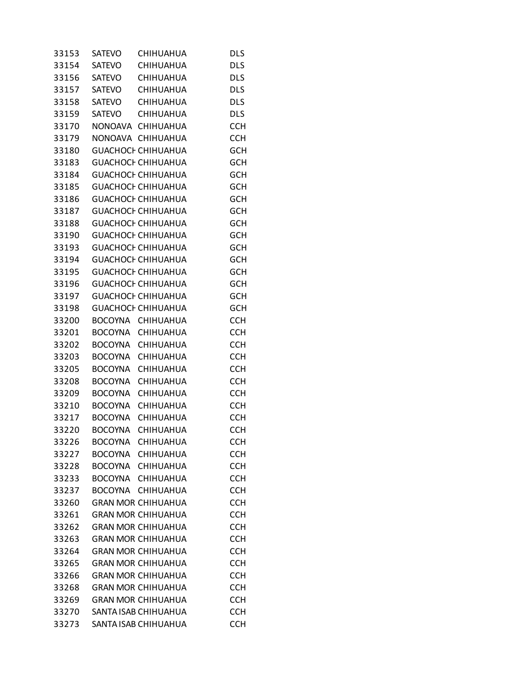| 33153 | SATEVO         | CHIHUAHUA                 | <b>DLS</b> |
|-------|----------------|---------------------------|------------|
| 33154 | <b>SATEVO</b>  | <b>CHIHUAHUA</b>          | <b>DLS</b> |
| 33156 | SATEVO         | CHIHUAHUA                 | <b>DLS</b> |
| 33157 | <b>SATEVO</b>  | <b>CHIHUAHUA</b>          | <b>DLS</b> |
| 33158 | SATEVO         | <b>CHIHUAHUA</b>          | <b>DLS</b> |
| 33159 | SATEVO         | CHIHUAHUA                 | <b>DLS</b> |
| 33170 |                | NONOAVA CHIHUAHUA         | <b>CCH</b> |
| 33179 |                | NONOAVA CHIHUAHUA         | <b>CCH</b> |
| 33180 |                | <b>GUACHOCI CHIHUAHUA</b> | <b>GCH</b> |
| 33183 |                | <b>GUACHOCI CHIHUAHUA</b> | <b>GCH</b> |
| 33184 |                | <b>GUACHOCI CHIHUAHUA</b> | <b>GCH</b> |
| 33185 |                | <b>GUACHOCI CHIHUAHUA</b> | <b>GCH</b> |
| 33186 |                | <b>GUACHOCI CHIHUAHUA</b> | <b>GCH</b> |
| 33187 |                | <b>GUACHOCI CHIHUAHUA</b> | <b>GCH</b> |
| 33188 |                | <b>GUACHOCI CHIHUAHUA</b> | <b>GCH</b> |
| 33190 |                | <b>GUACHOCI CHIHUAHUA</b> | <b>GCH</b> |
|       |                |                           |            |
| 33193 |                | <b>GUACHOCI CHIHUAHUA</b> | <b>GCH</b> |
| 33194 |                | <b>GUACHOCI CHIHUAHUA</b> | <b>GCH</b> |
| 33195 |                | <b>GUACHOCI CHIHUAHUA</b> | <b>GCH</b> |
| 33196 |                | <b>GUACHOCI CHIHUAHUA</b> | <b>GCH</b> |
| 33197 |                | <b>GUACHOCI CHIHUAHUA</b> | <b>GCH</b> |
| 33198 |                | <b>GUACHOCI CHIHUAHUA</b> | <b>GCH</b> |
| 33200 |                | BOCOYNA CHIHUAHUA         | <b>CCH</b> |
| 33201 | BOCOYNA        | CHIHUAHUA                 | <b>CCH</b> |
| 33202 |                | BOCOYNA CHIHUAHUA         | <b>CCH</b> |
| 33203 | <b>BOCOYNA</b> | <b>CHIHUAHUA</b>          | <b>CCH</b> |
| 33205 | BOCOYNA        | CHIHUAHUA                 | <b>CCH</b> |
| 33208 |                | BOCOYNA CHIHUAHUA         | <b>CCH</b> |
| 33209 | <b>BOCOYNA</b> | CHIHUAHUA                 | <b>CCH</b> |
| 33210 | BOCOYNA        | CHIHUAHUA                 | <b>CCH</b> |
| 33217 |                | BOCOYNA CHIHUAHUA         | <b>CCH</b> |
| 33220 | <b>BOCOYNA</b> | CHIHUAHUA                 | <b>CCH</b> |
| 33226 | <b>BOCOYNA</b> | <b>CHIHUAHUA</b>          | <b>CCH</b> |
| 33227 |                | BOCOYNA CHIHUAHUA         | <b>CCH</b> |
| 33228 |                | BOCOYNA CHIHUAHUA         | <b>CCH</b> |
| 33233 |                | BOCOYNA CHIHUAHUA         | <b>CCH</b> |
| 33237 |                | BOCOYNA CHIHUAHUA         | <b>CCH</b> |
| 33260 |                | <b>GRAN MOR CHIHUAHUA</b> | <b>CCH</b> |
| 33261 |                | <b>GRAN MOR CHIHUAHUA</b> | <b>CCH</b> |
| 33262 |                | <b>GRAN MOR CHIHUAHUA</b> | <b>CCH</b> |
| 33263 |                | <b>GRAN MOR CHIHUAHUA</b> | <b>CCH</b> |
| 33264 |                | <b>GRAN MOR CHIHUAHUA</b> | <b>CCH</b> |
| 33265 |                | <b>GRAN MOR CHIHUAHUA</b> | <b>CCH</b> |
| 33266 |                | <b>GRAN MOR CHIHUAHUA</b> | <b>CCH</b> |
| 33268 |                | <b>GRAN MOR CHIHUAHUA</b> | <b>CCH</b> |
| 33269 |                | <b>GRAN MOR CHIHUAHUA</b> | <b>CCH</b> |
| 33270 |                | SANTA ISAB CHIHUAHUA      | <b>CCH</b> |
| 33273 |                | SANTA ISAB CHIHUAHUA      | <b>CCH</b> |
|       |                |                           |            |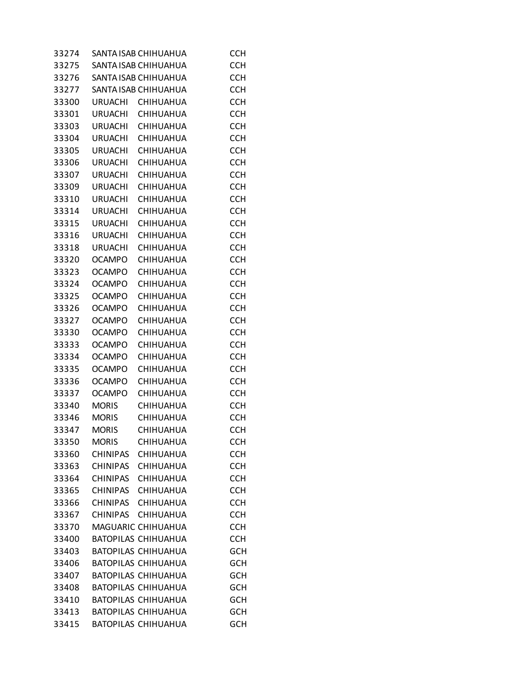| 33274 |                 | SANTA ISAB CHIHUAHUA       | <b>CCH</b> |
|-------|-----------------|----------------------------|------------|
| 33275 |                 | SANTA ISAB CHIHUAHUA       | <b>CCH</b> |
| 33276 |                 | SANTA ISAB CHIHUAHUA       | <b>CCH</b> |
| 33277 |                 | SANTA ISAB CHIHUAHUA       | <b>CCH</b> |
| 33300 | URUACHI         | <b>CHIHUAHUA</b>           | <b>CCH</b> |
| 33301 | URUACHI         | CHIHUAHUA                  | <b>CCH</b> |
| 33303 | URUACHI         | <b>CHIHUAHUA</b>           | <b>CCH</b> |
| 33304 | URUACHI         | <b>CHIHUAHUA</b>           | <b>CCH</b> |
| 33305 | URUACHI         | CHIHUAHUA                  | <b>CCH</b> |
| 33306 | URUACHI         | CHIHUAHUA                  | <b>CCH</b> |
| 33307 | <b>URUACHI</b>  | CHIHUAHUA                  | <b>CCH</b> |
| 33309 | URUACHI         | CHIHUAHUA                  | <b>CCH</b> |
| 33310 | URUACHI         | <b>CHIHUAHUA</b>           | <b>CCH</b> |
| 33314 | <b>URUACHI</b>  | <b>CHIHUAHUA</b>           | <b>CCH</b> |
| 33315 | <b>URUACHI</b>  | CHIHUAHUA                  | <b>CCH</b> |
|       |                 |                            | <b>CCH</b> |
| 33316 | <b>URUACHI</b>  | CHIHUAHUA                  |            |
| 33318 | <b>URUACHI</b>  | CHIHUAHUA                  | <b>CCH</b> |
| 33320 | <b>OCAMPO</b>   | <b>CHIHUAHUA</b>           | <b>CCH</b> |
| 33323 | <b>OCAMPO</b>   | <b>CHIHUAHUA</b>           | <b>CCH</b> |
| 33324 | <b>OCAMPO</b>   | <b>CHIHUAHUA</b>           | <b>CCH</b> |
| 33325 | <b>OCAMPO</b>   | CHIHUAHUA                  | <b>CCH</b> |
| 33326 | <b>OCAMPO</b>   | CHIHUAHUA                  | <b>CCH</b> |
| 33327 | <b>OCAMPO</b>   | CHIHUAHUA                  | <b>CCH</b> |
| 33330 | <b>OCAMPO</b>   | CHIHUAHUA                  | <b>CCH</b> |
| 33333 | <b>OCAMPO</b>   | CHIHUAHUA                  | <b>CCH</b> |
| 33334 | <b>OCAMPO</b>   | <b>CHIHUAHUA</b>           | <b>CCH</b> |
| 33335 | <b>OCAMPO</b>   | CHIHUAHUA                  | <b>CCH</b> |
| 33336 | <b>OCAMPO</b>   | CHIHUAHUA                  | <b>CCH</b> |
| 33337 | <b>OCAMPO</b>   | CHIHUAHUA                  | <b>CCH</b> |
| 33340 | <b>MORIS</b>    | <b>CHIHUAHUA</b>           | <b>CCH</b> |
| 33346 | <b>MORIS</b>    | CHIHUAHUA                  | <b>CCH</b> |
| 33347 | <b>MORIS</b>    | CHIHUAHUA                  | <b>CCH</b> |
| 33350 | <b>MORIS</b>    | <b>CHIHUAHUA</b>           | <b>CCH</b> |
| 33360 | <b>CHINIPAS</b> | CHIHUAHUA                  | <b>CCH</b> |
| 33363 | <b>CHINIPAS</b> | <b>CHIHUAHUA</b>           | <b>CCH</b> |
| 33364 | <b>CHINIPAS</b> | <b>CHIHUAHUA</b>           | <b>CCH</b> |
| 33365 | <b>CHINIPAS</b> | <b>CHIHUAHUA</b>           | <b>CCH</b> |
| 33366 | <b>CHINIPAS</b> | <b>CHIHUAHUA</b>           | <b>CCH</b> |
| 33367 | CHINIPAS        | CHIHUAHUA                  | <b>CCH</b> |
| 33370 |                 | MAGUARIC CHIHUAHUA         | <b>CCH</b> |
| 33400 |                 | <b>BATOPILAS CHIHUAHUA</b> | <b>CCH</b> |
| 33403 |                 | <b>BATOPILAS CHIHUAHUA</b> | <b>GCH</b> |
| 33406 |                 | <b>BATOPILAS CHIHUAHUA</b> | <b>GCH</b> |
| 33407 |                 | <b>BATOPILAS CHIHUAHUA</b> | <b>GCH</b> |
| 33408 |                 | <b>BATOPILAS CHIHUAHUA</b> | <b>GCH</b> |
| 33410 |                 | <b>BATOPILAS CHIHUAHUA</b> | GCH        |
| 33413 |                 | <b>BATOPILAS CHIHUAHUA</b> | <b>GCH</b> |
| 33415 |                 | <b>BATOPILAS CHIHUAHUA</b> | GCH        |
|       |                 |                            |            |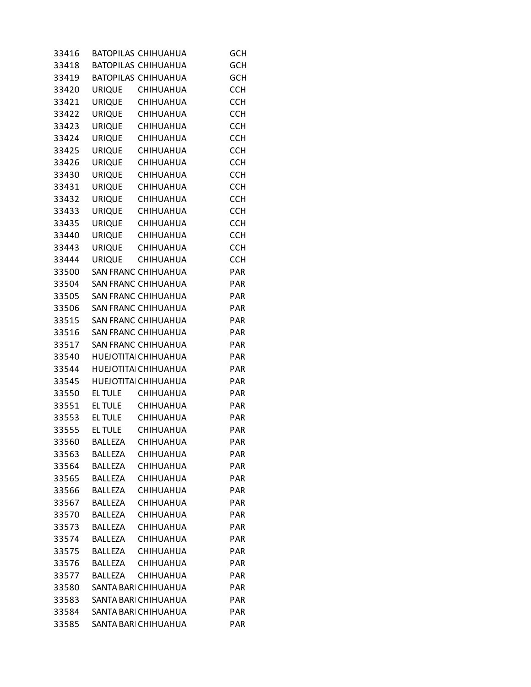| 33416 |                | <b>BATOPILAS CHIHUAHUA</b> | <b>GCH</b> |
|-------|----------------|----------------------------|------------|
| 33418 |                | BATOPILAS CHIHUAHUA        | <b>GCH</b> |
| 33419 |                | BATOPILAS CHIHUAHUA        | <b>GCH</b> |
| 33420 |                | URIQUE CHIHUAHUA           | <b>CCH</b> |
| 33421 |                | URIQUE CHIHUAHUA           | <b>CCH</b> |
| 33422 |                | URIQUE CHIHUAHUA           | <b>CCH</b> |
| 33423 |                | URIQUE CHIHUAHUA           | <b>CCH</b> |
| 33424 |                | URIQUE CHIHUAHUA           | <b>CCH</b> |
| 33425 |                | URIQUE CHIHUAHUA           | <b>CCH</b> |
| 33426 |                | URIQUE CHIHUAHUA           | <b>CCH</b> |
| 33430 |                | URIQUE CHIHUAHUA           | <b>CCH</b> |
| 33431 |                | URIQUE CHIHUAHUA           | <b>CCH</b> |
| 33432 |                | URIQUE CHIHUAHUA           | <b>CCH</b> |
| 33433 |                | URIQUE CHIHUAHUA           | <b>CCH</b> |
| 33435 |                | URIQUE CHIHUAHUA           | <b>CCH</b> |
| 33440 |                | URIQUE CHIHUAHUA           | <b>CCH</b> |
| 33443 |                | URIQUE CHIHUAHUA           | <b>CCH</b> |
| 33444 |                | URIQUE CHIHUAHUA           | <b>CCH</b> |
| 33500 |                | SAN FRANC CHIHUAHUA        | <b>PAR</b> |
|       |                | 33504 SAN FRANC CHIHUAHUA  |            |
|       |                |                            | PAR        |
|       |                | 33505 SAN FRANC CHIHUAHUA  | <b>PAR</b> |
| 33506 |                | SAN FRANC CHIHUAHUA        | PAR        |
|       |                | 33515 SAN FRANC CHIHUAHUA  | PAR        |
| 33516 |                | SAN FRANC CHIHUAHUA        | <b>PAR</b> |
| 33517 |                | SAN FRANC CHIHUAHUA        | <b>PAR</b> |
|       |                | 33540 HUEJOTITA CHIHUAHUA  | PAR        |
| 33544 |                | HUEJOTITAI CHIHUAHUA       | PAR        |
|       |                | 33545 HUEJOTITAI CHIHUAHUA | PAR        |
| 33550 |                | EL TULE CHIHUAHUA          | PAR        |
|       |                | 33551 ELTULE CHIHUAHUA     | PAR        |
|       |                | 33553 EL TULE CHIHUAHUA    | <b>PAR</b> |
| 33555 |                | EL TULE CHIHUAHUA          | PAR        |
| 33560 | <b>BALLEZA</b> | CHIHUAHUA                  | <b>PAR</b> |
| 33563 | <b>BALLEZA</b> | <b>CHIHUAHUA</b>           | <b>PAR</b> |
| 33564 | <b>BALLEZA</b> | <b>CHIHUAHUA</b>           | <b>PAR</b> |
| 33565 | <b>BALLEZA</b> | <b>CHIHUAHUA</b>           | <b>PAR</b> |
| 33566 | <b>BALLEZA</b> | CHIHUAHUA                  | <b>PAR</b> |
| 33567 | <b>BALLEZA</b> | CHIHUAHUA                  | <b>PAR</b> |
| 33570 | <b>BALLEZA</b> | <b>CHIHUAHUA</b>           | <b>PAR</b> |
| 33573 | <b>BALLEZA</b> | <b>CHIHUAHUA</b>           | <b>PAR</b> |
| 33574 | <b>BALLEZA</b> | <b>CHIHUAHUA</b>           | <b>PAR</b> |
| 33575 | <b>BALLEZA</b> | CHIHUAHUA                  | <b>PAR</b> |
| 33576 | BALLEZA        | CHIHUAHUA                  | <b>PAR</b> |
| 33577 | <b>BALLEZA</b> | <b>CHIHUAHUA</b>           | <b>PAR</b> |
| 33580 |                | SANTA BARI CHIHUAHUA       | <b>PAR</b> |
| 33583 |                | SANTA BARI CHIHUAHUA       | <b>PAR</b> |
| 33584 |                | SANTA BARI CHIHUAHUA       | PAR        |
| 33585 |                | SANTA BARI CHIHUAHUA       | PAR        |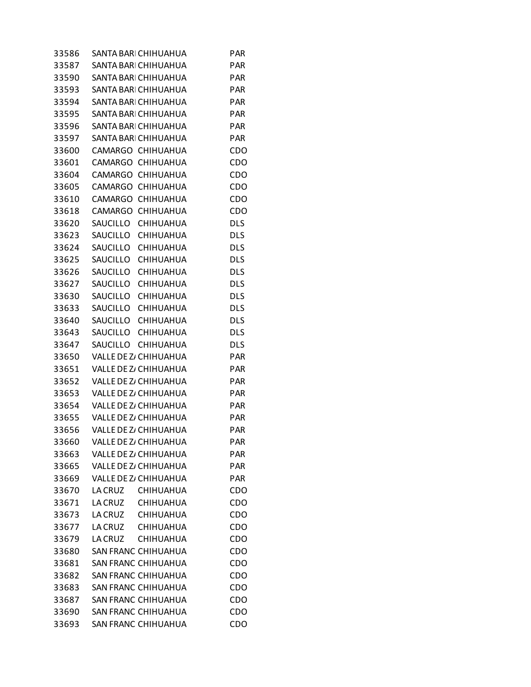| 33586 | SANTA BARI CHIHUAHUA         |                  | <b>PAR</b> |
|-------|------------------------------|------------------|------------|
| 33587 | SANTA BARI CHIHUAHUA         |                  | <b>PAR</b> |
| 33590 | SANTA BARI CHIHUAHUA         |                  | <b>PAR</b> |
| 33593 | SANTA BARI CHIHUAHUA         |                  | <b>PAR</b> |
| 33594 | SANTA BARI CHIHUAHUA         |                  | <b>PAR</b> |
| 33595 | SANTA BARI CHIHUAHUA         |                  | <b>PAR</b> |
| 33596 | SANTA BARI CHIHUAHUA         |                  | <b>PAR</b> |
| 33597 | SANTA BARI CHIHUAHUA         |                  | <b>PAR</b> |
| 33600 | CAMARGO CHIHUAHUA            |                  | CDO        |
| 33601 | CAMARGO CHIHUAHUA            |                  | CDO        |
| 33604 | CAMARGO CHIHUAHUA            |                  | CDO        |
| 33605 | CAMARGO CHIHUAHUA            |                  | CDO        |
| 33610 | CAMARGO CHIHUAHUA            |                  | CDO        |
| 33618 | CAMARGO CHIHUAHUA            |                  | CDO        |
| 33620 | SAUCILLO CHIHUAHUA           |                  | <b>DLS</b> |
| 33623 | SAUCILLO CHIHUAHUA           |                  | <b>DLS</b> |
| 33624 | SAUCILLO CHIHUAHUA           |                  | <b>DLS</b> |
| 33625 | SAUCILLO CHIHUAHUA           |                  | <b>DLS</b> |
| 33626 | SAUCILLO CHIHUAHUA           |                  | <b>DLS</b> |
| 33627 | SAUCILLO CHIHUAHUA           |                  | <b>DLS</b> |
| 33630 | SAUCILLO CHIHUAHUA           |                  | <b>DLS</b> |
| 33633 | SAUCILLO CHIHUAHUA           |                  | <b>DLS</b> |
| 33640 | SAUCILLO CHIHUAHUA           |                  | <b>DLS</b> |
| 33643 | SAUCILLO CHIHUAHUA           |                  | <b>DLS</b> |
| 33647 | SAUCILLO CHIHUAHUA           |                  | <b>DLS</b> |
| 33650 | VALLE DE Z/ CHIHUAHUA        |                  | <b>PAR</b> |
| 33651 | VALLE DE Z/ CHIHUAHUA        |                  | <b>PAR</b> |
| 33652 | VALLE DE Z/ CHIHUAHUA        |                  | <b>PAR</b> |
| 33653 | <b>VALLE DE Z/ CHIHUAHUA</b> |                  | <b>PAR</b> |
|       | 33654 VALLEDEZ/CHIHUAHUA     |                  | <b>PAR</b> |
| 33655 | VALLE DE Z/ CHIHUAHUA        |                  | <b>PAR</b> |
| 33656 | VALLE DE Z/ CHIHUAHUA        |                  | <b>PAR</b> |
| 33660 | VALLE DE Z/ CHIHUAHUA        |                  | PAR        |
| 33663 | VALLE DE Z/ CHIHUAHUA        |                  | <b>PAR</b> |
| 33665 | VALLE DE Z/ CHIHUAHUA        |                  | <b>PAR</b> |
| 33669 | VALLE DE Z/ CHIHUAHUA        |                  | <b>PAR</b> |
| 33670 | LA CRUZ CHIHUAHUA            |                  | CDO        |
| 33671 | LA CRUZ                      | <b>CHIHUAHUA</b> | CDO        |
| 33673 | LA CRUZ                      | <b>CHIHUAHUA</b> | CDO        |
| 33677 | LA CRUZ CHIHUAHUA            |                  | CDO        |
| 33679 | <b>LA CRUZ</b>               | <b>CHIHUAHUA</b> | CDO        |
| 33680 | SAN FRANC CHIHUAHUA          |                  | CDO        |
| 33681 | SAN FRANC CHIHUAHUA          |                  | CDO        |
| 33682 | <b>SAN FRANC CHIHUAHUA</b>   |                  | CDO        |
| 33683 | SAN FRANC CHIHUAHUA          |                  | CDO        |
| 33687 | SAN FRANC CHIHUAHUA          |                  | CDO        |
| 33690 | <b>SAN FRANC CHIHUAHUA</b>   |                  | CDO        |
| 33693 | SAN FRANC CHIHUAHUA          |                  | CDO        |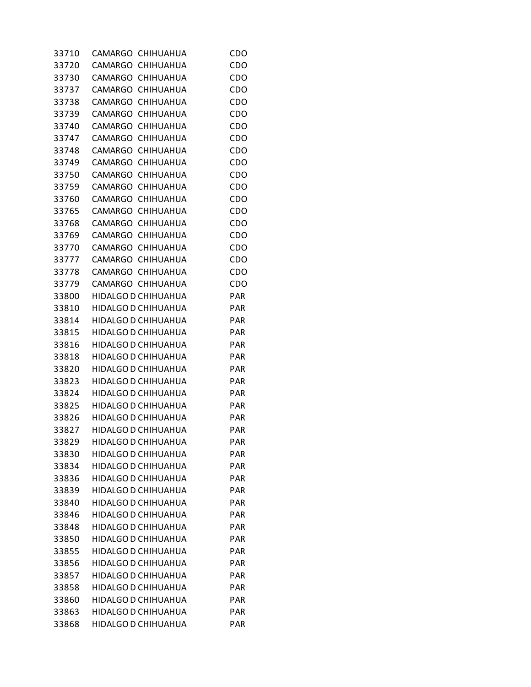| 33710 | CAMARGO CHIHUAHUA          | CDO        |
|-------|----------------------------|------------|
| 33720 | CAMARGO CHIHUAHUA          | CDO        |
| 33730 | CAMARGO CHIHUAHUA          | CDO        |
| 33737 | CAMARGO CHIHUAHUA          | CDO        |
| 33738 | CAMARGO CHIHUAHUA          | CDO        |
| 33739 | CAMARGO CHIHUAHUA          | CDO        |
| 33740 | CAMARGO CHIHUAHUA          | CDO        |
| 33747 | CAMARGO CHIHUAHUA          | CDO        |
| 33748 | CAMARGO CHIHUAHUA          | CDO        |
| 33749 | CAMARGO CHIHUAHUA          | CDO        |
| 33750 | CAMARGO CHIHUAHUA          | CDO        |
| 33759 | CAMARGO CHIHUAHUA          | CDO        |
| 33760 | CAMARGO CHIHUAHUA          | CDO        |
| 33765 | CAMARGO CHIHUAHUA          | CDO        |
| 33768 | CAMARGO CHIHUAHUA          | CDO        |
| 33769 | CAMARGO CHIHUAHUA          | CDO        |
| 33770 | CAMARGO CHIHUAHUA          | CDO        |
|       | CAMARGO CHIHUAHUA          |            |
| 33777 |                            | CDO        |
| 33778 | CAMARGO CHIHUAHUA          | CDO        |
| 33779 | CAMARGO CHIHUAHUA          | CDO        |
| 33800 | HIDALGO D CHIHUAHUA        | <b>PAR</b> |
| 33810 | HIDALGO D CHIHUAHUA        | <b>PAR</b> |
| 33814 | HIDALGO D CHIHUAHUA        | <b>PAR</b> |
| 33815 | HIDALGO D CHIHUAHUA        | <b>PAR</b> |
| 33816 | HIDALGO D CHIHUAHUA        | <b>PAR</b> |
| 33818 | HIDALGO D CHIHUAHUA        | <b>PAR</b> |
| 33820 | HIDALGO D CHIHUAHUA        | <b>PAR</b> |
| 33823 | HIDALGO D CHIHUAHUA        | <b>PAR</b> |
| 33824 | HIDALGO D CHIHUAHUA        | <b>PAR</b> |
| 33825 | HIDALGO D CHIHUAHUA        | <b>PAR</b> |
|       | 33826 HIDALGO D CHIHUAHUA  | <b>PAR</b> |
| 33827 | HIDALGO D CHIHUAHUA        | <b>PAR</b> |
| 33829 | HIDALGO D CHIHUAHUA        | <b>PAR</b> |
| 33830 | HIDALGO D CHIHUAHUA        | <b>PAR</b> |
| 33834 | HIDALGO D CHIHUAHUA        | <b>PAR</b> |
| 33836 | <b>HIDALGO D CHIHUAHUA</b> | <b>PAR</b> |
| 33839 | HIDALGO D CHIHUAHUA        | <b>PAR</b> |
| 33840 | <b>HIDALGO D CHIHUAHUA</b> | <b>PAR</b> |
| 33846 | HIDALGO D CHIHUAHUA        | <b>PAR</b> |
| 33848 | HIDALGO D CHIHUAHUA        | <b>PAR</b> |
| 33850 | HIDALGO D CHIHUAHUA        | <b>PAR</b> |
| 33855 | HIDALGO D CHIHUAHUA        | <b>PAR</b> |
| 33856 | HIDALGO D CHIHUAHUA        | <b>PAR</b> |
| 33857 | <b>HIDALGO D CHIHUAHUA</b> | <b>PAR</b> |
| 33858 | HIDALGO D CHIHUAHUA        | <b>PAR</b> |
| 33860 | HIDALGO D CHIHUAHUA        | <b>PAR</b> |
| 33863 | HIDALGO D CHIHUAHUA        | <b>PAR</b> |
| 33868 | HIDALGO D CHIHUAHUA        | <b>PAR</b> |
|       |                            |            |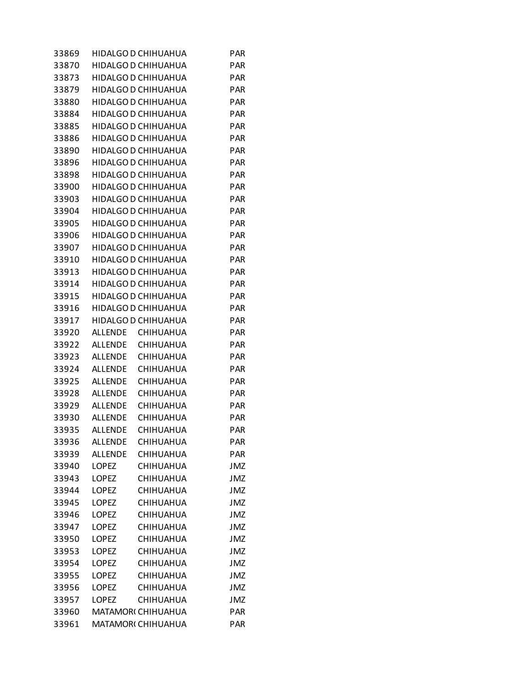| 33869 |                | HIDALGO D CHIHUAHUA        | <b>PAR</b> |
|-------|----------------|----------------------------|------------|
| 33870 |                | <b>HIDALGO D CHIHUAHUA</b> | <b>PAR</b> |
| 33873 |                | HIDALGO D CHIHUAHUA        | <b>PAR</b> |
| 33879 |                | HIDALGO D CHIHUAHUA        | PAR        |
| 33880 |                | HIDALGO D CHIHUAHUA        | <b>PAR</b> |
| 33884 |                | HIDALGO D CHIHUAHUA        | <b>PAR</b> |
| 33885 |                | HIDALGO D CHIHUAHUA        | <b>PAR</b> |
| 33886 |                | HIDALGO D CHIHUAHUA        | <b>PAR</b> |
| 33890 |                | HIDALGO D CHIHUAHUA        | <b>PAR</b> |
| 33896 |                | HIDALGO D CHIHUAHUA        | <b>PAR</b> |
| 33898 |                | HIDALGO D CHIHUAHUA        | <b>PAR</b> |
| 33900 |                | HIDALGO D CHIHUAHUA        | <b>PAR</b> |
| 33903 |                | HIDALGO D CHIHUAHUA        | <b>PAR</b> |
| 33904 |                | HIDALGO D CHIHUAHUA        | <b>PAR</b> |
| 33905 |                | HIDALGO D CHIHUAHUA        | <b>PAR</b> |
| 33906 |                | HIDALGO D CHIHUAHUA        | <b>PAR</b> |
| 33907 |                | HIDALGO D CHIHUAHUA        | <b>PAR</b> |
| 33910 |                | HIDALGO D CHIHUAHUA        | <b>PAR</b> |
| 33913 |                | HIDALGO D CHIHUAHUA        | <b>PAR</b> |
| 33914 |                | HIDALGO D CHIHUAHUA        | <b>PAR</b> |
| 33915 |                | HIDALGO D CHIHUAHUA        | <b>PAR</b> |
| 33916 |                | HIDALGO D CHIHUAHUA        | <b>PAR</b> |
| 33917 |                | HIDALGO D CHIHUAHUA        | <b>PAR</b> |
| 33920 | ALLENDE        | <b>CHIHUAHUA</b>           | <b>PAR</b> |
| 33922 |                | ALLENDE CHIHUAHUA          | <b>PAR</b> |
| 33923 | ALLENDE        | <b>CHIHUAHUA</b>           | <b>PAR</b> |
| 33924 | ALLENDE        | <b>CHIHUAHUA</b>           | <b>PAR</b> |
| 33925 |                | ALLENDE CHIHUAHUA          | <b>PAR</b> |
| 33928 | ALLENDE        | <b>CHIHUAHUA</b>           | <b>PAR</b> |
| 33929 | ALLENDE        | <b>CHIHUAHUA</b>           | <b>PAR</b> |
| 33930 | ALLENDE        | <b>CHIHUAHUA</b>           | <b>PAR</b> |
| 33935 | <b>ALLENDE</b> | <b>CHIHUAHUA</b>           | <b>PAR</b> |
| 33936 | <b>ALLENDE</b> | CHIHUAHUA                  | <b>PAR</b> |
| 33939 | <b>ALLENDE</b> | CHIHUAHUA                  | <b>PAR</b> |
| 33940 | <b>LOPEZ</b>   | CHIHUAHUA                  | <b>JMZ</b> |
| 33943 | <b>LOPEZ</b>   | CHIHUAHUA                  | <b>JMZ</b> |
| 33944 | <b>LOPEZ</b>   | <b>CHIHUAHUA</b>           | JMZ        |
| 33945 | <b>LOPEZ</b>   | CHIHUAHUA                  | <b>JMZ</b> |
| 33946 | <b>LOPEZ</b>   | CHIHUAHUA                  | <b>JMZ</b> |
| 33947 | LOPEZ          | <b>CHIHUAHUA</b>           | <b>JMZ</b> |
| 33950 | LOPEZ          | <b>CHIHUAHUA</b>           | <b>JMZ</b> |
| 33953 | <b>LOPEZ</b>   | <b>CHIHUAHUA</b>           | <b>JMZ</b> |
| 33954 | LOPEZ          | CHIHUAHUA                  | JMZ        |
| 33955 | <b>LOPEZ</b>   | CHIHUAHUA                  | <b>JMZ</b> |
| 33956 | <b>LOPEZ</b>   | CHIHUAHUA                  | <b>JMZ</b> |
| 33957 | <b>LOPEZ</b>   | <b>CHIHUAHUA</b>           | <b>JMZ</b> |
| 33960 |                | MATAMOR( CHIHUAHUA         | PAR        |
| 33961 |                | MATAMOR( CHIHUAHUA         | PAR        |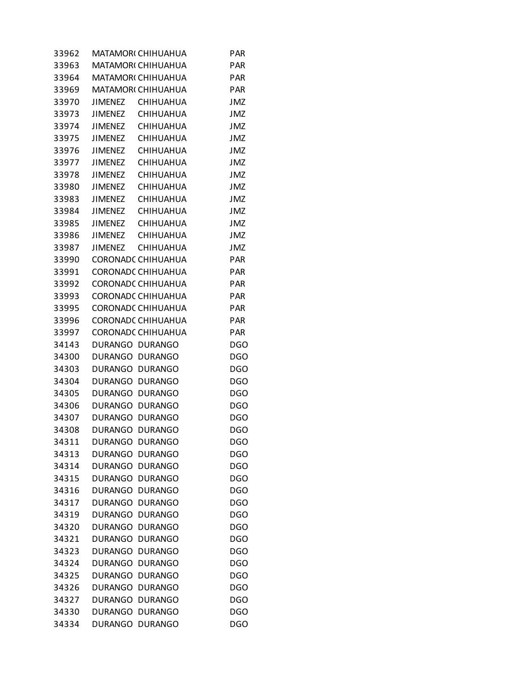| 33962 |                 | <b>MATAMORI CHIHUAHUA</b> | PAR        |
|-------|-----------------|---------------------------|------------|
| 33963 |                 | <b>MATAMORI CHIHUAHUA</b> | <b>PAR</b> |
| 33964 |                 | <b>MATAMORI CHIHUAHUA</b> | <b>PAR</b> |
| 33969 |                 | MATAMOR(CHIHUAHUA         | <b>PAR</b> |
| 33970 | <b>JIMENEZ</b>  | <b>CHIHUAHUA</b>          | <b>JMZ</b> |
| 33973 | JIMENEZ         | <b>CHIHUAHUA</b>          | <b>JMZ</b> |
| 33974 | JIMENEZ         | <b>CHIHUAHUA</b>          | JMZ        |
| 33975 | JIMENEZ         | <b>CHIHUAHUA</b>          | <b>JMZ</b> |
| 33976 |                 | JIMENEZ CHIHUAHUA         | <b>JMZ</b> |
| 33977 | JIMENEZ         | <b>CHIHUAHUA</b>          | <b>JMZ</b> |
| 33978 | <b>JIMENEZ</b>  | <b>CHIHUAHUA</b>          | <b>JMZ</b> |
| 33980 | JIMENEZ         | <b>CHIHUAHUA</b>          | <b>JMZ</b> |
| 33983 | JIMENEZ         | CHIHUAHUA                 | JMZ        |
| 33984 |                 | JIMENEZ CHIHUAHUA         | <b>JMZ</b> |
| 33985 |                 | JIMENEZ CHIHUAHUA         | <b>JMZ</b> |
| 33986 | JIMENEZ         | <b>CHIHUAHUA</b>          | JMZ        |
| 33987 | <b>JIMENEZ</b>  | <b>CHIHUAHUA</b>          | <b>JMZ</b> |
| 33990 |                 | CORONADC CHIHUAHUA        | <b>PAR</b> |
| 33991 |                 | CORONADC CHIHUAHUA        | <b>PAR</b> |
| 33992 |                 | CORONADC CHIHUAHUA        | <b>PAR</b> |
| 33993 |                 | CORONADC CHIHUAHUA        | <b>PAR</b> |
| 33995 |                 | CORONADC CHIHUAHUA        | <b>PAR</b> |
| 33996 |                 | <b>CORONADC CHIHUAHUA</b> | <b>PAR</b> |
| 33997 |                 | CORONADC CHIHUAHUA        | <b>PAR</b> |
| 34143 |                 | DURANGO DURANGO           | <b>DGO</b> |
| 34300 |                 | DURANGO DURANGO           | <b>DGO</b> |
| 34303 |                 | DURANGO DURANGO           | <b>DGO</b> |
| 34304 |                 | DURANGO DURANGO           | <b>DGO</b> |
| 34305 |                 | DURANGO DURANGO           | <b>DGO</b> |
| 34306 |                 | DURANGO DURANGO           | <b>DGO</b> |
| 34307 |                 | DURANGO DURANGO           | DGO        |
| 34308 | DURANGO DURANGO |                           | <b>DGO</b> |
| 34311 | <b>DURANGO</b>  | <b>DURANGO</b>            | <b>DGO</b> |
| 34313 | <b>DURANGO</b>  | <b>DURANGO</b>            | <b>DGO</b> |
| 34314 | <b>DURANGO</b>  | <b>DURANGO</b>            | <b>DGO</b> |
| 34315 | <b>DURANGO</b>  | <b>DURANGO</b>            | <b>DGO</b> |
| 34316 | <b>DURANGO</b>  | <b>DURANGO</b>            | <b>DGO</b> |
| 34317 | <b>DURANGO</b>  | <b>DURANGO</b>            | <b>DGO</b> |
| 34319 | <b>DURANGO</b>  | <b>DURANGO</b>            | <b>DGO</b> |
| 34320 | <b>DURANGO</b>  | <b>DURANGO</b>            | DGO        |
| 34321 | <b>DURANGO</b>  | <b>DURANGO</b>            | <b>DGO</b> |
| 34323 | <b>DURANGO</b>  | <b>DURANGO</b>            | <b>DGO</b> |
| 34324 | <b>DURANGO</b>  | <b>DURANGO</b>            | DGO        |
| 34325 | <b>DURANGO</b>  | <b>DURANGO</b>            | <b>DGO</b> |
| 34326 | <b>DURANGO</b>  | <b>DURANGO</b>            | <b>DGO</b> |
| 34327 | <b>DURANGO</b>  | <b>DURANGO</b>            | DGO        |
| 34330 | <b>DURANGO</b>  | <b>DURANGO</b>            | <b>DGO</b> |
| 34334 | DURANGO DURANGO |                           | <b>DGO</b> |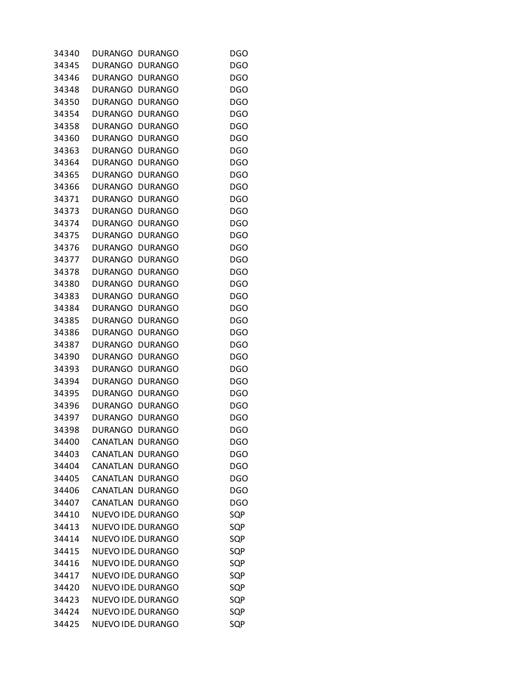| 34340 | <b>DURANGO</b>   | <b>DURANGO</b>            | DGO        |
|-------|------------------|---------------------------|------------|
| 34345 | <b>DURANGO</b>   | <b>DURANGO</b>            | DGO        |
| 34346 | <b>DURANGO</b>   | <b>DURANGO</b>            | <b>DGO</b> |
| 34348 | DURANGO          | <b>DURANGO</b>            | DGO        |
| 34350 | <b>DURANGO</b>   | <b>DURANGO</b>            | <b>DGO</b> |
| 34354 | <b>DURANGO</b>   | <b>DURANGO</b>            | <b>DGO</b> |
| 34358 | DURANGO          | <b>DURANGO</b>            | DGO        |
| 34360 | <b>DURANGO</b>   | <b>DURANGO</b>            | <b>DGO</b> |
| 34363 | <b>DURANGO</b>   | <b>DURANGO</b>            | <b>DGO</b> |
| 34364 | <b>DURANGO</b>   | <b>DURANGO</b>            | <b>DGO</b> |
| 34365 | <b>DURANGO</b>   | <b>DURANGO</b>            | <b>DGO</b> |
| 34366 | <b>DURANGO</b>   | <b>DURANGO</b>            | <b>DGO</b> |
| 34371 | DURANGO          | <b>DURANGO</b>            | DGO        |
| 34373 | <b>DURANGO</b>   | <b>DURANGO</b>            | <b>DGO</b> |
| 34374 | <b>DURANGO</b>   | <b>DURANGO</b>            | <b>DGO</b> |
| 34375 | DURANGO          | <b>DURANGO</b>            | <b>DGO</b> |
| 34376 | <b>DURANGO</b>   | <b>DURANGO</b>            | <b>DGO</b> |
|       |                  |                           |            |
| 34377 | <b>DURANGO</b>   | <b>DURANGO</b>            | <b>DGO</b> |
| 34378 | DURANGO          | <b>DURANGO</b>            | DGO        |
| 34380 | <b>DURANGO</b>   | <b>DURANGO</b>            | <b>DGO</b> |
| 34383 | <b>DURANGO</b>   | <b>DURANGO</b>            | <b>DGO</b> |
| 34384 | <b>DURANGO</b>   | <b>DURANGO</b>            | <b>DGO</b> |
| 34385 | <b>DURANGO</b>   | <b>DURANGO</b>            | <b>DGO</b> |
| 34386 | <b>DURANGO</b>   | <b>DURANGO</b>            | <b>DGO</b> |
| 34387 | DURANGO          | <b>DURANGO</b>            | DGO        |
| 34390 | <b>DURANGO</b>   | <b>DURANGO</b>            | <b>DGO</b> |
| 34393 | <b>DURANGO</b>   | <b>DURANGO</b>            | <b>DGO</b> |
| 34394 | DURANGO          | <b>DURANGO</b>            | <b>DGO</b> |
| 34395 | <b>DURANGO</b>   | <b>DURANGO</b>            | <b>DGO</b> |
| 34396 | <b>DURANGO</b>   | <b>DURANGO</b>            | <b>DGO</b> |
| 34397 | DURANGO          | <b>DURANGO</b>            | DGO        |
| 34398 | <b>DURANGO</b>   | <b>DURANGO</b>            | DGO        |
| 34400 | CANATLAN DURANGO |                           | <b>DGO</b> |
| 34403 |                  | CANATLAN DURANGO          | <b>DGO</b> |
| 34404 |                  | CANATLAN DURANGO          | <b>DGO</b> |
| 34405 |                  | CANATLAN DURANGO          | <b>DGO</b> |
| 34406 |                  | CANATLAN DURANGO          | DGO        |
| 34407 |                  | CANATLAN DURANGO          | <b>DGO</b> |
| 34410 |                  | <b>NUEVO IDE, DURANGO</b> | SQP        |
| 34413 |                  | <b>NUEVO IDE, DURANGO</b> | SQP        |
| 34414 |                  | NUEVO IDE, DURANGO        | SQP        |
| 34415 |                  | <b>NUEVO IDE, DURANGO</b> | SQP        |
| 34416 |                  | NUEVO IDE. DURANGO        | SQP        |
| 34417 |                  | NUEVO IDE, DURANGO        | SQP        |
| 34420 |                  | NUEVO IDE, DURANGO        | SQP        |
| 34423 |                  | NUEVO IDE. DURANGO        | SQP        |
| 34424 |                  | NUEVO IDE, DURANGO        | SQP        |
| 34425 |                  | NUEVO IDE DURANGO         | SQP        |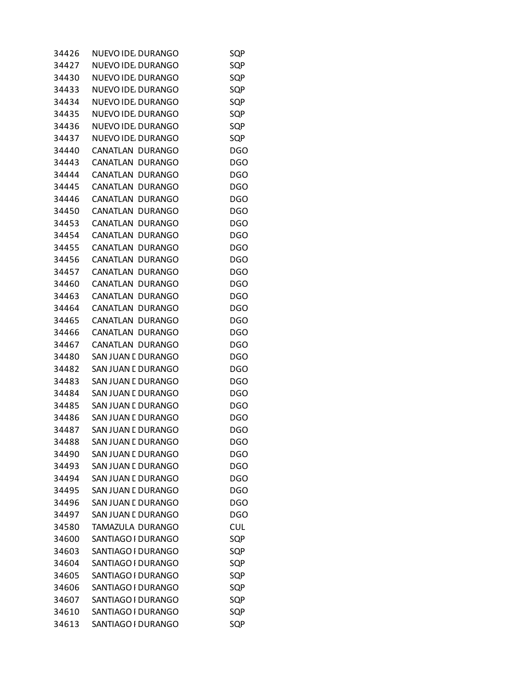| 34426 | NUEVO IDE, DURANGO         | SQP        |
|-------|----------------------------|------------|
| 34427 | NUEVO IDE DURANGO          | SQP        |
| 34430 | NUEVO IDE, DURANGO         | SQP        |
| 34433 | NUEVO IDE DURANGO          | SQP        |
| 34434 | NUEVO IDE. DURANGO         | SQP        |
| 34435 | NUEVO IDE, DURANGO         | SQP        |
| 34436 | NUEVO IDE. DURANGO         | SQP        |
| 34437 | NUEVO IDE DURANGO          | SQP        |
| 34440 | CANATLAN DURANGO           | DGO        |
| 34443 | CANATLAN DURANGO           | DGO        |
| 34444 | CANATLAN DURANGO           | <b>DGO</b> |
| 34445 | CANATLAN DURANGO           | <b>DGO</b> |
| 34446 | CANATLAN DURANGO           | DGO        |
| 34450 | CANATLAN DURANGO           | <b>DGO</b> |
| 34453 | CANATLAN<br><b>DURANGO</b> | <b>DGO</b> |
| 34454 | CANATLAN DURANGO           | <b>DGO</b> |
| 34455 | CANATLAN DURANGO           | <b>DGO</b> |
| 34456 | CANATLAN<br><b>DURANGO</b> | <b>DGO</b> |
| 34457 | CANATLAN DURANGO           | DGO        |
| 34460 | CANATLAN DURANGO           | <b>DGO</b> |
| 34463 | CANATLAN<br><b>DURANGO</b> | <b>DGO</b> |
| 34464 | CANATLAN DURANGO           | <b>DGO</b> |
| 34465 | CANATLAN DURANGO           | <b>DGO</b> |
| 34466 | CANATLAN DURANGO           | <b>DGO</b> |
| 34467 | CANATLAN DURANGO           | DGO        |
| 34480 | SAN JUAN E DURANGO         | <b>DGO</b> |
| 34482 | SAN JUAN E DURANGO         | <b>DGO</b> |
| 34483 | SAN JUAN E DURANGO         | DGO        |
| 34484 | SAN JUAN E DURANGO         | <b>DGO</b> |
| 34485 | SAN JUAN E DURANGO         | <b>DGO</b> |
| 34486 | SAN JUAN E DURANGO         | DGO        |
| 34487 | SAN JUAN E DURANGO         | <b>DGO</b> |
| 34488 | SAN JUAN E DURANGO         | <b>DGO</b> |
| 34490 | <b>SAN JUAN E DURANGO</b>  | <b>DGO</b> |
|       |                            |            |
| 34493 | SAN JUAN E DURANGO         | <b>DGO</b> |
| 34494 | SAN JUAN E DURANGO         | <b>DGO</b> |
| 34495 | SAN JUAN E DURANGO         | <b>DGO</b> |
| 34496 | SAN JUAN E DURANGO         | <b>DGO</b> |
| 34497 | SAN JUAN E DURANGO         | <b>DGO</b> |
| 34580 | TAMAZULA DURANGO           | <b>CUL</b> |
| 34600 | SANTIAGO I DURANGO         | SQP        |
| 34603 | SANTIAGO I DURANGO         | SQP        |
| 34604 | SANTIAGO I DURANGO         | SQP        |
| 34605 | SANTIAGO I DURANGO         | SQP        |
| 34606 | SANTIAGO I DURANGO         | SQP        |
| 34607 | SANTIAGO I DURANGO         | SQP        |
| 34610 | SANTIAGO I DURANGO         | SQP        |
| 34613 | SANTIAGO I DURANGO         | SQP        |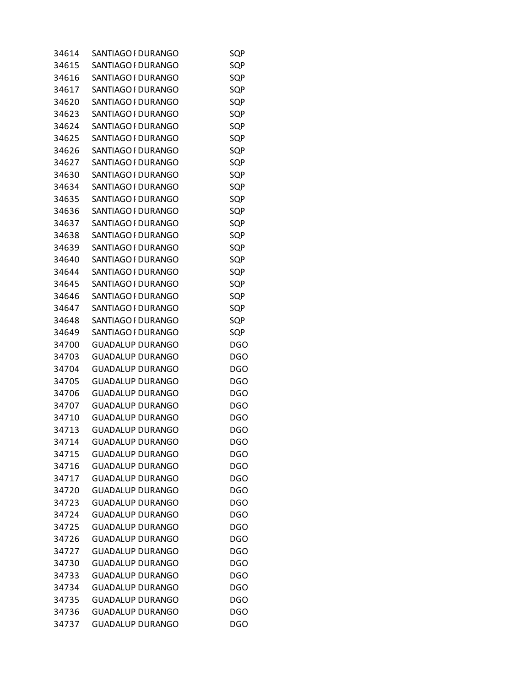| 34614 | SANTIAGO I DURANGO      | SQP        |
|-------|-------------------------|------------|
| 34615 | SANTIAGO I DURANGO      | SQP        |
| 34616 | SANTIAGO I DURANGO      | SQP        |
| 34617 | SANTIAGO I DURANGO      | SQP        |
| 34620 | SANTIAGO I DURANGO      | SQP        |
| 34623 | SANTIAGO I DURANGO      | SQP        |
| 34624 | SANTIAGO I DURANGO      | SQP        |
| 34625 | SANTIAGO I DURANGO      | SQP        |
| 34626 | SANTIAGO I DURANGO      | SQP        |
| 34627 | SANTIAGO I DURANGO      | SQP        |
| 34630 | SANTIAGO I DURANGO      | SQP        |
| 34634 | SANTIAGO I DURANGO      | SQP        |
| 34635 | SANTIAGO I DURANGO      | SQP        |
| 34636 | SANTIAGO I DURANGO      | SQP        |
| 34637 | SANTIAGO I DURANGO      | SQP        |
| 34638 | SANTIAGO I DURANGO      | SQP        |
| 34639 | SANTIAGO I DURANGO      | SQP        |
| 34640 | SANTIAGO I DURANGO      | SQP        |
| 34644 | SANTIAGO I DURANGO      | SQP        |
| 34645 | SANTIAGO I DURANGO      | SQP        |
| 34646 | SANTIAGO I DURANGO      | SQP        |
| 34647 | SANTIAGO I DURANGO      | SQP        |
| 34648 | SANTIAGO I DURANGO      | SQP        |
| 34649 | SANTIAGO I DURANGO      | SQP        |
| 34700 | GUADALUP DURANGO        | DGO        |
| 34703 | <b>GUADALUP DURANGO</b> | DGO        |
| 34704 | <b>GUADALUP DURANGO</b> | <b>DGO</b> |
| 34705 | <b>GUADALUP DURANGO</b> | <b>DGO</b> |
| 34706 | <b>GUADALUP DURANGO</b> | <b>DGO</b> |
| 34707 | <b>GUADALUP DURANGO</b> | <b>DGO</b> |
| 34710 | GUADALUP DURANGO        | <b>DGO</b> |
| 34713 | <b>GUADALUP DURANGO</b> | <b>DGO</b> |
| 34714 | <b>GUADALUP DURANGO</b> | <b>DGO</b> |
| 34715 | <b>GUADALUP DURANGO</b> | <b>DGO</b> |
| 34716 | <b>GUADALUP DURANGO</b> | <b>DGO</b> |
| 34717 | <b>GUADALUP DURANGO</b> | <b>DGO</b> |
| 34720 | <b>GUADALUP DURANGO</b> | <b>DGO</b> |
| 34723 | <b>GUADALUP DURANGO</b> | <b>DGO</b> |
| 34724 | <b>GUADALUP DURANGO</b> | <b>DGO</b> |
| 34725 | <b>GUADALUP DURANGO</b> | <b>DGO</b> |
| 34726 | <b>GUADALUP DURANGO</b> | <b>DGO</b> |
| 34727 | <b>GUADALUP DURANGO</b> | <b>DGO</b> |
| 34730 | <b>GUADALUP DURANGO</b> | <b>DGO</b> |
| 34733 | <b>GUADALUP DURANGO</b> | <b>DGO</b> |
| 34734 | <b>GUADALUP DURANGO</b> | <b>DGO</b> |
| 34735 | <b>GUADALUP DURANGO</b> | <b>DGO</b> |
| 34736 | <b>GUADALUP DURANGO</b> | <b>DGO</b> |
| 34737 | <b>GUADALUP DURANGO</b> | <b>DGO</b> |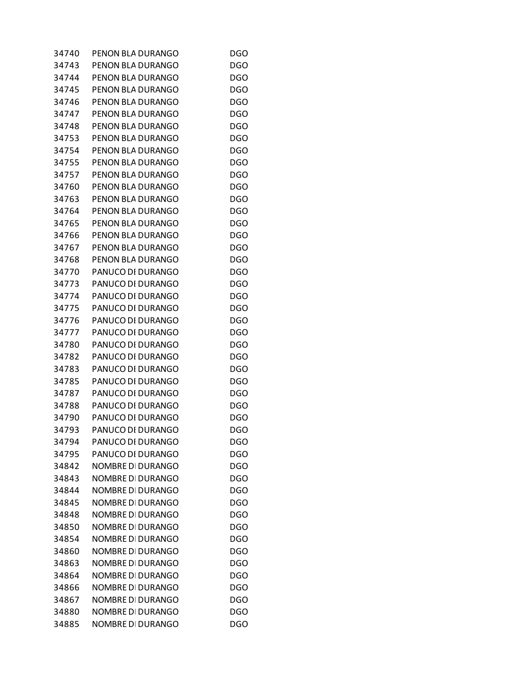| 34740 | PENON BLA DURANGO        | <b>DGO</b> |
|-------|--------------------------|------------|
| 34743 | PENON BLA DURANGO        | <b>DGO</b> |
| 34744 | PENON BLA DURANGO        | <b>DGO</b> |
| 34745 | PENON BLA DURANGO        | <b>DGO</b> |
| 34746 | PENON BLA DURANGO        | <b>DGO</b> |
| 34747 | PENON BLA DURANGO        | <b>DGO</b> |
| 34748 | PENON BLA DURANGO        | DGO        |
| 34753 | PENON BLA DURANGO        | <b>DGO</b> |
| 34754 | PENON BLA DURANGO        | <b>DGO</b> |
| 34755 | PENON BLA DURANGO        | <b>DGO</b> |
| 34757 | PENON BLA DURANGO        | <b>DGO</b> |
| 34760 | PENON BLA DURANGO        | <b>DGO</b> |
| 34763 | PENON BLA DURANGO        | <b>DGO</b> |
| 34764 | PENON BLA DURANGO        | <b>DGO</b> |
| 34765 | PENON BLA DURANGO        | <b>DGO</b> |
| 34766 | PENON BLA DURANGO        | <b>DGO</b> |
| 34767 | PENON BLA DURANGO        | <b>DGO</b> |
| 34768 | PENON BLA DURANGO        | <b>DGO</b> |
| 34770 | PANUCO DI DURANGO        | <b>DGO</b> |
| 34773 | PANUCO DI DURANGO        | <b>DGO</b> |
| 34774 | PANUCO DI DURANGO        | <b>DGO</b> |
| 34775 | PANUCO DI DURANGO        | <b>DGO</b> |
| 34776 | PANUCO DI DURANGO        | <b>DGO</b> |
| 34777 | PANUCO DI DURANGO        | <b>DGO</b> |
| 34780 | PANUCO DI DURANGO        | <b>DGO</b> |
| 34782 | PANUCO DI DURANGO        | <b>DGO</b> |
| 34783 | PANUCO DI DURANGO        | <b>DGO</b> |
| 34785 | PANUCO DI DURANGO        | <b>DGO</b> |
| 34787 | PANUCO DI DURANGO        | <b>DGO</b> |
| 34788 | PANUCO DI DURANGO        | <b>DGO</b> |
| 34790 | PANUCO DI DURANGO        | DGO        |
| 34793 | PANUCO DI DURANGO        | <b>DGO</b> |
| 34794 | PANUCO DI DURANGO        | <b>DGO</b> |
| 34795 | PANUCO DI DURANGO        | <b>DGO</b> |
| 34842 | NOMBRE DI DURANGO        | <b>DGO</b> |
| 34843 | NOMBRE DI DURANGO        | <b>DGO</b> |
| 34844 | <b>NOMBRE DI DURANGO</b> | <b>DGO</b> |
| 34845 | NOMBRE DI DURANGO        | <b>DGO</b> |
| 34848 | NOMBRE DI DURANGO        | <b>DGO</b> |
| 34850 | <b>NOMBRE DI DURANGO</b> | <b>DGO</b> |
| 34854 | NOMBRE DI DURANGO        | <b>DGO</b> |
| 34860 | <b>NOMBRE DI DURANGO</b> | <b>DGO</b> |
| 34863 | <b>NOMBRE DI DURANGO</b> | <b>DGO</b> |
| 34864 | NOMBRE DI DURANGO        | <b>DGO</b> |
| 34866 | NOMBRE DI DURANGO        | <b>DGO</b> |
| 34867 | <b>NOMBRE DI DURANGO</b> | <b>DGO</b> |
| 34880 | NOMBRE DI DURANGO        | <b>DGO</b> |
| 34885 | NOMBRE DI DURANGO        | <b>DGO</b> |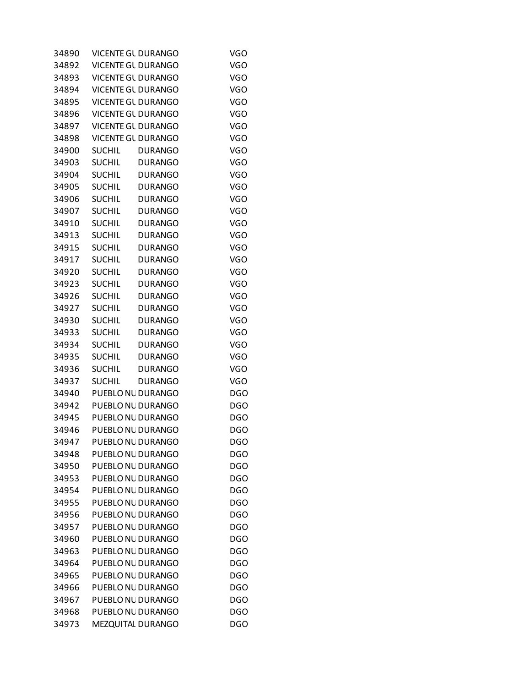| 34890 |               | <b>VICENTE GL DURANGO</b> | <b>VGO</b> |
|-------|---------------|---------------------------|------------|
| 34892 |               | <b>VICENTE GL DURANGO</b> | <b>VGO</b> |
| 34893 |               | <b>VICENTE GL DURANGO</b> | <b>VGO</b> |
| 34894 |               | <b>VICENTE GL DURANGO</b> | <b>VGO</b> |
| 34895 |               | <b>VICENTE GL DURANGO</b> | <b>VGO</b> |
| 34896 |               | <b>VICENTE GL DURANGO</b> | <b>VGO</b> |
| 34897 |               | <b>VICENTE GL DURANGO</b> | <b>VGO</b> |
| 34898 |               | <b>VICENTE GL DURANGO</b> | <b>VGO</b> |
| 34900 | <b>SUCHIL</b> | <b>DURANGO</b>            | <b>VGO</b> |
| 34903 | SUCHIL        | <b>DURANGO</b>            | <b>VGO</b> |
| 34904 | <b>SUCHIL</b> | <b>DURANGO</b>            | <b>VGO</b> |
| 34905 | <b>SUCHIL</b> | <b>DURANGO</b>            | <b>VGO</b> |
| 34906 | <b>SUCHIL</b> | <b>DURANGO</b>            | <b>VGO</b> |
| 34907 | <b>SUCHIL</b> | <b>DURANGO</b>            | <b>VGO</b> |
| 34910 | <b>SUCHIL</b> | <b>DURANGO</b>            | <b>VGO</b> |
| 34913 | <b>SUCHIL</b> | <b>DURANGO</b>            | <b>VGO</b> |
| 34915 | <b>SUCHIL</b> | <b>DURANGO</b>            | <b>VGO</b> |
| 34917 | <b>SUCHIL</b> | <b>DURANGO</b>            | <b>VGO</b> |
| 34920 | <b>SUCHIL</b> | <b>DURANGO</b>            | <b>VGO</b> |
| 34923 | <b>SUCHIL</b> | <b>DURANGO</b>            | <b>VGO</b> |
| 34926 | <b>SUCHIL</b> | <b>DURANGO</b>            | <b>VGO</b> |
| 34927 | <b>SUCHIL</b> | <b>DURANGO</b>            | <b>VGO</b> |
| 34930 | <b>SUCHIL</b> | <b>DURANGO</b>            | <b>VGO</b> |
| 34933 | <b>SUCHIL</b> | <b>DURANGO</b>            | <b>VGO</b> |
| 34934 | <b>SUCHIL</b> | <b>DURANGO</b>            | <b>VGO</b> |
| 34935 | <b>SUCHIL</b> | DURANGO                   | <b>VGO</b> |
| 34936 | <b>SUCHIL</b> | DURANGO                   | <b>VGO</b> |
| 34937 | <b>SUCHIL</b> | <b>DURANGO</b>            | <b>VGO</b> |
| 34940 |               | PUEBLO NU DURANGO         | <b>DGO</b> |
| 34942 |               | PUEBLO NL DURANGO         | <b>DGO</b> |
| 34945 |               | PUEBLO NL DURANGO         | <b>DGO</b> |
| 34946 |               | PUEBLO NU DURANGO         | <b>DGO</b> |
| 34947 |               | PUEBLONL DURANGO          | <b>DGO</b> |
| 34948 |               | PUEBLO NL DURANGO         | <b>DGO</b> |
| 34950 |               | PUEBLO NL DURANGO         | <b>DGO</b> |
| 34953 |               | PUEBLO NL DURANGO         | <b>DGO</b> |
| 34954 |               | PUEBLO NL DURANGO         | <b>DGO</b> |
| 34955 |               | PUEBLO NL DURANGO         | <b>DGO</b> |
| 34956 |               | PUEBLO NL DURANGO         | <b>DGO</b> |
| 34957 |               | PUEBLO NL DURANGO         | <b>DGO</b> |
| 34960 |               | PUEBLO NL DURANGO         | <b>DGO</b> |
| 34963 |               | PUEBLO NL DURANGO         | <b>DGO</b> |
| 34964 |               | PUEBLO NL DURANGO         | <b>DGO</b> |
| 34965 |               | PUEBLO NL DURANGO         | <b>DGO</b> |
| 34966 |               | PUEBLO NL DURANGO         | <b>DGO</b> |
| 34967 |               | PUEBLO NL DURANGO         | <b>DGO</b> |
| 34968 |               | PUEBLO NL DURANGO         | <b>DGO</b> |
| 34973 |               | MEZQUITAL DURANGO         | <b>DGO</b> |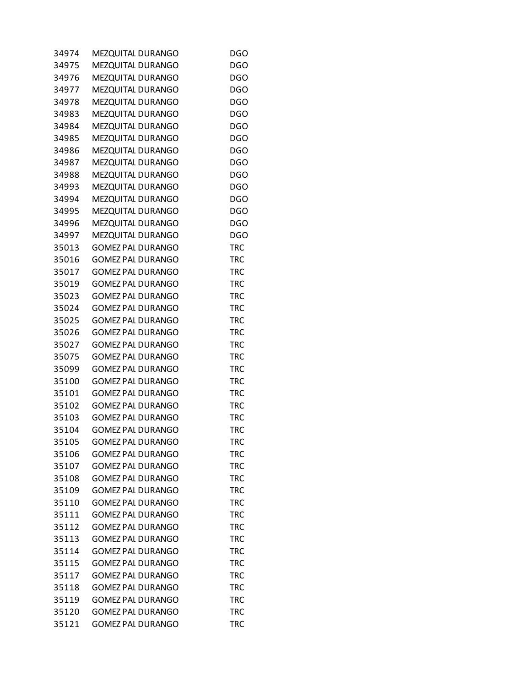| 34974 | MEZQUITAL DURANGO        | DGO        |
|-------|--------------------------|------------|
| 34975 | MEZQUITAL DURANGO        | <b>DGO</b> |
| 34976 | MEZQUITAL DURANGO        | <b>DGO</b> |
| 34977 | MEZQUITAL DURANGO        | <b>DGO</b> |
| 34978 | MEZQUITAL DURANGO        | <b>DGO</b> |
| 34983 | MEZQUITAL DURANGO        | <b>DGO</b> |
| 34984 | MEZQUITAL DURANGO        | <b>DGO</b> |
| 34985 | MEZQUITAL DURANGO        | <b>DGO</b> |
| 34986 | MEZQUITAL DURANGO        | <b>DGO</b> |
| 34987 | MEZQUITAL DURANGO        | <b>DGO</b> |
| 34988 | MEZQUITAL DURANGO        | <b>DGO</b> |
| 34993 | MEZQUITAL DURANGO        | <b>DGO</b> |
| 34994 | MEZQUITAL DURANGO        | <b>DGO</b> |
| 34995 | MEZQUITAL DURANGO        | <b>DGO</b> |
| 34996 | MEZQUITAL DURANGO        | <b>DGO</b> |
| 34997 | MEZQUITAL DURANGO        | <b>DGO</b> |
| 35013 | <b>GOMEZ PAL DURANGO</b> | <b>TRC</b> |
| 35016 | <b>GOMEZ PAL DURANGO</b> | <b>TRC</b> |
| 35017 | <b>GOMEZ PAL DURANGO</b> | <b>TRC</b> |
| 35019 | <b>GOMEZ PAL DURANGO</b> | <b>TRC</b> |
| 35023 | <b>GOMEZ PAL DURANGO</b> | <b>TRC</b> |
| 35024 | <b>GOMEZ PAL DURANGO</b> | <b>TRC</b> |
| 35025 | <b>GOMEZ PAL DURANGO</b> | <b>TRC</b> |
| 35026 | <b>GOMEZ PAL DURANGO</b> | <b>TRC</b> |
| 35027 | <b>GOMEZ PAL DURANGO</b> | <b>TRC</b> |
| 35075 | <b>GOMEZ PAL DURANGO</b> | <b>TRC</b> |
| 35099 | <b>GOMEZ PAL DURANGO</b> | <b>TRC</b> |
| 35100 | <b>GOMEZ PAL DURANGO</b> | <b>TRC</b> |
| 35101 | <b>GOMEZ PAL DURANGO</b> | <b>TRC</b> |
| 35102 | <b>GOMEZ PAL DURANGO</b> | <b>TRC</b> |
| 35103 | <b>GOMEZ PAL DURANGO</b> | <b>TRC</b> |
| 35104 | <b>GOMEZ PAL DURANGO</b> | <b>TRC</b> |
| 35105 | <b>GOMEZ PAL DURANGO</b> | TRC        |
| 35106 | <b>GOMEZ PAL DURANGO</b> | TRC        |
| 35107 | <b>GOMEZ PAL DURANGO</b> | <b>TRC</b> |
| 35108 | <b>GOMEZ PAL DURANGO</b> | <b>TRC</b> |
| 35109 | <b>GOMEZ PAL DURANGO</b> | TRC        |
| 35110 | <b>GOMEZ PAL DURANGO</b> | TRC        |
| 35111 | <b>GOMEZ PAL DURANGO</b> | <b>TRC</b> |
| 35112 | <b>GOMEZ PAL DURANGO</b> | TRC        |
| 35113 | <b>GOMEZ PAL DURANGO</b> | <b>TRC</b> |
| 35114 | <b>GOMEZ PAL DURANGO</b> | <b>TRC</b> |
| 35115 | <b>GOMEZ PAL DURANGO</b> | TRC        |
| 35117 | <b>GOMEZ PAL DURANGO</b> | TRC        |
| 35118 | <b>GOMEZ PAL DURANGO</b> | <b>TRC</b> |
| 35119 | <b>GOMEZ PAL DURANGO</b> | TRC        |
| 35120 | <b>GOMEZ PAL DURANGO</b> | TRC        |
| 35121 | <b>GOMEZ PAL DURANGO</b> | <b>TRC</b> |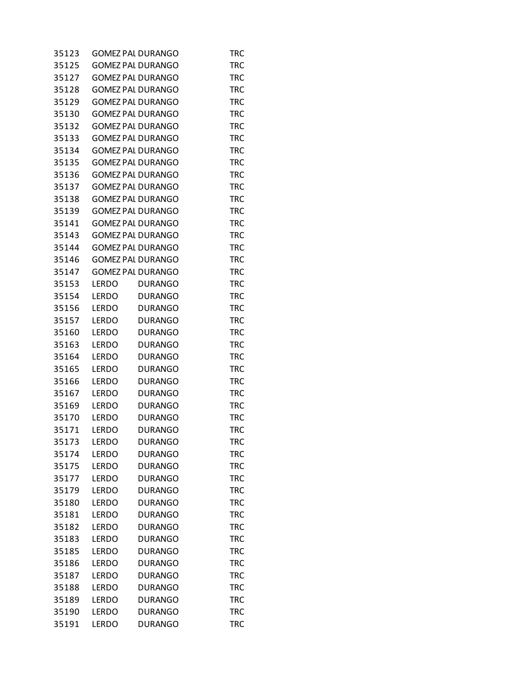| 35123 | <b>GOMEZ PAL DURANGO</b> |                | TRC        |
|-------|--------------------------|----------------|------------|
| 35125 | <b>GOMEZ PAL DURANGO</b> |                | <b>TRC</b> |
| 35127 | <b>GOMEZ PAL DURANGO</b> |                | <b>TRC</b> |
| 35128 | <b>GOMEZ PAL DURANGO</b> |                | <b>TRC</b> |
| 35129 | <b>GOMEZ PAL DURANGO</b> |                | <b>TRC</b> |
| 35130 | <b>GOMEZ PAL DURANGO</b> |                | <b>TRC</b> |
| 35132 | <b>GOMEZ PAL DURANGO</b> |                | <b>TRC</b> |
| 35133 | <b>GOMEZ PAL DURANGO</b> |                | <b>TRC</b> |
| 35134 | <b>GOMEZ PAL DURANGO</b> |                | <b>TRC</b> |
| 35135 | <b>GOMEZ PAL DURANGO</b> |                | <b>TRC</b> |
| 35136 | <b>GOMEZ PAL DURANGO</b> |                | <b>TRC</b> |
| 35137 | <b>GOMEZ PAL DURANGO</b> |                | <b>TRC</b> |
| 35138 | <b>GOMEZ PAL DURANGO</b> |                | <b>TRC</b> |
| 35139 | <b>GOMEZ PAL DURANGO</b> |                | <b>TRC</b> |
| 35141 | <b>GOMEZ PAL DURANGO</b> |                | <b>TRC</b> |
| 35143 | <b>GOMEZ PAL DURANGO</b> |                | <b>TRC</b> |
| 35144 | <b>GOMEZ PAL DURANGO</b> |                | <b>TRC</b> |
| 35146 | <b>GOMEZ PAL DURANGO</b> |                | <b>TRC</b> |
| 35147 | <b>GOMEZ PAL DURANGO</b> |                | <b>TRC</b> |
| 35153 | <b>LERDO</b>             | <b>DURANGO</b> | <b>TRC</b> |
| 35154 | <b>LERDO</b>             | <b>DURANGO</b> | <b>TRC</b> |
| 35156 | LERDO                    | <b>DURANGO</b> | <b>TRC</b> |
| 35157 | <b>LERDO</b>             | <b>DURANGO</b> | <b>TRC</b> |
| 35160 | <b>LERDO</b>             | <b>DURANGO</b> | <b>TRC</b> |
| 35163 | <b>LERDO</b>             | <b>DURANGO</b> | <b>TRC</b> |
| 35164 | <b>LERDO</b>             | <b>DURANGO</b> | <b>TRC</b> |
| 35165 | <b>LERDO</b>             | <b>DURANGO</b> | <b>TRC</b> |
| 35166 | LERDO                    | <b>DURANGO</b> | <b>TRC</b> |
| 35167 | <b>LERDO</b>             | <b>DURANGO</b> | <b>TRC</b> |
| 35169 | <b>LERDO</b>             | <b>DURANGO</b> | <b>TRC</b> |
| 35170 | <b>LERDO</b>             | <b>DURANGO</b> | TRC        |
| 35171 | <b>LERDO</b>             | <b>DURANGO</b> | TRC        |
| 35173 | <b>LERDO</b>             | <b>DURANGO</b> | TRC        |
| 35174 | <b>LERDO</b>             | <b>DURANGO</b> | <b>TRC</b> |
| 35175 | <b>LERDO</b>             | <b>DURANGO</b> | <b>TRC</b> |
| 35177 | <b>LERDO</b>             | <b>DURANGO</b> | <b>TRC</b> |
| 35179 | LERDO                    | <b>DURANGO</b> | <b>TRC</b> |
| 35180 | <b>LERDO</b>             | <b>DURANGO</b> | <b>TRC</b> |
| 35181 | <b>LERDO</b>             | <b>DURANGO</b> | <b>TRC</b> |
| 35182 | <b>LERDO</b>             | <b>DURANGO</b> | <b>TRC</b> |
| 35183 | <b>LERDO</b>             | <b>DURANGO</b> | <b>TRC</b> |
| 35185 | <b>LERDO</b>             | <b>DURANGO</b> | <b>TRC</b> |
| 35186 | LERDO                    | <b>DURANGO</b> | <b>TRC</b> |
| 35187 | <b>LERDO</b>             | <b>DURANGO</b> | <b>TRC</b> |
| 35188 | <b>LERDO</b>             | <b>DURANGO</b> | <b>TRC</b> |
| 35189 | <b>LERDO</b>             | <b>DURANGO</b> | <b>TRC</b> |
| 35190 | <b>LERDO</b>             | <b>DURANGO</b> | <b>TRC</b> |
| 35191 | <b>LERDO</b>             | <b>DURANGO</b> | <b>TRC</b> |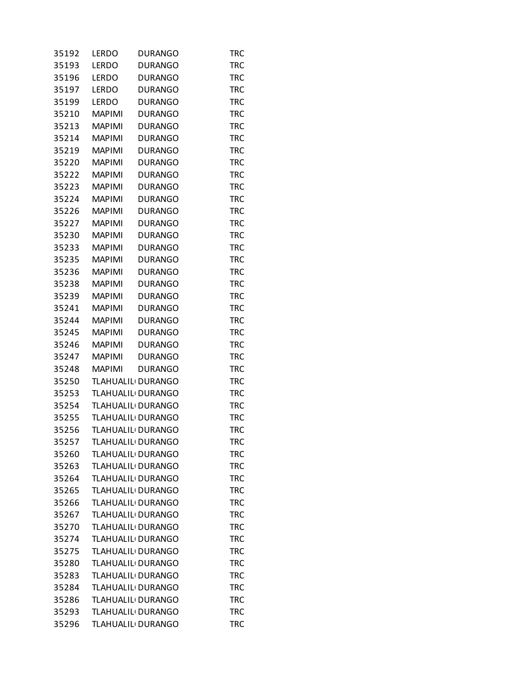| 35192 | LERDO         | <b>DURANGO</b>                 | TRC        |
|-------|---------------|--------------------------------|------------|
| 35193 | <b>LERDO</b>  | <b>DURANGO</b>                 | <b>TRC</b> |
| 35196 | <b>LERDO</b>  | <b>DURANGO</b>                 | <b>TRC</b> |
| 35197 | LERDO         | <b>DURANGO</b>                 | <b>TRC</b> |
| 35199 | <b>LERDO</b>  | <b>DURANGO</b>                 | <b>TRC</b> |
| 35210 | <b>MAPIMI</b> | <b>DURANGO</b>                 | <b>TRC</b> |
| 35213 | <b>MAPIMI</b> | <b>DURANGO</b>                 | <b>TRC</b> |
| 35214 | <b>MAPIMI</b> | <b>DURANGO</b>                 | <b>TRC</b> |
| 35219 | <b>MAPIMI</b> | <b>DURANGO</b>                 | <b>TRC</b> |
| 35220 | <b>MAPIMI</b> | <b>DURANGO</b>                 | <b>TRC</b> |
| 35222 | <b>MAPIMI</b> | <b>DURANGO</b>                 | <b>TRC</b> |
| 35223 | <b>MAPIMI</b> | <b>DURANGO</b>                 | <b>TRC</b> |
| 35224 | <b>MAPIMI</b> | <b>DURANGO</b>                 | <b>TRC</b> |
| 35226 | <b>MAPIMI</b> | <b>DURANGO</b>                 | <b>TRC</b> |
| 35227 | <b>MAPIMI</b> | <b>DURANGO</b>                 | <b>TRC</b> |
| 35230 | <b>MAPIMI</b> | <b>DURANGO</b>                 | <b>TRC</b> |
| 35233 | <b>MAPIMI</b> | <b>DURANGO</b>                 | <b>TRC</b> |
| 35235 | <b>MAPIMI</b> | <b>DURANGO</b>                 | <b>TRC</b> |
| 35236 | <b>MAPIMI</b> | <b>DURANGO</b>                 | <b>TRC</b> |
| 35238 | <b>MAPIMI</b> |                                |            |
|       | <b>MAPIMI</b> | <b>DURANGO</b>                 | <b>TRC</b> |
| 35239 |               | <b>DURANGO</b>                 | <b>TRC</b> |
| 35241 | <b>MAPIMI</b> | <b>DURANGO</b>                 | <b>TRC</b> |
| 35244 | <b>MAPIMI</b> | <b>DURANGO</b>                 | <b>TRC</b> |
| 35245 | <b>MAPIMI</b> | <b>DURANGO</b>                 | <b>TRC</b> |
| 35246 | <b>MAPIMI</b> | <b>DURANGO</b>                 | <b>TRC</b> |
| 35247 | <b>MAPIMI</b> | <b>DURANGO</b>                 | <b>TRC</b> |
| 35248 | <b>MAPIMI</b> | <b>DURANGO</b>                 | <b>TRC</b> |
| 35250 |               | TLAHUALIL <sub>'</sub> DURANGO | <b>TRC</b> |
| 35253 |               | TLAHUALIL <sub>I</sub> DURANGO | <b>TRC</b> |
| 35254 |               | TLAHUALIL <sup>I</sup> DURANGO | <b>TRC</b> |
| 35255 |               | TLAHUALIL <sub>'</sub> DURANGO | <b>TRC</b> |
| 35256 |               | TLAHUALIL <sub>'</sub> DURANGO | <b>TRC</b> |
| 35257 |               | TLAHUALIL <sub>'</sub> DURANGO | TRC        |
| 35260 |               | TLAHUALIL <sup>I</sup> DURANGO | <b>TRC</b> |
| 35263 |               | TLAHUALIL <sub>'</sub> DURANGO | <b>TRC</b> |
| 35264 |               | TLAHUALIL <sub>'</sub> DURANGO | <b>TRC</b> |
| 35265 |               | TLAHUALIL <sub>I</sub> DURANGO | <b>TRC</b> |
| 35266 |               | TLAHUALIL <sub>I</sub> DURANGO | <b>TRC</b> |
| 35267 |               | TLAHUALIL <sub>'</sub> DURANGO | <b>TRC</b> |
| 35270 |               | TLAHUALIL <sub>I</sub> DURANGO | TRC        |
| 35274 |               | TLAHUALIL <sub>'</sub> DURANGO | <b>TRC</b> |
| 35275 |               | TLAHUALIL <sup>I</sup> DURANGO | <b>TRC</b> |
| 35280 |               | TLAHUALIL <sub>I</sub> DURANGO | <b>TRC</b> |
| 35283 |               | TLAHUALIL <sub>I</sub> DURANGO | <b>TRC</b> |
| 35284 |               | TLAHUALIL <sub>'</sub> DURANGO | <b>TRC</b> |
| 35286 |               | TLAHUALIL <sub>I</sub> DURANGO | TRC        |
| 35293 |               | TLAHUALIL <sub>'</sub> DURANGO | <b>TRC</b> |
| 35296 |               | TLAHUALIL <sub>I</sub> DURANGO | <b>TRC</b> |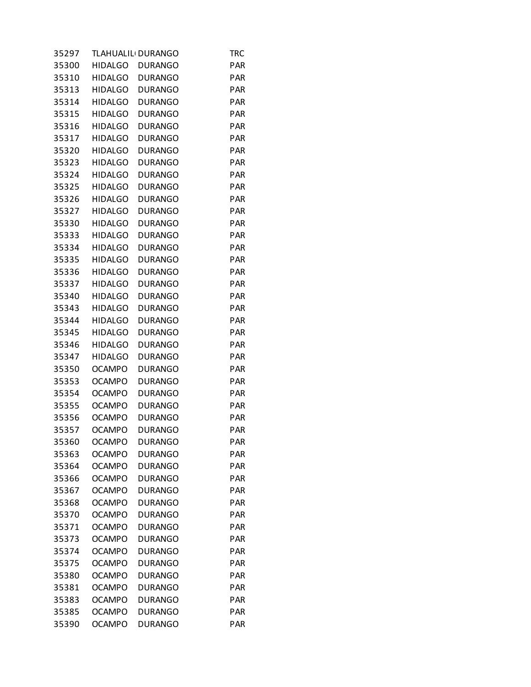| 35297 |                | TLAHUALIL <sup>I</sup> DURANGO | TRC        |
|-------|----------------|--------------------------------|------------|
| 35300 | <b>HIDALGO</b> | <b>DURANGO</b>                 | <b>PAR</b> |
| 35310 | <b>HIDALGO</b> | <b>DURANGO</b>                 | <b>PAR</b> |
| 35313 | <b>HIDALGO</b> | <b>DURANGO</b>                 | <b>PAR</b> |
| 35314 | <b>HIDALGO</b> | <b>DURANGO</b>                 | <b>PAR</b> |
| 35315 | <b>HIDALGO</b> | <b>DURANGO</b>                 | PAR        |
| 35316 | <b>HIDALGO</b> | <b>DURANGO</b>                 | <b>PAR</b> |
| 35317 | <b>HIDALGO</b> | <b>DURANGO</b>                 | <b>PAR</b> |
| 35320 | <b>HIDALGO</b> | <b>DURANGO</b>                 | <b>PAR</b> |
| 35323 | <b>HIDALGO</b> | <b>DURANGO</b>                 | <b>PAR</b> |
| 35324 | <b>HIDALGO</b> | <b>DURANGO</b>                 | PAR        |
| 35325 | <b>HIDALGO</b> | <b>DURANGO</b>                 | PAR        |
| 35326 | <b>HIDALGO</b> | <b>DURANGO</b>                 | <b>PAR</b> |
| 35327 | <b>HIDALGO</b> | <b>DURANGO</b>                 | <b>PAR</b> |
| 35330 | <b>HIDALGO</b> | <b>DURANGO</b>                 | <b>PAR</b> |
| 35333 | <b>HIDALGO</b> | <b>DURANGO</b>                 | <b>PAR</b> |
| 35334 | <b>HIDALGO</b> | <b>DURANGO</b>                 | PAR        |
|       | <b>HIDALGO</b> |                                | PAR        |
| 35335 |                | <b>DURANGO</b>                 |            |
| 35336 | <b>HIDALGO</b> | <b>DURANGO</b>                 | <b>PAR</b> |
| 35337 | <b>HIDALGO</b> | <b>DURANGO</b>                 | <b>PAR</b> |
| 35340 | <b>HIDALGO</b> | <b>DURANGO</b>                 | <b>PAR</b> |
| 35343 | <b>HIDALGO</b> | <b>DURANGO</b>                 | <b>PAR</b> |
| 35344 | <b>HIDALGO</b> | <b>DURANGO</b>                 | <b>PAR</b> |
| 35345 | <b>HIDALGO</b> | <b>DURANGO</b>                 | PAR        |
| 35346 | <b>HIDALGO</b> | <b>DURANGO</b>                 | <b>PAR</b> |
| 35347 | <b>HIDALGO</b> | <b>DURANGO</b>                 | <b>PAR</b> |
| 35350 | <b>OCAMPO</b>  | <b>DURANGO</b>                 | <b>PAR</b> |
| 35353 | <b>OCAMPO</b>  | <b>DURANGO</b>                 | <b>PAR</b> |
| 35354 | <b>OCAMPO</b>  | <b>DURANGO</b>                 | PAR        |
| 35355 | <b>OCAMPO</b>  | <b>DURANGO</b>                 | PAR        |
| 35356 | <b>OCAMPO</b>  | <b>DURANGO</b>                 | <b>PAR</b> |
| 35357 | <b>OCAMPO</b>  | <b>DURANGO</b>                 | <b>PAR</b> |
| 35360 | <b>OCAMPO</b>  | <b>DURANGO</b>                 | PAR        |
| 35363 | <b>OCAMPO</b>  | <b>DURANGO</b>                 | <b>PAR</b> |
| 35364 | <b>OCAMPO</b>  | <b>DURANGO</b>                 | <b>PAR</b> |
| 35366 | <b>OCAMPO</b>  | <b>DURANGO</b>                 | <b>PAR</b> |
| 35367 | <b>OCAMPO</b>  | <b>DURANGO</b>                 | <b>PAR</b> |
| 35368 | <b>OCAMPO</b>  | <b>DURANGO</b>                 | <b>PAR</b> |
| 35370 | <b>OCAMPO</b>  | <b>DURANGO</b>                 | PAR        |
| 35371 | <b>OCAMPO</b>  | <b>DURANGO</b>                 | <b>PAR</b> |
| 35373 | <b>OCAMPO</b>  | <b>DURANGO</b>                 | <b>PAR</b> |
| 35374 | <b>OCAMPO</b>  | <b>DURANGO</b>                 | <b>PAR</b> |
| 35375 | <b>OCAMPO</b>  | <b>DURANGO</b>                 | <b>PAR</b> |
| 35380 | <b>OCAMPO</b>  | <b>DURANGO</b>                 | <b>PAR</b> |
| 35381 | <b>OCAMPO</b>  | <b>DURANGO</b>                 | PAR        |
| 35383 | OCAMPO         | <b>DURANGO</b>                 | <b>PAR</b> |
| 35385 | <b>OCAMPO</b>  | <b>DURANGO</b>                 | <b>PAR</b> |
| 35390 | <b>OCAMPO</b>  | <b>DURANGO</b>                 | <b>PAR</b> |
|       |                |                                |            |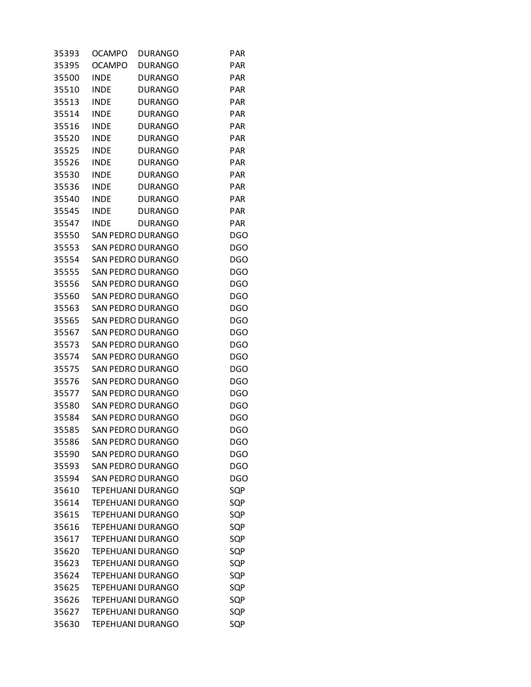| 35393 | <b>OCAMPO</b> | <b>DURANGO</b>           | <b>PAR</b> |
|-------|---------------|--------------------------|------------|
| 35395 | <b>OCAMPO</b> | <b>DURANGO</b>           | <b>PAR</b> |
| 35500 | <b>INDE</b>   | <b>DURANGO</b>           | <b>PAR</b> |
| 35510 | <b>INDE</b>   | <b>DURANGO</b>           | <b>PAR</b> |
| 35513 | <b>INDE</b>   | <b>DURANGO</b>           | <b>PAR</b> |
| 35514 | <b>INDE</b>   | <b>DURANGO</b>           | <b>PAR</b> |
| 35516 | <b>INDE</b>   | <b>DURANGO</b>           | <b>PAR</b> |
| 35520 | <b>INDE</b>   | <b>DURANGO</b>           | <b>PAR</b> |
| 35525 | <b>INDE</b>   | <b>DURANGO</b>           | PAR        |
| 35526 | <b>INDE</b>   | <b>DURANGO</b>           | <b>PAR</b> |
| 35530 | <b>INDE</b>   | <b>DURANGO</b>           | <b>PAR</b> |
| 35536 | <b>INDE</b>   | <b>DURANGO</b>           | PAR        |
| 35540 | <b>INDE</b>   | <b>DURANGO</b>           | <b>PAR</b> |
| 35545 | <b>INDE</b>   | <b>DURANGO</b>           | <b>PAR</b> |
| 35547 | <b>INDE</b>   | <b>DURANGO</b>           | <b>PAR</b> |
| 35550 |               | SAN PEDRO DURANGO        | <b>DGO</b> |
| 35553 |               | <b>SAN PEDRO DURANGO</b> | <b>DGO</b> |
| 35554 |               | <b>SAN PEDRO DURANGO</b> | <b>DGO</b> |
| 35555 |               | SAN PEDRO DURANGO        | DGO        |
| 35556 |               | <b>SAN PEDRO DURANGO</b> | <b>DGO</b> |
| 35560 |               | <b>SAN PEDRO DURANGO</b> | <b>DGO</b> |
| 35563 |               | SAN PEDRO DURANGO        | DGO        |
| 35565 |               | SAN PEDRO DURANGO        | <b>DGO</b> |
| 35567 |               | <b>SAN PEDRO DURANGO</b> | <b>DGO</b> |
| 35573 |               | SAN PEDRO DURANGO        | DGO        |
| 35574 |               | <b>SAN PEDRO DURANGO</b> | <b>DGO</b> |
| 35575 |               | <b>SAN PEDRO DURANGO</b> | <b>DGO</b> |
| 35576 |               | SAN PEDRO DURANGO        | DGO        |
| 35577 |               | SAN PEDRO DURANGO        | <b>DGO</b> |
| 35580 |               | SAN PEDRO DURANGO        | <b>DGO</b> |
| 35584 |               | SAN PEDRO DURANGO        | DGO        |
| 35585 |               | <b>SAN PEDRO DURANGO</b> | <b>DGO</b> |
| 35586 |               | <b>SAN PEDRO DURANGO</b> | <b>DGO</b> |
| 35590 |               | <b>SAN PEDRO DURANGO</b> | DGO        |
| 35593 |               | <b>SAN PEDRO DURANGO</b> | <b>DGO</b> |
| 35594 |               | <b>SAN PEDRO DURANGO</b> | <b>DGO</b> |
| 35610 |               | <b>TEPEHUANI DURANGO</b> | SQP        |
| 35614 |               | <b>TEPEHUANI DURANGO</b> | SQP        |
| 35615 |               | TEPEHUANI DURANGO        | SQP        |
| 35616 |               | TEPEHUANI DURANGO        | SQP        |
| 35617 |               | <b>TEPEHUANI DURANGO</b> | SQP        |
| 35620 |               | <b>TEPEHUANI DURANGO</b> | SQP        |
| 35623 |               | <b>TEPEHUANI DURANGO</b> | SQP        |
| 35624 |               | <b>TEPEHUANI DURANGO</b> | SQP        |
| 35625 |               | TEPEHUANI DURANGO        | SQP        |
| 35626 |               | TEPEHUANI DURANGO        | SQP        |
| 35627 |               | TEPEHUANI DURANGO        | SQP        |
| 35630 |               | TEPEHUANI DURANGO        | SQP        |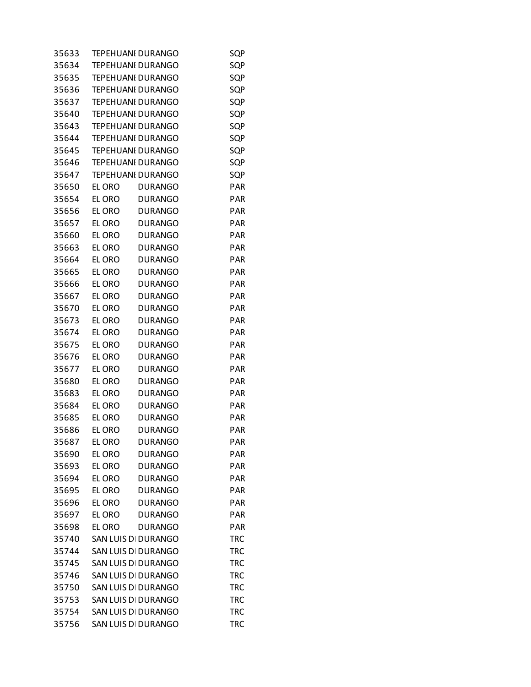| 35633 | TEPEHUANI DURANGO        |                | SQP        |
|-------|--------------------------|----------------|------------|
| 35634 | <b>TEPEHUANI DURANGO</b> |                | SQP        |
| 35635 | TEPEHUANI DURANGO        |                | SQP        |
| 35636 | TEPEHUANI DURANGO        |                | SQP        |
| 35637 | TEPEHUANI DURANGO        |                | SQP        |
| 35640 | <b>TEPEHUANI DURANGO</b> |                | SQP        |
| 35643 | TEPEHUANI DURANGO        |                | SQP        |
| 35644 | <b>TEPEHUANI DURANGO</b> |                | SQP        |
| 35645 | TEPEHUANI DURANGO        |                | SQP        |
| 35646 | TEPEHUANI DURANGO        |                | SQP        |
| 35647 | <b>TEPEHUANI DURANGO</b> |                | SQP        |
| 35650 | EL ORO                   | <b>DURANGO</b> | PAR        |
| 35654 | EL ORO                   | <b>DURANGO</b> | PAR        |
| 35656 | EL ORO                   | <b>DURANGO</b> | <b>PAR</b> |
| 35657 | EL ORO                   | <b>DURANGO</b> | PAR        |
| 35660 | EL ORO                   | <b>DURANGO</b> | PAR        |
| 35663 | EL ORO                   | <b>DURANGO</b> | PAR        |
| 35664 | EL ORO                   | <b>DURANGO</b> | PAR        |
| 35665 | EL ORO                   | <b>DURANGO</b> | PAR        |
| 35666 | EL ORO                   | <b>DURANGO</b> | <b>PAR</b> |
| 35667 | EL ORO                   | <b>DURANGO</b> | PAR        |
| 35670 | EL ORO                   | <b>DURANGO</b> | PAR        |
| 35673 | EL ORO                   | <b>DURANGO</b> | PAR        |
| 35674 | EL ORO                   | <b>DURANGO</b> | PAR        |
| 35675 | EL ORO                   | <b>DURANGO</b> | PAR        |
| 35676 | EL ORO                   | <b>DURANGO</b> | <b>PAR</b> |
| 35677 | EL ORO                   | <b>DURANGO</b> | PAR        |
| 35680 | EL ORO                   | <b>DURANGO</b> | PAR        |
| 35683 | EL ORO                   | <b>DURANGO</b> | PAR        |
| 35684 | EL ORO                   | <b>DURANGO</b> | PAR        |
| 35685 | EL ORO                   | <b>DURANGO</b> | PAR        |
| 35686 | EL ORO                   | <b>DURANGO</b> | <b>PAR</b> |
| 35687 | EL ORO                   | <b>DURANGO</b> | PAR        |
| 35690 | EL ORO                   | <b>DURANGO</b> | <b>PAR</b> |
| 35693 | EL ORO                   | <b>DURANGO</b> | <b>PAR</b> |
| 35694 | EL ORO                   | <b>DURANGO</b> | <b>PAR</b> |
| 35695 | EL ORO                   | <b>DURANGO</b> | <b>PAR</b> |
| 35696 | EL ORO                   | <b>DURANGO</b> | <b>PAR</b> |
| 35697 | EL ORO                   | <b>DURANGO</b> | <b>PAR</b> |
| 35698 | EL ORO                   | <b>DURANGO</b> | PAR        |
| 35740 | SAN LUIS DI DURANGO      |                | <b>TRC</b> |
| 35744 | SAN LUIS DI DURANGO      |                | <b>TRC</b> |
| 35745 | SAN LUIS DI DURANGO      |                | TRC        |
| 35746 | SAN LUIS DI DURANGO      |                | <b>TRC</b> |
| 35750 | SAN LUIS DI DURANGO      |                | <b>TRC</b> |
| 35753 | SAN LUIS DI DURANGO      |                | <b>TRC</b> |
| 35754 | SAN LUIS DI DURANGO      |                | <b>TRC</b> |
| 35756 | SAN LUIS DI DURANGO      |                | <b>TRC</b> |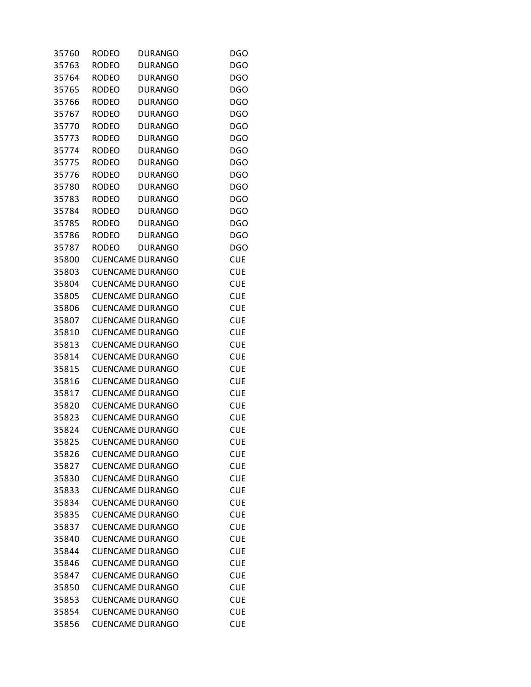| 35760 | RODEO        | <b>DURANGO</b>          | <b>DGO</b> |
|-------|--------------|-------------------------|------------|
| 35763 | <b>RODEO</b> | <b>DURANGO</b>          | <b>DGO</b> |
| 35764 | <b>RODEO</b> | <b>DURANGO</b>          | <b>DGO</b> |
| 35765 | <b>RODEO</b> | <b>DURANGO</b>          | <b>DGO</b> |
| 35766 | <b>RODEO</b> | <b>DURANGO</b>          | <b>DGO</b> |
| 35767 | <b>RODEO</b> | <b>DURANGO</b>          | <b>DGO</b> |
| 35770 | <b>RODEO</b> | <b>DURANGO</b>          | <b>DGO</b> |
| 35773 | <b>RODEO</b> | <b>DURANGO</b>          | <b>DGO</b> |
| 35774 | <b>RODEO</b> | <b>DURANGO</b>          | <b>DGO</b> |
| 35775 | <b>RODEO</b> | <b>DURANGO</b>          | <b>DGO</b> |
| 35776 | <b>RODEO</b> | <b>DURANGO</b>          | <b>DGO</b> |
| 35780 | <b>RODEO</b> | <b>DURANGO</b>          | <b>DGO</b> |
| 35783 | <b>RODEO</b> | <b>DURANGO</b>          | <b>DGO</b> |
| 35784 | <b>RODEO</b> | <b>DURANGO</b>          | <b>DGO</b> |
| 35785 | <b>RODEO</b> | <b>DURANGO</b>          | <b>DGO</b> |
| 35786 | <b>RODEO</b> | <b>DURANGO</b>          | <b>DGO</b> |
| 35787 | <b>RODEO</b> | <b>DURANGO</b>          | <b>DGO</b> |
| 35800 |              | <b>CUENCAME DURANGO</b> | <b>CUE</b> |
| 35803 |              | <b>CUENCAME DURANGO</b> | <b>CUE</b> |
| 35804 |              | <b>CUENCAME DURANGO</b> | <b>CUE</b> |
| 35805 |              | <b>CUENCAME DURANGO</b> | <b>CUE</b> |
| 35806 |              | <b>CUENCAME DURANGO</b> | <b>CUE</b> |
| 35807 |              | <b>CUENCAME DURANGO</b> | <b>CUE</b> |
| 35810 |              | <b>CUENCAME DURANGO</b> | <b>CUE</b> |
| 35813 |              | <b>CUENCAME DURANGO</b> | <b>CUE</b> |
| 35814 |              | <b>CUENCAME DURANGO</b> | <b>CUE</b> |
| 35815 |              | <b>CUENCAME DURANGO</b> | <b>CUE</b> |
| 35816 |              | <b>CUENCAME DURANGO</b> | <b>CUE</b> |
| 35817 |              | <b>CUENCAME DURANGO</b> | <b>CUE</b> |
| 35820 |              | <b>CUENCAME DURANGO</b> | <b>CUE</b> |
| 35823 |              | <b>CUENCAME DURANGO</b> | <b>CUE</b> |
| 35824 |              | <b>CUENCAME DURANGO</b> | <b>CUE</b> |
| 35825 |              | <b>CUENCAME DURANGO</b> | <b>CUE</b> |
| 35826 |              | <b>CUENCAME DURANGO</b> | <b>CUE</b> |
| 35827 |              | <b>CUENCAME DURANGO</b> | <b>CUE</b> |
| 35830 |              | <b>CUENCAME DURANGO</b> | <b>CUE</b> |
| 35833 |              | <b>CUENCAME DURANGO</b> | <b>CUE</b> |
| 35834 |              | <b>CUENCAME DURANGO</b> | <b>CUE</b> |
| 35835 |              | <b>CUENCAME DURANGO</b> | <b>CUE</b> |
| 35837 |              | <b>CUENCAME DURANGO</b> | <b>CUE</b> |
| 35840 |              | <b>CUENCAME DURANGO</b> | <b>CUE</b> |
| 35844 |              | <b>CUENCAME DURANGO</b> | <b>CUE</b> |
| 35846 |              | <b>CUENCAME DURANGO</b> | <b>CUE</b> |
| 35847 |              | <b>CUENCAME DURANGO</b> | <b>CUE</b> |
| 35850 |              | <b>CUENCAME DURANGO</b> | <b>CUE</b> |
| 35853 |              | <b>CUENCAME DURANGO</b> | <b>CUE</b> |
| 35854 |              | <b>CUENCAME DURANGO</b> | <b>CUE</b> |
| 35856 |              | <b>CUENCAME DURANGO</b> | <b>CUE</b> |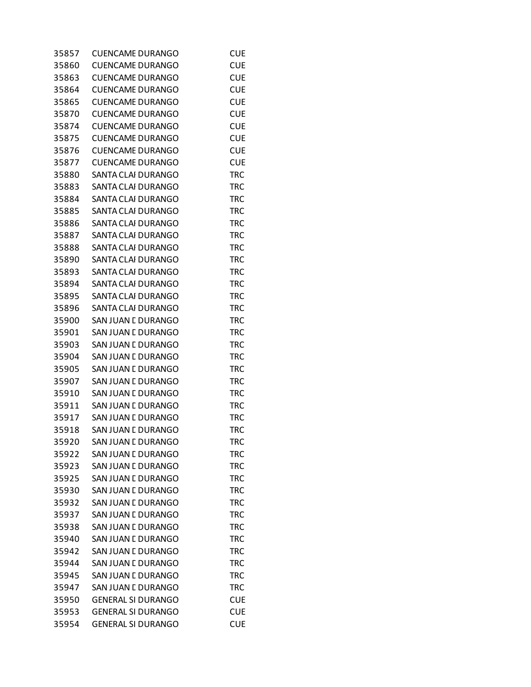| 35857 | <b>CUENCAME DURANGO</b>   | <b>CUE</b> |
|-------|---------------------------|------------|
| 35860 | <b>CUENCAME DURANGO</b>   | <b>CUE</b> |
| 35863 | <b>CUENCAME DURANGO</b>   | <b>CUE</b> |
| 35864 | <b>CUENCAME DURANGO</b>   | <b>CUE</b> |
| 35865 | <b>CUENCAME DURANGO</b>   | <b>CUE</b> |
| 35870 | <b>CUENCAME DURANGO</b>   | <b>CUE</b> |
| 35874 | <b>CUENCAME DURANGO</b>   | <b>CUE</b> |
| 35875 | <b>CUENCAME DURANGO</b>   | <b>CUE</b> |
| 35876 | <b>CUENCAME DURANGO</b>   | <b>CUE</b> |
| 35877 | <b>CUENCAME DURANGO</b>   | <b>CUE</b> |
| 35880 | SANTA CLAI DURANGO        | <b>TRC</b> |
| 35883 | SANTA CLAI DURANGO        | <b>TRC</b> |
| 35884 | SANTA CLAI DURANGO        | TRC        |
| 35885 | SANTA CLAI DURANGO        | <b>TRC</b> |
| 35886 | SANTA CLAI DURANGO        | <b>TRC</b> |
| 35887 | SANTA CLAI DURANGO        | <b>TRC</b> |
| 35888 | SANTA CLAI DURANGO        | <b>TRC</b> |
| 35890 | SANTA CLAI DURANGO        | <b>TRC</b> |
| 35893 | SANTA CLAI DURANGO        | TRC        |
| 35894 | SANTA CLAI DURANGO        | <b>TRC</b> |
| 35895 | SANTA CLAI DURANGO        | <b>TRC</b> |
| 35896 | SANTA CLAI DURANGO        | <b>TRC</b> |
| 35900 | SAN JUAN E DURANGO        | <b>TRC</b> |
| 35901 | SAN JUAN E DURANGO        | <b>TRC</b> |
| 35903 | SAN JUAN E DURANGO        | TRC        |
| 35904 | SAN JUAN E DURANGO        | <b>TRC</b> |
| 35905 | SAN JUAN E DURANGO        | <b>TRC</b> |
| 35907 | SAN JUAN E DURANGO        | <b>TRC</b> |
| 35910 | SAN JUAN E DURANGO        | <b>TRC</b> |
| 35911 | SAN JUAN E DURANGO        | <b>TRC</b> |
| 35917 | SAN JUAN E DURANGO        | TRC        |
| 35918 | SAN JUAN E DURANGO        | <b>TRC</b> |
| 35920 | SAN JUAN E DURANGO        | TRC        |
| 35922 | SAN JUAN L DURANGO        | <b>TRC</b> |
| 35923 | SAN JUAN E DURANGO        | <b>TRC</b> |
| 35925 | <b>SAN JUAN E DURANGO</b> | <b>TRC</b> |
| 35930 | SAN JUAN E DURANGO        | <b>TRC</b> |
| 35932 | SAN JUAN E DURANGO        | <b>TRC</b> |
| 35937 | SAN JUAN E DURANGO        | <b>TRC</b> |
| 35938 | SAN JUAN E DURANGO        | TRC        |
| 35940 | SAN JUAN E DURANGO        | <b>TRC</b> |
| 35942 | SAN JUAN E DURANGO        | <b>TRC</b> |
| 35944 | SAN JUAN E DURANGO        | <b>TRC</b> |
| 35945 | SAN JUAN E DURANGO        | <b>TRC</b> |
| 35947 | SAN JUAN E DURANGO        | <b>TRC</b> |
| 35950 | <b>GENERAL SI DURANGO</b> | <b>CUE</b> |
| 35953 | <b>GENERAL SI DURANGO</b> | <b>CUE</b> |
| 35954 | <b>GENERAL SI DURANGO</b> | <b>CUE</b> |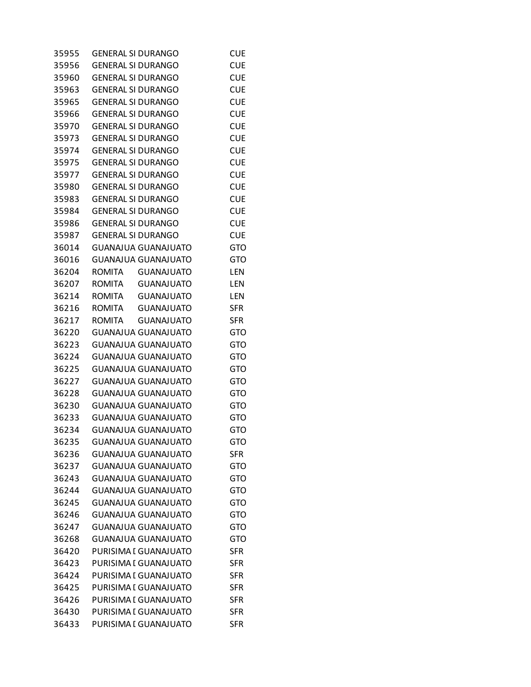| 35955 | <b>GENERAL SI DURANGO</b>          | <b>CUE</b>               |
|-------|------------------------------------|--------------------------|
| 35956 | <b>GENERAL SI DURANGO</b>          | <b>CUE</b>               |
| 35960 | <b>GENERAL SI DURANGO</b>          | <b>CUE</b>               |
| 35963 | <b>GENERAL SI DURANGO</b>          | <b>CUE</b>               |
| 35965 | <b>GENERAL SI DURANGO</b>          | <b>CUE</b>               |
| 35966 | <b>GENERAL SI DURANGO</b>          | <b>CUE</b>               |
| 35970 | <b>GENERAL SI DURANGO</b>          | <b>CUE</b>               |
| 35973 | <b>GENERAL SI DURANGO</b>          | <b>CUE</b>               |
| 35974 | <b>GENERAL SI DURANGO</b>          | <b>CUE</b>               |
| 35975 | <b>GENERAL SI DURANGO</b>          | <b>CUE</b>               |
| 35977 | <b>GENERAL SI DURANGO</b>          | <b>CUE</b>               |
| 35980 | <b>GENERAL SI DURANGO</b>          | <b>CUE</b>               |
| 35983 | <b>GENERAL SI DURANGO</b>          | <b>CUE</b>               |
| 35984 | <b>GENERAL SI DURANGO</b>          | <b>CUE</b>               |
| 35986 | <b>GENERAL SI DURANGO</b>          | <b>CUE</b>               |
| 35987 | <b>GENERAL SI DURANGO</b>          | <b>CUE</b>               |
| 36014 | <b>GUANAJUA GUANAJUATO</b>         | <b>GTO</b>               |
| 36016 | <b>GUANAJUA GUANAJUATO</b>         | <b>GTO</b>               |
| 36204 | ROMITA GUANAJUATO                  | LEN                      |
| 36207 | ROMITA<br><b>GUANAJUATO</b>        | LEN                      |
| 36214 | ROMITA<br><b>GUANAJUATO</b>        | LEN                      |
| 36216 | ROMITA<br><b>GUANAJUATO</b>        | <b>SFR</b>               |
| 36217 | <b>ROMITA</b><br><b>GUANAJUATO</b> | <b>SFR</b>               |
| 36220 | GUANAJUA GUANAJUATO                | <b>GTO</b>               |
| 36223 | GUANAJUA GUANAJUATO                | GTO                      |
| 36224 | <b>GUANAJUA GUANAJUATO</b>         | <b>GTO</b>               |
| 36225 | GUANAJUA GUANAJUATO                | <b>GTO</b>               |
| 36227 | <b>GUANAJUA GUANAJUATO</b>         | GTO                      |
| 36228 | <b>GUANAJUA GUANAJUATO</b>         | <b>GTO</b>               |
| 36230 | GUANAJUA GUANAJUATO                | <b>GTO</b>               |
| 36233 | <b>GUANAJUA GUANAJUATO</b>         | GTO                      |
| 36234 | <b>GUANAJUA GUANAJUATO</b>         | <b>GTO</b>               |
| 36235 | <b>GUANAJUA GUANAJUATO</b>         | <b>GTO</b>               |
| 36236 | <b>GUANAJUA GUANAJUATO</b>         | <b>SFR</b>               |
| 36237 | <b>GUANAJUA GUANAJUATO</b>         | GTO                      |
| 36243 | <b>GUANAJUA GUANAJUATO</b>         | <b>GTO</b>               |
| 36244 | <b>GUANAJUA GUANAJUATO</b>         | GTO                      |
| 36245 | <b>GUANAJUA GUANAJUATO</b>         | <b>GTO</b>               |
| 36246 | <b>GUANAJUA GUANAJUATO</b>         | <b>GTO</b>               |
| 36247 | <b>GUANAJUA GUANAJUATO</b>         | GTO                      |
| 36268 | <b>GUANAJUA GUANAJUATO</b>         | <b>GTO</b>               |
| 36420 | PURISIMA I GUANAJUATO              | <b>SFR</b>               |
| 36423 | PURISIMA I GUANAJUATO              | <b>SFR</b>               |
| 36424 | PURISIMA I GUANAJUATO              |                          |
| 36425 | PURISIMA I GUANAJUATO              | <b>SFR</b><br><b>SFR</b> |
| 36426 | PURISIMA I GUANAJUATO              | <b>SFR</b>               |
| 36430 | PURISIMA I GUANAJUATO              |                          |
| 36433 | PURISIMA I GUANAJUATO              | <b>SFR</b><br><b>SFR</b> |
|       |                                    |                          |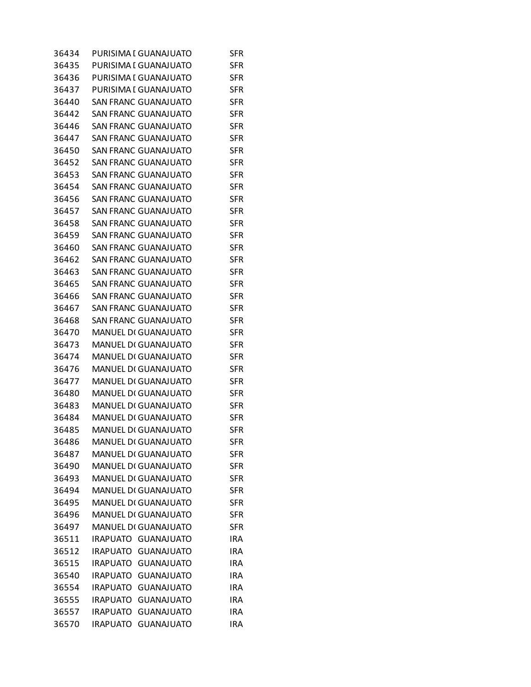| 36434 | PURISIMA I GUANAJUATO                | <b>SFR</b> |
|-------|--------------------------------------|------------|
| 36435 | PURISIMA I GUANAJUATO                | <b>SFR</b> |
| 36436 | PURISIMA I GUANAJUATO                | <b>SFR</b> |
| 36437 | PURISIMA I GUANAJUATO                | <b>SFR</b> |
| 36440 | <b>SAN FRANC GUANAJUATO</b>          | <b>SFR</b> |
| 36442 | SAN FRANC GUANAJUATO                 | <b>SFR</b> |
| 36446 | SAN FRANC GUANAJUATO                 | <b>SFR</b> |
| 36447 | <b>SAN FRANC GUANAJUATO</b>          | <b>SFR</b> |
| 36450 | SAN FRANC GUANAJUATO                 | <b>SFR</b> |
| 36452 | SAN FRANC GUANAJUATO                 | <b>SFR</b> |
| 36453 | SAN FRANC GUANAJUATO                 | <b>SFR</b> |
| 36454 | SAN FRANC GUANAJUATO                 | <b>SFR</b> |
| 36456 | SAN FRANC GUANAJUATO                 | <b>SFR</b> |
| 36457 | <b>SAN FRANC GUANAJUATO</b>          | <b>SFR</b> |
| 36458 | <b>SAN FRANC GUANAJUATO</b>          | <b>SFR</b> |
| 36459 | SAN FRANC GUANAJUATO                 | <b>SFR</b> |
| 36460 | SAN FRANC GUANAJUATO                 | <b>SFR</b> |
| 36462 | SAN FRANC GUANAJUATO                 | <b>SFR</b> |
| 36463 | <b>SAN FRANC GUANAJUATO</b>          | <b>SFR</b> |
| 36465 | <b>SAN FRANC GUANAJUATO</b>          | <b>SFR</b> |
| 36466 | SAN FRANC GUANAJUATO                 | <b>SFR</b> |
| 36467 | SAN FRANC GUANAJUATO                 | <b>SFR</b> |
|       |                                      |            |
| 36468 | SAN FRANC GUANAJUATO                 | <b>SFR</b> |
| 36470 | <b>MANUEL DI GUANAJUATO</b>          | <b>SFR</b> |
| 36473 | <b>MANUEL DI GUANAJUATO</b>          | <b>SFR</b> |
| 36474 | <b>MANUEL DI GUANAJUATO</b>          | <b>SFR</b> |
| 36476 | <b>MANUEL DI GUANAJUATO</b>          | <b>SFR</b> |
| 36477 | <b>MANUEL DI GUANAJUATO</b>          | <b>SFR</b> |
| 36480 | <b>MANUEL DI GUANAJUATO</b>          | <b>SFR</b> |
| 36483 | <b>MANUEL DI GUANAJUATO</b>          | <b>SFR</b> |
| 36484 | <b>MANUEL DI GUANAJUATO</b>          | <b>SFR</b> |
| 36485 | MANUEL DI GUANAJUATO                 | <b>SFR</b> |
| 36486 | <b>MANUEL DI GUANAJUATO</b>          | <b>SFR</b> |
| 36487 | MANUEL DI GUANAJUATO                 | SFR        |
| 36490 | <b>MANUEL DI GUANAJUATO</b>          | <b>SFR</b> |
| 36493 | <b>MANUEL DI GUANAJUATO</b>          | <b>SFR</b> |
| 36494 | MANUEL DI GUANAJUATO                 | <b>SFR</b> |
| 36495 | <b>MANUEL DI GUANAJUATO</b>          | <b>SFR</b> |
| 36496 | <b>MANUEL DI GUANAJUATO</b>          | <b>SFR</b> |
| 36497 | MANUEL DI GUANAJUATO                 | <b>SFR</b> |
| 36511 | IRAPUATO GUANAJUATO                  | <b>IRA</b> |
| 36512 | <b>IRAPUATO</b><br><b>GUANAJUATO</b> | IRA        |
| 36515 | IRAPUATO<br><b>GUANAJUATO</b>        | IRA        |
| 36540 | <b>IRAPUATO</b><br><b>GUANAJUATO</b> | IRA        |
| 36554 | <b>IRAPUATO</b><br><b>GUANAJUATO</b> | <b>IRA</b> |
| 36555 | <b>IRAPUATO</b><br><b>GUANAJUATO</b> | IRA        |
| 36557 | <b>IRAPUATO</b><br><b>GUANAJUATO</b> | IRA        |
| 36570 | <b>IRAPUATO</b><br><b>GUANAJUATO</b> | <b>IRA</b> |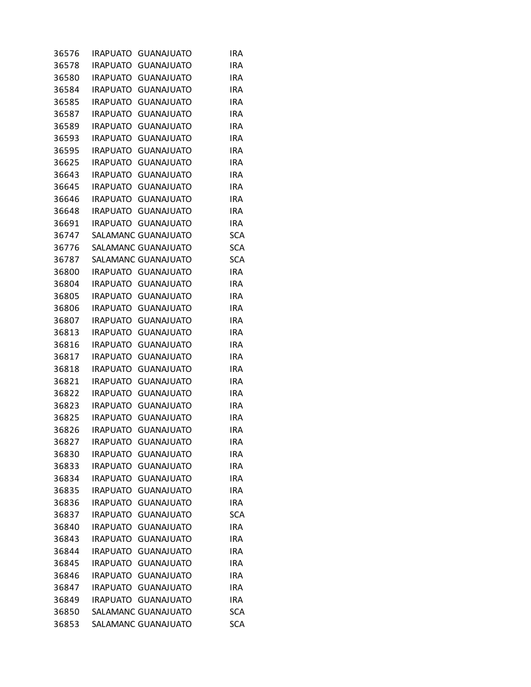| 36576 | IRAPUATO        | GUANAJUATO          | <b>IRA</b> |
|-------|-----------------|---------------------|------------|
| 36578 | <b>IRAPUATO</b> | <b>GUANAJUATO</b>   | <b>IRA</b> |
| 36580 | <b>IRAPUATO</b> | <b>GUANAJUATO</b>   | <b>IRA</b> |
| 36584 | <b>IRAPUATO</b> | <b>GUANAJUATO</b>   | IRA        |
| 36585 | <b>IRAPUATO</b> | <b>GUANAJUATO</b>   | <b>IRA</b> |
| 36587 | <b>IRAPUATO</b> | <b>GUANAJUATO</b>   | IRA        |
| 36589 | <b>IRAPUATO</b> | <b>GUANAJUATO</b>   | IRA        |
| 36593 | <b>IRAPUATO</b> | <b>GUANAJUATO</b>   | IRA        |
| 36595 | <b>IRAPUATO</b> | <b>GUANAJUATO</b>   | <b>IRA</b> |
| 36625 | <b>IRAPUATO</b> | <b>GUANAJUATO</b>   | IRA        |
| 36643 | <b>IRAPUATO</b> | <b>GUANAJUATO</b>   | <b>IRA</b> |
| 36645 | <b>IRAPUATO</b> | <b>GUANAJUATO</b>   | IRA        |
| 36646 | IRAPUATO        | <b>GUANAJUATO</b>   | IRA        |
| 36648 | <b>IRAPUATO</b> | <b>GUANAJUATO</b>   | IRA        |
| 36691 | <b>IRAPUATO</b> | <b>GUANAJUATO</b>   | IRA        |
| 36747 |                 | SALAMANC GUANAJUATO | <b>SCA</b> |
| 36776 |                 | SALAMANC GUANAJUATO | <b>SCA</b> |
| 36787 |                 | SALAMANC GUANAJUATO | <b>SCA</b> |
| 36800 | IRAPUATO        | <b>GUANAJUATO</b>   | IRA        |
| 36804 | <b>IRAPUATO</b> | <b>GUANAJUATO</b>   | IRA        |
| 36805 | <b>IRAPUATO</b> | <b>GUANAJUATO</b>   | <b>IRA</b> |
| 36806 | <b>IRAPUATO</b> | <b>GUANAJUATO</b>   | IRA        |
| 36807 | <b>IRAPUATO</b> | <b>GUANAJUATO</b>   | <b>IRA</b> |
| 36813 | <b>IRAPUATO</b> | <b>GUANAJUATO</b>   | IRA        |
| 36816 | IRAPUATO        | <b>GUANAJUATO</b>   | <b>IRA</b> |
| 36817 | <b>IRAPUATO</b> | <b>GUANAJUATO</b>   | <b>IRA</b> |
| 36818 | <b>IRAPUATO</b> | <b>GUANAJUATO</b>   | IRA        |
| 36821 | <b>IRAPUATO</b> | <b>GUANAJUATO</b>   | IRA        |
| 36822 | <b>IRAPUATO</b> | <b>GUANAJUATO</b>   | IRA        |
| 36823 | <b>IRAPUATO</b> | <b>GUANAJUATO</b>   | IRA        |
| 36825 | <b>IRAPUATO</b> | <b>GUANAJUATO</b>   | <b>IRA</b> |
| 36826 | <b>IRAPUATO</b> | <b>GUANAJUATO</b>   | IRA        |
| 36827 | <b>IRAPUATO</b> | <b>GUANAJUATO</b>   | <b>IRA</b> |
| 36830 | <b>IRAPUATO</b> | <b>GUANAJUATO</b>   | IRA        |
| 36833 | <b>IRAPUATO</b> | <b>GUANAJUATO</b>   | IRA        |
| 36834 | <b>IRAPUATO</b> | <b>GUANAJUATO</b>   | IRA        |
| 36835 | <b>IRAPUATO</b> | <b>GUANAJUATO</b>   | IRA        |
| 36836 | <b>IRAPUATO</b> | <b>GUANAJUATO</b>   | IRA        |
| 36837 | <b>IRAPUATO</b> | <b>GUANAJUATO</b>   | <b>SCA</b> |
| 36840 | <b>IRAPUATO</b> | <b>GUANAJUATO</b>   | <b>IRA</b> |
| 36843 | <b>IRAPUATO</b> | <b>GUANAJUATO</b>   | <b>IRA</b> |
| 36844 | <b>IRAPUATO</b> | <b>GUANAJUATO</b>   | <b>IRA</b> |
| 36845 | <b>IRAPUATO</b> | <b>GUANAJUATO</b>   | IRA        |
| 36846 | <b>IRAPUATO</b> | <b>GUANAJUATO</b>   | <b>IRA</b> |
| 36847 | <b>IRAPUATO</b> | <b>GUANAJUATO</b>   | IRA        |
| 36849 | <b>IRAPUATO</b> | <b>GUANAJUATO</b>   | IRA        |
| 36850 |                 | SALAMANC GUANAJUATO | <b>SCA</b> |
| 36853 |                 | SALAMANC GUANAJUATO | <b>SCA</b> |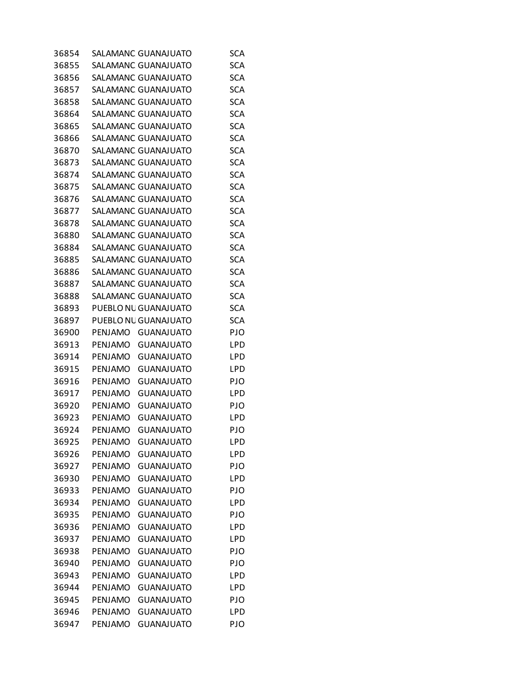| 36854 |                | SALAMANC GUANAJUATO  | SCA        |
|-------|----------------|----------------------|------------|
| 36855 |                | SALAMANC GUANAJUATO  | <b>SCA</b> |
| 36856 |                | SALAMANC GUANAJUATO  | <b>SCA</b> |
| 36857 |                | SALAMANC GUANAJUATO  | <b>SCA</b> |
| 36858 |                | SALAMANC GUANAJUATO  | <b>SCA</b> |
| 36864 |                | SALAMANC GUANAJUATO  | <b>SCA</b> |
| 36865 |                | SALAMANC GUANAJUATO  | <b>SCA</b> |
| 36866 |                | SALAMANC GUANAJUATO  | <b>SCA</b> |
| 36870 |                | SALAMANC GUANAJUATO  | <b>SCA</b> |
| 36873 |                | SALAMANC GUANAJUATO  | <b>SCA</b> |
| 36874 |                | SALAMANC GUANAJUATO  | <b>SCA</b> |
| 36875 |                | SALAMANC GUANAJUATO  | <b>SCA</b> |
| 36876 |                | SALAMANC GUANAJUATO  | <b>SCA</b> |
| 36877 |                | SALAMANC GUANAJUATO  | <b>SCA</b> |
| 36878 |                | SALAMANC GUANAJUATO  | <b>SCA</b> |
| 36880 |                | SALAMANC GUANAJUATO  | <b>SCA</b> |
| 36884 |                | SALAMANC GUANAJUATO  | <b>SCA</b> |
| 36885 |                | SALAMANC GUANAJUATO  | <b>SCA</b> |
| 36886 |                | SALAMANC GUANAJUATO  | <b>SCA</b> |
| 36887 |                | SALAMANC GUANAJUATO  | <b>SCA</b> |
| 36888 |                | SALAMANC GUANAJUATO  | <b>SCA</b> |
| 36893 |                | PUEBLO NU GUANAJUATO | <b>SCA</b> |
| 36897 |                | PUEBLO NU GUANAJUATO | <b>SCA</b> |
| 36900 | PENJAMO        | <b>GUANAJUATO</b>    | PJO        |
| 36913 | <b>PENJAMO</b> | <b>GUANAJUATO</b>    | LPD        |
| 36914 | PENJAMO        | <b>GUANAJUATO</b>    | LPD        |
| 36915 | PENJAMO        | <b>GUANAJUATO</b>    | LPD        |
| 36916 | PENJAMO        | <b>GUANAJUATO</b>    | PJO        |
| 36917 | PENJAMO        | <b>GUANAJUATO</b>    | <b>LPD</b> |
| 36920 | PENJAMO        | <b>GUANAJUATO</b>    | PJO        |
| 36923 | <b>PENJAMO</b> | <b>GUANAJUATO</b>    | LPD        |
| 36924 | PENJAMO        | <b>GUANAJUATO</b>    | PJO        |
| 36925 | PENJAMO        | <b>GUANAJUATO</b>    | LPD        |
| 36926 | PENJAMO        | <b>GUANAJUATO</b>    | LPD        |
| 36927 | PENJAMO        | <b>GUANAJUATO</b>    | PJO        |
| 36930 | PENJAMO        | <b>GUANAJUATO</b>    | LPD        |
| 36933 | PENJAMO        | <b>GUANAJUATO</b>    | PJO        |
| 36934 | PENJAMO        | <b>GUANAJUATO</b>    | LPD        |
| 36935 | PENJAMO        | <b>GUANAJUATO</b>    | PJO        |
| 36936 | PENJAMO        | <b>GUANAJUATO</b>    | LPD        |
| 36937 | PENJAMO        | <b>GUANAJUATO</b>    | LPD        |
| 36938 | PENJAMO        | <b>GUANAJUATO</b>    | PJO        |
| 36940 | PENJAMO        | <b>GUANAJUATO</b>    | PJO        |
| 36943 | PENJAMO        | <b>GUANAJUATO</b>    | LPD        |
| 36944 | PENJAMO        | <b>GUANAJUATO</b>    | LPD        |
| 36945 | PENJAMO        | <b>GUANAJUATO</b>    | PJO        |
| 36946 | PENJAMO        | <b>GUANAJUATO</b>    | LPD        |
| 36947 | PENJAMO        | <b>GUANAJUATO</b>    | PJO        |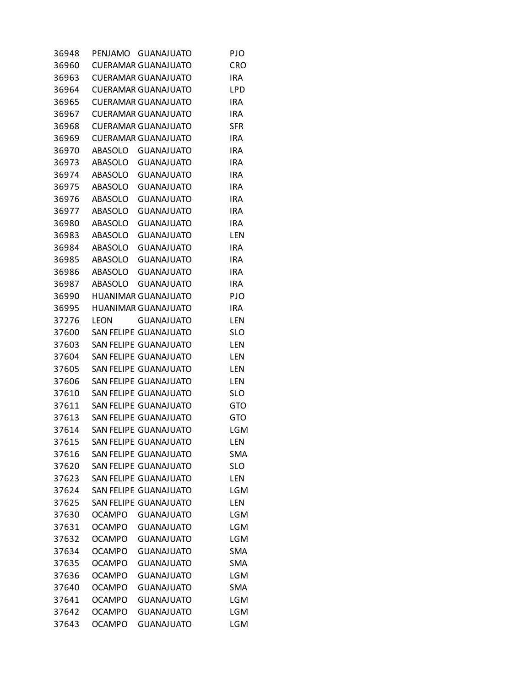| 36948 | PENJAMO        | <b>GUANAJUATO</b>          | PJO        |
|-------|----------------|----------------------------|------------|
| 36960 |                | <b>CUERAMAR GUANAJUATO</b> | CRO        |
| 36963 |                | <b>CUERAMAR GUANAJUATO</b> | <b>IRA</b> |
| 36964 |                | <b>CUERAMAR GUANAJUATO</b> | <b>LPD</b> |
| 36965 |                | <b>CUERAMAR GUANAJUATO</b> | <b>IRA</b> |
| 36967 |                | <b>CUERAMAR GUANAJUATO</b> | <b>IRA</b> |
| 36968 |                | <b>CUERAMAR GUANAJUATO</b> | SFR        |
| 36969 |                | <b>CUERAMAR GUANAJUATO</b> | <b>IRA</b> |
| 36970 | ABASOLO        | <b>GUANAJUATO</b>          | <b>IRA</b> |
| 36973 | ABASOLO        | <b>GUANAJUATO</b>          | <b>IRA</b> |
| 36974 | ABASOLO        | <b>GUANAJUATO</b>          | <b>IRA</b> |
| 36975 | ABASOLO        | <b>GUANAJUATO</b>          | <b>IRA</b> |
| 36976 | ABASOLO        | <b>GUANAJUATO</b>          | <b>IRA</b> |
| 36977 | <b>ABASOLO</b> | <b>GUANAJUATO</b>          | <b>IRA</b> |
| 36980 | <b>ABASOLO</b> | <b>GUANAJUATO</b>          | <b>IRA</b> |
| 36983 | <b>ABASOLO</b> | <b>GUANAJUATO</b>          | LEN        |
| 36984 | ABASOLO        | <b>GUANAJUATO</b>          | <b>IRA</b> |
| 36985 | ABASOLO        | <b>GUANAJUATO</b>          | <b>IRA</b> |
| 36986 | <b>ABASOLO</b> | <b>GUANAJUATO</b>          | <b>IRA</b> |
| 36987 | <b>ABASOLO</b> | <b>GUANAJUATO</b>          | <b>IRA</b> |
| 36990 |                | HUANIMAR GUANAJUATO        | PJO        |
| 36995 |                | <b>HUANIMAR GUANAJUATO</b> | <b>IRA</b> |
| 37276 | LEON           | <b>GUANAJUATO</b>          | LEN        |
| 37600 |                | SAN FELIPE GUANAJUATO      | <b>SLO</b> |
| 37603 |                | SAN FELIPE GUANAJUATO      | LEN        |
| 37604 |                | SAN FELIPE GUANAJUATO      | LEN        |
| 37605 |                | SAN FELIPE GUANAJUATO      | LEN        |
| 37606 |                | SAN FELIPE GUANAJUATO      | LEN        |
| 37610 |                | SAN FELIPE GUANAJUATO      | <b>SLO</b> |
| 37611 |                | SAN FELIPE GUANAJUATO      | <b>GTO</b> |
| 37613 |                | SAN FELIPE GUANAJUATO      | GTO        |
| 37614 |                | SAN FELIPE GUANAJUATO      | LGM        |
| 37615 |                | SAN FELIPE GUANAJUATO      | LEN        |
| 37616 |                | SAN FELIPE GUANAJUATO      | <b>SMA</b> |
| 37620 |                | SAN FELIPE GUANAJUATO      | <b>SLO</b> |
| 37623 |                | SAN FELIPE GUANAJUATO      | LEN        |
| 37624 |                | SAN FELIPE GUANAJUATO      | LGM        |
| 37625 |                | SAN FELIPE GUANAJUATO      | LEN        |
| 37630 | <b>OCAMPO</b>  | <b>GUANAJUATO</b>          | LGM        |
| 37631 | OCAMPO         | <b>GUANAJUATO</b>          | LGM        |
| 37632 | <b>OCAMPO</b>  | <b>GUANAJUATO</b>          | <b>LGM</b> |
| 37634 | <b>OCAMPO</b>  | <b>GUANAJUATO</b>          | <b>SMA</b> |
| 37635 | <b>OCAMPO</b>  | <b>GUANAJUATO</b>          | <b>SMA</b> |
| 37636 | <b>OCAMPO</b>  | <b>GUANAJUATO</b>          | <b>LGM</b> |
| 37640 | <b>OCAMPO</b>  | <b>GUANAJUATO</b>          | <b>SMA</b> |
| 37641 | <b>OCAMPO</b>  | <b>GUANAJUATO</b>          | LGM        |
| 37642 | <b>OCAMPO</b>  | <b>GUANAJUATO</b>          | LGM        |
| 37643 | <b>OCAMPO</b>  | <b>GUANAJUATO</b>          | LGM        |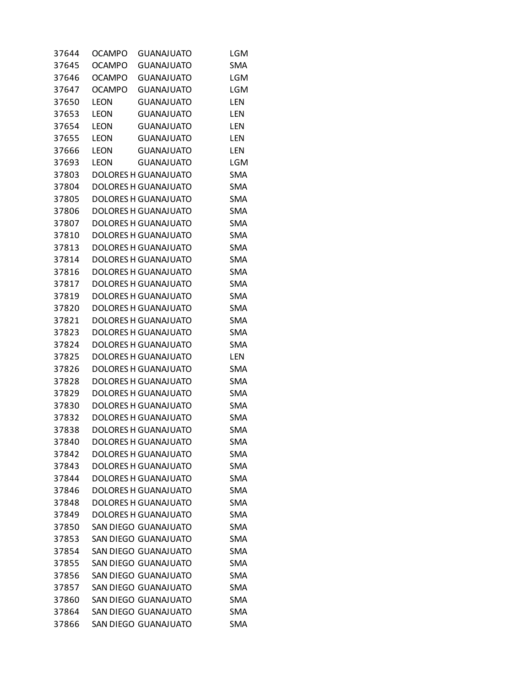| 37644 | OCAMPO        | <b>GUANAJUATO</b>           | LGM        |
|-------|---------------|-----------------------------|------------|
| 37645 | <b>OCAMPO</b> | <b>GUANAJUATO</b>           | <b>SMA</b> |
| 37646 | <b>OCAMPO</b> | <b>GUANAJUATO</b>           | <b>LGM</b> |
| 37647 | <b>OCAMPO</b> | <b>GUANAJUATO</b>           | LGM        |
| 37650 | LEON          | <b>GUANAJUATO</b>           | LEN        |
| 37653 | LEON          | <b>GUANAJUATO</b>           | LEN        |
| 37654 | LEON          | <b>GUANAJUATO</b>           | LEN        |
| 37655 | LEON          | <b>GUANAJUATO</b>           | LEN        |
| 37666 | LEON          | <b>GUANAJUATO</b>           | LEN        |
| 37693 | LEON          | <b>GUANAJUATO</b>           | LGM        |
| 37803 |               | DOLORES H GUANAJUATO        | <b>SMA</b> |
| 37804 |               | DOLORES H GUANAJUATO        | <b>SMA</b> |
| 37805 |               | DOLORES H GUANAJUATO        | <b>SMA</b> |
| 37806 |               | DOLORES H GUANAJUATO        | <b>SMA</b> |
| 37807 |               | DOLORES H GUANAJUATO        | <b>SMA</b> |
| 37810 |               | DOLORES H GUANAJUATO        | <b>SMA</b> |
| 37813 |               | DOLORES H GUANAJUATO        | <b>SMA</b> |
| 37814 |               | DOLORES H GUANAJUATO        | <b>SMA</b> |
| 37816 |               | DOLORES H GUANAJUATO        | <b>SMA</b> |
| 37817 |               | DOLORES H GUANAJUATO        | <b>SMA</b> |
| 37819 |               | DOLORES H GUANAJUATO        | <b>SMA</b> |
| 37820 |               | DOLORES H GUANAJUATO        | <b>SMA</b> |
| 37821 |               | DOLORES H GUANAJUATO        | <b>SMA</b> |
| 37823 |               | DOLORES H GUANAJUATO        | <b>SMA</b> |
| 37824 |               | DOLORES H GUANAJUATO        | <b>SMA</b> |
| 37825 |               | DOLORES H GUANAJUATO        | <b>LEN</b> |
| 37826 |               | DOLORES H GUANAJUATO        | <b>SMA</b> |
| 37828 |               | DOLORES H GUANAJUATO        | <b>SMA</b> |
| 37829 |               | DOLORES H GUANAJUATO        | <b>SMA</b> |
| 37830 |               | DOLORES H GUANAJUATO        | <b>SMA</b> |
| 37832 |               | DOLORES H GUANAJUATO        | <b>SMA</b> |
| 37838 |               | DOLORES H GUANAJUATO        | <b>SMA</b> |
| 37840 |               | <b>DOLORES H GUANAJUATO</b> | <b>SMA</b> |
| 37842 |               | DOLORES H GUANAJUATO        | <b>SMA</b> |
| 37843 |               | DOLORES H GUANAJUATO        | <b>SMA</b> |
| 37844 |               | <b>DOLORES H GUANAJUATO</b> | <b>SMA</b> |
| 37846 |               | DOLORES H GUANAJUATO        | <b>SMA</b> |
| 37848 |               | <b>DOLORES H GUANAJUATO</b> | <b>SMA</b> |
| 37849 |               | DOLORES H GUANAJUATO        | <b>SMA</b> |
| 37850 |               | SAN DIEGO GUANAJUATO        | <b>SMA</b> |
| 37853 |               | SAN DIEGO GUANAJUATO        | <b>SMA</b> |
| 37854 |               | SAN DIEGO GUANAJUATO        | <b>SMA</b> |
| 37855 |               | SAN DIEGO GUANAJUATO        | <b>SMA</b> |
| 37856 |               | SAN DIEGO GUANAJUATO        | <b>SMA</b> |
| 37857 |               | SAN DIEGO GUANAJUATO        | <b>SMA</b> |
| 37860 |               | SAN DIEGO GUANAJUATO        | <b>SMA</b> |
| 37864 |               | SAN DIEGO GUANAJUATO        | <b>SMA</b> |
| 37866 |               | SAN DIEGO GUANAJUATO        | <b>SMA</b> |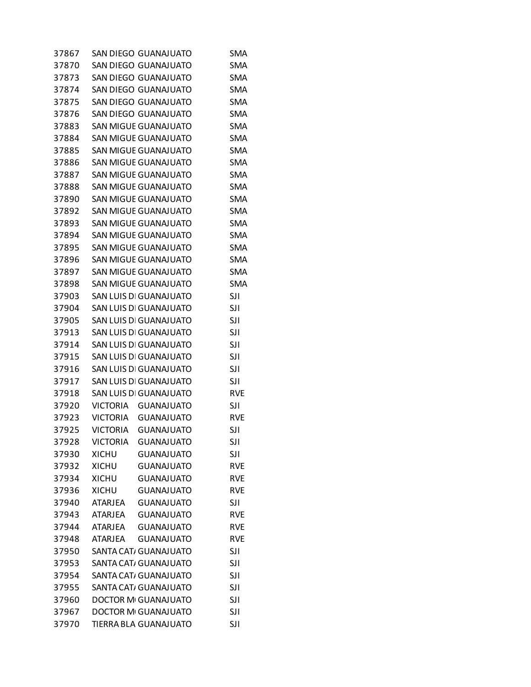| 37867 |                 | SAN DIEGO GUANAJUATO        | SMA        |
|-------|-----------------|-----------------------------|------------|
| 37870 |                 | SAN DIEGO GUANAJUATO        | <b>SMA</b> |
| 37873 |                 | SAN DIEGO GUANAJUATO        | <b>SMA</b> |
| 37874 |                 | SAN DIEGO GUANAJUATO        | <b>SMA</b> |
| 37875 |                 | SAN DIEGO GUANAJUATO        | <b>SMA</b> |
| 37876 |                 | SAN DIEGO GUANAJUATO        | <b>SMA</b> |
| 37883 |                 | <b>SAN MIGUE GUANAJUATO</b> | <b>SMA</b> |
| 37884 |                 | <b>SAN MIGUE GUANAJUATO</b> | <b>SMA</b> |
| 37885 |                 | SAN MIGUE GUANAJUATO        | <b>SMA</b> |
| 37886 |                 | <b>SAN MIGUE GUANAJUATO</b> | <b>SMA</b> |
| 37887 |                 | <b>SAN MIGUE GUANAJUATO</b> | <b>SMA</b> |
| 37888 |                 | <b>SAN MIGUE GUANAJUATO</b> | <b>SMA</b> |
| 37890 |                 | SAN MIGUE GUANAJUATO        | <b>SMA</b> |
| 37892 |                 | <b>SAN MIGUE GUANAJUATO</b> | <b>SMA</b> |
| 37893 |                 | SAN MIGUE GUANAJUATO        | <b>SMA</b> |
| 37894 |                 | <b>SAN MIGUE GUANAJUATO</b> | <b>SMA</b> |
| 37895 |                 | <b>SAN MIGUE GUANAJUATO</b> | <b>SMA</b> |
| 37896 |                 | <b>SAN MIGUE GUANAJUATO</b> | <b>SMA</b> |
| 37897 |                 | SAN MIGUE GUANAJUATO        | <b>SMA</b> |
| 37898 |                 | <b>SAN MIGUE GUANAJUATO</b> | <b>SMA</b> |
| 37903 |                 | SAN LUIS DI GUANAJUATO      | <b>SJI</b> |
| 37904 |                 | SAN LUIS DI GUANAJUATO      | <b>SJI</b> |
| 37905 |                 | SAN LUIS DI GUANAJUATO      | <b>SJI</b> |
| 37913 |                 | SAN LUIS DI GUANAJUATO      | SJI        |
| 37914 |                 | SAN LUIS DI GUANAJUATO      | <b>SJI</b> |
| 37915 |                 | SAN LUIS DI GUANAJUATO      | <b>SJI</b> |
| 37916 |                 | SAN LUIS DI GUANAJUATO      | <b>SJI</b> |
| 37917 |                 | SAN LUIS DI GUANAJUATO      | <b>SJI</b> |
| 37918 |                 | SAN LUIS DI GUANAJUATO      | <b>RVE</b> |
| 37920 | <b>VICTORIA</b> | <b>GUANAJUATO</b>           | <b>SJI</b> |
| 37923 |                 | VICTORIA GUANAJUATO         | <b>RVE</b> |
| 37925 | VICTORIA        | <b>GUANAJUATO</b>           | <b>SJI</b> |
| 37928 | <b>VICTORIA</b> | <b>GUANAJUATO</b>           | <b>SJI</b> |
| 37930 | <b>XICHU</b>    | <b>GUANAJUATO</b>           | <b>SJI</b> |
| 37932 | <b>XICHU</b>    | <b>GUANAJUATO</b>           | <b>RVE</b> |
| 37934 | <b>XICHU</b>    | <b>GUANAJUATO</b>           | <b>RVE</b> |
| 37936 | <b>XICHU</b>    | <b>GUANAJUATO</b>           | <b>RVE</b> |
| 37940 | <b>ATARJEA</b>  | <b>GUANAJUATO</b>           | <b>SJI</b> |
| 37943 | <b>ATARJEA</b>  | <b>GUANAJUATO</b>           | <b>RVE</b> |
| 37944 | <b>ATARJEA</b>  | <b>GUANAJUATO</b>           | <b>RVE</b> |
| 37948 | <b>ATARJEA</b>  | <b>GUANAJUATO</b>           | <b>RVE</b> |
| 37950 |                 | SANTA CAT/ GUANAJUATO       | <b>SJI</b> |
| 37953 |                 | SANTA CAT/ GUANAJUATO       | <b>SJI</b> |
| 37954 |                 | SANTA CAT/ GUANAJUATO       | <b>SJI</b> |
| 37955 |                 | SANTA CAT/ GUANAJUATO       | SJI        |
| 37960 |                 | <b>DOCTOR MI GUANAJUATO</b> | SJI        |
| 37967 |                 | <b>DOCTOR MI GUANAJUATO</b> | SJI        |
| 37970 |                 | TIERRA BLA GUANAJUATO       | <b>SJI</b> |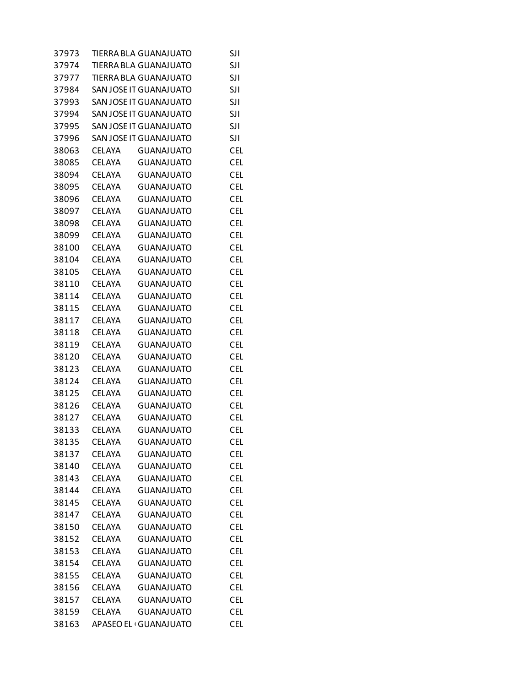| 37973 |               | TIERRA BLA GUANAJUATO        | <b>SJI</b> |
|-------|---------------|------------------------------|------------|
| 37974 |               | TIERRA BLA GUANAJUATO        | <b>SJI</b> |
| 37977 |               | <b>TIERRA BLA GUANAJUATO</b> | SJI        |
| 37984 |               | SAN JOSE IT GUANAJUATO       | SJI        |
| 37993 |               | SAN JOSE IT GUANAJUATO       | SJI        |
| 37994 |               | SAN JOSE IT GUANAJUATO       | <b>SJI</b> |
| 37995 |               | SAN JOSE IT GUANAJUATO       | <b>SJI</b> |
| 37996 |               | SAN JOSE IT GUANAJUATO       | SJI        |
| 38063 | <b>CELAYA</b> | <b>GUANAJUATO</b>            | <b>CEL</b> |
| 38085 | <b>CELAYA</b> | <b>GUANAJUATO</b>            | <b>CEL</b> |
| 38094 | <b>CELAYA</b> | <b>GUANAJUATO</b>            | <b>CEL</b> |
| 38095 | <b>CELAYA</b> | <b>GUANAJUATO</b>            | <b>CEL</b> |
| 38096 | <b>CELAYA</b> | <b>GUANAJUATO</b>            | <b>CEL</b> |
| 38097 | <b>CELAYA</b> | <b>GUANAJUATO</b>            | <b>CEL</b> |
| 38098 | <b>CELAYA</b> | <b>GUANAJUATO</b>            | <b>CEL</b> |
| 38099 | <b>CELAYA</b> | <b>GUANAJUATO</b>            | <b>CEL</b> |
| 38100 | <b>CELAYA</b> | <b>GUANAJUATO</b>            | <b>CEL</b> |
| 38104 | <b>CELAYA</b> | <b>GUANAJUATO</b>            | <b>CEL</b> |
| 38105 | <b>CELAYA</b> | <b>GUANAJUATO</b>            | <b>CEL</b> |
| 38110 | <b>CELAYA</b> | <b>GUANAJUATO</b>            | <b>CEL</b> |
| 38114 | <b>CELAYA</b> | <b>GUANAJUATO</b>            | <b>CEL</b> |
| 38115 | <b>CELAYA</b> | <b>GUANAJUATO</b>            | <b>CEL</b> |
| 38117 | <b>CELAYA</b> | <b>GUANAJUATO</b>            | <b>CEL</b> |
| 38118 | <b>CELAYA</b> | <b>GUANAJUATO</b>            | <b>CEL</b> |
| 38119 | <b>CELAYA</b> | <b>GUANAJUATO</b>            | <b>CEL</b> |
| 38120 | <b>CELAYA</b> | <b>GUANAJUATO</b>            | <b>CEL</b> |
| 38123 | <b>CELAYA</b> | <b>GUANAJUATO</b>            | <b>CEL</b> |
| 38124 | <b>CELAYA</b> | <b>GUANAJUATO</b>            | <b>CEL</b> |
| 38125 | <b>CELAYA</b> | <b>GUANAJUATO</b>            | <b>CEL</b> |
| 38126 | <b>CELAYA</b> | <b>GUANAJUATO</b>            | <b>CEL</b> |
| 38127 | <b>CELAYA</b> | <b>GUANAJUATO</b>            | <b>CEL</b> |
| 38133 | <b>CELAYA</b> | <b>GUANAJUATO</b>            | <b>CEL</b> |
| 38135 | CELAYA        | <b>GUANAJUATO</b>            | <b>CEL</b> |
| 38137 | CELAYA        | <b>GUANAJUATO</b>            | <b>CEL</b> |
| 38140 | <b>CELAYA</b> | <b>GUANAJUATO</b>            | <b>CEL</b> |
| 38143 | <b>CELAYA</b> | <b>GUANAJUATO</b>            | <b>CEL</b> |
| 38144 | <b>CELAYA</b> | <b>GUANAJUATO</b>            | <b>CEL</b> |
| 38145 | <b>CELAYA</b> | <b>GUANAJUATO</b>            | <b>CEL</b> |
| 38147 | <b>CELAYA</b> | <b>GUANAJUATO</b>            | <b>CEL</b> |
| 38150 | <b>CELAYA</b> | <b>GUANAJUATO</b>            | <b>CEL</b> |
| 38152 | <b>CELAYA</b> | <b>GUANAJUATO</b>            | <b>CEL</b> |
| 38153 | <b>CELAYA</b> | <b>GUANAJUATO</b>            | <b>CEL</b> |
| 38154 | <b>CELAYA</b> | <b>GUANAJUATO</b>            | <b>CEL</b> |
| 38155 | <b>CELAYA</b> | <b>GUANAJUATO</b>            | <b>CEL</b> |
| 38156 | <b>CELAYA</b> | <b>GUANAJUATO</b>            | <b>CEL</b> |
| 38157 | <b>CELAYA</b> | <b>GUANAJUATO</b>            | <b>CEL</b> |
| 38159 | <b>CELAYA</b> | <b>GUANAJUATO</b>            | <b>CEL</b> |
| 38163 |               | APASEO EL GUANAJUATO         | <b>CEL</b> |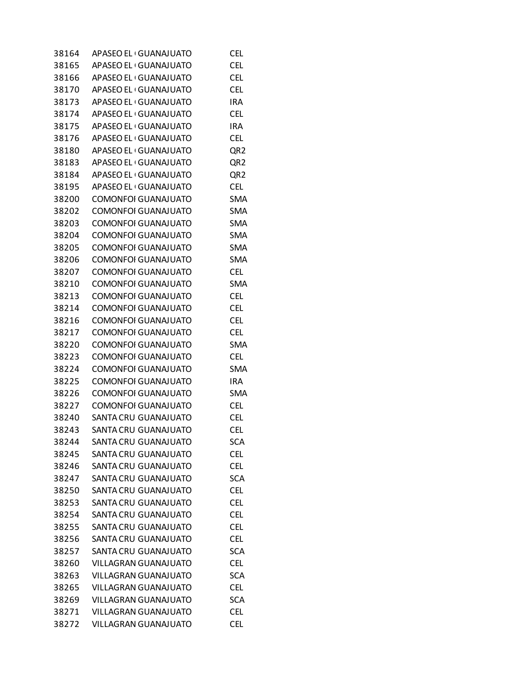| 38164 | APASEO EL GUANAJUATO        | <b>CEL</b>      |
|-------|-----------------------------|-----------------|
| 38165 | APASEO EL GUANAJUATO        | <b>CEL</b>      |
| 38166 | APASEO EL GUANAJUATO        | <b>CEL</b>      |
| 38170 | APASEO EL GUANAJUATO        | <b>CEL</b>      |
| 38173 | APASEO EL GUANAJUATO        | <b>IRA</b>      |
| 38174 | APASEO EL GUANAJUATO        | <b>CEL</b>      |
| 38175 | APASEO EL GUANAJUATO        | IRA             |
| 38176 | APASEO EL GUANAJUATO        | <b>CEL</b>      |
| 38180 | APASEO EL GUANAJUATO        | QR <sub>2</sub> |
| 38183 | APASEO EL GUANAJUATO        | QR <sub>2</sub> |
| 38184 | APASEO EL GUANAJUATO        | QR <sub>2</sub> |
| 38195 | APASEO EL GUANAJUATO        | <b>CEL</b>      |
| 38200 | COMONFOI GUANAJUATO         | <b>SMA</b>      |
| 38202 | COMONFOI GUANAJUATO         | <b>SMA</b>      |
| 38203 | <b>COMONFOI GUANAJUATO</b>  | <b>SMA</b>      |
| 38204 | <b>COMONFOI GUANAJUATO</b>  | <b>SMA</b>      |
| 38205 | <b>COMONFOI GUANAJUATO</b>  | <b>SMA</b>      |
| 38206 | COMONFOI GUANAJUATO         | <b>SMA</b>      |
| 38207 | <b>COMONFOI GUANAJUATO</b>  | <b>CEL</b>      |
| 38210 | <b>COMONFOI GUANAJUATO</b>  | <b>SMA</b>      |
| 38213 | <b>COMONFOI GUANAJUATO</b>  | <b>CEL</b>      |
| 38214 | <b>COMONFOI GUANAJUATO</b>  | <b>CEL</b>      |
| 38216 | COMONFOI GUANAJUATO         | <b>CEL</b>      |
| 38217 | COMONFOI GUANAJUATO         | <b>CEL</b>      |
| 38220 | COMONFOI GUANAJUATO         | <b>SMA</b>      |
| 38223 | COMONFOI GUANAJUATO         | <b>CEL</b>      |
| 38224 | COMONFOI GUANAJUATO         | <b>SMA</b>      |
| 38225 | <b>COMONFOI GUANAJUATO</b>  | <b>IRA</b>      |
| 38226 | COMONFOI GUANAJUATO         | <b>SMA</b>      |
| 38227 | <b>COMONFOI GUANAJUATO</b>  | <b>CEL</b>      |
| 38240 | SANTA CRU GUANAJUATO        | <b>CEL</b>      |
| 38243 | SANTA CRU GUANAJUATO        | <b>CEL</b>      |
| 38244 | SANTA CRU GUANAJUATO        | <b>SCA</b>      |
| 38245 | SANTA CRU GUANAJUATO        | <b>CEL</b>      |
| 38246 | SANTA CRU GUANAJUATO        | <b>CEL</b>      |
| 38247 | SANTA CRU GUANAJUATO        | <b>SCA</b>      |
| 38250 | SANTA CRU GUANAJUATO        | <b>CEL</b>      |
| 38253 | SANTA CRU GUANAJUATO        | <b>CEL</b>      |
| 38254 | SANTA CRU GUANAJUATO        | <b>CEL</b>      |
| 38255 | SANTA CRU GUANAJUATO        | <b>CEL</b>      |
| 38256 | SANTA CRU GUANAJUATO        | <b>CEL</b>      |
| 38257 | SANTA CRU GUANAJUATO        | <b>SCA</b>      |
| 38260 | <b>VILLAGRAN GUANAJUATO</b> | <b>CEL</b>      |
| 38263 | <b>VILLAGRAN GUANAJUATO</b> | <b>SCA</b>      |
| 38265 | <b>VILLAGRAN GUANAJUATO</b> | <b>CEL</b>      |
| 38269 | VILLAGRAN GUANAJUATO        | <b>SCA</b>      |
| 38271 | <b>VILLAGRAN GUANAJUATO</b> | <b>CEL</b>      |
| 38272 | <b>VILLAGRAN GUANAJUATO</b> | <b>CEL</b>      |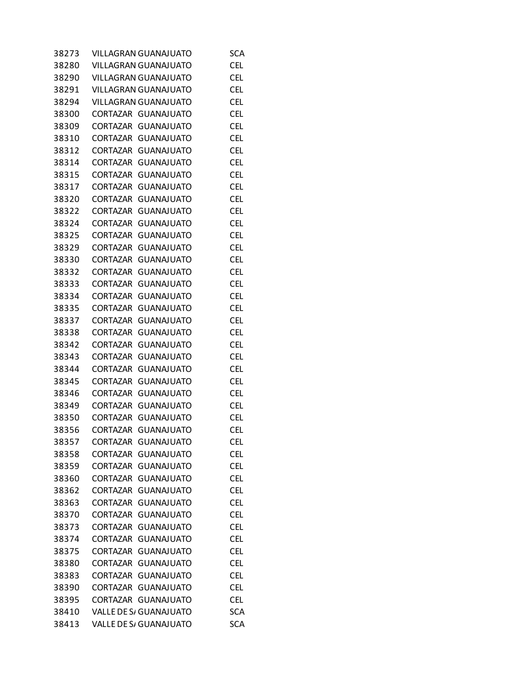| 38273 | VILLAGRAN GUANAJUATO                 | <b>SCA</b> |
|-------|--------------------------------------|------------|
| 38280 | <b>VILLAGRAN GUANAJUATO</b>          | <b>CEL</b> |
| 38290 | <b>VILLAGRAN GUANAJUATO</b>          | <b>CEL</b> |
| 38291 | <b>VILLAGRAN GUANAJUATO</b>          | <b>CEL</b> |
| 38294 | <b>VILLAGRAN GUANAJUATO</b>          | <b>CEL</b> |
| 38300 | CORTAZAR<br>GUANAJUATO               | <b>CEL</b> |
| 38309 | CORTAZAR<br><b>GUANAJUATO</b>        | <b>CEL</b> |
| 38310 | <b>CORTAZAR</b><br><b>GUANAJUATO</b> | <b>CEL</b> |
| 38312 | <b>CORTAZAR</b><br><b>GUANAJUATO</b> | <b>CEL</b> |
| 38314 | <b>CORTAZAR</b><br><b>GUANAJUATO</b> | <b>CEL</b> |
| 38315 | <b>CORTAZAR</b><br><b>GUANAJUATO</b> | <b>CEL</b> |
| 38317 | <b>CORTAZAR</b><br><b>GUANAJUATO</b> | <b>CEL</b> |
| 38320 | <b>GUANAJUATO</b><br>CORTAZAR        | <b>CEL</b> |
| 38322 | CORTAZAR<br>GUANAJUATO               | <b>CEL</b> |
| 38324 | <b>CORTAZAR</b><br><b>GUANAJUATO</b> | <b>CEL</b> |
| 38325 | <b>CORTAZAR</b><br><b>GUANAJUATO</b> | <b>CEL</b> |
| 38329 | <b>CORTAZAR</b><br><b>GUANAJUATO</b> | <b>CEL</b> |
| 38330 | <b>CORTAZAR</b><br><b>GUANAJUATO</b> | <b>CEL</b> |
| 38332 | CORTAZAR<br><b>GUANAJUATO</b>        | <b>CEL</b> |
| 38333 | CORTAZAR<br><b>GUANAJUATO</b>        | <b>CEL</b> |
| 38334 | CORTAZAR<br><b>GUANAJUATO</b>        | <b>CEL</b> |
| 38335 | <b>CORTAZAR</b><br><b>GUANAJUATO</b> | <b>CEL</b> |
| 38337 | <b>CORTAZAR</b><br><b>GUANAJUATO</b> | <b>CEL</b> |
| 38338 | CORTAZAR<br><b>GUANAJUATO</b>        | <b>CEL</b> |
| 38342 | CORTAZAR<br><b>GUANAJUATO</b>        | <b>CEL</b> |
| 38343 | CORTAZAR<br>GUANAJUATO               | <b>CEL</b> |
| 38344 | CORTAZAR<br><b>GUANAJUATO</b>        | <b>CEL</b> |
| 38345 | <b>CORTAZAR</b><br><b>GUANAJUATO</b> | <b>CEL</b> |
| 38346 | <b>CORTAZAR</b><br><b>GUANAJUATO</b> | <b>CEL</b> |
| 38349 | CORTAZAR<br><b>GUANAJUATO</b>        | CEL        |
| 38350 | <b>GUANAJUATO</b><br>CORTAZAR        | CEL        |
| 38356 | CORTAZAR<br><b>GUANAJUATO</b>        | CEL        |
| 38357 | <b>CORTAZAR</b><br><b>GUANAJUATO</b> | <b>CEL</b> |
| 38358 | <b>CORTAZAR</b><br><b>GUANAJUATO</b> | <b>CEL</b> |
| 38359 | <b>CORTAZAR</b><br><b>GUANAJUATO</b> | <b>CEL</b> |
| 38360 | <b>CORTAZAR</b><br><b>GUANAJUATO</b> | <b>CEL</b> |
| 38362 | <b>GUANAJUATO</b><br><b>CORTAZAR</b> | <b>CEL</b> |
| 38363 | <b>CORTAZAR</b><br><b>GUANAJUATO</b> | <b>CEL</b> |
| 38370 | <b>CORTAZAR</b><br><b>GUANAJUATO</b> | <b>CEL</b> |
| 38373 | <b>GUANAJUATO</b><br><b>CORTAZAR</b> | <b>CEL</b> |
| 38374 | <b>CORTAZAR</b><br><b>GUANAJUATO</b> | <b>CEL</b> |
| 38375 | <b>CORTAZAR</b><br><b>GUANAJUATO</b> | <b>CEL</b> |
| 38380 | <b>GUANAJUATO</b><br>CORTAZAR        | <b>CEL</b> |
| 38383 | <b>CORTAZAR</b><br><b>GUANAJUATO</b> | <b>CEL</b> |
| 38390 | <b>CORTAZAR</b><br><b>GUANAJUATO</b> | <b>CEL</b> |
| 38395 | CORTAZAR<br><b>GUANAJUATO</b>        | <b>CEL</b> |
| 38410 | <b>VALLE DE S/ GUANAJUATO</b>        | <b>SCA</b> |
| 38413 | VALLE DE S/ GUANAJUATO               | <b>SCA</b> |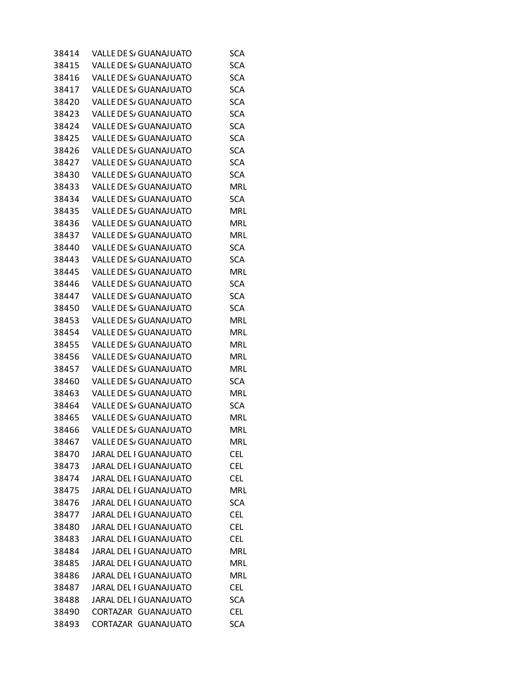| 38414 | VALLE DE S/ GUANAJUATO                           | SCA                      |
|-------|--------------------------------------------------|--------------------------|
| 38415 | <b>VALLE DE S/ GUANAJUATO</b>                    | <b>SCA</b>               |
| 38416 | VALLE DE S/ GUANAJUATO                           | <b>SCA</b>               |
| 38417 | VALLE DE S/ GUANAJUATO                           | <b>SCA</b>               |
| 38420 | <b>VALLE DE S/ GUANAJUATO</b>                    | <b>SCA</b>               |
| 38423 | VALLE DE S/ GUANAJUATO                           | <b>SCA</b>               |
| 38424 | VALLE DE S/ GUANAJUATO                           | <b>SCA</b>               |
| 38425 | <b>VALLE DE S/ GUANAJUATO</b>                    | <b>SCA</b>               |
| 38426 | VALLE DE S/ GUANAJUATO                           | <b>SCA</b>               |
| 38427 | VALLE DE S/ GUANAJUATO                           | <b>SCA</b>               |
| 38430 | <b>VALLE DE S/ GUANAJUATO</b>                    | <b>SCA</b>               |
| 38433 | VALLE DE S/ GUANAJUATO                           | <b>MRL</b>               |
| 38434 | VALLE DE S/ GUANAJUATO                           | <b>SCA</b>               |
| 38435 | <b>VALLE DE S/ GUANAJUATO</b>                    | MRL                      |
| 38436 | VALLE DE S/ GUANAJUATO                           | <b>MRL</b>               |
| 38437 | VALLE DE S/ GUANAJUATO                           | <b>MRL</b>               |
| 38440 | <b>VALLE DE S/ GUANAJUATO</b>                    | <b>SCA</b>               |
| 38443 | <b>VALLE DE S/ GUANAJUATO</b>                    | <b>SCA</b>               |
| 38445 | VALLE DE S/ GUANAJUATO                           | <b>MRL</b>               |
| 38446 | <b>VALLE DE S/ GUANAJUATO</b>                    | <b>SCA</b>               |
| 38447 | <b>VALLE DE S/ GUANAJUATO</b>                    | <b>SCA</b>               |
| 38450 | VALLE DE S/ GUANAJUATO                           | <b>SCA</b>               |
| 38453 | <b>VALLE DE S/ GUANAJUATO</b>                    | <b>MRL</b>               |
| 38454 | VALLE DE S/ GUANAJUATO                           | <b>MRL</b>               |
| 38455 | VALLE DE S/ GUANAJUATO                           | <b>MRL</b>               |
| 38456 | VALLE DE S/ GUANAJUATO                           | MRL                      |
| 38457 | VALLE DE S/ GUANAJUATO                           | <b>MRL</b>               |
| 38460 | VALLE DE S/ GUANAJUATO                           | <b>SCA</b>               |
| 38463 | <b>VALLE DE S/ GUANAJUATO</b>                    | <b>MRL</b>               |
| 38464 | <b>VALLE DE S/ GUANAJUATO</b>                    | <b>SCA</b>               |
| 38465 | VALLE DE S/ GUANAJUATO                           | <b>MRL</b>               |
| 38466 | <b>VALLE DE S/ GUANAJUATO</b>                    | <b>MRL</b>               |
| 38467 | <b>VALLE DE S/ GUANAJUATO</b>                    | <b>MRL</b>               |
| 38470 | JARAL DEL I GUANAJUATO                           | <b>CEL</b>               |
| 38473 | <b>JARAL DEL I GUANAJUATO</b>                    | <b>CEL</b>               |
| 38474 | JARAL DEL I GUANAJUATO                           | <b>CEL</b>               |
| 38475 | JARAL DEL I GUANAJUATO                           | <b>MRL</b>               |
| 38476 | JARAL DEL I GUANAJUATO                           | <b>SCA</b>               |
| 38477 | JARAL DEL I GUANAJUATO                           | <b>CEL</b>               |
| 38480 | JARAL DEL I GUANAJUATO                           | <b>CEL</b>               |
| 38483 | JARAL DEL I GUANAJUATO                           | <b>CEL</b>               |
| 38484 | <b>JARAL DEL I GUANAJUATO</b>                    | <b>MRL</b>               |
|       | JARAL DEL I GUANAJUATO                           | MRL                      |
| 38485 |                                                  |                          |
| 38486 | JARAL DEL I GUANAJUATO<br>JARAL DEL I GUANAJUATO | <b>MRL</b><br><b>CEL</b> |
| 38487 |                                                  |                          |
| 38488 | JARAL DEL I GUANAJUATO                           | <b>SCA</b>               |
| 38490 | CORTAZAR GUANAJUATO<br>CORTAZAR GUANAJUATO       | <b>CEL</b><br><b>SCA</b> |
| 38493 |                                                  |                          |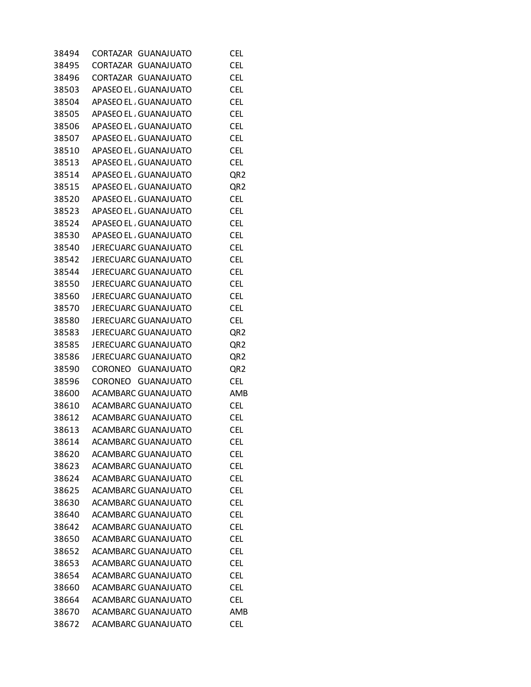| 38494 | CORTAZAR<br><b>GUANAJUATO</b> | <b>CEL</b>      |
|-------|-------------------------------|-----------------|
| 38495 | CORTAZAR<br><b>GUANAJUATO</b> | <b>CEL</b>      |
| 38496 | CORTAZAR GUANAJUATO           | <b>CEL</b>      |
| 38503 | APASEO EL, GUANAJUATO         | <b>CEL</b>      |
| 38504 | APASEO EL GUANAJUATO          | <b>CEL</b>      |
| 38505 | APASEO EL GUANAJUATO          | <b>CEL</b>      |
| 38506 | APASEO EL, GUANAJUATO         | <b>CEL</b>      |
| 38507 | APASEO EL, GUANAJUATO         | <b>CEL</b>      |
| 38510 | APASEO EL, GUANAJUATO         | <b>CEL</b>      |
| 38513 | APASEO EL GUANAJUATO          | <b>CEL</b>      |
| 38514 | APASEO EL, GUANAJUATO         | QR <sub>2</sub> |
| 38515 | APASEO EL, GUANAJUATO         | QR <sub>2</sub> |
| 38520 | APASEO EL, GUANAJUATO         | <b>CEL</b>      |
| 38523 | APASEO EL, GUANAJUATO         | <b>CEL</b>      |
| 38524 | APASEO EL, GUANAJUATO         | <b>CEL</b>      |
| 38530 | APASEO EL, GUANAJUATO         | <b>CEL</b>      |
| 38540 | <b>JERECUARC GUANAJUATO</b>   | <b>CEL</b>      |
| 38542 | <b>JERECUARC GUANAJUATO</b>   | <b>CEL</b>      |
| 38544 | <b>JERECUARC GUANAJUATO</b>   | <b>CEL</b>      |
| 38550 | JERECUARC GUANAJUATO          | <b>CEL</b>      |
| 38560 | <b>JERECUARC GUANAJUATO</b>   | <b>CEL</b>      |
| 38570 | <b>JERECUARC GUANAJUATO</b>   | <b>CEL</b>      |
| 38580 | <b>JERECUARC GUANAJUATO</b>   | <b>CEL</b>      |
| 38583 | <b>JERECUARC GUANAJUATO</b>   | QR <sub>2</sub> |
| 38585 | <b>JERECUARC GUANAJUATO</b>   | QR <sub>2</sub> |
| 38586 | JERECUARC GUANAJUATO          | QR <sub>2</sub> |
| 38590 | CORONEO GUANAJUATO            | QR <sub>2</sub> |
| 38596 | CORONEO GUANAJUATO            | <b>CEL</b>      |
| 38600 | ACAMBARC GUANAJUATO           | AMB             |
| 38610 | <b>ACAMBARC GUANAJUATO</b>    | <b>CEL</b>      |
| 38612 | <b>ACAMBARC GUANAJUATO</b>    | <b>CEL</b>      |
| 38613 | <b>ACAMBARC GUANAJUATO</b>    | <b>CEL</b>      |
| 38614 | <b>ACAMBARC GUANAJUATO</b>    | <b>CEL</b>      |
| 38620 | <b>ACAMBARC GUANAJUATO</b>    | <b>CEL</b>      |
| 38623 | <b>ACAMBARC GUANAJUATO</b>    | <b>CEL</b>      |
| 38624 | <b>ACAMBARC GUANAJUATO</b>    | <b>CEL</b>      |
| 38625 | <b>ACAMBARC GUANAJUATO</b>    | <b>CEL</b>      |
| 38630 | <b>ACAMBARC GUANAJUATO</b>    | <b>CEL</b>      |
| 38640 | ACAMBARC GUANAJUATO           | <b>CEL</b>      |
| 38642 | <b>ACAMBARC GUANAJUATO</b>    | <b>CEL</b>      |
| 38650 | <b>ACAMBARC GUANAJUATO</b>    | <b>CEL</b>      |
| 38652 | <b>ACAMBARC GUANAJUATO</b>    | <b>CEL</b>      |
| 38653 | <b>ACAMBARC GUANAJUATO</b>    | <b>CEL</b>      |
| 38654 | <b>ACAMBARC GUANAJUATO</b>    | <b>CEL</b>      |
| 38660 | ACAMBARC GUANAJUATO           | <b>CEL</b>      |
| 38664 | <b>ACAMBARC GUANAJUATO</b>    | <b>CEL</b>      |
| 38670 | <b>ACAMBARC GUANAJUATO</b>    | AMB             |
| 38672 | <b>ACAMBARC GUANAJUATO</b>    | <b>CEL</b>      |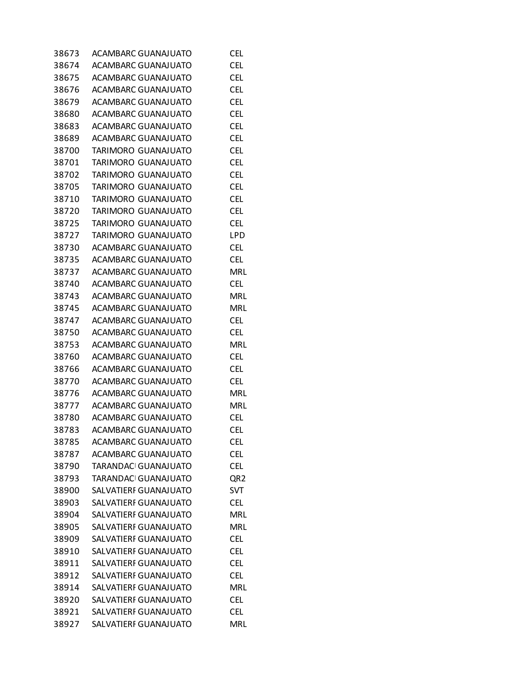| 38673 | ACAMBARC GUANAJUATO          | <b>CEL</b>      |
|-------|------------------------------|-----------------|
| 38674 | ACAMBARC GUANAJUATO          | <b>CEL</b>      |
| 38675 | <b>ACAMBARC GUANAJUATO</b>   | <b>CEL</b>      |
| 38676 | <b>ACAMBARC GUANAJUATO</b>   | <b>CEL</b>      |
| 38679 | <b>ACAMBARC GUANAJUATO</b>   | <b>CEL</b>      |
| 38680 | <b>ACAMBARC GUANAJUATO</b>   | <b>CEL</b>      |
| 38683 | <b>ACAMBARC GUANAJUATO</b>   | <b>CEL</b>      |
| 38689 | ACAMBARC GUANAJUATO          | <b>CEL</b>      |
| 38700 | TARIMORO GUANAJUATO          | <b>CEL</b>      |
| 38701 | TARIMORO GUANAJUATO          | <b>CEL</b>      |
| 38702 | TARIMORO GUANAJUATO          | <b>CEL</b>      |
| 38705 | TARIMORO GUANAJUATO          | <b>CEL</b>      |
| 38710 | TARIMORO GUANAJUATO          | <b>CEL</b>      |
| 38720 | TARIMORO GUANAJUATO          | <b>CEL</b>      |
| 38725 | TARIMORO GUANAJUATO          | <b>CEL</b>      |
| 38727 | TARIMORO GUANAJUATO          | LPD             |
| 38730 | <b>ACAMBARC GUANAJUATO</b>   | <b>CEL</b>      |
| 38735 | <b>ACAMBARC GUANAJUATO</b>   | <b>CEL</b>      |
| 38737 | <b>ACAMBARC GUANAJUATO</b>   | MRL             |
| 38740 | ACAMBARC GUANAJUATO          | <b>CEL</b>      |
| 38743 | ACAMBARC GUANAJUATO          | <b>MRL</b>      |
| 38745 | <b>ACAMBARC GUANAJUATO</b>   | <b>MRL</b>      |
| 38747 | ACAMBARC GUANAJUATO          | <b>CEL</b>      |
| 38750 | <b>ACAMBARC GUANAJUATO</b>   | <b>CEL</b>      |
| 38753 | <b>ACAMBARC GUANAJUATO</b>   | MRL             |
| 38760 | ACAMBARC GUANAJUATO          | <b>CEL</b>      |
| 38766 | ACAMBARC GUANAJUATO          | <b>CEL</b>      |
| 38770 | <b>ACAMBARC GUANAJUATO</b>   | <b>CEL</b>      |
| 38776 | <b>ACAMBARC GUANAJUATO</b>   | <b>MRL</b>      |
| 38777 | <b>ACAMBARC GUANAJUATO</b>   | <b>MRL</b>      |
| 38780 | <b>ACAMBARC GUANAJUATO</b>   | <b>CEL</b>      |
| 38783 | ACAMBARC GUANAJUATO          | <b>CEL</b>      |
| 38785 | <b>ACAMBARC GUANAJUATO</b>   | <b>CEL</b>      |
| 38787 | <b>ACAMBARC GUANAJUATO</b>   | <b>CEL</b>      |
| 38790 | TARANDAC GUANAJUATO          | <b>CEL</b>      |
| 38793 | TARANDAC GUANAJUATO          | QR <sub>2</sub> |
| 38900 | SALVATIERI GUANAJUATO        | SVT             |
| 38903 | SALVATIERI GUANAJUATO        | <b>CEL</b>      |
| 38904 | SALVATIERI GUANAJUATO        | <b>MRL</b>      |
| 38905 | SALVATIERI GUANAJUATO        | <b>MRL</b>      |
| 38909 | SALVATIERI GUANAJUATO        | <b>CEL</b>      |
|       | <b>SALVATIERF GUANAJUATO</b> | <b>CEL</b>      |
| 38910 | SALVATIERI GUANAJUATO        | <b>CEL</b>      |
| 38911 |                              |                 |
| 38912 | SALVATIERI GUANAJUATO        | <b>CEL</b>      |
| 38914 | SALVATIERI GUANAJUATO        | <b>MRL</b>      |
| 38920 | SALVATIERF GUANAJUATO        | <b>CEL</b>      |
| 38921 | SALVATIERI GUANAJUATO        | <b>CEL</b>      |
| 38927 | SALVATIERI GUANAJUATO        | <b>MRL</b>      |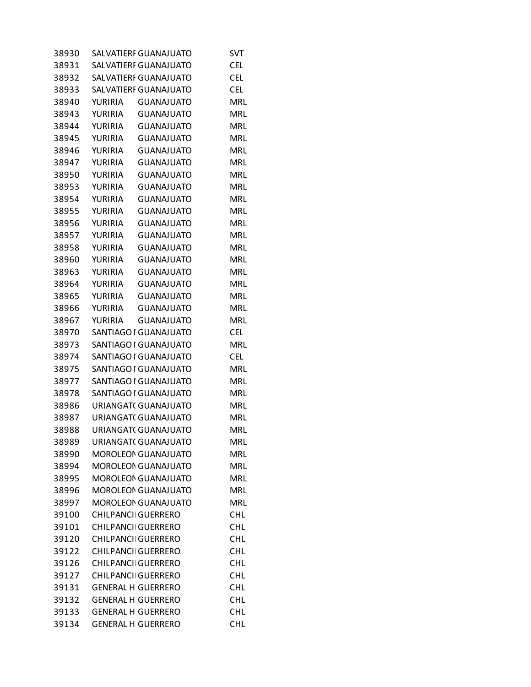| 38930 |                            | SALVATIERI GUANAJUATO      | SVT        |
|-------|----------------------------|----------------------------|------------|
| 38931 |                            | SALVATIERI GUANAJUATO      | <b>CEL</b> |
| 38932 |                            | SALVATIERI GUANAJUATO      | <b>CEL</b> |
| 38933 |                            | SALVATIERF GUANAJUATO      | <b>CEL</b> |
| 38940 | YURIRIA                    | <b>GUANAJUATO</b>          | <b>MRL</b> |
| 38943 | YURIRIA                    | <b>GUANAJUATO</b>          | <b>MRL</b> |
| 38944 | YURIRIA                    | <b>GUANAJUATO</b>          | <b>MRL</b> |
| 38945 | YURIRIA                    | GUANAJUATO                 | <b>MRL</b> |
| 38946 | YURIRIA                    | GUANAJUATO                 | <b>MRL</b> |
| 38947 | YURIRIA                    | <b>GUANAJUATO</b>          | <b>MRL</b> |
| 38950 | YURIRIA                    | <b>GUANAJUATO</b>          | <b>MRL</b> |
| 38953 | YURIRIA                    | <b>GUANAJUATO</b>          | <b>MRL</b> |
| 38954 | YURIRIA                    | GUANAJUATO                 | <b>MRL</b> |
| 38955 | YURIRIA                    | GUANAJUATO                 | <b>MRL</b> |
| 38956 | <b>YURIRIA</b>             | <b>GUANAJUATO</b>          | <b>MRL</b> |
| 38957 | YURIRIA                    | <b>GUANAJUATO</b>          | <b>MRL</b> |
| 38958 | YURIRIA                    | <b>GUANAJUATO</b>          | <b>MRL</b> |
| 38960 | YURIRIA                    | <b>GUANAJUATO</b>          | <b>MRL</b> |
| 38963 | YURIRIA                    | GUANAJUATO                 | <b>MRL</b> |
| 38964 | YURIRIA                    | <b>GUANAJUATO</b>          | <b>MRL</b> |
| 38965 | YURIRIA                    | <b>GUANAJUATO</b>          | <b>MRL</b> |
| 38966 | YURIRIA                    | <b>GUANAJUATO</b>          | <b>MRL</b> |
| 38967 | YURIRIA                    | <b>GUANAJUATO</b>          | <b>MRL</b> |
| 38970 |                            | SANTIAGO I GUANAJUATO      | <b>CEL</b> |
| 38973 |                            | SANTIAGO I GUANAJUATO      | <b>MRL</b> |
| 38974 |                            | SANTIAGO I GUANAJUATO      | <b>CEL</b> |
| 38975 |                            | SANTIAGO I GUANAJUATO      | <b>MRL</b> |
| 38977 |                            | SANTIAGO I GUANAJUATO      | <b>MRL</b> |
| 38978 |                            | SANTIAGO I GUANAJUATO      | <b>MRL</b> |
| 38986 |                            | URIANGAT( GUANAJUATO       | <b>MRL</b> |
| 38987 |                            | URIANGAT( GUANAJUATO       | <b>MRL</b> |
| 38988 |                            | URIANGAT(GUANAJUATO        | <b>MRL</b> |
| 38989 |                            | URIANGAT(GUANAJUATO        | <b>MRL</b> |
| 38990 |                            | <b>MOROLEON GUANAJUATO</b> | <b>MRL</b> |
| 38994 |                            | <b>MOROLEON GUANAJUATO</b> | <b>MRL</b> |
| 38995 |                            | <b>MOROLEON GUANAJUATO</b> | <b>MRL</b> |
| 38996 |                            | <b>MOROLEON GUANAJUATO</b> | <b>MRL</b> |
| 38997 |                            | <b>MOROLEON GUANAJUATO</b> | <b>MRL</b> |
| 39100 | <b>CHILPANCII GUERRERO</b> |                            | <b>CHL</b> |
| 39101 | <b>CHILPANCII GUERRERO</b> |                            | <b>CHL</b> |
| 39120 | <b>CHILPANCII GUERRERO</b> |                            | <b>CHL</b> |
| 39122 | <b>CHILPANCII GUERRERO</b> |                            | <b>CHL</b> |
| 39126 | <b>CHILPANCII GUERRERO</b> |                            | <b>CHL</b> |
| 39127 | <b>CHILPANCII GUERRERO</b> |                            | <b>CHL</b> |
| 39131 | <b>GENERAL H GUERRERO</b>  |                            | <b>CHL</b> |
| 39132 | <b>GENERAL H GUERRERO</b>  |                            | <b>CHL</b> |
| 39133 | <b>GENERAL H GUERRERO</b>  |                            | <b>CHL</b> |
| 39134 | <b>GENERAL H GUERRERO</b>  |                            | <b>CHL</b> |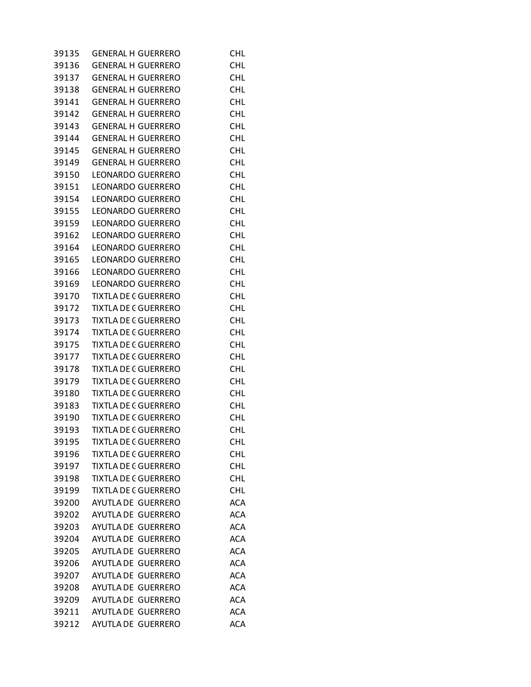| 39135 | <b>GENERAL H GUERRERO</b>   | <b>CHL</b> |
|-------|-----------------------------|------------|
| 39136 | <b>GENERAL H GUERRERO</b>   | CHL        |
| 39137 | <b>GENERAL H GUERRERO</b>   | CHL        |
| 39138 | <b>GENERAL H GUERRERO</b>   | <b>CHL</b> |
| 39141 | <b>GENERAL H GUERRERO</b>   | <b>CHL</b> |
| 39142 | <b>GENERAL H GUERRERO</b>   | <b>CHL</b> |
| 39143 | <b>GENERAL H GUERRERO</b>   | <b>CHL</b> |
| 39144 | <b>GENERAL H GUERRERO</b>   | <b>CHL</b> |
| 39145 | <b>GENERAL H GUERRERO</b>   | <b>CHL</b> |
| 39149 | <b>GENERAL H GUERRERO</b>   | <b>CHL</b> |
| 39150 | LEONARDO GUERRERO           | <b>CHL</b> |
| 39151 | LEONARDO GUERRERO           | <b>CHL</b> |
| 39154 | LEONARDO GUERRERO           | <b>CHL</b> |
| 39155 | LEONARDO GUERRERO           | CHL        |
| 39159 | LEONARDO GUERRERO           | <b>CHL</b> |
| 39162 | LEONARDO GUERRERO           | <b>CHL</b> |
| 39164 | LEONARDO GUERRERO           | <b>CHL</b> |
| 39165 | <b>LEONARDO GUERRERO</b>    | <b>CHL</b> |
| 39166 | LEONARDO GUERRERO           | <b>CHL</b> |
| 39169 | LEONARDO GUERRERO           | CHL        |
| 39170 | <b>TIXTLA DE C GUERRERO</b> | <b>CHL</b> |
| 39172 | <b>TIXTLA DE C GUERRERO</b> | <b>CHL</b> |
| 39173 | <b>TIXTLA DE C GUERRERO</b> | <b>CHL</b> |
| 39174 | <b>TIXTLA DE C GUERRERO</b> | <b>CHL</b> |
| 39175 | <b>TIXTLA DE C GUERRERO</b> | <b>CHL</b> |
| 39177 | <b>TIXTLA DE C GUERRERO</b> | <b>CHL</b> |
| 39178 | <b>TIXTLA DE C GUERRERO</b> | <b>CHL</b> |
| 39179 | <b>TIXTLA DE C GUERRERO</b> | <b>CHL</b> |
| 39180 | <b>TIXTLA DE C GUERRERO</b> | <b>CHL</b> |
| 39183 | <b>TIXTLA DE C GUERRERO</b> | <b>CHL</b> |
| 39190 | <b>TIXTLA DE C GUERRERO</b> | <b>CHL</b> |
| 39193 | <b>TIXTLA DE C GUERRERO</b> | <b>CHL</b> |
| 39195 | TIXTLA DE C GUERRERO        | <b>CHL</b> |
| 39196 | <b>TIXTLA DE C GUERRERO</b> | <b>CHL</b> |
| 39197 | <b>TIXTLA DE C GUERRERO</b> | <b>CHL</b> |
| 39198 | <b>TIXTLA DE C GUERRERO</b> | <b>CHL</b> |
| 39199 | <b>TIXTLA DE C GUERRERO</b> | <b>CHL</b> |
| 39200 | AYUTLA DE GUERRERO          | <b>ACA</b> |
| 39202 | AYUTLA DE GUERRERO          | <b>ACA</b> |
| 39203 | AYUTLA DE GUERRERO          | <b>ACA</b> |
| 39204 | AYUTLA DE GUERRERO          | <b>ACA</b> |
| 39205 | AYUTLA DE GUERRERO          | <b>ACA</b> |
| 39206 | AYUTLA DE GUERRERO          | <b>ACA</b> |
| 39207 | AYUTLA DE GUERRERO          | <b>ACA</b> |
| 39208 | AYUTLA DE GUERRERO          | <b>ACA</b> |
| 39209 | AYUTLA DE GUERRERO          | <b>ACA</b> |
| 39211 | AYUTLA DE GUERRERO          | <b>ACA</b> |
| 39212 | AYUTLA DE GUERRERO          | <b>ACA</b> |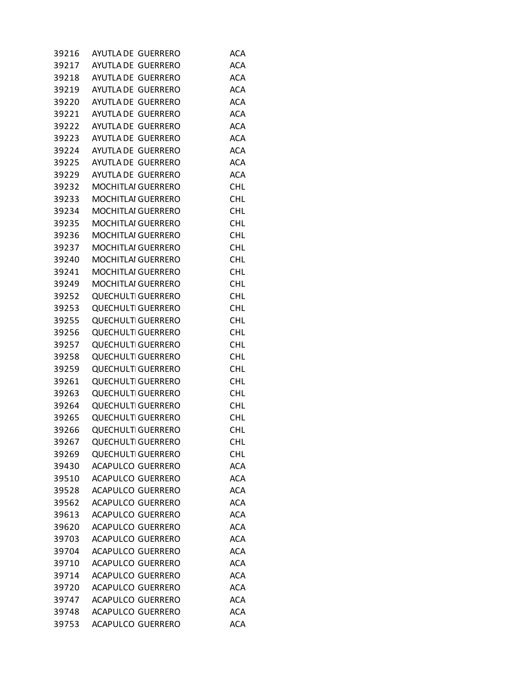| 39216 | AYUTLA DE GUERRERO        | ACA        |
|-------|---------------------------|------------|
| 39217 | AYUTLA DE GUERRERO        | <b>ACA</b> |
| 39218 | AYUTLA DE GUERRERO        | <b>ACA</b> |
| 39219 | AYUTLA DE GUERRERO        | <b>ACA</b> |
| 39220 | AYUTLA DE GUERRERO        | <b>ACA</b> |
| 39221 | AYUTLA DE GUERRERO        | <b>ACA</b> |
| 39222 | AYUTLA DE GUERRERO        | <b>ACA</b> |
| 39223 | AYUTLA DE GUERRERO        | <b>ACA</b> |
| 39224 | AYUTLA DE GUERRERO        | <b>ACA</b> |
| 39225 | AYUTLA DE GUERRERO        | <b>ACA</b> |
| 39229 | AYUTLA DE GUERRERO        | <b>ACA</b> |
| 39232 | MOCHITLAI GUERRERO        | <b>CHL</b> |
| 39233 | MOCHITLAI GUERRERO        | <b>CHL</b> |
| 39234 | <b>MOCHITLAI GUERRERO</b> | <b>CHL</b> |
| 39235 | MOCHITLAI GUERRERO        | <b>CHL</b> |
| 39236 | MOCHITLAI GUERRERO        | <b>CHL</b> |
| 39237 | MOCHITLAI GUERRERO        | <b>CHL</b> |
| 39240 | MOCHITLAI GUERRERO        | <b>CHL</b> |
| 39241 | <b>MOCHITLAI GUERRERO</b> | <b>CHL</b> |
| 39249 | MOCHITLAI GUERRERO        | <b>CHL</b> |
| 39252 | <b>QUECHULTI GUERRERO</b> | <b>CHL</b> |
| 39253 | <b>QUECHULTI GUERRERO</b> | <b>CHL</b> |
| 39255 | <b>QUECHULTI GUERRERO</b> | <b>CHL</b> |
| 39256 | <b>QUECHULTI GUERRERO</b> | <b>CHL</b> |
| 39257 | <b>QUECHULTI GUERRERO</b> | <b>CHL</b> |
| 39258 | <b>QUECHULTI GUERRERO</b> | <b>CHL</b> |
| 39259 | <b>QUECHULTI GUERRERO</b> | <b>CHL</b> |
| 39261 | <b>QUECHULTI GUERRERO</b> | <b>CHL</b> |
| 39263 | <b>QUECHULTI GUERRERO</b> | <b>CHL</b> |
| 39264 | <b>QUECHULTI GUERRERO</b> | <b>CHL</b> |
| 39265 | <b>QUECHULTI GUERRERO</b> | <b>CHL</b> |
| 39266 | <b>QUECHULTI GUERRERO</b> | <b>CHL</b> |
| 39267 | <b>QUECHULTI GUERRERO</b> | <b>CHL</b> |
| 39269 | <b>QUECHULTI GUERRERO</b> | <b>CHL</b> |
| 39430 | ACAPULCO GUERRERO         | <b>ACA</b> |
| 39510 | ACAPULCO GUERRERO         | <b>ACA</b> |
| 39528 | ACAPULCO GUERRERO         | <b>ACA</b> |
| 39562 | ACAPULCO GUERRERO         | <b>ACA</b> |
| 39613 | <b>ACAPULCO GUERRERO</b>  | <b>ACA</b> |
| 39620 | <b>ACAPULCO GUERRERO</b>  | <b>ACA</b> |
| 39703 | ACAPULCO GUERRERO         | <b>ACA</b> |
| 39704 | ACAPULCO GUERRERO         | <b>ACA</b> |
| 39710 | ACAPULCO GUERRERO         | <b>ACA</b> |
| 39714 | ACAPULCO GUERRERO         | <b>ACA</b> |
| 39720 | <b>ACAPULCO GUERRERO</b>  | <b>ACA</b> |
| 39747 | <b>ACAPULCO GUERRERO</b>  | <b>ACA</b> |
| 39748 | ACAPULCO GUERRERO         | <b>ACA</b> |
| 39753 | ACAPULCO GUERRERO         | <b>ACA</b> |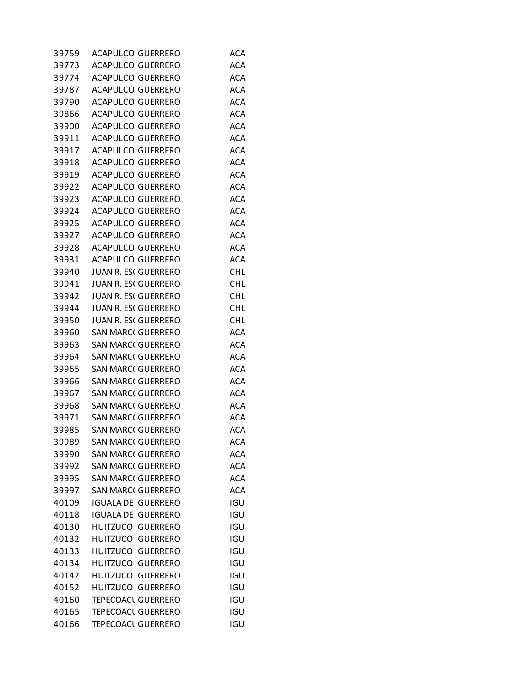| 39759 | ACAPULCO GUERRERO           | ACA        |
|-------|-----------------------------|------------|
| 39773 | <b>ACAPULCO GUERRERO</b>    | <b>ACA</b> |
| 39774 | ACAPULCO GUERRERO           | <b>ACA</b> |
| 39787 | ACAPULCO GUERRERO           | <b>ACA</b> |
| 39790 | <b>ACAPULCO GUERRERO</b>    | <b>ACA</b> |
| 39866 | ACAPULCO GUERRERO           | <b>ACA</b> |
| 39900 | ACAPULCO GUERRERO           | <b>ACA</b> |
| 39911 | <b>ACAPULCO GUERRERO</b>    | <b>ACA</b> |
| 39917 | ACAPULCO GUERRERO           | <b>ACA</b> |
| 39918 | ACAPULCO GUERRERO           | <b>ACA</b> |
| 39919 | ACAPULCO GUERRERO           | <b>ACA</b> |
| 39922 | ACAPULCO GUERRERO           | <b>ACA</b> |
| 39923 | ACAPULCO GUERRERO           | <b>ACA</b> |
| 39924 | <b>ACAPULCO GUERRERO</b>    | <b>ACA</b> |
| 39925 | ACAPULCO GUERRERO           | <b>ACA</b> |
| 39927 | ACAPULCO GUERRERO           | <b>ACA</b> |
| 39928 | ACAPULCO GUERRERO           | <b>ACA</b> |
| 39931 | ACAPULCO GUERRERO           | <b>ACA</b> |
| 39940 | <b>JUAN R. ESC GUERRERO</b> | <b>CHL</b> |
| 39941 | <b>JUAN R. ESC GUERRERO</b> | <b>CHL</b> |
| 39942 | <b>JUAN R. ESC GUERRERO</b> | <b>CHL</b> |
| 39944 | JUAN R. ESC GUERRERO        | CHL        |
| 39950 | <b>JUAN R. ESC GUERRERO</b> | <b>CHL</b> |
| 39960 | <b>SAN MARC( GUERRERO</b>   | <b>ACA</b> |
| 39963 | <b>SAN MARC( GUERRERO</b>   | <b>ACA</b> |
| 39964 | <b>SAN MARC( GUERRERO</b>   | <b>ACA</b> |
| 39965 | <b>SAN MARC( GUERRERO</b>   | <b>ACA</b> |
| 39966 | <b>SAN MARC( GUERRERO</b>   | <b>ACA</b> |
| 39967 | <b>SAN MARC( GUERRERO</b>   | <b>ACA</b> |
| 39968 | <b>SAN MARC( GUERRERO</b>   | <b>ACA</b> |
| 39971 | <b>SAN MARC( GUERRERO</b>   | <b>ACA</b> |
| 39985 | <b>SAN MARC( GUERRERO</b>   | <b>ACA</b> |
| 39989 | <b>SAN MARC( GUERRERO</b>   | <b>ACA</b> |
| 39990 | <b>SAN MARC( GUERRERO</b>   | <b>ACA</b> |
| 39992 | <b>SAN MARC( GUERRERO</b>   | <b>ACA</b> |
| 39995 | <b>SAN MARC( GUERRERO</b>   | <b>ACA</b> |
| 39997 | <b>SAN MARC( GUERRERO</b>   | <b>ACA</b> |
| 40109 | <b>IGUALA DE GUERRERO</b>   | IGU        |
| 40118 | <b>IGUALA DE GUERRERO</b>   | IGU        |
| 40130 | HUITZUCO   GUERRERO         | IGU        |
| 40132 | <b>HUITZUCO GUERRERO</b>    | IGU        |
| 40133 | HUITZUCO GUERRERO           | IGU        |
| 40134 | <b>HUITZUCO GUERRERO</b>    | IGU        |
| 40142 | <b>HUITZUCO GUERRERO</b>    | IGU        |
| 40152 | HUITZUCO GUERRERO           | IGU        |
| 40160 | <b>TEPECOACL GUERRERO</b>   | IGU        |
| 40165 | <b>TEPECOACL GUERRERO</b>   | IGU        |
| 40166 | <b>TEPECOACL GUERRERO</b>   | IGU        |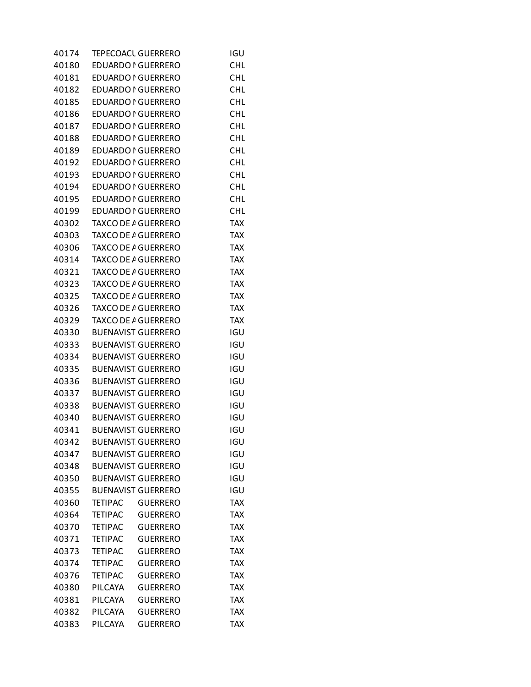| 40174 |                | <b>TEPECOACL GUERRERO</b>  | IGU        |
|-------|----------------|----------------------------|------------|
| 40180 |                | <b>EDUARDO I GUERRERO</b>  | CHL        |
| 40181 |                | EDUARDO I GUERRERO         | CHL        |
| 40182 |                | EDUARDO I GUERRERO         | <b>CHL</b> |
| 40185 |                | <b>EDUARDO I GUERRERO</b>  | <b>CHL</b> |
| 40186 |                | EDUARDO I GUERRERO         | <b>CHL</b> |
| 40187 |                | EDUARDO I GUERRERO         | <b>CHL</b> |
| 40188 |                | <b>EDUARDO I GUERRERO</b>  | <b>CHL</b> |
| 40189 |                | EDUARDO I GUERRERO         | <b>CHL</b> |
| 40192 |                | EDUARDO I GUERRERO         | <b>CHL</b> |
| 40193 |                | <b>EDUARDO I GUERRERO</b>  | <b>CHL</b> |
| 40194 |                | EDUARDO I GUERRERO         | <b>CHL</b> |
| 40195 |                | EDUARDO I GUERRERO         | <b>CHL</b> |
| 40199 |                | EDUARDO I GUERRERO         | <b>CHL</b> |
| 40302 |                | TAXCO DE A GUERRERO        | <b>TAX</b> |
| 40303 |                | TAXCO DE A GUERRERO        | <b>TAX</b> |
| 40306 |                | TAXCO DE A GUERRERO        | <b>TAX</b> |
| 40314 |                | TAXCO DE A GUERRERO        | <b>TAX</b> |
| 40321 |                | <b>TAXCO DE A GUERRERO</b> | <b>TAX</b> |
| 40323 |                | TAXCO DE A GUERRERO        | <b>TAX</b> |
| 40325 |                | TAXCO DE A GUERRERO        | <b>TAX</b> |
| 40326 |                | <b>TAXCO DE A GUERRERO</b> | <b>TAX</b> |
| 40329 |                | TAXCO DE A GUERRERO        | <b>TAX</b> |
| 40330 |                | <b>BUENAVIST GUERRERO</b>  | IGU        |
| 40333 |                | <b>BUENAVIST GUERRERO</b>  | IGU        |
| 40334 |                | <b>BUENAVIST GUERRERO</b>  | IGU        |
| 40335 |                | <b>BUENAVIST GUERRERO</b>  | IGU        |
| 40336 |                | <b>BUENAVIST GUERRERO</b>  | IGU        |
| 40337 |                | <b>BUENAVIST GUERRERO</b>  | IGU        |
| 40338 |                | <b>BUENAVIST GUERRERO</b>  | IGU        |
| 40340 |                | <b>BUENAVIST GUERRERO</b>  | IGU        |
| 40341 |                | <b>BUENAVIST GUERRERO</b>  | IGU        |
| 40342 |                | <b>BUENAVIST GUERRERO</b>  | IGU        |
| 40347 |                | <b>BUENAVIST GUERRERO</b>  | IGU        |
|       |                | <b>BUENAVIST GUERRERO</b>  |            |
| 40348 |                |                            | IGU        |
| 40350 |                | <b>BUENAVIST GUERRERO</b>  | IGU        |
| 40355 |                | <b>BUENAVIST GUERRERO</b>  | IGU        |
| 40360 | <b>TETIPAC</b> | <b>GUERRERO</b>            | <b>TAX</b> |
| 40364 | <b>TETIPAC</b> | <b>GUERRERO</b>            | <b>TAX</b> |
| 40370 | <b>TETIPAC</b> | <b>GUERRERO</b>            | <b>TAX</b> |
| 40371 | <b>TETIPAC</b> | <b>GUERRERO</b>            | <b>TAX</b> |
| 40373 | <b>TETIPAC</b> | <b>GUERRERO</b>            | <b>TAX</b> |
| 40374 | <b>TETIPAC</b> | <b>GUERRERO</b>            | <b>TAX</b> |
| 40376 | <b>TETIPAC</b> | <b>GUERRERO</b>            | <b>TAX</b> |
| 40380 | PILCAYA        | <b>GUERRERO</b>            | <b>TAX</b> |
| 40381 | PILCAYA        | <b>GUERRERO</b>            | <b>TAX</b> |
| 40382 | PILCAYA        | <b>GUERRERO</b>            | <b>TAX</b> |
| 40383 | PILCAYA        | <b>GUERRERO</b>            | <b>TAX</b> |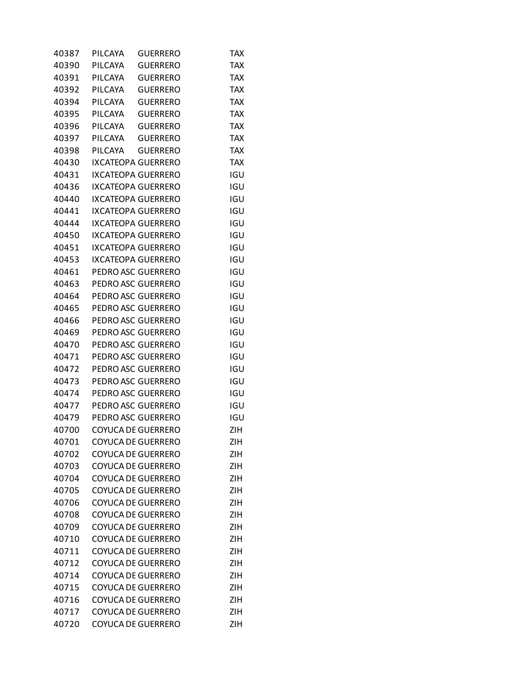| 40387 | PILCAYA | <b>GUERRERO</b>           | <b>TAX</b> |
|-------|---------|---------------------------|------------|
| 40390 | PILCAYA | <b>GUERRERO</b>           | <b>TAX</b> |
| 40391 | PILCAYA | <b>GUERRERO</b>           | <b>TAX</b> |
| 40392 | PILCAYA | <b>GUERRERO</b>           | <b>TAX</b> |
| 40394 | PILCAYA | <b>GUERRERO</b>           | <b>TAX</b> |
| 40395 | PILCAYA | <b>GUERRERO</b>           | <b>TAX</b> |
| 40396 | PILCAYA | <b>GUERRERO</b>           | <b>TAX</b> |
| 40397 | PILCAYA | <b>GUERRERO</b>           | <b>TAX</b> |
| 40398 | PILCAYA | <b>GUERRERO</b>           | <b>TAX</b> |
| 40430 |         | <b>IXCATEOPA GUERRERO</b> | <b>TAX</b> |
| 40431 |         | <b>IXCATEOPA GUERRERO</b> | IGU        |
| 40436 |         | <b>IXCATEOPA GUERRERO</b> | IGU        |
| 40440 |         | IXCATEOPA GUERRERO        | IGU        |
| 40441 |         | <b>IXCATEOPA GUERRERO</b> | IGU        |
| 40444 |         | <b>IXCATEOPA GUERRERO</b> | IGU        |
| 40450 |         | <b>IXCATEOPA GUERRERO</b> | IGU        |
| 40451 |         | <b>IXCATEOPA GUERRERO</b> | IGU        |
| 40453 |         | <b>IXCATEOPA GUERRERO</b> | IGU        |
| 40461 |         | PEDRO ASC GUERRERO        | IGU        |
| 40463 |         | PEDRO ASC GUERRERO        | IGU        |
| 40464 |         | PEDRO ASC GUERRERO        | IGU        |
| 40465 |         | PEDRO ASC GUERRERO        | IGU        |
| 40466 |         | PEDRO ASC GUERRERO        | IGU        |
| 40469 |         | PEDRO ASC GUERRERO        | IGU        |
| 40470 |         | PEDRO ASC GUERRERO        | IGU        |
| 40471 |         | PEDRO ASC GUERRERO        | IGU        |
| 40472 |         | PEDRO ASC GUERRERO        | IGU        |
| 40473 |         | PEDRO ASC GUERRERO        | IGU        |
| 40474 |         | PEDRO ASC GUERRERO        | IGU        |
| 40477 |         | PEDRO ASC GUERRERO        | IGU        |
| 40479 |         | PEDRO ASC GUERRERO        | <b>IGU</b> |
| 40700 |         | <b>COYUCA DE GUERRERO</b> | ZIH        |
| 40701 |         | <b>COYUCA DE GUERRERO</b> | ZIH        |
| 40702 |         | <b>COYUCA DE GUERRERO</b> | <b>ZIH</b> |
| 40703 |         | <b>COYUCA DE GUERRERO</b> | <b>ZIH</b> |
| 40704 |         | <b>COYUCA DE GUERRERO</b> | <b>ZIH</b> |
| 40705 |         | <b>COYUCA DE GUERRERO</b> | <b>ZIH</b> |
| 40706 |         | <b>COYUCA DE GUERRERO</b> | <b>ZIH</b> |
| 40708 |         | <b>COYUCA DE GUERRERO</b> | <b>ZIH</b> |
| 40709 |         | <b>COYUCA DE GUERRERO</b> | <b>ZIH</b> |
| 40710 |         | <b>COYUCA DE GUERRERO</b> | <b>ZIH</b> |
| 40711 |         | <b>COYUCA DE GUERRERO</b> | <b>ZIH</b> |
| 40712 |         | <b>COYUCA DE GUERRERO</b> | <b>ZIH</b> |
| 40714 |         | <b>COYUCA DE GUERRERO</b> | <b>ZIH</b> |
| 40715 |         | <b>COYUCA DE GUERRERO</b> | <b>ZIH</b> |
| 40716 |         | <b>COYUCA DE GUERRERO</b> | <b>ZIH</b> |
| 40717 |         | <b>COYUCA DE GUERRERO</b> | <b>ZIH</b> |
| 40720 |         | <b>COYUCA DE GUERRERO</b> | <b>ZIH</b> |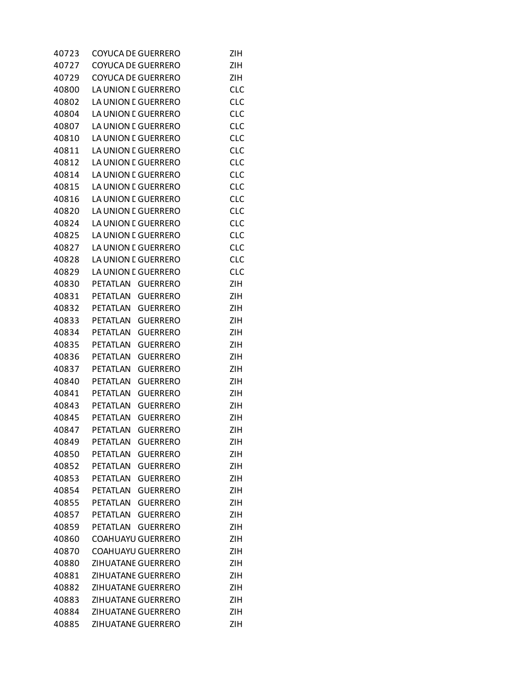| 40723 | <b>COYUCA DE GUERRERO</b> |                 | <b>ZIH</b> |
|-------|---------------------------|-----------------|------------|
| 40727 | <b>COYUCA DE GUERRERO</b> |                 | <b>ZIH</b> |
| 40729 | <b>COYUCA DE GUERRERO</b> |                 | ZIH        |
| 40800 | LA UNION E GUERRERO       |                 | <b>CLC</b> |
| 40802 | LA UNION E GUERRERO       |                 | <b>CLC</b> |
| 40804 | LA UNION E GUERRERO       |                 | <b>CLC</b> |
| 40807 | LA UNION E GUERRERO       |                 | <b>CLC</b> |
| 40810 | LA UNION E GUERRERO       |                 | <b>CLC</b> |
| 40811 | LA UNION E GUERRERO       |                 | <b>CLC</b> |
| 40812 | LA UNION E GUERRERO       |                 | <b>CLC</b> |
| 40814 | LA UNION E GUERRERO       |                 | <b>CLC</b> |
| 40815 | LA UNION E GUERRERO       |                 | <b>CLC</b> |
| 40816 | LA UNION E GUERRERO       |                 | <b>CLC</b> |
| 40820 | LA UNION E GUERRERO       |                 | <b>CLC</b> |
| 40824 | LA UNION E GUERRERO       |                 | <b>CLC</b> |
| 40825 | LA UNION E GUERRERO       |                 | <b>CLC</b> |
| 40827 | LA UNION E GUERRERO       |                 | <b>CLC</b> |
|       |                           |                 |            |
| 40828 | LA UNION E GUERRERO       |                 | <b>CLC</b> |
| 40829 | LA UNION E GUERRERO       |                 | <b>CLC</b> |
| 40830 | <b>PETATLAN</b>           | <b>GUERRERO</b> | <b>ZIH</b> |
| 40831 | PETATLAN                  | <b>GUERRERO</b> | <b>ZIH</b> |
| 40832 | <b>PETATLAN</b>           | <b>GUERRERO</b> | <b>ZIH</b> |
| 40833 | PETATLAN                  | <b>GUERRERO</b> | <b>ZIH</b> |
| 40834 | PETATLAN                  | <b>GUERRERO</b> | <b>ZIH</b> |
| 40835 | <b>PETATLAN</b>           | <b>GUERRERO</b> | <b>ZIH</b> |
| 40836 | <b>PETATLAN</b>           | <b>GUERRERO</b> | <b>ZIH</b> |
| 40837 | PETATLAN                  | <b>GUERRERO</b> | <b>ZIH</b> |
| 40840 | <b>PETATLAN</b>           | <b>GUERRERO</b> | <b>ZIH</b> |
| 40841 | PETATLAN                  | <b>GUERRERO</b> | <b>ZIH</b> |
| 40843 | PETATLAN                  | <b>GUERRERO</b> | <b>ZIH</b> |
| 40845 | PETATLAN                  | <b>GUERRERO</b> | <b>ZIH</b> |
| 40847 | PETATLAN                  | <b>GUERRERO</b> | ZIH        |
| 40849 | PETATLAN                  | <b>GUERRERO</b> | ZIH        |
| 40850 | PETATLAN                  | <b>GUERRERO</b> | <b>ZIH</b> |
| 40852 | <b>PETATLAN</b>           | <b>GUERRERO</b> | <b>ZIH</b> |
| 40853 | PETATLAN                  | <b>GUERRERO</b> | <b>ZIH</b> |
| 40854 | PETATLAN                  | <b>GUERRERO</b> | <b>ZIH</b> |
| 40855 | PETATLAN                  | <b>GUERRERO</b> | <b>ZIH</b> |
| 40857 | PETATLAN                  | <b>GUERRERO</b> | ZIH        |
| 40859 | PETATLAN                  | <b>GUERRERO</b> | <b>ZIH</b> |
| 40860 | <b>COAHUAYU GUERRERO</b>  |                 | <b>ZIH</b> |
| 40870 | <b>COAHUAYU GUERRERO</b>  |                 | <b>ZIH</b> |
| 40880 | ZIHUATANE GUERRERO        |                 | <b>ZIH</b> |
| 40881 | ZIHUATANE GUERRERO        |                 | <b>ZIH</b> |
| 40882 | ZIHUATANE GUERRERO        |                 | <b>ZIH</b> |
| 40883 | ZIHUATANE GUERRERO        |                 | <b>ZIH</b> |
| 40884 | ZIHUATANE GUERRERO        |                 | <b>ZIH</b> |
| 40885 | ZIHUATANE GUERRERO        |                 | ZIH        |
|       |                           |                 |            |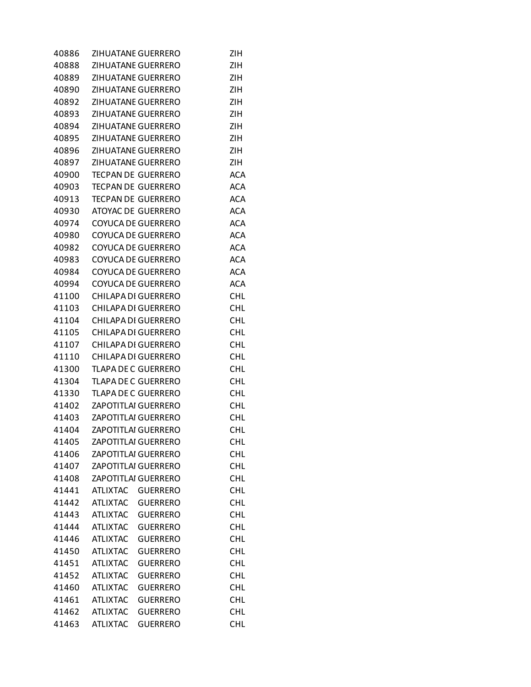| 40886 |                            | ZIHUATANE GUERRERO         | ZIH        |
|-------|----------------------------|----------------------------|------------|
| 40888 | ZIHUATANE GUERRERO         |                            | <b>ZIH</b> |
| 40889 | ZIHUATANE GUERRERO         |                            | ZIH        |
| 40890 | ZIHUATANE GUERRERO         |                            | ZIH        |
| 40892 | ZIHUATANE GUERRERO         |                            | <b>ZIH</b> |
| 40893 | ZIHUATANE GUERRERO         |                            | ZIH        |
| 40894 | ZIHUATANE GUERRERO         |                            | ZIH        |
| 40895 | ZIHUATANE GUERRERO         |                            | ZIH        |
| 40896 | ZIHUATANE GUERRERO         |                            | ZIH        |
| 40897 | ZIHUATANE GUERRERO         |                            | <b>ZIH</b> |
| 40900 | <b>TECPAN DE GUERRERO</b>  |                            | <b>ACA</b> |
| 40903 | <b>TECPAN DE GUERRERO</b>  |                            | <b>ACA</b> |
| 40913 | <b>TECPAN DE GUERRERO</b>  |                            | <b>ACA</b> |
| 40930 |                            | <b>ATOYAC DE GUERRERO</b>  | <b>ACA</b> |
| 40974 |                            | <b>COYUCA DE GUERRERO</b>  | <b>ACA</b> |
| 40980 |                            | <b>COYUCA DE GUERRERO</b>  | <b>ACA</b> |
| 40982 |                            | <b>COYUCA DE GUERRERO</b>  | <b>ACA</b> |
| 40983 |                            | <b>COYUCA DE GUERRERO</b>  | <b>ACA</b> |
| 40984 |                            | <b>COYUCA DE GUERRERO</b>  | <b>ACA</b> |
| 40994 |                            | <b>COYUCA DE GUERRERO</b>  | <b>ACA</b> |
| 41100 |                            | <b>CHILAPA DI GUERRERO</b> | <b>CHL</b> |
| 41103 |                            | <b>CHILAPA DI GUERRERO</b> | <b>CHL</b> |
| 41104 |                            | <b>CHILAPA DI GUERRERO</b> | <b>CHL</b> |
| 41105 |                            | <b>CHILAPA DI GUERRERO</b> | <b>CHL</b> |
| 41107 |                            | <b>CHILAPA DI GUERRERO</b> | <b>CHL</b> |
| 41110 |                            | <b>CHILAPA DI GUERRERO</b> | CHL        |
| 41300 | <b>TLAPA DE C GUERRERO</b> |                            | CHL        |
| 41304 | <b>TLAPA DE C GUERRERO</b> |                            | CHL        |
| 41330 | <b>TLAPA DE C GUERRERO</b> |                            | <b>CHL</b> |
| 41402 | <b>ZAPOTITLAI GUERRERO</b> |                            | <b>CHL</b> |
| 41403 |                            | <b>ZAPOTITLAI GUERRERO</b> | <b>CHL</b> |
| 41404 | <b>ZAPOTITLAI GUERRERO</b> |                            | <b>CHL</b> |
| 41405 | ZAPOTITLAI GUERRERO        |                            | <b>CHL</b> |
| 41406 | ZAPOTITLAI GUERRERO        |                            | <b>CHL</b> |
| 41407 | <b>ZAPOTITLAI GUERRERO</b> |                            | <b>CHL</b> |
| 41408 | <b>ZAPOTITLAI GUERRERO</b> |                            | <b>CHL</b> |
| 41441 | <b>ATLIXTAC</b>            | <b>GUERRERO</b>            | <b>CHL</b> |
| 41442 | <b>ATLIXTAC</b>            | <b>GUERRERO</b>            | <b>CHL</b> |
| 41443 | <b>ATLIXTAC</b>            | <b>GUERRERO</b>            | <b>CHL</b> |
| 41444 | <b>ATLIXTAC</b>            | <b>GUERRERO</b>            | <b>CHL</b> |
| 41446 | <b>ATLIXTAC</b>            | <b>GUERRERO</b>            | CHL        |
| 41450 | <b>ATLIXTAC</b>            | <b>GUERRERO</b>            | <b>CHL</b> |
| 41451 | <b>ATLIXTAC</b>            | <b>GUERRERO</b>            | <b>CHL</b> |
| 41452 | <b>ATLIXTAC</b>            | <b>GUERRERO</b>            | <b>CHL</b> |
| 41460 | <b>ATLIXTAC</b>            | <b>GUERRERO</b>            | <b>CHL</b> |
| 41461 | <b>ATLIXTAC</b>            | <b>GUERRERO</b>            | <b>CHL</b> |
| 41462 | <b>ATLIXTAC</b>            | <b>GUERRERO</b>            | <b>CHL</b> |
| 41463 | <b>ATLIXTAC</b>            | <b>GUERRERO</b>            | <b>CHL</b> |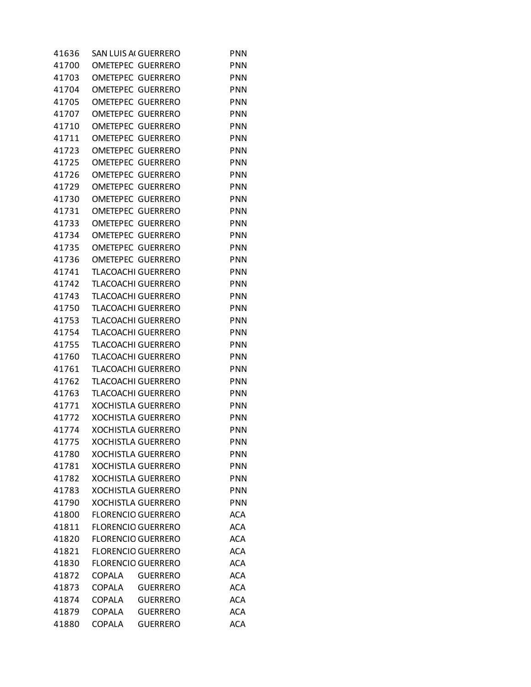| 41636          |               | SAN LUIS AI GUERRERO      | <b>PNN</b>               |
|----------------|---------------|---------------------------|--------------------------|
| 41700          |               | OMETEPEC GUERRERO         | PNN                      |
| 41703          |               | OMETEPEC GUERRERO         | <b>PNN</b>               |
| 41704          |               | OMETEPEC GUERRERO         | <b>PNN</b>               |
| 41705          |               | OMETEPEC GUERRERO         | <b>PNN</b>               |
| 41707          |               | <b>OMETEPEC GUERRERO</b>  | <b>PNN</b>               |
| 41710          |               | OMETEPEC GUERRERO         | <b>PNN</b>               |
| 41711          |               | OMETEPEC GUERRERO         | <b>PNN</b>               |
| 41723          |               | <b>OMETEPEC GUERRERO</b>  | <b>PNN</b>               |
| 41725          |               | OMETEPEC GUERRERO         | <b>PNN</b>               |
| 41726          |               | OMETEPEC GUERRERO         | <b>PNN</b>               |
| 41729          |               | <b>OMETEPEC GUERRERO</b>  | <b>PNN</b>               |
| 41730          |               | OMETEPEC GUERRERO         | <b>PNN</b>               |
| 41731          |               | OMETEPEC GUERRERO         | <b>PNN</b>               |
| 41733          |               | <b>OMETEPEC GUERRERO</b>  | <b>PNN</b>               |
| 41734          |               | OMETEPEC GUERRERO         | <b>PNN</b>               |
| 41735          |               | OMETEPEC GUERRERO         | <b>PNN</b>               |
| 41736          |               | OMETEPEC GUERRERO         | <b>PNN</b>               |
|                |               |                           | <b>PNN</b>               |
| 41741<br>41742 |               | <b>TLACOACHI GUERRERO</b> |                          |
|                |               | <b>TLACOACHI GUERRERO</b> | <b>PNN</b><br><b>PNN</b> |
| 41743          |               | <b>TLACOACHI GUERRERO</b> |                          |
| 41750          |               | <b>TLACOACHI GUERRERO</b> | <b>PNN</b>               |
| 41753          |               | <b>TLACOACHI GUERRERO</b> | <b>PNN</b>               |
| 41754          |               | <b>TLACOACHI GUERRERO</b> | <b>PNN</b>               |
| 41755          |               | TLACOACHI GUERRERO        | <b>PNN</b>               |
| 41760          |               | <b>TLACOACHI GUERRERO</b> | <b>PNN</b>               |
| 41761          |               | <b>TLACOACHI GUERRERO</b> | <b>PNN</b>               |
| 41762          |               | <b>TLACOACHI GUERRERO</b> | <b>PNN</b>               |
| 41763          |               | <b>TLACOACHI GUERRERO</b> | <b>PNN</b>               |
| 41771          |               | <b>XOCHISTLA GUERRERO</b> | <b>PNN</b>               |
| 41772          |               | <b>XOCHISTLA GUERRERO</b> | PNN                      |
| 41774          |               | <b>XOCHISTLA GUERRERO</b> | <b>PNN</b>               |
| 41775          |               | <b>XOCHISTLA GUERRERO</b> | PNN                      |
| 41780          |               | <b>XOCHISTLA GUERRERO</b> | <b>PNN</b>               |
| 41781          |               | <b>XOCHISTLA GUERRERO</b> | <b>PNN</b>               |
| 41782          |               | <b>XOCHISTLA GUERRERO</b> | <b>PNN</b>               |
| 41783          |               | <b>XOCHISTLA GUERRERO</b> | <b>PNN</b>               |
| 41790          |               | <b>XOCHISTLA GUERRERO</b> | <b>PNN</b>               |
| 41800          |               | <b>FLORENCIO GUERRERO</b> | <b>ACA</b>               |
| 41811          |               | <b>FLORENCIO GUERRERO</b> | <b>ACA</b>               |
| 41820          |               | <b>FLORENCIO GUERRERO</b> | <b>ACA</b>               |
| 41821          |               | <b>FLORENCIO GUERRERO</b> | <b>ACA</b>               |
| 41830          |               | <b>FLORENCIO GUERRERO</b> | <b>ACA</b>               |
| 41872          | COPALA        | <b>GUERRERO</b>           | <b>ACA</b>               |
| 41873          | COPALA        | <b>GUERRERO</b>           | <b>ACA</b>               |
| 41874          | COPALA        | <b>GUERRERO</b>           | <b>ACA</b>               |
| 41879          | <b>COPALA</b> | <b>GUERRERO</b>           | <b>ACA</b>               |
| 41880          | <b>COPALA</b> | <b>GUERRERO</b>           | <b>ACA</b>               |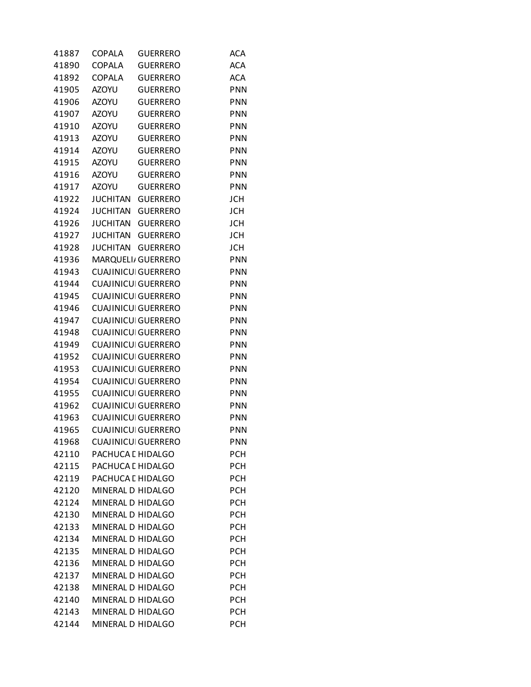| 41887 | COPALA            | <b>GUERRERO</b>            | ACA        |
|-------|-------------------|----------------------------|------------|
| 41890 | <b>COPALA</b>     | <b>GUERRERO</b>            | <b>ACA</b> |
| 41892 | <b>COPALA</b>     | <b>GUERRERO</b>            | <b>ACA</b> |
| 41905 | <b>AZOYU</b>      | <b>GUERRERO</b>            | <b>PNN</b> |
| 41906 | <b>AZOYU</b>      | <b>GUERRERO</b>            | PNN        |
| 41907 | <b>AZOYU</b>      | <b>GUERRERO</b>            | PNN        |
| 41910 | <b>AZOYU</b>      | <b>GUERRERO</b>            | <b>PNN</b> |
| 41913 | <b>AZOYU</b>      | <b>GUERRERO</b>            | <b>PNN</b> |
| 41914 | <b>AZOYU</b>      | <b>GUERRERO</b>            | <b>PNN</b> |
| 41915 | <b>AZOYU</b>      | <b>GUERRERO</b>            | <b>PNN</b> |
| 41916 | <b>AZOYU</b>      | <b>GUERRERO</b>            | PNN        |
| 41917 | <b>AZOYU</b>      | <b>GUERRERO</b>            | PNN        |
| 41922 | <b>JUCHITAN</b>   | <b>GUERRERO</b>            | <b>JCH</b> |
| 41924 | <b>JUCHITAN</b>   | <b>GUERRERO</b>            | <b>JCH</b> |
| 41926 | <b>JUCHITAN</b>   | <b>GUERRERO</b>            | <b>JCH</b> |
| 41927 | <b>JUCHITAN</b>   | <b>GUERRERO</b>            | <b>JCH</b> |
| 41928 | <b>JUCHITAN</b>   | <b>GUERRERO</b>            | <b>JCH</b> |
| 41936 |                   | MARQUELI/ GUERRERO         | <b>PNN</b> |
| 41943 |                   | <b>CUAJINICUI GUERRERO</b> | <b>PNN</b> |
| 41944 |                   | <b>CUAJINICUI GUERRERO</b> | <b>PNN</b> |
| 41945 |                   | <b>CUAJINICUI GUERRERO</b> | <b>PNN</b> |
| 41946 |                   | <b>CUAJINICUI GUERRERO</b> | <b>PNN</b> |
| 41947 |                   | <b>CUAJINICUI GUERRERO</b> | PNN        |
| 41948 |                   | <b>CUAJINICUI GUERRERO</b> | PNN        |
| 41949 |                   | <b>CUAJINICUI GUERRERO</b> | <b>PNN</b> |
| 41952 |                   | <b>CUAJINICUI GUERRERO</b> | <b>PNN</b> |
| 41953 |                   | <b>CUAJINICUI GUERRERO</b> | <b>PNN</b> |
| 41954 |                   | <b>CUAJINICUI GUERRERO</b> | <b>PNN</b> |
| 41955 |                   | <b>CUAJINICUI GUERRERO</b> | PNN        |
| 41962 |                   | <b>CUAJINICUI GUERRERO</b> | PNN        |
| 41963 |                   | <b>CUAJINICUI GUERRERO</b> | <b>PNN</b> |
| 41965 |                   | <b>CUAJINICUI GUERRERO</b> | <b>PNN</b> |
| 41968 |                   | <b>CUAJINICUI GUERRERO</b> | <b>PNN</b> |
| 42110 | PACHUCA L HIDALGO |                            | <b>PCH</b> |
| 42115 | PACHUCA L HIDALGO |                            | <b>PCH</b> |
| 42119 | PACHUCA L HIDALGO |                            | <b>PCH</b> |
| 42120 | MINERAL D HIDALGO |                            | <b>PCH</b> |
| 42124 | MINERAL D HIDALGO |                            | <b>PCH</b> |
| 42130 | MINERAL D HIDALGO |                            | <b>PCH</b> |
| 42133 | MINERAL D HIDALGO |                            | <b>PCH</b> |
| 42134 | MINERAL D HIDALGO |                            | <b>PCH</b> |
| 42135 | MINERAL D HIDALGO |                            | <b>PCH</b> |
| 42136 | MINERAL D HIDALGO |                            | <b>PCH</b> |
| 42137 | MINERAL D HIDALGO |                            | <b>PCH</b> |
| 42138 | MINERAL D HIDALGO |                            | <b>PCH</b> |
| 42140 | MINERAL D HIDALGO |                            | <b>PCH</b> |
| 42143 | MINERAL D HIDALGO |                            | <b>PCH</b> |
| 42144 | MINERAL D HIDALGO |                            | <b>PCH</b> |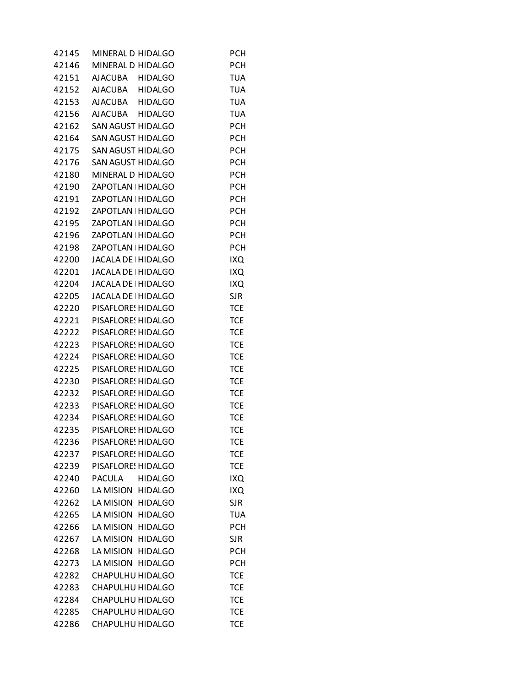| 42145 | MINERAL D HIDALGO               | <b>PCH</b> |
|-------|---------------------------------|------------|
| 42146 | MINERAL D HIDALGO               | <b>PCH</b> |
| 42151 | AJACUBA HIDALGO                 | <b>TUA</b> |
| 42152 | AJACUBA HIDALGO                 | <b>TUA</b> |
| 42153 | AJACUBA HIDALGO                 | <b>TUA</b> |
| 42156 | AJACUBA HIDALGO                 | <b>TUA</b> |
| 42162 | SAN AGUST HIDALGO               | <b>PCH</b> |
| 42164 | SAN AGUST HIDALGO               | <b>PCH</b> |
| 42175 | SAN AGUST HIDALGO               | <b>PCH</b> |
| 42176 | SAN AGUST HIDALGO               | <b>PCH</b> |
| 42180 | MINERAL D HIDALGO               | <b>PCH</b> |
| 42190 | ZAPOTLAN   HIDALGO              | <b>PCH</b> |
| 42191 | ZAPOTLAN   HIDALGO              | <b>PCH</b> |
| 42192 | ZAPOTLAN   HIDALGO              | <b>PCH</b> |
| 42195 | ZAPOTLAN   HIDALGO              | <b>PCH</b> |
| 42196 | ZAPOTLAN   HIDALGO              | <b>PCH</b> |
|       |                                 |            |
| 42198 | ZAPOTLAN   HIDALGO              | <b>PCH</b> |
| 42200 | JACALA DE HIDALGO               | IXQ        |
| 42201 | JACALA DE HIDALGO               | IXQ        |
| 42204 | JACALA DE HIDALGO               | IXQ        |
| 42205 | JACALA DE HIDALGO               | <b>SJR</b> |
| 42220 | PISAFLORE! HIDALGO              | <b>TCE</b> |
| 42221 | PISAFLORE! HIDALGO              | <b>TCE</b> |
| 42222 | PISAFLORE! HIDALGO              | <b>TCE</b> |
| 42223 | PISAFLORE! HIDALGO              | <b>TCE</b> |
| 42224 | PISAFLORE! HIDALGO              | <b>TCE</b> |
| 42225 | PISAFLORE! HIDALGO              | <b>TCE</b> |
| 42230 | PISAFLORE! HIDALGO              | <b>TCE</b> |
| 42232 | PISAFLORE: HIDALGO              | <b>TCE</b> |
| 42233 | PISAFLORE: HIDALGO              | <b>TCE</b> |
|       | 42234 PISAFLORE! HIDALGO        | <b>TCE</b> |
|       | 42235 PISAFLORE! HIDALGO        | <b>TCE</b> |
| 42236 | PISAFLORE! HIDALGO              | <b>TCE</b> |
| 42237 | PISAFLORE: HIDALGO              | <b>TCE</b> |
| 42239 | PISAFLORE: HIDALGO              | <b>TCE</b> |
| 42240 | <b>HIDALGO</b><br><b>PACULA</b> | IXQ        |
| 42260 | LA MISION HIDALGO               | IXQ        |
| 42262 | LA MISION HIDALGO               | <b>SJR</b> |
| 42265 | LA MISION HIDALGO               | <b>TUA</b> |
| 42266 | LA MISION HIDALGO               | <b>PCH</b> |
| 42267 | LA MISION HIDALGO               | <b>SJR</b> |
| 42268 | LA MISION HIDALGO               | <b>PCH</b> |
| 42273 | LA MISION HIDALGO               | <b>PCH</b> |
| 42282 | CHAPULHU HIDALGO                | <b>TCE</b> |
| 42283 | CHAPULHU HIDALGO                | <b>TCE</b> |
| 42284 | CHAPULHU HIDALGO                | <b>TCE</b> |
| 42285 | CHAPULHU HIDALGO                | <b>TCE</b> |
| 42286 | CHAPULHU HIDALGO                | <b>TCE</b> |
|       |                                 |            |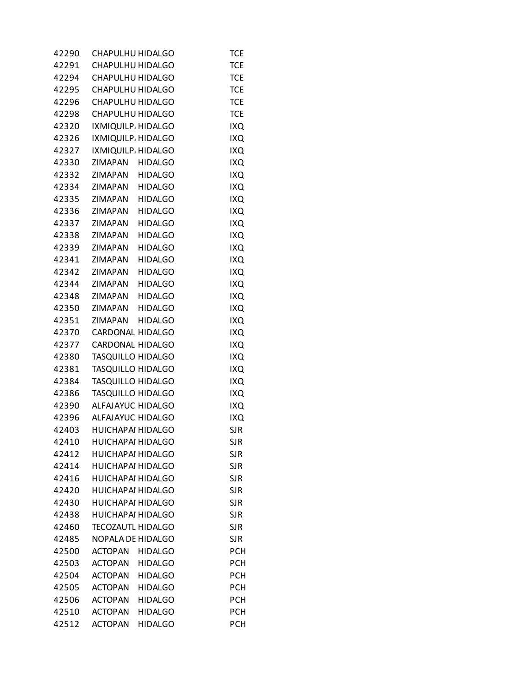| 42290 | CHAPULHU HIDALGO         |                | TCE        |
|-------|--------------------------|----------------|------------|
| 42291 | CHAPULHU HIDALGO         |                | <b>TCE</b> |
| 42294 | CHAPULHU HIDALGO         |                | <b>TCE</b> |
| 42295 | CHAPULHU HIDALGO         |                | <b>TCE</b> |
| 42296 | CHAPULHU HIDALGO         |                | <b>TCE</b> |
| 42298 | CHAPULHU HIDALGO         |                | <b>TCE</b> |
| 42320 | IXMIQUILP. HIDALGO       |                | IXQ        |
| 42326 | IXMIQUILP. HIDALGO       |                | IXQ        |
| 42327 | IXMIQUILP. HIDALGO       |                | IXQ        |
| 42330 | ZIMAPAN HIDALGO          |                | <b>IXQ</b> |
| 42332 | ZIMAPAN HIDALGO          |                | IXQ        |
| 42334 | ZIMAPAN HIDALGO          |                | IXQ        |
| 42335 | ZIMAPAN HIDALGO          |                | IXQ        |
| 42336 | ZIMAPAN HIDALGO          |                | IXQ        |
|       | 42337 ZIMAPAN HIDALGO    |                | IXQ        |
| 42338 | ZIMAPAN HIDALGO          |                | <b>IXQ</b> |
| 42339 | ZIMAPAN                  | <b>HIDALGO</b> |            |
|       |                          |                | IXQ        |
| 42341 | ZIMAPAN                  | <b>HIDALGO</b> | IXQ        |
| 42342 | ZIMAPAN                  | <b>HIDALGO</b> | IXQ        |
| 42344 | ZIMAPAN HIDALGO          |                | IXQ        |
| 42348 | ZIMAPAN HIDALGO          |                | IXQ        |
| 42350 | ZIMAPAN HIDALGO          |                | IXQ        |
| 42351 | ZIMAPAN HIDALGO          |                | IXQ        |
| 42370 | CARDONAL HIDALGO         |                | IXQ        |
| 42377 | CARDONAL HIDALGO         |                | IXQ        |
| 42380 | <b>TASQUILLO HIDALGO</b> |                | IXQ        |
| 42381 | TASQUILLO HIDALGO        |                | IXQ        |
| 42384 | <b>TASQUILLO HIDALGO</b> |                | IXQ        |
| 42386 | TASQUILLO HIDALGO        |                | IXQ        |
| 42390 | ALFAJAYUC HIDALGO        |                | IXQ        |
| 42396 | ALFAJAYUC HIDALGO        |                | IXQ        |
| 42403 | <b>HUICHAPAI HIDALGO</b> |                | <b>SJR</b> |
| 42410 | <b>HUICHAPAI HIDALGO</b> |                | <b>SJR</b> |
| 42412 | HUICHAPAI HIDALGO        |                | <b>SJR</b> |
| 42414 | HUICHAPAI HIDALGO        |                | <b>SJR</b> |
| 42416 | <b>HUICHAPAI HIDALGO</b> |                | <b>SJR</b> |
| 42420 | <b>HUICHAPAI HIDALGO</b> |                | <b>SJR</b> |
| 42430 | <b>HUICHAPAI HIDALGO</b> |                | <b>SJR</b> |
| 42438 | <b>HUICHAPAI HIDALGO</b> |                | <b>SJR</b> |
| 42460 | <b>TECOZAUTL HIDALGO</b> |                | <b>SJR</b> |
| 42485 | NOPALA DE HIDALGO        |                | <b>SJR</b> |
| 42500 | <b>ACTOPAN</b>           | <b>HIDALGO</b> | <b>PCH</b> |
| 42503 | ACTOPAN HIDALGO          |                | <b>PCH</b> |
| 42504 | <b>ACTOPAN</b>           | <b>HIDALGO</b> | <b>PCH</b> |
| 42505 | <b>ACTOPAN</b>           | <b>HIDALGO</b> | <b>PCH</b> |
| 42506 | <b>ACTOPAN</b>           | <b>HIDALGO</b> | <b>PCH</b> |
| 42510 | <b>ACTOPAN</b>           | <b>HIDALGO</b> | <b>PCH</b> |
| 42512 | <b>ACTOPAN</b>           | <b>HIDALGO</b> | <b>PCH</b> |
|       |                          |                |            |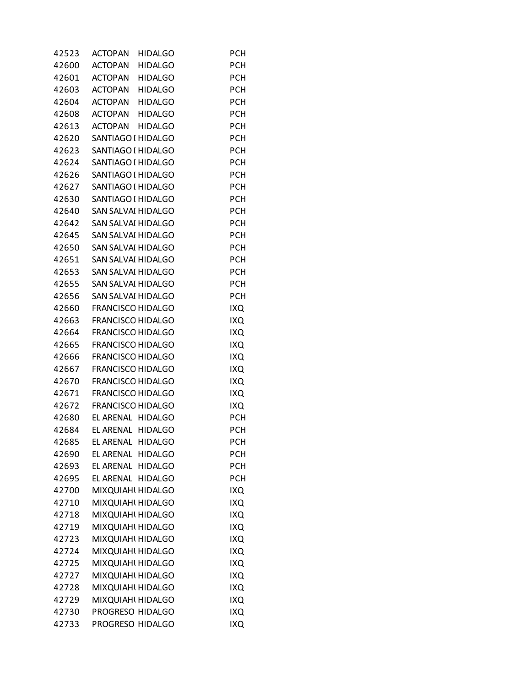| 42523 | <b>ACTOPAN</b><br><b>HIDALGO</b> | PCH        |
|-------|----------------------------------|------------|
| 42600 | ACTOPAN HIDALGO                  | <b>PCH</b> |
| 42601 | ACTOPAN HIDALGO                  | <b>PCH</b> |
| 42603 | ACTOPAN HIDALGO                  | <b>PCH</b> |
| 42604 | ACTOPAN HIDALGO                  | <b>PCH</b> |
| 42608 | ACTOPAN HIDALGO                  | <b>PCH</b> |
| 42613 | ACTOPAN HIDALGO                  | <b>PCH</b> |
| 42620 | SANTIAGO I HIDALGO               | <b>PCH</b> |
| 42623 | SANTIAGO I HIDALGO               | <b>PCH</b> |
| 42624 | SANTIAGO I HIDALGO               | <b>PCH</b> |
| 42626 | SANTIAGO I HIDALGO               | <b>PCH</b> |
| 42627 | SANTIAGO I HIDALGO               | <b>PCH</b> |
| 42630 | SANTIAGO I HIDALGO               | <b>PCH</b> |
| 42640 | SAN SALVAI HIDALGO               | <b>PCH</b> |
| 42642 | SAN SALVAI HIDALGO               | <b>PCH</b> |
| 42645 | SAN SALVAI HIDALGO               | <b>PCH</b> |
| 42650 | <b>SAN SALVAI HIDALGO</b>        | <b>PCH</b> |
| 42651 | SAN SALVAI HIDALGO               | <b>PCH</b> |
| 42653 | SAN SALVAI HIDALGO               | <b>PCH</b> |
| 42655 | SAN SALVAI HIDALGO               | <b>PCH</b> |
| 42656 | SAN SALVAI HIDALGO               | <b>PCH</b> |
| 42660 | <b>FRANCISCO HIDALGO</b>         | <b>IXQ</b> |
| 42663 | <b>FRANCISCO HIDALGO</b>         | IXQ        |
| 42664 | <b>FRANCISCO HIDALGO</b>         | IXQ        |
| 42665 | <b>FRANCISCO HIDALGO</b>         | IXQ        |
| 42666 | <b>FRANCISCO HIDALGO</b>         | <b>IXQ</b> |
| 42667 | <b>FRANCISCO HIDALGO</b>         | IXQ        |
| 42670 | <b>FRANCISCO HIDALGO</b>         | <b>IXQ</b> |
| 42671 | <b>FRANCISCO HIDALGO</b>         | IXQ        |
| 42672 | <b>FRANCISCO HIDALGO</b>         | IXQ        |
| 42680 | EL ARENAL HIDALGO                | PCH        |
| 42684 | EL ARENAL HIDALGO                | PCH        |
| 42685 | EL ARENAL HIDALGO                | <b>PCH</b> |
| 42690 | EL ARENAL HIDALGO                | PCH        |
| 42693 | EL ARENAL HIDALGO                | PCH        |
| 42695 | EL ARENAL HIDALGO                | <b>PCH</b> |
| 42700 | MIXQUIAHI HIDALGO                | IXQ        |
| 42710 | MIXQUIAHI HIDALGO                | IXQ        |
| 42718 | MIXQUIAHI HIDALGO                | IXQ        |
| 42719 | MIXQUIAHI HIDALGO                | IXQ        |
| 42723 | MIXQUIAHI HIDALGO                | IXQ        |
| 42724 | MIXQUIAHI HIDALGO                | IXQ        |
| 42725 | MIXQUIAHI HIDALGO                | IXQ        |
| 42727 | MIXQUIAHI HIDALGO                | IXQ        |
| 42728 | MIXQUIAHI HIDALGO                | IXQ        |
| 42729 | MIXQUIAHI HIDALGO                | IXQ        |
| 42730 | PROGRESO HIDALGO                 | IXQ        |
| 42733 | PROGRESO HIDALGO                 | IXQ        |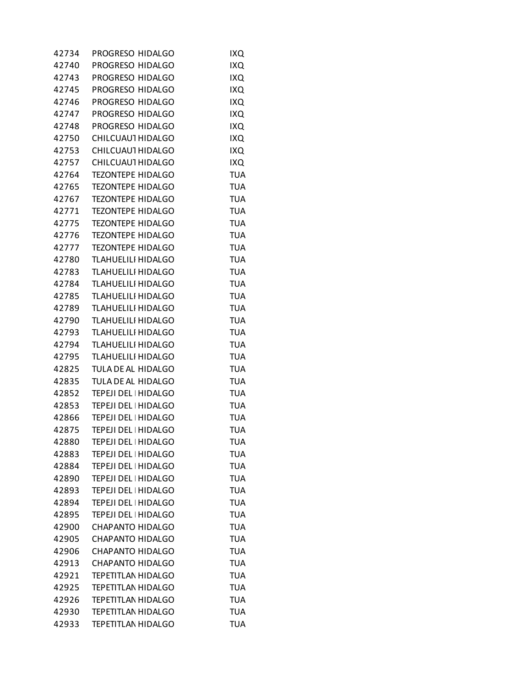| 42734 | PROGRESO HIDALGO          | IXQ        |
|-------|---------------------------|------------|
| 42740 | PROGRESO HIDALGO          | IXQ        |
| 42743 | PROGRESO HIDALGO          | IXQ        |
| 42745 | PROGRESO HIDALGO          | IXQ        |
| 42746 | PROGRESO HIDALGO          | IXQ        |
| 42747 | PROGRESO HIDALGO          | IXQ        |
| 42748 | PROGRESO HIDALGO          | IXQ        |
| 42750 | CHILCUAU1 HIDALGO         | IXQ        |
| 42753 | CHILCUAU1 HIDALGO         | IXQ        |
| 42757 | CHILCUAU1 HIDALGO         | IXQ        |
| 42764 | <b>TEZONTEPE HIDALGO</b>  | <b>TUA</b> |
| 42765 | <b>TEZONTEPE HIDALGO</b>  | <b>TUA</b> |
| 42767 | <b>TEZONTEPE HIDALGO</b>  | <b>TUA</b> |
| 42771 | <b>TEZONTEPE HIDALGO</b>  | <b>TUA</b> |
| 42775 | <b>TEZONTEPE HIDALGO</b>  | <b>TUA</b> |
| 42776 | <b>TEZONTEPE HIDALGO</b>  | <b>TUA</b> |
| 42777 | <b>TEZONTEPE HIDALGO</b>  | <b>TUA</b> |
| 42780 | <b>TLAHUELILI HIDALGO</b> | <b>TUA</b> |
| 42783 | <b>TLAHUELILI HIDALGO</b> | <b>TUA</b> |
| 42784 | <b>TLAHUELILI HIDALGO</b> | <b>TUA</b> |
| 42785 | <b>TLAHUELILI HIDALGO</b> | <b>TUA</b> |
| 42789 | <b>TLAHUELILI HIDALGO</b> | <b>TUA</b> |
|       |                           |            |
| 42790 | <b>TLAHUELILI HIDALGO</b> | <b>TUA</b> |
| 42793 | <b>TLAHUELILI HIDALGO</b> | <b>TUA</b> |
| 42794 | <b>TLAHUELILI HIDALGO</b> | <b>TUA</b> |
| 42795 | <b>TLAHUELILI HIDALGO</b> | <b>TUA</b> |
| 42825 | TULA DE AL HIDALGO        | <b>TUA</b> |
| 42835 | TULA DE AL HIDALGO        | <b>TUA</b> |
| 42852 | TEPEJI DEL   HIDALGO      | <b>TUA</b> |
| 42853 | TEPEJI DEL   HIDALGO      | <b>TUA</b> |
| 42866 | TEPEJI DEL   HIDALGO      | <b>TUA</b> |
| 42875 | TEPEJI DEL   HIDALGO      | <b>TUA</b> |
| 42880 | TEPEJI DEL   HIDALGO      | <b>TUA</b> |
| 42883 | TEPEJI DEL   HIDALGO      | <b>TUA</b> |
| 42884 | TEPEJI DEL   HIDALGO      | <b>TUA</b> |
| 42890 | TEPEJI DEL   HIDALGO      | <b>TUA</b> |
| 42893 | TEPEJI DEL   HIDALGO      | <b>TUA</b> |
| 42894 | TEPEJI DEL   HIDALGO      | <b>TUA</b> |
| 42895 | TEPEJI DEL   HIDALGO      | <b>TUA</b> |
| 42900 | CHAPANTO HIDALGO          | <b>TUA</b> |
| 42905 | <b>CHAPANTO HIDALGO</b>   | <b>TUA</b> |
| 42906 | <b>CHAPANTO HIDALGO</b>   | <b>TUA</b> |
| 42913 | <b>CHAPANTO HIDALGO</b>   | <b>TUA</b> |
| 42921 | <b>TEPETITLAN HIDALGO</b> | <b>TUA</b> |
| 42925 | <b>TEPETITLAN HIDALGO</b> | <b>TUA</b> |
| 42926 | <b>TEPETITLAN HIDALGO</b> | <b>TUA</b> |
| 42930 | <b>TEPETITLAN HIDALGO</b> | <b>TUA</b> |
| 42933 | <b>TEPETITLAN HIDALGO</b> | <b>TUA</b> |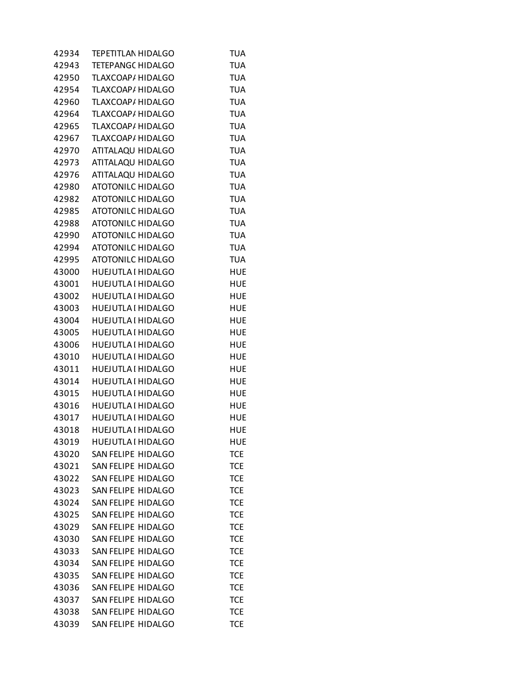| 42934 | <b>TEPETITLAN HIDALGO</b> | <b>TUA</b> |
|-------|---------------------------|------------|
| 42943 | <b>TETEPANGC HIDALGO</b>  | <b>TUA</b> |
| 42950 | TLAXCOAP/ HIDALGO         | <b>TUA</b> |
| 42954 | TLAXCOAP/ HIDALGO         | <b>TUA</b> |
| 42960 | TLAXCOAP/ HIDALGO         | <b>TUA</b> |
| 42964 | TLAXCOAP/ HIDALGO         | <b>TUA</b> |
| 42965 | TLAXCOAP/ HIDALGO         | <b>TUA</b> |
| 42967 | TLAXCOAP/ HIDALGO         | <b>TUA</b> |
| 42970 | ATITALAQU HIDALGO         | <b>TUA</b> |
| 42973 | ATITALAQU HIDALGO         | <b>TUA</b> |
| 42976 | ATITALAQU HIDALGO         | <b>TUA</b> |
| 42980 | <b>ATOTONILC HIDALGO</b>  | <b>TUA</b> |
| 42982 | <b>ATOTONILC HIDALGO</b>  | <b>TUA</b> |
| 42985 | <b>ATOTONILC HIDALGO</b>  | <b>TUA</b> |
| 42988 | <b>ATOTONILC HIDALGO</b>  | <b>TUA</b> |
| 42990 | <b>ATOTONILC HIDALGO</b>  | <b>TUA</b> |
| 42994 | <b>ATOTONILC HIDALGO</b>  | <b>TUA</b> |
| 42995 | <b>ATOTONILC HIDALGO</b>  | <b>TUA</b> |
| 43000 | <b>HUEJUTLA I HIDALGO</b> | <b>HUE</b> |
| 43001 | <b>HUEJUTLA I HIDALGO</b> | <b>HUE</b> |
| 43002 | HUEJUTLA I HIDALGO        | <b>HUE</b> |
| 43003 | HUEJUTLA I HIDALGO        | <b>HUE</b> |
|       |                           |            |
| 43004 | <b>HUEJUTLA I HIDALGO</b> | <b>HUE</b> |
| 43005 | <b>HUEJUTLA I HIDALGO</b> | <b>HUE</b> |
| 43006 | <b>HUEJUTLA I HIDALGO</b> | <b>HUE</b> |
| 43010 | <b>HUEJUTLA I HIDALGO</b> | <b>HUE</b> |
| 43011 | HUEJUTLA I HIDALGO        | <b>HUE</b> |
| 43014 | HUEJUTLA I HIDALGO        | <b>HUE</b> |
| 43015 | <b>HUEJUTLA I HIDALGO</b> | <b>HUE</b> |
| 43016 | <b>HUEJUTLA I HIDALGO</b> | <b>HUE</b> |
| 43017 | HUEJUTLA I HIDALGO        | <b>HUE</b> |
| 43018 | HUEJUTLA I HIDALGO        | <b>HUE</b> |
| 43019 | HUEJUTLA I HIDALGO        | <b>HUE</b> |
| 43020 | SAN FELIPE HIDALGO        | <b>TCE</b> |
| 43021 | <b>SAN FELIPE HIDALGO</b> | <b>TCE</b> |
| 43022 | <b>SAN FELIPE HIDALGO</b> | <b>TCE</b> |
| 43023 | SAN FELIPE HIDALGO        | <b>TCE</b> |
| 43024 | SAN FELIPE HIDALGO        | <b>TCE</b> |
| 43025 | SAN FELIPE HIDALGO        | <b>TCE</b> |
| 43029 | <b>SAN FELIPE HIDALGO</b> | <b>TCE</b> |
| 43030 | <b>SAN FELIPE HIDALGO</b> | <b>TCE</b> |
| 43033 | <b>SAN FELIPE HIDALGO</b> | <b>TCE</b> |
| 43034 | SAN FELIPE HIDALGO        | <b>TCE</b> |
| 43035 | SAN FELIPE HIDALGO        | <b>TCE</b> |
| 43036 | SAN FELIPE HIDALGO        | <b>TCE</b> |
| 43037 | SAN FELIPE HIDALGO        | <b>TCE</b> |
| 43038 | SAN FELIPE HIDALGO        | <b>TCE</b> |
| 43039 | SAN FELIPE HIDALGO        | <b>TCE</b> |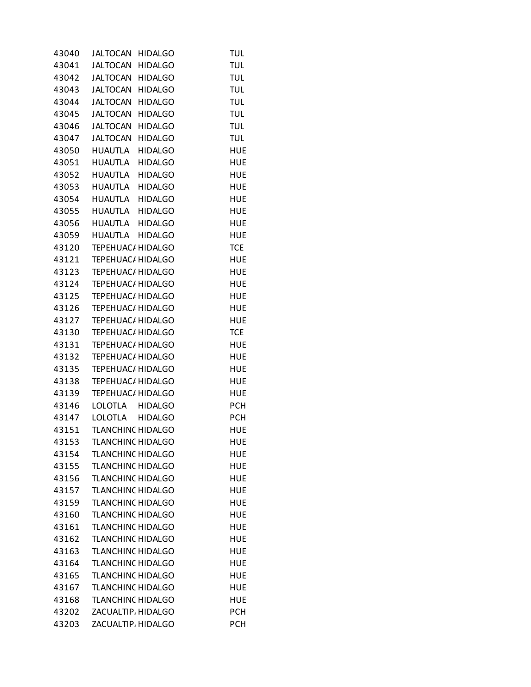| 43040 | JALTOCAN                 | <b>HIDALGO</b> | <b>TUL</b> |
|-------|--------------------------|----------------|------------|
| 43041 | <b>JALTOCAN</b>          | <b>HIDALGO</b> | <b>TUL</b> |
|       | 43042 JALTOCAN HIDALGO   |                | <b>TUL</b> |
|       | 43043 JALTOCAN HIDALGO   |                | <b>TUL</b> |
| 43044 | JALTOCAN                 | <b>HIDALGO</b> | <b>TUL</b> |
| 43045 | <b>JALTOCAN</b>          | <b>HIDALGO</b> | <b>TUL</b> |
| 43046 | <b>JALTOCAN</b>          | <b>HIDALGO</b> | <b>TUL</b> |
| 43047 | <b>JALTOCAN</b>          | <b>HIDALGO</b> | <b>TUL</b> |
|       | 43050 HUAUTLA            | <b>HIDALGO</b> | <b>HUE</b> |
|       | 43051 HUAUTLA HIDALGO    |                | <b>HUE</b> |
|       | 43052 HUAUTLA            | <b>HIDALGO</b> | <b>HUE</b> |
| 43053 | HUAUTLA                  | <b>HIDALGO</b> | <b>HUE</b> |
| 43054 | HUAUTLA HIDALGO          |                | <b>HUE</b> |
| 43055 | HUAUTLA HIDALGO          |                | <b>HUE</b> |
| 43056 | HUAUTLA HIDALGO          |                | <b>HUE</b> |
|       | 43059 HUAUTLA HIDALGO    |                | <b>HUE</b> |
| 43120 | <b>TEPEHUAC/ HIDALGO</b> |                | <b>TCE</b> |
| 43121 | TEPEHUAC/ HIDALGO        |                | <b>HUE</b> |
| 43123 | <b>TEPEHUAC/ HIDALGO</b> |                | <b>HUE</b> |
| 43124 | <b>TEPEHUAC/ HIDALGO</b> |                | <b>HUE</b> |
| 43125 | TEPEHUAC/ HIDALGO        |                | <b>HUE</b> |
| 43126 | TEPEHUAC/ HIDALGO        |                | <b>HUE</b> |
| 43127 | <b>TEPEHUAC/ HIDALGO</b> |                | <b>HUE</b> |
| 43130 | TEPEHUAC/ HIDALGO        |                | <b>TCE</b> |
| 43131 | <b>TEPEHUAC/ HIDALGO</b> |                | <b>HUE</b> |
| 43132 | TEPEHUAC/ HIDALGO        |                | <b>HUE</b> |
| 43135 | TEPEHUAC/ HIDALGO        |                | <b>HUE</b> |
| 43138 | TEPEHUAC/ HIDALGO        |                | <b>HUE</b> |
| 43139 | <b>TEPEHUAC/ HIDALGO</b> |                | <b>HUE</b> |
| 43146 | LOLOTLA HIDALGO          |                | <b>PCH</b> |
| 43147 | LOLOTLA HIDALGO          |                | <b>PCH</b> |
| 43151 | <b>TLANCHINC HIDALGO</b> |                | <b>HUE</b> |
| 43153 | TLANCHINC HIDALGO        |                | <b>HUE</b> |
| 43154 | <b>TLANCHINC HIDALGO</b> |                | <b>HUE</b> |
| 43155 | <b>TLANCHINC HIDALGO</b> |                | <b>HUE</b> |
| 43156 | <b>TLANCHINC HIDALGO</b> |                | HUE        |
| 43157 | <b>TLANCHINC HIDALGO</b> |                | HUE        |
| 43159 | <b>TLANCHINC HIDALGO</b> |                | <b>HUE</b> |
| 43160 | <b>TLANCHINC HIDALGO</b> |                | <b>HUE</b> |
| 43161 | <b>TLANCHINC HIDALGO</b> |                | HUE        |
| 43162 | <b>TLANCHINC HIDALGO</b> |                | <b>HUE</b> |
| 43163 | <b>TLANCHINC HIDALGO</b> |                | HUE        |
| 43164 | <b>TLANCHINC HIDALGO</b> |                | HUE        |
| 43165 | <b>TLANCHINC HIDALGO</b> |                | <b>HUE</b> |
| 43167 | <b>TLANCHINC HIDALGO</b> |                | <b>HUE</b> |
| 43168 | <b>TLANCHINC HIDALGO</b> |                | HUE        |
| 43202 | ZACUALTIP, HIDALGO       |                | <b>PCH</b> |
| 43203 | ZACUALTIP, HIDALGO       |                | <b>PCH</b> |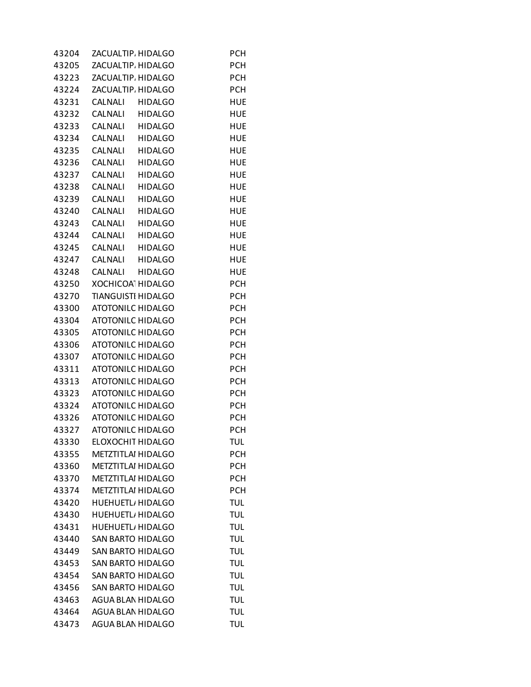| 43204 |                | ZACUALTIP, HIDALGO        | <b>PCH</b> |
|-------|----------------|---------------------------|------------|
| 43205 |                | ZACUALTIP, HIDALGO        | <b>PCH</b> |
| 43223 |                | ZACUALTIP, HIDALGO        | <b>PCH</b> |
| 43224 |                | ZACUALTIP, HIDALGO        | <b>PCH</b> |
| 43231 |                | CALNALI HIDALGO           | <b>HUE</b> |
| 43232 |                | CALNALI HIDALGO           | <b>HUE</b> |
| 43233 |                | CALNALI HIDALGO           | <b>HUE</b> |
| 43234 |                | CALNALI HIDALGO           | <b>HUE</b> |
| 43235 |                | CALNALI HIDALGO           | <b>HUE</b> |
| 43236 |                | CALNALI HIDALGO           | <b>HUE</b> |
| 43237 | CALNALI        | <b>HIDALGO</b>            | <b>HUE</b> |
| 43238 | CALNALI        | <b>HIDALGO</b>            | <b>HUE</b> |
| 43239 | CALNALI        | <b>HIDALGO</b>            | <b>HUE</b> |
| 43240 |                | CALNALI HIDALGO           | <b>HUE</b> |
| 43243 |                | CALNALI HIDALGO           | <b>HUE</b> |
| 43244 |                | CALNALI HIDALGO           | <b>HUE</b> |
| 43245 |                | CALNALI HIDALGO           | <b>HUE</b> |
| 43247 | CALNALI        | HIDALGO                   | <b>HUE</b> |
| 43248 | <b>CALNALI</b> | HIDALGO                   | <b>HUE</b> |
| 43250 |                | XOCHICOA HIDALGO          | <b>PCH</b> |
| 43270 |                | <b>TIANGUISTI HIDALGO</b> | <b>PCH</b> |
| 43300 |                | <b>ATOTONILC HIDALGO</b>  | <b>PCH</b> |
| 43304 |                | <b>ATOTONILC HIDALGO</b>  | <b>PCH</b> |
| 43305 |                | <b>ATOTONILC HIDALGO</b>  | <b>PCH</b> |
| 43306 |                | <b>ATOTONILC HIDALGO</b>  | <b>PCH</b> |
| 43307 |                | <b>ATOTONILC HIDALGO</b>  | <b>PCH</b> |
| 43311 |                | <b>ATOTONILC HIDALGO</b>  | <b>PCH</b> |
| 43313 |                | <b>ATOTONILC HIDALGO</b>  | <b>PCH</b> |
| 43323 |                | <b>ATOTONILC HIDALGO</b>  | <b>PCH</b> |
| 43324 |                | <b>ATOTONILC HIDALGO</b>  | <b>PCH</b> |
| 43326 |                | <b>ATOTONILC HIDALGO</b>  | <b>PCH</b> |
| 43327 |                | <b>ATOTONILC HIDALGO</b>  | <b>PCH</b> |
| 43330 |                | ELOXOCHIT HIDALGO         | <b>TUL</b> |
| 43355 |                | <b>METZTITLAI HIDALGO</b> | <b>PCH</b> |
| 43360 |                | <b>METZTITLAI HIDALGO</b> | <b>PCH</b> |
| 43370 |                | <b>METZTITLAI HIDALGO</b> | <b>PCH</b> |
| 43374 |                | <b>METZTITLAI HIDALGO</b> | <b>PCH</b> |
| 43420 |                | <b>HUEHUETL, HIDALGO</b>  | <b>TUL</b> |
| 43430 |                | HUEHUETL, HIDALGO         | <b>TUL</b> |
| 43431 |                | <b>HUEHUETL, HIDALGO</b>  | <b>TUL</b> |
| 43440 |                | <b>SAN BARTO HIDALGO</b>  | <b>TUL</b> |
| 43449 |                | <b>SAN BARTO HIDALGO</b>  | <b>TUL</b> |
| 43453 |                | <b>SAN BARTO HIDALGO</b>  | <b>TUL</b> |
| 43454 |                | <b>SAN BARTO HIDALGO</b>  | <b>TUL</b> |
| 43456 |                | <b>SAN BARTO HIDALGO</b>  | <b>TUL</b> |
| 43463 |                | AGUA BLAN HIDALGO         | <b>TUL</b> |
| 43464 |                | AGUA BLAN HIDALGO         | <b>TUL</b> |
| 43473 |                | AGUA BLAN HIDALGO         | <b>TUL</b> |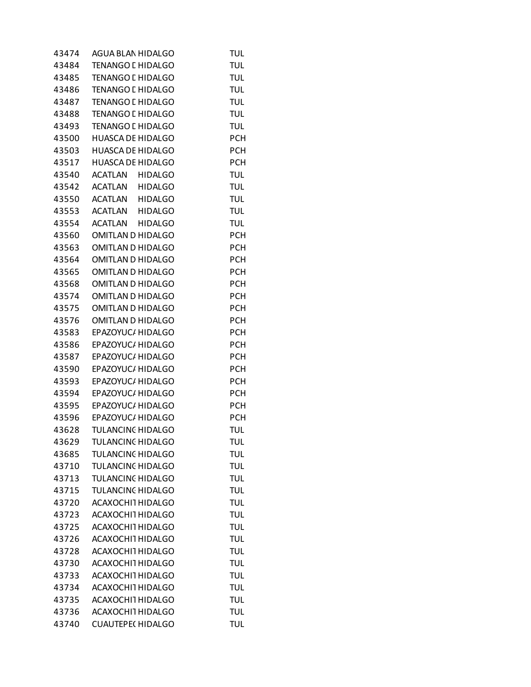| 43474 | AGUA BLAN HIDALGO         | TUL        |
|-------|---------------------------|------------|
| 43484 | <b>TENANGO L HIDALGO</b>  | <b>TUL</b> |
| 43485 | <b>TENANGO L HIDALGO</b>  | <b>TUL</b> |
| 43486 | <b>TENANGO L HIDALGO</b>  | <b>TUL</b> |
| 43487 | <b>TENANGO L HIDALGO</b>  | <b>TUL</b> |
| 43488 | <b>TENANGO L HIDALGO</b>  | <b>TUL</b> |
| 43493 | <b>TENANGO L HIDALGO</b>  | <b>TUL</b> |
| 43500 | <b>HUASCA DE HIDALGO</b>  | <b>PCH</b> |
| 43503 | <b>HUASCA DE HIDALGO</b>  | <b>PCH</b> |
| 43517 | <b>HUASCA DE HIDALGO</b>  | <b>PCH</b> |
| 43540 | ACATLAN<br><b>HIDALGO</b> | <b>TUL</b> |
| 43542 | ACATLAN HIDALGO           | <b>TUL</b> |
| 43550 | ACATLAN HIDALGO           | <b>TUL</b> |
| 43553 | ACATLAN HIDALGO           | <b>TUL</b> |
| 43554 | ACATLAN HIDALGO           | <b>TUL</b> |
| 43560 | OMITLAN D HIDALGO         | <b>PCH</b> |
| 43563 |                           |            |
|       | <b>OMITLAN D HIDALGO</b>  | <b>PCH</b> |
| 43564 | <b>OMITLAN D HIDALGO</b>  | <b>PCH</b> |
| 43565 | <b>OMITLAN D HIDALGO</b>  | <b>PCH</b> |
| 43568 | <b>OMITLAN D HIDALGO</b>  | <b>PCH</b> |
| 43574 | <b>OMITLAN D HIDALGO</b>  | <b>PCH</b> |
| 43575 | <b>OMITLAN D HIDALGO</b>  | <b>PCH</b> |
| 43576 | <b>OMITLAN D HIDALGO</b>  | <b>PCH</b> |
| 43583 | EPAZOYUC/ HIDALGO         | <b>PCH</b> |
| 43586 | EPAZOYUC/ HIDALGO         | <b>PCH</b> |
| 43587 | EPAZOYUC/ HIDALGO         | <b>PCH</b> |
| 43590 | EPAZOYUC/ HIDALGO         | <b>PCH</b> |
| 43593 | EPAZOYUC/ HIDALGO         | <b>PCH</b> |
| 43594 | EPAZOYUC/ HIDALGO         | <b>PCH</b> |
| 43595 | EPAZOYUC/ HIDALGO         | <b>PCH</b> |
| 43596 | EPAZOYUC/ HIDALGO         | <b>PCH</b> |
| 43628 | <b>TULANCINC HIDALGO</b>  | <b>TUL</b> |
| 43629 | <b>TULANCINC HIDALGO</b>  | TUL        |
| 43685 | TULANCINC HIDALGO         | <b>TUL</b> |
| 43710 | <b>TULANCINC HIDALGO</b>  | <b>TUL</b> |
| 43713 | TULANCINC HIDALGO         | <b>TUL</b> |
| 43715 | <b>TULANCINC HIDALGO</b>  | <b>TUL</b> |
| 43720 | ACAXOCHI1 HIDALGO         | <b>TUL</b> |
| 43723 | ACAXOCHI1 HIDALGO         | <b>TUL</b> |
| 43725 | ACAXOCHI1 HIDALGO         | <b>TUL</b> |
| 43726 | ACAXOCHI1 HIDALGO         | <b>TUL</b> |
| 43728 | ACAXOCHI1 HIDALGO         | <b>TUL</b> |
| 43730 | ACAXOCHI1 HIDALGO         | <b>TUL</b> |
| 43733 | ACAXOCHI1 HIDALGO         | <b>TUL</b> |
| 43734 | ACAXOCHI1 HIDALGO         | <b>TUL</b> |
| 43735 | ACAXOCHI1 HIDALGO         | <b>TUL</b> |
| 43736 | ACAXOCHI1 HIDALGO         | <b>TUL</b> |
| 43740 | <b>CUAUTEPE( HIDALGO</b>  | <b>TUL</b> |
|       |                           |            |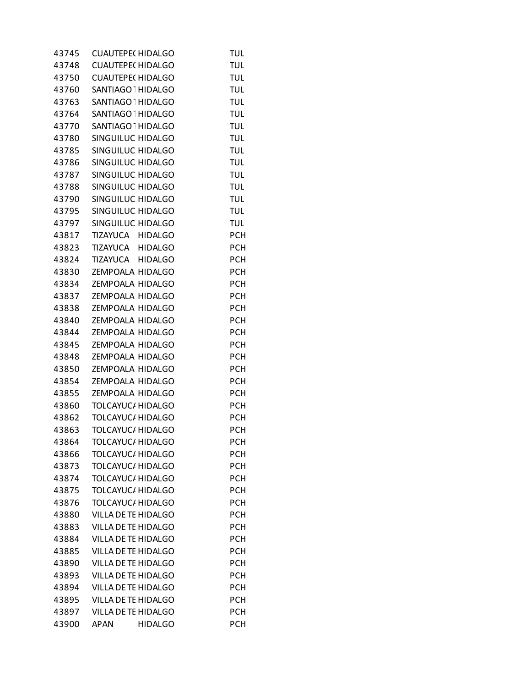| 43745 | <b>CUAUTEPE( HIDALGO</b>      | TUL        |
|-------|-------------------------------|------------|
| 43748 | <b>CUAUTEPE( HIDALGO</b>      | <b>TUL</b> |
| 43750 | <b>CUAUTEPE( HIDALGO</b>      | <b>TUL</b> |
| 43760 | SANTIAGO HIDALGO              | TUL        |
| 43763 | SANTIAGO 1 HIDALGO            | <b>TUL</b> |
| 43764 | SANTIAGO <sup>1</sup> HIDALGO | <b>TUL</b> |
| 43770 | SANTIAGO HIDALGO              | TUL        |
| 43780 | SINGUILUC HIDALGO             | TUL        |
| 43785 | SINGUILUC HIDALGO             | <b>TUL</b> |
| 43786 | SINGUILUC HIDALGO             | <b>TUL</b> |
| 43787 | SINGUILUC HIDALGO             | <b>TUL</b> |
| 43788 | SINGUILUC HIDALGO             | <b>TUL</b> |
| 43790 | SINGUILUC HIDALGO             | TUL        |
| 43795 | SINGUILUC HIDALGO             | TUL        |
| 43797 | SINGUILUC HIDALGO             | <b>TUL</b> |
| 43817 | TIZAYUCA HIDALGO              | <b>PCH</b> |
| 43823 | TIZAYUCA HIDALGO              | <b>PCH</b> |
| 43824 | TIZAYUCA HIDALGO              | <b>PCH</b> |
| 43830 | ZEMPOALA HIDALGO              | <b>PCH</b> |
| 43834 | ZEMPOALA HIDALGO              | <b>PCH</b> |
| 43837 | ZEMPOALA HIDALGO              | <b>PCH</b> |
| 43838 | ZEMPOALA HIDALGO              | <b>PCH</b> |
| 43840 | ZEMPOALA HIDALGO              | <b>PCH</b> |
| 43844 | ZEMPOALA HIDALGO              | <b>PCH</b> |
| 43845 | ZEMPOALA HIDALGO              | <b>PCH</b> |
| 43848 | ZEMPOALA HIDALGO              | <b>PCH</b> |
| 43850 | ZEMPOALA HIDALGO              | <b>PCH</b> |
| 43854 | ZEMPOALA HIDALGO              | <b>PCH</b> |
| 43855 | ZEMPOALA HIDALGO              | <b>PCH</b> |
| 43860 | <b>TOLCAYUC/ HIDALGO</b>      | <b>PCH</b> |
| 43862 | <b>TOLCAYUC/ HIDALGO</b>      | <b>PCH</b> |
| 43863 | <b>TOLCAYUC/ HIDALGO</b>      | <b>PCH</b> |
| 43864 | TOLCAYUC/ HIDALGO             | <b>PCH</b> |
| 43866 | TOLCAYUC/ HIDALGO             | <b>PCH</b> |
| 43873 | <b>TOLCAYUC/ HIDALGO</b>      | <b>PCH</b> |
| 43874 | <b>TOLCAYUC/ HIDALGO</b>      | <b>PCH</b> |
| 43875 | <b>TOLCAYUC/ HIDALGO</b>      | <b>PCH</b> |
| 43876 | <b>TOLCAYUC/ HIDALGO</b>      | <b>PCH</b> |
| 43880 | VILLA DE TE HIDALGO           | <b>PCH</b> |
| 43883 | VILLA DE TE HIDALGO           | <b>PCH</b> |
| 43884 | VILLA DE TE HIDALGO           | <b>PCH</b> |
| 43885 | VILLA DE TE HIDALGO           | <b>PCH</b> |
| 43890 | VILLA DE TE HIDALGO           | <b>PCH</b> |
| 43893 | VILLA DE TE HIDALGO           | <b>PCH</b> |
| 43894 | VILLA DE TE HIDALGO           | <b>PCH</b> |
| 43895 | VILLA DE TE HIDALGO           | <b>PCH</b> |
| 43897 | VILLA DE TE HIDALGO           | <b>PCH</b> |
| 43900 | <b>APAN</b><br><b>HIDALGO</b> | <b>PCH</b> |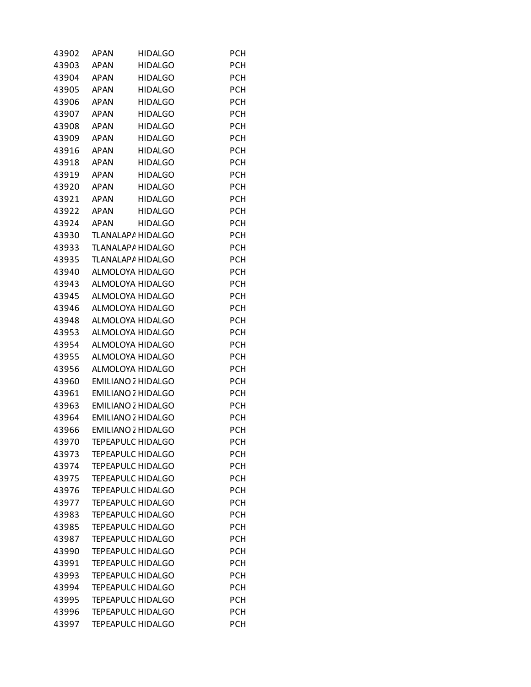| 43902 | APAN        | <b>HIDALGO</b>            | PCH        |
|-------|-------------|---------------------------|------------|
| 43903 | <b>APAN</b> | <b>HIDALGO</b>            | PCH        |
| 43904 | <b>APAN</b> | <b>HIDALGO</b>            | <b>PCH</b> |
| 43905 | <b>APAN</b> | <b>HIDALGO</b>            | <b>PCH</b> |
| 43906 | <b>APAN</b> | <b>HIDALGO</b>            | <b>PCH</b> |
| 43907 | <b>APAN</b> | <b>HIDALGO</b>            | <b>PCH</b> |
| 43908 | <b>APAN</b> | <b>HIDALGO</b>            | <b>PCH</b> |
| 43909 | <b>APAN</b> | <b>HIDALGO</b>            | <b>PCH</b> |
| 43916 | <b>APAN</b> | <b>HIDALGO</b>            | <b>PCH</b> |
| 43918 | <b>APAN</b> | <b>HIDALGO</b>            | <b>PCH</b> |
| 43919 | <b>APAN</b> | <b>HIDALGO</b>            | <b>PCH</b> |
| 43920 | <b>APAN</b> | <b>HIDALGO</b>            | <b>PCH</b> |
| 43921 | <b>APAN</b> | <b>HIDALGO</b>            | <b>PCH</b> |
| 43922 | <b>APAN</b> | <b>HIDALGO</b>            | <b>PCH</b> |
| 43924 | <b>APAN</b> | <b>HIDALGO</b>            | <b>PCH</b> |
| 43930 |             | TLANALAPA HIDALGO         | <b>PCH</b> |
| 43933 |             | TLANALAPA HIDALGO         | <b>PCH</b> |
| 43935 |             | TLANALAPA HIDALGO         | <b>PCH</b> |
|       |             | ALMOLOYA HIDALGO          |            |
| 43940 |             |                           | <b>PCH</b> |
| 43943 |             | ALMOLOYA HIDALGO          | <b>PCH</b> |
| 43945 |             | ALMOLOYA HIDALGO          | <b>PCH</b> |
| 43946 |             | ALMOLOYA HIDALGO          | <b>PCH</b> |
| 43948 |             | ALMOLOYA HIDALGO          | <b>PCH</b> |
| 43953 |             | ALMOLOYA HIDALGO          | <b>PCH</b> |
| 43954 |             | ALMOLOYA HIDALGO          | <b>PCH</b> |
| 43955 |             | ALMOLOYA HIDALGO          | <b>PCH</b> |
| 43956 |             | ALMOLOYA HIDALGO          | <b>PCH</b> |
| 43960 |             | <b>EMILIANO 2 HIDALGO</b> | <b>PCH</b> |
| 43961 |             | <b>EMILIANO 2 HIDALGO</b> | <b>PCH</b> |
| 43963 |             | <b>EMILIANO 2 HIDALGO</b> | <b>PCH</b> |
| 43964 |             | <b>EMILIANO 2 HIDALGO</b> | <b>PCH</b> |
| 43966 |             | <b>EMILIANO 2 HIDALGO</b> | PCH        |
| 43970 |             | <b>TEPEAPULC HIDALGO</b>  | <b>PCH</b> |
| 43973 |             | <b>TEPEAPULC HIDALGO</b>  | <b>PCH</b> |
| 43974 |             | <b>TEPEAPULC HIDALGO</b>  | <b>PCH</b> |
| 43975 |             | <b>TEPEAPULC HIDALGO</b>  | <b>PCH</b> |
| 43976 |             | <b>TEPEAPULC HIDALGO</b>  | <b>PCH</b> |
| 43977 |             | <b>TEPEAPULC HIDALGO</b>  | <b>PCH</b> |
| 43983 |             | <b>TEPEAPULC HIDALGO</b>  | <b>PCH</b> |
| 43985 |             | <b>TEPEAPULC HIDALGO</b>  | PCH        |
| 43987 |             | <b>TEPEAPULC HIDALGO</b>  | <b>PCH</b> |
| 43990 |             | <b>TEPEAPULC HIDALGO</b>  | <b>PCH</b> |
| 43991 |             | <b>TEPEAPULC HIDALGO</b>  | <b>PCH</b> |
| 43993 |             | <b>TEPEAPULC HIDALGO</b>  | <b>PCH</b> |
| 43994 |             | <b>TEPEAPULC HIDALGO</b>  | <b>PCH</b> |
| 43995 |             | <b>TEPEAPULC HIDALGO</b>  | PCH        |
| 43996 |             | <b>TEPEAPULC HIDALGO</b>  | PCH        |
| 43997 |             | <b>TEPEAPULC HIDALGO</b>  | <b>PCH</b> |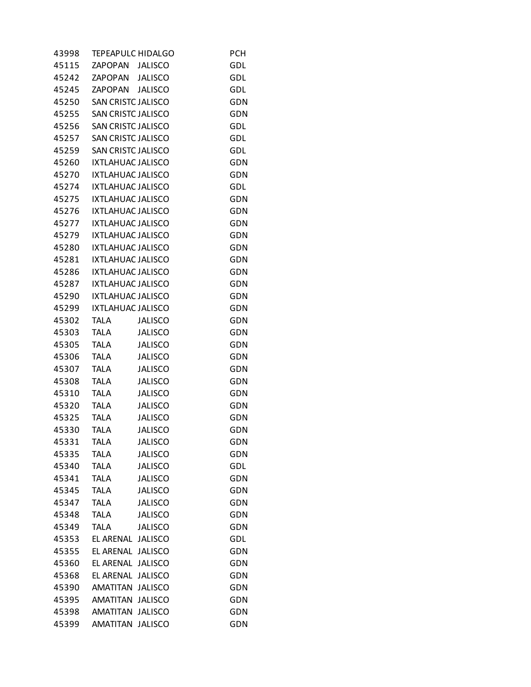| 43998 | <b>TEPEAPULC HIDALGO</b>  |                | <b>PCH</b> |
|-------|---------------------------|----------------|------------|
| 45115 | ZAPOPAN JALISCO           |                | <b>GDL</b> |
| 45242 | ZAPOPAN JALISCO           |                | GDL        |
| 45245 | ZAPOPAN JALISCO           |                | GDL        |
| 45250 | <b>SAN CRISTC JALISCO</b> |                | <b>GDN</b> |
| 45255 | <b>SAN CRISTC JALISCO</b> |                | GDN        |
| 45256 | <b>SAN CRISTC JALISCO</b> |                | GDL        |
| 45257 | <b>SAN CRISTC JALISCO</b> |                | GDL        |
| 45259 | <b>SAN CRISTC JALISCO</b> |                | GDL        |
| 45260 | IXTLAHUAC JALISCO         |                | <b>GDN</b> |
| 45270 | <b>IXTLAHUAC JALISCO</b>  |                | <b>GDN</b> |
| 45274 | <b>IXTLAHUAC JALISCO</b>  |                | GDL        |
| 45275 | IXTLAHUAC JALISCO         |                | <b>GDN</b> |
| 45276 | <b>IXTLAHUAC JALISCO</b>  |                | GDN        |
| 45277 | <b>IXTLAHUAC JALISCO</b>  |                | <b>GDN</b> |
| 45279 | <b>IXTLAHUAC JALISCO</b>  |                | <b>GDN</b> |
| 45280 | <b>IXTLAHUAC JALISCO</b>  |                | <b>GDN</b> |
| 45281 | <b>IXTLAHUAC JALISCO</b>  |                | GDN        |
| 45286 | IXTLAHUAC JALISCO         |                | <b>GDN</b> |
| 45287 | <b>IXTLAHUAC JALISCO</b>  |                | GDN        |
| 45290 | <b>IXTLAHUAC JALISCO</b>  |                | GDN        |
| 45299 | <b>IXTLAHUAC JALISCO</b>  |                | <b>GDN</b> |
| 45302 | <b>TALA</b>               | <b>JALISCO</b> | <b>GDN</b> |
| 45303 | <b>TALA</b>               | <b>JALISCO</b> | GDN        |
| 45305 | <b>TALA</b>               | <b>JALISCO</b> | <b>GDN</b> |
| 45306 | <b>TALA</b>               | <b>JALISCO</b> | GDN        |
| 45307 | <b>TALA</b>               | <b>JALISCO</b> | GDN        |
| 45308 | <b>TALA</b>               | <b>JALISCO</b> | <b>GDN</b> |
| 45310 | <b>TALA</b>               | <b>JALISCO</b> | GDN        |
| 45320 | <b>TALA</b>               | <b>JALISCO</b> | GDN        |
| 45325 | <b>TALA</b>               | <b>JALISCO</b> | <b>GDN</b> |
| 45330 | <b>TALA</b>               | <b>JALISCO</b> | <b>GDN</b> |
| 45331 | <b>TALA</b>               | <b>JALISCO</b> | GDN        |
| 45335 | <b>TALA</b>               | <b>JALISCO</b> | <b>GDN</b> |
| 45340 | <b>TALA</b>               | <b>JALISCO</b> | GDL        |
| 45341 | <b>TALA</b>               | <b>JALISCO</b> | GDN        |
| 45345 | <b>TALA</b>               | <b>JALISCO</b> | <b>GDN</b> |
| 45347 | <b>TALA</b>               | <b>JALISCO</b> | <b>GDN</b> |
| 45348 | <b>TALA</b>               | <b>JALISCO</b> | GDN        |
| 45349 | <b>TALA</b>               | <b>JALISCO</b> | GDN        |
| 45353 | EL ARENAL JALISCO         |                | GDL        |
| 45355 | EL ARENAL                 | <b>JALISCO</b> | GDN        |
| 45360 | EL ARENAL                 | <b>JALISCO</b> | <b>GDN</b> |
| 45368 | EL ARENAL                 | <b>JALISCO</b> | <b>GDN</b> |
| 45390 | AMATITAN                  | <b>JALISCO</b> | <b>GDN</b> |
| 45395 | AMATITAN                  | <b>JALISCO</b> | <b>GDN</b> |
| 45398 | AMATITAN                  | <b>JALISCO</b> | <b>GDN</b> |
| 45399 | AMATITAN                  | <b>JALISCO</b> | <b>GDN</b> |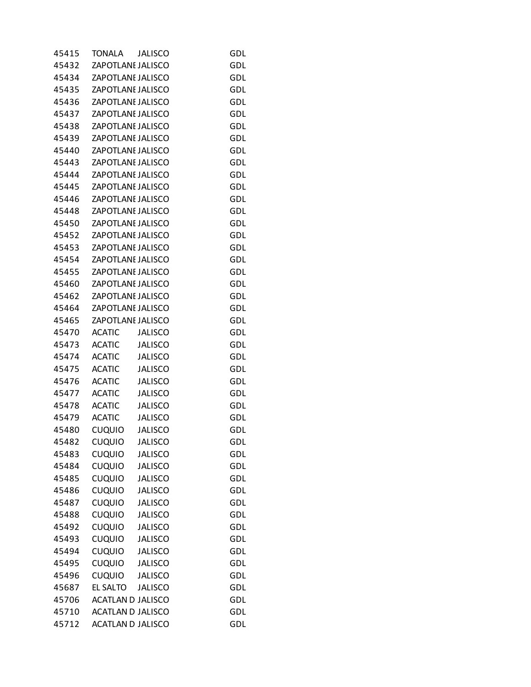| 45415 | <b>TONALA</b>            | <b>JALISCO</b> | GDL        |
|-------|--------------------------|----------------|------------|
| 45432 | ZAPOTLANE JALISCO        |                | GDL        |
| 45434 | ZAPOTLANE JALISCO        |                | GDL        |
| 45435 | ZAPOTLANE JALISCO        |                | GDL        |
| 45436 | ZAPOTLANI JALISCO        |                | GDL        |
| 45437 | ZAPOTLANE JALISCO        |                | GDL        |
| 45438 | ZAPOTLANE JALISCO        |                | GDL        |
| 45439 | ZAPOTLANE JALISCO        |                | GDL        |
| 45440 | ZAPOTLANI JALISCO        |                | GDL        |
| 45443 | ZAPOTLANE JALISCO        |                | GDL        |
| 45444 | ZAPOTLANI JALISCO        |                | <b>GDL</b> |
| 45445 | ZAPOTLANE JALISCO        |                | GDL        |
| 45446 | ZAPOTLANE JALISCO        |                | GDL        |
| 45448 | ZAPOTLANE JALISCO        |                | GDL        |
| 45450 | ZAPOTLANE JALISCO        |                | GDL        |
| 45452 | ZAPOTLANE JALISCO        |                | GDL        |
| 45453 | ZAPOTLANE JALISCO        |                | <b>GDL</b> |
| 45454 | ZAPOTLANE JALISCO        |                | GDL        |
| 45455 | ZAPOTLANE JALISCO        |                | GDL        |
| 45460 | ZAPOTLANE JALISCO        |                | GDL        |
| 45462 | ZAPOTLANI JALISCO        |                | GDL        |
| 45464 | ZAPOTLANE JALISCO        |                | GDL        |
| 45465 | ZAPOTLANE JALISCO        |                | <b>GDL</b> |
| 45470 | <b>ACATIC</b>            | <b>JALISCO</b> | GDL        |
| 45473 | <b>ACATIC</b>            | <b>JALISCO</b> | GDL        |
| 45474 | <b>ACATIC</b>            | <b>JALISCO</b> | GDL        |
| 45475 | <b>ACATIC</b>            | <b>JALISCO</b> | GDL        |
| 45476 | <b>ACATIC</b>            | <b>JALISCO</b> | GDL        |
| 45477 | <b>ACATIC</b>            | <b>JALISCO</b> | GDL        |
| 45478 | <b>ACATIC</b>            | <b>JALISCO</b> | GDL        |
| 45479 | <b>ACATIC</b>            | <b>JALISCO</b> | GDL        |
| 45480 | <b>CUQUIO</b>            | <b>JALISCO</b> | GDL        |
| 45482 | <b>CUQUIO</b>            | <b>JALISCO</b> | <b>GDL</b> |
| 45483 | <b>CUQUIO</b>            | <b>JALISCO</b> | GDL        |
| 45484 | <b>CUQUIO</b>            | <b>JALISCO</b> | GDL        |
| 45485 | <b>CUQUIO</b>            | <b>JALISCO</b> | <b>GDL</b> |
| 45486 | <b>CUQUIO</b>            | <b>JALISCO</b> | <b>GDL</b> |
| 45487 | <b>CUQUIO</b>            | <b>JALISCO</b> | GDL        |
| 45488 | <b>CUQUIO</b>            | <b>JALISCO</b> | <b>GDL</b> |
| 45492 | <b>CUQUIO</b>            | <b>JALISCO</b> | GDL        |
| 45493 | <b>CUQUIO</b>            | <b>JALISCO</b> | GDL        |
| 45494 | <b>CUQUIO</b>            | <b>JALISCO</b> | <b>GDL</b> |
| 45495 | <b>CUQUIO</b>            | <b>JALISCO</b> | <b>GDL</b> |
| 45496 | <b>CUQUIO</b>            | <b>JALISCO</b> | GDL        |
| 45687 | EL SALTO                 | <b>JALISCO</b> | <b>GDL</b> |
| 45706 | <b>ACATLAN D JALISCO</b> |                | <b>GDL</b> |
| 45710 | <b>ACATLAN D JALISCO</b> |                | GDL        |
| 45712 | <b>ACATLAN D JALISCO</b> |                | <b>GDL</b> |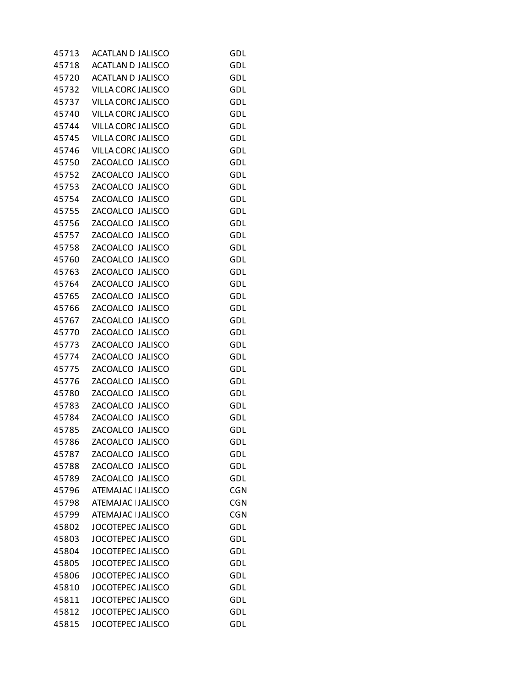| 45713 | <b>ACATLAN D JALISCO</b> | <b>GDL</b> |
|-------|--------------------------|------------|
| 45718 | <b>ACATLAN D JALISCO</b> | GDL        |
| 45720 | <b>ACATLAN D JALISCO</b> | <b>GDL</b> |
| 45732 | VILLA CORC JALISCO       | <b>GDL</b> |
| 45737 | VILLA CORC JALISCO       | GDL        |
| 45740 | VILLA CORC JALISCO       | GDL        |
| 45744 | VILLA CORC JALISCO       | GDL        |
| 45745 | VILLA CORC JALISCO       | GDL        |
| 45746 | VILLA CORC JALISCO       | GDL        |
| 45750 | ZACOALCO JALISCO         | <b>GDL</b> |
| 45752 | ZACOALCO JALISCO         | GDL        |
| 45753 | ZACOALCO JALISCO         | GDL        |
| 45754 | ZACOALCO JALISCO         | GDL        |
| 45755 | ZACOALCO JALISCO         | GDL        |
| 45756 | ZACOALCO JALISCO         | GDL        |
| 45757 | ZACOALCO JALISCO         | <b>GDL</b> |
| 45758 | ZACOALCO JALISCO         | GDL        |
| 45760 | ZACOALCO JALISCO         | GDL        |
| 45763 | ZACOALCO JALISCO         | GDL        |
| 45764 | ZACOALCO JALISCO         | GDL        |
| 45765 | ZACOALCO JALISCO         | GDL        |
| 45766 | ZACOALCO JALISCO         | <b>GDL</b> |
| 45767 | ZACOALCO JALISCO         | GDL        |
| 45770 | ZACOALCO JALISCO         | GDL        |
| 45773 | ZACOALCO JALISCO         | GDL        |
| 45774 | ZACOALCO JALISCO         | GDL        |
| 45775 | ZACOALCO JALISCO         | GDL        |
| 45776 | ZACOALCO JALISCO         | <b>GDL</b> |
| 45780 | ZACOALCO JALISCO         | GDL        |
| 45783 | ZACOALCO JALISCO         | GDL        |
| 45784 | ZACOALCO JALISCO         | GDL        |
| 45785 | ZACOALCO JALISCO         | GDL        |
| 45786 | ZACOALCO JALISCO         | GDL        |
| 45787 | ZACOALCO JALISCO         | GDL        |
| 45788 | ZACOALCO JALISCO         | GDL        |
| 45789 | ZACOALCO JALISCO         | GDL        |
| 45796 | ATEMAJAC   JALISCO       | <b>CGN</b> |
| 45798 | ATEMAJAC   JALISCO       | <b>CGN</b> |
| 45799 | ATEMAJAC   JALISCO       | <b>CGN</b> |
| 45802 | <b>JOCOTEPEC JALISCO</b> | GDL        |
| 45803 | <b>JOCOTEPEC JALISCO</b> | GDL        |
| 45804 | <b>JOCOTEPEC JALISCO</b> | GDL        |
| 45805 | <b>JOCOTEPEC JALISCO</b> | GDL        |
| 45806 | <b>JOCOTEPEC JALISCO</b> | GDL        |
| 45810 | <b>JOCOTEPEC JALISCO</b> | GDL        |
| 45811 | <b>JOCOTEPEC JALISCO</b> | GDL        |
| 45812 | JOCOTEPEC JALISCO        | GDL        |
| 45815 | <b>JOCOTEPEC JALISCO</b> | <b>GDL</b> |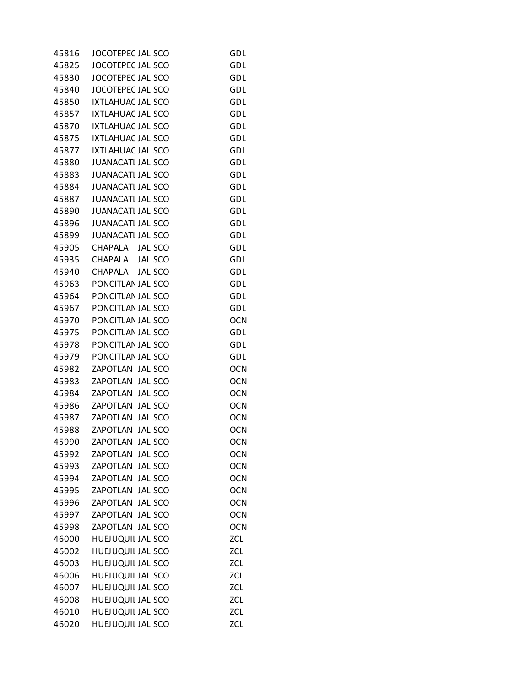| 45816 | <b>JOCOTEPEC JALISCO</b> | GDL        |
|-------|--------------------------|------------|
| 45825 | <b>JOCOTEPEC JALISCO</b> | GDL        |
| 45830 | JOCOTEPEC JALISCO        | GDL        |
| 45840 | <b>JOCOTEPEC JALISCO</b> | GDL        |
| 45850 | <b>IXTLAHUAC JALISCO</b> | GDL        |
| 45857 | IXTLAHUAC JALISCO        | GDL        |
| 45870 | IXTLAHUAC JALISCO        | GDL        |
| 45875 | <b>IXTLAHUAC JALISCO</b> | GDL        |
| 45877 | <b>IXTLAHUAC JALISCO</b> | GDL        |
| 45880 | <b>JUANACATI JALISCO</b> | GDL        |
| 45883 | <b>JUANACATI JALISCO</b> | GDL        |
| 45884 | <b>JUANACATI JALISCO</b> | GDL        |
| 45887 | <b>JUANACATI JALISCO</b> | GDL        |
| 45890 | <b>JUANACATI JALISCO</b> | GDL        |
| 45896 | <b>JUANACATI JALISCO</b> | GDL        |
| 45899 | <b>JUANACATI JALISCO</b> | GDL        |
| 45905 |                          | GDL        |
|       | CHAPALA JALISCO          |            |
| 45935 | CHAPALA JALISCO          | GDL        |
| 45940 | CHAPALA JALISCO          | GDL        |
| 45963 | PONCITLAN JALISCO        | GDL        |
| 45964 | PONCITLAN JALISCO        | GDL        |
| 45967 | PONCITLAN JALISCO        | GDL        |
| 45970 | PONCITLAN JALISCO        | <b>OCN</b> |
| 45975 | PONCITLAN JALISCO        | GDL        |
| 45978 | PONCITLAN JALISCO        | GDL        |
| 45979 | PONCITLAN JALISCO        | GDL        |
| 45982 | ZAPOTLAN   JALISCO       | <b>OCN</b> |
| 45983 | ZAPOTLAN   JALISCO       | <b>OCN</b> |
| 45984 | ZAPOTLAN   JALISCO       | <b>OCN</b> |
| 45986 | ZAPOTLAN   JALISCO       | <b>OCN</b> |
| 45987 | ZAPOTLAN   JALISCO       | <b>OCN</b> |
| 45988 | ZAPOTLAN   JALISCO       | <b>OCN</b> |
| 45990 | ZAPOTLAN   JALISCO       | <b>OCN</b> |
| 45992 | ZAPOTLAN   JALISCO       | <b>OCN</b> |
| 45993 | ZAPOTLAN   JALISCO       | <b>OCN</b> |
| 45994 | ZAPOTLAN   JALISCO       | <b>OCN</b> |
| 45995 | ZAPOTLAN   JALISCO       | <b>OCN</b> |
| 45996 | ZAPOTLAN   JALISCO       | <b>OCN</b> |
| 45997 | ZAPOTLAN   JALISCO       | <b>OCN</b> |
| 45998 | ZAPOTLAN   JALISCO       | <b>OCN</b> |
| 46000 | <b>HUEJUQUIL JALISCO</b> | ZCL        |
| 46002 | <b>HUEJUQUIL JALISCO</b> | <b>ZCL</b> |
| 46003 | HUEJUQUIL JALISCO        | ZCL        |
| 46006 | <b>HUEJUQUIL JALISCO</b> | <b>ZCL</b> |
| 46007 | HUEJUQUIL JALISCO        | <b>ZCL</b> |
| 46008 | <b>HUEJUQUIL JALISCO</b> | ZCL        |
| 46010 | HUEJUQUIL JALISCO        | <b>ZCL</b> |
| 46020 | HUEJUQUIL JALISCO        | <b>ZCL</b> |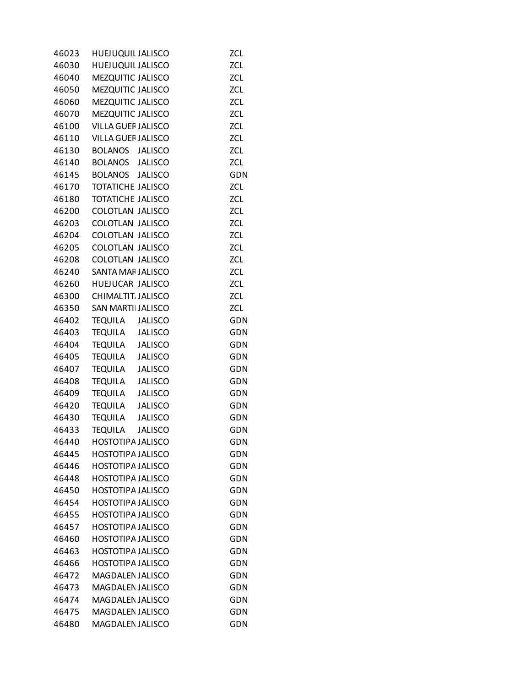| 46023 | <b>HUEJUQUIL JALISCO</b>         | <b>ZCL</b> |
|-------|----------------------------------|------------|
| 46030 | HUEJUQUIL JALISCO                | ZCL        |
| 46040 | MEZQUITIC JALISCO                | <b>ZCL</b> |
| 46050 | MEZQUITIC JALISCO                | ZCL        |
| 46060 | MEZQUITIC JALISCO                | <b>ZCL</b> |
| 46070 | MEZQUITIC JALISCO                | <b>ZCL</b> |
| 46100 | VILLA GUEF JALISCO               | ZCL        |
| 46110 | <b>VILLA GUEF JALISCO</b>        | <b>ZCL</b> |
| 46130 | BOLANOS JALISCO                  | <b>ZCL</b> |
| 46140 | BOLANOS JALISCO                  | <b>ZCL</b> |
| 46145 | BOLANOS JALISCO                  | GDN        |
| 46170 | <b>TOTATICHE JALISCO</b>         | ZCL        |
| 46180 | <b>TOTATICHE JALISCO</b>         | ZCL        |
| 46200 | COLOTLAN JALISCO                 | ZCL        |
| 46203 | COLOTLAN JALISCO                 | ZCL        |
| 46204 | COLOTLAN JALISCO                 | ZCL        |
| 46205 | COLOTLAN JALISCO                 | <b>ZCL</b> |
| 46208 | COLOTLAN JALISCO                 | <b>ZCL</b> |
| 46240 | SANTA MAF JALISCO                | ZCL        |
| 46260 | HUEJUCAR JALISCO                 | <b>ZCL</b> |
| 46300 | CHIMALTIT. JALISCO               | <b>ZCL</b> |
| 46350 | SAN MARTII JALISCO               | <b>ZCL</b> |
| 46402 | <b>TEQUILA</b><br><b>JALISCO</b> | <b>GDN</b> |
| 46403 | TEQUILA<br><b>JALISCO</b>        | <b>GDN</b> |
| 46404 | <b>TEQUILA</b><br><b>JALISCO</b> | GDN        |
| 46405 | TEQUILA<br><b>JALISCO</b>        | GDN        |
| 46407 | <b>TEQUILA</b><br><b>JALISCO</b> | GDN        |
| 46408 | TEQUILA<br><b>JALISCO</b>        | GDN        |
| 46409 | <b>TEQUILA</b><br><b>JALISCO</b> | <b>GDN</b> |
| 46420 | <b>TEQUILA</b><br><b>JALISCO</b> | GDN        |
| 46430 | <b>TEQUILA</b><br><b>JALISCO</b> | GDN        |
| 46433 | <b>TEQUILA</b><br><b>JALISCO</b> | GDN        |
| 46440 | <b>HOSTOTIPA JALISCO</b>         | GDN        |
| 46445 | <b>HOSTOTIPA JALISCO</b>         | GDN        |
| 46446 | <b>HOSTOTIPA JALISCO</b>         | GDN        |
| 46448 | <b>HOSTOTIPA JALISCO</b>         | GDN        |
| 46450 | <b>HOSTOTIPA JALISCO</b>         | GDN        |
| 46454 | <b>HOSTOTIPA JALISCO</b>         | GDN        |
| 46455 | <b>HOSTOTIPA JALISCO</b>         | GDN        |
| 46457 | <b>HOSTOTIPA JALISCO</b>         | GDN        |
| 46460 | <b>HOSTOTIPA JALISCO</b>         | GDN        |
| 46463 | <b>HOSTOTIPA JALISCO</b>         | GDN        |
| 46466 | <b>HOSTOTIPA JALISCO</b>         | GDN        |
| 46472 | <b>MAGDALEN JALISCO</b>          | GDN        |
| 46473 | <b>MAGDALEN JALISCO</b>          | GDN        |
| 46474 | MAGDALEN JALISCO                 | GDN        |
| 46475 | <b>MAGDALEN JALISCO</b>          | GDN        |
| 46480 | MAGDALEN JALISCO                 | GDN        |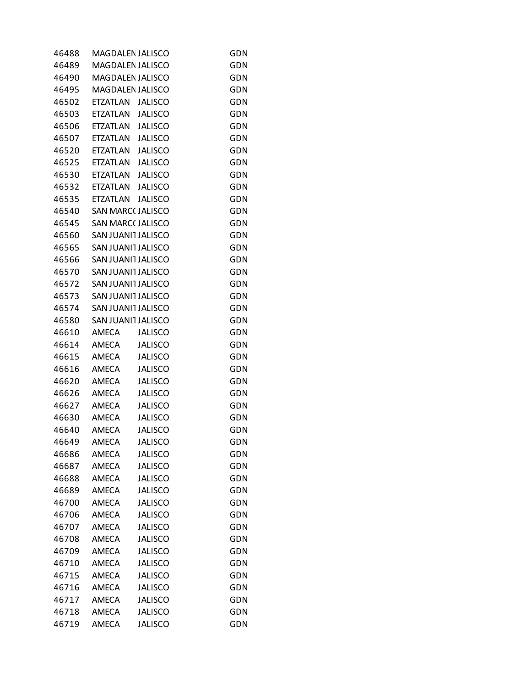| 46488 | MAGDALEN JALISCO        |                | GDN        |
|-------|-------------------------|----------------|------------|
| 46489 | MAGDALEN JALISCO        |                | GDN        |
| 46490 | <b>MAGDALEN JALISCO</b> |                | GDN        |
| 46495 | MAGDALEN JALISCO        |                | <b>GDN</b> |
| 46502 | ETZATLAN JALISCO        |                | GDN        |
| 46503 | ETZATLAN                | <b>JALISCO</b> | GDN        |
| 46506 | ETZATLAN                | <b>JALISCO</b> | GDN        |
| 46507 | ETZATLAN                | <b>JALISCO</b> | GDN        |
| 46520 | ETZATLAN JALISCO        |                | GDN        |
| 46525 | ETZATLAN JALISCO        |                | <b>GDN</b> |
| 46530 | ETZATLAN JALISCO        |                | GDN        |
| 46532 | ETZATLAN JALISCO        |                | <b>GDN</b> |
| 46535 | ETZATLAN JALISCO        |                | <b>GDN</b> |
| 46540 | <b>SAN MARC(JALISCO</b> |                | GDN        |
| 46545 | <b>SAN MARC(JALISCO</b> |                | GDN        |
| 46560 | SAN JUANI1 JALISCO      |                | <b>GDN</b> |
| 46565 | SAN JUANI1 JALISCO      |                | GDN        |
| 46566 | SAN JUANI1 JALISCO      |                | <b>GDN</b> |
| 46570 | SAN JUANIT JALISCO      |                | <b>GDN</b> |
| 46572 | SAN JUANI1 JALISCO      |                | GDN        |
| 46573 | SAN JUANI1 JALISCO      |                | GDN        |
| 46574 | SAN JUANIT JALISCO      |                | <b>GDN</b> |
| 46580 | SAN JUANI1 JALISCO      |                | GDN        |
| 46610 | AMECA                   | <b>JALISCO</b> | <b>GDN</b> |
| 46614 | AMECA                   | <b>JALISCO</b> | <b>GDN</b> |
| 46615 | <b>AMECA</b>            | <b>JALISCO</b> | GDN        |
| 46616 | AMECA                   | <b>JALISCO</b> | <b>GDN</b> |
| 46620 | AMECA                   | <b>JALISCO</b> | <b>GDN</b> |
| 46626 | <b>AMECA</b>            | <b>JALISCO</b> | GDN        |
| 46627 | AMECA                   | <b>JALISCO</b> | GDN        |
| 46630 | AMECA                   | <b>JALISCO</b> | GDN        |
| 46640 | <b>AMECA</b>            | <b>JALISCO</b> | GDN        |
| 46649 | <b>AMECA</b>            | <b>JALISCO</b> | GDN        |
| 46686 | <b>AMECA</b>            | <b>JALISCO</b> | GDN        |
| 46687 | <b>AMECA</b>            | <b>JALISCO</b> | GDN        |
| 46688 | <b>AMECA</b>            | <b>JALISCO</b> | GDN        |
| 46689 | AMECA                   | <b>JALISCO</b> | GDN        |
| 46700 | <b>AMECA</b>            | <b>JALISCO</b> | GDN        |
| 46706 | <b>AMECA</b>            | <b>JALISCO</b> | GDN        |
| 46707 | <b>AMECA</b>            | <b>JALISCO</b> | GDN        |
| 46708 | <b>AMECA</b>            | <b>JALISCO</b> | GDN        |
| 46709 | AMECA                   | <b>JALISCO</b> | GDN        |
| 46710 | AMECA                   | <b>JALISCO</b> | GDN        |
| 46715 | <b>AMECA</b>            | <b>JALISCO</b> | GDN        |
| 46716 | <b>AMECA</b>            | <b>JALISCO</b> | GDN        |
| 46717 | <b>AMECA</b>            | <b>JALISCO</b> | GDN        |
| 46718 | <b>AMECA</b>            | <b>JALISCO</b> | GDN        |
| 46719 | <b>AMECA</b>            | <b>JALISCO</b> | GDN        |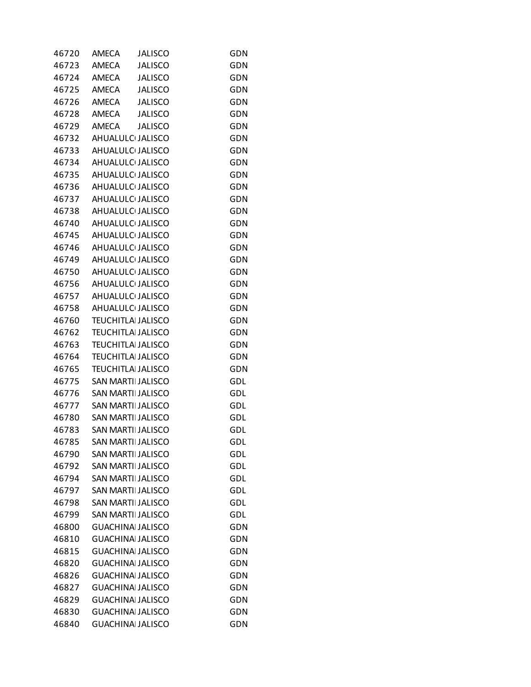| 46720 | <b>AMECA</b>              | <b>JALISCO</b> | GDN        |
|-------|---------------------------|----------------|------------|
| 46723 | <b>AMECA</b>              | <b>JALISCO</b> | GDN        |
| 46724 | <b>AMECA</b>              | <b>JALISCO</b> | GDN        |
| 46725 | AMECA                     | <b>JALISCO</b> | GDN        |
| 46726 | AMECA                     | JALISCO        | GDN        |
| 46728 | AMECA                     | JALISCO        | GDN        |
| 46729 | AMECA                     | <b>JALISCO</b> | GDN        |
| 46732 | AHUALULC JALISCO          |                | GDN        |
| 46733 | AHUALULC JALISCO          |                | GDN        |
| 46734 | AHUALULC JALISCO          |                | <b>GDN</b> |
| 46735 | AHUALULC JALISCO          |                | GDN        |
| 46736 | AHUALULC JALISCO          |                | GDN        |
| 46737 | AHUALULC JALISCO          |                | GDN        |
| 46738 | AHUALULC JALISCO          |                | GDN        |
| 46740 | AHUALULC JALISCO          |                | GDN        |
| 46745 | AHUALULC JALISCO          |                | <b>GDN</b> |
| 46746 | AHUALULC JALISCO          |                | GDN        |
| 46749 | AHUALULC JALISCO          |                | GDN        |
| 46750 | AHUALULC JALISCO          |                | GDN        |
| 46756 | AHUALULC JALISCO          |                | GDN        |
| 46757 | AHUALULC JALISCO          |                | <b>GDN</b> |
| 46758 | AHUALULC JALISCO          |                | <b>GDN</b> |
| 46760 | <b>TEUCHITLAI JALISCO</b> |                | GDN        |
| 46762 | <b>TEUCHITLAI JALISCO</b> |                | <b>GDN</b> |
| 46763 | <b>TEUCHITLAI JALISCO</b> |                | <b>GDN</b> |
| 46764 | <b>TEUCHITLAI JALISCO</b> |                | GDN        |
| 46765 | <b>TEUCHITLAI JALISCO</b> |                | <b>GDN</b> |
| 46775 | <b>SAN MARTI JALISCO</b>  |                | GDL        |
| 46776 | <b>SAN MARTILJALISCO</b>  |                | GDL        |
| 46777 | SAN MARTII JALISCO        |                | GDL        |
| 46780 | SAN MARTII JALISCO        |                | GDL        |
| 46783 | <b>SAN MARTILJALISCO</b>  |                | GDL        |
| 46785 | <b>SAN MARTILJALISCO</b>  |                | GDL        |
| 46790 | <b>SAN MARTII JALISCO</b> |                | <b>GDL</b> |
| 46792 | <b>SAN MARTII JALISCO</b> |                | GDL        |
| 46794 | <b>SAN MARTILJALISCO</b>  |                | <b>GDL</b> |
| 46797 | SAN MARTII JALISCO        |                | GDL        |
| 46798 | <b>SAN MARTILJALISCO</b>  |                | GDL        |
| 46799 | <b>SAN MARTII JALISCO</b> |                | <b>GDL</b> |
| 46800 | <b>GUACHINAL JALISCO</b>  |                | <b>GDN</b> |
| 46810 | <b>GUACHINA JALISCO</b>   |                | GDN        |
| 46815 | <b>GUACHINA JALISCO</b>   |                | <b>GDN</b> |
| 46820 | <b>GUACHINAL JALISCO</b>  |                | GDN        |
| 46826 | <b>GUACHINA JALISCO</b>   |                | GDN        |
| 46827 | <b>GUACHINA JALISCO</b>   |                | <b>GDN</b> |
| 46829 | <b>GUACHINAL JALISCO</b>  |                | <b>GDN</b> |
| 46830 | <b>GUACHINA JALISCO</b>   |                | GDN        |
| 46840 | <b>GUACHINAI JALISCO</b>  |                | <b>GDN</b> |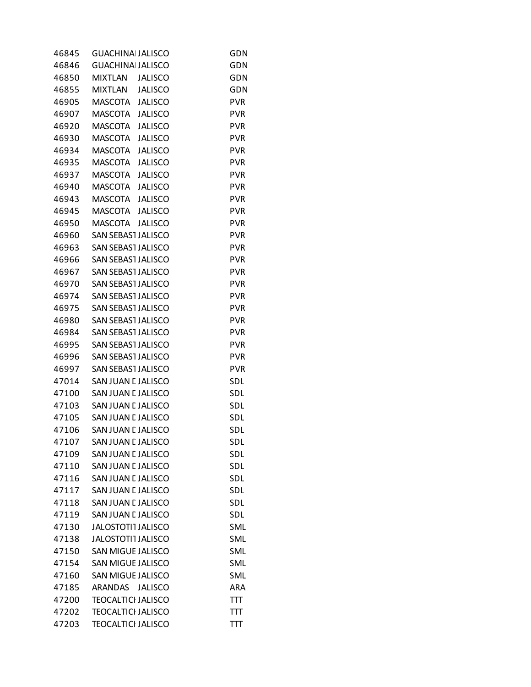| 46845 | <b>GUACHINAI JALISCO</b>         | GDN        |
|-------|----------------------------------|------------|
| 46846 | <b>GUACHINA JALISCO</b>          | GDN        |
| 46850 | <b>MIXTLAN</b><br><b>JALISCO</b> | GDN        |
| 46855 | MIXTLAN<br><b>JALISCO</b>        | <b>GDN</b> |
| 46905 | MASCOTA<br><b>JALISCO</b>        | <b>PVR</b> |
| 46907 | <b>JALISCO</b><br>MASCOTA        | <b>PVR</b> |
| 46920 | MASCOTA<br><b>JALISCO</b>        | <b>PVR</b> |
| 46930 | <b>MASCOTA</b><br><b>JALISCO</b> | <b>PVR</b> |
| 46934 | <b>MASCOTA</b><br><b>JALISCO</b> | <b>PVR</b> |
| 46935 | MASCOTA<br><b>JALISCO</b>        | <b>PVR</b> |
| 46937 | <b>MASCOTA</b><br><b>JALISCO</b> | <b>PVR</b> |
| 46940 | MASCOTA<br><b>JALISCO</b>        | <b>PVR</b> |
| 46943 | MASCOTA<br><b>JALISCO</b>        | <b>PVR</b> |
| 46945 | MASCOTA<br><b>JALISCO</b>        | <b>PVR</b> |
| 46950 | MASCOTA<br><b>JALISCO</b>        | <b>PVR</b> |
| 46960 | SAN SEBAS1 JALISCO               | <b>PVR</b> |
| 46963 | SAN SEBAST JALISCO               | PVR        |
| 46966 | <b>SAN SEBAST JALISCO</b>        | <b>PVR</b> |
| 46967 | SAN SEBASI JALISCO               | <b>PVR</b> |
| 46970 | SAN SEBASI JALISCO               | <b>PVR</b> |
| 46974 | <b>SAN SEBAST JALISCO</b>        | <b>PVR</b> |
| 46975 | SAN SEBAS1 JALISCO               | <b>PVR</b> |
| 46980 | SAN SEBAS1 JALISCO               | <b>PVR</b> |
| 46984 | SAN SEBASI JALISCO               | <b>PVR</b> |
| 46995 | SAN SEBASI JALISCO               | <b>PVR</b> |
| 46996 | SAN SEBASI JALISCO               | <b>PVR</b> |
| 46997 | SAN SEBASI JALISCO               | <b>PVR</b> |
| 47014 | SAN JUAN E JALISCO               | SDL        |
| 47100 | SAN JUAN E JALISCO               | <b>SDL</b> |
| 47103 | SAN JUAN E JALISCO               | SDL        |
| 47105 | SAN JUAN E JALISCO               | <b>SDL</b> |
| 47106 | SAN JUAN E JALISCO               | SDL        |
| 47107 | SAN JUAN E JALISCO               | SDL        |
| 47109 | SAN JUAN E JALISCO               | SDL        |
| 47110 | SAN JUAN E JALISCO               | SDL        |
| 47116 | SAN JUAN E JALISCO               | SDL        |
| 47117 | SAN JUAN E JALISCO               | SDL        |
| 47118 | SAN JUAN E JALISCO               | SDL        |
| 47119 | SAN JUAN E JALISCO               | SDL        |
| 47130 | <b>JALOSTOTI1 JALISCO</b>        | SML        |
| 47138 | <b>JALOSTOTI1 JALISCO</b>        | SML        |
| 47150 | <b>SAN MIGUE JALISCO</b>         | SML        |
| 47154 | SAN MIGUE JALISCO                | SML        |
| 47160 | <b>SAN MIGUE JALISCO</b>         | SML        |
| 47185 | ARANDAS<br><b>JALISCO</b>        | ARA        |
| 47200 | <b>TEOCALTICI JALISCO</b>        | TП         |
| 47202 | <b>TEOCALTICI JALISCO</b>        | TП         |
| 47203 | <b>TEOCALTICI JALISCO</b>        | TTT        |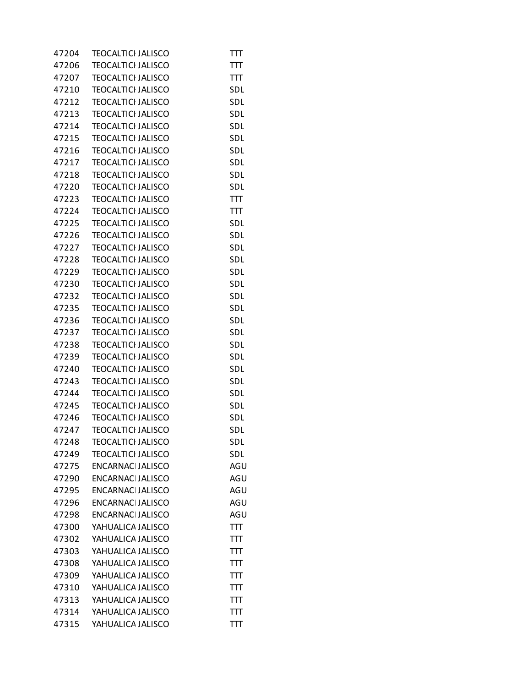| 47204 | <b>TEOCALTICI JALISCO</b> | πт         |
|-------|---------------------------|------------|
| 47206 | <b>TEOCALTICI JALISCO</b> | TTT        |
| 47207 | <b>TEOCALTICI JALISCO</b> | TП         |
| 47210 | <b>TEOCALTICI JALISCO</b> | SDL        |
| 47212 | <b>TEOCALTICI JALISCO</b> | <b>SDL</b> |
| 47213 | <b>TEOCALTICI JALISCO</b> | SDL        |
| 47214 | <b>TEOCALTICI JALISCO</b> | <b>SDL</b> |
| 47215 | <b>TEOCALTICI JALISCO</b> | SDL        |
| 47216 | <b>TEOCALTICI JALISCO</b> | <b>SDL</b> |
| 47217 | <b>TEOCALTICI JALISCO</b> | <b>SDL</b> |
| 47218 | <b>TEOCALTICI JALISCO</b> | <b>SDL</b> |
| 47220 | <b>TEOCALTICI JALISCO</b> | <b>SDL</b> |
| 47223 | <b>TEOCALTICI JALISCO</b> | TП         |
| 47224 | <b>TEOCALTICI JALISCO</b> | TП         |
| 47225 | <b>TEOCALTICI JALISCO</b> | <b>SDL</b> |
| 47226 | <b>TEOCALTICI JALISCO</b> | <b>SDL</b> |
| 47227 | <b>TEOCALTICI JALISCO</b> | <b>SDL</b> |
| 47228 | <b>TEOCALTICI JALISCO</b> | <b>SDL</b> |
| 47229 |                           | <b>SDL</b> |
| 47230 | <b>TEOCALTICI JALISCO</b> |            |
|       | <b>TEOCALTICI JALISCO</b> | <b>SDL</b> |
| 47232 | <b>TEOCALTICI JALISCO</b> | <b>SDL</b> |
| 47235 | <b>TEOCALTICI JALISCO</b> | <b>SDL</b> |
| 47236 | <b>TEOCALTICI JALISCO</b> | <b>SDL</b> |
| 47237 | <b>TEOCALTICI JALISCO</b> | SDL        |
| 47238 | <b>TEOCALTICI JALISCO</b> | SDL        |
| 47239 | <b>TEOCALTICI JALISCO</b> | SDL        |
| 47240 | <b>TEOCALTICI JALISCO</b> | SDL        |
| 47243 | <b>TEOCALTICI JALISCO</b> | SDL        |
| 47244 | <b>TEOCALTICI JALISCO</b> | SDL        |
| 47245 | <b>TEOCALTICI JALISCO</b> | SDL        |
| 47246 | <b>TEOCALTICI JALISCO</b> | SDL        |
| 47247 | <b>TEOCALTICI JALISCO</b> | <b>SDL</b> |
| 47248 | <b>TEOCALTICI JALISCO</b> | SDL        |
| 47249 | <b>TEOCALTICI JALISCO</b> | <b>SDL</b> |
| 47275 | <b>ENCARNAC JALISCO</b>   | AGU        |
| 47290 | <b>ENCARNAC JALISCO</b>   | AGU        |
| 47295 | <b>ENCARNACI JALISCO</b>  | AGU        |
| 47296 | <b>ENCARNAC JALISCO</b>   | AGU        |
| 47298 | <b>ENCARNAC JALISCO</b>   | AGU        |
| 47300 | YAHUALICA JALISCO         | TП         |
| 47302 | YAHUALICA JALISCO         | πт         |
| 47303 | YAHUALICA JALISCO         | πт         |
| 47308 | YAHUALICA JALISCO         | πт         |
| 47309 | YAHUALICA JALISCO         | πт         |
| 47310 | YAHUALICA JALISCO         | πт         |
| 47313 | YAHUALICA JALISCO         | πт         |
| 47314 | YAHUALICA JALISCO         | TП         |
| 47315 | YAHUALICA JALISCO         | TTT        |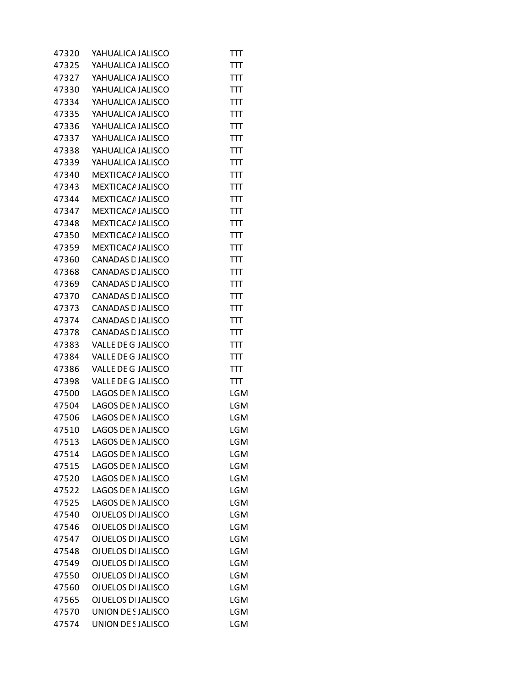| 47320 | YAHUALICA JALISCO         | πт         |
|-------|---------------------------|------------|
| 47325 | YAHUALICA JALISCO         | TП         |
| 47327 | YAHUALICA JALISCO         | TTT        |
| 47330 | YAHUALICA JALISCO         | TП         |
| 47334 | YAHUALICA JALISCO         | TП         |
| 47335 | YAHUALICA JALISCO         | TTT        |
| 47336 | YAHUALICA JALISCO         | TП         |
| 47337 | YAHUALICA JALISCO         | TП         |
| 47338 | YAHUALICA JALISCO         | TTT        |
| 47339 | YAHUALICA JALISCO         | TП         |
| 47340 | <b>MEXTICACA JALISCO</b>  | TTT        |
| 47343 | MEXTICACA JALISCO         | TTT        |
| 47344 | MEXTICACA JALISCO         | TП         |
| 47347 | <b>MEXTICACA JALISCO</b>  | TП         |
| 47348 | MEXTICACA JALISCO         | TTT        |
| 47350 | MEXTICACA JALISCO         | TП         |
| 47359 | MEXTICACA JALISCO         | TTT        |
| 47360 | CANADAS E JALISCO         | TTT        |
| 47368 | CANADAS E JALISCO         | TП         |
| 47369 | CANADAS E JALISCO         | TП         |
| 47370 | <b>CANADAS E JALISCO</b>  | TTT        |
| 47373 | CANADAS E JALISCO         | TП         |
| 47374 | CANADAS E JALISCO         | TTT        |
| 47378 | CANADAS E JALISCO         | TTT        |
| 47383 | VALLE DE G JALISCO        | TП         |
| 47384 | VALLE DE G JALISCO        | TП         |
| 47386 | VALLE DE G JALISCO        | TTT        |
| 47398 | VALLE DE G JALISCO        | TП         |
| 47500 | <b>LAGOS DE NJALISCO</b>  | <b>LGM</b> |
| 47504 | LAGOS DE NJALISCO         | LGM        |
| 47506 | LAGOS DE NJALISCO         | LGM        |
| 47510 | <b>LAGOS DE NJALISCO</b>  | LGM        |
| 47513 | <b>LAGOS DE NJALISCO</b>  | LGM        |
| 47514 | <b>LAGOS DE NJALISCO</b>  | LGM        |
| 47515 | <b>LAGOS DE NJALISCO</b>  | LGM        |
| 47520 | <b>LAGOS DE NJALISCO</b>  | <b>LGM</b> |
| 47522 | LAGOS DE NJALISCO         | <b>LGM</b> |
| 47525 | <b>LAGOS DE NJALISCO</b>  | <b>LGM</b> |
| 47540 | <b>OJUELOS DI JALISCO</b> | LGM        |
| 47546 | <b>OJUELOS DI JALISCO</b> | LGM        |
| 47547 | <b>OJUELOS DI JALISCO</b> | LGM        |
| 47548 | <b>OJUELOS DI JALISCO</b> | <b>LGM</b> |
| 47549 | <b>OJUELOS DI JALISCO</b> | <b>LGM</b> |
| 47550 | <b>OJUELOS DI JALISCO</b> | <b>LGM</b> |
| 47560 | <b>OJUELOS DI JALISCO</b> | LGM        |
| 47565 | <b>OJUELOS DI JALISCO</b> | LGM        |
| 47570 | UNION DE SJALISCO         | <b>LGM</b> |
| 47574 | UNION DE SJALISCO         | <b>LGM</b> |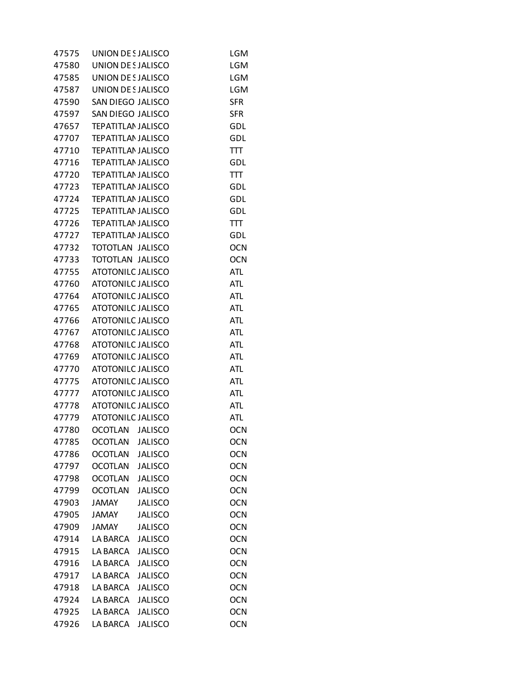| 47575 | UNION DE SJALISCO                                    |                | <b>LGM</b>               |
|-------|------------------------------------------------------|----------------|--------------------------|
| 47580 | UNION DE SJALISCO                                    |                | <b>LGM</b>               |
| 47585 | UNION DE SJALISCO                                    |                | <b>LGM</b>               |
| 47587 | UNION DE SJALISCO                                    |                | LGM                      |
| 47590 | SAN DIEGO JALISCO                                    |                | <b>SFR</b>               |
| 47597 | SAN DIEGO JALISCO                                    |                | <b>SFR</b>               |
| 47657 | <b>TEPATITLAN JALISCO</b>                            |                | GDL                      |
| 47707 | <b>TEPATITLAN JALISCO</b>                            |                | GDL                      |
| 47710 | <b>TEPATITLAN JALISCO</b>                            |                | TTT                      |
| 47716 | <b>TEPATITLAN JALISCO</b>                            |                | GDL                      |
| 47720 | <b>TEPATITLAN JALISCO</b>                            |                | TTT                      |
| 47723 | <b>TEPATITLAN JALISCO</b>                            |                | GDL                      |
| 47724 | <b>TEPATITLAN JALISCO</b>                            |                | GDL                      |
| 47725 | <b>TEPATITLAN JALISCO</b>                            |                | GDL                      |
| 47726 | <b>TEPATITLAN JALISCO</b>                            |                | TTT                      |
| 47727 | <b>TEPATITLAN JALISCO</b>                            |                | GDL                      |
| 47732 | TOTOTLAN JALISCO                                     |                | <b>OCN</b>               |
| 47733 | TOTOTLAN JALISCO                                     |                | <b>OCN</b>               |
| 47755 | <b>ATOTONILC JALISCO</b>                             |                | ATL                      |
|       |                                                      |                |                          |
| 47760 | <b>ATOTONILC JALISCO</b><br><b>ATOTONILC JALISCO</b> |                | <b>ATL</b><br><b>ATL</b> |
| 47764 |                                                      |                |                          |
| 47765 | <b>ATOTONILC JALISCO</b>                             |                | ATL                      |
| 47766 | <b>ATOTONILC JALISCO</b>                             |                | <b>ATL</b>               |
| 47767 | <b>ATOTONILC JALISCO</b>                             |                | ATL                      |
| 47768 | <b>ATOTONILC JALISCO</b>                             |                | <b>ATL</b>               |
| 47769 | <b>ATOTONILC JALISCO</b>                             |                | <b>ATL</b>               |
| 47770 | <b>ATOTONILC JALISCO</b>                             |                | ATL                      |
| 47775 | <b>ATOTONILC JALISCO</b>                             |                | ATL                      |
| 47777 | <b>ATOTONILC JALISCO</b>                             |                | <b>ATL</b>               |
| 47778 | <b>ATOTONILC JALISCO</b>                             |                | atl                      |
| 47779 | <b>ATOTONILC JALISCO</b>                             |                | atl                      |
| 47780 | OCOTLAN JALISCO                                      |                | <b>OCN</b>               |
| 47785 | <b>OCOTLAN</b>                                       | <b>JALISCO</b> | <b>OCN</b>               |
| 47786 | <b>OCOTLAN</b>                                       | <b>JALISCO</b> | <b>OCN</b>               |
| 47797 | <b>OCOTLAN</b>                                       | <b>JALISCO</b> | <b>OCN</b>               |
| 47798 | <b>OCOTLAN</b>                                       | <b>JALISCO</b> | <b>OCN</b>               |
| 47799 | <b>OCOTLAN</b>                                       | <b>JALISCO</b> | <b>OCN</b>               |
| 47903 | <b>JAMAY</b>                                         | <b>JALISCO</b> | <b>OCN</b>               |
| 47905 | <b>JAMAY</b>                                         | <b>JALISCO</b> | <b>OCN</b>               |
| 47909 | <b>JAMAY</b>                                         | <b>JALISCO</b> | <b>OCN</b>               |
| 47914 | <b>LA BARCA</b>                                      | <b>JALISCO</b> | <b>OCN</b>               |
| 47915 | LA BARCA                                             | <b>JALISCO</b> | <b>OCN</b>               |
| 47916 | LA BARCA                                             | <b>JALISCO</b> | <b>OCN</b>               |
| 47917 | <b>LA BARCA</b>                                      | <b>JALISCO</b> | <b>OCN</b>               |
| 47918 | LA BARCA                                             | <b>JALISCO</b> | <b>OCN</b>               |
| 47924 | LA BARCA                                             | <b>JALISCO</b> | <b>OCN</b>               |
| 47925 | <b>LA BARCA</b>                                      | <b>JALISCO</b> | <b>OCN</b>               |
| 47926 | LA BARCA                                             | <b>JALISCO</b> | <b>OCN</b>               |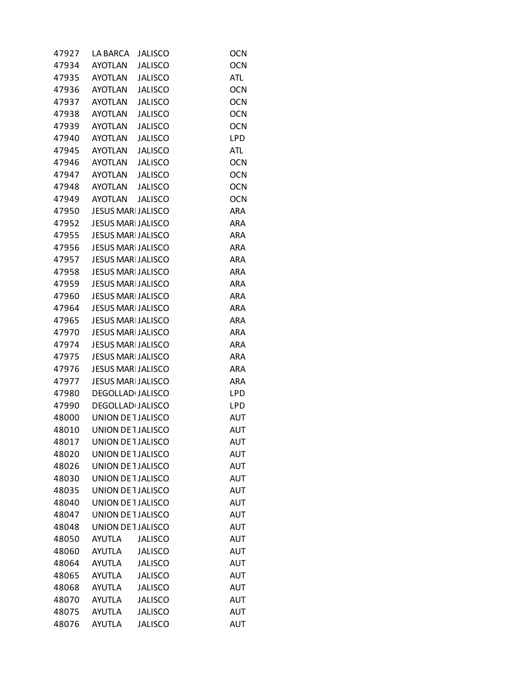| 47927 | LA BARCA                  | <b>JALISCO</b> | <b>OCN</b> |
|-------|---------------------------|----------------|------------|
| 47934 | AYOTLAN                   | <b>JALISCO</b> | <b>OCN</b> |
| 47935 | AYOTLAN                   | <b>JALISCO</b> | <b>ATL</b> |
| 47936 | AYOTLAN                   | <b>JALISCO</b> | <b>OCN</b> |
| 47937 | AYOTLAN                   | <b>JALISCO</b> | <b>OCN</b> |
| 47938 | AYOTLAN                   | <b>JALISCO</b> | <b>OCN</b> |
| 47939 | AYOTLAN                   | <b>JALISCO</b> | <b>OCN</b> |
| 47940 | AYOTLAN                   | <b>JALISCO</b> | LPD        |
|       | 47945 AYOTLAN             | <b>JALISCO</b> | <b>ATL</b> |
| 47946 | AYOTLAN                   | <b>JALISCO</b> | <b>OCN</b> |
| 47947 | AYOTLAN                   | <b>JALISCO</b> | <b>OCN</b> |
| 47948 | AYOTLAN JALISCO           |                | <b>OCN</b> |
| 47949 | AYOTLAN                   | <b>JALISCO</b> | <b>OCN</b> |
| 47950 | <b>JESUS MARI JALISCO</b> |                | <b>ARA</b> |
| 47952 | <b>JESUS MARI JALISCO</b> |                | <b>ARA</b> |
| 47955 | <b>JESUS MARI JALISCO</b> |                | <b>ARA</b> |
| 47956 | <b>JESUS MARI JALISCO</b> |                | <b>ARA</b> |
| 47957 | <b>JESUS MARI JALISCO</b> |                | <b>ARA</b> |
| 47958 | <b>JESUS MARI JALISCO</b> |                | <b>ARA</b> |
| 47959 | <b>JESUS MARI JALISCO</b> |                | <b>ARA</b> |
| 47960 | <b>JESUS MARI JALISCO</b> |                | <b>ARA</b> |
| 47964 | <b>JESUS MARI JALISCO</b> |                | <b>ARA</b> |
| 47965 | <b>JESUS MARI JALISCO</b> |                | <b>ARA</b> |
| 47970 | <b>JESUS MARI JALISCO</b> |                | <b>ARA</b> |
| 47974 | <b>JESUS MARI JALISCO</b> |                | ARA        |
| 47975 | <b>JESUS MARI JALISCO</b> |                | <b>ARA</b> |
| 47976 | <b>JESUS MARI JALISCO</b> |                | <b>ARA</b> |
| 47977 | <b>JESUS MARI JALISCO</b> |                | ARA        |
| 47980 | <b>DEGOLLAD JALISCO</b>   |                | LPD        |
| 47990 | DEGOLLAD JALISCO          |                | LPD        |
| 48000 | UNION DE 1 JALISCO        |                | AUT        |
| 48010 | UNION DE 1 JALISCO        |                | <b>AUT</b> |
| 48017 | UNION DE 1 JALISCO        |                | <b>AUT</b> |
| 48020 | UNION DE 1 JALISCO        |                | <b>AUT</b> |
| 48026 | UNION DE 1 JALISCO        |                | AUT        |
| 48030 | UNION DE 1 JALISCO        |                | <b>AUT</b> |
| 48035 | UNION DE 1 JALISCO        |                | AUT        |
| 48040 | UNION DE 1 JALISCO        |                | AUT        |
| 48047 | UNION DE 1 JALISCO        |                | <b>AUT</b> |
| 48048 | UNION DE 1 JALISCO        |                | AUT        |
| 48050 | <b>AYUTLA</b>             | <b>JALISCO</b> | <b>AUT</b> |
| 48060 | <b>AYUTLA</b>             | <b>JALISCO</b> | AUT        |
| 48064 | <b>AYUTLA</b>             | <b>JALISCO</b> | AUT        |
| 48065 | <b>AYUTLA</b>             | <b>JALISCO</b> | <b>AUT</b> |
| 48068 | <b>AYUTLA</b>             | <b>JALISCO</b> | <b>AUT</b> |
| 48070 | <b>AYUTLA</b>             | <b>JALISCO</b> | AUT        |
| 48075 | <b>AYUTLA</b>             | <b>JALISCO</b> | <b>AUT</b> |
| 48076 | <b>AYUTLA</b>             | <b>JALISCO</b> | <b>AUT</b> |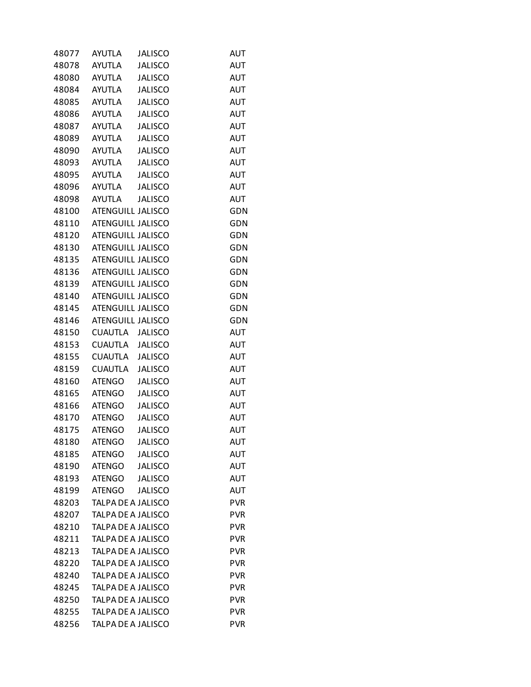| 48077 | <b>AYUTLA</b>            | <b>JALISCO</b> | AUT        |
|-------|--------------------------|----------------|------------|
| 48078 | <b>AYUTLA</b>            | <b>JALISCO</b> | <b>AUT</b> |
| 48080 | <b>AYUTLA</b>            | <b>JALISCO</b> | <b>AUT</b> |
| 48084 | AYUTLA                   | <b>JALISCO</b> | AUT        |
| 48085 | AYUTLA                   | <b>JALISCO</b> | <b>AUT</b> |
| 48086 | <b>AYUTLA</b>            | <b>JALISCO</b> | <b>AUT</b> |
| 48087 | AYUTLA                   | <b>JALISCO</b> | <b>AUT</b> |
| 48089 | <b>AYUTLA</b>            | <b>JALISCO</b> | <b>AUT</b> |
| 48090 | AYUTLA                   | <b>JALISCO</b> | <b>AUT</b> |
| 48093 | AYUTLA                   | <b>JALISCO</b> | AUT        |
| 48095 | AYUTLA                   | <b>JALISCO</b> | <b>AUT</b> |
| 48096 | AYUTLA                   | <b>JALISCO</b> | <b>AUT</b> |
| 48098 | AYUTLA                   | <b>JALISCO</b> | <b>AUT</b> |
| 48100 | ATENGUILL JALISCO        |                | GDN        |
| 48110 | ATENGUILL JALISCO        |                | GDN        |
| 48120 | ATENGUILL JALISCO        |                | GDN        |
| 48130 | ATENGUILL JALISCO        |                | GDN        |
| 48135 | ATENGUILL JALISCO        |                | GDN        |
| 48136 | ATENGUILL JALISCO        |                | GDN        |
| 48139 | ATENGUILL JALISCO        |                | GDN        |
| 48140 | <b>ATENGUILL JALISCO</b> |                | GDN        |
| 48145 | ATENGUILL JALISCO        |                | GDN        |
| 48146 | ATENGUILL JALISCO        |                | GDN        |
| 48150 | CUAUTLA                  | <b>JALISCO</b> | <b>AUT</b> |
| 48153 | CUAUTLA JALISCO          |                | <b>AUT</b> |
| 48155 | <b>CUAUTLA</b>           | <b>JALISCO</b> | <b>AUT</b> |
| 48159 | <b>CUAUTLA</b>           | <b>JALISCO</b> | <b>AUT</b> |
| 48160 | ATENGO                   | <b>JALISCO</b> | AUT        |
| 48165 | <b>ATENGO</b>            | <b>JALISCO</b> | <b>AUT</b> |
| 48166 | <b>ATENGO</b>            | <b>JALISCO</b> | <b>AUT</b> |
| 48170 | <b>ATENGO</b>            | <b>JALISCO</b> | AUT        |
| 48175 | <b>ATENGO</b>            | <b>JALISCO</b> | <b>AUT</b> |
| 48180 | <b>ATENGO</b>            | <b>JALISCO</b> | AUT        |
| 48185 | <b>ATENGO</b>            | <b>JALISCO</b> | AUT        |
| 48190 | <b>ATENGO</b>            | <b>JALISCO</b> | <b>AUT</b> |
| 48193 | <b>ATENGO</b>            | <b>JALISCO</b> | <b>AUT</b> |
| 48199 | <b>ATENGO</b>            | <b>JALISCO</b> | <b>AUT</b> |
| 48203 | TALPA DE A JALISCO       |                | <b>PVR</b> |
| 48207 | TALPA DE A JALISCO       |                | <b>PVR</b> |
| 48210 | TALPA DE A JALISCO       |                | <b>PVR</b> |
| 48211 | TALPA DE A JALISCO       |                | <b>PVR</b> |
| 48213 | TALPA DE A JALISCO       |                | <b>PVR</b> |
| 48220 | TALPA DE A JALISCO       |                | <b>PVR</b> |
| 48240 | TALPA DE A JALISCO       |                | <b>PVR</b> |
| 48245 | TALPA DE A JALISCO       |                | <b>PVR</b> |
| 48250 | TALPA DE A JALISCO       |                | <b>PVR</b> |
| 48255 | TALPA DE A JALISCO       |                | <b>PVR</b> |
| 48256 | TALPA DE A JALISCO       |                | <b>PVR</b> |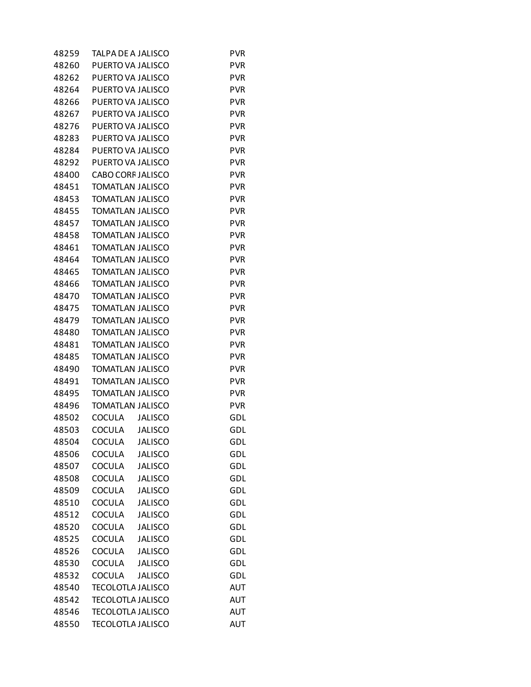| 48259 | TALPA DE A JALISCO       |                | <b>PVR</b> |
|-------|--------------------------|----------------|------------|
| 48260 | PUERTO VA JALISCO        |                | <b>PVR</b> |
| 48262 | PUERTO VA JALISCO        |                | <b>PVR</b> |
| 48264 | PUERTO VA JALISCO        |                | <b>PVR</b> |
| 48266 | PUERTO VA JALISCO        |                | <b>PVR</b> |
| 48267 | PUERTO VA JALISCO        |                | <b>PVR</b> |
| 48276 | PUERTO VA JALISCO        |                | <b>PVR</b> |
| 48283 | PUERTO VA JALISCO        |                | <b>PVR</b> |
| 48284 | PUERTO VA JALISCO        |                | <b>PVR</b> |
| 48292 | PUERTO VA JALISCO        |                | <b>PVR</b> |
| 48400 | <b>CABO CORF JALISCO</b> |                | <b>PVR</b> |
| 48451 | <b>TOMATLAN JALISCO</b>  |                | <b>PVR</b> |
| 48453 | <b>TOMATLAN JALISCO</b>  |                | <b>PVR</b> |
| 48455 | <b>TOMATLAN JALISCO</b>  |                | <b>PVR</b> |
| 48457 | <b>TOMATLAN JALISCO</b>  |                | <b>PVR</b> |
| 48458 | <b>TOMATLAN JALISCO</b>  |                | <b>PVR</b> |
| 48461 | <b>TOMATLAN JALISCO</b>  |                | <b>PVR</b> |
| 48464 | <b>TOMATLAN JALISCO</b>  |                | <b>PVR</b> |
| 48465 | <b>TOMATLAN JALISCO</b>  |                | <b>PVR</b> |
| 48466 | <b>TOMATLAN JALISCO</b>  |                | <b>PVR</b> |
| 48470 | <b>TOMATLAN JALISCO</b>  |                | <b>PVR</b> |
| 48475 | <b>TOMATLAN JALISCO</b>  |                | <b>PVR</b> |
| 48479 | <b>TOMATLAN JALISCO</b>  |                | <b>PVR</b> |
| 48480 | <b>TOMATLAN JALISCO</b>  |                | <b>PVR</b> |
| 48481 | TOMATLAN JALISCO         |                | <b>PVR</b> |
| 48485 | <b>TOMATLAN JALISCO</b>  |                | <b>PVR</b> |
| 48490 | <b>TOMATLAN JALISCO</b>  |                | <b>PVR</b> |
| 48491 | <b>TOMATLAN JALISCO</b>  |                | <b>PVR</b> |
| 48495 | <b>TOMATLAN JALISCO</b>  |                | <b>PVR</b> |
| 48496 | <b>TOMATLAN JALISCO</b>  |                | <b>PVR</b> |
| 48502 | COCULA                   | <b>JALISCO</b> | GDL        |
| 48503 | COCULA                   | <b>JALISCO</b> | GDL        |
| 48504 | COCULA                   | <b>JALISCO</b> | GDL        |
| 48506 | COCULA                   | <b>JALISCO</b> | <b>GDL</b> |
| 48507 | COCULA                   | <b>JALISCO</b> | <b>GDL</b> |
| 48508 | COCULA                   | <b>JALISCO</b> | GDL        |
| 48509 | COCULA                   | <b>JALISCO</b> | GDL        |
| 48510 | COCULA                   | <b>JALISCO</b> | <b>GDL</b> |
| 48512 | COCULA                   | <b>JALISCO</b> | GDL        |
| 48520 | COCULA                   | <b>JALISCO</b> | GDL        |
| 48525 | COCULA                   | <b>JALISCO</b> | <b>GDL</b> |
| 48526 | <b>COCULA</b>            | <b>JALISCO</b> | GDL        |
| 48530 | COCULA                   | <b>JALISCO</b> | GDL        |
| 48532 | COCULA                   | <b>JALISCO</b> | <b>GDL</b> |
| 48540 | <b>TECOLOTLA JALISCO</b> |                | <b>AUT</b> |
| 48542 | <b>TECOLOTLA JALISCO</b> |                | AUT        |
| 48546 | <b>TECOLOTLA JALISCO</b> |                | <b>AUT</b> |
| 48550 | <b>TECOLOTLA JALISCO</b> |                | <b>AUT</b> |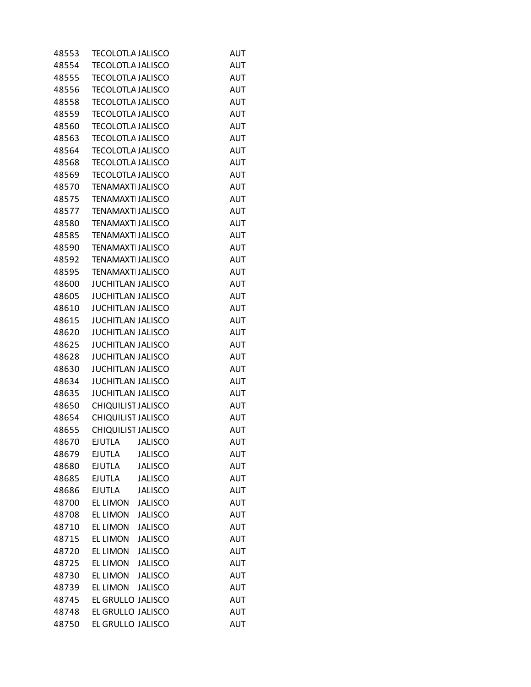| 48553 | <b>TECOLOTLA JALISCO</b>  |                | AUT        |
|-------|---------------------------|----------------|------------|
| 48554 | <b>TECOLOTLA JALISCO</b>  |                | <b>AUT</b> |
| 48555 | <b>TECOLOTLA JALISCO</b>  |                | <b>AUT</b> |
| 48556 | <b>TECOLOTLA JALISCO</b>  |                | AUT        |
| 48558 | <b>TECOLOTLA JALISCO</b>  |                | <b>AUT</b> |
| 48559 | <b>TECOLOTLA JALISCO</b>  |                | <b>AUT</b> |
| 48560 | <b>TECOLOTLA JALISCO</b>  |                | AUT        |
| 48563 | <b>TECOLOTLA JALISCO</b>  |                | <b>AUT</b> |
| 48564 | <b>TECOLOTLA JALISCO</b>  |                | <b>AUT</b> |
| 48568 | <b>TECOLOTLA JALISCO</b>  |                | AUT        |
| 48569 | <b>TECOLOTLA JALISCO</b>  |                | <b>AUT</b> |
| 48570 | <b>TENAMAXT JALISCO</b>   |                | <b>AUT</b> |
| 48575 | <b>TENAMAXT JALISCO</b>   |                | AUT        |
| 48577 | <b>TENAMAXT JALISCO</b>   |                | <b>AUT</b> |
| 48580 | <b>TENAMAXT JALISCO</b>   |                | <b>AUT</b> |
| 48585 | <b>TENAMAXT JALISCO</b>   |                | AUT        |
| 48590 | <b>TENAMAXT JALISCO</b>   |                | <b>AUT</b> |
| 48592 | <b>TENAMAXT JALISCO</b>   |                | <b>AUT</b> |
| 48595 | <b>TENAMAXT JALISCO</b>   |                | AUT        |
| 48600 | <b>JUCHITLAN JALISCO</b>  |                | <b>AUT</b> |
| 48605 | <b>JUCHITLAN JALISCO</b>  |                | <b>AUT</b> |
| 48610 | <b>JUCHITLAN JALISCO</b>  |                | AUT        |
| 48615 | <b>JUCHITLAN JALISCO</b>  |                | <b>AUT</b> |
| 48620 | <b>JUCHITLAN JALISCO</b>  |                | <b>AUT</b> |
| 48625 | <b>JUCHITLAN JALISCO</b>  |                | AUT        |
| 48628 | <b>JUCHITLAN JALISCO</b>  |                | AUT        |
| 48630 | <b>JUCHITLAN JALISCO</b>  |                | <b>AUT</b> |
| 48634 | <b>JUCHITLAN JALISCO</b>  |                | AUT        |
| 48635 | <b>JUCHITLAN JALISCO</b>  |                | <b>AUT</b> |
| 48650 | CHIQUILIST JALISCO        |                | <b>AUT</b> |
| 48654 | CHIQUILIST JALISCO        |                | AUT        |
| 48655 | <b>CHIQUILIST JALISCO</b> |                | AUT        |
| 48670 | <b>EJUTLA</b>             | <b>JALISCO</b> | <b>AUT</b> |
| 48679 | <b>EJUTLA</b>             | <b>JALISCO</b> | AUT        |
| 48680 | <b>EJUTLA</b>             | <b>JALISCO</b> | AUT        |
| 48685 | <b>EJUTLA</b>             | <b>JALISCO</b> | AUT        |
| 48686 | <b>EJUTLA</b>             | <b>JALISCO</b> | AUT        |
| 48700 | <b>EL LIMON</b>           | <b>JALISCO</b> | <b>AUT</b> |
| 48708 | <b>EL LIMON</b>           | <b>JALISCO</b> | AUT        |
| 48710 | EL LIMON                  | <b>JALISCO</b> | AUT        |
| 48715 | <b>EL LIMON</b>           | <b>JALISCO</b> | <b>AUT</b> |
| 48720 | <b>EL LIMON</b>           | <b>JALISCO</b> | AUT        |
| 48725 | EL LIMON                  | <b>JALISCO</b> | AUT        |
| 48730 | <b>EL LIMON</b>           | <b>JALISCO</b> | <b>AUT</b> |
| 48739 | <b>EL LIMON</b>           | <b>JALISCO</b> | AUT        |
| 48745 | EL GRULLO JALISCO         |                | AUT        |
| 48748 | EL GRULLO JALISCO         |                | AUT        |
| 48750 | EL GRULLO JALISCO         |                | <b>AUT</b> |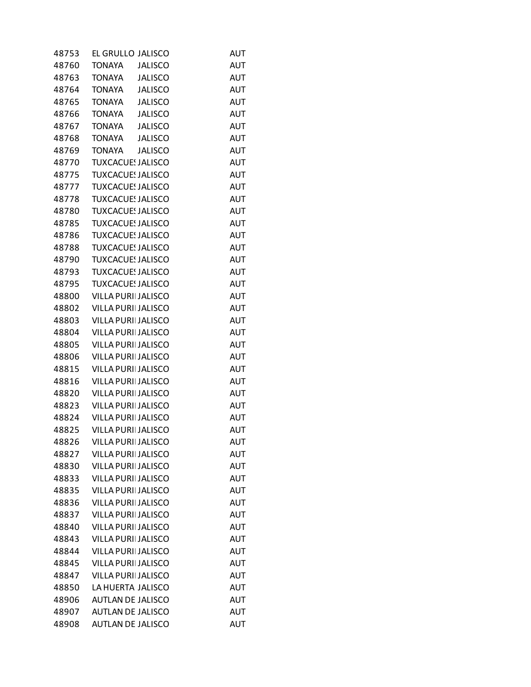| 48753          | EL GRULLO JALISCO               | AUT               |
|----------------|---------------------------------|-------------------|
| 48760          | <b>JALISCO</b><br><b>TONAYA</b> | AUT               |
| 48763          | <b>TONAYA</b><br><b>JALISCO</b> | <b>AUT</b>        |
| 48764          | <b>TONAYA</b><br><b>JALISCO</b> | AUT               |
| 48765          | <b>TONAYA</b><br><b>JALISCO</b> | AUT               |
| 48766          | <b>TONAYA</b><br><b>JALISCO</b> | <b>AUT</b>        |
| 48767          | <b>JALISCO</b><br><b>TONAYA</b> | AUT               |
| 48768          | <b>TONAYA</b><br><b>JALISCO</b> | AUT               |
| 48769          | <b>TONAYA</b><br><b>JALISCO</b> | <b>AUT</b>        |
| 48770          | <b>TUXCACUE: JALISCO</b>        | AUT               |
| 48775          | <b>TUXCACUE: JALISCO</b>        | <b>AUT</b>        |
| 48777          | <b>TUXCACUE! JALISCO</b>        | <b>AUT</b>        |
| 48778          | <b>TUXCACUE: JALISCO</b>        | AUT               |
| 48780          | <b>TUXCACUE: JALISCO</b>        | AUT               |
| 48785          | <b>TUXCACUE! JALISCO</b>        | <b>AUT</b>        |
| 48786          | <b>TUXCACUE! JALISCO</b>        | AUT               |
| 48788          | <b>TUXCACUE: JALISCO</b>        | <b>AUT</b>        |
| 48790          | <b>TUXCACUE! JALISCO</b>        | <b>AUT</b>        |
| 48793          | <b>TUXCACUE! JALISCO</b>        | AUT               |
|                | <b>TUXCACUE: JALISCO</b>        |                   |
| 48795          | <b>VILLA PURII JALISCO</b>      | AUT<br><b>AUT</b> |
| 48800<br>48802 | VILLA PURII JALISCO             |                   |
|                |                                 | AUT               |
| 48803          | <b>VILLA PURII JALISCO</b>      | <b>AUT</b>        |
| 48804          | <b>VILLA PURII JALISCO</b>      | <b>AUT</b>        |
| 48805          | VILLA PURII JALISCO             | AUT               |
| 48806          | <b>VILLA PURII JALISCO</b>      | AUT               |
| 48815          | <b>VILLA PURII JALISCO</b>      | <b>AUT</b>        |
| 48816          | VILLA PURII JALISCO             | AUT               |
| 48820          | <b>VILLA PURII JALISCO</b>      | <b>AUT</b>        |
| 48823          | <b>VILLA PURII JALISCO</b>      | <b>AUT</b>        |
| 48824          | VILLA PURII JALISCO             | <b>AUT</b>        |
| 48825          | <b>VILLA PURII JALISCO</b>      | AUT               |
| 48826          | <b>VILLA PURII JALISCO</b>      | <b>AUT</b>        |
| 48827          | <b>VILLA PURII JALISCO</b>      | AUT               |
| 48830          | <b>VILLA PURII JALISCO</b>      | AUT               |
| 48833          | <b>VILLA PURII JALISCO</b>      | <b>AUT</b>        |
| 48835          | <b>VILLA PURII JALISCO</b>      | <b>AUT</b>        |
| 48836          | <b>VILLA PURII JALISCO</b>      | AUT               |
| 48837          | <b>VILLA PURII JALISCO</b>      | <b>AUT</b>        |
| 48840          | <b>VILLA PURII JALISCO</b>      | AUT               |
| 48843          | <b>VILLA PURII JALISCO</b>      | AUT               |
| 48844          | <b>VILLA PURII JALISCO</b>      | <b>AUT</b>        |
| 48845          | <b>VILLA PURII JALISCO</b>      | AUT               |
| 48847          | <b>VILLA PURII JALISCO</b>      | AUT               |
| 48850          | LA HUERTA JALISCO               | <b>AUT</b>        |
| 48906          | <b>AUTLAN DE JALISCO</b>        | AUT               |
| 48907          | <b>AUTLAN DE JALISCO</b>        | AUT               |
| 48908          | AUTLAN DE JALISCO               | <b>AUT</b>        |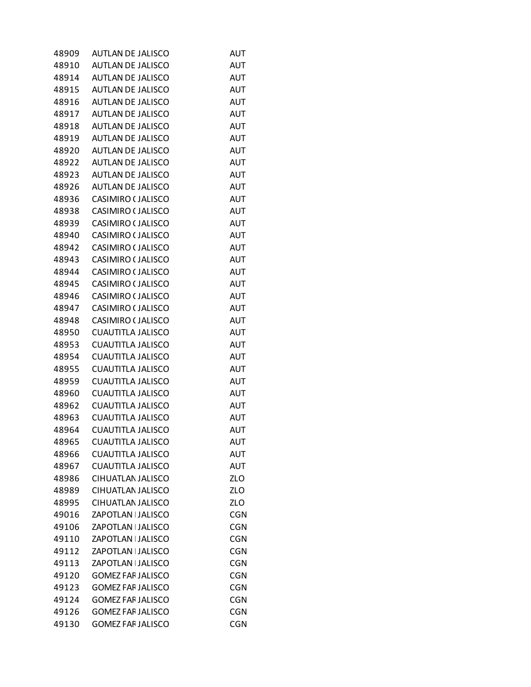| 48909          | <b>AUTLAN DE JALISCO</b> | AUT        |
|----------------|--------------------------|------------|
| 48910          | <b>AUTLAN DE JALISCO</b> | AUT        |
| 48914          | <b>AUTLAN DE JALISCO</b> | AUT        |
| 48915          | AUTLAN DE JALISCO        | AUT        |
| 48916          | <b>AUTLAN DE JALISCO</b> | AUT        |
| 48917          | <b>AUTLAN DE JALISCO</b> | <b>AUT</b> |
| 48918          | AUTLAN DE JALISCO        | AUT        |
| 48919          | <b>AUTLAN DE JALISCO</b> | <b>AUT</b> |
| 48920          | <b>AUTLAN DE JALISCO</b> | <b>AUT</b> |
| 48922          | AUTLAN DE JALISCO        | AUT        |
| 48923          | <b>AUTLAN DE JALISCO</b> | <b>AUT</b> |
| 48926          | <b>AUTLAN DE JALISCO</b> | <b>AUT</b> |
| 48936          | CASIMIRO (JALISCO        | AUT        |
| 48938          | CASIMIRO (JALISCO        | AUT        |
| 48939          | CASIMIRO (JALISCO        | <b>AUT</b> |
| 48940          | CASIMIRO (JALISCO        | AUT        |
| 48942          | CASIMIRO (JALISCO        | <b>AUT</b> |
|                | CASIMIRO (JALISCO        | <b>AUT</b> |
| 48943<br>48944 |                          |            |
|                | CASIMIRO (JALISCO        | <b>AUT</b> |
| 48945          | CASIMIRO (JALISCO        | AUT        |
| 48946          | CASIMIRO (JALISCO        | AUT        |
| 48947          | CASIMIRO (JALISCO        | AUT        |
| 48948          | CASIMIRO (JALISCO        | <b>AUT</b> |
| 48950          | CUAUTITLA JALISCO        | <b>AUT</b> |
| 48953          | CUAUTITLA JALISCO        | AUT        |
| 48954          | CUAUTITLA JALISCO        | AUT        |
| 48955          | CUAUTITLA JALISCO        | AUT        |
| 48959          | CUAUTITLA JALISCO        | AUT        |
| 48960          | <b>CUAUTITLA JALISCO</b> | <b>AUT</b> |
| 48962          | CUAUTITLA JALISCO        | <b>AUT</b> |
| 48963          | CUAUTITLA JALISCO        | AUT        |
| 48964          | <b>CUAUTITLA JALISCO</b> | <b>AUT</b> |
| 48965          | <b>CUAUTITLA JALISCO</b> | <b>AUT</b> |
| 48966          | CUAUTITLA JALISCO        | <b>AUT</b> |
| 48967          | CUAUTITLA JALISCO        | AUT        |
| 48986          | CIHUATLAN JALISCO        | ZLO        |
| 48989          | CIHUATLAN JALISCO        | ZLO        |
| 48995          | CIHUATLAN JALISCO        | ZLO        |
| 49016          | ZAPOTLAN   JALISCO       | <b>CGN</b> |
| 49106          | ZAPOTLAN   JALISCO       | <b>CGN</b> |
| 49110          | ZAPOTLAN   JALISCO       | <b>CGN</b> |
| 49112          | ZAPOTLAN   JALISCO       | <b>CGN</b> |
| 49113          | ZAPOTLAN   JALISCO       | <b>CGN</b> |
| 49120          | <b>GOMEZ FAF JALISCO</b> | CGN        |
| 49123          | <b>GOMEZ FAF JALISCO</b> | CGN        |
| 49124          | <b>GOMEZ FAF JALISCO</b> | <b>CGN</b> |
| 49126          | <b>GOMEZ FAF JALISCO</b> | <b>CGN</b> |
| 49130          | <b>GOMEZ FAF JALISCO</b> | CGN        |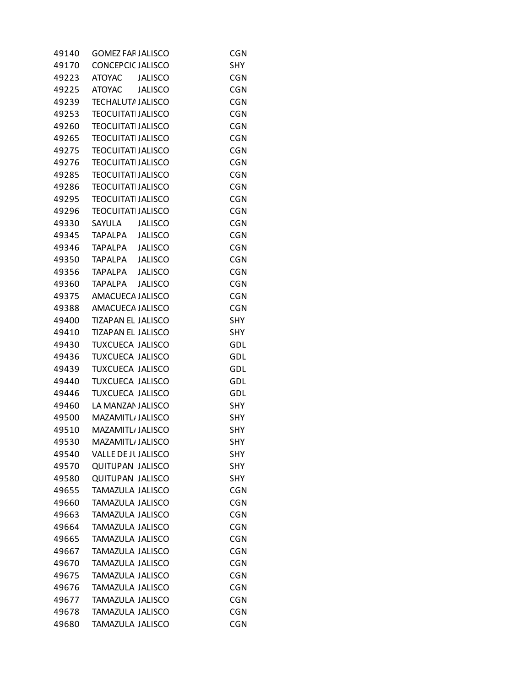| <b>GOMEZ FAF JALISCO</b>             | <b>CGN</b>                                                                                                                                                                                                                                                                                                                                                                                                                                                                                                                                                                                                                                                                                                                                                                                  |
|--------------------------------------|---------------------------------------------------------------------------------------------------------------------------------------------------------------------------------------------------------------------------------------------------------------------------------------------------------------------------------------------------------------------------------------------------------------------------------------------------------------------------------------------------------------------------------------------------------------------------------------------------------------------------------------------------------------------------------------------------------------------------------------------------------------------------------------------|
| <b>CONCEPCIC JALISCO</b>             | <b>SHY</b>                                                                                                                                                                                                                                                                                                                                                                                                                                                                                                                                                                                                                                                                                                                                                                                  |
| <b>ATOYAC</b><br><b>JALISCO</b>      | <b>CGN</b>                                                                                                                                                                                                                                                                                                                                                                                                                                                                                                                                                                                                                                                                                                                                                                                  |
| ATOYAC<br><b>JALISCO</b>             | <b>CGN</b>                                                                                                                                                                                                                                                                                                                                                                                                                                                                                                                                                                                                                                                                                                                                                                                  |
| <b>TECHALUTA JALISCO</b>             | <b>CGN</b>                                                                                                                                                                                                                                                                                                                                                                                                                                                                                                                                                                                                                                                                                                                                                                                  |
|                                      | <b>CGN</b>                                                                                                                                                                                                                                                                                                                                                                                                                                                                                                                                                                                                                                                                                                                                                                                  |
|                                      | <b>CGN</b>                                                                                                                                                                                                                                                                                                                                                                                                                                                                                                                                                                                                                                                                                                                                                                                  |
|                                      | CGN                                                                                                                                                                                                                                                                                                                                                                                                                                                                                                                                                                                                                                                                                                                                                                                         |
|                                      | <b>CGN</b>                                                                                                                                                                                                                                                                                                                                                                                                                                                                                                                                                                                                                                                                                                                                                                                  |
|                                      | <b>CGN</b>                                                                                                                                                                                                                                                                                                                                                                                                                                                                                                                                                                                                                                                                                                                                                                                  |
| <b>TEOCUITATI JALISCO</b>            | <b>CGN</b>                                                                                                                                                                                                                                                                                                                                                                                                                                                                                                                                                                                                                                                                                                                                                                                  |
|                                      | <b>CGN</b>                                                                                                                                                                                                                                                                                                                                                                                                                                                                                                                                                                                                                                                                                                                                                                                  |
|                                      | <b>CGN</b>                                                                                                                                                                                                                                                                                                                                                                                                                                                                                                                                                                                                                                                                                                                                                                                  |
|                                      | CGN                                                                                                                                                                                                                                                                                                                                                                                                                                                                                                                                                                                                                                                                                                                                                                                         |
|                                      | <b>CGN</b>                                                                                                                                                                                                                                                                                                                                                                                                                                                                                                                                                                                                                                                                                                                                                                                  |
|                                      | <b>CGN</b>                                                                                                                                                                                                                                                                                                                                                                                                                                                                                                                                                                                                                                                                                                                                                                                  |
|                                      | <b>CGN</b>                                                                                                                                                                                                                                                                                                                                                                                                                                                                                                                                                                                                                                                                                                                                                                                  |
|                                      | <b>CGN</b>                                                                                                                                                                                                                                                                                                                                                                                                                                                                                                                                                                                                                                                                                                                                                                                  |
| TAPALPA                              | <b>CGN</b>                                                                                                                                                                                                                                                                                                                                                                                                                                                                                                                                                                                                                                                                                                                                                                                  |
|                                      | <b>CGN</b>                                                                                                                                                                                                                                                                                                                                                                                                                                                                                                                                                                                                                                                                                                                                                                                  |
|                                      | <b>CGN</b>                                                                                                                                                                                                                                                                                                                                                                                                                                                                                                                                                                                                                                                                                                                                                                                  |
|                                      | <b>CGN</b>                                                                                                                                                                                                                                                                                                                                                                                                                                                                                                                                                                                                                                                                                                                                                                                  |
|                                      | <b>SHY</b>                                                                                                                                                                                                                                                                                                                                                                                                                                                                                                                                                                                                                                                                                                                                                                                  |
|                                      | <b>SHY</b>                                                                                                                                                                                                                                                                                                                                                                                                                                                                                                                                                                                                                                                                                                                                                                                  |
|                                      | GDL                                                                                                                                                                                                                                                                                                                                                                                                                                                                                                                                                                                                                                                                                                                                                                                         |
|                                      | GDL                                                                                                                                                                                                                                                                                                                                                                                                                                                                                                                                                                                                                                                                                                                                                                                         |
|                                      | GDL                                                                                                                                                                                                                                                                                                                                                                                                                                                                                                                                                                                                                                                                                                                                                                                         |
|                                      | GDL                                                                                                                                                                                                                                                                                                                                                                                                                                                                                                                                                                                                                                                                                                                                                                                         |
|                                      | GDL                                                                                                                                                                                                                                                                                                                                                                                                                                                                                                                                                                                                                                                                                                                                                                                         |
|                                      | <b>SHY</b>                                                                                                                                                                                                                                                                                                                                                                                                                                                                                                                                                                                                                                                                                                                                                                                  |
|                                      | SHY                                                                                                                                                                                                                                                                                                                                                                                                                                                                                                                                                                                                                                                                                                                                                                                         |
|                                      | SHY                                                                                                                                                                                                                                                                                                                                                                                                                                                                                                                                                                                                                                                                                                                                                                                         |
|                                      | <b>SHY</b>                                                                                                                                                                                                                                                                                                                                                                                                                                                                                                                                                                                                                                                                                                                                                                                  |
| <b>VALLE DE JUJALISCO</b>            | <b>SHY</b>                                                                                                                                                                                                                                                                                                                                                                                                                                                                                                                                                                                                                                                                                                                                                                                  |
|                                      | <b>SHY</b>                                                                                                                                                                                                                                                                                                                                                                                                                                                                                                                                                                                                                                                                                                                                                                                  |
|                                      | <b>SHY</b>                                                                                                                                                                                                                                                                                                                                                                                                                                                                                                                                                                                                                                                                                                                                                                                  |
|                                      | <b>CGN</b>                                                                                                                                                                                                                                                                                                                                                                                                                                                                                                                                                                                                                                                                                                                                                                                  |
| <b>TAMAZULA JALISCO</b>              | <b>CGN</b>                                                                                                                                                                                                                                                                                                                                                                                                                                                                                                                                                                                                                                                                                                                                                                                  |
|                                      | <b>CGN</b>                                                                                                                                                                                                                                                                                                                                                                                                                                                                                                                                                                                                                                                                                                                                                                                  |
|                                      |                                                                                                                                                                                                                                                                                                                                                                                                                                                                                                                                                                                                                                                                                                                                                                                             |
|                                      |                                                                                                                                                                                                                                                                                                                                                                                                                                                                                                                                                                                                                                                                                                                                                                                             |
| TAMAZULA JALISCO                     | <b>CGN</b>                                                                                                                                                                                                                                                                                                                                                                                                                                                                                                                                                                                                                                                                                                                                                                                  |
| TAMAZULA JALISCO<br>TAMAZULA JALISCO | <b>CGN</b>                                                                                                                                                                                                                                                                                                                                                                                                                                                                                                                                                                                                                                                                                                                                                                                  |
| TAMAZULA JALISCO                     | <b>CGN</b><br><b>CGN</b>                                                                                                                                                                                                                                                                                                                                                                                                                                                                                                                                                                                                                                                                                                                                                                    |
| <b>TAMAZULA JALISCO</b>              | <b>CGN</b>                                                                                                                                                                                                                                                                                                                                                                                                                                                                                                                                                                                                                                                                                                                                                                                  |
| TAMAZULA JALISCO                     | <b>CGN</b>                                                                                                                                                                                                                                                                                                                                                                                                                                                                                                                                                                                                                                                                                                                                                                                  |
| TAMAZULA JALISCO                     | <b>CGN</b>                                                                                                                                                                                                                                                                                                                                                                                                                                                                                                                                                                                                                                                                                                                                                                                  |
| TAMAZULA JALISCO                     | <b>CGN</b>                                                                                                                                                                                                                                                                                                                                                                                                                                                                                                                                                                                                                                                                                                                                                                                  |
|                                      | <b>TEOCUITATI JALISCO</b><br><b>TEOCUITATI JALISCO</b><br><b>TEOCUITATI JALISCO</b><br><b>TEOCUITATI JALISCO</b><br><b>TEOCUITATI JALISCO</b><br><b>TEOCUITATI JALISCO</b><br><b>TEOCUITATI JALISCO</b><br><b>TEOCUITATI JALISCO</b><br>SAYULA<br><b>JALISCO</b><br>TAPALPA JALISCO<br>TAPALPA JALISCO<br>TAPALPA JALISCO<br><b>JALISCO</b><br><b>TAPALPA</b><br><b>JALISCO</b><br>AMACUECA JALISCO<br>AMACUECA JALISCO<br><b>TIZAPAN EL JALISCO</b><br><b>TIZAPAN EL JALISCO</b><br><b>TUXCUECA JALISCO</b><br><b>TUXCUECA JALISCO</b><br>TUXCUECA JALISCO<br>TUXCUECA JALISCO<br><b>TUXCUECA JALISCO</b><br>LA MANZAN JALISCO<br>MAZAMITL JALISCO<br>MAZAMITL/ JALISCO<br>MAZAMITL/ JALISCO<br><b>QUITUPAN JALISCO</b><br><b>QUITUPAN JALISCO</b><br>TAMAZULA JALISCO<br>TAMAZULA JALISCO |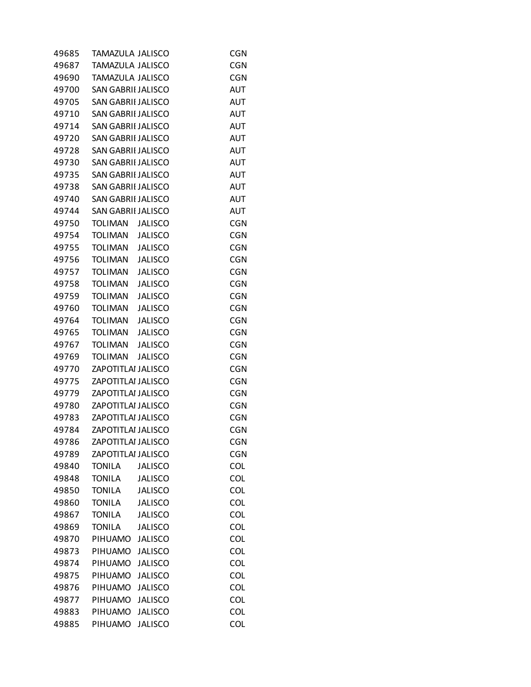| 49685 | TAMAZULA JALISCO          |                | <b>CGN</b> |
|-------|---------------------------|----------------|------------|
| 49687 | TAMAZULA JALISCO          |                | <b>CGN</b> |
| 49690 | <b>TAMAZULA JALISCO</b>   |                | <b>CGN</b> |
| 49700 | <b>SAN GABRII JALISCO</b> |                | <b>AUT</b> |
| 49705 | <b>SAN GABRII JALISCO</b> |                | <b>AUT</b> |
| 49710 | <b>SAN GABRII JALISCO</b> |                | <b>AUT</b> |
| 49714 | SAN GABRII JALISCO        |                | AUT        |
| 49720 | <b>SAN GABRII JALISCO</b> |                | <b>AUT</b> |
| 49728 | <b>SAN GABRII JALISCO</b> |                | <b>AUT</b> |
| 49730 | <b>SAN GABRII JALISCO</b> |                | AUT        |
| 49735 | <b>SAN GABRII JALISCO</b> |                | <b>AUT</b> |
| 49738 | <b>SAN GABRII JALISCO</b> |                | <b>AUT</b> |
| 49740 | SAN GABRII JALISCO        |                | AUT        |
| 49744 | <b>SAN GABRII JALISCO</b> |                | <b>AUT</b> |
| 49750 | TOLIMAN                   | <b>JALISCO</b> | <b>CGN</b> |
| 49754 | TOLIMAN                   | <b>JALISCO</b> | <b>CGN</b> |
| 49755 | TOLIMAN                   | <b>JALISCO</b> | CGN        |
| 49756 | TOLIMAN                   | <b>JALISCO</b> | <b>CGN</b> |
| 49757 | TOLIMAN                   | <b>JALISCO</b> | <b>CGN</b> |
| 49758 | <b>TOLIMAN</b>            | <b>JALISCO</b> | <b>CGN</b> |
| 49759 | TOLIMAN                   | <b>JALISCO</b> | <b>CGN</b> |
| 49760 | TOLIMAN                   | <b>JALISCO</b> | <b>CGN</b> |
| 49764 | TOLIMAN                   | <b>JALISCO</b> | <b>CGN</b> |
| 49765 | TOLIMAN                   | <b>JALISCO</b> | <b>CGN</b> |
| 49767 | TOLIMAN                   | <b>JALISCO</b> | <b>CGN</b> |
| 49769 | <b>TOLIMAN</b>            | <b>JALISCO</b> | <b>CGN</b> |
| 49770 | ZAPOTITLAI JALISCO        |                | <b>CGN</b> |
| 49775 | ZAPOTITLAI JALISCO        |                | <b>CGN</b> |
| 49779 | ZAPOTITLAI JALISCO        |                | <b>CGN</b> |
| 49780 | ZAPOTITLAI JALISCO        |                | <b>CGN</b> |
| 49783 | ZAPOTITLAI JALISCO        |                | <b>CGN</b> |
| 49784 | ZAPOTITLAI JALISCO        |                | <b>CGN</b> |
| 49786 | ZAPOTITLAI JALISCO        |                | CGN        |
| 49789 | ZAPOTITLAI JALISCO        |                | <b>CGN</b> |
| 49840 | <b>TONILA</b>             | <b>JALISCO</b> | <b>COL</b> |
| 49848 | <b>TONILA</b>             | <b>JALISCO</b> | <b>COL</b> |
| 49850 | <b>TONILA</b>             | <b>JALISCO</b> | <b>COL</b> |
| 49860 | <b>TONILA</b>             | <b>JALISCO</b> | <b>COL</b> |
| 49867 | <b>TONILA</b>             | <b>JALISCO</b> | <b>COL</b> |
| 49869 | <b>TONILA</b>             | <b>JALISCO</b> | <b>COL</b> |
| 49870 | <b>PIHUAMO</b>            | <b>JALISCO</b> | <b>COL</b> |
| 49873 | PIHUAMO                   | <b>JALISCO</b> | <b>COL</b> |
| 49874 | PIHUAMO                   | <b>JALISCO</b> | <b>COL</b> |
| 49875 | PIHUAMO                   | <b>JALISCO</b> | <b>COL</b> |
| 49876 | <b>PIHUAMO</b>            | <b>JALISCO</b> | <b>COL</b> |
| 49877 | PIHUAMO                   | <b>JALISCO</b> | <b>COL</b> |
| 49883 | PIHUAMO                   | <b>JALISCO</b> | <b>COL</b> |
| 49885 | PIHUAMO                   | <b>JALISCO</b> | <b>COL</b> |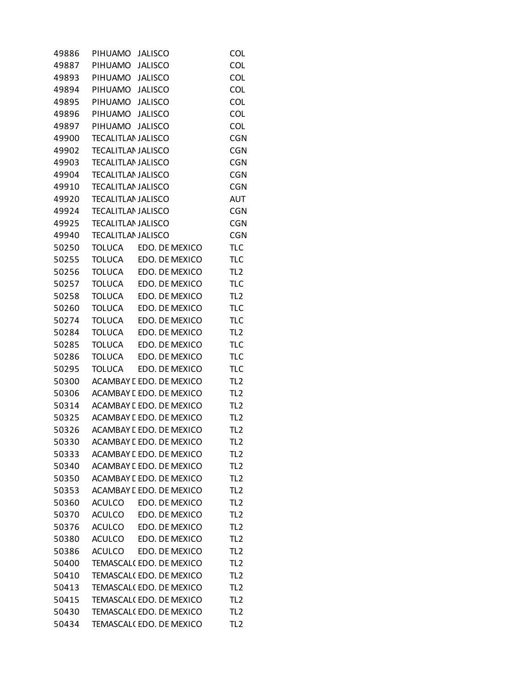| 49886 | PIHUAMO                   | <b>JALISCO</b>                  | <b>COL</b>      |
|-------|---------------------------|---------------------------------|-----------------|
| 49887 | PIHUAMO                   | <b>JALISCO</b>                  | <b>COL</b>      |
| 49893 | PIHUAMO                   | <b>JALISCO</b>                  | <b>COL</b>      |
| 49894 | PIHUAMO                   | <b>JALISCO</b>                  | <b>COL</b>      |
| 49895 | PIHUAMO                   | <b>JALISCO</b>                  | COL             |
| 49896 | PIHUAMO                   | <b>JALISCO</b>                  | COL             |
| 49897 | PIHUAMO JALISCO           |                                 | <b>COL</b>      |
| 49900 | <b>TECALITLAN JALISCO</b> |                                 | <b>CGN</b>      |
| 49902 | <b>TECALITLAN JALISCO</b> |                                 | <b>CGN</b>      |
| 49903 | <b>TECALITLAN JALISCO</b> |                                 | <b>CGN</b>      |
| 49904 | <b>TECALITLAN JALISCO</b> |                                 | <b>CGN</b>      |
| 49910 | <b>TECALITLAN JALISCO</b> |                                 | <b>CGN</b>      |
| 49920 | <b>TECALITLAN JALISCO</b> |                                 | <b>AUT</b>      |
| 49924 | <b>TECALITLAN JALISCO</b> |                                 | <b>CGN</b>      |
| 49925 | <b>TECALITLAN JALISCO</b> |                                 | <b>CGN</b>      |
| 49940 | <b>TECALITLAN JALISCO</b> |                                 | <b>CGN</b>      |
| 50250 | <b>TOLUCA</b>             | EDO. DE MEXICO                  | <b>TLC</b>      |
| 50255 | TOLUCA                    | EDO. DE MEXICO                  | <b>TLC</b>      |
| 50256 | <b>TOLUCA</b>             | EDO. DE MEXICO                  | TL <sub>2</sub> |
| 50257 | <b>TOLUCA</b>             | EDO. DE MEXICO                  | <b>TLC</b>      |
| 50258 | <b>TOLUCA</b>             | EDO. DE MEXICO                  | TL <sub>2</sub> |
| 50260 | <b>TOLUCA</b>             | EDO. DE MEXICO                  | <b>TLC</b>      |
| 50274 | <b>TOLUCA</b>             | EDO. DE MEXICO                  | <b>TLC</b>      |
| 50284 | <b>TOLUCA</b>             | EDO. DE MEXICO                  | TL <sub>2</sub> |
| 50285 | <b>TOLUCA</b>             | EDO. DE MEXICO                  | <b>TLC</b>      |
| 50286 | <b>TOLUCA</b>             | EDO. DE MEXICO                  | <b>TLC</b>      |
| 50295 | <b>TOLUCA</b>             | EDO. DE MEXICO                  | <b>TLC</b>      |
| 50300 |                           | ACAMBAY E EDO. DE MEXICO        | TL <sub>2</sub> |
| 50306 |                           | <b>ACAMBAY L EDO. DE MEXICO</b> | TL <sub>2</sub> |
| 50314 |                           | ACAMBAY E EDO. DE MEXICO        | TL <sub>2</sub> |
| 50325 |                           | ACAMBAY E EDO. DE MEXICO        | TL <sub>2</sub> |
| 50326 |                           | ACAMBAY L EDO. DE MEXICO        | TL <sub>2</sub> |
| 50330 |                           | ACAMBAY L EDO. DE MEXICO        | TL <sub>2</sub> |
| 50333 |                           | ACAMBAY L EDO. DE MEXICO        | TL <sub>2</sub> |
| 50340 |                           | ACAMBAY L EDO. DE MEXICO        | TL <sub>2</sub> |
| 50350 |                           | ACAMBAY L EDO. DE MEXICO        | TL <sub>2</sub> |
| 50353 |                           | ACAMBAY E EDO. DE MEXICO        | TL <sub>2</sub> |
| 50360 | ACULCO                    | EDO. DE MEXICO                  | TL <sub>2</sub> |
| 50370 | <b>ACULCO</b>             | EDO. DE MEXICO                  | TL <sub>2</sub> |
| 50376 | ACULCO                    | EDO. DE MEXICO                  | TL <sub>2</sub> |
| 50380 | <b>ACULCO</b>             | EDO. DE MEXICO                  | TL <sub>2</sub> |
| 50386 | <b>ACULCO</b>             | EDO. DE MEXICO                  | TL <sub>2</sub> |
| 50400 |                           | TEMASCAL(EDO. DE MEXICO         | TL <sub>2</sub> |
| 50410 |                           | TEMASCAL(EDO. DE MEXICO         | TL <sub>2</sub> |
| 50413 |                           | TEMASCAL(EDO. DE MEXICO         | TL <sub>2</sub> |
| 50415 |                           | TEMASCAL(EDO. DE MEXICO         | TL <sub>2</sub> |
| 50430 |                           | TEMASCAL(EDO. DE MEXICO         | TL <sub>2</sub> |
| 50434 |                           | TEMASCAL(EDO. DE MEXICO         | TL <sub>2</sub> |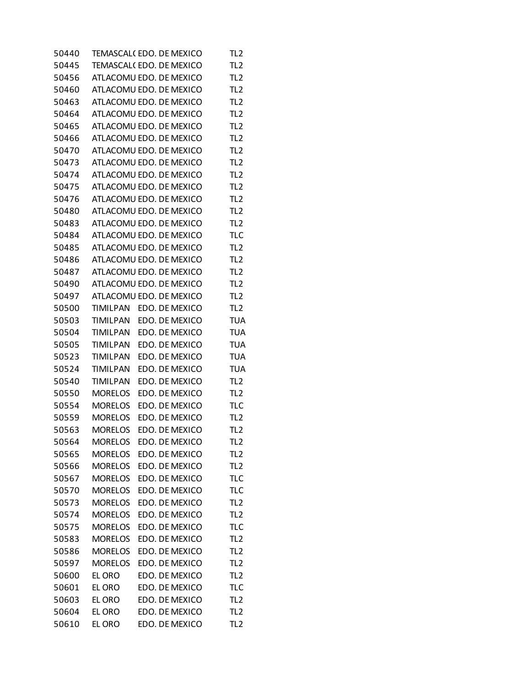| 50440 |                 | TEMASCAL(EDO. DE MEXICO | TL <sub>2</sub> |
|-------|-----------------|-------------------------|-----------------|
| 50445 |                 | TEMASCAL(EDO. DE MEXICO | TL <sub>2</sub> |
| 50456 |                 | ATLACOMU EDO. DE MEXICO | TL <sub>2</sub> |
| 50460 |                 | ATLACOMU EDO. DE MEXICO | TL <sub>2</sub> |
| 50463 |                 | ATLACOMU EDO. DE MEXICO | TL <sub>2</sub> |
| 50464 |                 | ATLACOMU EDO. DE MEXICO | TL <sub>2</sub> |
| 50465 |                 | ATLACOMU EDO. DE MEXICO | TL <sub>2</sub> |
| 50466 |                 | ATLACOMU EDO. DE MEXICO | TL <sub>2</sub> |
| 50470 |                 | ATLACOMU EDO. DE MEXICO | TL <sub>2</sub> |
| 50473 |                 | ATLACOMU EDO. DE MEXICO | TL <sub>2</sub> |
| 50474 |                 | ATLACOMU EDO. DE MEXICO | TL <sub>2</sub> |
| 50475 |                 | ATLACOMU EDO. DE MEXICO | TL <sub>2</sub> |
| 50476 |                 | ATLACOMU EDO. DE MEXICO | TL <sub>2</sub> |
| 50480 |                 | ATLACOMU EDO. DE MEXICO | TL <sub>2</sub> |
| 50483 |                 | ATLACOMU EDO. DE MEXICO | TL <sub>2</sub> |
| 50484 |                 | ATLACOMU EDO. DE MEXICO | <b>TLC</b>      |
| 50485 |                 | ATLACOMU EDO. DE MEXICO | TL <sub>2</sub> |
| 50486 |                 | ATLACOMU EDO. DE MEXICO | TL <sub>2</sub> |
| 50487 |                 | ATLACOMU EDO. DE MEXICO | TL <sub>2</sub> |
| 50490 |                 | ATLACOMU EDO. DE MEXICO | TL <sub>2</sub> |
| 50497 |                 | ATLACOMU EDO. DE MEXICO | TL <sub>2</sub> |
| 50500 | <b>TIMILPAN</b> | EDO. DE MEXICO          | TL <sub>2</sub> |
| 50503 | TIMILPAN        | EDO. DE MEXICO          | <b>TUA</b>      |
| 50504 | <b>TIMILPAN</b> | EDO. DE MEXICO          | <b>TUA</b>      |
| 50505 | <b>TIMILPAN</b> | EDO. DE MEXICO          | <b>TUA</b>      |
| 50523 | <b>TIMILPAN</b> | EDO. DE MEXICO          | <b>TUA</b>      |
| 50524 | TIMILPAN        | EDO. DE MEXICO          | <b>TUA</b>      |
| 50540 | <b>TIMILPAN</b> | EDO. DE MEXICO          | TL <sub>2</sub> |
| 50550 | <b>MORELOS</b>  | EDO. DE MEXICO          | TL <sub>2</sub> |
| 50554 | <b>MORELOS</b>  | EDO. DE MEXICO          | <b>TLC</b>      |
| 50559 | <b>MORELOS</b>  | EDO. DE MEXICO          | TL <sub>2</sub> |
| 50563 | <b>MORELOS</b>  | EDO. DE MEXICO          | TL <sub>2</sub> |
| 50564 | <b>MORELOS</b>  | EDO. DE MEXICO          | TL2             |
| 50565 | <b>MORELOS</b>  | EDO. DE MEXICO          | TL <sub>2</sub> |
| 50566 | <b>MORELOS</b>  | EDO. DE MEXICO          | TL <sub>2</sub> |
| 50567 | <b>MORELOS</b>  | EDO. DE MEXICO          | <b>TLC</b>      |
| 50570 | <b>MORELOS</b>  | EDO. DE MEXICO          | <b>TLC</b>      |
| 50573 | <b>MORELOS</b>  | EDO. DE MEXICO          | TL <sub>2</sub> |
| 50574 | <b>MORELOS</b>  | EDO. DE MEXICO          | TL <sub>2</sub> |
| 50575 | <b>MORELOS</b>  | EDO. DE MEXICO          | <b>TLC</b>      |
| 50583 | <b>MORELOS</b>  | EDO. DE MEXICO          | TL <sub>2</sub> |
| 50586 | <b>MORELOS</b>  | EDO. DE MEXICO          | TL <sub>2</sub> |
| 50597 | <b>MORELOS</b>  | EDO. DE MEXICO          | TL <sub>2</sub> |
| 50600 | EL ORO          | EDO. DE MEXICO          | TL <sub>2</sub> |
| 50601 | EL ORO          | EDO. DE MEXICO          | <b>TLC</b>      |
| 50603 | EL ORO          | EDO. DE MEXICO          | TL <sub>2</sub> |
| 50604 | EL ORO          | EDO. DE MEXICO          | TL <sub>2</sub> |
| 50610 | EL ORO          | EDO. DE MEXICO          | TL <sub>2</sub> |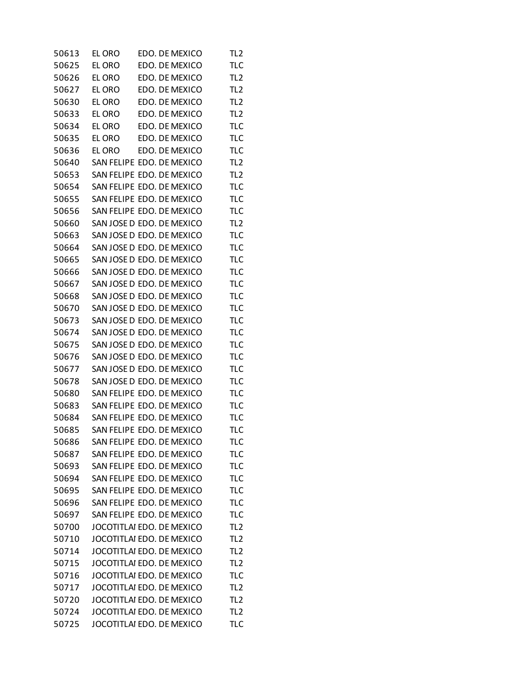| 50613 | el oro | EDO. DE MEXICO            | TL <sub>2</sub> |
|-------|--------|---------------------------|-----------------|
| 50625 | EL ORO | EDO. DE MEXICO            | <b>TLC</b>      |
| 50626 | EL ORO | EDO. DE MEXICO            | TL <sub>2</sub> |
| 50627 | EL ORO | EDO. DE MEXICO            | TL <sub>2</sub> |
| 50630 | EL ORO | EDO. DE MEXICO            | TL <sub>2</sub> |
| 50633 | EL ORO | EDO. DE MEXICO            | TL <sub>2</sub> |
| 50634 | EL ORO | EDO. DE MEXICO            | <b>TLC</b>      |
| 50635 | EL ORO | EDO. DE MEXICO            | <b>TLC</b>      |
| 50636 | EL ORO | EDO. DE MEXICO            | <b>TLC</b>      |
| 50640 |        | SAN FELIPE EDO. DE MEXICO | TL <sub>2</sub> |
| 50653 |        | SAN FELIPE EDO. DE MEXICO | TL <sub>2</sub> |
| 50654 |        | SAN FELIPE EDO. DE MEXICO | <b>TLC</b>      |
| 50655 |        | SAN FELIPE EDO. DE MEXICO | <b>TLC</b>      |
| 50656 |        | SAN FELIPE EDO. DE MEXICO | <b>TLC</b>      |
| 50660 |        | SAN JOSE D EDO. DE MEXICO | TL <sub>2</sub> |
| 50663 |        | SAN JOSE D EDO. DE MEXICO | <b>TLC</b>      |
| 50664 |        | SAN JOSE D EDO. DE MEXICO | <b>TLC</b>      |
| 50665 |        | SAN JOSE D EDO. DE MEXICO | <b>TLC</b>      |
| 50666 |        | SAN JOSE D EDO. DE MEXICO | <b>TLC</b>      |
| 50667 |        | SAN JOSE D EDO. DE MEXICO | <b>TLC</b>      |
| 50668 |        | SAN JOSE D EDO. DE MEXICO | <b>TLC</b>      |
| 50670 |        | SAN JOSE D EDO. DE MEXICO | <b>TLC</b>      |
| 50673 |        | SAN JOSE D EDO. DE MEXICO | <b>TLC</b>      |
| 50674 |        | SAN JOSE D EDO. DE MEXICO | <b>TLC</b>      |
| 50675 |        | SAN JOSE D EDO. DE MEXICO | <b>TLC</b>      |
| 50676 |        | SAN JOSE D EDO. DE MEXICO | <b>TLC</b>      |
| 50677 |        | SAN JOSE D EDO. DE MEXICO | <b>TLC</b>      |
| 50678 |        | SAN JOSE D EDO. DE MEXICO | <b>TLC</b>      |
| 50680 |        | SAN FELIPE EDO. DE MEXICO | <b>TLC</b>      |
| 50683 |        | SAN FELIPE EDO. DE MEXICO | <b>TLC</b>      |
| 50684 |        | SAN FELIPE EDO. DE MEXICO | <b>TLC</b>      |
| 50685 |        | SAN FELIPE EDO. DE MEXICO | <b>TLC</b>      |
| 50686 |        | SAN FELIPE EDO. DE MEXICO | TLC             |
| 50687 |        | SAN FELIPE EDO. DE MEXICO | <b>TLC</b>      |
| 50693 |        | SAN FELIPE EDO. DE MEXICO | <b>TLC</b>      |
| 50694 |        | SAN FELIPE EDO. DE MEXICO | <b>TLC</b>      |
| 50695 |        | SAN FELIPE EDO. DE MEXICO | <b>TLC</b>      |
| 50696 |        | SAN FELIPE EDO. DE MEXICO | <b>TLC</b>      |
| 50697 |        | SAN FELIPE EDO. DE MEXICO | <b>TLC</b>      |
| 50700 |        | JOCOTITLAI EDO. DE MEXICO | TL <sub>2</sub> |
| 50710 |        | JOCOTITLAI EDO. DE MEXICO | TL <sub>2</sub> |
| 50714 |        | JOCOTITLAI EDO. DE MEXICO | TL <sub>2</sub> |
| 50715 |        | JOCOTITLAI EDO. DE MEXICO | TL <sub>2</sub> |
| 50716 |        | JOCOTITLAI EDO. DE MEXICO | <b>TLC</b>      |
| 50717 |        | JOCOTITLAI EDO. DE MEXICO | TL <sub>2</sub> |
| 50720 |        | JOCOTITLAI EDO. DE MEXICO | TL <sub>2</sub> |
| 50724 |        | JOCOTITLAI EDO. DE MEXICO | TL <sub>2</sub> |
| 50725 |        | JOCOTITLAI EDO. DE MEXICO | <b>TLC</b>      |
|       |        |                           |                 |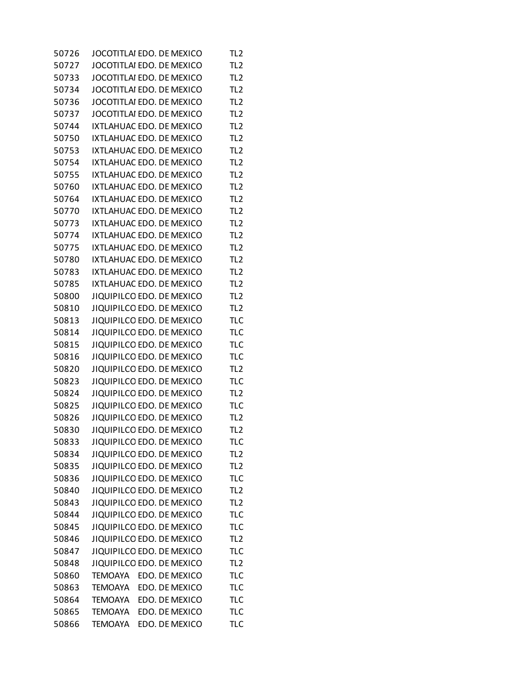| 50726 | JOCOTITLAI EDO. DE MEXICO |  |                | TL <sub>2</sub> |
|-------|---------------------------|--|----------------|-----------------|
| 50727 | JOCOTITLAI EDO. DE MEXICO |  |                | TL <sub>2</sub> |
| 50733 | JOCOTITLAI EDO. DE MEXICO |  |                | TL <sub>2</sub> |
| 50734 | JOCOTITLAI EDO. DE MEXICO |  |                | TL <sub>2</sub> |
| 50736 | JOCOTITLAI EDO. DE MEXICO |  |                | TL <sub>2</sub> |
| 50737 | JOCOTITLAI EDO. DE MEXICO |  |                | TL <sub>2</sub> |
| 50744 | IXTLAHUAC EDO. DE MEXICO  |  |                | TL <sub>2</sub> |
| 50750 | IXTLAHUAC EDO. DE MEXICO  |  |                | TL <sub>2</sub> |
| 50753 | IXTLAHUAC EDO. DE MEXICO  |  |                | TL <sub>2</sub> |
| 50754 | IXTLAHUAC EDO. DE MEXICO  |  |                | TL <sub>2</sub> |
| 50755 | IXTLAHUAC EDO. DE MEXICO  |  |                | TL <sub>2</sub> |
| 50760 | IXTLAHUAC EDO. DE MEXICO  |  |                | TL <sub>2</sub> |
| 50764 | IXTLAHUAC EDO. DE MEXICO  |  |                | TL <sub>2</sub> |
| 50770 | IXTLAHUAC EDO. DE MEXICO  |  |                | TL <sub>2</sub> |
| 50773 | IXTLAHUAC EDO. DE MEXICO  |  |                | TL <sub>2</sub> |
| 50774 | IXTLAHUAC EDO. DE MEXICO  |  |                | TL <sub>2</sub> |
| 50775 | IXTLAHUAC EDO. DE MEXICO  |  |                | TL <sub>2</sub> |
| 50780 | IXTLAHUAC EDO. DE MEXICO  |  |                | TL <sub>2</sub> |
| 50783 | IXTLAHUAC EDO. DE MEXICO  |  |                | TL <sub>2</sub> |
| 50785 | IXTLAHUAC EDO. DE MEXICO  |  |                | TL <sub>2</sub> |
| 50800 | JIQUIPILCO EDO. DE MEXICO |  |                | TL <sub>2</sub> |
| 50810 | JIQUIPILCO EDO. DE MEXICO |  |                | TL <sub>2</sub> |
| 50813 | JIQUIPILCO EDO. DE MEXICO |  |                | <b>TLC</b>      |
| 50814 | JIQUIPILCO EDO. DE MEXICO |  |                | <b>TLC</b>      |
| 50815 | JIQUIPILCO EDO. DE MEXICO |  |                | <b>TLC</b>      |
| 50816 | JIQUIPILCO EDO. DE MEXICO |  |                | <b>TLC</b>      |
| 50820 | JIQUIPILCO EDO. DE MEXICO |  |                | TL <sub>2</sub> |
| 50823 | JIQUIPILCO EDO. DE MEXICO |  |                | <b>TLC</b>      |
| 50824 | JIQUIPILCO EDO. DE MEXICO |  |                | TL <sub>2</sub> |
| 50825 | JIQUIPILCO EDO. DE MEXICO |  |                | <b>TLC</b>      |
| 50826 | JIQUIPILCO EDO. DE MEXICO |  |                | TL <sub>2</sub> |
| 50830 | JIQUIPILCO EDO. DE MEXICO |  |                | TL <sub>2</sub> |
| 50833 | JIQUIPILCO EDO. DE MEXICO |  |                | TLC             |
| 50834 | JIQUIPILCO EDO. DE MEXICO |  |                | TL <sub>2</sub> |
| 50835 | JIQUIPILCO EDO. DE MEXICO |  |                | TL <sub>2</sub> |
| 50836 | JIQUIPILCO EDO. DE MEXICO |  |                | <b>TLC</b>      |
| 50840 | JIQUIPILCO EDO. DE MEXICO |  |                | TL <sub>2</sub> |
| 50843 | JIQUIPILCO EDO. DE MEXICO |  |                | TL <sub>2</sub> |
| 50844 | JIQUIPILCO EDO. DE MEXICO |  |                | <b>TLC</b>      |
| 50845 | JIQUIPILCO EDO. DE MEXICO |  |                | <b>TLC</b>      |
| 50846 | JIQUIPILCO EDO. DE MEXICO |  |                | TL <sub>2</sub> |
| 50847 | JIQUIPILCO EDO. DE MEXICO |  |                | <b>TLC</b>      |
| 50848 | JIQUIPILCO EDO. DE MEXICO |  |                | TL <sub>2</sub> |
| 50860 | TEMOAYA                   |  | EDO. DE MEXICO | <b>TLC</b>      |
| 50863 | <b>TEMOAYA</b>            |  | EDO. DE MEXICO | <b>TLC</b>      |
| 50864 | <b>TEMOAYA</b>            |  | EDO. DE MEXICO | <b>TLC</b>      |
| 50865 | <b>TEMOAYA</b>            |  | EDO. DE MEXICO | <b>TLC</b>      |
| 50866 | <b>TEMOAYA</b>            |  | EDO. DE MEXICO | <b>TLC</b>      |
|       |                           |  |                |                 |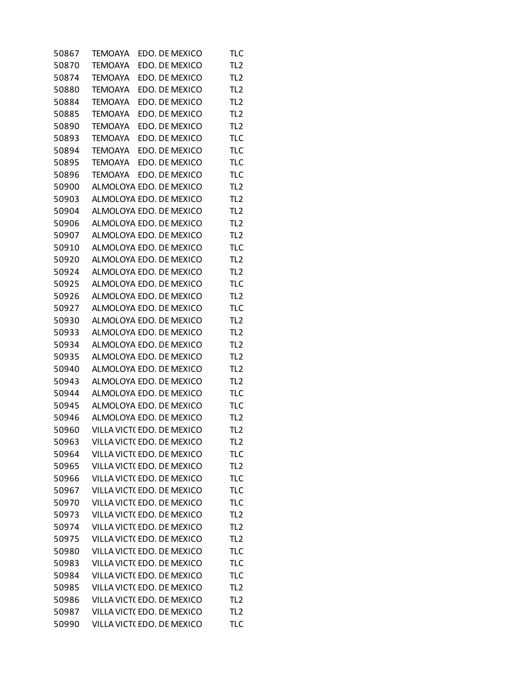| 50867 | TEMOAYA        | EDO. DE MEXICO             | TLC             |
|-------|----------------|----------------------------|-----------------|
| 50870 | <b>TEMOAYA</b> | EDO. DE MEXICO             | TL <sub>2</sub> |
| 50874 | TEMOAYA        | EDO. DE MEXICO             | TL <sub>2</sub> |
| 50880 | <b>TEMOAYA</b> | EDO. DE MEXICO             | TL <sub>2</sub> |
| 50884 | <b>TEMOAYA</b> | EDO. DE MEXICO             | TL <sub>2</sub> |
| 50885 | TEMOAYA        | EDO. DE MEXICO             | TL <sub>2</sub> |
| 50890 | TEMOAYA        | EDO. DE MEXICO             | TL <sub>2</sub> |
| 50893 | <b>TEMOAYA</b> | EDO. DE MEXICO             | <b>TLC</b>      |
| 50894 | <b>TEMOAYA</b> | EDO. DE MEXICO             | <b>TLC</b>      |
| 50895 | <b>TEMOAYA</b> | EDO. DE MEXICO             | <b>TLC</b>      |
| 50896 | <b>TEMOAYA</b> | EDO. DE MEXICO             | <b>TLC</b>      |
| 50900 |                | ALMOLOYA EDO. DE MEXICO    | TL <sub>2</sub> |
| 50903 |                | ALMOLOYA EDO. DE MEXICO    | TL <sub>2</sub> |
| 50904 |                | ALMOLOYA EDO. DE MEXICO    | TL <sub>2</sub> |
| 50906 |                | ALMOLOYA EDO. DE MEXICO    | TL <sub>2</sub> |
| 50907 |                | ALMOLOYA EDO. DE MEXICO    | TL <sub>2</sub> |
| 50910 |                | ALMOLOYA EDO. DE MEXICO    | <b>TLC</b>      |
| 50920 |                | ALMOLOYA EDO. DE MEXICO    | TL <sub>2</sub> |
| 50924 |                | ALMOLOYA EDO. DE MEXICO    | TL <sub>2</sub> |
| 50925 |                | ALMOLOYA EDO. DE MEXICO    | <b>TLC</b>      |
| 50926 |                | ALMOLOYA EDO. DE MEXICO    | TL <sub>2</sub> |
| 50927 |                | ALMOLOYA EDO. DE MEXICO    | <b>TLC</b>      |
| 50930 |                | ALMOLOYA EDO. DE MEXICO    | TL <sub>2</sub> |
| 50933 |                | ALMOLOYA EDO. DE MEXICO    | TL <sub>2</sub> |
| 50934 |                | ALMOLOYA EDO. DE MEXICO    | TL <sub>2</sub> |
| 50935 |                | ALMOLOYA EDO. DE MEXICO    | TL <sub>2</sub> |
| 50940 |                | ALMOLOYA EDO. DE MEXICO    | TL <sub>2</sub> |
| 50943 |                | ALMOLOYA EDO. DE MEXICO    | TL <sub>2</sub> |
| 50944 |                | ALMOLOYA EDO. DE MEXICO    | <b>TLC</b>      |
| 50945 |                | ALMOLOYA EDO. DE MEXICO    | <b>TLC</b>      |
| 50946 |                | ALMOLOYA EDO. DE MEXICO    | TL <sub>2</sub> |
| 50960 |                | VILLA VICT(EDO. DE MEXICO  | TL <sub>2</sub> |
| 50963 |                | VILLA VICT( EDO. DE MEXICO | TL <sub>2</sub> |
| 50964 |                | VILLA VICT(EDO, DE MEXICO  | <b>TLC</b>      |
| 50965 |                | VILLA VICT(EDO. DE MEXICO  | TL <sub>2</sub> |
| 50966 |                | VILLA VICT(EDO. DE MEXICO  | <b>TLC</b>      |
| 50967 |                | VILLA VICT(EDO. DE MEXICO  | <b>TLC</b>      |
| 50970 |                | VILLA VICT(EDO. DE MEXICO  | <b>TLC</b>      |
| 50973 |                | VILLA VICT(EDO. DE MEXICO  | TL <sub>2</sub> |
| 50974 |                | VILLA VICT(EDO, DE MEXICO  | TL <sub>2</sub> |
| 50975 |                | VILLA VICT(EDO, DE MEXICO  | TL <sub>2</sub> |
| 50980 |                | VILLA VICT(EDO. DE MEXICO  | <b>TLC</b>      |
| 50983 |                | VILLA VICT(EDO. DE MEXICO  | <b>TLC</b>      |
| 50984 |                | VILLA VICT(EDO. DE MEXICO  | <b>TLC</b>      |
| 50985 |                | VILLA VICT(EDO. DE MEXICO  | TL <sub>2</sub> |
| 50986 |                | VILLA VICT(EDO. DE MEXICO  | TL <sub>2</sub> |
| 50987 |                | VILLA VICT(EDO. DE MEXICO  | TL <sub>2</sub> |
| 50990 |                | VILLA VICT(EDO. DE MEXICO  | <b>TLC</b>      |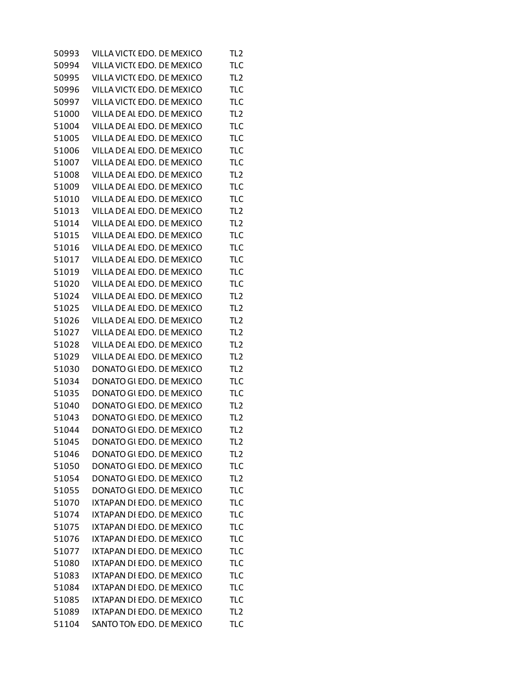| VILLA VICT(EDO. DE MEXICO  | TL <sub>2</sub>                                                                                                                                                                                                                                                                                                                                                                                                                                                                                                                                                                                                                                                          |
|----------------------------|--------------------------------------------------------------------------------------------------------------------------------------------------------------------------------------------------------------------------------------------------------------------------------------------------------------------------------------------------------------------------------------------------------------------------------------------------------------------------------------------------------------------------------------------------------------------------------------------------------------------------------------------------------------------------|
| VILLA VICT(EDO. DE MEXICO  | <b>TLC</b>                                                                                                                                                                                                                                                                                                                                                                                                                                                                                                                                                                                                                                                               |
| VILLA VICT(EDO. DE MEXICO  | TL <sub>2</sub>                                                                                                                                                                                                                                                                                                                                                                                                                                                                                                                                                                                                                                                          |
| VILLA VICT(EDO. DE MEXICO  | <b>TLC</b>                                                                                                                                                                                                                                                                                                                                                                                                                                                                                                                                                                                                                                                               |
| VILLA VICT(EDO. DE MEXICO  | <b>TLC</b>                                                                                                                                                                                                                                                                                                                                                                                                                                                                                                                                                                                                                                                               |
| VILLA DE AL EDO. DE MEXICO | TL <sub>2</sub>                                                                                                                                                                                                                                                                                                                                                                                                                                                                                                                                                                                                                                                          |
| VILLA DE AL EDO. DE MEXICO | <b>TLC</b>                                                                                                                                                                                                                                                                                                                                                                                                                                                                                                                                                                                                                                                               |
|                            | <b>TLC</b>                                                                                                                                                                                                                                                                                                                                                                                                                                                                                                                                                                                                                                                               |
|                            | <b>TLC</b>                                                                                                                                                                                                                                                                                                                                                                                                                                                                                                                                                                                                                                                               |
|                            | <b>TLC</b>                                                                                                                                                                                                                                                                                                                                                                                                                                                                                                                                                                                                                                                               |
|                            | TL <sub>2</sub>                                                                                                                                                                                                                                                                                                                                                                                                                                                                                                                                                                                                                                                          |
|                            | <b>TLC</b>                                                                                                                                                                                                                                                                                                                                                                                                                                                                                                                                                                                                                                                               |
|                            | <b>TLC</b>                                                                                                                                                                                                                                                                                                                                                                                                                                                                                                                                                                                                                                                               |
|                            | TL <sub>2</sub>                                                                                                                                                                                                                                                                                                                                                                                                                                                                                                                                                                                                                                                          |
|                            | TL <sub>2</sub>                                                                                                                                                                                                                                                                                                                                                                                                                                                                                                                                                                                                                                                          |
|                            | <b>TLC</b>                                                                                                                                                                                                                                                                                                                                                                                                                                                                                                                                                                                                                                                               |
|                            | <b>TLC</b>                                                                                                                                                                                                                                                                                                                                                                                                                                                                                                                                                                                                                                                               |
|                            | <b>TLC</b>                                                                                                                                                                                                                                                                                                                                                                                                                                                                                                                                                                                                                                                               |
|                            | <b>TLC</b>                                                                                                                                                                                                                                                                                                                                                                                                                                                                                                                                                                                                                                                               |
|                            | <b>TLC</b>                                                                                                                                                                                                                                                                                                                                                                                                                                                                                                                                                                                                                                                               |
|                            | TL <sub>2</sub>                                                                                                                                                                                                                                                                                                                                                                                                                                                                                                                                                                                                                                                          |
|                            | TL <sub>2</sub>                                                                                                                                                                                                                                                                                                                                                                                                                                                                                                                                                                                                                                                          |
|                            | TL <sub>2</sub>                                                                                                                                                                                                                                                                                                                                                                                                                                                                                                                                                                                                                                                          |
|                            | TL <sub>2</sub>                                                                                                                                                                                                                                                                                                                                                                                                                                                                                                                                                                                                                                                          |
| VILLA DE AL EDO. DE MEXICO | TL <sub>2</sub>                                                                                                                                                                                                                                                                                                                                                                                                                                                                                                                                                                                                                                                          |
|                            | TL <sub>2</sub>                                                                                                                                                                                                                                                                                                                                                                                                                                                                                                                                                                                                                                                          |
|                            | TL <sub>2</sub>                                                                                                                                                                                                                                                                                                                                                                                                                                                                                                                                                                                                                                                          |
|                            | <b>TLC</b>                                                                                                                                                                                                                                                                                                                                                                                                                                                                                                                                                                                                                                                               |
| DONATO GI EDO. DE MEXICO   | <b>TLC</b>                                                                                                                                                                                                                                                                                                                                                                                                                                                                                                                                                                                                                                                               |
| DONATO GI EDO. DE MEXICO   | TL <sub>2</sub>                                                                                                                                                                                                                                                                                                                                                                                                                                                                                                                                                                                                                                                          |
|                            | TL <sub>2</sub>                                                                                                                                                                                                                                                                                                                                                                                                                                                                                                                                                                                                                                                          |
|                            | TL <sub>2</sub>                                                                                                                                                                                                                                                                                                                                                                                                                                                                                                                                                                                                                                                          |
| DONATO GI EDO. DE MEXICO   | TL <sub>2</sub>                                                                                                                                                                                                                                                                                                                                                                                                                                                                                                                                                                                                                                                          |
| DONATO GI EDO. DE MEXICO   | TL <sub>2</sub>                                                                                                                                                                                                                                                                                                                                                                                                                                                                                                                                                                                                                                                          |
| DONATO GI EDO. DE MEXICO   | <b>TLC</b>                                                                                                                                                                                                                                                                                                                                                                                                                                                                                                                                                                                                                                                               |
| DONATO GI EDO. DE MEXICO   | TL <sub>2</sub>                                                                                                                                                                                                                                                                                                                                                                                                                                                                                                                                                                                                                                                          |
| DONATO GI EDO. DE MEXICO   | <b>TLC</b>                                                                                                                                                                                                                                                                                                                                                                                                                                                                                                                                                                                                                                                               |
| IXTAPAN DI EDO. DE MEXICO  | <b>TLC</b>                                                                                                                                                                                                                                                                                                                                                                                                                                                                                                                                                                                                                                                               |
| IXTAPAN DI EDO. DE MEXICO  | <b>TLC</b>                                                                                                                                                                                                                                                                                                                                                                                                                                                                                                                                                                                                                                                               |
| IXTAPAN DI EDO. DE MEXICO  | <b>TLC</b>                                                                                                                                                                                                                                                                                                                                                                                                                                                                                                                                                                                                                                                               |
| IXTAPAN DI EDO. DE MEXICO  | <b>TLC</b>                                                                                                                                                                                                                                                                                                                                                                                                                                                                                                                                                                                                                                                               |
| IXTAPAN DI EDO. DE MEXICO  | <b>TLC</b>                                                                                                                                                                                                                                                                                                                                                                                                                                                                                                                                                                                                                                                               |
| IXTAPAN DI EDO. DE MEXICO  | <b>TLC</b>                                                                                                                                                                                                                                                                                                                                                                                                                                                                                                                                                                                                                                                               |
| IXTAPAN DI EDO. DE MEXICO  | <b>TLC</b>                                                                                                                                                                                                                                                                                                                                                                                                                                                                                                                                                                                                                                                               |
| IXTAPAN DI EDO. DE MEXICO  | <b>TLC</b>                                                                                                                                                                                                                                                                                                                                                                                                                                                                                                                                                                                                                                                               |
| IXTAPAN DI EDO. DE MEXICO  | <b>TLC</b>                                                                                                                                                                                                                                                                                                                                                                                                                                                                                                                                                                                                                                                               |
| IXTAPAN DI EDO. DE MEXICO  | TL <sub>2</sub>                                                                                                                                                                                                                                                                                                                                                                                                                                                                                                                                                                                                                                                          |
| SANTO TON EDO. DE MEXICO   | <b>TLC</b>                                                                                                                                                                                                                                                                                                                                                                                                                                                                                                                                                                                                                                                               |
|                            | VILLA DE AL EDO. DE MEXICO<br>VILLA DE AL EDO. DE MEXICO<br>VILLA DE AL EDO. DE MEXICO<br>VILLA DE AL EDO. DE MEXICO<br>VILLA DE AL EDO. DE MEXICO<br>VILLA DE AL EDO. DE MEXICO<br>VILLA DE AL EDO. DE MEXICO<br>VILLA DE AL EDO. DE MEXICO<br>VILLA DE AL EDO. DE MEXICO<br>VILLA DE AL EDO. DE MEXICO<br>VILLA DE AL EDO. DE MEXICO<br>VILLA DE AL EDO. DE MEXICO<br>VILLA DE AL EDO. DE MEXICO<br>VILLA DE AL EDO. DE MEXICO<br>VILLA DE AL EDO. DE MEXICO<br>VILLA DE AL EDO. DE MEXICO<br>VILLA DE AL EDO. DE MEXICO<br>VILLA DE AL EDO. DE MEXICO<br>DONATO GI EDO. DE MEXICO<br>DONATO GI EDO. DE MEXICO<br>DONATO GI EDO. DE MEXICO<br>DONATO GI EDO. DE MEXICO |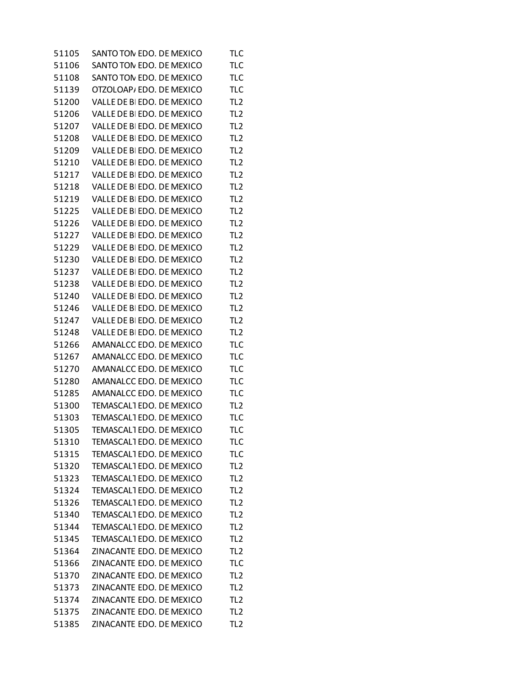| 51105 | SANTO TON EDO. DE MEXICO   | <b>TLC</b>      |
|-------|----------------------------|-----------------|
| 51106 | SANTO TON EDO. DE MEXICO   | <b>TLC</b>      |
| 51108 | SANTO TON EDO. DE MEXICO   | <b>TLC</b>      |
| 51139 | OTZOLOAP/EDO. DE MEXICO    | <b>TLC</b>      |
| 51200 | VALLE DE BI EDO. DE MEXICO | TL <sub>2</sub> |
| 51206 | VALLE DE BI EDO. DE MEXICO | TL <sub>2</sub> |
| 51207 | VALLE DE BI EDO. DE MEXICO | TL <sub>2</sub> |
| 51208 | VALLE DE BI EDO. DE MEXICO | TL <sub>2</sub> |
| 51209 | VALLE DE BI EDO. DE MEXICO | TL <sub>2</sub> |
| 51210 | VALLE DE BI EDO. DE MEXICO | TL <sub>2</sub> |
| 51217 | VALLE DE BI EDO. DE MEXICO | TL <sub>2</sub> |
| 51218 | VALLE DE BI EDO. DE MEXICO | TL <sub>2</sub> |
| 51219 | VALLE DE BI EDO. DE MEXICO | TL <sub>2</sub> |
| 51225 | VALLE DE BI EDO. DE MEXICO | TL <sub>2</sub> |
| 51226 | VALLE DE BI EDO. DE MEXICO | TL <sub>2</sub> |
| 51227 | VALLE DE BI EDO. DE MEXICO | TL <sub>2</sub> |
| 51229 | VALLE DE BI EDO. DE MEXICO | TL <sub>2</sub> |
| 51230 | VALLE DE BI EDO. DE MEXICO | TL <sub>2</sub> |
| 51237 | VALLE DE BI EDO. DE MEXICO | TL <sub>2</sub> |
| 51238 | VALLE DE BI EDO. DE MEXICO | TL <sub>2</sub> |
| 51240 | VALLE DE BI EDO. DE MEXICO | TL <sub>2</sub> |
| 51246 | VALLE DE BI EDO. DE MEXICO | TL <sub>2</sub> |
| 51247 | VALLE DE BI EDO. DE MEXICO | TL <sub>2</sub> |
| 51248 | VALLE DE BI EDO. DE MEXICO | TL <sub>2</sub> |
| 51266 | AMANALCC EDO. DE MEXICO    | <b>TLC</b>      |
| 51267 | AMANALCC EDO. DE MEXICO    | <b>TLC</b>      |
| 51270 | AMANALCC EDO. DE MEXICO    | <b>TLC</b>      |
| 51280 | AMANALCC EDO. DE MEXICO    | <b>TLC</b>      |
| 51285 | AMANALCC EDO. DE MEXICO    | <b>TLC</b>      |
| 51300 | TEMASCAL1 EDO. DE MEXICO   | TL <sub>2</sub> |
| 51303 | TEMASCAL1 EDO. DE MEXICO   | <b>TLC</b>      |
| 51305 | TEMASCAL1 EDO. DE MEXICO   | <b>TLC</b>      |
| 51310 | TEMASCAL1 EDO. DE MEXICO   | TLC             |
| 51315 | TEMASCAL1 EDO. DE MEXICO   | <b>TLC</b>      |
| 51320 | TEMASCAL1 EDO. DE MEXICO   | TL <sub>2</sub> |
| 51323 | TEMASCAL1 EDO. DE MEXICO   | TL <sub>2</sub> |
| 51324 | TEMASCAL1 EDO. DE MEXICO   | TL <sub>2</sub> |
| 51326 | TEMASCAL1 EDO. DE MEXICO   | TL <sub>2</sub> |
| 51340 | TEMASCAL1 EDO. DE MEXICO   | TL <sub>2</sub> |
| 51344 | TEMASCAL1 EDO. DE MEXICO   | TL <sub>2</sub> |
| 51345 | TEMASCAL1 EDO. DE MEXICO   | TL <sub>2</sub> |
| 51364 | ZINACANTE EDO. DE MEXICO   | TL <sub>2</sub> |
| 51366 | ZINACANTE EDO. DE MEXICO   | <b>TLC</b>      |
| 51370 | ZINACANTE EDO. DE MEXICO   | TL <sub>2</sub> |
| 51373 | ZINACANTE EDO. DE MEXICO   | TL <sub>2</sub> |
| 51374 | ZINACANTE EDO. DE MEXICO   | TL <sub>2</sub> |
| 51375 | ZINACANTE EDO. DE MEXICO   | TL <sub>2</sub> |
| 51385 | ZINACANTE EDO. DE MEXICO   | TL <sub>2</sub> |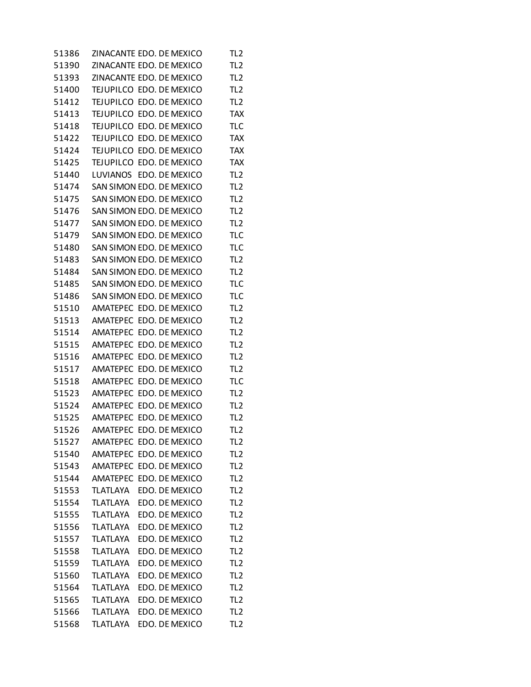| 51386 | ZINACANTE EDO. DE MEXICO |  |                | TL <sub>2</sub> |
|-------|--------------------------|--|----------------|-----------------|
| 51390 | ZINACANTE EDO. DE MEXICO |  |                | TL <sub>2</sub> |
| 51393 | ZINACANTE EDO. DE MEXICO |  |                | TL <sub>2</sub> |
| 51400 | TEJUPILCO EDO. DE MEXICO |  |                | TL <sub>2</sub> |
| 51412 | TEJUPILCO EDO. DE MEXICO |  |                | TL <sub>2</sub> |
| 51413 | TEJUPILCO EDO. DE MEXICO |  |                | <b>TAX</b>      |
| 51418 | TEJUPILCO EDO. DE MEXICO |  |                | <b>TLC</b>      |
| 51422 | TEJUPILCO EDO, DE MEXICO |  |                | <b>TAX</b>      |
| 51424 | TEJUPILCO EDO. DE MEXICO |  |                | <b>TAX</b>      |
| 51425 | TEJUPILCO EDO. DE MEXICO |  |                | <b>TAX</b>      |
| 51440 | LUVIANOS                 |  | EDO. DE MEXICO | TL <sub>2</sub> |
| 51474 | SAN SIMON EDO. DE MEXICO |  |                | TL <sub>2</sub> |
| 51475 | SAN SIMON EDO. DE MEXICO |  |                | TL <sub>2</sub> |
| 51476 | SAN SIMON EDO. DE MEXICO |  |                | TL <sub>2</sub> |
| 51477 | SAN SIMON EDO. DE MEXICO |  |                | TL <sub>2</sub> |
| 51479 | SAN SIMON EDO. DE MEXICO |  |                | <b>TLC</b>      |
| 51480 | SAN SIMON EDO. DE MEXICO |  |                | <b>TLC</b>      |
| 51483 | SAN SIMON EDO. DE MEXICO |  |                | TL <sub>2</sub> |
| 51484 | SAN SIMON EDO. DE MEXICO |  |                | TL <sub>2</sub> |
| 51485 | SAN SIMON EDO. DE MEXICO |  |                | <b>TLC</b>      |
| 51486 | SAN SIMON EDO. DE MEXICO |  |                | <b>TLC</b>      |
| 51510 | AMATEPEC EDO. DE MEXICO  |  |                | TL <sub>2</sub> |
| 51513 | AMATEPEC EDO. DE MEXICO  |  |                | TL <sub>2</sub> |
| 51514 | <b>AMATEPEC</b>          |  | EDO. DE MEXICO | TL <sub>2</sub> |
| 51515 | AMATEPEC EDO. DE MEXICO  |  |                | TL <sub>2</sub> |
| 51516 | <b>AMATEPEC</b>          |  | EDO. DE MEXICO | TL <sub>2</sub> |
| 51517 | <b>AMATEPEC</b>          |  | EDO. DE MEXICO | TL <sub>2</sub> |
| 51518 | AMATEPEC EDO. DE MEXICO  |  |                | <b>TLC</b>      |
| 51523 | <b>AMATEPEC</b>          |  | EDO. DE MEXICO | TL <sub>2</sub> |
| 51524 | <b>AMATEPEC</b>          |  | EDO. DE MEXICO | TL <sub>2</sub> |
| 51525 | AMATEPEC EDO. DE MEXICO  |  |                | TL <sub>2</sub> |
| 51526 | AMATEPEC EDO. DE MEXICO  |  |                | TL <sub>2</sub> |
| 51527 | AMATEPEC EDO. DE MEXICO  |  |                | TL2             |
| 51540 | AMATEPEC EDO. DE MEXICO  |  |                | TL <sub>2</sub> |
| 51543 | AMATEPEC EDO. DE MEXICO  |  |                | TL <sub>2</sub> |
| 51544 | AMATEPEC EDO. DE MEXICO  |  |                | TL <sub>2</sub> |
| 51553 | TLATLAYA                 |  | EDO. DE MEXICO | TL <sub>2</sub> |
| 51554 | <b>TLATLAYA</b>          |  | EDO. DE MEXICO | TL <sub>2</sub> |
| 51555 | <b>TLATLAYA</b>          |  | EDO. DE MEXICO | TL <sub>2</sub> |
| 51556 | <b>TLATLAYA</b>          |  | EDO. DE MEXICO | TL <sub>2</sub> |
| 51557 | <b>TLATLAYA</b>          |  | EDO. DE MEXICO | TL <sub>2</sub> |
| 51558 | <b>TLATLAYA</b>          |  | EDO. DE MEXICO | TL <sub>2</sub> |
| 51559 | TLATLAYA                 |  | EDO. DE MEXICO | TL <sub>2</sub> |
| 51560 | <b>TLATLAYA</b>          |  | EDO. DE MEXICO | TL <sub>2</sub> |
| 51564 | <b>TLATLAYA</b>          |  | EDO. DE MEXICO | TL <sub>2</sub> |
| 51565 | <b>TLATLAYA</b>          |  | EDO. DE MEXICO | TL <sub>2</sub> |
| 51566 | <b>TLATLAYA</b>          |  | EDO. DE MEXICO | TL <sub>2</sub> |
| 51568 | <b>TLATLAYA</b>          |  | EDO. DE MEXICO | TL <sub>2</sub> |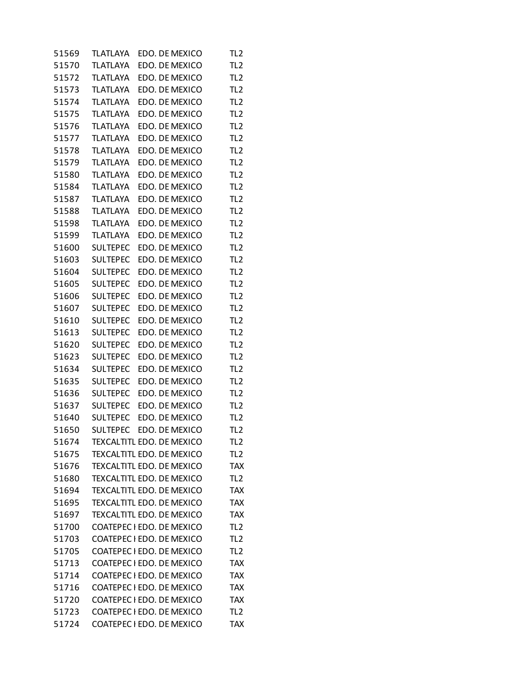| 51569 | TLATLAYA        | EDO. DE MEXICO                   | TL <sub>2</sub> |
|-------|-----------------|----------------------------------|-----------------|
| 51570 | <b>TLATLAYA</b> | EDO. DE MEXICO                   | TL <sub>2</sub> |
| 51572 | <b>TLATLAYA</b> | EDO. DE MEXICO                   | TL <sub>2</sub> |
| 51573 | <b>TLATLAYA</b> | EDO. DE MEXICO                   | TL <sub>2</sub> |
| 51574 | <b>TLATLAYA</b> | EDO. DE MEXICO                   | TL <sub>2</sub> |
| 51575 | <b>TLATLAYA</b> | EDO. DE MEXICO                   | TL <sub>2</sub> |
| 51576 | <b>TLATLAYA</b> | EDO. DE MEXICO                   | TL <sub>2</sub> |
| 51577 | <b>TLATLAYA</b> | EDO. DE MEXICO                   | TL <sub>2</sub> |
| 51578 | <b>TLATLAYA</b> | EDO. DE MEXICO                   | TL <sub>2</sub> |
| 51579 | <b>TLATLAYA</b> | EDO. DE MEXICO                   | TL <sub>2</sub> |
| 51580 | <b>TLATLAYA</b> | EDO. DE MEXICO                   | TL <sub>2</sub> |
| 51584 | <b>TLATLAYA</b> | EDO. DE MEXICO                   | TL <sub>2</sub> |
| 51587 | <b>TLATLAYA</b> | EDO. DE MEXICO                   | TL <sub>2</sub> |
| 51588 | <b>TLATLAYA</b> | EDO. DE MEXICO                   | TL <sub>2</sub> |
| 51598 | <b>TLATLAYA</b> | EDO. DE MEXICO                   | TL <sub>2</sub> |
| 51599 | <b>TLATLAYA</b> | EDO. DE MEXICO                   | TL <sub>2</sub> |
| 51600 | <b>SULTEPEC</b> | EDO. DE MEXICO                   | TL <sub>2</sub> |
| 51603 | <b>SULTEPEC</b> | EDO. DE MEXICO                   | TL <sub>2</sub> |
| 51604 | <b>SULTEPEC</b> | EDO. DE MEXICO                   | TL <sub>2</sub> |
| 51605 | <b>SULTEPEC</b> | EDO. DE MEXICO                   | TL <sub>2</sub> |
| 51606 | <b>SULTEPEC</b> | EDO. DE MEXICO                   | TL <sub>2</sub> |
| 51607 | <b>SULTEPEC</b> | EDO. DE MEXICO                   | TL <sub>2</sub> |
| 51610 | <b>SULTEPEC</b> | EDO. DE MEXICO                   | TL <sub>2</sub> |
| 51613 | <b>SULTEPEC</b> | EDO. DE MEXICO                   | TL <sub>2</sub> |
| 51620 | <b>SULTEPEC</b> | EDO. DE MEXICO                   | TL <sub>2</sub> |
| 51623 | <b>SULTEPEC</b> | EDO. DE MEXICO                   | TL <sub>2</sub> |
| 51634 | <b>SULTEPEC</b> | EDO. DE MEXICO                   | TL <sub>2</sub> |
| 51635 | <b>SULTEPEC</b> | EDO. DE MEXICO                   | TL <sub>2</sub> |
| 51636 | <b>SULTEPEC</b> | EDO. DE MEXICO                   | TL <sub>2</sub> |
| 51637 | <b>SULTEPEC</b> | EDO. DE MEXICO                   | TL <sub>2</sub> |
| 51640 | <b>SULTEPEC</b> | EDO. DE MEXICO                   | TL <sub>2</sub> |
| 51650 | <b>SULTEPEC</b> | EDO. DE MEXICO                   | TL <sub>2</sub> |
| 51674 |                 | TEXCALTITL EDO. DE MEXICO        | TL <sub>2</sub> |
| 51675 |                 | TEXCALTITL EDO. DE MEXICO        | TL <sub>2</sub> |
| 51676 |                 | TEXCALTITL EDO. DE MEXICO        | <b>TAX</b>      |
| 51680 |                 | TEXCALTITL EDO. DE MEXICO        | TL <sub>2</sub> |
| 51694 |                 | TEXCALTITL EDO. DE MEXICO        | <b>TAX</b>      |
| 51695 |                 | <b>TEXCALTITL EDO. DE MEXICO</b> | <b>TAX</b>      |
| 51697 |                 | TEXCALTITL EDO. DE MEXICO        | <b>TAX</b>      |
| 51700 |                 | COATEPEC I EDO. DE MEXICO        | TL <sub>2</sub> |
| 51703 |                 | COATEPEC I EDO. DE MEXICO        | TL <sub>2</sub> |
| 51705 |                 | COATEPEC I EDO. DE MEXICO        | TL <sub>2</sub> |
| 51713 |                 | COATEPEC I EDO. DE MEXICO        | <b>TAX</b>      |
| 51714 |                 | COATEPEC I EDO. DE MEXICO        | <b>TAX</b>      |
| 51716 |                 | COATEPEC I EDO. DE MEXICO        | <b>TAX</b>      |
| 51720 |                 | COATEPEC I EDO. DE MEXICO        | <b>TAX</b>      |
| 51723 |                 | COATEPEC I EDO. DE MEXICO        | TL <sub>2</sub> |
| 51724 |                 | COATEPEC I EDO. DE MEXICO        | <b>TAX</b>      |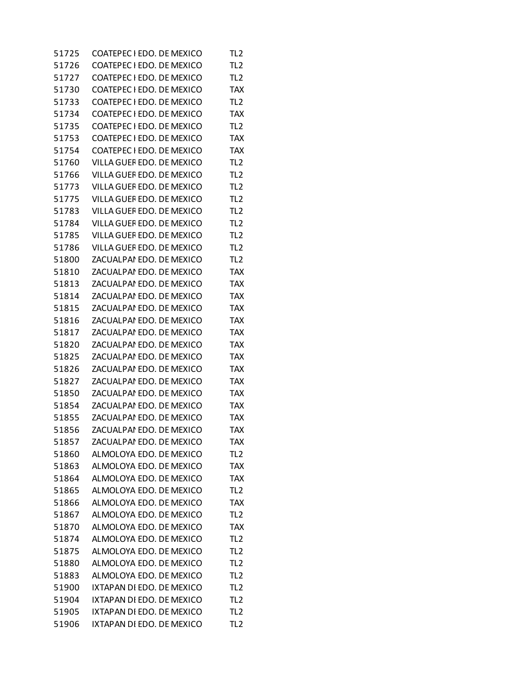| 51725 | COATEPEC I EDO. DE MEXICO | TL <sub>2</sub> |
|-------|---------------------------|-----------------|
| 51726 | COATEPEC I EDO. DE MEXICO | TL <sub>2</sub> |
| 51727 | COATEPEC I EDO. DE MEXICO | TL <sub>2</sub> |
| 51730 | COATEPEC I EDO. DE MEXICO | <b>TAX</b>      |
| 51733 | COATEPEC I EDO. DE MEXICO | TL <sub>2</sub> |
| 51734 | COATEPEC I EDO. DE MEXICO | <b>TAX</b>      |
| 51735 | COATEPEC I EDO. DE MEXICO | TL <sub>2</sub> |
| 51753 | COATEPEC I EDO. DE MEXICO | <b>TAX</b>      |
| 51754 | COATEPEC I EDO. DE MEXICO | <b>TAX</b>      |
| 51760 | VILLA GUEF EDO. DE MEXICO | TL <sub>2</sub> |
| 51766 | VILLA GUEF EDO. DE MEXICO | TL <sub>2</sub> |
| 51773 | VILLA GUEF EDO. DE MEXICO | TL <sub>2</sub> |
| 51775 | VILLA GUEF EDO. DE MEXICO | TL <sub>2</sub> |
| 51783 | VILLA GUEF EDO. DE MEXICO | TL <sub>2</sub> |
| 51784 | VILLA GUEF EDO. DE MEXICO | TL <sub>2</sub> |
| 51785 | VILLA GUEF EDO. DE MEXICO | TL <sub>2</sub> |
| 51786 | VILLA GUEF EDO. DE MEXICO | TL <sub>2</sub> |
| 51800 | ZACUALPAI EDO. DE MEXICO  | TL <sub>2</sub> |
| 51810 | ZACUALPAI EDO. DE MEXICO  | <b>TAX</b>      |
| 51813 | ZACUALPAI EDO. DE MEXICO  | <b>TAX</b>      |
| 51814 | ZACUALPAI EDO. DE MEXICO  | <b>TAX</b>      |
| 51815 | ZACUALPAI EDO. DE MEXICO  | <b>TAX</b>      |
| 51816 | ZACUALPAI EDO. DE MEXICO  | <b>TAX</b>      |
| 51817 | ZACUALPAI EDO. DE MEXICO  | <b>TAX</b>      |
| 51820 | ZACUALPAI EDO. DE MEXICO  | <b>TAX</b>      |
| 51825 | ZACUALPAI EDO. DE MEXICO  | <b>TAX</b>      |
| 51826 | ZACUALPAI EDO. DE MEXICO  | <b>TAX</b>      |
| 51827 | ZACUALPAI EDO. DE MEXICO  | <b>TAX</b>      |
| 51850 | ZACUALPAI EDO. DE MEXICO  | <b>TAX</b>      |
| 51854 | ZACUALPAI EDO. DE MEXICO  | <b>TAX</b>      |
| 51855 | ZACUALPAI EDO. DE MEXICO  | <b>TAX</b>      |
| 51856 | ZACUALPAI EDO. DE MEXICO  | <b>TAX</b>      |
| 51857 | ZACUALPAI EDO. DE MEXICO  | TAX             |
| 51860 | ALMOLOYA EDO. DE MEXICO   | TL <sub>2</sub> |
| 51863 | ALMOLOYA EDO. DE MEXICO   | <b>TAX</b>      |
| 51864 | ALMOLOYA EDO. DE MEXICO   | <b>TAX</b>      |
| 51865 | ALMOLOYA EDO. DE MEXICO   | TL <sub>2</sub> |
| 51866 | ALMOLOYA EDO. DE MEXICO   | <b>TAX</b>      |
| 51867 | ALMOLOYA EDO. DE MEXICO   | TL <sub>2</sub> |
| 51870 | ALMOLOYA EDO. DE MEXICO   | <b>TAX</b>      |
| 51874 | ALMOLOYA EDO. DE MEXICO   | TL <sub>2</sub> |
| 51875 | ALMOLOYA EDO. DE MEXICO   | TL <sub>2</sub> |
| 51880 | ALMOLOYA EDO. DE MEXICO   | TL <sub>2</sub> |
| 51883 | ALMOLOYA EDO. DE MEXICO   | TL <sub>2</sub> |
| 51900 | IXTAPAN DI EDO. DE MEXICO | TL <sub>2</sub> |
| 51904 | IXTAPAN DI EDO. DE MEXICO | TL <sub>2</sub> |
| 51905 | IXTAPAN DI EDO. DE MEXICO | TL <sub>2</sub> |
| 51906 | IXTAPAN DI EDO. DE MEXICO | TL <sub>2</sub> |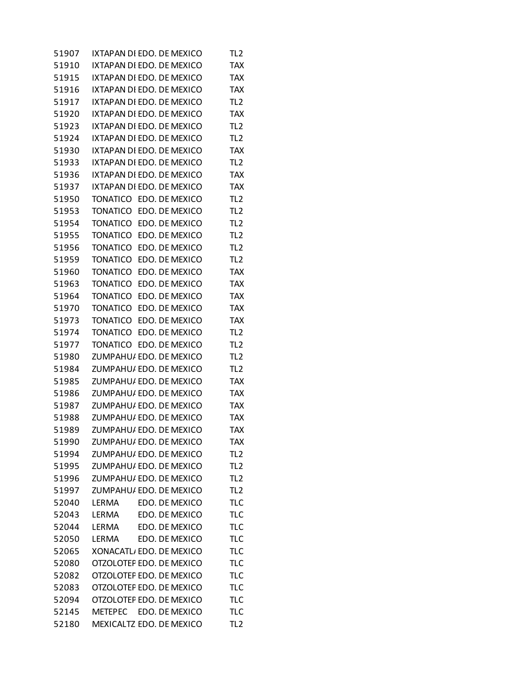| 51907 | IXTAPAN DI EDO. DE MEXICO |  |                | TL2             |
|-------|---------------------------|--|----------------|-----------------|
| 51910 | IXTAPAN DI EDO. DE MEXICO |  |                | <b>TAX</b>      |
| 51915 | IXTAPAN DI EDO. DE MEXICO |  |                | <b>TAX</b>      |
| 51916 | IXTAPAN DI EDO. DE MEXICO |  |                | <b>TAX</b>      |
| 51917 | IXTAPAN DI EDO. DE MEXICO |  |                | TL <sub>2</sub> |
| 51920 | IXTAPAN DI EDO. DE MEXICO |  |                | <b>TAX</b>      |
| 51923 | IXTAPAN DI EDO. DE MEXICO |  |                | TL <sub>2</sub> |
| 51924 | IXTAPAN DI EDO. DE MEXICO |  |                | TL <sub>2</sub> |
| 51930 | IXTAPAN DI EDO. DE MEXICO |  |                | <b>TAX</b>      |
| 51933 | IXTAPAN DI EDO. DE MEXICO |  |                | TL <sub>2</sub> |
| 51936 | IXTAPAN DI EDO. DE MEXICO |  |                | <b>TAX</b>      |
| 51937 | IXTAPAN DI EDO. DE MEXICO |  |                | <b>TAX</b>      |
| 51950 | TONATICO EDO. DE MEXICO   |  |                | TL <sub>2</sub> |
| 51953 | <b>TONATICO</b>           |  | EDO. DE MEXICO | TL <sub>2</sub> |
| 51954 | <b>TONATICO</b>           |  | EDO. DE MEXICO | TL <sub>2</sub> |
| 51955 | TONATICO                  |  | EDO. DE MEXICO | TL <sub>2</sub> |
| 51956 | <b>TONATICO</b>           |  | EDO. DE MEXICO | TL <sub>2</sub> |
| 51959 | <b>TONATICO</b>           |  | EDO. DE MEXICO | TL <sub>2</sub> |
| 51960 | <b>TONATICO</b>           |  | EDO. DE MEXICO | <b>TAX</b>      |
| 51963 | <b>TONATICO</b>           |  | EDO. DE MEXICO | <b>TAX</b>      |
| 51964 | <b>TONATICO</b>           |  | EDO. DE MEXICO | <b>TAX</b>      |
| 51970 | TONATICO                  |  | EDO. DE MEXICO | <b>TAX</b>      |
| 51973 | <b>TONATICO</b>           |  | EDO. DE MEXICO | <b>TAX</b>      |
| 51974 | TONATICO                  |  | EDO. DE MEXICO | TL <sub>2</sub> |
| 51977 | TONATICO                  |  | EDO. DE MEXICO | TL <sub>2</sub> |
| 51980 | ZUMPAHU/ EDO. DE MEXICO   |  |                | TL <sub>2</sub> |
| 51984 | ZUMPAHU/ EDO. DE MEXICO   |  |                | TL <sub>2</sub> |
| 51985 | ZUMPAHU/ EDO. DE MEXICO   |  |                | <b>TAX</b>      |
| 51986 | ZUMPAHU/ EDO. DE MEXICO   |  |                | <b>TAX</b>      |
| 51987 | ZUMPAHU/ EDO. DE MEXICO   |  |                | <b>TAX</b>      |
| 51988 | ZUMPAHU/ EDO. DE MEXICO   |  |                | <b>TAX</b>      |
| 51989 | ZUMPAHU/ EDO. DE MEXICO   |  |                | <b>TAX</b>      |
| 51990 | ZUMPAHU/EDO, DE MEXICO    |  |                | TAX             |
| 51994 | ZUMPAHU/ EDO. DE MEXICO   |  |                | TL <sub>2</sub> |
| 51995 | ZUMPAHU/ EDO. DE MEXICO   |  |                | TL <sub>2</sub> |
| 51996 | ZUMPAHU/ EDO. DE MEXICO   |  |                | TL <sub>2</sub> |
| 51997 | ZUMPAHU/ EDO. DE MEXICO   |  |                | TL <sub>2</sub> |
| 52040 | LERMA                     |  | EDO. DE MEXICO | <b>TLC</b>      |
| 52043 | LERMA                     |  | EDO. DE MEXICO | <b>TLC</b>      |
| 52044 | LERMA                     |  | EDO. DE MEXICO | <b>TLC</b>      |
| 52050 | LERMA                     |  | EDO. DE MEXICO | <b>TLC</b>      |
| 52065 | XONACATL, EDO. DE MEXICO  |  |                | <b>TLC</b>      |
| 52080 | OTZOLOTEF EDO. DE MEXICO  |  |                | <b>TLC</b>      |
| 52082 | OTZOLOTEF EDO. DE MEXICO  |  |                | <b>TLC</b>      |
| 52083 | OTZOLOTEF EDO. DE MEXICO  |  |                | <b>TLC</b>      |
| 52094 | OTZOLOTEF EDO. DE MEXICO  |  |                | <b>TLC</b>      |
| 52145 | METEPEC EDO. DE MEXICO    |  |                | <b>TLC</b>      |
| 52180 | MEXICALTZ EDO. DE MEXICO  |  |                | TL <sub>2</sub> |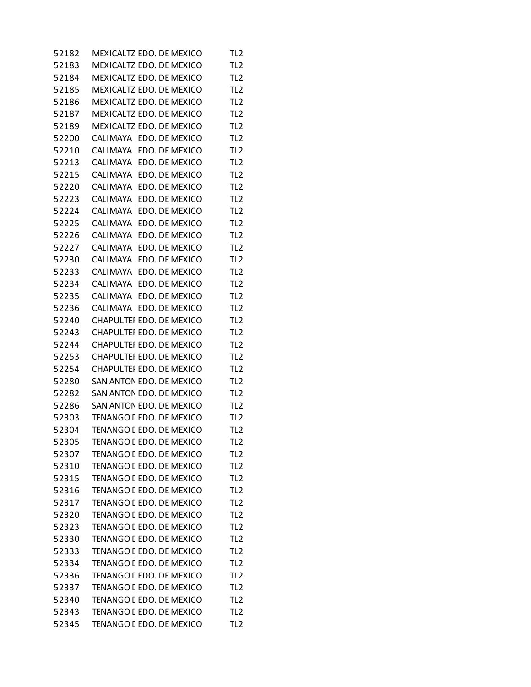| 52182 | MEXICALTZ EDO. DE MEXICO        |  |                | TL2             |
|-------|---------------------------------|--|----------------|-----------------|
| 52183 | MEXICALTZ EDO. DE MEXICO        |  |                | TL <sub>2</sub> |
| 52184 | MEXICALTZ EDO. DE MEXICO        |  |                | TL <sub>2</sub> |
| 52185 | MEXICALTZ EDO. DE MEXICO        |  |                | TL <sub>2</sub> |
| 52186 | MEXICALTZ EDO. DE MEXICO        |  |                | TL <sub>2</sub> |
| 52187 | MEXICALTZ EDO. DE MEXICO        |  |                | TL <sub>2</sub> |
| 52189 | MEXICALTZ EDO. DE MEXICO        |  |                | TL <sub>2</sub> |
| 52200 | CALIMAYA EDO. DE MEXICO         |  |                | TL <sub>2</sub> |
| 52210 | <b>CALIMAYA</b>                 |  | EDO. DE MEXICO | TL <sub>2</sub> |
| 52213 | CALIMAYA EDO. DE MEXICO         |  |                | TL <sub>2</sub> |
| 52215 | CALIMAYA                        |  | EDO. DE MEXICO | TL <sub>2</sub> |
| 52220 | CALIMAYA                        |  | EDO. DE MEXICO | TL <sub>2</sub> |
| 52223 | CALIMAYA                        |  | EDO. DE MEXICO | TL <sub>2</sub> |
| 52224 | CALIMAYA                        |  | EDO. DE MEXICO | TL <sub>2</sub> |
| 52225 | CALIMAYA                        |  | EDO. DE MEXICO | TL <sub>2</sub> |
| 52226 | CALIMAYA                        |  | EDO. DE MEXICO | TL <sub>2</sub> |
| 52227 | CALIMAYA                        |  | EDO. DE MEXICO | TL <sub>2</sub> |
| 52230 | <b>CALIMAYA</b>                 |  | EDO. DE MEXICO | TL <sub>2</sub> |
| 52233 | CALIMAYA                        |  | EDO. DE MEXICO | TL <sub>2</sub> |
| 52234 | <b>CALIMAYA</b>                 |  | EDO. DE MEXICO | TL <sub>2</sub> |
| 52235 | CALIMAYA                        |  | EDO. DE MEXICO | TL <sub>2</sub> |
| 52236 | CALIMAYA EDO. DE MEXICO         |  |                | TL <sub>2</sub> |
| 52240 | CHAPULTEI EDO. DE MEXICO        |  |                | TL <sub>2</sub> |
| 52243 | CHAPULTEI EDO. DE MEXICO        |  |                | TL <sub>2</sub> |
| 52244 | CHAPULTEI EDO. DE MEXICO        |  |                | TL <sub>2</sub> |
| 52253 | CHAPULTEI EDO. DE MEXICO        |  |                | TL <sub>2</sub> |
| 52254 | CHAPULTEI EDO. DE MEXICO        |  |                | TL <sub>2</sub> |
| 52280 | SAN ANTON EDO. DE MEXICO        |  |                | TL <sub>2</sub> |
| 52282 | SAN ANTON EDO. DE MEXICO        |  |                | TL <sub>2</sub> |
| 52286 | SAN ANTON EDO. DE MEXICO        |  |                | TL <sub>2</sub> |
| 52303 | TENANGO I EDO. DE MEXICO        |  |                | TL <sub>2</sub> |
| 52304 | TENANGO I EDO. DE MEXICO        |  |                | TL <sub>2</sub> |
| 52305 | TENANGO E EDO. DE MEXICO        |  |                | TL <sub>2</sub> |
| 52307 | TENANGO [ EDO. DE MEXICO        |  |                | TL <sub>2</sub> |
| 52310 | TENANGO L EDO. DE MEXICO        |  |                | TL <sub>2</sub> |
| 52315 | <b>TENANGO [ EDO, DE MEXICO</b> |  |                | TL <sub>2</sub> |
| 52316 | TENANGO I EDO. DE MEXICO        |  |                | TL <sub>2</sub> |
| 52317 | TENANGO L EDO. DE MEXICO        |  |                | TL <sub>2</sub> |
| 52320 | TENANGO I EDO. DE MEXICO        |  |                | TL <sub>2</sub> |
| 52323 | TENANGO L EDO. DE MEXICO        |  |                | TL <sub>2</sub> |
| 52330 | TENANGO L EDO. DE MEXICO        |  |                | TL <sub>2</sub> |
| 52333 | TENANGO L EDO. DE MEXICO        |  |                | TL <sub>2</sub> |
| 52334 | TENANGO L EDO. DE MEXICO        |  |                | TL <sub>2</sub> |
| 52336 | TENANGO L EDO. DE MEXICO        |  |                | TL <sub>2</sub> |
| 52337 | TENANGO E EDO. DE MEXICO        |  |                | TL <sub>2</sub> |
| 52340 | TENANGO I EDO. DE MEXICO        |  |                | TL <sub>2</sub> |
| 52343 | TENANGO I EDO. DE MEXICO        |  |                | TL <sub>2</sub> |
| 52345 | TENANGO I EDO. DE MEXICO        |  |                | TL <sub>2</sub> |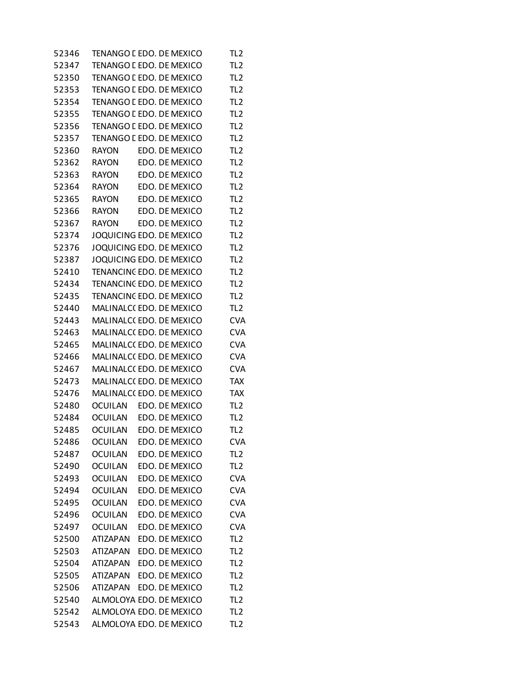| 52346          | TENANGO E EDO. DE MEXICO           |  |                                  | TL <sub>2</sub>          |
|----------------|------------------------------------|--|----------------------------------|--------------------------|
| 52347          | <b>TENANGO [ EDO, DE MEXICO</b>    |  |                                  | TL <sub>2</sub>          |
| 52350          | TENANGO I EDO. DE MEXICO           |  |                                  | TL <sub>2</sub>          |
| 52353          | TENANGO E EDO. DE MEXICO           |  |                                  | TL <sub>2</sub>          |
| 52354          | TENANGO I EDO. DE MEXICO           |  |                                  | TL <sub>2</sub>          |
| 52355          | TENANGO I EDO. DE MEXICO           |  |                                  | TL <sub>2</sub>          |
| 52356          | TENANGO E EDO. DE MEXICO           |  |                                  | TL <sub>2</sub>          |
| 52357          | TENANGO L EDO. DE MEXICO           |  |                                  | TL <sub>2</sub>          |
| 52360          | <b>RAYON</b>                       |  | EDO. DE MEXICO                   | TL <sub>2</sub>          |
| 52362          | <b>RAYON</b>                       |  | EDO. DE MEXICO                   | TL <sub>2</sub>          |
| 52363          | <b>RAYON</b>                       |  | EDO. DE MEXICO                   | TL <sub>2</sub>          |
| 52364          | <b>RAYON</b>                       |  | EDO. DE MEXICO                   | TL <sub>2</sub>          |
| 52365          | <b>RAYON</b>                       |  | EDO. DE MEXICO                   | TL <sub>2</sub>          |
| 52366          | <b>RAYON</b>                       |  | EDO. DE MEXICO                   | TL <sub>2</sub>          |
| 52367          | <b>RAYON</b>                       |  | EDO. DE MEXICO                   | TL <sub>2</sub>          |
| 52374          | JOQUICING EDO. DE MEXICO           |  |                                  | TL <sub>2</sub>          |
| 52376          | JOQUICING EDO. DE MEXICO           |  |                                  | TL <sub>2</sub>          |
| 52387          | JOQUICING EDO. DE MEXICO           |  |                                  | TL <sub>2</sub>          |
| 52410          | TENANCINC EDO. DE MEXICO           |  |                                  | TL <sub>2</sub>          |
| 52434          | TENANCINC EDO. DE MEXICO           |  |                                  | TL <sub>2</sub>          |
| 52435          | TENANCINC EDO. DE MEXICO           |  |                                  | TL <sub>2</sub>          |
| 52440          | MALINALC(EDO. DE MEXICO            |  |                                  | TL <sub>2</sub>          |
| 52443          | MALINALC(EDO. DE MEXICO            |  |                                  | <b>CVA</b>               |
| 52463          | MALINALC(EDO. DE MEXICO            |  |                                  | <b>CVA</b>               |
| 52465          | MALINALC(EDO. DE MEXICO            |  |                                  | <b>CVA</b>               |
| 52466          | MALINALC(EDO. DE MEXICO            |  |                                  | <b>CVA</b>               |
| 52467          | MALINALC(EDO. DE MEXICO            |  |                                  | <b>CVA</b>               |
| 52473          | MALINALC(EDO. DE MEXICO            |  |                                  | <b>TAX</b>               |
| 52476          | MALINALC(EDO, DE MEXICO            |  |                                  | <b>TAX</b>               |
| 52480          | <b>OCUILAN</b>                     |  | EDO. DE MEXICO                   | TL <sub>2</sub>          |
| 52484          | <b>OCUILAN</b>                     |  | EDO. DE MEXICO                   | TL <sub>2</sub>          |
| 52485          | <b>OCUILAN</b>                     |  | EDO. DE MEXICO                   | TL <sub>2</sub>          |
| 52486          | <b>OCUILAN</b>                     |  | EDO. DE MEXICO                   | <b>CVA</b>               |
| 52487          | <b>OCUILAN</b>                     |  | EDO. DE MEXICO                   | TL <sub>2</sub>          |
| 52490          | <b>OCUILAN</b>                     |  | EDO. DE MEXICO                   | TL <sub>2</sub>          |
| 52493          | <b>OCUILAN</b>                     |  | EDO. DE MEXICO                   | <b>CVA</b>               |
| 52494          | <b>OCUILAN</b>                     |  | EDO. DE MEXICO                   | <b>CVA</b>               |
| 52495          | <b>OCUILAN</b>                     |  | EDO. DE MEXICO                   |                          |
| 52496          | <b>OCUILAN</b>                     |  | EDO. DE MEXICO                   | <b>CVA</b><br><b>CVA</b> |
| 52497          |                                    |  | EDO. DE MEXICO                   | <b>CVA</b>               |
| 52500          | <b>OCUILAN</b><br><b>ATIZAPAN</b>  |  | EDO. DE MEXICO                   | TL <sub>2</sub>          |
| 52503          | <b>ATIZAPAN</b>                    |  | EDO. DE MEXICO                   | TL <sub>2</sub>          |
|                |                                    |  | EDO. DE MEXICO                   |                          |
| 52504          | <b>ATIZAPAN</b>                    |  |                                  | TL <sub>2</sub>          |
| 52505<br>52506 | <b>ATIZAPAN</b><br><b>ATIZAPAN</b> |  | EDO. DE MEXICO<br>EDO. DE MEXICO | TL <sub>2</sub>          |
|                | ALMOLOYA EDO. DE MEXICO            |  |                                  | TL <sub>2</sub>          |
| 52540          |                                    |  |                                  | TL <sub>2</sub>          |
| 52542          | ALMOLOYA EDO. DE MEXICO            |  |                                  | TL <sub>2</sub>          |
| 52543          | ALMOLOYA EDO. DE MEXICO            |  |                                  | TL <sub>2</sub>          |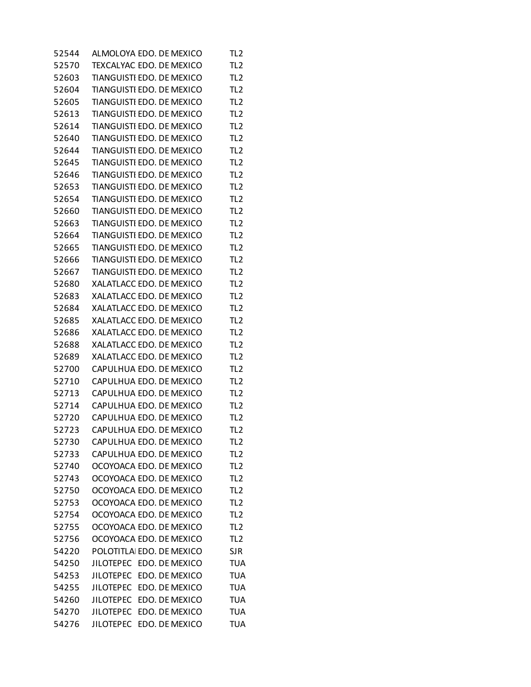| 52544 | ALMOLOYA EDO. DE MEXICO            | TL <sub>2</sub> |
|-------|------------------------------------|-----------------|
| 52570 | TEXCALYAC EDO. DE MEXICO           | TL <sub>2</sub> |
| 52603 | TIANGUISTI EDO. DE MEXICO          | TL <sub>2</sub> |
| 52604 | TIANGUISTI EDO. DE MEXICO          | TL <sub>2</sub> |
| 52605 | TIANGUISTI EDO. DE MEXICO          | TL <sub>2</sub> |
| 52613 | TIANGUISTI EDO. DE MEXICO          | TL <sub>2</sub> |
| 52614 | TIANGUISTI EDO. DE MEXICO          | TL <sub>2</sub> |
| 52640 | TIANGUISTI EDO. DE MEXICO          | TL <sub>2</sub> |
| 52644 | TIANGUISTI EDO. DE MEXICO          | TL <sub>2</sub> |
| 52645 | TIANGUISTI EDO. DE MEXICO          | TL <sub>2</sub> |
| 52646 | TIANGUISTI EDO. DE MEXICO          | TL <sub>2</sub> |
| 52653 | TIANGUISTI EDO. DE MEXICO          | TL <sub>2</sub> |
| 52654 | TIANGUISTI EDO. DE MEXICO          | TL <sub>2</sub> |
| 52660 | TIANGUISTI EDO. DE MEXICO          | TL <sub>2</sub> |
| 52663 | TIANGUISTI EDO. DE MEXICO          | TL <sub>2</sub> |
| 52664 | TIANGUISTI EDO. DE MEXICO          | TL <sub>2</sub> |
| 52665 | TIANGUISTI EDO. DE MEXICO          | TL <sub>2</sub> |
| 52666 | TIANGUISTI EDO. DE MEXICO          | TL <sub>2</sub> |
| 52667 | TIANGUISTI EDO. DE MEXICO          | TL <sub>2</sub> |
| 52680 | XALATLACC EDO. DE MEXICO           | TL <sub>2</sub> |
| 52683 | XALATLACC EDO. DE MEXICO           | TL <sub>2</sub> |
| 52684 | XALATLACC EDO. DE MEXICO           | TL <sub>2</sub> |
| 52685 | XALATLACC EDO. DE MEXICO           | TL <sub>2</sub> |
| 52686 | XALATLACC EDO. DE MEXICO           | TL <sub>2</sub> |
| 52688 | XALATLACC EDO. DE MEXICO           | TL <sub>2</sub> |
| 52689 | XALATLACC EDO. DE MEXICO           | TL <sub>2</sub> |
| 52700 | CAPULHUA EDO. DE MEXICO            | TL <sub>2</sub> |
| 52710 | CAPULHUA EDO. DE MEXICO            | TL <sub>2</sub> |
| 52713 | CAPULHUA EDO. DE MEXICO            | TL <sub>2</sub> |
| 52714 | CAPULHUA EDO. DE MEXICO            | TL <sub>2</sub> |
| 52720 | CAPULHUA EDO. DE MEXICO            | TL <sub>2</sub> |
| 52723 | CAPULHUA EDO. DE MEXICO            | TL <sub>2</sub> |
| 52730 | CAPULHUA EDO. DE MEXICO            | TL <sub>2</sub> |
| 52733 | CAPULHUA EDO. DE MEXICO            | TL <sub>2</sub> |
| 52740 | OCOYOACA EDO. DE MEXICO            | TL <sub>2</sub> |
| 52743 | OCOYOACA EDO. DE MEXICO            | TL <sub>2</sub> |
| 52750 | OCOYOACA EDO. DE MEXICO            | TL <sub>2</sub> |
| 52753 | OCOYOACA EDO. DE MEXICO            | TL <sub>2</sub> |
| 52754 | OCOYOACA EDO. DE MEXICO            | TL <sub>2</sub> |
| 52755 | OCOYOACA EDO. DE MEXICO            | TL <sub>2</sub> |
| 52756 | OCOYOACA EDO. DE MEXICO            | TL <sub>2</sub> |
| 54220 | POLOTITLA EDO. DE MEXICO           | <b>SJR</b>      |
| 54250 | JILOTEPEC EDO. DE MEXICO           | <b>TUA</b>      |
| 54253 | <b>JILOTEPEC</b><br>EDO. DE MEXICO | <b>TUA</b>      |
| 54255 | <b>JILOTEPEC</b><br>EDO. DE MEXICO | <b>TUA</b>      |
| 54260 | EDO. DE MEXICO<br><b>JILOTEPEC</b> | <b>TUA</b>      |
| 54270 | <b>JILOTEPEC</b><br>EDO. DE MEXICO | <b>TUA</b>      |
| 54276 | <b>JILOTEPEC</b><br>EDO. DE MEXICO | <b>TUA</b>      |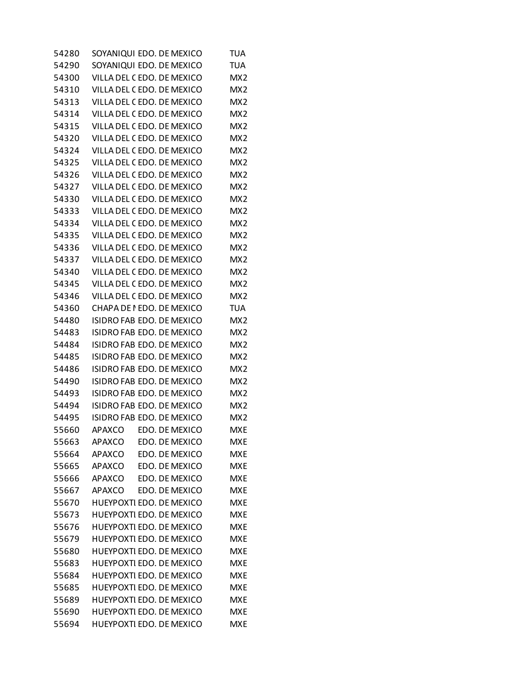| 54280 | SOYANIQUI EDO. DE MEXICO  |  |                | TUA             |
|-------|---------------------------|--|----------------|-----------------|
| 54290 | SOYANIQUI EDO. DE MEXICO  |  |                | TUA             |
| 54300 | VILLA DEL CEDO. DE MEXICO |  |                | MX <sub>2</sub> |
| 54310 | VILLA DEL CEDO. DE MEXICO |  |                | MX <sub>2</sub> |
| 54313 | VILLA DEL CEDO. DE MEXICO |  |                | MX <sub>2</sub> |
| 54314 | VILLA DEL CEDO. DE MEXICO |  |                | MX <sub>2</sub> |
| 54315 | VILLA DEL CEDO. DE MEXICO |  |                | MX <sub>2</sub> |
| 54320 | VILLA DEL CEDO. DE MEXICO |  |                | MX <sub>2</sub> |
| 54324 | VILLA DEL CEDO. DE MEXICO |  |                | MX <sub>2</sub> |
| 54325 | VILLA DEL CEDO. DE MEXICO |  |                | MX <sub>2</sub> |
| 54326 | VILLA DEL CEDO. DE MEXICO |  |                | MX <sub>2</sub> |
| 54327 | VILLA DEL CEDO. DE MEXICO |  |                | MX <sub>2</sub> |
| 54330 | VILLA DEL CEDO. DE MEXICO |  |                | MX <sub>2</sub> |
| 54333 | VILLA DEL CEDO. DE MEXICO |  |                | MX <sub>2</sub> |
| 54334 | VILLA DEL CEDO. DE MEXICO |  |                | MX <sub>2</sub> |
| 54335 | VILLA DEL CEDO. DE MEXICO |  |                | MX <sub>2</sub> |
| 54336 | VILLA DEL CEDO. DE MEXICO |  |                | MX <sub>2</sub> |
| 54337 | VILLA DEL CEDO. DE MEXICO |  |                | MX <sub>2</sub> |
| 54340 | VILLA DEL CEDO. DE MEXICO |  |                | MX <sub>2</sub> |
| 54345 | VILLA DEL CEDO. DE MEXICO |  |                | MX <sub>2</sub> |
| 54346 | VILLA DEL CEDO. DE MEXICO |  |                | MX <sub>2</sub> |
| 54360 | CHAPA DE I EDO. DE MEXICO |  |                | <b>TUA</b>      |
| 54480 | ISIDRO FAB EDO. DE MEXICO |  |                | MX <sub>2</sub> |
| 54483 | ISIDRO FAB EDO. DE MEXICO |  |                | MX <sub>2</sub> |
| 54484 | ISIDRO FAB EDO. DE MEXICO |  |                | MX <sub>2</sub> |
| 54485 | ISIDRO FAB EDO. DE MEXICO |  |                | MX <sub>2</sub> |
| 54486 | ISIDRO FAB EDO. DE MEXICO |  |                | MX <sub>2</sub> |
| 54490 | ISIDRO FAB EDO. DE MEXICO |  |                | MX <sub>2</sub> |
| 54493 | ISIDRO FAB EDO. DE MEXICO |  |                | MX <sub>2</sub> |
| 54494 | ISIDRO FAB EDO. DE MEXICO |  |                | MX <sub>2</sub> |
| 54495 | ISIDRO FAB EDO. DE MEXICO |  |                | MX <sub>2</sub> |
| 55660 | APAXCO                    |  | EDO. DE MEXICO | <b>MXE</b>      |
| 55663 | <b>APAXCO</b>             |  | EDO. DE MEXICO | <b>MXE</b>      |
| 55664 | <b>APAXCO</b>             |  | EDO. DE MEXICO | <b>MXE</b>      |
| 55665 | <b>APAXCO</b>             |  | EDO. DE MEXICO | <b>MXE</b>      |
| 55666 | <b>APAXCO</b>             |  | EDO. DE MEXICO | <b>MXE</b>      |
| 55667 | <b>APAXCO</b>             |  | EDO. DE MEXICO | <b>MXE</b>      |
| 55670 | HUEYPOXTI EDO. DE MEXICO  |  |                | <b>MXE</b>      |
| 55673 | HUEYPOXTI EDO. DE MEXICO  |  |                | <b>MXE</b>      |
| 55676 | HUEYPOXTI EDO. DE MEXICO  |  |                | <b>MXE</b>      |
| 55679 | HUEYPOXTI EDO. DE MEXICO  |  |                | <b>MXE</b>      |
| 55680 | HUEYPOXTI EDO. DE MEXICO  |  |                | <b>MXE</b>      |
| 55683 | HUEYPOXTI EDO. DE MEXICO  |  |                | <b>MXE</b>      |
| 55684 | HUEYPOXTI EDO. DE MEXICO  |  |                | <b>MXE</b>      |
| 55685 | HUEYPOXTI EDO. DE MEXICO  |  |                | <b>MXE</b>      |
| 55689 | HUEYPOXTI EDO. DE MEXICO  |  |                | <b>MXE</b>      |
| 55690 | HUEYPOXTI EDO. DE MEXICO  |  |                | <b>MXE</b>      |
| 55694 | HUEYPOXTI EDO. DE MEXICO  |  |                | <b>MXE</b>      |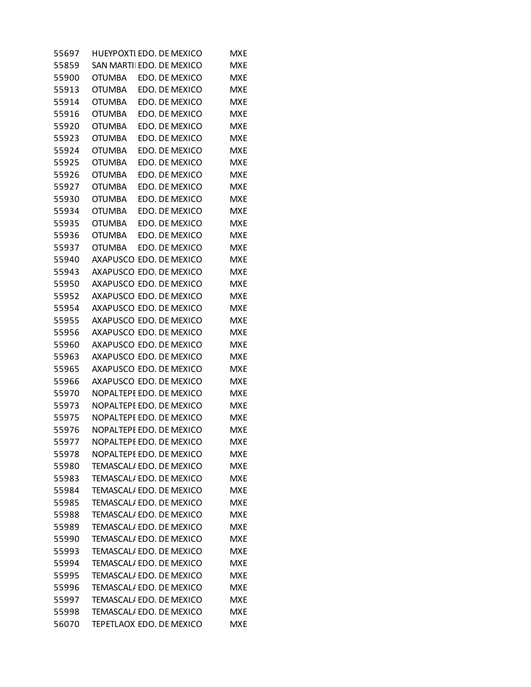| 55697 | HUEYPOXTI EDO. DE MEXICO |  |                | MXE        |
|-------|--------------------------|--|----------------|------------|
| 55859 | SAN MARTILEDO, DE MEXICO |  |                | MXE        |
| 55900 | <b>OTUMBA</b>            |  | EDO. DE MEXICO | <b>MXE</b> |
| 55913 | <b>OTUMBA</b>            |  | EDO. DE MEXICO | <b>MXE</b> |
| 55914 | <b>OTUMBA</b>            |  | EDO. DE MEXICO | <b>MXE</b> |
| 55916 | <b>OTUMBA</b>            |  | EDO. DE MEXICO | <b>MXE</b> |
| 55920 | OTUMBA                   |  | EDO. DE MEXICO | <b>MXE</b> |
| 55923 | <b>OTUMBA</b>            |  | EDO. DE MEXICO | <b>MXE</b> |
| 55924 | <b>OTUMBA</b>            |  | EDO. DE MEXICO | <b>MXE</b> |
| 55925 | <b>OTUMBA</b>            |  | EDO. DE MEXICO | <b>MXE</b> |
| 55926 | <b>OTUMBA</b>            |  | EDO. DE MEXICO | <b>MXE</b> |
| 55927 | <b>OTUMBA</b>            |  | EDO. DE MEXICO | <b>MXE</b> |
| 55930 | <b>OTUMBA</b>            |  | EDO. DE MEXICO | <b>MXE</b> |
| 55934 | <b>OTUMBA</b>            |  | EDO. DE MEXICO | <b>MXE</b> |
| 55935 | <b>OTUMBA</b>            |  | EDO. DE MEXICO | <b>MXE</b> |
| 55936 | <b>OTUMBA</b>            |  | EDO. DE MEXICO | <b>MXE</b> |
| 55937 | <b>OTUMBA</b>            |  | EDO. DE MEXICO | <b>MXE</b> |
| 55940 | AXAPUSCO EDO. DE MEXICO  |  |                | <b>MXE</b> |
| 55943 | AXAPUSCO EDO. DE MEXICO  |  |                | <b>MXE</b> |
| 55950 | AXAPUSCO EDO. DE MEXICO  |  |                | <b>MXE</b> |
| 55952 | AXAPUSCO EDO. DE MEXICO  |  |                | <b>MXE</b> |
| 55954 | AXAPUSCO EDO. DE MEXICO  |  |                | <b>MXE</b> |
| 55955 | AXAPUSCO EDO. DE MEXICO  |  |                | <b>MXE</b> |
| 55956 | AXAPUSCO EDO. DE MEXICO  |  |                | <b>MXE</b> |
| 55960 | AXAPUSCO EDO. DE MEXICO  |  |                | <b>MXE</b> |
| 55963 | AXAPUSCO EDO. DE MEXICO  |  |                | <b>MXE</b> |
| 55965 | AXAPUSCO EDO. DE MEXICO  |  |                | <b>MXE</b> |
| 55966 | AXAPUSCO EDO. DE MEXICO  |  |                | <b>MXE</b> |
| 55970 | NOPALTEPE EDO. DE MEXICO |  |                | <b>MXE</b> |
| 55973 | NOPALTEPE EDO. DE MEXICO |  |                | <b>MXE</b> |
| 55975 | NOPALTEPE EDO. DE MEXICO |  |                | <b>MXE</b> |
| 55976 | NOPALTEPE EDO. DE MEXICO |  |                | <b>MXE</b> |
| 55977 | NOPALTEPE EDO. DE MEXICO |  |                | <b>MXE</b> |
| 55978 | NOPALTEPE EDO. DE MEXICO |  |                | <b>MXE</b> |
| 55980 | TEMASCAL/EDO. DE MEXICO  |  |                | <b>MXE</b> |
| 55983 | TEMASCAL/EDO. DE MEXICO  |  |                | <b>MXE</b> |
| 55984 | TEMASCAL/EDO. DE MEXICO  |  |                | <b>MXE</b> |
| 55985 | TEMASCAL/EDO. DE MEXICO  |  |                | <b>MXE</b> |
| 55988 | TEMASCAL/EDO. DE MEXICO  |  |                | <b>MXE</b> |
| 55989 | TEMASCAL/EDO. DE MEXICO  |  |                | <b>MXE</b> |
| 55990 | TEMASCAL/EDO. DE MEXICO  |  |                | <b>MXE</b> |
| 55993 | TEMASCAL/EDO. DE MEXICO  |  |                | <b>MXE</b> |
| 55994 | TEMASCAL/EDO. DE MEXICO  |  |                | <b>MXE</b> |
| 55995 | TEMASCAL/EDO. DE MEXICO  |  |                | <b>MXE</b> |
| 55996 | TEMASCAL/EDO. DE MEXICO  |  |                | <b>MXE</b> |
| 55997 | TEMASCAL/EDO. DE MEXICO  |  |                | <b>MXE</b> |
| 55998 | TEMASCAL/EDO. DE MEXICO  |  |                | <b>MXE</b> |
| 56070 | TEPETLAOX EDO. DE MEXICO |  |                | <b>MXE</b> |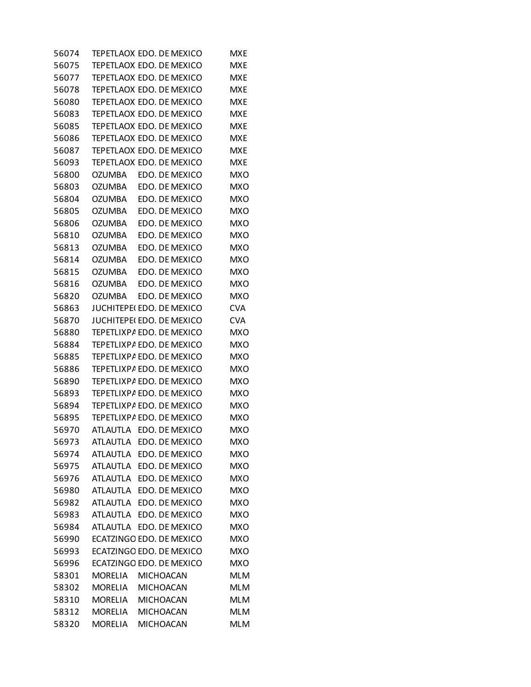| 56074 |                 | TEPETLAOX EDO. DE MEXICO        | MXE        |
|-------|-----------------|---------------------------------|------------|
| 56075 |                 | TEPETLAOX EDO. DE MEXICO        | MXE        |
| 56077 |                 | TEPETLAOX EDO. DE MEXICO        | <b>MXE</b> |
| 56078 |                 | TEPETLAOX EDO. DE MEXICO        | <b>MXE</b> |
| 56080 |                 | TEPETLAOX EDO. DE MEXICO        | <b>MXE</b> |
| 56083 |                 | TEPETLAOX EDO. DE MEXICO        | <b>MXE</b> |
| 56085 |                 | TEPETLAOX EDO. DE MEXICO        | <b>MXE</b> |
| 56086 |                 | TEPETLAOX EDO. DE MEXICO        | <b>MXE</b> |
| 56087 |                 | TEPETLAOX EDO. DE MEXICO        | <b>MXE</b> |
| 56093 |                 | TEPETLAOX EDO. DE MEXICO        | <b>MXE</b> |
| 56800 | <b>OZUMBA</b>   | EDO. DE MEXICO                  | <b>MXO</b> |
| 56803 | OZUMBA          | EDO. DE MEXICO                  | <b>MXO</b> |
| 56804 | OZUMBA          | EDO. DE MEXICO                  | MXO        |
| 56805 | OZUMBA          | EDO. DE MEXICO                  | MXO        |
| 56806 | OZUMBA          | EDO. DE MEXICO                  | <b>MXO</b> |
| 56810 | OZUMBA          | EDO. DE MEXICO                  | <b>MXO</b> |
| 56813 | <b>OZUMBA</b>   | EDO. DE MEXICO                  | <b>MXO</b> |
| 56814 | OZUMBA          | EDO. DE MEXICO                  | <b>MXO</b> |
| 56815 | OZUMBA          | EDO. DE MEXICO                  | MXO        |
| 56816 | OZUMBA          | EDO. DE MEXICO                  | <b>MXO</b> |
| 56820 | <b>OZUMBA</b>   | EDO. DE MEXICO                  | <b>MXO</b> |
| 56863 |                 | JUCHITEPE(EDO, DE MEXICO        | <b>CVA</b> |
| 56870 |                 | <b>JUCHITEPE(EDO. DE MEXICO</b> | <b>CVA</b> |
| 56880 |                 | TEPETLIXPA EDO. DE MEXICO       | <b>MXO</b> |
| 56884 |                 | TEPETLIXPA EDO. DE MEXICO       | MXO        |
| 56885 |                 | TEPETLIXPA EDO. DE MEXICO       | <b>MXO</b> |
| 56886 |                 | TEPETLIXPA EDO. DE MEXICO       | <b>MXO</b> |
| 56890 |                 | TEPETLIXPA EDO. DE MEXICO       | <b>MXO</b> |
| 56893 |                 | TEPETLIXPA EDO. DE MEXICO       | <b>MXO</b> |
| 56894 |                 | TEPETLIXPA EDO. DE MEXICO       | <b>MXO</b> |
| 56895 |                 | TEPETLIXPA EDO. DE MEXICO       | MXO        |
| 56970 |                 | ATLAUTLA EDO. DE MEXICO         | MXO        |
| 56973 | <b>ATLAUTLA</b> | EDO. DE MEXICO                  | MXO        |
| 56974 | <b>ATLAUTLA</b> | EDO. DE MEXICO                  | <b>MXO</b> |
| 56975 | <b>ATLAUTLA</b> | EDO. DE MEXICO                  | <b>MXO</b> |
| 56976 | <b>ATLAUTLA</b> | EDO. DE MEXICO                  | <b>MXO</b> |
| 56980 |                 | ATLAUTLA EDO. DE MEXICO         | <b>MXO</b> |
| 56982 | <b>ATLAUTLA</b> | EDO. DE MEXICO                  | <b>MXO</b> |
| 56983 | <b>ATLAUTLA</b> | EDO. DE MEXICO                  | <b>MXO</b> |
| 56984 | ATLAUTLA        | EDO. DE MEXICO                  | <b>MXO</b> |
| 56990 |                 | ECATZINGO EDO. DE MEXICO        | <b>MXO</b> |
| 56993 |                 | ECATZINGO EDO. DE MEXICO        | <b>MXO</b> |
| 56996 |                 | ECATZINGO EDO. DE MEXICO        | <b>MXO</b> |
| 58301 | <b>MORELIA</b>  | <b>MICHOACAN</b>                | <b>MLM</b> |
| 58302 | <b>MORELIA</b>  | <b>MICHOACAN</b>                | <b>MLM</b> |
| 58310 | MORELIA         | <b>MICHOACAN</b>                | <b>MLM</b> |
| 58312 | <b>MORELIA</b>  | MICHOACAN                       | <b>MLM</b> |
| 58320 | <b>MORELIA</b>  | <b>MICHOACAN</b>                | <b>MLM</b> |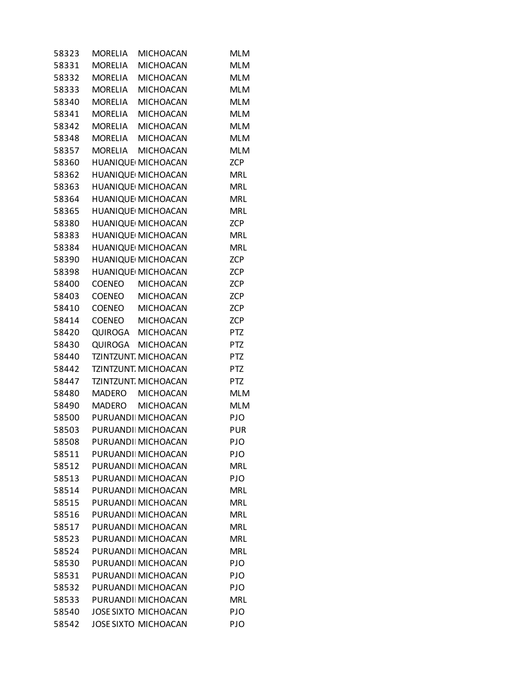| 58323 | <b>MORELIA</b> | <b>MICHOACAN</b>            | <b>MLM</b> |
|-------|----------------|-----------------------------|------------|
| 58331 | <b>MORELIA</b> | <b>MICHOACAN</b>            | <b>MLM</b> |
| 58332 | MORELIA        | <b>MICHOACAN</b>            | <b>MLM</b> |
| 58333 | MORELIA        | <b>MICHOACAN</b>            | <b>MLM</b> |
| 58340 |                | MORELIA MICHOACAN           | <b>MLM</b> |
| 58341 | MORELIA        | <b>MICHOACAN</b>            | <b>MLM</b> |
| 58342 | MORELIA        | <b>MICHOACAN</b>            | <b>MLM</b> |
| 58348 |                | MORELIA MICHOACAN           | <b>MLM</b> |
| 58357 | MORELIA        | <b>MICHOACAN</b>            | <b>MLM</b> |
| 58360 |                | HUANIQUE MICHOACAN          | <b>ZCP</b> |
| 58362 |                | HUANIQUE MICHOACAN          | <b>MRL</b> |
| 58363 |                | HUANIQUE MICHOACAN          | <b>MRL</b> |
| 58364 |                | HUANIQUE MICHOACAN          | <b>MRL</b> |
| 58365 |                | HUANIQUE MICHOACAN          | <b>MRL</b> |
| 58380 |                | HUANIQUE MICHOACAN          | <b>ZCP</b> |
| 58383 |                | HUANIQUE MICHOACAN          | <b>MRL</b> |
| 58384 |                | HUANIQUE MICHOACAN          | <b>MRL</b> |
| 58390 |                | HUANIQUE MICHOACAN          | <b>ZCP</b> |
| 58398 |                | HUANIQUE MICHOACAN          | <b>ZCP</b> |
| 58400 |                | COENEO MICHOACAN            | <b>ZCP</b> |
| 58403 |                | COENEO MICHOACAN            | <b>ZCP</b> |
| 58410 | COENEO         | <b>MICHOACAN</b>            | <b>ZCP</b> |
| 58414 |                | COENEO MICHOACAN            | <b>ZCP</b> |
| 58420 |                | QUIROGA MICHOACAN           | <b>PTZ</b> |
| 58430 |                | QUIROGA MICHOACAN           | PTZ        |
| 58440 |                | TZINTZUNT. MICHOACAN        | <b>PTZ</b> |
| 58442 |                | TZINTZUNT. MICHOACAN        | <b>PTZ</b> |
| 58447 |                | TZINTZUNT. MICHOACAN        | <b>PTZ</b> |
| 58480 |                | MADERO MICHOACAN            | <b>MLM</b> |
| 58490 | MADERO         | <b>MICHOACAN</b>            | <b>MLM</b> |
| 58500 |                | PURUANDI MICHOACAN          | PJO        |
| 58503 |                | PURUANDI MICHOACAN          | <b>PUR</b> |
| 58508 |                | PURUANDI MICHOACAN          | PJO        |
| 58511 |                | PURUANDI MICHOACAN          | PJO        |
| 58512 |                | PURUANDI MICHOACAN          | <b>MRL</b> |
| 58513 |                | PURUANDI MICHOACAN          | <b>PJO</b> |
| 58514 |                | PURUANDI MICHOACAN          | <b>MRL</b> |
| 58515 |                | PURUANDI MICHOACAN          | <b>MRL</b> |
| 58516 |                | PURUANDI MICHOACAN          | <b>MRL</b> |
| 58517 |                | PURUANDI MICHOACAN          | <b>MRL</b> |
| 58523 |                | PURUANDI MICHOACAN          | <b>MRL</b> |
| 58524 |                | PURUANDI MICHOACAN          | <b>MRL</b> |
| 58530 |                | PURUANDI MICHOACAN          | <b>PJO</b> |
| 58531 |                | PURUANDI MICHOACAN          | PJO        |
| 58532 |                | PURUANDI MICHOACAN          | PJO        |
| 58533 |                | PURUANDI MICHOACAN          | <b>MRL</b> |
| 58540 |                | <b>JOSE SIXTO MICHOACAN</b> | PJO        |
| 58542 |                | <b>JOSE SIXTO MICHOACAN</b> | PJO        |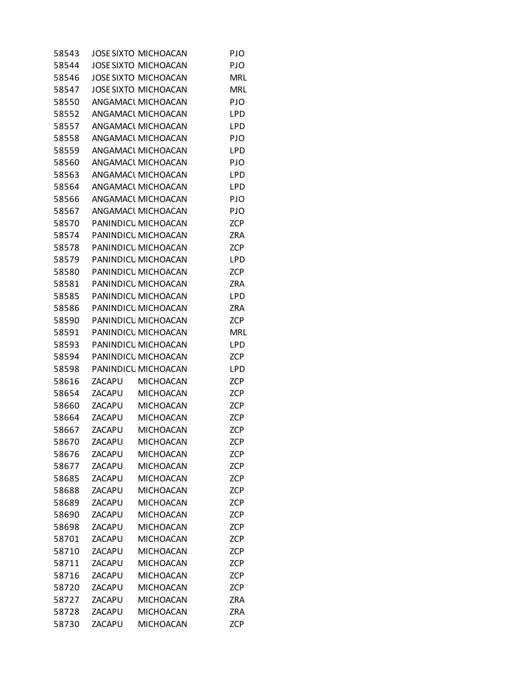| 58543 |        | <b>JOSE SIXTO MICHOACAN</b> | PJO        |
|-------|--------|-----------------------------|------------|
| 58544 |        | <b>JOSE SIXTO MICHOACAN</b> | PJO        |
| 58546 |        | <b>JOSE SIXTO MICHOACAN</b> | <b>MRL</b> |
| 58547 |        | <b>JOSE SIXTO MICHOACAN</b> | <b>MRL</b> |
| 58550 |        | ANGAMACI MICHOACAN          | PJO        |
| 58552 |        | ANGAMACI MICHOACAN          | LPD        |
| 58557 |        | ANGAMACI MICHOACAN          | LPD        |
| 58558 |        | ANGAMACI MICHOACAN          | PJO        |
| 58559 |        | ANGAMACI MICHOACAN          | LPD        |
| 58560 |        | ANGAMACI MICHOACAN          | PJO        |
| 58563 |        | ANGAMACI MICHOACAN          | LPD        |
| 58564 |        | ANGAMACI MICHOACAN          | LPD        |
| 58566 |        | ANGAMACI MICHOACAN          | PJO        |
| 58567 |        | ANGAMACI MICHOACAN          | PJO        |
| 58570 |        | PANINDICL MICHOACAN         | <b>ZCP</b> |
| 58574 |        | PANINDICL MICHOACAN         | ZRA        |
| 58578 |        | PANINDICL MICHOACAN         | <b>ZCP</b> |
| 58579 |        | PANINDICL MICHOACAN         | LPD        |
| 58580 |        | PANINDICL MICHOACAN         | <b>ZCP</b> |
| 58581 |        | PANINDICL MICHOACAN         | <b>ZRA</b> |
| 58585 |        | PANINDICL MICHOACAN         | LPD        |
| 58586 |        | PANINDICL MICHOACAN         | <b>ZRA</b> |
| 58590 |        | PANINDICL MICHOACAN         | <b>ZCP</b> |
| 58591 |        | PANINDICL MICHOACAN         | <b>MRL</b> |
| 58593 |        | PANINDICL MICHOACAN         | LPD        |
| 58594 |        | PANINDICL MICHOACAN         | <b>ZCP</b> |
| 58598 |        | PANINDICL MICHOACAN         | LPD        |
| 58616 | ZACAPU | <b>MICHOACAN</b>            | <b>ZCP</b> |
| 58654 | ZACAPU | <b>MICHOACAN</b>            | <b>ZCP</b> |
| 58660 | ZACAPU | <b>MICHOACAN</b>            | <b>ZCP</b> |
| 58664 | ZACAPU | <b>MICHOACAN</b>            | <b>ZCP</b> |
| 58667 | ZACAPU | <b>MICHOACAN</b>            | <b>ZCP</b> |
| 58670 | ZACAPU | <b>MICHOACAN</b>            | ZCP        |
| 58676 | ZACAPU | <b>MICHOACAN</b>            | <b>ZCP</b> |
| 58677 | ZACAPU | <b>MICHOACAN</b>            | <b>ZCP</b> |
| 58685 | ZACAPU | <b>MICHOACAN</b>            | <b>ZCP</b> |
| 58688 | ZACAPU | <b>MICHOACAN</b>            | ZCP        |
| 58689 | ZACAPU | <b>MICHOACAN</b>            | <b>ZCP</b> |
| 58690 | ZACAPU | <b>MICHOACAN</b>            | <b>ZCP</b> |
| 58698 | ZACAPU | <b>MICHOACAN</b>            | <b>ZCP</b> |
| 58701 | ZACAPU | <b>MICHOACAN</b>            | <b>ZCP</b> |
| 58710 | ZACAPU | <b>MICHOACAN</b>            | <b>ZCP</b> |
| 58711 | ZACAPU | <b>MICHOACAN</b>            | ZCP        |
| 58716 | ZACAPU | <b>MICHOACAN</b>            | <b>ZCP</b> |
| 58720 | ZACAPU | <b>MICHOACAN</b>            | <b>ZCP</b> |
| 58727 | ZACAPU | <b>MICHOACAN</b>            | ZRA        |
| 58728 | ZACAPU | <b>MICHOACAN</b>            | <b>ZRA</b> |
| 58730 | ZACAPU | <b>MICHOACAN</b>            | <b>ZCP</b> |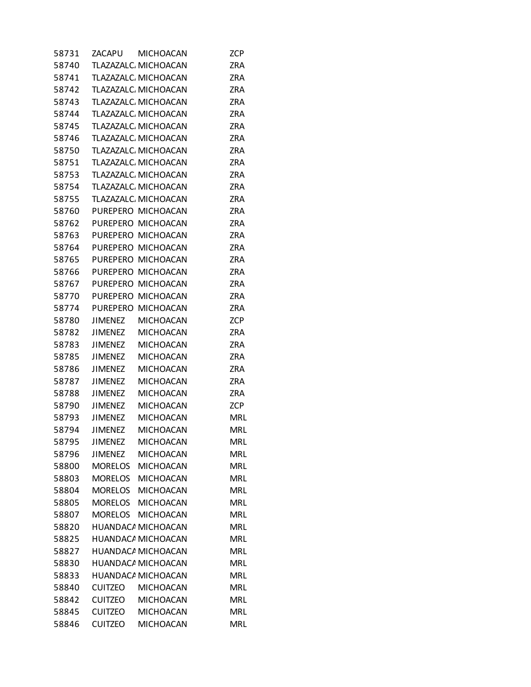| 58731 | ZACAPU         | MICHOACAN                 | ZCP        |
|-------|----------------|---------------------------|------------|
| 58740 |                | TLAZAZALC, MICHOACAN      | <b>ZRA</b> |
| 58741 |                | TLAZAZALC, MICHOACAN      | <b>ZRA</b> |
| 58742 |                | TLAZAZALC, MICHOACAN      | <b>ZRA</b> |
| 58743 |                | TLAZAZALC, MICHOACAN      | ZRA        |
| 58744 |                | TLAZAZALC, MICHOACAN      | <b>ZRA</b> |
| 58745 |                | TLAZAZALC, MICHOACAN      | <b>ZRA</b> |
| 58746 |                | TLAZAZALC, MICHOACAN      | <b>ZRA</b> |
| 58750 |                | TLAZAZALC, MICHOACAN      | <b>ZRA</b> |
| 58751 |                | TLAZAZALC, MICHOACAN      | <b>ZRA</b> |
| 58753 |                | TLAZAZALC, MICHOACAN      | <b>ZRA</b> |
| 58754 |                | TLAZAZALC, MICHOACAN      | <b>ZRA</b> |
| 58755 |                | TLAZAZALC, MICHOACAN      | <b>ZRA</b> |
| 58760 |                | PUREPERO MICHOACAN        | <b>ZRA</b> |
| 58762 |                | PUREPERO MICHOACAN        | <b>ZRA</b> |
| 58763 |                | PUREPERO MICHOACAN        | <b>ZRA</b> |
| 58764 |                | PUREPERO MICHOACAN        | <b>ZRA</b> |
| 58765 |                | PUREPERO MICHOACAN        | <b>ZRA</b> |
| 58766 |                | PUREPERO MICHOACAN        | <b>ZRA</b> |
| 58767 |                | PUREPERO MICHOACAN        | <b>ZRA</b> |
| 58770 |                | PUREPERO MICHOACAN        | <b>ZRA</b> |
| 58774 |                | PUREPERO MICHOACAN        | ZRA        |
| 58780 | <b>JIMENEZ</b> | <b>MICHOACAN</b>          | <b>ZCP</b> |
| 58782 | <b>JIMENEZ</b> | <b>MICHOACAN</b>          | ZRA        |
| 58783 | <b>JIMENEZ</b> | <b>MICHOACAN</b>          | <b>ZRA</b> |
| 58785 | <b>JIMENEZ</b> | <b>MICHOACAN</b>          | <b>ZRA</b> |
| 58786 | <b>JIMENEZ</b> | <b>MICHOACAN</b>          | <b>ZRA</b> |
| 58787 | <b>JIMENEZ</b> | <b>MICHOACAN</b>          | ZRA        |
| 58788 | <b>JIMENEZ</b> | <b>MICHOACAN</b>          | ZRA        |
| 58790 | <b>JIMENEZ</b> | <b>MICHOACAN</b>          | <b>ZCP</b> |
| 58793 | <b>JIMENEZ</b> | <b>MICHOACAN</b>          | <b>MRL</b> |
| 58794 | <b>JIMENEZ</b> | <b>MICHOACAN</b>          | <b>MRL</b> |
| 58795 | <b>JIMENEZ</b> | <b>MICHOACAN</b>          | <b>MRL</b> |
| 58796 | <b>JIMENEZ</b> | <b>MICHOACAN</b>          | <b>MRL</b> |
| 58800 | <b>MORELOS</b> | <b>MICHOACAN</b>          | <b>MRL</b> |
| 58803 | MORELOS        | <b>MICHOACAN</b>          | <b>MRL</b> |
| 58804 |                | MORELOS MICHOACAN         | <b>MRL</b> |
| 58805 | <b>MORELOS</b> | MICHOACAN                 | <b>MRL</b> |
| 58807 | MORELOS        | <b>MICHOACAN</b>          | <b>MRL</b> |
| 58820 |                | HUANDACA MICHOACAN        | <b>MRL</b> |
| 58825 |                | HUANDACA MICHOACAN        | <b>MRL</b> |
| 58827 |                | <b>HUANDACA MICHOACAN</b> | <b>MRL</b> |
| 58830 |                | HUANDACA MICHOACAN        | <b>MRL</b> |
| 58833 |                | HUANDACA MICHOACAN        | <b>MRL</b> |
| 58840 | <b>CUITZEO</b> | <b>MICHOACAN</b>          | <b>MRL</b> |
| 58842 | <b>CUITZEO</b> | <b>MICHOACAN</b>          | <b>MRL</b> |
| 58845 | <b>CUITZEO</b> | MICHOACAN                 | <b>MRL</b> |
| 58846 | <b>CUITZEO</b> | <b>MICHOACAN</b>          | <b>MRL</b> |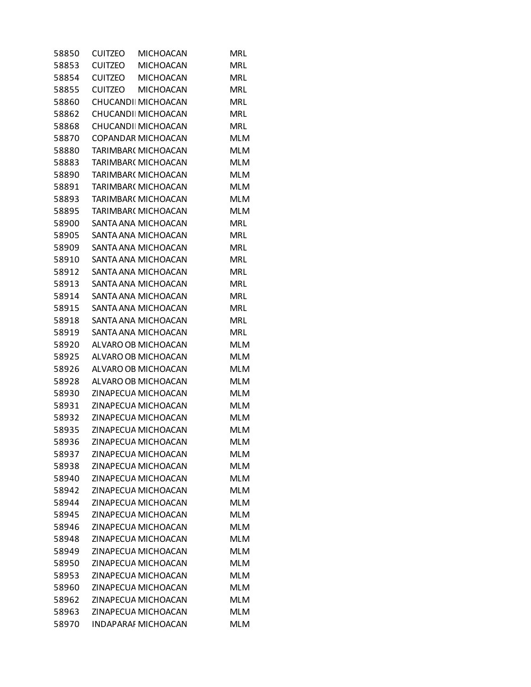| 58850 | <b>CUITZEO</b> | <b>MICHOACAN</b>           | <b>MRL</b> |
|-------|----------------|----------------------------|------------|
| 58853 | <b>CUITZEO</b> | <b>MICHOACAN</b>           | MRL        |
| 58854 |                | CUITZEO MICHOACAN          | <b>MRL</b> |
| 58855 |                | CUITZEO MICHOACAN          | <b>MRL</b> |
| 58860 |                | CHUCANDI MICHOACAN         | <b>MRL</b> |
| 58862 |                | CHUCANDI MICHOACAN         | <b>MRL</b> |
| 58868 |                | CHUCANDI MICHOACAN         | <b>MRL</b> |
| 58870 |                | COPANDAR MICHOACAN         | <b>MLM</b> |
| 58880 |                | TARIMBAR( MICHOACAN        | <b>MLM</b> |
| 58883 |                | TARIMBAR( MICHOACAN        | <b>MLM</b> |
| 58890 |                | TARIMBAR( MICHOACAN        | <b>MLM</b> |
| 58891 |                | TARIMBAR( MICHOACAN        | <b>MLM</b> |
| 58893 |                | TARIMBAR( MICHOACAN        | <b>MLM</b> |
| 58895 |                | TARIMBAR( MICHOACAN        | <b>MLM</b> |
| 58900 |                | SANTA ANA MICHOACAN        | <b>MRL</b> |
| 58905 |                | SANTA ANA MICHOACAN        | <b>MRL</b> |
| 58909 |                | SANTA ANA MICHOACAN        | <b>MRL</b> |
| 58910 |                | SANTA ANA MICHOACAN        | <b>MRL</b> |
| 58912 |                | SANTA ANA MICHOACAN        | <b>MRL</b> |
| 58913 |                | SANTA ANA MICHOACAN        | <b>MRL</b> |
| 58914 |                | SANTA ANA MICHOACAN        | <b>MRL</b> |
| 58915 |                | SANTA ANA MICHOACAN        | <b>MRL</b> |
| 58918 |                | SANTA ANA MICHOACAN        | <b>MRL</b> |
| 58919 |                | SANTA ANA MICHOACAN        | <b>MRL</b> |
| 58920 |                | ALVARO OB MICHOACAN        | <b>MLM</b> |
| 58925 |                | ALVARO OB MICHOACAN        | <b>MLM</b> |
| 58926 |                | ALVARO OB MICHOACAN        | <b>MLM</b> |
| 58928 |                | ALVARO OB MICHOACAN        | <b>MLM</b> |
| 58930 |                | ZINAPECUA MICHOACAN        | <b>MLM</b> |
| 58931 |                | ZINAPECUA MICHOACAN        | <b>MLM</b> |
| 58932 |                | ZINAPECUA MICHOACAN        | <b>MLM</b> |
| 58935 |                | ZINAPECUA MICHOACAN        | <b>MLM</b> |
| 58936 |                | ZINAPECUA MICHOACAN        | <b>MLM</b> |
| 58937 |                | ZINAPECUA MICHOACAN        | <b>MLM</b> |
| 58938 |                | ZINAPECUA MICHOACAN        | <b>MLM</b> |
| 58940 |                | ZINAPECUA MICHOACAN        | <b>MLM</b> |
| 58942 |                | ZINAPECUA MICHOACAN        | <b>MLM</b> |
| 58944 |                | ZINAPECUA MICHOACAN        | <b>MLM</b> |
| 58945 |                | ZINAPECUA MICHOACAN        | <b>MLM</b> |
| 58946 |                | ZINAPECUA MICHOACAN        | <b>MLM</b> |
| 58948 |                | ZINAPECUA MICHOACAN        | <b>MLM</b> |
| 58949 |                | ZINAPECUA MICHOACAN        | <b>MLM</b> |
| 58950 |                | ZINAPECUA MICHOACAN        | <b>MLM</b> |
| 58953 |                | ZINAPECUA MICHOACAN        | <b>MLM</b> |
| 58960 |                | ZINAPECUA MICHOACAN        | <b>MLM</b> |
| 58962 |                | ZINAPECUA MICHOACAN        | <b>MLM</b> |
| 58963 |                | ZINAPECUA MICHOACAN        | <b>MLM</b> |
| 58970 |                | <b>INDAPARAI MICHOACAN</b> | <b>MLM</b> |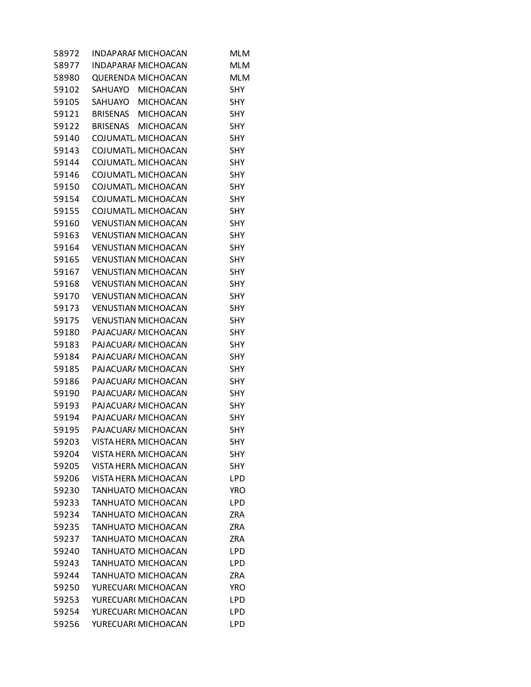| 58972 | <b>INDAPARAI MICHOACAN</b>  | <b>MLM</b> |
|-------|-----------------------------|------------|
| 58977 | <b>INDAPARAF MICHOACAN</b>  | <b>MLM</b> |
| 58980 | <b>QUERENDA MICHOACAN</b>   | <b>MLM</b> |
| 59102 | SAHUAYO MICHOACAN           | <b>SHY</b> |
| 59105 | SAHUAYO MICHOACAN           | SHY        |
| 59121 | BRISENAS MICHOACAN          | SHY        |
| 59122 | BRISENAS MICHOACAN          | SHY        |
| 59140 | COJUMATL MICHOACAN          | SHY        |
| 59143 | COJUMATL, MICHOACAN         | SHY        |
| 59144 | COJUMATL MICHOACAN          | <b>SHY</b> |
| 59146 | COJUMATL MICHOACAN          | SHY        |
| 59150 | COJUMATL MICHOACAN          | SHY        |
| 59154 | COJUMATL, MICHOACAN         | SHY        |
| 59155 | COJUMATL MICHOACAN          | SHY        |
| 59160 | <b>VENUSTIAN MICHOACAN</b>  | SHY        |
| 59163 | <b>VENUSTIAN MICHOACAN</b>  | <b>SHY</b> |
| 59164 | <b>VENUSTIAN MICHOACAN</b>  | SHY        |
| 59165 | <b>VENUSTIAN MICHOACAN</b>  | SHY        |
| 59167 | <b>VENUSTIAN MICHOACAN</b>  | SHY        |
| 59168 | <b>VENUSTIAN MICHOACAN</b>  | SHY        |
| 59170 | <b>VENUSTIAN MICHOACAN</b>  | SHY        |
| 59173 | <b>VENUSTIAN MICHOACAN</b>  | <b>SHY</b> |
| 59175 | <b>VENUSTIAN MICHOACAN</b>  | SHY        |
| 59180 | PAJACUAR/ MICHOACAN         | SHY        |
| 59183 | PAJACUAR/ MICHOACAN         | <b>SHY</b> |
| 59184 | PAJACUAR/ MICHOACAN         | <b>SHY</b> |
| 59185 | PAJACUAR/ MICHOACAN         | SHY        |
| 59186 | PAJACUAR/ MICHOACAN         | SHY        |
| 59190 | PAJACUAR/ MICHOACAN         | SHY        |
| 59193 | PAJACUAR/ MICHOACAN         | <b>SHY</b> |
| 59194 | PAJACUAR/ MICHOACAN         | <b>SHY</b> |
|       | 59195 PAJACUAR/ MICHOACAN   | <b>SHY</b> |
| 59203 | VISTA HERN MICHOACAN        | <b>SHY</b> |
| 59204 | <b>VISTA HERN MICHOACAN</b> | SHY        |
| 59205 | <b>VISTA HERN MICHOACAN</b> | <b>SHY</b> |
| 59206 | VISTA HERN MICHOACAN        | LPD        |
| 59230 | <b>TANHUATO MICHOACAN</b>   | <b>YRO</b> |
| 59233 | <b>TANHUATO MICHOACAN</b>   | LPD        |
| 59234 | <b>TANHUATO MICHOACAN</b>   | ZRA        |
| 59235 | <b>TANHUATO MICHOACAN</b>   | <b>ZRA</b> |
| 59237 | <b>TANHUATO MICHOACAN</b>   | <b>ZRA</b> |
| 59240 | <b>TANHUATO MICHOACAN</b>   | <b>LPD</b> |
| 59243 | <b>TANHUATO MICHOACAN</b>   | <b>LPD</b> |
| 59244 | <b>TANHUATO MICHOACAN</b>   | <b>ZRA</b> |
| 59250 | YURECUARI MICHOACAN         | <b>YRO</b> |
| 59253 | YURECUARI MICHOACAN         | LPD        |
| 59254 | YURECUARI MICHOACAN         | LPD        |
| 59256 | YURECUARI MICHOACAN         | LPD        |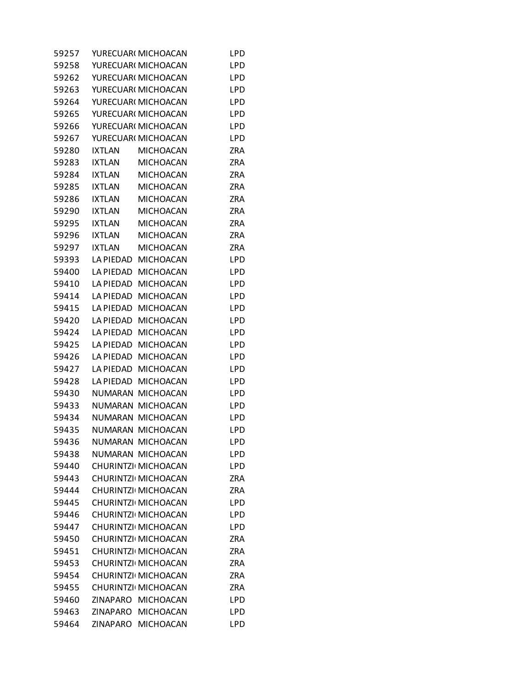| 59257 |                  | YURECUARI MICHOACAN | LPD        |
|-------|------------------|---------------------|------------|
| 59258 |                  | YURECUARI MICHOACAN | LPD        |
| 59262 |                  | YURECUAR( MICHOACAN | LPD        |
| 59263 |                  | YURECUARI MICHOACAN | LPD        |
| 59264 |                  | YURECUARI MICHOACAN | LPD        |
| 59265 |                  | YURECUAR( MICHOACAN | LPD        |
| 59266 |                  | YURECUARI MICHOACAN | LPD        |
| 59267 |                  | YURECUARI MICHOACAN | LPD        |
| 59280 | <b>IXTLAN</b>    | <b>MICHOACAN</b>    | ZRA        |
| 59283 | <b>IXTLAN</b>    | <b>MICHOACAN</b>    | ZRA        |
| 59284 | <b>IXTLAN</b>    | <b>MICHOACAN</b>    | <b>ZRA</b> |
| 59285 | <b>IXTLAN</b>    | <b>MICHOACAN</b>    | ZRA        |
| 59286 | <b>IXTLAN</b>    | <b>MICHOACAN</b>    | ZRA        |
| 59290 | <b>IXTLAN</b>    | <b>MICHOACAN</b>    | ZRA        |
| 59295 | <b>IXTLAN</b>    | <b>MICHOACAN</b>    | ZRA        |
| 59296 | <b>IXTLAN</b>    | <b>MICHOACAN</b>    | ZRA        |
| 59297 | <b>IXTLAN</b>    | <b>MICHOACAN</b>    | <b>ZRA</b> |
| 59393 | LA PIEDAD        | <b>MICHOACAN</b>    | <b>LPD</b> |
| 59400 | LA PIEDAD        | <b>MICHOACAN</b>    | <b>LPD</b> |
| 59410 | <b>LA PIEDAD</b> | <b>MICHOACAN</b>    | LPD        |
| 59414 | LA PIEDAD        | <b>MICHOACAN</b>    | LPD        |
| 59415 | LA PIEDAD        | <b>MICHOACAN</b>    | LPD        |
| 59420 | LA PIEDAD        | <b>MICHOACAN</b>    | LPD        |
| 59424 | LA PIEDAD        | <b>MICHOACAN</b>    | LPD        |
| 59425 | LA PIEDAD        | <b>MICHOACAN</b>    | LPD        |
| 59426 | <b>LA PIEDAD</b> | <b>MICHOACAN</b>    | LPD        |
| 59427 | LA PIEDAD        | <b>MICHOACAN</b>    | LPD        |
| 59428 | LA PIEDAD        | <b>MICHOACAN</b>    | LPD        |
| 59430 | <b>NUMARAN</b>   | <b>MICHOACAN</b>    | LPD        |
| 59433 | NUMARAN          | <b>MICHOACAN</b>    | LPD        |
| 59434 | NUMARAN          | <b>MICHOACAN</b>    | LPD        |
| 59435 | NUMARAN          | <b>MICHOACAN</b>    | LPD        |
| 59436 |                  | NUMARAN MICHOACAN   | LPD        |
| 59438 |                  | NUMARAN MICHOACAN   | LPD        |
| 59440 |                  | CHURINTZI MICHOACAN |            |
| 59443 |                  | CHURINTZI MICHOACAN | LPD<br>ZRA |
| 59444 |                  | CHURINTZI MICHOACAN | <b>ZRA</b> |
| 59445 |                  | CHURINTZI MICHOACAN |            |
| 59446 |                  |                     | LPD        |
|       |                  | CHURINTZI MICHOACAN | LPD        |
| 59447 |                  | CHURINTZI MICHOACAN | LPD        |
| 59450 |                  | CHURINTZI MICHOACAN | <b>ZRA</b> |
| 59451 |                  | CHURINTZI MICHOACAN | <b>ZRA</b> |
| 59453 |                  | CHURINTZI MICHOACAN | <b>ZRA</b> |
| 59454 |                  | CHURINTZI MICHOACAN | <b>ZRA</b> |
| 59455 |                  | CHURINTZI MICHOACAN | <b>ZRA</b> |
| 59460 |                  | ZINAPARO MICHOACAN  | LPD        |
| 59463 | ZINAPARO         | <b>MICHOACAN</b>    | <b>LPD</b> |
| 59464 | ZINAPARO         | <b>MICHOACAN</b>    | LPD        |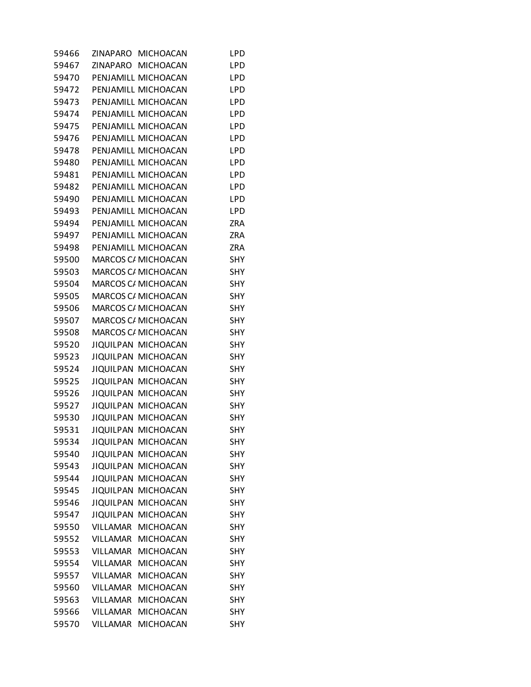| 59466 |                 | ZINAPARO MICHOACAN  | LPD        |  |
|-------|-----------------|---------------------|------------|--|
| 59467 |                 | ZINAPARO MICHOACAN  | <b>LPD</b> |  |
| 59470 |                 | PENJAMILL MICHOACAN | <b>LPD</b> |  |
| 59472 |                 | PENJAMILL MICHOACAN | <b>LPD</b> |  |
| 59473 |                 | PENJAMILL MICHOACAN | <b>LPD</b> |  |
| 59474 |                 | PENJAMILL MICHOACAN | <b>LPD</b> |  |
| 59475 |                 | PENJAMILL MICHOACAN | <b>LPD</b> |  |
| 59476 |                 | PENJAMILL MICHOACAN | <b>LPD</b> |  |
| 59478 |                 | PENJAMILL MICHOACAN | <b>LPD</b> |  |
| 59480 |                 | PENJAMILL MICHOACAN | <b>LPD</b> |  |
| 59481 |                 | PENJAMILL MICHOACAN | <b>LPD</b> |  |
| 59482 |                 | PENJAMILL MICHOACAN | <b>LPD</b> |  |
| 59490 |                 | PENJAMILL MICHOACAN | <b>LPD</b> |  |
| 59493 |                 | PENJAMILL MICHOACAN | <b>LPD</b> |  |
| 59494 |                 | PENJAMILL MICHOACAN | <b>ZRA</b> |  |
| 59497 |                 | PENJAMILL MICHOACAN | ZRA        |  |
| 59498 |                 | PENJAMILL MICHOACAN | ZRA        |  |
| 59500 |                 | MARCOS C/ MICHOACAN | <b>SHY</b> |  |
| 59503 |                 | MARCOS C/ MICHOACAN | <b>SHY</b> |  |
| 59504 |                 | MARCOS C/ MICHOACAN | <b>SHY</b> |  |
| 59505 |                 | MARCOS C/ MICHOACAN | <b>SHY</b> |  |
| 59506 |                 | MARCOS C/ MICHOACAN | <b>SHY</b> |  |
| 59507 |                 | MARCOS C/ MICHOACAN | <b>SHY</b> |  |
| 59508 |                 | MARCOS C/ MICHOACAN | <b>SHY</b> |  |
| 59520 |                 | JIQUILPAN MICHOACAN | <b>SHY</b> |  |
| 59523 |                 | JIQUILPAN MICHOACAN | <b>SHY</b> |  |
| 59524 |                 | JIQUILPAN MICHOACAN | <b>SHY</b> |  |
| 59525 |                 | JIQUILPAN MICHOACAN | <b>SHY</b> |  |
| 59526 |                 | JIQUILPAN MICHOACAN | <b>SHY</b> |  |
| 59527 |                 | JIQUILPAN MICHOACAN | <b>SHY</b> |  |
| 59530 |                 | JIQUILPAN MICHOACAN | <b>SHY</b> |  |
| 59531 |                 | JIQUILPAN MICHOACAN | SHY        |  |
| 59534 |                 | JIQUILPAN MICHOACAN | SHY        |  |
| 59540 |                 | JIQUILPAN MICHOACAN | <b>SHY</b> |  |
| 59543 |                 | JIQUILPAN MICHOACAN | SHY        |  |
| 59544 |                 | JIQUILPAN MICHOACAN | <b>SHY</b> |  |
| 59545 |                 | JIQUILPAN MICHOACAN | <b>SHY</b> |  |
| 59546 |                 | JIQUILPAN MICHOACAN | SHY        |  |
| 59547 |                 | JIQUILPAN MICHOACAN | SHY        |  |
| 59550 |                 | VILLAMAR MICHOACAN  | <b>SHY</b> |  |
| 59552 |                 | VILLAMAR MICHOACAN  | SHY        |  |
| 59553 | VILLAMAR        | <b>MICHOACAN</b>    | SHY        |  |
| 59554 |                 | VILLAMAR MICHOACAN  | <b>SHY</b> |  |
| 59557 | VILLAMAR        | <b>MICHOACAN</b>    | SHY        |  |
| 59560 | <b>VILLAMAR</b> | <b>MICHOACAN</b>    | <b>SHY</b> |  |
| 59563 | <b>VILLAMAR</b> | <b>MICHOACAN</b>    | <b>SHY</b> |  |
| 59566 | VILLAMAR        | <b>MICHOACAN</b>    | <b>SHY</b> |  |
| 59570 | VILLAMAR        | <b>MICHOACAN</b>    | <b>SHY</b> |  |
|       |                 |                     |            |  |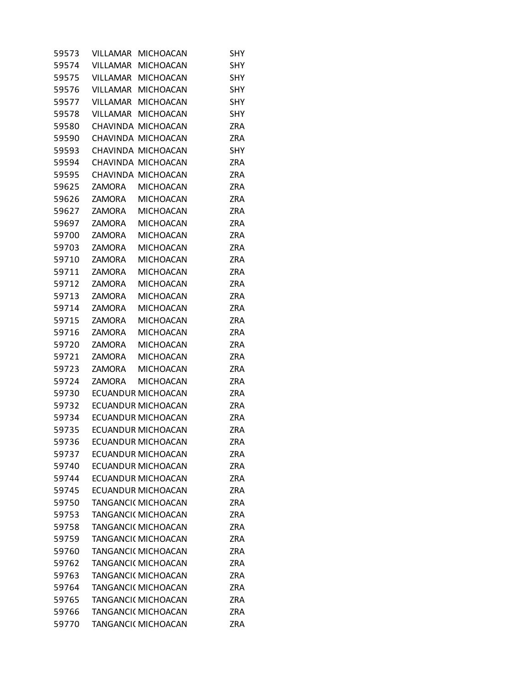| 59573 | VILLAMAR        | <b>MICHOACAN</b>           | SHY        |
|-------|-----------------|----------------------------|------------|
| 59574 | <b>VILLAMAR</b> | <b>MICHOACAN</b>           | SHY        |
| 59575 | VILLAMAR        | <b>MICHOACAN</b>           | SHY        |
| 59576 | VILLAMAR        | <b>MICHOACAN</b>           | <b>SHY</b> |
| 59577 | <b>VILLAMAR</b> | <b>MICHOACAN</b>           | SHY        |
| 59578 | VILLAMAR        | <b>MICHOACAN</b>           | <b>SHY</b> |
| 59580 |                 | CHAVINDA MICHOACAN         | ZRA        |
| 59590 |                 | CHAVINDA MICHOACAN         | <b>ZRA</b> |
| 59593 |                 | CHAVINDA MICHOACAN         | <b>SHY</b> |
| 59594 |                 | CHAVINDA MICHOACAN         | <b>ZRA</b> |
| 59595 |                 | CHAVINDA MICHOACAN         | <b>ZRA</b> |
| 59625 | ZAMORA          | <b>MICHOACAN</b>           | <b>ZRA</b> |
| 59626 | ZAMORA          | <b>MICHOACAN</b>           | ZRA        |
| 59627 | <b>ZAMORA</b>   | <b>MICHOACAN</b>           | <b>ZRA</b> |
| 59697 | ZAMORA          | <b>MICHOACAN</b>           | <b>ZRA</b> |
| 59700 | ZAMORA          | <b>MICHOACAN</b>           | <b>ZRA</b> |
| 59703 | <b>ZAMORA</b>   | <b>MICHOACAN</b>           | <b>ZRA</b> |
| 59710 | <b>ZAMORA</b>   | <b>MICHOACAN</b>           | <b>ZRA</b> |
| 59711 | <b>ZAMORA</b>   | <b>MICHOACAN</b>           | <b>ZRA</b> |
| 59712 | <b>ZAMORA</b>   | <b>MICHOACAN</b>           | <b>ZRA</b> |
| 59713 | <b>ZAMORA</b>   | <b>MICHOACAN</b>           | <b>ZRA</b> |
| 59714 | ZAMORA          | <b>MICHOACAN</b>           | <b>ZRA</b> |
| 59715 | <b>ZAMORA</b>   | <b>MICHOACAN</b>           | <b>ZRA</b> |
| 59716 | <b>ZAMORA</b>   | <b>MICHOACAN</b>           | ZRA        |
| 59720 | <b>ZAMORA</b>   | <b>MICHOACAN</b>           | <b>ZRA</b> |
| 59721 | <b>ZAMORA</b>   | <b>MICHOACAN</b>           | <b>ZRA</b> |
| 59723 | <b>ZAMORA</b>   | <b>MICHOACAN</b>           | <b>ZRA</b> |
| 59724 | <b>ZAMORA</b>   | <b>MICHOACAN</b>           | <b>ZRA</b> |
| 59730 |                 | ECUANDUR MICHOACAN         | <b>ZRA</b> |
| 59732 |                 | ECUANDUR MICHOACAN         | ZRA        |
| 59734 |                 | ECUANDUR MICHOACAN         | ZRA        |
| 59735 |                 | ECUANDUR MICHOACAN         | ZRA        |
| 59736 |                 | <b>ECUANDUR MICHOACAN</b>  | ZRA        |
| 59737 |                 | ECUANDUR MICHOACAN         | <b>ZRA</b> |
| 59740 |                 | ECUANDUR MICHOACAN         | <b>ZRA</b> |
| 59744 |                 | ECUANDUR MICHOACAN         | <b>ZRA</b> |
| 59745 |                 | <b>ECUANDUR MICHOACAN</b>  | <b>ZRA</b> |
| 59750 |                 | <b>TANGANCI( MICHOACAN</b> | <b>ZRA</b> |
| 59753 |                 | <b>TANGANCI( MICHOACAN</b> | ZRA        |
| 59758 |                 | <b>TANGANCI( MICHOACAN</b> | <b>ZRA</b> |
| 59759 |                 | <b>TANGANCI( MICHOACAN</b> | <b>ZRA</b> |
| 59760 |                 | <b>TANGANCI( MICHOACAN</b> | <b>ZRA</b> |
| 59762 |                 | <b>TANGANCI( MICHOACAN</b> | <b>ZRA</b> |
| 59763 |                 | <b>TANGANCI( MICHOACAN</b> | <b>ZRA</b> |
| 59764 |                 | <b>TANGANCI( MICHOACAN</b> | ZRA        |
| 59765 |                 | <b>TANGANCI( MICHOACAN</b> | ZRA        |
| 59766 |                 | <b>TANGANCI( MICHOACAN</b> | ZRA        |
| 59770 |                 | TANGANCI( MICHOACAN        | <b>ZRA</b> |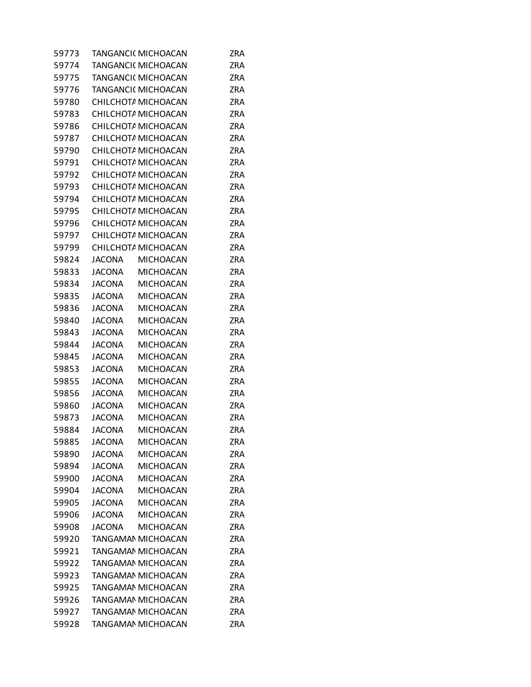| 59773 |               | TANGANCI( MICHOACAN | <b>ZRA</b> |
|-------|---------------|---------------------|------------|
| 59774 |               | TANGANCI( MICHOACAN | ZRA        |
| 59775 |               | TANGANCI( MICHOACAN | <b>ZRA</b> |
| 59776 |               | TANGANCI( MICHOACAN | <b>ZRA</b> |
| 59780 |               | CHILCHOTA MICHOACAN | <b>ZRA</b> |
| 59783 |               | CHILCHOTA MICHOACAN | <b>ZRA</b> |
| 59786 |               | CHILCHOTA MICHOACAN | <b>ZRA</b> |
| 59787 |               | CHILCHOTA MICHOACAN | <b>ZRA</b> |
| 59790 |               | CHILCHOTA MICHOACAN | <b>ZRA</b> |
| 59791 |               | CHILCHOTA MICHOACAN | <b>ZRA</b> |
| 59792 |               | CHILCHOTA MICHOACAN | <b>ZRA</b> |
| 59793 |               | CHILCHOTA MICHOACAN | <b>ZRA</b> |
| 59794 |               | CHILCHOTA MICHOACAN | <b>ZRA</b> |
| 59795 |               | CHILCHOTA MICHOACAN | ZRA        |
| 59796 |               | CHILCHOTA MICHOACAN | <b>ZRA</b> |
| 59797 |               | CHILCHOTA MICHOACAN | <b>ZRA</b> |
| 59799 |               | CHILCHOTA MICHOACAN | <b>ZRA</b> |
| 59824 | <b>JACONA</b> | <b>MICHOACAN</b>    | <b>ZRA</b> |
| 59833 | <b>JACONA</b> | <b>MICHOACAN</b>    | <b>ZRA</b> |
| 59834 | <b>JACONA</b> | <b>MICHOACAN</b>    | <b>ZRA</b> |
| 59835 | <b>JACONA</b> | <b>MICHOACAN</b>    | <b>ZRA</b> |
| 59836 | <b>JACONA</b> | <b>MICHOACAN</b>    | <b>ZRA</b> |
| 59840 | <b>JACONA</b> | <b>MICHOACAN</b>    | <b>ZRA</b> |
| 59843 | <b>JACONA</b> | <b>MICHOACAN</b>    | <b>ZRA</b> |
| 59844 | <b>JACONA</b> | <b>MICHOACAN</b>    | <b>ZRA</b> |
| 59845 | <b>JACONA</b> | <b>MICHOACAN</b>    | ZRA        |
| 59853 | <b>JACONA</b> | <b>MICHOACAN</b>    | <b>ZRA</b> |
| 59855 | <b>JACONA</b> | <b>MICHOACAN</b>    | <b>ZRA</b> |
| 59856 | <b>JACONA</b> | <b>MICHOACAN</b>    | <b>ZRA</b> |
| 59860 | <b>JACONA</b> | <b>MICHOACAN</b>    | <b>ZRA</b> |
| 59873 | <b>JACONA</b> | <b>MICHOACAN</b>    | <b>ZRA</b> |
| 59884 | <b>JACONA</b> | <b>MICHOACAN</b>    | ZRA        |
| 59885 | <b>JACONA</b> | <b>MICHOACAN</b>    | ZRA        |
| 59890 | <b>JACONA</b> | <b>MICHOACAN</b>    | ZRA        |
| 59894 | <b>JACONA</b> | <b>MICHOACAN</b>    | ZRA        |
| 59900 | <b>JACONA</b> | <b>MICHOACAN</b>    | <b>ZRA</b> |
| 59904 | <b>JACONA</b> | <b>MICHOACAN</b>    | ZRA        |
| 59905 | <b>JACONA</b> | MICHOACAN           | ZRA        |
| 59906 | <b>JACONA</b> | <b>MICHOACAN</b>    | <b>ZRA</b> |
| 59908 | <b>JACONA</b> | <b>MICHOACAN</b>    | <b>ZRA</b> |
| 59920 |               | TANGAMAN MICHOACAN  | ZRA        |
| 59921 |               | TANGAMAN MICHOACAN  | <b>ZRA</b> |
| 59922 |               | TANGAMAN MICHOACAN  | ZRA        |
| 59923 |               | TANGAMAN MICHOACAN  | ZRA        |
| 59925 |               | TANGAMAN MICHOACAN  | <b>ZRA</b> |
| 59926 |               | TANGAMAN MICHOACAN  | <b>ZRA</b> |
| 59927 |               | TANGAMAN MICHOACAN  | <b>ZRA</b> |
| 59928 |               | TANGAMAN MICHOACAN  | ZRA        |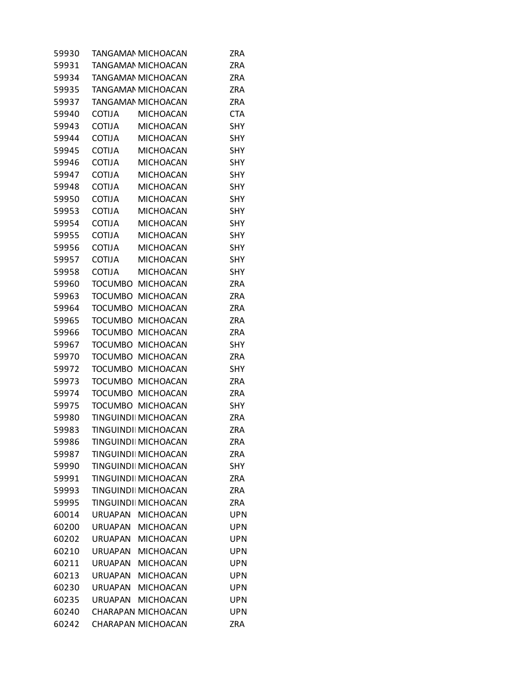| 59930 |                | TANGAMAN MICHOACAN         | <b>ZRA</b> |
|-------|----------------|----------------------------|------------|
| 59931 |                | <b>TANGAMAN MICHOACAN</b>  | <b>ZRA</b> |
| 59934 |                | TANGAMAN MICHOACAN         | ZRA        |
| 59935 |                | TANGAMAN MICHOACAN         | <b>ZRA</b> |
| 59937 |                | TANGAMAN MICHOACAN         | <b>ZRA</b> |
| 59940 | <b>COTIJA</b>  | <b>MICHOACAN</b>           | <b>CTA</b> |
| 59943 | <b>COTIJA</b>  | <b>MICHOACAN</b>           | SHY        |
| 59944 | <b>COTIJA</b>  | <b>MICHOACAN</b>           | <b>SHY</b> |
| 59945 | COTIJA         | <b>MICHOACAN</b>           | <b>SHY</b> |
| 59946 | COTIJA         | <b>MICHOACAN</b>           | <b>SHY</b> |
| 59947 | <b>COTIJA</b>  | <b>MICHOACAN</b>           | SHY        |
| 59948 | <b>COTIJA</b>  | <b>MICHOACAN</b>           | SHY        |
| 59950 | <b>COTIJA</b>  | <b>MICHOACAN</b>           | SHY        |
| 59953 | <b>COTIJA</b>  | <b>MICHOACAN</b>           | <b>SHY</b> |
| 59954 | COTIJA         | <b>MICHOACAN</b>           | <b>SHY</b> |
| 59955 | <b>COTIJA</b>  | <b>MICHOACAN</b>           | <b>SHY</b> |
| 59956 | <b>COTIJA</b>  | <b>MICHOACAN</b>           | SHY        |
| 59957 | <b>COTIJA</b>  | <b>MICHOACAN</b>           | SHY        |
| 59958 | <b>COTIJA</b>  | <b>MICHOACAN</b>           | <b>SHY</b> |
| 59960 | <b>TOCUMBO</b> | <b>MICHOACAN</b>           | <b>ZRA</b> |
| 59963 | <b>TOCUMBO</b> | <b>MICHOACAN</b>           | <b>ZRA</b> |
| 59964 | <b>TOCUMBO</b> | <b>MICHOACAN</b>           | <b>ZRA</b> |
| 59965 | <b>TOCUMBO</b> | <b>MICHOACAN</b>           | <b>ZRA</b> |
| 59966 | TOCUMBO        | <b>MICHOACAN</b>           | ZRA        |
| 59967 | <b>TOCUMBO</b> | <b>MICHOACAN</b>           | <b>SHY</b> |
| 59970 | <b>TOCUMBO</b> | <b>MICHOACAN</b>           | <b>ZRA</b> |
| 59972 | <b>TOCUMBO</b> | <b>MICHOACAN</b>           | <b>SHY</b> |
| 59973 |                | TOCUMBO MICHOACAN          | ZRA        |
| 59974 | <b>TOCUMBO</b> | <b>MICHOACAN</b>           | <b>ZRA</b> |
| 59975 | <b>TOCUMBO</b> | <b>MICHOACAN</b>           | SHY        |
| 59980 |                | TINGUINDI MICHOACAN        | ZRA        |
| 59983 |                | TINGUINDI MICHOACAN        | ZRA        |
| 59986 |                | TINGUINDI MICHOACAN        | ZRA        |
| 59987 |                | TINGUINDI MICHOACAN        | ZRA        |
| 59990 |                | TINGUINDI MICHOACAN        | SHY        |
| 59991 |                | TINGUINDI MICHOACAN        | <b>ZRA</b> |
| 59993 |                | <b>TINGUINDI MICHOACAN</b> | ZRA        |
| 59995 |                | TINGUINDI MICHOACAN        | <b>ZRA</b> |
| 60014 | URUAPAN        | <b>MICHOACAN</b>           | <b>UPN</b> |
| 60200 | URUAPAN        | <b>MICHOACAN</b>           | <b>UPN</b> |
| 60202 | <b>URUAPAN</b> | <b>MICHOACAN</b>           | <b>UPN</b> |
| 60210 | <b>URUAPAN</b> | <b>MICHOACAN</b>           | <b>UPN</b> |
| 60211 | <b>URUAPAN</b> | <b>MICHOACAN</b>           | UPN        |
| 60213 | <b>URUAPAN</b> | <b>MICHOACAN</b>           | <b>UPN</b> |
| 60230 | <b>URUAPAN</b> | <b>MICHOACAN</b>           | <b>UPN</b> |
| 60235 | <b>URUAPAN</b> | <b>MICHOACAN</b>           | UPN        |
| 60240 |                | CHARAPAN MICHOACAN         | <b>UPN</b> |
| 60242 |                | CHARAPAN MICHOACAN         | ZRA        |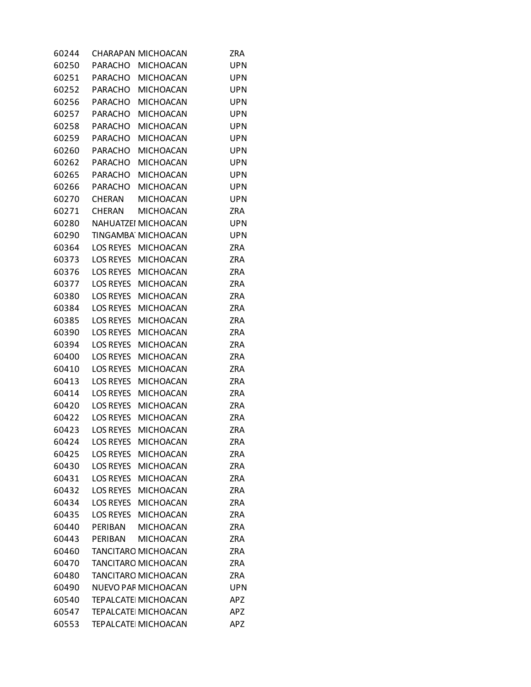| 60244 |                  | CHARAPAN MICHOACAN         | <b>ZRA</b> |
|-------|------------------|----------------------------|------------|
| 60250 | PARACHO          | <b>MICHOACAN</b>           | <b>UPN</b> |
| 60251 | <b>PARACHO</b>   | <b>MICHOACAN</b>           | <b>UPN</b> |
| 60252 | PARACHO          | <b>MICHOACAN</b>           | <b>UPN</b> |
| 60256 | <b>PARACHO</b>   | <b>MICHOACAN</b>           | <b>UPN</b> |
| 60257 | <b>PARACHO</b>   | MICHOACAN                  | <b>UPN</b> |
| 60258 | <b>PARACHO</b>   | <b>MICHOACAN</b>           | <b>UPN</b> |
| 60259 | <b>PARACHO</b>   | <b>MICHOACAN</b>           | <b>UPN</b> |
| 60260 | <b>PARACHO</b>   | <b>MICHOACAN</b>           | <b>UPN</b> |
| 60262 | PARACHO          | <b>MICHOACAN</b>           | <b>UPN</b> |
| 60265 | <b>PARACHO</b>   | <b>MICHOACAN</b>           | <b>UPN</b> |
| 60266 | <b>PARACHO</b>   | <b>MICHOACAN</b>           | <b>UPN</b> |
| 60270 | <b>CHERAN</b>    | <b>MICHOACAN</b>           | <b>UPN</b> |
| 60271 | <b>CHERAN</b>    | <b>MICHOACAN</b>           | <b>ZRA</b> |
| 60280 |                  | NAHUATZEI MICHOACAN        | <b>UPN</b> |
| 60290 |                  | TINGAMBA MICHOACAN         | <b>UPN</b> |
| 60364 | <b>LOS REYES</b> | <b>MICHOACAN</b>           | <b>ZRA</b> |
| 60373 | <b>LOS REYES</b> | <b>MICHOACAN</b>           | <b>ZRA</b> |
| 60376 | <b>LOS REYES</b> | <b>MICHOACAN</b>           | <b>ZRA</b> |
| 60377 | <b>LOS REYES</b> | <b>MICHOACAN</b>           | <b>ZRA</b> |
| 60380 | <b>LOS REYES</b> | <b>MICHOACAN</b>           | <b>ZRA</b> |
| 60384 | <b>LOS REYES</b> | <b>MICHOACAN</b>           | <b>ZRA</b> |
| 60385 | <b>LOS REYES</b> | <b>MICHOACAN</b>           | <b>ZRA</b> |
| 60390 | <b>LOS REYES</b> | MICHOACAN                  | <b>ZRA</b> |
| 60394 | <b>LOS REYES</b> | <b>MICHOACAN</b>           | <b>ZRA</b> |
| 60400 | <b>LOS REYES</b> | <b>MICHOACAN</b>           | <b>ZRA</b> |
| 60410 | <b>LOS REYES</b> | <b>MICHOACAN</b>           | <b>ZRA</b> |
| 60413 | <b>LOS REYES</b> | <b>MICHOACAN</b>           | <b>ZRA</b> |
| 60414 | <b>LOS REYES</b> | <b>MICHOACAN</b>           | <b>ZRA</b> |
| 60420 | LOS REYES        | <b>MICHOACAN</b>           | ZRA        |
| 60422 | <b>LOS REYES</b> | MICHOACAN                  | <b>ZRA</b> |
| 60423 | <b>LOS REYES</b> | <b>MICHOACAN</b>           | <b>ZRA</b> |
| 60424 | <b>LOS REYES</b> | <b>MICHOACAN</b>           | ZRA        |
| 60425 | <b>LOS REYES</b> | <b>MICHOACAN</b>           | <b>ZRA</b> |
| 60430 | <b>LOS REYES</b> | <b>MICHOACAN</b>           | <b>ZRA</b> |
| 60431 | LOS REYES        | <b>MICHOACAN</b>           | <b>ZRA</b> |
| 60432 | <b>LOS REYES</b> | <b>MICHOACAN</b>           | ZRA        |
| 60434 | <b>LOS REYES</b> | <b>MICHOACAN</b>           | <b>ZRA</b> |
| 60435 | <b>LOS REYES</b> | <b>MICHOACAN</b>           | <b>ZRA</b> |
| 60440 | PERIBAN          | <b>MICHOACAN</b>           | ZRA        |
| 60443 | PERIBAN          | <b>MICHOACAN</b>           | <b>ZRA</b> |
| 60460 |                  | TANCITARO MICHOACAN        | <b>ZRA</b> |
| 60470 |                  | TANCITARO MICHOACAN        | ZRA        |
| 60480 |                  | TANCITARO MICHOACAN        | <b>ZRA</b> |
| 60490 |                  | <b>NUEVO PAF MICHOACAN</b> | <b>UPN</b> |
| 60540 |                  | <b>TEPALCATE MICHOACAN</b> | APZ        |
| 60547 |                  | <b>TEPALCATE MICHOACAN</b> | <b>APZ</b> |
| 60553 |                  | TEPALCATE MICHOACAN        | <b>APZ</b> |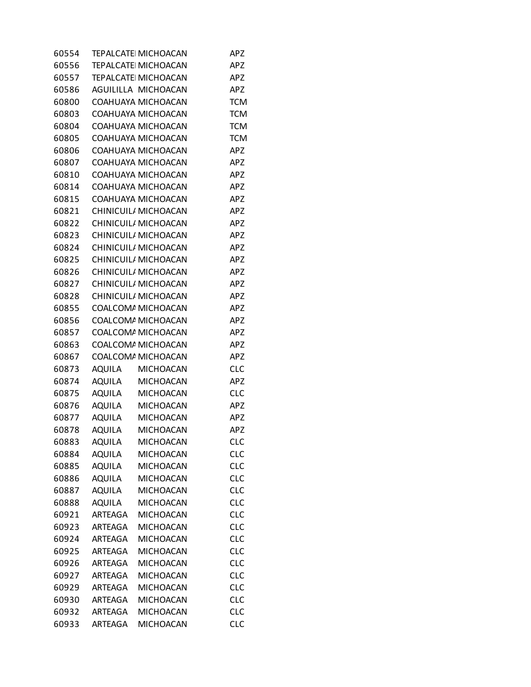| 60554 |                | <b>TEPALCATE MICHOACAN</b> | <b>APZ</b> |
|-------|----------------|----------------------------|------------|
| 60556 |                | <b>TEPALCATE MICHOACAN</b> | <b>APZ</b> |
| 60557 |                | <b>TEPALCATE MICHOACAN</b> | <b>APZ</b> |
| 60586 |                | AGUILILLA MICHOACAN        | <b>APZ</b> |
| 60800 |                | COAHUAYA MICHOACAN         | <b>TCM</b> |
| 60803 |                | COAHUAYA MICHOACAN         | <b>TCM</b> |
| 60804 |                | COAHUAYA MICHOACAN         | <b>TCM</b> |
| 60805 |                | COAHUAYA MICHOACAN         | <b>TCM</b> |
| 60806 |                | COAHUAYA MICHOACAN         | <b>APZ</b> |
| 60807 |                | COAHUAYA MICHOACAN         | <b>APZ</b> |
| 60810 |                | COAHUAYA MICHOACAN         | <b>APZ</b> |
| 60814 |                | COAHUAYA MICHOACAN         | <b>APZ</b> |
| 60815 |                | COAHUAYA MICHOACAN         | <b>APZ</b> |
| 60821 |                | CHINICUIL/ MICHOACAN       | <b>APZ</b> |
| 60822 |                | CHINICUIL/ MICHOACAN       | <b>APZ</b> |
| 60823 |                | CHINICUIL/ MICHOACAN       | <b>APZ</b> |
| 60824 |                | CHINICUIL/ MICHOACAN       | <b>APZ</b> |
| 60825 |                | CHINICUIL/ MICHOACAN       | <b>APZ</b> |
| 60826 |                | CHINICUIL/ MICHOACAN       | <b>APZ</b> |
| 60827 |                | CHINICUIL/ MICHOACAN       | <b>APZ</b> |
| 60828 |                | CHINICUIL/ MICHOACAN       | <b>APZ</b> |
| 60855 |                | COALCOMA MICHOACAN         | <b>APZ</b> |
| 60856 |                | COALCOMA MICHOACAN         | <b>APZ</b> |
| 60857 |                | COALCOMA MICHOACAN         | <b>APZ</b> |
| 60863 |                | COALCOMA MICHOACAN         | <b>APZ</b> |
| 60867 |                | COALCOMA MICHOACAN         | <b>APZ</b> |
| 60873 | AQUILA         | <b>MICHOACAN</b>           | <b>CLC</b> |
| 60874 | AQUILA         | <b>MICHOACAN</b>           | <b>APZ</b> |
| 60875 | AQUILA         | <b>MICHOACAN</b>           | <b>CLC</b> |
| 60876 | aquila         | <b>MICHOACAN</b>           | <b>APZ</b> |
| 60877 | AQUILA         | <b>MICHOACAN</b>           | <b>APZ</b> |
| 60878 | AQUILA         | <b>MICHOACAN</b>           | <b>APZ</b> |
| 60883 | <b>AQUILA</b>  | <b>MICHOACAN</b>           | <b>CLC</b> |
| 60884 | <b>AQUILA</b>  | <b>MICHOACAN</b>           | <b>CLC</b> |
| 60885 | <b>AQUILA</b>  | MICHOACAN                  | <b>CLC</b> |
| 60886 | <b>AQUILA</b>  | <b>MICHOACAN</b>           | <b>CLC</b> |
| 60887 | <b>AQUILA</b>  | <b>MICHOACAN</b>           | <b>CLC</b> |
| 60888 | <b>AQUILA</b>  | <b>MICHOACAN</b>           | <b>CLC</b> |
| 60921 | ARTEAGA        | <b>MICHOACAN</b>           | <b>CLC</b> |
| 60923 | ARTEAGA        | <b>MICHOACAN</b>           | <b>CLC</b> |
| 60924 | ARTEAGA        | <b>MICHOACAN</b>           | <b>CLC</b> |
| 60925 | <b>ARTEAGA</b> | <b>MICHOACAN</b>           | <b>CLC</b> |
| 60926 | ARTEAGA        | <b>MICHOACAN</b>           | <b>CLC</b> |
| 60927 | <b>ARTEAGA</b> | <b>MICHOACAN</b>           | <b>CLC</b> |
| 60929 | ARTEAGA        | <b>MICHOACAN</b>           | <b>CLC</b> |
| 60930 | ARTEAGA        | <b>MICHOACAN</b>           | <b>CLC</b> |
| 60932 | ARTEAGA        | <b>MICHOACAN</b>           | <b>CLC</b> |
| 60933 | ARTEAGA        | <b>MICHOACAN</b>           | <b>CLC</b> |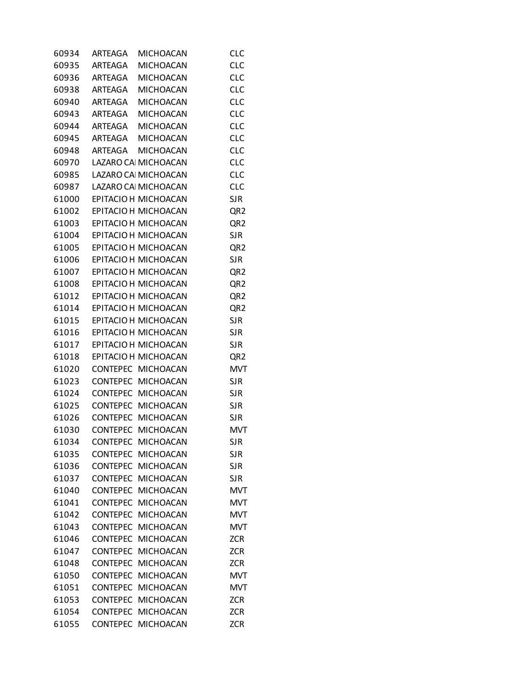| 60934 | ARTEAGA         | <b>MICHOACAN</b>           | <b>CLC</b>      |
|-------|-----------------|----------------------------|-----------------|
| 60935 | ARTEAGA         | <b>MICHOACAN</b>           | <b>CLC</b>      |
| 60936 | ARTEAGA         | <b>MICHOACAN</b>           | <b>CLC</b>      |
| 60938 | ARTEAGA         | <b>MICHOACAN</b>           | <b>CLC</b>      |
| 60940 | ARTEAGA         | <b>MICHOACAN</b>           | <b>CLC</b>      |
| 60943 | ARTEAGA         | <b>MICHOACAN</b>           | <b>CLC</b>      |
| 60944 | ARTEAGA         | <b>MICHOACAN</b>           | <b>CLC</b>      |
| 60945 | ARTEAGA         | <b>MICHOACAN</b>           | <b>CLC</b>      |
| 60948 | ARTEAGA         | <b>MICHOACAN</b>           | <b>CLC</b>      |
| 60970 |                 | LAZARO CAI MICHOACAN       | <b>CLC</b>      |
| 60985 |                 | LAZARO CAI MICHOACAN       | <b>CLC</b>      |
| 60987 |                 | LAZARO CAI MICHOACAN       | <b>CLC</b>      |
| 61000 |                 | EPITACIO H MICHOACAN       | <b>SJR</b>      |
| 61002 |                 | EPITACIO H MICHOACAN       | QR <sub>2</sub> |
| 61003 |                 | EPITACIO H MICHOACAN       | QR <sub>2</sub> |
| 61004 |                 | EPITACIO H MICHOACAN       | <b>SJR</b>      |
| 61005 |                 | EPITACIO H MICHOACAN       | QR <sub>2</sub> |
| 61006 |                 | EPITACIO H MICHOACAN       | <b>SJR</b>      |
| 61007 |                 | EPITACIO H MICHOACAN       | QR2             |
| 61008 |                 | EPITACIO H MICHOACAN       | QR <sub>2</sub> |
|       |                 | 61012 EPITACIO H MICHOACAN | QR <sub>2</sub> |
| 61014 |                 | EPITACIO H MICHOACAN       | QR <sub>2</sub> |
| 61015 |                 | EPITACIO H MICHOACAN       | <b>SJR</b>      |
| 61016 |                 | EPITACIO H MICHOACAN       | <b>SJR</b>      |
| 61017 |                 | EPITACIO H MICHOACAN       | <b>SJR</b>      |
| 61018 |                 | EPITACIO H MICHOACAN       | QR <sub>2</sub> |
| 61020 |                 | CONTEPEC MICHOACAN         | <b>MVT</b>      |
| 61023 |                 | CONTEPEC MICHOACAN         | <b>SJR</b>      |
| 61024 |                 | CONTEPEC MICHOACAN         | <b>SJR</b>      |
| 61025 | CONTEPEC        | <b>MICHOACAN</b>           | <b>SJR</b>      |
| 61026 |                 | CONTEPEC MICHOACAN         | <b>SJR</b>      |
| 61030 |                 | CONTEPEC MICHOACAN         | <b>MVT</b>      |
| 61034 |                 | CONTEPEC MICHOACAN         | <b>SJR</b>      |
| 61035 | <b>CONTEPEC</b> | <b>MICHOACAN</b>           | <b>SJR</b>      |
| 61036 | <b>CONTEPEC</b> | <b>MICHOACAN</b>           | <b>SJR</b>      |
| 61037 | <b>CONTEPEC</b> | <b>MICHOACAN</b>           | <b>SJR</b>      |
| 61040 | <b>CONTEPEC</b> | MICHOACAN                  | <b>MVT</b>      |
| 61041 | <b>CONTEPEC</b> | <b>MICHOACAN</b>           | <b>MVT</b>      |
| 61042 | <b>CONTEPEC</b> | <b>MICHOACAN</b>           | <b>MVT</b>      |
| 61043 | <b>CONTEPEC</b> | <b>MICHOACAN</b>           | <b>MVT</b>      |
| 61046 | <b>CONTEPEC</b> | <b>MICHOACAN</b>           | <b>ZCR</b>      |
| 61047 | <b>CONTEPEC</b> | <b>MICHOACAN</b>           | <b>ZCR</b>      |
| 61048 | <b>CONTEPEC</b> | <b>MICHOACAN</b>           | <b>ZCR</b>      |
| 61050 | <b>CONTEPEC</b> | <b>MICHOACAN</b>           | <b>MVT</b>      |
| 61051 | <b>CONTEPEC</b> | <b>MICHOACAN</b>           | <b>MVT</b>      |
| 61053 | <b>CONTEPEC</b> | <b>MICHOACAN</b>           | <b>ZCR</b>      |
| 61054 | <b>CONTEPEC</b> | <b>MICHOACAN</b>           | <b>ZCR</b>      |
| 61055 | <b>CONTEPEC</b> | <b>MICHOACAN</b>           | <b>ZCR</b>      |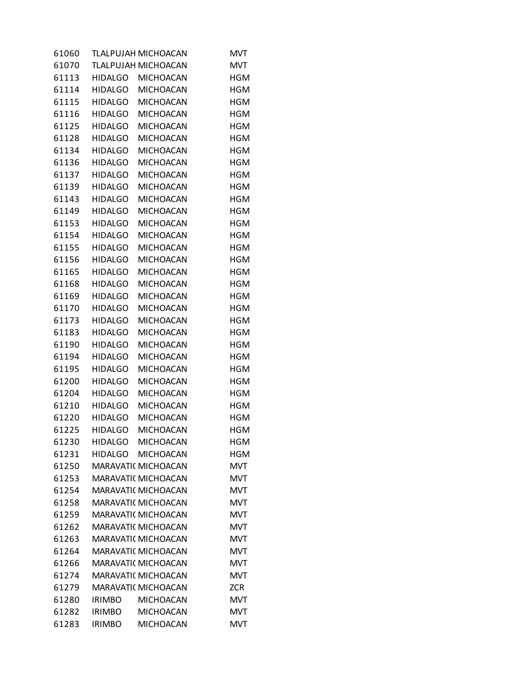| 61070<br><b>TLALPUJAH MICHOACAN</b><br><b>MVT</b><br>61113<br>HIDALGO MICHOACAN<br><b>HGM</b><br>61114<br>HIDALGO MICHOACAN<br><b>HGM</b><br><b>HGM</b><br>61115<br>HIDALGO MICHOACAN<br><b>HGM</b><br>61116<br>HIDALGO<br><b>MICHOACAN</b><br><b>MICHOACAN</b><br><b>HGM</b><br>61125<br>HIDALGO<br>61128<br><b>HIDALGO</b><br><b>MICHOACAN</b><br><b>HGM</b><br>61134<br>HIDALGO<br><b>MICHOACAN</b><br><b>HGM</b><br>61136<br><b>MICHOACAN</b><br><b>HGM</b><br>HIDALGO<br><b>MICHOACAN</b><br><b>HGM</b><br>61137<br><b>HIDALGO</b><br><b>HGM</b><br>61139<br>HIDALGO<br><b>MICHOACAN</b><br>61143<br><b>MICHOACAN</b><br><b>HGM</b><br><b>HIDALGO</b><br>61149<br><b>HIDALGO</b><br><b>MICHOACAN</b><br><b>HGM</b><br>61153<br><b>HIDALGO</b><br><b>MICHOACAN</b><br><b>HGM</b><br>61154<br>HIDALGO<br><b>MICHOACAN</b><br><b>HGM</b><br><b>MICHOACAN</b><br><b>HGM</b><br>61155<br><b>HIDALGO</b><br><b>HGM</b><br>61156<br><b>HIDALGO</b><br><b>MICHOACAN</b><br>61165<br><b>MICHOACAN</b><br><b>HGM</b><br><b>HIDALGO</b><br>61168<br><b>HIDALGO</b><br><b>MICHOACAN</b><br><b>HGM</b><br>61169<br><b>HIDALGO</b><br><b>MICHOACAN</b><br><b>HGM</b><br>61170<br>HIDALGO<br><b>MICHOACAN</b><br><b>HGM</b><br><b>MICHOACAN</b><br><b>HGM</b><br>61173<br><b>HIDALGO</b><br><b>HGM</b><br>61183<br><b>HIDALGO</b><br><b>MICHOACAN</b><br>61190<br><b>HIDALGO</b><br><b>MICHOACAN</b><br><b>HGM</b><br>61194<br><b>HIDALGO</b><br><b>MICHOACAN</b><br><b>HGM</b><br>61195<br><b>HIDALGO</b><br><b>MICHOACAN</b><br><b>HGM</b><br>61200<br>HIDALGO<br><b>MICHOACAN</b><br><b>HGM</b><br>61204<br><b>MICHOACAN</b><br><b>HGM</b><br>HIDALGO<br><b>HGM</b><br>61210<br>HIDALGO<br><b>MICHOACAN</b><br><b>MICHOACAN</b><br><b>HGM</b><br>61220<br>HIDALGO<br>61225<br><b>HIDALGO</b><br><b>MICHOACAN</b><br><b>HGM</b><br>61230<br>HIDALGO<br><b>MICHOACAN</b><br><b>HGM</b><br><b>MICHOACAN</b><br><b>HGM</b><br>61231<br>HIDALGO<br>61250<br><b>MARAVATI( MICHOACAN</b><br>MVT<br>61253<br>MARAVATI( MICHOACAN<br><b>MVT</b><br><b>MARAVATI( MICHOACAN</b><br>61254<br>MVT<br>61258<br><b>MARAVATI( MICHOACAN</b><br><b>MVT</b><br><b>MVT</b><br>61259<br>MARAVATI( MICHOACAN<br>61262<br>MARAVATI( MICHOACAN<br><b>MVT</b><br>61263<br><b>MARAVATI( MICHOACAN</b><br>MVT<br>61264<br>MARAVATI( MICHOACAN<br><b>MVT</b><br><b>MARAVATI( MICHOACAN</b><br>61266<br>MVT<br>61274<br><b>MARAVATI( MICHOACAN</b><br><b>MVT</b><br>61279<br>MARAVATI( MICHOACAN<br><b>ZCR</b> | 61060 | TLALPUJAH MICHOACAN | <b>MVT</b> |
|-----------------------------------------------------------------------------------------------------------------------------------------------------------------------------------------------------------------------------------------------------------------------------------------------------------------------------------------------------------------------------------------------------------------------------------------------------------------------------------------------------------------------------------------------------------------------------------------------------------------------------------------------------------------------------------------------------------------------------------------------------------------------------------------------------------------------------------------------------------------------------------------------------------------------------------------------------------------------------------------------------------------------------------------------------------------------------------------------------------------------------------------------------------------------------------------------------------------------------------------------------------------------------------------------------------------------------------------------------------------------------------------------------------------------------------------------------------------------------------------------------------------------------------------------------------------------------------------------------------------------------------------------------------------------------------------------------------------------------------------------------------------------------------------------------------------------------------------------------------------------------------------------------------------------------------------------------------------------------------------------------------------------------------------------------------------------------------------------------------------------------------------------------------------------------------------------------------------------------------------------------------------------------------------------------------------------------------------------------------------------------------------------------------------------------------------------------------------------------|-------|---------------------|------------|
|                                                                                                                                                                                                                                                                                                                                                                                                                                                                                                                                                                                                                                                                                                                                                                                                                                                                                                                                                                                                                                                                                                                                                                                                                                                                                                                                                                                                                                                                                                                                                                                                                                                                                                                                                                                                                                                                                                                                                                                                                                                                                                                                                                                                                                                                                                                                                                                                                                                                             |       |                     |            |
|                                                                                                                                                                                                                                                                                                                                                                                                                                                                                                                                                                                                                                                                                                                                                                                                                                                                                                                                                                                                                                                                                                                                                                                                                                                                                                                                                                                                                                                                                                                                                                                                                                                                                                                                                                                                                                                                                                                                                                                                                                                                                                                                                                                                                                                                                                                                                                                                                                                                             |       |                     |            |
|                                                                                                                                                                                                                                                                                                                                                                                                                                                                                                                                                                                                                                                                                                                                                                                                                                                                                                                                                                                                                                                                                                                                                                                                                                                                                                                                                                                                                                                                                                                                                                                                                                                                                                                                                                                                                                                                                                                                                                                                                                                                                                                                                                                                                                                                                                                                                                                                                                                                             |       |                     |            |
|                                                                                                                                                                                                                                                                                                                                                                                                                                                                                                                                                                                                                                                                                                                                                                                                                                                                                                                                                                                                                                                                                                                                                                                                                                                                                                                                                                                                                                                                                                                                                                                                                                                                                                                                                                                                                                                                                                                                                                                                                                                                                                                                                                                                                                                                                                                                                                                                                                                                             |       |                     |            |
|                                                                                                                                                                                                                                                                                                                                                                                                                                                                                                                                                                                                                                                                                                                                                                                                                                                                                                                                                                                                                                                                                                                                                                                                                                                                                                                                                                                                                                                                                                                                                                                                                                                                                                                                                                                                                                                                                                                                                                                                                                                                                                                                                                                                                                                                                                                                                                                                                                                                             |       |                     |            |
|                                                                                                                                                                                                                                                                                                                                                                                                                                                                                                                                                                                                                                                                                                                                                                                                                                                                                                                                                                                                                                                                                                                                                                                                                                                                                                                                                                                                                                                                                                                                                                                                                                                                                                                                                                                                                                                                                                                                                                                                                                                                                                                                                                                                                                                                                                                                                                                                                                                                             |       |                     |            |
|                                                                                                                                                                                                                                                                                                                                                                                                                                                                                                                                                                                                                                                                                                                                                                                                                                                                                                                                                                                                                                                                                                                                                                                                                                                                                                                                                                                                                                                                                                                                                                                                                                                                                                                                                                                                                                                                                                                                                                                                                                                                                                                                                                                                                                                                                                                                                                                                                                                                             |       |                     |            |
|                                                                                                                                                                                                                                                                                                                                                                                                                                                                                                                                                                                                                                                                                                                                                                                                                                                                                                                                                                                                                                                                                                                                                                                                                                                                                                                                                                                                                                                                                                                                                                                                                                                                                                                                                                                                                                                                                                                                                                                                                                                                                                                                                                                                                                                                                                                                                                                                                                                                             |       |                     |            |
|                                                                                                                                                                                                                                                                                                                                                                                                                                                                                                                                                                                                                                                                                                                                                                                                                                                                                                                                                                                                                                                                                                                                                                                                                                                                                                                                                                                                                                                                                                                                                                                                                                                                                                                                                                                                                                                                                                                                                                                                                                                                                                                                                                                                                                                                                                                                                                                                                                                                             |       |                     |            |
|                                                                                                                                                                                                                                                                                                                                                                                                                                                                                                                                                                                                                                                                                                                                                                                                                                                                                                                                                                                                                                                                                                                                                                                                                                                                                                                                                                                                                                                                                                                                                                                                                                                                                                                                                                                                                                                                                                                                                                                                                                                                                                                                                                                                                                                                                                                                                                                                                                                                             |       |                     |            |
|                                                                                                                                                                                                                                                                                                                                                                                                                                                                                                                                                                                                                                                                                                                                                                                                                                                                                                                                                                                                                                                                                                                                                                                                                                                                                                                                                                                                                                                                                                                                                                                                                                                                                                                                                                                                                                                                                                                                                                                                                                                                                                                                                                                                                                                                                                                                                                                                                                                                             |       |                     |            |
|                                                                                                                                                                                                                                                                                                                                                                                                                                                                                                                                                                                                                                                                                                                                                                                                                                                                                                                                                                                                                                                                                                                                                                                                                                                                                                                                                                                                                                                                                                                                                                                                                                                                                                                                                                                                                                                                                                                                                                                                                                                                                                                                                                                                                                                                                                                                                                                                                                                                             |       |                     |            |
|                                                                                                                                                                                                                                                                                                                                                                                                                                                                                                                                                                                                                                                                                                                                                                                                                                                                                                                                                                                                                                                                                                                                                                                                                                                                                                                                                                                                                                                                                                                                                                                                                                                                                                                                                                                                                                                                                                                                                                                                                                                                                                                                                                                                                                                                                                                                                                                                                                                                             |       |                     |            |
|                                                                                                                                                                                                                                                                                                                                                                                                                                                                                                                                                                                                                                                                                                                                                                                                                                                                                                                                                                                                                                                                                                                                                                                                                                                                                                                                                                                                                                                                                                                                                                                                                                                                                                                                                                                                                                                                                                                                                                                                                                                                                                                                                                                                                                                                                                                                                                                                                                                                             |       |                     |            |
|                                                                                                                                                                                                                                                                                                                                                                                                                                                                                                                                                                                                                                                                                                                                                                                                                                                                                                                                                                                                                                                                                                                                                                                                                                                                                                                                                                                                                                                                                                                                                                                                                                                                                                                                                                                                                                                                                                                                                                                                                                                                                                                                                                                                                                                                                                                                                                                                                                                                             |       |                     |            |
|                                                                                                                                                                                                                                                                                                                                                                                                                                                                                                                                                                                                                                                                                                                                                                                                                                                                                                                                                                                                                                                                                                                                                                                                                                                                                                                                                                                                                                                                                                                                                                                                                                                                                                                                                                                                                                                                                                                                                                                                                                                                                                                                                                                                                                                                                                                                                                                                                                                                             |       |                     |            |
|                                                                                                                                                                                                                                                                                                                                                                                                                                                                                                                                                                                                                                                                                                                                                                                                                                                                                                                                                                                                                                                                                                                                                                                                                                                                                                                                                                                                                                                                                                                                                                                                                                                                                                                                                                                                                                                                                                                                                                                                                                                                                                                                                                                                                                                                                                                                                                                                                                                                             |       |                     |            |
|                                                                                                                                                                                                                                                                                                                                                                                                                                                                                                                                                                                                                                                                                                                                                                                                                                                                                                                                                                                                                                                                                                                                                                                                                                                                                                                                                                                                                                                                                                                                                                                                                                                                                                                                                                                                                                                                                                                                                                                                                                                                                                                                                                                                                                                                                                                                                                                                                                                                             |       |                     |            |
|                                                                                                                                                                                                                                                                                                                                                                                                                                                                                                                                                                                                                                                                                                                                                                                                                                                                                                                                                                                                                                                                                                                                                                                                                                                                                                                                                                                                                                                                                                                                                                                                                                                                                                                                                                                                                                                                                                                                                                                                                                                                                                                                                                                                                                                                                                                                                                                                                                                                             |       |                     |            |
|                                                                                                                                                                                                                                                                                                                                                                                                                                                                                                                                                                                                                                                                                                                                                                                                                                                                                                                                                                                                                                                                                                                                                                                                                                                                                                                                                                                                                                                                                                                                                                                                                                                                                                                                                                                                                                                                                                                                                                                                                                                                                                                                                                                                                                                                                                                                                                                                                                                                             |       |                     |            |
|                                                                                                                                                                                                                                                                                                                                                                                                                                                                                                                                                                                                                                                                                                                                                                                                                                                                                                                                                                                                                                                                                                                                                                                                                                                                                                                                                                                                                                                                                                                                                                                                                                                                                                                                                                                                                                                                                                                                                                                                                                                                                                                                                                                                                                                                                                                                                                                                                                                                             |       |                     |            |
|                                                                                                                                                                                                                                                                                                                                                                                                                                                                                                                                                                                                                                                                                                                                                                                                                                                                                                                                                                                                                                                                                                                                                                                                                                                                                                                                                                                                                                                                                                                                                                                                                                                                                                                                                                                                                                                                                                                                                                                                                                                                                                                                                                                                                                                                                                                                                                                                                                                                             |       |                     |            |
|                                                                                                                                                                                                                                                                                                                                                                                                                                                                                                                                                                                                                                                                                                                                                                                                                                                                                                                                                                                                                                                                                                                                                                                                                                                                                                                                                                                                                                                                                                                                                                                                                                                                                                                                                                                                                                                                                                                                                                                                                                                                                                                                                                                                                                                                                                                                                                                                                                                                             |       |                     |            |
|                                                                                                                                                                                                                                                                                                                                                                                                                                                                                                                                                                                                                                                                                                                                                                                                                                                                                                                                                                                                                                                                                                                                                                                                                                                                                                                                                                                                                                                                                                                                                                                                                                                                                                                                                                                                                                                                                                                                                                                                                                                                                                                                                                                                                                                                                                                                                                                                                                                                             |       |                     |            |
|                                                                                                                                                                                                                                                                                                                                                                                                                                                                                                                                                                                                                                                                                                                                                                                                                                                                                                                                                                                                                                                                                                                                                                                                                                                                                                                                                                                                                                                                                                                                                                                                                                                                                                                                                                                                                                                                                                                                                                                                                                                                                                                                                                                                                                                                                                                                                                                                                                                                             |       |                     |            |
|                                                                                                                                                                                                                                                                                                                                                                                                                                                                                                                                                                                                                                                                                                                                                                                                                                                                                                                                                                                                                                                                                                                                                                                                                                                                                                                                                                                                                                                                                                                                                                                                                                                                                                                                                                                                                                                                                                                                                                                                                                                                                                                                                                                                                                                                                                                                                                                                                                                                             |       |                     |            |
|                                                                                                                                                                                                                                                                                                                                                                                                                                                                                                                                                                                                                                                                                                                                                                                                                                                                                                                                                                                                                                                                                                                                                                                                                                                                                                                                                                                                                                                                                                                                                                                                                                                                                                                                                                                                                                                                                                                                                                                                                                                                                                                                                                                                                                                                                                                                                                                                                                                                             |       |                     |            |
|                                                                                                                                                                                                                                                                                                                                                                                                                                                                                                                                                                                                                                                                                                                                                                                                                                                                                                                                                                                                                                                                                                                                                                                                                                                                                                                                                                                                                                                                                                                                                                                                                                                                                                                                                                                                                                                                                                                                                                                                                                                                                                                                                                                                                                                                                                                                                                                                                                                                             |       |                     |            |
|                                                                                                                                                                                                                                                                                                                                                                                                                                                                                                                                                                                                                                                                                                                                                                                                                                                                                                                                                                                                                                                                                                                                                                                                                                                                                                                                                                                                                                                                                                                                                                                                                                                                                                                                                                                                                                                                                                                                                                                                                                                                                                                                                                                                                                                                                                                                                                                                                                                                             |       |                     |            |
|                                                                                                                                                                                                                                                                                                                                                                                                                                                                                                                                                                                                                                                                                                                                                                                                                                                                                                                                                                                                                                                                                                                                                                                                                                                                                                                                                                                                                                                                                                                                                                                                                                                                                                                                                                                                                                                                                                                                                                                                                                                                                                                                                                                                                                                                                                                                                                                                                                                                             |       |                     |            |
|                                                                                                                                                                                                                                                                                                                                                                                                                                                                                                                                                                                                                                                                                                                                                                                                                                                                                                                                                                                                                                                                                                                                                                                                                                                                                                                                                                                                                                                                                                                                                                                                                                                                                                                                                                                                                                                                                                                                                                                                                                                                                                                                                                                                                                                                                                                                                                                                                                                                             |       |                     |            |
|                                                                                                                                                                                                                                                                                                                                                                                                                                                                                                                                                                                                                                                                                                                                                                                                                                                                                                                                                                                                                                                                                                                                                                                                                                                                                                                                                                                                                                                                                                                                                                                                                                                                                                                                                                                                                                                                                                                                                                                                                                                                                                                                                                                                                                                                                                                                                                                                                                                                             |       |                     |            |
|                                                                                                                                                                                                                                                                                                                                                                                                                                                                                                                                                                                                                                                                                                                                                                                                                                                                                                                                                                                                                                                                                                                                                                                                                                                                                                                                                                                                                                                                                                                                                                                                                                                                                                                                                                                                                                                                                                                                                                                                                                                                                                                                                                                                                                                                                                                                                                                                                                                                             |       |                     |            |
|                                                                                                                                                                                                                                                                                                                                                                                                                                                                                                                                                                                                                                                                                                                                                                                                                                                                                                                                                                                                                                                                                                                                                                                                                                                                                                                                                                                                                                                                                                                                                                                                                                                                                                                                                                                                                                                                                                                                                                                                                                                                                                                                                                                                                                                                                                                                                                                                                                                                             |       |                     |            |
|                                                                                                                                                                                                                                                                                                                                                                                                                                                                                                                                                                                                                                                                                                                                                                                                                                                                                                                                                                                                                                                                                                                                                                                                                                                                                                                                                                                                                                                                                                                                                                                                                                                                                                                                                                                                                                                                                                                                                                                                                                                                                                                                                                                                                                                                                                                                                                                                                                                                             |       |                     |            |
|                                                                                                                                                                                                                                                                                                                                                                                                                                                                                                                                                                                                                                                                                                                                                                                                                                                                                                                                                                                                                                                                                                                                                                                                                                                                                                                                                                                                                                                                                                                                                                                                                                                                                                                                                                                                                                                                                                                                                                                                                                                                                                                                                                                                                                                                                                                                                                                                                                                                             |       |                     |            |
|                                                                                                                                                                                                                                                                                                                                                                                                                                                                                                                                                                                                                                                                                                                                                                                                                                                                                                                                                                                                                                                                                                                                                                                                                                                                                                                                                                                                                                                                                                                                                                                                                                                                                                                                                                                                                                                                                                                                                                                                                                                                                                                                                                                                                                                                                                                                                                                                                                                                             |       |                     |            |
|                                                                                                                                                                                                                                                                                                                                                                                                                                                                                                                                                                                                                                                                                                                                                                                                                                                                                                                                                                                                                                                                                                                                                                                                                                                                                                                                                                                                                                                                                                                                                                                                                                                                                                                                                                                                                                                                                                                                                                                                                                                                                                                                                                                                                                                                                                                                                                                                                                                                             |       |                     |            |
|                                                                                                                                                                                                                                                                                                                                                                                                                                                                                                                                                                                                                                                                                                                                                                                                                                                                                                                                                                                                                                                                                                                                                                                                                                                                                                                                                                                                                                                                                                                                                                                                                                                                                                                                                                                                                                                                                                                                                                                                                                                                                                                                                                                                                                                                                                                                                                                                                                                                             |       |                     |            |
|                                                                                                                                                                                                                                                                                                                                                                                                                                                                                                                                                                                                                                                                                                                                                                                                                                                                                                                                                                                                                                                                                                                                                                                                                                                                                                                                                                                                                                                                                                                                                                                                                                                                                                                                                                                                                                                                                                                                                                                                                                                                                                                                                                                                                                                                                                                                                                                                                                                                             |       |                     |            |
|                                                                                                                                                                                                                                                                                                                                                                                                                                                                                                                                                                                                                                                                                                                                                                                                                                                                                                                                                                                                                                                                                                                                                                                                                                                                                                                                                                                                                                                                                                                                                                                                                                                                                                                                                                                                                                                                                                                                                                                                                                                                                                                                                                                                                                                                                                                                                                                                                                                                             |       |                     |            |
|                                                                                                                                                                                                                                                                                                                                                                                                                                                                                                                                                                                                                                                                                                                                                                                                                                                                                                                                                                                                                                                                                                                                                                                                                                                                                                                                                                                                                                                                                                                                                                                                                                                                                                                                                                                                                                                                                                                                                                                                                                                                                                                                                                                                                                                                                                                                                                                                                                                                             |       |                     |            |
|                                                                                                                                                                                                                                                                                                                                                                                                                                                                                                                                                                                                                                                                                                                                                                                                                                                                                                                                                                                                                                                                                                                                                                                                                                                                                                                                                                                                                                                                                                                                                                                                                                                                                                                                                                                                                                                                                                                                                                                                                                                                                                                                                                                                                                                                                                                                                                                                                                                                             |       |                     |            |
|                                                                                                                                                                                                                                                                                                                                                                                                                                                                                                                                                                                                                                                                                                                                                                                                                                                                                                                                                                                                                                                                                                                                                                                                                                                                                                                                                                                                                                                                                                                                                                                                                                                                                                                                                                                                                                                                                                                                                                                                                                                                                                                                                                                                                                                                                                                                                                                                                                                                             |       |                     |            |
| <b>MICHOACAN</b><br>61280<br><b>IRIMBO</b><br>MVT                                                                                                                                                                                                                                                                                                                                                                                                                                                                                                                                                                                                                                                                                                                                                                                                                                                                                                                                                                                                                                                                                                                                                                                                                                                                                                                                                                                                                                                                                                                                                                                                                                                                                                                                                                                                                                                                                                                                                                                                                                                                                                                                                                                                                                                                                                                                                                                                                           |       |                     |            |
| <b>IRIMBO</b><br><b>MICHOACAN</b><br>61282<br>MVT                                                                                                                                                                                                                                                                                                                                                                                                                                                                                                                                                                                                                                                                                                                                                                                                                                                                                                                                                                                                                                                                                                                                                                                                                                                                                                                                                                                                                                                                                                                                                                                                                                                                                                                                                                                                                                                                                                                                                                                                                                                                                                                                                                                                                                                                                                                                                                                                                           |       |                     |            |
| 61283<br><b>IRIMBO</b><br><b>MICHOACAN</b><br><b>MVT</b>                                                                                                                                                                                                                                                                                                                                                                                                                                                                                                                                                                                                                                                                                                                                                                                                                                                                                                                                                                                                                                                                                                                                                                                                                                                                                                                                                                                                                                                                                                                                                                                                                                                                                                                                                                                                                                                                                                                                                                                                                                                                                                                                                                                                                                                                                                                                                                                                                    |       |                     |            |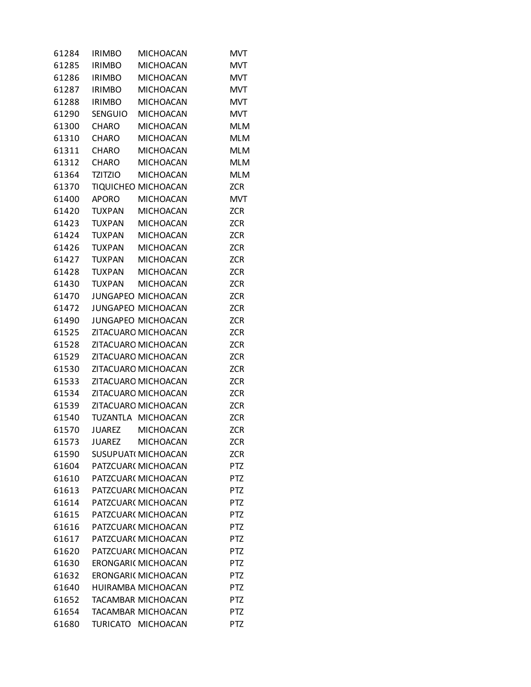| 61284          | <b>IRIMBO</b>  | <b>MICHOACAN</b>                           | MVT                      |
|----------------|----------------|--------------------------------------------|--------------------------|
| 61285          | <b>IRIMBO</b>  | <b>MICHOACAN</b>                           | <b>MVT</b>               |
| 61286          | <b>IRIMBO</b>  | <b>MICHOACAN</b>                           | <b>MVT</b>               |
| 61287          | <b>IRIMBO</b>  | <b>MICHOACAN</b>                           | <b>MVT</b>               |
| 61288          | <b>IRIMBO</b>  | <b>MICHOACAN</b>                           | <b>MVT</b>               |
| 61290          | <b>SENGUIO</b> | <b>MICHOACAN</b>                           | <b>MVT</b>               |
| 61300          | <b>CHARO</b>   | <b>MICHOACAN</b>                           | <b>MLM</b>               |
| 61310          | <b>CHARO</b>   | <b>MICHOACAN</b>                           | <b>MLM</b>               |
| 61311          | <b>CHARO</b>   | <b>MICHOACAN</b>                           | <b>MLM</b>               |
| 61312          | <b>CHARO</b>   | <b>MICHOACAN</b>                           | <b>MLM</b>               |
| 61364          | <b>TZITZIO</b> | <b>MICHOACAN</b>                           | <b>MLM</b>               |
| 61370          |                | TIQUICHEO MICHOACAN                        | <b>ZCR</b>               |
| 61400          | <b>APORO</b>   | <b>MICHOACAN</b>                           | <b>MVT</b>               |
| 61420          | <b>TUXPAN</b>  | <b>MICHOACAN</b>                           | <b>ZCR</b>               |
| 61423          | <b>TUXPAN</b>  | <b>MICHOACAN</b>                           | <b>ZCR</b>               |
| 61424          | <b>TUXPAN</b>  | <b>MICHOACAN</b>                           | <b>ZCR</b>               |
| 61426          | <b>TUXPAN</b>  | <b>MICHOACAN</b>                           | <b>ZCR</b>               |
| 61427          | <b>TUXPAN</b>  | <b>MICHOACAN</b>                           | <b>ZCR</b>               |
| 61428          | <b>TUXPAN</b>  | <b>MICHOACAN</b>                           | <b>ZCR</b>               |
| 61430          | <b>TUXPAN</b>  | <b>MICHOACAN</b>                           | <b>ZCR</b>               |
| 61470          |                | JUNGAPEO MICHOACAN                         | <b>ZCR</b>               |
| 61472          |                | JUNGAPEO MICHOACAN                         | <b>ZCR</b>               |
|                |                | JUNGAPEO MICHOACAN                         |                          |
| 61490          |                |                                            | <b>ZCR</b>               |
| 61525<br>61528 |                | ZITACUARO MICHOACAN<br>ZITACUARO MICHOACAN | <b>ZCR</b><br><b>ZCR</b> |
|                |                |                                            |                          |
| 61529          |                | ZITACUARO MICHOACAN                        | <b>ZCR</b>               |
| 61530          |                | ZITACUARO MICHOACAN                        | <b>ZCR</b>               |
| 61533          |                | ZITACUARO MICHOACAN                        | <b>ZCR</b>               |
| 61534          |                | ZITACUARO MICHOACAN                        | <b>ZCR</b>               |
| 61539          |                | ZITACUARO MICHOACAN                        | <b>ZCR</b>               |
| 61540          |                | TUZANTLA MICHOACAN                         | <b>ZCR</b>               |
| 61570          |                | JUAREZ MICHOACAN                           | <b>ZCR</b>               |
| 61573          | <b>JUAREZ</b>  | <b>MICHOACAN</b>                           | ZCR                      |
| 61590          |                | SUSUPUATI MICHOACAN                        | <b>ZCR</b>               |
| 61604          |                | PATZCUAR( MICHOACAN                        | PTZ                      |
| 61610          |                | PATZCUAR( MICHOACAN                        | PTZ                      |
| 61613          |                | PATZCUAR( MICHOACAN                        | PTZ                      |
| 61614          |                | PATZCUAR(MICHOACAN                         | <b>PTZ</b>               |
| 61615          |                | PATZCUAR( MICHOACAN                        | <b>PTZ</b>               |
| 61616          |                | PATZCUAR( MICHOACAN                        | PTZ                      |
| 61617          |                | PATZCUAR( MICHOACAN                        | <b>PTZ</b>               |
| 61620          |                | PATZCUAR( MICHOACAN                        | <b>PTZ</b>               |
| 61630          |                | ERONGARI( MICHOACAN                        | <b>PTZ</b>               |
| 61632          |                | ERONGARI( MICHOACAN                        | <b>PTZ</b>               |
| 61640          |                | HUIRAMBA MICHOACAN                         | <b>PTZ</b>               |
| 61652          |                | TACAMBAR MICHOACAN                         | PTZ                      |
| 61654          |                | TACAMBAR MICHOACAN                         | PTZ                      |
| 61680          |                | TURICATO MICHOACAN                         | PTZ                      |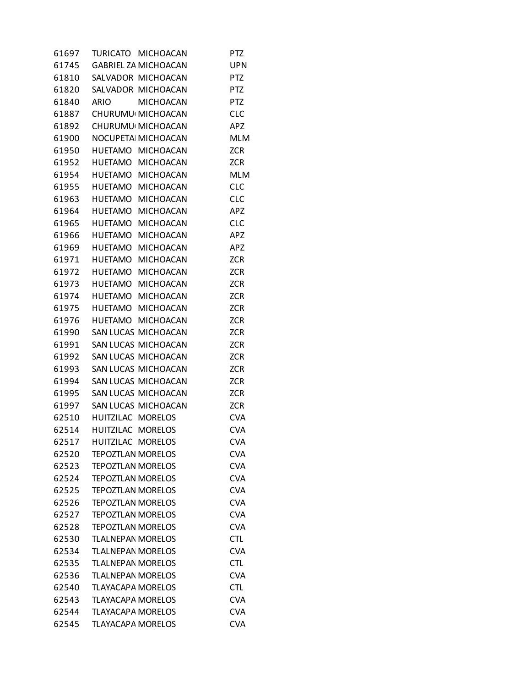| 61697 |                          | TURICATO MICHOACAN          | <b>PTZ</b> |
|-------|--------------------------|-----------------------------|------------|
| 61745 |                          | <b>GABRIEL ZA MICHOACAN</b> | <b>UPN</b> |
| 61810 |                          | SALVADOR MICHOACAN          | <b>PTZ</b> |
| 61820 |                          | SALVADOR MICHOACAN          | PTZ        |
| 61840 | <b>ARIO</b>              | <b>MICHOACAN</b>            | <b>PTZ</b> |
| 61887 |                          | CHURUMU MICHOACAN           | <b>CLC</b> |
| 61892 |                          | CHURUMU MICHOACAN           | APZ        |
| 61900 |                          | NOCUPETA MICHOACAN          | <b>MLM</b> |
| 61950 |                          | HUETAMO MICHOACAN           | <b>ZCR</b> |
| 61952 |                          | HUETAMO MICHOACAN           | <b>ZCR</b> |
| 61954 |                          | HUETAMO MICHOACAN           | <b>MLM</b> |
| 61955 | HUETAMO                  | <b>MICHOACAN</b>            | <b>CLC</b> |
| 61963 |                          | HUETAMO MICHOACAN           | <b>CLC</b> |
| 61964 |                          | HUETAMO MICHOACAN           | APZ        |
|       |                          | 61965 HUETAMO MICHOACAN     | <b>CLC</b> |
| 61966 |                          | HUETAMO MICHOACAN           | APZ        |
| 61969 |                          | HUETAMO MICHOACAN           | APZ        |
| 61971 | HUETAMO                  | <b>MICHOACAN</b>            | <b>ZCR</b> |
| 61972 |                          | HUETAMO MICHOACAN           | <b>ZCR</b> |
| 61973 |                          | HUETAMO MICHOACAN           | <b>ZCR</b> |
| 61974 |                          | HUETAMO MICHOACAN           | <b>ZCR</b> |
| 61975 |                          | HUETAMO MICHOACAN           | <b>ZCR</b> |
| 61976 |                          | HUETAMO MICHOACAN           | <b>ZCR</b> |
| 61990 |                          | SAN LUCAS MICHOACAN         | <b>ZCR</b> |
| 61991 |                          | SAN LUCAS MICHOACAN         | <b>ZCR</b> |
| 61992 |                          | SAN LUCAS MICHOACAN         | <b>ZCR</b> |
| 61993 |                          | SAN LUCAS MICHOACAN         | <b>ZCR</b> |
| 61994 |                          | SAN LUCAS MICHOACAN         | <b>ZCR</b> |
| 61995 |                          | SAN LUCAS MICHOACAN         | <b>ZCR</b> |
| 61997 |                          | SAN LUCAS MICHOACAN         | <b>ZCR</b> |
| 62510 | HUITZILAC MORELOS        |                             | <b>CVA</b> |
| 62514 | HUITZILAC MORELOS        |                             | <b>CVA</b> |
| 62517 | HUITZILAC MORELOS        |                             | <b>CVA</b> |
| 62520 | <b>TEPOZTLAN MORELOS</b> |                             | <b>CVA</b> |
| 62523 | <b>TEPOZTLAN MORELOS</b> |                             | <b>CVA</b> |
| 62524 | <b>TEPOZTLAN MORELOS</b> |                             | <b>CVA</b> |
| 62525 | <b>TEPOZTLAN MORELOS</b> |                             | <b>CVA</b> |
| 62526 | <b>TEPOZTLAN MORELOS</b> |                             | <b>CVA</b> |
| 62527 | <b>TEPOZTLAN MORELOS</b> |                             | <b>CVA</b> |
| 62528 | <b>TEPOZTLAN MORELOS</b> |                             | <b>CVA</b> |
| 62530 | <b>TLALNEPAN MORELOS</b> |                             | <b>CTL</b> |
| 62534 | <b>TLALNEPAN MORELOS</b> |                             | <b>CVA</b> |
| 62535 | <b>TLALNEPAN MORELOS</b> |                             | <b>CTL</b> |
| 62536 | <b>TLALNEPAN MORELOS</b> |                             | <b>CVA</b> |
| 62540 | <b>TLAYACAPA MORELOS</b> |                             | <b>CTL</b> |
| 62543 | <b>TLAYACAPA MORELOS</b> |                             | <b>CVA</b> |
| 62544 | <b>TLAYACAPA MORELOS</b> |                             | <b>CVA</b> |
| 62545 | <b>TLAYACAPA MORELOS</b> |                             | <b>CVA</b> |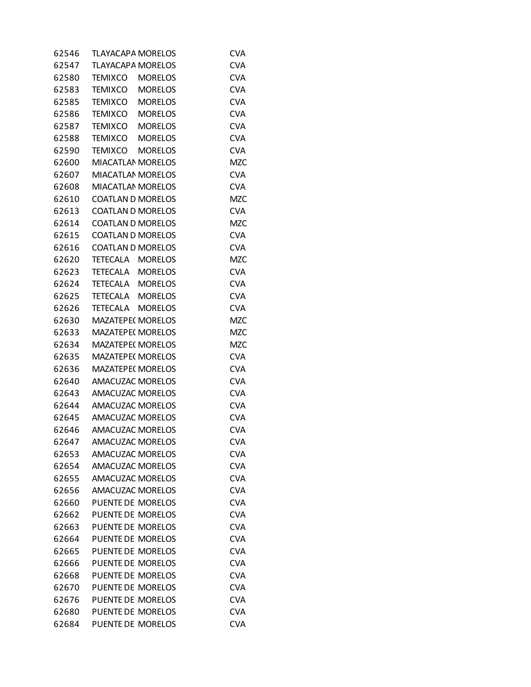| 62546 | <b>TLAYACAPA MORELOS</b> |                | <b>CVA</b> |
|-------|--------------------------|----------------|------------|
| 62547 | <b>TLAYACAPA MORELOS</b> |                | <b>CVA</b> |
| 62580 | TEMIXCO                  | <b>MORELOS</b> | <b>CVA</b> |
| 62583 | TEMIXCO                  | <b>MORELOS</b> | <b>CVA</b> |
| 62585 | TEMIXCO                  | <b>MORELOS</b> | <b>CVA</b> |
| 62586 | TEMIXCO                  | <b>MORELOS</b> | <b>CVA</b> |
| 62587 | TEMIXCO                  | <b>MORELOS</b> | <b>CVA</b> |
| 62588 | TEMIXCO                  | <b>MORELOS</b> | <b>CVA</b> |
| 62590 | TEMIXCO                  | <b>MORELOS</b> | <b>CVA</b> |
| 62600 | <b>MIACATLAN MORELOS</b> |                | <b>MZC</b> |
| 62607 | <b>MIACATLAN MORELOS</b> |                | <b>CVA</b> |
| 62608 | <b>MIACATLAN MORELOS</b> |                | <b>CVA</b> |
| 62610 | <b>COATLAN D MORELOS</b> |                | <b>MZC</b> |
| 62613 | <b>COATLAN D MORELOS</b> |                | <b>CVA</b> |
| 62614 | <b>COATLAN D MORELOS</b> |                | <b>MZC</b> |
| 62615 | <b>COATLAN D MORELOS</b> |                | <b>CVA</b> |
| 62616 | <b>COATLAN D MORELOS</b> |                | <b>CVA</b> |
| 62620 | TETECALA                 | <b>MORELOS</b> | <b>MZC</b> |
| 62623 | TETECALA                 | <b>MORELOS</b> | <b>CVA</b> |
| 62624 | TETECALA MORELOS         |                | <b>CVA</b> |
| 62625 | TETECALA MORELOS         |                | <b>CVA</b> |
| 62626 | TETECALA                 | <b>MORELOS</b> | <b>CVA</b> |
| 62630 | <b>MAZATEPE( MORELOS</b> |                | <b>MZC</b> |
| 62633 | <b>MAZATEPE( MORELOS</b> |                | <b>MZC</b> |
| 62634 | <b>MAZATEPE( MORELOS</b> |                | <b>MZC</b> |
| 62635 | <b>MAZATEPE( MORELOS</b> |                | <b>CVA</b> |
| 62636 | <b>MAZATEPE( MORELOS</b> |                | <b>CVA</b> |
| 62640 | AMACUZAC MORELOS         |                | <b>CVA</b> |
| 62643 | <b>AMACUZAC MORELOS</b>  |                | <b>CVA</b> |
| 62644 | AMACUZAC MORELOS         |                | <b>CVA</b> |
| 62645 | AMACUZAC MORELOS         |                | <b>CVA</b> |
| 62646 | <b>AMACUZAC MORELOS</b>  |                | <b>CVA</b> |
| 62647 | AMACUZAC MORELOS         |                | <b>CVA</b> |
| 62653 | <b>AMACUZAC MORELOS</b>  |                | <b>CVA</b> |
| 62654 | <b>AMACUZAC MORELOS</b>  |                | <b>CVA</b> |
| 62655 | <b>AMACUZAC MORELOS</b>  |                | <b>CVA</b> |
| 62656 | <b>AMACUZAC MORELOS</b>  |                | <b>CVA</b> |
| 62660 | PUENTE DE MORELOS        |                | <b>CVA</b> |
| 62662 | PUENTE DE MORELOS        |                | <b>CVA</b> |
| 62663 | PUENTE DE MORELOS        |                | <b>CVA</b> |
| 62664 | <b>PUENTE DE MORELOS</b> |                | <b>CVA</b> |
| 62665 | PUENTE DE MORELOS        |                | <b>CVA</b> |
| 62666 | PUENTE DE MORELOS        |                | <b>CVA</b> |
| 62668 | PUENTE DE MORELOS        |                | <b>CVA</b> |
| 62670 | PUENTE DE MORELOS        |                | <b>CVA</b> |
| 62676 | PUENTE DE MORELOS        |                | <b>CVA</b> |
| 62680 | PUENTE DE MORELOS        |                | <b>CVA</b> |
| 62684 | PUENTE DE MORELOS        |                | <b>CVA</b> |
|       |                          |                |            |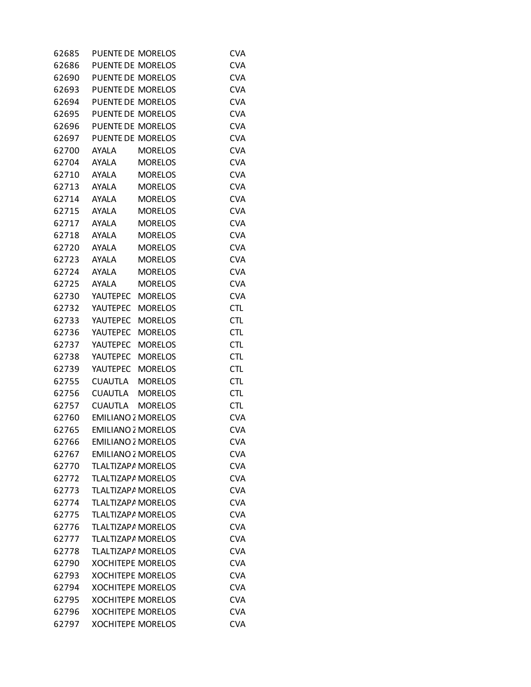| 62685 | PUENTE DE MORELOS         |                | <b>CVA</b> |
|-------|---------------------------|----------------|------------|
| 62686 | PUENTE DE MORELOS         |                | <b>CVA</b> |
| 62690 | PUENTE DE MORELOS         |                | <b>CVA</b> |
| 62693 | PUENTE DE MORELOS         |                | <b>CVA</b> |
| 62694 | <b>PUENTE DE MORELOS</b>  |                | <b>CVA</b> |
| 62695 | PUENTE DE MORELOS         |                | <b>CVA</b> |
| 62696 | PUENTE DE MORELOS         |                | <b>CVA</b> |
| 62697 | PUENTE DE MORELOS         |                | <b>CVA</b> |
| 62700 | <b>AYALA</b>              | <b>MORELOS</b> | <b>CVA</b> |
| 62704 | AYALA                     | <b>MORELOS</b> | <b>CVA</b> |
| 62710 | AYALA                     | <b>MORELOS</b> | <b>CVA</b> |
| 62713 | AYALA                     | <b>MORELOS</b> | <b>CVA</b> |
| 62714 | <b>AYALA</b>              | <b>MORELOS</b> | <b>CVA</b> |
| 62715 | <b>AYALA</b>              | <b>MORELOS</b> | <b>CVA</b> |
| 62717 | <b>AYALA</b>              | <b>MORELOS</b> | <b>CVA</b> |
| 62718 | <b>AYALA</b>              | <b>MORELOS</b> | <b>CVA</b> |
| 62720 | <b>AYALA</b>              | <b>MORELOS</b> | <b>CVA</b> |
| 62723 | AYALA                     | <b>MORELOS</b> | <b>CVA</b> |
| 62724 | AYALA                     | <b>MORELOS</b> | <b>CVA</b> |
| 62725 | <b>AYALA</b>              | <b>MORELOS</b> | <b>CVA</b> |
| 62730 | YAUTEPEC                  | <b>MORELOS</b> | <b>CVA</b> |
| 62732 | <b>YAUTEPEC</b>           | <b>MORELOS</b> | <b>CTL</b> |
| 62733 | YAUTEPEC                  | <b>MORELOS</b> | <b>CTL</b> |
| 62736 | YAUTEPEC                  | <b>MORELOS</b> | <b>CTL</b> |
| 62737 | YAUTEPEC                  | <b>MORELOS</b> | <b>CTL</b> |
| 62738 | YAUTEPEC                  | <b>MORELOS</b> | <b>CTL</b> |
| 62739 | YAUTEPEC                  | <b>MORELOS</b> | <b>CTL</b> |
| 62755 | CUAUTLA                   | <b>MORELOS</b> | <b>CTL</b> |
| 62756 | <b>CUAUTLA</b>            | <b>MORELOS</b> | <b>CTL</b> |
| 62757 | <b>CUAUTLA</b>            | <b>MORELOS</b> | <b>CTL</b> |
| 62760 | <b>EMILIANO 2 MORELOS</b> |                | <b>CVA</b> |
| 62765 | <b>EMILIANO 2 MORELOS</b> |                | <b>CVA</b> |
| 62766 | <b>EMILIANO 2 MORELOS</b> |                | <b>CVA</b> |
| 62767 | <b>EMILIANO 2 MORELOS</b> |                | <b>CVA</b> |
| 62770 | TLALTIZAPA MORELOS        |                | <b>CVA</b> |
| 62772 | TLALTIZAPA MORELOS        |                | <b>CVA</b> |
| 62773 | <b>TLALTIZAPA MORELOS</b> |                | <b>CVA</b> |
| 62774 | TLALTIZAPA MORELOS        |                | <b>CVA</b> |
| 62775 | TLALTIZAPA MORELOS        |                | <b>CVA</b> |
| 62776 | TLALTIZAPA MORELOS        |                | <b>CVA</b> |
| 62777 | TLALTIZAPA MORELOS        |                | <b>CVA</b> |
| 62778 | <b>TLALTIZAPA MORELOS</b> |                | <b>CVA</b> |
| 62790 | <b>XOCHITEPE MORELOS</b>  |                | <b>CVA</b> |
| 62793 | <b>XOCHITEPE MORELOS</b>  |                | <b>CVA</b> |
| 62794 | <b>XOCHITEPE MORELOS</b>  |                | <b>CVA</b> |
| 62795 | <b>XOCHITEPE MORELOS</b>  |                | <b>CVA</b> |
| 62796 | <b>XOCHITEPE MORELOS</b>  |                | <b>CVA</b> |
| 62797 | <b>XOCHITEPE MORELOS</b>  |                | <b>CVA</b> |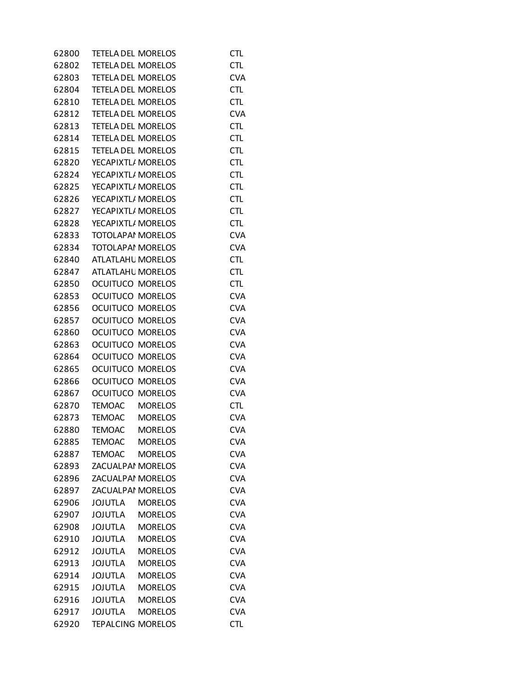| 62800 | TETELA DEL MORELOS        |                | <b>CTL</b> |
|-------|---------------------------|----------------|------------|
| 62802 | <b>TETELA DEL MORELOS</b> |                | <b>CTL</b> |
| 62803 | <b>TETELA DEL MORELOS</b> |                | <b>CVA</b> |
| 62804 | <b>TETELA DEL MORELOS</b> |                | <b>CTL</b> |
| 62810 | <b>TETELA DEL MORELOS</b> |                | <b>CTL</b> |
| 62812 | <b>TETELA DEL MORELOS</b> |                | <b>CVA</b> |
| 62813 | <b>TETELA DEL MORELOS</b> |                | <b>CTL</b> |
| 62814 | <b>TETELA DEL MORELOS</b> |                | <b>CTL</b> |
| 62815 | <b>TETELA DEL MORELOS</b> |                | <b>CTL</b> |
| 62820 | YECAPIXTL/ MORELOS        |                | <b>CTL</b> |
| 62824 | YECAPIXTL/ MORELOS        |                | <b>CTL</b> |
| 62825 | YECAPIXTL/ MORELOS        |                | <b>CTL</b> |
| 62826 | YECAPIXTL/ MORELOS        |                | <b>CTL</b> |
| 62827 | YECAPIXTL/ MORELOS        |                | <b>CTL</b> |
| 62828 | YECAPIXTL/ MORELOS        |                | <b>CTL</b> |
| 62833 | <b>TOTOLAPAI MORELOS</b>  |                | <b>CVA</b> |
| 62834 | <b>TOTOLAPAI MORELOS</b>  |                | <b>CVA</b> |
| 62840 | <b>ATLATLAHL MORELOS</b>  |                | <b>CTL</b> |
| 62847 | <b>ATLATLAHL MORELOS</b>  |                | <b>CTL</b> |
| 62850 | <b>OCUITUCO MORELOS</b>   |                | <b>CTL</b> |
| 62853 | <b>OCUITUCO MORELOS</b>   |                | <b>CVA</b> |
| 62856 | <b>OCUITUCO MORELOS</b>   |                | <b>CVA</b> |
| 62857 | <b>OCUITUCO MORELOS</b>   |                | <b>CVA</b> |
| 62860 | OCUITUCO MORELOS          |                | <b>CVA</b> |
| 62863 | <b>OCUITUCO MORELOS</b>   |                | <b>CVA</b> |
| 62864 | <b>OCUITUCO MORELOS</b>   |                | <b>CVA</b> |
| 62865 | OCUITUCO MORELOS          |                | <b>CVA</b> |
| 62866 | <b>OCUITUCO MORELOS</b>   |                | <b>CVA</b> |
| 62867 | <b>OCUITUCO MORELOS</b>   |                | <b>CVA</b> |
| 62870 | <b>TEMOAC</b>             | <b>MORELOS</b> | <b>CTL</b> |
| 62873 | <b>TEMOAC</b>             | <b>MORELOS</b> | <b>CVA</b> |
| 62880 | <b>TEMOAC</b>             | <b>MORELOS</b> | <b>CVA</b> |
| 62885 | <b>TEMOAC</b>             | <b>MORELOS</b> | <b>CVA</b> |
| 62887 | <b>TEMOAC</b>             | <b>MORELOS</b> | <b>CVA</b> |
| 62893 | <b>ZACUALPAI MORELOS</b>  |                | <b>CVA</b> |
| 62896 | <b>ZACUALPAI MORELOS</b>  |                | <b>CVA</b> |
| 62897 | <b>ZACUALPAI MORELOS</b>  |                | <b>CVA</b> |
| 62906 | <b>JOJUTLA</b>            | <b>MORELOS</b> | <b>CVA</b> |
| 62907 | <b>JOJUTLA</b>            | <b>MORELOS</b> | <b>CVA</b> |
| 62908 | <b>JOJUTLA</b>            | <b>MORELOS</b> | <b>CVA</b> |
| 62910 | <b>JOJUTLA</b>            | <b>MORELOS</b> | <b>CVA</b> |
| 62912 | <b>JOJUTLA</b>            | <b>MORELOS</b> | <b>CVA</b> |
| 62913 | <b>JOJUTLA</b>            | <b>MORELOS</b> | <b>CVA</b> |
| 62914 | <b>JOJUTLA</b>            | <b>MORELOS</b> | <b>CVA</b> |
| 62915 | <b>JOJUTLA</b>            | <b>MORELOS</b> | <b>CVA</b> |
| 62916 | <b>JOJUTLA</b>            | <b>MORELOS</b> | <b>CVA</b> |
| 62917 | <b>JOJUTLA</b>            | <b>MORELOS</b> | <b>CVA</b> |
| 62920 | <b>TEPALCING MORELOS</b>  |                | <b>CTL</b> |
|       |                           |                |            |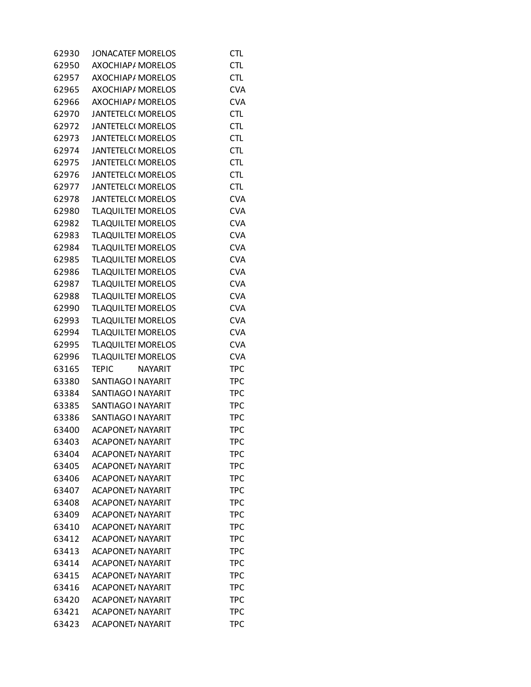| 62930 | <b>JONACATEF MORELOS</b>       | <b>CTL</b> |
|-------|--------------------------------|------------|
| 62950 | <b>AXOCHIAP/ MORELOS</b>       | <b>CTL</b> |
| 62957 | AXOCHIAP/ MORELOS              | <b>CTL</b> |
| 62965 | AXOCHIAP/ MORELOS              | <b>CVA</b> |
| 62966 | AXOCHIAP/ MORELOS              | <b>CVA</b> |
| 62970 | <b>JANTETELCI MORELOS</b>      | <b>CTL</b> |
| 62972 | <b>JANTETELCI MORELOS</b>      | <b>CTL</b> |
| 62973 | JANTETELC( MORELOS             | <b>CTL</b> |
| 62974 | <b>JANTETELCI MORELOS</b>      | <b>CTL</b> |
| 62975 | JANTETELC( MORELOS             | <b>CTL</b> |
| 62976 | <b>JANTETELCI MORELOS</b>      | <b>CTL</b> |
| 62977 | <b>JANTETELCI MORELOS</b>      | <b>CTL</b> |
| 62978 | <b>JANTETELCI MORELOS</b>      | <b>CVA</b> |
| 62980 | <b>TLAQUILTEI MORELOS</b>      | <b>CVA</b> |
| 62982 | <b>TLAQUILTEI MORELOS</b>      | <b>CVA</b> |
| 62983 | <b>TLAQUILTEI MORELOS</b>      | <b>CVA</b> |
| 62984 | <b>TLAQUILTEI MORELOS</b>      | <b>CVA</b> |
| 62985 | <b>TLAQUILTEI MORELOS</b>      | <b>CVA</b> |
| 62986 | <b>TLAQUILTEI MORELOS</b>      | <b>CVA</b> |
| 62987 | <b>TLAQUILTEI MORELOS</b>      | <b>CVA</b> |
| 62988 | <b>TLAQUILTEI MORELOS</b>      | <b>CVA</b> |
| 62990 | <b>TLAQUILTEI MORELOS</b>      | <b>CVA</b> |
| 62993 | <b>TLAQUILTEI MORELOS</b>      | <b>CVA</b> |
| 62994 | <b>TLAQUILTEI MORELOS</b>      | <b>CVA</b> |
| 62995 | <b>TLAQUILTEI MORELOS</b>      | <b>CVA</b> |
| 62996 | <b>TLAQUILTEI MORELOS</b>      | <b>CVA</b> |
| 63165 | <b>NAYARIT</b><br><b>TEPIC</b> | <b>TPC</b> |
| 63380 | SANTIAGO I NAYARIT             | <b>TPC</b> |
| 63384 | SANTIAGO I NAYARIT             | <b>TPC</b> |
| 63385 | SANTIAGO I NAYARIT             | <b>TPC</b> |
| 63386 | SANTIAGO I NAYARIT             | <b>TPC</b> |
| 63400 | <b>ACAPONET/ NAYARIT</b>       | <b>TPC</b> |
| 63403 | <b>ACAPONET/ NAYARIT</b>       | TPC        |
| 63404 | <b>ACAPONET, NAYARIT</b>       | TPC        |
| 63405 | <b>ACAPONET, NAYARIT</b>       | <b>TPC</b> |
| 63406 | <b>ACAPONET, NAYARIT</b>       | <b>TPC</b> |
| 63407 | <b>ACAPONET/ NAYARIT</b>       | TPC        |
| 63408 | <b>ACAPONET, NAYARIT</b>       | <b>TPC</b> |
| 63409 | <b>ACAPONET/ NAYARIT</b>       | <b>TPC</b> |
| 63410 | <b>ACAPONET, NAYARIT</b>       | <b>TPC</b> |
| 63412 | <b>ACAPONET, NAYARIT</b>       | <b>TPC</b> |
| 63413 | <b>ACAPONET/ NAYARIT</b>       | <b>TPC</b> |
| 63414 | <b>ACAPONET, NAYARIT</b>       | TPC        |
| 63415 | <b>ACAPONET, NAYARIT</b>       | <b>TPC</b> |
| 63416 | <b>ACAPONET, NAYARIT</b>       | <b>TPC</b> |
| 63420 | <b>ACAPONET, NAYARIT</b>       | TPC        |
| 63421 | <b>ACAPONET, NAYARIT</b>       | <b>TPC</b> |
| 63423 | <b>ACAPONET, NAYARIT</b>       | <b>TPC</b> |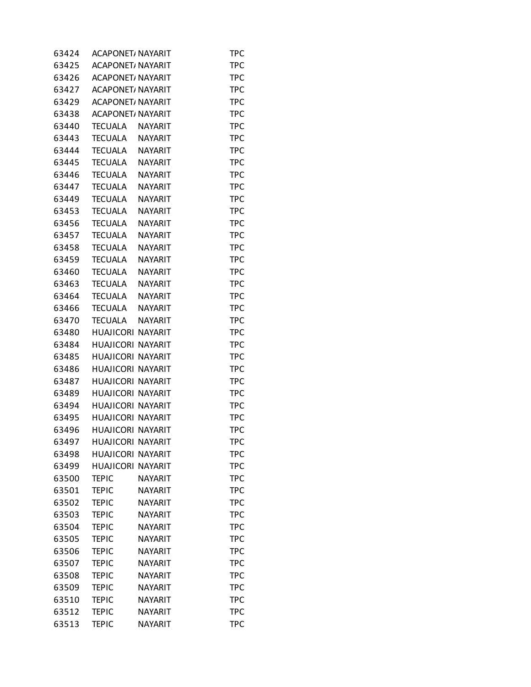| 63424 | <b>ACAPONET, NAYARIT</b> |                | TPC        |
|-------|--------------------------|----------------|------------|
| 63425 | ACAPONET, NAYARIT        |                | <b>TPC</b> |
| 63426 | <b>ACAPONET, NAYARIT</b> |                | <b>TPC</b> |
| 63427 | ACAPONET/ NAYARIT        |                | TPC        |
| 63429 | <b>ACAPONET, NAYARIT</b> |                | <b>TPC</b> |
| 63438 | <b>ACAPONET, NAYARIT</b> |                | <b>TPC</b> |
| 63440 | TECUALA                  | <b>NAYARIT</b> | TPC        |
| 63443 | <b>TECUALA</b>           | <b>NAYARIT</b> | <b>TPC</b> |
| 63444 | <b>TECUALA</b>           | <b>NAYARIT</b> | <b>TPC</b> |
| 63445 | <b>TECUALA</b>           | <b>NAYARIT</b> | TPC        |
| 63446 | <b>TECUALA</b>           | <b>NAYARIT</b> | <b>TPC</b> |
| 63447 | <b>TECUALA</b>           | <b>NAYARIT</b> | <b>TPC</b> |
| 63449 | <b>TECUALA</b>           | <b>NAYARIT</b> | TPC        |
| 63453 | <b>TECUALA</b>           | <b>NAYARIT</b> | <b>TPC</b> |
| 63456 | <b>TECUALA</b>           | <b>NAYARIT</b> | <b>TPC</b> |
| 63457 | <b>TECUALA</b>           | <b>NAYARIT</b> | <b>TPC</b> |
| 63458 | <b>TECUALA</b>           | <b>NAYARIT</b> | <b>TPC</b> |
| 63459 | <b>TECUALA</b>           | <b>NAYARIT</b> | <b>TPC</b> |
| 63460 | <b>TECUALA</b>           | <b>NAYARIT</b> | TPC        |
| 63463 | <b>TECUALA</b>           | <b>NAYARIT</b> | <b>TPC</b> |
| 63464 | TECUALA                  | <b>NAYARIT</b> | <b>TPC</b> |
| 63466 | <b>TECUALA</b>           | <b>NAYARIT</b> | <b>TPC</b> |
| 63470 | <b>TECUALA</b>           | <b>NAYARIT</b> | <b>TPC</b> |
| 63480 | <b>HUAJICORI</b>         | <b>NAYARIT</b> | <b>TPC</b> |
| 63484 | HUAJICORI NAYARIT        |                | TPC        |
| 63485 | HUAJICORI                | <b>NAYARIT</b> | <b>TPC</b> |
| 63486 | HUAJICORI NAYARIT        |                | <b>TPC</b> |
| 63487 | HUAJICORI NAYARIT        |                | <b>TPC</b> |
| 63489 | HUAJICORI NAYARIT        |                | <b>TPC</b> |
| 63494 | HUAJICORI NAYARIT        |                | <b>TPC</b> |
| 63495 | HUAJICORI NAYARIT        |                | TPC        |
| 63496 | HUAJICORI NAYARIT        |                | <b>TPC</b> |
| 63497 | HUAJICORI NAYARIT        |                | TPC        |
| 63498 | HUAJICORI NAYARIT        |                | TPC        |
| 63499 | HUAJICORI                | <b>NAYARIT</b> | TPC        |
| 63500 | <b>TEPIC</b>             | <b>NAYARIT</b> | <b>TPC</b> |
| 63501 | TEPIC                    | <b>NAYARIT</b> | <b>TPC</b> |
| 63502 | <b>TEPIC</b>             | <b>NAYARIT</b> | <b>TPC</b> |
| 63503 | <b>TEPIC</b>             | <b>NAYARIT</b> | <b>TPC</b> |
| 63504 | TEPIC                    | <b>NAYARIT</b> | TPC        |
| 63505 | <b>TEPIC</b>             | <b>NAYARIT</b> | <b>TPC</b> |
| 63506 | <b>TEPIC</b>             | <b>NAYARIT</b> | <b>TPC</b> |
| 63507 | <b>TEPIC</b>             | <b>NAYARIT</b> | TPC        |
| 63508 | <b>TEPIC</b>             | <b>NAYARIT</b> | <b>TPC</b> |
| 63509 | <b>TEPIC</b>             | <b>NAYARIT</b> | <b>TPC</b> |
| 63510 | TEPIC                    | <b>NAYARIT</b> | TPC        |
| 63512 | TEPIC                    | <b>NAYARIT</b> | <b>TPC</b> |
| 63513 | <b>TEPIC</b>             | NAYARIT        | <b>TPC</b> |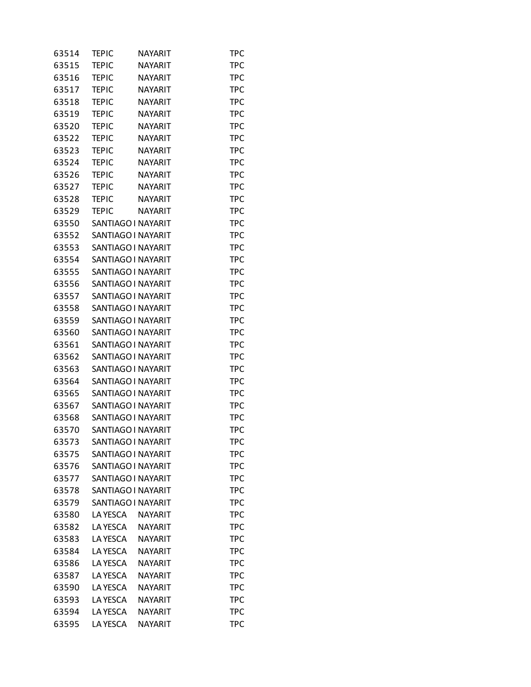| 63514 | TEPIC              | <b>NAYARIT</b> | TPC        |
|-------|--------------------|----------------|------------|
| 63515 | <b>TEPIC</b>       | NAYARIT        | <b>TPC</b> |
| 63516 | <b>TEPIC</b>       | <b>NAYARIT</b> | <b>TPC</b> |
| 63517 | <b>TEPIC</b>       | <b>NAYARIT</b> | TPC        |
| 63518 | <b>TEPIC</b>       | NAYARIT        | <b>TPC</b> |
| 63519 | <b>TEPIC</b>       | <b>NAYARIT</b> | <b>TPC</b> |
| 63520 | <b>TEPIC</b>       | <b>NAYARIT</b> | TPC        |
| 63522 | <b>TEPIC</b>       | <b>NAYARIT</b> | <b>TPC</b> |
| 63523 | <b>TEPIC</b>       | <b>NAYARIT</b> | <b>TPC</b> |
| 63524 | <b>TEPIC</b>       | <b>NAYARIT</b> | <b>TPC</b> |
| 63526 | <b>TEPIC</b>       | <b>NAYARIT</b> | <b>TPC</b> |
| 63527 | <b>TEPIC</b>       | <b>NAYARIT</b> | <b>TPC</b> |
| 63528 | <b>TEPIC</b>       | <b>NAYARIT</b> | TPC        |
| 63529 | <b>TEPIC</b>       | <b>NAYARIT</b> | <b>TPC</b> |
| 63550 | SANTIAGO I NAYARIT |                | <b>TPC</b> |
| 63552 | SANTIAGO I NAYARIT |                | <b>TPC</b> |
| 63553 | SANTIAGO I NAYARIT |                | <b>TPC</b> |
| 63554 | SANTIAGO I NAYARIT |                | <b>TPC</b> |
| 63555 | SANTIAGO I NAYARIT |                | TPC        |
| 63556 | SANTIAGO I NAYARIT |                | <b>TPC</b> |
| 63557 | SANTIAGO I NAYARIT |                | <b>TPC</b> |
| 63558 | SANTIAGO I NAYARIT |                | <b>TPC</b> |
| 63559 | SANTIAGO I NAYARIT |                | <b>TPC</b> |
| 63560 | SANTIAGO I NAYARIT |                | <b>TPC</b> |
| 63561 | SANTIAGO I NAYARIT |                | TPC        |
| 63562 | SANTIAGO I NAYARIT |                | <b>TPC</b> |
| 63563 | SANTIAGO I NAYARIT |                | <b>TPC</b> |
| 63564 | SANTIAGO I NAYARIT |                | <b>TPC</b> |
| 63565 | SANTIAGO I NAYARIT |                | <b>TPC</b> |
| 63567 | SANTIAGO I NAYARIT |                | <b>TPC</b> |
| 63568 | SANTIAGO I NAYARIT |                | TPC        |
| 63570 | SANTIAGO I NAYARIT |                | <b>TPC</b> |
| 63573 | SANTIAGO I NAYARIT |                | <b>TPC</b> |
| 63575 | SANTIAGO I NAYARIT |                | <b>TPC</b> |
| 63576 | SANTIAGO I NAYARIT |                | <b>TPC</b> |
| 63577 | SANTIAGO I NAYARIT |                | <b>TPC</b> |
| 63578 | SANTIAGO I NAYARIT |                | TPC        |
| 63579 | SANTIAGO I NAYARIT |                | <b>TPC</b> |
| 63580 | LA YESCA           | <b>NAYARIT</b> | <b>TPC</b> |
| 63582 | LA YESCA           | <b>NAYARIT</b> | TPC        |
| 63583 | <b>LA YESCA</b>    | <b>NAYARIT</b> | <b>TPC</b> |
| 63584 | LA YESCA           | <b>NAYARIT</b> | <b>TPC</b> |
| 63586 | <b>LA YESCA</b>    | <b>NAYARIT</b> | TPC        |
| 63587 | <b>LA YESCA</b>    | <b>NAYARIT</b> | <b>TPC</b> |
| 63590 | LA YESCA           | <b>NAYARIT</b> | <b>TPC</b> |
| 63593 | <b>LA YESCA</b>    | <b>NAYARIT</b> | TPC        |
| 63594 | <b>LA YESCA</b>    | <b>NAYARIT</b> | <b>TPC</b> |
| 63595 | LA YESCA           | NAYARIT        | <b>TPC</b> |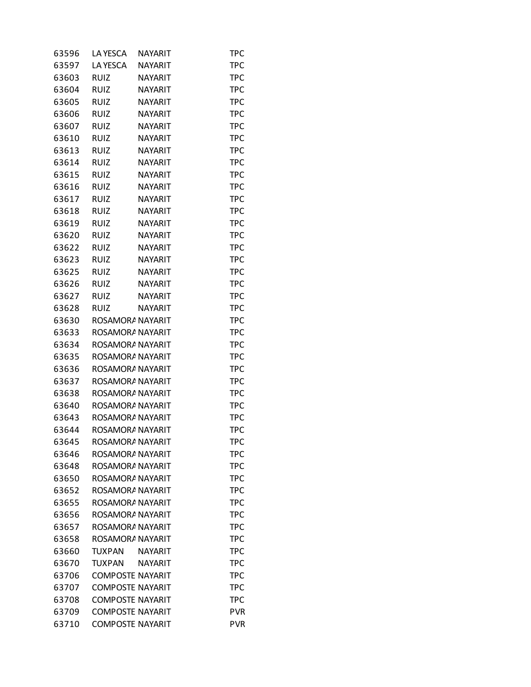| 63596 | LA YESCA                | NAYARIT        | TPC        |
|-------|-------------------------|----------------|------------|
| 63597 | LA YESCA                | <b>NAYARIT</b> | <b>TPC</b> |
| 63603 | <b>RUIZ</b>             | <b>NAYARIT</b> | <b>TPC</b> |
| 63604 | <b>RUIZ</b>             | <b>NAYARIT</b> | <b>TPC</b> |
| 63605 | <b>RUIZ</b>             | <b>NAYARIT</b> | <b>TPC</b> |
| 63606 | <b>RUIZ</b>             | <b>NAYARIT</b> | <b>TPC</b> |
| 63607 | <b>RUIZ</b>             | <b>NAYARIT</b> | TPC        |
| 63610 | <b>RUIZ</b>             | <b>NAYARIT</b> | <b>TPC</b> |
| 63613 | <b>RUIZ</b>             | <b>NAYARIT</b> | <b>TPC</b> |
| 63614 | <b>RUIZ</b>             | <b>NAYARIT</b> | <b>TPC</b> |
| 63615 | <b>RUIZ</b>             | <b>NAYARIT</b> | <b>TPC</b> |
| 63616 | <b>RUIZ</b>             | <b>NAYARIT</b> | <b>TPC</b> |
| 63617 | <b>RUIZ</b>             | <b>NAYARIT</b> | TPC        |
| 63618 | <b>RUIZ</b>             | <b>NAYARIT</b> | <b>TPC</b> |
| 63619 | <b>RUIZ</b>             | <b>NAYARIT</b> | <b>TPC</b> |
| 63620 | <b>RUIZ</b>             | <b>NAYARIT</b> | <b>TPC</b> |
| 63622 | <b>RUIZ</b>             | <b>NAYARIT</b> | <b>TPC</b> |
| 63623 | <b>RUIZ</b>             | <b>NAYARIT</b> | <b>TPC</b> |
| 63625 | <b>RUIZ</b>             | <b>NAYARIT</b> | TPC        |
| 63626 | <b>RUIZ</b>             | <b>NAYARIT</b> | <b>TPC</b> |
| 63627 | <b>RUIZ</b>             | <b>NAYARIT</b> | <b>TPC</b> |
| 63628 | <b>RUIZ</b>             | <b>NAYARIT</b> | <b>TPC</b> |
| 63630 | ROSAMORA NAYARIT        |                | <b>TPC</b> |
| 63633 | ROSAMORA NAYARIT        |                | <b>TPC</b> |
| 63634 | ROSAMORA NAYARIT        |                | TPC        |
| 63635 | ROSAMORA NAYARIT        |                | <b>TPC</b> |
| 63636 | ROSAMORA NAYARIT        |                | <b>TPC</b> |
| 63637 | ROSAMORA NAYARIT        |                | <b>TPC</b> |
| 63638 | ROSAMORA NAYARIT        |                | <b>TPC</b> |
| 63640 | ROSAMORA NAYARIT        |                | <b>TPC</b> |
| 63643 | ROSAMORA NAYARIT        |                | TPC        |
| 63644 | ROSAMORA NAYARIT        |                | <b>TPC</b> |
| 63645 | ROSAMORA NAYARIT        |                | <b>TPC</b> |
| 63646 | ROSAMORA NAYARIT        |                | TPC        |
| 63648 | ROSAMORA NAYARIT        |                | TPC        |
| 63650 | ROSAMORA NAYARIT        |                | <b>TPC</b> |
| 63652 | ROSAMORA NAYARIT        |                | <b>TPC</b> |
| 63655 | ROSAMORA NAYARIT        |                | <b>TPC</b> |
| 63656 | ROSAMORA NAYARIT        |                | <b>TPC</b> |
| 63657 | ROSAMORA NAYARIT        |                | TPC        |
| 63658 | ROSAMORA NAYARIT        |                | <b>TPC</b> |
| 63660 | TUXPAN                  | NAYARIT        | <b>TPC</b> |
| 63670 | <b>TUXPAN</b>           | NAYARIT        | <b>TPC</b> |
| 63706 | <b>COMPOSTE NAYARIT</b> |                | <b>TPC</b> |
| 63707 | <b>COMPOSTE NAYARIT</b> |                | <b>TPC</b> |
| 63708 | <b>COMPOSTE NAYARIT</b> |                | TPC        |
| 63709 | <b>COMPOSTE NAYARIT</b> |                | <b>PVR</b> |
| 63710 | <b>COMPOSTE NAYARIT</b> |                | <b>PVR</b> |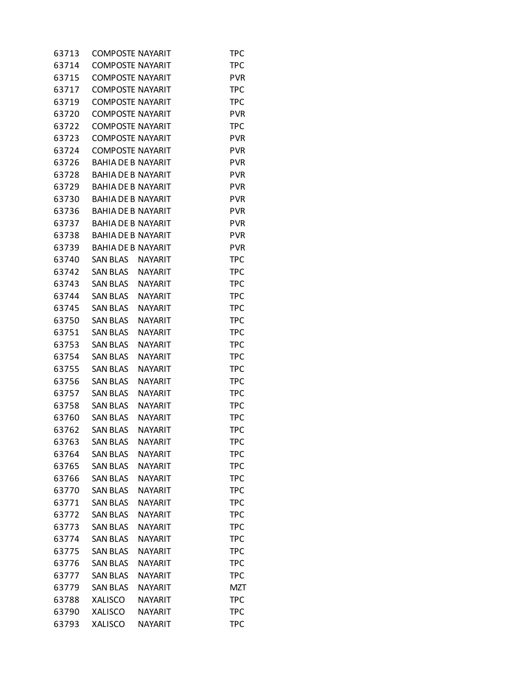| 63713 | <b>COMPOSTE NAYARIT</b>   |                | TPC        |
|-------|---------------------------|----------------|------------|
| 63714 | <b>COMPOSTE NAYARIT</b>   |                | <b>TPC</b> |
| 63715 | <b>COMPOSTE NAYARIT</b>   |                | <b>PVR</b> |
| 63717 | <b>COMPOSTE NAYARIT</b>   |                | <b>TPC</b> |
| 63719 | <b>COMPOSTE NAYARIT</b>   |                | <b>TPC</b> |
| 63720 | <b>COMPOSTE NAYARIT</b>   |                | <b>PVR</b> |
| 63722 | <b>COMPOSTE NAYARIT</b>   |                | <b>TPC</b> |
| 63723 | <b>COMPOSTE NAYARIT</b>   |                | <b>PVR</b> |
| 63724 | <b>COMPOSTE NAYARIT</b>   |                | <b>PVR</b> |
| 63726 | <b>BAHIA DE B NAYARIT</b> |                | <b>PVR</b> |
| 63728 | <b>BAHIA DE B NAYARIT</b> |                | <b>PVR</b> |
| 63729 | <b>BAHIA DE B NAYARIT</b> |                | <b>PVR</b> |
| 63730 | BAHIA DE B NAYARIT        |                | <b>PVR</b> |
| 63736 | <b>BAHIA DE B NAYARIT</b> |                | <b>PVR</b> |
| 63737 | <b>BAHIA DE B NAYARIT</b> |                | <b>PVR</b> |
| 63738 | <b>BAHIA DE B NAYARIT</b> |                | <b>PVR</b> |
| 63739 | <b>BAHIA DE B NAYARIT</b> |                | <b>PVR</b> |
| 63740 | SAN BLAS                  | <b>NAYARIT</b> | <b>TPC</b> |
| 63742 | SAN BLAS                  | <b>NAYARIT</b> | TPC        |
| 63743 | <b>SAN BLAS</b>           | <b>NAYARIT</b> | <b>TPC</b> |
| 63744 | <b>SAN BLAS</b>           | <b>NAYARIT</b> | <b>TPC</b> |
| 63745 | <b>SAN BLAS</b>           | <b>NAYARIT</b> | TPC        |
| 63750 | <b>SAN BLAS</b>           | <b>NAYARIT</b> | <b>TPC</b> |
| 63751 | <b>SAN BLAS</b>           | <b>NAYARIT</b> | <b>TPC</b> |
| 63753 | <b>SAN BLAS</b>           | <b>NAYARIT</b> | TPC        |
| 63754 | <b>SAN BLAS</b>           | <b>NAYARIT</b> | <b>TPC</b> |
| 63755 | <b>SAN BLAS</b>           | <b>NAYARIT</b> | <b>TPC</b> |
| 63756 | <b>SAN BLAS</b>           | <b>NAYARIT</b> | TPC        |
| 63757 | <b>SAN BLAS</b>           | <b>NAYARIT</b> | <b>TPC</b> |
| 63758 | <b>SAN BLAS</b>           | <b>NAYARIT</b> | <b>TPC</b> |
| 63760 | <b>SAN BLAS</b>           | <b>NAYARIT</b> | TPC        |
| 63762 | <b>SAN BLAS</b>           | <b>NAYARIT</b> | <b>TPC</b> |
| 63763 | <b>SAN BLAS</b>           | NAYARIT        | TPC        |
| 63764 | <b>SAN BLAS</b>           | <b>NAYARIT</b> | <b>TPC</b> |
| 63765 | <b>SAN BLAS</b>           | <b>NAYARIT</b> | <b>TPC</b> |
| 63766 | <b>SAN BLAS</b>           | <b>NAYARIT</b> | <b>TPC</b> |
| 63770 | <b>SAN BLAS</b>           | <b>NAYARIT</b> | <b>TPC</b> |
| 63771 | <b>SAN BLAS</b>           | <b>NAYARIT</b> | <b>TPC</b> |
| 63772 | <b>SAN BLAS</b>           | <b>NAYARIT</b> | <b>TPC</b> |
| 63773 | <b>SAN BLAS</b>           | <b>NAYARIT</b> | TPC        |
| 63774 | <b>SAN BLAS</b>           | <b>NAYARIT</b> | <b>TPC</b> |
| 63775 | <b>SAN BLAS</b>           | <b>NAYARIT</b> | <b>TPC</b> |
| 63776 | <b>SAN BLAS</b>           | <b>NAYARIT</b> | TPC        |
| 63777 | <b>SAN BLAS</b>           | <b>NAYARIT</b> | <b>TPC</b> |
| 63779 | <b>SAN BLAS</b>           | NAYARIT        | <b>MZT</b> |
| 63788 | <b>XALISCO</b>            | NAYARIT        | <b>TPC</b> |
| 63790 | <b>XALISCO</b>            | <b>NAYARIT</b> | <b>TPC</b> |
| 63793 | <b>XALISCO</b>            | NAYARIT        | <b>TPC</b> |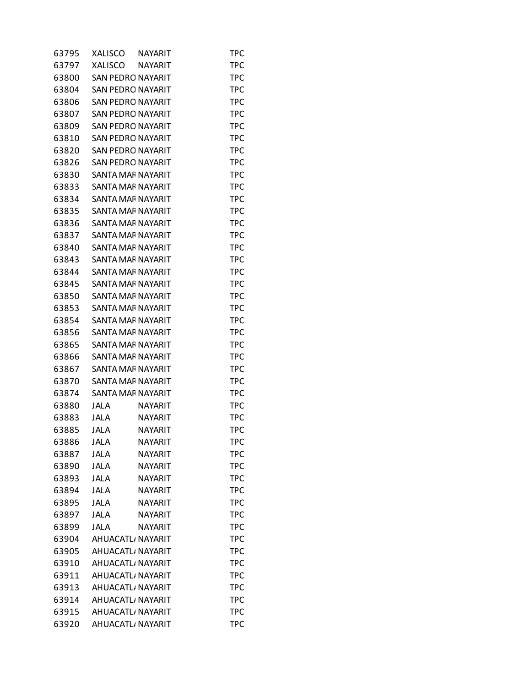| 63795 | XALISCO                  | NAYARIT        | <b>TPC</b> |
|-------|--------------------------|----------------|------------|
| 63797 | <b>XALISCO</b>           | NAYARIT        | <b>TPC</b> |
| 63800 | <b>SAN PEDRO NAYARIT</b> |                | <b>TPC</b> |
| 63804 | SAN PEDRO NAYARIT        |                | <b>TPC</b> |
| 63806 | <b>SAN PEDRO NAYARIT</b> |                | <b>TPC</b> |
| 63807 | <b>SAN PEDRO NAYARIT</b> |                | <b>TPC</b> |
| 63809 | SAN PEDRO NAYARIT        |                | TPC        |
| 63810 | <b>SAN PEDRO NAYARIT</b> |                | <b>TPC</b> |
| 63820 | <b>SAN PEDRO NAYARIT</b> |                | <b>TPC</b> |
| 63826 | <b>SAN PEDRO NAYARIT</b> |                | <b>TPC</b> |
| 63830 | SANTA MAF NAYARIT        |                | <b>TPC</b> |
| 63833 | SANTA MAF NAYARIT        |                | <b>TPC</b> |
| 63834 | SANTA MAF NAYARIT        |                | TPC        |
| 63835 | SANTA MAF NAYARIT        |                | <b>TPC</b> |
| 63836 | SANTA MAF NAYARIT        |                | <b>TPC</b> |
| 63837 | SANTA MAF NAYARIT        |                | <b>TPC</b> |
| 63840 | <b>SANTA MAF NAYARIT</b> |                | <b>TPC</b> |
| 63843 | <b>SANTA MAF NAYARIT</b> |                | <b>TPC</b> |
| 63844 | SANTA MAF NAYARIT        |                | TPC        |
| 63845 | SANTA MAF NAYARIT        |                | <b>TPC</b> |
| 63850 | <b>SANTA MAF NAYARIT</b> |                | <b>TPC</b> |
| 63853 | SANTA MAF NAYARIT        |                | <b>TPC</b> |
| 63854 | SANTA MAF NAYARIT        |                | <b>TPC</b> |
| 63856 | SANTA MAF NAYARIT        |                | <b>TPC</b> |
| 63865 | SANTA MAF NAYARIT        |                | TPC        |
| 63866 | SANTA MAF NAYARIT        |                | <b>TPC</b> |
| 63867 | SANTA MAF NAYARIT        |                | <b>TPC</b> |
| 63870 | SANTA MAF NAYARIT        |                | <b>TPC</b> |
| 63874 | SANTA MAF NAYARIT        |                | <b>TPC</b> |
| 63880 | JALA                     | <b>NAYARIT</b> | <b>TPC</b> |
| 63883 | JALA                     | <b>NAYARIT</b> | TPC        |
| 63885 | JALA                     | <b>NAYARIT</b> | <b>TPC</b> |
| 63886 | <b>JALA</b>              | NAYARIT        | TPC        |
| 63887 | <b>JALA</b>              | <b>NAYARIT</b> | <b>TPC</b> |
| 63890 | <b>JALA</b>              | <b>NAYARIT</b> | <b>TPC</b> |
| 63893 | <b>JALA</b>              | NAYARIT        | <b>TPC</b> |
| 63894 | <b>JALA</b>              | <b>NAYARIT</b> | <b>TPC</b> |
| 63895 | <b>JALA</b>              | <b>NAYARIT</b> | <b>TPC</b> |
| 63897 | <b>JALA</b>              | <b>NAYARIT</b> | <b>TPC</b> |
| 63899 | <b>JALA</b>              | <b>NAYARIT</b> | <b>TPC</b> |
| 63904 | AHUACATL, NAYARIT        |                | <b>TPC</b> |
| 63905 | AHUACATL, NAYARIT        |                | <b>TPC</b> |
| 63910 | AHUACATL, NAYARIT        |                | <b>TPC</b> |
| 63911 | AHUACATL, NAYARIT        |                | <b>TPC</b> |
| 63913 | AHUACATL, NAYARIT        |                | <b>TPC</b> |
| 63914 | AHUACATL, NAYARIT        |                | <b>TPC</b> |
| 63915 | AHUACATL, NAYARIT        |                | <b>TPC</b> |
| 63920 | AHUACATL, NAYARIT        |                | <b>TPC</b> |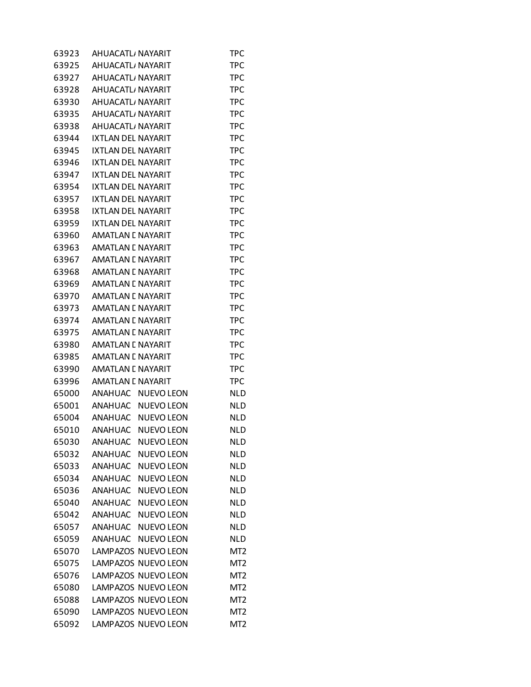| 63923 | AHUACATL, NAYARIT                   | TPC             |
|-------|-------------------------------------|-----------------|
| 63925 | AHUACATL, NAYARIT                   | <b>TPC</b>      |
| 63927 | AHUACATL, NAYARIT                   | <b>TPC</b>      |
| 63928 | AHUACATL, NAYARIT                   | <b>TPC</b>      |
| 63930 | AHUACATL, NAYARIT                   | <b>TPC</b>      |
| 63935 | AHUACATL, NAYARIT                   | <b>TPC</b>      |
| 63938 | AHUACATL, NAYARIT                   | <b>TPC</b>      |
| 63944 | <b>IXTLAN DEL NAYARIT</b>           | <b>TPC</b>      |
| 63945 | <b>IXTLAN DEL NAYARIT</b>           | <b>TPC</b>      |
| 63946 | IXTLAN DEL NAYARIT                  | <b>TPC</b>      |
| 63947 | <b>IXTLAN DEL NAYARIT</b>           | <b>TPC</b>      |
| 63954 | <b>IXTLAN DEL NAYARIT</b>           | <b>TPC</b>      |
| 63957 | IXTLAN DEL NAYARIT                  | <b>TPC</b>      |
| 63958 | <b>IXTLAN DEL NAYARIT</b>           | <b>TPC</b>      |
| 63959 | <b>IXTLAN DEL NAYARIT</b>           | <b>TPC</b>      |
| 63960 | AMATLAN E NAYARIT                   | <b>TPC</b>      |
| 63963 | <b>AMATLAN E NAYARIT</b>            | <b>TPC</b>      |
| 63967 | AMATLAN E NAYARIT                   | <b>TPC</b>      |
| 63968 | AMATLAN E NAYARIT                   | <b>TPC</b>      |
| 63969 | AMATLAN E NAYARIT                   | <b>TPC</b>      |
| 63970 | AMATLAN E NAYARIT                   | <b>TPC</b>      |
| 63973 | AMATLAN E NAYARIT                   | <b>TPC</b>      |
| 63974 | <b>AMATLAN E NAYARIT</b>            | <b>TPC</b>      |
| 63975 | AMATLAN E NAYARIT                   | <b>TPC</b>      |
| 63980 | AMATLAN E NAYARIT                   | <b>TPC</b>      |
| 63985 | <b>AMATLAN E NAYARIT</b>            | <b>TPC</b>      |
| 63990 | AMATLAN E NAYARIT                   | <b>TPC</b>      |
| 63996 | AMATLAN E NAYARIT                   | <b>TPC</b>      |
| 65000 | ANAHUAC NUEVO LEON                  | <b>NLD</b>      |
| 65001 | ANAHUAC<br>NUEVO LEON               | <b>NLD</b>      |
| 65004 | <b>ANAHUAC</b><br>NUEVO LEON        | <b>NLD</b>      |
| 65010 | ANAHUAC<br><b>NUEVO LEON</b>        | <b>NLD</b>      |
| 65030 | <b>ANAHUAC</b><br><b>NUEVO LEON</b> | <b>NLD</b>      |
| 65032 | ANAHUAC<br><b>NUEVO LEON</b>        | <b>NLD</b>      |
| 65033 | <b>NUEVO LEON</b><br>ANAHUAC        | <b>NLD</b>      |
| 65034 | <b>NUEVO LEON</b><br>ANAHUAC        | <b>NLD</b>      |
| 65036 | ANAHUAC<br><b>NUEVO LEON</b>        | <b>NLD</b>      |
| 65040 | ANAHUAC<br><b>NUEVO LEON</b>        | <b>NLD</b>      |
| 65042 | ANAHUAC<br><b>NUEVO LEON</b>        | <b>NLD</b>      |
| 65057 | ANAHUAC NUEVO LEON                  | <b>NLD</b>      |
| 65059 | <b>ANAHUAC</b><br>NUEVO LEON        | <b>NLD</b>      |
| 65070 | LAMPAZOS NUEVO LEON                 | MT <sub>2</sub> |
| 65075 | LAMPAZOS NUEVO LEON                 | MT <sub>2</sub> |
| 65076 | LAMPAZOS NUEVO LEON                 | MT <sub>2</sub> |
| 65080 | LAMPAZOS NUEVO LEON                 | MT <sub>2</sub> |
| 65088 | LAMPAZOS NUEVO LEON                 | MT <sub>2</sub> |
| 65090 | LAMPAZOS NUEVO LEON                 | MT <sub>2</sub> |
| 65092 | LAMPAZOS NUEVO LEON                 | MT <sub>2</sub> |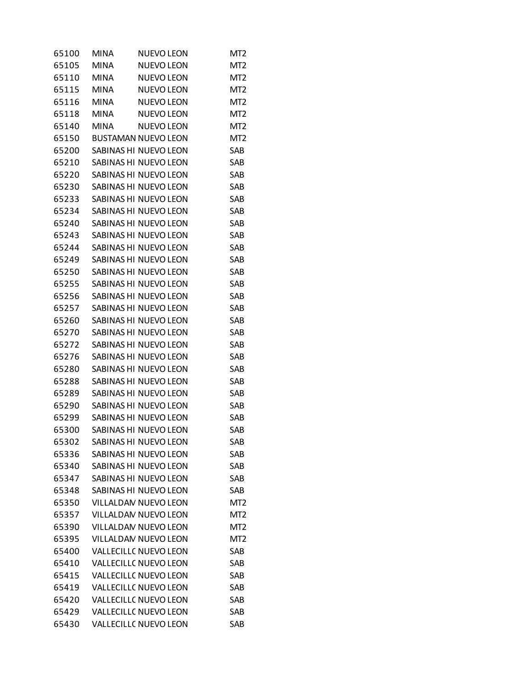| 65100 | <b>MINA</b> | <b>NUEVO LEON</b>            | MT <sub>2</sub>  |
|-------|-------------|------------------------------|------------------|
| 65105 | <b>MINA</b> | <b>NUEVO LEON</b>            | MT <sub>2</sub>  |
| 65110 | <b>MINA</b> | <b>NUEVO LEON</b>            | MT <sub>2</sub>  |
| 65115 | <b>MINA</b> | <b>NUEVO LEON</b>            | MT <sub>2</sub>  |
| 65116 | <b>MINA</b> | <b>NUEVO LEON</b>            | MT <sub>2</sub>  |
| 65118 | <b>MINA</b> | <b>NUEVO LEON</b>            | MT <sub>2</sub>  |
| 65140 | <b>MINA</b> | <b>NUEVO LEON</b>            | MT <sub>2</sub>  |
| 65150 |             | <b>BUSTAMAN NUEVO LEON</b>   | MT <sub>2</sub>  |
| 65200 |             | SABINAS HI NUEVO LEON        | SAB              |
| 65210 |             | SABINAS HI NUEVO LEON        | SAB              |
| 65220 |             | SABINAS HI NUEVO LEON        | SAB              |
| 65230 |             | SABINAS HI NUEVO LEON        | SAB              |
| 65233 |             | SABINAS HI NUEVO LEON        | SAB              |
| 65234 |             | SABINAS HI NUEVO LEON        | SAB              |
| 65240 |             | SABINAS HI NUEVO LEON        | SAB              |
| 65243 |             | SABINAS HI NUEVO LEON        | SAB              |
| 65244 |             | SABINAS HI NUEVO LEON        | SAB              |
| 65249 |             | SABINAS HI NUEVO LEON        | SAB              |
| 65250 |             | SABINAS HI NUEVO LEON        | SAB              |
| 65255 |             | SABINAS HI NUEVO LEON        | <b>SAB</b>       |
| 65256 |             | SABINAS HI NUEVO LEON        | SAB              |
| 65257 |             | SABINAS HI NUEVO LEON        | SAB              |
| 65260 |             | SABINAS HI NUEVO LEON        | SAB              |
| 65270 |             | SABINAS HI NUEVO LEON        | SAB              |
| 65272 |             | SABINAS HI NUEVO LEON        | SAB              |
| 65276 |             | SABINAS HI NUEVO LEON        | SAB              |
| 65280 |             | SABINAS HI NUEVO LEON        | SAB              |
| 65288 |             | SABINAS HI NUEVO LEON        | SAB              |
| 65289 |             | SABINAS HI NUEVO LEON        | SAB              |
| 65290 |             | SABINAS HI NUEVO LEON        | SAB              |
| 65299 |             | SABINAS HI NUEVO LEON        | SAB              |
| 65300 |             | SABINAS HI NUEVO LEON        | SAB              |
| 65302 |             | SABINAS HI NUEVO LEON        | SAB              |
| 65336 |             | <b>SABINAS HI NUEVO LEON</b> | SAB              |
| 65340 |             | SABINAS HI NUEVO LEON        | SAB              |
| 65347 |             | SABINAS HI NUEVO LEON        | SAB              |
| 65348 |             | SABINAS HI NUEVO LEON        | SAB              |
| 65350 |             | <b>VILLALDAN NUEVO LEON</b>  | M <sub>T</sub> 2 |
| 65357 |             | VILLALDAN NUEVO LEON         | MT <sub>2</sub>  |
| 65390 |             | VILLALDAN NUEVO LEON         | MT <sub>2</sub>  |
| 65395 |             | VILLALDAN NUEVO LEON         | M <sub>T</sub> 2 |
| 65400 |             | VALLECILL( NUEVO LEON        | SAB              |
| 65410 |             | VALLECILLC NUEVO LEON        | SAB              |
| 65415 |             | <b>VALLECILLC NUEVO LEON</b> | SAB              |
| 65419 |             | <b>VALLECILLC NUEVO LEON</b> | SAB              |
| 65420 |             | VALLECILLC NUEVO LEON        | SAB              |
| 65429 |             | VALLECILLC NUEVO LEON        | SAB              |
| 65430 |             | VALLECILLC NUEVO LEON        | SAB              |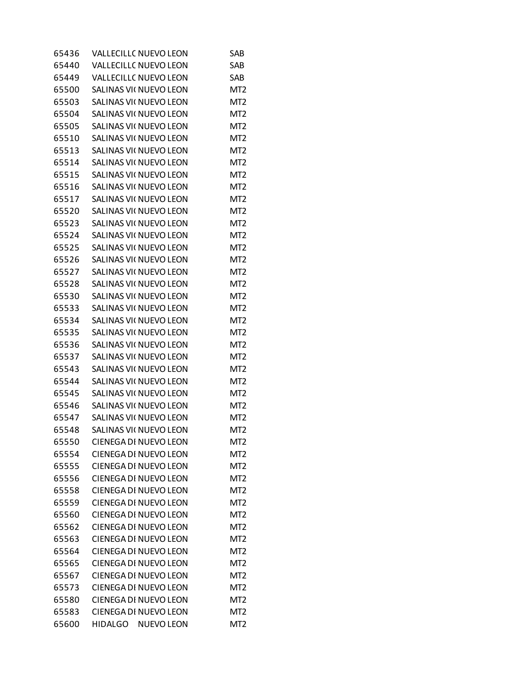| 65436 | <b>VALLECILLC NUEVO LEON</b>  | SAB             |
|-------|-------------------------------|-----------------|
| 65440 | <b>VALLECILLC NUEVO LEON</b>  | SAB             |
| 65449 | <b>VALLECILLC NUEVO LEON</b>  | SAB             |
| 65500 | SALINAS VII NUEVO LEON        | MT <sub>2</sub> |
| 65503 | SALINAS VII NUEVO LEON        | MT <sub>2</sub> |
| 65504 | SALINAS VII NUEVO LEON        | MT <sub>2</sub> |
| 65505 | SALINAS VII NUEVO LEON        | MT <sub>2</sub> |
| 65510 | SALINAS VII NUEVO LEON        | MT <sub>2</sub> |
| 65513 | SALINAS VII NUEVO LEON        | MT <sub>2</sub> |
| 65514 | <b>SALINAS VII NUEVO LEON</b> | MT <sub>2</sub> |
| 65515 | SALINAS VII NUEVO LEON        | MT <sub>2</sub> |
| 65516 | SALINAS VII NUEVO LEON        | MT <sub>2</sub> |
| 65517 | SALINAS VII NUEVO LEON        | MT <sub>2</sub> |
| 65520 | SALINAS VII NUEVO LEON        | MT <sub>2</sub> |
| 65523 | SALINAS VII NUEVO LEON        | MT <sub>2</sub> |
| 65524 | SALINAS VII NUEVO LEON        | MT <sub>2</sub> |
| 65525 | SALINAS VII NUEVO LEON        | MT <sub>2</sub> |
| 65526 | SALINAS VII NUEVO LEON        | MT <sub>2</sub> |
| 65527 | <b>SALINAS VII NUEVO LEON</b> | MT <sub>2</sub> |
| 65528 | <b>SALINAS VII NUEVO LEON</b> | MT <sub>2</sub> |
| 65530 | SALINAS VII NUEVO LEON        | MT <sub>2</sub> |
| 65533 | SALINAS VII NUEVO LEON        | MT <sub>2</sub> |
|       |                               |                 |
| 65534 | SALINAS VII NUEVO LEON        | MT <sub>2</sub> |
| 65535 | SALINAS VII NUEVO LEON        | MT <sub>2</sub> |
| 65536 | SALINAS VII NUEVO LEON        | MT <sub>2</sub> |
| 65537 | SALINAS VII NUEVO LEON        | MT <sub>2</sub> |
| 65543 | SALINAS VII NUEVO LEON        | MT <sub>2</sub> |
| 65544 | SALINAS VII NUEVO LEON        | MT <sub>2</sub> |
| 65545 | SALINAS VII NUEVO LEON        | MT <sub>2</sub> |
| 65546 | <b>SALINAS VII NUEVO LEON</b> | MT <sub>2</sub> |
| 65547 | <b>SALINAS VII NUEVO LEON</b> | MT <sub>2</sub> |
| 65548 | SALINAS VII NUEVO LEON        | MT <sub>2</sub> |
| 65550 | <b>CIENEGA DI NUEVO LEON</b>  | MT <sub>2</sub> |
| 65554 | <b>CIENEGA DI NUEVO LEON</b>  | MT <sub>2</sub> |
| 65555 | <b>CIENEGA DI NUEVO LEON</b>  | MT <sub>2</sub> |
| 65556 | <b>CIENEGA DI NUEVO LEON</b>  | MT <sub>2</sub> |
| 65558 | <b>CIENEGA DI NUEVO LEON</b>  | MT <sub>2</sub> |
| 65559 | <b>CIENEGA DI NUEVO LEON</b>  | MT <sub>2</sub> |
| 65560 | <b>CIENEGA DI NUEVO LEON</b>  | MT <sub>2</sub> |
| 65562 | <b>CIENEGA DI NUEVO LEON</b>  | MT <sub>2</sub> |
| 65563 | <b>CIENEGA DI NUEVO LEON</b>  | MT <sub>2</sub> |
| 65564 | CIENEGA DI NUEVO LEON         | MT <sub>2</sub> |
| 65565 | CIENEGA DI NUEVO LEON         | MT <sub>2</sub> |
| 65567 | CIENEGA DI NUEVO LEON         | MT <sub>2</sub> |
| 65573 | CIENEGA DI NUEVO LEON         | MT <sub>2</sub> |
| 65580 | <b>CIENEGA DI NUEVO LEON</b>  | MT <sub>2</sub> |
| 65583 | CIENEGA DI NUEVO LEON         | MT <sub>2</sub> |
| 65600 | HIDALGO NUEVO LEON            | MT <sub>2</sub> |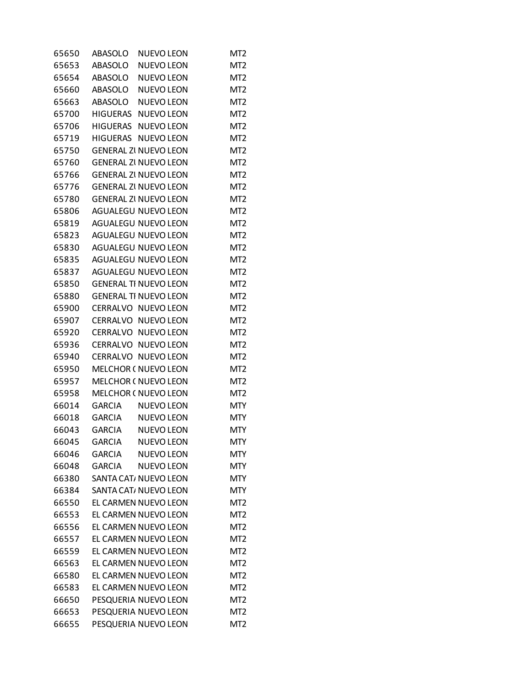| 65650 | ABASOLO       | <b>NUEVO LEON</b>            | MT <sub>2</sub> |
|-------|---------------|------------------------------|-----------------|
| 65653 | ABASOLO       | <b>NUEVO LEON</b>            | MT <sub>2</sub> |
| 65654 | ABASOLO       | <b>NUEVO LEON</b>            | MT <sub>2</sub> |
| 65660 |               | ABASOLO NUEVO LEON           | MT <sub>2</sub> |
| 65663 | ABASOLO       | <b>NUEVO LEON</b>            | MT <sub>2</sub> |
| 65700 | HIGUERAS      | <b>NUEVO LEON</b>            | MT <sub>2</sub> |
| 65706 |               | HIGUERAS NUEVO LEON          | MT <sub>2</sub> |
| 65719 | HIGUERAS      | <b>NUEVO LEON</b>            | MT <sub>2</sub> |
| 65750 |               | <b>GENERAL ZI NUEVO LEON</b> | MT <sub>2</sub> |
| 65760 |               | <b>GENERAL ZI NUEVO LEON</b> | MT <sub>2</sub> |
| 65766 |               | <b>GENERAL ZI NUEVO LEON</b> | MT <sub>2</sub> |
| 65776 |               | <b>GENERAL ZI NUEVO LEON</b> | MT <sub>2</sub> |
| 65780 |               | <b>GENERAL ZI NUEVO LEON</b> | MT <sub>2</sub> |
| 65806 |               | AGUALEGU NUEVO LEON          | MT <sub>2</sub> |
| 65819 |               | AGUALEGU NUEVO LEON          | MT <sub>2</sub> |
| 65823 |               | <b>AGUALEGU NUEVO LEON</b>   | MT <sub>2</sub> |
| 65830 |               | <b>AGUALEGU NUEVO LEON</b>   | MT <sub>2</sub> |
| 65835 |               | <b>AGUALEGU NUEVO LEON</b>   | MT <sub>2</sub> |
| 65837 |               | <b>AGUALEGU NUEVO LEON</b>   | MT <sub>2</sub> |
| 65850 |               | <b>GENERAL TI NUEVO LEON</b> | MT <sub>2</sub> |
| 65880 |               | <b>GENERAL TI NUEVO LEON</b> | MT <sub>2</sub> |
| 65900 |               | CERRALVO NUEVO LEON          | MT <sub>2</sub> |
| 65907 |               | CERRALVO NUEVO LEON          | MT <sub>2</sub> |
| 65920 |               | CERRALVO NUEVO LEON          | MT <sub>2</sub> |
| 65936 |               | CERRALVO NUEVO LEON          | MT <sub>2</sub> |
| 65940 |               | CERRALVO NUEVO LEON          | MT <sub>2</sub> |
| 65950 |               | MELCHOR ( NUEVO LEON         | MT <sub>2</sub> |
| 65957 |               | MELCHOR ( NUEVO LEON         | MT <sub>2</sub> |
| 65958 |               | <b>MELCHOR ( NUEVO LEON</b>  | MT <sub>2</sub> |
| 66014 | GARCIA        | <b>NUEVO LEON</b>            | <b>MTY</b>      |
| 66018 |               | GARCIA NUEVO LEON            | <b>MTY</b>      |
| 66043 |               | GARCIA NUEVO LEON            | <b>MTY</b>      |
| 66045 | <b>GARCIA</b> | <b>NUEVO LEON</b>            | <b>MTY</b>      |
| 66046 | <b>GARCIA</b> | <b>NUEVO LEON</b>            | <b>MTY</b>      |
| 66048 | <b>GARCIA</b> | <b>NUEVO LEON</b>            | <b>MTY</b>      |
| 66380 |               | SANTA CAT, NUEVO LEON        | <b>MTY</b>      |
| 66384 |               | SANTA CAT/ NUEVO LEON        | <b>MTY</b>      |
| 66550 |               | EL CARMEN NUEVO LEON         | MT <sub>2</sub> |
| 66553 |               | EL CARMEN NUEVO LEON         | MT <sub>2</sub> |
| 66556 |               | EL CARMEN NUEVO LEON         | MT <sub>2</sub> |
| 66557 |               | EL CARMEN NUEVO LEON         | MT <sub>2</sub> |
| 66559 |               | EL CARMEN NUEVO LEON         | MT <sub>2</sub> |
| 66563 |               | EL CARMEN NUEVO LEON         | MT <sub>2</sub> |
| 66580 |               | EL CARMEN NUEVO LEON         | MT <sub>2</sub> |
| 66583 |               | EL CARMEN NUEVO LEON         | MT <sub>2</sub> |
| 66650 |               | PESQUERIA NUEVO LEON         | MT <sub>2</sub> |
| 66653 |               | PESQUERIA NUEVO LEON         | MT <sub>2</sub> |
| 66655 |               | PESQUERIA NUEVO LEON         | MT <sub>2</sub> |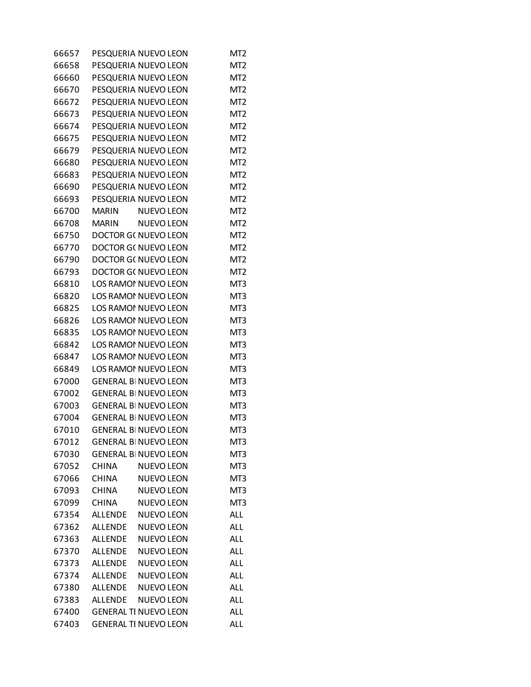| 66657 |                | PESQUERIA NUEVO LEON         | MT <sub>2</sub> |
|-------|----------------|------------------------------|-----------------|
| 66658 |                | PESQUERIA NUEVO LEON         | MT <sub>2</sub> |
| 66660 |                | PESQUERIA NUEVO LEON         | MT <sub>2</sub> |
| 66670 |                | PESQUERIA NUEVO LEON         | MT <sub>2</sub> |
| 66672 |                | PESQUERIA NUEVO LEON         | MT <sub>2</sub> |
| 66673 |                | PESQUERIA NUEVO LEON         | MT <sub>2</sub> |
| 66674 |                | PESQUERIA NUEVO LEON         | MT <sub>2</sub> |
| 66675 |                | PESQUERIA NUEVO LEON         | MT <sub>2</sub> |
| 66679 |                | PESQUERIA NUEVO LEON         | MT <sub>2</sub> |
| 66680 |                | PESQUERIA NUEVO LEON         | MT <sub>2</sub> |
| 66683 |                | PESQUERIA NUEVO LEON         | MT <sub>2</sub> |
| 66690 |                | PESQUERIA NUEVO LEON         | MT <sub>2</sub> |
| 66693 |                | PESQUERIA NUEVO LEON         | MT <sub>2</sub> |
| 66700 | <b>MARIN</b>   | <b>NUEVO LEON</b>            | MT <sub>2</sub> |
| 66708 | <b>MARIN</b>   | <b>NUEVO LEON</b>            | MT <sub>2</sub> |
| 66750 |                | DOCTOR G( NUEVO LEON         | MT <sub>2</sub> |
| 66770 |                | DOCTOR G( NUEVO LEON         | MT <sub>2</sub> |
| 66790 |                | DOCTOR G( NUEVO LEON         | MT <sub>2</sub> |
| 66793 |                | DOCTOR G( NUEVO LEON         | MT <sub>2</sub> |
| 66810 |                | LOS RAMOI NUEVO LEON         | MT3             |
| 66820 |                | LOS RAMOI NUEVO LEON         | MT3             |
| 66825 |                | LOS RAMOI NUEVO LEON         | MT3             |
| 66826 |                | LOS RAMOI NUEVO LEON         | MT3             |
| 66835 |                | LOS RAMOI NUEVO LEON         | MT3             |
| 66842 |                | LOS RAMOI NUEVO LEON         | MT3             |
| 66847 |                | LOS RAMOI NUEVO LEON         | MT3             |
| 66849 |                | LOS RAMOI NUEVO LEON         | MT3             |
| 67000 |                | <b>GENERAL BI NUEVO LEON</b> | MT3             |
| 67002 |                | <b>GENERAL BI NUEVO LEON</b> | MT3             |
| 67003 |                | <b>GENERAL BI NUEVO LEON</b> | MT3             |
| 67004 |                | <b>GENERAL BI NUEVO LEON</b> | MT3             |
| 67010 |                | <b>GENERAL BI NUEVO LEON</b> | MT3             |
| 67012 |                | <b>GENERAL BI NUEVO LEON</b> | MT3             |
| 67030 |                | <b>GENERAL BI NUEVO LEON</b> | MT3             |
| 67052 | <b>CHINA</b>   | <b>NUEVO LEON</b>            | MT3             |
| 67066 | <b>CHINA</b>   | <b>NUEVO LEON</b>            | MT3             |
| 67093 | <b>CHINA</b>   | <b>NUEVO LEON</b>            | MT3             |
| 67099 | <b>CHINA</b>   | <b>NUEVO LEON</b>            | MT3             |
| 67354 | <b>ALLENDE</b> | <b>NUEVO LEON</b>            | <b>ALL</b>      |
| 67362 | <b>ALLENDE</b> | <b>NUEVO LEON</b>            | <b>ALL</b>      |
| 67363 | <b>ALLENDE</b> | <b>NUEVO LEON</b>            | ALL             |
| 67370 | <b>ALLENDE</b> | <b>NUEVO LEON</b>            | ALL             |
| 67373 | <b>ALLENDE</b> | <b>NUEVO LEON</b>            | <b>ALL</b>      |
| 67374 | <b>ALLENDE</b> | <b>NUEVO LEON</b>            | ALL             |
| 67380 | <b>ALLENDE</b> | <b>NUEVO LEON</b>            | ALL             |
| 67383 | <b>ALLENDE</b> | <b>NUEVO LEON</b>            | ALL             |
| 67400 |                | <b>GENERAL TI NUEVO LEON</b> | ALL             |
| 67403 |                | <b>GENERAL TI NUEVO LEON</b> | <b>ALL</b>      |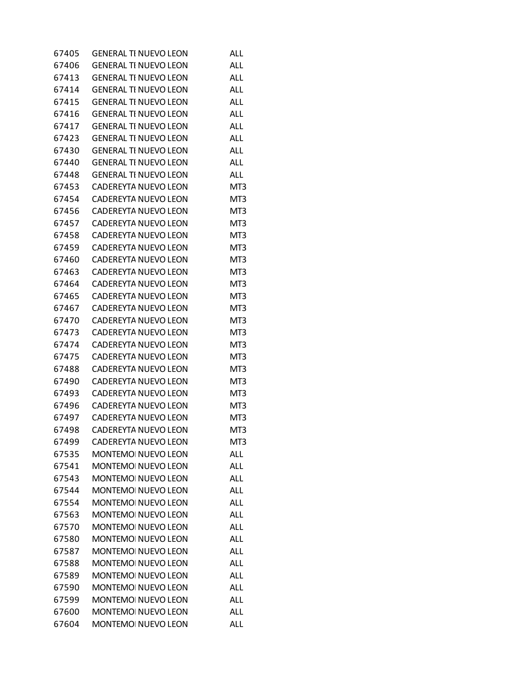| 67405 | <b>GENERAL TI NUEVO LEON</b> | ALL.       |
|-------|------------------------------|------------|
| 67406 | <b>GENERAL TI NUEVO LEON</b> | ALL.       |
| 67413 | <b>GENERAL TI NUEVO LEON</b> | <b>ALL</b> |
| 67414 | <b>GENERAL TI NUEVO LEON</b> | ALL        |
| 67415 | <b>GENERAL TI NUEVO LEON</b> | <b>ALL</b> |
| 67416 | <b>GENERAL TI NUEVO LEON</b> | <b>ALL</b> |
| 67417 | <b>GENERAL TI NUEVO LEON</b> | ALL        |
| 67423 | <b>GENERAL TI NUEVO LEON</b> | <b>ALL</b> |
| 67430 | <b>GENERAL TI NUEVO LEON</b> | <b>ALL</b> |
| 67440 | <b>GENERAL TI NUEVO LEON</b> | <b>ALL</b> |
| 67448 | <b>GENERAL TI NUEVO LEON</b> | <b>ALL</b> |
| 67453 | CADEREYTA NUEVO LEON         | MT3        |
| 67454 | CADEREYTA NUEVO LEON         | MT3        |
| 67456 | CADEREYTA NUEVO LEON         | MT3        |
| 67457 | CADEREYTA NUEVO LEON         | MT3        |
| 67458 | CADEREYTA NUEVO LEON         | MT3        |
| 67459 | CADEREYTA NUEVO LEON         | MT3        |
| 67460 | CADEREYTA NUEVO LEON         | MT3        |
| 67463 | CADEREYTA NUEVO LEON         | MT3        |
| 67464 | CADEREYTA NUEVO LEON         | MT3        |
| 67465 | CADEREYTA NUEVO LEON         | MT3        |
| 67467 | CADEREYTA NUEVO LEON         | MT3        |
| 67470 | CADEREYTA NUEVO LEON         | MT3        |
| 67473 | CADEREYTA NUEVO LEON         | MT3        |
| 67474 | CADEREYTA NUEVO LEON         | MT3        |
| 67475 | CADEREYTA NUEVO LEON         | MT3        |
| 67488 | CADEREYTA NUEVO LEON         | MT3        |
| 67490 | CADEREYTA NUEVO LEON         | MT3        |
| 67493 | CADEREYTA NUEVO LEON         | MT3        |
| 67496 | CADEREYTA NUEVO LEON         | MT3        |
| 67497 | CADEREYTA NUEVO LEON         | MT3        |
| 67498 | CADEREYTA NUEVO LEON         | MT3        |
| 67499 | CADEREYTA NUEVO LEON         | MT3        |
| 67535 | MONTEMO NUEVO LEON           | <b>ALL</b> |
| 67541 | <b>MONTEMOI NUEVO LEON</b>   | ALL        |
| 67543 | MONTEMOI NUEVO LEON          | <b>ALL</b> |
| 67544 | <b>MONTEMOI NUEVO LEON</b>   | <b>ALL</b> |
| 67554 | MONTEMO NUEVO LEON           | <b>ALL</b> |
| 67563 | MONTEMOI NUEVO LEON          | <b>ALL</b> |
| 67570 | <b>MONTEMOI NUEVO LEON</b>   | <b>ALL</b> |
| 67580 | <b>MONTEMOI NUEVO LEON</b>   | ALL        |
| 67587 | MONTEMOI NUEVO LEON          | <b>ALL</b> |
| 67588 | <b>MONTEMOI NUEVO LEON</b>   | <b>ALL</b> |
| 67589 | MONTEMOI NUEVO LEON          | <b>ALL</b> |
| 67590 | MONTEMOI NUEVO LEON          | <b>ALL</b> |
| 67599 | <b>MONTEMOI NUEVO LEON</b>   | <b>ALL</b> |
| 67600 | MONTEMOI NUEVO LEON          | ALL        |
| 67604 | MONTEMOI NUEVO LEON          | <b>ALL</b> |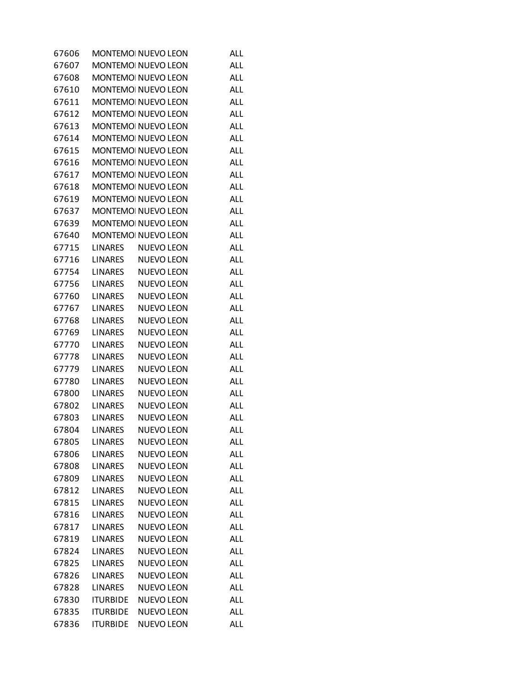| 67606 |                 | MONTEMO NUEVO LEON         | <b>ALL</b> |
|-------|-----------------|----------------------------|------------|
| 67607 |                 | <b>MONTEMOI NUEVO LEON</b> | ALL        |
| 67608 |                 | MONTEMOI NUEVO LEON        | ALL        |
| 67610 |                 | MONTEMO NUEVO LEON         | ALL        |
| 67611 |                 | MONTEMO NUEVO LEON         | ALL        |
| 67612 |                 | MONTEMO NUEVO LEON         | ALL        |
| 67613 |                 | MONTEMO NUEVO LEON         | ALL        |
| 67614 |                 | MONTEMOI NUEVO LEON        | ALL        |
| 67615 |                 | MONTEMO NUEVO LEON         | ALL        |
| 67616 |                 | MONTEMO NUEVO LEON         | ALL        |
| 67617 |                 | MONTEMO NUEVO LEON         | ALL        |
| 67618 |                 | MONTEMO NUEVO LEON         | ALL        |
| 67619 |                 | MONTEMO NUEVO LEON         | ALL        |
| 67637 |                 | MONTEMOI NUEVO LEON        | ALL        |
| 67639 |                 | MONTEMO NUEVO LEON         | ALL        |
| 67640 |                 | MONTEMO NUEVO LEON         | ALL        |
| 67715 | LINARES         | <b>NUEVO LEON</b>          | ALL        |
| 67716 | LINARES         | <b>NUEVO LEON</b>          | ALL        |
| 67754 | LINARES         | <b>NUEVO LEON</b>          | ALL        |
| 67756 | <b>LINARES</b>  | <b>NUEVO LEON</b>          | ALL        |
| 67760 | <b>LINARES</b>  | <b>NUEVO LEON</b>          | ALL        |
| 67767 | <b>LINARES</b>  | <b>NUEVO LEON</b>          | ALL        |
| 67768 | <b>LINARES</b>  | <b>NUEVO LEON</b>          | ALL        |
| 67769 | <b>LINARES</b>  | <b>NUEVO LEON</b>          | ALL        |
| 67770 | <b>LINARES</b>  | <b>NUEVO LEON</b>          | ALL        |
| 67778 | <b>LINARES</b>  | <b>NUEVO LEON</b>          | ALL        |
| 67779 | <b>LINARES</b>  | <b>NUEVO LEON</b>          | ALL        |
| 67780 | <b>LINARES</b>  | <b>NUEVO LEON</b>          | ALL        |
| 67800 | <b>LINARES</b>  | <b>NUEVO LEON</b>          | ALL        |
| 67802 | <b>LINARES</b>  | <b>NUEVO LEON</b>          | ALL        |
| 67803 | <b>LINARES</b>  | <b>NUEVO LEON</b>          | ALL        |
| 67804 | <b>LINARES</b>  | <b>NUEVO LEON</b>          | <b>ALL</b> |
| 67805 | <b>LINARES</b>  | <b>NUEVO LEON</b>          | <b>ALL</b> |
| 67806 | <b>LINARES</b>  | <b>NUEVO LEON</b>          | ALL        |
| 67808 | <b>LINARES</b>  | <b>NUEVO LEON</b>          | ALL        |
| 67809 | <b>LINARES</b>  | <b>NUEVO LEON</b>          | <b>ALL</b> |
| 67812 | <b>LINARES</b>  | <b>NUEVO LEON</b>          | <b>ALL</b> |
| 67815 | <b>LINARES</b>  | <b>NUEVO LEON</b>          | ALL        |
| 67816 | <b>LINARES</b>  | <b>NUEVO LEON</b>          | ALL        |
| 67817 | <b>LINARES</b>  | <b>NUEVO LEON</b>          | <b>ALL</b> |
| 67819 | <b>LINARES</b>  | <b>NUEVO LEON</b>          | ALL        |
| 67824 | <b>LINARES</b>  | <b>NUEVO LEON</b>          | ALL        |
| 67825 | <b>LINARES</b>  | <b>NUEVO LEON</b>          | <b>ALL</b> |
| 67826 | <b>LINARES</b>  | <b>NUEVO LEON</b>          | ALL        |
| 67828 | <b>LINARES</b>  | <b>NUEVO LEON</b>          | ALL        |
| 67830 | <b>ITURBIDE</b> | <b>NUEVO LEON</b>          | <b>ALL</b> |
| 67835 | <b>ITURBIDE</b> | <b>NUEVO LEON</b>          | ALL        |
| 67836 | <b>ITURBIDE</b> | <b>NUEVO LEON</b>          | <b>ALL</b> |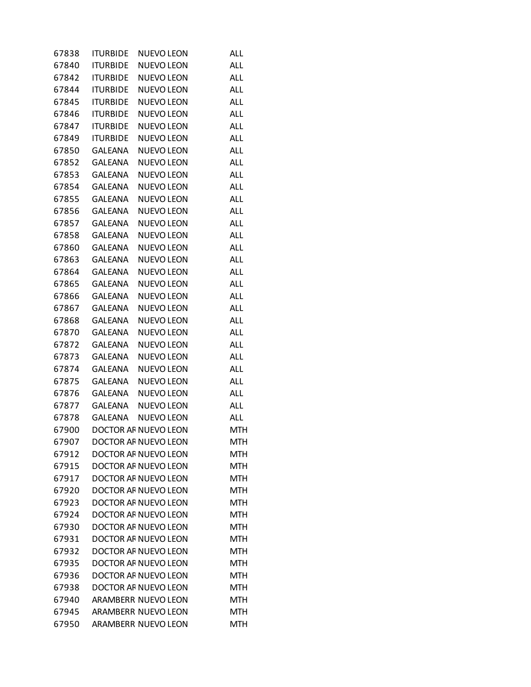| 67838 | ITURBIDE        | <b>NUEVO LEON</b>          | <b>ALL</b> |
|-------|-----------------|----------------------------|------------|
| 67840 | <b>ITURBIDE</b> | <b>NUEVO LEON</b>          | ALL        |
| 67842 | <b>ITURBIDE</b> | <b>NUEVO LEON</b>          | ALL        |
| 67844 | <b>ITURBIDE</b> | NUEVO LEON                 | <b>ALL</b> |
| 67845 | <b>ITURBIDE</b> | <b>NUEVO LEON</b>          | ALL        |
| 67846 | <b>ITURBIDE</b> | <b>NUEVO LEON</b>          | ALL        |
| 67847 | <b>ITURBIDE</b> | <b>NUEVO LEON</b>          | ALL        |
| 67849 | <b>ITURBIDE</b> | <b>NUEVO LEON</b>          | ALL        |
| 67850 | <b>GALEANA</b>  | <b>NUEVO LEON</b>          | <b>ALL</b> |
| 67852 | GALEANA         | <b>NUEVO LEON</b>          | <b>ALL</b> |
| 67853 | <b>GALEANA</b>  | <b>NUEVO LEON</b>          | ALL        |
| 67854 | <b>GALEANA</b>  | <b>NUEVO LEON</b>          | ALL        |
| 67855 | <b>GALEANA</b>  | <b>NUEVO LEON</b>          | ALL        |
| 67856 | <b>GALEANA</b>  | <b>NUEVO LEON</b>          | ALL        |
| 67857 | <b>GALEANA</b>  | <b>NUEVO LEON</b>          | ALL        |
| 67858 | GALEANA         | NUEVO LEON                 | <b>ALL</b> |
| 67860 | <b>GALEANA</b>  | <b>NUEVO LEON</b>          | ALL        |
| 67863 | <b>GALEANA</b>  | <b>NUEVO LEON</b>          | ALL        |
| 67864 | <b>GALEANA</b>  | <b>NUEVO LEON</b>          | ALL        |
| 67865 | <b>GALEANA</b>  | <b>NUEVO LEON</b>          | ALL        |
| 67866 | <b>GALEANA</b>  | <b>NUEVO LEON</b>          | ALL        |
| 67867 | GALEANA         | NUEVO LEON                 | <b>ALL</b> |
| 67868 | <b>GALEANA</b>  | <b>NUEVO LEON</b>          | ALL        |
| 67870 | <b>GALEANA</b>  | <b>NUEVO LEON</b>          | ALL        |
| 67872 | <b>GALEANA</b>  | NUEVO LEON                 | ALL        |
| 67873 | <b>GALEANA</b>  | <b>NUEVO LEON</b>          | ALL        |
| 67874 | <b>GALEANA</b>  | <b>NUEVO LEON</b>          | ALL        |
| 67875 | GALEANA         | NUEVO LEON                 | <b>ALL</b> |
| 67876 | <b>GALEANA</b>  | <b>NUEVO LEON</b>          | ALL        |
| 67877 | <b>GALEANA</b>  | <b>NUEVO LEON</b>          | ALL        |
| 67878 | <b>GALEANA</b>  | NUEVO LEON                 | <b>ALL</b> |
| 67900 |                 | DOCTOR AF NUEVO LEON       | <b>MTH</b> |
| 67907 |                 | DOCTOR AF NUEVO LEON       | <b>MTH</b> |
| 67912 |                 | DOCTOR AF NUEVO LEON       | <b>MTH</b> |
| 67915 |                 | DOCTOR AF NUEVO LEON       | MTH        |
| 67917 |                 | DOCTOR AF NUEVO LEON       | <b>MTH</b> |
| 67920 |                 | DOCTOR AF NUEVO LEON       | <b>MTH</b> |
| 67923 |                 | DOCTOR AF NUEVO LEON       | <b>MTH</b> |
| 67924 |                 | DOCTOR AF NUEVO LEON       | <b>MTH</b> |
| 67930 |                 | DOCTOR AF NUEVO LEON       | <b>MTH</b> |
| 67931 |                 | DOCTOR AF NUEVO LEON       | MTH        |
| 67932 |                 | DOCTOR AF NUEVO LEON       | <b>MTH</b> |
| 67935 |                 | DOCTOR AF NUEVO LEON       | <b>MTH</b> |
| 67936 |                 | DOCTOR AF NUEVO LEON       | <b>MTH</b> |
| 67938 |                 | DOCTOR AF NUEVO LEON       | <b>MTH</b> |
| 67940 |                 | <b>ARAMBERR NUEVO LEON</b> | <b>MTH</b> |
| 67945 |                 | <b>ARAMBERR NUEVO LEON</b> | MTH        |
| 67950 |                 | ARAMBERR NUEVO LEON        | <b>MTH</b> |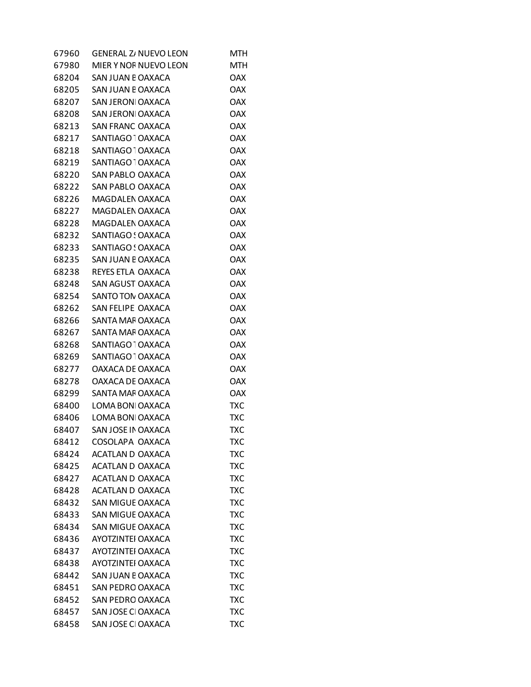| <b>GENERAL Z/ NUEVO LEON</b> | MTH                                                                                                                                                                                                                                                                                                                                         |
|------------------------------|---------------------------------------------------------------------------------------------------------------------------------------------------------------------------------------------------------------------------------------------------------------------------------------------------------------------------------------------|
| MIER Y NOF NUEVO LEON        | MTH                                                                                                                                                                                                                                                                                                                                         |
| SAN JUAN E OAXACA            | <b>OAX</b>                                                                                                                                                                                                                                                                                                                                  |
| SAN JUAN E OAXACA            | <b>OAX</b>                                                                                                                                                                                                                                                                                                                                  |
| SAN JERONI OAXACA            | <b>OAX</b>                                                                                                                                                                                                                                                                                                                                  |
|                              | <b>OAX</b>                                                                                                                                                                                                                                                                                                                                  |
|                              | <b>OAX</b>                                                                                                                                                                                                                                                                                                                                  |
|                              | <b>OAX</b>                                                                                                                                                                                                                                                                                                                                  |
| SANTIAGO <sup>-</sup> OAXACA | <b>OAX</b>                                                                                                                                                                                                                                                                                                                                  |
| SANTIAGO <sup>-</sup> OAXACA | <b>OAX</b>                                                                                                                                                                                                                                                                                                                                  |
| SAN PABLO OAXACA             | <b>OAX</b>                                                                                                                                                                                                                                                                                                                                  |
|                              | <b>OAX</b>                                                                                                                                                                                                                                                                                                                                  |
| MAGDALEN OAXACA              | <b>OAX</b>                                                                                                                                                                                                                                                                                                                                  |
|                              | <b>OAX</b>                                                                                                                                                                                                                                                                                                                                  |
|                              | <b>OAX</b>                                                                                                                                                                                                                                                                                                                                  |
|                              | <b>OAX</b>                                                                                                                                                                                                                                                                                                                                  |
|                              | <b>OAX</b>                                                                                                                                                                                                                                                                                                                                  |
|                              | <b>OAX</b>                                                                                                                                                                                                                                                                                                                                  |
|                              | <b>OAX</b>                                                                                                                                                                                                                                                                                                                                  |
|                              | <b>OAX</b>                                                                                                                                                                                                                                                                                                                                  |
|                              | <b>OAX</b>                                                                                                                                                                                                                                                                                                                                  |
|                              | <b>OAX</b>                                                                                                                                                                                                                                                                                                                                  |
|                              | <b>OAX</b>                                                                                                                                                                                                                                                                                                                                  |
|                              | <b>OAX</b>                                                                                                                                                                                                                                                                                                                                  |
| SANTIAGO <sup>-</sup> OAXACA | <b>OAX</b>                                                                                                                                                                                                                                                                                                                                  |
|                              | <b>OAX</b>                                                                                                                                                                                                                                                                                                                                  |
| OAXACA DE OAXACA             | <b>OAX</b>                                                                                                                                                                                                                                                                                                                                  |
| OAXACA DE OAXACA             | <b>OAX</b>                                                                                                                                                                                                                                                                                                                                  |
| SANTA MAF OAXACA             | <b>OAX</b>                                                                                                                                                                                                                                                                                                                                  |
| LOMA BON OAXACA              | <b>TXC</b>                                                                                                                                                                                                                                                                                                                                  |
| LOMA BON OAXACA              | TXC                                                                                                                                                                                                                                                                                                                                         |
| SAN JOSE IN OAXACA           | <b>TXC</b>                                                                                                                                                                                                                                                                                                                                  |
| COSOLAPA OAXACA              | TXC                                                                                                                                                                                                                                                                                                                                         |
| <b>ACATLAN D OAXACA</b>      | <b>TXC</b>                                                                                                                                                                                                                                                                                                                                  |
| <b>ACATLAN D OAXACA</b>      | <b>TXC</b>                                                                                                                                                                                                                                                                                                                                  |
| ACATLAN D OAXACA             | <b>TXC</b>                                                                                                                                                                                                                                                                                                                                  |
| ACATLAN D OAXACA             | <b>TXC</b>                                                                                                                                                                                                                                                                                                                                  |
| SAN MIGUE OAXACA             | <b>TXC</b>                                                                                                                                                                                                                                                                                                                                  |
| <b>SAN MIGUE OAXACA</b>      | <b>TXC</b>                                                                                                                                                                                                                                                                                                                                  |
| <b>SAN MIGUE OAXACA</b>      | TXC                                                                                                                                                                                                                                                                                                                                         |
| <b>AYOTZINTEI OAXACA</b>     | <b>TXC</b>                                                                                                                                                                                                                                                                                                                                  |
| AYOTZINTEI OAXACA            | <b>TXC</b>                                                                                                                                                                                                                                                                                                                                  |
| AYOTZINTEI OAXACA            | <b>TXC</b>                                                                                                                                                                                                                                                                                                                                  |
| SAN JUAN E OAXACA            | <b>TXC</b>                                                                                                                                                                                                                                                                                                                                  |
| <b>SAN PEDRO OAXACA</b>      | <b>TXC</b>                                                                                                                                                                                                                                                                                                                                  |
| <b>SAN PEDRO OAXACA</b>      | TXC                                                                                                                                                                                                                                                                                                                                         |
| SAN JOSE CI OAXACA           | <b>TXC</b>                                                                                                                                                                                                                                                                                                                                  |
| SAN JOSE CI OAXACA           | <b>TXC</b>                                                                                                                                                                                                                                                                                                                                  |
|                              | SAN JERONI OAXACA<br>SAN FRANC OAXACA<br>SANTIAGO OAXACA<br>SAN PABLO OAXACA<br>MAGDALEN OAXACA<br>MAGDALEN OAXACA<br>SANTIAGO ! OAXACA<br>SANTIAGO ! OAXACA<br>SAN JUAN E OAXACA<br>REYES ETLA OAXACA<br>SAN AGUST OAXACA<br>SANTO TON OAXACA<br>SAN FELIPE OAXACA<br>SANTA MAF OAXACA<br>SANTA MAF OAXACA<br>SANTIAGO <sup>1</sup> OAXACA |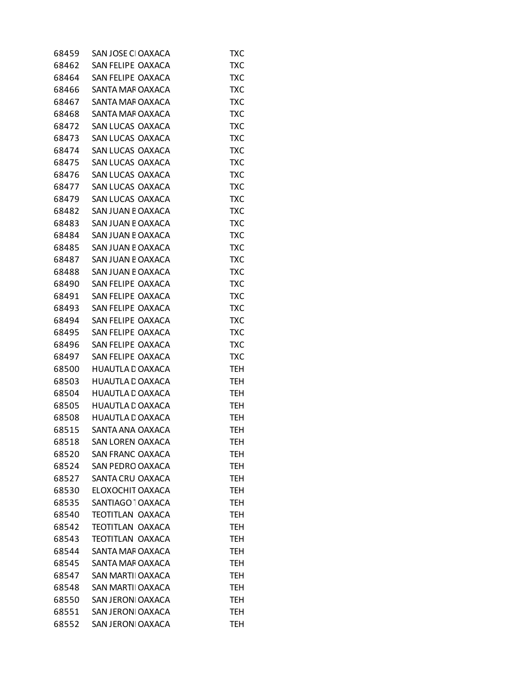| 68459 | SAN JOSE CI OAXACA           | TXC        |
|-------|------------------------------|------------|
| 68462 | SAN FELIPE OAXACA            | <b>TXC</b> |
| 68464 | SAN FELIPE OAXACA            | <b>TXC</b> |
| 68466 | SANTA MAF OAXACA             | TXC        |
| 68467 | SANTA MAF OAXACA             | <b>TXC</b> |
| 68468 | SANTA MAF OAXACA             | <b>TXC</b> |
| 68472 | SAN LUCAS OAXACA             | TXC        |
| 68473 | SAN LUCAS OAXACA             | <b>TXC</b> |
| 68474 | SAN LUCAS OAXACA             | <b>TXC</b> |
| 68475 | SAN LUCAS OAXACA             | <b>TXC</b> |
| 68476 | SAN LUCAS OAXACA             | <b>TXC</b> |
| 68477 | SAN LUCAS OAXACA             | <b>TXC</b> |
| 68479 | SAN LUCAS OAXACA             | TXC        |
| 68482 | SAN JUAN E OAXACA            | <b>TXC</b> |
| 68483 | SAN JUAN E OAXACA            | <b>TXC</b> |
| 68484 | SAN JUAN E OAXACA            | <b>TXC</b> |
| 68485 | SAN JUAN E OAXACA            | <b>TXC</b> |
| 68487 | SAN JUAN E OAXACA            | <b>TXC</b> |
| 68488 | SAN JUAN E OAXACA            | TXC        |
| 68490 | SAN FELIPE OAXACA            | <b>TXC</b> |
| 68491 | SAN FELIPE OAXACA            | <b>TXC</b> |
| 68493 | SAN FELIPE OAXACA            | TXC        |
| 68494 | SAN FELIPE OAXACA            | <b>TXC</b> |
| 68495 | SAN FELIPE OAXACA            | <b>TXC</b> |
| 68496 | SAN FELIPE OAXACA            | TXC        |
| 68497 | SAN FELIPE OAXACA            | <b>TXC</b> |
| 68500 | <b>HUAUTLA D OAXACA</b>      | <b>TEH</b> |
| 68503 | HUAUTLA D OAXACA             | <b>TEH</b> |
| 68504 | <b>HUAUTLA D OAXACA</b>      | <b>TEH</b> |
| 68505 | <b>HUAUTLA D OAXACA</b>      | <b>TEH</b> |
| 68508 | HUAUTLA D OAXACA             | TEH        |
| 68515 | SANTA ANA OAXACA             | TEH        |
| 68518 | SAN LOREN OAXACA             | TEH        |
| 68520 | <b>SAN FRANC OAXACA</b>      | <b>TEH</b> |
| 68524 | SAN PEDRO OAXACA             | <b>TEH</b> |
| 68527 | SANTA CRU OAXACA             | <b>TEH</b> |
| 68530 | ELOXOCHIT OAXACA             | <b>TEH</b> |
| 68535 | SANTIAGO <sup>-</sup> OAXACA | <b>TEH</b> |
| 68540 | TEOTITLAN OAXACA             | <b>TEH</b> |
| 68542 | TEOTITLAN OAXACA             | <b>TEH</b> |
| 68543 | TEOTITLAN OAXACA             | <b>TEH</b> |
| 68544 | SANTA MAF OAXACA             | <b>TEH</b> |
| 68545 | SANTA MAF OAXACA             | <b>TEH</b> |
| 68547 | <b>SAN MARTII OAXACA</b>     | <b>TEH</b> |
| 68548 | SAN MARTII OAXACA            | <b>TEH</b> |
| 68550 | <b>SAN JERONI OAXACA</b>     | <b>TEH</b> |
| 68551 | SAN JERONI OAXACA            | <b>TEH</b> |
| 68552 | SAN JERONI OAXACA            | <b>TEH</b> |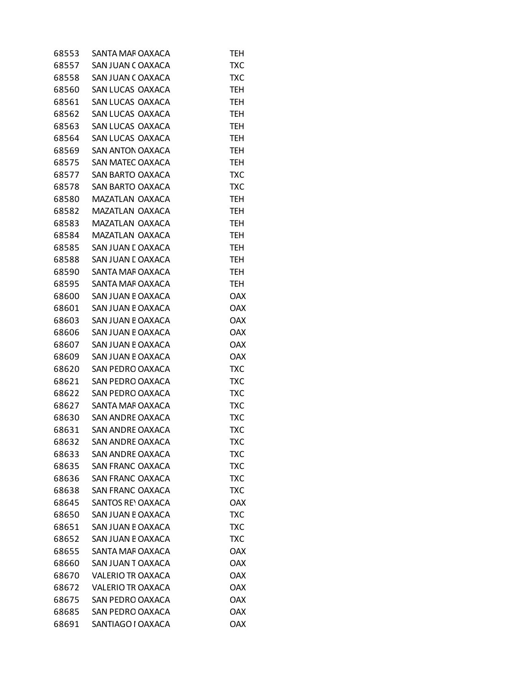| 68553 | SANTA MAF OAXACA         | <b>TEH</b> |
|-------|--------------------------|------------|
| 68557 | SAN JUAN COAXACA         | <b>TXC</b> |
| 68558 | SAN JUAN COAXACA         | <b>TXC</b> |
| 68560 | SAN LUCAS OAXACA         | <b>TEH</b> |
| 68561 | SAN LUCAS OAXACA         | <b>TEH</b> |
| 68562 | SAN LUCAS OAXACA         | TEH        |
| 68563 | SAN LUCAS OAXACA         | <b>TEH</b> |
| 68564 | SAN LUCAS OAXACA         | TEH        |
| 68569 | <b>SAN ANTON OAXACA</b>  | <b>TEH</b> |
| 68575 | SAN MATEC OAXACA         | <b>TEH</b> |
| 68577 | <b>SAN BARTO OAXACA</b>  | <b>TXC</b> |
| 68578 | SAN BARTO OAXACA         | <b>TXC</b> |
| 68580 | MAZATLAN OAXACA          | <b>TEH</b> |
| 68582 | <b>MAZATLAN OAXACA</b>   | TEH        |
| 68583 | MAZATLAN OAXACA          | <b>TEH</b> |
| 68584 | MAZATLAN OAXACA          | <b>TEH</b> |
| 68585 | SAN JUAN E OAXACA        | <b>TEH</b> |
| 68588 | SAN JUAN E OAXACA        | <b>TEH</b> |
| 68590 | SANTA MAF OAXACA         | <b>TEH</b> |
| 68595 | SANTA MAF OAXACA         | TEH        |
| 68600 | SAN JUAN E OAXACA        | <b>OAX</b> |
| 68601 | SAN JUAN E OAXACA        | <b>OAX</b> |
| 68603 | SAN JUAN E OAXACA        | <b>OAX</b> |
| 68606 | SAN JUAN E OAXACA        | <b>OAX</b> |
| 68607 | SAN JUAN E OAXACA        | <b>OAX</b> |
| 68609 | SAN JUAN E OAXACA        | <b>OAX</b> |
| 68620 | SAN PEDRO OAXACA         | <b>TXC</b> |
| 68621 | SAN PEDRO OAXACA         | <b>TXC</b> |
| 68622 | SAN PEDRO OAXACA         | <b>TXC</b> |
| 68627 | SANTA MAF OAXACA         | <b>TXC</b> |
| 68630 | SAN ANDRE OAXACA         | TXC        |
| 68631 | <b>SAN ANDRE OAXACA</b>  | TXC        |
| 68632 | <b>SAN ANDRE OAXACA</b>  | TXC        |
| 68633 | <b>SAN ANDRE OAXACA</b>  | <b>TXC</b> |
| 68635 | <b>SAN FRANC OAXACA</b>  | <b>TXC</b> |
| 68636 | <b>SAN FRANC OAXACA</b>  | TXC        |
| 68638 | SAN FRANC OAXACA         | <b>TXC</b> |
| 68645 | <b>SANTOS RE' OAXACA</b> | <b>OAX</b> |
| 68650 | SAN JUAN E OAXACA        | <b>TXC</b> |
| 68651 | SAN JUAN E OAXACA        | TXC        |
| 68652 | SAN JUAN E OAXACA        | <b>TXC</b> |
| 68655 | SANTA MAF OAXACA         | <b>OAX</b> |
| 68660 | SAN JUAN TOAXACA         | <b>OAX</b> |
| 68670 | <b>VALERIO TR OAXACA</b> | <b>OAX</b> |
| 68672 | <b>VALERIO TR OAXACA</b> | <b>OAX</b> |
| 68675 | SAN PEDRO OAXACA         | <b>OAX</b> |
| 68685 | SAN PEDRO OAXACA         | <b>OAX</b> |
| 68691 | SANTIAGO I OAXACA        | <b>OAX</b> |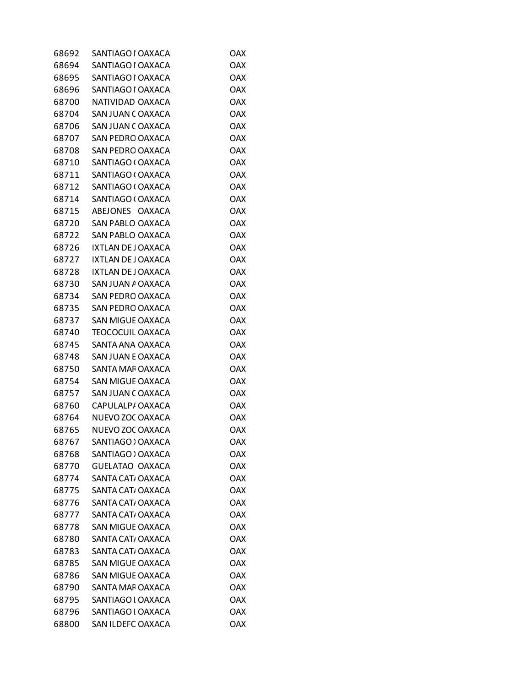| 68692 | SANTIAGO I OAXACA       | OAX        |
|-------|-------------------------|------------|
| 68694 | SANTIAGO I OAXACA       | <b>OAX</b> |
| 68695 | SANTIAGO I OAXACA       | <b>OAX</b> |
| 68696 | SANTIAGO I OAXACA       | <b>OAX</b> |
| 68700 | NATIVIDAD OAXACA        | <b>OAX</b> |
| 68704 | SAN JUAN COAXACA        | <b>OAX</b> |
| 68706 | SAN JUAN COAXACA        | <b>OAX</b> |
| 68707 | SAN PEDRO OAXACA        | <b>OAX</b> |
| 68708 | SAN PEDRO OAXACA        | <b>OAX</b> |
| 68710 | SANTIAGO (OAXACA        | <b>OAX</b> |
| 68711 | SANTIAGO (OAXACA        | <b>OAX</b> |
| 68712 | SANTIAGO (OAXACA        | <b>OAX</b> |
| 68714 | SANTIAGO (OAXACA        | <b>OAX</b> |
| 68715 | ABEJONES OAXACA         | <b>OAX</b> |
| 68720 | SAN PABLO OAXACA        | <b>OAX</b> |
| 68722 | SAN PABLO OAXACA        | <b>OAX</b> |
| 68726 | IXTLAN DE JOAXACA       | <b>OAX</b> |
| 68727 | IXTLAN DE JOAXACA       | <b>OAX</b> |
| 68728 | IXTLAN DE JOAXACA       | <b>OAX</b> |
| 68730 | SAN JUAN A OAXACA       | <b>OAX</b> |
| 68734 | SAN PEDRO OAXACA        | <b>OAX</b> |
| 68735 | SAN PEDRO OAXACA        | <b>OAX</b> |
| 68737 | <b>SAN MIGUE OAXACA</b> | <b>OAX</b> |
| 68740 | TEOCOCUIL OAXACA        | <b>OAX</b> |
| 68745 | SANTA ANA OAXACA        | <b>OAX</b> |
| 68748 | SAN JUAN E OAXACA       | <b>OAX</b> |
| 68750 | SANTA MAF OAXACA        | <b>OAX</b> |
| 68754 | SAN MIGUE OAXACA        | <b>OAX</b> |
| 68757 | SAN JUAN COAXACA        | <b>OAX</b> |
| 68760 | CAPULALP/ OAXACA        | <b>OAX</b> |
| 68764 | NUEVO ZOC OAXACA        | <b>OAX</b> |
| 68765 | NUEVO ZOC OAXACA        | <b>OAX</b> |
| 68767 | SANTIAGO > OAXACA       | <b>OAX</b> |
| 68768 | SANTIAGO ) OAXACA       | <b>OAX</b> |
| 68770 | <b>GUELATAO OAXACA</b>  | <b>OAX</b> |
| 68774 | SANTA CAT, OAXACA       | <b>OAX</b> |
| 68775 | SANTA CAT, OAXACA       | <b>OAX</b> |
| 68776 | SANTA CAT, OAXACA       | <b>OAX</b> |
| 68777 | SANTA CAT, OAXACA       | <b>OAX</b> |
| 68778 | SAN MIGUE OAXACA        | <b>OAX</b> |
| 68780 | SANTA CAT, OAXACA       | <b>OAX</b> |
| 68783 | SANTA CAT/OAXACA        | <b>OAX</b> |
| 68785 | SAN MIGUE OAXACA        | <b>OAX</b> |
| 68786 | SAN MIGUE OAXACA        | <b>OAX</b> |
| 68790 | SANTA MAF OAXACA        | <b>OAX</b> |
| 68795 | SANTIAGO I OAXACA       | <b>OAX</b> |
| 68796 | SANTIAGO I OAXACA       | <b>OAX</b> |
| 68800 | SAN ILDEFC OAXACA       | <b>OAX</b> |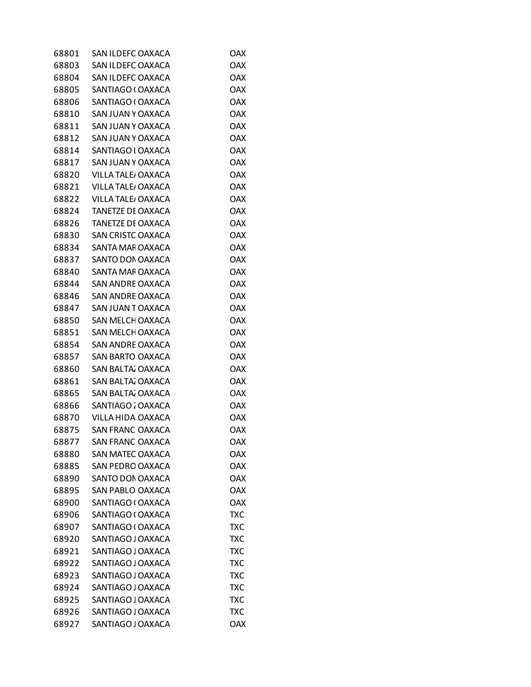| 68801 | SAN ILDEFC OAXACA        | OAX        |
|-------|--------------------------|------------|
| 68803 | SAN ILDEFC OAXACA        | <b>OAX</b> |
| 68804 | SAN ILDEFC OAXACA        | <b>OAX</b> |
| 68805 | SANTIAGO (OAXACA         | <b>OAX</b> |
| 68806 | SANTIAGO (OAXACA         | <b>OAX</b> |
| 68810 | SAN JUAN Y OAXACA        | <b>OAX</b> |
| 68811 | SAN JUAN Y OAXACA        | <b>OAX</b> |
| 68812 | SAN JUAN Y OAXACA        | <b>OAX</b> |
| 68814 | SANTIAGO I OAXACA        | <b>OAX</b> |
| 68817 | SAN JUAN Y OAXACA        | <b>OAX</b> |
| 68820 | VILLA TALE/ OAXACA       | <b>OAX</b> |
| 68821 | VILLA TALE/ OAXACA       | <b>OAX</b> |
| 68822 | VILLA TALE/ OAXACA       | <b>OAX</b> |
| 68824 | TANETZE DE OAXACA        | <b>OAX</b> |
| 68826 | <b>TANETZE DE OAXACA</b> | <b>OAX</b> |
| 68830 | SAN CRISTC OAXACA        | <b>OAX</b> |
| 68834 | SANTA MAF OAXACA         | <b>OAX</b> |
| 68837 | SANTO DON OAXACA         | <b>OAX</b> |
| 68840 | SANTA MAF OAXACA         | <b>OAX</b> |
| 68844 | SAN ANDRE OAXACA         | <b>OAX</b> |
| 68846 | <b>SAN ANDRE OAXACA</b>  | <b>OAX</b> |
| 68847 | SAN JUAN TOAXACA         | <b>OAX</b> |
| 68850 | SAN MELCH OAXACA         | <b>OAX</b> |
| 68851 | SAN MELCH OAXACA         | <b>OAX</b> |
| 68854 | SAN ANDRE OAXACA         | <b>OAX</b> |
| 68857 | <b>SAN BARTO OAXACA</b>  | <b>OAX</b> |
| 68860 | SAN BALTA, OAXACA        | <b>OAX</b> |
| 68861 | SAN BALTA, OAXACA        | <b>OAX</b> |
| 68865 | SAN BALTA, OAXACA        | <b>OAX</b> |
| 68866 | SANTIAGO : OAXACA        | <b>OAX</b> |
| 68870 | VILLA HIDA OAXACA        | <b>OAX</b> |
| 68875 | <b>SAN FRANC OAXACA</b>  | <b>OAX</b> |
| 68877 | SAN FRANC OAXACA         | <b>OAX</b> |
| 68880 | <b>SAN MATEC OAXACA</b>  | <b>OAX</b> |
| 68885 | <b>SAN PEDRO OAXACA</b>  | <b>OAX</b> |
| 68890 | SANTO DON OAXACA         | <b>OAX</b> |
| 68895 | SAN PABLO OAXACA         | <b>OAX</b> |
| 68900 | SANTIAGO (OAXACA         | <b>OAX</b> |
| 68906 | SANTIAGO (OAXACA         | <b>TXC</b> |
| 68907 | SANTIAGO (OAXACA         | TXC        |
| 68920 | SANTIAGO J OAXACA        | <b>TXC</b> |
| 68921 | SANTIAGO J OAXACA        | <b>TXC</b> |
| 68922 | SANTIAGO J OAXACA        | TXC        |
| 68923 | SANTIAGO J OAXACA        | <b>TXC</b> |
| 68924 | SANTIAGO J OAXACA        | <b>TXC</b> |
| 68925 | SANTIAGO J OAXACA        | TXC        |
| 68926 | SANTIAGO J OAXACA        | <b>TXC</b> |
| 68927 | SANTIAGO J OAXACA        | <b>OAX</b> |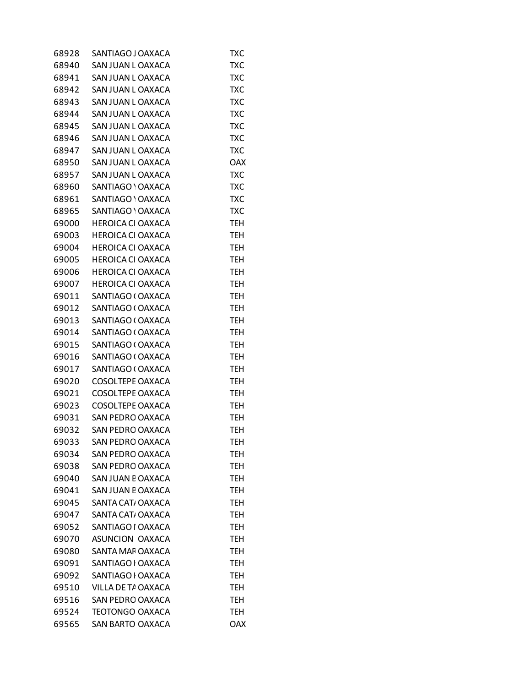| 68928 | SANTIAGO J OAXACA        | TXC        |
|-------|--------------------------|------------|
| 68940 | SAN JUAN L OAXACA        | <b>TXC</b> |
| 68941 | SAN JUAN L OAXACA        | <b>TXC</b> |
| 68942 | SAN JUAN L OAXACA        | TXC        |
| 68943 | SAN JUAN L OAXACA        | <b>TXC</b> |
| 68944 | SAN JUAN L OAXACA        | <b>TXC</b> |
| 68945 | SAN JUAN L OAXACA        | <b>TXC</b> |
| 68946 | SAN JUAN L OAXACA        | <b>TXC</b> |
| 68947 | SAN JUAN L OAXACA        | <b>TXC</b> |
| 68950 | SAN JUAN L OAXACA        | <b>OAX</b> |
| 68957 | SAN JUAN L OAXACA        | <b>TXC</b> |
| 68960 | SANTIAGO ' OAXACA        | <b>TXC</b> |
| 68961 | SANTIAGO ' OAXACA        | <b>TXC</b> |
| 68965 | SANTIAGO ' OAXACA        | <b>TXC</b> |
| 69000 | <b>HEROICA CI OAXACA</b> | <b>TEH</b> |
| 69003 | <b>HEROICA CI OAXACA</b> | <b>TEH</b> |
| 69004 | <b>HEROICA CI OAXACA</b> | <b>TEH</b> |
| 69005 | <b>HEROICA CI OAXACA</b> | <b>TEH</b> |
| 69006 | HEROICA CI OAXACA        | <b>TEH</b> |
| 69007 | <b>HEROICA CI OAXACA</b> | <b>TEH</b> |
| 69011 | SANTIAGO (OAXACA         | <b>TEH</b> |
| 69012 | SANTIAGO (OAXACA         | <b>TEH</b> |
| 69013 | SANTIAGO (OAXACA         | <b>TEH</b> |
| 69014 | SANTIAGO (OAXACA         | <b>TEH</b> |
| 69015 | SANTIAGO (OAXACA         | <b>TEH</b> |
| 69016 | SANTIAGO (OAXACA         | <b>TEH</b> |
| 69017 | SANTIAGO (OAXACA         | <b>TEH</b> |
| 69020 | COSOLTEPE OAXACA         | TEH        |
| 69021 | COSOLTEPE OAXACA         | <b>TEH</b> |
| 69023 | COSOLTEPE OAXACA         | <b>TEH</b> |
| 69031 | SAN PEDRO OAXACA         | TEH        |
| 69032 | SAN PEDRO OAXACA         | <b>TEH</b> |
| 69033 | <b>SAN PEDRO OAXACA</b>  | TEH        |
| 69034 | <b>SAN PEDRO OAXACA</b>  | TEH        |
| 69038 | <b>SAN PEDRO OAXACA</b>  | <b>TEH</b> |
| 69040 | SAN JUAN E OAXACA        | <b>TEH</b> |
| 69041 | SAN JUAN E OAXACA        | TEH        |
| 69045 | SANTA CAT, OAXACA        | <b>TEH</b> |
| 69047 | SANTA CAT/OAXACA         | <b>TEH</b> |
| 69052 | SANTIAGO I OAXACA        | <b>TEH</b> |
| 69070 | ASUNCION OAXACA          | <b>TEH</b> |
| 69080 | SANTA MAF OAXACA         | <b>TEH</b> |
| 69091 | SANTIAGO I OAXACA        | TEH        |
| 69092 | SANTIAGO I OAXACA        | <b>TEH</b> |
| 69510 | VILLA DE TA OAXACA       | <b>TEH</b> |
| 69516 | SAN PEDRO OAXACA         | TEH        |
| 69524 | <b>TEOTONGO OAXACA</b>   | <b>TEH</b> |
| 69565 | SAN BARTO OAXACA         | <b>OAX</b> |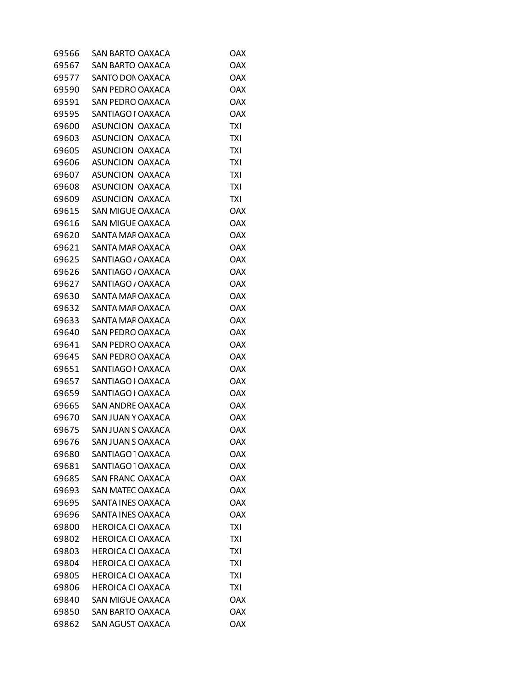| 69566 | SAN BARTO OAXACA             | OAX        |
|-------|------------------------------|------------|
| 69567 | <b>SAN BARTO OAXACA</b>      | <b>OAX</b> |
| 69577 | SANTO DON OAXACA             | <b>OAX</b> |
| 69590 | SAN PEDRO OAXACA             | <b>OAX</b> |
| 69591 | <b>SAN PEDRO OAXACA</b>      | <b>OAX</b> |
| 69595 | SANTIAGO I OAXACA            | <b>OAX</b> |
| 69600 | ASUNCION OAXACA              | <b>TXI</b> |
| 69603 | ASUNCION OAXACA              | <b>TXI</b> |
| 69605 | ASUNCION OAXACA              | <b>TXI</b> |
| 69606 | ASUNCION OAXACA              | <b>TXI</b> |
| 69607 | ASUNCION OAXACA              | <b>TXI</b> |
| 69608 | ASUNCION OAXACA              | <b>TXI</b> |
| 69609 | ASUNCION OAXACA              | <b>TXI</b> |
| 69615 | <b>SAN MIGUE OAXACA</b>      | <b>OAX</b> |
| 69616 | SAN MIGUE OAXACA             | <b>OAX</b> |
| 69620 | SANTA MAF OAXACA             | <b>OAX</b> |
| 69621 | SANTA MAF OAXACA             | <b>OAX</b> |
| 69625 | SANTIAGO / OAXACA            | <b>OAX</b> |
| 69626 | SANTIAGO / OAXACA            | <b>OAX</b> |
| 69627 | SANTIAGO / OAXACA            | <b>OAX</b> |
| 69630 | SANTA MAF OAXACA             | <b>OAX</b> |
| 69632 | SANTA MAF OAXACA             | <b>OAX</b> |
| 69633 | SANTA MAF OAXACA             | <b>OAX</b> |
| 69640 | SAN PEDRO OAXACA             | <b>OAX</b> |
| 69641 | SAN PEDRO OAXACA             | <b>OAX</b> |
| 69645 | <b>SAN PEDRO OAXACA</b>      | <b>OAX</b> |
| 69651 | SANTIAGO I OAXACA            | <b>OAX</b> |
| 69657 | SANTIAGO I OAXACA            | <b>OAX</b> |
| 69659 | SANTIAGO I OAXACA            | <b>OAX</b> |
| 69665 | <b>SAN ANDRE OAXACA</b>      | <b>OAX</b> |
| 69670 | SAN JUAN Y OAXACA            | <b>OAX</b> |
| 69675 | SAN JUAN S OAXACA            | <b>OAX</b> |
| 69676 | SAN JUAN S OAXACA            | <b>OAX</b> |
| 69680 | SANTIAGO <sup>-</sup> OAXACA | <b>OAX</b> |
| 69681 | SANTIAGO <sup>-</sup> OAXACA | <b>OAX</b> |
| 69685 | <b>SAN FRANC OAXACA</b>      | <b>OAX</b> |
| 69693 | SAN MATEC OAXACA             | <b>OAX</b> |
| 69695 | SANTA INES OAXACA            | <b>OAX</b> |
| 69696 | SANTA INES OAXACA            | <b>OAX</b> |
| 69800 | <b>HEROICA CI OAXACA</b>     | <b>TXI</b> |
| 69802 | <b>HEROICA CI OAXACA</b>     | <b>TXI</b> |
| 69803 | <b>HEROICA CI OAXACA</b>     | <b>TXI</b> |
| 69804 | <b>HEROICA CI OAXACA</b>     | TXI        |
| 69805 | <b>HEROICA CI OAXACA</b>     | TXI        |
| 69806 | <b>HEROICA CI OAXACA</b>     | TXI        |
| 69840 | <b>SAN MIGUE OAXACA</b>      | <b>OAX</b> |
| 69850 | <b>SAN BARTO OAXACA</b>      | <b>OAX</b> |
| 69862 | SAN AGUST OAXACA             | <b>OAX</b> |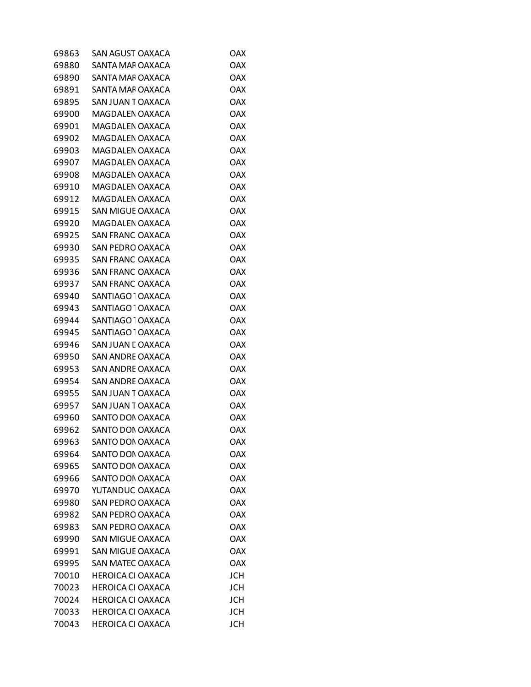| 69863 | SAN AGUST OAXACA             | <b>OAX</b> |
|-------|------------------------------|------------|
| 69880 | SANTA MAF OAXACA             | <b>OAX</b> |
| 69890 | SANTA MAF OAXACA             | <b>OAX</b> |
| 69891 | SANTA MAF OAXACA             | <b>OAX</b> |
| 69895 | SAN JUAN TOAXACA             | <b>OAX</b> |
| 69900 | MAGDALEN OAXACA              | <b>OAX</b> |
| 69901 | MAGDALEN OAXACA              | <b>OAX</b> |
| 69902 | MAGDALEN OAXACA              | <b>OAX</b> |
| 69903 | MAGDALEN OAXACA              | <b>OAX</b> |
| 69907 | MAGDALEN OAXACA              | <b>OAX</b> |
| 69908 | MAGDALEN OAXACA              | <b>OAX</b> |
| 69910 | MAGDALEN OAXACA              | <b>OAX</b> |
| 69912 | MAGDALEN OAXACA              | <b>OAX</b> |
| 69915 | SAN MIGUE OAXACA             | <b>OAX</b> |
| 69920 | MAGDALEN OAXACA              | <b>OAX</b> |
| 69925 | <b>SAN FRANC OAXACA</b>      | <b>OAX</b> |
| 69930 | SAN PEDRO OAXACA             | <b>OAX</b> |
| 69935 | SAN FRANC OAXACA             | <b>OAX</b> |
| 69936 | SAN FRANC OAXACA             | <b>OAX</b> |
| 69937 | SAN FRANC OAXACA             | <b>OAX</b> |
| 69940 | SANTIAGO OAXACA              | <b>OAX</b> |
| 69943 | SANTIAGO OAXACA              | <b>OAX</b> |
| 69944 | SANTIAGO OAXACA              | <b>OAX</b> |
| 69945 | SANTIAGO <sup>-</sup> OAXACA | <b>OAX</b> |
| 69946 | SAN JUAN E OAXACA            | <b>OAX</b> |
| 69950 | SAN ANDRE OAXACA             | <b>OAX</b> |
| 69953 | SAN ANDRE OAXACA             | <b>OAX</b> |
| 69954 | SAN ANDRE OAXACA             | <b>OAX</b> |
| 69955 | SAN JUAN TOAXACA             | <b>OAX</b> |
| 69957 | SAN JUAN TOAXACA             | <b>OAX</b> |
| 69960 | SANTO DON OAXACA             | <b>OAX</b> |
| 69962 | SANTO DON OAXACA             | <b>OAX</b> |
| 69963 | <b>SANTO DON OAXACA</b>      | <b>OAX</b> |
| 69964 | SANTO DON OAXACA             | <b>OAX</b> |
| 69965 | SANTO DON OAXACA             | <b>OAX</b> |
| 69966 | SANTO DON OAXACA             | <b>OAX</b> |
| 69970 | YUTANDUC OAXACA              | <b>OAX</b> |
| 69980 | <b>SAN PEDRO OAXACA</b>      | <b>OAX</b> |
| 69982 | <b>SAN PEDRO OAXACA</b>      | <b>OAX</b> |
| 69983 | <b>SAN PEDRO OAXACA</b>      | <b>OAX</b> |
| 69990 | <b>SAN MIGUE OAXACA</b>      | <b>OAX</b> |
| 69991 | <b>SAN MIGUE OAXACA</b>      | <b>OAX</b> |
| 69995 | <b>SAN MATEC OAXACA</b>      | <b>OAX</b> |
| 70010 | <b>HEROICA CI OAXACA</b>     | <b>JCH</b> |
| 70023 | <b>HEROICA CI OAXACA</b>     | <b>JCH</b> |
| 70024 | <b>HEROICA CI OAXACA</b>     | <b>JCH</b> |
| 70033 | <b>HEROICA CI OAXACA</b>     | <b>JCH</b> |
| 70043 | <b>HEROICA CI OAXACA</b>     | <b>JCH</b> |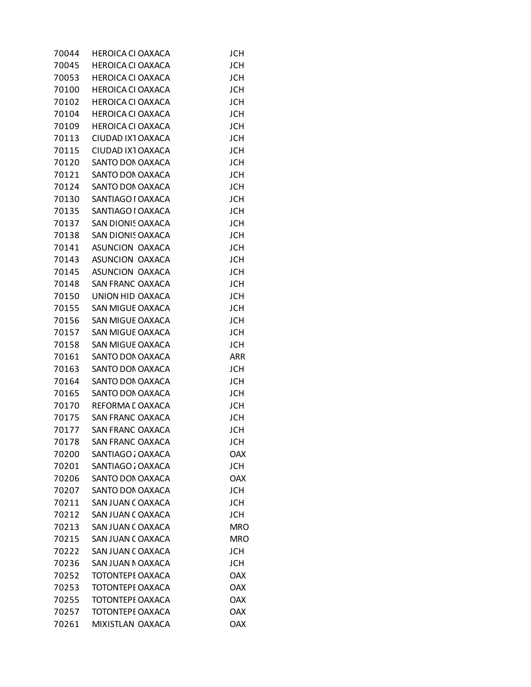| 70045<br><b>HEROICA CI OAXACA</b><br><b>JCH</b><br>70053<br><b>HEROICA CI OAXACA</b><br>JCH<br>70100<br><b>HEROICA CI OAXACA</b><br>JCH<br>70102<br><b>HEROICA CI OAXACA</b><br><b>JCH</b><br>70104<br><b>HEROICA CI OAXACA</b><br><b>JCH</b><br>70109<br><b>HEROICA CI OAXACA</b><br><b>JCH</b><br>70113<br>CIUDAD IX1 OAXACA<br>JCH<br>70115<br>CIUDAD IX1 OAXACA<br><b>JCH</b><br>70120<br>SANTO DON OAXACA<br>JCH<br>70121<br>SANTO DON OAXACA<br><b>JCH</b><br>70124<br>SANTO DON OAXACA<br><b>JCH</b><br>70130<br><b>JCH</b><br>SANTIAGO I OAXACA<br>70135<br>SANTIAGO I OAXACA<br>JCH |  |
|----------------------------------------------------------------------------------------------------------------------------------------------------------------------------------------------------------------------------------------------------------------------------------------------------------------------------------------------------------------------------------------------------------------------------------------------------------------------------------------------------------------------------------------------------------------------------------------------|--|
|                                                                                                                                                                                                                                                                                                                                                                                                                                                                                                                                                                                              |  |
|                                                                                                                                                                                                                                                                                                                                                                                                                                                                                                                                                                                              |  |
|                                                                                                                                                                                                                                                                                                                                                                                                                                                                                                                                                                                              |  |
|                                                                                                                                                                                                                                                                                                                                                                                                                                                                                                                                                                                              |  |
|                                                                                                                                                                                                                                                                                                                                                                                                                                                                                                                                                                                              |  |
|                                                                                                                                                                                                                                                                                                                                                                                                                                                                                                                                                                                              |  |
|                                                                                                                                                                                                                                                                                                                                                                                                                                                                                                                                                                                              |  |
|                                                                                                                                                                                                                                                                                                                                                                                                                                                                                                                                                                                              |  |
|                                                                                                                                                                                                                                                                                                                                                                                                                                                                                                                                                                                              |  |
|                                                                                                                                                                                                                                                                                                                                                                                                                                                                                                                                                                                              |  |
|                                                                                                                                                                                                                                                                                                                                                                                                                                                                                                                                                                                              |  |
|                                                                                                                                                                                                                                                                                                                                                                                                                                                                                                                                                                                              |  |
|                                                                                                                                                                                                                                                                                                                                                                                                                                                                                                                                                                                              |  |
| 70137<br>SAN DIONIS OAXACA<br><b>JCH</b>                                                                                                                                                                                                                                                                                                                                                                                                                                                                                                                                                     |  |
| 70138<br><b>SAN DIONIS OAXACA</b><br>JCH                                                                                                                                                                                                                                                                                                                                                                                                                                                                                                                                                     |  |
| 70141<br>ASUNCION OAXACA<br><b>JCH</b>                                                                                                                                                                                                                                                                                                                                                                                                                                                                                                                                                       |  |
| 70143<br>ASUNCION OAXACA<br><b>JCH</b>                                                                                                                                                                                                                                                                                                                                                                                                                                                                                                                                                       |  |
| ASUNCION OAXACA<br><b>JCH</b><br>70145                                                                                                                                                                                                                                                                                                                                                                                                                                                                                                                                                       |  |
| 70148<br>SAN FRANC OAXACA<br>JCH                                                                                                                                                                                                                                                                                                                                                                                                                                                                                                                                                             |  |
| 70150<br>UNION HID OAXACA<br><b>JCH</b>                                                                                                                                                                                                                                                                                                                                                                                                                                                                                                                                                      |  |
| 70155<br>SAN MIGUE OAXACA<br>JCH                                                                                                                                                                                                                                                                                                                                                                                                                                                                                                                                                             |  |
| 70156<br>SAN MIGUE OAXACA<br><b>JCH</b>                                                                                                                                                                                                                                                                                                                                                                                                                                                                                                                                                      |  |
| 70157<br>SAN MIGUE OAXACA<br><b>JCH</b>                                                                                                                                                                                                                                                                                                                                                                                                                                                                                                                                                      |  |
| 70158<br>SAN MIGUE OAXACA<br>JCH                                                                                                                                                                                                                                                                                                                                                                                                                                                                                                                                                             |  |
| 70161<br>SANTO DON OAXACA<br><b>ARR</b>                                                                                                                                                                                                                                                                                                                                                                                                                                                                                                                                                      |  |
| 70163<br>SANTO DON OAXACA<br><b>JCH</b>                                                                                                                                                                                                                                                                                                                                                                                                                                                                                                                                                      |  |
| 70164<br>SANTO DON OAXACA<br>JCH                                                                                                                                                                                                                                                                                                                                                                                                                                                                                                                                                             |  |
| 70165<br>SANTO DON OAXACA<br><b>JCH</b>                                                                                                                                                                                                                                                                                                                                                                                                                                                                                                                                                      |  |
| 70170<br>REFORMA L OAXACA<br><b>JCH</b>                                                                                                                                                                                                                                                                                                                                                                                                                                                                                                                                                      |  |
| SAN FRANC OAXACA<br>70175<br>JCH                                                                                                                                                                                                                                                                                                                                                                                                                                                                                                                                                             |  |
| 70177<br><b>SAN FRANC OAXACA</b><br><b>JCH</b>                                                                                                                                                                                                                                                                                                                                                                                                                                                                                                                                               |  |
| 70178<br><b>SAN FRANC OAXACA</b><br><b>JCH</b>                                                                                                                                                                                                                                                                                                                                                                                                                                                                                                                                               |  |
| SANTIAGO : OAXACA<br><b>OAX</b><br>70200                                                                                                                                                                                                                                                                                                                                                                                                                                                                                                                                                     |  |
| 70201<br>SANTIAGO : OAXACA<br><b>JCH</b>                                                                                                                                                                                                                                                                                                                                                                                                                                                                                                                                                     |  |
| 70206<br>SANTO DON OAXACA<br><b>OAX</b>                                                                                                                                                                                                                                                                                                                                                                                                                                                                                                                                                      |  |
| SANTO DON OAXACA<br>70207<br>JCH                                                                                                                                                                                                                                                                                                                                                                                                                                                                                                                                                             |  |
| 70211<br>SAN JUAN COAXACA<br><b>JCH</b>                                                                                                                                                                                                                                                                                                                                                                                                                                                                                                                                                      |  |
|                                                                                                                                                                                                                                                                                                                                                                                                                                                                                                                                                                                              |  |
| 70212<br>SAN JUAN COAXACA                                                                                                                                                                                                                                                                                                                                                                                                                                                                                                                                                                    |  |
| <b>JCH</b><br>70213<br>SAN JUAN COAXACA<br><b>MRO</b>                                                                                                                                                                                                                                                                                                                                                                                                                                                                                                                                        |  |
| 70215<br>SAN JUAN COAXACA<br><b>MRO</b>                                                                                                                                                                                                                                                                                                                                                                                                                                                                                                                                                      |  |
| 70222<br>SAN JUAN COAXACA<br><b>JCH</b>                                                                                                                                                                                                                                                                                                                                                                                                                                                                                                                                                      |  |
| SAN JUAN NOAXACA<br><b>JCH</b><br>70236                                                                                                                                                                                                                                                                                                                                                                                                                                                                                                                                                      |  |
| 70252<br>TOTONTEPI OAXACA<br><b>OAX</b>                                                                                                                                                                                                                                                                                                                                                                                                                                                                                                                                                      |  |
| 70253<br>TOTONTEPI OAXACA<br><b>OAX</b>                                                                                                                                                                                                                                                                                                                                                                                                                                                                                                                                                      |  |
| 70255<br>TOTONTEPI OAXACA<br><b>OAX</b>                                                                                                                                                                                                                                                                                                                                                                                                                                                                                                                                                      |  |
| 70257<br>TOTONTEPI OAXACA<br><b>OAX</b>                                                                                                                                                                                                                                                                                                                                                                                                                                                                                                                                                      |  |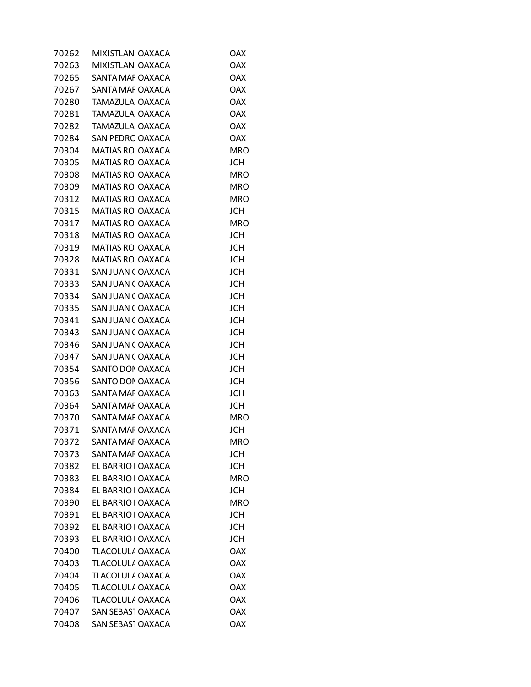| 70262 | MIXISTLAN OAXACA         | OAX        |
|-------|--------------------------|------------|
| 70263 | MIXISTLAN OAXACA         | <b>OAX</b> |
| 70265 | SANTA MAF OAXACA         | <b>OAX</b> |
| 70267 | SANTA MAF OAXACA         | <b>OAX</b> |
| 70280 | TAMAZULAI OAXACA         | <b>OAX</b> |
| 70281 | TAMAZULA OAXACA          | <b>OAX</b> |
| 70282 | TAMAZULA OAXACA          | <b>OAX</b> |
| 70284 | <b>SAN PEDRO OAXACA</b>  | <b>OAX</b> |
| 70304 | <b>MATIAS ROI OAXACA</b> | <b>MRO</b> |
| 70305 | MATIAS ROI OAXACA        | <b>JCH</b> |
| 70308 | <b>MATIAS ROI OAXACA</b> | <b>MRO</b> |
| 70309 | MATIAS ROI OAXACA        | <b>MRO</b> |
| 70312 | <b>MATIAS ROI OAXACA</b> | <b>MRO</b> |
| 70315 | <b>MATIAS ROI OAXACA</b> | <b>JCH</b> |
| 70317 | <b>MATIAS ROI OAXACA</b> | <b>MRO</b> |
| 70318 | MATIAS ROI OAXACA        | <b>JCH</b> |
| 70319 | <b>MATIAS ROI OAXACA</b> | <b>JCH</b> |
| 70328 | MATIAS ROI OAXACA        | <b>JCH</b> |
| 70331 | SAN JUAN COAXACA         | <b>JCH</b> |
| 70333 | SAN JUAN COAXACA         | <b>JCH</b> |
| 70334 | SAN JUAN COAXACA         | <b>JCH</b> |
| 70335 | SAN JUAN COAXACA         | <b>JCH</b> |
| 70341 | SAN JUAN COAXACA         | <b>JCH</b> |
| 70343 | SAN JUAN COAXACA         | <b>JCH</b> |
| 70346 | SAN JUAN COAXACA         | <b>JCH</b> |
| 70347 | SAN JUAN COAXACA         | <b>JCH</b> |
| 70354 | SANTO DON OAXACA         | <b>JCH</b> |
| 70356 | SANTO DON OAXACA         | <b>JCH</b> |
| 70363 | SANTA MAF OAXACA         | <b>JCH</b> |
| 70364 | SANTA MAF OAXACA         | <b>JCH</b> |
| 70370 | SANTA MAF OAXACA         | MRO        |
| 70371 | SANTA MAF OAXACA         | <b>JCH</b> |
| 70372 | SANTA MAF OAXACA         | <b>MRO</b> |
| 70373 | SANTA MAF OAXACA         | <b>JCH</b> |
| 70382 | EL BARRIO I OAXACA       | <b>JCH</b> |
| 70383 | EL BARRIO I OAXACA       | MRO        |
| 70384 | EL BARRIO I OAXACA       | <b>JCH</b> |
| 70390 | EL BARRIO I OAXACA       | <b>MRO</b> |
| 70391 | EL BARRIO I OAXACA       | <b>JCH</b> |
| 70392 | EL BARRIO I OAXACA       | <b>JCH</b> |
| 70393 | EL BARRIO I OAXACA       | <b>JCH</b> |
| 70400 | TLACOLULA OAXACA         | <b>OAX</b> |
| 70403 | TLACOLULA OAXACA         | <b>OAX</b> |
| 70404 | TLACOLULA OAXACA         | <b>OAX</b> |
| 70405 | TLACOLULA OAXACA         | <b>OAX</b> |
| 70406 | TLACOLULA OAXACA         | <b>OAX</b> |
| 70407 | SAN SEBASI OAXACA        | <b>OAX</b> |
| 70408 | SAN SEBASI OAXACA        | <b>OAX</b> |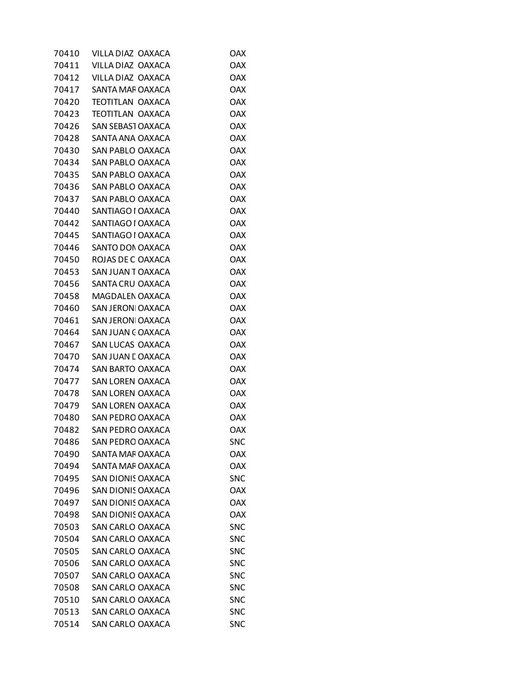| 70410 | VILLA DIAZ OAXACA        | OAX        |
|-------|--------------------------|------------|
| 70411 | VILLA DIAZ OAXACA        | <b>OAX</b> |
| 70412 | VILLA DIAZ OAXACA        | <b>OAX</b> |
| 70417 | SANTA MAF OAXACA         | <b>OAX</b> |
| 70420 | TEOTITLAN OAXACA         | <b>OAX</b> |
| 70423 | <b>TEOTITLAN OAXACA</b>  | <b>OAX</b> |
| 70426 | SAN SEBASI OAXACA        | <b>OAX</b> |
| 70428 | SANTA ANA OAXACA         | <b>OAX</b> |
| 70430 | SAN PABLO OAXACA         | <b>OAX</b> |
| 70434 | SAN PABLO OAXACA         | <b>OAX</b> |
| 70435 | SAN PABLO OAXACA         | <b>OAX</b> |
| 70436 | SAN PABLO OAXACA         | <b>OAX</b> |
| 70437 | SAN PABLO OAXACA         | <b>OAX</b> |
| 70440 | SANTIAGO I OAXACA        | <b>OAX</b> |
| 70442 | SANTIAGO I OAXACA        | <b>OAX</b> |
| 70445 | SANTIAGO I OAXACA        | <b>OAX</b> |
| 70446 | SANTO DON OAXACA         | <b>OAX</b> |
| 70450 | ROJAS DE C OAXACA        | <b>OAX</b> |
| 70453 | SAN JUAN TOAXACA         | <b>OAX</b> |
| 70456 | SANTA CRU OAXACA         | <b>OAX</b> |
| 70458 | MAGDALEN OAXACA          | <b>OAX</b> |
| 70460 | SAN JERONI OAXACA        | <b>OAX</b> |
| 70461 | SAN JERONI OAXACA        | <b>OAX</b> |
| 70464 | SAN JUAN COAXACA         | <b>OAX</b> |
| 70467 | SAN LUCAS OAXACA         | <b>OAX</b> |
| 70470 | SAN JUAN E OAXACA        | <b>OAX</b> |
| 70474 | SAN BARTO OAXACA         | <b>OAX</b> |
| 70477 | SAN LOREN OAXACA         | <b>OAX</b> |
| 70478 | <b>SAN LOREN OAXACA</b>  | <b>OAX</b> |
| 70479 | SAN LOREN OAXACA         | <b>OAX</b> |
| 70480 | SAN PEDRO OAXACA         | <b>OAX</b> |
| 70482 | SAN PEDRO OAXACA         | <b>OAX</b> |
| 70486 | SAN PEDRO OAXACA         | <b>SNC</b> |
| 70490 | SANTA MAF OAXACA         | <b>OAX</b> |
| 70494 | SANTA MAF OAXACA         | <b>OAX</b> |
| 70495 | <b>SAN DIONIS OAXACA</b> | <b>SNC</b> |
| 70496 | <b>SAN DIONIS OAXACA</b> | <b>OAX</b> |
| 70497 | <b>SAN DIONIS OAXACA</b> | <b>OAX</b> |
| 70498 | <b>SAN DIONIS OAXACA</b> | <b>OAX</b> |
| 70503 | SAN CARLO OAXACA         | <b>SNC</b> |
| 70504 | <b>SAN CARLO OAXACA</b>  | <b>SNC</b> |
| 70505 | SAN CARLO OAXACA         | <b>SNC</b> |
| 70506 | <b>SAN CARLO OAXACA</b>  | <b>SNC</b> |
| 70507 | <b>SAN CARLO OAXACA</b>  | <b>SNC</b> |
| 70508 | <b>SAN CARLO OAXACA</b>  | <b>SNC</b> |
| 70510 | SAN CARLO OAXACA         | <b>SNC</b> |
| 70513 | <b>SAN CARLO OAXACA</b>  | <b>SNC</b> |
| 70514 | SAN CARLO OAXACA         | <b>SNC</b> |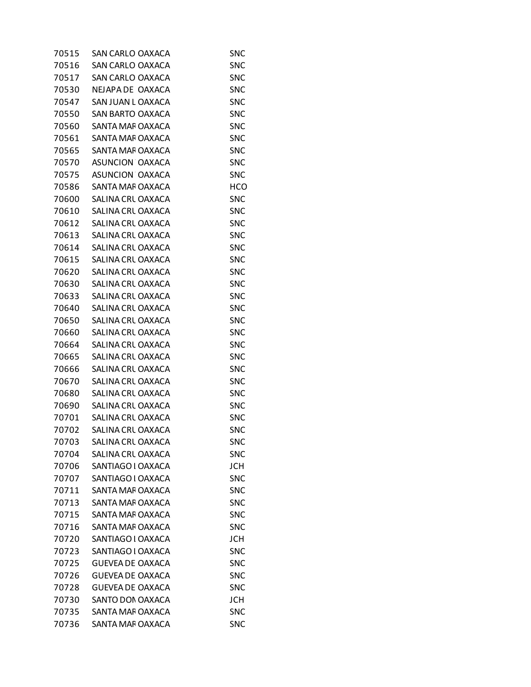| 70515 | SAN CARLO OAXACA        | <b>SNC</b> |
|-------|-------------------------|------------|
| 70516 | <b>SAN CARLO OAXACA</b> | <b>SNC</b> |
| 70517 | <b>SAN CARLO OAXACA</b> | <b>SNC</b> |
| 70530 | NEJAPA DE OAXACA        | <b>SNC</b> |
| 70547 | SAN JUAN L OAXACA       | <b>SNC</b> |
| 70550 | SAN BARTO OAXACA        | <b>SNC</b> |
| 70560 | SANTA MAF OAXACA        | <b>SNC</b> |
| 70561 | SANTA MAF OAXACA        | <b>SNC</b> |
| 70565 | SANTA MAF OAXACA        | <b>SNC</b> |
| 70570 | ASUNCION OAXACA         | <b>SNC</b> |
| 70575 | ASUNCION OAXACA         | <b>SNC</b> |
| 70586 | SANTA MAF OAXACA        | <b>HCO</b> |
| 70600 | SALINA CRL OAXACA       | <b>SNC</b> |
| 70610 | SALINA CRL OAXACA       | <b>SNC</b> |
| 70612 | SALINA CRL OAXACA       | <b>SNC</b> |
| 70613 | SALINA CRL OAXACA       | <b>SNC</b> |
| 70614 | SALINA CRL OAXACA       | <b>SNC</b> |
| 70615 | SALINA CRL OAXACA       | <b>SNC</b> |
| 70620 | SALINA CRL OAXACA       | <b>SNC</b> |
| 70630 | SALINA CRL OAXACA       | <b>SNC</b> |
| 70633 | SALINA CRL OAXACA       | <b>SNC</b> |
| 70640 | SALINA CRL OAXACA       | <b>SNC</b> |
| 70650 | SALINA CRL OAXACA       | <b>SNC</b> |
| 70660 | SALINA CRL OAXACA       | <b>SNC</b> |
| 70664 | SALINA CRL OAXACA       | <b>SNC</b> |
| 70665 | SALINA CRL OAXACA       | <b>SNC</b> |
| 70666 | SALINA CRL OAXACA       | <b>SNC</b> |
| 70670 | SALINA CRL OAXACA       | <b>SNC</b> |
| 70680 | SALINA CRL OAXACA       | <b>SNC</b> |
| 70690 | SALINA CRL OAXACA       | <b>SNC</b> |
| 70701 | SALINA CRL OAXACA       | <b>SNC</b> |
| 70702 | SALINA CRL OAXACA       | <b>SNC</b> |
| 70703 | SALINA CRL OAXACA       | <b>SNC</b> |
| 70704 | SALINA CRL OAXACA       | <b>SNC</b> |
| 70706 | SANTIAGO I OAXACA       | <b>JCH</b> |
| 70707 | SANTIAGO I OAXACA       | <b>SNC</b> |
| 70711 | SANTA MAF OAXACA        | <b>SNC</b> |
| 70713 | SANTA MAF OAXACA        | <b>SNC</b> |
| 70715 | SANTA MAF OAXACA        | <b>SNC</b> |
| 70716 | SANTA MAF OAXACA        | <b>SNC</b> |
| 70720 | SANTIAGO I OAXACA       | <b>JCH</b> |
| 70723 | SANTIAGO I OAXACA       | <b>SNC</b> |
| 70725 | <b>GUEVEA DE OAXACA</b> | <b>SNC</b> |
| 70726 | <b>GUEVEA DE OAXACA</b> | <b>SNC</b> |
| 70728 | <b>GUEVEA DE OAXACA</b> | <b>SNC</b> |
| 70730 | SANTO DON OAXACA        | <b>JCH</b> |
| 70735 | SANTA MAF OAXACA        | <b>SNC</b> |
| 70736 | SANTA MAF OAXACA        | <b>SNC</b> |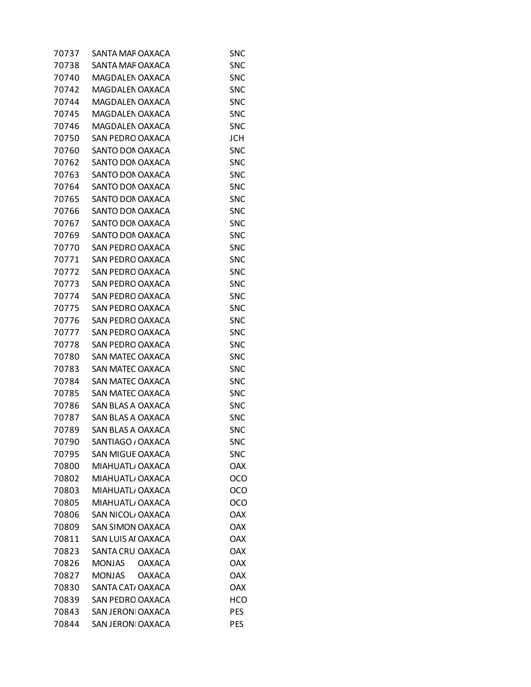| 70737 | SANTA MAF OAXACA               | <b>SNC</b> |
|-------|--------------------------------|------------|
| 70738 | SANTA MAF OAXACA               | <b>SNC</b> |
| 70740 | MAGDALEN OAXACA                | <b>SNC</b> |
| 70742 | MAGDALEN OAXACA                | <b>SNC</b> |
| 70744 | MAGDALEN OAXACA                | <b>SNC</b> |
| 70745 | MAGDALEN OAXACA                | <b>SNC</b> |
| 70746 | MAGDALEN OAXACA                | <b>SNC</b> |
| 70750 | <b>SAN PEDRO OAXACA</b>        | <b>JCH</b> |
| 70760 | SANTO DON OAXACA               | <b>SNC</b> |
| 70762 | SANTO DON OAXACA               | <b>SNC</b> |
| 70763 | SANTO DON OAXACA               | <b>SNC</b> |
| 70764 | SANTO DON OAXACA               | <b>SNC</b> |
| 70765 | SANTO DON OAXACA               | <b>SNC</b> |
| 70766 | SANTO DON OAXACA               | <b>SNC</b> |
| 70767 | SANTO DON OAXACA               | <b>SNC</b> |
| 70769 | SANTO DON OAXACA               | <b>SNC</b> |
| 70770 | <b>SAN PEDRO OAXACA</b>        | <b>SNC</b> |
| 70771 | <b>SAN PEDRO OAXACA</b>        | <b>SNC</b> |
| 70772 | <b>SAN PEDRO OAXACA</b>        |            |
|       |                                | <b>SNC</b> |
| 70773 | <b>SAN PEDRO OAXACA</b>        | <b>SNC</b> |
| 70774 | SAN PEDRO OAXACA               | <b>SNC</b> |
| 70775 | SAN PEDRO OAXACA               | <b>SNC</b> |
| 70776 | <b>SAN PEDRO OAXACA</b>        | <b>SNC</b> |
| 70777 | <b>SAN PEDRO OAXACA</b>        | <b>SNC</b> |
| 70778 | SAN PEDRO OAXACA               | <b>SNC</b> |
| 70780 | SAN MATEC OAXACA               | <b>SNC</b> |
| 70783 | SAN MATEC OAXACA               | <b>SNC</b> |
| 70784 | SAN MATEC OAXACA               | <b>SNC</b> |
| 70785 | SAN MATEC OAXACA               | <b>SNC</b> |
| 70786 | SAN BLAS A OAXACA              | <b>SNC</b> |
| 70787 | SAN BLAS A OAXACA              | <b>SNC</b> |
| 70789 | SAN BLAS A OAXACA              | <b>SNC</b> |
| 70790 | SANTIAGO / OAXACA              | <b>SNC</b> |
| 70795 | <b>SAN MIGUE OAXACA</b>        | <b>SNC</b> |
| 70800 | MIAHUATL, OAXACA               | <b>OAX</b> |
| 70802 | MIAHUATL, OAXACA               | OCO        |
| 70803 | MIAHUATL, OAXACA               | OCO        |
| 70805 | MIAHUATL, OAXACA               | OCO        |
| 70806 | SAN NICOL/OAXACA               | <b>OAX</b> |
| 70809 | <b>SAN SIMON OAXACA</b>        | <b>OAX</b> |
| 70811 | SAN LUIS AI OAXACA             | <b>OAX</b> |
| 70823 | SANTA CRU OAXACA               | <b>OAX</b> |
| 70826 | <b>MONJAS</b><br><b>OAXACA</b> | <b>OAX</b> |
| 70827 | <b>MONJAS</b><br><b>OAXACA</b> | <b>OAX</b> |
| 70830 | SANTA CAT/ OAXACA              | <b>OAX</b> |
| 70839 | <b>SAN PEDRO OAXACA</b>        | HCO        |
| 70843 | <b>SAN JERONI OAXACA</b>       | <b>PES</b> |
| 70844 | SAN JERONI OAXACA              | <b>PES</b> |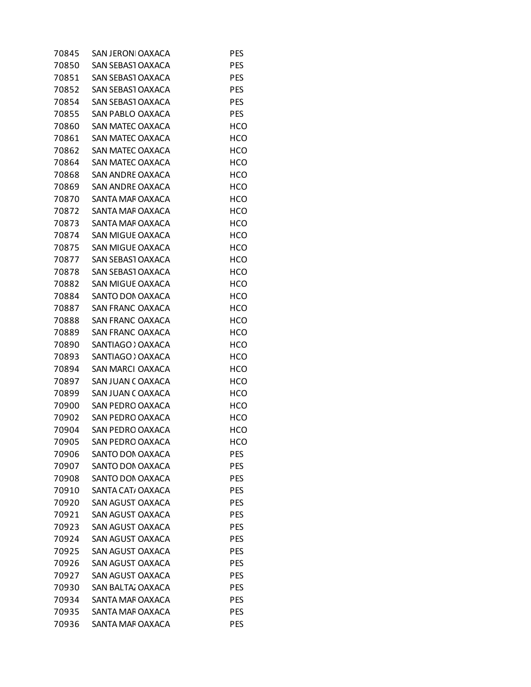| 70845 | <b>SAN JERONI OAXACA</b> | <b>PES</b> |
|-------|--------------------------|------------|
| 70850 | SAN SEBASI OAXACA        | <b>PES</b> |
| 70851 | <b>SAN SEBAST OAXACA</b> | <b>PES</b> |
| 70852 | SAN SEBASI OAXACA        | <b>PES</b> |
| 70854 | SAN SEBASI OAXACA        | <b>PES</b> |
| 70855 | SAN PABLO OAXACA         | <b>PES</b> |
| 70860 | SAN MATEC OAXACA         | HCO        |
| 70861 | SAN MATEC OAXACA         | <b>HCO</b> |
| 70862 | SAN MATEC OAXACA         | <b>HCO</b> |
| 70864 | SAN MATEC OAXACA         | HCO        |
| 70868 | <b>SAN ANDRE OAXACA</b>  | <b>HCO</b> |
| 70869 | SAN ANDRE OAXACA         | <b>HCO</b> |
| 70870 | SANTA MAF OAXACA         | HCO        |
| 70872 | SANTA MAF OAXACA         | <b>HCO</b> |
| 70873 | SANTA MAF OAXACA         | <b>HCO</b> |
| 70874 | SAN MIGUE OAXACA         | HCO        |
| 70875 | SAN MIGUE OAXACA         | <b>HCO</b> |
| 70877 | SAN SEBASI OAXACA        | <b>HCO</b> |
| 70878 | SAN SEBASI OAXACA        | HCO        |
| 70882 | <b>SAN MIGUE OAXACA</b>  | <b>HCO</b> |
| 70884 | SANTO DON OAXACA         | <b>HCO</b> |
| 70887 | SAN FRANC OAXACA         | HCO        |
| 70888 | <b>SAN FRANC OAXACA</b>  | <b>HCO</b> |
| 70889 | <b>SAN FRANC OAXACA</b>  | <b>HCO</b> |
| 70890 | SANTIAGO > OAXACA        | HCO        |
| 70893 | SANTIAGO > OAXACA        | <b>HCO</b> |
| 70894 | SAN MARCI OAXACA         | <b>HCO</b> |
| 70897 | SAN JUAN COAXACA         | HCO        |
| 70899 | SAN JUAN COAXACA         | <b>HCO</b> |
| 70900 | SAN PEDRO OAXACA         | HCO        |
| 70902 | SAN PEDRO OAXACA         | HCO        |
| 70904 | SAN PEDRO OAXACA         | HCO        |
| 70905 | <b>SAN PEDRO OAXACA</b>  | HCO        |
| 70906 | SANTO DON OAXACA         | <b>PES</b> |
| 70907 | SANTO DON OAXACA         | <b>PES</b> |
| 70908 | SANTO DON OAXACA         | <b>PES</b> |
| 70910 | SANTA CAT, OAXACA        | <b>PES</b> |
| 70920 | SAN AGUST OAXACA         | <b>PES</b> |
| 70921 | SAN AGUST OAXACA         | <b>PES</b> |
| 70923 | SAN AGUST OAXACA         | <b>PES</b> |
| 70924 | SAN AGUST OAXACA         | <b>PES</b> |
| 70925 | SAN AGUST OAXACA         | <b>PES</b> |
| 70926 | SAN AGUST OAXACA         | <b>PES</b> |
| 70927 | SAN AGUST OAXACA         | <b>PES</b> |
| 70930 | SAN BALTA, OAXACA        | <b>PES</b> |
| 70934 | SANTA MAF OAXACA         | <b>PES</b> |
| 70935 | SANTA MAF OAXACA         | <b>PES</b> |
| 70936 | SANTA MAF OAXACA         | <b>PES</b> |
|       |                          |            |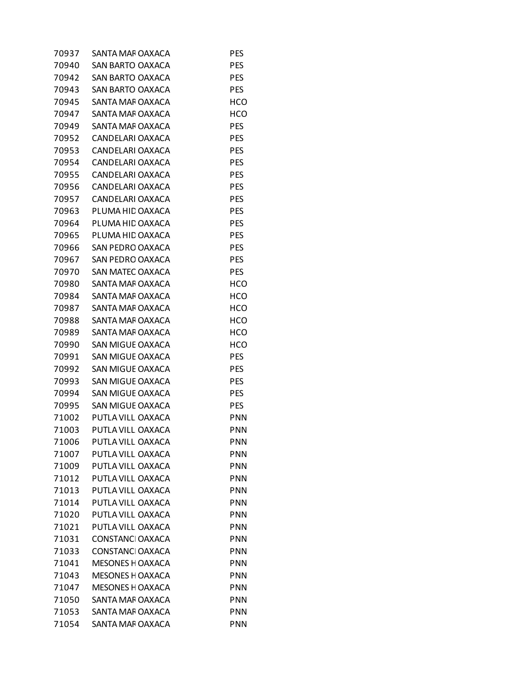| 70937 | SANTA MAF OAXACA        | PES        |
|-------|-------------------------|------------|
| 70940 | SAN BARTO OAXACA        | <b>PES</b> |
| 70942 | SAN BARTO OAXACA        | <b>PES</b> |
| 70943 | SAN BARTO OAXACA        | <b>PES</b> |
| 70945 | SANTA MAF OAXACA        | HCO        |
| 70947 | SANTA MAF OAXACA        | <b>HCO</b> |
| 70949 | SANTA MAF OAXACA        | PES        |
| 70952 | CANDELARI OAXACA        | <b>PES</b> |
| 70953 | CANDELARI OAXACA        | <b>PES</b> |
| 70954 | CANDELARI OAXACA        | <b>PES</b> |
| 70955 | CANDELARI OAXACA        | <b>PES</b> |
| 70956 | CANDELARI OAXACA        | <b>PES</b> |
| 70957 | CANDELARI OAXACA        | PES        |
| 70963 | PLUMA HIL OAXACA        | <b>PES</b> |
| 70964 | PLUMA HIL OAXACA        | <b>PES</b> |
| 70965 | PLUMA HIL OAXACA        | <b>PES</b> |
| 70966 | <b>SAN PEDRO OAXACA</b> | <b>PES</b> |
| 70967 | SAN PEDRO OAXACA        | <b>PES</b> |
| 70970 | SAN MATEC OAXACA        | PES        |
| 70980 | SANTA MAF OAXACA        | HCO        |
| 70984 | SANTA MAF OAXACA        | <b>HCO</b> |
| 70987 | SANTA MAF OAXACA        | HCO        |
| 70988 | SANTA MAF OAXACA        | <b>HCO</b> |
| 70989 | SANTA MAF OAXACA        | <b>HCO</b> |
| 70990 | SAN MIGUE OAXACA        | HCO        |
| 70991 | <b>SAN MIGUE OAXACA</b> | <b>PES</b> |
| 70992 | SAN MIGUE OAXACA        | <b>PES</b> |
| 70993 | SAN MIGUE OAXACA        | <b>PES</b> |
| 70994 | SAN MIGUE OAXACA        | <b>PES</b> |
| 70995 | SAN MIGUE OAXACA        | <b>PES</b> |
| 71002 | PUTLA VILL OAXACA       | PNN        |
| 71003 | PUTLA VILL OAXACA       | PNN        |
| 71006 | PUTLA VILL OAXACA       | PNN        |
| 71007 | PUTLA VILL OAXACA       | <b>PNN</b> |
| 71009 | PUTLA VILL OAXACA       | PNN        |
| 71012 | PUTLA VILL OAXACA       | <b>PNN</b> |
| 71013 | PUTLA VILL OAXACA       | <b>PNN</b> |
| 71014 | PUTLA VILL OAXACA       | <b>PNN</b> |
| 71020 | PUTLA VILL OAXACA       | <b>PNN</b> |
| 71021 | PUTLA VILL OAXACA       | PNN        |
| 71031 | CONSTANC OAXACA         | PNN        |
| 71033 | <b>CONSTANC OAXACA</b>  | <b>PNN</b> |
| 71041 | <b>MESONES H OAXACA</b> | <b>PNN</b> |
| 71043 | <b>MESONES H OAXACA</b> | <b>PNN</b> |
| 71047 | <b>MESONES H OAXACA</b> | <b>PNN</b> |
| 71050 | SANTA MAF OAXACA        | PNN        |
| 71053 | SANTA MAF OAXACA        | <b>PNN</b> |
| 71054 | SANTA MAF OAXACA        | <b>PNN</b> |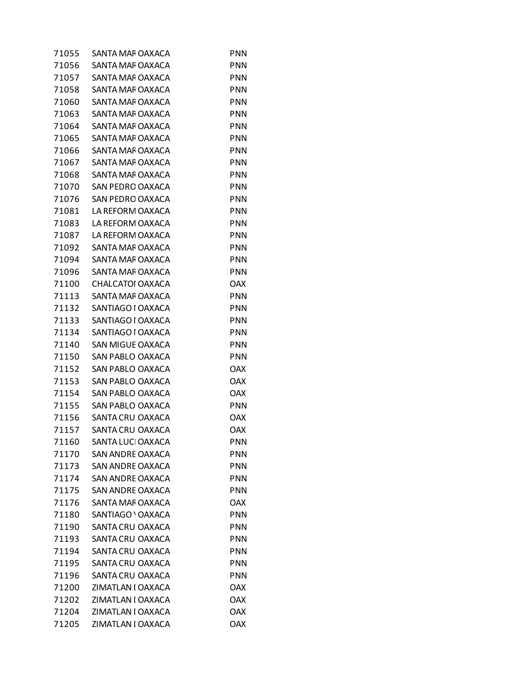| 71055 | SANTA MAF OAXACA        | <b>PNN</b> |
|-------|-------------------------|------------|
| 71056 | SANTA MAF OAXACA        | PNN        |
| 71057 | SANTA MAF OAXACA        | <b>PNN</b> |
| 71058 | SANTA MAF OAXACA        | <b>PNN</b> |
| 71060 | SANTA MAF OAXACA        | <b>PNN</b> |
| 71063 | SANTA MAF OAXACA        | <b>PNN</b> |
| 71064 | SANTA MAF OAXACA        | <b>PNN</b> |
| 71065 | SANTA MAF OAXACA        | <b>PNN</b> |
| 71066 | SANTA MAF OAXACA        | <b>PNN</b> |
| 71067 | SANTA MAF OAXACA        | <b>PNN</b> |
| 71068 | SANTA MAF OAXACA        | <b>PNN</b> |
| 71070 | <b>SAN PEDRO OAXACA</b> | <b>PNN</b> |
| 71076 | SAN PEDRO OAXACA        | <b>PNN</b> |
| 71081 | LA REFORM OAXACA        | <b>PNN</b> |
| 71083 | LA REFORM OAXACA        | <b>PNN</b> |
| 71087 | LA REFORM OAXACA        | <b>PNN</b> |
| 71092 | SANTA MAF OAXACA        | <b>PNN</b> |
| 71094 | SANTA MAF OAXACA        | <b>PNN</b> |
| 71096 | SANTA MAF OAXACA        | <b>PNN</b> |
| 71100 | CHALCATOI OAXACA        | <b>OAX</b> |
| 71113 | SANTA MAF OAXACA        | <b>PNN</b> |
| 71132 | SANTIAGO I OAXACA       | <b>PNN</b> |
| 71133 | SANTIAGO I OAXACA       | <b>PNN</b> |
| 71134 | SANTIAGO I OAXACA       | <b>PNN</b> |
| 71140 | SAN MIGUE OAXACA        | <b>PNN</b> |
| 71150 | SAN PABLO OAXACA        | <b>PNN</b> |
| 71152 | SAN PABLO OAXACA        | <b>OAX</b> |
| 71153 | SAN PABLO OAXACA        | <b>OAX</b> |
| 71154 | SAN PABLO OAXACA        | <b>OAX</b> |
| 71155 | SAN PABLO OAXACA        | <b>PNN</b> |
| 71156 | SANTA CRU OAXACA        | OAX        |
| 71157 | SANTA CRU OAXACA        | <b>OAX</b> |
| 71160 | SANTA LUCI OAXACA       | PNN        |
| 71170 | <b>SAN ANDRE OAXACA</b> | <b>PNN</b> |
| 71173 | <b>SAN ANDRE OAXACA</b> | <b>PNN</b> |
| 71174 | SAN ANDRE OAXACA        | <b>PNN</b> |
| 71175 | <b>SAN ANDRE OAXACA</b> | <b>PNN</b> |
| 71176 | SANTA MAF OAXACA        | <b>OAX</b> |
| 71180 | SANTIAGO ' OAXACA       | <b>PNN</b> |
| 71190 | SANTA CRU OAXACA        | PNN        |
| 71193 | SANTA CRU OAXACA        | <b>PNN</b> |
| 71194 | SANTA CRU OAXACA        | <b>PNN</b> |
| 71195 | SANTA CRU OAXACA        | <b>PNN</b> |
| 71196 | SANTA CRU OAXACA        | <b>PNN</b> |
| 71200 | ZIMATLAN I OAXACA       | <b>OAX</b> |
| 71202 | ZIMATLAN I OAXACA       | <b>OAX</b> |
| 71204 | ZIMATLAN I OAXACA       | <b>OAX</b> |
| 71205 | ZIMATLAN I OAXACA       | <b>OAX</b> |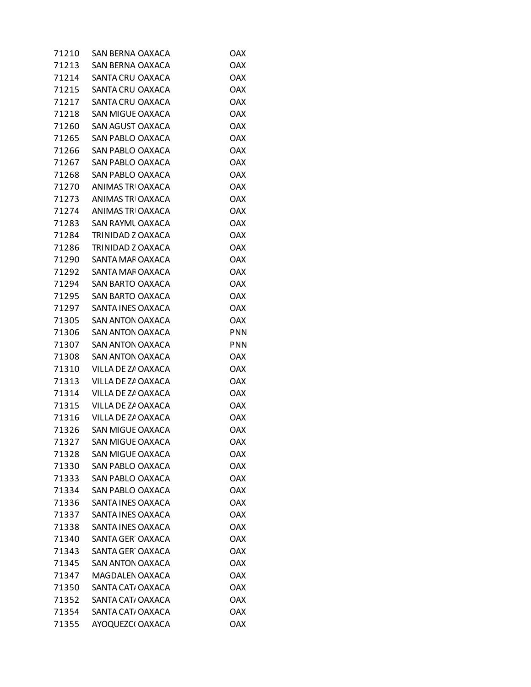| 71210 | SAN BERNA OAXACA        | OAX        |
|-------|-------------------------|------------|
| 71213 | SAN BERNA OAXACA        | <b>OAX</b> |
| 71214 | SANTA CRU OAXACA        | <b>OAX</b> |
| 71215 | SANTA CRU OAXACA        | <b>OAX</b> |
| 71217 | SANTA CRU OAXACA        | <b>OAX</b> |
| 71218 | SAN MIGUE OAXACA        | <b>OAX</b> |
| 71260 | SAN AGUST OAXACA        | <b>OAX</b> |
| 71265 | SAN PABLO OAXACA        | <b>OAX</b> |
| 71266 | SAN PABLO OAXACA        | <b>OAX</b> |
| 71267 | SAN PABLO OAXACA        | <b>OAX</b> |
| 71268 | SAN PABLO OAXACA        | <b>OAX</b> |
| 71270 | ANIMAS TRI OAXACA       | <b>OAX</b> |
| 71273 | ANIMAS TRI OAXACA       | <b>OAX</b> |
| 71274 | ANIMAS TRI OAXACA       | <b>OAX</b> |
| 71283 | SAN RAYML OAXACA        | <b>OAX</b> |
| 71284 | TRINIDAD Z OAXACA       | <b>OAX</b> |
| 71286 | TRINIDAD Z OAXACA       | <b>OAX</b> |
| 71290 | SANTA MAF OAXACA        | <b>OAX</b> |
| 71292 | SANTA MAF OAXACA        | <b>OAX</b> |
| 71294 | SAN BARTO OAXACA        | <b>OAX</b> |
| 71295 | SAN BARTO OAXACA        | <b>OAX</b> |
| 71297 | SANTA INES OAXACA       | <b>OAX</b> |
| 71305 | <b>SAN ANTON OAXACA</b> | <b>OAX</b> |
| 71306 | SAN ANTON OAXACA        | <b>PNN</b> |
| 71307 | SAN ANTON OAXACA        | <b>PNN</b> |
| 71308 | SAN ANTON OAXACA        | <b>OAX</b> |
| 71310 | VILLA DE ZA OAXACA      | <b>OAX</b> |
| 71313 | VILLA DE ZA OAXACA      | <b>OAX</b> |
| 71314 | VILLA DE ZA OAXACA      | <b>OAX</b> |
| 71315 | VILLA DE ZA OAXACA      | <b>OAX</b> |
| 71316 | VILLA DE ZA OAXACA      | <b>OAX</b> |
| 71326 | <b>SAN MIGUE OAXACA</b> | <b>OAX</b> |
| 71327 | <b>SAN MIGUE OAXACA</b> | <b>OAX</b> |
| 71328 | <b>SAN MIGUE OAXACA</b> | <b>OAX</b> |
| 71330 | SAN PABLO OAXACA        | <b>OAX</b> |
| 71333 | SAN PABLO OAXACA        | <b>OAX</b> |
| 71334 | SAN PABLO OAXACA        | <b>OAX</b> |
| 71336 | SANTA INES OAXACA       | <b>OAX</b> |
| 71337 | SANTA INES OAXACA       | <b>OAX</b> |
| 71338 | SANTA INES OAXACA       | <b>OAX</b> |
| 71340 | SANTA GER OAXACA        | <b>OAX</b> |
| 71343 | SANTA GER OAXACA        | <b>OAX</b> |
| 71345 | <b>SAN ANTON OAXACA</b> | <b>OAX</b> |
| 71347 | MAGDALEN OAXACA         | <b>OAX</b> |
| 71350 | SANTA CAT, OAXACA       | <b>OAX</b> |
| 71352 | SANTA CAT, OAXACA       | <b>OAX</b> |
| 71354 | SANTA CAT, OAXACA       | <b>OAX</b> |
| 71355 | AYOQUEZCI OAXACA        | <b>OAX</b> |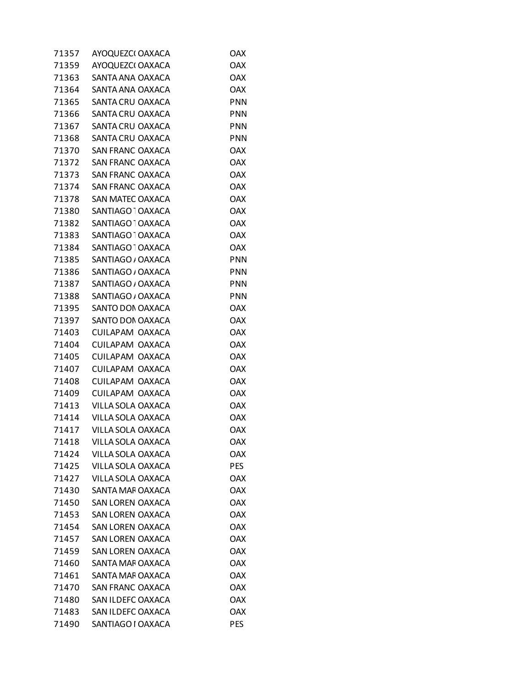| 71357 | AYOQUEZCI OAXACA             | <b>OAX</b> |
|-------|------------------------------|------------|
| 71359 | AYOQUEZCI OAXACA             | <b>OAX</b> |
| 71363 | SANTA ANA OAXACA             | <b>OAX</b> |
| 71364 | SANTA ANA OAXACA             | <b>OAX</b> |
| 71365 | SANTA CRU OAXACA             | <b>PNN</b> |
| 71366 | SANTA CRU OAXACA             | <b>PNN</b> |
| 71367 | SANTA CRU OAXACA             | <b>PNN</b> |
| 71368 | SANTA CRU OAXACA             | <b>PNN</b> |
| 71370 | <b>SAN FRANC OAXACA</b>      | <b>OAX</b> |
| 71372 | SAN FRANC OAXACA             | <b>OAX</b> |
| 71373 | <b>SAN FRANC OAXACA</b>      | <b>OAX</b> |
| 71374 | <b>SAN FRANC OAXACA</b>      | <b>OAX</b> |
| 71378 | SAN MATEC OAXACA             | <b>OAX</b> |
| 71380 | SANTIAGO <sup>-</sup> OAXACA | <b>OAX</b> |
| 71382 | SANTIAGO <sup>1</sup> OAXACA | <b>OAX</b> |
| 71383 | SANTIAGO <sup>1</sup> OAXACA | <b>OAX</b> |
| 71384 | SANTIAGO <sup>-</sup> OAXACA | <b>OAX</b> |
| 71385 | SANTIAGO / OAXACA            | <b>PNN</b> |
| 71386 | SANTIAGO / OAXACA            | <b>PNN</b> |
| 71387 | SANTIAGO / OAXACA            | <b>PNN</b> |
| 71388 | SANTIAGO / OAXACA            | <b>PNN</b> |
| 71395 | SANTO DON OAXACA             | <b>OAX</b> |
| 71397 | SANTO DON OAXACA             | <b>OAX</b> |
| 71403 | CUILAPAM OAXACA              | <b>OAX</b> |
| 71404 | CUILAPAM OAXACA              | <b>OAX</b> |
| 71405 | CUILAPAM OAXACA              | <b>OAX</b> |
| 71407 | CUILAPAM OAXACA              | <b>OAX</b> |
| 71408 | CUILAPAM OAXACA              | <b>OAX</b> |
| 71409 | CUILAPAM OAXACA              | <b>OAX</b> |
| 71413 | VILLA SOLA OAXACA            | <b>OAX</b> |
| 71414 | VILLA SOLA OAXACA            | <b>OAX</b> |
| 71417 | VILLA SOLA OAXACA            | <b>OAX</b> |
| 71418 | VILLA SOLA OAXACA            | <b>OAX</b> |
| 71424 | VILLA SOLA OAXACA            | <b>OAX</b> |
| 71425 | VILLA SOLA OAXACA            | <b>PES</b> |
| 71427 | VILLA SOLA OAXACA            | <b>OAX</b> |
| 71430 | SANTA MAF OAXACA             | <b>OAX</b> |
| 71450 | <b>SAN LOREN OAXACA</b>      | <b>OAX</b> |
| 71453 | <b>SAN LOREN OAXACA</b>      | <b>OAX</b> |
| 71454 | <b>SAN LOREN OAXACA</b>      | <b>OAX</b> |
| 71457 | <b>SAN LOREN OAXACA</b>      | <b>OAX</b> |
| 71459 | SAN LOREN OAXACA             | <b>OAX</b> |
| 71460 | SANTA MAF OAXACA             | <b>OAX</b> |
| 71461 | SANTA MAF OAXACA             | <b>OAX</b> |
| 71470 | <b>SAN FRANC OAXACA</b>      | <b>OAX</b> |
| 71480 | SAN ILDEFC OAXACA            | <b>OAX</b> |
| 71483 | SAN ILDEFC OAXACA            | <b>OAX</b> |
| 71490 | SANTIAGO I OAXACA            | <b>PES</b> |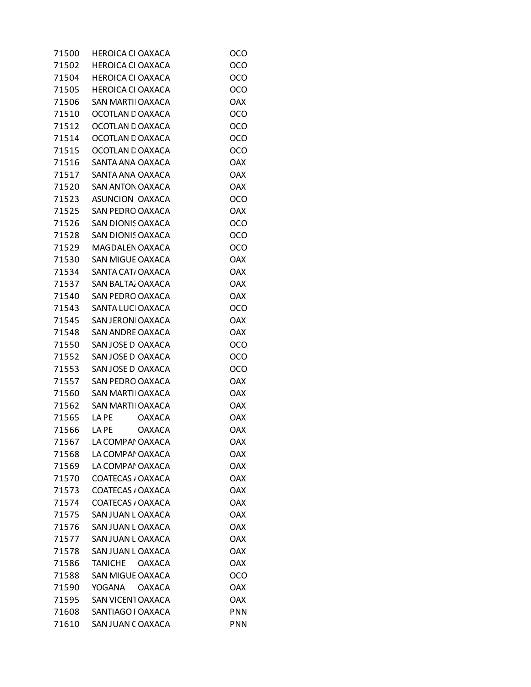| 71500 | HEROICA CI OAXACA        | oco        |
|-------|--------------------------|------------|
| 71502 | <b>HEROICA CI OAXACA</b> | OCO        |
| 71504 | <b>HEROICA CI OAXACA</b> | OCO        |
| 71505 | <b>HEROICA CI OAXACA</b> | OCO        |
| 71506 | <b>SAN MARTI OAXACA</b>  | <b>OAX</b> |
| 71510 | OCOTLAN D OAXACA         | OCO        |
| 71512 | OCOTLAN D OAXACA         | OCO        |
| 71514 | OCOTLAN E OAXACA         | OCO        |
| 71515 | OCOTLAN D OAXACA         | OCO        |
| 71516 | SANTA ANA OAXACA         | <b>OAX</b> |
| 71517 | SANTA ANA OAXACA         | <b>OAX</b> |
| 71520 | SAN ANTON OAXACA         | <b>OAX</b> |
| 71523 | ASUNCION OAXACA          | OCO        |
| 71525 | SAN PEDRO OAXACA         | <b>OAX</b> |
| 71526 | <b>SAN DIONIS OAXACA</b> | OCO        |
| 71528 | SAN DIONIS OAXACA        | OCO        |
| 71529 | MAGDALEN OAXACA          | OCO        |
| 71530 | SAN MIGUE OAXACA         | <b>OAX</b> |
| 71534 | SANTA CAT, OAXACA        | <b>OAX</b> |
| 71537 | SAN BALTA, OAXACA        | <b>OAX</b> |
| 71540 | SAN PEDRO OAXACA         | <b>OAX</b> |
| 71543 | SANTA LUCI OAXACA        | OCO        |
| 71545 | SAN JERONI OAXACA        | <b>OAX</b> |
| 71548 | <b>SAN ANDRE OAXACA</b>  | <b>OAX</b> |
| 71550 | SAN JOSE D OAXACA        | OCO        |
| 71552 | SAN JOSE D OAXACA        | OCO        |
| 71553 | SAN JOSE D OAXACA        | OCO        |
| 71557 | SAN PEDRO OAXACA         | <b>OAX</b> |
| 71560 | <b>SAN MARTI OAXACA</b>  | <b>OAX</b> |
| 71562 | <b>SAN MARTI OAXACA</b>  | <b>OAX</b> |
| 71565 | LA PE<br><b>OAXACA</b>   | <b>OAX</b> |
| 71566 | <b>OAXACA</b><br>LA PE   | <b>OAX</b> |
| 71567 | LA COMPAI OAXACA         | <b>OAX</b> |
| 71568 | LA COMPAI OAXACA         | <b>OAX</b> |
| 71569 | LA COMPAI OAXACA         | <b>OAX</b> |
| 71570 | COATECAS / OAXACA        | <b>OAX</b> |
| 71573 | COATECAS / OAXACA        | <b>OAX</b> |
| 71574 | COATECAS / OAXACA        | <b>OAX</b> |
| 71575 | SAN JUAN L OAXACA        | <b>OAX</b> |
| 71576 | SAN JUAN LOAXACA         | <b>OAX</b> |
| 71577 | SAN JUAN L OAXACA        | <b>OAX</b> |
| 71578 | SAN JUAN L OAXACA        | <b>OAX</b> |
| 71586 | TANICHE OAXACA           | <b>OAX</b> |
| 71588 | <b>SAN MIGUE OAXACA</b>  | OCO        |
| 71590 | YOGANA<br><b>OAXACA</b>  | <b>OAX</b> |
| 71595 | SAN VICENT OAXACA        | <b>OAX</b> |
| 71608 | SANTIAGO I OAXACA        | <b>PNN</b> |
| 71610 | SAN JUAN COAXACA         | <b>PNN</b> |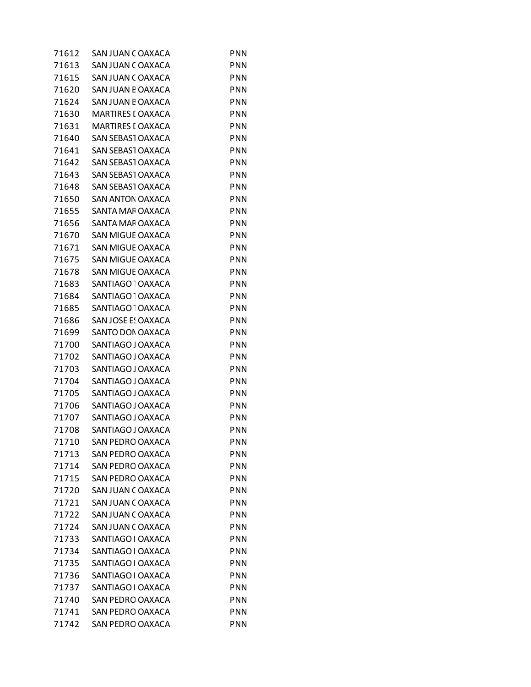| 71612 | SAN JUAN COAXACA             | <b>PNN</b> |
|-------|------------------------------|------------|
| 71613 | SAN JUAN COAXACA             | <b>PNN</b> |
| 71615 | SAN JUAN COAXACA             | PNN        |
| 71620 | SAN JUAN E OAXACA            | <b>PNN</b> |
| 71624 | SAN JUAN E OAXACA            | <b>PNN</b> |
| 71630 | MARTIRES I OAXACA            | <b>PNN</b> |
| 71631 | MARTIRES I OAXACA            | <b>PNN</b> |
| 71640 | SAN SEBASI OAXACA            | <b>PNN</b> |
| 71641 | <b>SAN SEBAST OAXACA</b>     | <b>PNN</b> |
| 71642 | SAN SEBASI OAXACA            | <b>PNN</b> |
| 71643 | SAN SEBASI OAXACA            | <b>PNN</b> |
| 71648 | SAN SEBASI OAXACA            | <b>PNN</b> |
| 71650 | SAN ANTON OAXACA             | <b>PNN</b> |
| 71655 | SANTA MAF OAXACA             | <b>PNN</b> |
| 71656 | SANTA MAF OAXACA             | <b>PNN</b> |
| 71670 | SAN MIGUE OAXACA             | <b>PNN</b> |
| 71671 | <b>SAN MIGUE OAXACA</b>      | <b>PNN</b> |
| 71675 | SAN MIGUE OAXACA             | <b>PNN</b> |
| 71678 | SAN MIGUE OAXACA             | <b>PNN</b> |
| 71683 | SANTIAGO <sup>-</sup> OAXACA | <b>PNN</b> |
| 71684 | SANTIAGO <sup>-</sup> OAXACA | <b>PNN</b> |
| 71685 | SANTIAGO <sup>-</sup> OAXACA | <b>PNN</b> |
| 71686 | <b>SAN JOSE E! OAXACA</b>    | <b>PNN</b> |
| 71699 | SANTO DON OAXACA             | <b>PNN</b> |
| 71700 | SANTIAGO J OAXACA            | <b>PNN</b> |
| 71702 | SANTIAGO J OAXACA            | <b>PNN</b> |
| 71703 | SANTIAGO J OAXACA            | <b>PNN</b> |
| 71704 | SANTIAGO J OAXACA            | <b>PNN</b> |
| 71705 | SANTIAGO J OAXACA            | <b>PNN</b> |
| 71706 | SANTIAGO J OAXACA            | <b>PNN</b> |
| 71707 | SANTIAGO J OAXACA            | PNN        |
| 71708 | SANTIAGO J OAXACA            | <b>PNN</b> |
| 71710 | <b>SAN PEDRO OAXACA</b>      | <b>PNN</b> |
| 71713 | <b>SAN PEDRO OAXACA</b>      | <b>PNN</b> |
| 71714 | <b>SAN PEDRO OAXACA</b>      | <b>PNN</b> |
| 71715 | <b>SAN PEDRO OAXACA</b>      | <b>PNN</b> |
| 71720 | SAN JUAN COAXACA             | <b>PNN</b> |
| 71721 | SAN JUAN COAXACA             | <b>PNN</b> |
| 71722 | SAN JUAN COAXACA             | <b>PNN</b> |
| 71724 | SAN JUAN COAXACA             | <b>PNN</b> |
| 71733 | SANTIAGO I OAXACA            | <b>PNN</b> |
| 71734 | SANTIAGO I OAXACA            | <b>PNN</b> |
| 71735 | SANTIAGO I OAXACA            | <b>PNN</b> |
| 71736 | SANTIAGO I OAXACA            | <b>PNN</b> |
| 71737 | SANTIAGO I OAXACA            | <b>PNN</b> |
| 71740 | SAN PEDRO OAXACA             | <b>PNN</b> |
| 71741 | <b>SAN PEDRO OAXACA</b>      | <b>PNN</b> |
| 71742 | SAN PEDRO OAXACA             | <b>PNN</b> |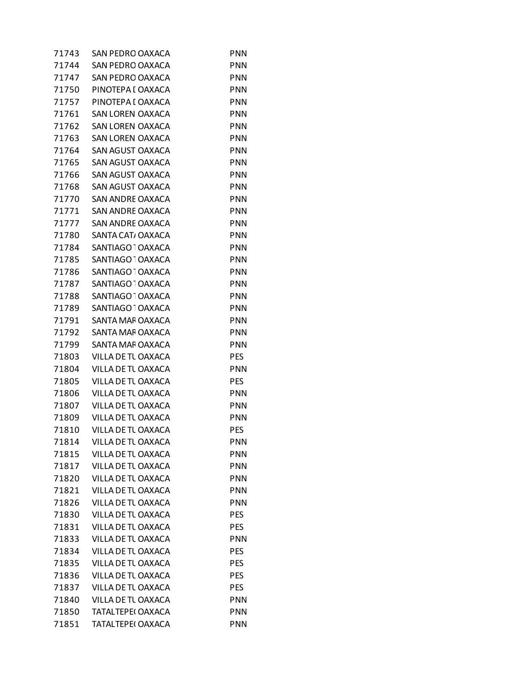| 71743 | SAN PEDRO OAXACA             | <b>PNN</b> |
|-------|------------------------------|------------|
| 71744 | <b>SAN PEDRO OAXACA</b>      | <b>PNN</b> |
| 71747 | <b>SAN PEDRO OAXACA</b>      | <b>PNN</b> |
| 71750 | PINOTEPA I OAXACA            | <b>PNN</b> |
| 71757 | PINOTEPA I OAXACA            | <b>PNN</b> |
| 71761 | <b>SAN LOREN OAXACA</b>      | <b>PNN</b> |
| 71762 | SAN LOREN OAXACA             | <b>PNN</b> |
| 71763 | <b>SAN LOREN OAXACA</b>      | <b>PNN</b> |
| 71764 | SAN AGUST OAXACA             | <b>PNN</b> |
| 71765 | SAN AGUST OAXACA             | <b>PNN</b> |
| 71766 | SAN AGUST OAXACA             | <b>PNN</b> |
| 71768 | SAN AGUST OAXACA             | <b>PNN</b> |
| 71770 | SAN ANDRE OAXACA             | <b>PNN</b> |
| 71771 | SAN ANDRE OAXACA             | <b>PNN</b> |
| 71777 | <b>SAN ANDRE OAXACA</b>      | <b>PNN</b> |
| 71780 | SANTA CAT, OAXACA            | <b>PNN</b> |
| 71784 | SANTIAGO <sup>-</sup> OAXACA | <b>PNN</b> |
| 71785 | SANTIAGO <sup>-</sup> OAXACA | <b>PNN</b> |
| 71786 | SANTIAGO <sup>-</sup> OAXACA | <b>PNN</b> |
| 71787 | SANTIAGO <sup>-</sup> OAXACA | <b>PNN</b> |
| 71788 | SANTIAGO <sup>-</sup> OAXACA | <b>PNN</b> |
| 71789 | SANTIAGO <sup>1</sup> OAXACA | <b>PNN</b> |
| 71791 | SANTA MAF OAXACA             | <b>PNN</b> |
| 71792 | SANTA MAF OAXACA             | <b>PNN</b> |
| 71799 | SANTA MAF OAXACA             | <b>PNN</b> |
| 71803 | VILLA DE TL OAXACA           | <b>PES</b> |
| 71804 | VILLA DE TL OAXACA           | <b>PNN</b> |
| 71805 | VILLA DE TL OAXACA           | <b>PES</b> |
| 71806 | VILLA DE TL OAXACA           | <b>PNN</b> |
| 71807 | VILLA DE TL OAXACA           | <b>PNN</b> |
| 71809 | VILLA DE TL OAXACA           | <b>PNN</b> |
| 71810 | VILLA DE TL OAXACA           | PES        |
| 71814 | VILLA DE TL OAXACA           | <b>PNN</b> |
| 71815 | VILLA DE TL OAXACA           | <b>PNN</b> |
| 71817 | VILLA DE TL OAXACA           | <b>PNN</b> |
| 71820 | VILLA DE TL OAXACA           | <b>PNN</b> |
| 71821 | VILLA DE TL OAXACA           | <b>PNN</b> |
| 71826 | VILLA DE TL OAXACA           | <b>PNN</b> |
| 71830 | VILLA DE TUOAXACA            | <b>PES</b> |
| 71831 | VILLA DE TL OAXACA           | <b>PES</b> |
| 71833 | VILLA DE TL OAXACA           | <b>PNN</b> |
| 71834 | VILLA DE TL OAXACA           | <b>PES</b> |
| 71835 | VILLA DE TL OAXACA           | <b>PES</b> |
| 71836 | VILLA DE TL OAXACA           | <b>PES</b> |
| 71837 | VILLA DE TL OAXACA           | <b>PES</b> |
| 71840 | VILLA DE TL OAXACA           | <b>PNN</b> |
| 71850 | TATALTEPE(OAXACA             | <b>PNN</b> |
| 71851 | TATALTEPE(OAXACA             | <b>PNN</b> |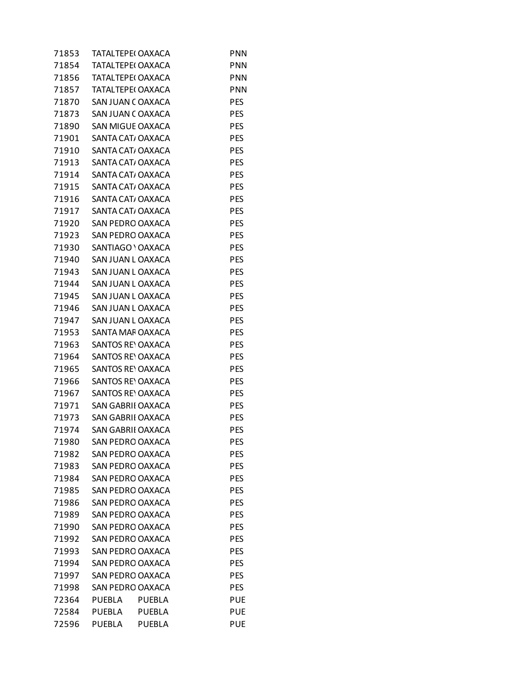| 71853 | TATALTEPE(OAXACA         |               | PNN        |
|-------|--------------------------|---------------|------------|
| 71854 | TATAL TEPE( OAXACA       |               | <b>PNN</b> |
| 71856 | TATALTEPE(OAXACA         |               | <b>PNN</b> |
| 71857 | TATALTEPE(OAXACA         |               | <b>PNN</b> |
| 71870 | SAN JUAN COAXACA         |               | <b>PES</b> |
| 71873 | SAN JUAN COAXACA         |               | <b>PES</b> |
| 71890 | SAN MIGUE OAXACA         |               | PES        |
| 71901 | SANTA CAT, OAXACA        |               | <b>PES</b> |
| 71910 | SANTA CAT/OAXACA         |               | <b>PES</b> |
| 71913 | SANTA CAT/OAXACA         |               | <b>PES</b> |
| 71914 | SANTA CAT/OAXACA         |               | <b>PES</b> |
| 71915 | SANTA CAT/ OAXACA        |               | <b>PES</b> |
| 71916 | SANTA CAT/OAXACA         |               | PES        |
| 71917 | SANTA CAT, OAXACA        |               | <b>PES</b> |
| 71920 | SAN PEDRO OAXACA         |               | <b>PES</b> |
| 71923 | SAN PEDRO OAXACA         |               | <b>PES</b> |
| 71930 | SANTIAGO ' OAXACA        |               | <b>PES</b> |
| 71940 | SAN JUAN L OAXACA        |               | <b>PES</b> |
| 71943 | SAN JUAN L OAXACA        |               | PES        |
| 71944 | SAN JUAN L OAXACA        |               | <b>PES</b> |
| 71945 | SAN JUAN L OAXACA        |               | <b>PES</b> |
| 71946 | SAN JUAN L OAXACA        |               | <b>PES</b> |
| 71947 | SAN JUAN L OAXACA        |               | <b>PES</b> |
| 71953 | SANTA MAF OAXACA         |               | <b>PES</b> |
| 71963 | SANTOS REYOAXACA         |               | PES        |
| 71964 | <b>SANTOS REY OAXACA</b> |               | <b>PES</b> |
| 71965 | <b>SANTOS REY OAXACA</b> |               | <b>PES</b> |
| 71966 | <b>SANTOS REY OAXACA</b> |               | <b>PES</b> |
| 71967 | <b>SANTOS RE' OAXACA</b> |               | <b>PES</b> |
| 71971 | <b>SAN GABRII OAXACA</b> |               | <b>PES</b> |
| 71973 | <b>SAN GABRII OAXACA</b> |               | PES        |
| 71974 | <b>SAN GABRII OAXACA</b> |               | <b>PES</b> |
| 71980 | SAN PEDRO OAXACA         |               | PES        |
| 71982 | <b>SAN PEDRO OAXACA</b>  |               | PES        |
| 71983 | <b>SAN PEDRO OAXACA</b>  |               | <b>PES</b> |
| 71984 | SAN PEDRO OAXACA         |               | <b>PES</b> |
| 71985 | SAN PEDRO OAXACA         |               | <b>PES</b> |
| 71986 | <b>SAN PEDRO OAXACA</b>  |               | <b>PES</b> |
| 71989 | SAN PEDRO OAXACA         |               | <b>PES</b> |
| 71990 | <b>SAN PEDRO OAXACA</b>  |               | PES        |
| 71992 | <b>SAN PEDRO OAXACA</b>  |               | <b>PES</b> |
| 71993 | SAN PEDRO OAXACA         |               | <b>PES</b> |
| 71994 | SAN PEDRO OAXACA         |               | <b>PES</b> |
| 71997 | <b>SAN PEDRO OAXACA</b>  |               | <b>PES</b> |
| 71998 | <b>SAN PEDRO OAXACA</b>  |               | <b>PES</b> |
| 72364 | <b>PUEBLA</b>            | <b>PUEBLA</b> | PUE        |
| 72584 | <b>PUEBLA</b>            | <b>PUEBLA</b> | <b>PUE</b> |
| 72596 | PUEBLA                   | <b>PUEBLA</b> | <b>PUE</b> |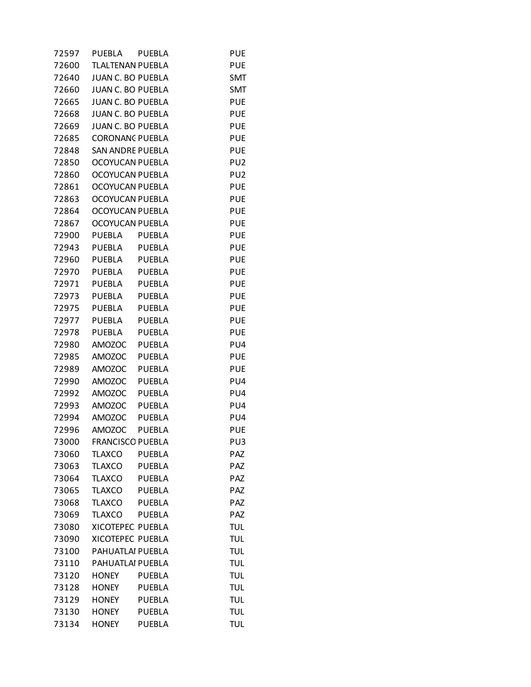| 72597 | PUEBLA                   | <b>PUEBLA</b> | <b>PUE</b>      |
|-------|--------------------------|---------------|-----------------|
| 72600 | <b>TLALTENAN PUEBLA</b>  |               | <b>PUE</b>      |
| 72640 | JUAN C. BO PUEBLA        |               | <b>SMT</b>      |
| 72660 | JUAN C. BO PUEBLA        |               | <b>SMT</b>      |
| 72665 | <b>JUAN C. BO PUEBLA</b> |               | <b>PUE</b>      |
| 72668 | JUAN C. BO PUEBLA        |               | <b>PUE</b>      |
| 72669 | JUAN C. BO PUEBLA        |               | <b>PUE</b>      |
| 72685 | <b>CORONANC PUEBLA</b>   |               | <b>PUE</b>      |
| 72848 | <b>SAN ANDRE PUEBLA</b>  |               | <b>PUE</b>      |
| 72850 | OCOYUCAN PUEBLA          |               | PU <sub>2</sub> |
| 72860 | OCOYUCAN PUEBLA          |               | PU <sub>2</sub> |
| 72861 | <b>OCOYUCAN PUEBLA</b>   |               | <b>PUE</b>      |
| 72863 | OCOYUCAN PUEBLA          |               | <b>PUE</b>      |
| 72864 | OCOYUCAN PUEBLA          |               | <b>PUE</b>      |
| 72867 | <b>OCOYUCAN PUEBLA</b>   |               | <b>PUE</b>      |
| 72900 | PUEBLA PUEBLA            |               | <b>PUE</b>      |
| 72943 | PUEBLA PUEBLA            |               | <b>PUE</b>      |
| 72960 | PUEBLA PUEBLA            |               | <b>PUE</b>      |
| 72970 | PUEBLA                   | PUEBLA        | <b>PUE</b>      |
| 72971 | PUEBLA PUEBLA            |               | <b>PUE</b>      |
|       | 72973 PUEBLA PUEBLA      |               | <b>PUE</b>      |
| 72975 | PUEBLA                   | <b>PUEBLA</b> | <b>PUE</b>      |
| 72977 | <b>PUEBLA</b>            | <b>PUEBLA</b> | <b>PUE</b>      |
| 72978 | PUEBLA                   | <b>PUEBLA</b> | <b>PUE</b>      |
| 72980 | <b>AMOZOC</b>            | <b>PUEBLA</b> | PU4             |
| 72985 | <b>AMOZOC</b>            | <b>PUEBLA</b> | <b>PUE</b>      |
| 72989 | <b>AMOZOC</b>            | PUEBLA        | <b>PUE</b>      |
| 72990 | <b>AMOZOC</b>            | <b>PUEBLA</b> | PU4             |
| 72992 | <b>AMOZOC</b>            | <b>PUEBLA</b> | PU4             |
| 72993 | <b>AMOZOC</b>            | <b>PUEBLA</b> | PU4             |
| 72994 | <b>AMOZOC</b>            | <b>PUEBLA</b> | PU4             |
| 72996 | <b>AMOZOC</b>            | <b>PUEBLA</b> | <b>PUE</b>      |
| 73000 | <b>FRANCISCO PUEBLA</b>  |               | PU <sub>3</sub> |
| 73060 | <b>TLAXCO</b>            | <b>PUEBLA</b> | PAZ             |
| 73063 | <b>TLAXCO</b>            | <b>PUEBLA</b> | PAZ             |
| 73064 | <b>TLAXCO</b>            | <b>PUEBLA</b> | PAZ             |
| 73065 | <b>TLAXCO</b>            | <b>PUEBLA</b> | PAZ             |
| 73068 | <b>TLAXCO</b>            | <b>PUEBLA</b> | PAZ             |
| 73069 | <b>TLAXCO</b>            | <b>PUEBLA</b> | PAZ             |
| 73080 | XICOTEPEC PUEBLA         |               | <b>TUL</b>      |
| 73090 | <b>XICOTEPEC PUEBLA</b>  |               | <b>TUL</b>      |
| 73100 | PAHUATLAI PUEBLA         |               | <b>TUL</b>      |
| 73110 | PAHUATLAI PUEBLA         |               | <b>TUL</b>      |
| 73120 | <b>HONEY</b>             | <b>PUEBLA</b> | <b>TUL</b>      |
| 73128 | <b>HONEY</b>             | <b>PUEBLA</b> | <b>TUL</b>      |
| 73129 | <b>HONEY</b>             | <b>PUEBLA</b> | <b>TUL</b>      |
| 73130 | <b>HONEY</b>             | <b>PUEBLA</b> | <b>TUL</b>      |
| 73134 | <b>HONEY</b>             | <b>PUEBLA</b> | <b>TUL</b>      |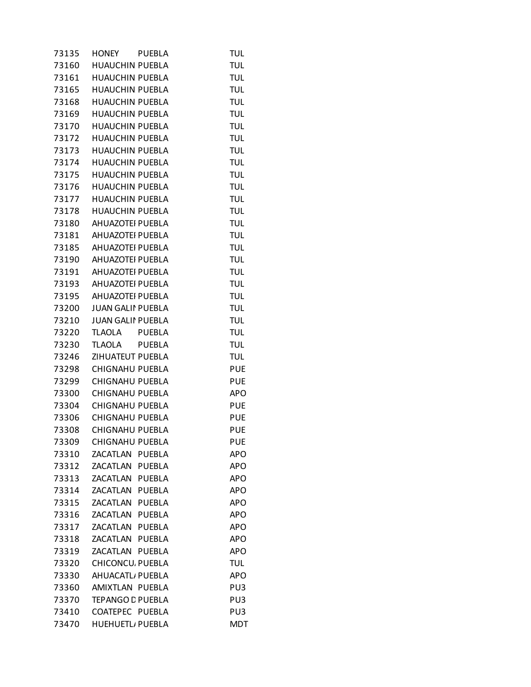| 73135 | HONEY                    | <b>PUEBLA</b> | <b>TUL</b> |
|-------|--------------------------|---------------|------------|
| 73160 | <b>HUAUCHIN PUEBLA</b>   |               | <b>TUL</b> |
| 73161 | HUAUCHIN PUEBLA          |               | <b>TUL</b> |
|       | 73165 HUAUCHIN PUEBLA    |               | <b>TUL</b> |
| 73168 | <b>HUAUCHIN PUEBLA</b>   |               | <b>TUL</b> |
| 73169 | <b>HUAUCHIN PUEBLA</b>   |               | <b>TUL</b> |
| 73170 | <b>HUAUCHIN PUEBLA</b>   |               | <b>TUL</b> |
| 73172 | <b>HUAUCHIN PUEBLA</b>   |               | <b>TUL</b> |
| 73173 | <b>HUAUCHIN PUEBLA</b>   |               | <b>TUL</b> |
| 73174 | <b>HUAUCHIN PUEBLA</b>   |               | <b>TUL</b> |
| 73175 | <b>HUAUCHIN PUEBLA</b>   |               | <b>TUL</b> |
| 73176 | <b>HUAUCHIN PUEBLA</b>   |               | <b>TUL</b> |
| 73177 | <b>HUAUCHIN PUEBLA</b>   |               | <b>TUL</b> |
| 73178 | <b>HUAUCHIN PUEBLA</b>   |               | <b>TUL</b> |
| 73180 | AHUAZOTEI PUEBLA         |               | <b>TUL</b> |
| 73181 | AHUAZOTEI PUEBLA         |               | <b>TUL</b> |
| 73185 | AHUAZOTEI PUEBLA         |               | <b>TUL</b> |
|       |                          |               |            |
| 73190 | AHUAZOTEI PUEBLA         |               | <b>TUL</b> |
| 73191 | AHUAZOTEI PUEBLA         |               | <b>TUL</b> |
|       | 73193 AHUAZOTEI PUEBLA   |               | <b>TUL</b> |
| 73195 | AHUAZOTEI PUEBLA         |               | <b>TUL</b> |
| 73200 | <b>JUAN GALII PUEBLA</b> |               | <b>TUL</b> |
| 73210 | <b>JUAN GALII PUEBLA</b> |               | <b>TUL</b> |
| 73220 | TLAOLA PUEBLA            |               | <b>TUL</b> |
| 73230 | TLAOLA PUEBLA            |               | <b>TUL</b> |
| 73246 | ZIHUATEUT PUEBLA         |               | <b>TUL</b> |
| 73298 | <b>CHIGNAHU PUEBLA</b>   |               | <b>PUE</b> |
| 73299 | <b>CHIGNAHU PUEBLA</b>   |               | <b>PUE</b> |
| 73300 | <b>CHIGNAHU PUEBLA</b>   |               | <b>APO</b> |
| 73304 | <b>CHIGNAHU PUEBLA</b>   |               | <b>PUE</b> |
| 73306 | CHIGNAHU PUEBLA          |               | <b>PUE</b> |
| 73308 | <b>CHIGNAHU PUEBLA</b>   |               | <b>PUE</b> |
| 73309 | <b>CHIGNAHU PUEBLA</b>   |               | <b>PUE</b> |
| 73310 | ZACATLAN PUEBLA          |               | APO        |
| 73312 | ZACATLAN                 | PUEBLA        | APO        |
| 73313 | ZACATLAN PUEBLA          |               | <b>APO</b> |
| 73314 | ZACATLAN PUEBLA          |               | <b>APO</b> |
| 73315 | ZACATLAN                 | <b>PUEBLA</b> | <b>APO</b> |
| 73316 | ZACATLAN                 | <b>PUEBLA</b> | <b>APO</b> |
| 73317 | ZACATLAN PUEBLA          |               | APO        |
| 73318 | ZACATLAN PUEBLA          |               | <b>APO</b> |
| 73319 | ZACATLAN                 | <b>PUEBLA</b> | APO        |
| 73320 | <b>CHICONCU. PUEBLA</b>  |               | TUL        |
| 73330 | AHUACATL, PUEBLA         |               | <b>APO</b> |
| 73360 | AMIXTLAN PUEBLA          |               | PU3        |
| 73370 | <b>TEPANGO C PUEBLA</b>  |               | PU3        |
| 73410 | COATEPEC PUEBLA          |               | PU3        |
| 73470 | HUEHUETL/ PUEBLA         |               | <b>MDT</b> |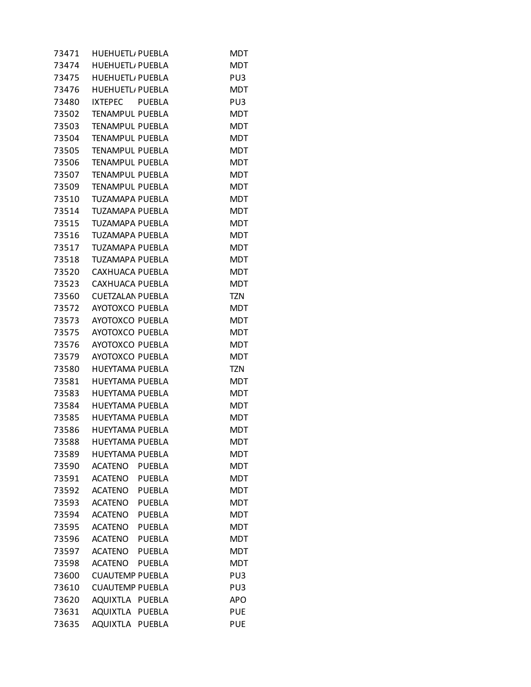| 73471 | HUEHUETL/ PUEBLA         |               | MDT        |
|-------|--------------------------|---------------|------------|
| 73474 | <b>HUEHUETL</b> , PUEBLA |               | <b>MDT</b> |
| 73475 | <b>HUEHUETL/PUEBLA</b>   |               | PU3        |
| 73476 | <b>HUEHUETL</b> , PUEBLA |               | <b>MDT</b> |
| 73480 | IXTEPEC PUEBLA           |               | PU3        |
| 73502 | <b>TENAMPUL PUEBLA</b>   |               | <b>MDT</b> |
| 73503 | <b>TENAMPUL PUEBLA</b>   |               | <b>MDT</b> |
| 73504 | <b>TENAMPUL PUEBLA</b>   |               | <b>MDT</b> |
| 73505 | <b>TENAMPUL PUEBLA</b>   |               | <b>MDT</b> |
| 73506 | <b>TENAMPUL PUEBLA</b>   |               | <b>MDT</b> |
| 73507 | <b>TENAMPUL PUEBLA</b>   |               | <b>MDT</b> |
| 73509 | <b>TENAMPUL PUEBLA</b>   |               | <b>MDT</b> |
| 73510 | TUZAMAPA PUEBLA          |               | <b>MDT</b> |
| 73514 | TUZAMAPA PUEBLA          |               | <b>MDT</b> |
| 73515 | TUZAMAPA PUEBLA          |               | <b>MDT</b> |
| 73516 | TUZAMAPA PUEBLA          |               | <b>MDT</b> |
| 73517 | <b>TUZAMAPA PUEBLA</b>   |               | <b>MDT</b> |
| 73518 | <b>TUZAMAPA PUEBLA</b>   |               | <b>MDT</b> |
| 73520 | CAXHUACA PUEBLA          |               | <b>MDT</b> |
| 73523 | CAXHUACA PUEBLA          |               | <b>MDT</b> |
| 73560 | <b>CUETZALAN PUEBLA</b>  |               | <b>TZN</b> |
| 73572 | AYOTOXCO PUEBLA          |               | <b>MDT</b> |
| 73573 | <b>AYOTOXCO PUEBLA</b>   |               | <b>MDT</b> |
| 73575 | AYOTOXCO PUEBLA          |               | <b>MDT</b> |
| 73576 | AYOTOXCO PUEBLA          |               | <b>MDT</b> |
| 73579 | <b>AYOTOXCO PUEBLA</b>   |               | <b>MDT</b> |
| 73580 | HUEYTAMA PUEBLA          |               | <b>TZN</b> |
| 73581 | HUEYTAMA PUEBLA          |               | <b>MDT</b> |
| 73583 | <b>HUEYTAMA PUEBLA</b>   |               | <b>MDT</b> |
| 73584 | HUEYTAMA PUEBLA          |               | <b>MDT</b> |
| 73585 | <b>HUEYTAMA PUEBLA</b>   |               | <b>MDT</b> |
| 73586 | <b>HUEYTAMA PUEBLA</b>   |               | <b>MDT</b> |
| 73588 | <b>HUEYTAMA PUEBLA</b>   |               | <b>MDT</b> |
| 73589 | HUEYTAMA PUEBLA          |               | <b>MDT</b> |
| 73590 | <b>ACATENO</b>           | <b>PUEBLA</b> | <b>MDT</b> |
| 73591 | <b>ACATENO</b>           | PUEBLA        | <b>MDT</b> |
| 73592 | ACATENO                  | PUEBLA        | <b>MDT</b> |
| 73593 | <b>ACATENO</b>           | <b>PUEBLA</b> | <b>MDT</b> |
| 73594 | <b>ACATENO</b>           | <b>PUEBLA</b> | <b>MDT</b> |
| 73595 | <b>ACATENO</b>           | PUEBLA        | <b>MDT</b> |
| 73596 | <b>ACATENO</b>           | <b>PUEBLA</b> | <b>MDT</b> |
| 73597 | <b>ACATENO</b>           | <b>PUEBLA</b> | <b>MDT</b> |
| 73598 | <b>ACATENO</b>           | <b>PUEBLA</b> | <b>MDT</b> |
| 73600 | <b>CUAUTEMP PUEBLA</b>   |               | PU3        |
| 73610 | <b>CUAUTEMP PUEBLA</b>   |               | PU3        |
| 73620 | AQUIXTLA PUEBLA          |               | <b>APO</b> |
| 73631 | <b>AQUIXTLA</b>          | <b>PUEBLA</b> | <b>PUE</b> |
| 73635 | AQUIXTLA PUEBLA          |               | <b>PUE</b> |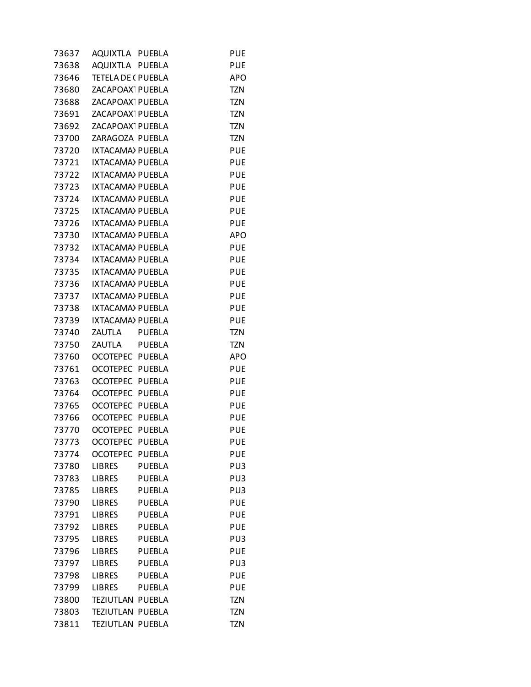| 73637 | AQUIXTLA PUEBLA              |               | <b>PUE</b> |
|-------|------------------------------|---------------|------------|
| 73638 | AQUIXTLA PUEBLA              |               | <b>PUE</b> |
| 73646 | <b>TETELA DE (PUEBLA</b>     |               | <b>APO</b> |
| 73680 | ZACAPOAX PUEBLA              |               | <b>TZN</b> |
| 73688 | ZACAPOAX <sup>-</sup> PUEBLA |               | <b>TZN</b> |
| 73691 | ZACAPOAX <sup>-</sup> PUEBLA |               | <b>TZN</b> |
| 73692 | ZACAPOAX <sup>-</sup> PUEBLA |               | <b>TZN</b> |
| 73700 | ZARAGOZA PUEBLA              |               | <b>TZN</b> |
| 73720 | IXTACAMA) PUEBLA             |               | <b>PUE</b> |
| 73721 | IXTACAMA) PUEBLA             |               | <b>PUE</b> |
| 73722 | <b>IXTACAMA) PUEBLA</b>      |               | <b>PUE</b> |
| 73723 | <b>IXTACAMA) PUEBLA</b>      |               | <b>PUE</b> |
| 73724 | IXTACAMA) PUEBLA             |               | <b>PUE</b> |
| 73725 | IXTACAMA) PUEBLA             |               | <b>PUE</b> |
| 73726 | IXTACAMA) PUEBLA             |               | <b>PUE</b> |
| 73730 | IXTACAMA) PUEBLA             |               | <b>APO</b> |
| 73732 | <b>IXTACAMA) PUEBLA</b>      |               | <b>PUE</b> |
| 73734 | <b>IXTACAMA) PUEBLA</b>      |               | <b>PUE</b> |
| 73735 | IXTACAMA) PUEBLA             |               | <b>PUE</b> |
| 73736 | IXTACAMA) PUEBLA             |               | <b>PUE</b> |
| 73737 | <b>IXTACAMA) PUEBLA</b>      |               | <b>PUE</b> |
| 73738 | IXTACAMA) PUEBLA             |               | <b>PUE</b> |
| 73739 | IXTACAMA) PUEBLA             |               | <b>PUE</b> |
| 73740 | ZAUTLA PUEBLA                |               | <b>TZN</b> |
| 73750 | ZAUTLA                       | PUEBLA        | TZN        |
| 73760 | OCOTEPEC PUEBLA              |               | <b>APO</b> |
| 73761 | OCOTEPEC PUEBLA              |               | <b>PUE</b> |
| 73763 | OCOTEPEC PUEBLA              |               | <b>PUE</b> |
| 73764 | <b>OCOTEPEC</b>              | PUEBLA        | <b>PUE</b> |
| 73765 | OCOTEPEC PUEBLA              |               | <b>PUE</b> |
| 73766 | OCOTEPEC PUEBLA              |               | <b>PUE</b> |
| 73770 | OCOTEPEC PUEBLA              |               | <b>PUE</b> |
| 73773 | <b>OCOTEPEC</b>              | <b>PUEBLA</b> | PUE        |
| 73774 | <b>OCOTEPEC</b>              | <b>PUEBLA</b> | <b>PUE</b> |
| 73780 | <b>LIBRES</b>                | <b>PUEBLA</b> | PU3        |
| 73783 | <b>LIBRES</b>                | <b>PUEBLA</b> | PU3        |
| 73785 | <b>LIBRES</b>                | <b>PUEBLA</b> | PU3        |
| 73790 | <b>LIBRES</b>                | <b>PUEBLA</b> | <b>PUE</b> |
| 73791 | <b>LIBRES</b>                | <b>PUEBLA</b> | <b>PUE</b> |
| 73792 | LIBRES                       | <b>PUEBLA</b> | <b>PUE</b> |
| 73795 | <b>LIBRES</b>                | <b>PUEBLA</b> | PU3        |
| 73796 | <b>LIBRES</b>                | <b>PUEBLA</b> | <b>PUE</b> |
| 73797 | <b>LIBRES</b>                | <b>PUEBLA</b> | PU3        |
| 73798 | <b>LIBRES</b>                | <b>PUEBLA</b> | <b>PUE</b> |
| 73799 | LIBRES                       | <b>PUEBLA</b> | <b>PUE</b> |
| 73800 | TEZIUTLAN PUEBLA             |               | <b>TZN</b> |
| 73803 | TEZIUTLAN PUEBLA             |               | <b>TZN</b> |
| 73811 | TEZIUTLAN PUEBLA             |               | <b>TZN</b> |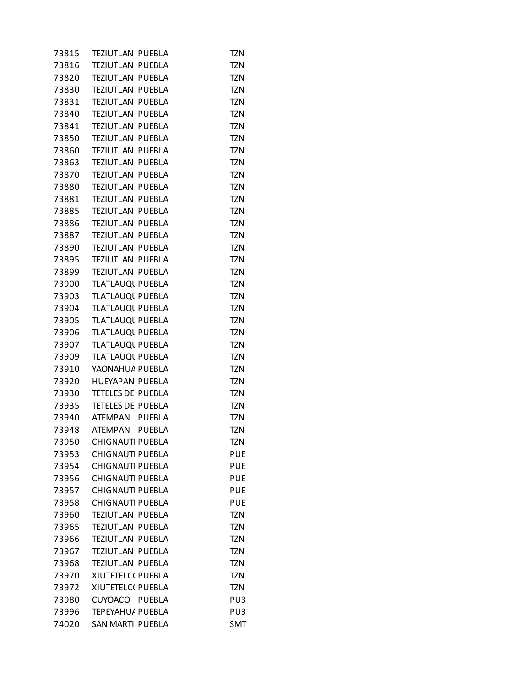| 73815 | TEZIUTLAN PUEBLA         | TZN        |
|-------|--------------------------|------------|
| 73816 | TEZIUTLAN PUEBLA         | <b>TZN</b> |
| 73820 | TEZIUTLAN PUEBLA         | <b>TZN</b> |
| 73830 | TEZIUTLAN PUEBLA         | <b>TZN</b> |
| 73831 | <b>TEZIUTLAN PUEBLA</b>  | <b>TZN</b> |
| 73840 | TEZIUTLAN PUEBLA         | <b>TZN</b> |
| 73841 | TEZIUTLAN PUEBLA         | <b>TZN</b> |
| 73850 | TEZIUTLAN PUEBLA         | <b>TZN</b> |
| 73860 | TEZIUTLAN PUEBLA         | <b>TZN</b> |
| 73863 | TEZIUTLAN PUEBLA         | <b>TZN</b> |
| 73870 | <b>TEZIUTLAN PUEBLA</b>  | <b>TZN</b> |
| 73880 | TEZIUTLAN PUEBLA         | <b>TZN</b> |
| 73881 | TEZIUTLAN PUEBLA         | <b>TZN</b> |
| 73885 | TEZIUTLAN PUEBLA         | <b>TZN</b> |
| 73886 | TEZIUTLAN PUEBLA         | <b>TZN</b> |
| 73887 | TEZIUTLAN PUEBLA         | <b>TZN</b> |
| 73890 | <b>TEZIUTLAN PUEBLA</b>  | <b>TZN</b> |
| 73895 | TEZIUTLAN PUEBLA         | <b>TZN</b> |
| 73899 | TEZIUTLAN PUEBLA         | <b>TZN</b> |
| 73900 | TLATLAUQL PUEBLA         | <b>TZN</b> |
| 73903 | TLATLAUQL PUEBLA         | <b>TZN</b> |
| 73904 | TLATLAUQL PUEBLA         | <b>TZN</b> |
| 73905 | TLATLAUQL PUEBLA         | <b>TZN</b> |
| 73906 | TLATLAUQL PUEBLA         | <b>TZN</b> |
| 73907 | TLATLAUQL PUEBLA         | <b>TZN</b> |
| 73909 | TLATLAUQL PUEBLA         | <b>TZN</b> |
| 73910 | YAONAHUA PUEBLA          | <b>TZN</b> |
| 73920 | HUEYAPAN PUEBLA          | <b>TZN</b> |
| 73930 | <b>TETELES DE PUEBLA</b> | <b>TZN</b> |
| 73935 | <b>TETELES DE PUEBLA</b> | <b>TZN</b> |
|       | 73940 ATEMPAN PUEBLA     | <b>TZN</b> |
|       | 73948 ATEMPAN PUEBLA     | <b>TZN</b> |
| 73950 | <b>CHIGNAUTI PUEBLA</b>  | tzn        |
| 73953 | <b>CHIGNAUTI PUEBLA</b>  | <b>PUE</b> |
| 73954 | <b>CHIGNAUTI PUEBLA</b>  | <b>PUE</b> |
| 73956 | <b>CHIGNAUTI PUEBLA</b>  | <b>PUE</b> |
| 73957 | <b>CHIGNAUTI PUEBLA</b>  | <b>PUE</b> |
| 73958 | <b>CHIGNAUTI PUEBLA</b>  | <b>PUE</b> |
| 73960 | TEZIUTLAN PUEBLA         | <b>TZN</b> |
| 73965 | <b>TEZIUTLAN PUEBLA</b>  | <b>TZN</b> |
| 73966 | <b>TEZIUTLAN PUEBLA</b>  | <b>TZN</b> |
| 73967 | TEZIUTLAN PUEBLA         | <b>TZN</b> |
| 73968 | TEZIUTLAN PUEBLA         | <b>TZN</b> |
| 73970 | XIUTETELC( PUEBLA        | <b>TZN</b> |
| 73972 | XIUTETELC( PUEBLA        | <b>TZN</b> |
| 73980 | CUYOACO PUEBLA           | PU3        |
| 73996 | TEPEYAHU/ PUEBLA         | PU3        |
| 74020 | <b>SAN MARTII PUEBLA</b> | SMT        |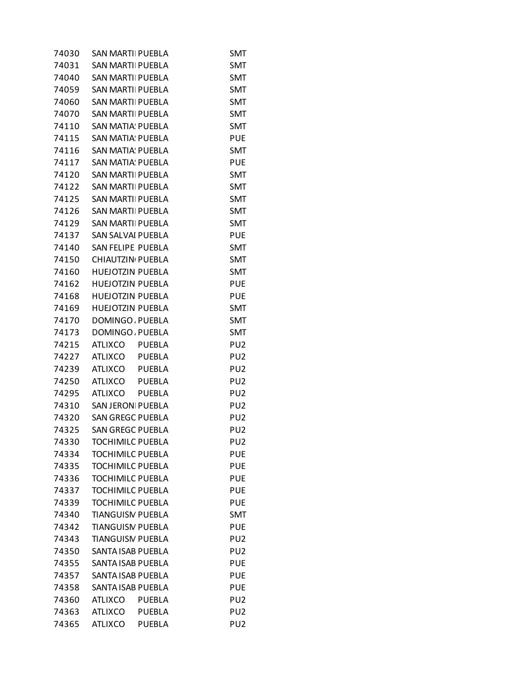| 74030 | SAN MARTII PUEBLA        |               | SMT             |
|-------|--------------------------|---------------|-----------------|
| 74031 | <b>SAN MARTII PUEBLA</b> |               | SMT             |
| 74040 | <b>SAN MARTII PUEBLA</b> |               | <b>SMT</b>      |
| 74059 | <b>SAN MARTII PUEBLA</b> |               | SMT             |
| 74060 | <b>SAN MARTII PUEBLA</b> |               | <b>SMT</b>      |
| 74070 | <b>SAN MARTII PUEBLA</b> |               | <b>SMT</b>      |
| 74110 | SAN MATIA: PUEBLA        |               | SMT             |
| 74115 | <b>SAN MATIA: PUEBLA</b> |               | <b>PUE</b>      |
| 74116 | <b>SAN MATIA: PUEBLA</b> |               | <b>SMT</b>      |
| 74117 | SAN MATIA: PUEBLA        |               | <b>PUE</b>      |
| 74120 | <b>SAN MARTII PUEBLA</b> |               | <b>SMT</b>      |
| 74122 | <b>SAN MARTII PUEBLA</b> |               | <b>SMT</b>      |
| 74125 | SAN MARTII PUEBLA        |               | SMT             |
| 74126 | <b>SAN MARTII PUEBLA</b> |               | <b>SMT</b>      |
| 74129 | <b>SAN MARTII PUEBLA</b> |               | <b>SMT</b>      |
| 74137 | SAN SALVAI PUEBLA        |               | <b>PUE</b>      |
| 74140 | SAN FELIPE PUEBLA        |               | <b>SMT</b>      |
| 74150 | CHIAUTZIN PUEBLA         |               | <b>SMT</b>      |
| 74160 | <b>HUEJOTZIN PUEBLA</b>  |               | SMT             |
| 74162 | <b>HUEJOTZIN PUEBLA</b>  |               | <b>PUE</b>      |
| 74168 | <b>HUEJOTZIN PUEBLA</b>  |               | <b>PUE</b>      |
| 74169 | HUEJOTZIN PUEBLA         |               | SMT             |
| 74170 | DOMINGO, PUEBLA          |               | <b>SMT</b>      |
| 74173 | DOMINGO, PUEBLA          |               | <b>SMT</b>      |
| 74215 | ATLIXCO PUEBLA           |               | PU <sub>2</sub> |
| 74227 | ATLIXCO PUEBLA           |               | PU <sub>2</sub> |
| 74239 | ATLIXCO PUEBLA           |               | PU <sub>2</sub> |
| 74250 | ATLIXCO PUEBLA           |               | PU <sub>2</sub> |
| 74295 | <b>ATLIXCO</b>           | <b>PUEBLA</b> | PU <sub>2</sub> |
| 74310 | <b>SAN JERONI PUEBLA</b> |               | PU <sub>2</sub> |
| 74320 | <b>SAN GREGC PUEBLA</b>  |               | PU2             |
| 74325 | <b>SAN GREGC PUEBLA</b>  |               | PU <sub>2</sub> |
| 74330 | <b>TOCHIMILC PUEBLA</b>  |               | PU <sub>2</sub> |
| 74334 | <b>TOCHIMILC PUEBLA</b>  |               | <b>PUE</b>      |
| 74335 | <b>TOCHIMILC PUEBLA</b>  |               | <b>PUE</b>      |
| 74336 | <b>TOCHIMILC PUEBLA</b>  |               | <b>PUE</b>      |
| 74337 | <b>TOCHIMILC PUEBLA</b>  |               | <b>PUE</b>      |
| 74339 | <b>TOCHIMILC PUEBLA</b>  |               | <b>PUE</b>      |
| 74340 | <b>TIANGUISN PUEBLA</b>  |               | <b>SMT</b>      |
| 74342 | <b>TIANGUISN PUEBLA</b>  |               | PUE             |
| 74343 | <b>TIANGUISN PUEBLA</b>  |               | PU <sub>2</sub> |
| 74350 | SANTA ISAB PUEBLA        |               | PU <sub>2</sub> |
| 74355 | SANTA ISAB PUEBLA        |               | PUE             |
| 74357 | <b>SANTA ISAB PUEBLA</b> |               | <b>PUE</b>      |
| 74358 | SANTA ISAB PUEBLA        |               | <b>PUE</b>      |
| 74360 | ATLIXCO                  | <b>PUEBLA</b> | PU2             |
| 74363 | <b>ATLIXCO</b>           | <b>PUEBLA</b> | PU <sub>2</sub> |
| 74365 | <b>ATLIXCO</b>           | <b>PUEBLA</b> | PU <sub>2</sub> |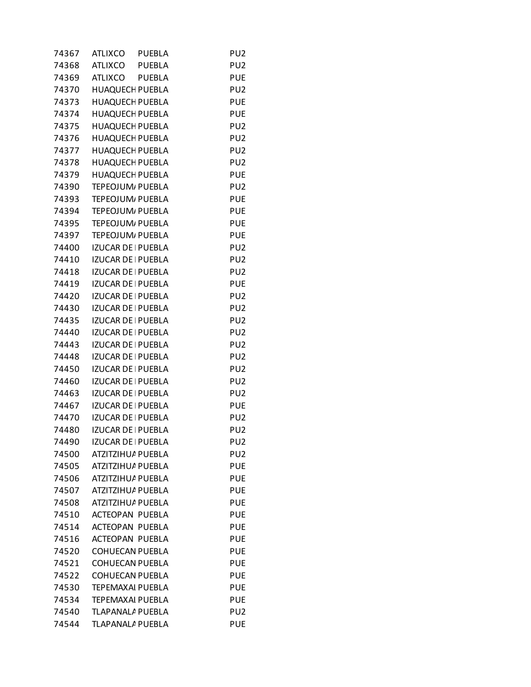| 74367 | <b>ATLIXCO</b>            | <b>PUEBLA</b> | PU <sub>2</sub> |
|-------|---------------------------|---------------|-----------------|
| 74368 | ATLIXCO                   | <b>PUEBLA</b> | PU <sub>2</sub> |
| 74369 | ATLIXCO                   | <b>PUEBLA</b> | <b>PUE</b>      |
| 74370 | <b>HUAQUECH PUEBLA</b>    |               | PU <sub>2</sub> |
| 74373 | <b>HUAQUECH PUEBLA</b>    |               | <b>PUE</b>      |
| 74374 | <b>HUAQUECH PUEBLA</b>    |               | <b>PUE</b>      |
| 74375 | <b>HUAQUECH PUEBLA</b>    |               | PU <sub>2</sub> |
| 74376 | <b>HUAQUECH PUEBLA</b>    |               | PU <sub>2</sub> |
| 74377 | <b>HUAQUECH PUEBLA</b>    |               | PU <sub>2</sub> |
| 74378 | <b>HUAQUECH PUEBLA</b>    |               | PU <sub>2</sub> |
| 74379 | <b>HUAQUECH PUEBLA</b>    |               | <b>PUE</b>      |
| 74390 | TEPEOJUM, PUEBLA          |               | PU <sub>2</sub> |
| 74393 | TEPEOJUM, PUEBLA          |               | <b>PUE</b>      |
| 74394 | TEPEOJUM, PUEBLA          |               | <b>PUE</b>      |
| 74395 | TEPEOJUM, PUEBLA          |               | <b>PUE</b>      |
| 74397 | TEPEOJUM, PUEBLA          |               | <b>PUE</b>      |
| 74400 | <b>IZUCAR DE   PUEBLA</b> |               | PU <sub>2</sub> |
| 74410 | IZUCAR DE   PUEBLA        |               | PU <sub>2</sub> |
| 74418 | IZUCAR DE   PUEBLA        |               | PU <sub>2</sub> |
| 74419 | <b>IZUCAR DE   PUEBLA</b> |               | <b>PUE</b>      |
| 74420 | <b>IZUCAR DE   PUEBLA</b> |               | PU <sub>2</sub> |
| 74430 | <b>IZUCAR DE   PUEBLA</b> |               | PU <sub>2</sub> |
| 74435 | <b>IZUCAR DE   PUEBLA</b> |               | PU <sub>2</sub> |
| 74440 | IZUCAR DE   PUEBLA        |               | PU <sub>2</sub> |
| 74443 | IZUCAR DE   PUEBLA        |               | PU <sub>2</sub> |
| 74448 | <b>IZUCAR DE   PUEBLA</b> |               | PU <sub>2</sub> |
| 74450 | <b>IZUCAR DE   PUEBLA</b> |               | PU <sub>2</sub> |
| 74460 | <b>IZUCAR DE   PUEBLA</b> |               | PU <sub>2</sub> |
| 74463 | IZUCAR DE   PUEBLA        |               | PU <sub>2</sub> |
| 74467 | <b>IZUCAR DE   PUEBLA</b> |               | <b>PUE</b>      |
| 74470 | IZUCAR DE   PUEBLA        |               | PU <sub>2</sub> |
| 74480 | <b>IZUCAR DE   PUEBLA</b> |               | PU <sub>2</sub> |
| 74490 | <b>IZUCAR DE   PUEBLA</b> |               | PU <sub>2</sub> |
| 74500 | ATZITZIHUA PUEBLA         |               | PU <sub>2</sub> |
| 74505 | ATZITZIHUA PUEBLA         |               | <b>PUE</b>      |
| 74506 | ATZITZIHUA PUEBLA         |               | <b>PUE</b>      |
| 74507 | ATZITZIHUA PUEBLA         |               | <b>PUE</b>      |
| 74508 | ATZITZIHUA PUEBLA         |               | <b>PUE</b>      |
| 74510 | <b>ACTEOPAN PUEBLA</b>    |               | <b>PUE</b>      |
| 74514 | ACTEOPAN PUEBLA           |               | <b>PUE</b>      |
| 74516 | <b>ACTEOPAN PUEBLA</b>    |               | <b>PUE</b>      |
| 74520 | <b>COHUECAN PUEBLA</b>    |               | <b>PUE</b>      |
| 74521 | <b>COHUECAN PUEBLA</b>    |               | <b>PUE</b>      |
| 74522 | <b>COHUECAN PUEBLA</b>    |               | <b>PUE</b>      |
| 74530 | <b>TEPEMAXAI PUEBLA</b>   |               | <b>PUE</b>      |
| 74534 | <b>TEPEMAXAI PUEBLA</b>   |               | <b>PUE</b>      |
| 74540 | TLAPANALA PUEBLA          |               | PU <sub>2</sub> |
| 74544 | TLAPANALA PUEBLA          |               | <b>PUE</b>      |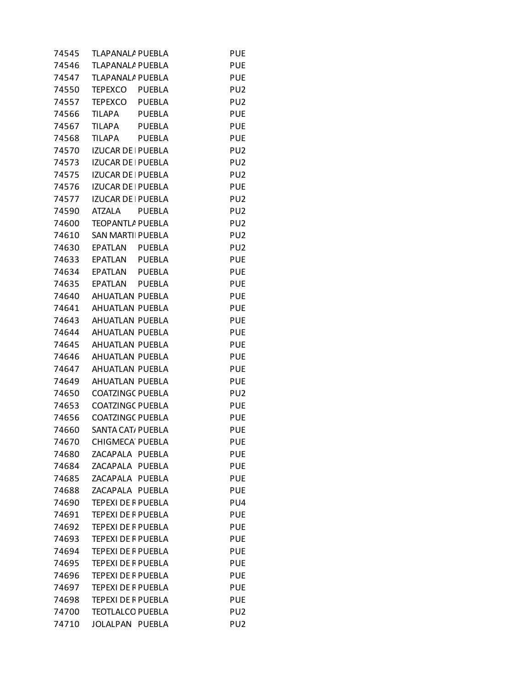| 74545 | TLAPANALA PUEBLA               | <b>PUE</b>      |
|-------|--------------------------------|-----------------|
| 74546 | TLAPANALA PUEBLA               | <b>PUE</b>      |
| 74547 | TLAPANALA PUEBLA               | <b>PUE</b>      |
| 74550 | TEPEXCO PUEBLA                 | PU <sub>2</sub> |
| 74557 | TEPEXCO PUEBLA                 | PU <sub>2</sub> |
| 74566 | TILAPA PUEBLA                  | <b>PUE</b>      |
| 74567 | TILAPA<br>PUEBLA               | <b>PUE</b>      |
| 74568 | <b>TILAPA</b><br><b>PUEBLA</b> | <b>PUE</b>      |
| 74570 | <b>IZUCAR DE   PUEBLA</b>      | PU <sub>2</sub> |
| 74573 | IZUCAR DE   PUEBLA             | PU <sub>2</sub> |
| 74575 | <b>IZUCAR DE   PUEBLA</b>      | PU <sub>2</sub> |
| 74576 | IZUCAR DE   PUEBLA             | <b>PUE</b>      |
| 74577 | IZUCAR DE   PUEBLA             | PU <sub>2</sub> |
| 74590 | <b>ATZALA</b><br><b>PUEBLA</b> | PU <sub>2</sub> |
| 74600 | TEOPANTLA PUEBLA               | PU <sub>2</sub> |
| 74610 | <b>SAN MARTII PUEBLA</b>       | PU <sub>2</sub> |
| 74630 | EPATLAN PUEBLA                 | PU <sub>2</sub> |
| 74633 | EPATLAN PUEBLA                 | <b>PUE</b>      |
| 74634 | EPATLAN PUEBLA                 | <b>PUE</b>      |
|       | 74635 EPATLAN PUEBLA           | <b>PUE</b>      |
|       | 74640 AHUATLAN PUEBLA          | <b>PUE</b>      |
| 74641 | AHUATLAN PUEBLA                | <b>PUE</b>      |
| 74643 | AHUATLAN PUEBLA                | <b>PUE</b>      |
| 74644 | AHUATLAN PUEBLA                | <b>PUE</b>      |
| 74645 | AHUATLAN PUEBLA                | <b>PUE</b>      |
| 74646 | AHUATLAN PUEBLA                | <b>PUE</b>      |
| 74647 | AHUATLAN PUEBLA                | <b>PUE</b>      |
| 74649 | AHUATLAN PUEBLA                | <b>PUE</b>      |
| 74650 | <b>COATZINGC PUEBLA</b>        | PU <sub>2</sub> |
| 74653 | <b>COATZINGC PUEBLA</b>        | <b>PUE</b>      |
| 74656 | <b>COATZINGC PUEBLA</b>        | <b>PUE</b>      |
| 74660 | SANTA CAT/ PUEBLA              | <b>PUE</b>      |
| 74670 | <b>CHIGMECA PUEBLA</b>         | <b>PUE</b>      |
| 74680 | ZACAPALA PUEBLA                | <b>PUE</b>      |
| 74684 | ZACAPALA PUEBLA                | <b>PUE</b>      |
| 74685 | ZACAPALA PUEBLA                | <b>PUE</b>      |
| 74688 | ZACAPALA PUEBLA                | <b>PUE</b>      |
| 74690 | <b>TEPEXI DE F PUEBLA</b>      | PU4             |
| 74691 | TEPEXI DE F PUEBLA             | <b>PUE</b>      |
| 74692 | <b>TEPEXI DE F PUEBLA</b>      | <b>PUE</b>      |
| 74693 | <b>TEPEXI DE F PUEBLA</b>      | <b>PUE</b>      |
| 74694 | <b>TEPEXI DE F PUEBLA</b>      | <b>PUE</b>      |
| 74695 | <b>TEPEXI DE F PUEBLA</b>      | <b>PUE</b>      |
| 74696 | <b>TEPEXI DE F PUEBLA</b>      | <b>PUE</b>      |
| 74697 | TEPEXI DE F PUEBLA             | <b>PUE</b>      |
| 74698 | TEPEXI DE F PUEBLA             | <b>PUE</b>      |
| 74700 | <b>TEOTLALCO PUEBLA</b>        | PU <sub>2</sub> |
| 74710 | JOLALPAN PUEBLA                | PU <sub>2</sub> |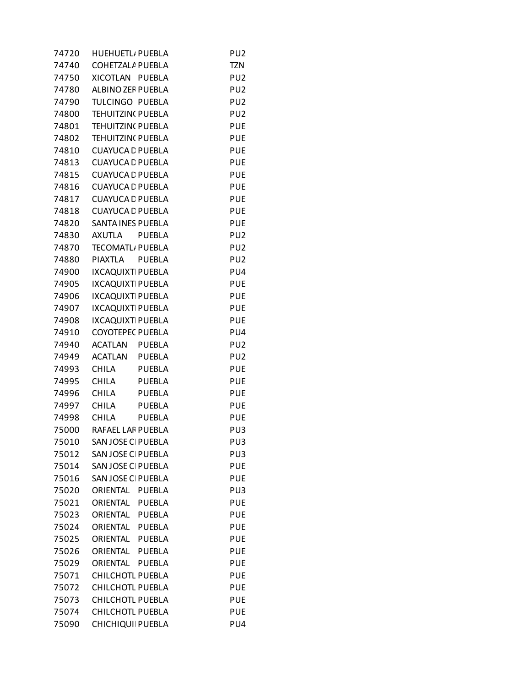| 74720 | <b>HUEHUETL</b> , PUEBLA  | PU <sub>2</sub>          |
|-------|---------------------------|--------------------------|
| 74740 | <b>COHETZALA PUEBLA</b>   | <b>TZN</b>               |
| 74750 | XICOTLAN PUEBLA           | PU <sub>2</sub>          |
| 74780 | ALBINO ZEF PUEBLA         | PU <sub>2</sub>          |
| 74790 | TULCINGO PUEBLA           | PU <sub>2</sub>          |
| 74800 | TEHUITZIN( PUEBLA         | PU <sub>2</sub>          |
| 74801 | TEHUITZIN( PUEBLA         | <b>PUE</b>               |
| 74802 | <b>TEHUITZIN( PUEBLA</b>  | <b>PUE</b>               |
| 74810 | <b>CUAYUCA L PUEBLA</b>   | <b>PUE</b>               |
| 74813 | <b>CUAYUCA L PUEBLA</b>   | <b>PUE</b>               |
| 74815 | <b>CUAYUCA L PUEBLA</b>   | <b>PUE</b>               |
| 74816 | <b>CUAYUCA L PUEBLA</b>   | <b>PUE</b>               |
| 74817 | <b>CUAYUCA L PUEBLA</b>   | <b>PUE</b>               |
| 74818 | <b>CUAYUCA L PUEBLA</b>   | <b>PUE</b>               |
| 74820 | <b>SANTA INES PUEBLA</b>  | <b>PUE</b>               |
| 74830 | AXUTLA<br>PUEBLA          | PU <sub>2</sub>          |
| 74870 | <b>TECOMATL, PUEBLA</b>   | PU <sub>2</sub>          |
| 74880 | PIAXTLA<br><b>PUEBLA</b>  | PU <sub>2</sub>          |
| 74900 | <b>IXCAQUIXT PUEBLA</b>   | PU4                      |
| 74905 | IXCAQUIXT PUEBLA          |                          |
| 74906 | <b>IXCAQUIXT PUEBLA</b>   | <b>PUE</b><br><b>PUE</b> |
|       |                           |                          |
| 74907 | <b>IXCAQUIXT PUEBLA</b>   | <b>PUE</b>               |
| 74908 | IXCAQUIXT PUEBLA          | <b>PUE</b>               |
| 74910 | <b>COYOTEPEC PUEBLA</b>   | PU4                      |
| 74940 | ACATLAN PUEBLA            | PU <sub>2</sub>          |
| 74949 | ACATLAN PUEBLA            | PU <sub>2</sub>          |
| 74993 | CHILA<br>PUEBLA           | <b>PUE</b>               |
| 74995 | CHILA<br><b>PUEBLA</b>    | <b>PUE</b>               |
| 74996 | CHILA<br><b>PUEBLA</b>    | <b>PUE</b>               |
| 74997 | CHILA<br><b>PUEBLA</b>    | <b>PUE</b>               |
| 74998 | CHILA<br><b>PUEBLA</b>    | <b>PUE</b>               |
| 75000 | RAFAEL LAF PUEBLA         | PU3                      |
| 75010 | SAN JOSE CI PUEBLA        | PU <sub>3</sub>          |
| 75012 | SAN JOSE CI PUEBLA        | PU3                      |
| 75014 | <b>SAN JOSE CI PUEBLA</b> | PUE                      |
| 75016 | SAN JOSE CI PUEBLA        | <b>PUE</b>               |
| 75020 | ORIENTAL PUEBLA           | PU <sub>3</sub>          |
| 75021 | ORIENTAL PUEBLA           | <b>PUE</b>               |
| 75023 | ORIENTAL PUEBLA           | <b>PUE</b>               |
| 75024 | ORIENTAL PUEBLA           | <b>PUE</b>               |
| 75025 | <b>ORIENTAL</b><br>PUEBLA | <b>PUE</b>               |
| 75026 | ORIENTAL PUEBLA           | <b>PUE</b>               |
| 75029 | ORIENTAL PUEBLA           | <b>PUE</b>               |
| 75071 | CHILCHOTL PUEBLA          | <b>PUE</b>               |
| 75072 | <b>CHILCHOTL PUEBLA</b>   | <b>PUE</b>               |
| 75073 | CHILCHOTL PUEBLA          | <b>PUE</b>               |
| 75074 | CHILCHOTL PUEBLA          | <b>PUE</b>               |
| 75090 | CHICHIQUI PUEBLA          | PU4                      |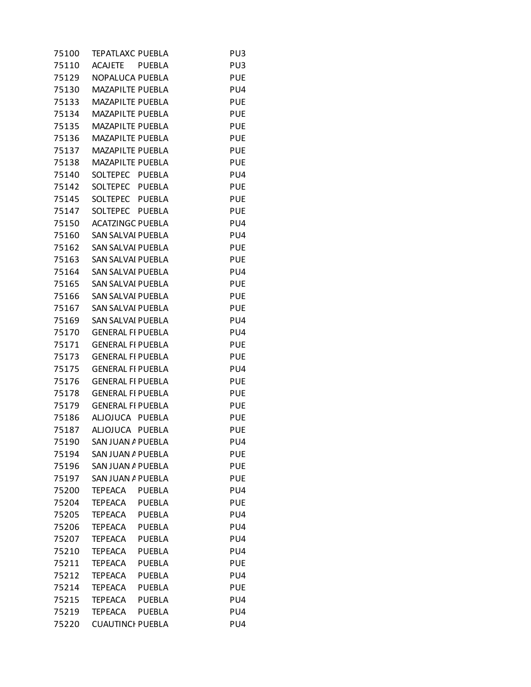| 75100 | TEPATLAXC PUEBLA                | PU3        |
|-------|---------------------------------|------------|
| 75110 | ACAJETE PUEBLA                  | PU3        |
| 75129 | NOPALUCA PUEBLA                 | <b>PUE</b> |
| 75130 | MAZAPILTE PUEBLA                | PU4        |
| 75133 | <b>MAZAPILTE PUEBLA</b>         | <b>PUE</b> |
| 75134 | <b>MAZAPILTE PUEBLA</b>         | <b>PUE</b> |
| 75135 | MAZAPILTE PUEBLA                | <b>PUE</b> |
| 75136 | <b>MAZAPILTE PUEBLA</b>         | <b>PUE</b> |
| 75137 | MAZAPILTE PUEBLA                | <b>PUE</b> |
| 75138 | MAZAPILTE PUEBLA                | <b>PUE</b> |
| 75140 | SOLTEPEC PUEBLA                 | PU4        |
| 75142 | SOLTEPEC PUEBLA                 | <b>PUE</b> |
| 75145 | SOLTEPEC PUEBLA                 | <b>PUE</b> |
| 75147 | SOLTEPEC PUEBLA                 | <b>PUE</b> |
| 75150 | <b>ACATZINGC PUEBLA</b>         | PU4        |
| 75160 | SAN SALVAI PUEBLA               | PU4        |
| 75162 | SAN SALVAI PUEBLA               | <b>PUE</b> |
| 75163 | SAN SALVAI PUEBLA               | <b>PUE</b> |
| 75164 | SAN SALVAI PUEBLA               | PU4        |
| 75165 | SAN SALVAI PUEBLA               | <b>PUE</b> |
| 75166 | SAN SALVAI PUEBLA               | <b>PUE</b> |
| 75167 | SAN SALVAI PUEBLA               | <b>PUE</b> |
| 75169 | SAN SALVAI PUEBLA               | PU4        |
| 75170 | <b>GENERAL FI PUEBLA</b>        | PU4        |
| 75171 | <b>GENERAL FI PUEBLA</b>        | <b>PUE</b> |
| 75173 | <b>GENERAL FI PUEBLA</b>        | <b>PUE</b> |
| 75175 | <b>GENERAL FI PUEBLA</b>        | PU4        |
| 75176 | <b>GENERAL FI PUEBLA</b>        | <b>PUE</b> |
| 75178 | <b>GENERAL FI PUEBLA</b>        | <b>PUE</b> |
| 75179 | <b>GENERAL FI PUEBLA</b>        | <b>PUE</b> |
| 75186 | ALJOJUCA PUEBLA                 | <b>PUE</b> |
| 75187 | ALJOJUCA PUEBLA                 | <b>PUE</b> |
| 75190 | SAN JUAN A PUEBLA               | PU4        |
| 75194 | SAN JUAN A PUEBLA               | <b>PUE</b> |
| 75196 | SAN JUAN A PUEBLA               | <b>PUE</b> |
| 75197 | SAN JUAN A PUEBLA               | <b>PUE</b> |
| 75200 | TEPEACA PUEBLA                  | PU4        |
| 75204 | TEPEACA<br><b>PUEBLA</b>        | <b>PUE</b> |
| 75205 | <b>TEPEACA</b><br><b>PUEBLA</b> | PU4        |
| 75206 | <b>TEPEACA</b><br><b>PUEBLA</b> | PU4        |
| 75207 | <b>TEPEACA</b><br><b>PUEBLA</b> | PU4        |
| 75210 | <b>TEPEACA</b><br><b>PUEBLA</b> | PU4        |
| 75211 | <b>TEPEACA</b><br><b>PUEBLA</b> | <b>PUE</b> |
| 75212 | <b>TEPEACA</b><br><b>PUEBLA</b> | PU4        |
| 75214 | <b>TEPEACA</b><br><b>PUEBLA</b> | <b>PUE</b> |
| 75215 | <b>TEPEACA</b><br><b>PUEBLA</b> | PU4        |
| 75219 | <b>TEPEACA</b><br><b>PUEBLA</b> | PU4        |
| 75220 | <b>CUAUTINCI PUEBLA</b>         | PU4        |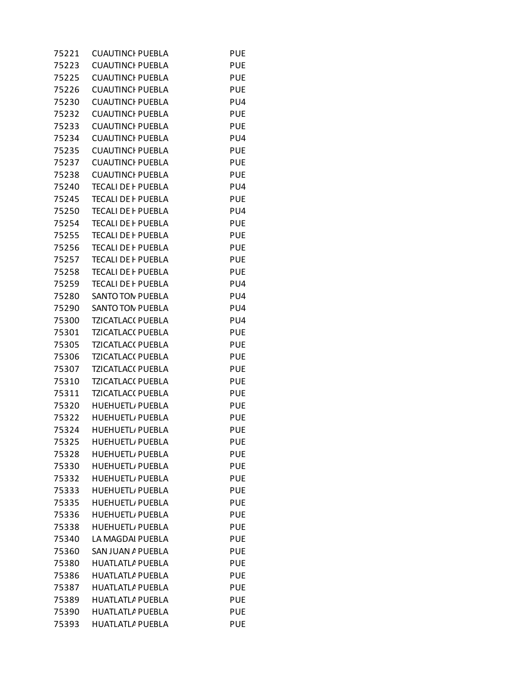| 75221 | <b>CUAUTINCI PUEBLA</b>   | <b>PUE</b> |
|-------|---------------------------|------------|
| 75223 | <b>CUAUTINCI PUEBLA</b>   | <b>PUE</b> |
| 75225 | <b>CUAUTINCI PUEBLA</b>   | <b>PUE</b> |
| 75226 | <b>CUAUTINCI PUEBLA</b>   | <b>PUE</b> |
| 75230 | <b>CUAUTINCI PUEBLA</b>   | PU4        |
| 75232 | <b>CUAUTINCI PUEBLA</b>   | <b>PUE</b> |
| 75233 | <b>CUAUTINCI PUEBLA</b>   | <b>PUE</b> |
| 75234 | <b>CUAUTINCI PUEBLA</b>   | PU4        |
| 75235 | <b>CUAUTINCI PUEBLA</b>   | <b>PUE</b> |
| 75237 | <b>CUAUTINCI PUEBLA</b>   | <b>PUE</b> |
| 75238 | <b>CUAUTINCI PUEBLA</b>   | <b>PUE</b> |
| 75240 | <b>TECALI DE F PUEBLA</b> | PU4        |
| 75245 | <b>TECALI DE F PUEBLA</b> | <b>PUE</b> |
| 75250 | <b>TECALI DE F PUEBLA</b> | PU4        |
| 75254 | <b>TECALI DE F PUEBLA</b> | <b>PUE</b> |
| 75255 | <b>TECALI DE F PUEBLA</b> | <b>PUE</b> |
| 75256 | <b>TECALI DE F PUEBLA</b> | <b>PUE</b> |
| 75257 | <b>TECALI DE F PUEBLA</b> | <b>PUE</b> |
| 75258 | <b>TECALI DE F PUEBLA</b> | <b>PUE</b> |
| 75259 | <b>TECALI DE F PUEBLA</b> | PU4        |
| 75280 | <b>SANTO TON PUEBLA</b>   | PU4        |
| 75290 | <b>SANTO TON PUEBLA</b>   | PU4        |
| 75300 | <b>TZICATLAC( PUEBLA</b>  | PU4        |
| 75301 | <b>TZICATLAC( PUEBLA</b>  | <b>PUE</b> |
| 75305 | <b>TZICATLAC( PUEBLA</b>  | <b>PUE</b> |
| 75306 | <b>TZICATLAC( PUEBLA</b>  | <b>PUE</b> |
| 75307 | <b>TZICATLAC( PUEBLA</b>  | <b>PUE</b> |
| 75310 | <b>TZICATLAC( PUEBLA</b>  | <b>PUE</b> |
| 75311 | <b>TZICATLAC( PUEBLA</b>  | <b>PUE</b> |
| 75320 | <b>HUEHUETL/PUEBLA</b>    | <b>PUE</b> |
| 75322 | <b>HUEHUETL/ PUEBLA</b>   | <b>PUE</b> |
| 75324 | <b>HUEHUETL/ PUEBLA</b>   | <b>PUE</b> |
| 75325 | <b>HUEHUETL/ PUEBLA</b>   | <b>PUE</b> |
| 75328 | <b>HUEHUETL/ PUEBLA</b>   | <b>PUE</b> |
| 75330 | <b>HUEHUETL/ PUEBLA</b>   | <b>PUE</b> |
| 75332 | <b>HUEHUETL/ PUEBLA</b>   | <b>PUE</b> |
| 75333 | <b>HUEHUETL/ PUEBLA</b>   | <b>PUE</b> |
| 75335 | <b>HUEHUETL/ PUEBLA</b>   | <b>PUE</b> |
| 75336 | <b>HUEHUETL/ PUEBLA</b>   | <b>PUE</b> |
| 75338 | <b>HUEHUETL/ PUEBLA</b>   | <b>PUE</b> |
| 75340 | LA MAGDAI PUEBLA          | <b>PUE</b> |
| 75360 | SAN JUAN A PUEBLA         | <b>PUE</b> |
| 75380 | <b>HUATLATLA PUEBLA</b>   | <b>PUE</b> |
| 75386 | <b>HUATLATLA PUEBLA</b>   | <b>PUE</b> |
| 75387 | <b>HUATLATLA PUEBLA</b>   | <b>PUE</b> |
| 75389 | <b>HUATLATLA PUEBLA</b>   | <b>PUE</b> |
| 75390 | <b>HUATLATLA PUEBLA</b>   | <b>PUE</b> |
| 75393 | <b>HUATLATLA PUEBLA</b>   | <b>PUE</b> |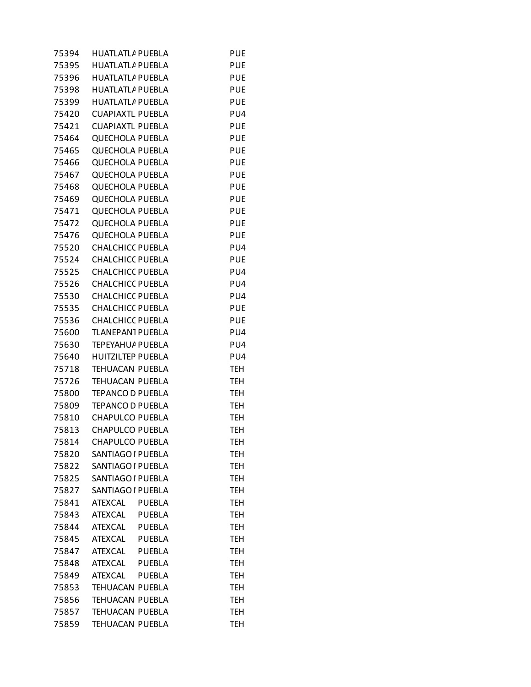| 75394 | <b>HUATLATLA PUEBLA</b>  | <b>PUE</b> |
|-------|--------------------------|------------|
| 75395 | <b>HUATLATLA PUEBLA</b>  | <b>PUE</b> |
| 75396 | <b>HUATLATLA PUEBLA</b>  | <b>PUE</b> |
| 75398 | <b>HUATLATLA PUEBLA</b>  | PUE        |
| 75399 | <b>HUATLATLA PUEBLA</b>  | <b>PUE</b> |
| 75420 | <b>CUAPIAXTL PUEBLA</b>  | PU4        |
| 75421 | <b>CUAPIAXTL PUEBLA</b>  | <b>PUE</b> |
| 75464 | <b>QUECHOLA PUEBLA</b>   | <b>PUE</b> |
| 75465 | <b>QUECHOLA PUEBLA</b>   | <b>PUE</b> |
| 75466 | <b>QUECHOLA PUEBLA</b>   | <b>PUE</b> |
| 75467 | <b>QUECHOLA PUEBLA</b>   | <b>PUE</b> |
| 75468 | <b>QUECHOLA PUEBLA</b>   | <b>PUE</b> |
| 75469 | <b>QUECHOLA PUEBLA</b>   | PUE        |
| 75471 | <b>QUECHOLA PUEBLA</b>   | <b>PUE</b> |
| 75472 | <b>QUECHOLA PUEBLA</b>   | <b>PUE</b> |
| 75476 | <b>QUECHOLA PUEBLA</b>   | <b>PUE</b> |
| 75520 | <b>CHALCHICC PUEBLA</b>  | PU4        |
| 75524 | <b>CHALCHICC PUEBLA</b>  | <b>PUE</b> |
| 75525 | <b>CHALCHICC PUEBLA</b>  | PU4        |
|       | <b>CHALCHICC PUEBLA</b>  | PU4        |
| 75526 | <b>CHALCHICC PUEBLA</b>  |            |
| 75530 |                          | PU4        |
| 75535 | <b>CHALCHICC PUEBLA</b>  | <b>PUE</b> |
| 75536 | <b>CHALCHICC PUEBLA</b>  | <b>PUE</b> |
| 75600 | <b>TLANEPAN1 PUEBLA</b>  | PU4        |
| 75630 | <b>TEPEYAHU/ PUEBLA</b>  | PU4        |
| 75640 | <b>HUITZILTEP PUEBLA</b> | PU4        |
| 75718 | TEHUACAN PUEBLA          | <b>TEH</b> |
| 75726 | TEHUACAN PUEBLA          | TEH        |
| 75800 | <b>TEPANCO D PUEBLA</b>  | <b>TEH</b> |
| 75809 | <b>TEPANCO D PUEBLA</b>  | <b>TEH</b> |
| 75810 | <b>CHAPULCO PUEBLA</b>   | TEH        |
| 75813 | CHAPULCO PUEBLA          | <b>TEH</b> |
| 75814 | <b>CHAPULCO PUEBLA</b>   | <b>TEH</b> |
| 75820 | SANTIAGO I PUEBLA        | TEH        |
| 75822 | SANTIAGO I PUEBLA        | TEH        |
| 75825 | SANTIAGO I PUEBLA        | <b>TEH</b> |
| 75827 | SANTIAGO I PUEBLA        | TEH        |
| 75841 | ATEXCAL<br><b>PUEBLA</b> | TEH        |
| 75843 | ATEXCAL PUEBLA           | <b>TEH</b> |
| 75844 | ATEXCAL<br>PUEBLA        | TEH        |
| 75845 | ATEXCAL PUEBLA           | TEH        |
| 75847 | ATEXCAL PUEBLA           | <b>TEH</b> |
| 75848 | ATEXCAL PUEBLA           | TEH        |
| 75849 | <b>ATEXCAL</b><br>PUEBLA | TEH        |
| 75853 | TEHUACAN PUEBLA          | <b>TEH</b> |
| 75856 | TEHUACAN PUEBLA          | TEH        |
| 75857 | TEHUACAN PUEBLA          | TEH        |
| 75859 | TEHUACAN PUEBLA          | <b>TEH</b> |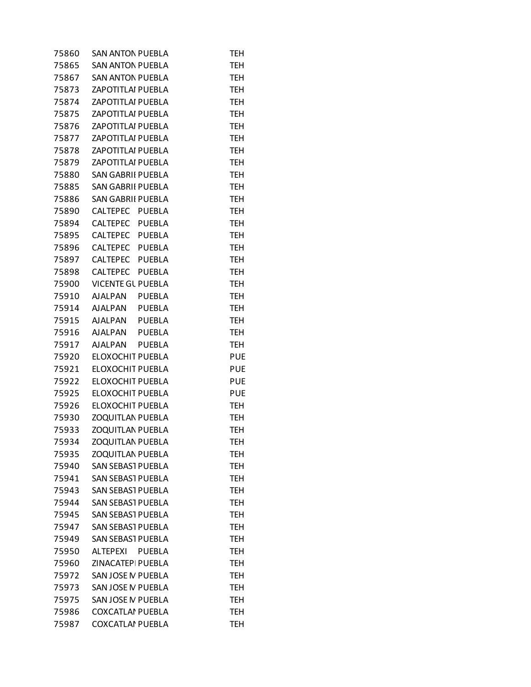| 75860 | <b>SAN ANTON PUEBLA</b>  |               | TEH        |
|-------|--------------------------|---------------|------------|
| 75865 | <b>SAN ANTON PUEBLA</b>  |               | <b>TEH</b> |
| 75867 | <b>SAN ANTON PUEBLA</b>  |               | <b>TEH</b> |
| 75873 | ZAPOTITLAI PUEBLA        |               | TEH        |
| 75874 | <b>ZAPOTITLAI PUEBLA</b> |               | <b>TEH</b> |
| 75875 | ZAPOTITLAI PUEBLA        |               | <b>TEH</b> |
| 75876 | ZAPOTITLAI PUEBLA        |               | <b>TEH</b> |
| 75877 | <b>ZAPOTITLAI PUEBLA</b> |               | TEH        |
| 75878 | ZAPOTITLAI PUEBLA        |               | <b>TEH</b> |
| 75879 | ZAPOTITLAI PUEBLA        |               | TEH        |
| 75880 | <b>SAN GABRII PUEBLA</b> |               | <b>TEH</b> |
| 75885 | <b>SAN GABRII PUEBLA</b> |               | <b>TEH</b> |
| 75886 | SAN GABRII PUEBLA        |               | TEH        |
| 75890 | CALTEPEC PUEBLA          |               | TEH        |
| 75894 | CALTEPEC PUEBLA          |               | <b>TEH</b> |
| 75895 | CALTEPEC PUEBLA          |               | TEH        |
| 75896 | CALTEPEC PUEBLA          |               | <b>TEH</b> |
| 75897 | CALTEPEC PUEBLA          |               | <b>TEH</b> |
| 75898 | CALTEPEC PUEBLA          |               | TEH        |
| 75900 | <b>VICENTE GL PUEBLA</b> |               | TEH        |
| 75910 | AJALPAN PUEBLA           |               | <b>TEH</b> |
| 75914 | AJALPAN PUEBLA           |               | TEH        |
| 75915 | AJALPAN PUEBLA           |               | <b>TEH</b> |
| 75916 | AJALPAN PUEBLA           |               | <b>TEH</b> |
| 75917 | AJALPAN PUEBLA           |               | TEH        |
| 75920 | ELOXOCHIT PUEBLA         |               | <b>PUE</b> |
| 75921 | ELOXOCHIT PUEBLA         |               | <b>PUE</b> |
| 75922 | ELOXOCHIT PUEBLA         |               | <b>PUE</b> |
| 75925 | <b>ELOXOCHIT PUEBLA</b>  |               | <b>PUE</b> |
| 75926 | ELOXOCHIT PUEBLA         |               | <b>TEH</b> |
| 75930 | <b>ZOQUITLAN PUEBLA</b>  |               | TEH        |
| 75933 | <b>ZOQUITLAN PUEBLA</b>  |               | <b>TEH</b> |
| 75934 | <b>ZOQUITLAN PUEBLA</b>  |               | <b>TEH</b> |
| 75935 | <b>ZOQUITLAN PUEBLA</b>  |               | <b>TEH</b> |
| 75940 | <b>SAN SEBAS1 PUEBLA</b> |               | TEH        |
| 75941 | <b>SAN SEBAS1 PUEBLA</b> |               | <b>TEH</b> |
| 75943 | <b>SAN SEBAS1 PUEBLA</b> |               | <b>TEH</b> |
| 75944 | <b>SAN SEBAS1 PUEBLA</b> |               | <b>TEH</b> |
| 75945 | <b>SAN SEBAS1 PUEBLA</b> |               | <b>TEH</b> |
| 75947 | <b>SAN SEBAS1 PUEBLA</b> |               | <b>TEH</b> |
| 75949 | <b>SAN SEBAS1 PUEBLA</b> |               | <b>TEH</b> |
| 75950 | ALTEPEXI                 | <b>PUEBLA</b> | <b>TEH</b> |
| 75960 | ZINACATEPI PUEBLA        |               | <b>TEH</b> |
| 75972 | SAN JOSE N PUEBLA        |               | <b>TEH</b> |
| 75973 | SAN JOSE N PUEBLA        |               | <b>TEH</b> |
| 75975 | SAN JOSE N PUEBLA        |               | <b>TEH</b> |
| 75986 | <b>COXCATLAI PUEBLA</b>  |               | <b>TEH</b> |
| 75987 | <b>COXCATLAI PUEBLA</b>  |               | <b>TEH</b> |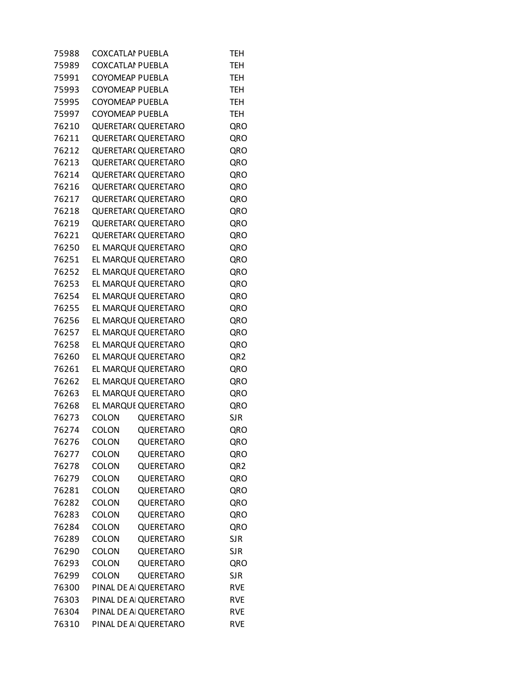| 75988 | <b>COXCATLAI PUEBLA</b> |                            | <b>TEH</b>      |
|-------|-------------------------|----------------------------|-----------------|
| 75989 | <b>COXCATLAI PUEBLA</b> |                            | <b>TEH</b>      |
| 75991 | <b>COYOMEAP PUEBLA</b>  |                            | <b>TEH</b>      |
| 75993 | <b>COYOMEAP PUEBLA</b>  |                            | <b>TEH</b>      |
| 75995 | <b>COYOMEAP PUEBLA</b>  |                            | <b>TEH</b>      |
| 75997 | <b>COYOMEAP PUEBLA</b>  |                            | <b>TEH</b>      |
| 76210 |                         | <b>QUERETAR( QUERETARO</b> | QRO             |
| 76211 |                         | <b>QUERETAR( QUERETARO</b> | QRO             |
| 76212 |                         | <b>QUERETAR( QUERETARO</b> | QRO             |
| 76213 |                         | QUERETAR( QUERETARO        | QRO             |
| 76214 |                         | <b>QUERETAR( QUERETARO</b> | QRO             |
| 76216 |                         | QUERETAR( QUERETARO        | QRO             |
| 76217 |                         | QUERETAR( QUERETARO        | QRO             |
| 76218 |                         | <b>QUERETAR( QUERETARO</b> | QRO             |
| 76219 |                         | QUERETAR( QUERETARO        | QRO             |
| 76221 |                         | QUERETAR( QUERETARO        | QRO             |
| 76250 |                         | EL MARQUE QUERETARO        | QRO             |
| 76251 |                         | EL MARQUE QUERETARO        | QRO             |
| 76252 |                         | EL MARQUI QUERETARO        | QRO             |
| 76253 |                         | EL MARQUI QUERETARO        | QRO             |
| 76254 |                         | EL MARQUE QUERETARO        | QRO             |
| 76255 |                         | EL MARQUI QUERETARO        | QRO             |
| 76256 |                         | EL MARQUI QUERETARO        | QRO             |
| 76257 |                         | EL MARQUE QUERETARO        | QRO             |
| 76258 |                         | EL MARQUI QUERETARO        | QRO             |
| 76260 |                         | EL MARQUI QUERETARO        | QR <sub>2</sub> |
| 76261 |                         | EL MARQUE QUERETARO        | QRO             |
| 76262 |                         | EL MARQUE QUERETARO        | QRO             |
| 76263 |                         | EL MARQUE QUERETARO        | QRO             |
| 76268 |                         | EL MARQUE QUERETARO        | QRO             |
| 76273 | <b>COLON</b>            | <b>QUERETARO</b>           | <b>SJR</b>      |
| 76274 | <b>COLON</b>            | QUERETARO                  | QRO             |
| 76276 | COLON                   | QUERETARO                  | QRO             |
| 76277 | COLON                   | <b>QUERETARO</b>           | QRO             |
| 76278 | COLON                   | QUERETARO                  | QR <sub>2</sub> |
| 76279 | COLON                   | QUERETARO                  | QRO             |
| 76281 | COLON                   | QUERETARO                  | QRO             |
| 76282 | <b>COLON</b>            | <b>QUERETARO</b>           | QRO             |
| 76283 | COLON                   | QUERETARO                  | QRO             |
| 76284 | <b>COLON</b>            | QUERETARO                  | QRO             |
| 76289 | <b>COLON</b>            | QUERETARO                  | <b>SJR</b>      |
| 76290 | COLON                   | QUERETARO                  | <b>SJR</b>      |
| 76293 | COLON                   | QUERETARO                  | QRO             |
| 76299 | <b>COLON</b>            | <b>QUERETARO</b>           | <b>SJR</b>      |
| 76300 |                         | PINAL DE AI QUERETARO      | <b>RVE</b>      |
| 76303 |                         | PINAL DE AI QUERETARO      | <b>RVE</b>      |
| 76304 |                         | PINAL DE AI QUERETARO      | <b>RVE</b>      |
| 76310 |                         | PINAL DE AI QUERETARO      | <b>RVE</b>      |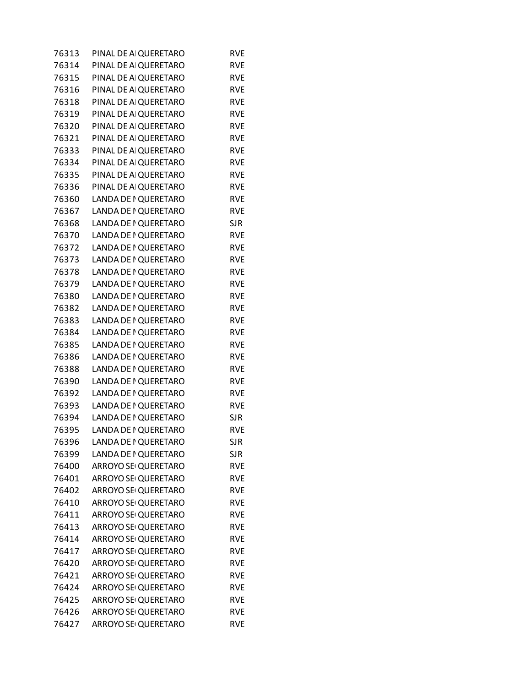| 76313 | PINAL DE AI QUERETARO | <b>RVE</b> |
|-------|-----------------------|------------|
| 76314 | PINAL DE AI QUERETARO | <b>RVE</b> |
| 76315 | PINAL DE AI QUERETARO | <b>RVE</b> |
| 76316 | PINAL DE AI QUERETARO | <b>RVE</b> |
| 76318 | PINAL DE AI QUERETARO | <b>RVE</b> |
| 76319 | PINAL DE AI QUERETARO | <b>RVE</b> |
| 76320 | PINAL DE AI QUERETARO | <b>RVE</b> |
| 76321 | PINAL DE AI QUERETARO | <b>RVE</b> |
| 76333 | PINAL DE AI QUERETARO | <b>RVE</b> |
| 76334 | PINAL DE AI QUERETARO | <b>RVE</b> |
| 76335 | PINAL DE AI QUERETARO | <b>RVE</b> |
| 76336 | PINAL DE AI QUERETARO | <b>RVE</b> |
| 76360 | LANDA DE I QUERETARO  | <b>RVE</b> |
| 76367 | LANDA DE I QUERETARO  | <b>RVE</b> |
| 76368 | LANDA DE I QUERETARO  | <b>SJR</b> |
| 76370 | LANDA DE I QUERETARO  | <b>RVE</b> |
| 76372 | LANDA DE I QUERETARO  | <b>RVE</b> |
| 76373 | LANDA DE I QUERETARO  | <b>RVE</b> |
| 76378 | LANDA DE I QUERETARO  | <b>RVE</b> |
| 76379 | LANDA DE I QUERETARO  | <b>RVE</b> |
| 76380 | LANDA DE I QUERETARO  | <b>RVE</b> |
| 76382 | LANDA DE I QUERETARO  | <b>RVE</b> |
| 76383 | LANDA DE I QUERETARO  | <b>RVE</b> |
| 76384 | LANDA DE I QUERETARO  | <b>RVE</b> |
| 76385 | LANDA DE I QUERETARO  | <b>RVE</b> |
| 76386 | LANDA DE I QUERETARO  | <b>RVE</b> |
| 76388 | LANDA DE I QUERETARO  | <b>RVE</b> |
| 76390 | LANDA DE I QUERETARO  | <b>RVE</b> |
| 76392 | LANDA DE I QUERETARO  | <b>RVE</b> |
| 76393 | LANDA DE I QUERETARO  | <b>RVE</b> |
| 76394 | LANDA DE I QUERETARO  | <b>SJR</b> |
| 76395 | LANDA DE I QUERETARO  | <b>RVE</b> |
| 76396 | LANDA DE I QUERETARO  | <b>SJR</b> |
| 76399 | LANDA DE I QUERETARO  | <b>SJR</b> |
| 76400 | ARROYO SE QUERETARO   | <b>RVE</b> |
| 76401 | ARROYO SEI QUERETARO  | <b>RVE</b> |
| 76402 | ARROYO SEI QUERETARO  | <b>RVE</b> |
| 76410 | ARROYO SEI QUERETARO  | <b>RVE</b> |
| 76411 | ARROYO SE QUERETARO   | <b>RVE</b> |
| 76413 | ARROYO SEI QUERETARO  | <b>RVE</b> |
| 76414 | ARROYO SEI QUERETARO  | <b>RVE</b> |
| 76417 | ARROYO SEI QUERETARO  | <b>RVE</b> |
| 76420 | ARROYO SEI QUERETARO  | <b>RVE</b> |
| 76421 | ARROYO SEI QUERETARO  | <b>RVE</b> |
| 76424 | ARROYO SE QUERETARO   | <b>RVE</b> |
| 76425 | ARROYO SEI QUERETARO  | <b>RVE</b> |
| 76426 | ARROYO SEI QUERETARO  | <b>RVE</b> |
| 76427 | ARROYO SE QUERETARO   | <b>RVE</b> |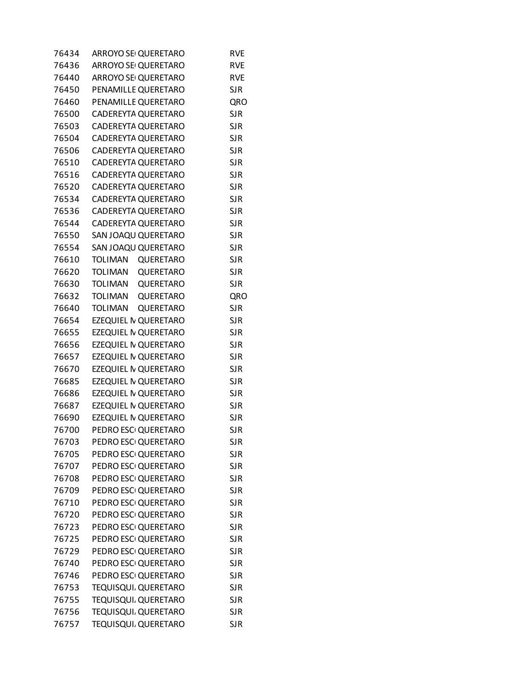| 76434 | ARROYO SEI QUERETARO               | <b>RVE</b> |
|-------|------------------------------------|------------|
| 76436 | ARROYO SE QUERETARO                | <b>RVE</b> |
| 76440 | ARROYO SE QUERETARO                | <b>RVE</b> |
| 76450 | PENAMILLE QUERETARO                | <b>SJR</b> |
| 76460 | PENAMILLE QUERETARO                | QRO        |
| 76500 | CADEREYTA QUERETARO                | <b>SJR</b> |
| 76503 | CADEREYTA QUERETARO                | <b>SJR</b> |
| 76504 | CADEREYTA QUERETARO                | <b>SJR</b> |
| 76506 | CADEREYTA QUERETARO                | <b>SJR</b> |
| 76510 | CADEREYTA QUERETARO                | <b>SJR</b> |
| 76516 | CADEREYTA QUERETARO                | <b>SJR</b> |
| 76520 | CADEREYTA QUERETARO                | <b>SJR</b> |
| 76534 | CADEREYTA QUERETARO                | <b>SJR</b> |
| 76536 | CADEREYTA QUERETARO                | <b>SJR</b> |
| 76544 | CADEREYTA QUERETARO                | <b>SJR</b> |
| 76550 | SAN JOAQU QUERETARO                | <b>SJR</b> |
| 76554 | SAN JOAQU QUERETARO                | <b>SJR</b> |
| 76610 | <b>TOLIMAN</b><br>QUERETARO        | <b>SJR</b> |
| 76620 | TOLIMAN<br>QUERETARO               | <b>SJR</b> |
| 76630 | <b>TOLIMAN</b><br>QUERETARO        | <b>SJR</b> |
| 76632 | <b>TOLIMAN</b><br>QUERETARO        | QRO        |
| 76640 | <b>TOLIMAN</b><br><b>QUERETARO</b> | <b>SJR</b> |
| 76654 | EZEQUIEL N QUERETARO               | <b>SJR</b> |
| 76655 | EZEQUIEL N QUERETARO               | <b>SJR</b> |
| 76656 | EZEQUIEL N QUERETARO               | <b>SJR</b> |
| 76657 | EZEQUIEL N QUERETARO               | <b>SJR</b> |
| 76670 | EZEQUIEL N QUERETARO               | <b>SJR</b> |
| 76685 | EZEQUIEL N QUERETARO               | <b>SJR</b> |
| 76686 | EZEQUIEL N QUERETARO               | <b>SJR</b> |
| 76687 | EZEQUIEL N QUERETARO               | <b>SJR</b> |
| 76690 | EZEQUIEL N QUERETARO               | <b>SJR</b> |
| 76700 | PEDRO ESCI QUERETARO               | <b>SJR</b> |
| 76703 | PEDRO ESCI QUERETARO               | <b>SJR</b> |
| 76705 | PEDRO ESCI QUERETARO               | <b>SJR</b> |
| 76707 | PEDRO ESCI QUERETARO               | <b>SJR</b> |
| 76708 | PEDRO ESCI QUERETARO               | <b>SJR</b> |
| 76709 | PEDRO ESCI QUERETARO               | <b>SJR</b> |
| 76710 | PEDRO ESCI QUERETARO               | <b>SJR</b> |
| 76720 | PEDRO ESCI QUERETARO               | <b>SJR</b> |
| 76723 | PEDRO ESCI QUERETARO               | <b>SJR</b> |
| 76725 | PEDRO ESCI QUERETARO               | <b>SJR</b> |
| 76729 | PEDRO ESCI QUERETARO               | <b>SJR</b> |
| 76740 | PEDRO ESCI QUERETARO               | <b>SJR</b> |
| 76746 | PEDRO ESCI QUERETARO               | <b>SJR</b> |
| 76753 | TEQUISQUI. QUERETARO               | <b>SJR</b> |
| 76755 | TEQUISQUI. QUERETARO               | <b>SJR</b> |
| 76756 | TEQUISQUI. QUERETARO               | <b>SJR</b> |
| 76757 | TEQUISQUI, QUERETARO               | <b>SJR</b> |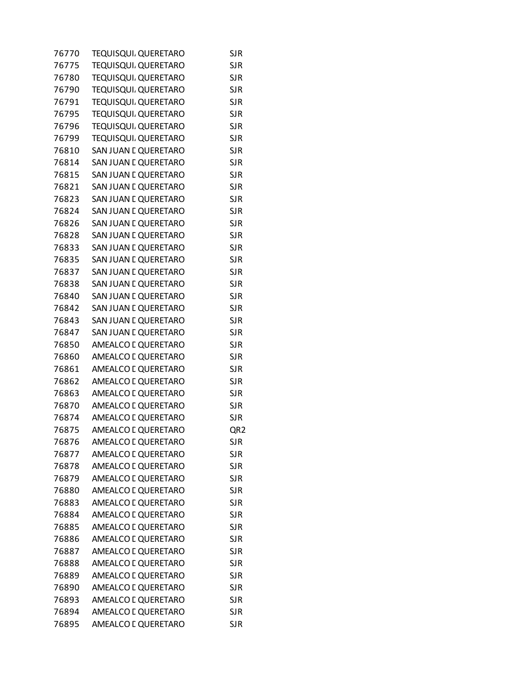| 76770 | TEQUISQUI, QUERETARO        | <b>SJR</b>      |
|-------|-----------------------------|-----------------|
| 76775 | TEQUISQUI, QUERETARO        | <b>SJR</b>      |
| 76780 | <b>TEQUISQUI, QUERETARO</b> | <b>SJR</b>      |
| 76790 | TEQUISQUI. QUERETARO        | <b>SJR</b>      |
| 76791 | TEQUISQUI. QUERETARO        | <b>SJR</b>      |
| 76795 | TEQUISQUI, QUERETARO        | <b>SJR</b>      |
| 76796 | TEQUISQUI. QUERETARO        | <b>SJR</b>      |
| 76799 | TEQUISQUI. QUERETARO        | <b>SJR</b>      |
| 76810 | SAN JUAN L QUERETARO        | <b>SJR</b>      |
| 76814 | SAN JUAN E QUERETARO        | <b>SJR</b>      |
| 76815 | SAN JUAN L QUERETARO        | <b>SJR</b>      |
| 76821 | SAN JUAN L QUERETARO        | <b>SJR</b>      |
| 76823 | SAN JUAN E QUERETARO        | <b>SJR</b>      |
| 76824 | SAN JUAN E QUERETARO        | <b>SJR</b>      |
| 76826 | SAN JUAN E QUERETARO        | <b>SJR</b>      |
| 76828 | SAN JUAN E QUERETARO        | <b>SJR</b>      |
| 76833 | SAN JUAN L QUERETARO        | <b>SJR</b>      |
| 76835 | SAN JUAN L QUERETARO        | <b>SJR</b>      |
| 76837 | SAN JUAN E QUERETARO        | <b>SJR</b>      |
| 76838 | SAN JUAN E QUERETARO        | <b>SJR</b>      |
| 76840 | SAN JUAN L QUERETARO        | <b>SJR</b>      |
| 76842 | SAN JUAN L QUERETARO        | <b>SJR</b>      |
| 76843 | SAN JUAN L QUERETARO        | <b>SJR</b>      |
| 76847 | SAN JUAN L QUERETARO        | <b>SJR</b>      |
| 76850 | AMEALCO I QUERETARO         | <b>SJR</b>      |
| 76860 | AMEALCO I QUERETARO         | <b>SJR</b>      |
| 76861 | AMEALCO I QUERETARO         | <b>SJR</b>      |
| 76862 | AMEALCO L QUERETARO         | <b>SJR</b>      |
| 76863 | AMEALCO I QUERETARO         | <b>SJR</b>      |
| 76870 | AMEALCO I QUERETARO         | <b>SJR</b>      |
| 76874 | AMEALCO I QUERETARO         | <b>SJR</b>      |
| 76875 | AMEALCO L QUERETARO         | QR <sub>2</sub> |
| 76876 | AMEALCO I QUERETARO         | <b>SJR</b>      |
| 76877 | AMEALCO I QUERETARO         | <b>SJR</b>      |
| 76878 | AMEALCO L QUERETARO         | <b>SJR</b>      |
| 76879 | AMEALCO L QUERETARO         | <b>SJR</b>      |
| 76880 | AMEALCO L QUERETARO         | <b>SJR</b>      |
| 76883 | AMEALCO L QUERETARO         | <b>SJR</b>      |
| 76884 | AMEALCO L QUERETARO         | <b>SJR</b>      |
| 76885 | AMEALCO I QUERETARO         | <b>SJR</b>      |
| 76886 | AMEALCO L QUERETARO         | <b>SJR</b>      |
| 76887 | AMEALCO L QUERETARO         | <b>SJR</b>      |
| 76888 | AMEALCO I QUERETARO         | <b>SJR</b>      |
| 76889 | AMEALCO L QUERETARO         | <b>SJR</b>      |
| 76890 | AMEALCO L QUERETARO         | <b>SJR</b>      |
| 76893 | AMEALCO I QUERETARO         | <b>SJR</b>      |
| 76894 | AMEALCO I QUERETARO         | <b>SJR</b>      |
| 76895 | AMEALCO L QUERETARO         | <b>SJR</b>      |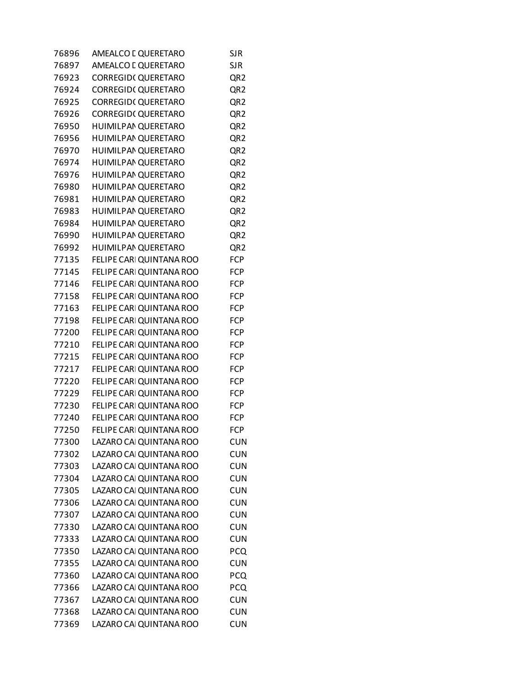| 76896 | AMEALCO I QUERETARO        | <b>SJR</b>      |
|-------|----------------------------|-----------------|
| 76897 | AMEALCO I QUERETARO        | <b>SJR</b>      |
| 76923 | <b>CORREGID( QUERETARO</b> | QR <sub>2</sub> |
| 76924 | <b>CORREGID( QUERETARO</b> | QR <sub>2</sub> |
| 76925 | <b>CORREGID( QUERETARO</b> | QR <sub>2</sub> |
| 76926 | <b>CORREGID( QUERETARO</b> | QR <sub>2</sub> |
| 76950 | HUIMILPAN QUERETARO        | QR <sub>2</sub> |
| 76956 | HUIMILPAN QUERETARO        | QR <sub>2</sub> |
| 76970 | HUIMILPAN QUERETARO        | QR <sub>2</sub> |
| 76974 | HUIMILPAN QUERETARO        | QR <sub>2</sub> |
| 76976 | HUIMILPAN QUERETARO        | QR <sub>2</sub> |
| 76980 | HUIMILPAN QUERETARO        | QR <sub>2</sub> |
| 76981 | HUIMILPAN QUERETARO        | QR <sub>2</sub> |
| 76983 | HUIMILPAN QUERETARO        | QR <sub>2</sub> |
| 76984 | HUIMILPAN QUERETARO        | QR <sub>2</sub> |
| 76990 | HUIMILPAN QUERETARO        | QR <sub>2</sub> |
| 76992 | HUIMILPAN QUERETARO        | QR <sub>2</sub> |
| 77135 | FELIPE CARI QUINTANA ROO   | <b>FCP</b>      |
| 77145 | FELIPE CARI QUINTANA ROO   | <b>FCP</b>      |
| 77146 | FELIPE CARI QUINTANA ROO   | <b>FCP</b>      |
| 77158 | FELIPE CARI QUINTANA ROO   | <b>FCP</b>      |
| 77163 | FELIPE CARI QUINTANA ROO   | <b>FCP</b>      |
| 77198 | FELIPE CARI QUINTANA ROO   | <b>FCP</b>      |
| 77200 | FELIPE CARI QUINTANA ROO   | <b>FCP</b>      |
| 77210 | FELIPE CARI QUINTANA ROO   | <b>FCP</b>      |
| 77215 | FELIPE CARI QUINTANA ROO   | <b>FCP</b>      |
| 77217 | FELIPE CARI QUINTANA ROO   | <b>FCP</b>      |
| 77220 | FELIPE CARI QUINTANA ROO   | <b>FCP</b>      |
| 77229 | FELIPE CARI QUINTANA ROO   | <b>FCP</b>      |
| 77230 | FELIPE CARI QUINTANA ROO   | <b>FCP</b>      |
| 77240 | FELIPE CARI QUINTANA ROO   | <b>FCP</b>      |
| 77250 | FELIPE CARI QUINTANA ROO   | <b>FCP</b>      |
| 77300 | LAZARO CAI QUINTANA ROO    | <b>CUN</b>      |
| 77302 | LAZARO CAI QUINTANA ROO    | <b>CUN</b>      |
| 77303 | LAZARO CAI QUINTANA ROO    | <b>CUN</b>      |
| 77304 | LAZARO CAI QUINTANA ROO    | <b>CUN</b>      |
| 77305 | LAZARO CAI QUINTANA ROO    | <b>CUN</b>      |
| 77306 | LAZARO CAI QUINTANA ROO    | <b>CUN</b>      |
| 77307 | LAZARO CAI QUINTANA ROO    | <b>CUN</b>      |
| 77330 | LAZARO CAI QUINTANA ROO    | <b>CUN</b>      |
| 77333 | LAZARO CAI QUINTANA ROO    | <b>CUN</b>      |
| 77350 | LAZARO CAI QUINTANA ROO    | <b>PCQ</b>      |
| 77355 | LAZARO CAI QUINTANA ROO    | <b>CUN</b>      |
| 77360 | LAZARO CAI QUINTANA ROO    | <b>PCQ</b>      |
| 77366 | LAZARO CAI QUINTANA ROO    | PCQ             |
| 77367 | LAZARO CAI QUINTANA ROO    | <b>CUN</b>      |
| 77368 | LAZARO CAI QUINTANA ROO    | <b>CUN</b>      |
| 77369 | LAZARO CAI QUINTANA ROO    | <b>CUN</b>      |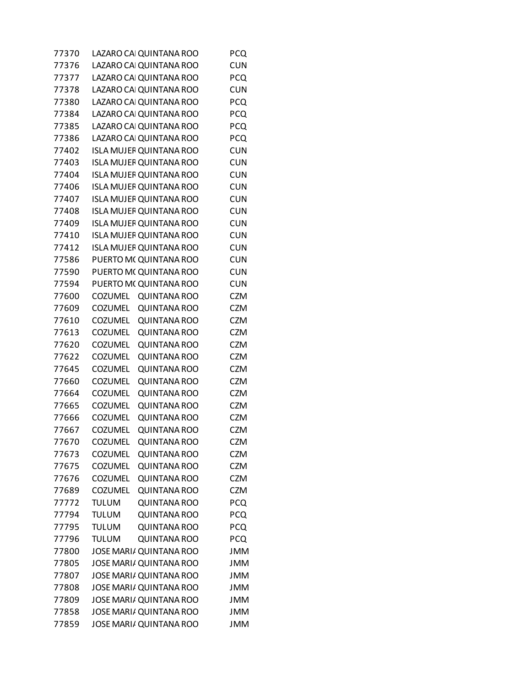| 77370 |                           | LAZARO CAI QUINTANA ROO        | <b>PCQ</b> |
|-------|---------------------------|--------------------------------|------------|
| 77376 |                           | LAZARO CAI QUINTANA ROO        | <b>CUN</b> |
| 77377 |                           | LAZARO CAI QUINTANA ROO        | <b>PCQ</b> |
| 77378 |                           | LAZARO CAI QUINTANA ROO        | <b>CUN</b> |
| 77380 |                           | LAZARO CAI QUINTANA ROO        | PCQ        |
| 77384 |                           | LAZARO CAI QUINTANA ROO        | PCQ        |
| 77385 |                           | LAZARO CAI QUINTANA ROO        | PCQ        |
| 77386 |                           | LAZARO CAI QUINTANA ROO        | <b>PCQ</b> |
| 77402 |                           | <b>ISLA MUJEF QUINTANA ROO</b> | <b>CUN</b> |
| 77403 |                           | <b>ISLA MUJEF QUINTANA ROO</b> | <b>CUN</b> |
| 77404 |                           | <b>ISLA MUJEF QUINTANA ROO</b> | <b>CUN</b> |
| 77406 |                           | <b>ISLA MUJEF QUINTANA ROO</b> | <b>CUN</b> |
| 77407 |                           | <b>ISLA MUJEF QUINTANA ROO</b> | <b>CUN</b> |
| 77408 |                           | <b>ISLA MUJEF QUINTANA ROO</b> | <b>CUN</b> |
| 77409 |                           | <b>ISLA MUJEF QUINTANA ROO</b> | <b>CUN</b> |
| 77410 |                           | <b>ISLA MUJEF QUINTANA ROO</b> | <b>CUN</b> |
| 77412 |                           | <b>ISLA MUJEF QUINTANA ROO</b> | <b>CUN</b> |
| 77586 |                           | PUERTO M( QUINTANA ROO         | <b>CUN</b> |
| 77590 |                           | PUERTO M( QUINTANA ROO         | <b>CUN</b> |
| 77594 |                           |                                | <b>CUN</b> |
| 77600 | <b>COZUMEL</b>            | PUERTO M( QUINTANA ROO         | <b>CZM</b> |
| 77609 | <b>COZUMEL</b>            | <b>QUINTANA ROO</b>            | <b>CZM</b> |
|       |                           | <b>QUINTANA ROO</b>            |            |
| 77610 | <b>COZUMEL</b>            | <b>QUINTANA ROO</b>            | <b>CZM</b> |
| 77613 | <b>COZUMEL</b>            | <b>QUINTANA ROO</b>            | <b>CZM</b> |
| 77620 | <b>COZUMEL</b>            | <b>QUINTANA ROO</b>            | <b>CZM</b> |
| 77622 | <b>COZUMEL</b>            | <b>QUINTANA ROO</b>            | <b>CZM</b> |
| 77645 | <b>COZUMEL</b>            | <b>QUINTANA ROO</b>            | <b>CZM</b> |
| 77660 | <b>COZUMEL</b><br>COZUMEL | <b>QUINTANA ROO</b>            | <b>CZM</b> |
| 77664 |                           | <b>QUINTANA ROO</b>            | <b>CZM</b> |
| 77665 | <b>COZUMEL</b>            | <b>QUINTANA ROO</b>            | <b>CZM</b> |
| 77666 | <b>COZUMEL</b>            | <b>QUINTANA ROO</b>            | <b>CZM</b> |
| 77667 | <b>COZUMEL</b>            | <b>QUINTANA ROO</b>            | <b>CZM</b> |
| 77670 | <b>COZUMEL</b>            | <b>QUINTANA ROO</b>            | <b>CZM</b> |
| 77673 | <b>COZUMEL</b>            | <b>QUINTANA ROO</b>            | <b>CZM</b> |
| 77675 | <b>COZUMEL</b>            | <b>QUINTANA ROO</b>            | <b>CZM</b> |
| 77676 | <b>COZUMEL</b>            | <b>QUINTANA ROO</b>            | <b>CZM</b> |
| 77689 | <b>COZUMEL</b>            | <b>QUINTANA ROO</b>            | <b>CZM</b> |
| 77772 | <b>TULUM</b>              | <b>QUINTANA ROO</b>            | <b>PCQ</b> |
| 77794 | <b>TULUM</b>              | <b>QUINTANA ROO</b>            | PCQ        |
| 77795 | <b>TULUM</b>              | <b>QUINTANA ROO</b>            | <b>PCQ</b> |
| 77796 | <b>TULUM</b>              | <b>QUINTANA ROO</b>            | <b>PCQ</b> |
| 77800 |                           | JOSE MARI/ QUINTANA ROO        | <b>JMM</b> |
| 77805 |                           | JOSE MARI/ QUINTANA ROO        | <b>JMM</b> |
| 77807 |                           | JOSE MARI/ QUINTANA ROO        | <b>JMM</b> |
| 77808 |                           | JOSE MARI/ QUINTANA ROO        | <b>JMM</b> |
| 77809 |                           | JOSE MARI/ QUINTANA ROO        | <b>JMM</b> |
| 77858 |                           | JOSE MARI/ QUINTANA ROO        | <b>JMM</b> |
| 77859 |                           | JOSE MARI/ QUINTANA ROO        | <b>JMM</b> |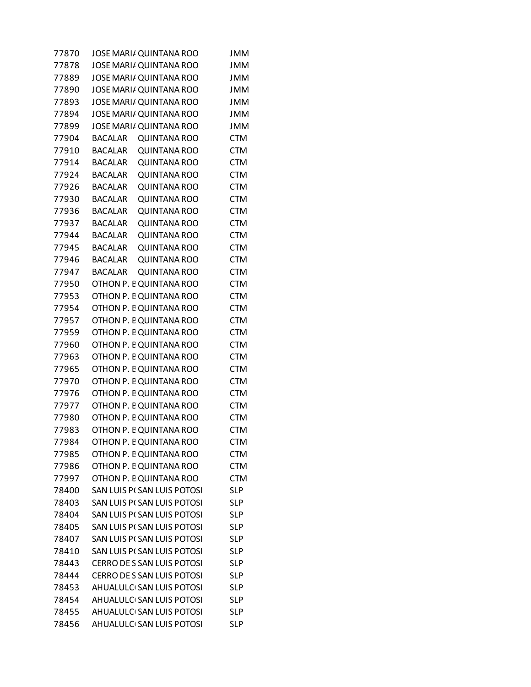| 77870 | JOSE MARI/ QUINTANA ROO               | <b>JMM</b> |
|-------|---------------------------------------|------------|
| 77878 | JOSE MARI/ QUINTANA ROO               | <b>JMM</b> |
| 77889 | JOSE MARI/ QUINTANA ROO               | <b>JMM</b> |
| 77890 | JOSE MARI/ QUINTANA ROO               | <b>JMM</b> |
| 77893 | JOSE MARI/ QUINTANA ROO               | <b>JMM</b> |
| 77894 | JOSE MARI/ QUINTANA ROO               | <b>JMM</b> |
| 77899 | JOSE MARI/ QUINTANA ROO               | <b>JMM</b> |
| 77904 | <b>BACALAR</b><br><b>QUINTANA ROO</b> | <b>CTM</b> |
| 77910 | <b>BACALAR</b><br><b>QUINTANA ROO</b> | <b>CTM</b> |
| 77914 | <b>BACALAR</b><br><b>QUINTANA ROO</b> | <b>CTM</b> |
| 77924 | <b>BACALAR</b><br><b>QUINTANA ROO</b> | <b>CTM</b> |
| 77926 | <b>BACALAR</b><br><b>QUINTANA ROO</b> | <b>CTM</b> |
| 77930 | <b>BACALAR</b><br><b>QUINTANA ROO</b> | <b>CTM</b> |
| 77936 | <b>QUINTANA ROO</b><br><b>BACALAR</b> | <b>CTM</b> |
| 77937 | <b>BACALAR</b><br><b>QUINTANA ROO</b> | <b>CTM</b> |
| 77944 | <b>BACALAR</b><br><b>QUINTANA ROO</b> | <b>CTM</b> |
| 77945 | <b>BACALAR</b><br><b>QUINTANA ROO</b> | <b>CTM</b> |
| 77946 | <b>BACALAR</b><br><b>QUINTANA ROO</b> | <b>CTM</b> |
| 77947 | <b>BACALAR</b><br><b>QUINTANA ROO</b> | <b>CTM</b> |
| 77950 | OTHON P. E QUINTANA ROO               | <b>CTM</b> |
| 77953 | OTHON P. E QUINTANA ROO               | <b>CTM</b> |
| 77954 | OTHON P. E QUINTANA ROO               | <b>CTM</b> |
| 77957 | OTHON P. E QUINTANA ROO               | <b>CTM</b> |
| 77959 | OTHON P. E QUINTANA ROO               | <b>CTM</b> |
| 77960 | OTHON P. E QUINTANA ROO               | <b>CTM</b> |
| 77963 | OTHON P. E QUINTANA ROO               | <b>CTM</b> |
| 77965 | OTHON P. E QUINTANA ROO               | <b>CTM</b> |
| 77970 | OTHON P. E QUINTANA ROO               | <b>CTM</b> |
| 77976 | OTHON P. E QUINTANA ROO               | <b>CTM</b> |
| 77977 | OTHON P. E QUINTANA ROO               | <b>CTM</b> |
| 77980 | OTHON P. E QUINTANA ROO               | <b>CTM</b> |
| 77983 | OTHON P. E QUINTANA ROO               | <b>CTM</b> |
| 77984 | OTHON P. E QUINTANA ROO               | <b>CTM</b> |
| 77985 | OTHON P. E QUINTANA ROO               | <b>CTM</b> |
| 77986 | OTHON P. E QUINTANA ROO               | <b>CTM</b> |
| 77997 | OTHON P. E QUINTANA ROO               | <b>CTM</b> |
| 78400 | SAN LUIS PI SAN LUIS POTOSI           | <b>SLP</b> |
| 78403 | SAN LUIS PI SAN LUIS POTOSI           | <b>SLP</b> |
| 78404 | <b>SAN LUIS PI SAN LUIS POTOSI</b>    | <b>SLP</b> |
| 78405 | SAN LUIS PI SAN LUIS POTOSI           | <b>SLP</b> |
| 78407 | SAN LUIS PI SAN LUIS POTOSI           | <b>SLP</b> |
| 78410 | SAN LUIS PI SAN LUIS POTOSI           | <b>SLP</b> |
| 78443 | CERRO DE S SAN LUIS POTOSI            | <b>SLP</b> |
| 78444 | <b>CERRO DE S SAN LUIS POTOSI</b>     | <b>SLP</b> |
| 78453 | AHUALULC SAN LUIS POTOSI              | <b>SLP</b> |
| 78454 | AHUALULC SAN LUIS POTOSI              | <b>SLP</b> |
| 78455 | AHUALULC SAN LUIS POTOSI              | <b>SLP</b> |
| 78456 | AHUALULC SAN LUIS POTOSI              | <b>SLP</b> |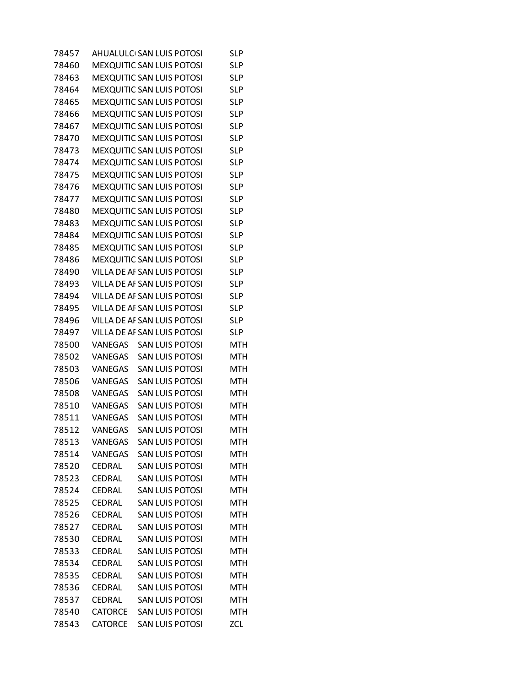| 78457 |                | AHUALULC SAN LUIS POTOSI    | SLP        |
|-------|----------------|-----------------------------|------------|
| 78460 |                | MEXQUITIC SAN LUIS POTOSI   | <b>SLP</b> |
| 78463 |                | MEXQUITIC SAN LUIS POTOSI   | <b>SLP</b> |
| 78464 |                | MEXQUITIC SAN LUIS POTOSI   | <b>SLP</b> |
| 78465 |                | MEXQUITIC SAN LUIS POTOSI   | <b>SLP</b> |
| 78466 |                | MEXQUITIC SAN LUIS POTOSI   | <b>SLP</b> |
| 78467 |                | MEXQUITIC SAN LUIS POTOSI   | <b>SLP</b> |
| 78470 |                | MEXQUITIC SAN LUIS POTOSI   | <b>SLP</b> |
| 78473 |                | MEXQUITIC SAN LUIS POTOSI   | <b>SLP</b> |
| 78474 |                | MEXQUITIC SAN LUIS POTOSI   | <b>SLP</b> |
| 78475 |                | MEXQUITIC SAN LUIS POTOSI   | <b>SLP</b> |
| 78476 |                | MEXQUITIC SAN LUIS POTOSI   | <b>SLP</b> |
| 78477 |                | MEXQUITIC SAN LUIS POTOSI   | <b>SLP</b> |
| 78480 |                | MEXQUITIC SAN LUIS POTOSI   | <b>SLP</b> |
| 78483 |                | MEXQUITIC SAN LUIS POTOSI   | <b>SLP</b> |
| 78484 |                | MEXQUITIC SAN LUIS POTOSI   | <b>SLP</b> |
| 78485 |                | MEXQUITIC SAN LUIS POTOSI   | <b>SLP</b> |
| 78486 |                | MEXQUITIC SAN LUIS POTOSI   | <b>SLP</b> |
| 78490 |                | VILLA DE AF SAN LUIS POTOSI | <b>SLP</b> |
| 78493 |                | VILLA DE AF SAN LUIS POTOSI | <b>SLP</b> |
| 78494 |                | VILLA DE AF SAN LUIS POTOSI | <b>SLP</b> |
| 78495 |                | VILLA DE AF SAN LUIS POTOSI | <b>SLP</b> |
| 78496 |                | VILLA DE AF SAN LUIS POTOSI | <b>SLP</b> |
| 78497 |                | VILLA DE AF SAN LUIS POTOSI | <b>SLP</b> |
| 78500 | VANEGAS        | <b>SAN LUIS POTOSI</b>      | MTH        |
| 78502 | <b>VANEGAS</b> | <b>SAN LUIS POTOSI</b>      | MTH        |
| 78503 | <b>VANEGAS</b> | <b>SAN LUIS POTOSI</b>      | <b>MTH</b> |
| 78506 | <b>VANEGAS</b> | <b>SAN LUIS POTOSI</b>      | MTH        |
| 78508 | <b>VANEGAS</b> | <b>SAN LUIS POTOSI</b>      | <b>MTH</b> |
| 78510 | <b>VANEGAS</b> | <b>SAN LUIS POTOSI</b>      | <b>MTH</b> |
| 78511 | VANEGAS        | <b>SAN LUIS POTOSI</b>      | MTH        |
| 78512 | <b>VANEGAS</b> | <b>SAN LUIS POTOSI</b>      | <b>MTH</b> |
| 78513 | VANEGAS        | <b>SAN LUIS POTOSI</b>      | <b>MTH</b> |
| 78514 | <b>VANEGAS</b> | <b>SAN LUIS POTOSI</b>      | <b>MTH</b> |
| 78520 | CEDRAL         | <b>SAN LUIS POTOSI</b>      | MTH        |
| 78523 | CEDRAL         | <b>SAN LUIS POTOSI</b>      | <b>MTH</b> |
| 78524 | CEDRAL         | <b>SAN LUIS POTOSI</b>      | MTH        |
| 78525 | <b>CEDRAL</b>  | <b>SAN LUIS POTOSI</b>      | <b>MTH</b> |
| 78526 | <b>CEDRAL</b>  | <b>SAN LUIS POTOSI</b>      | <b>MTH</b> |
| 78527 | <b>CEDRAL</b>  | <b>SAN LUIS POTOSI</b>      | <b>MTH</b> |
| 78530 | <b>CEDRAL</b>  | <b>SAN LUIS POTOSI</b>      | <b>MTH</b> |
| 78533 | CEDRAL         | <b>SAN LUIS POTOSI</b>      | <b>MTH</b> |
| 78534 | CEDRAL         | <b>SAN LUIS POTOSI</b>      | MTH        |
| 78535 | CEDRAL         | <b>SAN LUIS POTOSI</b>      | <b>MTH</b> |
| 78536 | CEDRAL         | <b>SAN LUIS POTOSI</b>      | <b>MTH</b> |
| 78537 | CEDRAL         | <b>SAN LUIS POTOSI</b>      | MTH        |
| 78540 | <b>CATORCE</b> | <b>SAN LUIS POTOSI</b>      | <b>MTH</b> |
| 78543 | <b>CATORCE</b> | SAN LUIS POTOSI             | <b>ZCL</b> |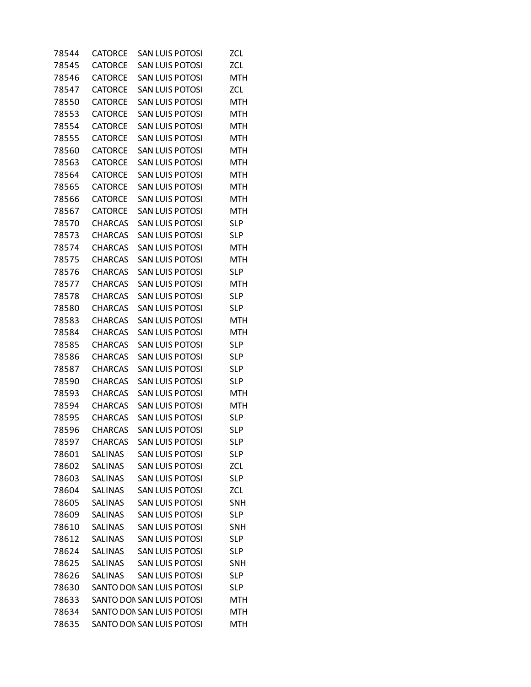| 78544 | <b>CATORCE</b> | SAN LUIS POTOSI           | ZCL        |
|-------|----------------|---------------------------|------------|
| 78545 | <b>CATORCE</b> | <b>SAN LUIS POTOSI</b>    | <b>ZCL</b> |
| 78546 | <b>CATORCE</b> | <b>SAN LUIS POTOSI</b>    | <b>MTH</b> |
| 78547 | <b>CATORCE</b> | SAN LUIS POTOSI           | ZCL        |
| 78550 | <b>CATORCE</b> | <b>SAN LUIS POTOSI</b>    | MTH        |
| 78553 | <b>CATORCE</b> | <b>SAN LUIS POTOSI</b>    | <b>MTH</b> |
| 78554 | <b>CATORCE</b> | SAN LUIS POTOSI           | MTH        |
| 78555 | <b>CATORCE</b> | <b>SAN LUIS POTOSI</b>    | <b>MTH</b> |
| 78560 | <b>CATORCE</b> | <b>SAN LUIS POTOSI</b>    | <b>MTH</b> |
| 78563 | <b>CATORCE</b> | SAN LUIS POTOSI           | MTH        |
| 78564 | <b>CATORCE</b> | <b>SAN LUIS POTOSI</b>    | <b>MTH</b> |
| 78565 | <b>CATORCE</b> | <b>SAN LUIS POTOSI</b>    | <b>MTH</b> |
| 78566 | <b>CATORCE</b> | SAN LUIS POTOSI           | MTH        |
| 78567 | <b>CATORCE</b> | <b>SAN LUIS POTOSI</b>    | MTH        |
| 78570 | <b>CHARCAS</b> | <b>SAN LUIS POTOSI</b>    | <b>SLP</b> |
| 78573 | <b>CHARCAS</b> | SAN LUIS POTOSI           | <b>SLP</b> |
| 78574 | <b>CHARCAS</b> | <b>SAN LUIS POTOSI</b>    | MTH        |
| 78575 | <b>CHARCAS</b> | <b>SAN LUIS POTOSI</b>    | <b>MTH</b> |
| 78576 | <b>CHARCAS</b> | SAN LUIS POTOSI           | SL P       |
| 78577 | <b>CHARCAS</b> | <b>SAN LUIS POTOSI</b>    | MTH        |
| 78578 | <b>CHARCAS</b> | <b>SAN LUIS POTOSI</b>    | <b>SLP</b> |
| 78580 | <b>CHARCAS</b> | SAN LUIS POTOSI           | <b>SLP</b> |
| 78583 | <b>CHARCAS</b> | <b>SAN LUIS POTOSI</b>    | MTH        |
| 78584 | <b>CHARCAS</b> | <b>SAN LUIS POTOSI</b>    | <b>MTH</b> |
| 78585 | <b>CHARCAS</b> | SAN LUIS POTOSI           | SL P       |
| 78586 | <b>CHARCAS</b> | <b>SAN LUIS POTOSI</b>    | <b>SLP</b> |
| 78587 | <b>CHARCAS</b> | <b>SAN LUIS POTOSI</b>    | <b>SLP</b> |
| 78590 | <b>CHARCAS</b> | SAN LUIS POTOSI           | <b>SLP</b> |
| 78593 | <b>CHARCAS</b> | <b>SAN LUIS POTOSI</b>    | MTH        |
| 78594 | <b>CHARCAS</b> | <b>SAN LUIS POTOSI</b>    | <b>MTH</b> |
| 78595 | <b>CHARCAS</b> | SAN LUIS POTOSI           | SL P       |
| 78596 | <b>CHARCAS</b> | <b>SAN LUIS POTOSI</b>    | <b>SLP</b> |
| 78597 | <b>CHARCAS</b> | <b>SAN LUIS POTOSI</b>    | <b>SLP</b> |
| 78601 | <b>SALINAS</b> | <b>SAN LUIS POTOSI</b>    | <b>SLP</b> |
| 78602 | <b>SALINAS</b> | <b>SAN LUIS POTOSI</b>    | <b>ZCL</b> |
| 78603 | <b>SALINAS</b> | <b>SAN LUIS POTOSI</b>    | <b>SLP</b> |
| 78604 | <b>SALINAS</b> | <b>SAN LUIS POTOSI</b>    | <b>ZCL</b> |
| 78605 | <b>SALINAS</b> | <b>SAN LUIS POTOSI</b>    | SNH        |
| 78609 | <b>SALINAS</b> | <b>SAN LUIS POTOSI</b>    | <b>SLP</b> |
| 78610 | <b>SALINAS</b> | <b>SAN LUIS POTOSI</b>    | <b>SNH</b> |
| 78612 | <b>SALINAS</b> | <b>SAN LUIS POTOSI</b>    | <b>SLP</b> |
| 78624 | <b>SALINAS</b> | <b>SAN LUIS POTOSI</b>    | <b>SLP</b> |
| 78625 | <b>SALINAS</b> | <b>SAN LUIS POTOSI</b>    | SNH        |
| 78626 | <b>SALINAS</b> | <b>SAN LUIS POTOSI</b>    | <b>SLP</b> |
| 78630 |                | SANTO DON SAN LUIS POTOSI | <b>SLP</b> |
| 78633 |                | SANTO DON SAN LUIS POTOSI | MTH        |
| 78634 |                | SANTO DON SAN LUIS POTOSI | <b>MTH</b> |
| 78635 |                | SANTO DON SAN LUIS POTOSI | <b>MTH</b> |
|       |                |                           |            |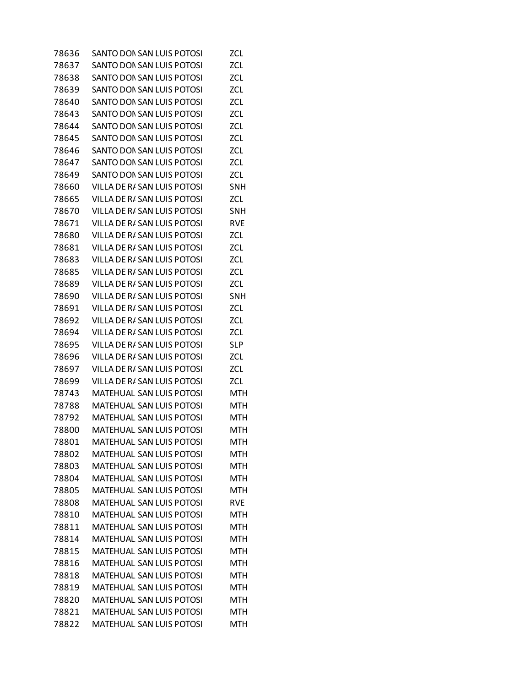| 78636 | SANTO DON SAN LUIS POTOSI       | ZCL.       |
|-------|---------------------------------|------------|
| 78637 | SANTO DON SAN LUIS POTOSI       | <b>ZCL</b> |
| 78638 | SANTO DON SAN LUIS POTOSI       | <b>ZCL</b> |
| 78639 | SANTO DON SAN LUIS POTOSI       | ZCL        |
| 78640 | SANTO DON SAN LUIS POTOSI       | ZCL        |
| 78643 | SANTO DON SAN LUIS POTOSI       | <b>ZCL</b> |
| 78644 | SANTO DON SAN LUIS POTOSI       | ZCL        |
| 78645 | SANTO DON SAN LUIS POTOSI       | ZCL        |
| 78646 | SANTO DON SAN LUIS POTOSI       | <b>ZCL</b> |
| 78647 | SANTO DON SAN LUIS POTOSI       | ZCL        |
| 78649 | SANTO DON SAN LUIS POTOSI       | ZCL        |
| 78660 | VILLA DE R/ SAN LUIS POTOSI     | SNH        |
| 78665 | VILLA DE R/ SAN LUIS POTOSI     | ZCL        |
| 78670 | VILLA DE R/ SAN LUIS POTOSI     | SNH        |
| 78671 | VILLA DE R/ SAN LUIS POTOSI     | <b>RVE</b> |
| 78680 | VILLA DE R/ SAN LUIS POTOSI     | ZCL        |
| 78681 | VILLA DE R/ SAN LUIS POTOSI     | <b>ZCL</b> |
| 78683 | VILLA DE R/ SAN LUIS POTOSI     | <b>ZCL</b> |
| 78685 | VILLA DE R/ SAN LUIS POTOSI     | ZCL        |
| 78689 | VILLA DE R/ SAN LUIS POTOSI     | ZCL        |
| 78690 | VILLA DE R/ SAN LUIS POTOSI     | <b>SNH</b> |
| 78691 | VILLA DE R/ SAN LUIS POTOSI     | ZCL        |
| 78692 | VILLA DE RI SAN LUIS POTOSI     | ZCL        |
| 78694 | VILLA DE R/ SAN LUIS POTOSI     | ZCL        |
| 78695 | VILLA DE R/ SAN LUIS POTOSI     | <b>SLP</b> |
| 78696 | VILLA DE R/ SAN LUIS POTOSI     | ZCL        |
| 78697 | VILLA DE R/ SAN LUIS POTOSI     | <b>ZCL</b> |
| 78699 | VILLA DE R/ SAN LUIS POTOSI     | ZCL        |
| 78743 | MATEHUAL SAN LUIS POTOSI        | MTH        |
| 78788 | MATEHUAL SAN LUIS POTOSI        | <b>MTH</b> |
| 78792 | MATEHUAL SAN LUIS POTOSI        | MTH        |
| 78800 | MATEHUAL SAN LUIS POTOSI        | MTH        |
| 78801 | <b>MATEHUAL SAN LUIS POTOSI</b> | <b>MTH</b> |
| 78802 | MATEHUAL SAN LUIS POTOSI        | <b>MTH</b> |
| 78803 | <b>MATEHUAL SAN LUIS POTOSI</b> | MTH        |
| 78804 | <b>MATEHUAL SAN LUIS POTOSI</b> | <b>MTH</b> |
| 78805 | MATEHUAL SAN LUIS POTOSI        | MTH        |
| 78808 | <b>MATEHUAL SAN LUIS POTOSI</b> | <b>RVE</b> |
| 78810 | <b>MATEHUAL SAN LUIS POTOSI</b> | <b>MTH</b> |
| 78811 | <b>MATEHUAL SAN LUIS POTOSI</b> | <b>MTH</b> |
| 78814 | <b>MATEHUAL SAN LUIS POTOSI</b> | MTH        |
| 78815 | <b>MATEHUAL SAN LUIS POTOSI</b> | <b>MTH</b> |
| 78816 | MATEHUAL SAN LUIS POTOSI        | MTH        |
| 78818 | <b>MATEHUAL SAN LUIS POTOSI</b> | MTH        |
| 78819 | <b>MATEHUAL SAN LUIS POTOSI</b> | <b>MTH</b> |
| 78820 | MATEHUAL SAN LUIS POTOSI        | MTH        |
| 78821 | <b>MATEHUAL SAN LUIS POTOSI</b> | MTH        |
| 78822 | MATEHUAL SAN LUIS POTOSI        | <b>MTH</b> |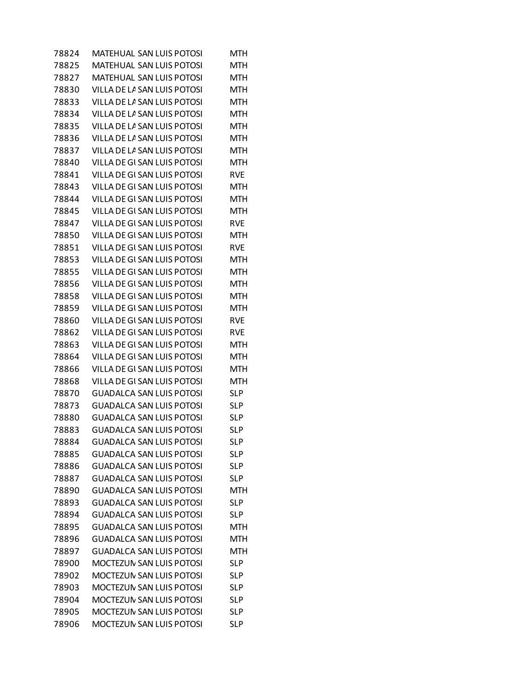| 78824 | MATEHUAL SAN LUIS POTOSI        | MTH        |
|-------|---------------------------------|------------|
| 78825 | <b>MATEHUAL SAN LUIS POTOSI</b> | MTH        |
| 78827 | MATEHUAL SAN LUIS POTOSI        | MTH        |
| 78830 | VILLA DE LA SAN LUIS POTOSI     | MTH        |
| 78833 | VILLA DE LA SAN LUIS POTOSI     | MTH        |
| 78834 | VILLA DE LA SAN LUIS POTOSI     | <b>MTH</b> |
| 78835 | VILLA DE LA SAN LUIS POTOSI     | MTH        |
| 78836 | VILLA DE LA SAN LUIS POTOSI     | <b>MTH</b> |
| 78837 | VILLA DE LA SAN LUIS POTOSI     | <b>MTH</b> |
| 78840 | VILLA DE GI SAN LUIS POTOSI     | MTH        |
| 78841 | VILLA DE GI SAN LUIS POTOSI     | <b>RVE</b> |
| 78843 | VILLA DE GI SAN LUIS POTOSI     | <b>MTH</b> |
| 78844 | VILLA DE GI SAN LUIS POTOSI     | <b>MTH</b> |
| 78845 | VILLA DE GI SAN LUIS POTOSI     | MTH        |
| 78847 | VILLA DE GI SAN LUIS POTOSI     | <b>RVE</b> |
| 78850 | VILLA DE GI SAN LUIS POTOSI     | MTH        |
| 78851 | VILLA DE GI SAN LUIS POTOSI     | RVE        |
| 78853 | VILLA DE GI SAN LUIS POTOSI     | <b>MTH</b> |
| 78855 | VILLA DE GI SAN LUIS POTOSI     | MTH        |
| 78856 | VILLA DE GI SAN LUIS POTOSI     | <b>MTH</b> |
| 78858 | VILLA DE GI SAN LUIS POTOSI     | <b>MTH</b> |
| 78859 | VILLA DE GI SAN LUIS POTOSI     | MTH        |
| 78860 | VILLA DE GI SAN LUIS POTOSI     | <b>RVE</b> |
| 78862 | VILLA DE GI SAN LUIS POTOSI     | <b>RVE</b> |
| 78863 | VILLA DE GI SAN LUIS POTOSI     | MTH        |
| 78864 | VILLA DE GI SAN LUIS POTOSI     | MTH        |
| 78866 | VILLA DE GI SAN LUIS POTOSI     | <b>MTH</b> |
| 78868 | VILLA DE GI SAN LUIS POTOSI     | MTH        |
| 78870 | <b>GUADALCA SAN LUIS POTOSI</b> | <b>SLP</b> |
| 78873 | GUADALCA SAN LUIS POTOSI        | <b>SLP</b> |
| 78880 | GUADALCA SAN LUIS POTOSI        | <b>SLP</b> |
| 78883 | <b>GUADALCA SAN LUIS POTOSI</b> | <b>SLP</b> |
| 78884 | <b>GUADALCA SAN LUIS POTOSI</b> | <b>SLP</b> |
| 78885 | <b>GUADALCA SAN LUIS POTOSI</b> | <b>SLP</b> |
| 78886 | <b>GUADALCA SAN LUIS POTOSI</b> | <b>SLP</b> |
| 78887 | <b>GUADALCA SAN LUIS POTOSI</b> | <b>SLP</b> |
| 78890 | <b>GUADALCA SAN LUIS POTOSI</b> | MTH        |
| 78893 | <b>GUADALCA SAN LUIS POTOSI</b> | <b>SLP</b> |
| 78894 | <b>GUADALCA SAN LUIS POTOSI</b> | <b>SLP</b> |
| 78895 | <b>GUADALCA SAN LUIS POTOSI</b> | MTH        |
| 78896 | <b>GUADALCA SAN LUIS POTOSI</b> | MTH        |
| 78897 | <b>GUADALCA SAN LUIS POTOSI</b> | <b>MTH</b> |
| 78900 | MOCTEZUN SAN LUIS POTOSI        | <b>SLP</b> |
| 78902 | <b>MOCTEZUN SAN LUIS POTOSI</b> | <b>SLP</b> |
| 78903 | MOCTEZUN SAN LUIS POTOSI        | <b>SLP</b> |
| 78904 | MOCTEZUN SAN LUIS POTOSI        | <b>SLP</b> |
| 78905 | MOCTEZUN SAN LUIS POTOSI        | <b>SLP</b> |
| 78906 | MOCTEZUN SAN LUIS POTOSI        | <b>SLP</b> |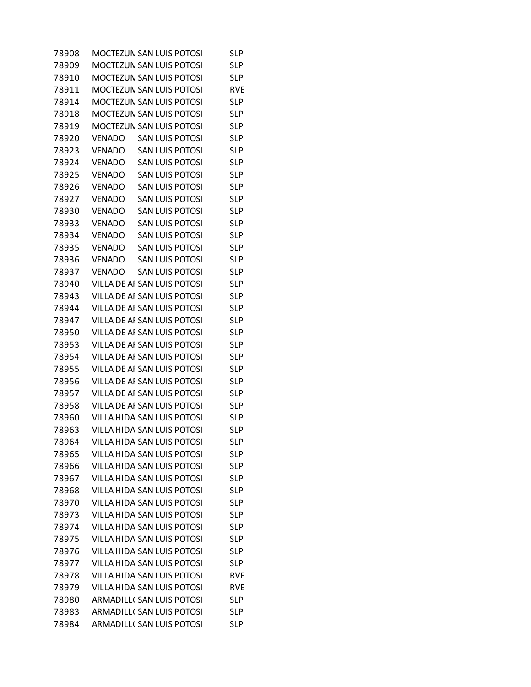| 78908 |               | MOCTEZUN SAN LUIS POTOSI          | SLP        |
|-------|---------------|-----------------------------------|------------|
| 78909 |               | <b>MOCTEZUN SAN LUIS POTOSI</b>   | <b>SLP</b> |
| 78910 |               | MOCTEZUN SAN LUIS POTOSI          | <b>SLP</b> |
| 78911 |               | MOCTEZUN SAN LUIS POTOSI          | <b>RVE</b> |
| 78914 |               | MOCTEZUN SAN LUIS POTOSI          | <b>SLP</b> |
| 78918 |               | MOCTEZUN SAN LUIS POTOSI          | <b>SLP</b> |
| 78919 |               | MOCTEZUN SAN LUIS POTOSI          | <b>SLP</b> |
| 78920 | VENADO        | <b>SAN LUIS POTOSI</b>            | <b>SLP</b> |
| 78923 | <b>VENADO</b> | <b>SAN LUIS POTOSI</b>            | <b>SLP</b> |
| 78924 | VENADO        | <b>SAN LUIS POTOSI</b>            | <b>SLP</b> |
| 78925 | <b>VENADO</b> | <b>SAN LUIS POTOSI</b>            | <b>SLP</b> |
| 78926 | <b>VENADO</b> | <b>SAN LUIS POTOSI</b>            | <b>SLP</b> |
| 78927 | <b>VENADO</b> | <b>SAN LUIS POTOSI</b>            | <b>SLP</b> |
| 78930 | <b>VENADO</b> | <b>SAN LUIS POTOSI</b>            | <b>SLP</b> |
| 78933 | <b>VENADO</b> | <b>SAN LUIS POTOSI</b>            | <b>SLP</b> |
| 78934 | VENADO        | <b>SAN LUIS POTOSI</b>            | <b>SLP</b> |
| 78935 | <b>VENADO</b> | <b>SAN LUIS POTOSI</b>            | <b>SLP</b> |
| 78936 | <b>VENADO</b> | <b>SAN LUIS POTOSI</b>            | <b>SLP</b> |
| 78937 | <b>VENADO</b> | <b>SAN LUIS POTOSI</b>            | <b>SLP</b> |
| 78940 |               | VILLA DE AF SAN LUIS POTOSI       | <b>SLP</b> |
| 78943 |               | VILLA DE AF SAN LUIS POTOSI       | <b>SLP</b> |
| 78944 |               | VILLA DE AF SAN LUIS POTOSI       | <b>SLP</b> |
| 78947 |               | VILLA DE AF SAN LUIS POTOSI       | <b>SLP</b> |
| 78950 |               | VILLA DE AF SAN LUIS POTOSI       | <b>SLP</b> |
| 78953 |               | VILLA DE AF SAN LUIS POTOSI       | <b>SLP</b> |
| 78954 |               | VILLA DE AF SAN LUIS POTOSI       | <b>SLP</b> |
| 78955 |               | VILLA DE AF SAN LUIS POTOSI       | <b>SLP</b> |
| 78956 |               | VILLA DE AF SAN LUIS POTOSI       | <b>SLP</b> |
| 78957 |               | VILLA DE AF SAN LUIS POTOSI       | <b>SLP</b> |
| 78958 |               | VILLA DE AF SAN LUIS POTOSI       | <b>SLP</b> |
| 78960 |               | VILLA HIDA SAN LUIS POTOSI        | <b>SLP</b> |
| 78963 |               | VILLA HIDA SAN LUIS POTOSI        | <b>SLP</b> |
| 78964 |               | VILLA HIDA SAN LUIS POTOSI        | <b>SLP</b> |
| 78965 |               | VILLA HIDA SAN LUIS POTOSI        | <b>SLP</b> |
| 78966 |               | VILLA HIDA SAN LUIS POTOSI        | <b>SLP</b> |
| 78967 |               | VILLA HIDA SAN LUIS POTOSI        | <b>SLP</b> |
| 78968 |               | VILLA HIDA SAN LUIS POTOSI        | <b>SLP</b> |
| 78970 |               | <b>VILLA HIDA SAN LUIS POTOSI</b> | <b>SLP</b> |
| 78973 |               | VILLA HIDA SAN LUIS POTOSI        | <b>SLP</b> |
| 78974 |               | VILLA HIDA SAN LUIS POTOSI        | <b>SLP</b> |
| 78975 |               | VILLA HIDA SAN LUIS POTOSI        | <b>SLP</b> |
| 78976 |               | VILLA HIDA SAN LUIS POTOSI        | <b>SLP</b> |
| 78977 |               | VILLA HIDA SAN LUIS POTOSI        | <b>SLP</b> |
| 78978 |               | VILLA HIDA SAN LUIS POTOSI        | <b>RVE</b> |
| 78979 |               | VILLA HIDA SAN LUIS POTOSI        | <b>RVE</b> |
| 78980 |               | ARMADILL( SAN LUIS POTOSI         | <b>SLP</b> |
| 78983 |               | ARMADILL( SAN LUIS POTOSI         | <b>SLP</b> |
| 78984 |               | ARMADILL( SAN LUIS POTOSI         | <b>SLP</b> |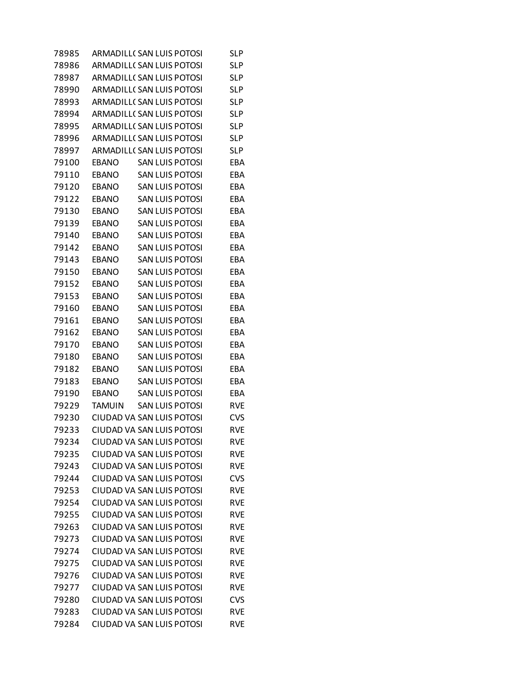| 78985 |               | ARMADILL( SAN LUIS POTOSI        | SL P       |
|-------|---------------|----------------------------------|------------|
| 78986 |               | <b>ARMADILL( SAN LUIS POTOSI</b> | SL P       |
| 78987 |               | ARMADILL( SAN LUIS POTOSI        | <b>SLP</b> |
| 78990 |               | ARMADILL( SAN LUIS POTOSI        | <b>SLP</b> |
| 78993 |               | ARMADILL( SAN LUIS POTOSI        | <b>SLP</b> |
| 78994 |               | ARMADILL( SAN LUIS POTOSI        | <b>SLP</b> |
| 78995 |               | ARMADILL( SAN LUIS POTOSI        | <b>SLP</b> |
| 78996 |               | <b>ARMADILL( SAN LUIS POTOSI</b> | <b>SLP</b> |
| 78997 |               | ARMADILL( SAN LUIS POTOSI        | <b>SLP</b> |
| 79100 | EBANO         | <b>SAN LUIS POTOSI</b>           | EBA        |
| 79110 | <b>EBANO</b>  | <b>SAN LUIS POTOSI</b>           | EBA        |
| 79120 | <b>EBANO</b>  | <b>SAN LUIS POTOSI</b>           | EBA        |
| 79122 | EBANO         | SAN LUIS POTOSI                  | EBA        |
| 79130 | <b>EBANO</b>  | <b>SAN LUIS POTOSI</b>           | EBA        |
| 79139 | <b>EBANO</b>  | <b>SAN LUIS POTOSI</b>           | EBA        |
| 79140 | EBANO         | SAN LUIS POTOSI                  | EBA        |
| 79142 | <b>EBANO</b>  | <b>SAN LUIS POTOSI</b>           | EBA        |
| 79143 | EBANO         | <b>SAN LUIS POTOSI</b>           | EBA        |
| 79150 | EBANO         | SAN LUIS POTOSI                  | EBA        |
| 79152 | <b>EBANO</b>  | <b>SAN LUIS POTOSI</b>           | EBA        |
| 79153 | <b>EBANO</b>  | <b>SAN LUIS POTOSI</b>           | EBA        |
| 79160 | EBANO         | SAN LUIS POTOSI                  | EBA        |
| 79161 | <b>EBANO</b>  | <b>SAN LUIS POTOSI</b>           | EBA        |
| 79162 | <b>EBANO</b>  | <b>SAN LUIS POTOSI</b>           | EBA        |
| 79170 | EBANO         | SAN LUIS POTOSI                  | EBA        |
| 79180 | <b>EBANO</b>  | <b>SAN LUIS POTOSI</b>           | EBA        |
| 79182 | <b>EBANO</b>  | <b>SAN LUIS POTOSI</b>           | EBA        |
| 79183 | EBANO         | <b>SAN LUIS POTOSI</b>           | EBA        |
| 79190 | <b>EBANO</b>  | <b>SAN LUIS POTOSI</b>           | EBA        |
| 79229 | <b>TAMUIN</b> | <b>SAN LUIS POTOSI</b>           | <b>RVE</b> |
| 79230 |               | CIUDAD VA SAN LUIS POTOSI        | <b>CVS</b> |
| 79233 |               | CIUDAD VA SAN LUIS POTOSI        | <b>RVE</b> |
| 79234 |               | <b>CIUDAD VA SAN LUIS POTOSI</b> | <b>RVE</b> |
| 79235 |               | CIUDAD VA SAN LUIS POTOSI        | <b>RVE</b> |
| 79243 |               | CIUDAD VA SAN LUIS POTOSI        | <b>RVE</b> |
| 79244 |               | CIUDAD VA SAN LUIS POTOSI        | <b>CVS</b> |
| 79253 |               | CIUDAD VA SAN LUIS POTOSI        | <b>RVE</b> |
| 79254 |               | CIUDAD VA SAN LUIS POTOSI        | <b>RVE</b> |
| 79255 |               | CIUDAD VA SAN LUIS POTOSI        | <b>RVE</b> |
| 79263 |               | <b>CIUDAD VA SAN LUIS POTOSI</b> | <b>RVE</b> |
| 79273 |               | CIUDAD VA SAN LUIS POTOSI        | <b>RVE</b> |
| 79274 |               | CIUDAD VA SAN LUIS POTOSI        | <b>RVE</b> |
| 79275 |               | CIUDAD VA SAN LUIS POTOSI        | <b>RVE</b> |
| 79276 |               | CIUDAD VA SAN LUIS POTOSI        | <b>RVE</b> |
| 79277 |               | CIUDAD VA SAN LUIS POTOSI        | <b>RVE</b> |
| 79280 |               | CIUDAD VA SAN LUIS POTOSI        | CVS        |
| 79283 |               | CIUDAD VA SAN LUIS POTOSI        | <b>RVE</b> |
| 79284 |               | CIUDAD VA SAN LUIS POTOSI        | <b>RVE</b> |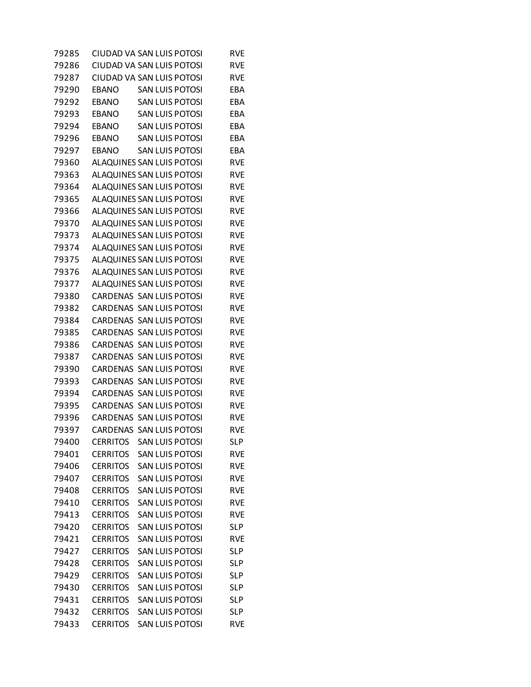| 79285 |                 | CIUDAD VA SAN LUIS POTOSI       | RVE        |
|-------|-----------------|---------------------------------|------------|
| 79286 |                 | CIUDAD VA SAN LUIS POTOSI       | <b>RVE</b> |
| 79287 |                 | CIUDAD VA SAN LUIS POTOSI       | <b>RVE</b> |
| 79290 | <b>EBANO</b>    | <b>SAN LUIS POTOSI</b>          | EBA        |
| 79292 | <b>EBANO</b>    | <b>SAN LUIS POTOSI</b>          | EBA        |
| 79293 | <b>EBANO</b>    | <b>SAN LUIS POTOSI</b>          | EBA        |
| 79294 | EBANO           | <b>SAN LUIS POTOSI</b>          | EBA        |
| 79296 | <b>EBANO</b>    | <b>SAN LUIS POTOSI</b>          | EBA        |
| 79297 | <b>EBANO</b>    | <b>SAN LUIS POTOSI</b>          | EBA        |
| 79360 |                 | ALAQUINES SAN LUIS POTOSI       | RVE        |
| 79363 |                 | ALAQUINES SAN LUIS POTOSI       | <b>RVE</b> |
| 79364 |                 | ALAQUINES SAN LUIS POTOSI       | <b>RVE</b> |
| 79365 |                 | ALAQUINES SAN LUIS POTOSI       | RVE        |
| 79366 |                 | ALAQUINES SAN LUIS POTOSI       | <b>RVE</b> |
| 79370 |                 | ALAQUINES SAN LUIS POTOSI       | <b>RVE</b> |
| 79373 |                 | ALAQUINES SAN LUIS POTOSI       | <b>RVE</b> |
| 79374 |                 | ALAQUINES SAN LUIS POTOSI       | <b>RVE</b> |
| 79375 |                 | ALAQUINES SAN LUIS POTOSI       | <b>RVE</b> |
| 79376 |                 | ALAQUINES SAN LUIS POTOSI       | RVE        |
| 79377 |                 | ALAQUINES SAN LUIS POTOSI       | <b>RVE</b> |
| 79380 |                 | CARDENAS SAN LUIS POTOSI        | <b>RVE</b> |
| 79382 |                 | CARDENAS SAN LUIS POTOSI        | <b>RVE</b> |
| 79384 |                 | CARDENAS SAN LUIS POTOSI        | <b>RVE</b> |
| 79385 |                 | CARDENAS SAN LUIS POTOSI        | <b>RVE</b> |
| 79386 |                 | CARDENAS SAN LUIS POTOSI        | RVE        |
| 79387 |                 | <b>CARDENAS SAN LUIS POTOSI</b> | <b>RVE</b> |
| 79390 |                 | CARDENAS SAN LUIS POTOSI        | <b>RVE</b> |
| 79393 |                 | CARDENAS SAN LUIS POTOSI        | <b>RVE</b> |
| 79394 |                 | CARDENAS SAN LUIS POTOSI        | <b>RVE</b> |
| 79395 |                 | CARDENAS SAN LUIS POTOSI        | <b>RVE</b> |
| 79396 |                 | CARDENAS SAN LUIS POTOSI        | RVE        |
| 79397 |                 | CARDENAS SAN LUIS POTOSI        | <b>RVE</b> |
| 79400 | <b>CERRITOS</b> | <b>SAN LUIS POTOSI</b>          | <b>SLP</b> |
| 79401 | <b>CERRITOS</b> | <b>SAN LUIS POTOSI</b>          | RVE        |
| 79406 | <b>CERRITOS</b> | <b>SAN LUIS POTOSI</b>          | <b>RVE</b> |
| 79407 | <b>CERRITOS</b> | <b>SAN LUIS POTOSI</b>          | <b>RVE</b> |
| 79408 | <b>CERRITOS</b> | <b>SAN LUIS POTOSI</b>          | <b>RVE</b> |
| 79410 | <b>CERRITOS</b> | <b>SAN LUIS POTOSI</b>          | <b>RVE</b> |
| 79413 | <b>CERRITOS</b> | <b>SAN LUIS POTOSI</b>          | <b>RVE</b> |
| 79420 | <b>CERRITOS</b> | <b>SAN LUIS POTOSI</b>          | <b>SLP</b> |
| 79421 | <b>CERRITOS</b> | <b>SAN LUIS POTOSI</b>          | RVE        |
| 79427 | <b>CERRITOS</b> | <b>SAN LUIS POTOSI</b>          | <b>SLP</b> |
| 79428 | <b>CERRITOS</b> | <b>SAN LUIS POTOSI</b>          | <b>SLP</b> |
| 79429 | <b>CERRITOS</b> | <b>SAN LUIS POTOSI</b>          | <b>SLP</b> |
| 79430 | <b>CERRITOS</b> | <b>SAN LUIS POTOSI</b>          | <b>SLP</b> |
| 79431 | <b>CERRITOS</b> | <b>SAN LUIS POTOSI</b>          | <b>SLP</b> |
| 79432 | <b>CERRITOS</b> | <b>SAN LUIS POTOSI</b>          | <b>SLP</b> |
| 79433 | <b>CERRITOS</b> | <b>SAN LUIS POTOSI</b>          | <b>RVE</b> |
|       |                 |                                 |            |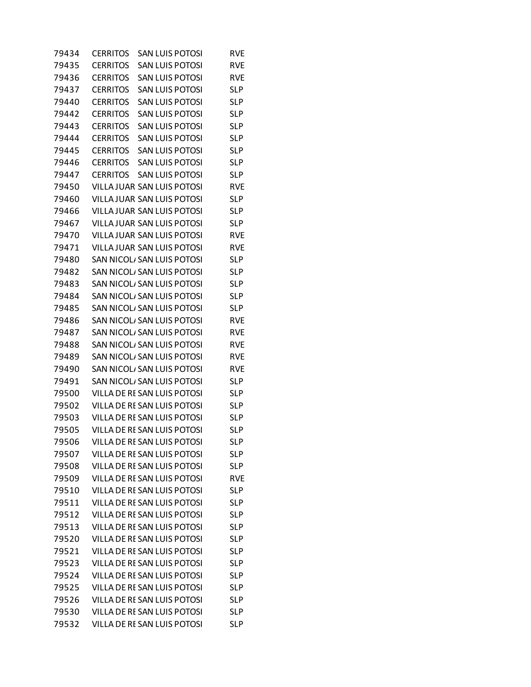| 79434 | CERRITOS        | <b>SAN LUIS POTOSI</b>             | RVE        |
|-------|-----------------|------------------------------------|------------|
| 79435 | <b>CERRITOS</b> | <b>SAN LUIS POTOSI</b>             | <b>RVE</b> |
| 79436 | <b>CERRITOS</b> | <b>SAN LUIS POTOSI</b>             | RVE        |
| 79437 | <b>CERRITOS</b> | <b>SAN LUIS POTOSI</b>             | <b>SLP</b> |
| 79440 | <b>CERRITOS</b> | <b>SAN LUIS POTOSI</b>             | <b>SLP</b> |
| 79442 | <b>CERRITOS</b> | <b>SAN LUIS POTOSI</b>             | <b>SLP</b> |
| 79443 | <b>CERRITOS</b> | <b>SAN LUIS POTOSI</b>             | <b>SLP</b> |
| 79444 | <b>CERRITOS</b> | <b>SAN LUIS POTOSI</b>             | <b>SLP</b> |
| 79445 | <b>CERRITOS</b> | <b>SAN LUIS POTOSI</b>             | <b>SLP</b> |
| 79446 | <b>CERRITOS</b> | <b>SAN LUIS POTOSI</b>             | <b>SLP</b> |
| 79447 | <b>CERRITOS</b> | <b>SAN LUIS POTOSI</b>             | <b>SLP</b> |
| 79450 |                 | VILLA JUAR SAN LUIS POTOSI         | RVE        |
| 79460 |                 | VILLA JUAR SAN LUIS POTOSI         | <b>SLP</b> |
| 79466 |                 | VILLA JUAR SAN LUIS POTOSI         | <b>SLP</b> |
| 79467 |                 | VILLA JUAR SAN LUIS POTOSI         | <b>SLP</b> |
| 79470 |                 | VILLA JUAR SAN LUIS POTOSI         | <b>RVE</b> |
| 79471 |                 | VILLA JUAR SAN LUIS POTOSI         | <b>RVE</b> |
| 79480 |                 | SAN NICOL/ SAN LUIS POTOSI         | <b>SLP</b> |
| 79482 |                 | SAN NICOL, SAN LUIS POTOSI         | <b>SLP</b> |
| 79483 |                 | SAN NICOL, SAN LUIS POTOSI         | <b>SLP</b> |
| 79484 |                 | SAN NICOL/ SAN LUIS POTOSI         | <b>SLP</b> |
| 79485 |                 | SAN NICOL, SAN LUIS POTOSI         | <b>SLP</b> |
| 79486 |                 | SAN NICOL/ SAN LUIS POTOSI         | <b>RVE</b> |
| 79487 |                 | SAN NICOL/ SAN LUIS POTOSI         | <b>RVE</b> |
| 79488 |                 | SAN NICOL/ SAN LUIS POTOSI         | RVE        |
| 79489 |                 | SAN NICOL, SAN LUIS POTOSI         | RVE        |
| 79490 |                 | SAN NICOL/ SAN LUIS POTOSI         | <b>RVE</b> |
| 79491 |                 | SAN NICOL, SAN LUIS POTOSI         | <b>SLP</b> |
| 79500 |                 | VILLA DE RE SAN LUIS POTOSI        | <b>SLP</b> |
| 79502 |                 | VILLA DE RE SAN LUIS POTOSI        | <b>SLP</b> |
| 79503 |                 | VILLA DE RE SAN LUIS POTOSI        | <b>SLP</b> |
| 79505 |                 | VILLA DE RE SAN LUIS POTOSI        | SL P       |
| 79506 |                 | VILLA DE RE SAN LUIS POTOSI        | <b>SLP</b> |
| 79507 |                 | VILLA DE RE SAN LUIS POTOSI        | <b>SLP</b> |
| 79508 |                 | VILLA DE RE SAN LUIS POTOSI        | <b>SLP</b> |
| 79509 |                 | VILLA DE RE SAN LUIS POTOSI        | <b>RVE</b> |
| 79510 |                 | VILLA DE RE SAN LUIS POTOSI        | <b>SLP</b> |
| 79511 |                 | VILLA DE RE SAN LUIS POTOSI        | <b>SLP</b> |
| 79512 |                 | VILLA DE RE SAN LUIS POTOSI        | <b>SLP</b> |
| 79513 |                 | VILLA DE RE SAN LUIS POTOSI        | <b>SLP</b> |
| 79520 |                 | <b>VILLA DE RE SAN LUIS POTOSI</b> | <b>SLP</b> |
| 79521 |                 | VILLA DE RE SAN LUIS POTOSI        | <b>SLP</b> |
| 79523 |                 | VILLA DE RE SAN LUIS POTOSI        | <b>SLP</b> |
| 79524 |                 | VILLA DE RE SAN LUIS POTOSI        | <b>SLP</b> |
| 79525 |                 | VILLA DE RE SAN LUIS POTOSI        | <b>SLP</b> |
| 79526 |                 | VILLA DE RE SAN LUIS POTOSI        | <b>SLP</b> |
| 79530 |                 | VILLA DE RE SAN LUIS POTOSI        | <b>SLP</b> |
| 79532 |                 | VILLA DE RE SAN LUIS POTOSI        | <b>SLP</b> |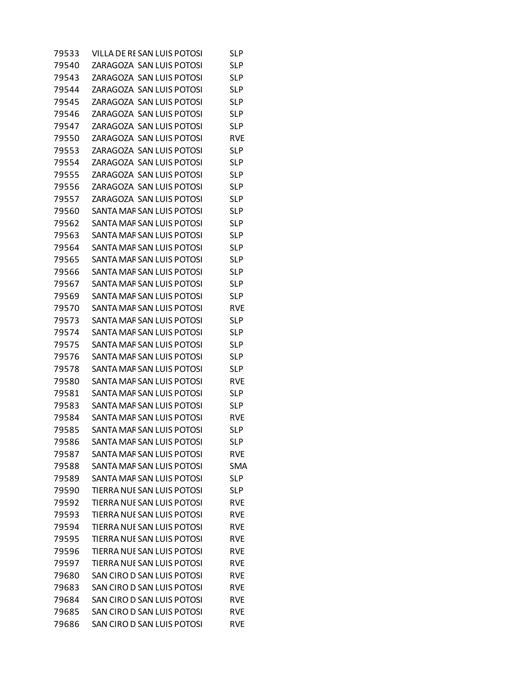| 79533 | VILLA DE RE SAN LUIS POTOSI       | SLP        |
|-------|-----------------------------------|------------|
| 79540 | ZARAGOZA SAN LUIS POTOSI          | <b>SLP</b> |
| 79543 | ZARAGOZA SAN LUIS POTOSI          | <b>SLP</b> |
| 79544 | ZARAGOZA SAN LUIS POTOSI          | <b>SLP</b> |
| 79545 | ZARAGOZA SAN LUIS POTOSI          | <b>SLP</b> |
| 79546 | ZARAGOZA SAN LUIS POTOSI          | <b>SLP</b> |
| 79547 | ZARAGOZA SAN LUIS POTOSI          | <b>SLP</b> |
| 79550 | ZARAGOZA SAN LUIS POTOSI          | RVE        |
| 79553 | ZARAGOZA SAN LUIS POTOSI          | <b>SLP</b> |
| 79554 | ZARAGOZA SAN LUIS POTOSI          | <b>SLP</b> |
| 79555 | ZARAGOZA SAN LUIS POTOSI          | <b>SLP</b> |
| 79556 | ZARAGOZA SAN LUIS POTOSI          | <b>SLP</b> |
| 79557 | ZARAGOZA SAN LUIS POTOSI          | <b>SLP</b> |
| 79560 | SANTA MAF SAN LUIS POTOSI         | SL P       |
| 79562 | SANTA MAF SAN LUIS POTOSI         | <b>SLP</b> |
| 79563 | SANTA MAF SAN LUIS POTOSI         | <b>SLP</b> |
| 79564 | SANTA MAF SAN LUIS POTOSI         | <b>SLP</b> |
| 79565 | SANTA MAF SAN LUIS POTOSI         | <b>SLP</b> |
| 79566 | SANTA MAF SAN LUIS POTOSI         | <b>SLP</b> |
| 79567 | SANTA MAF SAN LUIS POTOSI         | <b>SLP</b> |
| 79569 | SANTA MAF SAN LUIS POTOSI         | <b>SLP</b> |
| 79570 | SANTA MAF SAN LUIS POTOSI         | <b>RVE</b> |
| 79573 | SANTA MAF SAN LUIS POTOSI         | <b>SLP</b> |
| 79574 | SANTA MAF SAN LUIS POTOSI         | <b>SLP</b> |
| 79575 | SANTA MAF SAN LUIS POTOSI         | <b>SLP</b> |
| 79576 | SANTA MAF SAN LUIS POTOSI         | <b>SLP</b> |
| 79578 | SANTA MAF SAN LUIS POTOSI         | SL P       |
| 79580 | SANTA MAF SAN LUIS POTOSI         | RVE        |
| 79581 | SANTA MAF SAN LUIS POTOSI         | <b>SLP</b> |
| 79583 | SANTA MAF SAN LUIS POTOSI         | SL P       |
| 79584 | SANTA MAF SAN LUIS POTOSI         | RVE        |
| 79585 | SANTA MAF SAN LUIS POTOSI         | <b>SLP</b> |
| 79586 | SANTA MAF SAN LUIS POTOSI         | <b>SLP</b> |
| 79587 | SANTA MAF SAN LUIS POTOSI         | <b>RVE</b> |
| 79588 | SANTA MAF SAN LUIS POTOSI         | <b>SMA</b> |
| 79589 | SANTA MAF SAN LUIS POTOSI         | <b>SLP</b> |
| 79590 | <b>TIERRA NUE SAN LUIS POTOSI</b> | <b>SLP</b> |
| 79592 | <b>TIERRA NUE SAN LUIS POTOSI</b> | <b>RVE</b> |
| 79593 | TIERRA NUE SAN LUIS POTOSI        | <b>RVE</b> |
| 79594 | TIERRA NUE SAN LUIS POTOSI        | RVE        |
| 79595 | TIERRA NUE SAN LUIS POTOSI        | <b>RVE</b> |
| 79596 | TIERRA NUE SAN LUIS POTOSI        | <b>RVE</b> |
| 79597 | TIERRA NUE SAN LUIS POTOSI        | <b>RVE</b> |
| 79680 | SAN CIRO D SAN LUIS POTOSI        | <b>RVE</b> |
| 79683 | SAN CIRO D SAN LUIS POTOSI        | <b>RVE</b> |
| 79684 | SAN CIRO D SAN LUIS POTOSI        | RVE        |
| 79685 | SAN CIRO D SAN LUIS POTOSI        | <b>RVE</b> |
| 79686 | SAN CIRO D SAN LUIS POTOSI        | <b>RVE</b> |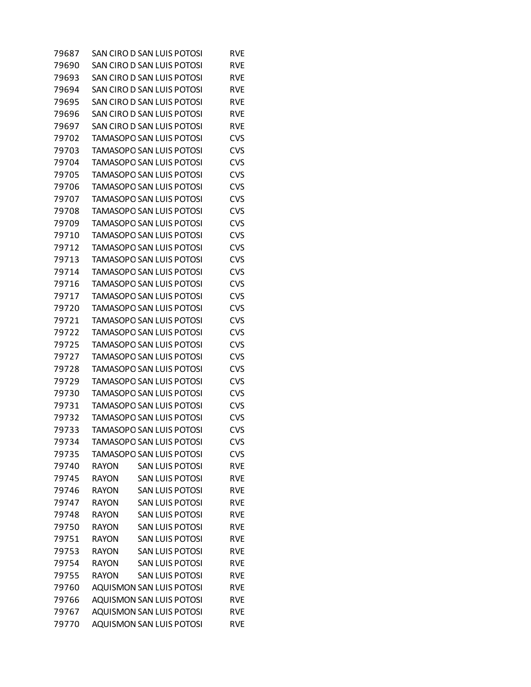| 79687 | SAN CIRO D SAN LUIS POTOSI             | RVE        |
|-------|----------------------------------------|------------|
| 79690 | SAN CIRO D SAN LUIS POTOSI             | <b>RVE</b> |
| 79693 | SAN CIRO D SAN LUIS POTOSI             | <b>RVE</b> |
| 79694 | SAN CIRO D SAN LUIS POTOSI             | <b>RVE</b> |
| 79695 | SAN CIRO D SAN LUIS POTOSI             | <b>RVE</b> |
| 79696 | SAN CIRO D SAN LUIS POTOSI             | <b>RVE</b> |
| 79697 | SAN CIRO D SAN LUIS POTOSI             | RVE        |
| 79702 | TAMASOPO SAN LUIS POTOSI               | <b>CVS</b> |
| 79703 | TAMASOPO SAN LUIS POTOSI               | <b>CVS</b> |
| 79704 | TAMASOPO SAN LUIS POTOSI               | <b>CVS</b> |
| 79705 | TAMASOPO SAN LUIS POTOSI               | <b>CVS</b> |
| 79706 | TAMASOPO SAN LUIS POTOSI               | <b>CVS</b> |
| 79707 | TAMASOPO SAN LUIS POTOSI               | CVS        |
| 79708 | TAMASOPO SAN LUIS POTOSI               | <b>CVS</b> |
| 79709 | TAMASOPO SAN LUIS POTOSI               | <b>CVS</b> |
| 79710 | TAMASOPO SAN LUIS POTOSI               | <b>CVS</b> |
| 79712 | TAMASOPO SAN LUIS POTOSI               | <b>CVS</b> |
| 79713 | TAMASOPO SAN LUIS POTOSI               | <b>CVS</b> |
| 79714 | TAMASOPO SAN LUIS POTOSI               | <b>CVS</b> |
| 79716 | TAMASOPO SAN LUIS POTOSI               | <b>CVS</b> |
| 79717 | TAMASOPO SAN LUIS POTOSI               | <b>CVS</b> |
| 79720 | TAMASOPO SAN LUIS POTOSI               | <b>CVS</b> |
| 79721 | TAMASOPO SAN LUIS POTOSI               | <b>CVS</b> |
| 79722 | TAMASOPO SAN LUIS POTOSI               | <b>CVS</b> |
| 79725 | TAMASOPO SAN LUIS POTOSI               | CVS        |
| 79727 | TAMASOPO SAN LUIS POTOSI               | <b>CVS</b> |
| 79728 | TAMASOPO SAN LUIS POTOSI               | <b>CVS</b> |
| 79729 | TAMASOPO SAN LUIS POTOSI               | <b>CVS</b> |
| 79730 | TAMASOPO SAN LUIS POTOSI               | <b>CVS</b> |
| 79731 | TAMASOPO SAN LUIS POTOSI               | <b>CVS</b> |
| 79732 | TAMASOPO SAN LUIS POTOSI               | <b>CVS</b> |
| 79733 | TAMASOPO SAN LUIS POTOSI               | <b>CVS</b> |
| 79734 | TAMASOPO SAN LUIS POTOSI               | <b>CVS</b> |
| 79735 | <b>TAMASOPO SAN LUIS POTOSI</b>        | <b>CVS</b> |
| 79740 | <b>SAN LUIS POTOSI</b><br><b>RAYON</b> | <b>RVE</b> |
| 79745 | <b>SAN LUIS POTOSI</b><br><b>RAYON</b> | <b>RVE</b> |
| 79746 | <b>SAN LUIS POTOSI</b><br><b>RAYON</b> | <b>RVE</b> |
| 79747 | <b>RAYON</b><br><b>SAN LUIS POTOSI</b> | <b>RVE</b> |
| 79748 | <b>RAYON</b><br><b>SAN LUIS POTOSI</b> | <b>RVE</b> |
| 79750 | <b>RAYON</b><br><b>SAN LUIS POTOSI</b> | <b>RVE</b> |
| 79751 | <b>SAN LUIS POTOSI</b><br><b>RAYON</b> | <b>RVE</b> |
| 79753 | <b>SAN LUIS POTOSI</b><br><b>RAYON</b> | <b>RVE</b> |
| 79754 | <b>RAYON</b><br><b>SAN LUIS POTOSI</b> | <b>RVE</b> |
| 79755 | <b>RAYON</b><br><b>SAN LUIS POTOSI</b> | <b>RVE</b> |
| 79760 | <b>AQUISMON SAN LUIS POTOSI</b>        | <b>RVE</b> |
| 79766 | <b>AQUISMON SAN LUIS POTOSI</b>        | <b>RVE</b> |
| 79767 | <b>AQUISMON SAN LUIS POTOSI</b>        | <b>RVE</b> |
| 79770 | <b>AQUISMON SAN LUIS POTOSI</b>        | <b>RVE</b> |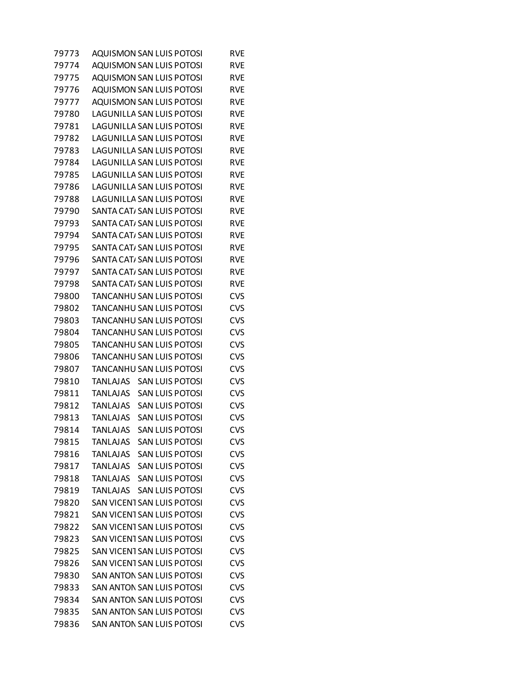| 79773 | <b>AQUISMON SAN LUIS POTOSI</b>           | <b>RVE</b> |
|-------|-------------------------------------------|------------|
| 79774 | <b>AQUISMON SAN LUIS POTOSI</b>           | <b>RVE</b> |
| 79775 | <b>AQUISMON SAN LUIS POTOSI</b>           | <b>RVE</b> |
| 79776 | <b>AQUISMON SAN LUIS POTOSI</b>           | <b>RVE</b> |
| 79777 | <b>AQUISMON SAN LUIS POTOSI</b>           | <b>RVE</b> |
| 79780 | <b>LAGUNILLA SAN LUIS POTOSI</b>          | <b>RVE</b> |
| 79781 | LAGUNILLA SAN LUIS POTOSI                 | <b>RVE</b> |
| 79782 | LAGUNILLA SAN LUIS POTOSI                 | <b>RVE</b> |
| 79783 | <b>LAGUNILLA SAN LUIS POTOSI</b>          | <b>RVE</b> |
| 79784 | LAGUNILLA SAN LUIS POTOSI                 | <b>RVE</b> |
| 79785 | <b>LAGUNILLA SAN LUIS POTOSI</b>          | <b>RVE</b> |
| 79786 | LAGUNILLA SAN LUIS POTOSI                 | <b>RVE</b> |
| 79788 | LAGUNILLA SAN LUIS POTOSI                 | <b>RVE</b> |
| 79790 | SANTA CAT, SAN LUIS POTOSI                | <b>RVE</b> |
| 79793 | SANTA CAT, SAN LUIS POTOSI                | <b>RVE</b> |
| 79794 | SANTA CAT, SAN LUIS POTOSI                | <b>RVE</b> |
| 79795 | SANTA CAT/SAN LUIS POTOSI                 | <b>RVE</b> |
| 79796 | SANTA CAT/ SAN LUIS POTOSI                | <b>RVE</b> |
| 79797 | SANTA CAT/SAN LUIS POTOSI                 | <b>RVE</b> |
| 79798 | SANTA CAT, SAN LUIS POTOSI                | <b>RVE</b> |
| 79800 | TANCANHU SAN LUIS POTOSI                  | <b>CVS</b> |
| 79802 | TANCANHU SAN LUIS POTOSI                  | <b>CVS</b> |
| 79803 | TANCANHU SAN LUIS POTOSI                  | <b>CVS</b> |
| 79804 | TANCANHU SAN LUIS POTOSI                  | <b>CVS</b> |
| 79805 | TANCANHU SAN LUIS POTOSI                  | <b>CVS</b> |
| 79806 | TANCANHU SAN LUIS POTOSI                  | <b>CVS</b> |
| 79807 | TANCANHU SAN LUIS POTOSI                  | <b>CVS</b> |
| 79810 | TANLAJAS<br><b>SAN LUIS POTOSI</b>        | <b>CVS</b> |
| 79811 | <b>TANLAJAS</b><br><b>SAN LUIS POTOSI</b> | <b>CVS</b> |
| 79812 | <b>TANLAJAS</b><br><b>SAN LUIS POTOSI</b> | <b>CVS</b> |
| 79813 | <b>TANLAJAS</b><br><b>SAN LUIS POTOSI</b> | <b>CVS</b> |
| 79814 | <b>TANLAJAS</b><br><b>SAN LUIS POTOSI</b> | <b>CVS</b> |
| 79815 | TANLAJAS<br><b>SAN LUIS POTOSI</b>        | <b>CVS</b> |
| 79816 | <b>TANLAJAS</b><br><b>SAN LUIS POTOSI</b> | <b>CVS</b> |
| 79817 | TANLAJAS<br><b>SAN LUIS POTOSI</b>        | <b>CVS</b> |
| 79818 | TANLAJAS<br><b>SAN LUIS POTOSI</b>        | <b>CVS</b> |
| 79819 | TANLAJAS<br><b>SAN LUIS POTOSI</b>        | <b>CVS</b> |
| 79820 | SAN VICENT SAN LUIS POTOSI                | <b>CVS</b> |
| 79821 | SAN VICENT SAN LUIS POTOSI                | <b>CVS</b> |
| 79822 | SAN VICENT SAN LUIS POTOSI                | <b>CVS</b> |
| 79823 | SAN VICENT SAN LUIS POTOSI                | <b>CVS</b> |
| 79825 | SAN VICENT SAN LUIS POTOSI                | <b>CVS</b> |
| 79826 | SAN VICENT SAN LUIS POTOSI                | <b>CVS</b> |
| 79830 | <b>SAN ANTON SAN LUIS POTOSI</b>          | <b>CVS</b> |
| 79833 | <b>SAN ANTON SAN LUIS POTOSI</b>          | <b>CVS</b> |
| 79834 | SAN ANTON SAN LUIS POTOSI                 | <b>CVS</b> |
| 79835 | <b>SAN ANTON SAN LUIS POTOSI</b>          | <b>CVS</b> |
| 79836 | SAN ANTON SAN LUIS POTOSI                 | <b>CVS</b> |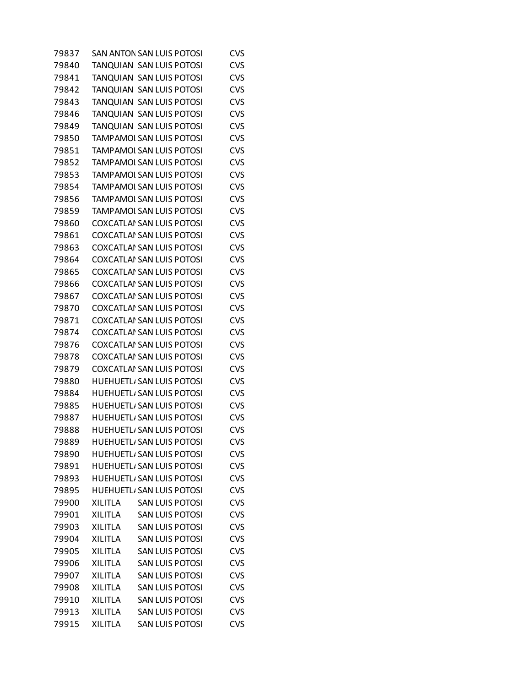| 79837 | SAN ANTON SAN LUIS POTOSI                | CVS        |
|-------|------------------------------------------|------------|
| 79840 | TANQUIAN SAN LUIS POTOSI                 | <b>CVS</b> |
| 79841 | TANQUIAN SAN LUIS POTOSI                 | <b>CVS</b> |
| 79842 | TANQUIAN SAN LUIS POTOSI                 | <b>CVS</b> |
| 79843 | TANQUIAN SAN LUIS POTOSI                 | <b>CVS</b> |
| 79846 | TANQUIAN SAN LUIS POTOSI                 | <b>CVS</b> |
| 79849 | TANQUIAN SAN LUIS POTOSI                 | <b>CVS</b> |
| 79850 | TAMPAMOI SAN LUIS POTOSI                 | <b>CVS</b> |
| 79851 | TAMPAMOI SAN LUIS POTOSI                 | <b>CVS</b> |
| 79852 | TAMPAMOI SAN LUIS POTOSI                 | <b>CVS</b> |
| 79853 | <b>TAMPAMOI SAN LUIS POTOSI</b>          | <b>CVS</b> |
| 79854 | TAMPAMOI SAN LUIS POTOSI                 | <b>CVS</b> |
| 79856 | TAMPAMOI SAN LUIS POTOSI                 | <b>CVS</b> |
| 79859 | TAMPAMOI SAN LUIS POTOSI                 | <b>CVS</b> |
| 79860 | <b>COXCATLAI SAN LUIS POTOSI</b>         | <b>CVS</b> |
| 79861 | <b>COXCATLAI SAN LUIS POTOSI</b>         | <b>CVS</b> |
| 79863 | <b>COXCATLAI SAN LUIS POTOSI</b>         | <b>CVS</b> |
| 79864 | <b>COXCATLAI SAN LUIS POTOSI</b>         | <b>CVS</b> |
| 79865 | <b>COXCATLAI SAN LUIS POTOSI</b>         | <b>CVS</b> |
| 79866 | <b>COXCATLAI SAN LUIS POTOSI</b>         | <b>CVS</b> |
| 79867 | <b>COXCATLAI SAN LUIS POTOSI</b>         | <b>CVS</b> |
| 79870 | COXCATLAI SAN LUIS POTOSI                | <b>CVS</b> |
| 79871 | <b>COXCATLAI SAN LUIS POTOSI</b>         | <b>CVS</b> |
| 79874 | <b>COXCATLAI SAN LUIS POTOSI</b>         | <b>CVS</b> |
| 79876 | COXCATLAI SAN LUIS POTOSI                | <b>CVS</b> |
| 79878 | <b>COXCATLAI SAN LUIS POTOSI</b>         | <b>CVS</b> |
| 79879 | <b>COXCATLAI SAN LUIS POTOSI</b>         | <b>CVS</b> |
| 79880 | HUEHUETLI SAN LUIS POTOSI                | <b>CVS</b> |
| 79884 | HUEHUETL/ SAN LUIS POTOSI                | <b>CVS</b> |
| 79885 | HUEHUETL/ SAN LUIS POTOSI                | <b>CVS</b> |
| 79887 | HUEHUETL, SAN LUIS POTOSI                | <b>CVS</b> |
| 79888 | HUEHUETL/ SAN LUIS POTOSI                | <b>CVS</b> |
| 79889 | <b>HUEHUETL, SAN LUIS POTOSI</b>         | <b>CVS</b> |
| 79890 | HUEHUETL/ SAN LUIS POTOSI                | <b>CVS</b> |
| 79891 | <b>HUEHUETLI SAN LUIS POTOSI</b>         | <b>CVS</b> |
| 79893 | HUEHUETL/ SAN LUIS POTOSI                | <b>CVS</b> |
| 79895 | HUEHUETL, SAN LUIS POTOSI                | <b>CVS</b> |
| 79900 | <b>XILITLA</b><br><b>SAN LUIS POTOSI</b> | <b>CVS</b> |
| 79901 | <b>SAN LUIS POTOSI</b><br><b>XILITLA</b> | <b>CVS</b> |
| 79903 | <b>XILITLA</b><br><b>SAN LUIS POTOSI</b> | <b>CVS</b> |
| 79904 | <b>XILITLA</b><br><b>SAN LUIS POTOSI</b> | <b>CVS</b> |
| 79905 | <b>XILITLA</b><br><b>SAN LUIS POTOSI</b> | <b>CVS</b> |
| 79906 | <b>XILITLA</b><br><b>SAN LUIS POTOSI</b> | <b>CVS</b> |
| 79907 | <b>XILITLA</b><br><b>SAN LUIS POTOSI</b> | <b>CVS</b> |
| 79908 | <b>XILITLA</b><br><b>SAN LUIS POTOSI</b> | <b>CVS</b> |
| 79910 | <b>XILITLA</b><br><b>SAN LUIS POTOSI</b> | <b>CVS</b> |
| 79913 | <b>XILITLA</b><br><b>SAN LUIS POTOSI</b> | <b>CVS</b> |
| 79915 | <b>SAN LUIS POTOSI</b><br><b>XILITLA</b> | <b>CVS</b> |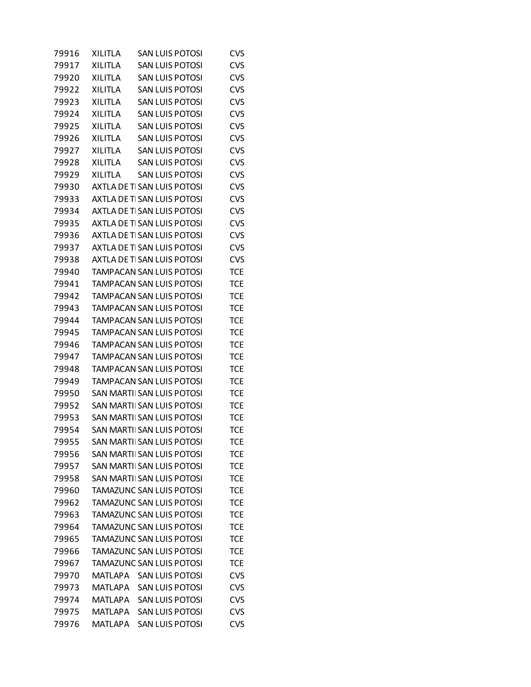| 79916 | <b>XILITLA</b> | SAN LUIS POTOSI                 | <b>CVS</b> |
|-------|----------------|---------------------------------|------------|
| 79917 | <b>XILITLA</b> | <b>SAN LUIS POTOSI</b>          | <b>CVS</b> |
| 79920 | <b>XILITLA</b> | <b>SAN LUIS POTOSI</b>          | <b>CVS</b> |
| 79922 | <b>XILITLA</b> | SAN LUIS POTOSI                 | <b>CVS</b> |
| 79923 | <b>XILITLA</b> | <b>SAN LUIS POTOSI</b>          | <b>CVS</b> |
| 79924 | <b>XILITLA</b> | <b>SAN LUIS POTOSI</b>          | <b>CVS</b> |
| 79925 | <b>XILITLA</b> | SAN LUIS POTOSI                 | <b>CVS</b> |
| 79926 | <b>XILITLA</b> | <b>SAN LUIS POTOSI</b>          | <b>CVS</b> |
| 79927 | <b>XILITLA</b> | <b>SAN LUIS POTOSI</b>          | <b>CVS</b> |
| 79928 | <b>XILITLA</b> | SAN LUIS POTOSI                 | <b>CVS</b> |
| 79929 | <b>XILITLA</b> | <b>SAN LUIS POTOSI</b>          | <b>CVS</b> |
| 79930 |                | AXTLA DE TI SAN LUIS POTOSI     | <b>CVS</b> |
| 79933 |                | AXTLA DE TI SAN LUIS POTOSI     | <b>CVS</b> |
| 79934 |                | AXTLA DE TI SAN LUIS POTOSI     | <b>CVS</b> |
| 79935 |                | AXTLA DE TI SAN LUIS POTOSI     | <b>CVS</b> |
| 79936 |                | AXTLA DE TI SAN LUIS POTOSI     | <b>CVS</b> |
| 79937 |                | AXTLA DE TI SAN LUIS POTOSI     | <b>CVS</b> |
| 79938 |                | AXTLA DE TI SAN LUIS POTOSI     | <b>CVS</b> |
| 79940 |                | TAMPACAN SAN LUIS POTOSI        | <b>TCE</b> |
| 79941 |                | TAMPACAN SAN LUIS POTOSI        | <b>TCE</b> |
| 79942 |                | TAMPACAN SAN LUIS POTOSI        | <b>TCE</b> |
| 79943 |                | TAMPACAN SAN LUIS POTOSI        | <b>TCE</b> |
| 79944 |                | TAMPACAN SAN LUIS POTOSI        | <b>TCE</b> |
| 79945 |                | TAMPACAN SAN LUIS POTOSI        | <b>TCE</b> |
| 79946 |                | TAMPACAN SAN LUIS POTOSI        | <b>TCE</b> |
| 79947 |                | TAMPACAN SAN LUIS POTOSI        | <b>TCE</b> |
| 79948 |                | TAMPACAN SAN LUIS POTOSI        | <b>TCE</b> |
| 79949 |                | TAMPACAN SAN LUIS POTOSI        | <b>TCE</b> |
| 79950 |                | SAN MARTII SAN LUIS POTOSI      | <b>TCE</b> |
| 79952 |                | SAN MARTI SAN LUIS POTOSI       | <b>TCE</b> |
| 79953 |                | SAN MARTI SAN LUIS POTOSI       | <b>TCE</b> |
| 79954 |                | SAN MARTI SAN LUIS POTOSI       | <b>TCE</b> |
| 79955 |                | SAN MARTII SAN LUIS POTOSI      | TCE        |
| 79956 |                | SAN MARTI SAN LUIS POTOSI       | <b>TCE</b> |
| 79957 |                | SAN MARTI SAN LUIS POTOSI       | <b>TCE</b> |
| 79958 |                | SAN MARTIL SAN LUIS POTOSI      | <b>TCE</b> |
| 79960 |                | TAMAZUNC SAN LUIS POTOSI        | <b>TCE</b> |
| 79962 |                | <b>TAMAZUNC SAN LUIS POTOSI</b> | <b>TCE</b> |
| 79963 |                | <b>TAMAZUNC SAN LUIS POTOSI</b> | <b>TCE</b> |
| 79964 |                | TAMAZUNC SAN LUIS POTOSI        | <b>TCE</b> |
| 79965 |                | <b>TAMAZUNC SAN LUIS POTOSI</b> | <b>TCE</b> |
| 79966 |                | <b>TAMAZUNC SAN LUIS POTOSI</b> | <b>TCE</b> |
| 79967 |                | TAMAZUNC SAN LUIS POTOSI        | <b>TCE</b> |
| 79970 | MATLAPA        | <b>SAN LUIS POTOSI</b>          | <b>CVS</b> |
| 79973 | MATLAPA        | <b>SAN LUIS POTOSI</b>          | <b>CVS</b> |
| 79974 | <b>MATLAPA</b> | <b>SAN LUIS POTOSI</b>          | <b>CVS</b> |
| 79975 | <b>MATLAPA</b> | <b>SAN LUIS POTOSI</b>          | <b>CVS</b> |
| 79976 | MATLAPA        | <b>SAN LUIS POTOSI</b>          | <b>CVS</b> |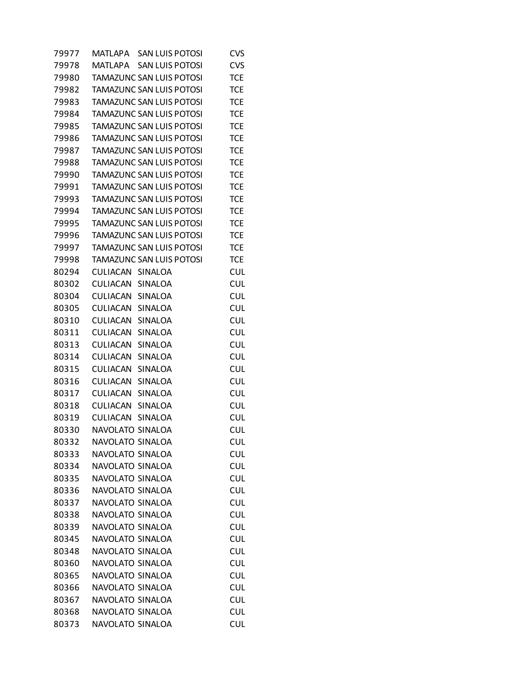| 79977 | <b>SAN LUIS POTOSI</b><br>MATLAPA  | <b>CVS</b> |
|-------|------------------------------------|------------|
| 79978 | <b>SAN LUIS POTOSI</b><br>MATI APA | <b>CVS</b> |
| 79980 | TAMAZUNC SAN LUIS POTOSI           | <b>TCE</b> |
| 79982 | TAMAZUNC SAN LUIS POTOSI           | <b>TCE</b> |
| 79983 | TAMAZUNC SAN LUIS POTOSI           | <b>TCE</b> |
| 79984 | TAMAZUNC SAN LUIS POTOSI           | <b>TCE</b> |
| 79985 | TAMAZUNC SAN LUIS POTOSI           | <b>TCE</b> |
| 79986 | TAMAZUNC SAN LUIS POTOSI           | <b>TCE</b> |
| 79987 | TAMAZUNC SAN LUIS POTOSI           | <b>TCE</b> |
| 79988 | TAMAZUNC SAN LUIS POTOSI           | <b>TCE</b> |
| 79990 | TAMAZUNC SAN LUIS POTOSI           | <b>TCE</b> |
| 79991 | TAMAZUNC SAN LUIS POTOSI           | <b>TCE</b> |
| 79993 | TAMAZUNC SAN LUIS POTOSI           | <b>TCE</b> |
| 79994 | TAMAZUNC SAN LUIS POTOSI           | <b>TCE</b> |
| 79995 | TAMAZUNC SAN LUIS POTOSI           | <b>TCE</b> |
| 79996 | TAMAZUNC SAN LUIS POTOSI           | <b>TCE</b> |
| 79997 | TAMAZUNC SAN LUIS POTOSI           | <b>TCE</b> |
| 79998 | TAMAZUNC SAN LUIS POTOSI           | <b>TCE</b> |
| 80294 | CULIACAN SINALOA                   | <b>CUL</b> |
| 80302 | CULIACAN<br><b>SINALOA</b>         | <b>CUL</b> |
| 80304 | CULIACAN<br>SINALOA                | <b>CUL</b> |
| 80305 | CULIACAN<br>SINALOA                | <b>CUL</b> |
| 80310 | CULIACAN<br>SINALOA                | <b>CUL</b> |
| 80311 | CULIACAN<br>SINALOA                | <b>CUL</b> |
| 80313 | CULIACAN<br>SINALOA                | <b>CUL</b> |
| 80314 | CULIACAN<br>SINALOA                | <b>CUL</b> |
| 80315 | CULIACAN<br>SINALOA                | <b>CUL</b> |
| 80316 | CULIACAN<br>SINALOA                | <b>CUL</b> |
| 80317 | CULIACAN<br>SINALOA                | <b>CUL</b> |
| 80318 | CULIACAN<br>SINALOA                | <b>CUL</b> |
| 80319 | CULIACAN<br>SINALOA                | <b>CUL</b> |
| 80330 | NAVOLATO SINALOA                   | <b>CUL</b> |
| 80332 | NAVOLATO SINALOA                   | <b>CUL</b> |
| 80333 | NAVOLATO SINALOA                   | <b>CUL</b> |
| 80334 | NAVOLATO SINALOA                   | <b>CUL</b> |
| 80335 | NAVOLATO SINALOA                   | <b>CUL</b> |
| 80336 | NAVOLATO SINALOA                   | <b>CUL</b> |
| 80337 | NAVOLATO SINALOA                   | <b>CUL</b> |
| 80338 | NAVOLATO SINALOA                   | <b>CUL</b> |
| 80339 | NAVOLATO SINALOA                   | <b>CUL</b> |
| 80345 | NAVOLATO SINALOA                   | <b>CUL</b> |
| 80348 | NAVOLATO SINALOA                   | <b>CUL</b> |
| 80360 | NAVOLATO SINALOA                   | <b>CUL</b> |
| 80365 | NAVOLATO SINALOA                   | <b>CUL</b> |
| 80366 | NAVOLATO SINALOA                   | <b>CUL</b> |
| 80367 | NAVOLATO SINALOA                   | <b>CUL</b> |
| 80368 | NAVOLATO SINALOA                   | <b>CUL</b> |
| 80373 | NAVOLATO SINALOA                   | <b>CUL</b> |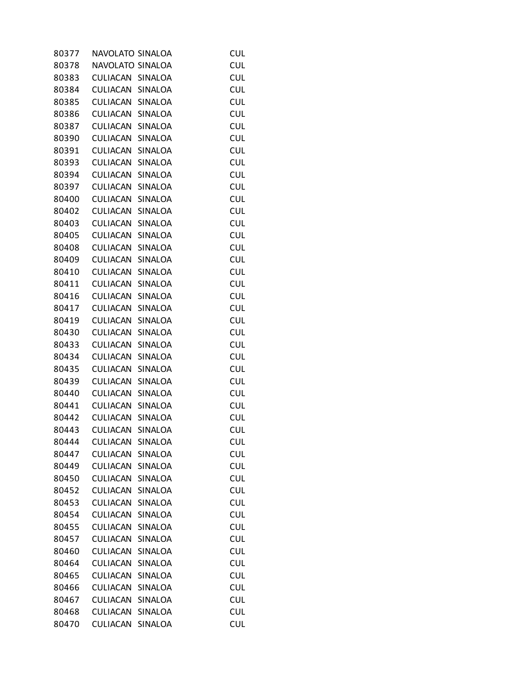| 80377 | NAVOLATO SINALOA |                | <b>CUL</b> |
|-------|------------------|----------------|------------|
| 80378 | NAVOLATO SINALOA |                | <b>CUL</b> |
| 80383 | CULIACAN         | SINALOA        | <b>CUL</b> |
| 80384 | CULIACAN SINALOA |                | <b>CUL</b> |
| 80385 | CULIACAN         | SINALOA        | <b>CUL</b> |
| 80386 | CULIACAN         | SINALOA        | <b>CUL</b> |
| 80387 | CULIACAN         | SINALOA        | <b>CUL</b> |
| 80390 | CULIACAN         | SINALOA        | <b>CUL</b> |
| 80391 | CULIACAN         | SINALOA        | <b>CUL</b> |
| 80393 | CULIACAN         | SINALOA        | <b>CUL</b> |
| 80394 | CULIACAN         | <b>SINALOA</b> | <b>CUL</b> |
| 80397 | CULIACAN         | SINALOA        | <b>CUL</b> |
| 80400 | CULIACAN         | SINALOA        | <b>CUL</b> |
| 80402 | CULIACAN         | SINALOA        | <b>CUL</b> |
| 80403 | CULIACAN         | SINALOA        | <b>CUL</b> |
| 80405 | CULIACAN         | SINALOA        | <b>CUL</b> |
| 80408 | CULIACAN         | SINALOA        | <b>CUL</b> |
| 80409 | CULIACAN         | SINALOA        | <b>CUL</b> |
| 80410 | CULIACAN         | SINALOA        | <b>CUL</b> |
| 80411 | CULIACAN         | SINALOA        | <b>CUL</b> |
| 80416 | CULIACAN         | SINALOA        | <b>CUL</b> |
| 80417 | CULIACAN         | SINALOA        | <b>CUL</b> |
| 80419 | CULIACAN         | SINALOA        | <b>CUL</b> |
| 80430 | CULIACAN         | SINALOA        | <b>CUL</b> |
| 80433 | CULIACAN         | SINALOA        | <b>CUL</b> |
| 80434 | CULIACAN         | SINALOA        | <b>CUL</b> |
| 80435 | CULIACAN         | SINALOA        | <b>CUL</b> |
| 80439 | CULIACAN         | SINALOA        | <b>CUL</b> |
| 80440 | CULIACAN         | SINALOA        | <b>CUL</b> |
| 80441 | CULIACAN         | SINALOA        | <b>CUL</b> |
| 80442 | CULIACAN         | SINALOA        | <b>CUL</b> |
| 80443 | CULIACAN         | <b>SINALOA</b> | <b>CUL</b> |
| 80444 | <b>CULIACAN</b>  | SINALOA        | <b>CUL</b> |
| 80447 | CULIACAN         | SINALOA        | <b>CUL</b> |
| 80449 | CULIACAN         | <b>SINALOA</b> | <b>CUL</b> |
| 80450 | CULIACAN         | SINALOA        | <b>CUL</b> |
| 80452 | CULIACAN         | SINALOA        | <b>CUL</b> |
| 80453 | CULIACAN         | SINALOA        | <b>CUL</b> |
| 80454 | CULIACAN         | SINALOA        | <b>CUL</b> |
| 80455 | CULIACAN         | SINALOA        | <b>CUL</b> |
| 80457 | <b>CULIACAN</b>  | SINALOA        | <b>CUL</b> |
| 80460 | CULIACAN         | SINALOA        | <b>CUL</b> |
| 80464 | CULIACAN         | SINALOA        | <b>CUL</b> |
| 80465 | CULIACAN         | SINALOA        | <b>CUL</b> |
| 80466 | CULIACAN         | SINALOA        | <b>CUL</b> |
| 80467 | CULIACAN         | SINALOA        | <b>CUL</b> |
| 80468 | CULIACAN         | SINALOA        | <b>CUL</b> |
| 80470 | CULIACAN         | SINALOA        | <b>CUL</b> |
|       |                  |                |            |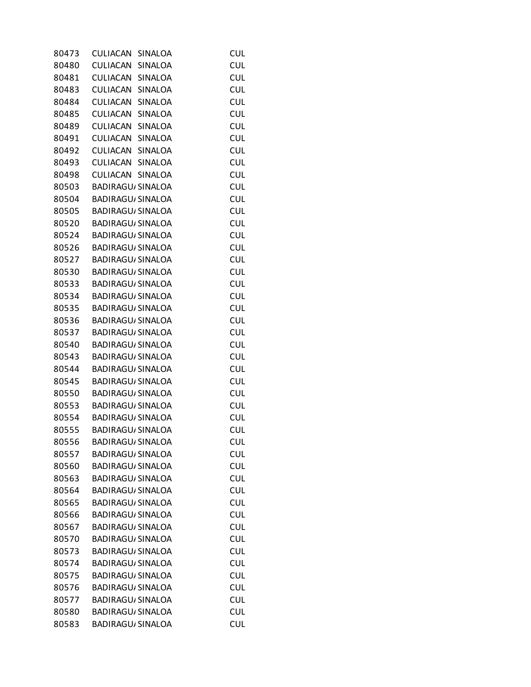| 80473 | CULIACAN                 | <b>SINALOA</b> | <b>CUL</b> |
|-------|--------------------------|----------------|------------|
| 80480 | CULIACAN SINALOA         |                | <b>CUL</b> |
| 80481 | CULIACAN SINALOA         |                | <b>CUL</b> |
| 80483 | CULIACAN SINALOA         |                | <b>CUL</b> |
| 80484 | CULIACAN SINALOA         |                | <b>CUL</b> |
| 80485 | CULIACAN                 | SINALOA        | <b>CUL</b> |
| 80489 | CULIACAN SINALOA         |                | <b>CUL</b> |
| 80491 | CULIACAN SINALOA         |                | <b>CUL</b> |
| 80492 | CULIACAN SINALOA         |                | <b>CUL</b> |
| 80493 | CULIACAN SINALOA         |                | <b>CUL</b> |
| 80498 | CULIACAN SINALOA         |                | <b>CUL</b> |
| 80503 | <b>BADIRAGU, SINALOA</b> |                | <b>CUL</b> |
| 80504 | BADIRAGU, SINALOA        |                | <b>CUL</b> |
| 80505 | <b>BADIRAGU, SINALOA</b> |                | <b>CUL</b> |
| 80520 | <b>BADIRAGU/SINALOA</b>  |                | <b>CUL</b> |
| 80524 | BADIRAGU, SINALOA        |                | <b>CUL</b> |
| 80526 | <b>BADIRAGU/SINALOA</b>  |                | <b>CUL</b> |
| 80527 | <b>BADIRAGU, SINALOA</b> |                | <b>CUL</b> |
| 80530 | <b>BADIRAGU, SINALOA</b> |                | <b>CUL</b> |
| 80533 | <b>BADIRAGU, SINALOA</b> |                | <b>CUL</b> |
| 80534 | BADIRAGU, SINALOA        |                | <b>CUL</b> |
| 80535 | BADIRAGU, SINALOA        |                | <b>CUL</b> |
| 80536 | <b>BADIRAGU/SINALOA</b>  |                | <b>CUL</b> |
| 80537 | <b>BADIRAGU, SINALOA</b> |                | <b>CUL</b> |
| 80540 | BADIRAGU, SINALOA        |                | <b>CUL</b> |
| 80543 | <b>BADIRAGU, SINALOA</b> |                | <b>CUL</b> |
| 80544 | <b>BADIRAGU, SINALOA</b> |                | <b>CUL</b> |
| 80545 | BADIRAGU, SINALOA        |                | <b>CUL</b> |
| 80550 | <b>BADIRAGU/SINALOA</b>  |                | <b>CUL</b> |
| 80553 | BADIRAGU, SINALOA        |                | <b>CUL</b> |
| 80554 | <b>BADIRAGU, SINALOA</b> |                | <b>CUL</b> |
| 80555 | <b>BADIRAGU/SINALOA</b>  |                | <b>CUL</b> |
| 80556 | <b>BADIRAGU, SINALOA</b> |                | <b>CUL</b> |
| 80557 | <b>BADIRAGU, SINALOA</b> |                | <b>CUL</b> |
| 80560 | <b>BADIRAGU, SINALOA</b> |                | <b>CUL</b> |
| 80563 | <b>BADIRAGU, SINALOA</b> |                | <b>CUL</b> |
| 80564 | <b>BADIRAGU, SINALOA</b> |                | <b>CUL</b> |
| 80565 | <b>BADIRAGU, SINALOA</b> |                | <b>CUL</b> |
| 80566 | <b>BADIRAGU, SINALOA</b> |                | <b>CUL</b> |
| 80567 | <b>BADIRAGU, SINALOA</b> |                | <b>CUL</b> |
| 80570 | <b>BADIRAGU, SINALOA</b> |                | <b>CUL</b> |
| 80573 | <b>BADIRAGU, SINALOA</b> |                | <b>CUL</b> |
| 80574 | <b>BADIRAGU, SINALOA</b> |                | <b>CUL</b> |
| 80575 | <b>BADIRAGU, SINALOA</b> |                | <b>CUL</b> |
| 80576 | <b>BADIRAGU, SINALOA</b> |                | <b>CUL</b> |
| 80577 | <b>BADIRAGU, SINALOA</b> |                | <b>CUL</b> |
| 80580 | <b>BADIRAGU, SINALOA</b> |                | <b>CUL</b> |
| 80583 | <b>BADIRAGU/ SINALOA</b> |                | <b>CUL</b> |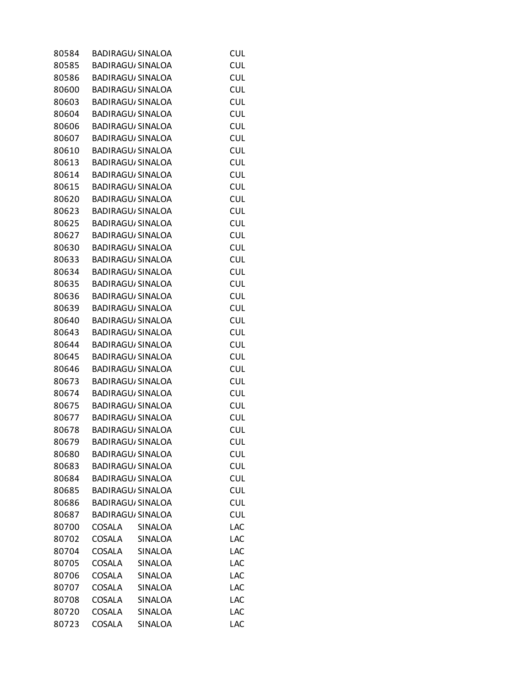| 80584 |        | <b>BADIRAGU, SINALOA</b> | <b>CUL</b> |
|-------|--------|--------------------------|------------|
| 80585 |        | <b>BADIRAGU, SINALOA</b> | <b>CUL</b> |
| 80586 |        | BADIRAGU, SINALOA        | <b>CUL</b> |
| 80600 |        | BADIRAGU, SINALOA        | <b>CUL</b> |
| 80603 |        | <b>BADIRAGU, SINALOA</b> | <b>CUL</b> |
| 80604 |        | BADIRAGU, SINALOA        | <b>CUL</b> |
| 80606 |        | BADIRAGU, SINALOA        | <b>CUL</b> |
| 80607 |        | <b>BADIRAGU, SINALOA</b> | <b>CUL</b> |
| 80610 |        | BADIRAGU, SINALOA        | <b>CUL</b> |
| 80613 |        | BADIRAGU, SINALOA        | <b>CUL</b> |
| 80614 |        | <b>BADIRAGU, SINALOA</b> | <b>CUL</b> |
| 80615 |        | BADIRAGU, SINALOA        | <b>CUL</b> |
| 80620 |        | BADIRAGU, SINALOA        | <b>CUL</b> |
| 80623 |        | <b>BADIRAGU, SINALOA</b> | <b>CUL</b> |
| 80625 |        | BADIRAGU, SINALOA        | <b>CUL</b> |
| 80627 |        | BADIRAGU, SINALOA        | <b>CUL</b> |
| 80630 |        | <b>BADIRAGU, SINALOA</b> | <b>CUL</b> |
| 80633 |        | BADIRAGU, SINALOA        | <b>CUL</b> |
| 80634 |        | BADIRAGU, SINALOA        | <b>CUL</b> |
| 80635 |        | <b>BADIRAGU, SINALOA</b> | <b>CUL</b> |
| 80636 |        | <b>BADIRAGU/SINALOA</b>  | <b>CUL</b> |
| 80639 |        | BADIRAGU, SINALOA        | <b>CUL</b> |
| 80640 |        | <b>BADIRAGU, SINALOA</b> | <b>CUL</b> |
| 80643 |        | BADIRAGU, SINALOA        | <b>CUL</b> |
| 80644 |        | BADIRAGU, SINALOA        | <b>CUL</b> |
| 80645 |        | <b>BADIRAGU, SINALOA</b> | <b>CUL</b> |
| 80646 |        | BADIRAGU, SINALOA        | <b>CUL</b> |
| 80673 |        | BADIRAGU, SINALOA        | <b>CUL</b> |
| 80674 |        | <b>BADIRAGU, SINALOA</b> | <b>CUL</b> |
| 80675 |        | BADIRAGU, SINALOA        | <b>CUL</b> |
| 80677 |        | BADIRAGU, SINALOA        | <b>CUL</b> |
| 80678 |        | <b>BADIRAGU/SINALOA</b>  | <b>CUL</b> |
| 80679 |        | <b>BADIRAGU, SINALOA</b> | <b>CUL</b> |
| 80680 |        | <b>BADIRAGU, SINALOA</b> | <b>CUL</b> |
| 80683 |        | <b>BADIRAGU, SINALOA</b> | <b>CUL</b> |
| 80684 |        | <b>BADIRAGU, SINALOA</b> | <b>CUL</b> |
| 80685 |        | <b>BADIRAGU, SINALOA</b> | <b>CUL</b> |
| 80686 |        | <b>BADIRAGU/ SINALOA</b> | <b>CUL</b> |
| 80687 |        | <b>BADIRAGU, SINALOA</b> | <b>CUL</b> |
| 80700 | COSALA | SINALOA                  | LAC        |
| 80702 | COSALA | <b>SINALOA</b>           | LAC        |
| 80704 | COSALA | SINALOA                  | LAC        |
| 80705 | COSALA | SINALOA                  | LAC        |
| 80706 | COSALA | <b>SINALOA</b>           | LAC        |
| 80707 | COSALA | SINALOA                  | LAC        |
| 80708 | COSALA | SINALOA                  | LAC        |
| 80720 | COSALA | SINALOA                  | LAC        |
| 80723 | COSALA | SINALOA                  | LAC        |
|       |        |                          |            |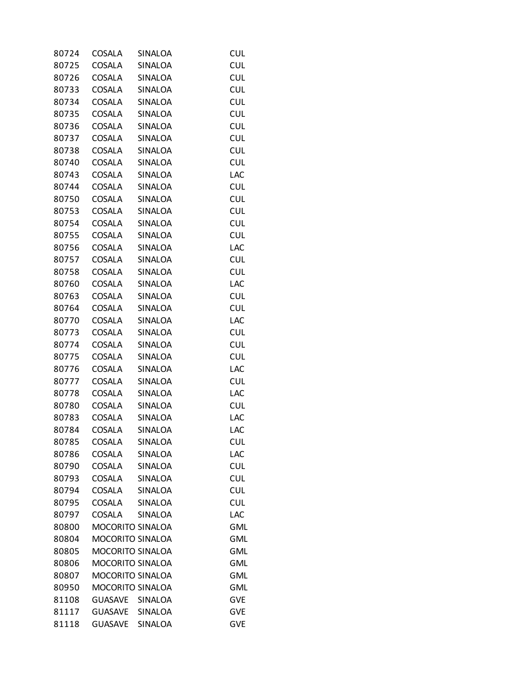| 80724 | COSALA                  | SINALOA        | <b>CUL</b>               |
|-------|-------------------------|----------------|--------------------------|
| 80725 | <b>COSALA</b>           | SINALOA        | <b>CUL</b>               |
| 80726 | COSALA                  | SINALOA        | <b>CUL</b>               |
| 80733 | COSALA                  | SINALOA        | <b>CUL</b>               |
| 80734 | COSALA                  | SINALOA        | <b>CUL</b>               |
| 80735 | <b>COSALA</b>           | SINALOA        | <b>CUL</b>               |
| 80736 | COSALA                  | SINALOA        | <b>CUL</b>               |
| 80737 | <b>COSALA</b>           | SINALOA        | <b>CUL</b>               |
| 80738 | COSALA                  | SINALOA        | <b>CUL</b>               |
| 80740 | COSALA                  | SINALOA        | <b>CUL</b>               |
| 80743 | COSALA                  | SINALOA        | LAC                      |
| 80744 | <b>COSALA</b>           | SINALOA        | <b>CUL</b>               |
| 80750 | COSALA                  | SINALOA        | <b>CUL</b>               |
| 80753 | COSALA                  | SINALOA        | <b>CUL</b>               |
| 80754 | <b>COSALA</b>           | <b>SINALOA</b> | <b>CUL</b>               |
| 80755 | COSALA                  | SINALOA        | <b>CUL</b>               |
| 80756 | COSALA                  | SINALOA        | LAC                      |
|       | <b>COSALA</b>           | SINALOA        |                          |
| 80757 |                         |                | <b>CUL</b><br><b>CUL</b> |
| 80758 | COSALA                  | SINALOA        |                          |
| 80760 | <b>COSALA</b>           | SINALOA        | LAC                      |
| 80763 | <b>COSALA</b>           | SINALOA        | <b>CUL</b>               |
| 80764 | COSALA                  | SINALOA        | <b>CUL</b>               |
| 80770 | COSALA                  | SINALOA        | LAC                      |
| 80773 | COSALA                  | SINALOA        | <b>CUL</b>               |
| 80774 | COSALA                  | SINALOA        | <b>CUL</b>               |
| 80775 | COSALA                  | SINALOA        | <b>CUL</b>               |
| 80776 | COSALA                  | SINALOA        | LAC                      |
| 80777 | COSALA                  | SINALOA        | <b>CUL</b>               |
| 80778 | COSALA                  | SINALOA        | LAC                      |
| 80780 | COSALA                  | SINALOA        | <b>CUL</b>               |
| 80783 | <b>COSALA</b>           | SINALOA        | LAC                      |
| 80784 | <b>COSALA</b>           | SINALOA        | LAC                      |
| 80785 | COSALA                  | SINALOA        | <b>CUL</b>               |
| 80786 | COSALA                  | SINALOA        | LAC                      |
| 80790 | COSALA                  | SINALOA        | <b>CUL</b>               |
| 80793 | COSALA                  | <b>SINALOA</b> | <b>CUL</b>               |
| 80794 | <b>COSALA</b>           | SINALOA        | <b>CUL</b>               |
| 80795 | <b>COSALA</b>           | SINALOA        | <b>CUL</b>               |
| 80797 | COSALA                  | SINALOA        | <b>LAC</b>               |
| 80800 | <b>MOCORITO SINALOA</b> |                | <b>GML</b>               |
| 80804 | MOCORITO SINALOA        |                | <b>GML</b>               |
| 80805 | MOCORITO SINALOA        |                | <b>GML</b>               |
| 80806 | MOCORITO SINALOA        |                | <b>GML</b>               |
| 80807 | MOCORITO SINALOA        |                | <b>GML</b>               |
| 80950 | MOCORITO SINALOA        |                | <b>GML</b>               |
| 81108 | GUASAVE                 | SINALOA        | <b>GVE</b>               |
| 81117 | <b>GUASAVE</b>          | SINALOA        | <b>GVE</b>               |
| 81118 | GUASAVE SINALOA         |                | <b>GVE</b>               |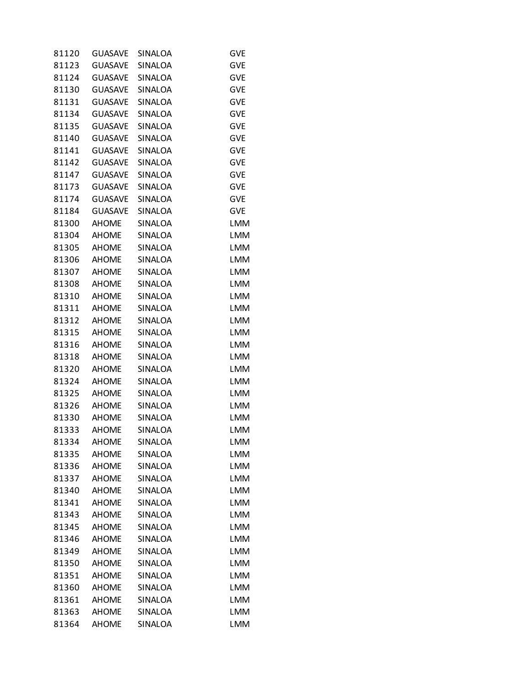| 81120 | <b>GUASAVE</b> | SINALOA        | GVE        |
|-------|----------------|----------------|------------|
| 81123 | <b>GUASAVE</b> | <b>SINALOA</b> | <b>GVE</b> |
| 81124 | GUASAVE        | SINALOA        | <b>GVE</b> |
| 81130 | <b>GUASAVE</b> | SINALOA        | <b>GVE</b> |
| 81131 | <b>GUASAVE</b> | <b>SINALOA</b> | <b>GVE</b> |
| 81134 | GUASAVE        | SINALOA        | <b>GVE</b> |
| 81135 | <b>GUASAVE</b> | SINALOA        | <b>GVE</b> |
| 81140 | <b>GUASAVE</b> | SINALOA        | <b>GVE</b> |
| 81141 | GUASAVE        | SINALOA        | <b>GVE</b> |
| 81142 | <b>GUASAVE</b> | SINALOA        | <b>GVE</b> |
| 81147 | <b>GUASAVE</b> | SINALOA        | <b>GVE</b> |
| 81173 | GUASAVE        | SINALOA        | <b>GVE</b> |
| 81174 | <b>GUASAVE</b> | SINALOA        | <b>GVE</b> |
| 81184 | <b>GUASAVE</b> | SINALOA        | <b>GVE</b> |
| 81300 | <b>AHOME</b>   | SINALOA        | LMM        |
| 81304 | <b>AHOME</b>   | SINALOA        | <b>LMM</b> |
| 81305 | <b>AHOME</b>   | SINALOA        | <b>LMM</b> |
| 81306 | <b>AHOME</b>   | SINALOA        | <b>LMM</b> |
| 81307 | <b>AHOME</b>   | SINALOA        | <b>LMM</b> |
| 81308 | <b>AHOME</b>   | SINALOA        | <b>LMM</b> |
| 81310 | <b>AHOME</b>   | SINALOA        | <b>LMM</b> |
| 81311 | <b>AHOME</b>   | SINALOA        | <b>LMM</b> |
| 81312 | <b>AHOME</b>   | SINALOA        | <b>LMM</b> |
| 81315 | <b>AHOME</b>   | SINALOA        | <b>LMM</b> |
| 81316 | <b>AHOME</b>   | SINALOA        | <b>LMM</b> |
| 81318 | <b>AHOME</b>   | SINALOA        | <b>LMM</b> |
| 81320 | <b>AHOME</b>   | SINALOA        | <b>LMM</b> |
| 81324 | <b>AHOME</b>   | SINALOA        | <b>LMM</b> |
| 81325 | <b>AHOME</b>   | SINALOA        | <b>LMM</b> |
| 81326 | <b>AHOME</b>   | SINALOA        | <b>LMM</b> |
| 81330 | <b>AHOME</b>   | SINALOA        | <b>LMM</b> |
| 81333 | <b>AHOME</b>   | SINALOA        | <b>LMM</b> |
| 81334 | <b>AHOME</b>   | SINALOA        | <b>LMM</b> |
| 81335 | <b>AHOME</b>   | SINALOA        | <b>LMM</b> |
| 81336 | <b>AHOME</b>   | SINALOA        | <b>LMM</b> |
| 81337 | <b>AHOME</b>   | SINALOA        | <b>LMM</b> |
| 81340 | <b>AHOME</b>   | SINALOA        | <b>LMM</b> |
| 81341 | <b>AHOME</b>   | SINALOA        | <b>LMM</b> |
| 81343 | <b>AHOME</b>   | SINALOA        | <b>LMM</b> |
| 81345 | <b>AHOME</b>   | SINALOA        | <b>LMM</b> |
| 81346 | <b>AHOME</b>   | SINALOA        | <b>LMM</b> |
| 81349 | <b>AHOME</b>   | SINALOA        | <b>LMM</b> |
| 81350 | <b>AHOME</b>   | SINALOA        | <b>LMM</b> |
| 81351 | <b>AHOME</b>   | SINALOA        | <b>LMM</b> |
| 81360 | <b>AHOME</b>   | SINALOA        | <b>LMM</b> |
| 81361 | <b>AHOME</b>   | SINALOA        | <b>LMM</b> |
| 81363 | <b>AHOME</b>   | SINALOA        | <b>LMM</b> |
| 81364 | <b>AHOME</b>   | SINALOA        | <b>LMM</b> |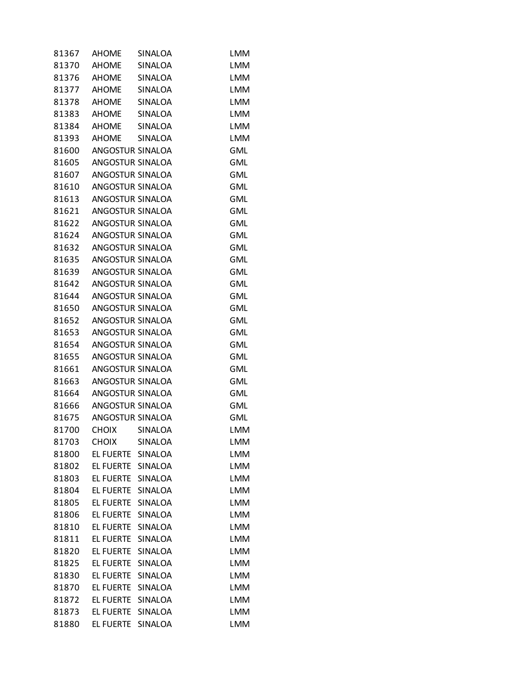| 81367 | <b>AHOME</b>      | <b>SINALOA</b> | <b>LMM</b> |
|-------|-------------------|----------------|------------|
| 81370 | <b>AHOME</b>      | <b>SINALOA</b> | <b>LMM</b> |
| 81376 | AHOME SINALOA     |                | <b>LMM</b> |
| 81377 | AHOME             | SINALOA        | <b>LMM</b> |
| 81378 | AHOME             | SINALOA        | <b>LMM</b> |
| 81383 | AHOME SINALOA     |                | <b>LMM</b> |
| 81384 | <b>AHOME</b>      | SINALOA        | <b>LMM</b> |
| 81393 | <b>AHOME</b>      | <b>SINALOA</b> | <b>LMM</b> |
| 81600 | ANGOSTUR SINALOA  |                | <b>GML</b> |
| 81605 | ANGOSTUR SINALOA  |                | <b>GML</b> |
| 81607 | ANGOSTUR SINALOA  |                | <b>GML</b> |
| 81610 | ANGOSTUR SINALOA  |                | <b>GML</b> |
| 81613 | ANGOSTUR SINALOA  |                | <b>GML</b> |
| 81621 | ANGOSTUR SINALOA  |                | <b>GML</b> |
| 81622 | ANGOSTUR SINALOA  |                | <b>GML</b> |
| 81624 | ANGOSTUR SINALOA  |                | <b>GML</b> |
| 81632 | ANGOSTUR SINALOA  |                | <b>GML</b> |
| 81635 | ANGOSTUR SINALOA  |                | <b>GML</b> |
| 81639 | ANGOSTUR SINALOA  |                | <b>GML</b> |
| 81642 | ANGOSTUR SINALOA  |                | <b>GML</b> |
| 81644 | ANGOSTUR SINALOA  |                | <b>GML</b> |
| 81650 | ANGOSTUR SINALOA  |                | <b>GML</b> |
| 81652 | ANGOSTUR SINALOA  |                | <b>GML</b> |
| 81653 | ANGOSTUR SINALOA  |                | <b>GML</b> |
| 81654 | ANGOSTUR SINALOA  |                | <b>GML</b> |
| 81655 | ANGOSTUR SINALOA  |                | <b>GML</b> |
| 81661 | ANGOSTUR SINALOA  |                | <b>GML</b> |
| 81663 | ANGOSTUR SINALOA  |                | <b>GML</b> |
| 81664 | ANGOSTUR SINALOA  |                | <b>GML</b> |
| 81666 | ANGOSTUR SINALOA  |                | <b>GML</b> |
| 81675 | ANGOSTUR SINALOA  |                | <b>GML</b> |
| 81700 | CHOIX             | SINALOA        | LMM        |
| 81703 | <b>CHOIX</b>      | SINALOA        | <b>LMM</b> |
| 81800 | EL FUERTE         | SINALOA        | <b>LMM</b> |
| 81802 | <b>EL FUERTE</b>  | SINALOA        | <b>LMM</b> |
| 81803 | EL FUERTE         | SINALOA        | <b>LMM</b> |
| 81804 | EL FUERTE SINALOA |                | <b>LMM</b> |
| 81805 | EL FUERTE         | SINALOA        | <b>LMM</b> |
| 81806 | EL FUERTE         | SINALOA        | <b>LMM</b> |
| 81810 | EL FUERTE         | SINALOA        | <b>LMM</b> |
| 81811 | EL FUERTE         | SINALOA        | <b>LMM</b> |
| 81820 | EL FUERTE         | SINALOA        | <b>LMM</b> |
| 81825 | EL FUERTE         | SINALOA        | <b>LMM</b> |
| 81830 | EL FUERTE         | SINALOA        | <b>LMM</b> |
| 81870 | EL FUERTE         | SINALOA        | <b>LMM</b> |
| 81872 | EL FUERTE         | SINALOA        | <b>LMM</b> |
| 81873 | EL FUERTE         | SINALOA        | <b>LMM</b> |
| 81880 | EL FUERTE         | SINALOA        | <b>LMM</b> |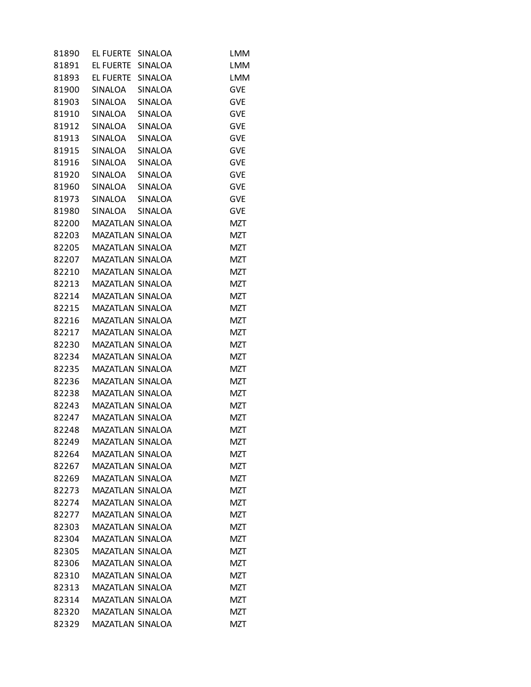| 81890 | EL FUERTE               | SINALOA | <b>LMM</b> |
|-------|-------------------------|---------|------------|
| 81891 | EL FUERTE               | SINALOA | <b>LMM</b> |
| 81893 | EL FUERTE               | SINALOA | <b>LMM</b> |
| 81900 | SINALOA                 | SINALOA | <b>GVE</b> |
| 81903 | SINALOA                 | SINALOA | <b>GVE</b> |
| 81910 | SINALOA                 | SINALOA | <b>GVE</b> |
| 81912 | SINALOA                 | SINALOA | <b>GVE</b> |
| 81913 | <b>SINALOA</b>          | SINALOA | <b>GVE</b> |
| 81915 | SINALOA                 | SINALOA | <b>GVE</b> |
| 81916 | SINALOA                 | SINALOA | <b>GVE</b> |
| 81920 | SINALOA                 | SINALOA | <b>GVE</b> |
| 81960 | SINALOA                 | SINALOA | <b>GVE</b> |
| 81973 | SINALOA                 | SINALOA | <b>GVE</b> |
| 81980 | SINALOA                 | SINALOA | <b>GVE</b> |
| 82200 | MAZATLAN SINALOA        |         | <b>MZT</b> |
| 82203 | <b>MAZATLAN SINALOA</b> |         | <b>MZT</b> |
| 82205 | MAZATLAN SINALOA        |         | <b>MZT</b> |
| 82207 | MAZATLAN SINALOA        |         | <b>MZT</b> |
| 82210 | MAZATLAN SINALOA        |         | <b>MZT</b> |
| 82213 | MAZATLAN SINALOA        |         | MZT        |
| 82214 | MAZATLAN SINALOA        |         | <b>MZT</b> |
| 82215 | MAZATLAN SINALOA        |         | <b>MZT</b> |
| 82216 | MAZATLAN SINALOA        |         | <b>MZT</b> |
| 82217 | MAZATLAN SINALOA        |         | <b>MZT</b> |
| 82230 | MAZATLAN SINALOA        |         | MZT        |
| 82234 | MAZATLAN SINALOA        |         | MZT        |
| 82235 | MAZATLAN SINALOA        |         | <b>MZT</b> |
| 82236 | MAZATLAN SINALOA        |         | MZT        |
| 82238 | MAZATLAN SINALOA        |         | <b>MZT</b> |
| 82243 | <b>MAZATLAN SINALOA</b> |         | <b>MZT</b> |
| 82247 | MAZATLAN SINALOA        |         | <b>MZT</b> |
| 82248 | MAZATLAN SINALOA        |         | <b>MZT</b> |
| 82249 | MAZATLAN SINALOA        |         | <b>MZT</b> |
| 82264 | <b>MAZATLAN SINALOA</b> |         | MZT        |
| 82267 | MAZATLAN SINALOA        |         | MZT        |
| 82269 | MAZATLAN SINALOA        |         | <b>MZT</b> |
| 82273 | MAZATLAN SINALOA        |         | <b>MZT</b> |
| 82274 | MAZATLAN SINALOA        |         | <b>MZT</b> |
| 82277 | MAZATLAN SINALOA        |         | <b>MZT</b> |
| 82303 | MAZATLAN SINALOA        |         | MZT        |
| 82304 | MAZATLAN SINALOA        |         | <b>MZT</b> |
| 82305 | MAZATLAN SINALOA        |         | <b>MZT</b> |
| 82306 | MAZATLAN SINALOA        |         | MZT        |
| 82310 | MAZATLAN SINALOA        |         | MZT        |
| 82313 | MAZATLAN SINALOA        |         | <b>MZT</b> |
| 82314 | MAZATLAN SINALOA        |         | MZT        |
| 82320 | MAZATLAN SINALOA        |         | MZT        |
| 82329 | MAZATLAN SINALOA        |         | <b>MZT</b> |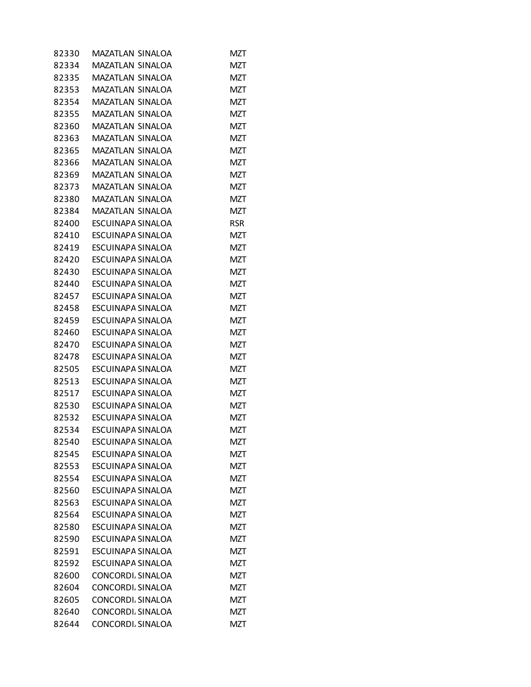| 82330 | MAZATLAN SINALOA         | MZT        |
|-------|--------------------------|------------|
| 82334 | MAZATLAN SINALOA         | MZT        |
| 82335 | MAZATLAN SINALOA         | <b>MZT</b> |
| 82353 | MAZATLAN SINALOA         | MZT        |
| 82354 | <b>MAZATLAN SINALOA</b>  | MZT        |
| 82355 | <b>MAZATLAN SINALOA</b>  | <b>MZT</b> |
| 82360 | MAZATLAN SINALOA         | MZT        |
| 82363 | MAZATLAN SINALOA         | MZT        |
| 82365 | <b>MAZATLAN SINALOA</b>  | <b>MZT</b> |
| 82366 | MAZATLAN SINALOA         | MZT        |
| 82369 | MAZATLAN SINALOA         | <b>MZT</b> |
| 82373 | MAZATLAN SINALOA         | <b>MZT</b> |
| 82380 | MAZATLAN SINALOA         | MZT        |
| 82384 | MAZATLAN SINALOA         | MZT        |
| 82400 | ESCUINAPA SINALOA        | <b>RSR</b> |
| 82410 | ESCUINAPA SINALOA        | MZT        |
| 82419 | ESCUINAPA SINALOA        | MZT        |
| 82420 | ESCUINAPA SINALOA        | <b>MZT</b> |
| 82430 | ESCUINAPA SINALOA        | MZT        |
| 82440 | ESCUINAPA SINALOA        | MZT        |
| 82457 | ESCUINAPA SINALOA        | <b>MZT</b> |
| 82458 | ESCUINAPA SINALOA        | MZT        |
| 82459 | ESCUINAPA SINALOA        | MZT        |
| 82460 | ESCUINAPA SINALOA        | <b>MZT</b> |
| 82470 | ESCUINAPA SINALOA        | MZT        |
| 82478 | ESCUINAPA SINALOA        | MZT        |
| 82505 | ESCUINAPA SINALOA        | <b>MZT</b> |
| 82513 | ESCUINAPA SINALOA        | MZT        |
| 82517 | ESCUINAPA SINALOA        | MZT        |
| 82530 | ESCUINAPA SINALOA        | <b>MZT</b> |
| 82532 | ESCUINAPA SINALOA        | MZT        |
| 82534 | <b>ESCUINAPA SINALOA</b> | MZT        |
| 82540 | ESCUINAPA SINALOA        | <b>MZT</b> |
| 82545 | ESCUINAPA SINALOA        | <b>MZT</b> |
| 82553 | ESCUINAPA SINALOA        | MZT        |
| 82554 | ESCUINAPA SINALOA        | <b>MZT</b> |
| 82560 | ESCUINAPA SINALOA        | MZT        |
| 82563 | ESCUINAPA SINALOA        | MZT        |
| 82564 | <b>ESCUINAPA SINALOA</b> | <b>MZT</b> |
| 82580 | ESCUINAPA SINALOA        | MZT        |
| 82590 | ESCUINAPA SINALOA        | MZT        |
| 82591 | <b>ESCUINAPA SINALOA</b> | <b>MZT</b> |
| 82592 | ESCUINAPA SINALOA        | MZT        |
| 82600 | CONCORDI SINALOA         | MZT        |
| 82604 | CONCORDI SINALOA         | <b>MZT</b> |
| 82605 | CONCORDI SINALOA         | MZT        |
| 82640 | CONCORDI SINALOA         | MZT        |
| 82644 | CONCORDI SINALOA         | <b>MZT</b> |
|       |                          |            |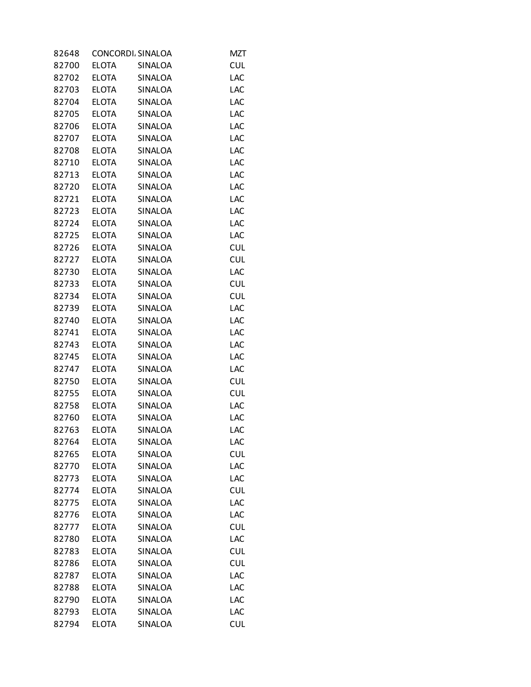| 82648 |              | CONCORDI. SINALOA | <b>MZT</b> |
|-------|--------------|-------------------|------------|
| 82700 | <b>ELOTA</b> | <b>SINALOA</b>    | <b>CUL</b> |
| 82702 | <b>ELOTA</b> | SINALOA           | LAC        |
| 82703 | <b>ELOTA</b> | SINALOA           | LAC        |
| 82704 | <b>ELOTA</b> | <b>SINALOA</b>    | LAC        |
| 82705 | <b>ELOTA</b> | SINALOA           | LAC        |
| 82706 | <b>ELOTA</b> | SINALOA           | LAC        |
| 82707 | <b>ELOTA</b> | <b>SINALOA</b>    | LAC        |
| 82708 | <b>ELOTA</b> | SINALOA           | LAC        |
| 82710 | <b>ELOTA</b> | SINALOA           | LAC        |
| 82713 | <b>ELOTA</b> | SINALOA           | LAC        |
| 82720 | <b>ELOTA</b> | SINALOA           | LAC        |
| 82721 | <b>ELOTA</b> | SINALOA           | LAC        |
| 82723 | <b>ELOTA</b> | SINALOA           | LAC        |
| 82724 | <b>ELOTA</b> | SINALOA           | LAC        |
| 82725 | <b>ELOTA</b> | SINALOA           | LAC        |
| 82726 | <b>ELOTA</b> | <b>SINALOA</b>    | <b>CUL</b> |
| 82727 | <b>ELOTA</b> | SINALOA           | <b>CUL</b> |
| 82730 | <b>ELOTA</b> | SINALOA           | LAC        |
| 82733 | <b>ELOTA</b> | SINALOA           | <b>CUL</b> |
| 82734 | <b>ELOTA</b> | SINALOA           | <b>CUL</b> |
| 82739 | <b>ELOTA</b> | SINALOA           | LAC        |
| 82740 | <b>ELOTA</b> | SINALOA           | LAC        |
| 82741 | <b>ELOTA</b> | SINALOA           | LAC        |
| 82743 | <b>ELOTA</b> | SINALOA           | LAC        |
| 82745 | <b>ELOTA</b> | SINALOA           | LAC        |
| 82747 | <b>ELOTA</b> | SINALOA           | LAC        |
| 82750 | <b>ELOTA</b> | SINALOA           | <b>CUL</b> |
| 82755 | <b>ELOTA</b> | <b>SINALOA</b>    | <b>CUL</b> |
| 82758 | <b>ELOTA</b> | SINALOA           | LAC        |
| 82760 | <b>ELOTA</b> | SINALOA           | LAC        |
| 82763 | <b>ELOTA</b> | SINALOA           | LAC        |
| 82764 | <b>ELOTA</b> | <b>SINALOA</b>    | LAC        |
| 82765 | <b>ELOTA</b> | SINALOA           | <b>CUL</b> |
| 82770 | <b>ELOTA</b> | SINALOA           | LAC        |
| 82773 | <b>ELOTA</b> | SINALOA           | LAC        |
| 82774 | <b>ELOTA</b> | SINALOA           | <b>CUL</b> |
| 82775 | <b>ELOTA</b> | SINALOA           | LAC        |
| 82776 | <b>ELOTA</b> | SINALOA           | LAC        |
| 82777 | <b>ELOTA</b> | SINALOA           | <b>CUL</b> |
| 82780 | <b>ELOTA</b> | SINALOA           | LAC        |
| 82783 | <b>ELOTA</b> | SINALOA           | <b>CUL</b> |
| 82786 | <b>ELOTA</b> | SINALOA           | <b>CUL</b> |
| 82787 | <b>ELOTA</b> | SINALOA           | LAC        |
| 82788 | <b>ELOTA</b> | SINALOA           | LAC        |
| 82790 | <b>ELOTA</b> | SINALOA           | LAC        |
| 82793 | <b>ELOTA</b> | SINALOA           | LAC        |
| 82794 | <b>ELOTA</b> | SINALOA           | <b>CUL</b> |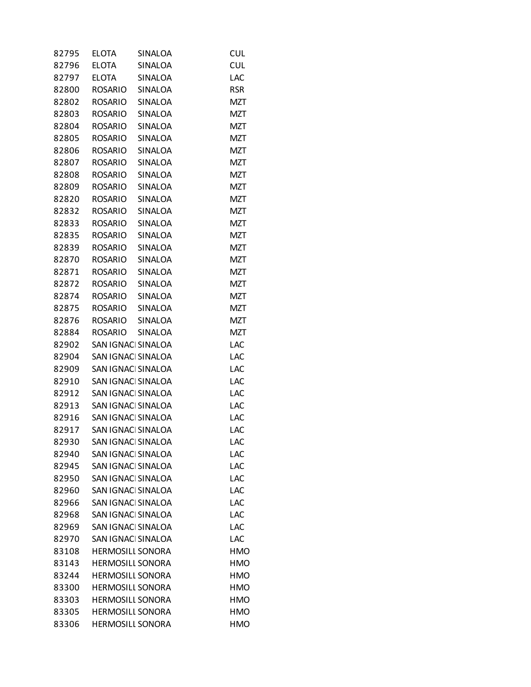| 82795 | <b>ELOTA</b>            | SINALOA            | <b>CUL</b> |
|-------|-------------------------|--------------------|------------|
| 82796 | <b>ELOTA</b>            | SINALOA            | <b>CUL</b> |
| 82797 | <b>ELOTA</b>            | <b>SINALOA</b>     | LAC        |
| 82800 | <b>ROSARIO</b>          | SINALOA            | <b>RSR</b> |
| 82802 | <b>ROSARIO</b>          | SINALOA            | MZT        |
| 82803 | <b>ROSARIO</b>          | SINALOA            | <b>MZT</b> |
| 82804 | ROSARIO                 | SINALOA            | <b>MZT</b> |
| 82805 | <b>ROSARIO</b>          | <b>SINALOA</b>     | <b>MZT</b> |
| 82806 | <b>ROSARIO</b>          | SINALOA            | <b>MZT</b> |
| 82807 | <b>ROSARIO</b>          | SINALOA            | <b>MZT</b> |
| 82808 | <b>ROSARIO</b>          | <b>SINALOA</b>     | <b>MZT</b> |
| 82809 | <b>ROSARIO</b>          | SINALOA            | <b>MZT</b> |
| 82820 | ROSARIO                 | SINALOA            | <b>MZT</b> |
| 82832 | <b>ROSARIO</b>          | SINALOA            | <b>MZT</b> |
| 82833 | <b>ROSARIO</b>          | SINALOA            | <b>MZT</b> |
| 82835 | ROSARIO                 | SINALOA            | <b>MZT</b> |
| 82839 | <b>ROSARIO</b>          | <b>SINALOA</b>     | <b>MZT</b> |
| 82870 | <b>ROSARIO</b>          | SINALOA            | <b>MZT</b> |
| 82871 | <b>ROSARIO</b>          | SINALOA            | <b>MZT</b> |
| 82872 | <b>ROSARIO</b>          | SINALOA            | <b>MZT</b> |
| 82874 | <b>ROSARIO</b>          | <b>SINALOA</b>     | <b>MZT</b> |
| 82875 | ROSARIO                 | SINALOA            | <b>MZT</b> |
| 82876 | <b>ROSARIO</b>          | SINALOA            | <b>MZT</b> |
| 82884 | <b>ROSARIO</b>          | SINALOA            | <b>MZT</b> |
| 82902 | SAN IGNACI SINALOA      |                    | LAC        |
| 82904 | SAN IGNACI SINALOA      |                    | LAC        |
| 82909 |                         | SAN IGNACI SINALOA | LAC        |
| 82910 | SAN IGNACI SINALOA      |                    | LAC        |
| 82912 | SAN IGNACI SINALOA      |                    | LAC        |
| 82913 | SAN IGNACI SINALOA      |                    | LAC        |
| 82916 | SAN IGNACI SINALOA      |                    | LAC        |
| 82917 | SAN IGNACI SINALOA      |                    | LAC        |
|       | SAN IGNACI SINALOA      |                    |            |
| 82930 | SAN IGNACI SINALOA      |                    | LAC<br>LAC |
| 82940 |                         |                    |            |
| 82945 | SAN IGNACI SINALOA      |                    | LAC        |
| 82950 | SAN IGNACI SINALOA      |                    | LAC        |
| 82960 | SAN IGNACI SINALOA      |                    | LAC        |
| 82966 | SAN IGNACI SINALOA      |                    | LAC        |
| 82968 | SAN IGNACI SINALOA      |                    | LAC        |
| 82969 | SAN IGNACI SINALOA      |                    | LAC        |
| 82970 | SAN IGNACI SINALOA      |                    | LAC        |
| 83108 | <b>HERMOSILL SONORA</b> |                    | HMO        |
| 83143 | <b>HERMOSILL SONORA</b> |                    | <b>HMO</b> |
| 83244 | <b>HERMOSILL SONORA</b> |                    | <b>HMO</b> |
| 83300 | <b>HERMOSILL SONORA</b> |                    | <b>HMO</b> |
| 83303 | <b>HERMOSILL SONORA</b> |                    | HMO        |
| 83305 | <b>HERMOSILL SONORA</b> |                    | <b>HMO</b> |
| 83306 | <b>HERMOSILL SONORA</b> |                    | <b>HMO</b> |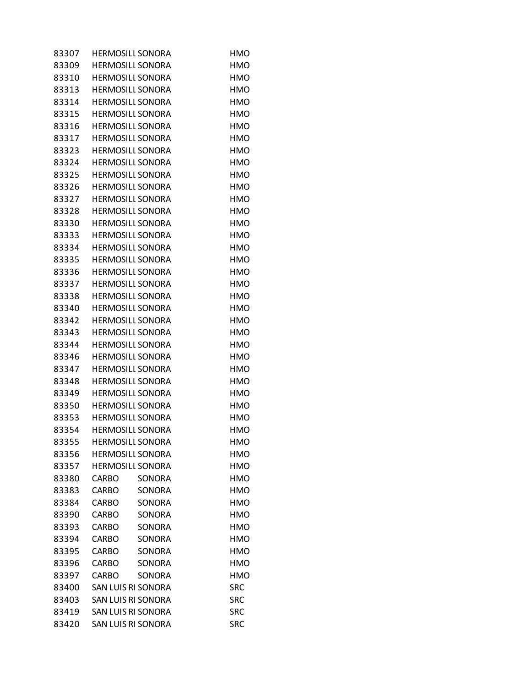| 83307 | <b>HERMOSILL SONORA</b> |               | HMO        |
|-------|-------------------------|---------------|------------|
| 83309 | <b>HERMOSILI SONORA</b> |               | HMO        |
| 83310 | <b>HERMOSILL SONORA</b> |               | <b>HMO</b> |
| 83313 | <b>HERMOSILL SONORA</b> |               | HMO        |
| 83314 | <b>HERMOSILI SONORA</b> |               | <b>HMO</b> |
| 83315 | <b>HERMOSILL SONORA</b> |               | <b>HMO</b> |
| 83316 | <b>HERMOSILL SONORA</b> |               | <b>HMO</b> |
| 83317 | <b>HERMOSILI SONORA</b> |               | <b>HMO</b> |
| 83323 | <b>HERMOSILI SONORA</b> |               | <b>HMO</b> |
| 83324 | <b>HERMOSILL SONORA</b> |               | <b>HMO</b> |
| 83325 | <b>HERMOSILL SONORA</b> |               | <b>HMO</b> |
| 83326 | <b>HERMOSILL SONORA</b> |               | <b>HMO</b> |
| 83327 | <b>HERMOSILL SONORA</b> |               | HMO        |
| 83328 | <b>HERMOSILL SONORA</b> |               | <b>HMO</b> |
| 83330 | <b>HERMOSILL SONORA</b> |               | <b>HMO</b> |
| 83333 | <b>HERMOSILL SONORA</b> |               | <b>HMO</b> |
| 83334 | <b>HERMOSILL SONORA</b> |               | <b>HMO</b> |
| 83335 | <b>HERMOSILL SONORA</b> |               | <b>HMO</b> |
| 83336 | <b>HERMOSILI SONORA</b> |               | HMO        |
| 83337 | <b>HERMOSILL SONORA</b> |               | <b>HMO</b> |
| 83338 | <b>HERMOSILI SONORA</b> |               | <b>HMO</b> |
| 83340 | <b>HERMOSILL SONORA</b> |               | HMO        |
| 83342 | <b>HERMOSILL SONORA</b> |               | <b>HMO</b> |
| 83343 | <b>HERMOSILL SONORA</b> |               | <b>HMO</b> |
| 83344 | <b>HERMOSILI SONORA</b> |               | HMO        |
| 83346 | <b>HERMOSILL SONORA</b> |               | <b>HMO</b> |
| 83347 | <b>HERMOSILL SONORA</b> |               | <b>HMO</b> |
| 83348 | <b>HERMOSILL SONORA</b> |               | HMO        |
| 83349 | <b>HERMOSILL SONORA</b> |               | <b>HMO</b> |
| 83350 | <b>HERMOSILI SONORA</b> |               | <b>HMO</b> |
| 83353 | <b>HERMOSILL SONORA</b> |               | HMO        |
| 83354 | <b>HERMOSILL SONORA</b> |               | <b>HMO</b> |
| 83355 | <b>HERMOSILL SONORA</b> |               | <b>HMO</b> |
| 83356 | <b>HERMOSILL SONORA</b> |               | <b>HMO</b> |
| 83357 | <b>HERMOSILL SONORA</b> |               | <b>HMO</b> |
| 83380 | <b>CARBO</b>            | <b>SONORA</b> | <b>HMO</b> |
| 83383 | CARBO                   | SONORA        | <b>HMO</b> |
| 83384 | <b>CARBO</b>            | <b>SONORA</b> | <b>HMO</b> |
| 83390 | CARBO                   | SONORA        | <b>HMO</b> |
| 83393 | CARBO                   | SONORA        | <b>HMO</b> |
| 83394 | <b>CARBO</b>            | <b>SONORA</b> | <b>HMO</b> |
| 83395 | <b>CARBO</b>            | SONORA        | <b>HMO</b> |
| 83396 | CARBO                   | SONORA        | <b>HMO</b> |
| 83397 | <b>CARBO</b>            | <b>SONORA</b> | <b>HMO</b> |
| 83400 | SAN LUIS RI SONORA      |               | <b>SRC</b> |
| 83403 | SAN LUIS RI SONORA      |               | <b>SRC</b> |
| 83419 | SAN LUIS RI SONORA      |               | <b>SRC</b> |
| 83420 | SAN LUIS RI SONORA      |               | <b>SRC</b> |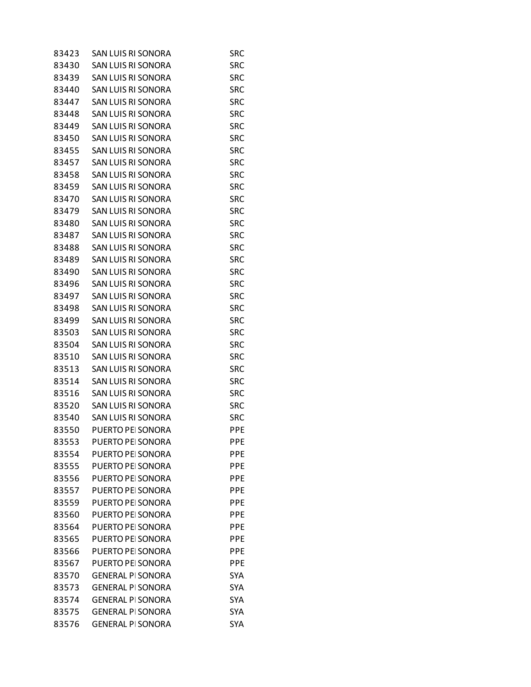| 83423 | SAN LUIS RI SONORA        | SRC        |
|-------|---------------------------|------------|
| 83430 | <b>SAN LUIS RI SONORA</b> | SRC        |
| 83439 | <b>SAN LUIS RI SONORA</b> | <b>SRC</b> |
| 83440 | SAN LUIS RI SONORA        | SRC        |
| 83447 | SAN LUIS RI SONORA        | <b>SRC</b> |
| 83448 | SAN LUIS RI SONORA        | <b>SRC</b> |
| 83449 | SAN LUIS RI SONORA        | SRC        |
| 83450 | SAN LUIS RI SONORA        | <b>SRC</b> |
| 83455 | SAN LUIS RI SONORA        | <b>SRC</b> |
| 83457 | SAN LUIS RI SONORA        | <b>SRC</b> |
| 83458 | SAN LUIS RI SONORA        | <b>SRC</b> |
| 83459 | SAN LUIS RI SONORA        | <b>SRC</b> |
| 83470 | SAN LUIS RI SONORA        | SRC        |
| 83479 | SAN LUIS RI SONORA        | <b>SRC</b> |
| 83480 | SAN LUIS RI SONORA        | <b>SRC</b> |
| 83487 | SAN LUIS RI SONORA        | SRC        |
| 83488 | SAN LUIS RI SONORA        | <b>SRC</b> |
| 83489 | SAN LUIS RI SONORA        | <b>SRC</b> |
| 83490 | SAN LUIS RI SONORA        | SRC        |
| 83496 | SAN LUIS RI SONORA        | <b>SRC</b> |
| 83497 | SAN LUIS RI SONORA        | <b>SRC</b> |
| 83498 | SAN LUIS RI SONORA        | SRC        |
| 83499 | SAN LUIS RI SONORA        | <b>SRC</b> |
| 83503 | SAN LUIS RI SONORA        | <b>SRC</b> |
| 83504 | SAN LUIS RI SONORA        | SRC        |
| 83510 | SAN LUIS RI SONORA        | <b>SRC</b> |
| 83513 | SAN LUIS RI SONORA        | <b>SRC</b> |
| 83514 | SAN LUIS RI SONORA        | SRC        |
| 83516 | SAN LUIS RI SONORA        | <b>SRC</b> |
| 83520 | SAN LUIS RI SONORA        | <b>SRC</b> |
| 83540 | SAN LUIS RI SONORA        | SRC        |
| 83550 | PUERTO PEI SONORA         | PPE        |
| 83553 | <b>PUERTO PEI SONORA</b>  | PPE        |
| 83554 | PUERTO PEI SONORA         | <b>PPE</b> |
| 83555 | PUERTO PEI SONORA         | <b>PPE</b> |
| 83556 | PUERTO PEI SONORA         | <b>PPE</b> |
| 83557 | PUERTO PEI SONORA         | <b>PPE</b> |
| 83559 | PUERTO PEI SONORA         | <b>PPE</b> |
| 83560 | PUERTO PEI SONORA         | <b>PPE</b> |
| 83564 | PUERTO PEI SONORA         | <b>PPE</b> |
| 83565 | PUERTO PEI SONORA         | PPE        |
| 83566 | PUERTO PEI SONORA         | <b>PPE</b> |
| 83567 | PUERTO PEI SONORA         | <b>PPE</b> |
| 83570 | <b>GENERAL PI SONORA</b>  | SYA        |
| 83573 | <b>GENERAL PI SONORA</b>  | <b>SYA</b> |
| 83574 | <b>GENERAL PI SONORA</b>  | SYA        |
| 83575 | <b>GENERAL PI SONORA</b>  | <b>SYA</b> |
| 83576 | <b>GENERAL PI SONORA</b>  | <b>SYA</b> |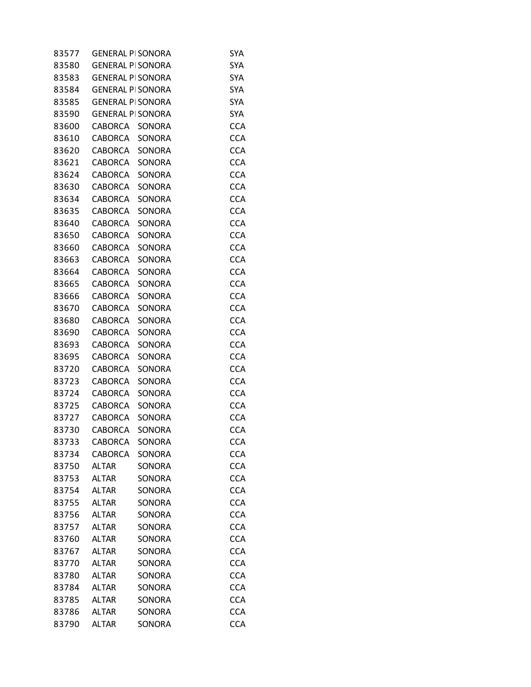| 83577 | <b>GENERAL PI SONORA</b> |               | SYA        |
|-------|--------------------------|---------------|------------|
| 83580 | <b>GENERAL PI SONORA</b> |               | <b>SYA</b> |
| 83583 | <b>GENERAL PI SONORA</b> |               | <b>SYA</b> |
| 83584 | <b>GENERAL PI SONORA</b> |               | <b>SYA</b> |
| 83585 | <b>GENERAL PI SONORA</b> |               | <b>SYA</b> |
| 83590 | <b>GENERAL PI SONORA</b> |               | <b>SYA</b> |
| 83600 | <b>CABORCA</b>           | SONORA        | <b>CCA</b> |
| 83610 | <b>CABORCA</b>           | <b>SONORA</b> | <b>CCA</b> |
| 83620 | <b>CABORCA</b>           | SONORA        | <b>CCA</b> |
| 83621 | <b>CABORCA</b>           | <b>SONORA</b> | <b>CCA</b> |
| 83624 | <b>CABORCA</b>           | SONORA        | <b>CCA</b> |
| 83630 | <b>CABORCA</b>           | SONORA        | <b>CCA</b> |
| 83634 | <b>CABORCA</b>           | SONORA        | <b>CCA</b> |
| 83635 | <b>CABORCA</b>           | SONORA        | <b>CCA</b> |
| 83640 | <b>CABORCA</b>           | SONORA        | <b>CCA</b> |
| 83650 | <b>CABORCA</b>           | SONORA        | <b>CCA</b> |
| 83660 | <b>CABORCA</b>           | SONORA        | <b>CCA</b> |
| 83663 | <b>CABORCA</b>           | SONORA        | <b>CCA</b> |
| 83664 | <b>CABORCA</b>           | SONORA        | <b>CCA</b> |
| 83665 | <b>CABORCA</b>           | SONORA        | <b>CCA</b> |
| 83666 | <b>CABORCA</b>           | SONORA        | <b>CCA</b> |
| 83670 | <b>CABORCA</b>           | SONORA        | <b>CCA</b> |
| 83680 | <b>CABORCA</b>           | SONORA        | <b>CCA</b> |
| 83690 | <b>CABORCA</b>           | SONORA        | <b>CCA</b> |
| 83693 | <b>CABORCA</b>           | SONORA        | <b>CCA</b> |
| 83695 | <b>CABORCA</b>           | SONORA        | <b>CCA</b> |
| 83720 | <b>CABORCA</b>           | SONORA        | <b>CCA</b> |
| 83723 | <b>CABORCA</b>           | SONORA        | <b>CCA</b> |
| 83724 | <b>CABORCA</b>           | SONORA        | <b>CCA</b> |
| 83725 | <b>CABORCA</b>           | SONORA        | <b>CCA</b> |
| 83727 | <b>CABORCA</b>           | SONORA        | <b>CCA</b> |
| 83730 | <b>CABORCA</b>           | SONORA        | <b>CCA</b> |
| 83733 | <b>CABORCA</b>           | SONORA        | <b>CCA</b> |
| 83734 | <b>CABORCA</b>           | SONORA        | <b>CCA</b> |
| 83750 | <b>ALTAR</b>             | SONORA        | <b>CCA</b> |
| 83753 | <b>ALTAR</b>             | SONORA        | <b>CCA</b> |
| 83754 | <b>ALTAR</b>             | SONORA        | <b>CCA</b> |
| 83755 | <b>ALTAR</b>             | SONORA        | <b>CCA</b> |
| 83756 | <b>ALTAR</b>             | SONORA        | <b>CCA</b> |
| 83757 | <b>ALTAR</b>             | SONORA        | <b>CCA</b> |
| 83760 | <b>ALTAR</b>             | SONORA        | <b>CCA</b> |
| 83767 | <b>ALTAR</b>             | SONORA        | <b>CCA</b> |
| 83770 | <b>ALTAR</b>             | SONORA        | <b>CCA</b> |
| 83780 | <b>ALTAR</b>             | SONORA        | <b>CCA</b> |
| 83784 | <b>ALTAR</b>             | SONORA        | <b>CCA</b> |
| 83785 | <b>ALTAR</b>             | SONORA        | <b>CCA</b> |
| 83786 | <b>ALTAR</b>             | SONORA        | <b>CCA</b> |
| 83790 | <b>ALTAR</b>             | SONORA        | <b>CCA</b> |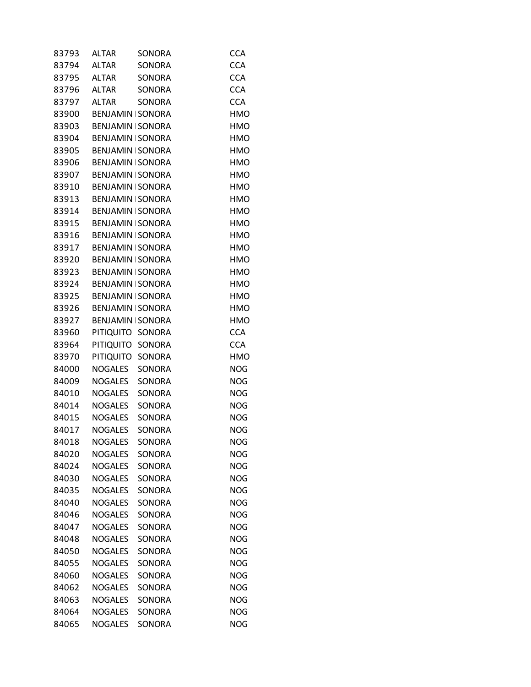| 83793 | <b>ALTAR</b>             | SONORA        | <b>CCA</b> |
|-------|--------------------------|---------------|------------|
| 83794 | <b>ALTAR</b>             | <b>SONORA</b> | <b>CCA</b> |
| 83795 | <b>ALTAR</b>             | SONORA        | <b>CCA</b> |
| 83796 | <b>ALTAR</b>             | SONORA        | <b>CCA</b> |
| 83797 | <b>ALTAR</b>             | SONORA        | <b>CCA</b> |
| 83900 | <b>BENJAMIN   SONORA</b> |               | <b>HMO</b> |
| 83903 | BENJAMIN   SONORA        |               | <b>HMO</b> |
| 83904 | <b>BENJAMIN   SONORA</b> |               | <b>HMO</b> |
| 83905 | BENJAMIN   SONORA        |               | <b>HMO</b> |
| 83906 | BENJAMIN   SONORA        |               | <b>HMO</b> |
| 83907 | BENJAMIN   SONORA        |               | <b>HMO</b> |
| 83910 | BENJAMIN   SONORA        |               | <b>HMO</b> |
| 83913 | BENJAMIN   SONORA        |               | HMO        |
| 83914 | BENJAMIN   SONORA        |               | <b>HMO</b> |
| 83915 | BENJAMIN   SONORA        |               | <b>HMO</b> |
| 83916 | BENJAMIN   SONORA        |               | <b>HMO</b> |
| 83917 | BENJAMIN   SONORA        |               | <b>HMO</b> |
| 83920 | BENJAMIN   SONORA        |               | <b>HMO</b> |
| 83923 | BENJAMIN   SONORA        |               | HMO        |
| 83924 | BENJAMIN   SONORA        |               | <b>HMO</b> |
| 83925 | BENJAMIN   SONORA        |               | <b>HMO</b> |
| 83926 | BENJAMIN   SONORA        |               | <b>HMO</b> |
| 83927 | BENJAMIN   SONORA        |               | <b>HMO</b> |
| 83960 | PITIQUITO                | SONORA        | <b>CCA</b> |
| 83964 | PITIQUITO SONORA         |               | <b>CCA</b> |
| 83970 | PITIQUITO                | SONORA        | <b>HMO</b> |
| 84000 | <b>NOGALES</b>           | SONORA        | <b>NOG</b> |
| 84009 | NOGALES                  | SONORA        | <b>NOG</b> |
| 84010 | NOGALES                  | SONORA        | <b>NOG</b> |
| 84014 | NOGALES                  | SONORA        | <b>NOG</b> |
| 84015 | NOGALES                  | SONORA        | <b>NOG</b> |
| 84017 | <b>NOGALES</b>           | <b>SONORA</b> | <b>NOG</b> |
| 84018 | <b>NOGALES</b>           | SONORA        | <b>NOG</b> |
| 84020 | <b>NOGALES</b>           | SONORA        | <b>NOG</b> |
| 84024 | <b>NOGALES</b>           | SONORA        | <b>NOG</b> |
| 84030 | <b>NOGALES</b>           | SONORA        | <b>NOG</b> |
| 84035 | <b>NOGALES</b>           | SONORA        | <b>NOG</b> |
| 84040 | <b>NOGALES</b>           | SONORA        | <b>NOG</b> |
| 84046 | <b>NOGALES</b>           | SONORA        | <b>NOG</b> |
| 84047 | <b>NOGALES</b>           | SONORA        | <b>NOG</b> |
| 84048 | <b>NOGALES</b>           | SONORA        | <b>NOG</b> |
| 84050 | <b>NOGALES</b>           | SONORA        | <b>NOG</b> |
| 84055 | <b>NOGALES</b>           | SONORA        | <b>NOG</b> |
| 84060 | <b>NOGALES</b>           | SONORA        | <b>NOG</b> |
| 84062 | <b>NOGALES</b>           | SONORA        | <b>NOG</b> |
| 84063 | <b>NOGALES</b>           | SONORA        | <b>NOG</b> |
| 84064 | <b>NOGALES</b>           | SONORA        | <b>NOG</b> |
| 84065 | <b>NOGALES</b>           | SONORA        | <b>NOG</b> |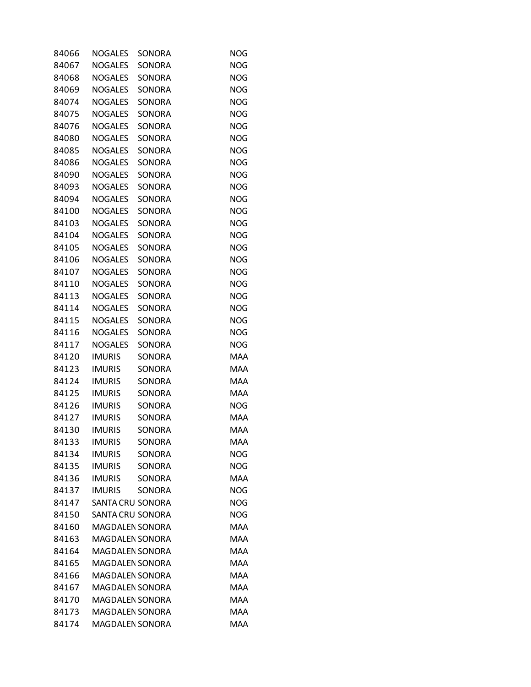| 84066 | <b>NOGALES</b>          | SONORA        | <b>NOG</b> |
|-------|-------------------------|---------------|------------|
| 84067 | <b>NOGALES</b>          | <b>SONORA</b> | <b>NOG</b> |
| 84068 | <b>NOGALES</b>          | SONORA        | <b>NOG</b> |
| 84069 | <b>NOGALES</b>          | SONORA        | <b>NOG</b> |
| 84074 | <b>NOGALES</b>          | SONORA        | <b>NOG</b> |
| 84075 | <b>NOGALES</b>          | SONORA        | <b>NOG</b> |
| 84076 | <b>NOGALES</b>          | SONORA        | <b>NOG</b> |
| 84080 | <b>NOGALES</b>          | <b>SONORA</b> | <b>NOG</b> |
| 84085 | <b>NOGALES</b>          | SONORA        | <b>NOG</b> |
| 84086 | <b>NOGALES</b>          | SONORA        | <b>NOG</b> |
| 84090 | <b>NOGALES</b>          | SONORA        | <b>NOG</b> |
| 84093 | <b>NOGALES</b>          | SONORA        | <b>NOG</b> |
| 84094 | <b>NOGALES</b>          | SONORA        | <b>NOG</b> |
| 84100 | <b>NOGALES</b>          | SONORA        | <b>NOG</b> |
| 84103 | <b>NOGALES</b>          | <b>SONORA</b> | <b>NOG</b> |
| 84104 | <b>NOGALES</b>          | SONORA        | <b>NOG</b> |
| 84105 | <b>NOGALES</b>          | SONORA        | <b>NOG</b> |
|       |                         | SONORA        |            |
| 84106 | <b>NOGALES</b>          |               | <b>NOG</b> |
| 84107 | <b>NOGALES</b>          | SONORA        | <b>NOG</b> |
| 84110 | <b>NOGALES</b>          | <b>SONORA</b> | <b>NOG</b> |
| 84113 | <b>NOGALES</b>          | SONORA        | <b>NOG</b> |
| 84114 | <b>NOGALES</b>          | SONORA        | <b>NOG</b> |
| 84115 | <b>NOGALES</b>          | SONORA        | <b>NOG</b> |
| 84116 | <b>NOGALES</b>          | SONORA        | <b>NOG</b> |
| 84117 | <b>NOGALES</b>          | SONORA        | <b>NOG</b> |
| 84120 | <b>IMURIS</b>           | SONORA        | <b>MAA</b> |
| 84123 | <b>IMURIS</b>           | SONORA        | <b>MAA</b> |
| 84124 | <b>IMURIS</b>           | SONORA        | <b>MAA</b> |
| 84125 | <b>IMURIS</b>           | SONORA        | <b>MAA</b> |
| 84126 | <b>IMURIS</b>           | SONORA        | <b>NOG</b> |
| 84127 | <b>IMURIS</b>           | SONORA        | <b>MAA</b> |
| 84130 | <b>IMURIS</b>           | SONORA        | <b>MAA</b> |
| 84133 | <b>IMURIS</b>           | SONORA        | <b>MAA</b> |
| 84134 | <b>IMURIS</b>           | SONORA        | <b>NOG</b> |
| 84135 | <b>IMURIS</b>           | <b>SONORA</b> | <b>NOG</b> |
| 84136 | <b>IMURIS</b>           | <b>SONORA</b> | <b>MAA</b> |
| 84137 | <b>IMURIS</b>           | SONORA        | <b>NOG</b> |
| 84147 | SANTA CRU SONORA        |               | <b>NOG</b> |
| 84150 | <b>SANTA CRU SONORA</b> |               | <b>NOG</b> |
| 84160 | <b>MAGDALEN SONORA</b>  |               | <b>MAA</b> |
| 84163 | <b>MAGDALEN SONORA</b>  |               | <b>MAA</b> |
| 84164 | <b>MAGDALEN SONORA</b>  |               | <b>MAA</b> |
| 84165 | <b>MAGDALEN SONORA</b>  |               | <b>MAA</b> |
| 84166 | <b>MAGDALEN SONORA</b>  |               | <b>MAA</b> |
| 84167 | <b>MAGDALEN SONORA</b>  |               | <b>MAA</b> |
| 84170 | MAGDALEN SONORA         |               | <b>MAA</b> |
| 84173 | <b>MAGDALEN SONORA</b>  |               | <b>MAA</b> |
| 84174 | MAGDALEN SONORA         |               | <b>MAA</b> |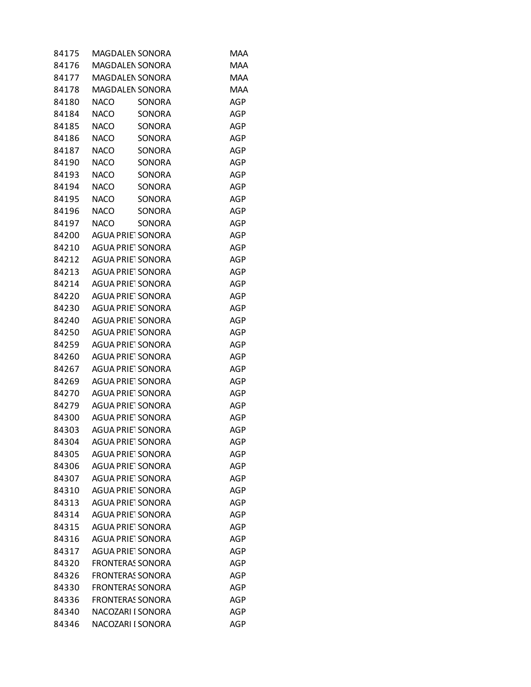| 84175 | MAGDALEN SONORA              | MAA        |
|-------|------------------------------|------------|
| 84176 | <b>MAGDALEN SONORA</b>       | <b>MAA</b> |
| 84177 | <b>MAGDALEN SONORA</b>       | <b>MAA</b> |
| 84178 | <b>MAGDALEN SONORA</b>       | <b>MAA</b> |
| 84180 | <b>NACO</b><br>SONORA        | <b>AGP</b> |
| 84184 | <b>NACO</b><br>SONORA        | <b>AGP</b> |
| 84185 | NACO<br>SONORA               | AGP        |
| 84186 | <b>NACO</b><br>SONORA        | <b>AGP</b> |
| 84187 | <b>NACO</b><br>SONORA        | <b>AGP</b> |
| 84190 | <b>NACO</b><br><b>SONORA</b> | AGP        |
| 84193 | <b>NACO</b><br>SONORA        | <b>AGP</b> |
| 84194 | <b>NACO</b><br>SONORA        | <b>AGP</b> |
| 84195 | <b>NACO</b><br>SONORA        | AGP        |
| 84196 | <b>NACO</b><br>SONORA        | <b>AGP</b> |
| 84197 | <b>NACO</b><br>SONORA        | <b>AGP</b> |
| 84200 | AGUA PRIE SONORA             | <b>AGP</b> |
| 84210 | <b>AGUA PRIET SONORA</b>     | <b>AGP</b> |
| 84212 | <b>AGUA PRIET SONORA</b>     | <b>AGP</b> |
| 84213 | AGUA PRIET SONORA            | AGP        |
| 84214 | <b>AGUA PRIET SONORA</b>     | <b>AGP</b> |
| 84220 | <b>AGUA PRIET SONORA</b>     | <b>AGP</b> |
| 84230 | <b>AGUA PRIET SONORA</b>     | AGP        |
| 84240 | <b>AGUA PRIET SONORA</b>     | <b>AGP</b> |
| 84250 | <b>AGUA PRIET SONORA</b>     | <b>AGP</b> |
| 84259 | AGUA PRIE SONORA             | AGP        |
| 84260 | <b>AGUA PRIET SONORA</b>     | <b>AGP</b> |
| 84267 | <b>AGUA PRIET SONORA</b>     | AGP        |
| 84269 | <b>AGUA PRIET SONORA</b>     | AGP        |
| 84270 | <b>AGUA PRIET SONORA</b>     | AGP        |
| 84279 | <b>AGUA PRIET SONORA</b>     | AGP        |
| 84300 | <b>AGUA PRIET SONORA</b>     | AGP        |
| 84303 | <b>AGUA PRIET SONORA</b>     | <b>AGP</b> |
| 84304 | <b>AGUA PRIET SONORA</b>     | <b>AGP</b> |
| 84305 | <b>AGUA PRIET SONORA</b>     | AGP        |
| 84306 | <b>AGUA PRIET SONORA</b>     | AGP        |
| 84307 | <b>AGUA PRIET SONORA</b>     | <b>AGP</b> |
| 84310 | <b>AGUA PRIE SONORA</b>      | AGP        |
| 84313 | <b>AGUA PRIE SONORA</b>      | <b>AGP</b> |
| 84314 | <b>AGUA PRIET SONORA</b>     | <b>AGP</b> |
| 84315 | AGUA PRIE SONORA             | AGP        |
| 84316 | <b>AGUA PRIE SONORA</b>      | <b>AGP</b> |
| 84317 | <b>AGUA PRIET SONORA</b>     | <b>AGP</b> |
| 84320 | <b>FRONTERAS SONORA</b>      | AGP        |
| 84326 | <b>FRONTERAS SONORA</b>      | <b>AGP</b> |
| 84330 | <b>FRONTERAS SONORA</b>      | <b>AGP</b> |
| 84336 | <b>FRONTERAS SONORA</b>      | AGP        |
| 84340 | NACOZARI I SONORA            | <b>AGP</b> |
| 84346 | NACOZARI I SONORA            | AGP        |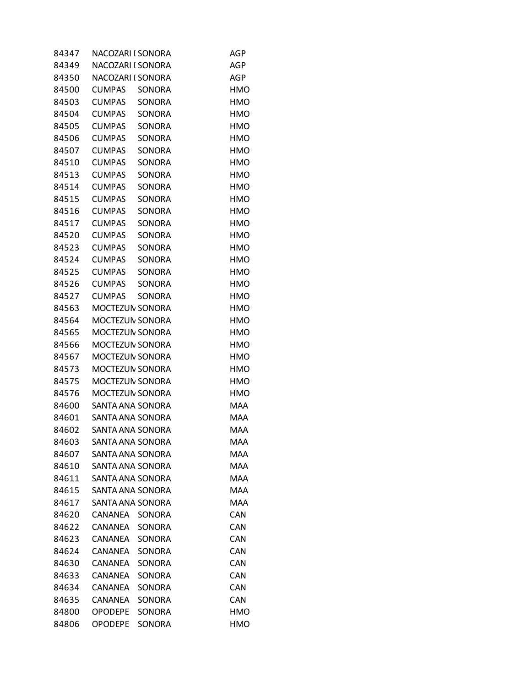| 84347 | NACOZARI I SONORA       |               | AGP        |
|-------|-------------------------|---------------|------------|
| 84349 | NACOZARI I SONORA       |               | <b>AGP</b> |
| 84350 | NACOZARI I SONORA       |               | <b>AGP</b> |
| 84500 | <b>CUMPAS</b>           | SONORA        | HMO        |
| 84503 | <b>CUMPAS</b>           | <b>SONORA</b> | <b>HMO</b> |
| 84504 | <b>CUMPAS</b>           | SONORA        | <b>HMO</b> |
| 84505 | <b>CUMPAS</b>           | SONORA        | <b>HMO</b> |
| 84506 | <b>CUMPAS</b>           | <b>SONORA</b> | <b>HMO</b> |
| 84507 | <b>CUMPAS</b>           | SONORA        | <b>HMO</b> |
| 84510 | <b>CUMPAS</b>           | SONORA        | <b>HMO</b> |
| 84513 | <b>CUMPAS</b>           | <b>SONORA</b> | <b>HMO</b> |
| 84514 | <b>CUMPAS</b>           | SONORA        | <b>HMO</b> |
| 84515 | <b>CUMPAS</b>           | SONORA        | <b>HMO</b> |
| 84516 | <b>CUMPAS</b>           | <b>SONORA</b> | <b>HMO</b> |
| 84517 | <b>CUMPAS</b>           | SONORA        | <b>HMO</b> |
| 84520 | <b>CUMPAS</b>           | SONORA        | <b>HMO</b> |
| 84523 | <b>CUMPAS</b>           | <b>SONORA</b> | <b>HMO</b> |
| 84524 | <b>CUMPAS</b>           | SONORA        | <b>HMO</b> |
| 84525 | <b>CUMPAS</b>           | SONORA        | <b>HMO</b> |
| 84526 | <b>CUMPAS</b>           | <b>SONORA</b> | <b>HMO</b> |
| 84527 | <b>CUMPAS</b>           | SONORA        | <b>HMO</b> |
| 84563 | MOCTEZUN SONORA         |               | <b>HMO</b> |
| 84564 | MOCTEZUN SONORA         |               | <b>HMO</b> |
| 84565 | MOCTEZUN SONORA         |               | <b>HMO</b> |
| 84566 | MOCTEZUN SONORA         |               | <b>HMO</b> |
| 84567 | MOCTEZUN SONORA         |               | <b>HMO</b> |
| 84573 | MOCTEZUN SONORA         |               | <b>HMO</b> |
| 84575 | MOCTEZUN SONORA         |               | <b>HMO</b> |
| 84576 | MOCTEZUN SONORA         |               | <b>HMO</b> |
| 84600 | SANTA ANA SONORA        |               | <b>MAA</b> |
| 84601 | SANTA ANA SONORA        |               | <b>MAA</b> |
| 84602 | SANTA ANA SONORA        |               | <b>MAA</b> |
| 84603 | <b>SANTA ANA SONORA</b> |               | <b>MAA</b> |
| 84607 | SANTA ANA SONORA        |               | <b>MAA</b> |
| 84610 | SANTA ANA SONORA        |               | <b>MAA</b> |
| 84611 | SANTA ANA SONORA        |               | <b>MAA</b> |
| 84615 | SANTA ANA SONORA        |               | <b>MAA</b> |
| 84617 | SANTA ANA SONORA        |               | <b>MAA</b> |
| 84620 | CANANEA                 | SONORA        | CAN        |
| 84622 | CANANEA                 | <b>SONORA</b> | <b>CAN</b> |
| 84623 | CANANEA                 | <b>SONORA</b> | CAN        |
| 84624 | CANANEA                 | SONORA        | CAN        |
| 84630 | <b>CANANEA</b>          | SONORA        | CAN        |
| 84633 | <b>CANANEA</b>          | <b>SONORA</b> | <b>CAN</b> |
| 84634 | <b>CANANEA</b>          | SONORA        | CAN        |
| 84635 | <b>CANANEA</b>          | SONORA        | CAN        |
| 84800 | <b>OPODEPE</b>          | SONORA        | <b>HMO</b> |
| 84806 | <b>OPODEPE</b>          | SONORA        | <b>HMO</b> |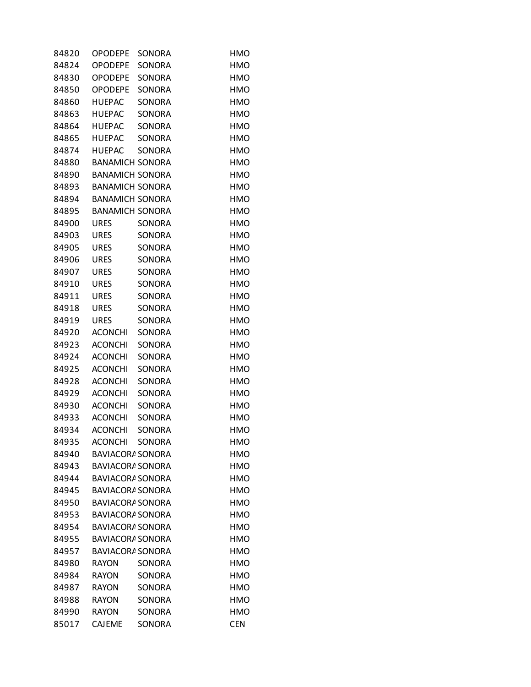| 84820 | <b>OPODEPE</b>          | SONORA        | <b>HMO</b> |
|-------|-------------------------|---------------|------------|
| 84824 | <b>OPODEPE</b>          | <b>SONORA</b> | <b>HMO</b> |
| 84830 | <b>OPODEPE</b>          | SONORA        | <b>HMO</b> |
| 84850 | <b>OPODEPE</b>          | SONORA        | <b>HMO</b> |
| 84860 | <b>HUEPAC</b>           | <b>SONORA</b> | <b>HMO</b> |
| 84863 | <b>HUEPAC</b>           | SONORA        | <b>HMO</b> |
| 84864 | <b>HUEPAC</b>           | SONORA        | <b>HMO</b> |
| 84865 | <b>HUEPAC</b>           | <b>SONORA</b> | <b>HMO</b> |
| 84874 | <b>HUEPAC</b>           | SONORA        | <b>HMO</b> |
| 84880 | <b>BANAMICH SONORA</b>  |               | <b>HMO</b> |
| 84890 | <b>BANAMICH SONORA</b>  |               | <b>HMO</b> |
| 84893 | <b>BANAMICH SONORA</b>  |               | <b>HMO</b> |
| 84894 | <b>BANAMICH SONORA</b>  |               | <b>HMO</b> |
| 84895 | <b>BANAMICH SONORA</b>  |               | <b>HMO</b> |
| 84900 | <b>URES</b>             | SONORA        | <b>HMO</b> |
| 84903 | <b>URES</b>             | SONORA        | <b>HMO</b> |
| 84905 | <b>URES</b>             | SONORA        | <b>HMO</b> |
| 84906 | <b>URES</b>             | SONORA        | <b>HMO</b> |
| 84907 | <b>URES</b>             | SONORA        | <b>HMO</b> |
| 84910 | <b>URES</b>             | <b>SONORA</b> | <b>HMO</b> |
| 84911 | <b>URES</b>             | SONORA        | <b>HMO</b> |
| 84918 | <b>URES</b>             | SONORA        | <b>HMO</b> |
| 84919 | <b>URES</b>             | SONORA        | <b>HMO</b> |
| 84920 | <b>ACONCHI</b>          | SONORA        | <b>HMO</b> |
| 84923 | <b>ACONCHI</b>          | SONORA        | <b>HMO</b> |
| 84924 | <b>ACONCHI</b>          | <b>SONORA</b> | <b>HMO</b> |
| 84925 | <b>ACONCHI</b>          | SONORA        | <b>HMO</b> |
| 84928 | <b>ACONCHI</b>          | SONORA        | <b>HMO</b> |
| 84929 | <b>ACONCHI</b>          | SONORA        | <b>HMO</b> |
| 84930 | <b>ACONCHI</b>          | SONORA        | <b>HMO</b> |
| 84933 | <b>ACONCHI</b>          | <b>SONORA</b> | <b>HMO</b> |
| 84934 | <b>ACONCHI</b>          | <b>SONORA</b> | <b>HMO</b> |
| 84935 | <b>ACONCHI</b>          | SONORA        | <b>HMO</b> |
| 84940 | <b>BAVIACORA SONORA</b> |               | <b>HMO</b> |
| 84943 | <b>BAVIACORA SONORA</b> |               | <b>HMO</b> |
| 84944 | BAVIACORA SONORA        |               | <b>HMO</b> |
| 84945 | <b>BAVIACORA SONORA</b> |               | HMO        |
| 84950 | <b>BAVIACORA SONORA</b> |               | <b>HMO</b> |
| 84953 | <b>BAVIACORA SONORA</b> |               | <b>HMO</b> |
| 84954 | <b>BAVIACORA SONORA</b> |               | HMO        |
| 84955 | <b>BAVIACORA SONORA</b> |               | <b>HMO</b> |
| 84957 | <b>BAVIACORA SONORA</b> |               | <b>HMO</b> |
| 84980 | <b>RAYON</b>            | SONORA        | HMO        |
| 84984 | <b>RAYON</b>            | <b>SONORA</b> | <b>HMO</b> |
| 84987 | <b>RAYON</b>            | SONORA        | <b>HMO</b> |
| 84988 | <b>RAYON</b>            | SONORA        | HMO        |
| 84990 | <b>RAYON</b>            | <b>SONORA</b> | <b>HMO</b> |
| 85017 | <b>CAJEME</b>           | SONORA        | <b>CEN</b> |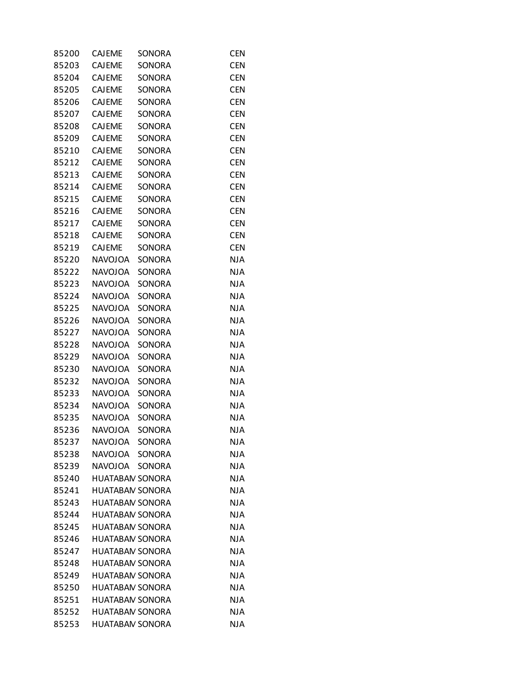| 85200 | <b>CAJEME</b>          | SONORA        | <b>CEN</b> |
|-------|------------------------|---------------|------------|
| 85203 | <b>CAJEME</b>          | <b>SONORA</b> | <b>CEN</b> |
| 85204 | <b>CAJEME</b>          | SONORA        | <b>CEN</b> |
| 85205 | <b>CAJEME</b>          | SONORA        | <b>CEN</b> |
| 85206 | <b>CAJEME</b>          | SONORA        | <b>CEN</b> |
| 85207 | <b>CAJEME</b>          | SONORA        | <b>CEN</b> |
| 85208 | <b>CAJEME</b>          | SONORA        | <b>CEN</b> |
| 85209 | <b>CAJEME</b>          | SONORA        | <b>CEN</b> |
| 85210 | CAJEME                 | SONORA        | <b>CEN</b> |
| 85212 | <b>CAJEME</b>          | SONORA        | <b>CEN</b> |
| 85213 | <b>CAJEME</b>          | SONORA        | <b>CEN</b> |
| 85214 | <b>CAJEME</b>          | SONORA        | <b>CEN</b> |
| 85215 | CAJEME                 | SONORA        | <b>CEN</b> |
| 85216 | <b>CAJEME</b>          | SONORA        | <b>CEN</b> |
| 85217 | CAJEME                 | <b>SONORA</b> | <b>CEN</b> |
| 85218 | <b>CAJEME</b>          | SONORA        | <b>CEN</b> |
| 85219 | <b>CAJEME</b>          | SONORA        | <b>CEN</b> |
|       |                        | SONORA        |            |
| 85220 | <b>NAVOJOA</b>         |               | <b>NJA</b> |
| 85222 | <b>NAVOJOA</b>         | SONORA        | <b>NJA</b> |
| 85223 | <b>NAVOJOA</b>         | SONORA        | <b>NJA</b> |
| 85224 | <b>NAVOJOA</b>         | SONORA        | <b>NJA</b> |
| 85225 | <b>NAVOJOA</b>         | SONORA        | <b>NJA</b> |
| 85226 | <b>NAVOJOA</b>         | SONORA        | <b>NJA</b> |
| 85227 | <b>NAVOJOA</b>         | SONORA        | <b>NJA</b> |
| 85228 | <b>NAVOJOA</b>         | SONORA        | <b>NJA</b> |
| 85229 | <b>NAVOJOA</b>         | SONORA        | <b>NJA</b> |
| 85230 | <b>NAVOJOA</b>         | SONORA        | <b>NJA</b> |
| 85232 | <b>NAVOJOA</b>         | SONORA        | <b>NJA</b> |
| 85233 | <b>NAVOJOA</b>         | SONORA        | <b>NJA</b> |
| 85234 | <b>NAVOJOA</b>         | SONORA        | <b>NJA</b> |
| 85235 | <b>NAVOJOA</b>         | SONORA        | <b>NJA</b> |
| 85236 | <b>NAVOJOA</b>         | SONORA        | <b>NJA</b> |
| 85237 | <b>NAVOJOA</b>         | SONORA        | <b>NJA</b> |
| 85238 | NAVOJOA                | <b>SONORA</b> | <b>NJA</b> |
| 85239 | <b>NAVOIOA</b>         | <b>SONORA</b> | <b>NJA</b> |
| 85240 | <b>HUATABAN SONORA</b> |               | <b>NJA</b> |
| 85241 | <b>HUATABAN SONORA</b> |               | <b>NJA</b> |
| 85243 | <b>HUATABAN SONORA</b> |               | <b>NJA</b> |
| 85244 | <b>HUATABAN SONORA</b> |               | <b>NJA</b> |
| 85245 | <b>HUATABAN SONORA</b> |               | <b>NJA</b> |
| 85246 | <b>HUATABAN SONORA</b> |               | <b>NJA</b> |
| 85247 | <b>HUATABAN SONORA</b> |               | <b>NJA</b> |
| 85248 | <b>HUATABAN SONORA</b> |               | <b>NJA</b> |
| 85249 | <b>HUATABAN SONORA</b> |               | <b>NJA</b> |
| 85250 | <b>HUATABAN SONORA</b> |               | <b>NJA</b> |
| 85251 | <b>HUATABAN SONORA</b> |               | <b>NJA</b> |
| 85252 | <b>HUATABAN SONORA</b> |               | <b>NJA</b> |
| 85253 | <b>HUATABAN SONORA</b> |               | <b>NJA</b> |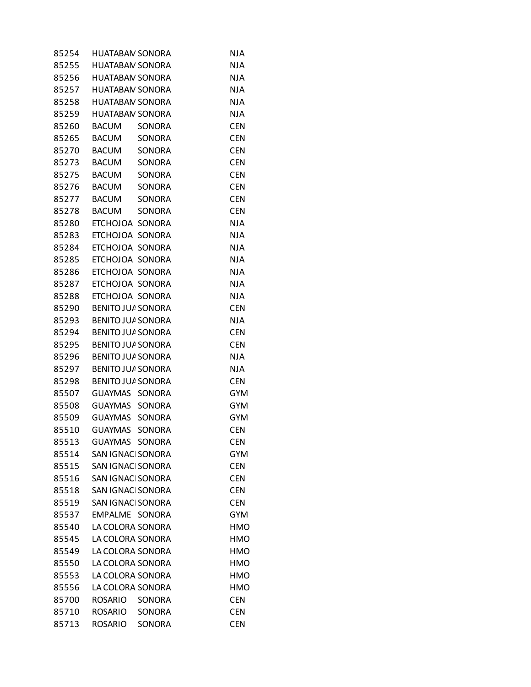| 85254 | HUATABAN SONORA          |               | <b>NJA</b> |
|-------|--------------------------|---------------|------------|
| 85255 | <b>HUATABAN SONORA</b>   |               | <b>NJA</b> |
| 85256 | <b>HUATABAN SONORA</b>   |               | <b>NJA</b> |
| 85257 | <b>HUATABAN SONORA</b>   |               | <b>NJA</b> |
| 85258 | <b>HUATABAN SONORA</b>   |               | <b>NJA</b> |
| 85259 | <b>HUATABAN SONORA</b>   |               | <b>NJA</b> |
| 85260 | <b>BACUM</b>             | SONORA        | <b>CEN</b> |
| 85265 | <b>BACUM</b>             | <b>SONORA</b> | <b>CEN</b> |
| 85270 | <b>BACUM</b>             | SONORA        | <b>CEN</b> |
| 85273 | <b>BACUM</b>             | SONORA        | <b>CEN</b> |
| 85275 | <b>BACUM</b>             | SONORA        | <b>CEN</b> |
| 85276 | <b>BACUM</b>             | SONORA        | <b>CEN</b> |
| 85277 | BACUM                    | SONORA        | <b>CEN</b> |
| 85278 | <b>BACUM</b>             | <b>SONORA</b> | <b>CEN</b> |
| 85280 | ETCHOJOA SONORA          |               | <b>NJA</b> |
| 85283 | ETCHOJOA SONORA          |               | <b>NJA</b> |
| 85284 | ETCHOJOA SONORA          |               | <b>NJA</b> |
| 85285 | ETCHOJOA SONORA          |               | <b>NJA</b> |
| 85286 | ETCHOJOA SONORA          |               | <b>NJA</b> |
| 85287 | ETCHOJOA SONORA          |               | <b>NJA</b> |
| 85288 | ETCHOJOA SONORA          |               | <b>NJA</b> |
| 85290 | BENITO JUA SONORA        |               | <b>CEN</b> |
| 85293 | BENITO JUA SONORA        |               | <b>NJA</b> |
| 85294 | BENITO JUA SONORA        |               | <b>CEN</b> |
| 85295 | BENITO JUA SONORA        |               | <b>CEN</b> |
| 85296 | <b>BENITO JUA SONORA</b> |               | <b>NJA</b> |
| 85297 | BENITO JUA SONORA        |               | <b>NJA</b> |
| 85298 | BENITO JUA SONORA        |               | <b>CEN</b> |
| 85507 | <b>GUAYMAS</b>           | <b>SONORA</b> | <b>GYM</b> |
| 85508 | GUAYMAS SONORA           |               | <b>GYM</b> |
| 85509 | GUAYMAS                  | SONORA        | <b>GYM</b> |
| 85510 | GUAYMAS                  | SONORA        | <b>CEN</b> |
| 85513 | GUAYMAS SONORA           |               | <b>CEN</b> |
| 85514 | SAN IGNACI SONORA        |               | <b>GYM</b> |
| 85515 | SAN IGNACI SONORA        |               | <b>CEN</b> |
| 85516 | SAN IGNACI SONORA        |               | <b>CEN</b> |
| 85518 | SAN IGNACI SONORA        |               | <b>CEN</b> |
| 85519 | SAN IGNACI SONORA        |               | <b>CEN</b> |
| 85537 | EMPALME SONORA           |               | <b>GYM</b> |
| 85540 | LA COLORA SONORA         |               | <b>HMO</b> |
| 85545 | LA COLORA SONORA         |               | <b>HMO</b> |
| 85549 | LA COLORA SONORA         |               | <b>HMO</b> |
| 85550 | LA COLORA SONORA         |               | HMO        |
| 85553 | LA COLORA SONORA         |               | <b>HMO</b> |
| 85556 | LA COLORA SONORA         |               | <b>HMO</b> |
| 85700 | <b>ROSARIO</b>           | SONORA        | <b>CEN</b> |
| 85710 | <b>ROSARIO</b>           | SONORA        | <b>CEN</b> |
| 85713 | <b>ROSARIO</b>           | SONORA        | <b>CEN</b> |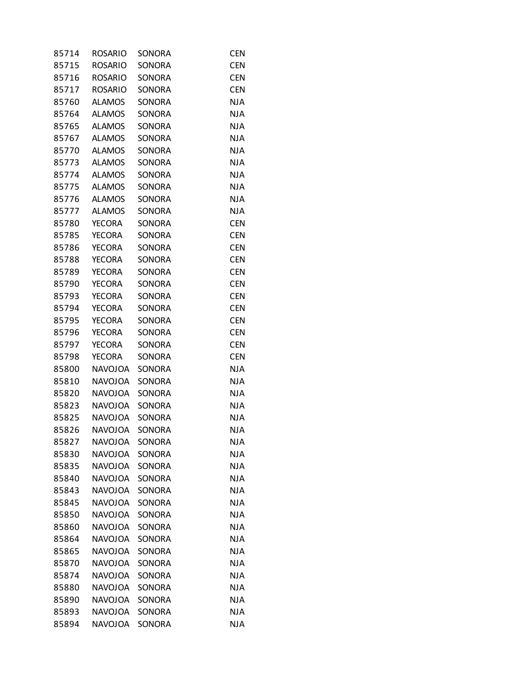| 85714 | ROSARIO        | SONORA        | <b>CEN</b> |
|-------|----------------|---------------|------------|
| 85715 | <b>ROSARIO</b> | <b>SONORA</b> | <b>CEN</b> |
| 85716 | <b>ROSARIO</b> | SONORA        | <b>CEN</b> |
| 85717 | <b>ROSARIO</b> | SONORA        | <b>CEN</b> |
| 85760 | <b>ALAMOS</b>  | SONORA        | <b>NJA</b> |
| 85764 | <b>ALAMOS</b>  | SONORA        | <b>NJA</b> |
| 85765 | <b>ALAMOS</b>  | SONORA        | <b>NJA</b> |
| 85767 | <b>ALAMOS</b>  | SONORA        | <b>NJA</b> |
| 85770 | <b>ALAMOS</b>  | <b>SONORA</b> | <b>NJA</b> |
| 85773 | <b>ALAMOS</b>  | SONORA        | <b>NJA</b> |
| 85774 | <b>ALAMOS</b>  | SONORA        | <b>NJA</b> |
| 85775 | <b>ALAMOS</b>  | SONORA        | <b>NJA</b> |
| 85776 | <b>ALAMOS</b>  | SONORA        | <b>NJA</b> |
| 85777 | <b>ALAMOS</b>  | SONORA        | <b>NJA</b> |
| 85780 | <b>YECORA</b>  | SONORA        | <b>CEN</b> |
| 85785 | <b>YECORA</b>  | SONORA        | <b>CEN</b> |
| 85786 | <b>YECORA</b>  | SONORA        | <b>CEN</b> |
| 85788 | <b>YECORA</b>  | SONORA        | <b>CEN</b> |
| 85789 | <b>YECORA</b>  | SONORA        | <b>CEN</b> |
| 85790 | <b>YECORA</b>  | SONORA        | <b>CEN</b> |
| 85793 | <b>YECORA</b>  | SONORA        | <b>CEN</b> |
| 85794 | <b>YECORA</b>  | SONORA        | <b>CEN</b> |
| 85795 | <b>YECORA</b>  | SONORA        | <b>CEN</b> |
| 85796 | <b>YECORA</b>  | SONORA        | <b>CEN</b> |
| 85797 | <b>YECORA</b>  | SONORA        | <b>CEN</b> |
| 85798 | <b>YECORA</b>  | SONORA        | <b>CEN</b> |
| 85800 | <b>NAVOJOA</b> | SONORA        | <b>NJA</b> |
| 85810 | <b>NAVOJOA</b> | SONORA        | <b>NJA</b> |
| 85820 | <b>NAVOJOA</b> | SONORA        | <b>NJA</b> |
| 85823 | <b>NAVOJOA</b> | SONORA        | <b>NJA</b> |
| 85825 | <b>NAVOJOA</b> | SONORA        | <b>NJA</b> |
| 85826 | <b>NAVOJOA</b> | SONORA        | <b>NJA</b> |
| 85827 | <b>NAVOJOA</b> | SONORA        | <b>NJA</b> |
| 85830 | <b>NAVOJOA</b> | SONORA        | <b>NJA</b> |
| 85835 | <b>NAVOJOA</b> | <b>SONORA</b> | <b>NJA</b> |
| 85840 | <b>NAVOJOA</b> | SONORA        | <b>NJA</b> |
| 85843 | <b>NAVOJOA</b> | SONORA        | <b>NJA</b> |
| 85845 | <b>NAVOJOA</b> | SONORA        | <b>NJA</b> |
| 85850 | <b>NAVOJOA</b> | SONORA        | <b>NJA</b> |
| 85860 | <b>NAVOJOA</b> | SONORA        | <b>NJA</b> |
| 85864 | <b>NAVOJOA</b> | <b>SONORA</b> | <b>NJA</b> |
| 85865 | <b>NAVOJOA</b> | SONORA        | <b>NJA</b> |
| 85870 | <b>NAVOJOA</b> | SONORA        | <b>NJA</b> |
| 85874 | <b>NAVOJOA</b> | SONORA        | <b>NJA</b> |
| 85880 | <b>NAVOJOA</b> | SONORA        | <b>NJA</b> |
| 85890 | <b>NAVOJOA</b> | SONORA        | <b>NJA</b> |
| 85893 | <b>NAVOJOA</b> | SONORA        | <b>NJA</b> |
| 85894 | <b>NAVOJOA</b> | SONORA        | <b>NJA</b> |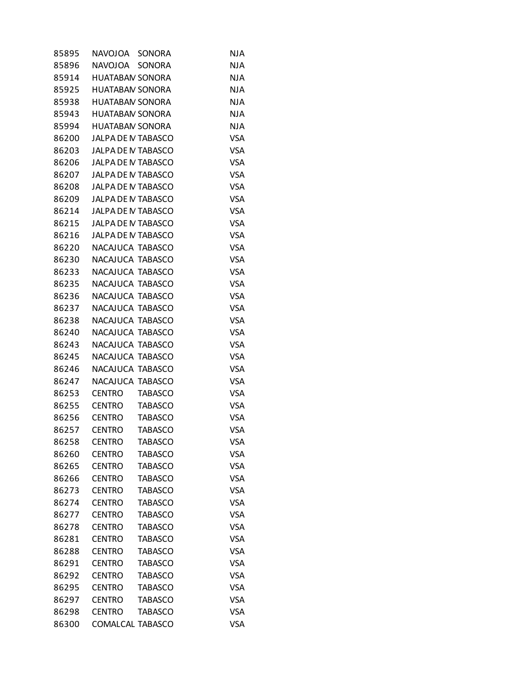| 85895 | <b>NAVOJOA</b>            | SONORA         | <b>NJA</b> |
|-------|---------------------------|----------------|------------|
| 85896 | <b>NAVOJOA</b>            | <b>SONORA</b>  | <b>NJA</b> |
| 85914 | <b>HUATABAN SONORA</b>    |                | <b>NJA</b> |
| 85925 | <b>HUATABAN SONORA</b>    |                | <b>NJA</b> |
| 85938 | <b>HUATABAN SONORA</b>    |                | <b>NJA</b> |
| 85943 | <b>HUATABAN SONORA</b>    |                | <b>NJA</b> |
| 85994 | <b>HUATABAN SONORA</b>    |                | <b>NJA</b> |
| 86200 | JALPA DE N TABASCO        |                | <b>VSA</b> |
| 86203 | JALPA DE N TABASCO        |                | <b>VSA</b> |
| 86206 | JALPA DE N TABASCO        |                | <b>VSA</b> |
| 86207 | JALPA DE N TABASCO        |                | <b>VSA</b> |
| 86208 | JALPA DE N TABASCO        |                | <b>VSA</b> |
| 86209 | JALPA DE N TABASCO        |                | <b>VSA</b> |
| 86214 | JALPA DE N TABASCO        |                | <b>VSA</b> |
| 86215 | <b>JALPA DE N TABASCO</b> |                | <b>VSA</b> |
| 86216 | JALPA DE N TABASCO        |                | <b>VSA</b> |
| 86220 | NACAJUCA TABASCO          |                | <b>VSA</b> |
| 86230 | NACAJUCA TABASCO          |                | <b>VSA</b> |
| 86233 | NACAJUCA TABASCO          |                | <b>VSA</b> |
| 86235 | NACAJUCA TABASCO          |                | <b>VSA</b> |
| 86236 | NACAJUCA TABASCO          |                | <b>VSA</b> |
| 86237 | NACAJUCA TABASCO          |                | <b>VSA</b> |
| 86238 | NACAJUCA TABASCO          |                | <b>VSA</b> |
| 86240 | NACAJUCA TABASCO          |                | <b>VSA</b> |
| 86243 | NACAJUCA TABASCO          |                | <b>VSA</b> |
| 86245 | NACAJUCA TABASCO          |                | <b>VSA</b> |
| 86246 | NACAJUCA TABASCO          |                | <b>VSA</b> |
| 86247 | NACAJUCA TABASCO          |                | <b>VSA</b> |
| 86253 | <b>CENTRO</b>             | <b>TABASCO</b> | <b>VSA</b> |
| 86255 | <b>CENTRO</b>             | <b>TABASCO</b> | <b>VSA</b> |
| 86256 | <b>CENTRO</b>             | <b>TABASCO</b> | <b>VSA</b> |
| 86257 | <b>CENTRO</b>             | <b>TABASCO</b> | <b>VSA</b> |
| 86258 | <b>CENTRO</b>             | TABASCO        | VSA        |
| 86260 | <b>CENTRO</b>             | <b>TABASCO</b> | <b>VSA</b> |
| 86265 | <b>CENTRO</b>             | <b>TABASCO</b> | <b>VSA</b> |
| 86266 | <b>CENTRO</b>             | <b>TABASCO</b> | <b>VSA</b> |
| 86273 | <b>CENTRO</b>             | <b>TABASCO</b> | <b>VSA</b> |
| 86274 | <b>CENTRO</b>             | <b>TABASCO</b> | <b>VSA</b> |
| 86277 | <b>CENTRO</b>             | <b>TABASCO</b> | <b>VSA</b> |
| 86278 | <b>CENTRO</b>             | <b>TABASCO</b> | <b>VSA</b> |
| 86281 | <b>CENTRO</b>             | <b>TABASCO</b> | <b>VSA</b> |
| 86288 | <b>CENTRO</b>             | <b>TABASCO</b> | <b>VSA</b> |
| 86291 | <b>CENTRO</b>             | <b>TABASCO</b> | <b>VSA</b> |
| 86292 | <b>CENTRO</b>             | <b>TABASCO</b> | <b>VSA</b> |
| 86295 | <b>CENTRO</b>             | <b>TABASCO</b> | <b>VSA</b> |
| 86297 | <b>CENTRO</b>             | <b>TABASCO</b> | <b>VSA</b> |
| 86298 | <b>CENTRO</b>             | <b>TABASCO</b> | <b>VSA</b> |
| 86300 | COMALCAL TABASCO          |                | <b>VSA</b> |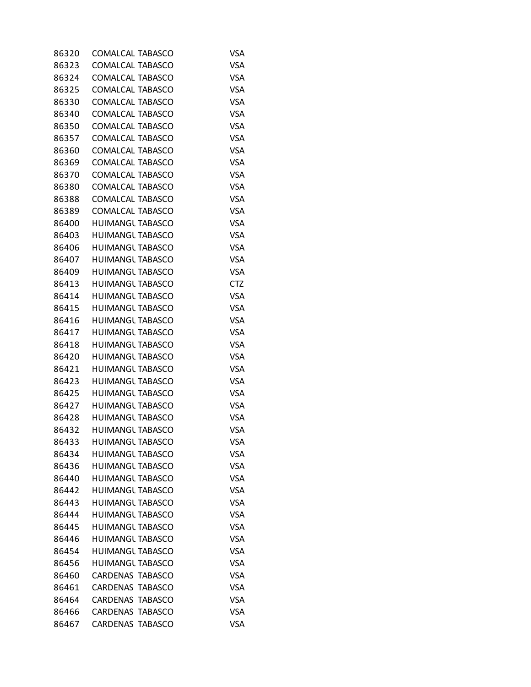|                         | <b>VSA</b>                                                                                                                                                                                                                                                                                                                                                                                                                                                                                                                                                                                                                                           |
|-------------------------|------------------------------------------------------------------------------------------------------------------------------------------------------------------------------------------------------------------------------------------------------------------------------------------------------------------------------------------------------------------------------------------------------------------------------------------------------------------------------------------------------------------------------------------------------------------------------------------------------------------------------------------------------|
| COMALCAL TABASCO        | <b>VSA</b>                                                                                                                                                                                                                                                                                                                                                                                                                                                                                                                                                                                                                                           |
| COMALCAL TABASCO        | <b>VSA</b>                                                                                                                                                                                                                                                                                                                                                                                                                                                                                                                                                                                                                                           |
| COMALCAL TABASCO        | <b>VSA</b>                                                                                                                                                                                                                                                                                                                                                                                                                                                                                                                                                                                                                                           |
| <b>COMALCAL TABASCO</b> | <b>VSA</b>                                                                                                                                                                                                                                                                                                                                                                                                                                                                                                                                                                                                                                           |
| COMALCAL TABASCO        | <b>VSA</b>                                                                                                                                                                                                                                                                                                                                                                                                                                                                                                                                                                                                                                           |
|                         | <b>VSA</b>                                                                                                                                                                                                                                                                                                                                                                                                                                                                                                                                                                                                                                           |
| COMALCAL TABASCO        | <b>VSA</b>                                                                                                                                                                                                                                                                                                                                                                                                                                                                                                                                                                                                                                           |
|                         | <b>VSA</b>                                                                                                                                                                                                                                                                                                                                                                                                                                                                                                                                                                                                                                           |
|                         | <b>VSA</b>                                                                                                                                                                                                                                                                                                                                                                                                                                                                                                                                                                                                                                           |
|                         | <b>VSA</b>                                                                                                                                                                                                                                                                                                                                                                                                                                                                                                                                                                                                                                           |
|                         | <b>VSA</b>                                                                                                                                                                                                                                                                                                                                                                                                                                                                                                                                                                                                                                           |
|                         | <b>VSA</b>                                                                                                                                                                                                                                                                                                                                                                                                                                                                                                                                                                                                                                           |
|                         | <b>VSA</b>                                                                                                                                                                                                                                                                                                                                                                                                                                                                                                                                                                                                                                           |
|                         | <b>VSA</b>                                                                                                                                                                                                                                                                                                                                                                                                                                                                                                                                                                                                                                           |
|                         | <b>VSA</b>                                                                                                                                                                                                                                                                                                                                                                                                                                                                                                                                                                                                                                           |
|                         | <b>VSA</b>                                                                                                                                                                                                                                                                                                                                                                                                                                                                                                                                                                                                                                           |
|                         | <b>VSA</b>                                                                                                                                                                                                                                                                                                                                                                                                                                                                                                                                                                                                                                           |
|                         | <b>VSA</b>                                                                                                                                                                                                                                                                                                                                                                                                                                                                                                                                                                                                                                           |
|                         | <b>CTZ</b>                                                                                                                                                                                                                                                                                                                                                                                                                                                                                                                                                                                                                                           |
|                         | <b>VSA</b>                                                                                                                                                                                                                                                                                                                                                                                                                                                                                                                                                                                                                                           |
|                         | <b>VSA</b>                                                                                                                                                                                                                                                                                                                                                                                                                                                                                                                                                                                                                                           |
|                         | <b>VSA</b>                                                                                                                                                                                                                                                                                                                                                                                                                                                                                                                                                                                                                                           |
|                         | <b>VSA</b>                                                                                                                                                                                                                                                                                                                                                                                                                                                                                                                                                                                                                                           |
|                         | <b>VSA</b>                                                                                                                                                                                                                                                                                                                                                                                                                                                                                                                                                                                                                                           |
|                         | <b>VSA</b>                                                                                                                                                                                                                                                                                                                                                                                                                                                                                                                                                                                                                                           |
|                         | <b>VSA</b>                                                                                                                                                                                                                                                                                                                                                                                                                                                                                                                                                                                                                                           |
|                         | <b>VSA</b>                                                                                                                                                                                                                                                                                                                                                                                                                                                                                                                                                                                                                                           |
|                         | <b>VSA</b>                                                                                                                                                                                                                                                                                                                                                                                                                                                                                                                                                                                                                                           |
|                         | <b>VSA</b>                                                                                                                                                                                                                                                                                                                                                                                                                                                                                                                                                                                                                                           |
| <b>HUIMANGL TABASCO</b> | <b>VSA</b>                                                                                                                                                                                                                                                                                                                                                                                                                                                                                                                                                                                                                                           |
| <b>HUIMANGL TABASCO</b> | <b>VSA</b>                                                                                                                                                                                                                                                                                                                                                                                                                                                                                                                                                                                                                                           |
| <b>HUIMANGL TABASCO</b> | VSA                                                                                                                                                                                                                                                                                                                                                                                                                                                                                                                                                                                                                                                  |
|                         | <b>VSA</b>                                                                                                                                                                                                                                                                                                                                                                                                                                                                                                                                                                                                                                           |
|                         | <b>VSA</b>                                                                                                                                                                                                                                                                                                                                                                                                                                                                                                                                                                                                                                           |
| <b>HUIMANGL TABASCO</b> | <b>VSA</b>                                                                                                                                                                                                                                                                                                                                                                                                                                                                                                                                                                                                                                           |
| <b>HUIMANGL TABASCO</b> | <b>VSA</b>                                                                                                                                                                                                                                                                                                                                                                                                                                                                                                                                                                                                                                           |
| <b>HUIMANGL TABASCO</b> | <b>VSA</b>                                                                                                                                                                                                                                                                                                                                                                                                                                                                                                                                                                                                                                           |
| <b>HUIMANGL TABASCO</b> | <b>VSA</b>                                                                                                                                                                                                                                                                                                                                                                                                                                                                                                                                                                                                                                           |
| HUIMANGL TABASCO        | <b>VSA</b>                                                                                                                                                                                                                                                                                                                                                                                                                                                                                                                                                                                                                                           |
| <b>HUIMANGL TABASCO</b> | <b>VSA</b>                                                                                                                                                                                                                                                                                                                                                                                                                                                                                                                                                                                                                                           |
| <b>HUIMANGL TABASCO</b> | <b>VSA</b>                                                                                                                                                                                                                                                                                                                                                                                                                                                                                                                                                                                                                                           |
| <b>HUIMANGL TABASCO</b> | <b>VSA</b>                                                                                                                                                                                                                                                                                                                                                                                                                                                                                                                                                                                                                                           |
| <b>CARDENAS TABASCO</b> | <b>VSA</b>                                                                                                                                                                                                                                                                                                                                                                                                                                                                                                                                                                                                                                           |
| <b>CARDENAS TABASCO</b> | <b>VSA</b>                                                                                                                                                                                                                                                                                                                                                                                                                                                                                                                                                                                                                                           |
| <b>CARDENAS TABASCO</b> | <b>VSA</b>                                                                                                                                                                                                                                                                                                                                                                                                                                                                                                                                                                                                                                           |
| <b>CARDENAS TABASCO</b> | <b>VSA</b>                                                                                                                                                                                                                                                                                                                                                                                                                                                                                                                                                                                                                                           |
|                         |                                                                                                                                                                                                                                                                                                                                                                                                                                                                                                                                                                                                                                                      |
|                         | COMALCAL TABASCO<br>COMALCAL TABASCO<br>COMALCAL TABASCO<br>COMALCAL TABASCO<br>COMALCAL TABASCO<br>COMALCAL TABASCO<br>COMALCAL TABASCO<br>COMALCAL TABASCO<br><b>HUIMANGL TABASCO</b><br><b>HUIMANGL TABASCO</b><br><b>HUIMANGL TABASCO</b><br><b>HUIMANGL TABASCO</b><br><b>HUIMANGL TABASCO</b><br><b>HUIMANGL TABASCO</b><br>HUIMANGL TABASCO<br><b>HUIMANGL TABASCO</b><br><b>HUIMANGL TABASCO</b><br><b>HUIMANGL TABASCO</b><br><b>HUIMANGL TABASCO</b><br><b>HUIMANGL TABASCO</b><br>HUIMANGL TABASCO<br><b>HUIMANGL TABASCO</b><br><b>HUIMANGL TABASCO</b><br><b>HUIMANGL TABASCO</b><br><b>HUIMANGL TABASCO</b><br><b>HUIMANGL TABASCO</b> |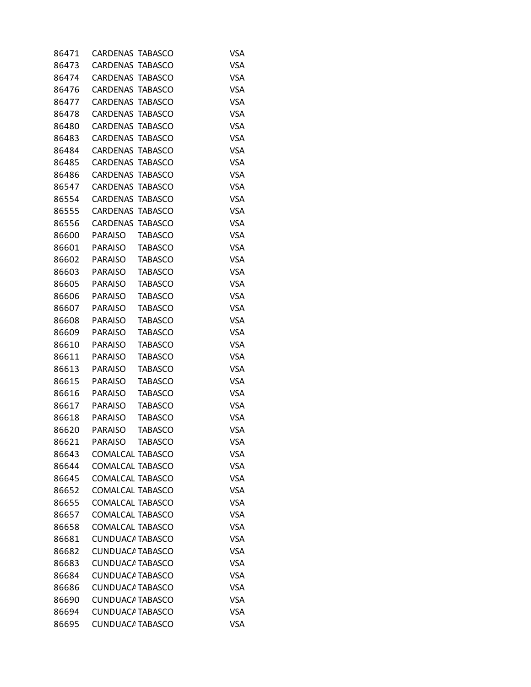| 86471 | CARDENAS TABASCO        |                | VSA        |
|-------|-------------------------|----------------|------------|
| 86473 | <b>CARDENAS TABASCO</b> |                | <b>VSA</b> |
| 86474 | <b>CARDENAS TABASCO</b> |                | <b>VSA</b> |
| 86476 | <b>CARDENAS TABASCO</b> |                | <b>VSA</b> |
| 86477 | <b>CARDENAS TABASCO</b> |                | <b>VSA</b> |
| 86478 | <b>CARDENAS TABASCO</b> |                | <b>VSA</b> |
| 86480 | CARDENAS TABASCO        |                | <b>VSA</b> |
| 86483 | <b>CARDENAS TABASCO</b> |                | <b>VSA</b> |
| 86484 | <b>CARDENAS TABASCO</b> |                | <b>VSA</b> |
| 86485 | CARDENAS TABASCO        |                | <b>VSA</b> |
| 86486 | <b>CARDENAS TABASCO</b> |                | <b>VSA</b> |
| 86547 | <b>CARDENAS TABASCO</b> |                | <b>VSA</b> |
| 86554 | CARDENAS TABASCO        |                | <b>VSA</b> |
| 86555 | <b>CARDENAS TABASCO</b> |                | <b>VSA</b> |
| 86556 | CARDENAS TABASCO        |                | <b>VSA</b> |
| 86600 | PARAISO                 | <b>TABASCO</b> | <b>VSA</b> |
| 86601 | PARAISO                 | <b>TABASCO</b> | <b>VSA</b> |
| 86602 | PARAISO                 | <b>TABASCO</b> | <b>VSA</b> |
| 86603 | PARAISO                 | <b>TABASCO</b> | <b>VSA</b> |
| 86605 | <b>PARAISO</b>          | <b>TABASCO</b> | <b>VSA</b> |
| 86606 | <b>PARAISO</b>          | <b>TABASCO</b> | <b>VSA</b> |
| 86607 | <b>PARAISO</b>          | <b>TABASCO</b> | <b>VSA</b> |
| 86608 | <b>PARAISO</b>          | <b>TABASCO</b> | <b>VSA</b> |
| 86609 | <b>PARAISO</b>          | <b>TABASCO</b> | <b>VSA</b> |
| 86610 | <b>PARAISO</b>          | <b>TABASCO</b> | <b>VSA</b> |
| 86611 | <b>PARAISO</b>          | <b>TABASCO</b> | <b>VSA</b> |
| 86613 | <b>PARAISO</b>          | <b>TABASCO</b> | <b>VSA</b> |
| 86615 | <b>PARAISO</b>          | <b>TABASCO</b> | <b>VSA</b> |
| 86616 | <b>PARAISO</b>          | <b>TABASCO</b> | <b>VSA</b> |
| 86617 | <b>PARAISO</b>          | <b>TABASCO</b> | <b>VSA</b> |
| 86618 | <b>PARAISO</b>          | <b>TABASCO</b> | <b>VSA</b> |
| 86620 | <b>PARAISO</b>          | <b>TABASCO</b> | <b>VSA</b> |
| 86621 | <b>PARAISO</b>          | <b>TABASCO</b> | <b>VSA</b> |
| 86643 | COMALCAL TABASCO        |                | <b>VSA</b> |
| 86644 | COMALCAL TABASCO        |                | <b>VSA</b> |
| 86645 | COMALCAL TABASCO        |                | <b>VSA</b> |
| 86652 | COMALCAL TABASCO        |                | VSA        |
| 86655 | COMALCAL TABASCO        |                | <b>VSA</b> |
| 86657 | COMALCAL TABASCO        |                | <b>VSA</b> |
| 86658 | <b>COMALCAL TABASCO</b> |                | <b>VSA</b> |
| 86681 | <b>CUNDUACA TABASCO</b> |                | <b>VSA</b> |
| 86682 | <b>CUNDUACA TABASCO</b> |                | <b>VSA</b> |
| 86683 | <b>CUNDUACA TABASCO</b> |                | VSA        |
| 86684 | <b>CUNDUACA TABASCO</b> |                | <b>VSA</b> |
| 86686 | <b>CUNDUACA TABASCO</b> |                | <b>VSA</b> |
| 86690 | <b>CUNDUACA TABASCO</b> |                | VSA        |
| 86694 | <b>CUNDUACA TABASCO</b> |                | <b>VSA</b> |
| 86695 | <b>CUNDUACA TABASCO</b> |                | <b>VSA</b> |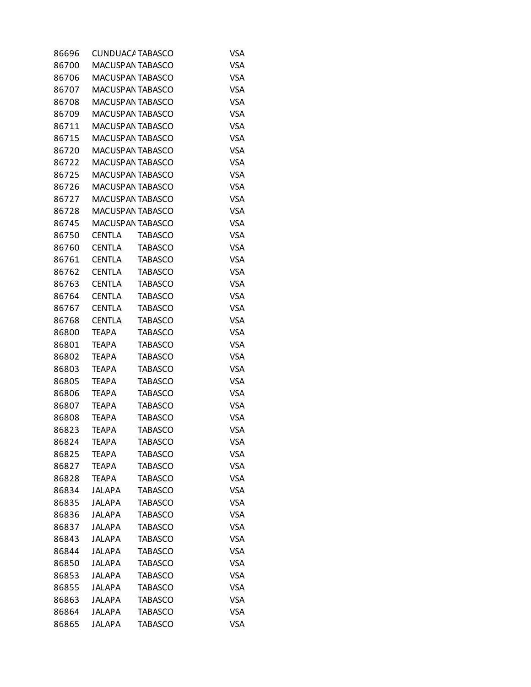| 86696 | CUNDUACA TABASCO        |                | VSA        |
|-------|-------------------------|----------------|------------|
| 86700 | <b>MACUSPAN TABASCO</b> |                | <b>VSA</b> |
| 86706 | <b>MACUSPAN TABASCO</b> |                | <b>VSA</b> |
| 86707 | MACUSPAN TABASCO        |                | <b>VSA</b> |
| 86708 | <b>MACUSPAN TABASCO</b> |                | <b>VSA</b> |
| 86709 | <b>MACUSPAN TABASCO</b> |                | <b>VSA</b> |
| 86711 | MACUSPAN TABASCO        |                | <b>VSA</b> |
| 86715 | <b>MACUSPAN TABASCO</b> |                | <b>VSA</b> |
| 86720 | <b>MACUSPAN TABASCO</b> |                | <b>VSA</b> |
| 86722 | MACUSPAN TABASCO        |                | <b>VSA</b> |
| 86725 | <b>MACUSPAN TABASCO</b> |                | <b>VSA</b> |
| 86726 | <b>MACUSPAN TABASCO</b> |                | <b>VSA</b> |
| 86727 | MACUSPAN TABASCO        |                | <b>VSA</b> |
| 86728 | MACUSPAN TABASCO        |                | <b>VSA</b> |
| 86745 | <b>MACUSPAN TABASCO</b> |                | <b>VSA</b> |
| 86750 | <b>CENTLA</b>           | <b>TABASCO</b> | <b>VSA</b> |
| 86760 | <b>CENTLA</b>           | <b>TABASCO</b> | <b>VSA</b> |
| 86761 | <b>CENTLA</b>           | <b>TABASCO</b> | <b>VSA</b> |
| 86762 | <b>CENTLA</b>           | <b>TABASCO</b> | VSA        |
| 86763 | <b>CENTLA</b>           | <b>TABASCO</b> | <b>VSA</b> |
| 86764 | <b>CENTLA</b>           | <b>TABASCO</b> | <b>VSA</b> |
| 86767 | <b>CENTLA</b>           | <b>TABASCO</b> | <b>VSA</b> |
| 86768 | <b>CENTLA</b>           | <b>TABASCO</b> | <b>VSA</b> |
| 86800 | <b>TEAPA</b>            | <b>TABASCO</b> | <b>VSA</b> |
| 86801 | <b>TEAPA</b>            | <b>TABASCO</b> | VSA        |
| 86802 | <b>TEAPA</b>            | <b>TABASCO</b> | <b>VSA</b> |
| 86803 | <b>TEAPA</b>            | <b>TABASCO</b> | <b>VSA</b> |
| 86805 | <b>TEAPA</b>            | <b>TABASCO</b> | <b>VSA</b> |
| 86806 | <b>TEAPA</b>            | <b>TABASCO</b> | <b>VSA</b> |
| 86807 | <b>TEAPA</b>            | <b>TABASCO</b> | <b>VSA</b> |
| 86808 | <b>TEAPA</b>            | <b>TABASCO</b> | <b>VSA</b> |
| 86823 | <b>TEAPA</b>            | <b>TABASCO</b> | <b>VSA</b> |
| 86824 | <b>TEAPA</b>            | <b>TABASCO</b> | <b>VSA</b> |
| 86825 | <b>TEAPA</b>            | <b>TABASCO</b> | <b>VSA</b> |
| 86827 | <b>TEAPA</b>            | <b>TABASCO</b> | <b>VSA</b> |
| 86828 | <b>TEAPA</b>            | <b>TABASCO</b> | <b>VSA</b> |
| 86834 | JALAPA                  | <b>TABASCO</b> | <b>VSA</b> |
| 86835 | <b>JALAPA</b>           | <b>TABASCO</b> | <b>VSA</b> |
| 86836 | <b>JALAPA</b>           | <b>TABASCO</b> | <b>VSA</b> |
| 86837 | <b>JALAPA</b>           | <b>TABASCO</b> | <b>VSA</b> |
| 86843 | <b>JALAPA</b>           | <b>TABASCO</b> | <b>VSA</b> |
| 86844 | <b>JALAPA</b>           | <b>TABASCO</b> | <b>VSA</b> |
| 86850 | JALAPA                  | <b>TABASCO</b> | <b>VSA</b> |
| 86853 | <b>JALAPA</b>           | <b>TABASCO</b> | <b>VSA</b> |
| 86855 | <b>JALAPA</b>           | <b>TABASCO</b> | <b>VSA</b> |
| 86863 | JALAPA                  | <b>TABASCO</b> | <b>VSA</b> |
| 86864 | <b>JALAPA</b>           | <b>TABASCO</b> | <b>VSA</b> |
| 86865 | <b>JALAPA</b>           | <b>TABASCO</b> | <b>VSA</b> |
|       |                         |                |            |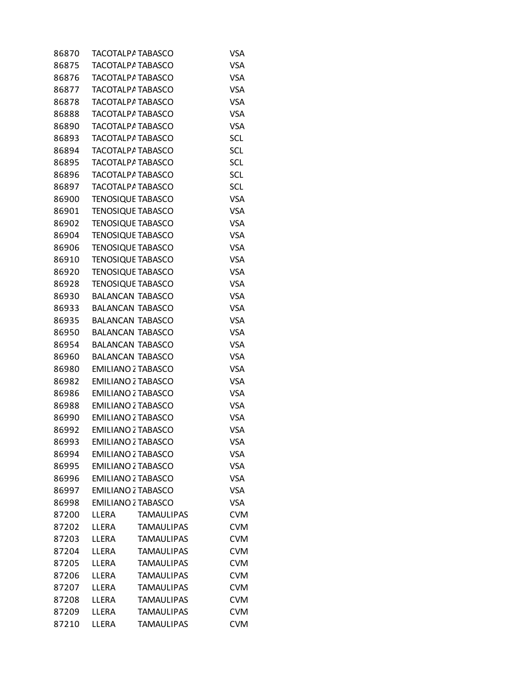| 86870 | TACOTALP/ TABASCO         |                   | VSA        |
|-------|---------------------------|-------------------|------------|
| 86875 | TACOTALPA TABASCO         |                   | <b>VSA</b> |
| 86876 | <b>TACOTALPA TABASCO</b>  |                   | <b>VSA</b> |
| 86877 | TACOTALPA TABASCO         |                   | <b>VSA</b> |
| 86878 | <b>TACOTALPA TABASCO</b>  |                   | <b>VSA</b> |
| 86888 | TACOTALPA TABASCO         |                   | <b>VSA</b> |
| 86890 | TACOTALPA TABASCO         |                   | <b>VSA</b> |
| 86893 | <b>TACOTALPA TABASCO</b>  |                   | <b>SCL</b> |
| 86894 | TACOTALPA TABASCO         |                   | SCL        |
| 86895 | TACOTALPA TABASCO         |                   | <b>SCL</b> |
| 86896 | TACOTALP/ TABASCO         |                   | <b>SCL</b> |
| 86897 | TACOTALP/ TABASCO         |                   | SCL        |
| 86900 | <b>TENOSIQUE TABASCO</b>  |                   | <b>VSA</b> |
| 86901 | <b>TENOSIQUE TABASCO</b>  |                   | <b>VSA</b> |
| 86902 | <b>TENOSIQUE TABASCO</b>  |                   | <b>VSA</b> |
| 86904 | <b>TENOSIQUE TABASCO</b>  |                   | <b>VSA</b> |
| 86906 | <b>TENOSIQUE TABASCO</b>  |                   | <b>VSA</b> |
| 86910 | <b>TENOSIQUE TABASCO</b>  |                   | <b>VSA</b> |
| 86920 | <b>TENOSIQUE TABASCO</b>  |                   | <b>VSA</b> |
| 86928 | <b>TENOSIQUE TABASCO</b>  |                   | <b>VSA</b> |
| 86930 | <b>BALANCAN TABASCO</b>   |                   | <b>VSA</b> |
| 86933 | <b>BALANCAN TABASCO</b>   |                   | <b>VSA</b> |
| 86935 | <b>BALANCAN TABASCO</b>   |                   | <b>VSA</b> |
| 86950 | <b>BALANCAN TABASCO</b>   |                   | <b>VSA</b> |
| 86954 | <b>BALANCAN TABASCO</b>   |                   | <b>VSA</b> |
| 86960 | <b>BALANCAN TABASCO</b>   |                   | <b>VSA</b> |
| 86980 | <b>EMILIANO 2 TABASCO</b> |                   | <b>VSA</b> |
| 86982 | <b>EMILIANO 2 TABASCO</b> |                   | <b>VSA</b> |
| 86986 | <b>EMILIANO 2 TABASCO</b> |                   | <b>VSA</b> |
| 86988 | <b>EMILIANO 2 TABASCO</b> |                   | <b>VSA</b> |
| 86990 | <b>EMILIANO 2 TABASCO</b> |                   | <b>VSA</b> |
| 86992 | <b>EMILIANO 2 TABASCO</b> |                   | <b>VSA</b> |
| 86993 | <b>EMILIANO 2 TABASCO</b> |                   | <b>VSA</b> |
| 86994 | <b>EMILIANO 2 TABASCO</b> |                   | <b>VSA</b> |
| 86995 | <b>EMILIANO 2 TABASCO</b> |                   | <b>VSA</b> |
| 86996 | <b>EMILIANO 2 TABASCO</b> |                   | <b>VSA</b> |
| 86997 | <b>EMILIANO 2 TABASCO</b> |                   | <b>VSA</b> |
| 86998 | <b>EMILIANO 2 TABASCO</b> |                   | <b>VSA</b> |
| 87200 | LLERA                     | <b>TAMAULIPAS</b> | <b>CVM</b> |
| 87202 | LLERA                     | <b>TAMAULIPAS</b> | <b>CVM</b> |
| 87203 | LLERA                     | <b>TAMAULIPAS</b> | <b>CVM</b> |
| 87204 | LLERA                     | <b>TAMAULIPAS</b> | <b>CVM</b> |
| 87205 | LLERA                     | <b>TAMAULIPAS</b> | <b>CVM</b> |
| 87206 | LLERA                     | <b>TAMAULIPAS</b> | <b>CVM</b> |
| 87207 | LLERA                     | <b>TAMAULIPAS</b> | <b>CVM</b> |
| 87208 | LLERA                     | <b>TAMAULIPAS</b> | <b>CVM</b> |
| 87209 | LLERA                     | <b>TAMAULIPAS</b> | <b>CVM</b> |
| 87210 | LLERA                     | <b>TAMAULIPAS</b> | <b>CVM</b> |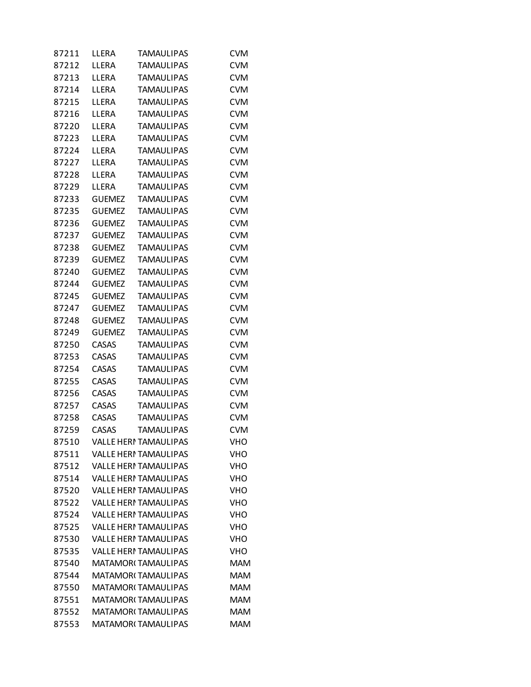| 87211 | LLERA         | <b>TAMAULIPAS</b>            | <b>CVM</b> |
|-------|---------------|------------------------------|------------|
| 87212 | LLERA         | <b>TAMAULIPAS</b>            | <b>CVM</b> |
| 87213 | LLERA         | <b>TAMAULIPAS</b>            | <b>CVM</b> |
| 87214 | LLERA         | <b>TAMAULIPAS</b>            | <b>CVM</b> |
| 87215 | LLERA         | <b>TAMAULIPAS</b>            | <b>CVM</b> |
| 87216 | LLERA         | <b>TAMAULIPAS</b>            | <b>CVM</b> |
| 87220 | LLERA         | <b>TAMAULIPAS</b>            | <b>CVM</b> |
| 87223 | LLERA         | <b>TAMAULIPAS</b>            | <b>CVM</b> |
| 87224 | LLERA         | <b>TAMAULIPAS</b>            | <b>CVM</b> |
| 87227 | LLERA         | <b>TAMAULIPAS</b>            | <b>CVM</b> |
| 87228 | LLERA         | <b>TAMAULIPAS</b>            | <b>CVM</b> |
| 87229 | LLERA         | <b>TAMAULIPAS</b>            | <b>CVM</b> |
| 87233 | <b>GUEMEZ</b> | <b>TAMAULIPAS</b>            | <b>CVM</b> |
| 87235 | <b>GUEMEZ</b> | <b>TAMAULIPAS</b>            | <b>CVM</b> |
| 87236 | <b>GUEMEZ</b> | <b>TAMAULIPAS</b>            | <b>CVM</b> |
| 87237 | <b>GUEMEZ</b> | <b>TAMAULIPAS</b>            | <b>CVM</b> |
| 87238 | <b>GUEMEZ</b> | <b>TAMAULIPAS</b>            | <b>CVM</b> |
| 87239 | <b>GUEMEZ</b> | <b>TAMAULIPAS</b>            | <b>CVM</b> |
| 87240 | <b>GUEMEZ</b> | <b>TAMAULIPAS</b>            | <b>CVM</b> |
| 87244 | <b>GUEMEZ</b> | <b>TAMAULIPAS</b>            | <b>CVM</b> |
| 87245 | <b>GUEMEZ</b> | <b>TAMAULIPAS</b>            | <b>CVM</b> |
| 87247 | <b>GUEMEZ</b> | <b>TAMAULIPAS</b>            | <b>CVM</b> |
| 87248 | <b>GUEMEZ</b> | <b>TAMAULIPAS</b>            | <b>CVM</b> |
| 87249 | <b>GUEMEZ</b> | <b>TAMAULIPAS</b>            | <b>CVM</b> |
| 87250 | CASAS         | <b>TAMAULIPAS</b>            | <b>CVM</b> |
| 87253 | <b>CASAS</b>  | <b>TAMAULIPAS</b>            | <b>CVM</b> |
| 87254 | CASAS         | <b>TAMAULIPAS</b>            | <b>CVM</b> |
| 87255 | CASAS         | <b>TAMAULIPAS</b>            | <b>CVM</b> |
| 87256 | CASAS         | <b>TAMAULIPAS</b>            | <b>CVM</b> |
| 87257 | CASAS         | <b>TAMAULIPAS</b>            | <b>CVM</b> |
| 87258 | CASAS         | <b>TAMAULIPAS</b>            | <b>CVM</b> |
| 87259 | <b>CASAS</b>  | <b>TAMAULIPAS</b>            | <b>CVM</b> |
| 87510 |               | VALLE HERI TAMAULIPAS        | VHO        |
| 87511 |               | <b>VALLE HERI TAMAULIPAS</b> | <b>VHO</b> |
| 87512 |               | <b>VALLE HERI TAMAULIPAS</b> | <b>VHO</b> |
| 87514 |               | <b>VALLE HERI TAMAULIPAS</b> | <b>VHO</b> |
| 87520 |               | VALLE HERI TAMAULIPAS        | VHO        |
| 87522 |               | VALLE HERI TAMAULIPAS        | <b>VHO</b> |
| 87524 |               | VALLE HERI TAMAULIPAS        | <b>VHO</b> |
| 87525 |               | VALLE HERI TAMAULIPAS        | VHO        |
| 87530 |               | <b>VALLE HERI TAMAULIPAS</b> | <b>VHO</b> |
| 87535 |               | <b>VALLE HERI TAMAULIPAS</b> | <b>VHO</b> |
| 87540 |               | <b>MATAMORI TAMAULIPAS</b>   | <b>MAM</b> |
| 87544 |               | <b>MATAMORI TAMAULIPAS</b>   | <b>MAM</b> |
| 87550 |               | <b>MATAMORI TAMAULIPAS</b>   | <b>MAM</b> |
| 87551 |               | <b>MATAMORI TAMAULIPAS</b>   | <b>MAM</b> |
| 87552 |               | <b>MATAMORI TAMAULIPAS</b>   | <b>MAM</b> |
| 87553 |               | <b>MATAMORI TAMAULIPAS</b>   | <b>MAM</b> |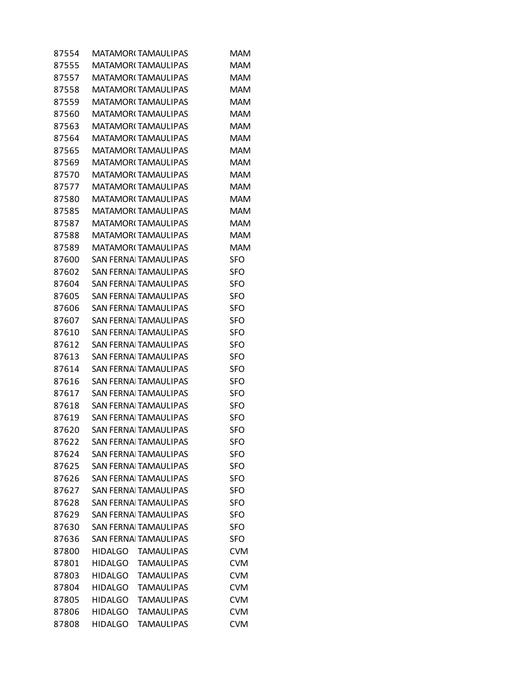| 87554 |                | MATAMORI TAMAULIPAS          | MAM        |
|-------|----------------|------------------------------|------------|
| 87555 |                | MATAMOR( TAMAULIPAS          | MAM        |
| 87557 |                | <b>MATAMORI TAMAULIPAS</b>   | <b>MAM</b> |
| 87558 |                | <b>MATAMORI TAMAULIPAS</b>   | <b>MAM</b> |
| 87559 |                | <b>MATAMORI TAMAULIPAS</b>   | <b>MAM</b> |
| 87560 |                | <b>MATAMORI TAMAULIPAS</b>   | <b>MAM</b> |
| 87563 |                | <b>MATAMORI TAMAULIPAS</b>   | <b>MAM</b> |
| 87564 |                | <b>MATAMORI TAMAULIPAS</b>   | MAM        |
| 87565 |                | <b>MATAMORI TAMAULIPAS</b>   | <b>MAM</b> |
| 87569 |                | <b>MATAMORI TAMAULIPAS</b>   | <b>MAM</b> |
| 87570 |                | <b>MATAMORI TAMAULIPAS</b>   | <b>MAM</b> |
| 87577 |                | <b>MATAMORI TAMAULIPAS</b>   | <b>MAM</b> |
| 87580 |                | <b>MATAMORI TAMAULIPAS</b>   | <b>MAM</b> |
| 87585 |                | <b>MATAMORI TAMAULIPAS</b>   | MAM        |
| 87587 |                | <b>MATAMORI TAMAULIPAS</b>   | <b>MAM</b> |
| 87588 |                | <b>MATAMORI TAMAULIPAS</b>   | <b>MAM</b> |
| 87589 |                | <b>MATAMORI TAMAULIPAS</b>   | <b>MAM</b> |
| 87600 |                | SAN FERNAI TAMAULIPAS        | <b>SFO</b> |
| 87602 |                | SAN FERNAI TAMAULIPAS        | SFO        |
| 87604 |                | <b>SAN FERNAL TAMAULIPAS</b> | <b>SFO</b> |
| 87605 |                | SAN FERNAI TAMAULIPAS        | <b>SFO</b> |
| 87606 |                | SAN FERNAL TAMAULIPAS        | <b>SFO</b> |
| 87607 |                | <b>SAN FERNAI TAMAULIPAS</b> | <b>SFO</b> |
| 87610 |                | SAN FERNAI TAMAULIPAS        | SFO        |
| 87612 |                | SAN FERNAI TAMAULIPAS        | SFO        |
| 87613 |                | <b>SAN FERNAL TAMAULIPAS</b> | SFO        |
| 87614 |                | SAN FERNAI TAMAULIPAS        | <b>SFO</b> |
| 87616 |                | SAN FERNAI TAMAULIPAS        | <b>SFO</b> |
| 87617 |                | <b>SAN FERNAI TAMAULIPAS</b> | <b>SFO</b> |
| 87618 |                | SAN FERNAI TAMAULIPAS        | SFO        |
| 87619 |                | SAN FERNAI TAMAULIPAS        | SFO        |
| 87620 |                | SAN FERNAL TAMAULIPAS        | <b>SFO</b> |
| 87622 |                | <b>SAN FERNAI TAMAULIPAS</b> | <b>SFO</b> |
| 87624 |                | <b>SAN FERNAI TAMAULIPAS</b> | <b>SFO</b> |
| 87625 |                | <b>SAN FERNAI TAMAULIPAS</b> | <b>SFO</b> |
| 87626 |                | <b>SAN FERNAI TAMAULIPAS</b> | <b>SFO</b> |
| 87627 |                | <b>SAN FERNAI TAMAULIPAS</b> | <b>SFO</b> |
| 87628 |                | <b>SAN FERNAI TAMAULIPAS</b> | <b>SFO</b> |
| 87629 |                | <b>SAN FERNAI TAMAULIPAS</b> | <b>SFO</b> |
| 87630 |                | <b>SAN FERNAI TAMAULIPAS</b> | SFO        |
| 87636 |                | <b>SAN FERNAI TAMAULIPAS</b> | SFO        |
| 87800 | <b>HIDALGO</b> | <b>TAMAULIPAS</b>            | <b>CVM</b> |
| 87801 |                | HIDALGO TAMAULIPAS           | <b>CVM</b> |
| 87803 | HIDALGO        | <b>TAMAULIPAS</b>            | <b>CVM</b> |
| 87804 | HIDALGO        | <b>TAMAULIPAS</b>            | <b>CVM</b> |
| 87805 | <b>HIDALGO</b> | <b>TAMAULIPAS</b>            | <b>CVM</b> |
| 87806 | <b>HIDALGO</b> | <b>TAMAULIPAS</b>            | <b>CVM</b> |
| 87808 | <b>HIDALGO</b> | <b>TAMAULIPAS</b>            | <b>CVM</b> |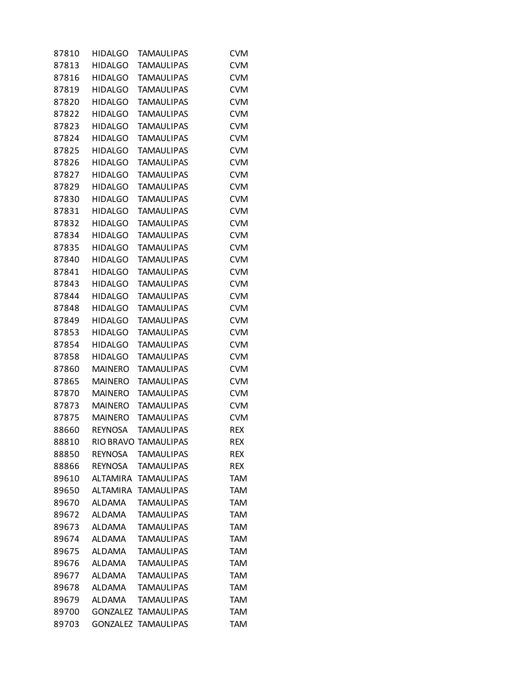| 87810 | <b>HIDALGO</b>  | <b>TAMAULIPAS</b>           | <b>CVM</b> |
|-------|-----------------|-----------------------------|------------|
| 87813 | <b>HIDALGO</b>  | <b>TAMAULIPAS</b>           | <b>CVM</b> |
| 87816 | <b>HIDALGO</b>  | <b>TAMAULIPAS</b>           | <b>CVM</b> |
| 87819 | <b>HIDALGO</b>  | <b>TAMAULIPAS</b>           | <b>CVM</b> |
| 87820 | <b>HIDALGO</b>  | <b>TAMAULIPAS</b>           | <b>CVM</b> |
| 87822 | <b>HIDALGO</b>  | <b>TAMAULIPAS</b>           | <b>CVM</b> |
| 87823 | <b>HIDALGO</b>  | <b>TAMAULIPAS</b>           | <b>CVM</b> |
| 87824 | <b>HIDALGO</b>  | <b>TAMAULIPAS</b>           | <b>CVM</b> |
| 87825 | <b>HIDALGO</b>  | <b>TAMAULIPAS</b>           | <b>CVM</b> |
| 87826 | <b>HIDALGO</b>  | <b>TAMAULIPAS</b>           | <b>CVM</b> |
| 87827 | <b>HIDALGO</b>  | <b>TAMAULIPAS</b>           | <b>CVM</b> |
| 87829 | <b>HIDALGO</b>  | <b>TAMAULIPAS</b>           | <b>CVM</b> |
| 87830 | <b>HIDALGO</b>  | <b>TAMAULIPAS</b>           | <b>CVM</b> |
| 87831 | <b>HIDALGO</b>  | <b>TAMAULIPAS</b>           | <b>CVM</b> |
| 87832 | <b>HIDALGO</b>  | <b>TAMAULIPAS</b>           | <b>CVM</b> |
| 87834 | <b>HIDALGO</b>  | <b>TAMAULIPAS</b>           | <b>CVM</b> |
| 87835 | <b>HIDALGO</b>  | <b>TAMAULIPAS</b>           | <b>CVM</b> |
| 87840 | <b>HIDALGO</b>  | <b>TAMAULIPAS</b>           | <b>CVM</b> |
| 87841 | <b>HIDALGO</b>  | <b>TAMAULIPAS</b>           | <b>CVM</b> |
| 87843 | <b>HIDALGO</b>  | <b>TAMAULIPAS</b>           | <b>CVM</b> |
| 87844 | <b>HIDALGO</b>  | <b>TAMAULIPAS</b>           | <b>CVM</b> |
| 87848 | <b>HIDALGO</b>  | <b>TAMAULIPAS</b>           | <b>CVM</b> |
| 87849 | <b>HIDALGO</b>  | <b>TAMAULIPAS</b>           | <b>CVM</b> |
| 87853 | <b>HIDALGO</b>  | <b>TAMAULIPAS</b>           | <b>CVM</b> |
| 87854 | <b>HIDALGO</b>  | <b>TAMAULIPAS</b>           | <b>CVM</b> |
| 87858 | <b>HIDALGO</b>  | <b>TAMAULIPAS</b>           | <b>CVM</b> |
| 87860 | <b>MAINERO</b>  | <b>TAMAULIPAS</b>           | <b>CVM</b> |
| 87865 | <b>MAINERO</b>  | <b>TAMAULIPAS</b>           | <b>CVM</b> |
| 87870 | <b>MAINERO</b>  | <b>TAMAULIPAS</b>           | <b>CVM</b> |
| 87873 | <b>MAINERO</b>  | <b>TAMAULIPAS</b>           | <b>CVM</b> |
| 87875 | <b>MAINERO</b>  | <b>TAMAULIPAS</b>           | <b>CVM</b> |
| 88660 | <b>REYNOSA</b>  | <b>TAMAULIPAS</b>           | <b>REX</b> |
| 88810 |                 | <b>RIO BRAVO TAMAULIPAS</b> | <b>REX</b> |
| 88850 | REYNOSA         | <b>TAMAULIPAS</b>           | <b>REX</b> |
| 88866 | REYNOSA         | <b>TAMAULIPAS</b>           | <b>REX</b> |
| 89610 | <b>ALTAMIRA</b> | <b>TAMAULIPAS</b>           | <b>TAM</b> |
| 89650 | <b>ALTAMIRA</b> | <b>TAMAULIPAS</b>           | <b>TAM</b> |
| 89670 | ALDAMA          | <b>TAMAULIPAS</b>           | <b>TAM</b> |
| 89672 | <b>ALDAMA</b>   | <b>TAMAULIPAS</b>           | <b>TAM</b> |
| 89673 | ALDAMA          | <b>TAMAULIPAS</b>           | <b>TAM</b> |
| 89674 | <b>ALDAMA</b>   | <b>TAMAULIPAS</b>           | <b>TAM</b> |
| 89675 | <b>ALDAMA</b>   | <b>TAMAULIPAS</b>           | <b>TAM</b> |
| 89676 | ALDAMA          | <b>TAMAULIPAS</b>           | <b>TAM</b> |
| 89677 | <b>ALDAMA</b>   | <b>TAMAULIPAS</b>           | <b>TAM</b> |
| 89678 | <b>ALDAMA</b>   | <b>TAMAULIPAS</b>           | <b>TAM</b> |
| 89679 | ALDAMA          | <b>TAMAULIPAS</b>           | <b>TAM</b> |
| 89700 | <b>GONZALEZ</b> | <b>TAMAULIPAS</b>           | <b>TAM</b> |
| 89703 |                 | <b>GONZALEZ TAMAULIPAS</b>  | <b>TAM</b> |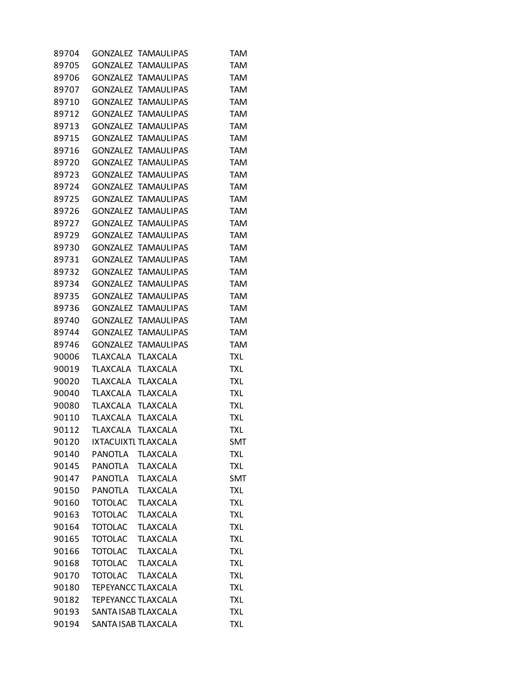| 89704 |                           | GONZALEZ TAMAULIPAS        | <b>TAM</b> |
|-------|---------------------------|----------------------------|------------|
| 89705 |                           | GONZALEZ TAMAULIPAS        | <b>TAM</b> |
| 89706 |                           | GONZALEZ TAMAULIPAS        | <b>TAM</b> |
| 89707 |                           | GONZALEZ TAMAULIPAS        | TAM        |
| 89710 |                           | <b>GONZALEZ TAMAULIPAS</b> | <b>TAM</b> |
| 89712 | GONZALEZ                  | <b>TAMAULIPAS</b>          | <b>TAM</b> |
| 89713 |                           | GONZALEZ TAMAULIPAS        | <b>TAM</b> |
| 89715 |                           | GONZALEZ TAMAULIPAS        | <b>TAM</b> |
| 89716 |                           | <b>GONZALEZ TAMAULIPAS</b> | <b>TAM</b> |
| 89720 |                           | GONZALEZ TAMAULIPAS        | TAM        |
| 89723 |                           | GONZALEZ TAMAULIPAS        | <b>TAM</b> |
| 89724 | GONZALEZ                  | <b>TAMAULIPAS</b>          | <b>TAM</b> |
| 89725 |                           | GONZALEZ TAMAULIPAS        | <b>TAM</b> |
| 89726 |                           | GONZALEZ TAMAULIPAS        | <b>TAM</b> |
| 89727 |                           | GONZALEZ TAMAULIPAS        | <b>TAM</b> |
| 89729 |                           | GONZALEZ TAMAULIPAS        | <b>TAM</b> |
| 89730 |                           | GONZALEZ TAMAULIPAS        | <b>TAM</b> |
| 89731 | GONZALEZ                  | <b>TAMAULIPAS</b>          | <b>TAM</b> |
| 89732 |                           | GONZALEZ TAMAULIPAS        | <b>TAM</b> |
| 89734 |                           | <b>GONZALEZ TAMAULIPAS</b> | <b>TAM</b> |
| 89735 | GONZALEZ                  | <b>TAMAULIPAS</b>          | <b>TAM</b> |
| 89736 |                           | GONZALEZ TAMAULIPAS        | <b>TAM</b> |
| 89740 | <b>GONZALEZ</b>           | <b>TAMAULIPAS</b>          | <b>TAM</b> |
| 89744 | GONZALEZ                  | <b>TAMAULIPAS</b>          | <b>TAM</b> |
| 89746 |                           | GONZALEZ TAMAULIPAS        | <b>TAM</b> |
| 90006 | TLAXCALA                  | <b>TLAXCALA</b>            | <b>TXL</b> |
| 90019 | TLAXCALA                  | <b>TLAXCALA</b>            | <b>TXL</b> |
| 90020 | TLAXCALA                  | <b>TLAXCALA</b>            | <b>TXL</b> |
| 90040 | <b>TLAXCALA</b>           | <b>TLAXCALA</b>            | <b>TXL</b> |
| 90080 | TLAXCALA                  | <b>TLAXCALA</b>            | <b>TXL</b> |
| 90110 | TLAXCALA                  | <b>TLAXCALA</b>            | <b>TXL</b> |
| 90112 | TLAXCALA                  | <b>TLAXCALA</b>            | <b>TXL</b> |
| 90120 | IXTACUIXTI TLAXCALA       |                            | SMT        |
| 90140 | PANOTLA                   | <b>TLAXCALA</b>            | <b>TXL</b> |
| 90145 | <b>PANOTLA</b>            | <b>TLAXCALA</b>            | <b>TXL</b> |
| 90147 | <b>PANOTLA</b>            | <b>TLAXCALA</b>            | <b>SMT</b> |
| 90150 | <b>PANOTLA</b>            | <b>TLAXCALA</b>            | <b>TXL</b> |
| 90160 | <b>TOTOLAC</b>            | <b>TLAXCALA</b>            | <b>TXL</b> |
| 90163 | <b>TOTOLAC</b>            | <b>TLAXCALA</b>            | <b>TXL</b> |
| 90164 | <b>TOTOLAC</b>            | <b>TLAXCALA</b>            | <b>TXL</b> |
| 90165 | <b>TOTOLAC</b>            | <b>TLAXCALA</b>            | <b>TXL</b> |
| 90166 | <b>TOTOLAC</b>            | <b>TLAXCALA</b>            | <b>TXL</b> |
| 90168 | <b>TOTOLAC</b>            | <b>TLAXCALA</b>            | <b>TXL</b> |
| 90170 | <b>TOTOLAC</b>            | <b>TLAXCALA</b>            | <b>TXL</b> |
| 90180 | <b>TEPEYANCC TLAXCALA</b> |                            | <b>TXL</b> |
| 90182 | <b>TEPEYANCC TLAXCALA</b> |                            | <b>TXL</b> |
| 90193 | SANTA ISAB TLAXCALA       |                            | <b>TXL</b> |
| 90194 | SANTA ISAB TLAXCALA       |                            | <b>TXL</b> |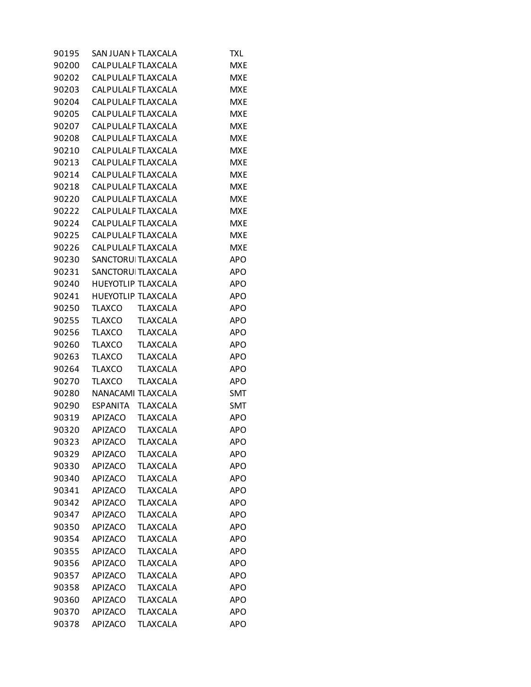| 90195 | SAN JUAN F TLAXCALA |                 | TXL        |
|-------|---------------------|-----------------|------------|
| 90200 | CALPULALF TLAXCALA  |                 | <b>MXE</b> |
| 90202 | CALPULALF TLAXCALA  |                 | <b>MXE</b> |
| 90203 | CALPULALF TLAXCALA  |                 | <b>MXE</b> |
| 90204 | CALPULALF TLAXCALA  |                 | <b>MXE</b> |
| 90205 | CALPULALF TLAXCALA  |                 | <b>MXE</b> |
| 90207 | CALPULALF TLAXCALA  |                 | <b>MXE</b> |
| 90208 | CALPULALF TLAXCALA  |                 | <b>MXE</b> |
| 90210 | CALPULALF TLAXCALA  |                 | <b>MXE</b> |
| 90213 | CALPULALF TLAXCALA  |                 | <b>MXE</b> |
| 90214 | CALPULALF TLAXCALA  |                 | <b>MXE</b> |
| 90218 | CALPULALF TLAXCALA  |                 | <b>MXE</b> |
| 90220 | CALPULALF TLAXCALA  |                 | <b>MXE</b> |
| 90222 | CALPULALF TLAXCALA  |                 | <b>MXE</b> |
| 90224 | CALPULALF TLAXCALA  |                 | <b>MXE</b> |
| 90225 | CALPULALF TLAXCALA  |                 | <b>MXE</b> |
| 90226 | CALPULALF TLAXCALA  |                 | <b>MXE</b> |
| 90230 | SANCTORUI TLAXCALA  |                 | <b>APO</b> |
| 90231 | SANCTORUI TLAXCALA  |                 | APO        |
| 90240 | HUEYOTLIP TLAXCALA  |                 | APO        |
| 90241 | HUEYOTLIP TLAXCALA  |                 | <b>APO</b> |
| 90250 | TLAXCO              | <b>TLAXCALA</b> | APO        |
| 90255 | TLAXCO              | <b>TLAXCALA</b> | <b>APO</b> |
| 90256 | TLAXCO              | <b>TLAXCALA</b> | <b>APO</b> |
| 90260 | TLAXCO              | <b>TLAXCALA</b> | APO        |
| 90263 | <b>TLAXCO</b>       | <b>TLAXCALA</b> | APO        |
| 90264 | <b>TLAXCO</b>       | <b>TLAXCALA</b> | <b>APO</b> |
| 90270 | <b>TLAXCO</b>       | <b>TLAXCALA</b> | <b>APO</b> |
| 90280 | NANACAMI TLAXCALA   |                 | <b>SMT</b> |
| 90290 | ESPANITA            | <b>TLAXCALA</b> | <b>SMT</b> |
| 90319 | APIZACO             | <b>TLAXCALA</b> | APO        |
| 90320 | APIZACO             | <b>TLAXCALA</b> | <b>APO</b> |
| 90323 | APIZACO             | TLAXCALA        | <b>APO</b> |
| 90329 | APIZACO             | <b>TLAXCALA</b> | APO        |
| 90330 | <b>APIZACO</b>      | <b>TLAXCALA</b> | APO        |
| 90340 | APIZACO             | <b>TLAXCALA</b> | <b>APO</b> |
| 90341 | APIZACO             | <b>TLAXCALA</b> | <b>APO</b> |
| 90342 | <b>APIZACO</b>      | <b>TLAXCALA</b> | <b>APO</b> |
| 90347 | <b>APIZACO</b>      | <b>TLAXCALA</b> | <b>APO</b> |
| 90350 | APIZACO             | <b>TLAXCALA</b> | APO        |
| 90354 | <b>APIZACO</b>      | <b>TLAXCALA</b> | APO        |
| 90355 | <b>APIZACO</b>      | <b>TLAXCALA</b> | <b>APO</b> |
| 90356 | APIZACO             | <b>TLAXCALA</b> | <b>APO</b> |
| 90357 | <b>APIZACO</b>      | <b>TLAXCALA</b> | <b>APO</b> |
| 90358 | <b>APIZACO</b>      | <b>TLAXCALA</b> | <b>APO</b> |
| 90360 | APIZACO             | <b>TLAXCALA</b> | APO        |
| 90370 | <b>APIZACO</b>      | <b>TLAXCALA</b> | APO        |
| 90378 | APIZACO             | <b>TLAXCALA</b> | <b>APO</b> |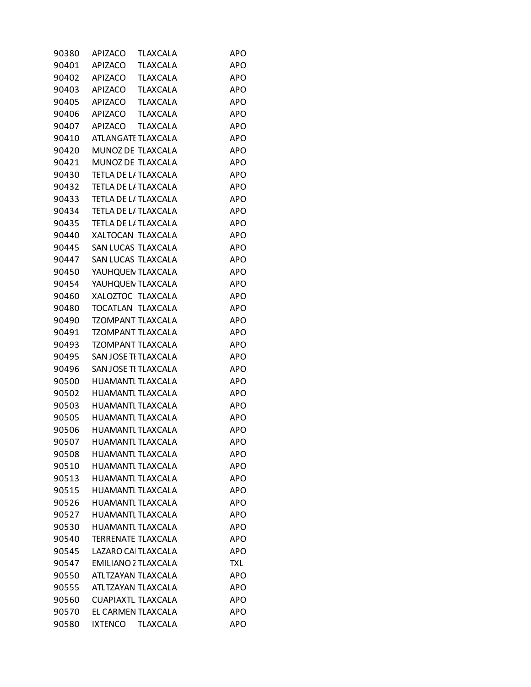| 90380 | APIZACO<br>TLAXCALA        | APO        |
|-------|----------------------------|------------|
| 90401 | <b>TLAXCALA</b><br>APIZACO | <b>APO</b> |
| 90402 | <b>TLAXCALA</b><br>APIZACO | <b>APO</b> |
| 90403 | APIZACO<br><b>TLAXCALA</b> | <b>APO</b> |
| 90405 | APIZACO<br><b>TLAXCALA</b> | <b>APO</b> |
| 90406 | <b>TLAXCALA</b><br>APIZACO | <b>APO</b> |
| 90407 | APIZACO<br><b>TLAXCALA</b> | <b>APO</b> |
| 90410 | ATLANGATI TLAXCALA         | <b>APO</b> |
| 90420 | MUNOZ DE TLAXCALA          | <b>APO</b> |
| 90421 | MUNOZ DE TLAXCALA          | <b>APO</b> |
| 90430 | TETLA DE L/ TLAXCALA       | <b>APO</b> |
| 90432 | TETLA DE L/ TLAXCALA       | <b>APO</b> |
| 90433 | TETLA DE L/ TLAXCALA       | <b>APO</b> |
| 90434 | TETLA DE L/ TLAXCALA       | <b>APO</b> |
| 90435 | TETLA DE L/ TLAXCALA       | <b>APO</b> |
| 90440 | XALTOCAN TLAXCALA          | <b>APO</b> |
| 90445 | SAN LUCAS TLAXCALA         | <b>APO</b> |
| 90447 | SAN LUCAS TLAXCALA         | <b>APO</b> |
| 90450 | YAUHQUEN TLAXCALA          | <b>APO</b> |
| 90454 | YAUHQUEN TLAXCALA          | <b>APO</b> |
| 90460 | XALOZTOC TLAXCALA          | <b>APO</b> |
| 90480 | TOCATLAN TLAXCALA          | <b>APO</b> |
| 90490 | <b>TZOMPANT TLAXCALA</b>   | <b>APO</b> |
| 90491 | <b>TZOMPANT TLAXCALA</b>   | <b>APO</b> |
| 90493 | <b>TZOMPANT TLAXCALA</b>   | <b>APO</b> |
| 90495 | SAN JOSE TI TLAXCALA       | <b>APO</b> |
| 90496 | SAN JOSE TI TLAXCALA       | <b>APO</b> |
| 90500 | HUAMANTI TLAXCALA          | <b>APO</b> |
| 90502 | <b>HUAMANTI TLAXCALA</b>   | <b>APO</b> |
| 90503 | HUAMANTI TLAXCALA          | <b>APO</b> |
| 90505 | HUAMANTI TLAXCALA          | <b>APO</b> |
| 90506 | HUAMANTI TLAXCALA          | <b>APO</b> |
| 90507 | HUAMANTI TLAXCALA          | <b>APO</b> |
| 90508 | HUAMANTI TLAXCALA          | <b>APO</b> |
| 90510 | HUAMANTI TLAXCALA          | <b>APO</b> |
| 90513 | HUAMANTI TLAXCALA          | <b>APO</b> |
| 90515 | HUAMANTI TLAXCALA          | <b>APO</b> |
| 90526 | HUAMANTI TLAXCALA          | <b>APO</b> |
| 90527 | HUAMANTI TLAXCALA          | <b>APO</b> |
| 90530 | HUAMANTI TLAXCALA          | <b>APO</b> |
| 90540 | <b>TERRENATE TLAXCALA</b>  | <b>APO</b> |
| 90545 | LAZARO CAI TLAXCALA        | <b>APO</b> |
| 90547 | EMILIANO 2 TLAXCALA        | <b>TXL</b> |
| 90550 | ATLTZAYAN TLAXCALA         | <b>APO</b> |
| 90555 | ATLTZAYAN TLAXCALA         | <b>APO</b> |
| 90560 | CUAPIAXTL TLAXCALA         | <b>APO</b> |
| 90570 | EL CARMEN TLAXCALA         | <b>APO</b> |
| 90580 | TLAXCALA<br><b>IXTENCO</b> | <b>APO</b> |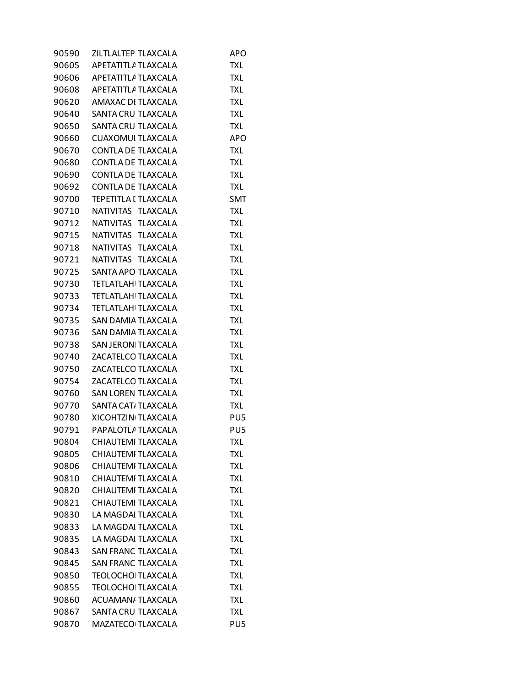| 90590 | ZILTLALTEP TLAXCALA       | APO             |
|-------|---------------------------|-----------------|
| 90605 | APETATITLA TLAXCALA       | <b>TXL</b>      |
| 90606 | APETATITLA TLAXCALA       | <b>TXL</b>      |
| 90608 | APETATITLA TLAXCALA       | <b>TXL</b>      |
| 90620 | AMAXAC DI TLAXCALA        | <b>TXL</b>      |
| 90640 | SANTA CRU TLAXCALA        | <b>TXL</b>      |
| 90650 | SANTA CRU TLAXCALA        | TXL             |
| 90660 | CUAXOMUI TLAXCALA         | APO             |
| 90670 | CONTLA DE TLAXCALA        | <b>TXL</b>      |
| 90680 | CONTLA DE TLAXCALA        | <b>TXL</b>      |
| 90690 | CONTLA DE TLAXCALA        | <b>TXL</b>      |
| 90692 | CONTLA DE TLAXCALA        | <b>TXL</b>      |
| 90700 | TEPETITLA I TLAXCALA      | SMT             |
| 90710 | NATIVITAS TLAXCALA        | TXL             |
| 90712 | NATIVITAS TLAXCALA        | <b>TXL</b>      |
| 90715 | NATIVITAS TLAXCALA        | <b>TXL</b>      |
| 90718 | NATIVITAS TLAXCALA        | <b>TXL</b>      |
| 90721 | NATIVITAS TLAXCALA        | <b>TXL</b>      |
| 90725 | SANTA APO TLAXCALA        | TXL             |
| 90730 | <b>TETLATLAH TLAXCALA</b> | TXL             |
| 90733 | <b>TETLATLAH TLAXCALA</b> | <b>TXL</b>      |
| 90734 | <b>TETLATLAH TLAXCALA</b> | <b>TXL</b>      |
| 90735 | SAN DAMIA TLAXCALA        | <b>TXL</b>      |
| 90736 | SAN DAMIA TLAXCALA        | <b>TXL</b>      |
| 90738 | SAN JERONI TLAXCALA       | TXL             |
| 90740 | ZACATELCO TLAXCALA        | TXL             |
| 90750 | ZACATELCO TLAXCALA        | <b>TXL</b>      |
| 90754 | ZACATELCO TLAXCALA        | <b>TXL</b>      |
| 90760 | <b>SAN LOREN TLAXCALA</b> | <b>TXL</b>      |
| 90770 | SANTA CAT, TLAXCALA       | <b>TXL</b>      |
| 90780 | XICOHTZIN TLAXCALA        | PU5             |
| 90791 | PAPALOTLA TLAXCALA        | PU <sub>5</sub> |
| 90804 | CHIAUTEMI TLAXCALA        | TXL             |
| 90805 | CHIAUTEMI TLAXCALA        | TXL             |
| 90806 | CHIAUTEMI TLAXCALA        | <b>TXL</b>      |
| 90810 | CHIAUTEMI TLAXCALA        | <b>TXL</b>      |
| 90820 | CHIAUTEMI TLAXCALA        | TXL             |
| 90821 | CHIAUTEMI TLAXCALA        | <b>TXL</b>      |
| 90830 | LA MAGDAI TLAXCALA        | <b>TXL</b>      |
| 90833 | LA MAGDAI TLAXCALA        | <b>TXL</b>      |
| 90835 | LA MAGDAI TLAXCALA        | TXL             |
| 90843 | <b>SAN FRANC TLAXCALA</b> | <b>TXL</b>      |
| 90845 | <b>SAN FRANC TLAXCALA</b> | TXL             |
| 90850 | <b>TEOLOCHO TLAXCALA</b>  | TXL             |
| 90855 | <b>TEOLOCHO TLAXCALA</b>  | <b>TXL</b>      |
| 90860 | <b>ACUAMAN/ TLAXCALA</b>  | TXL             |
| 90867 | SANTA CRU TLAXCALA        | <b>TXL</b>      |
| 90870 | MAZATECO TLAXCALA         | PU <sub>5</sub> |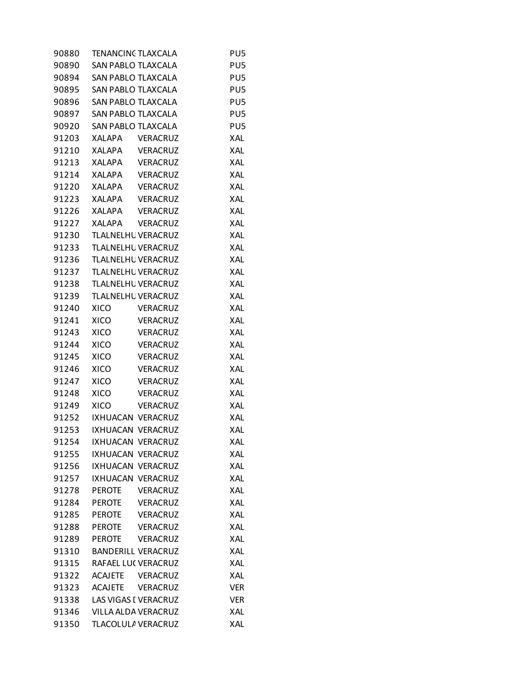| 90880 | TENANCINC TLAXCALA        |                 | PU <sub>5</sub> |
|-------|---------------------------|-----------------|-----------------|
| 90890 | SAN PABLO TLAXCALA        |                 | PU <sub>5</sub> |
| 90894 | <b>SAN PABLO TLAXCALA</b> |                 | PU <sub>5</sub> |
| 90895 | SAN PABLO TLAXCALA        |                 | PU <sub>5</sub> |
| 90896 | SAN PABLO TLAXCALA        |                 | PU <sub>5</sub> |
| 90897 | SAN PABLO TLAXCALA        |                 | PU <sub>5</sub> |
| 90920 | SAN PABLO TLAXCALA        |                 | PU <sub>5</sub> |
| 91203 | <b>XALAPA</b>             | <b>VERACRUZ</b> | <b>XAL</b>      |
| 91210 | XALAPA                    | VERACRUZ        | <b>XAL</b>      |
| 91213 | XALAPA                    | <b>VERACRUZ</b> | XAL             |
| 91214 | XALAPA                    | <b>VERACRUZ</b> | <b>XAL</b>      |
| 91220 | XALAPA                    | <b>VERACRUZ</b> | XAL             |
| 91223 | XALAPA                    | <b>VERACRUZ</b> | XAL             |
| 91226 | <b>XALAPA</b>             | <b>VERACRUZ</b> | <b>XAL</b>      |
| 91227 | <b>XALAPA</b>             | <b>VERACRUZ</b> | <b>XAL</b>      |
| 91230 | TLALNELHU VERACRUZ        |                 | <b>XAL</b>      |
| 91233 | <b>TLALNELHL VERACRUZ</b> |                 | <b>XAL</b>      |
| 91236 | TLALNELHU VERACRUZ        |                 | XAL             |
| 91237 | TLALNELHU VERACRUZ        |                 | XAL             |
| 91238 | TLALNELHU VERACRUZ        |                 | <b>XAL</b>      |
| 91239 | TLALNELHU VERACRUZ        |                 | <b>XAL</b>      |
| 91240 | <b>XICO</b>               | <b>VERACRUZ</b> | <b>XAL</b>      |
| 91241 | <b>XICO</b>               | VERACRUZ        | <b>XAL</b>      |
| 91243 | XICO                      | VERACRUZ        | XAL             |
| 91244 | <b>XICO</b>               | <b>VERACRUZ</b> | XAL             |
| 91245 | <b>XICO</b>               | <b>VERACRUZ</b> | <b>XAL</b>      |
| 91246 | <b>XICO</b>               | <b>VERACRUZ</b> | <b>XAL</b>      |
| 91247 | <b>XICO</b>               | <b>VERACRUZ</b> | XAL             |
| 91248 | <b>XICO</b>               | <b>VERACRUZ</b> | <b>XAL</b>      |
| 91249 | <b>XICO</b>               | VERACRUZ        | XAL             |
| 91252 | IXHUACAN VERACRUZ         |                 | XAL             |
|       | 91253 IXHUACAN VERACRUZ   |                 | <b>XAL</b>      |
| 91254 | IXHUACAN VERACRUZ         |                 | XAL             |
| 91255 | IXHUACAN VERACRUZ         |                 | XAL             |
| 91256 | IXHUACAN VERACRUZ         |                 | XAL             |
| 91257 | IXHUACAN VERACRUZ         |                 | XAL             |
| 91278 | PEROTE                    | VERACRUZ        | XAL             |
| 91284 | PEROTE                    | <b>VERACRUZ</b> | <b>XAL</b>      |
| 91285 | <b>PEROTE</b>             | VERACRUZ        | XAL             |
| 91288 | PEROTE                    | VERACRUZ        | XAL             |
| 91289 | PEROTE                    | VERACRUZ        | <b>XAL</b>      |
| 91310 | <b>BANDERILL VERACRUZ</b> |                 | <b>XAL</b>      |
| 91315 | RAFAEL LU( VERACRUZ       |                 | XAL             |
| 91322 | ACAJETE VERACRUZ          |                 | <b>XAL</b>      |
| 91323 | ACAJETE VERACRUZ          |                 | <b>VER</b>      |
| 91338 | LAS VIGAS I VERACRUZ      |                 | <b>VER</b>      |
| 91346 | VILLA ALDA VERACRUZ       |                 | XAL             |
| 91350 | TLACOLULA VERACRUZ        |                 | XAL             |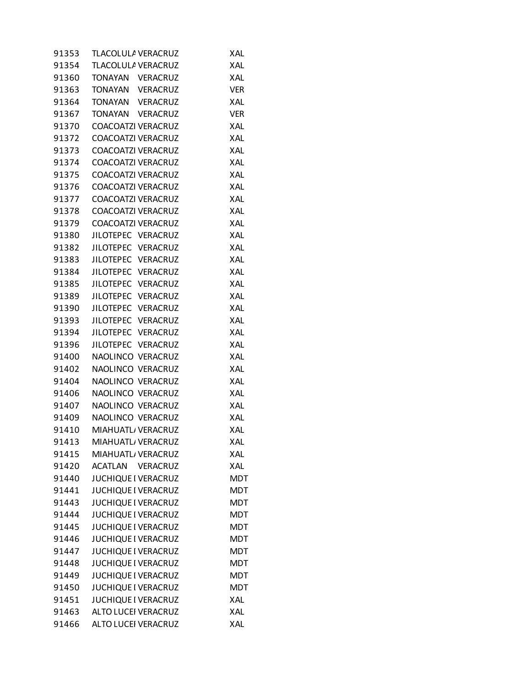| 91353 | TLACOLULA VERACRUZ         | <b>XAL</b> |
|-------|----------------------------|------------|
| 91354 | TLACOLULA VERACRUZ         | <b>XAL</b> |
| 91360 | TONAYAN VERACRUZ           | <b>XAL</b> |
| 91363 | TONAYAN VERACRUZ           | <b>VER</b> |
| 91364 | TONAYAN VERACRUZ           | XAL        |
| 91367 | TONAYAN VERACRUZ           | <b>VER</b> |
| 91370 | COACOATZI VERACRUZ         | XAL        |
| 91372 | COACOATZI VERACRUZ         | <b>XAL</b> |
| 91373 | COACOATZI VERACRUZ         | XAL        |
| 91374 | COACOATZI VERACRUZ         | XAL        |
| 91375 | <b>COACOATZI VERACRUZ</b>  | <b>XAL</b> |
| 91376 | COACOATZI VERACRUZ         | XAL        |
| 91377 | COACOATZI VERACRUZ         | XAL        |
| 91378 | COACOATZI VERACRUZ         | <b>XAL</b> |
| 91379 | COACOATZI VERACRUZ         | <b>XAL</b> |
| 91380 | JILOTEPEC VERACRUZ         | XAL        |
| 91382 | JILOTEPEC VERACRUZ         | <b>XAL</b> |
| 91383 | JILOTEPEC VERACRUZ         | XAL        |
| 91384 | JILOTEPEC VERACRUZ         | XAL        |
| 91385 | JILOTEPEC VERACRUZ         | <b>XAL</b> |
|       | 91389 JILOTEPEC VERACRUZ   | XAL        |
| 91390 | JILOTEPEC VERACRUZ         | XAL        |
| 91393 | JILOTEPEC VERACRUZ         | XAL        |
| 91394 | JILOTEPEC VERACRUZ         | XAL        |
| 91396 | JILOTEPEC VERACRUZ         | XAL        |
| 91400 | NAOLINCO VERACRUZ          | <b>XAL</b> |
| 91402 | NAOLINCO VERACRUZ          | XAL        |
| 91404 | NAOLINCO VERACRUZ          | XAL        |
| 91406 | NAOLINCO VERACRUZ          | XAL        |
| 91407 | NAOLINCO VERACRUZ          | XAL        |
| 91409 | NAOLINCO VERACRUZ          | XAL        |
| 91410 | MIAHUATL/ VERACRUZ         | XAL        |
| 91413 | MIAHUATL/ VERACRUZ         | XAL        |
| 91415 | MIAHUATL, VERACRUZ         | <b>XAL</b> |
| 91420 | ACATLAN VERACRUZ           | XAL        |
| 91440 | JUCHIQUE I VERACRUZ        | <b>MDT</b> |
| 91441 | <b>JUCHIQUE I VERACRUZ</b> | <b>MDT</b> |
| 91443 | <b>JUCHIQUE I VERACRUZ</b> | <b>MDT</b> |
| 91444 | JUCHIQUE I VERACRUZ        | <b>MDT</b> |
| 91445 | <b>JUCHIQUE I VERACRUZ</b> | <b>MDT</b> |
| 91446 | JUCHIQUE I VERACRUZ        | <b>MDT</b> |
| 91447 | JUCHIQUE I VERACRUZ        | <b>MDT</b> |
| 91448 | JUCHIQUE I VERACRUZ        | <b>MDT</b> |
| 91449 | JUCHIQUE I VERACRUZ        | <b>MDT</b> |
| 91450 | JUCHIQUE I VERACRUZ        | <b>MDT</b> |
| 91451 | JUCHIQUE I VERACRUZ        | XAL        |
| 91463 | ALTO LUCEI VERACRUZ        | XAL        |
| 91466 | ALTO LUCEI VERACRUZ        | XAL        |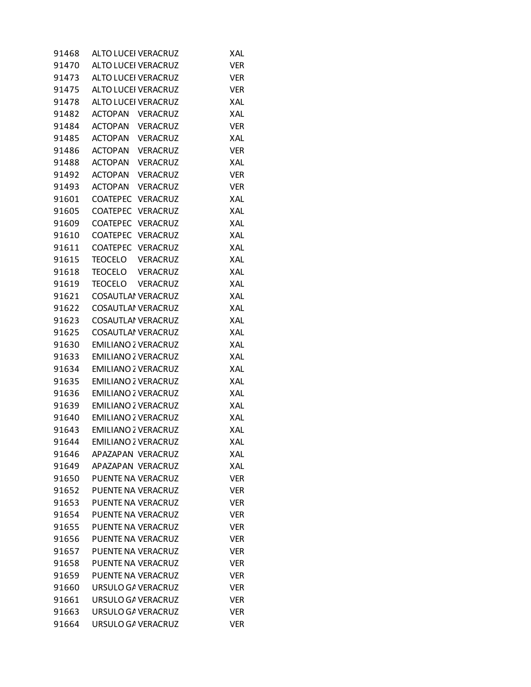| 91468 | <b>ALTO LUCEI VERACRUZ</b> |                 | XAL        |
|-------|----------------------------|-----------------|------------|
| 91470 | ALTO LUCEI VERACRUZ        |                 | <b>VER</b> |
| 91473 | ALTO LUCEI VERACRUZ        |                 | <b>VER</b> |
| 91475 | ALTO LUCEI VERACRUZ        |                 | <b>VER</b> |
| 91478 | <b>ALTO LUCEI VERACRUZ</b> |                 | <b>XAL</b> |
| 91482 | ACTOPAN VERACRUZ           |                 | XAL        |
| 91484 | ACTOPAN VERACRUZ           |                 | <b>VER</b> |
| 91485 | ACTOPAN VERACRUZ           |                 | <b>XAL</b> |
| 91486 | ACTOPAN VERACRUZ           |                 | <b>VER</b> |
| 91488 | ACTOPAN VERACRUZ           |                 | XAL        |
| 91492 | ACTOPAN VERACRUZ           |                 | <b>VER</b> |
| 91493 | ACTOPAN                    | <b>VERACRUZ</b> | <b>VER</b> |
| 91601 | COATEPEC VERACRUZ          |                 | XAL        |
| 91605 | COATEPEC VERACRUZ          |                 | <b>XAL</b> |
| 91609 | COATEPEC VERACRUZ          |                 | XAL        |
| 91610 | COATEPEC VERACRUZ          |                 | XAL        |
| 91611 | COATEPEC VERACRUZ          |                 | XAL        |
| 91615 | TEOCELO VERACRUZ           |                 | XAL        |
| 91618 | TEOCELO VERACRUZ           |                 | XAL        |
| 91619 | TEOCELO VERACRUZ           |                 | <b>XAL</b> |
| 91621 | <b>COSAUTLAI VERACRUZ</b>  |                 | XAL        |
| 91622 | COSAUTLAI VERACRUZ         |                 | XAL        |
| 91623 | <b>COSAUTLAI VERACRUZ</b>  |                 | XAL        |
| 91625 | <b>COSAUTLAI VERACRUZ</b>  |                 | XAL        |
| 91630 | <b>EMILIANO 2 VERACRUZ</b> |                 | XAL        |
| 91633 | <b>EMILIANO 2 VERACRUZ</b> |                 | <b>XAL</b> |
| 91634 | EMILIANO 2 VERACRUZ        |                 | XAL        |
| 91635 | EMILIANO 2 VERACRUZ        |                 | XAL        |
| 91636 | <b>EMILIANO 2 VERACRUZ</b> |                 | XAL        |
| 91639 | EMILIANO 2 VERACRUZ        |                 | XAL        |
| 91640 | EMILIANO 2 VERACRUZ        |                 | XAL        |
| 91643 | <b>EMILIANO 2 VERACRUZ</b> |                 | XAL        |
| 91644 | <b>EMILIANO 2 VERACRUZ</b> |                 | XAL        |
| 91646 | APAZAPAN VERACRUZ          |                 | XAL        |
| 91649 | APAZAPAN VERACRUZ          |                 | <b>XAL</b> |
| 91650 | PUENTE NA VERACRUZ         |                 | <b>VER</b> |
| 91652 | PUENTE NA VERACRUZ         |                 | <b>VER</b> |
| 91653 | PUENTE NA VERACRUZ         |                 | <b>VER</b> |
| 91654 | PUENTE NA VERACRUZ         |                 | <b>VER</b> |
| 91655 | PUENTE NA VERACRUZ         |                 | <b>VER</b> |
| 91656 | PUENTE NA VERACRUZ         |                 | <b>VER</b> |
| 91657 | PUENTE NA VERACRUZ         |                 | <b>VER</b> |
| 91658 | PUENTE NA VERACRUZ         |                 | <b>VER</b> |
| 91659 | PUENTE NA VERACRUZ         |                 | <b>VER</b> |
| 91660 | URSULO GA VERACRUZ         |                 | <b>VER</b> |
| 91661 | URSULO GA VERACRUZ         |                 | <b>VER</b> |
| 91663 | URSULO GA VERACRUZ         |                 | <b>VER</b> |
| 91664 | URSULO GA VERACRUZ         |                 | <b>VER</b> |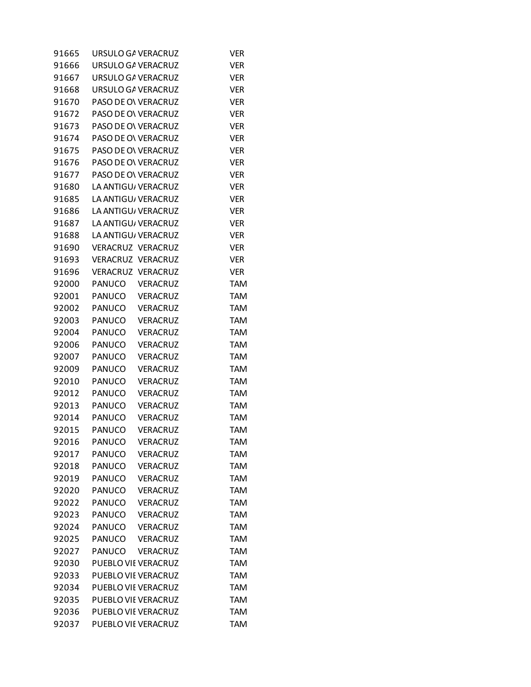| 91665 | URSULO GA VERACRUZ  |                 | Ver        |
|-------|---------------------|-----------------|------------|
| 91666 | URSULO GA VERACRUZ  |                 | <b>VER</b> |
| 91667 | URSULO GA VERACRUZ  |                 | <b>VER</b> |
| 91668 | URSULO GA VERACRUZ  |                 | <b>VER</b> |
| 91670 | PASO DE O\ VERACRUZ |                 | <b>VER</b> |
| 91672 | PASO DE OV VERACRUZ |                 | <b>VER</b> |
| 91673 | PASO DE ON VERACRUZ |                 | <b>VER</b> |
| 91674 | PASO DE O\ VERACRUZ |                 | <b>VER</b> |
| 91675 | PASO DE O\ VERACRUZ |                 | <b>VER</b> |
| 91676 | PASO DE ON VERACRUZ |                 | <b>VER</b> |
| 91677 | PASO DE O\ VERACRUZ |                 | <b>VER</b> |
| 91680 | LA ANTIGU, VERACRUZ |                 | <b>VER</b> |
| 91685 | LA ANTIGU/ VERACRUZ |                 | <b>VER</b> |
| 91686 | LA ANTIGU, VERACRUZ |                 | <b>VER</b> |
| 91687 | LA ANTIGU/ VERACRUZ |                 | <b>VER</b> |
| 91688 | LA ANTIGU/VERACRUZ  |                 | <b>VER</b> |
| 91690 | VERACRUZ VERACRUZ   |                 | <b>VER</b> |
| 91693 | VERACRUZ VERACRUZ   |                 | <b>VER</b> |
| 91696 | VERACRUZ VERACRUZ   |                 | <b>VER</b> |
| 92000 | <b>PANUCO</b>       | <b>VERACRUZ</b> | <b>TAM</b> |
| 92001 | PANUCO              | VERACRUZ        | <b>TAM</b> |
| 92002 | PANUCO              | <b>VERACRUZ</b> | <b>TAM</b> |
| 92003 | <b>PANUCO</b>       | <b>VERACRUZ</b> | <b>TAM</b> |
| 92004 | <b>PANUCO</b>       | <b>VERACRUZ</b> | <b>TAM</b> |
| 92006 | PANUCO              | <b>VERACRUZ</b> | <b>TAM</b> |
| 92007 | PANUCO              | <b>VERACRUZ</b> | <b>TAM</b> |
| 92009 | <b>PANUCO</b>       | <b>VERACRUZ</b> | <b>TAM</b> |
| 92010 | PANUCO              | <b>VERACRUZ</b> | <b>TAM</b> |
| 92012 | PANUCO              | <b>VERACRUZ</b> | <b>TAM</b> |
| 92013 | PANUCO              | <b>VERACRUZ</b> | <b>TAM</b> |
| 92014 | <b>PANUCO</b>       | <b>VERACRUZ</b> | <b>TAM</b> |
| 92015 | PANUCO              | <b>VERACRUZ</b> | <b>TAM</b> |
| 92016 | PANUCO              | VERACRUZ        | TAM        |
| 92017 | PANUCO              | <b>VERACRUZ</b> | <b>TAM</b> |
| 92018 | PANUCO              | <b>VERACRUZ</b> | <b>TAM</b> |
| 92019 | <b>PANUCO</b>       | <b>VERACRUZ</b> | <b>TAM</b> |
| 92020 | PANUCO              | <b>VERACRUZ</b> | <b>TAM</b> |
| 92022 | PANUCO              | <b>VERACRUZ</b> | <b>TAM</b> |
| 92023 | PANUCO              | <b>VERACRUZ</b> | <b>TAM</b> |
| 92024 | PANUCO              | <b>VERACRUZ</b> | <b>TAM</b> |
| 92025 | PANUCO              | VERACRUZ        | <b>TAM</b> |
| 92027 | PANUCO              | <b>VERACRUZ</b> | <b>TAM</b> |
| 92030 | PUEBLO VIE VERACRUZ |                 | <b>TAM</b> |
| 92033 | PUEBLO VIE VERACRUZ |                 | <b>TAM</b> |
| 92034 | PUEBLO VIE VERACRUZ |                 | <b>TAM</b> |
| 92035 | PUEBLO VIE VERACRUZ |                 | <b>TAM</b> |
| 92036 | PUEBLO VIE VERACRUZ |                 | <b>TAM</b> |
| 92037 | PUEBLO VIE VERACRUZ |                 | <b>TAM</b> |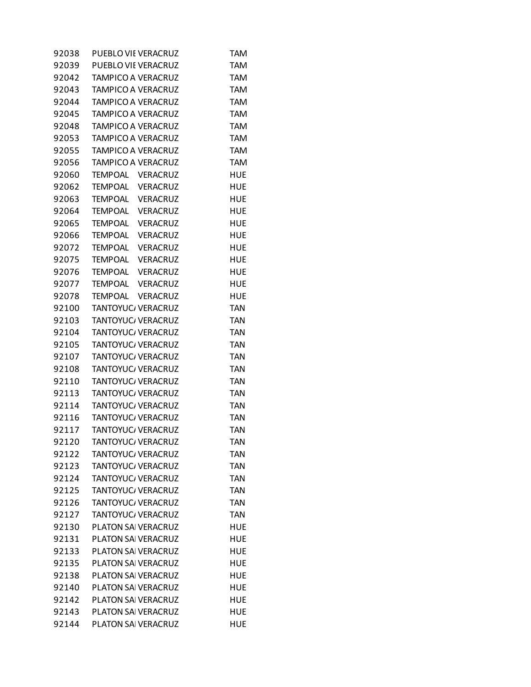| 92038 | PUEBLO VIE VERACRUZ       | TAM        |
|-------|---------------------------|------------|
| 92039 | PUEBLO VIE VERACRUZ       | <b>TAM</b> |
| 92042 | TAMPICO A VERACRUZ        | <b>TAM</b> |
| 92043 | <b>TAMPICO A VERACRUZ</b> | TAM        |
| 92044 | TAMPICO A VERACRUZ        | <b>TAM</b> |
| 92045 | TAMPICO A VERACRUZ        | <b>TAM</b> |
| 92048 | <b>TAMPICO A VERACRUZ</b> | <b>TAM</b> |
| 92053 | <b>TAMPICO A VERACRUZ</b> | <b>TAM</b> |
| 92055 | TAMPICO A VERACRUZ        | <b>TAM</b> |
| 92056 | <b>TAMPICO A VERACRUZ</b> | <b>TAM</b> |
| 92060 | TEMPOAL VERACRUZ          | <b>HUE</b> |
| 92062 | TEMPOAL VERACRUZ          | <b>HUE</b> |
| 92063 | TEMPOAL VERACRUZ          | HUE        |
| 92064 | TEMPOAL VERACRUZ          | HUE        |
| 92065 | TEMPOAL VERACRUZ          | HUE        |
| 92066 | TEMPOAL VERACRUZ          | HUE        |
| 92072 | TEMPOAL VERACRUZ          | HUE        |
| 92075 | TEMPOAL VERACRUZ          | HUE        |
| 92076 | TEMPOAL VERACRUZ          | HUE        |
| 92077 | TEMPOAL VERACRUZ          | HUE        |
| 92078 | TEMPOAL VERACRUZ          | <b>HUE</b> |
| 92100 | TANTOYUC/ VERACRUZ        | <b>TAN</b> |
| 92103 | TANTOYUC/ VERACRUZ        | <b>TAN</b> |
| 92104 | TANTOYUC/ VERACRUZ        | <b>TAN</b> |
| 92105 | TANTOYUC/ VERACRUZ        | <b>TAN</b> |
| 92107 | TANTOYUC/ VERACRUZ        | <b>TAN</b> |
| 92108 | TANTOYUC/ VERACRUZ        | <b>TAN</b> |
| 92110 | TANTOYUC/ VERACRUZ        | <b>TAN</b> |
| 92113 | TANTOYUC/ VERACRUZ        | <b>TAN</b> |
| 92114 | TANTOYUC/ VERACRUZ        | <b>TAN</b> |
| 92116 | TANTOYUC/ VERACRUZ        | <b>TAN</b> |
| 92117 | TANTOYUC/ VERACRUZ        | <b>TAN</b> |
| 92120 | TANTOYUC/ VERACRUZ        | <b>TAN</b> |
| 92122 | TANTOYUC/ VERACRUZ        | <b>TAN</b> |
| 92123 | <b>TANTOYUC/ VERACRUZ</b> | <b>TAN</b> |
| 92124 | TANTOYUC/ VERACRUZ        | <b>TAN</b> |
| 92125 | TANTOYUC/ VERACRUZ        | <b>TAN</b> |
| 92126 | TANTOYUC/ VERACRUZ        | <b>TAN</b> |
| 92127 | TANTOYUC/ VERACRUZ        | <b>TAN</b> |
| 92130 | PLATON SAI VERACRUZ       | HUE        |
| 92131 | PLATON SAI VERACRUZ       | HUE        |
| 92133 | PLATON SAI VERACRUZ       | HUE        |
| 92135 | PLATON SAI VERACRUZ       | HUE        |
| 92138 | PLATON SAI VERACRUZ       | HUE        |
| 92140 | PLATON SAI VERACRUZ       | HUE        |
| 92142 | PLATON SAI VERACRUZ       | HUE        |
| 92143 | PLATON SAI VERACRUZ       | HUE        |
| 92144 | PLATON SAI VERACRUZ       | <b>HUE</b> |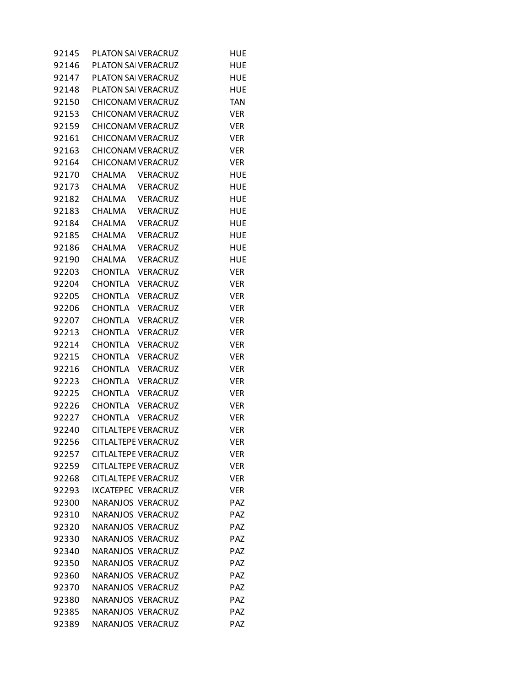| 92145 |                | PLATON SAI VERACRUZ        | HUE        |
|-------|----------------|----------------------------|------------|
| 92146 |                | PLATON SAI VERACRUZ        | HUE        |
| 92147 |                | PLATON SAI VERACRUZ        | HUE        |
| 92148 |                | PLATON SAI VERACRUZ        | HUE        |
| 92150 |                | CHICONAM VERACRUZ          | <b>TAN</b> |
| 92153 |                | CHICONAM VERACRUZ          | <b>VER</b> |
| 92159 |                | CHICONAM VERACRUZ          | <b>VER</b> |
| 92161 |                | <b>CHICONAM VERACRUZ</b>   | <b>VER</b> |
| 92163 |                | CHICONAM VERACRUZ          | <b>VER</b> |
| 92164 |                | CHICONAM VERACRUZ          | <b>VER</b> |
| 92170 |                | CHALMA VERACRUZ            | <b>HUE</b> |
| 92173 |                | CHALMA VERACRUZ            | <b>HUE</b> |
| 92182 |                | CHALMA VERACRUZ            | HUE        |
| 92183 |                | CHALMA VERACRUZ            | HUE        |
| 92184 |                | CHALMA VERACRUZ            | HUE        |
| 92185 |                | CHALMA VERACRUZ            | HUE        |
| 92186 | CHALMA         | VERACRUZ                   | <b>HUE</b> |
| 92190 | CHALMA         | <b>VERACRUZ</b>            | <b>HUE</b> |
| 92203 |                | CHONTLA VERACRUZ           | VER        |
| 92204 | <b>CHONTLA</b> | <b>VERACRUZ</b>            | <b>VER</b> |
| 92205 | CHONTLA        | VERACRUZ                   | <b>VER</b> |
| 92206 |                | CHONTLA VERACRUZ           | <b>VER</b> |
| 92207 | <b>CHONTLA</b> | <b>VERACRUZ</b>            | <b>VER</b> |
| 92213 | <b>CHONTLA</b> | <b>VERACRUZ</b>            | <b>VER</b> |
| 92214 | <b>CHONTLA</b> | <b>VERACRUZ</b>            | <b>VER</b> |
| 92215 | <b>CHONTLA</b> | <b>VERACRUZ</b>            | <b>VER</b> |
| 92216 | CHONTLA        | <b>VERACRUZ</b>            | <b>VER</b> |
| 92223 |                | CHONTLA VERACRUZ           | <b>VER</b> |
| 92225 |                | CHONTLA VERACRUZ           | <b>VER</b> |
| 92226 |                | CHONTLA VERACRUZ           | <b>VER</b> |
| 92227 |                | CHONTLA VERACRUZ           | <b>VER</b> |
| 92240 |                | CITLALTEPE VERACRUZ        | <b>VER</b> |
| 92256 |                | <b>CITLALTEPE VERACRUZ</b> | <b>VER</b> |
| 92257 |                | <b>CITLALTEPE VERACRUZ</b> | VER        |
| 92259 |                | <b>CITLALTEPE VERACRUZ</b> | ver        |
| 92268 |                | <b>CITLALTEPE VERACRUZ</b> | <b>VER</b> |
| 92293 |                | IXCATEPEC VERACRUZ         | ver        |
| 92300 |                | NARANJOS VERACRUZ          | PAZ        |
| 92310 |                | NARANJOS VERACRUZ          | <b>PAZ</b> |
| 92320 |                | NARANJOS VERACRUZ          | <b>PAZ</b> |
| 92330 |                | NARANJOS VERACRUZ          | <b>PAZ</b> |
| 92340 |                | NARANJOS VERACRUZ          | PAZ        |
| 92350 |                | NARANJOS VERACRUZ          | <b>PAZ</b> |
| 92360 |                | NARANJOS VERACRUZ          | <b>PAZ</b> |
| 92370 |                | NARANJOS VERACRUZ          | <b>PAZ</b> |
| 92380 |                | NARANJOS VERACRUZ          | <b>PAZ</b> |
| 92385 |                | NARANJOS VERACRUZ          | <b>PAZ</b> |
| 92389 |                | NARANJOS VERACRUZ          | <b>PAZ</b> |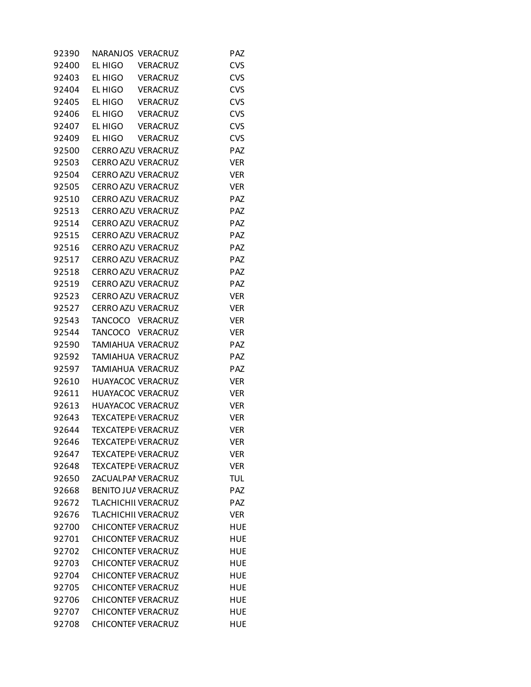| 92390 | NARANJOS VERACRUZ         |                    | PAZ        |
|-------|---------------------------|--------------------|------------|
| 92400 | EL HIGO                   | <b>VERACRUZ</b>    | <b>CVS</b> |
| 92403 | EL HIGO VERACRUZ          |                    | <b>CVS</b> |
| 92404 | EL HIGO                   | <b>VERACRUZ</b>    | <b>CVS</b> |
| 92405 | EL HIGO                   | <b>VERACRUZ</b>    | <b>CVS</b> |
| 92406 | EL HIGO                   | <b>VERACRUZ</b>    | <b>CVS</b> |
| 92407 | EL HIGO                   | <b>VERACRUZ</b>    | <b>CVS</b> |
| 92409 | EL HIGO                   | <b>VERACRUZ</b>    | <b>CVS</b> |
| 92500 | CERRO AZU VERACRUZ        |                    | PAZ        |
| 92503 | CERRO AZU VERACRUZ        |                    | <b>VER</b> |
| 92504 | CERRO AZU VERACRUZ        |                    | <b>VER</b> |
| 92505 | CERRO AZU VERACRUZ        |                    | <b>VER</b> |
| 92510 | CERRO AZU VERACRUZ        |                    | PAZ        |
| 92513 | CERRO AZU VERACRUZ        |                    | PAZ        |
| 92514 |                           | CERRO AZU VERACRUZ | PAZ        |
| 92515 | CERRO AZU VERACRUZ        |                    | PAZ        |
| 92516 | CERRO AZU VERACRUZ        |                    | PAZ        |
| 92517 | CERRO AZU VERACRUZ        |                    | PAZ        |
| 92518 | CERRO AZU VERACRUZ        |                    | PAZ        |
| 92519 | CERRO AZU VERACRUZ        |                    | PAZ        |
| 92523 | CERRO AZU VERACRUZ        |                    | <b>VER</b> |
| 92527 | CERRO AZU VERACRUZ        |                    | <b>VER</b> |
| 92543 | TANCOCO VERACRUZ          |                    | <b>VER</b> |
| 92544 | TANCOCO VERACRUZ          |                    | <b>VER</b> |
| 92590 | TAMIAHUA VERACRUZ         |                    | <b>PAZ</b> |
| 92592 | TAMIAHUA VERACRUZ         |                    | <b>PAZ</b> |
| 92597 | TAMIAHUA VERACRUZ         |                    | PAZ        |
| 92610 | HUAYACOC VERACRUZ         |                    | <b>VER</b> |
| 92611 | <b>HUAYACOC VERACRUZ</b>  |                    | <b>VER</b> |
| 92613 | HUAYACOC VERACRUZ         |                    | <b>VER</b> |
| 92643 | <b>TEXCATEPE VERACRUZ</b> |                    | <b>VER</b> |
| 92644 | <b>TEXCATEPE VERACRUZ</b> |                    | <b>VER</b> |
| 92646 | TEXCATEPE VERACRUZ        |                    | Ver        |
| 92647 | <b>TEXCATEPE VERACRUZ</b> |                    | <b>VER</b> |
| 92648 | <b>TEXCATEPE VERACRUZ</b> |                    | <b>VER</b> |
| 92650 | ZACUALPAI VERACRUZ        |                    | <b>TUL</b> |
| 92668 | BENITO JUA VERACRUZ       |                    | <b>PAZ</b> |
| 92672 | TLACHICHII VERACRUZ       |                    | <b>PAZ</b> |
| 92676 | TLACHICHII VERACRUZ       |                    | <b>VER</b> |
| 92700 | <b>CHICONTEF VERACRUZ</b> |                    | HUE        |
| 92701 | <b>CHICONTEF VERACRUZ</b> |                    | <b>HUE</b> |
| 92702 | <b>CHICONTEF VERACRUZ</b> |                    | HUE        |
| 92703 | <b>CHICONTEF VERACRUZ</b> |                    | HUE        |
| 92704 | <b>CHICONTEF VERACRUZ</b> |                    | <b>HUE</b> |
| 92705 | <b>CHICONTEF VERACRUZ</b> |                    | <b>HUE</b> |
| 92706 | <b>CHICONTEF VERACRUZ</b> |                    | HUE        |
| 92707 | <b>CHICONTEF VERACRUZ</b> |                    | <b>HUE</b> |
| 92708 | <b>CHICONTEF VERACRUZ</b> |                    | <b>HUE</b> |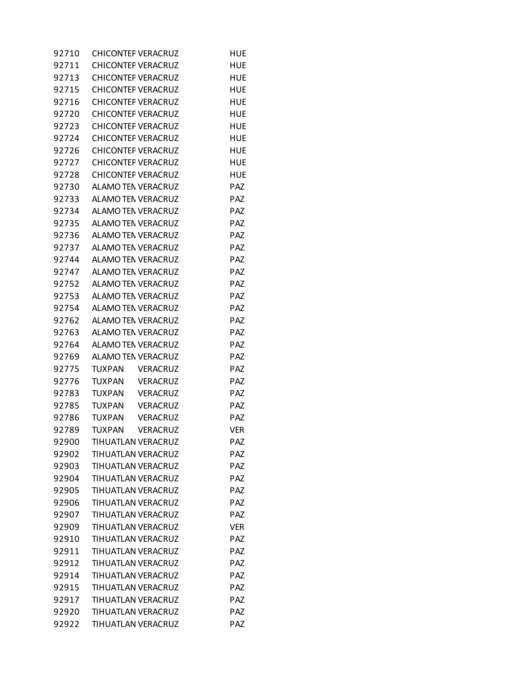| 92710 | <b>CHICONTEF VERACRUZ</b>        | HUE        |
|-------|----------------------------------|------------|
| 92711 | <b>CHICONTEF VERACRUZ</b>        | HUE        |
| 92713 | <b>CHICONTEF VERACRUZ</b>        | <b>HUE</b> |
| 92715 | <b>CHICONTEF VERACRUZ</b>        | HUE        |
| 92716 | <b>CHICONTEF VERACRUZ</b>        | <b>HUE</b> |
| 92720 | <b>CHICONTEF VERACRUZ</b>        | HUE        |
| 92723 | <b>CHICONTEF VERACRUZ</b>        | HUE        |
| 92724 | <b>CHICONTEF VERACRUZ</b>        | HUE        |
| 92726 | <b>CHICONTEF VERACRUZ</b>        | <b>HUE</b> |
| 92727 | <b>CHICONTEF VERACRUZ</b>        | HUE        |
| 92728 | <b>CHICONTEF VERACRUZ</b>        | <b>HUE</b> |
| 92730 | ALAMO TEN VERACRUZ               | PAZ        |
| 92733 | ALAMO TEN VERACRUZ               | PAZ        |
| 92734 | ALAMO TEN VERACRUZ               | PAZ        |
| 92735 | ALAMO TEN VERACRUZ               | PAZ        |
| 92736 | ALAMO TEN VERACRUZ               | <b>PAZ</b> |
| 92737 | ALAMO TEN VERACRUZ               | PAZ        |
| 92744 | ALAMO TEN VERACRUZ               | PAZ        |
| 92747 | ALAMO TEN VERACRUZ               | PAZ        |
| 92752 | ALAMO TEN VERACRUZ               | PAZ        |
| 92753 | ALAMO TEN VERACRUZ               | PAZ        |
| 92754 | ALAMO TEN VERACRUZ               | <b>PAZ</b> |
| 92762 | ALAMO TEN VERACRUZ               | PAZ        |
| 92763 | ALAMO TEN VERACRUZ               | PAZ        |
| 92764 | ALAMO TEN VERACRUZ               | PAZ        |
| 92769 | <b>ALAMO TEN VERACRUZ</b>        | PAZ        |
| 92775 | <b>TUXPAN</b><br><b>VERACRUZ</b> | PAZ        |
| 92776 | TUXPAN<br><b>VERACRUZ</b>        | PAZ        |
| 92783 | <b>TUXPAN</b><br><b>VERACRUZ</b> | PAZ        |
| 92785 | TUXPAN<br><b>VERACRUZ</b>        | PAZ        |
| 92786 | <b>TUXPAN</b><br><b>VERACRUZ</b> | PAZ        |
| 92789 | <b>TUXPAN</b><br><b>VERACRUZ</b> | <b>VER</b> |
| 92900 | <b>TIHUATLAN VERACRUZ</b>        | PAZ        |
| 92902 | TIHUATLAN VERACRUZ               | PAZ        |
| 92903 | TIHUATLAN VERACRUZ               | PAZ        |
| 92904 | TIHUATLAN VERACRUZ               | PAZ        |
| 92905 | TIHUATLAN VERACRUZ               | <b>PAZ</b> |
| 92906 | TIHUATLAN VERACRUZ               | PAZ        |
| 92907 | <b>TIHUATLAN VERACRUZ</b>        | PAZ        |
| 92909 | TIHUATLAN VERACRUZ               | <b>VER</b> |
| 92910 | TIHUATLAN VERACRUZ               | PAZ        |
| 92911 | TIHUATLAN VERACRUZ               | PAZ        |
| 92912 | TIHUATLAN VERACRUZ               | <b>PAZ</b> |
| 92914 | TIHUATLAN VERACRUZ               | PAZ        |
| 92915 | TIHUATLAN VERACRUZ               | PAZ        |
| 92917 | TIHUATLAN VERACRUZ               | PAZ        |
| 92920 | TIHUATLAN VERACRUZ               | PAZ        |
| 92922 | TIHUATLAN VERACRUZ               | PAZ        |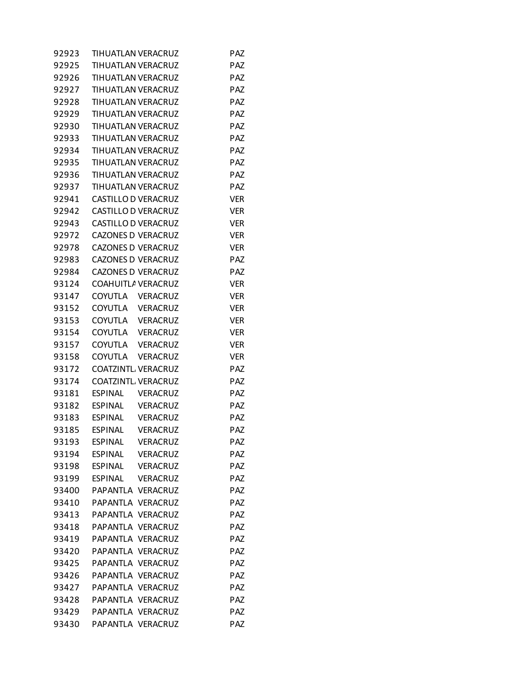| 92923 | TIHUATLAN VERACRUZ         |                 | <b>PAZ</b> |
|-------|----------------------------|-----------------|------------|
| 92925 | TIHUATLAN VERACRUZ         |                 | <b>PAZ</b> |
| 92926 | <b>TIHUATLAN VERACRUZ</b>  |                 | <b>PAZ</b> |
| 92927 | TIHUATLAN VERACRUZ         |                 | <b>PAZ</b> |
| 92928 | TIHUATLAN VERACRUZ         |                 | <b>PAZ</b> |
| 92929 | TIHUATLAN VERACRUZ         |                 | <b>PAZ</b> |
| 92930 | TIHUATLAN VERACRUZ         |                 | <b>PAZ</b> |
| 92933 | TIHUATLAN VERACRUZ         |                 | PAZ        |
| 92934 | <b>TIHUATLAN VERACRUZ</b>  |                 | <b>PAZ</b> |
| 92935 | <b>TIHUATLAN VERACRUZ</b>  |                 | <b>PAZ</b> |
| 92936 | <b>TIHUATLAN VERACRUZ</b>  |                 | <b>PAZ</b> |
| 92937 | TIHUATLAN VERACRUZ         |                 | <b>PAZ</b> |
| 92941 | CASTILLO D VERACRUZ        |                 | VER        |
| 92942 | CASTILLO D VERACRUZ        |                 | <b>VER</b> |
| 92943 | <b>CASTILLO D VERACRUZ</b> |                 | <b>VER</b> |
| 92972 | <b>CAZONES D VERACRUZ</b>  |                 | <b>VER</b> |
| 92978 | <b>CAZONES D VERACRUZ</b>  |                 | <b>VER</b> |
| 92983 | <b>CAZONES D VERACRUZ</b>  |                 | PAZ        |
| 92984 | <b>CAZONES D VERACRUZ</b>  |                 | <b>PAZ</b> |
| 93124 | COAHUITLA VERACRUZ         |                 | <b>VER</b> |
| 93147 | COYUTLA VERACRUZ           |                 | <b>VER</b> |
| 93152 | COYUTLA VERACRUZ           |                 | <b>VER</b> |
| 93153 | COYUTLA VERACRUZ           |                 | <b>VER</b> |
| 93154 | COYUTLA VERACRUZ           |                 | <b>VER</b> |
| 93157 | COYUTLA VERACRUZ           |                 | VER        |
| 93158 | COYUTLA VERACRUZ           |                 | <b>VER</b> |
| 93172 | COATZINTL VERACRUZ         |                 | <b>PAZ</b> |
| 93174 | <b>COATZINTL VERACRUZ</b>  |                 | <b>PAZ</b> |
| 93181 | <b>ESPINAL</b>             | VERACRUZ        | PAZ        |
| 93182 | ESPINAL VERACRUZ           |                 | PAZ        |
| 93183 | <b>ESPINAL</b>             | <b>VERACRUZ</b> | <b>PAZ</b> |
| 93185 | <b>ESPINAL</b>             | VERACRUZ        | PAZ        |
| 93193 | <b>ESPINAL</b>             | <b>VERACRUZ</b> | PAZ        |
| 93194 | <b>ESPINAL</b>             | <b>VERACRUZ</b> | PAZ        |
| 93198 | <b>ESPINAL</b>             | VERACRUZ        | PAZ        |
| 93199 | <b>ESPINAL</b>             | <b>VERACRUZ</b> | <b>PAZ</b> |
| 93400 | PAPANTLA VERACRUZ          |                 | PAZ        |
| 93410 | PAPANTLA VERACRUZ          |                 | <b>PAZ</b> |
| 93413 | PAPANTLA VERACRUZ          |                 | PAZ        |
| 93418 | PAPANTLA VERACRUZ          |                 | <b>PAZ</b> |
| 93419 | PAPANTLA VERACRUZ          |                 | <b>PAZ</b> |
| 93420 | PAPANTLA VERACRUZ          |                 | <b>PAZ</b> |
| 93425 | PAPANTLA VERACRUZ          |                 | PAZ        |
| 93426 | PAPANTLA VERACRUZ          |                 | <b>PAZ</b> |
| 93427 | PAPANTLA VERACRUZ          |                 | PAZ        |
| 93428 | PAPANTLA VERACRUZ          |                 | PAZ        |
| 93429 | PAPANTLA VERACRUZ          |                 | <b>PAZ</b> |
| 93430 | PAPANTLA VERACRUZ          |                 | PAZ        |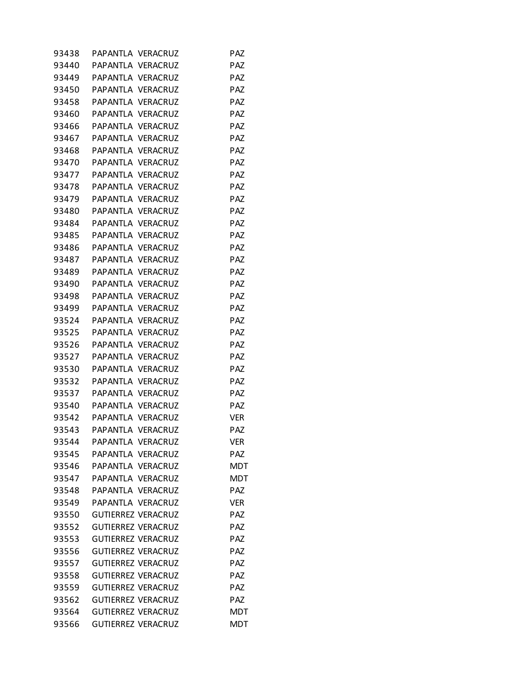| 93438 | PAPANTLA VERACRUZ         |  | PAZ        |
|-------|---------------------------|--|------------|
| 93440 | PAPANTLA VERACRUZ         |  | <b>PAZ</b> |
| 93449 | PAPANTLA VERACRUZ         |  | <b>PAZ</b> |
| 93450 | PAPANTLA VERACRUZ         |  | <b>PAZ</b> |
| 93458 | PAPANTLA VERACRUZ         |  | <b>PAZ</b> |
| 93460 | PAPANTLA VERACRUZ         |  | <b>PAZ</b> |
| 93466 | PAPANTLA VERACRUZ         |  | <b>PAZ</b> |
| 93467 | PAPANTLA VERACRUZ         |  | <b>PAZ</b> |
| 93468 | PAPANTLA VERACRUZ         |  | <b>PAZ</b> |
| 93470 | PAPANTLA VERACRUZ         |  | <b>PAZ</b> |
| 93477 | PAPANTLA VERACRUZ         |  | <b>PAZ</b> |
| 93478 | PAPANTLA VERACRUZ         |  | <b>PAZ</b> |
| 93479 | PAPANTLA VERACRUZ         |  | <b>PAZ</b> |
| 93480 | PAPANTLA VERACRUZ         |  | <b>PAZ</b> |
| 93484 | PAPANTLA VERACRUZ         |  | PAZ        |
| 93485 | PAPANTLA VERACRUZ         |  | PAZ        |
| 93486 | PAPANTLA VERACRUZ         |  | <b>PAZ</b> |
| 93487 | PAPANTLA VERACRUZ         |  | <b>PAZ</b> |
| 93489 | PAPANTLA VERACRUZ         |  | <b>PAZ</b> |
| 93490 | PAPANTLA VERACRUZ         |  | <b>PAZ</b> |
| 93498 | PAPANTLA VERACRUZ         |  | <b>PAZ</b> |
| 93499 | PAPANTLA VERACRUZ         |  | <b>PAZ</b> |
| 93524 | PAPANTLA VERACRUZ         |  | <b>PAZ</b> |
| 93525 | PAPANTLA VERACRUZ         |  | <b>PAZ</b> |
| 93526 | PAPANTLA VERACRUZ         |  | <b>PAZ</b> |
| 93527 | PAPANTLA VERACRUZ         |  | <b>PAZ</b> |
| 93530 | PAPANTLA VERACRUZ         |  | <b>PAZ</b> |
| 93532 | PAPANTLA VERACRUZ         |  | <b>PAZ</b> |
| 93537 | PAPANTLA VERACRUZ         |  | PAZ        |
| 93540 | PAPANTLA VERACRUZ         |  | <b>PAZ</b> |
| 93542 | PAPANTLA VERACRUZ         |  | <b>VER</b> |
| 93543 | PAPANTLA VERACRUZ         |  | PAZ        |
| 93544 | PAPANTLA VERACRUZ         |  | <b>VER</b> |
| 93545 | PAPANTLA VERACRUZ         |  | <b>PAZ</b> |
| 93546 | PAPANTLA VERACRUZ         |  | <b>MDT</b> |
| 93547 | PAPANTLA VERACRUZ         |  | <b>MDT</b> |
| 93548 | PAPANTLA VERACRUZ         |  | <b>PAZ</b> |
| 93549 | PAPANTLA VERACRUZ         |  | <b>VER</b> |
| 93550 | <b>GUTIERREZ VERACRUZ</b> |  | <b>PAZ</b> |
| 93552 | <b>GUTIERREZ VERACRUZ</b> |  | <b>PAZ</b> |
| 93553 | <b>GUTIERREZ VERACRUZ</b> |  | <b>PAZ</b> |
| 93556 | <b>GUTIERREZ VERACRUZ</b> |  | PAZ        |
| 93557 | <b>GUTIERREZ VERACRUZ</b> |  | <b>PAZ</b> |
| 93558 | <b>GUTIERREZ VERACRUZ</b> |  | <b>PAZ</b> |
| 93559 | <b>GUTIERREZ VERACRUZ</b> |  | <b>PAZ</b> |
| 93562 | <b>GUTIERREZ VERACRUZ</b> |  | <b>PAZ</b> |
| 93564 | <b>GUTIERREZ VERACRUZ</b> |  | <b>MDT</b> |
| 93566 | <b>GUTIERREZ VERACRUZ</b> |  | <b>MDT</b> |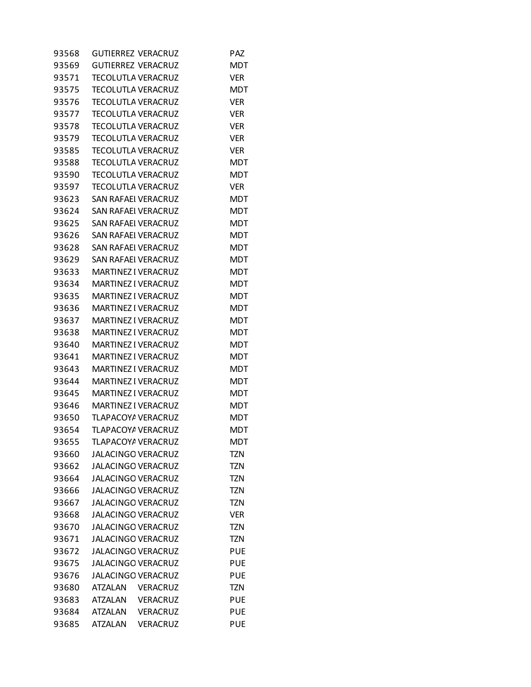| <b>GUTIERREZ VERACRUZ</b><br>93569<br>MDT<br>93571<br>TECOLUTLA VERACRUZ<br>VER<br>93575<br><b>TECOLUTLA VERACRUZ</b><br>MDT<br>93576<br><b>TECOLUTLA VERACRUZ</b><br><b>VER</b><br>93577<br>TECOLUTLA VERACRUZ<br><b>VER</b><br>93578<br>TECOLUTLA VERACRUZ<br>VER<br>93579<br><b>TECOLUTLA VERACRUZ</b><br><b>VER</b><br><b>TECOLUTLA VERACRUZ</b><br>93585<br><b>VER</b><br>93588<br><b>TECOLUTLA VERACRUZ</b><br>MDT<br>93590<br><b>TECOLUTLA VERACRUZ</b><br><b>MDT</b><br>TECOLUTLA VERACRUZ<br><b>VER</b><br>93597<br>93623<br>SAN RAFAEI VERACRUZ<br>MDT<br><b>SAN RAFAEI VERACRUZ</b><br>93624<br>MDT<br><b>MDT</b><br>93625<br>SAN RAFAEI VERACRUZ<br>93626<br>SAN RAFAEI VERACRUZ<br>MDT<br>93628<br><b>SAN RAFAEI VERACRUZ</b><br><b>MDT</b><br><b>MDT</b><br>93629<br>SAN RAFAEI VERACRUZ |  |
|--------------------------------------------------------------------------------------------------------------------------------------------------------------------------------------------------------------------------------------------------------------------------------------------------------------------------------------------------------------------------------------------------------------------------------------------------------------------------------------------------------------------------------------------------------------------------------------------------------------------------------------------------------------------------------------------------------------------------------------------------------------------------------------------------------|--|
|                                                                                                                                                                                                                                                                                                                                                                                                                                                                                                                                                                                                                                                                                                                                                                                                        |  |
|                                                                                                                                                                                                                                                                                                                                                                                                                                                                                                                                                                                                                                                                                                                                                                                                        |  |
|                                                                                                                                                                                                                                                                                                                                                                                                                                                                                                                                                                                                                                                                                                                                                                                                        |  |
|                                                                                                                                                                                                                                                                                                                                                                                                                                                                                                                                                                                                                                                                                                                                                                                                        |  |
|                                                                                                                                                                                                                                                                                                                                                                                                                                                                                                                                                                                                                                                                                                                                                                                                        |  |
|                                                                                                                                                                                                                                                                                                                                                                                                                                                                                                                                                                                                                                                                                                                                                                                                        |  |
|                                                                                                                                                                                                                                                                                                                                                                                                                                                                                                                                                                                                                                                                                                                                                                                                        |  |
|                                                                                                                                                                                                                                                                                                                                                                                                                                                                                                                                                                                                                                                                                                                                                                                                        |  |
|                                                                                                                                                                                                                                                                                                                                                                                                                                                                                                                                                                                                                                                                                                                                                                                                        |  |
|                                                                                                                                                                                                                                                                                                                                                                                                                                                                                                                                                                                                                                                                                                                                                                                                        |  |
|                                                                                                                                                                                                                                                                                                                                                                                                                                                                                                                                                                                                                                                                                                                                                                                                        |  |
|                                                                                                                                                                                                                                                                                                                                                                                                                                                                                                                                                                                                                                                                                                                                                                                                        |  |
|                                                                                                                                                                                                                                                                                                                                                                                                                                                                                                                                                                                                                                                                                                                                                                                                        |  |
|                                                                                                                                                                                                                                                                                                                                                                                                                                                                                                                                                                                                                                                                                                                                                                                                        |  |
|                                                                                                                                                                                                                                                                                                                                                                                                                                                                                                                                                                                                                                                                                                                                                                                                        |  |
|                                                                                                                                                                                                                                                                                                                                                                                                                                                                                                                                                                                                                                                                                                                                                                                                        |  |
|                                                                                                                                                                                                                                                                                                                                                                                                                                                                                                                                                                                                                                                                                                                                                                                                        |  |
| 93633<br><b>MARTINEZ I VERACRUZ</b><br>MDT                                                                                                                                                                                                                                                                                                                                                                                                                                                                                                                                                                                                                                                                                                                                                             |  |
| <b>MARTINEZ I VERACRUZ</b><br>93634<br><b>MDT</b>                                                                                                                                                                                                                                                                                                                                                                                                                                                                                                                                                                                                                                                                                                                                                      |  |
| <b>MDT</b><br>93635<br>MARTINEZ I VERACRUZ                                                                                                                                                                                                                                                                                                                                                                                                                                                                                                                                                                                                                                                                                                                                                             |  |
| 93636<br><b>MARTINEZ I VERACRUZ</b><br>MDT                                                                                                                                                                                                                                                                                                                                                                                                                                                                                                                                                                                                                                                                                                                                                             |  |
| 93637<br><b>MARTINEZ I VERACRUZ</b><br><b>MDT</b>                                                                                                                                                                                                                                                                                                                                                                                                                                                                                                                                                                                                                                                                                                                                                      |  |
| <b>MDT</b><br>93638<br><b>MARTINEZ I VERACRUZ</b>                                                                                                                                                                                                                                                                                                                                                                                                                                                                                                                                                                                                                                                                                                                                                      |  |
| 93640<br><b>MARTINEZ I VERACRUZ</b><br>MDT                                                                                                                                                                                                                                                                                                                                                                                                                                                                                                                                                                                                                                                                                                                                                             |  |
| 93641<br><b>MARTINEZ I VERACRUZ</b><br>MDT                                                                                                                                                                                                                                                                                                                                                                                                                                                                                                                                                                                                                                                                                                                                                             |  |
| <b>MDT</b><br>93643<br>MARTINEZ I VERACRUZ                                                                                                                                                                                                                                                                                                                                                                                                                                                                                                                                                                                                                                                                                                                                                             |  |
| 93644<br><b>MARTINEZ I VERACRUZ</b><br>MDT                                                                                                                                                                                                                                                                                                                                                                                                                                                                                                                                                                                                                                                                                                                                                             |  |
| 93645<br><b>MARTINEZ I VERACRUZ</b><br><b>MDT</b>                                                                                                                                                                                                                                                                                                                                                                                                                                                                                                                                                                                                                                                                                                                                                      |  |
| <b>MDT</b><br>93646<br><b>MARTINEZ I VERACRUZ</b>                                                                                                                                                                                                                                                                                                                                                                                                                                                                                                                                                                                                                                                                                                                                                      |  |
| 93650<br>TLAPACOYA VERACRUZ<br>MDT                                                                                                                                                                                                                                                                                                                                                                                                                                                                                                                                                                                                                                                                                                                                                                     |  |
| TLAPACOYA VERACRUZ<br>93654<br><b>MDT</b>                                                                                                                                                                                                                                                                                                                                                                                                                                                                                                                                                                                                                                                                                                                                                              |  |
| 93655<br>TLAPACOYA VERACRUZ<br><b>MDT</b>                                                                                                                                                                                                                                                                                                                                                                                                                                                                                                                                                                                                                                                                                                                                                              |  |
| <b>JALACINGO VERACRUZ</b><br><b>TZN</b><br>93660                                                                                                                                                                                                                                                                                                                                                                                                                                                                                                                                                                                                                                                                                                                                                       |  |
| <b>JALACINGO VERACRUZ</b><br>93662<br>TZN                                                                                                                                                                                                                                                                                                                                                                                                                                                                                                                                                                                                                                                                                                                                                              |  |
| <b>JALACINGO VERACRUZ</b><br><b>TZN</b><br>93664                                                                                                                                                                                                                                                                                                                                                                                                                                                                                                                                                                                                                                                                                                                                                       |  |
| JALACINGO VERACRUZ<br>93666<br>TZN                                                                                                                                                                                                                                                                                                                                                                                                                                                                                                                                                                                                                                                                                                                                                                     |  |
|                                                                                                                                                                                                                                                                                                                                                                                                                                                                                                                                                                                                                                                                                                                                                                                                        |  |
| 93667<br><b>JALACINGO VERACRUZ</b><br><b>TZN</b>                                                                                                                                                                                                                                                                                                                                                                                                                                                                                                                                                                                                                                                                                                                                                       |  |
| <b>JALACINGO VERACRUZ</b><br><b>VER</b><br>93668                                                                                                                                                                                                                                                                                                                                                                                                                                                                                                                                                                                                                                                                                                                                                       |  |
| 93670<br><b>JALACINGO VERACRUZ</b><br>TZN                                                                                                                                                                                                                                                                                                                                                                                                                                                                                                                                                                                                                                                                                                                                                              |  |
| 93671<br><b>JALACINGO VERACRUZ</b><br><b>TZN</b>                                                                                                                                                                                                                                                                                                                                                                                                                                                                                                                                                                                                                                                                                                                                                       |  |
| <b>JALACINGO VERACRUZ</b><br>93672<br>PUE                                                                                                                                                                                                                                                                                                                                                                                                                                                                                                                                                                                                                                                                                                                                                              |  |
| <b>JALACINGO VERACRUZ</b><br>93675<br><b>PUE</b>                                                                                                                                                                                                                                                                                                                                                                                                                                                                                                                                                                                                                                                                                                                                                       |  |
| 93676<br><b>JALACINGO VERACRUZ</b><br><b>PUE</b>                                                                                                                                                                                                                                                                                                                                                                                                                                                                                                                                                                                                                                                                                                                                                       |  |
| VERACRUZ<br><b>TZN</b><br>93680<br>ATZALAN                                                                                                                                                                                                                                                                                                                                                                                                                                                                                                                                                                                                                                                                                                                                                             |  |
| 93683<br>ATZALAN<br>VERACRUZ<br>PUE                                                                                                                                                                                                                                                                                                                                                                                                                                                                                                                                                                                                                                                                                                                                                                    |  |
| ATZALAN<br><b>VERACRUZ</b><br>93684<br>PUE                                                                                                                                                                                                                                                                                                                                                                                                                                                                                                                                                                                                                                                                                                                                                             |  |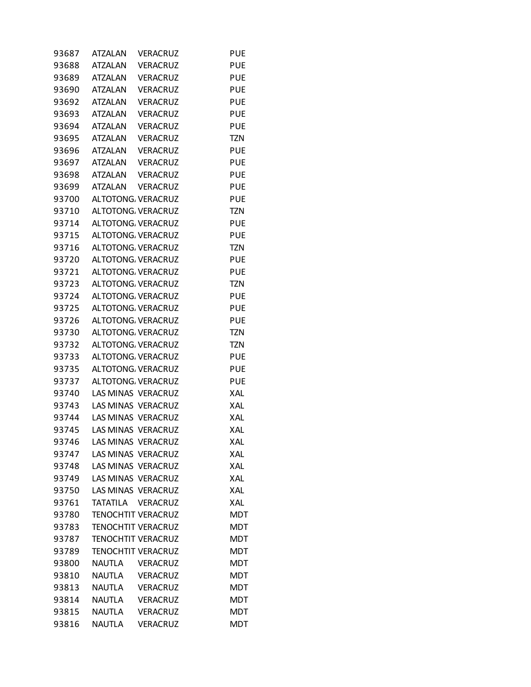| 93687 | <b>ATZALAN</b> | VERACRUZ                  | <b>PUE</b> |
|-------|----------------|---------------------------|------------|
| 93688 | <b>ATZALAN</b> | <b>VERACRUZ</b>           | <b>PUE</b> |
| 93689 | <b>ATZALAN</b> | <b>VERACRUZ</b>           | PUE        |
| 93690 | ATZALAN        | <b>VERACRUZ</b>           | PUE        |
| 93692 | <b>ATZALAN</b> | <b>VERACRUZ</b>           | <b>PUE</b> |
| 93693 | <b>ATZALAN</b> | <b>VERACRUZ</b>           | <b>PUE</b> |
| 93694 | <b>ATZALAN</b> | VERACRUZ                  | PUE        |
| 93695 | <b>ATZALAN</b> | <b>VERACRUZ</b>           | <b>TZN</b> |
| 93696 | <b>ATZALAN</b> | <b>VERACRUZ</b>           | <b>PUE</b> |
| 93697 | ATZALAN        | <b>VERACRUZ</b>           | PUE        |
| 93698 | <b>ATZALAN</b> | <b>VERACRUZ</b>           | <b>PUE</b> |
| 93699 | ATZALAN        | <b>VERACRUZ</b>           | <b>PUE</b> |
| 93700 |                | ALTOTONG. VERACRUZ        | PUE        |
| 93710 |                | ALTOTONG. VERACRUZ        | <b>TZN</b> |
| 93714 |                | ALTOTONG. VERACRUZ        | <b>PUE</b> |
| 93715 |                | ALTOTONG. VERACRUZ        | PUE        |
| 93716 |                | ALTOTONG. VERACRUZ        | <b>TZN</b> |
| 93720 |                | ALTOTONG. VERACRUZ        | <b>PUE</b> |
| 93721 |                | ALTOTONG. VERACRUZ        | PUE        |
| 93723 |                | ALTOTONG. VERACRUZ        | <b>TZN</b> |
| 93724 |                | ALTOTONG. VERACRUZ        | <b>PUE</b> |
| 93725 |                | ALTOTONG. VERACRUZ        | PUE        |
| 93726 |                | ALTOTONG. VERACRUZ        | <b>PUE</b> |
| 93730 |                | ALTOTONG. VERACRUZ        | <b>TZN</b> |
| 93732 |                | ALTOTONG. VERACRUZ        | <b>TZN</b> |
| 93733 |                | ALTOTONG. VERACRUZ        | <b>PUE</b> |
| 93735 |                | ALTOTONG. VERACRUZ        | <b>PUE</b> |
| 93737 |                | ALTOTONG. VERACRUZ        | PUE        |
| 93740 |                | LAS MINAS VERACRUZ        | XAL        |
| 93743 |                | LAS MINAS VERACRUZ        | XAL        |
| 93744 |                | LAS MINAS VERACRUZ        | XAL        |
| 93745 |                | LAS MINAS VERACRUZ        | XAL        |
| 93746 |                | LAS MINAS VERACRUZ        | XAL        |
| 93747 |                | LAS MINAS VERACRUZ        | XAL        |
| 93748 |                | <b>LAS MINAS VERACRUZ</b> | XAL        |
| 93749 |                | LAS MINAS VERACRUZ        | XAL        |
| 93750 |                | LAS MINAS VERACRUZ        | XAL        |
| 93761 |                | TATATILA VERACRUZ         | <b>XAL</b> |
| 93780 |                | <b>TENOCHTIT VERACRUZ</b> | <b>MDT</b> |
| 93783 |                | <b>TENOCHTIT VERACRUZ</b> | <b>MDT</b> |
| 93787 |                | <b>TENOCHTIT VERACRUZ</b> | MDT        |
| 93789 |                | <b>TENOCHTIT VERACRUZ</b> | <b>MDT</b> |
| 93800 | <b>NAUTLA</b>  | <b>VERACRUZ</b>           | <b>MDT</b> |
| 93810 | <b>NAUTLA</b>  | <b>VERACRUZ</b>           | <b>MDT</b> |
| 93813 | <b>NAUTLA</b>  | <b>VERACRUZ</b>           | <b>MDT</b> |
| 93814 | <b>NAUTLA</b>  | VERACRUZ                  | <b>MDT</b> |
| 93815 | <b>NAUTLA</b>  | <b>VERACRUZ</b>           | MDT        |
| 93816 | <b>NAUTLA</b>  | <b>VERACRUZ</b>           | <b>MDT</b> |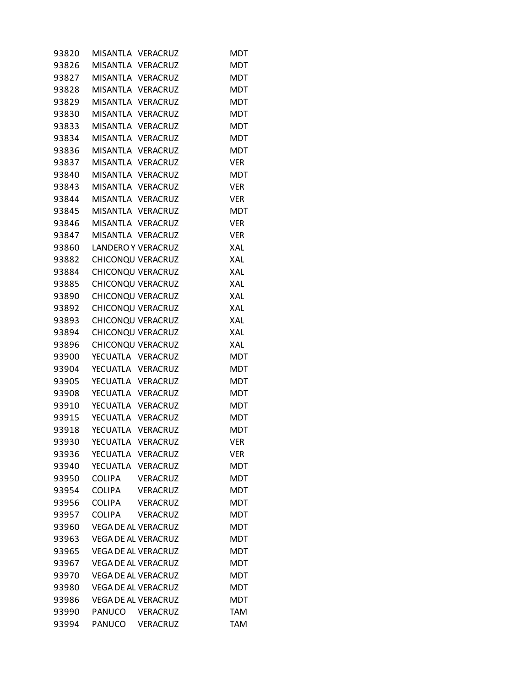| 93820 | MISANTLA VERACRUZ          |                 | MDT        |
|-------|----------------------------|-----------------|------------|
| 93826 | MISANTLA VERACRUZ          |                 | MDT        |
| 93827 | MISANTLA VERACRUZ          |                 | <b>MDT</b> |
| 93828 | MISANTLA VERACRUZ          |                 | <b>MDT</b> |
| 93829 | MISANTLA VERACRUZ          |                 | <b>MDT</b> |
| 93830 | MISANTLA VERACRUZ          |                 | <b>MDT</b> |
| 93833 | MISANTLA VERACRUZ          |                 | <b>MDT</b> |
| 93834 | MISANTLA VERACRUZ          |                 | <b>MDT</b> |
| 93836 | MISANTLA VERACRUZ          |                 | <b>MDT</b> |
| 93837 | MISANTLA VERACRUZ          |                 | <b>VER</b> |
| 93840 | MISANTLA VERACRUZ          |                 | <b>MDT</b> |
| 93843 | MISANTLA VERACRUZ          |                 | <b>VER</b> |
| 93844 | MISANTLA VERACRUZ          |                 | <b>VER</b> |
| 93845 | MISANTLA VERACRUZ          |                 | <b>MDT</b> |
| 93846 | MISANTLA VERACRUZ          |                 | <b>VER</b> |
| 93847 | MISANTLA VERACRUZ          |                 | <b>VER</b> |
| 93860 | <b>LANDERO Y VERACRUZ</b>  |                 | <b>XAL</b> |
| 93882 | CHICONQU VERACRUZ          |                 | XAL        |
| 93884 | CHICONQU VERACRUZ          |                 | XAL        |
| 93885 | CHICONQU VERACRUZ          |                 | XAL        |
| 93890 | CHICONQU VERACRUZ          |                 | XAL        |
| 93892 | CHICONQU VERACRUZ          |                 | XAL        |
| 93893 | CHICONQU VERACRUZ          |                 | XAL        |
| 93894 | CHICONQU VERACRUZ          |                 | XAL        |
| 93896 | CHICONQU VERACRUZ          |                 | XAL        |
| 93900 | YECUATLA VERACRUZ          |                 | <b>MDT</b> |
| 93904 | YECUATLA VERACRUZ          |                 | <b>MDT</b> |
| 93905 | YECUATLA VERACRUZ          |                 | <b>MDT</b> |
| 93908 | YECUATLA VERACRUZ          |                 | <b>MDT</b> |
| 93910 | YECUATLA VERACRUZ          |                 | <b>MDT</b> |
| 93915 | YECUATLA VERACRUZ          |                 | <b>MDT</b> |
| 93918 | YECUATLA VERACRUZ          |                 | <b>MDT</b> |
| 93930 | YECUATLA                   | VERACRUZ        | <b>VER</b> |
| 93936 | YECUATLA VERACRUZ          |                 | <b>VER</b> |
| 93940 | YECUATLA VERACRUZ          |                 | MDT        |
| 93950 | <b>COLIPA</b>              | <b>VERACRUZ</b> | <b>MDT</b> |
| 93954 | <b>COLIPA</b>              | VERACRUZ        | <b>MDT</b> |
| 93956 | <b>COLIPA</b>              | <b>VERACRUZ</b> | <b>MDT</b> |
| 93957 | <b>COLIPA</b>              | <b>VERACRUZ</b> | <b>MDT</b> |
| 93960 | <b>VEGA DE AL VERACRUZ</b> |                 | <b>MDT</b> |
| 93963 | <b>VEGA DE AL VERACRUZ</b> |                 | <b>MDT</b> |
| 93965 | <b>VEGA DE AL VERACRUZ</b> |                 | <b>MDT</b> |
| 93967 | <b>VEGA DE AL VERACRUZ</b> |                 | <b>MDT</b> |
| 93970 | <b>VEGA DE AL VERACRUZ</b> |                 | <b>MDT</b> |
| 93980 | <b>VEGA DE AL VERACRUZ</b> |                 | <b>MDT</b> |
| 93986 | <b>VEGA DE AL VERACRUZ</b> |                 | <b>MDT</b> |
| 93990 | PANUCO                     | <b>VERACRUZ</b> | TAM        |
| 93994 | PANUCO                     | VERACRUZ        | <b>TAM</b> |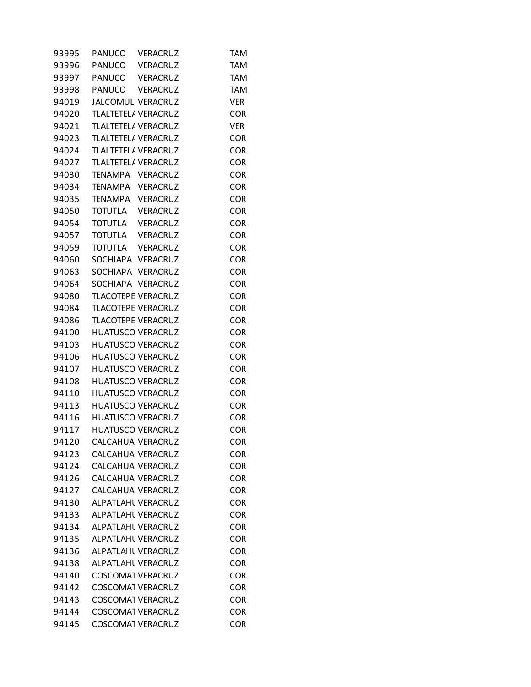| 93995 | PANUCO  | <b>VERACRUZ</b>                | <b>TAM</b> |
|-------|---------|--------------------------------|------------|
| 93996 |         | PANUCO VERACRUZ                | <b>TAM</b> |
| 93997 |         | PANUCO VERACRUZ                | TAM        |
| 93998 |         | PANUCO VERACRUZ                | <b>TAM</b> |
| 94019 |         | JALCOMUL <sup>I</sup> VERACRUZ | <b>VER</b> |
| 94020 |         | TLALTETELA VERACRUZ            | <b>COR</b> |
| 94021 |         | TLALTETELA VERACRUZ            | <b>VER</b> |
| 94023 |         | TLALTETELA VERACRUZ            | <b>COR</b> |
| 94024 |         | TLALTETELA VERACRUZ            | <b>COR</b> |
| 94027 |         | TLALTETELA VERACRUZ            | <b>COR</b> |
| 94030 |         | TENAMPA VERACRUZ               | <b>COR</b> |
| 94034 |         | TENAMPA VERACRUZ               | <b>COR</b> |
| 94035 |         | TENAMPA VERACRUZ               | <b>COR</b> |
| 94050 | TOTUTLA | <b>VERACRUZ</b>                | <b>COR</b> |
| 94054 |         | TOTUTLA VERACRUZ               | <b>COR</b> |
| 94057 |         | TOTUTLA VERACRUZ               | <b>COR</b> |
| 94059 |         | TOTUTLA VERACRUZ               | <b>COR</b> |
| 94060 |         | SOCHIAPA VERACRUZ              | <b>COR</b> |
| 94063 |         | SOCHIAPA VERACRUZ              | <b>COR</b> |
| 94064 |         | SOCHIAPA VERACRUZ              | <b>COR</b> |
| 94080 |         | <b>TLACOTEPE VERACRUZ</b>      | <b>COR</b> |
| 94084 |         | <b>TLACOTEPE VERACRUZ</b>      | <b>COR</b> |
| 94086 |         | <b>TLACOTEPE VERACRUZ</b>      | <b>COR</b> |
| 94100 |         | <b>HUATUSCO VERACRUZ</b>       | <b>COR</b> |
| 94103 |         | <b>HUATUSCO VERACRUZ</b>       | <b>COR</b> |
| 94106 |         | <b>HUATUSCO VERACRUZ</b>       | <b>COR</b> |
| 94107 |         | <b>HUATUSCO VERACRUZ</b>       | <b>COR</b> |
| 94108 |         | <b>HUATUSCO VERACRUZ</b>       | <b>COR</b> |
| 94110 |         | <b>HUATUSCO VERACRUZ</b>       | <b>COR</b> |
| 94113 |         | <b>HUATUSCO VERACRUZ</b>       | <b>COR</b> |
| 94116 |         | <b>HUATUSCO VERACRUZ</b>       | <b>COR</b> |
| 94117 |         | <b>HUATUSCO VERACRUZ</b>       | <b>COR</b> |
| 94120 |         | CALCAHUA VERACRUZ              | <b>COR</b> |
| 94123 |         | CALCAHUA VERACRUZ              | <b>COR</b> |
| 94124 |         | <b>CALCAHUA VERACRUZ</b>       | <b>COR</b> |
| 94126 |         | <b>CALCAHUA VERACRUZ</b>       | <b>COR</b> |
| 94127 |         | CALCAHUA VERACRUZ              | <b>COR</b> |
| 94130 |         | <b>ALPATLAHL VERACRUZ</b>      | <b>COR</b> |
| 94133 |         | <b>ALPATLAHL VERACRUZ</b>      | <b>COR</b> |
| 94134 |         | ALPATLAHL VERACRUZ             | <b>COR</b> |
| 94135 |         | ALPATLAHL VERACRUZ             | <b>COR</b> |
| 94136 |         | ALPATLAHL VERACRUZ             | <b>COR</b> |
| 94138 |         | ALPATLAHL VERACRUZ             | <b>COR</b> |
| 94140 |         | <b>COSCOMAT VERACRUZ</b>       | <b>COR</b> |
| 94142 |         | <b>COSCOMAT VERACRUZ</b>       | <b>COR</b> |
| 94143 |         | <b>COSCOMAT VERACRUZ</b>       | <b>COR</b> |
| 94144 |         | <b>COSCOMAT VERACRUZ</b>       | <b>COR</b> |
| 94145 |         | <b>COSCOMAT VERACRUZ</b>       | <b>COR</b> |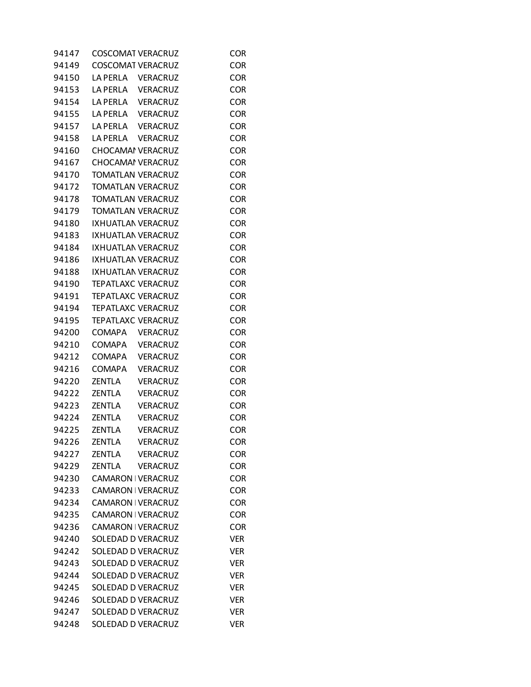| 94147 | <b>COSCOMAT VERACRUZ</b>  |                 | <b>COR</b> |
|-------|---------------------------|-----------------|------------|
| 94149 | <b>COSCOMAT VERACRUZ</b>  |                 | <b>COR</b> |
| 94150 | LA PERLA VERACRUZ         |                 | <b>COR</b> |
| 94153 | LA PERLA VERACRUZ         |                 | <b>COR</b> |
| 94154 | LA PERLA VERACRUZ         |                 | <b>COR</b> |
| 94155 | LA PERLA VERACRUZ         |                 | <b>COR</b> |
| 94157 | LA PERLA VERACRUZ         |                 | <b>COR</b> |
| 94158 | LA PERLA VERACRUZ         |                 | <b>COR</b> |
| 94160 | <b>CHOCAMAI VERACRUZ</b>  |                 | <b>COR</b> |
| 94167 | <b>CHOCAMAI VERACRUZ</b>  |                 | <b>COR</b> |
| 94170 | <b>TOMATLAN VERACRUZ</b>  |                 | <b>COR</b> |
| 94172 | TOMATLAN VERACRUZ         |                 | <b>COR</b> |
| 94178 | <b>TOMATLAN VERACRUZ</b>  |                 | <b>COR</b> |
| 94179 | <b>TOMATLAN VERACRUZ</b>  |                 | <b>COR</b> |
| 94180 | <b>IXHUATLAN VERACRUZ</b> |                 | <b>COR</b> |
| 94183 | <b>IXHUATLAN VERACRUZ</b> |                 | <b>COR</b> |
| 94184 | IXHUATLAN VERACRUZ        |                 | <b>COR</b> |
| 94186 | IXHUATLAN VERACRUZ        |                 | <b>COR</b> |
| 94188 | IXHUATLAN VERACRUZ        |                 | <b>COR</b> |
| 94190 | <b>TEPATLAXC VERACRUZ</b> |                 | <b>COR</b> |
| 94191 | TEPATLAXC VERACRUZ        |                 | <b>COR</b> |
| 94194 | <b>TEPATLAXC VERACRUZ</b> |                 | <b>COR</b> |
| 94195 | <b>TEPATLAXC VERACRUZ</b> |                 | <b>COR</b> |
|       |                           |                 | <b>COR</b> |
| 94200 | COMAPA                    | VERACRUZ        |            |
| 94210 | COMAPA                    | VERACRUZ        | <b>COR</b> |
| 94212 | <b>COMAPA</b>             | VERACRUZ        | <b>COR</b> |
| 94216 | COMAPA                    | <b>VERACRUZ</b> | <b>COR</b> |
| 94220 | ZENTLA                    | <b>VERACRUZ</b> | <b>COR</b> |
| 94222 | <b>ZENTLA</b>             | <b>VERACRUZ</b> | <b>COR</b> |
| 94223 | <b>ZENTLA</b>             | <b>VERACRUZ</b> | <b>COR</b> |
| 94224 | <b>ZENTLA</b>             | <b>VERACRUZ</b> | <b>COR</b> |
| 94225 | <b>ZENTLA</b>             | <b>VERACRUZ</b> | <b>COR</b> |
| 94226 | <b>ZENTLA</b>             | <b>VERACRUZ</b> | COR        |
| 94227 | <b>ZENTLA</b>             | <b>VERACRUZ</b> | <b>COR</b> |
| 94229 | <b>ZENTLA</b>             | <b>VERACRUZ</b> | <b>COR</b> |
| 94230 | CAMARON   VERACRUZ        |                 | <b>COR</b> |
| 94233 | CAMARON   VERACRUZ        |                 | <b>COR</b> |
| 94234 | CAMARON   VERACRUZ        |                 | <b>COR</b> |
| 94235 | CAMARON   VERACRUZ        |                 | <b>COR</b> |
| 94236 | CAMARON   VERACRUZ        |                 | <b>COR</b> |
| 94240 | SOLEDAD D VERACRUZ        |                 | <b>VER</b> |
| 94242 | SOLEDAD D VERACRUZ        |                 | <b>VER</b> |
| 94243 | SOLEDAD D VERACRUZ        |                 | <b>VER</b> |
| 94244 | SOLEDAD D VERACRUZ        |                 | <b>VER</b> |
| 94245 | SOLEDAD D VERACRUZ        |                 | <b>VER</b> |
| 94246 | SOLEDAD D VERACRUZ        |                 | <b>VER</b> |
| 94247 | SOLEDAD D VERACRUZ        |                 | <b>VER</b> |
| 94248 | SOLEDAD D VERACRUZ        |                 | <b>VER</b> |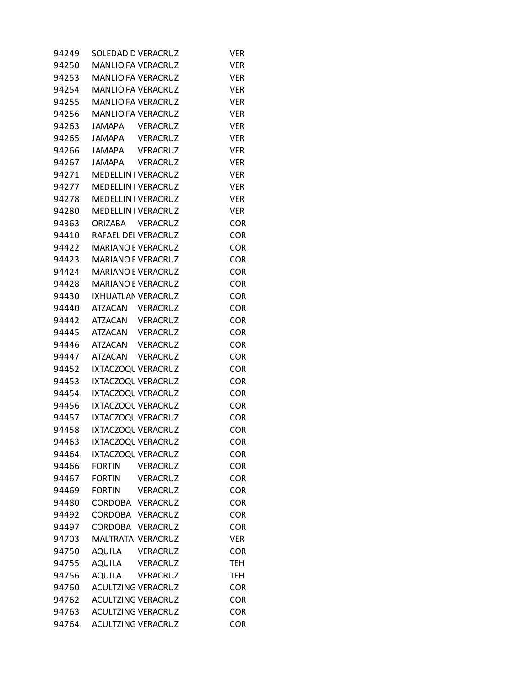| 94249 | SOLEDAD D VERACRUZ               | Ver        |
|-------|----------------------------------|------------|
| 94250 | <b>MANLIO FA VERACRUZ</b>        | <b>VER</b> |
| 94253 | MANLIO FA VERACRUZ               | <b>VER</b> |
| 94254 | MANLIO FA VERACRUZ               | <b>VER</b> |
| 94255 | MANLIO FA VERACRUZ               | <b>VER</b> |
| 94256 | MANLIO FA VERACRUZ               | <b>VER</b> |
| 94263 | <b>JAMAPA</b><br>VERACRUZ        | <b>VER</b> |
| 94265 | JAMAPA VERACRUZ                  | <b>VER</b> |
| 94266 | JAMAPA VERACRUZ                  | <b>VER</b> |
| 94267 | JAMAPA VERACRUZ                  | <b>VER</b> |
| 94271 | <b>MEDELLIN I VERACRUZ</b>       | <b>VER</b> |
| 94277 | <b>MEDELLIN I VERACRUZ</b>       | <b>VER</b> |
| 94278 | <b>MEDELLIN I VERACRUZ</b>       | <b>VER</b> |
| 94280 | <b>MEDELLIN I VERACRUZ</b>       | <b>VER</b> |
| 94363 | <b>ORIZABA</b><br>VERACRUZ       | <b>COR</b> |
| 94410 | RAFAEL DEL VERACRUZ              | <b>COR</b> |
| 94422 | <b>MARIANO E VERACRUZ</b>        | <b>COR</b> |
| 94423 | MARIANO E VERACRUZ               | <b>COR</b> |
| 94424 | <b>MARIANO E VERACRUZ</b>        | <b>COR</b> |
| 94428 | MARIANO E VERACRUZ               | <b>COR</b> |
| 94430 | IXHUATLAN VERACRUZ               | <b>COR</b> |
| 94440 | ATZACAN VERACRUZ                 | <b>COR</b> |
| 94442 | ATZACAN VERACRUZ                 | <b>COR</b> |
| 94445 | ATZACAN VERACRUZ                 | <b>COR</b> |
| 94446 | ATZACAN VERACRUZ                 | <b>COR</b> |
| 94447 | ATZACAN VERACRUZ                 | <b>COR</b> |
| 94452 | IXTACZOQL VERACRUZ               | <b>COR</b> |
| 94453 | IXTACZOQL VERACRUZ               | <b>COR</b> |
| 94454 | IXTACZOQL VERACRUZ               | <b>COR</b> |
| 94456 | IXTACZOQL VERACRUZ               | <b>COR</b> |
| 94457 | IXTACZOQL VERACRUZ               | <b>COR</b> |
| 94458 | IXTACZOQL VERACRUZ               | <b>COR</b> |
| 94463 | IXTACZOQL VERACRUZ               | <b>COR</b> |
| 94464 | IXTACZOQL VERACRUZ               | <b>COR</b> |
| 94466 | <b>FORTIN</b><br><b>VERACRUZ</b> | <b>COR</b> |
| 94467 | <b>FORTIN</b><br>VERACRUZ        | <b>COR</b> |
| 94469 | <b>FORTIN</b><br>VERACRUZ        | <b>COR</b> |
| 94480 | CORDOBA VERACRUZ                 | <b>COR</b> |
| 94492 | CORDOBA VERACRUZ                 | <b>COR</b> |
| 94497 | CORDOBA VERACRUZ                 | <b>COR</b> |
| 94703 | MALTRATA VERACRUZ                | <b>VER</b> |
| 94750 | <b>AQUILA</b><br>VERACRUZ        | <b>COR</b> |
| 94755 | AQUILA<br>VERACRUZ               | <b>TEH</b> |
| 94756 | <b>AQUILA</b><br>VERACRUZ        | <b>TEH</b> |
| 94760 | <b>ACULTZING VERACRUZ</b>        | <b>COR</b> |
| 94762 | <b>ACULTZING VERACRUZ</b>        | <b>COR</b> |
| 94763 | <b>ACULTZING VERACRUZ</b>        | <b>COR</b> |
| 94764 | ACULTZING VERACRUZ               | <b>COR</b> |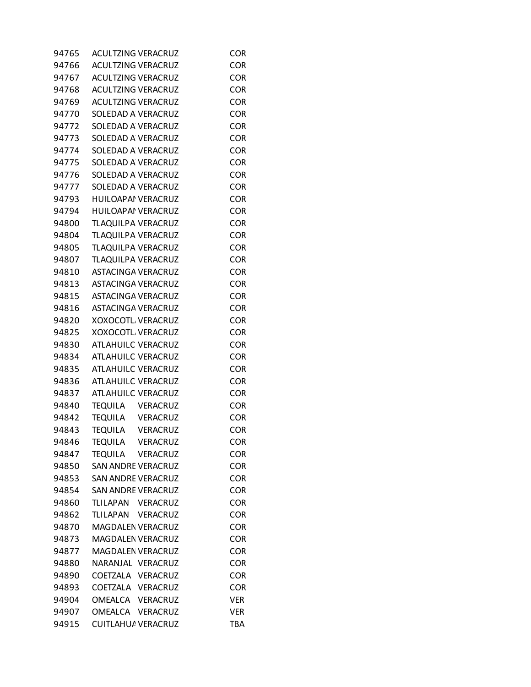| 94765 | <b>ACULTZING VERACRUZ</b> |                 | <b>COR</b> |
|-------|---------------------------|-----------------|------------|
| 94766 | <b>ACULTZING VERACRUZ</b> |                 | <b>COR</b> |
| 94767 | <b>ACULTZING VERACRUZ</b> |                 | <b>COR</b> |
| 94768 | <b>ACULTZING VERACRUZ</b> |                 | <b>COR</b> |
| 94769 | <b>ACULTZING VERACRUZ</b> |                 | <b>COR</b> |
| 94770 | SOLEDAD A VERACRUZ        |                 | <b>COR</b> |
| 94772 | SOLEDAD A VERACRUZ        |                 | <b>COR</b> |
| 94773 | SOLEDAD A VERACRUZ        |                 | <b>COR</b> |
| 94774 | SOLEDAD A VERACRUZ        |                 | <b>COR</b> |
| 94775 | SOLEDAD A VERACRUZ        |                 | <b>COR</b> |
| 94776 | SOLEDAD A VERACRUZ        |                 | <b>COR</b> |
| 94777 | SOLEDAD A VERACRUZ        |                 | <b>COR</b> |
| 94793 | HUILOAPAI VERACRUZ        |                 | <b>COR</b> |
| 94794 | <b>HUILOAPAI VERACRUZ</b> |                 | <b>COR</b> |
| 94800 | TLAQUILPA VERACRUZ        |                 | <b>COR</b> |
| 94804 | TLAQUILPA VERACRUZ        |                 | <b>COR</b> |
| 94805 | TLAQUILPA VERACRUZ        |                 | <b>COR</b> |
| 94807 | TLAQUILPA VERACRUZ        |                 | <b>COR</b> |
| 94810 | <b>ASTACINGA VERACRUZ</b> |                 | <b>COR</b> |
| 94813 | <b>ASTACINGA VERACRUZ</b> |                 | <b>COR</b> |
| 94815 | ASTACINGA VERACRUZ        |                 | <b>COR</b> |
| 94816 | ASTACINGA VERACRUZ        |                 | <b>COR</b> |
| 94820 | XOXOCOTL VERACRUZ         |                 | <b>COR</b> |
| 94825 | XOXOCOTL VERACRUZ         |                 | <b>COR</b> |
| 94830 | ATLAHUILC VERACRUZ        |                 | <b>COR</b> |
| 94834 | <b>ATLAHUILC VERACRUZ</b> |                 | <b>COR</b> |
| 94835 | <b>ATLAHUILC VERACRUZ</b> |                 | <b>COR</b> |
| 94836 | ATLAHUILC VERACRUZ        |                 | <b>COR</b> |
| 94837 | <b>ATLAHUILC VERACRUZ</b> |                 | <b>COR</b> |
| 94840 | TEQUILA VERACRUZ          |                 | <b>COR</b> |
| 94842 | TEQUILA VERACRUZ          |                 | <b>COR</b> |
| 94843 | TEQUILA VERACRUZ          |                 | <b>COR</b> |
| 94846 | TEQUILA VERACRUZ          |                 | <b>COR</b> |
| 94847 | <b>TEQUILA</b>            | <b>VERACRUZ</b> | <b>COR</b> |
| 94850 | <b>SAN ANDRE VERACRUZ</b> |                 | <b>COR</b> |
| 94853 | <b>SAN ANDRE VERACRUZ</b> |                 | <b>COR</b> |
| 94854 | SAN ANDRE VERACRUZ        |                 | <b>COR</b> |
| 94860 | TLILAPAN VERACRUZ         |                 | <b>COR</b> |
| 94862 | TLILAPAN VERACRUZ         |                 | <b>COR</b> |
| 94870 | <b>MAGDALEN VERACRUZ</b>  |                 | <b>COR</b> |
| 94873 | MAGDALEN VERACRUZ         |                 | <b>COR</b> |
| 94877 | <b>MAGDALEN VERACRUZ</b>  |                 | <b>COR</b> |
| 94880 | NARANJAL VERACRUZ         |                 | <b>COR</b> |
| 94890 | COETZALA VERACRUZ         |                 | <b>COR</b> |
| 94893 | COETZALA VERACRUZ         |                 | <b>COR</b> |
| 94904 | OMEALCA VERACRUZ          |                 | <b>VER</b> |
| 94907 | OMEALCA VERACRUZ          |                 | <b>VER</b> |
| 94915 | CUITLAHU/ VERACRUZ        |                 | <b>TBA</b> |
|       |                           |                 |            |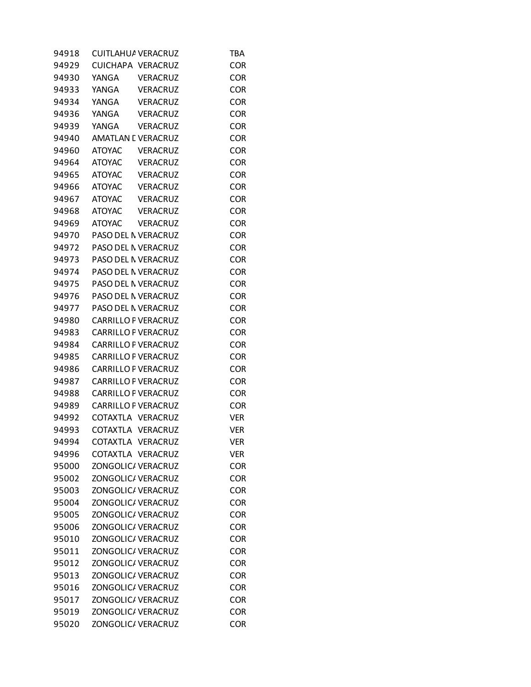| 94918 | CUITLAHUA VERACRUZ         |                 | <b>TBA</b> |
|-------|----------------------------|-----------------|------------|
| 94929 | CUICHAPA VERACRUZ          |                 | <b>COR</b> |
| 94930 | YANGA                      | VERACRUZ        | <b>COR</b> |
| 94933 | YANGA                      | <b>VERACRUZ</b> | <b>COR</b> |
| 94934 | YANGA                      | <b>VERACRUZ</b> | <b>COR</b> |
| 94936 | YANGA                      | VERACRUZ        | <b>COR</b> |
| 94939 | YANGA                      | <b>VERACRUZ</b> | <b>COR</b> |
| 94940 | <b>AMATLAN E VERACRUZ</b>  |                 | <b>COR</b> |
| 94960 | <b>ATOYAC</b>              | VERACRUZ        | <b>COR</b> |
| 94964 | <b>ATOYAC</b>              | VERACRUZ        | <b>COR</b> |
| 94965 | ATOYAC VERACRUZ            |                 | <b>COR</b> |
| 94966 | ATOYAC VERACRUZ            |                 | <b>COR</b> |
| 94967 | <b>ATOYAC</b>              | <b>VERACRUZ</b> | <b>COR</b> |
| 94968 | ATOYAC VERACRUZ            |                 | <b>COR</b> |
| 94969 | <b>ATOYAC</b>              | <b>VERACRUZ</b> | <b>COR</b> |
| 94970 | PASO DEL N VERACRUZ        |                 | <b>COR</b> |
| 94972 | PASO DEL N VERACRUZ        |                 | <b>COR</b> |
| 94973 | PASO DEL N VERACRUZ        |                 | <b>COR</b> |
| 94974 | PASO DEL N VERACRUZ        |                 | <b>COR</b> |
| 94975 | PASO DEL N VERACRUZ        |                 | <b>COR</b> |
| 94976 | PASO DEL N VERACRUZ        |                 | <b>COR</b> |
| 94977 | PASO DEL N VERACRUZ        |                 | <b>COR</b> |
| 94980 | <b>CARRILLO F VERACRUZ</b> |                 | <b>COR</b> |
| 94983 | <b>CARRILLO F VERACRUZ</b> |                 | <b>COR</b> |
| 94984 | <b>CARRILLO F VERACRUZ</b> |                 | <b>COR</b> |
| 94985 | <b>CARRILLO F VERACRUZ</b> |                 | <b>COR</b> |
| 94986 | CARRILLO F VERACRUZ        |                 | <b>COR</b> |
| 94987 | <b>CARRILLO F VERACRUZ</b> |                 | <b>COR</b> |
| 94988 | <b>CARRILLO F VERACRUZ</b> |                 | <b>COR</b> |
| 94989 | <b>CARRILLO F VERACRUZ</b> |                 | <b>COR</b> |
| 94992 | COTAXTLA VERACRUZ          |                 | <b>VER</b> |
| 94993 | COTAXTLA VERACRUZ          |                 | <b>VER</b> |
| 94994 | COTAXTLA VERACRUZ          |                 | <b>VER</b> |
| 94996 | COTAXTLA VERACRUZ          |                 | VER        |
| 95000 | <b>ZONGOLIC/ VERACRUZ</b>  |                 | <b>COR</b> |
| 95002 | ZONGOLIC/ VERACRUZ         |                 | <b>COR</b> |
| 95003 | ZONGOLIC/ VERACRUZ         |                 | <b>COR</b> |
| 95004 | <b>ZONGOLIC/ VERACRUZ</b>  |                 | <b>COR</b> |
| 95005 | ZONGOLIC/ VERACRUZ         |                 | <b>COR</b> |
| 95006 | ZONGOLIC/ VERACRUZ         |                 | <b>COR</b> |
| 95010 | <b>ZONGOLIC/ VERACRUZ</b>  |                 | <b>COR</b> |
| 95011 | <b>ZONGOLIC/ VERACRUZ</b>  |                 | <b>COR</b> |
| 95012 | ZONGOLIC/ VERACRUZ         |                 | <b>COR</b> |
| 95013 | ZONGOLIC/ VERACRUZ         |                 | <b>COR</b> |
| 95016 | ZONGOLIC/ VERACRUZ         |                 | <b>COR</b> |
| 95017 | ZONGOLIC/ VERACRUZ         |                 | <b>COR</b> |
| 95019 | ZONGOLIC/ VERACRUZ         |                 | <b>COR</b> |
| 95020 | ZONGOLIC/ VERACRUZ         |                 | COR        |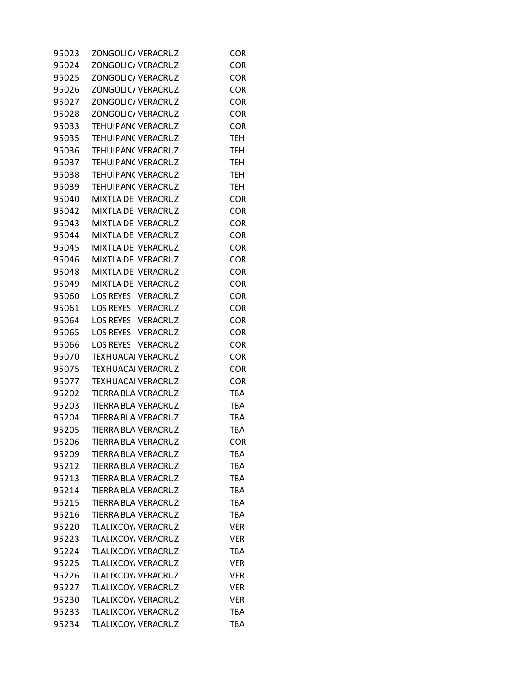| 95023 | ZONGOLIC/ VERACRUZ         | <b>COR</b> |
|-------|----------------------------|------------|
| 95024 | ZONGOLIC/ VERACRUZ         | <b>COR</b> |
| 95025 | ZONGOLIC/ VERACRUZ         | <b>COR</b> |
| 95026 | ZONGOLIC/ VERACRUZ         | <b>COR</b> |
| 95027 | ZONGOLIC/ VERACRUZ         | <b>COR</b> |
| 95028 | ZONGOLIC/ VERACRUZ         | <b>COR</b> |
| 95033 | TEHUIPANC VERACRUZ         | <b>COR</b> |
| 95035 | TEHUIPANC VERACRUZ         | <b>TEH</b> |
| 95036 | <b>TEHUIPANC VERACRUZ</b>  | <b>TEH</b> |
| 95037 | TEHUIPANC VERACRUZ         | <b>TEH</b> |
| 95038 | TEHUIPANC VERACRUZ         | <b>TEH</b> |
| 95039 | TEHUIPANC VERACRUZ         | <b>TEH</b> |
| 95040 | MIXTLA DE VERACRUZ         | <b>COR</b> |
| 95042 | MIXTLA DE VERACRUZ         | <b>COR</b> |
| 95043 | MIXTLA DE VERACRUZ         | <b>COR</b> |
| 95044 | MIXTLA DE VERACRUZ         | <b>COR</b> |
| 95045 | MIXTLA DE VERACRUZ         | <b>COR</b> |
| 95046 | MIXTLA DE VERACRUZ         | <b>COR</b> |
| 95048 | MIXTLA DE VERACRUZ         | <b>COR</b> |
| 95049 | MIXTLA DE VERACRUZ         | <b>COR</b> |
| 95060 | LOS REYES VERACRUZ         | <b>COR</b> |
| 95061 | LOS REYES VERACRUZ         | <b>COR</b> |
| 95064 | LOS REYES VERACRUZ         | <b>COR</b> |
| 95065 | LOS REYES VERACRUZ         | <b>COR</b> |
| 95066 | LOS REYES VERACRUZ         | <b>COR</b> |
| 95070 | <b>TEXHUACAI VERACRUZ</b>  | <b>COR</b> |
| 95075 | TEXHUACAI VERACRUZ         | <b>COR</b> |
| 95077 | TEXHUACAI VERACRUZ         | <b>COR</b> |
| 95202 | <b>TIERRA BLA VERACRUZ</b> | <b>TBA</b> |
| 95203 | TIERRA BLA VERACRUZ        | <b>TBA</b> |
| 95204 | TIERRA BLA VERACRUZ        | <b>TBA</b> |
| 95205 | <b>TIERRA BLA VERACRUZ</b> | <b>TBA</b> |
| 95206 | TIERRA BLA VERACRUZ        | <b>COR</b> |
| 95209 | TIERRA BLA VERACRUZ        | <b>TBA</b> |
| 95212 | <b>TIERRA BLA VERACRUZ</b> | <b>TBA</b> |
| 95213 | TIERRA BLA VERACRUZ        | <b>TBA</b> |
| 95214 | <b>TIERRA BLA VERACRUZ</b> | <b>TBA</b> |
| 95215 | TIERRA BLA VERACRUZ        | <b>TBA</b> |
| 95216 | TIERRA BLA VERACRUZ        | <b>TBA</b> |
| 95220 | TLALIXCOY/ VERACRUZ        | <b>VER</b> |
| 95223 | TLALIXCOY/ VERACRUZ        | <b>VER</b> |
| 95224 | TLALIXCOY/ VERACRUZ        | <b>TBA</b> |
| 95225 | TLALIXCOY/ VERACRUZ        | <b>VER</b> |
| 95226 | TLALIXCOY/ VERACRUZ        | VER        |
| 95227 | TLALIXCOY/ VERACRUZ        | <b>VER</b> |
| 95230 | TLALIXCOY/ VERACRUZ        | <b>VER</b> |
| 95233 | TLALIXCOY/ VERACRUZ        | TBA        |
| 95234 | TLALIXCOY/ VERACRUZ        | <b>TBA</b> |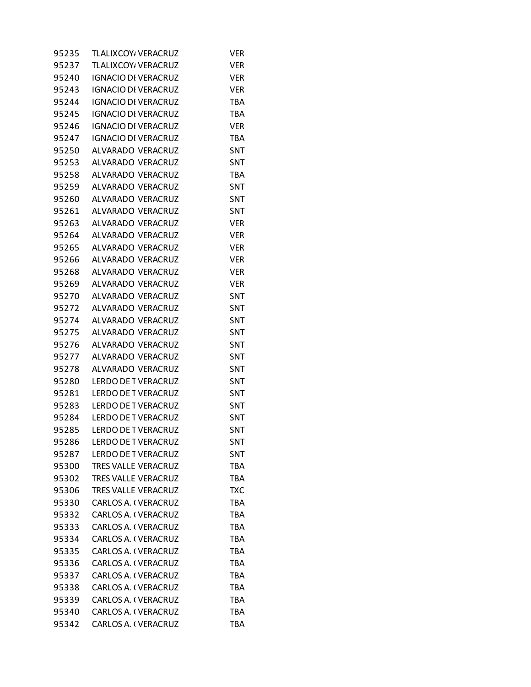| 95235 | TLALIXCOY, VERACRUZ        | Ver        |
|-------|----------------------------|------------|
| 95237 | TLALIXCOY/ VERACRUZ        | VER        |
| 95240 | <b>IGNACIO DI VERACRUZ</b> | <b>VER</b> |
| 95243 | <b>IGNACIO DI VERACRUZ</b> | <b>VER</b> |
| 95244 | <b>IGNACIO DI VERACRUZ</b> | <b>TBA</b> |
| 95245 | <b>IGNACIO DI VERACRUZ</b> | <b>TBA</b> |
| 95246 | <b>IGNACIO DI VERACRUZ</b> | <b>VER</b> |
| 95247 | <b>IGNACIO DI VERACRUZ</b> | <b>TBA</b> |
| 95250 | ALVARADO VERACRUZ          | SNT        |
| 95253 | ALVARADO VERACRUZ          | SNT        |
| 95258 | ALVARADO VERACRUZ          | TBA        |
| 95259 | ALVARADO VERACRUZ          | SNT        |
| 95260 | ALVARADO VERACRUZ          | SNT        |
| 95261 | ALVARADO VERACRUZ          | SNT        |
| 95263 | ALVARADO VERACRUZ          | <b>VER</b> |
| 95264 | ALVARADO VERACRUZ          | <b>VER</b> |
| 95265 | ALVARADO VERACRUZ          | <b>VER</b> |
| 95266 | ALVARADO VERACRUZ          | <b>VER</b> |
| 95268 | ALVARADO VERACRUZ          | <b>VER</b> |
| 95269 | ALVARADO VERACRUZ          | <b>VER</b> |
| 95270 | ALVARADO VERACRUZ          | SNT        |
| 95272 | ALVARADO VERACRUZ          | SNT        |
| 95274 | ALVARADO VERACRUZ          | SNT        |
| 95275 | ALVARADO VERACRUZ          | <b>SNT</b> |
| 95276 | ALVARADO VERACRUZ          | SNT        |
| 95277 | ALVARADO VERACRUZ          | SNT        |
| 95278 | ALVARADO VERACRUZ          | SNT        |
| 95280 | LERDO DE TVERACRUZ         | <b>SNT</b> |
| 95281 | <b>LERDO DE T VERACRUZ</b> | SNT        |
| 95283 | LERDO DE TVERACRUZ         | SNT        |
| 95284 | LERDO DE TVERACRUZ         | SNT        |
| 95285 | LERDO DE TVERACRUZ         | SNT        |
| 95286 | <b>LERDO DE T VERACRUZ</b> | SNT        |
| 95287 | <b>LERDO DE T VERACRUZ</b> | SNT        |
| 95300 | <b>TRES VALLE VERACRUZ</b> | <b>TBA</b> |
| 95302 | TRES VALLE VERACRUZ        | <b>TBA</b> |
| 95306 | TRES VALLE VERACRUZ        | <b>TXC</b> |
| 95330 | CARLOS A. (VERACRUZ        | <b>TBA</b> |
| 95332 | CARLOS A. (VERACRUZ        | <b>TBA</b> |
| 95333 | CARLOS A. ( VERACRUZ       | <b>TBA</b> |
| 95334 | <b>CARLOS A. (VERACRUZ</b> | <b>TBA</b> |
| 95335 | CARLOS A. (VERACRUZ        | <b>TBA</b> |
| 95336 | CARLOS A. ( VERACRUZ       | <b>TBA</b> |
| 95337 | CARLOS A. ( VERACRUZ       | <b>TBA</b> |
| 95338 | CARLOS A. (VERACRUZ        | <b>TBA</b> |
| 95339 | CARLOS A. ( VERACRUZ       | TBA        |
| 95340 | CARLOS A. ( VERACRUZ       | <b>TBA</b> |
| 95342 | CARLOS A. (VERACRUZ        | <b>TBA</b> |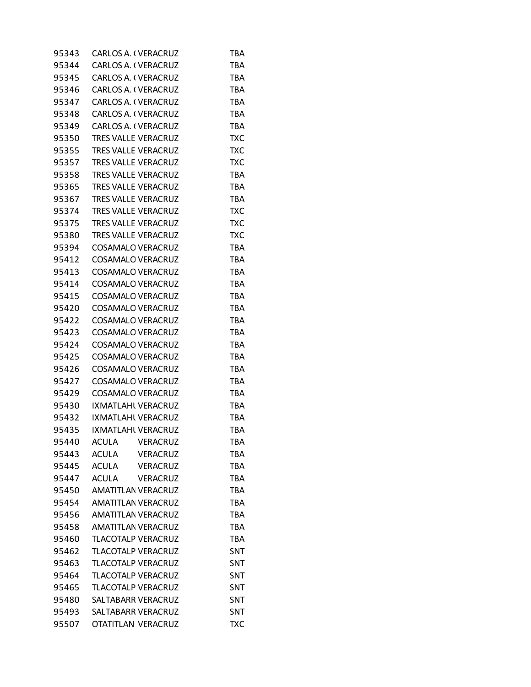| 95343 | <b>CARLOS A. I VERACRUZ</b> |                 | TBA        |
|-------|-----------------------------|-----------------|------------|
| 95344 | <b>CARLOS A. (VERACRUZ</b>  |                 | <b>TBA</b> |
| 95345 | CARLOS A. ( VERACRUZ        |                 | <b>TBA</b> |
| 95346 | <b>CARLOS A. I VERACRUZ</b> |                 | <b>TBA</b> |
| 95347 | <b>CARLOS A. (VERACRUZ</b>  |                 | <b>TBA</b> |
| 95348 | CARLOS A. (VERACRUZ         |                 | <b>TBA</b> |
| 95349 | <b>CARLOS A. I VERACRUZ</b> |                 | <b>TBA</b> |
| 95350 | <b>TRES VALLE VERACRUZ</b>  |                 | <b>TXC</b> |
| 95355 | <b>TRES VALLE VERACRUZ</b>  |                 | <b>TXC</b> |
| 95357 | TRES VALLE VERACRUZ         |                 | <b>TXC</b> |
| 95358 | <b>TRES VALLE VERACRUZ</b>  |                 | <b>TBA</b> |
| 95365 | TRES VALLE VERACRUZ         |                 | <b>TBA</b> |
| 95367 | TRES VALLE VERACRUZ         |                 | <b>TBA</b> |
| 95374 | <b>TRES VALLE VERACRUZ</b>  |                 | <b>TXC</b> |
| 95375 | <b>TRES VALLE VERACRUZ</b>  |                 | <b>TXC</b> |
| 95380 | TRES VALLE VERACRUZ         |                 | <b>TXC</b> |
| 95394 |                             |                 |            |
|       | <b>COSAMALO VERACRUZ</b>    |                 | <b>TBA</b> |
| 95412 | <b>COSAMALO VERACRUZ</b>    |                 | <b>TBA</b> |
| 95413 | COSAMALO VERACRUZ           |                 | <b>TBA</b> |
| 95414 | <b>COSAMALO VERACRUZ</b>    |                 | <b>TBA</b> |
| 95415 | <b>COSAMALO VERACRUZ</b>    |                 | <b>TBA</b> |
| 95420 | <b>COSAMALO VERACRUZ</b>    |                 | <b>TBA</b> |
| 95422 | <b>COSAMALO VERACRUZ</b>    |                 | <b>TBA</b> |
| 95423 | COSAMALO VERACRUZ           |                 | <b>TBA</b> |
| 95424 | <b>COSAMALO VERACRUZ</b>    |                 | <b>TBA</b> |
| 95425 | <b>COSAMALO VERACRUZ</b>    |                 | <b>TBA</b> |
| 95426 | <b>COSAMALO VERACRUZ</b>    |                 | <b>TBA</b> |
| 95427 | <b>COSAMALO VERACRUZ</b>    |                 | <b>TBA</b> |
| 95429 | <b>COSAMALO VERACRUZ</b>    |                 | <b>TBA</b> |
| 95430 | IXMATLAHL VERACRUZ          |                 | <b>TBA</b> |
| 95432 | IXMATLAHL VERACRUZ          |                 | <b>TBA</b> |
| 95435 | IXMATLAHL VERACRUZ          |                 | <b>TBA</b> |
| 95440 | <b>ACULA</b>                | VERACRUZ        | <b>TBA</b> |
| 95443 | <b>ACULA</b>                | VERACRUZ        | <b>TBA</b> |
| 95445 | <b>ACULA</b>                | <b>VERACRUZ</b> | <b>TBA</b> |
| 95447 | <b>ACULA</b>                | <b>VERACRUZ</b> | <b>TBA</b> |
| 95450 | AMATITLAN VERACRUZ          |                 | <b>TBA</b> |
| 95454 | AMATITLAN VERACRUZ          |                 | <b>TBA</b> |
| 95456 | AMATITLAN VERACRUZ          |                 | <b>TBA</b> |
| 95458 | AMATITLAN VERACRUZ          |                 | <b>TBA</b> |
| 95460 | <b>TLACOTALP VERACRUZ</b>   |                 | <b>TBA</b> |
| 95462 | <b>TLACOTALP VERACRUZ</b>   |                 | SNT        |
| 95463 | <b>TLACOTALP VERACRUZ</b>   |                 | <b>SNT</b> |
| 95464 | <b>TLACOTALP VERACRUZ</b>   |                 | SNT        |
| 95465 | <b>TLACOTALP VERACRUZ</b>   |                 | SNT        |
| 95480 | SALTABARR VERACRUZ          |                 | SNT        |
| 95493 | SALTABARR VERACRUZ          |                 | SNT        |
| 95507 | OTATITLAN VERACRUZ          |                 | <b>TXC</b> |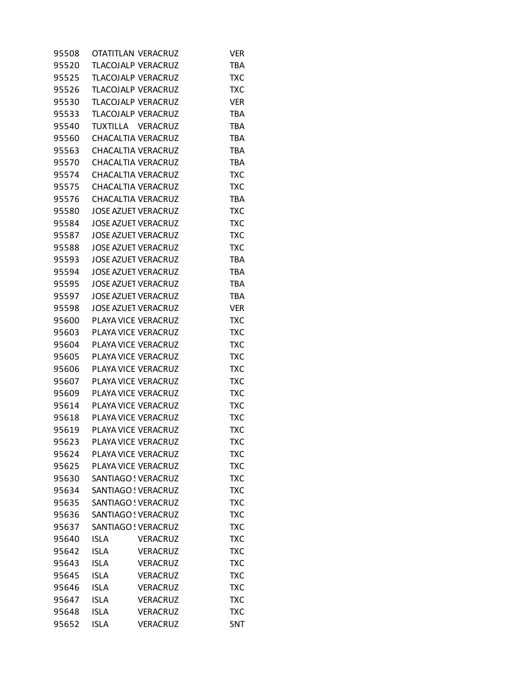| 95508 | OTATITLAN VERACRUZ         |                 | <b>VER</b> |
|-------|----------------------------|-----------------|------------|
| 95520 | <b>TLACOJALP VERACRUZ</b>  |                 | <b>TBA</b> |
| 95525 | TLACOJALP VERACRUZ         |                 | <b>TXC</b> |
| 95526 | TLACOJALP VERACRUZ         |                 | TXC        |
| 95530 | <b>TLACOJALP VERACRUZ</b>  |                 | <b>VER</b> |
| 95533 | TLACOJALP VERACRUZ         |                 | <b>TBA</b> |
| 95540 | TUXTILLA VERACRUZ          |                 | <b>TBA</b> |
| 95560 | <b>CHACALTIA VERACRUZ</b>  |                 | <b>TBA</b> |
| 95563 | CHACALTIA VERACRUZ         |                 | <b>TBA</b> |
| 95570 | CHACALTIA VERACRUZ         |                 | <b>TBA</b> |
| 95574 | CHACALTIA VERACRUZ         |                 | <b>TXC</b> |
| 95575 | CHACALTIA VERACRUZ         |                 | <b>TXC</b> |
| 95576 | CHACALTIA VERACRUZ         |                 | <b>TBA</b> |
| 95580 | <b>JOSE AZUET VERACRUZ</b> |                 | <b>TXC</b> |
| 95584 | <b>JOSE AZUET VERACRUZ</b> |                 | <b>TXC</b> |
| 95587 | <b>JOSE AZUET VERACRUZ</b> |                 | <b>TXC</b> |
| 95588 | <b>JOSE AZUET VERACRUZ</b> |                 | <b>TXC</b> |
| 95593 | <b>JOSE AZUET VERACRUZ</b> |                 | <b>TBA</b> |
| 95594 | <b>JOSE AZUET VERACRUZ</b> |                 | <b>TBA</b> |
| 95595 | <b>JOSE AZUET VERACRUZ</b> |                 | <b>TBA</b> |
| 95597 | JOSE AZUET VERACRUZ        |                 | <b>TBA</b> |
| 95598 | <b>JOSE AZUET VERACRUZ</b> |                 | <b>VER</b> |
| 95600 | PLAYA VICE VERACRUZ        |                 | <b>TXC</b> |
| 95603 | PLAYA VICE VERACRUZ        |                 | <b>TXC</b> |
| 95604 | PLAYA VICE VERACRUZ        |                 | TXC        |
| 95605 | PLAYA VICE VERACRUZ        |                 | <b>TXC</b> |
| 95606 | PLAYA VICE VERACRUZ        |                 | <b>TXC</b> |
| 95607 | PLAYA VICE VERACRUZ        |                 | <b>TXC</b> |
| 95609 | PLAYA VICE VERACRUZ        |                 | <b>TXC</b> |
| 95614 | PLAYA VICE VERACRUZ        |                 | <b>TXC</b> |
| 95618 | PLAYA VICE VERACRUZ        |                 | TXC        |
| 95619 | PLAYA VICE VERACRUZ        |                 | <b>TXC</b> |
| 95623 | PLAYA VICE VERACRUZ        |                 | <b>TXC</b> |
| 95624 | PLAYA VICE VERACRUZ        |                 | <b>TXC</b> |
| 95625 | PLAYA VICE VERACRUZ        |                 | <b>TXC</b> |
| 95630 | SANTIAGO ! VERACRUZ        |                 | <b>TXC</b> |
| 95634 | SANTIAGO ! VERACRUZ        |                 | <b>TXC</b> |
| 95635 | SANTIAGO ! VERACRUZ        |                 | <b>TXC</b> |
| 95636 | SANTIAGO ! VERACRUZ        |                 | <b>TXC</b> |
| 95637 | SANTIAGO ! VERACRUZ        |                 | <b>TXC</b> |
| 95640 | <b>ISLA</b>                | <b>VERACRUZ</b> | <b>TXC</b> |
| 95642 | <b>ISLA</b>                | <b>VERACRUZ</b> | <b>TXC</b> |
| 95643 | ISLA                       | <b>VERACRUZ</b> | <b>TXC</b> |
| 95645 | <b>ISLA</b>                | <b>VERACRUZ</b> | <b>TXC</b> |
| 95646 | <b>ISLA</b>                | <b>VERACRUZ</b> | <b>TXC</b> |
| 95647 | <b>ISLA</b>                | VERACRUZ        | <b>TXC</b> |
| 95648 | <b>ISLA</b>                | <b>VERACRUZ</b> | <b>TXC</b> |
| 95652 | <b>ISLA</b>                | <b>VERACRUZ</b> | SNT        |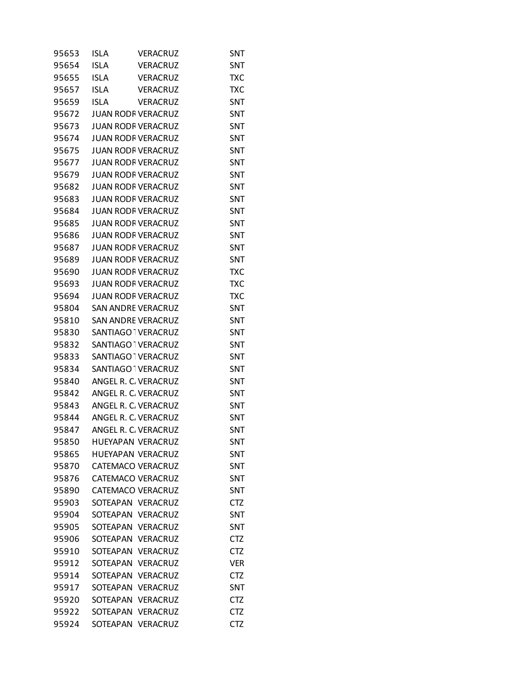| 95653 | <b>ISLA</b>               | VERACRUZ        | SNT        |
|-------|---------------------------|-----------------|------------|
| 95654 | <b>ISLA</b>               | <b>VERACRUZ</b> | SNT        |
| 95655 | <b>ISLA</b>               | <b>VERACRUZ</b> | <b>TXC</b> |
| 95657 | <b>ISLA</b>               | <b>VERACRUZ</b> | TXC        |
| 95659 | <b>ISLA</b>               | VERACRUZ        | SNT        |
| 95672 | <b>JUAN RODF VERACRUZ</b> |                 | SNT        |
| 95673 | <b>JUAN RODF VERACRUZ</b> |                 | SNT        |
| 95674 | <b>JUAN RODF VERACRUZ</b> |                 | SNT        |
| 95675 | <b>JUAN RODF VERACRUZ</b> |                 | SNT        |
| 95677 | <b>JUAN RODF VERACRUZ</b> |                 | SNT        |
| 95679 | <b>JUAN RODF VERACRUZ</b> |                 | SNT        |
| 95682 | <b>JUAN RODF VERACRUZ</b> |                 | SNT        |
| 95683 | <b>JUAN RODF VERACRUZ</b> |                 | SNT        |
| 95684 | <b>JUAN RODF VERACRUZ</b> |                 | SNT        |
| 95685 | <b>JUAN RODF VERACRUZ</b> |                 | SNT        |
| 95686 | <b>JUAN RODF VERACRUZ</b> |                 | <b>SNT</b> |
| 95687 | <b>JUAN RODF VERACRUZ</b> |                 | SNT        |
| 95689 | <b>JUAN RODF VERACRUZ</b> |                 | SNT        |
| 95690 | <b>JUAN RODF VERACRUZ</b> |                 | TXC        |
| 95693 | <b>JUAN RODF VERACRUZ</b> |                 | <b>TXC</b> |
| 95694 | <b>JUAN RODF VERACRUZ</b> |                 | <b>TXC</b> |
| 95804 | SAN ANDRE VERACRUZ        |                 | SNT        |
| 95810 | <b>SAN ANDRE VERACRUZ</b> |                 | SNT        |
| 95830 | SANTIAGO TVERACRUZ        |                 | SNT        |
| 95832 | SANTIAGO TVERACRUZ        |                 | SNT        |
| 95833 | SANTIAGO TVERACRUZ        |                 | SNT        |
| 95834 | SANTIAGO TVERACRUZ        |                 | SNT        |
| 95840 | ANGEL R. C. VERACRUZ      |                 | SNT        |
| 95842 | ANGEL R. C. VERACRUZ      |                 | SNT        |
| 95843 | ANGEL R. C. VERACRUZ      |                 | SNT        |
| 95844 | ANGEL R. C. VERACRUZ      |                 | <b>SNT</b> |
| 95847 | ANGEL R. C. VERACRUZ      |                 | SNT        |
| 95850 | HUEYAPAN VERACRUZ         |                 | SNT        |
| 95865 | <b>HUEYAPAN VERACRUZ</b>  |                 | SNT        |
| 95870 | <b>CATEMACO VERACRUZ</b>  |                 | SNT        |
| 95876 | <b>CATEMACO VERACRUZ</b>  |                 | SNT        |
| 95890 | CATEMACO VERACRUZ         |                 | <b>SNT</b> |
| 95903 | SOTEAPAN VERACRUZ         |                 | <b>CTZ</b> |
| 95904 | SOTEAPAN VERACRUZ         |                 | SNT        |
| 95905 | SOTEAPAN VERACRUZ         |                 | SNT        |
| 95906 | SOTEAPAN VERACRUZ         |                 | CTZ        |
| 95910 | SOTEAPAN VERACRUZ         |                 | <b>CTZ</b> |
| 95912 | SOTEAPAN VERACRUZ         |                 | <b>VER</b> |
| 95914 | SOTEAPAN                  | <b>VERACRUZ</b> | <b>CTZ</b> |
| 95917 | SOTEAPAN                  | <b>VERACRUZ</b> | SNT        |
| 95920 | SOTEAPAN                  | <b>VERACRUZ</b> | <b>CTZ</b> |
| 95922 | SOTEAPAN                  | <b>VERACRUZ</b> | <b>CTZ</b> |
| 95924 | SOTEAPAN VERACRUZ         |                 | <b>CTZ</b> |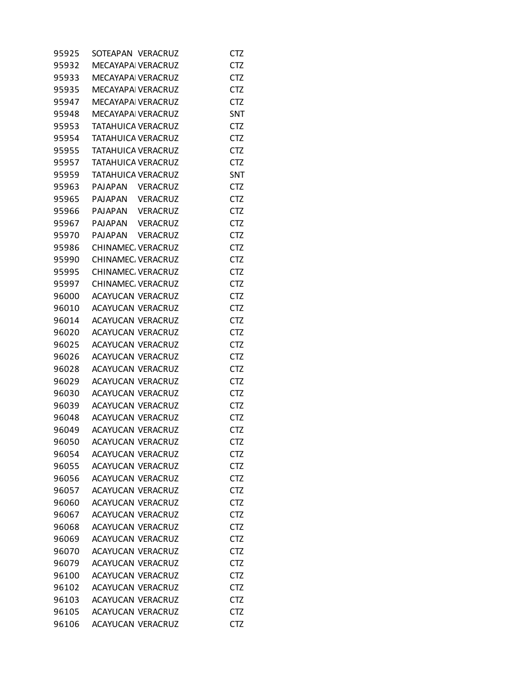| 95925 | SOTEAPAN VERACRUZ         |                 | CTZ        |
|-------|---------------------------|-----------------|------------|
| 95932 | MECAYAPAI VERACRUZ        |                 | <b>CTZ</b> |
| 95933 | MECAYAPAI VERACRUZ        |                 | <b>CTZ</b> |
| 95935 | <b>MECAYAPA VERACRUZ</b>  |                 | <b>CTZ</b> |
| 95947 | <b>MECAYAPA VERACRUZ</b>  |                 | <b>CTZ</b> |
| 95948 | <b>MECAYAPAI VERACRUZ</b> |                 | SNT        |
| 95953 | TATAHUICA VERACRUZ        |                 | <b>CTZ</b> |
| 95954 | TATAHUICA VERACRUZ        |                 | <b>CTZ</b> |
| 95955 | TATAHUICA VERACRUZ        |                 | <b>CTZ</b> |
| 95957 | <b>TATAHUICA VERACRUZ</b> |                 | <b>CTZ</b> |
| 95959 | <b>TATAHUICA VERACRUZ</b> |                 | SNT        |
| 95963 | PAJAPAN                   | <b>VERACRUZ</b> | <b>CTZ</b> |
| 95965 | PAJAPAN                   | <b>VERACRUZ</b> | CTZ        |
| 95966 | PAJAPAN                   | VERACRUZ        | <b>CTZ</b> |
| 95967 | PAJAPAN                   | <b>VERACRUZ</b> | <b>CTZ</b> |
| 95970 | PAJAPAN VERACRUZ          |                 | <b>CTZ</b> |
| 95986 | CHINAMEC. VERACRUZ        |                 | <b>CTZ</b> |
| 95990 | CHINAMEC. VERACRUZ        |                 | <b>CTZ</b> |
| 95995 | CHINAMEC. VERACRUZ        |                 | CTZ        |
| 95997 |                           |                 |            |
| 96000 | CHINAMEC. VERACRUZ        |                 | <b>CTZ</b> |
|       | ACAYUCAN VERACRUZ         |                 | <b>CTZ</b> |
| 96010 | ACAYUCAN VERACRUZ         |                 | <b>CTZ</b> |
| 96014 | <b>ACAYUCAN VERACRUZ</b>  |                 | <b>CTZ</b> |
| 96020 | ACAYUCAN VERACRUZ         |                 | <b>CTZ</b> |
| 96025 | ACAYUCAN VERACRUZ         |                 | CTZ        |
| 96026 | <b>ACAYUCAN VERACRUZ</b>  |                 | <b>CTZ</b> |
| 96028 | ACAYUCAN VERACRUZ         |                 | <b>CTZ</b> |
| 96029 | ACAYUCAN VERACRUZ         |                 | <b>CTZ</b> |
| 96030 | <b>ACAYUCAN VERACRUZ</b>  |                 | <b>CTZ</b> |
| 96039 | ACAYUCAN VERACRUZ         |                 | <b>CTZ</b> |
| 96048 | <b>ACAYUCAN VERACRUZ</b>  |                 | CTZ        |
| 96049 | <b>ACAYUCAN VERACRUZ</b>  |                 | <b>CTZ</b> |
| 96050 | <b>ACAYUCAN VERACRUZ</b>  |                 | <b>CTZ</b> |
| 96054 | <b>ACAYUCAN VERACRUZ</b>  |                 | CTZ        |
| 96055 | <b>ACAYUCAN VERACRUZ</b>  |                 | <b>CTZ</b> |
| 96056 | <b>ACAYUCAN VERACRUZ</b>  |                 | <b>CTZ</b> |
| 96057 | ACAYUCAN VERACRUZ         |                 | <b>CTZ</b> |
| 96060 | <b>ACAYUCAN VERACRUZ</b>  |                 | <b>CTZ</b> |
| 96067 | ACAYUCAN VERACRUZ         |                 | <b>CTZ</b> |
| 96068 | ACAYUCAN VERACRUZ         |                 | CTZ        |
| 96069 | ACAYUCAN VERACRUZ         |                 | <b>CTZ</b> |
| 96070 | ACAYUCAN VERACRUZ         |                 | <b>CTZ</b> |
| 96079 | ACAYUCAN VERACRUZ         |                 | <b>CTZ</b> |
| 96100 | <b>ACAYUCAN VERACRUZ</b>  |                 | <b>CTZ</b> |
| 96102 | ACAYUCAN VERACRUZ         |                 | <b>CTZ</b> |
| 96103 | ACAYUCAN VERACRUZ         |                 | CTZ        |
| 96105 | <b>ACAYUCAN VERACRUZ</b>  |                 | <b>CTZ</b> |
| 96106 | ACAYUCAN VERACRUZ         |                 | <b>CTZ</b> |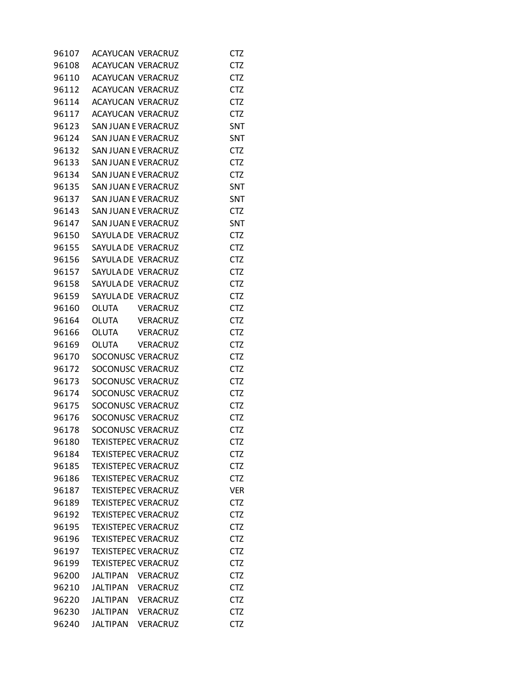| 96107 |                 | <b>ACAYUCAN VERACRUZ</b>   | <b>CTZ</b> |
|-------|-----------------|----------------------------|------------|
| 96108 |                 | ACAYUCAN VERACRUZ          | <b>CTZ</b> |
| 96110 |                 | ACAYUCAN VERACRUZ          | <b>CTZ</b> |
| 96112 |                 | ACAYUCAN VERACRUZ          | <b>CTZ</b> |
| 96114 |                 | <b>ACAYUCAN VERACRUZ</b>   | <b>CTZ</b> |
| 96117 |                 | <b>ACAYUCAN VERACRUZ</b>   | <b>CTZ</b> |
| 96123 |                 | SAN JUAN E VERACRUZ        | SNT        |
| 96124 |                 | SAN JUAN E VERACRUZ        | SNT        |
| 96132 |                 | SAN JUAN E VERACRUZ        | <b>CTZ</b> |
| 96133 |                 | SAN JUAN E VERACRUZ        | <b>CTZ</b> |
| 96134 |                 | SAN JUAN E VERACRUZ        | <b>CTZ</b> |
| 96135 |                 | SAN JUAN E VERACRUZ        | SNT        |
| 96137 |                 | SAN JUAN E VERACRUZ        | SNT        |
| 96143 |                 | SAN JUAN E VERACRUZ        | CTZ        |
| 96147 |                 | SAN JUAN E VERACRUZ        | SNT        |
| 96150 |                 | SAYULA DE VERACRUZ         | <b>CTZ</b> |
| 96155 |                 | SAYULA DE VERACRUZ         | <b>CTZ</b> |
| 96156 |                 | SAYULA DE VERACRUZ         | <b>CTZ</b> |
| 96157 |                 | SAYULA DE VERACRUZ         | <b>CTZ</b> |
| 96158 |                 | SAYULA DE VERACRUZ         | <b>CTZ</b> |
| 96159 |                 | SAYULA DE VERACRUZ         | <b>CTZ</b> |
| 96160 |                 | OLUTA VERACRUZ             | <b>CTZ</b> |
| 96164 | OLUTA           | VERACRUZ                   | <b>CTZ</b> |
| 96166 | OLUTA           | VERACRUZ                   | <b>CTZ</b> |
| 96169 | OLUTA           | VERACRUZ                   | <b>CTZ</b> |
| 96170 |                 | SOCONUSC VERACRUZ          | <b>CTZ</b> |
| 96172 |                 | SOCONUSC VERACRUZ          | <b>CTZ</b> |
| 96173 |                 | SOCONUSC VERACRUZ          | <b>CTZ</b> |
| 96174 |                 | SOCONUSC VERACRUZ          | <b>CTZ</b> |
| 96175 |                 | SOCONUSC VERACRUZ          | <b>CTZ</b> |
| 96176 |                 | SOCONUSC VERACRUZ          | <b>CTZ</b> |
| 96178 |                 | SOCONUSC VERACRUZ          | <b>CTZ</b> |
| 96180 |                 | <b>TEXISTEPEC VERACRUZ</b> | <b>CTZ</b> |
| 96184 |                 | <b>TEXISTEPEC VERACRUZ</b> | <b>CTZ</b> |
| 96185 |                 | <b>TEXISTEPEC VERACRUZ</b> | <b>CTZ</b> |
| 96186 |                 | <b>TEXISTEPEC VERACRUZ</b> | <b>CTZ</b> |
| 96187 |                 | <b>TEXISTEPEC VERACRUZ</b> | <b>VER</b> |
| 96189 |                 | <b>TEXISTEPEC VERACRUZ</b> | <b>CTZ</b> |
| 96192 |                 | <b>TEXISTEPEC VERACRUZ</b> | <b>CTZ</b> |
| 96195 |                 | <b>TEXISTEPEC VERACRUZ</b> | <b>CTZ</b> |
| 96196 |                 | <b>TEXISTEPEC VERACRUZ</b> | <b>CTZ</b> |
| 96197 |                 | <b>TEXISTEPEC VERACRUZ</b> | <b>CTZ</b> |
| 96199 |                 | <b>TEXISTEPEC VERACRUZ</b> | <b>CTZ</b> |
| 96200 | <b>JALTIPAN</b> | <b>VERACRUZ</b>            | <b>CTZ</b> |
| 96210 | JALTIPAN        | <b>VERACRUZ</b>            | <b>CTZ</b> |
| 96220 | JALTIPAN        | <b>VERACRUZ</b>            | <b>CTZ</b> |
| 96230 | <b>JALTIPAN</b> | VERACRUZ                   | <b>CTZ</b> |
| 96240 | <b>JALTIPAN</b> | <b>VERACRUZ</b>            | <b>CTZ</b> |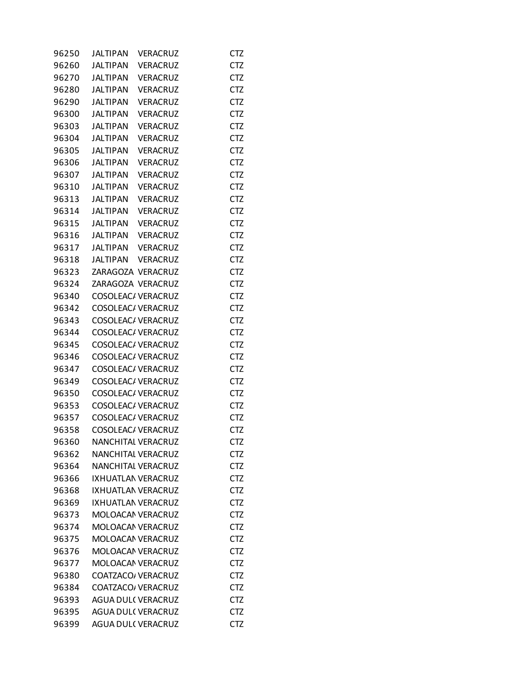| 96250 | <b>JALTIPAN</b>           | <b>VERACRUZ</b> | CTZ        |
|-------|---------------------------|-----------------|------------|
| 96260 | JALTIPAN                  | <b>VERACRUZ</b> | CTZ        |
| 96270 | JALTIPAN                  | VERACRUZ        | <b>CTZ</b> |
| 96280 | JALTIPAN                  | VERACRUZ        | <b>CTZ</b> |
| 96290 | JALTIPAN                  | <b>VERACRUZ</b> | <b>CTZ</b> |
| 96300 | JALTIPAN                  | <b>VERACRUZ</b> | <b>CTZ</b> |
| 96303 | <b>JALTIPAN</b>           | <b>VERACRUZ</b> | <b>CTZ</b> |
| 96304 | JALTIPAN                  | <b>VERACRUZ</b> | <b>CTZ</b> |
| 96305 | JALTIPAN                  | <b>VERACRUZ</b> | <b>CTZ</b> |
| 96306 | JALTIPAN                  | VERACRUZ        | <b>CTZ</b> |
| 96307 | JALTIPAN                  | <b>VERACRUZ</b> | <b>CTZ</b> |
| 96310 | JALTIPAN                  | <b>VERACRUZ</b> | <b>CTZ</b> |
| 96313 | JALTIPAN                  | VERACRUZ        | <b>CTZ</b> |
| 96314 | JALTIPAN                  | VERACRUZ        | <b>CTZ</b> |
| 96315 | JALTIPAN VERACRUZ         |                 | <b>CTZ</b> |
| 96316 | JALTIPAN VERACRUZ         |                 | <b>CTZ</b> |
| 96317 | JALTIPAN VERACRUZ         |                 | <b>CTZ</b> |
| 96318 | JALTIPAN VERACRUZ         |                 | <b>CTZ</b> |
| 96323 | ZARAGOZA VERACRUZ         |                 | <b>CTZ</b> |
| 96324 | ZARAGOZA VERACRUZ         |                 | <b>CTZ</b> |
|       | COSOLEAC/ VERACRUZ        |                 | <b>CTZ</b> |
| 96340 | COSOLEAC/ VERACRUZ        |                 |            |
| 96342 |                           |                 | <b>CTZ</b> |
| 96343 | COSOLEAC/ VERACRUZ        |                 | <b>CTZ</b> |
| 96344 | COSOLEAC/ VERACRUZ        |                 | <b>CTZ</b> |
| 96345 | COSOLEAC/ VERACRUZ        |                 | <b>CTZ</b> |
| 96346 | COSOLEAC/ VERACRUZ        |                 | <b>CTZ</b> |
| 96347 | COSOLEAC/ VERACRUZ        |                 | <b>CTZ</b> |
| 96349 | COSOLEAC/ VERACRUZ        |                 | <b>CTZ</b> |
| 96350 | COSOLEAC/ VERACRUZ        |                 | <b>CTZ</b> |
| 96353 | COSOLEAC/ VERACRUZ        |                 | <b>CTZ</b> |
| 96357 | COSOLEAC/ VERACRUZ        |                 | <b>CTZ</b> |
| 96358 | COSOLEAC/ VERACRUZ        |                 | <b>CTZ</b> |
| 96360 | <b>NANCHITAL VERACRUZ</b> |                 | <b>CTZ</b> |
| 96362 | NANCHITAL VERACRUZ        |                 | <b>CTZ</b> |
| 96364 | NANCHITAL VERACRUZ        |                 | CTZ        |
| 96366 | IXHUATLAN VERACRUZ        |                 | <b>CTZ</b> |
| 96368 | IXHUATLAN VERACRUZ        |                 | <b>CTZ</b> |
| 96369 | IXHUATLAN VERACRUZ        |                 | <b>CTZ</b> |
| 96373 | MOLOACAN VERACRUZ         |                 | <b>CTZ</b> |
| 96374 | MOLOACAN VERACRUZ         |                 | <b>CTZ</b> |
| 96375 | MOLOACAN VERACRUZ         |                 | CTZ        |
| 96376 | MOLOACAN VERACRUZ         |                 | <b>CTZ</b> |
| 96377 | MOLOACAN VERACRUZ         |                 | <b>CTZ</b> |
| 96380 | COATZACO, VERACRUZ        |                 | <b>CTZ</b> |
| 96384 | COATZACO, VERACRUZ        |                 | <b>CTZ</b> |
| 96393 | <b>AGUA DUL(VERACRUZ</b>  |                 | <b>CTZ</b> |
| 96395 | <b>AGUA DUL( VERACRUZ</b> |                 | <b>CTZ</b> |
| 96399 | <b>AGUA DUL(VERACRUZ</b>  |                 | <b>CTZ</b> |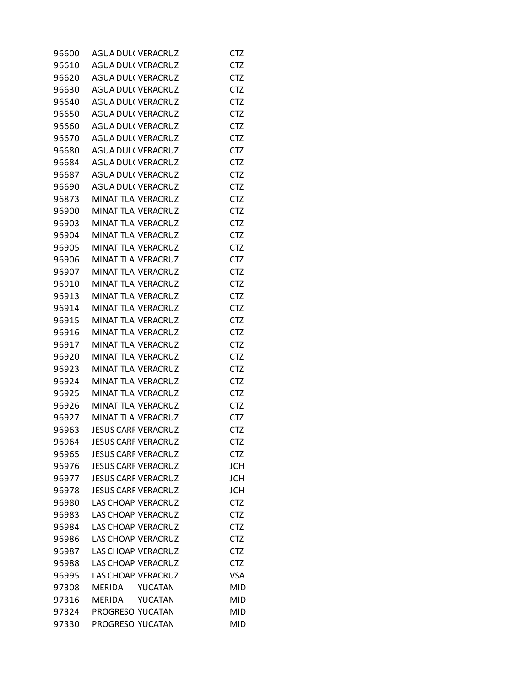| 96600 | <b>AGUA DUL(VERACRUZ</b>   | CTZ        |
|-------|----------------------------|------------|
| 96610 | AGUA DUL(VERACRUZ          | CTZ        |
| 96620 | <b>AGUA DUL(VERACRUZ</b>   | <b>CTZ</b> |
| 96630 | <b>AGUA DUL(VERACRUZ</b>   | CTZ        |
| 96640 | <b>AGUA DUL( VERACRUZ</b>  | <b>CTZ</b> |
| 96650 | <b>AGUA DUL(VERACRUZ</b>   | <b>CTZ</b> |
| 96660 | <b>AGUA DUL(VERACRUZ</b>   | CTZ        |
| 96670 | <b>AGUA DUL(VERACRUZ</b>   | <b>CTZ</b> |
| 96680 | <b>AGUA DUL( VERACRUZ</b>  | <b>CTZ</b> |
| 96684 | <b>AGUA DUL(VERACRUZ</b>   | CTZ        |
| 96687 | <b>AGUA DUL(VERACRUZ</b>   | <b>CTZ</b> |
| 96690 | <b>AGUA DUL(VERACRUZ</b>   | <b>CTZ</b> |
| 96873 | MINATITLAI VERACRUZ        | CTZ        |
| 96900 | MINATITLAI VERACRUZ        | <b>CTZ</b> |
| 96903 | <b>MINATITLA VERACRUZ</b>  | <b>CTZ</b> |
| 96904 | <b>MINATITLA VERACRUZ</b>  | CTZ        |
| 96905 | MINATITLAI VERACRUZ        | <b>CTZ</b> |
| 96906 | MINATITLA VERACRUZ         | <b>CTZ</b> |
| 96907 | <b>MINATITLA VERACRUZ</b>  | CTZ        |
| 96910 | MINATITLAI VERACRUZ        | <b>CTZ</b> |
| 96913 | <b>MINATITLA VERACRUZ</b>  | <b>CTZ</b> |
| 96914 | <b>MINATITLA VERACRUZ</b>  |            |
|       |                            | CTZ        |
| 96915 | MINATITLAI VERACRUZ        | <b>CTZ</b> |
| 96916 | MINATITLAI VERACRUZ        | <b>CTZ</b> |
| 96917 | MINATITLAI VERACRUZ        | CTZ        |
| 96920 | MINATITLAI VERACRUZ        | <b>CTZ</b> |
| 96923 | MINATITLAI VERACRUZ        | <b>CTZ</b> |
| 96924 | <b>MINATITLA VERACRUZ</b>  | CTZ        |
| 96925 | MINATITLAI VERACRUZ        | <b>CTZ</b> |
| 96926 | MINATITLAI VERACRUZ        | <b>CTZ</b> |
| 96927 | <b>MINATITLA VERACRUZ</b>  | CTZ        |
| 96963 | <b>JESUS CARF VERACRUZ</b> | <b>CTZ</b> |
| 96964 | <b>JESUS CARF VERACRUZ</b> | <b>CTZ</b> |
| 96965 | <b>JESUS CARF VERACRUZ</b> | CTZ        |
| 96976 | <b>JESUS CARF VERACRUZ</b> | <b>JCH</b> |
| 96977 | <b>JESUS CARF VERACRUZ</b> | <b>JCH</b> |
| 96978 | <b>JESUS CARF VERACRUZ</b> | JCH        |
| 96980 | <b>LAS CHOAP VERACRUZ</b>  | <b>CTZ</b> |
| 96983 | LAS CHOAP VERACRUZ         | <b>CTZ</b> |
| 96984 | <b>LAS CHOAP VERACRUZ</b>  | CTZ        |
| 96986 | <b>LAS CHOAP VERACRUZ</b>  | <b>CTZ</b> |
| 96987 | LAS CHOAP VERACRUZ         | <b>CTZ</b> |
| 96988 | <b>LAS CHOAP VERACRUZ</b>  | <b>CTZ</b> |
| 96995 | <b>LAS CHOAP VERACRUZ</b>  | <b>VSA</b> |
| 97308 | MERIDA<br>YUCATAN          | <b>MID</b> |
| 97316 | YUCATAN<br><b>MERIDA</b>   | <b>MID</b> |
| 97324 | PROGRESO YUCATAN           | <b>MID</b> |
| 97330 | PROGRESO YUCATAN           | <b>MID</b> |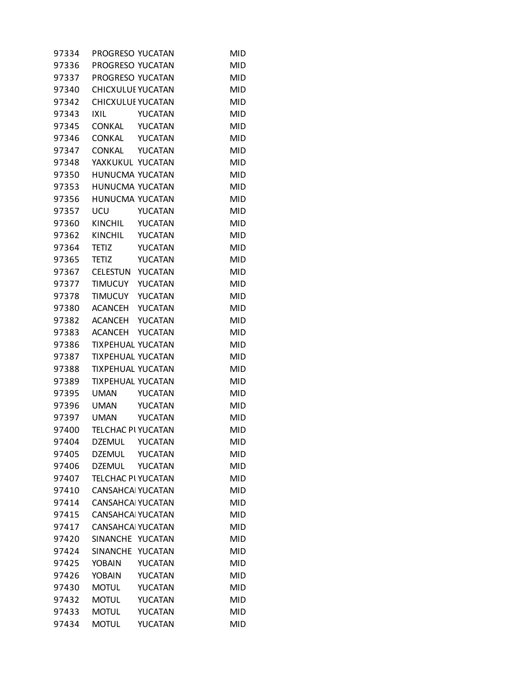| 97334 | PROGRESO YUCATAN         |                | <b>MID</b> |
|-------|--------------------------|----------------|------------|
| 97336 | PROGRESO YUCATAN         |                | <b>MID</b> |
| 97337 | PROGRESO YUCATAN         |                | <b>MID</b> |
| 97340 | CHICXULUI YUCATAN        |                | <b>MID</b> |
| 97342 | <b>CHICXULUI YUCATAN</b> |                | <b>MID</b> |
| 97343 | IXIL                     | YUCATAN        | <b>MID</b> |
| 97345 | CONKAL YUCATAN           |                | MID        |
| 97346 | CONKAL YUCATAN           |                | <b>MID</b> |
| 97347 | CONKAL YUCATAN           |                | <b>MID</b> |
| 97348 | YAXKUKUL YUCATAN         |                | <b>MID</b> |
| 97350 | HUNUCMA YUCATAN          |                | <b>MID</b> |
| 97353 | HUNUCMA YUCATAN          |                | <b>MID</b> |
| 97356 | HUNUCMA YUCATAN          |                | MID        |
| 97357 | UCU                      | YUCATAN        | <b>MID</b> |
| 97360 | KINCHIL YUCATAN          |                | <b>MID</b> |
| 97362 | KINCHIL YUCATAN          |                | <b>MID</b> |
| 97364 | <b>TETIZ</b>             | YUCATAN        | <b>MID</b> |
| 97365 | <b>TETIZ</b>             | YUCATAN        | <b>MID</b> |
| 97367 | CELESTUN YUCATAN         |                | MID        |
| 97377 | TIMUCUY YUCATAN          |                | <b>MID</b> |
| 97378 | TIMUCUY YUCATAN          |                | <b>MID</b> |
| 97380 | ACANCEH YUCATAN          |                | <b>MID</b> |
| 97382 | ACANCEH YUCATAN          |                | <b>MID</b> |
| 97383 | ACANCEH                  | YUCATAN        | <b>MID</b> |
| 97386 | <b>TIXPEHUAL YUCATAN</b> |                | MID        |
| 97387 | <b>TIXPEHUAL YUCATAN</b> |                | <b>MID</b> |
| 97388 | <b>TIXPEHUAL YUCATAN</b> |                | <b>MID</b> |
| 97389 | <b>TIXPEHUAL YUCATAN</b> |                | <b>MID</b> |
| 97395 | <b>UMAN</b>              | YUCATAN        | <b>MID</b> |
| 97396 | <b>UMAN</b>              | YUCATAN        | <b>MID</b> |
| 97397 | <b>UMAN</b>              | <b>YUCATAN</b> | <b>MID</b> |
| 97400 | TELCHAC PI YUCATAN       |                | <b>MID</b> |
| 97404 | <b>DZEMUL</b>            | YUCATAN        | <b>MID</b> |
| 97405 | <b>DZEMUL</b>            | YUCATAN        | <b>MID</b> |
| 97406 | <b>DZEMUL</b>            | YUCATAN        | <b>MID</b> |
| 97407 | TELCHAC PI YUCATAN       |                | <b>MID</b> |
| 97410 | <b>CANSAHCA YUCATAN</b>  |                | <b>MID</b> |
| 97414 | <b>CANSAHCA YUCATAN</b>  |                | <b>MID</b> |
| 97415 | <b>CANSAHCA YUCATAN</b>  |                | <b>MID</b> |
| 97417 | <b>CANSAHCA YUCATAN</b>  |                | <b>MID</b> |
| 97420 | SINANCHE YUCATAN         |                | <b>MID</b> |
| 97424 | <b>SINANCHE</b>          | YUCATAN        | <b>MID</b> |
| 97425 | YOBAIN                   | YUCATAN        | <b>MID</b> |
| 97426 | <b>YOBAIN</b>            | YUCATAN        | <b>MID</b> |
| 97430 | <b>MOTUL</b>             | YUCATAN        | <b>MID</b> |
| 97432 | <b>MOTUL</b>             | YUCATAN        | <b>MID</b> |
| 97433 | <b>MOTUL</b>             | YUCATAN        | <b>MID</b> |
| 97434 | <b>MOTUL</b>             | YUCATAN        | <b>MID</b> |
|       |                          |                |            |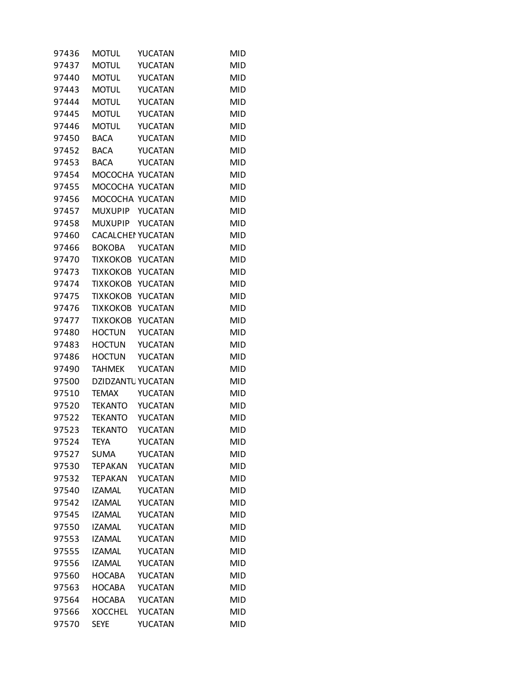| 97436 | <b>MOTUL</b>             | YUCATAN        | <b>MID</b> |
|-------|--------------------------|----------------|------------|
| 97437 | <b>MOTUL</b>             | YUCATAN        | <b>MID</b> |
| 97440 | <b>MOTUL</b>             | YUCATAN        | <b>MID</b> |
| 97443 | <b>MOTUL</b>             | YUCATAN        | <b>MID</b> |
| 97444 | <b>MOTUL</b>             | YUCATAN        | <b>MID</b> |
| 97445 | <b>MOTUL</b>             | YUCATAN        | <b>MID</b> |
| 97446 | <b>MOTUL</b>             | YUCATAN        | <b>MID</b> |
| 97450 | <b>BACA</b>              | YUCATAN        | <b>MID</b> |
| 97452 | <b>BACA</b>              | YUCATAN        | <b>MID</b> |
| 97453 | BACA                     | YUCATAN        | <b>MID</b> |
| 97454 | MOCOCHA YUCATAN          |                | <b>MID</b> |
| 97455 | MOCOCHA YUCATAN          |                | <b>MID</b> |
| 97456 | MOCOCHA YUCATAN          |                | <b>MID</b> |
| 97457 | <b>MUXUPIP</b>           | YUCATAN        | <b>MID</b> |
| 97458 | <b>MUXUPIP</b>           | YUCATAN        | <b>MID</b> |
| 97460 | <b>CACALCHEI YUCATAN</b> |                | <b>MID</b> |
| 97466 | <b>BOKOBA</b>            | YUCATAN        | <b>MID</b> |
| 97470 | TIXKOKOB                 | YUCATAN        | <b>MID</b> |
| 97473 | <b>TIXKOKOB</b>          | <b>YUCATAN</b> | <b>MID</b> |
| 97474 | <b>TIXKOKOB</b>          | YUCATAN        | <b>MID</b> |
| 97475 | <b>TIXKOKOB</b>          | <b>YUCATAN</b> | <b>MID</b> |
| 97476 | <b>TIXKOKOB</b>          | YUCATAN        | <b>MID</b> |
| 97477 | <b>TIXKOKOB</b>          | YUCATAN        | <b>MID</b> |
| 97480 | <b>HOCTUN</b>            | YUCATAN        | <b>MID</b> |
| 97483 | <b>HOCTUN</b>            | YUCATAN        | <b>MID</b> |
| 97486 | <b>HOCTUN</b>            | YUCATAN        | <b>MID</b> |
| 97490 | <b>TAHMEK</b>            | <b>YUCATAN</b> | <b>MID</b> |
| 97500 | DZIDZANTU YUCATAN        |                | <b>MID</b> |
| 97510 | <b>TEMAX</b>             | YUCATAN        | <b>MID</b> |
| 97520 | <b>TEKANTO</b>           | YUCATAN        | <b>MID</b> |
| 97522 | TEKANTO                  | YUCATAN        | <b>MID</b> |
| 97523 | <b>TEKANTO</b>           | YUCATAN        | <b>MID</b> |
| 97524 | <b>TEYA</b>              | YUCATAN        | <b>MID</b> |
| 97527 | <b>SUMA</b>              | YUCATAN        | <b>MID</b> |
| 97530 | <b>TEPAKAN</b>           | YUCATAN        | <b>MID</b> |
| 97532 | <b>TEPAKAN</b>           | <b>YUCATAN</b> | <b>MID</b> |
| 97540 | <b>IZAMAL</b>            | YUCATAN        | <b>MID</b> |
| 97542 | <b>IZAMAL</b>            | YUCATAN        | <b>MID</b> |
| 97545 | <b>IZAMAL</b>            | YUCATAN        | <b>MID</b> |
| 97550 | <b>IZAMAL</b>            | YUCATAN        | <b>MID</b> |
| 97553 | <b>IZAMAL</b>            | YUCATAN        | <b>MID</b> |
| 97555 | <b>IZAMAL</b>            | <b>YUCATAN</b> | <b>MID</b> |
| 97556 | <b>IZAMAL</b>            | YUCATAN        | <b>MID</b> |
| 97560 | <b>HOCABA</b>            | YUCATAN        | <b>MID</b> |
| 97563 | <b>HOCABA</b>            | YUCATAN        | <b>MID</b> |
| 97564 | <b>HOCABA</b>            | YUCATAN        | <b>MID</b> |
| 97566 | <b>XOCCHEL</b>           | YUCATAN        | <b>MID</b> |
| 97570 | <b>SEYE</b>              | YUCATAN        | <b>MID</b> |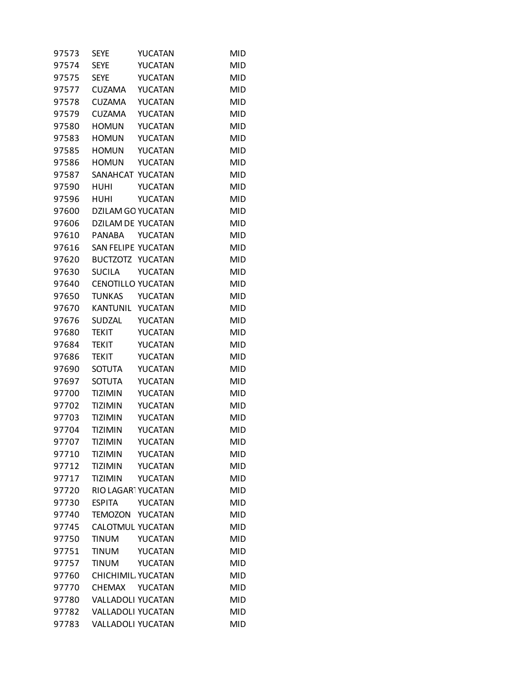| 97574 | <b>SEYE</b>              | YUCATAN        | <b>MID</b> |
|-------|--------------------------|----------------|------------|
| 97575 | <b>SEYE</b>              | YUCATAN        | <b>MID</b> |
| 97577 | <b>CUZAMA</b>            | YUCATAN        | <b>MID</b> |
| 97578 | <b>CUZAMA</b>            | YUCATAN        | <b>MID</b> |
| 97579 | <b>CUZAMA</b>            | YUCATAN        | <b>MID</b> |
| 97580 | <b>HOMUN</b>             | YUCATAN        | <b>MID</b> |
| 97583 | <b>HOMUN</b>             | YUCATAN        | <b>MID</b> |
| 97585 | <b>HOMUN</b>             | YUCATAN        | <b>MID</b> |
| 97586 | <b>HOMUN</b>             | YUCATAN        | <b>MID</b> |
| 97587 | SANAHCAT YUCATAN         |                | <b>MID</b> |
| 97590 | <b>HUHI</b>              | YUCATAN        | <b>MID</b> |
| 97596 | HUHI                     | <b>YUCATAN</b> | <b>MID</b> |
| 97600 | <b>DZILAM GO YUCATAN</b> |                | <b>MID</b> |
| 97606 | DZILAM DE YUCATAN        |                | <b>MID</b> |
| 97610 | <b>PANABA</b>            | YUCATAN        | <b>MID</b> |
| 97616 | SAN FELIPE YUCATAN       |                | <b>MID</b> |
| 97620 | BUCTZOTZ YUCATAN         |                | <b>MID</b> |
| 97630 | <b>SUCILA</b>            | <b>YUCATAN</b> | <b>MID</b> |
| 97640 | <b>CENOTILLO YUCATAN</b> |                | <b>MID</b> |
| 97650 | <b>TUNKAS</b>            | YUCATAN        | <b>MID</b> |
| 97670 | KANTUNIL YUCATAN         |                | <b>MID</b> |
| 97676 | SUDZAL                   | YUCATAN        | <b>MID</b> |
| 97680 | <b>TEKIT</b>             | YUCATAN        | <b>MID</b> |
| 97684 | TEKIT                    | YUCATAN        | <b>MID</b> |
| 97686 | <b>TEKIT</b>             | YUCATAN        | <b>MID</b> |
| 97690 | <b>SOTUTA</b>            | YUCATAN        | <b>MID</b> |
| 97697 | <b>SOTUTA</b>            | YUCATAN        | <b>MID</b> |
| 97700 | <b>TIZIMIN</b>           | YUCATAN        | <b>MID</b> |
| 97702 | <b>TIZIMIN</b>           | YUCATAN        | <b>MID</b> |
| 97703 | <b>TIZIMIN</b>           | YUCATAN        | <b>MID</b> |
| 97704 | <b>TIZIMIN</b>           | <b>YUCATAN</b> | <b>MID</b> |
| 97707 | <b>TIZIMIN</b>           | YUCATAN        | <b>MID</b> |
| 97710 | <b>TIZIMIN</b>           | YUCATAN        | <b>MID</b> |
| 97712 | <b>TIZIMIN</b>           | YUCATAN        | <b>MID</b> |
| 97717 | <b>TIZIMIN</b>           | YUCATAN        | <b>MID</b> |
| 97720 | RIO LAGARTYUCATAN        |                | <b>MID</b> |
| 97730 | <b>ESPITA</b>            | YUCATAN        | <b>MID</b> |
| 97740 | TEMOZON                  | YUCATAN        | <b>MID</b> |
| 97745 | <b>CALOTMUL YUCATAN</b>  |                | <b>MID</b> |
| 97750 | <b>TINUM</b>             | YUCATAN        | <b>MID</b> |
| 97751 | <b>TINUM</b>             | YUCATAN        | <b>MID</b> |
| 97757 | TINUM                    | YUCATAN        | <b>MID</b> |
| 97760 | CHICHIMIL YUCATAN        |                | <b>MID</b> |
| 97770 | <b>CHEMAX</b>            | YUCATAN        | <b>MID</b> |
| 97780 | <b>VALLADOLI YUCATAN</b> |                | <b>MID</b> |
| 97782 | VALLADOLI YUCATAN        |                | <b>MID</b> |
| 97783 | VALLADOLI YUCATAN        |                | <b>MID</b> |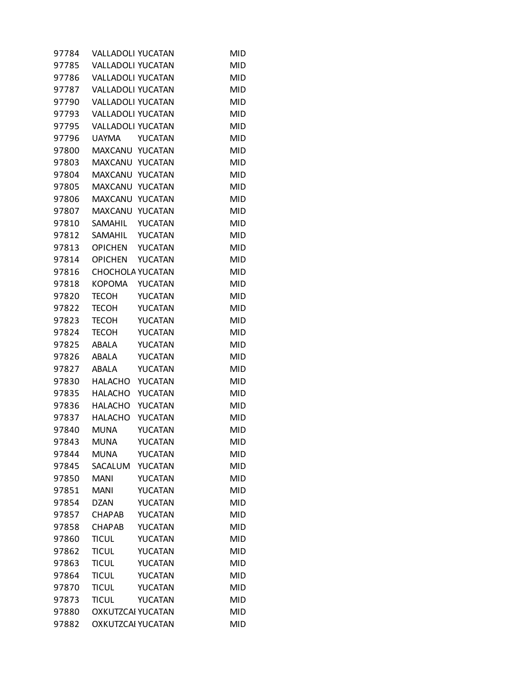| 97784 | <b>VALLADOLI YUCATAN</b> |         | <b>MID</b> |
|-------|--------------------------|---------|------------|
| 97785 | VALLADOLI YUCATAN        |         | <b>MID</b> |
| 97786 | <b>VALLADOLI YUCATAN</b> |         | MID        |
| 97787 | VALLADOLI YUCATAN        |         | MID        |
| 97790 | VALLADOLI YUCATAN        |         | <b>MID</b> |
| 97793 | VALLADOLI YUCATAN        |         | <b>MID</b> |
| 97795 | VALLADOLI YUCATAN        |         | <b>MID</b> |
| 97796 | <b>UAYMA</b>             | YUCATAN | <b>MID</b> |
| 97800 | MAXCANU YUCATAN          |         | <b>MID</b> |
| 97803 | MAXCANU YUCATAN          |         | MID        |
| 97804 | MAXCANU                  | YUCATAN | <b>MID</b> |
| 97805 | MAXCANU                  | YUCATAN | <b>MID</b> |
| 97806 | MAXCANU YUCATAN          |         | MID        |
| 97807 | MAXCANU                  | YUCATAN | MID        |
| 97810 | SAMAHIL                  | YUCATAN | <b>MID</b> |
| 97812 | SAMAHIL                  | YUCATAN | <b>MID</b> |
| 97813 | <b>OPICHEN</b>           | YUCATAN | <b>MID</b> |
| 97814 | <b>OPICHEN</b>           | YUCATAN | <b>MID</b> |
| 97816 | CHOCHOLA YUCATAN         |         | MID        |
| 97818 | <b>KOPOMA</b>            | YUCATAN | <b>MID</b> |
| 97820 | <b>TECOH</b>             | YUCATAN | <b>MID</b> |
| 97822 | <b>TECOH</b>             | YUCATAN | <b>MID</b> |
| 97823 | <b>TECOH</b>             | YUCATAN | <b>MID</b> |
| 97824 | <b>TECOH</b>             | YUCATAN | <b>MID</b> |
| 97825 | ABALA                    | YUCATAN | MID        |
| 97826 | ABALA                    | YUCATAN | MID        |
| 97827 | ABALA                    | YUCATAN | <b>MID</b> |
| 97830 | HALACHO                  | YUCATAN | <b>MID</b> |
| 97835 | <b>HALACHO</b>           | YUCATAN | MID        |
| 97836 | <b>HALACHO</b>           | YUCATAN | <b>MID</b> |
| 97837 | <b>HALACHO</b>           | YUCATAN | MID        |
| 97840 | <b>MUNA</b>              | YUCATAN | <b>MID</b> |
| 97843 | <b>MUNA</b>              | YUCATAN | <b>MID</b> |
| 97844 | <b>MUNA</b>              | YUCATAN | <b>MID</b> |
| 97845 | SACALUM                  | YUCATAN | <b>MID</b> |
| 97850 | <b>MANI</b>              | YUCATAN | <b>MID</b> |
| 97851 | <b>MANI</b>              | YUCATAN | <b>MID</b> |
| 97854 | <b>DZAN</b>              | YUCATAN | <b>MID</b> |
| 97857 | <b>CHAPAB</b>            | YUCATAN | <b>MID</b> |
| 97858 | <b>CHAPAB</b>            | YUCATAN | MID        |
| 97860 | <b>TICUL</b>             | YUCATAN | <b>MID</b> |
| 97862 | <b>TICUL</b>             | YUCATAN | <b>MID</b> |
| 97863 | <b>TICUL</b>             | YUCATAN | <b>MID</b> |
| 97864 | <b>TICUL</b>             | YUCATAN | <b>MID</b> |
| 97870 | <b>TICUL</b>             | YUCATAN | <b>MID</b> |
| 97873 | <b>TICUL</b>             | YUCATAN | <b>MID</b> |
| 97880 | OXKUTZCAI YUCATAN        |         | <b>MID</b> |
| 97882 | OXKUTZCAI YUCATAN        |         | <b>MID</b> |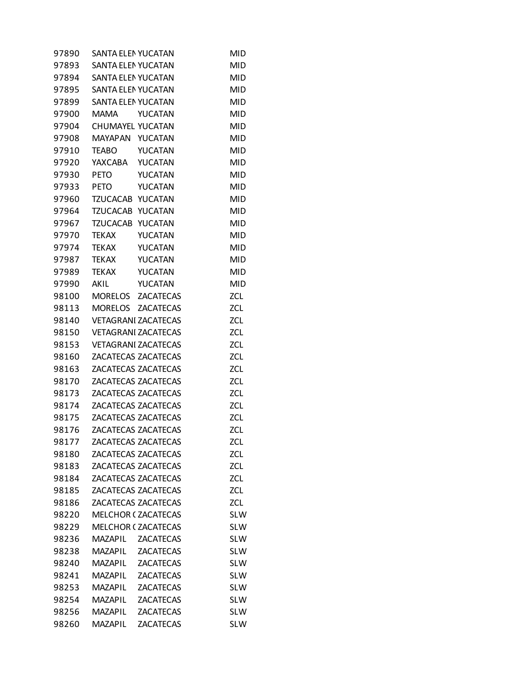| 97890 | <b>SANTA ELEN YUCATAN</b> |                            | <b>MID</b> |
|-------|---------------------------|----------------------------|------------|
| 97893 | <b>SANTA ELEN YUCATAN</b> |                            | <b>MID</b> |
| 97894 | <b>SANTA ELEN YUCATAN</b> |                            | <b>MID</b> |
| 97895 | <b>SANTA ELEN YUCATAN</b> |                            | <b>MID</b> |
| 97899 | SANTA ELENYUCATAN         |                            | <b>MID</b> |
| 97900 | MAMA                      | <b>YUCATAN</b>             | <b>MID</b> |
| 97904 | CHUMAYEL YUCATAN          |                            | <b>MID</b> |
| 97908 | MAYAPAN YUCATAN           |                            | <b>MID</b> |
| 97910 | <b>TEABO</b>              | YUCATAN                    | <b>MID</b> |
| 97920 | YAXCABA                   | YUCATAN                    | <b>MID</b> |
| 97930 | <b>PETO</b>               | YUCATAN                    | <b>MID</b> |
| 97933 | <b>PETO</b>               | <b>YUCATAN</b>             | <b>MID</b> |
| 97960 | TZUCACAB YUCATAN          |                            | <b>MID</b> |
| 97964 | <b>TZUCACAB</b>           | YUCATAN                    | <b>MID</b> |
| 97967 | TZUCACAB                  | YUCATAN                    | <b>MID</b> |
| 97970 | <b>TEKAX</b>              | YUCATAN                    | <b>MID</b> |
| 97974 | <b>TEKAX</b>              | YUCATAN                    | <b>MID</b> |
| 97987 | TEKAX                     | <b>YUCATAN</b>             | <b>MID</b> |
| 97989 | TEKAX                     | YUCATAN                    | <b>MID</b> |
| 97990 | <b>AKIL</b>               | YUCATAN                    | <b>MID</b> |
| 98100 |                           | MORELOS ZACATECAS          | ZCL        |
| 98113 | MORELOS                   | <b>ZACATECAS</b>           | ZCL        |
| 98140 |                           | <b>VETAGRANI ZACATECAS</b> | ZCL        |
| 98150 |                           | <b>VETAGRANI ZACATECAS</b> | ZCL        |
| 98153 |                           | <b>VETAGRANI ZACATECAS</b> | ZCL        |
| 98160 |                           | ZACATECAS ZACATECAS        | ZCL        |
| 98163 |                           | ZACATECAS ZACATECAS        | ZCL        |
| 98170 |                           | ZACATECAS ZACATECAS        | ZCL        |
| 98173 |                           | ZACATECAS ZACATECAS        | ZCL        |
| 98174 |                           | ZACATECAS ZACATECAS        | ZCL        |
| 98175 |                           | ZACATECAS ZACATECAS        | <b>ZCL</b> |
| 98176 |                           | ZACATECAS ZACATECAS        | <b>ZCL</b> |
| 98177 |                           | ZACATECAS ZACATECAS        | ZCL        |
| 98180 |                           | ZACATECAS ZACATECAS        | ZCL        |
| 98183 |                           | ZACATECAS ZACATECAS        | ZCL        |
| 98184 |                           | ZACATECAS ZACATECAS        | ZCL        |
| 98185 |                           | ZACATECAS ZACATECAS        | ZCL        |
| 98186 |                           | ZACATECAS ZACATECAS        | ZCL        |
| 98220 |                           | <b>MELCHOR ( ZACATECAS</b> | <b>SLW</b> |
| 98229 |                           | <b>MELCHOR (ZACATECAS</b>  | <b>SLW</b> |
| 98236 | MAZAPIL                   | <b>ZACATECAS</b>           | <b>SLW</b> |
| 98238 | <b>MAZAPIL</b>            | <b>ZACATECAS</b>           | <b>SLW</b> |
| 98240 | MAZAPIL                   | ZACATECAS                  | <b>SLW</b> |
| 98241 | <b>MAZAPIL</b>            | <b>ZACATECAS</b>           | <b>SLW</b> |
| 98253 | <b>MAZAPIL</b>            | <b>ZACATECAS</b>           | <b>SLW</b> |
| 98254 | <b>MAZAPIL</b>            | <b>ZACATECAS</b>           | <b>SLW</b> |
| 98256 | MAZAPIL                   | <b>ZACATECAS</b>           | <b>SLW</b> |
| 98260 | <b>MAZAPIL</b>            | <b>ZACATECAS</b>           | <b>SLW</b> |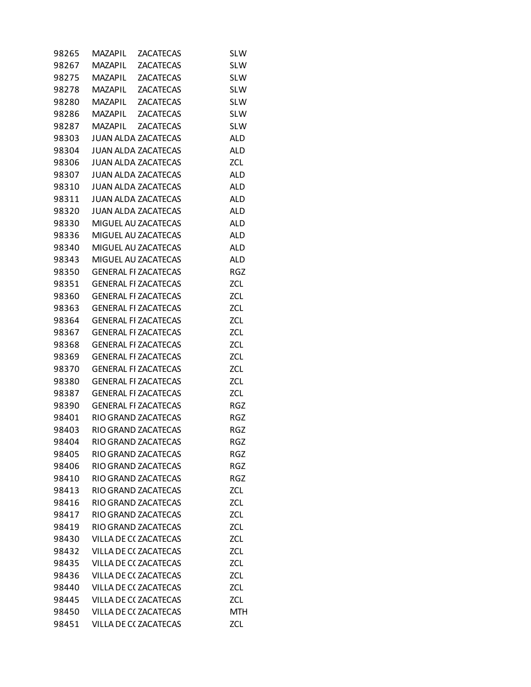| 98265 | MAZAPIL        | <b>ZACATECAS</b>             | <b>SLW</b> |
|-------|----------------|------------------------------|------------|
| 98267 | <b>MAZAPIL</b> | <b>ZACATECAS</b>             | <b>SLW</b> |
| 98275 | MAZAPIL        | <b>ZACATECAS</b>             | <b>SLW</b> |
| 98278 | <b>MAZAPIL</b> | ZACATECAS                    | <b>SLW</b> |
| 98280 | <b>MAZAPIL</b> | <b>ZACATECAS</b>             | <b>SLW</b> |
| 98286 | <b>MAZAPIL</b> | <b>ZACATECAS</b>             | <b>SLW</b> |
| 98287 | MAZAPIL        | <b>ZACATECAS</b>             | <b>SLW</b> |
| 98303 |                | <b>JUAN ALDA ZACATECAS</b>   | <b>ALD</b> |
| 98304 |                | <b>JUAN ALDA ZACATECAS</b>   | <b>ALD</b> |
| 98306 |                | <b>JUAN ALDA ZACATECAS</b>   | ZCL        |
| 98307 |                | <b>JUAN ALDA ZACATECAS</b>   | <b>ALD</b> |
| 98310 |                | JUAN ALDA ZACATECAS          | <b>ALD</b> |
| 98311 |                | <b>JUAN ALDA ZACATECAS</b>   | ALD        |
| 98320 |                | <b>JUAN ALDA ZACATECAS</b>   | <b>ALD</b> |
| 98330 |                | MIGUEL AU ZACATECAS          | <b>ALD</b> |
| 98336 |                | MIGUEL AU ZACATECAS          | ALD        |
| 98340 |                | MIGUEL AU ZACATECAS          | <b>ALD</b> |
| 98343 |                | MIGUEL AU ZACATECAS          | <b>ALD</b> |
| 98350 |                | <b>GENERAL FI ZACATECAS</b>  | <b>RGZ</b> |
| 98351 |                | <b>GENERAL FI ZACATECAS</b>  | ZCL        |
| 98360 |                | <b>GENERAL FI ZACATECAS</b>  | ZCL        |
| 98363 |                | <b>GENERAL FI ZACATECAS</b>  | ZCL        |
| 98364 |                | <b>GENERAL FI ZACATECAS</b>  | ZCL        |
| 98367 |                | <b>GENERAL FI ZACATECAS</b>  | ZCL        |
| 98368 |                | <b>GENERAL FI ZACATECAS</b>  | ZCL        |
| 98369 |                | <b>GENERAL FI ZACATECAS</b>  | ZCL        |
| 98370 |                | <b>GENERAL FI ZACATECAS</b>  | ZCL        |
| 98380 |                | <b>GENERAL FI ZACATECAS</b>  | ZCL        |
| 98387 |                | <b>GENERAL FI ZACATECAS</b>  | ZCL        |
| 98390 |                | <b>GENERAL FI ZACATECAS</b>  | <b>RGZ</b> |
| 98401 |                | RIO GRAND ZACATECAS          | RGZ        |
| 98403 |                | RIO GRAND ZACATECAS          | RGZ        |
| 98404 |                | RIO GRAND ZACATECAS          | <b>RGZ</b> |
| 98405 |                | <b>RIO GRAND ZACATECAS</b>   | <b>RGZ</b> |
| 98406 |                | <b>RIO GRAND ZACATECAS</b>   | <b>RGZ</b> |
| 98410 |                | RIO GRAND ZACATECAS          | <b>RGZ</b> |
| 98413 |                | RIO GRAND ZACATECAS          | ZCL        |
| 98416 |                | RIO GRAND ZACATECAS          | ZCL        |
| 98417 |                | RIO GRAND ZACATECAS          | <b>ZCL</b> |
| 98419 |                | RIO GRAND ZACATECAS          | ZCL        |
| 98430 |                | VILLA DE C(ZACATECAS         | ZCL        |
| 98432 |                | <b>VILLA DE C( ZACATECAS</b> | ZCL        |
| 98435 |                | VILLA DE C(ZACATECAS         | ZCL        |
| 98436 |                | VILLA DE C(ZACATECAS         | ZCL        |
| 98440 |                | VILLA DE C(ZACATECAS         | ZCL        |
| 98445 |                | VILLA DE C(ZACATECAS         | ZCL        |
| 98450 |                | VILLA DE C(ZACATECAS         | <b>MTH</b> |
| 98451 |                | VILLA DE C(ZACATECAS         | <b>ZCL</b> |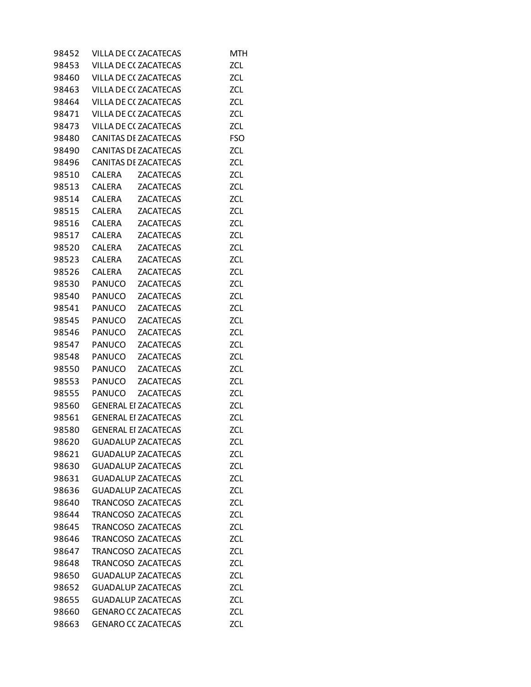| 98452 |              | VILLA DE C(ZACATECAS        | MTH        |
|-------|--------------|-----------------------------|------------|
| 98453 |              | VILLA DE C(ZACATECAS        | ZCL        |
| 98460 |              | VILLA DE C(ZACATECAS        | ZCL        |
| 98463 |              | VILLA DE C(ZACATECAS        | ZCL        |
| 98464 |              | VILLA DE C(ZACATECAS        | ZCL        |
| 98471 |              | VILLA DE C(ZACATECAS        | ZCL        |
| 98473 |              | VILLA DE C(ZACATECAS        | ZCL        |
| 98480 |              | <b>CANITAS DE ZACATECAS</b> | <b>FSO</b> |
| 98490 |              | <b>CANITAS DE ZACATECAS</b> | ZCL        |
| 98496 |              | <b>CANITAS DE ZACATECAS</b> | ZCL        |
| 98510 | CALERA       | <b>ZACATECAS</b>            | ZCL        |
| 98513 |              | CALERA ZACATECAS            | ZCL        |
| 98514 |              | CALERA ZACATECAS            | ZCL        |
| 98515 |              | CALERA ZACATECAS            | ZCL        |
| 98516 |              | CALERA ZACATECAS            | ZCL        |
| 98517 | CALERA       | ZACATECAS                   | ZCL        |
| 98520 | CALERA       | <b>ZACATECAS</b>            | ZCL        |
| 98523 | CALERA       | <b>ZACATECAS</b>            | ZCL        |
| 98526 | CALERA       | <b>ZACATECAS</b>            | ZCL        |
| 98530 | PANUCO       | <b>ZACATECAS</b>            | ZCL        |
|       |              | 98540 PANUCO ZACATECAS      | <b>ZCL</b> |
| 98541 | PANUCO       | <b>ZACATECAS</b>            | ZCL        |
|       | 98545 PANUCO | <b>ZACATECAS</b>            | ZCL        |
|       | 98546 PANUCO | <b>ZACATECAS</b>            | <b>ZCL</b> |
| 98547 | PANUCO       | <b>ZACATECAS</b>            | ZCL        |
| 98548 |              | PANUCO ZACATECAS            | ZCL        |
|       |              | 98550 PANUCO ZACATECAS      | ZCL        |
| 98553 |              | PANUCO ZACATECAS            | ZCL        |
|       | 98555 PANUCO | <b>ZACATECAS</b>            | <b>ZCL</b> |
| 98560 |              | <b>GENERAL EI ZACATECAS</b> | <b>ZCL</b> |
| 98561 |              | <b>GENERAL EI ZACATECAS</b> | ZCL        |
| 98580 |              | <b>GENERAL EI ZACATECAS</b> | <b>ZCL</b> |
| 98620 |              | <b>GUADALUP ZACATECAS</b>   | ZCL        |
| 98621 |              | <b>GUADALUP ZACATECAS</b>   | <b>ZCL</b> |
| 98630 |              | <b>GUADALUP ZACATECAS</b>   | <b>ZCL</b> |
| 98631 |              | <b>GUADALUP ZACATECAS</b>   | ZCL        |
| 98636 |              | <b>GUADALUP ZACATECAS</b>   | <b>ZCL</b> |
| 98640 |              | <b>TRANCOSO ZACATECAS</b>   | <b>ZCL</b> |
| 98644 |              | <b>TRANCOSO ZACATECAS</b>   | <b>ZCL</b> |
| 98645 |              | <b>TRANCOSO ZACATECAS</b>   | ZCL        |
| 98646 |              | <b>TRANCOSO ZACATECAS</b>   | <b>ZCL</b> |
| 98647 |              | <b>TRANCOSO ZACATECAS</b>   | ZCL        |
| 98648 |              | <b>TRANCOSO ZACATECAS</b>   | ZCL        |
| 98650 |              | <b>GUADALUP ZACATECAS</b>   | <b>ZCL</b> |
| 98652 |              | <b>GUADALUP ZACATECAS</b>   | <b>ZCL</b> |
| 98655 |              | <b>GUADALUP ZACATECAS</b>   | ZCL        |
| 98660 |              | <b>GENARO CC ZACATECAS</b>  | ZCL        |
| 98663 |              | <b>GENARO CC ZACATECAS</b>  | ZCL        |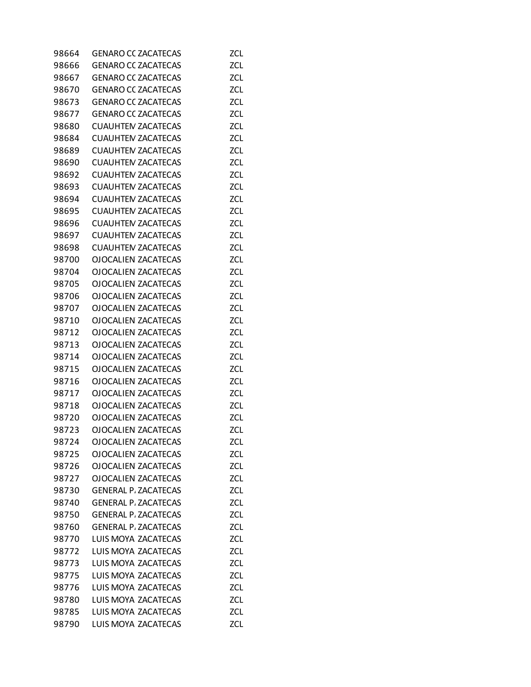| 98664 | <b>GENARO CC ZACATECAS</b>  | <b>ZCL</b> |
|-------|-----------------------------|------------|
| 98666 | <b>GENARO CC ZACATECAS</b>  | <b>ZCL</b> |
| 98667 | <b>GENARO CC ZACATECAS</b>  | <b>ZCL</b> |
| 98670 | <b>GENARO CC ZACATECAS</b>  | ZCL        |
| 98673 | <b>GENARO CC ZACATECAS</b>  | <b>ZCL</b> |
| 98677 | <b>GENARO CC ZACATECAS</b>  | ZCL        |
| 98680 | <b>CUAUHTEN ZACATECAS</b>   | ZCL        |
| 98684 | <b>CUAUHTEN ZACATECAS</b>   | <b>ZCL</b> |
| 98689 | <b>CUAUHTEN ZACATECAS</b>   | <b>ZCL</b> |
| 98690 | <b>CUAUHTEN ZACATECAS</b>   | <b>ZCL</b> |
| 98692 | <b>CUAUHTEN ZACATECAS</b>   | <b>ZCL</b> |
| 98693 | <b>CUAUHTEN ZACATECAS</b>   | ZCL        |
| 98694 | <b>CUAUHTEN ZACATECAS</b>   | ZCL        |
| 98695 | <b>CUAUHTEN ZACATECAS</b>   | <b>ZCL</b> |
| 98696 | <b>CUAUHTEN ZACATECAS</b>   | ZCL        |
| 98697 | <b>CUAUHTEN ZACATECAS</b>   | <b>ZCL</b> |
| 98698 | <b>CUAUHTEN ZACATECAS</b>   | <b>ZCL</b> |
|       |                             |            |
| 98700 | <b>OJOCALIEN ZACATECAS</b>  | ZCL        |
| 98704 | OJOCALIEN ZACATECAS         | ZCL        |
| 98705 | <b>OJOCALIEN ZACATECAS</b>  | <b>ZCL</b> |
| 98706 | <b>OJOCALIEN ZACATECAS</b>  | ZCL        |
| 98707 | <b>OJOCALIEN ZACATECAS</b>  | ZCL        |
| 98710 | <b>OJOCALIEN ZACATECAS</b>  | <b>ZCL</b> |
| 98712 | <b>OJOCALIEN ZACATECAS</b>  | ZCL        |
| 98713 | <b>OJOCALIEN ZACATECAS</b>  | ZCL        |
| 98714 | <b>OJOCALIEN ZACATECAS</b>  | <b>ZCL</b> |
| 98715 | <b>OJOCALIEN ZACATECAS</b>  | ZCL        |
| 98716 | <b>OJOCALIEN ZACATECAS</b>  | ZCL        |
| 98717 | <b>OJOCALIEN ZACATECAS</b>  | <b>ZCL</b> |
| 98718 | <b>OJOCALIEN ZACATECAS</b>  | <b>ZCL</b> |
| 98720 | <b>OJOCALIEN ZACATECAS</b>  | ZCL        |
| 98723 | <b>OJOCALIEN ZACATECAS</b>  | <b>ZCL</b> |
| 98724 | <b>OJOCALIEN ZACATECAS</b>  | <b>ZCL</b> |
| 98725 | <b>OJOCALIEN ZACATECAS</b>  | ZCL        |
| 98726 | <b>OJOCALIEN ZACATECAS</b>  | <b>ZCL</b> |
| 98727 | <b>OJOCALIEN ZACATECAS</b>  | ZCL        |
| 98730 | <b>GENERAL P. ZACATECAS</b> | ZCL        |
| 98740 | <b>GENERAL P. ZACATECAS</b> | <b>ZCL</b> |
| 98750 | <b>GENERAL P. ZACATECAS</b> | ZCL        |
| 98760 | <b>GENERAL P. ZACATECAS</b> | ZCL        |
| 98770 | LUIS MOYA ZACATECAS         | <b>ZCL</b> |
| 98772 | LUIS MOYA ZACATECAS         | ZCL        |
| 98773 | LUIS MOYA ZACATECAS         | ZCL        |
| 98775 | LUIS MOYA ZACATECAS         | <b>ZCL</b> |
| 98776 | LUIS MOYA ZACATECAS         | ZCL        |
| 98780 | LUIS MOYA ZACATECAS         | ZCL        |
| 98785 | LUIS MOYA ZACATECAS         | ZCL        |
| 98790 | LUIS MOYA ZACATECAS         | ZCL        |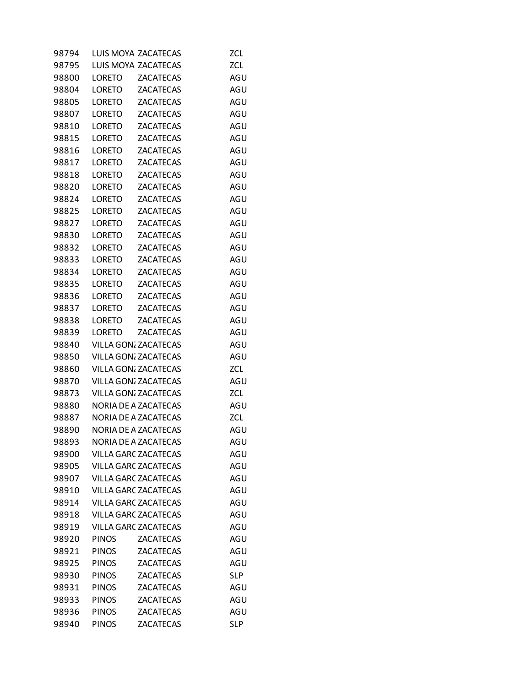| 98794 |               | LUIS MOYA ZACATECAS         | ZCL.       |
|-------|---------------|-----------------------------|------------|
| 98795 |               | LUIS MOYA ZACATECAS         | ZCL        |
| 98800 | LORETO        | <b>ZACATECAS</b>            | AGU        |
| 98804 | LORETO        | <b>ZACATECAS</b>            | AGU        |
| 98805 | LORETO        | <b>ZACATECAS</b>            | AGU        |
| 98807 | <b>LORETO</b> | <b>ZACATECAS</b>            | AGU        |
| 98810 | LORETO        | ZACATECAS                   | AGU        |
| 98815 | <b>LORETO</b> | <b>ZACATECAS</b>            | AGU        |
| 98816 | <b>LORETO</b> | <b>ZACATECAS</b>            | AGU        |
| 98817 | <b>LORETO</b> | <b>ZACATECAS</b>            | AGU        |
| 98818 | <b>LORETO</b> | <b>ZACATECAS</b>            | AGU        |
| 98820 | <b>LORETO</b> | <b>ZACATECAS</b>            | AGU        |
| 98824 | LORETO        | <b>ZACATECAS</b>            | AGU        |
| 98825 | <b>LORETO</b> | <b>ZACATECAS</b>            | AGU        |
| 98827 | <b>LORETO</b> | <b>ZACATECAS</b>            | AGU        |
| 98830 | LORETO        | <b>ZACATECAS</b>            | AGU        |
| 98832 | <b>LORETO</b> | <b>ZACATECAS</b>            | AGU        |
| 98833 | <b>LORETO</b> | <b>ZACATECAS</b>            | AGU        |
| 98834 | LORETO        | <b>ZACATECAS</b>            | AGU        |
| 98835 | LORETO        | <b>ZACATECAS</b>            | AGU        |
| 98836 | LORETO        | ZACATECAS                   | AGU        |
| 98837 | LORETO        | <b>ZACATECAS</b>            | AGU        |
| 98838 | LORETO        | <b>ZACATECAS</b>            | AGU        |
| 98839 | LORETO        | <b>ZACATECAS</b>            | AGU        |
| 98840 |               | VILLA GON; ZACATECAS        | AGU        |
| 98850 |               | <b>VILLA GON: ZACATECAS</b> | AGU        |
| 98860 |               | VILLA GON: ZACATECAS        | ZCL        |
| 98870 |               | VILLA GON: ZACATECAS        | AGU        |
| 98873 |               | <b>VILLA GON: ZACATECAS</b> | ZCL        |
| 98880 |               | <b>NORIA DE A ZACATECAS</b> | AGU        |
| 98887 |               | NORIA DE A ZACATECAS        | ZCL        |
| 98890 |               | NORIA DE A ZACATECAS        | AGU        |
| 98893 |               | <b>NORIA DE A ZACATECAS</b> | AGU        |
| 98900 |               | <b>VILLA GARC ZACATECAS</b> | AGU        |
| 98905 |               | <b>VILLA GARC ZACATECAS</b> | AGU        |
| 98907 |               | <b>VILLA GARC ZACATECAS</b> | AGU        |
| 98910 |               | <b>VILLA GARC ZACATECAS</b> | AGU        |
| 98914 |               | <b>VILLA GARC ZACATECAS</b> | AGU        |
| 98918 |               | <b>VILLA GARC ZACATECAS</b> | AGU        |
| 98919 |               | <b>VILLA GARC ZACATECAS</b> | AGU        |
| 98920 | <b>PINOS</b>  | <b>ZACATECAS</b>            | AGU        |
| 98921 | <b>PINOS</b>  | <b>ZACATECAS</b>            | AGU        |
| 98925 | <b>PINOS</b>  | <b>ZACATECAS</b>            | AGU        |
| 98930 | <b>PINOS</b>  | <b>ZACATECAS</b>            | <b>SLP</b> |
| 98931 | <b>PINOS</b>  | <b>ZACATECAS</b>            | AGU        |
| 98933 | <b>PINOS</b>  | <b>ZACATECAS</b>            | AGU        |
| 98936 | <b>PINOS</b>  | <b>ZACATECAS</b>            | AGU        |
| 98940 | <b>PINOS</b>  | <b>ZACATECAS</b>            | <b>SLP</b> |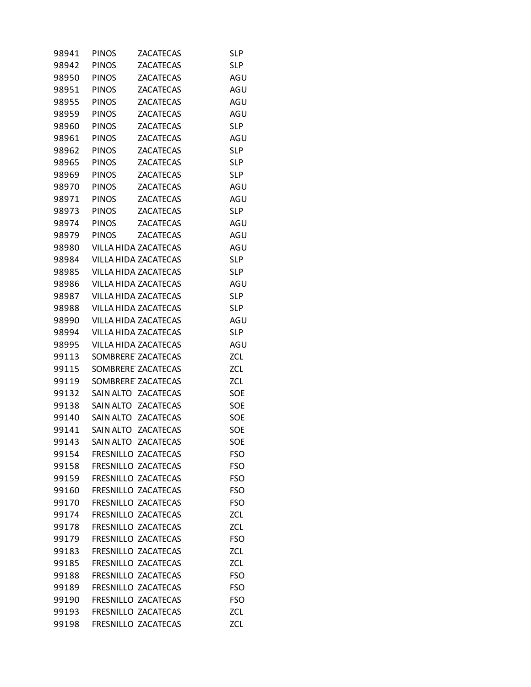| 98941 | <b>PINOS</b> | <b>ZACATECAS</b>     | <b>SLP</b> |
|-------|--------------|----------------------|------------|
| 98942 | <b>PINOS</b> | <b>ZACATECAS</b>     | <b>SLP</b> |
| 98950 | <b>PINOS</b> | <b>ZACATECAS</b>     | AGU        |
| 98951 | <b>PINOS</b> | ZACATECAS            | AGU        |
| 98955 | <b>PINOS</b> | <b>ZACATECAS</b>     | AGU        |
| 98959 | <b>PINOS</b> | <b>ZACATECAS</b>     | AGU        |
| 98960 | <b>PINOS</b> | ZACATECAS            | SL P       |
| 98961 | <b>PINOS</b> | <b>ZACATECAS</b>     | AGU        |
| 98962 | <b>PINOS</b> | <b>ZACATECAS</b>     | <b>SLP</b> |
| 98965 | <b>PINOS</b> | <b>ZACATECAS</b>     | <b>SLP</b> |
| 98969 | <b>PINOS</b> | <b>ZACATECAS</b>     | <b>SLP</b> |
| 98970 | <b>PINOS</b> | <b>ZACATECAS</b>     | AGU        |
| 98971 | <b>PINOS</b> | ZACATECAS            | AGU        |
| 98973 | <b>PINOS</b> | <b>ZACATECAS</b>     | <b>SLP</b> |
| 98974 | <b>PINOS</b> | <b>ZACATECAS</b>     | AGU        |
| 98979 | <b>PINOS</b> | <b>ZACATECAS</b>     | AGU        |
| 98980 |              | VILLA HIDA ZACATECAS | AGU        |
| 98984 |              | VILLA HIDA ZACATECAS | <b>SLP</b> |
| 98985 |              | VILLA HIDA ZACATECAS | SL P       |
| 98986 |              | VILLA HIDA ZACATECAS | AGU        |
| 98987 |              | VILLA HIDA ZACATECAS | <b>SLP</b> |
| 98988 |              | VILLA HIDA ZACATECAS | <b>SLP</b> |
| 98990 |              | VILLA HIDA ZACATECAS | AGU        |
| 98994 |              | VILLA HIDA ZACATECAS | <b>SLP</b> |
| 98995 |              | VILLA HIDA ZACATECAS | AGU        |
| 99113 |              | SOMBRERE ZACATECAS   | ZCL        |
| 99115 |              | SOMBRERE ZACATECAS   | <b>ZCL</b> |
| 99119 |              | SOMBRERE ZACATECAS   | ZCL        |
| 99132 | SAIN ALTO    | <b>ZACATECAS</b>     | SOE        |
| 99138 | SAIN ALTO    | <b>ZACATECAS</b>     | SOE        |
| 99140 | SAIN ALTO    | <b>ZACATECAS</b>     | SOE        |
| 99141 | SAIN ALTO    | <b>ZACATECAS</b>     | SOE        |
| 99143 |              | SAIN ALTO ZACATECAS  | SOE        |
| 99154 |              | FRESNILLO ZACATECAS  | <b>FSO</b> |
| 99158 |              | FRESNILLO ZACATECAS  | <b>FSO</b> |
| 99159 |              | FRESNILLO ZACATECAS  | <b>FSO</b> |
| 99160 |              | FRESNILLO ZACATECAS  | <b>FSO</b> |
| 99170 |              | FRESNILLO ZACATECAS  | <b>FSO</b> |
| 99174 |              | FRESNILLO ZACATECAS  | <b>ZCL</b> |
| 99178 |              | FRESNILLO ZACATECAS  | <b>ZCL</b> |
| 99179 |              | FRESNILLO ZACATECAS  | <b>FSO</b> |
| 99183 |              | FRESNILLO ZACATECAS  | <b>ZCL</b> |
| 99185 |              | FRESNILLO ZACATECAS  | ZCL        |
| 99188 |              | FRESNILLO ZACATECAS  | <b>FSO</b> |
| 99189 |              | FRESNILLO ZACATECAS  | <b>FSO</b> |
| 99190 |              | FRESNILLO ZACATECAS  | <b>FSO</b> |
| 99193 |              | FRESNILLO ZACATECAS  | <b>ZCL</b> |
| 99198 |              | FRESNILLO ZACATECAS  | <b>ZCL</b> |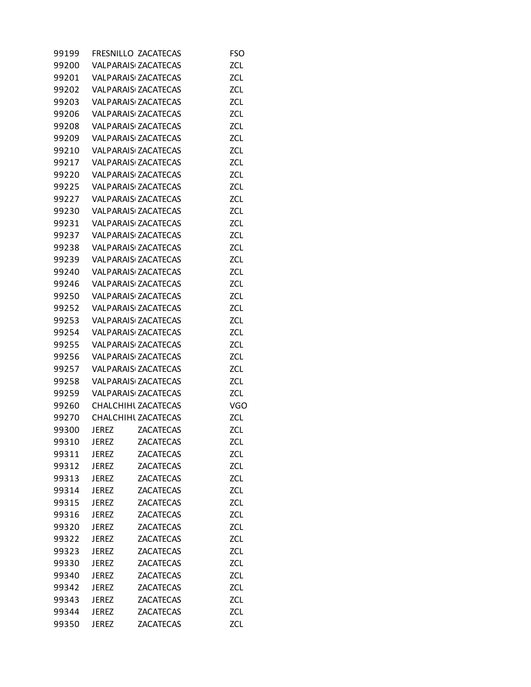| 99199 |              | FRESNILLO ZACATECAS        | <b>FSO</b> |
|-------|--------------|----------------------------|------------|
| 99200 |              | <b>VALPARAIS ZACATECAS</b> | ZCL        |
| 99201 |              | <b>VALPARAIS ZACATECAS</b> | <b>ZCL</b> |
| 99202 |              | <b>VALPARAIS ZACATECAS</b> | ZCL        |
| 99203 |              | <b>VALPARAIS ZACATECAS</b> | <b>ZCL</b> |
| 99206 |              | <b>VALPARAIS ZACATECAS</b> | <b>ZCL</b> |
| 99208 |              | <b>VALPARAIS ZACATECAS</b> | ZCL        |
| 99209 |              | <b>VALPARAIS ZACATECAS</b> | <b>ZCL</b> |
| 99210 |              | <b>VALPARAIS ZACATECAS</b> | <b>ZCL</b> |
| 99217 |              | <b>VALPARAIS ZACATECAS</b> | ZCL        |
| 99220 |              | <b>VALPARAIS ZACATECAS</b> | <b>ZCL</b> |
| 99225 |              | <b>VALPARAIS ZACATECAS</b> | <b>ZCL</b> |
| 99227 |              | <b>VALPARAIS ZACATECAS</b> | ZCL        |
| 99230 |              | <b>VALPARAIS ZACATECAS</b> | <b>ZCL</b> |
| 99231 |              | <b>VALPARAIS ZACATECAS</b> | <b>ZCL</b> |
| 99237 |              | <b>VALPARAIS ZACATECAS</b> | ZCL        |
| 99238 |              | <b>VALPARAIS ZACATECAS</b> | <b>ZCL</b> |
| 99239 |              | <b>VALPARAIS ZACATECAS</b> | <b>ZCL</b> |
| 99240 |              | <b>VALPARAIS ZACATECAS</b> | ZCL        |
| 99246 |              | <b>VALPARAIS ZACATECAS</b> | <b>ZCL</b> |
| 99250 |              | <b>VALPARAIS ZACATECAS</b> | <b>ZCL</b> |
| 99252 |              | <b>VALPARAIS ZACATECAS</b> | ZCL        |
| 99253 |              | <b>VALPARAIS ZACATECAS</b> | <b>ZCL</b> |
| 99254 |              | <b>VALPARAIS ZACATECAS</b> | ZCL        |
| 99255 |              | <b>VALPARAIS ZACATECAS</b> | ZCL        |
| 99256 |              | <b>VALPARAIS ZACATECAS</b> | <b>ZCL</b> |
| 99257 |              | <b>VALPARAIS ZACATECAS</b> | <b>ZCL</b> |
| 99258 |              | <b>VALPARAIS ZACATECAS</b> | <b>ZCL</b> |
| 99259 |              | <b>VALPARAIS ZACATECAS</b> | <b>ZCL</b> |
| 99260 |              | CHALCHIHL ZACATECAS        | VGO        |
| 99270 |              | CHALCHIHI ZACATECAS        | ZCL        |
| 99300 | JEREZ        | <b>ZACATECAS</b>           | <b>ZCL</b> |
| 99310 | <b>JEREZ</b> | <b>ZACATECAS</b>           | <b>ZCL</b> |
| 99311 | <b>JEREZ</b> | <b>ZACATECAS</b>           | <b>ZCL</b> |
| 99312 | <b>JEREZ</b> | <b>ZACATECAS</b>           | <b>ZCL</b> |
| 99313 | <b>JEREZ</b> | <b>ZACATECAS</b>           | <b>ZCL</b> |
| 99314 | <b>JEREZ</b> | <b>ZACATECAS</b>           | <b>ZCL</b> |
| 99315 | <b>JEREZ</b> | <b>ZACATECAS</b>           | ZCL        |
| 99316 | <b>JEREZ</b> | <b>ZACATECAS</b>           | ZCL        |
| 99320 | <b>JEREZ</b> | <b>ZACATECAS</b>           | <b>ZCL</b> |
| 99322 | <b>JEREZ</b> | <b>ZACATECAS</b>           | ZCL        |
| 99323 | <b>JEREZ</b> | <b>ZACATECAS</b>           | <b>ZCL</b> |
| 99330 | <b>JEREZ</b> | <b>ZACATECAS</b>           | <b>ZCL</b> |
| 99340 | <b>JEREZ</b> | <b>ZACATECAS</b>           | <b>ZCL</b> |
| 99342 | <b>JEREZ</b> | <b>ZACATECAS</b>           | <b>ZCL</b> |
| 99343 | <b>JEREZ</b> | <b>ZACATECAS</b>           | <b>ZCL</b> |
| 99344 | <b>JEREZ</b> | <b>ZACATECAS</b>           | <b>ZCL</b> |
| 99350 | <b>JEREZ</b> | <b>ZACATECAS</b>           | <b>ZCL</b> |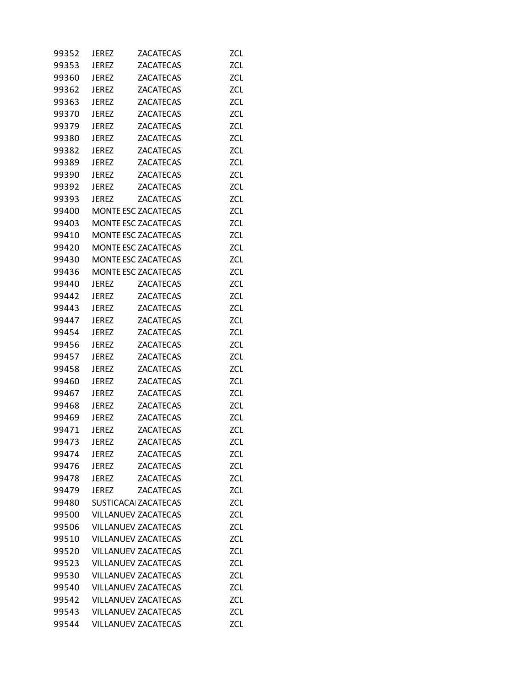| 99352 | JEREZ                       | ZACATECAS                  | <b>ZCL</b> |
|-------|-----------------------------|----------------------------|------------|
| 99353 | <b>JEREZ</b>                | <b>ZACATECAS</b>           | <b>ZCL</b> |
| 99360 | <b>JEREZ</b>                | <b>ZACATECAS</b>           | <b>ZCL</b> |
| 99362 | <b>JEREZ</b>                | <b>ZACATECAS</b>           | ZCL        |
| 99363 | <b>JEREZ</b>                | <b>ZACATECAS</b>           | <b>ZCL</b> |
| 99370 | <b>JEREZ</b>                | <b>ZACATECAS</b>           | <b>ZCL</b> |
| 99379 | <b>JEREZ</b>                | ZACATECAS                  | <b>ZCL</b> |
| 99380 | <b>JEREZ</b>                | <b>ZACATECAS</b>           | <b>ZCL</b> |
| 99382 | <b>JEREZ</b>                | <b>ZACATECAS</b>           | ZCL        |
| 99389 | <b>JEREZ</b>                | <b>ZACATECAS</b>           | ZCL        |
| 99390 | <b>JEREZ</b>                | <b>ZACATECAS</b>           | <b>ZCL</b> |
| 99392 | <b>JEREZ</b>                | <b>ZACATECAS</b>           | <b>ZCL</b> |
| 99393 | <b>JEREZ</b>                | <b>ZACATECAS</b>           | ZCL        |
| 99400 |                             | MONTE ESC ZACATECAS        | <b>ZCL</b> |
| 99403 |                             | MONTE ESC ZACATECAS        | ZCL        |
| 99410 |                             | MONTE ESC ZACATECAS        | ZCL        |
| 99420 |                             | MONTE ESC ZACATECAS        | <b>ZCL</b> |
| 99430 |                             | MONTE ESC ZACATECAS        | <b>ZCL</b> |
| 99436 |                             | MONTE ESC ZACATECAS        | ZCL        |
| 99440 | <b>JEREZ</b>                | <b>ZACATECAS</b>           | <b>ZCL</b> |
| 99442 | <b>JEREZ</b>                | <b>ZACATECAS</b>           | ZCL        |
| 99443 | <b>JEREZ</b>                | <b>ZACATECAS</b>           | ZCL        |
| 99447 | <b>JEREZ</b>                | <b>ZACATECAS</b>           | <b>ZCL</b> |
| 99454 | <b>JEREZ</b>                | <b>ZACATECAS</b>           | <b>ZCL</b> |
| 99456 | <b>JEREZ</b>                | ZACATECAS                  | ZCL        |
| 99457 | <b>JEREZ</b>                | <b>ZACATECAS</b>           | <b>ZCL</b> |
| 99458 | <b>JEREZ</b>                | <b>ZACATECAS</b>           | ZCL        |
| 99460 | <b>JEREZ</b>                | <b>ZACATECAS</b>           | ZCL        |
| 99467 | <b>JEREZ</b>                | <b>ZACATECAS</b>           | <b>ZCL</b> |
| 99468 | <b>JEREZ</b>                | <b>ZACATECAS</b>           | ZCL        |
| 99469 | <b>JEREZ</b>                | ZACATECAS                  | ZCL        |
| 99471 | JEREZ                       | <b>ZACATECAS</b>           | <b>ZCL</b> |
| 99473 | <b>JEREZ</b>                | <b>ZACATECAS</b>           | ZCL        |
| 99474 | <b>JEREZ</b>                | <b>ZACATECAS</b>           | ZCL        |
| 99476 | <b>JEREZ</b>                | <b>ZACATECAS</b>           | <b>ZCL</b> |
| 99478 | <b>JEREZ</b>                | <b>ZACATECAS</b>           | <b>ZCL</b> |
| 99479 | <b>JEREZ</b>                | <b>ZACATECAS</b>           | ZCL        |
| 99480 | <b>SUSTICACAI ZACATECAS</b> |                            | <b>ZCL</b> |
| 99500 |                             | <b>VILLANUEV ZACATECAS</b> | <b>ZCL</b> |
| 99506 |                             | <b>VILLANUEV ZACATECAS</b> | ZCL        |
| 99510 | <b>VILLANUEV ZACATECAS</b>  |                            | <b>ZCL</b> |
| 99520 |                             | <b>VILLANUEV ZACATECAS</b> | <b>ZCL</b> |
| 99523 |                             | <b>VILLANUEV ZACATECAS</b> | ZCL        |
| 99530 | <b>VILLANUEV ZACATECAS</b>  |                            | <b>ZCL</b> |
| 99540 |                             | <b>VILLANUEV ZACATECAS</b> | <b>ZCL</b> |
| 99542 |                             | <b>VILLANUEV ZACATECAS</b> | ZCL        |
| 99543 |                             | <b>VILLANUEV ZACATECAS</b> | <b>ZCL</b> |
| 99544 |                             | <b>VILLANUEV ZACATECAS</b> | ZCL        |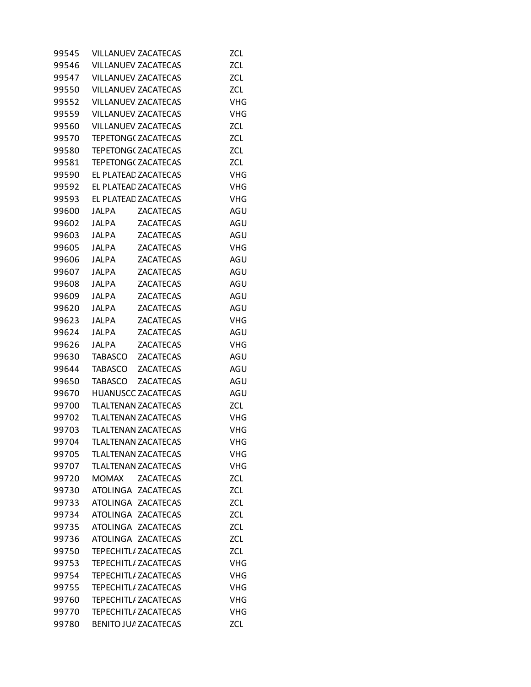| 99545 |              | <b>VILLANUEV ZACATECAS</b>  | <b>ZCL</b> |
|-------|--------------|-----------------------------|------------|
| 99546 |              | <b>VILLANUEV ZACATECAS</b>  | <b>ZCL</b> |
| 99547 |              | <b>VILLANUEV ZACATECAS</b>  | <b>ZCL</b> |
| 99550 |              | <b>VILLANUEV ZACATECAS</b>  | ZCL        |
| 99552 |              | <b>VILLANUEV ZACATECAS</b>  | <b>VHG</b> |
| 99559 |              | <b>VILLANUEV ZACATECAS</b>  | <b>VHG</b> |
| 99560 |              | <b>VILLANUEV ZACATECAS</b>  | ZCL        |
| 99570 |              | <b>TEPETONG( ZACATECAS</b>  | <b>ZCL</b> |
| 99580 |              | <b>TEPETONG( ZACATECAS</b>  | <b>ZCL</b> |
| 99581 |              | <b>TEPETONG( ZACATECAS</b>  | ZCL        |
| 99590 |              | EL PLATEAD ZACATECAS        | <b>VHG</b> |
| 99592 |              | EL PLATEAD ZACATECAS        | <b>VHG</b> |
| 99593 |              | EL PLATEAD ZACATECAS        | <b>VHG</b> |
| 99600 | JALPA        | <b>ZACATECAS</b>            | AGU        |
| 99602 | JALPA        | <b>ZACATECAS</b>            | AGU        |
| 99603 | <b>JALPA</b> | <b>ZACATECAS</b>            | AGU        |
| 99605 | <b>JALPA</b> | <b>ZACATECAS</b>            | VHG        |
| 99606 | <b>JALPA</b> | <b>ZACATECAS</b>            | AGU        |
| 99607 | JALPA        | <b>ZACATECAS</b>            | AGU        |
| 99608 | <b>JALPA</b> | <b>ZACATECAS</b>            | AGU        |
| 99609 | <b>JALPA</b> | <b>ZACATECAS</b>            | AGU        |
| 99620 | <b>JALPA</b> | <b>ZACATECAS</b>            | AGU        |
| 99623 | <b>JALPA</b> | <b>ZACATECAS</b>            | VHG        |
| 99624 | <b>JALPA</b> | <b>ZACATECAS</b>            | AGU        |
| 99626 | JALPA        | <b>ZACATECAS</b>            | <b>VHG</b> |
| 99630 | TABASCO      | <b>ZACATECAS</b>            | AGU        |
| 99644 | TABASCO      | <b>ZACATECAS</b>            | AGU        |
| 99650 | TABASCO      | <b>ZACATECAS</b>            | AGU        |
| 99670 |              | <b>HUANUSCC ZACATECAS</b>   | AGU        |
| 99700 |              | <b>TLALTENAN ZACATECAS</b>  | <b>ZCL</b> |
| 99702 |              | <b>TLALTENAN ZACATECAS</b>  | <b>VHG</b> |
| 99703 |              | <b>TLALTENAN ZACATECAS</b>  | <b>VHG</b> |
| 99704 |              | TLALTENAN ZACATECAS         | VHG        |
| 99705 |              | <b>TLALTENAN ZACATECAS</b>  | <b>VHG</b> |
| 99707 |              | <b>TLALTENAN ZACATECAS</b>  | <b>VHG</b> |
| 99720 | <b>MOMAX</b> | <b>ZACATECAS</b>            | ZCL        |
| 99730 |              | ATOLINGA ZACATECAS          | <b>ZCL</b> |
| 99733 |              | ATOLINGA ZACATECAS          | <b>ZCL</b> |
| 99734 |              | ATOLINGA ZACATECAS          | <b>ZCL</b> |
| 99735 |              | ATOLINGA ZACATECAS          | ZCL        |
| 99736 |              | ATOLINGA ZACATECAS          | ZCL        |
| 99750 |              | <b>TEPECHITL/ ZACATECAS</b> | <b>ZCL</b> |
| 99753 |              | <b>TEPECHITL/ ZACATECAS</b> | <b>VHG</b> |
| 99754 |              | <b>TEPECHITL/ ZACATECAS</b> | <b>VHG</b> |
| 99755 |              | <b>TEPECHITL/ ZACATECAS</b> | <b>VHG</b> |
| 99760 |              | <b>TEPECHITL/ ZACATECAS</b> | <b>VHG</b> |
| 99770 |              | <b>TEPECHITL/ ZACATECAS</b> | <b>VHG</b> |
| 99780 |              | <b>BENITO JUA ZACATECAS</b> | ZCL        |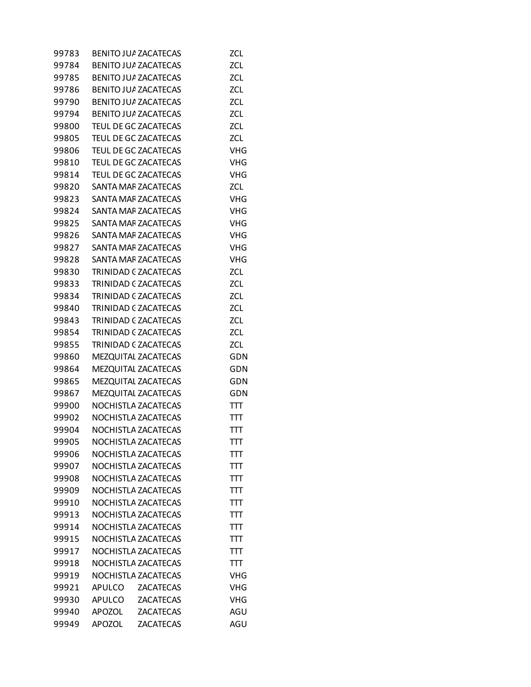| 99783 |               | <b>BENITO JUA ZACATECAS</b> | <b>ZCL</b> |
|-------|---------------|-----------------------------|------------|
| 99784 |               | <b>BENITO JUA ZACATECAS</b> | <b>ZCL</b> |
| 99785 |               | <b>BENITO JUA ZACATECAS</b> | <b>ZCL</b> |
| 99786 |               | <b>BENITO JUA ZACATECAS</b> | ZCL        |
| 99790 |               | <b>BENITO JUA ZACATECAS</b> | <b>ZCL</b> |
| 99794 |               | <b>BENITO JUA ZACATECAS</b> | <b>ZCL</b> |
| 99800 |               | TEUL DE GC ZACATECAS        | ZCL        |
| 99805 |               | TEUL DE GC ZACATECAS        | ZCL        |
| 99806 |               | TEUL DE GC ZACATECAS        | <b>VHG</b> |
| 99810 |               | TEUL DE GC ZACATECAS        | <b>VHG</b> |
| 99814 |               | TEUL DE GC ZACATECAS        | <b>VHG</b> |
| 99820 |               | <b>SANTA MAF ZACATECAS</b>  | <b>ZCL</b> |
| 99823 |               | SANTA MAF ZACATECAS         | <b>VHG</b> |
| 99824 |               | <b>SANTA MAF ZACATECAS</b>  | <b>VHG</b> |
| 99825 |               | <b>SANTA MAF ZACATECAS</b>  | <b>VHG</b> |
| 99826 |               | SANTA MAF ZACATECAS         | <b>VHG</b> |
| 99827 |               | <b>SANTA MAF ZACATECAS</b>  | <b>VHG</b> |
| 99828 |               | <b>SANTA MAF ZACATECAS</b>  | <b>VHG</b> |
| 99830 |               | TRINIDAD C ZACATECAS        | ZCL        |
| 99833 |               | <b>TRINIDAD C ZACATECAS</b> | ZCL        |
| 99834 |               | TRINIDAD C ZACATECAS        | ZCL        |
| 99840 |               | TRINIDAD C ZACATECAS        | ZCL        |
| 99843 |               | TRINIDAD C ZACATECAS        | <b>ZCL</b> |
| 99854 |               | TRINIDAD C ZACATECAS        | <b>ZCL</b> |
| 99855 |               | TRINIDAD C ZACATECAS        | ZCL        |
| 99860 |               | MEZQUITAL ZACATECAS         | <b>GDN</b> |
| 99864 |               | MEZQUITAL ZACATECAS         | GDN        |
| 99865 |               | MEZQUITAL ZACATECAS         | GDN        |
| 99867 |               | MEZQUITAL ZACATECAS         | GDN        |
| 99900 |               | NOCHISTLA ZACATECAS         | TTT        |
| 99902 |               | NOCHISTLA ZACATECAS         | TП         |
| 99904 |               | NOCHISTLA ZACATECAS         | πт         |
| 99905 |               | NOCHISTLA ZACATECAS         | πт         |
| 99906 |               | NOCHISTLA ZACATECAS         | πт         |
| 99907 |               | NOCHISTLA ZACATECAS         | TTT        |
| 99908 |               | NOCHISTLA ZACATECAS         | TTT        |
| 99909 |               | NOCHISTLA ZACATECAS         | TTT        |
| 99910 |               | NOCHISTLA ZACATECAS         | πт         |
| 99913 |               | NOCHISTLA ZACATECAS         | TTT        |
| 99914 |               | NOCHISTLA ZACATECAS         | TП         |
| 99915 |               | NOCHISTLA ZACATECAS         | πт         |
| 99917 |               | NOCHISTLA ZACATECAS         | TTT        |
| 99918 |               | NOCHISTLA ZACATECAS         | TП         |
| 99919 |               | NOCHISTLA ZACATECAS         | <b>VHG</b> |
| 99921 | APULCO        | <b>ZACATECAS</b>            | <b>VHG</b> |
| 99930 | APULCO        | <b>ZACATECAS</b>            | <b>VHG</b> |
| 99940 | <b>APOZOL</b> | <b>ZACATECAS</b>            | AGU        |
| 99949 | <b>APOZOL</b> | <b>ZACATECAS</b>            | AGU        |
|       |               |                             |            |